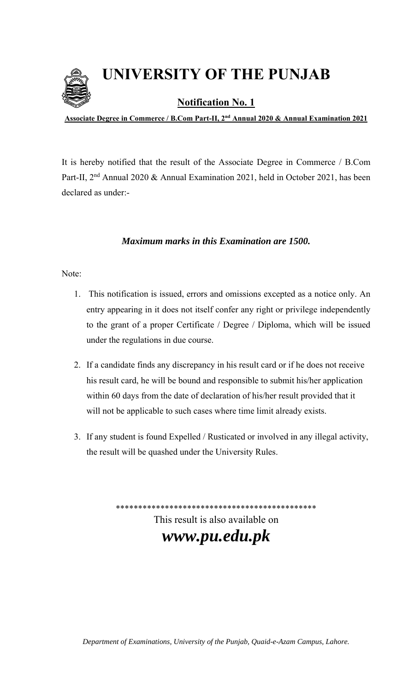**UNIVERSITY OF THE PUNJAB**



**Notification No. 1** 

**Associate Degree in Commerce / B.Com Part-II, 2nd Annual 2020 & Annual Examination 2021**

It is hereby notified that the result of the Associate Degree in Commerce / B.Com Part-II, 2<sup>nd</sup> Annual 2020 & Annual Examination 2021, held in October 2021, has been declared as under:-

## *Maximum marks in this Examination are 1500.*

## Note:

- 1. This notification is issued, errors and omissions excepted as a notice only. An entry appearing in it does not itself confer any right or privilege independently to the grant of a proper Certificate / Degree / Diploma, which will be issued under the regulations in due course.
- 2. If a candidate finds any discrepancy in his result card or if he does not receive his result card, he will be bound and responsible to submit his/her application within 60 days from the date of declaration of his/her result provided that it will not be applicable to such cases where time limit already exists.
- 3. If any student is found Expelled / Rusticated or involved in any illegal activity, the result will be quashed under the University Rules.

\*\*\*\*\*\*\*\*\*\*\*\*\*\*\*\*\*\*\*\*\*\*\*\*\*\*\*\*\*\*\*\*\*\*\*\*\*\*\*\*\*\*\*\*\* This result is also available on *www.pu.edu.pk*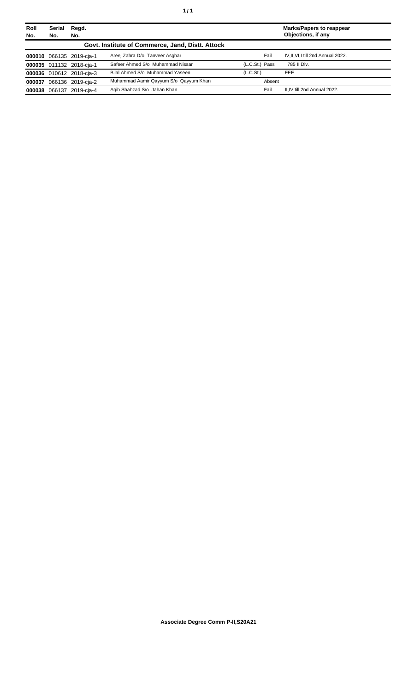| Roll<br>No. | Serial<br>No. | Regd.<br>No.             |                                                  |                       | <b>Marks/Papers to reappear</b><br>Objections, if any |
|-------------|---------------|--------------------------|--------------------------------------------------|-----------------------|-------------------------------------------------------|
|             |               |                          | Govt. Institute of Commerce, Jand, Distt. Attock |                       |                                                       |
|             |               | 000010 066135 2019-cja-1 | Areej Zahra D/o Tanveer Asghar                   | Fail                  | IV, II, VI, I till 2nd Annual 2022.                   |
|             |               | 000035 011132 2018-cja-1 | Safeer Ahmed S/o Muhammad Nissar                 | (L.C.St.) Pass        | 785 II Div.                                           |
|             |               | 000036 010612 2018-cja-3 | Bilal Ahmed S/o Muhammad Yaseen                  | (L.C.S <sub>t</sub> ) | <b>FEE</b>                                            |
|             |               | 000037 066136 2019-cja-2 | Muhammad Aamir Qayyum S/o Qayyum Khan            | Absent                |                                                       |
|             |               | 000038 066137 2019-cja-4 | Agib Shahzad S/o Jahan Khan                      | Fail                  | II, IV till 2nd Annual 2022.                          |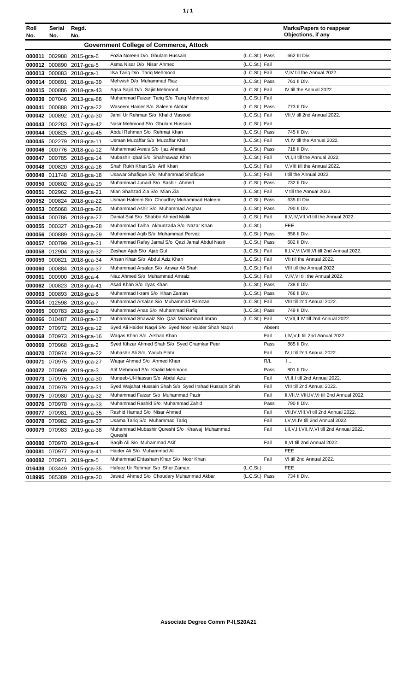| ٠ | ٠ |
|---|---|
|   |   |

| Roll<br>No. | Serial<br>No.                                 | Regd.<br>No.              |                                                          |                  | <b>Marks/Papers to reappear</b><br>Objections, if any |  |
|-------------|-----------------------------------------------|---------------------------|----------------------------------------------------------|------------------|-------------------------------------------------------|--|
|             | <b>Government College of Commerce, Attock</b> |                           |                                                          |                  |                                                       |  |
|             |                                               | 000011 002988 2015-gca-6  | Fozia Noreen D/o Ghulam Hussain                          | (L.C.St.) Pass   | 662 III Div.                                          |  |
|             |                                               | 000012 000890 2017-gca-5  | Asma Nisar D/o Nisar Ahmed                               | (L.C.St.) Fail   |                                                       |  |
|             |                                               | 000013 000883 2018-gca-1  | Ilsa Tariq D/o Tariq Mehmood                             | (L.C.St.) Fail   | V,IV till the Annual 2022.                            |  |
|             |                                               | 000014 000891 2018-gca-39 | Mehwish D/o Muhammad Riaz                                | (L.C.St.) Pass   | 761 II Div.                                           |  |
|             |                                               | 000015 000886 2018-gca-43 | Aqsa Sajid D/o Sajid Mehmood                             | (L.C.St.) Fail   | IV till the Annual 2022.                              |  |
|             |                                               | 000039 007046 2013-gca-88 | Muhammad Faizan Tariq S/o Tariq Mehmood                  | (L.C.St.) Fail   |                                                       |  |
|             |                                               | 000041 000888 2017-gca-22 | Waseem Haider S/o Saleem Akhtar                          | (L.C.St.) Pass   | 773 II Div.                                           |  |
|             |                                               | 000042 000892 2017-gca-30 | Jamil Ur Rehman S/o Khalid Masood                        | (L.C.St.) Fail   | VII, V till 2nd Annual 2022.                          |  |
|             |                                               | 000043 002283 2017-gca-42 | Nasir Mehmood S/o Ghulam Hussain                         | (L.C.St.) Fail   |                                                       |  |
|             |                                               | 000044 000825 2017-gca-45 | Abdul Rehman S/o Rehmat Khan                             | (L.C.St.) Pass   | 745 II Div.                                           |  |
|             |                                               | 000045 002279 2018-gca-11 | Usman Muzaffar S/o Muzaffar Khan                         | (L.C.St.) Fail   | VI, IV till the Annual 2022.                          |  |
|             |                                               | 000046 000776 2018-gca-12 | Muhammad Awais S/o Ijaz Ahmad                            | (L.C.St.) Pass   | 718 II Div.                                           |  |
|             |                                               | 000047 000785 2018-gca-14 | Mubashir Iqbal S/o Shahnawaz Khan                        | (L.C.St.) Fail   | VI, I, II till the Annual 2022.                       |  |
|             |                                               | 000048 000820 2018-gca-16 | Shah Rukh Khan S/o Arif Khan                             | (L.C.St.) Fail   | V, VIII till the Annual 2022.                         |  |
|             |                                               | 000049 011748 2018-gca-18 | Usawar Shafique S/o Muhammad Shafique                    | (L.C.St.) Fail   | I till the Annual 2022.                               |  |
|             |                                               | 000050 000802 2018-gca-19 | Muhammad Junaid S/o Bashir Ahmed                         | (L.C.St.) Pass   | 732 II Div.                                           |  |
|             |                                               | 000051 002962 2018-gca-21 | Mian Shahzad Zia S/o Mian Zia                            | (L.C.St.) Fail   | V till the Annual 2022.                               |  |
|             |                                               | 000052 000824 2018-gca-22 | Usman Haleem S/o Choudhry Muhammad Haleem                | (L.C.St.) Pass   | 635 III Div.                                          |  |
|             |                                               | 000053 005068 2018-gca-26 | Muhammad Ashir S/o Muhammad Asghar                       | (L.C.St.) Pass   | 790 II Div.                                           |  |
|             |                                               | 000054 000786 2018-gca-27 | Danial Sial S/o Shabbir Ahmed Malik                      | (L.C.St.) Fail   | II, V, IV, VII, VI till the Annual 2022.              |  |
|             |                                               | 000055 000327 2018-gca-28 | Muhammad Talha Akhunzada S/o Nazar Khan                  | (L.C.St.)        | <b>FEE</b>                                            |  |
|             |                                               | 000056 000889 2018-gca-29 | Muhammad Aqib S/o Muhammad Pervez                        | (L.C.St.) Pass   | 856 II Div.                                           |  |
|             |                                               | 000057 000799 2018-gca-31 | Muhammad Rafay Jamal S/o Qazi Jamal Abdul Nasir          | (L.C.St.) Pass   | 682 II Div.                                           |  |
|             |                                               | 000058 012904 2018-gca-32 | Zeshan Ajab S/o Ajab Gul                                 | (L.C.St.) Fail   | II,I, V, VII, VIII, VI till 2nd Annual 2022.          |  |
|             |                                               | 000059 000821 2018-gca-34 | Ahsan Khan S/o Abdul Aziz Khan                           | (L.C.St.) Fail   | VII till the Annual 2022.                             |  |
|             |                                               | 000060 000884 2018-gca-37 | Muhammad Arsalan S/o Anwar Ali Shah                      | $(L.C.St.)$ Fail | VIII till the Annual 2022.                            |  |
|             |                                               | 000061 000900 2018-gca-4  | Niaz Ahmed S/o Muhammad Amraiz                           | (L.C.St.) Fail   | V,IV,VI till the Annual 2022.                         |  |
|             |                                               | 000062 000823 2018-gca-41 | Asad Khan S/o Ilyas Khan                                 | (L.C.St.) Pass   | 738 II Div.                                           |  |
|             |                                               | 000063 000893 2018-gca-6  | Muhammad Ikram S/o Khan Zaman                            | (L.C.St.) Pass   | 766 II Div.                                           |  |
|             |                                               | 000064 012598 2018-gca-7  | Muhammad Arsalan S/o Muhammad Ramzan                     | (L.C.St.) Fail   | VIII till 2nd Annual 2022.                            |  |
|             |                                               | 000065 000783 2018-gca-9  | Muhammad Anas S/o Muhammad Rafiq                         | (L.C.St.) Pass   | 749 II Div.                                           |  |
|             |                                               | 000066 010487 2018-gca-17 | Muhammad Shawaiz S/o Qazi Muhammad Imran                 | (L.C.St.) Fail   | V, VII, II, IV till 2nd Annual 2022.                  |  |
|             |                                               | 000067 070972 2019-gca-12 | Syed Ali Haider Naqvi S/o Syed Noor Haider Shah Naqvi    | Absent           |                                                       |  |
|             |                                               | 000068 070973 2019-gca-16 | Waqas Khan S/o Arshad Khan                               | Fail             | I,IV, V, II till 2nd Annual 2022.                     |  |
|             |                                               | 000069 070968 2019-gca-2  | Syed Kihzar Ahmed Shah S/o Syed Chamkar Peer             | Pass             | 885 II Div.                                           |  |
|             |                                               | 000070 070974 2019-gca-22 | Mubashir Ali S/o Yaqub Elahi                             | Fail             | IV, I till 2nd Annual 2022.                           |  |
|             |                                               | 000071 070975 2019-gca-27 | Wagar Ahmed S/o Ahmed Khan                               | R/L              | Ι.,                                                   |  |
|             |                                               | 000072 070969 2019-gca-3  | Atif Mehmood S/o Khalid Mehmood                          | Pass             | 801 II Div.                                           |  |
|             |                                               | 000073 070976 2019-gca-30 | Muneeb-UI-Hassan S/o Abdul Aziz                          | Fail             | VI, II, I till 2nd Annual 2022.                       |  |
|             |                                               | 000074 070979 2019-gca-31 | Syed Wajahat Hussain Shah S/o Syed Irshad Hussain Shah   | Fail             | VIII till 2nd Annual 2022.                            |  |
|             |                                               | 000075 070980 2019-gca-32 | Muhammad Faizan S/o Muhammad Pazir                       | Fail             | II, VII, V, VIII, IV, VI till 2nd Annual 2022.        |  |
|             |                                               | 000076 070978 2019-gca-33 | Muhammad Rashid S/o Muhammad Zahid                       | Pass             | 790 II Div.                                           |  |
|             |                                               | 000077 070981 2019-gca-35 | Rashid Hamad S/o Nisar Ahmed                             | Fail             | VII, IV, VIII, VI till 2nd Annual 2022.               |  |
|             |                                               | 000078 070982 2019-gca-37 | Usama Tariq S/o Muhammad Tariq                           | Fail             | I, V, VI, IV till 2nd Annual 2022.                    |  |
|             |                                               | 000079 070983 2019-gca-38 | Muhammad Mubashir Qureshi S/o Khawaj Muhammad<br>Qureshi | Fail             | I, II, V, III, VII, IV, VI till 2nd Annual 2022.      |  |
|             |                                               | 000080 070970 2019-gca-4  | Saqib Ali S/o Muhammad Asif                              | Fail             | II, VI till 2nd Annual 2022.                          |  |
|             |                                               | 000081 070977 2019-gca-41 | Haider Ali S/o Muhammad Ali                              |                  | <b>FEE</b>                                            |  |
|             |                                               | 000082 070971 2019-gca-5  | Muhammad Ehtasham Khan S/o Noor Khan                     | Fail             | VI till 2nd Annual 2022.                              |  |
|             |                                               | 016439 003449 2015-gca-35 | Hafeez Ur Rehman S/o Sher Zaman                          | (L.C.St.)        | <b>FEE</b>                                            |  |
|             |                                               | 018995 085389 2018-gca-20 | Jawad Ahmed S/o Choudary Muhammad Akbar                  | (L.C.St.) Pass   | 734 II Div.                                           |  |
|             |                                               |                           |                                                          |                  |                                                       |  |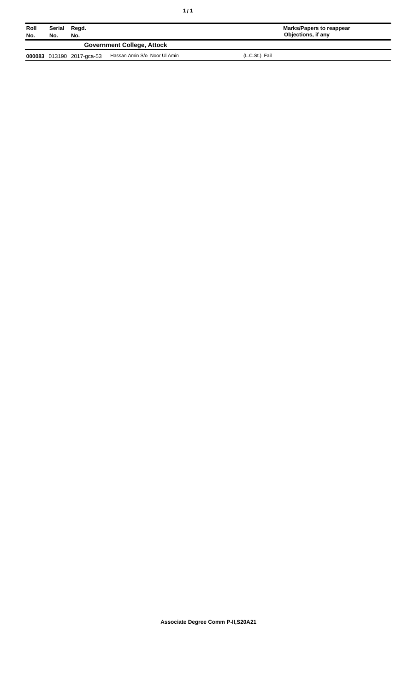| Roll<br>No. | Serial<br>Regd.<br>No.<br>No. |                           |                              | <b>Marks/Papers to reappear</b><br>Objections, if any |
|-------------|-------------------------------|---------------------------|------------------------------|-------------------------------------------------------|
|             |                               |                           |                              |                                                       |
|             |                               | 000083 013190 2017-gca-53 | Hassan Amin S/o Noor UI Amin | (L.C.St.) Fail                                        |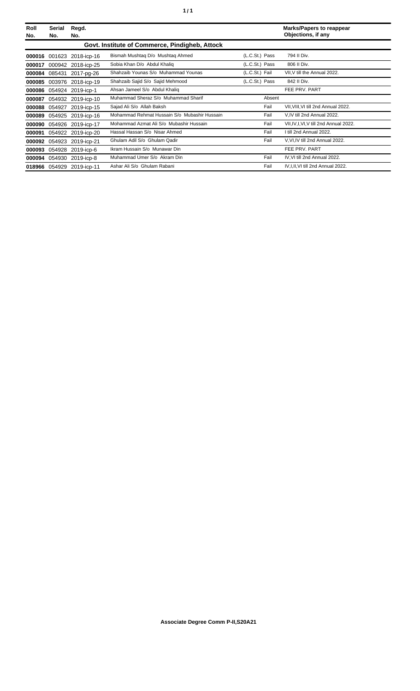| Roll<br>No. | Serial<br>No. | Regd.<br>No.       |                                                |                | <b>Marks/Papers to reappear</b><br>Objections, if any |
|-------------|---------------|--------------------|------------------------------------------------|----------------|-------------------------------------------------------|
|             |               |                    | Govt. Institute of Commerce, Pindigheb, Attock |                |                                                       |
| 000016      | 001623        | 2018-icp-16        | Bismah Mushtaq D/o Mushtaq Ahmed               | (L.C.St.) Pass | 794 II Div.                                           |
| 000017      |               | 000942 2018-icp-25 | Sobia Khan D/o Abdul Khaliq                    | (L.C.St.) Pass | 806 II Div.                                           |
| 000084      |               | 085431 2017-pg-26  | Shahzaib Younas S/o Muhammad Younas            | (L.C.St.) Fail | VII, V till the Annual 2022.                          |
| 000085      |               | 003976 2018-icp-19 | Shahzaib Sajid S/o Sajid Mehmood               | (L.C.St.) Pass | 842 II Div.                                           |
| 000086      | 054924        | 2019-icp-1         | Ahsan Jameel S/o Abdul Khaliq                  |                | FEE PRV. PART                                         |
| 000087      |               | 054932 2019-icp-10 | Muhammad Sheraz S/o Muhammad Sharif            | Absent         |                                                       |
| 000088      | 054927        | 2019-icp-15        | Sajad Ali S/o Allah Baksh                      | Fail           | VII, VIII, VI till 2nd Annual 2022.                   |
| 000089      |               | 054925 2019-icp-16 | Mohammad Rehmat Hussain S/o Mubashir Hussain   | Fail           | V, IV till 2nd Annual 2022.                           |
| 000090      |               | 054926 2019-icp-17 | Mohammad Azmat Ali S/o Mubashir Hussain        | Fail           | VII, IV, I, VI, V till 2nd Annual 2022.               |
| 000091      |               | 054922 2019-icp-20 | Hassal Hassan S/o Nisar Ahmed                  | Fail           | I till 2nd Annual 2022.                               |
| 000092      | 054923        | 2019-icp-21        | Ghulam Adil S/o Ghulam Qadir                   | Fail           | V.VI.IV till 2nd Annual 2022.                         |
| 000093      | 054928        | 2019-icp-6         | Ikram Hussain S/o Munawar Din                  |                | FEE PRV. PART                                         |
| 000094      | 054930        | 2019-icp-8         | Muhammad Umer S/o Akram Din                    | Fail           | IV, VI till 2nd Annual 2022.                          |
| 018966      | 054929        | 2019-icp-11        | Ashar Ali S/o Ghulam Rabani                    | Fail           | IV, I, II, VI till 2nd Annual 2022.                   |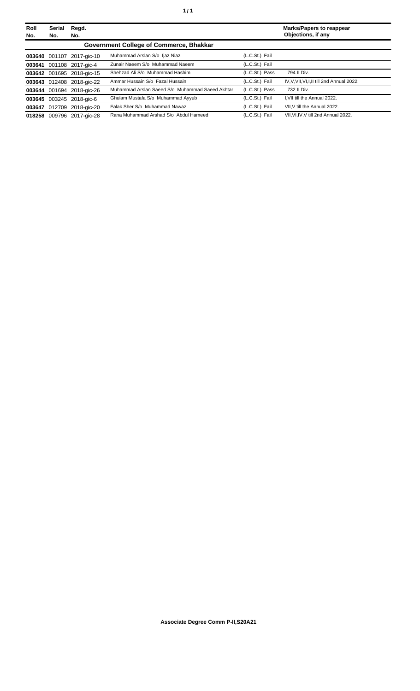| Roll<br>No. | <b>Serial</b><br>No. | Regd.<br>No.              |                                                 |                | <b>Marks/Papers to reappear</b><br>Objections, if any |
|-------------|----------------------|---------------------------|-------------------------------------------------|----------------|-------------------------------------------------------|
|             |                      |                           | Government College of Commerce, Bhakkar         |                |                                                       |
|             |                      | 003640 001107 2017-gic-10 | Muhammad Arslan S/o Ijaz Niaz                   | (L.C.St.) Fail |                                                       |
|             |                      | 003641 001108 2017-gic-4  | Zunair Naeem S/o Muhammad Naeem                 | (L.C.St.) Fail |                                                       |
|             |                      | 003642 001695 2018-gic-15 | Shehzad Ali S/o Muhammad Hashim                 | (L.C.St.) Pass | 794 II Div.                                           |
|             |                      | 003643 012408 2018-gic-22 | Ammar Hussain S/o Fazal Hussain                 | (L.C.St.) Fail | IV, V, VII, VI, I, II till 2nd Annual 2022.           |
|             |                      | 003644 001694 2018-gic-26 | Muhammad Arslan Saeed S/o Muhammad Saeed Akhtar | (L.C.St.) Pass | 732 II Div.                                           |
|             |                      | 003645 003245 2018-gic-6  | Ghulam Mustafa S/o Muhammad Ayyub               | (L.C.St.) Fail | I.VII till the Annual 2022.                           |
|             |                      | 003647 012709 2018-gic-20 | Falak Sher S/o Muhammad Nawaz                   | (L.C.St.) Fail | VII.V till the Annual 2022.                           |
|             |                      | 018258 009796 2017-aic-28 | Rana Muhammad Arshad S/o Abdul Hameed           | (L.C.St.) Fail | VII.VI.IV.V till 2nd Annual 2022.                     |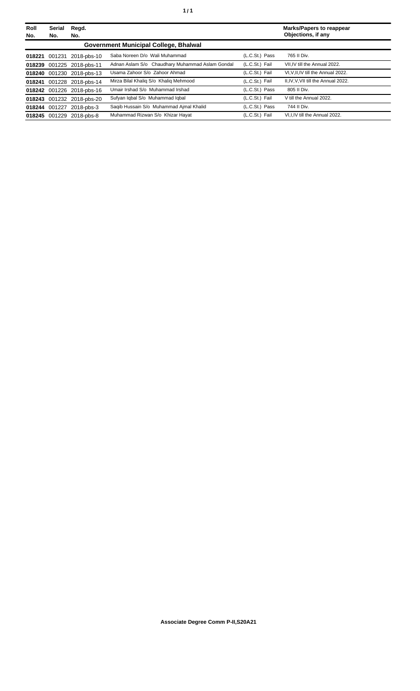| Roll<br>No. | Serial<br>No. | Regd.<br>No.              |                                                 |                | <b>Marks/Papers to reappear</b><br>Objections, if any |
|-------------|---------------|---------------------------|-------------------------------------------------|----------------|-------------------------------------------------------|
|             |               |                           | Government Municipal College, Bhalwal           |                |                                                       |
| 018221      | 001231        | 2018-pbs-10               | Saba Noreen D/o Wali Muhammad                   | (L.C.St.) Pass | 765 II Div.                                           |
|             |               | 018239 001225 2018-pbs-11 | Adnan Aslam S/o Chaudhary Muhammad Aslam Gondal | (L.C.St.) Fail | VII.IV till the Annual 2022.                          |
|             |               | 018240 001230 2018-pbs-13 | Usama Zahoor S/o Zahoor Ahmad                   | (L.C.St.) Fail | VI.V.II.IV till the Annual 2022.                      |
|             |               | 018241 001228 2018-pbs-14 | Mirza Bilal Khaliq S/o Khaliq Mehmood           | (L.C.St.) Fail | II, IV, V, VII till the Annual 2022.                  |
|             |               | 018242 001226 2018-pbs-16 | Umair Irshad S/o Muhammad Irshad                | (L.C.St.) Pass | 805 II Div.                                           |
|             |               | 018243 001232 2018-pbs-20 | Sufyan Iqbal S/o Muhammad Iqbal                 | (L.C.St.) Fail | V till the Annual 2022.                               |
|             |               | 018244 001227 2018-pbs-3  | Saqib Hussain S/o Muhammad Ajmal Khalid         | (L.C.St.) Pass | 744 II Div.                                           |
|             |               | 018245 001229 2018-pbs-8  | Muhammad Rizwan S/o Khizar Hayat                | (L.C.St.) Fail | VI.I.IV till the Annual 2022.                         |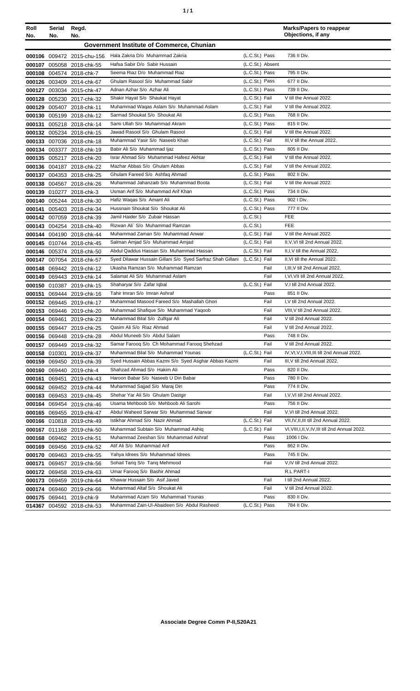| ٠ | ٠ |
|---|---|
|   |   |

| Roll<br>No. | Serial<br>No. | Regd.<br>No.                                           |                                                                  |                                    | <b>Marks/Papers to reappear</b><br>Objections, if any |
|-------------|---------------|--------------------------------------------------------|------------------------------------------------------------------|------------------------------------|-------------------------------------------------------|
|             |               |                                                        | Government Institute of Commerce, Chunian                        |                                    |                                                       |
|             |               |                                                        |                                                                  |                                    |                                                       |
|             |               | 000106 009472 2015-chu-156                             | Hala Zakria D/o Muhammad Zakria<br>Hafsa Sabir D/o Sabir Hussain | (L.C.St.) Pass                     | 736 II Div.                                           |
|             |               | 000107 005058 2018-chk-55                              | Seema Riaz D/o Muhammad Riaz                                     | (L.C.St.) Absent<br>(L.C.St.) Pass | 795 II Div.                                           |
|             |               | 000108 004574 2018-chk-7                               | Ghulam Rasool S/o Muhammad Sabir                                 |                                    | 677 II Div.                                           |
|             |               | 000126 003409 2014-chk-67                              | Adnan Azhar S/o Azhar Ali                                        | (L.C.St.) Pass<br>(L.C.St.) Pass   | 739 II Div.                                           |
|             |               | 000127 003034 2015-chk-47<br>000128 005230 2017-chk-32 | Shakir Hayat S/o Shaukat Hayat                                   | (L.C.St.) Fail                     | V till the Annual 2022.                               |
|             |               | 000129 005407 2018-chk-11                              | Muhammad Waqas Aslam S/o Muhammad Aslam                          | (L.C.St.) Fail                     | V till the Annual 2022.                               |
|             |               | 000130 005199 2018-chk-12                              | Sarmad Shoukat S/o Shoukat Ali                                   | (L.C.St.) Pass                     | 768 II Div.                                           |
|             |               | 000131 005218 2018-chk-14                              | Sami Ullah S/o Muhammad Akram                                    | (L.C.St.) Pass                     | 815 II Div.                                           |
|             |               | 000132 005234 2018-chk-15                              | Jawad Rasool S/o Ghulam Rasool                                   | (L.C.St.) Fail                     | V till the Annual 2022.                               |
|             |               | 000133 007036 2018-chk-18                              | Muhammad Yasir S/o Naseeb Khan                                   | (L.C.St.) Fail                     | III, V till the Annual 2022.                          |
|             |               | 000134 003377 2018-chk-19                              | Babir Ali S/o Muhammad Ijaz                                      | (L.C.St.) Pass                     | 805 II Div.                                           |
|             |               | 000135 005217 2018-chk-20                              | Israr Ahmad S/o Muhammad Hafeez Akhtar                           | (L.C.St.) Fail                     | V till the Annual 2022.                               |
|             |               | 000136 004187 2018-chk-22                              | Mazhar Abbas S/o Ghulam Abbas                                    | (L.C.St.) Fail                     | V till the Annual 2022.                               |
|             |               | 000137 004353 2018-chk-25                              | Ghulam Fareed S/o Ashfaq Ahmad                                   | (L.C.St.) Pass                     | 802 II Div.                                           |
|             |               | 000138 004567 2018-chk-26                              | Muhammad Jahanzaib S/o Muhammad Boota                            | (L.C.St.) Fail                     | V till the Annual 2022.                               |
|             |               | 000139 010277 2018-chk-3                               | Usman Arif S/o Muhammad Arif Khan                                | (L.C.St.) Pass                     | 734 II Div.                                           |
|             |               | 000140 005244 2018-chk-30                              | Hafiz Waqas S/o Amant Ali                                        | (L.C.St.) Pass                     | 902   Div.                                            |
|             |               | 000141 005403 2018-chk-34                              | Hussnain Shoukat S/o Shoukat Ali                                 | (L.C.St.) Pass                     | 777 II Div.                                           |
|             |               | 000142 007059 2018-chk-39                              | Jamil Haider S/o Zubair Hassan                                   | (L.C.St.)                          | <b>FEE</b>                                            |
|             |               | 000143 004254 2018-chk-40                              | Rizwan Ali` S/o Muhammad Ramzan                                  | (L.C.St.)                          | <b>FEE</b>                                            |
|             |               | 000144 004190 2018-chk-44                              | Muhammad Zaman S/o Muhammad Anwar                                | (L.C.St.) Fail                     | V till the Annual 2022.                               |
|             |               | 000145 010744 2018-chk-45                              | Salman Amjad S/o Muhammad Amjad                                  | (L.C.St.) Fail                     | II, V, VI till 2nd Annual 2022.                       |
|             |               | 000146 005374 2018-chk-50                              | Abdul Qaddus Hassan S/o Muhammad Hassan                          | (L.C.St.) Fail                     | II, I, V till the Annual 2022.                        |
|             |               | 000147 007054 2018-chk-57                              | Syed Dilawar Hussain Gillani S/o Syed Sarfraz Shah Gillani       | (L.C.St.) Fail                     | II, VI till the Annual 2022.                          |
|             |               | 000148 069442 2019-chk-12                              | Ukasha Ramzan S/o Muhammad Ramzan                                | Fail                               | I, III, V till 2nd Annual 2022.                       |
|             |               | 000149 069443 2019-chk-14                              | Salamat Ali S/o Muhammad Aslam                                   | Fail                               | I, VI, VII till 2nd Annual 2022.                      |
|             |               | 000150 010387 2019-chk-15                              | Shaharyar S/o Zafar Iqbal<br>Tahir Imran S/o Imran Ashraf        | (L.C.St.) Fail                     | V,I till 2nd Annual 2022.<br>851 II Div.              |
|             |               | 000151 069444 2019-chk-16                              | Muhammad Masood Fareed S/o Mashallah Ghori                       | Pass<br>Fail                       | I, V till 2nd Annual 2022.                            |
|             |               | 000152 069445 2019-chk-17<br>000153 069446 2019-chk-20 | Muhammad Shafique S/o Muhammad Yaqoob                            | Fail                               | VIII, V till 2nd Annual 2022.                         |
|             |               | 000154 069461 2019-chk-23                              | Muhammad Bilal S/o Zulfqar Ali                                   | Fail                               | V till 2nd Annual 2022.                               |
|             |               | 000155 069447 2019-chk-25                              | Qasim Ali S/o Riaz Ahmad                                         | Fail                               | V till 2nd Annual 2022.                               |
|             |               | 000156 069448 2019-chk-28                              | Abdul Muneeb S/o Abdul Salam                                     | Pass                               | 748 II Div.                                           |
|             |               | 000157 069449 2019-chk-32                              | Samar Farooq S/o Ch Mohammad Farooq Shehzad                      | Fail                               | V till 2nd Annual 2022.                               |
|             |               | 000158 010301 2019-chk-37                              | Muhammad Bilal S/o Muhammad Younas                               | (L.C.St.) Fail                     | IV, VI, V, I, VIII, III till 2nd Annual 2022.         |
|             |               | 000159 069450 2019-chk-39                              | Syed Hussain Abbas Kazmi S/o Syed Asghar Abbas Kazmi             | Fail                               | III, V till 2nd Annual 2022.                          |
|             |               | 000160 069440 2019-chk-4                               | Shahzad Ahmad S/o Hakim Ali                                      | Pass                               | 820 II Div.                                           |
| 000161      |               | 069451 2019-chk-43                                     | Haroon Babar S/o Naseeb U Din Babar                              | Pass                               | 780 II Div.                                           |
|             |               | 000162 069452 2019-chk-44                              | Muhammad Sajjad S/o Maraj Din                                    | Pass                               | 774 II Div.                                           |
|             |               | 000163 069453 2019-chk-45                              | Shehar Yar Ali S/o Ghulam Dastgir                                | Fail                               | I, V, VI till 2nd Annual 2022.                        |
|             |               | 000164 069454 2019-chk-46                              | Usama Mehboob S/o Mehboob Ali Sarohi                             | Pass                               | 756 II Div.                                           |
|             |               | 000165 069455 2019-chk-47                              | Abdul Waheed Sarwar S/o Muhammad Sarwar                          | Fail                               | V, VI till 2nd Annual 2022.                           |
|             |               | 000166 010818 2019-chk-49                              | Istikhar Ahmad S/o Nazir Ahmad                                   | (L.C.St.) Fail                     | VII, IV, II, III till 2nd Annual 2022.                |
|             |               | 000167 011168 2019-chk-50                              | Muhammad Subtain S/o Muhammad Ashiq                              | (L.C.St.) Fail                     | VI, VIII, I, II, V, IV, III till 2nd Annual 2022.     |
|             |               | 000168 069462 2019-chk-51                              | Muhammad Zeeshan S/o Muhammad Ashraf                             | Pass                               | 1006   Div.                                           |
|             |               | 000169 069456 2019-chk-52                              | Atif Ali S/o Muhammad Arif                                       | Pass                               | 862 II Div.                                           |
|             |               | 000170 069463 2019-chk-55                              | Yahya Idrees S/o Muhammad Idrees                                 | Pass                               | 745 II Div.                                           |
| 000171      |               | 069457 2019-chk-56                                     | Sohail Tariq S/o Tariq Mehmood                                   | Fail                               | V, IV till 2nd Annual 2022.                           |
|             |               | 000172 069458 2019-chk-63                              | Umar Farooq S/o Bashir Ahmad                                     |                                    | R.L PART-I                                            |
|             |               | 000173 069459 2019-chk-64                              | Khawar Hussain S/o Asif Javed                                    | Fail                               | I till 2nd Annual 2022.                               |
|             |               | 000174 069460 2019-chk-66                              | Muhammad Altaf S/o Shoukat Ali                                   | Fail                               | V till 2nd Annual 2022.                               |
|             |               | 000175 069441 2019-chk-9                               | Muhammad Azam S/o Muhammad Younas                                | Pass                               | 830 II Div.                                           |
|             |               | 014367 004592 2018-chk-53                              | Muhammad Zain-Ul-Abaideen S/o Abdul Rasheed                      | (L.C.St.) Pass                     | 784 II Div.                                           |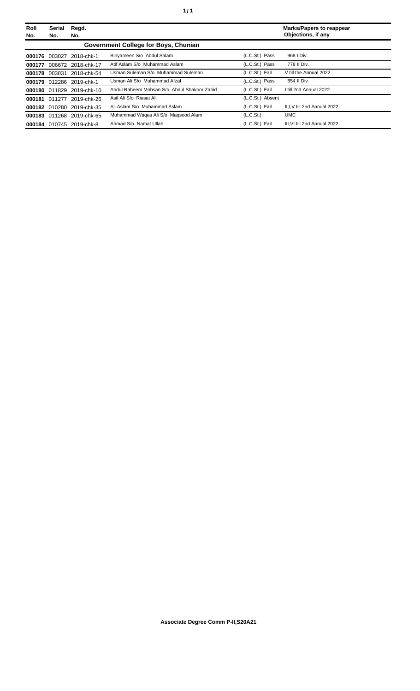| Roll<br>No. | <b>Serial</b><br>No. | Regd.<br>No.              |                                             |                       | Marks/Papers to reappear<br>Objections, if any |
|-------------|----------------------|---------------------------|---------------------------------------------|-----------------------|------------------------------------------------|
|             |                      |                           | Government College for Boys, Chunian        |                       |                                                |
| 000176      | 003027               | 2018-chk-1                | Binyameen S/o Abdul Salam                   | (L.C.St.) Pass        | 968   Div.                                     |
| 000177      |                      | 006672 2018-chk-17        | Atif Aslam S/o Muhammad Aslam               | (L.C.St.) Pass        | 778 II Div.                                    |
|             | 000178 003031        | 2018-chk-54               | Usman Suleman S/o Muhammad Suleman          | (L.C.St.) Fail        | V till the Annual 2022.                        |
|             |                      | 000179 012286 2019-chk-1  | Usman Ali S/o Muhammad Afzal                | (L.C.St.) Pass        | 854 II Div.                                    |
|             |                      | 000180 011829 2019-chk-10 | Abdul Raheem Mohsan S/o Abdul Shakoor Zahid | (L.C.St.) Fail        | I till 2nd Annual 2022.                        |
|             |                      | 000181 011277 2019-chk-26 | Asif Ali S/o Riasat Ali                     | (L.C.St.) Absent      |                                                |
|             |                      | 000182 010280 2019-chk-35 | Ali Aslam S/o Muhammad Aslam                | (L.C.St.) Fail        | II.I.V till 2nd Annual 2022.                   |
|             | 000183 011268        | 2019-chk-65               | Muhammad Waqas Ali S/o Maqsood Alam         | (L.C.S <sub>t</sub> ) | <b>UMC</b>                                     |
| 000184      |                      | 010745 2019-chk-8         | Ahmad S/o Namat Ullah                       | (L.C.St.) Fail        | III.VI till 2nd Annual 2022.                   |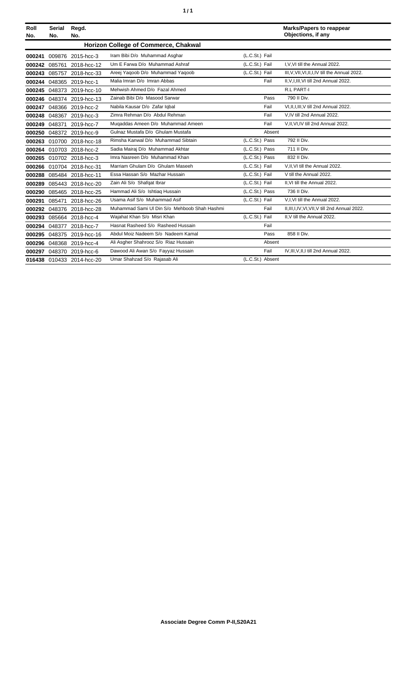| ٠ | ٠ |
|---|---|
|   |   |

| Roll<br>No. | <b>Serial</b><br>No. | Regd.<br>No.              |                                              |                  |        | <b>Marks/Papers to reappear</b><br>Objections, if any |
|-------------|----------------------|---------------------------|----------------------------------------------|------------------|--------|-------------------------------------------------------|
|             |                      |                           | Horizon College of Commerce, Chakwal         |                  |        |                                                       |
| 000241      |                      | 009876 2015-hcc-3         | Iram Bibi D/o Muhammad Asghar                | (L.C.St.) Fail   |        |                                                       |
| 000242      | 085761               | 2018-hcc-12               | Um E Farwa D/o Muhammad Ashraf               | (L.C.St.) Fail   |        | I, V, VI till the Annual 2022.                        |
|             |                      | 000243 085757 2018-hcc-33 | Areej Yaqoob D/o Muhammad Yaqoob             | (L.C.St.) Fail   |        | III, V, VII, VI, II, I, IV till the Annual 2022.      |
|             |                      | 000244 048365 2019-hcc-1  | Malia Imran D/o Imran Abbas                  |                  | Fail   | II, V, I, III, VI till 2nd Annual 2022.               |
|             |                      | 000245 048373 2019-hcc-10 | Mehwish Ahmed D/o Fazal Ahmed                |                  |        | R.L PART-I                                            |
|             |                      | 000246 048374 2019-hcc-13 | Zainab Bibi D/o Masood Sarwar                |                  | Pass   | 790 II Div.                                           |
| 000247      |                      | 048366 2019-hcc-2         | Nabila Kausar D/o Zafar Iqbal                |                  | Fail   | VI, II, I, III, V till 2nd Annual 2022.               |
| 000248      |                      | 048367 2019-hcc-3         | Zimra Rehman D/o Abdul Rehman                |                  | Fail   | V.IV till 2nd Annual 2022.                            |
| 000249      | 048371               | 2019-hcc-7                | Mugaddas Ameen D/o Muhammad Ameen            |                  | Fail   | V,II, VI, IV till 2nd Annual 2022.                    |
|             |                      | 000250 048372 2019-hcc-9  | Gulnaz Mustafa D/o Ghulam Mustafa            |                  | Absent |                                                       |
|             |                      | 000263 010700 2018-hcc-18 | Rimsha Kanwal D/o Muhammad Sibtain           | (L.C.St.) Pass   |        | 792 II Div.                                           |
|             |                      | 000264 010703 2018-hcc-2  | Sadia Mairaj D/o Muhammad Akhtar             | (L.C.St.) Pass   |        | 711 II Div.                                           |
|             |                      | 000265 010702 2018-hcc-3  | Imra Nasreen D/o Muhammad Khan               | (L.C.St.) Pass   |        | 832 II Div.                                           |
|             |                      | 000266 010704 2018-hcc-31 | Marriam Ghulam D/o Ghulam Maseeh             | (L.C.St.) Fail   |        | V, II, VI till the Annual 2022.                       |
|             |                      | 000288 085484 2018-hcc-11 | Essa Hassan S/o Mazhar Hussain               | (L.C.St.) Fail   |        | V till the Annual 2022.                               |
| 000289      |                      | 085443 2018-hcc-20        | Zain Ali S/o Shafqat Ibrar                   | (L.C.St.) Fail   |        | II.VI till the Annual 2022.                           |
| 000290      |                      | 085465 2018-hcc-25        | Hammad Ali S/o Ishtiag Hussain               | (L.C.St.) Pass   |        | 736 II Div.                                           |
| 000291      | 085471               | 2018-hcc-26               | Usama Asif S/o Muhammad Asif                 | (L.C.St.) Fail   |        | V.I.VI till the Annual 2022.                          |
| 000292      |                      | 048376 2018-hcc-28        | Muhammad Sami UI Din S/o Mehboob Shah Hashmi |                  | Fail   | II, III, I, IV, VI, VII, V till 2nd Annual 2022.      |
| 000293      |                      | 085664 2018-hcc-4         | Wajahat Khan S/o Misri Khan                  | (L.C.St.) Fail   |        | II, V till the Annual 2022.                           |
|             |                      | 000294 048377 2018-hcc-7  | Hasnat Rasheed S/o Rasheed Hussain           |                  | Fail   |                                                       |
| 000295      |                      | 048375 2019-hcc-16        | Abdul Moiz Nadeem S/o Nadeem Kamal           |                  | Pass   | 858 II Div.                                           |
|             |                      | 000296 048368 2019-hcc-4  | Ali Asgher Shahrooz S/o Riaz Hussain         |                  | Absent |                                                       |
|             |                      | 000297 048370 2019-hcc-6  | Dawood Ali Awan S/o Fayyaz Hussain           |                  | Fail   | IV, III, V, II, I till 2nd Annual 2022.               |
|             |                      | 016438 010433 2014-hcc-20 | Umar Shahzad S/o Rajasab Ali                 | (L.C.St.) Absent |        |                                                       |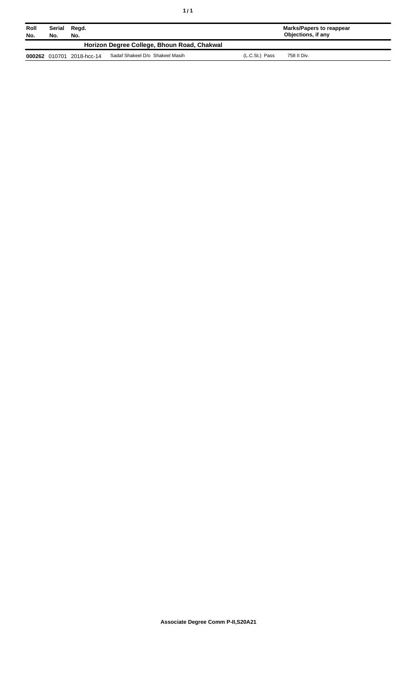| Roll<br>No. | Serial<br>No.                               | Regd.<br>No.              |                                 |                | Marks/Papers to reappear<br>Objections, if any |  |  |
|-------------|---------------------------------------------|---------------------------|---------------------------------|----------------|------------------------------------------------|--|--|
|             | Horizon Degree College, Bhoun Road, Chakwal |                           |                                 |                |                                                |  |  |
|             |                                             | 000262 010701 2018-hcc-14 | Sadaf Shakeel D/o Shakeel Masih | (L.C.St.) Pass | 758 II Div.                                    |  |  |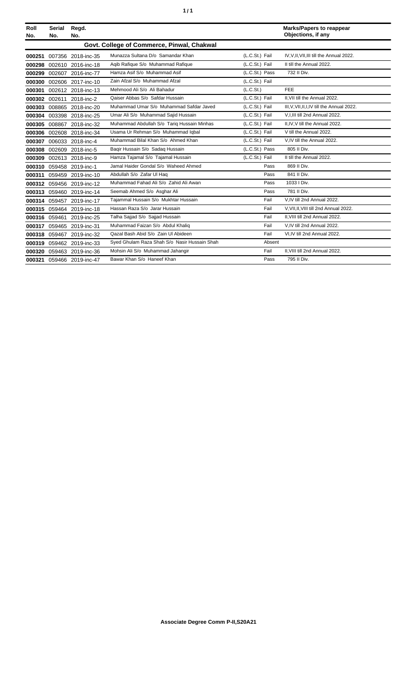| ٠ | ٠ |
|---|---|
|   |   |

| Roll<br>No. | Serial<br>No. | Regd.<br>No.              |                                              |                | <b>Marks/Papers to reappear</b><br>Objections, if any |
|-------------|---------------|---------------------------|----------------------------------------------|----------------|-------------------------------------------------------|
|             |               |                           | Govt. College of Commerce, Pinwal, Chakwal   |                |                                                       |
| 000251      |               | 007356 2018-inc-35        | Munazza Sultana D/o Samandar Khan            | (L.C.St.) Fail | IV, V, II, VII, III till the Annual 2022.             |
|             |               | 000298 002610 2016-inc-18 | Agib Rafique S/o Muhammad Rafique            | (L.C.St.) Fail | II till the Annual 2022.                              |
|             |               | 000299 002607 2016-inc-77 | Hamza Asif S/o Muhammad Asif                 | (L.C.St.) Pass | 732 II Div.                                           |
|             |               | 000300 002606 2017-inc-10 | Zain Afzal S/o Muhammad Afzal                | (L.C.St.) Fail |                                                       |
| 000301      |               | 002612 2018-inc-13        | Mehmood Ali S/o Ali Bahadur                  | (L.C.St.)      | FEE                                                   |
|             |               | 000302 002611 2018-inc-2  | Qaiser Abbas S/o Safdar Hussain              | (L.C.St.) Fail | II.VII till the Annual 2022.                          |
|             |               | 000303 008865 2018-inc-20 | Muhammad Umar S/o Muhammad Safdar Javed      | (L.C.St.) Fail | III.V.VII.II.I.IV till the Annual 2022.               |
|             |               | 000304 003398 2018-inc-25 | Umar Ali S/o Muhammad Sajid Hussain          | (L.C.St.) Fail | V, I, III till 2nd Annual 2022.                       |
|             |               | 000305 008867 2018-inc-32 | Muhammad Abdullah S/o Tariq Hussain Minhas   | (L.C.St.) Fail | II.IV.V till the Annual 2022.                         |
|             |               | 000306 002608 2018-inc-34 | Usama Ur Rehman S/o Muhammad Iqbal           | (L.C.St.) Fail | V till the Annual 2022.                               |
|             |               | 000307 006033 2018-inc-4  | Muhammad Bilal Khan S/o Ahmed Khan           | (L.C.St.) Fail | V.IV till the Annual 2022.                            |
|             |               | 000308 002609 2018-inc-5  | Baqir Hussain S/o Sadaq Hussain              | (L.C.St.) Pass | 805 II Div.                                           |
|             |               | 000309 002613 2018-inc-9  | Hamza Tajamal S/o Tajamal Hussain            | (L.C.St.) Fail | II till the Annual 2022.                              |
|             |               | 000310 059458 2019-inc-1  | Jamal Haider Gondal S/o Waheed Ahmed         | Pass           | 869 II Div.                                           |
|             |               | 000311 059459 2019-inc-10 | Abdullah S/o Zafar UI Haq                    | Pass           | 841 II Div.                                           |
|             |               | 000312 059456 2019-inc-12 | Muhammad Fahad Ali S/o Zahid Ali Awan        | Pass           | 1033   Div.                                           |
|             |               | 000313 059460 2019-inc-14 | Seemab Ahmed S/o Asghar Ali                  | Pass           | 781 II Div.                                           |
|             |               | 000314 059457 2019-inc-17 | Tajammal Hussain S/o Mukhtar Hussain         | Fail           | V, IV till 2nd Annual 2022.                           |
|             |               | 000315 059464 2019-inc-18 | Hassan Raza S/o Jarar Hussain                | Fail           | V.VII.II.VIII till 2nd Annual 2022.                   |
|             | 000316 059461 | 2019-inc-25               | Talha Sajjad S/o Sajjad Hussain              | Fail           | II.VIII till 2nd Annual 2022.                         |
|             |               | 000317 059465 2019-inc-31 | Muhammad Faizan S/o Abdul Khaliq             | Fail           | V,IV till 2nd Annual 2022.                            |
|             |               | 000318 059467 2019-inc-32 | Qazal Bash Abid S/o Zain Ul Abideen          | Fail           | VI, IV till 2nd Annual 2022.                          |
|             |               | 000319 059462 2019-inc-33 | Syed Ghulam Raza Shah S/o Nasir Hussain Shah | Absent         |                                                       |
|             |               | 000320 059463 2019-inc-36 | Mohsin Ali S/o Muhammad Jahangir             | Fail           | II, VIII till 2nd Annual 2022.                        |
|             |               | 000321 059466 2019-inc-47 | Bawar Khan S/o Haneef Khan                   | Pass           | 795 II Div.                                           |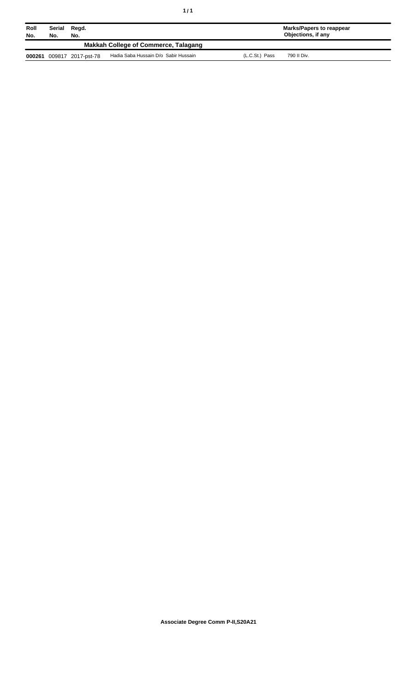| ٠<br>٠ |  |
|--------|--|
|        |  |

| Roll<br>No. | Serial<br>No.                        | Regd.<br>No.       |                                      |                | Marks/Papers to reappear<br>Objections, if any |  |  |
|-------------|--------------------------------------|--------------------|--------------------------------------|----------------|------------------------------------------------|--|--|
|             | Makkah College of Commerce, Talagang |                    |                                      |                |                                                |  |  |
| 000261      |                                      | 009817 2017-pst-78 | Hadia Saba Hussain D/o Sabir Hussain | (L.C.St.) Pass | 790 II Div.                                    |  |  |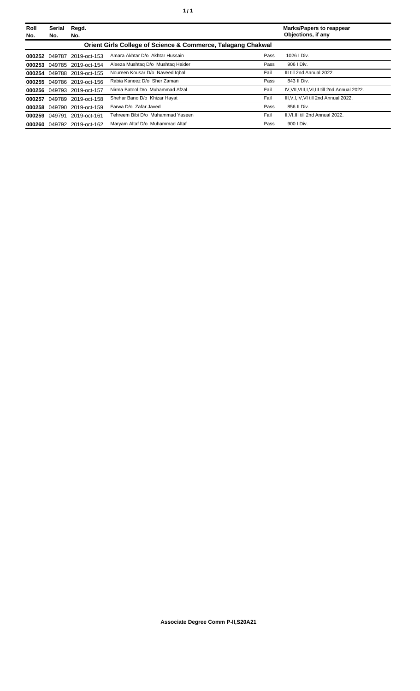| Roll<br>No. | <b>Serial</b><br>No.                                                    | Regd.<br>No.               |                                   |      | <b>Marks/Papers to reappear</b><br>Objections, if any |  |  |  |
|-------------|-------------------------------------------------------------------------|----------------------------|-----------------------------------|------|-------------------------------------------------------|--|--|--|
|             | <b>Orient Girls College of Science &amp; Commerce, Talagang Chakwal</b> |                            |                                   |      |                                                       |  |  |  |
|             | 000252 049787                                                           | 2019-oct-153               | Amara Akhtar D/o Akhtar Hussain   | Pass | $1026$ I Div.                                         |  |  |  |
|             |                                                                         | 000253 049785 2019-oct-154 | Aleeza Mushtag D/o Mushtag Haider | Pass | 906   Div.                                            |  |  |  |
|             |                                                                         | 000254 049788 2019-oct-155 | Noureen Kousar D/o Naveed Iqbal   | Fail | III till 2nd Annual 2022.                             |  |  |  |
|             |                                                                         | 000255 049786 2019-oct-156 | Rabia Kaneez D/o Sher Zaman       | Pass | 843 II Div.                                           |  |  |  |
|             | 000256 049793                                                           | 2019-oct-157               | Nirma Batool D/o Muhammad Afzal   | Fail | IV, VII, VIII, I, VI, III till 2nd Annual 2022.       |  |  |  |
| 000257      |                                                                         | 049789 2019-oct-158        | Shehar Bano D/o Khizar Hayat      | Fail | III, V, I, IV, VI till 2nd Annual 2022.               |  |  |  |
| 000258      |                                                                         | 049790 2019-oct-159        | Farwa D/o Zafar Javed             | Pass | 856 II Div.                                           |  |  |  |
|             |                                                                         | 000259 049791 2019-oct-161 | Tehreem Bibi D/o Muhammad Yaseen  | Fail | II.VI.III till 2nd Annual 2022.                       |  |  |  |
|             |                                                                         | 000260 049792 2019-oct-162 | Maryam Altaf D/o Muhammad Altaf   | Pass | 900   Div.                                            |  |  |  |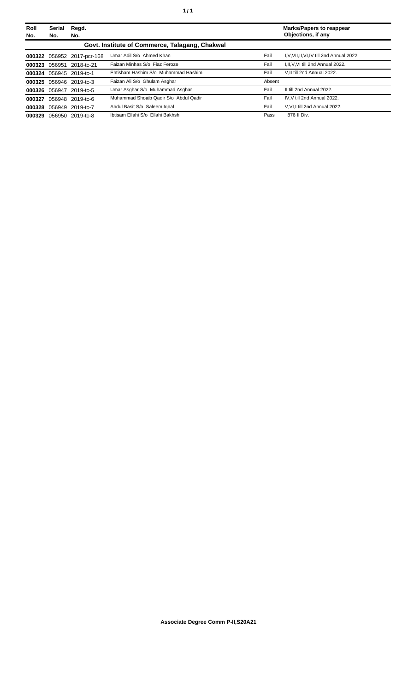| Roll | Serial        | Regd.                      |                                                |        | <b>Marks/Papers to reappear</b>        |
|------|---------------|----------------------------|------------------------------------------------|--------|----------------------------------------|
| No.  | No.           | No.                        |                                                |        | Objections, if any                     |
|      |               |                            | Govt. Institute of Commerce, Talagang, Chakwal |        |                                        |
|      |               | 000322 056952 2017-pcr-168 | Umar Adil S/o Ahmed Khan                       | Fail   | I.V.VII.II.VI.IV till 2nd Annual 2022. |
|      |               | 000323 056951 2018-tc-21   | Faizan Minhas S/o Fiaz Feroze                  | Fail   | I.II.V.VI till 2nd Annual 2022.        |
|      |               | 000324 056945 2019-tc-1    | Ehtisham Hashim S/o Muhammad Hashim            | Fail   | V.II till 2nd Annual 2022.             |
|      |               | 000325 056946 2019-tc-3    | Faizan Ali S/o Ghulam Asghar                   | Absent |                                        |
|      | 000326 056947 | 2019-tc-5                  | Umar Asghar S/o Muhammad Asghar                | Fail   | II till 2nd Annual 2022.               |
|      |               | 000327 056948 2019-tc-6    | Muhammad Shoaib Qadir S/o Abdul Qadir          | Fail   | IV.V till 2nd Annual 2022.             |
|      |               | 000328 056949 2019-tc-7    | Abdul Basit S/o Saleem Iqbal                   | Fail   | V.VI.I till 2nd Annual 2022.           |
|      |               | 000329 056950 2019-tc-8    | Ibtisam Ellahi S/o Ellahi Bakhsh               | Pass   | 876 II Div.                            |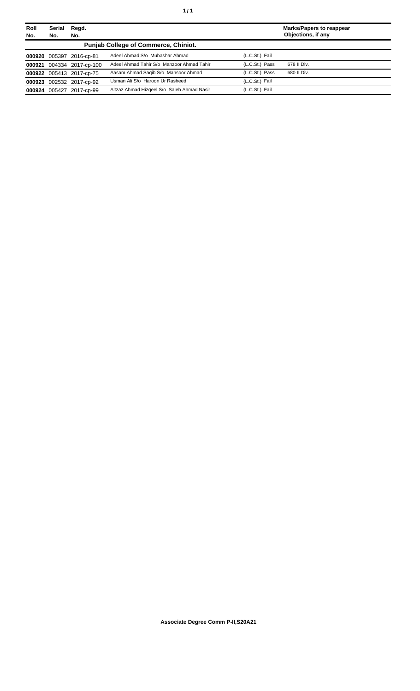| Roll<br>No. | Serial<br>No. | Regd.<br>No.              |                                             |                | <b>Marks/Papers to reappear</b><br>Objections, if any |
|-------------|---------------|---------------------------|---------------------------------------------|----------------|-------------------------------------------------------|
|             |               |                           | <b>Punjab College of Commerce, Chiniot.</b> |                |                                                       |
|             |               | 000920 005397 2016-cp-81  | Adeel Ahmad S/o Mubashar Ahmad              | (L.C.St.) Fail |                                                       |
|             |               | 000921 004334 2017-cp-100 | Adeel Ahmad Tahir S/o Manzoor Ahmad Tahir   | (L.C.St.) Pass | 678 II Div.                                           |
|             |               | 000922 005413 2017-cp-75  | Aasam Ahmad Saqib S/o Mansoor Ahmad         | (L.C.St.) Pass | 680 II Div.                                           |
|             |               | 000923 002532 2017-cp-92  | Usman Ali S/o Haroon Ur Rasheed             | (L.C.St.) Fail |                                                       |
|             |               | 000924 005427 2017-cp-99  | Aitzaz Ahmad Hizgeel S/o Saleh Ahmad Nasir  | (L.C.St.) Fail |                                                       |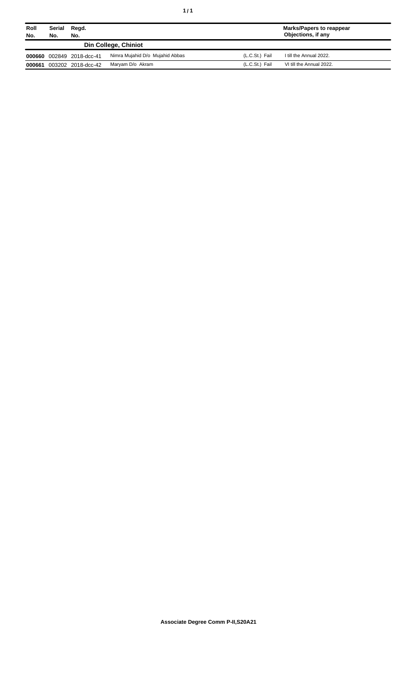| Roll<br>No. | Serial<br>No. | Regd.<br>No.       |                                 |                | <b>Marks/Papers to reappear</b><br>Objections, if any |
|-------------|---------------|--------------------|---------------------------------|----------------|-------------------------------------------------------|
|             |               |                    | Din College, Chiniot            |                |                                                       |
| 000660      |               | 002849 2018-dcc-41 | Nimra Mujahid D/o Mujahid Abbas | (L.C.St.) Fail | I till the Annual 2022.                               |
| 000661      |               | 003202 2018-dcc-42 | Maryam D/o Akram                | (L.C.St.) Fail | VI till the Annual 2022.                              |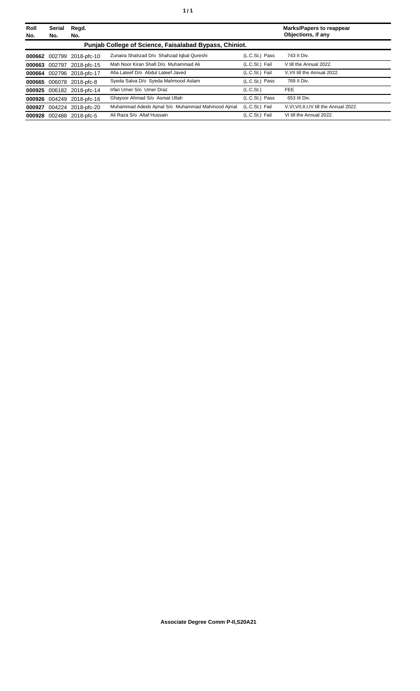| Roll<br>No. | <b>Serial</b><br>No.                                   | Regd.<br>No.              |                                                 |                | <b>Marks/Papers to reappear</b><br>Objections, if any |  |  |  |
|-------------|--------------------------------------------------------|---------------------------|-------------------------------------------------|----------------|-------------------------------------------------------|--|--|--|
|             | Punjab College of Science, Faisalabad Bypass, Chiniot. |                           |                                                 |                |                                                       |  |  |  |
|             |                                                        | 000662 002799 2018-pfc-10 | Zunaira Shahzad D/o Shahzad Iqbal Qureshi       | (L.C.St.) Pass | 743 II Div.                                           |  |  |  |
| 000663      | 002797                                                 | 2018-pfc-15               | Mah Noor Kiran Shafi D/o Muhammad Ali           | (L.C.St.) Fail | V till the Annual 2022.                               |  |  |  |
|             |                                                        | 000664 002796 2018-pfc-17 | Afia Lateef D/o Abdul Lateef Javed              | (L.C.St.) Fail | V.VII till the Annual 2022.                           |  |  |  |
|             |                                                        | 000665 006078 2018-pfc-8  | Syeda Salva D/o Syeda Mahmood Aslam             | (L.C.St.) Pass | 769 II Div.                                           |  |  |  |
|             |                                                        | 000925 006182 2018-pfc-14 | Irfan Umer S/o Umer Draz                        | (L.C.St.)      | FEE.                                                  |  |  |  |
|             |                                                        | 000926 004249 2018-pfc-16 | Ghayoor Ahmad S/o Asmat Ullah                   | (L.C.St.) Pass | 653 III Div.                                          |  |  |  |
|             |                                                        | 000927 004224 2018-pfc-20 | Muhammad Adeeb Ajmal S/o Muhammad Mahmood Ajmal | (L.C.St.) Fail | V, VI, VII, II, I, IV till the Annual 2022.           |  |  |  |
| 000928      |                                                        | 002488 2018-pfc-5         | Ali Raza S/o Altaf Hussain                      | (L.C.St.) Fail | VI till the Annual 2022.                              |  |  |  |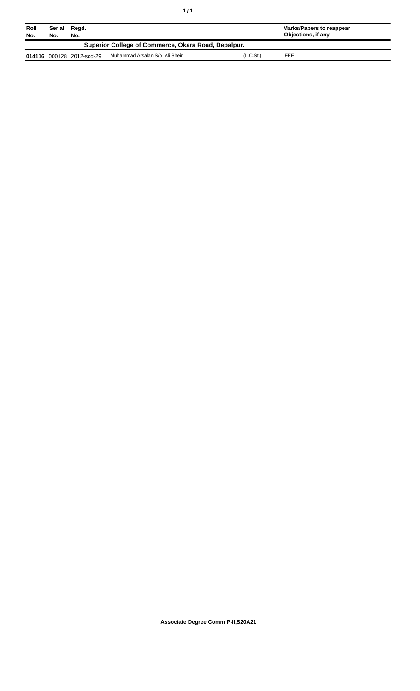| Roll<br>No.                                         | Serial<br>No. | Regd.<br>No.              |                                |                       | Marks/Papers to reappear<br>Objections, if any |  |
|-----------------------------------------------------|---------------|---------------------------|--------------------------------|-----------------------|------------------------------------------------|--|
| Superior College of Commerce, Okara Road, Depalpur. |               |                           |                                |                       |                                                |  |
|                                                     |               | 014116 000128 2012-scd-29 | Muhammad Arsalan S/o Ali Sheir | (L.C.S <sub>t</sub> ) | FEE                                            |  |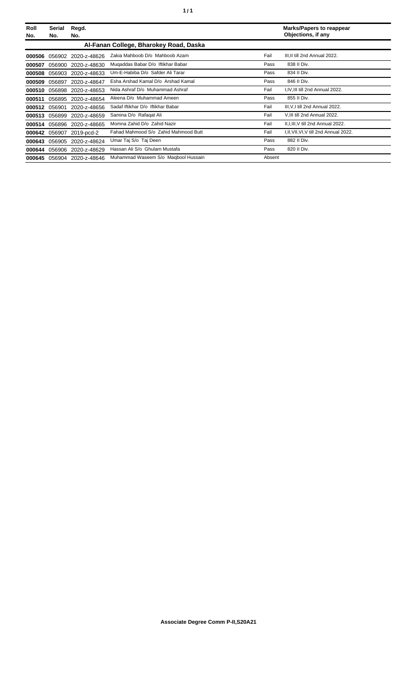| Roll<br>No. | Serial<br>No. | Regd.<br>No.        |                                        |        | <b>Marks/Papers to reappear</b><br>Objections, if any |
|-------------|---------------|---------------------|----------------------------------------|--------|-------------------------------------------------------|
|             |               |                     | Al-Fanan College, Bharokey Road, Daska |        |                                                       |
| 000506      | 056902        | 2020-z-48626        | Zakia Mahboob D/o Mahboob Azam         | Fail   | III, II till 2nd Annual 2022.                         |
| 000507      | 056900        | 2020-z-48630        | Mugaddas Babar D/o Iftikhar Babar      | Pass   | 838 II Div.                                           |
| 000508      |               | 056903 2020-z-48633 | Um-E-Habiba D/o Safder Ali Tarar       | Pass   | 834 II Div.                                           |
| 000509      | 056897        | 2020-z-48647        | Esha Arshad Kamal D/o Arshad Kamal     | Pass   | 846 II Div.                                           |
| 000510      | 056898        | 2020-z-48653        | Nida Ashraf D/o Muhammad Ashraf        | Fail   | I, IV, III till 2nd Annual 2022.                      |
| 000511      |               | 056895 2020-z-48654 | Aleena D/o Muhammad Ameen              | Pass   | 855 II Div.                                           |
| 000512      | 056901        | 2020-z-48656        | Sadaf Iftikhar D/o Iftikhar Babar      | Fail   | III, V, I till 2nd Annual 2022.                       |
| 000513      | 056899        | 2020-z-48659        | Samina D/o Rafaqat Ali                 | Fail   | V.III till 2nd Annual 2022.                           |
| 000514      | 056896        | 2020-z-48665        | Momna Zahid D/o Zahid Nazir            | Fail   | II, I, III, V till 2nd Annual 2022.                   |
| 000642      | 056907        | 2019-pcd-2          | Fahad Mahmood S/o Zahid Mahmood Butt   | Fail   | I, II, VII, VI, V till 2nd Annual 2022.               |
| 000643      | 056905        | 2020-z-48624        | Umar Taj S/o Taj Deen                  | Pass   | 882 II Div.                                           |
| 000644      | 056906        | 2020-z-48629        | Hassan Ali S/o Ghulam Mustafa          | Pass   | 820 II Div.                                           |
| 000645      |               | 056904 2020-z-48646 | Muhammad Waseem S/o Magbool Hussain    | Absent |                                                       |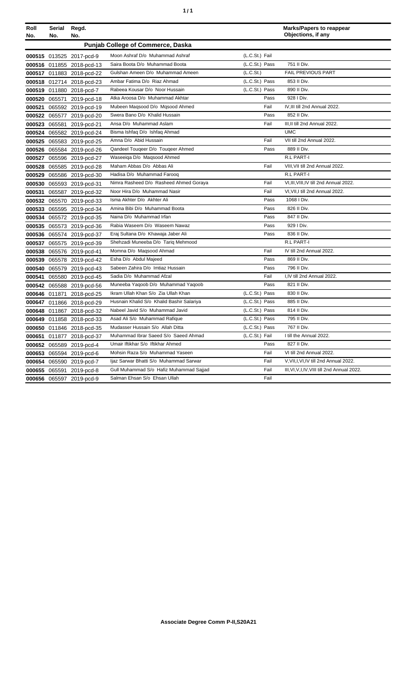| ٠ | ٠ |
|---|---|
|   |   |

| Roll<br>No. | Serial<br>No. | Regd.<br>No.              |                                           |                | <b>Marks/Papers to reappear</b><br>Objections, if any |
|-------------|---------------|---------------------------|-------------------------------------------|----------------|-------------------------------------------------------|
|             |               |                           | <b>Punjab College of Commerce, Daska</b>  |                |                                                       |
|             |               | 000515 013525 2017-pcd-9  | Moon Ashraf D/o Muhammad Ashraf           | (L.C.St.) Fail |                                                       |
|             |               | 000516 011855 2018-pcd-13 | Saira Boota D/o Muhammad Boota            | (L.C.St.) Pass | 751 II Div.                                           |
|             |               | 000517 011883 2018-pcd-22 | Gulshan Ameen D/o Muhammad Ameen          | (L.C.St.)      | <b>FAIL PREVIOUS PART</b>                             |
|             |               | 000518 012714 2018-pcd-23 | Ambar Fatima D/o Riaz Ahmad               | (L.C.St.) Pass | 853 II Div.                                           |
|             |               | 000519 011880 2018-pcd-7  | Rabeea Kousar D/o Noor Hussain            | (L.C.St.) Pass | 890 II Div.                                           |
|             |               | 000520 065571 2019-pcd-18 | Atka Aroosa D/o Muhammad Akhtar           | Pass           | 928 I Div.                                            |
|             |               | 000521 065592 2019-pcd-19 | Mubeen Magsood D/o Mgsood Ahmed           | Fail           | IV.III till 2nd Annual 2022.                          |
|             |               | 000522 065577 2019-pcd-20 | Swera Bano D/o Khalid Hussain             | Pass           | 852 II Div.                                           |
|             |               | 000523 065581 2019-pcd-21 | Ansa D/o Muhammad Aslam                   | Fail           | III, II till 2nd Annual 2022.                         |
|             |               | 000524 065582 2019-pcd-24 | Bisma Ishfaq D/o Ishfaq Ahmad             |                | <b>UMC</b>                                            |
|             |               | 000525 065583 2019-pcd-25 | Amna D/o Abid Hussain                     | Fail           | VII till 2nd Annual 2022.                             |
|             |               | 000526 065584 2019-pcd-26 | Qandeel Tougeer D/o Tougeer Ahmed         | Pass           | 889 II Div.                                           |
|             |               | 000527 065596 2019-pcd-27 | Waseeiga D/o Magsood Ahmed                |                | <b>R.L PART-I</b>                                     |
| 000528      |               | 065585 2019-pcd-28        | Maham Abbas D/o Abbas Ali                 | Fail           | VIII, VII till 2nd Annual 2022.                       |
| 000529      |               | 065586 2019-pcd-30        | Hadisa D/o Muhammad Faroog                |                | R.L PART-I                                            |
|             |               | 000530 065593 2019-pcd-31 | Nimra Rasheed D/o Rasheed Ahmed Goraya    | Fail           | VI, III, VIII, IV till 2nd Annual 2022.               |
|             |               | 000531 065587 2019-pcd-32 | Noor Hira D/o Muhammad Nasir              | Fail           | VI, VII, I till 2nd Annual 2022.                      |
|             |               | 000532 065570 2019-pcd-33 | Isma Akhter D/o Akhter Ali                | Pass           | 1068 I Div.                                           |
|             |               | 000533 065595 2019-pcd-34 | Amina Bibi D/o Muhammad Boota             | Pass           | 826 II Div.                                           |
|             |               | 000534 065572 2019-pcd-35 | Naina D/o Muhammad Irfan                  | Pass           | 847 II Div.                                           |
|             |               | 000535 065573 2019-pcd-36 | Rabia Waseem D/o Waseem Nawaz             | Pass           | 929   Div.                                            |
|             |               | 000536 065574 2019-pcd-37 | Eraj Sultana D/o Khawaja Jaber Ali        | Pass           | 836 II Div.                                           |
| 000537      |               | 065575 2019-pcd-39        | Shehzadi Muneeba D/o Tariq Mehmood        |                | <b>R.L PART-I</b>                                     |
|             |               | 000538 065576 2019-pcd-41 | Momna D/o Magsood Ahmad                   | Fail           | IV till 2nd Annual 2022.                              |
|             |               | 000539 065578 2019-pcd-42 | Esha D/o Abdul Majeed                     | Pass           | 869 II Div.                                           |
|             |               | 000540 065579 2019-pcd-43 | Sabeen Zahira D/o Imtiaz Hussain          | Pass           | 796 II Div.                                           |
|             |               | 000541 065580 2019-pcd-45 | Sadia D/o Muhammad Afzal                  | Fail           | I,IV till 2nd Annual 2022.                            |
| 000542      |               | 065588 2019-pcd-56        | Muneeba Yaqoob D/o Muhammad Yaqoob        | Pass           | 821 II Div.                                           |
| 000646      |               | 011871 2018-pcd-25        | Ikram Ullah Khan S/o Zia Ullah Khan       | (L.C.St.) Pass | 830 II Div.                                           |
|             |               | 000647 011866 2018-pcd-29 | Husnain Khalid S/o Khalid Bashir Salariya | (L.C.St.) Pass | 885 II Div.                                           |
|             |               | 000648 011867 2018-pcd-32 | Nabeel Javid S/o Muhammad Javid           | (L.C.St.) Pass | 814 II Div.                                           |
|             |               | 000649 011858 2018-pcd-33 | Asad Ali S/o Muhammad Rafique             | (L.C.St.) Pass | 795 II Div.                                           |
|             |               | 000650 011846 2018-pcd-35 | Mudasser Hussain S/o Allah Ditta          | (L.C.St.) Pass | 767 II Div.                                           |
| 000651      |               | 011877 2018-pcd-37        | Muhammad Ibrar Saeed S/o Saeed Ahmad      | (L.C.St.) Fail | I till the Annual 2022.                               |
|             |               | 000652 065589 2019-pcd-4  | Umair Iftikhar S/o Iftikhar Ahmed         | Pass           | 827 II Div.                                           |
|             |               | 000653 065594 2019-pcd-6  | Mohsin Raza S/o Muhammad Yaseen           | Fail           | VI till 2nd Annual 2022.                              |
|             |               | 000654 065590 2019-pcd-7  | Ijaz Sarwar Bhatti S/o Muhammad Sarwar    | Fail           | V, VII, I, VI, IV till 2nd Annual 2022.               |
|             |               | 000655 065591 2019-pcd-8  | Gull Muhammad S/o Hafiz Muhammad Sajjad   | Fail           | III, VI, V, I, IV, VIII till 2nd Annual 2022.         |
|             |               | 000656 065597 2019-pcd-9  | Salman Ehsan S/o Ehsan Ullah              | Fail           |                                                       |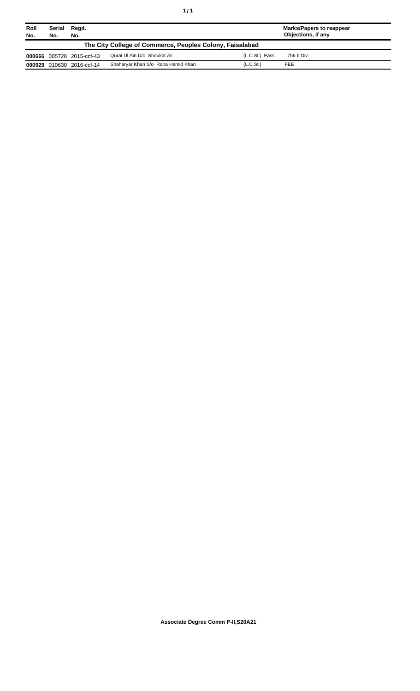| Roll<br>No.                                              | Serial<br>No. | Regd.<br>No.              |                                    |                       | Marks/Papers to reappear<br>Objections, if any |
|----------------------------------------------------------|---------------|---------------------------|------------------------------------|-----------------------|------------------------------------------------|
| The City College of Commerce, Peoples Colony, Faisalabad |               |                           |                                    |                       |                                                |
|                                                          |               | 000666 005728 2015-ccf-43 | Qurat UI Ain D/o Shoukat Ali       | (L.C.St.) Pass        | 756 II Div.                                    |
|                                                          |               | 000929 010630 2016-ccf-14 | Shaharyar Khan S/o Rana Hamid Khan | (L.C.S <sub>t</sub> ) | FEE                                            |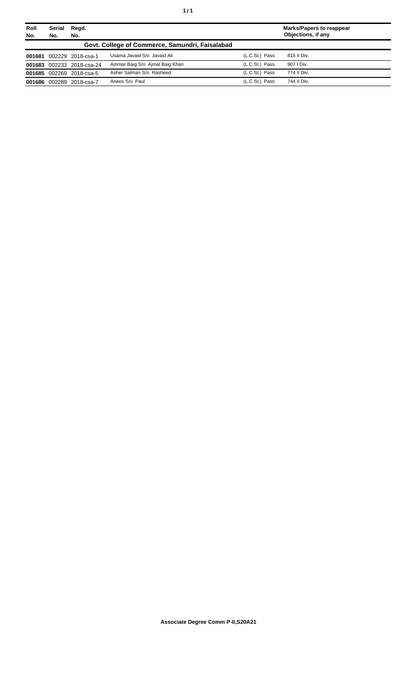| Roll<br>No. | Serial<br>No. | Regd.<br>No.              |                                                 |                | Marks/Papers to reappear<br>Objections, if any |
|-------------|---------------|---------------------------|-------------------------------------------------|----------------|------------------------------------------------|
|             |               |                           | Govt. College of Commerce, Samundri, Faisalabad |                |                                                |
| 001681      |               | 002229 2018-csa-1         | Usama Javaid S/o Javaid Ali                     | (L.C.St.) Pass | 815 II Div.                                    |
|             |               | 001683 002233 2018-csa-24 | Ammar Baig S/o Ajmal Baig Khan                  | (L.C.St.) Pass | 907   Div.                                     |
|             |               | 001685 002269 2018-csa-5  | Asher Salman S/o Rasheed                        | (L.C.St.) Pass | 774 II Div.                                    |
| 001686      |               | 002289 2018-csa-7         | Anees S/o Paul                                  | (L.C.St.) Pass | 744 II Div.                                    |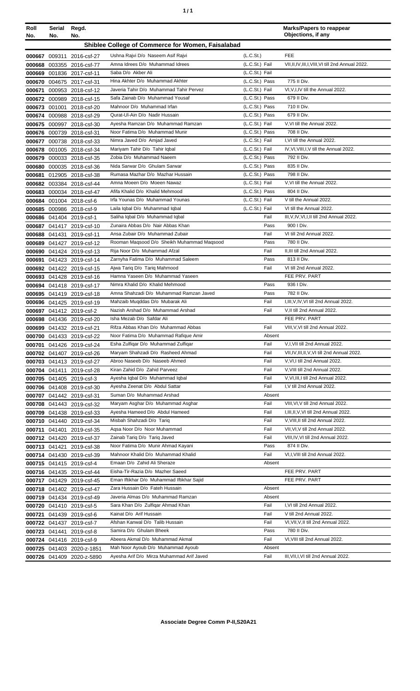| Roll<br>No. | Serial<br>No. | Regd.<br>No.                                           |                                                                               |                       | <b>Marks/Papers to reappear</b><br>Objections, if any |
|-------------|---------------|--------------------------------------------------------|-------------------------------------------------------------------------------|-----------------------|-------------------------------------------------------|
|             |               |                                                        | Shiblee College of Commerce for Women, Faisalabad                             |                       |                                                       |
|             |               |                                                        | Ushna Rajvi D/o Naseem Asif Rajvi                                             | (L.C.S <sub>t</sub> ) | <b>FEE</b>                                            |
|             |               | 000667 009311 2016-csf-27<br>000668 003355 2016-csf-77 | Amna Idrees D/o Muhammad Idrees                                               | (L.C.St.) Fail        | VII, II, IV, III, I, VIII, VI till 2nd Annual 2022.   |
|             |               | 000669 001836 2017-csf-11                              | Saba D/o Akber Ali                                                            | (L.C.St.) Fail        |                                                       |
|             |               | 000670 004675 2017-csf-31                              | Hina Akhter D/o Muhammad Akhter                                               | (L.C.St.) Pass        | 775 II Div.                                           |
| 000671      |               | 000953 2018-csf-12                                     | Javeria Tahir D/o Muhammad Tahir Pervez                                       | (L.C.St.) Fail        | VI, V, I, IV till the Annual 2022.                    |
|             |               | 000672 000989 2018-csf-15                              | Safa Zainab D/o Muhammad Yousaf                                               | (L.C.St.) Pass        | 679 II Div.                                           |
|             |               | 000673 001001 2018-csf-20                              | Mahnoor D/o Muhammad Irfan                                                    | (L.C.St.) Pass        | 710 II Div.                                           |
|             |               | 000674 000988 2018-csf-29                              | Qurat-Ul-Ain D/o Nadir Hussain                                                | (L.C.St.) Pass        | 679 II Div.                                           |
|             |               | 000675 000997 2018-csf-30                              | Ayesha Ramzan D/o Muhammad Ramzan                                             | (L.C.St.) Fail        | V.VI till the Annual 2022.                            |
|             |               | 000676 000739 2018-csf-31                              | Noor Fatima D/o Muhammad Munir                                                | (L.C.St.) Pass        | 708 II Div.                                           |
|             |               | 000677 000738 2018-csf-33                              | Nimra Javed D/o Amjad Javed                                                   | (L.C.St.) Fail        | I, VI till the Annual 2022.                           |
|             |               | 000678 001005 2018-csf-34                              | Mariyam Tahir D/o Tahir Iqbal                                                 | (L.C.St.) Fail        | IV, VI, VIII, I, V till the Annual 2022.              |
|             |               | 000679 000033 2018-csf-35                              | Zobia D/o Muhammad Naeem                                                      | (L.C.St.) Pass        | 792 II Div.                                           |
|             |               | 000680 000035 2018-csf-36                              | Nida Sarwar D/o Ghulam Sarwar                                                 | (L.C.St.) Pass        | 835 II Div.                                           |
|             |               | 000681 012905 2018-csf-38                              | Rumasa Mazhar D/o Mazhar Hussain                                              | (L.C.St.) Pass        | 798 II Div.                                           |
|             |               | 000682 003384 2018-csf-44                              | Amna Moeen D/o Moeen Nawaz                                                    | (L.C.St.) Fail        | V, VI till the Annual 2022.                           |
|             |               | 000683 000034 2018-csf-47                              | Afifa Khalid D/o Khalid Mehmood                                               | (L.C.St.) Pass        | 804 II Div.                                           |
|             |               | 000684 001004 2018-csf-6                               | Irfa Younas D/o Muhammad Younas                                               | (L.C.St.) Fail        | V till the Annual 2022.                               |
|             |               | 000685 000986 2018-csf-9                               | Laila Iqbal D/o Muhammad Iqbal                                                | (L.C.St.) Fail        | VI till the Annual 2022.                              |
|             |               | 000686 041404 2019-csf-1                               | Saliha Iqbal D/o Muhammad Iqbal                                               | Fail                  | III, V, IV, VI, I, II till 2nd Annual 2022.           |
|             |               | 000687 041417 2019-csf-10                              | Zunaira Abbas D/o Nair Abbas Khan                                             | Pass                  | 900 I Div.                                            |
|             |               | 000688 041431 2019-csf-11                              | Ansa Zubair D/o Muhammad Zubair                                               | Fail                  | VI till 2nd Annual 2022.                              |
|             |               | 000689 041427 2019-csf-12                              | Rooman Maqsood D/o Sheikh Muhammad Maqsood                                    | Pass                  | 780 II Div.                                           |
|             |               | 000690 041424 2019-csf-13                              | Rija Noor D/o Muhammad Afzal                                                  | Fail                  | II, III till 2nd Annual 2022.                         |
|             |               | 000691 041423 2019-csf-14                              | Zarnyha Fatima D/o Muhammad Saleem                                            | Pass                  | 813 II Div.                                           |
|             |               | 000692 041422 2019-csf-15                              | Ajwa Tariq D/o Tariq Mahmood<br>Hamna Yaseen D/o Muhammad Yaseen              | Fail                  | VI till 2nd Annual 2022.<br>FEE PRV. PART             |
|             |               | 000693 041428 2019-csf-16                              | Nimra Khalid D/o Khalid Mehmood                                               | Pass                  | 936 I Div.                                            |
|             |               | 000694 041418 2019-csf-17                              | Amna Shahzadi D/o Muhammad Ramzan Javed                                       | Pass                  | 782 II Div.                                           |
|             |               | 000695 041419 2019-csf-18<br>000696 041425 2019-csf-19 | Mahzaib Muqddas D/o Mubarak Ali                                               | Fail                  | I, III, V, IV, VI till 2nd Annual 2022.               |
|             |               | 000697 041412 2019-csf-2                               | Nazish Arshad D/o Muhammad Arshad                                             | Fail                  | V, II till 2nd Annual 2022.                           |
|             |               | 000698 041436 2019-csf-20                              | Isha Mezab D/o Safdar Ali                                                     |                       | FEE PRV. PART                                         |
|             |               | 000699 041432 2019-csf-21                              | Rifza Abbas Khan D/o Muhammad Abbas                                           | Fail                  | VIII, V, VI till 2nd Annual 2022.                     |
|             |               | 000700 041433 2019-csf-22                              | Noor Fatima D/o Muhammad Rafique Amir                                         | Absent                |                                                       |
|             |               | 000701 041426 2019-csf-24                              | Esha Zulfiqar D/o Muhammad Zulfiqar                                           | Fail                  | V,I, VII till 2nd Annual 2022.                        |
|             |               | 000702 041407 2019-csf-26                              | Maryam Shahzadi D/o Rasheed Ahmad                                             | Fail                  | VII, IV, III, II, V, VI till 2nd Annual 2022.         |
|             |               | 000703 041413 2019-csf-27                              | Abroo Naseeb D/o Naseeb Ahmed                                                 | Fail                  | V, VI, I till 2nd Annual 2022.                        |
|             |               | 000704 041411 2019-csf-28                              | Kiran Zahid D/o Zahid Parveez                                                 | Fail                  | V, VIII till 2nd Annual 2022.                         |
|             |               | 000705 041405 2019-csf-3                               | Ayesha Iqbal D/o Muhammad Iqbal                                               | Fail                  | V, VI, III, I till 2nd Annual 2022.                   |
|             |               | 000706 041408 2019-csf-30                              | Ayesha Zeenat D/o Abdul Sattar                                                | Fail                  | I, V till 2nd Annual 2022.                            |
|             |               | 000707 041442 2019-csf-31                              | Suman D/o Muhammad Arshad                                                     | Absent                |                                                       |
|             |               | 000708 041443 2019-csf-32                              | Maryam Asghar D/o Muhammad Asghar                                             | Fail                  | VIII, VI, V till 2nd Annual 2022.                     |
|             |               | 000709 041438 2019-csf-33                              | Ayesha Hameed D/o Abdul Hameed                                                | Fail                  | I, III, II, V, VI till 2nd Annual 2022.               |
|             |               | 000710 041440 2019-csf-34                              | Misbah Shahzadi D/o Tariq                                                     | Fail                  | V, VIII, II till 2nd Annual 2022.                     |
|             | 000711 041401 | 2019-csf-35                                            | Agsa Noor D/o Noor Muhammad                                                   | Fail                  | VII, VI, V till 2nd Annual 2022.                      |
|             |               | 000712 041420 2019-csf-37                              | Zainab Tariq D/o Tariq Javed                                                  | Fail                  | VIII, IV, VI till 2nd Annual 2022.                    |
|             | 000713 041421 | 2019-csf-38                                            | Noor Fatima D/o Munir Ahmad Kayani                                            | Pass                  | 874 II Div.                                           |
|             |               | 000714 041430 2019-csf-39                              | Mahnoor Khalid D/o Muhammad Khalid                                            | Fail                  | VI, I, VIII till 2nd Annual 2022.                     |
|             |               | 000715 041415 2019-csf-4                               | Emaan D/o Zahid Ali Sheraze                                                   | Absent                |                                                       |
|             |               | 000716 041435 2019-csf-44                              | Eisha-Tir-Razia D/o Mazher Saeed<br>Eman Iftikhar D/o Muhammad Iftikhar Sajid |                       | FEE PRV. PART<br>FEE PRV. PART                        |
|             |               | 000717 041429 2019-csf-45                              | Zara Hussain D/o Fateh Hussain                                                | Absent                |                                                       |
|             |               | 000718 041402 2019-csf-47                              | Javeria Almas D/o Muhammad Ramzan                                             | Absent                |                                                       |
|             |               | 000719 041434 2019-csf-49<br>000720 041410 2019-csf-5  | Sara Khan D/o Zulfiqar Ahmad Khan                                             | Fail                  | I, VI till 2nd Annual 2022.                           |
|             |               | 000721 041439 2019-csf-6                               | Kainat D/o Arif Hussain                                                       | Fail                  | V till 2nd Annual 2022.                               |
|             |               | 000722 041437 2019-csf-7                               | Afshan Kanwal D/o Talib Hussain                                               | Fail                  | VI, VII, V, II till 2nd Annual 2022.                  |
|             |               | 000723 041441 2019-csf-8                               | Samira D/o Ghulam Bheek                                                       | Pass                  | 780 II Div.                                           |
|             |               | 000724 041416 2019-csf-9                               | Abeera Akmal D/o Muhammad Akmal                                               | Fail                  | VI, VIII till 2nd Annual 2022.                        |
|             |               | 000725 041403 2020-z-1851                              | Mah Noor Ayoub D/o Muhammad Ayoub                                             | Absent                |                                                       |
|             |               | 000726 041409 2020-z-5890                              | Ayesha Arif D/o Mirza Muhammad Arif Javed                                     | Fail                  | III, VII, I, VI till 2nd Annual 2022.                 |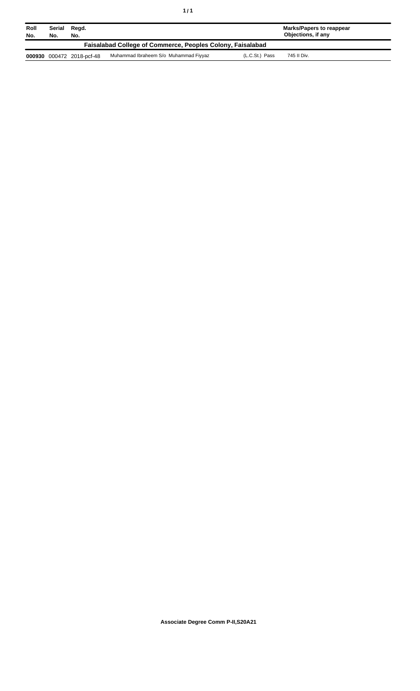| Roll<br>No.                                                       | Serial<br>No. | Regd.<br>No.              |                                       |                | Marks/Papers to reappear<br>Objections, if any |  |
|-------------------------------------------------------------------|---------------|---------------------------|---------------------------------------|----------------|------------------------------------------------|--|
| <b>Faisalabad College of Commerce, Peoples Colony, Faisalabad</b> |               |                           |                                       |                |                                                |  |
|                                                                   |               | 000930 000472 2018-pcf-48 | Muhammad Ibraheem S/o Muhammad Fiyyaz | (L.C.St.) Pass | 745 II Div.                                    |  |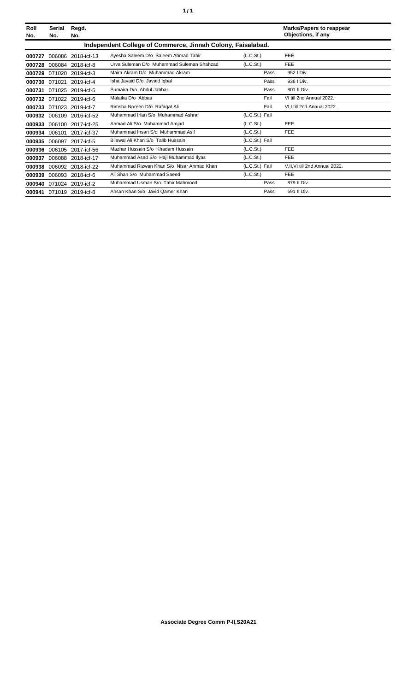| Roll<br>No. | <b>Serial</b><br>No. | Regd.<br>No.             |                                                             |                | <b>Marks/Papers to reappear</b><br>Objections, if any |
|-------------|----------------------|--------------------------|-------------------------------------------------------------|----------------|-------------------------------------------------------|
|             |                      |                          | Independent College of Commerce, Jinnah Colony, Faisalabad. |                |                                                       |
| 000727      | 006086               | 2018-icf-13              | Ayesha Saleem D/o Saleem Ahmad Tahir                        | (L.C.St.)      | <b>FEE</b>                                            |
| 000728      | 006084               | 2018-icf-8               | Urva Suleman D/o Muhammad Suleman Shahzad                   | (L.C.St.)      | <b>FEE</b>                                            |
| 000729      | 071020               | 2019-icf-3               | Maira Akram D/o Muhammad Akram                              | Pass           | 952   Div.                                            |
| 000730      | 071021               | 2019-icf-4               | Isha Javaid D/o Javaid Igbal                                | Pass           | 936   Div.                                            |
| 000731      |                      | 071025 2019-icf-5        | Sumaira D/o Abdul Jabbar                                    | Pass           | 801 II Div.                                           |
|             |                      | 000732 071022 2019-icf-6 | Malaika D/o Abbas                                           | Fail           | VI till 2nd Annual 2022.                              |
| 000733      |                      | 071023 2019-icf-7        | Rimsha Noreen D/o Rafagat Ali                               | Fail           | VI.I till 2nd Annual 2022.                            |
| 000932      |                      | 006109 2016-icf-52       | Muhammad Irfan S/o Muhammad Ashraf                          | (L.C.St.) Fail |                                                       |
| 000933      | 006100               | 2017-icf-25              | Ahmad Ali S/o Muhammad Amiad                                | (L.C.St.)      | <b>FEE</b>                                            |
| 000934      | 006101               | 2017-icf-37              | Muhammad Ihsan S/o Muhammad Asif                            | (L.C.St.)      | <b>FEE</b>                                            |
| 000935      |                      | 006097 2017-icf-5        | Bilawal Ali Khan S/o Talib Hussain                          | (L.C.St.) Fail |                                                       |
| 000936      |                      | 006105 2017-icf-56       | Mazhar Hussain S/o Khadam Hussain                           | (L.C.St.)      | <b>FEE</b>                                            |
| 000937      | 006088               | 2018-icf-17              | Muhammad Asad S/o Haji Muhammad Ilyas                       | (L.C.St.)      | <b>FEE</b>                                            |
| 000938      | 006092               | 2018-icf-22              | Muhammad Rizwan Khan S/o Nisar Ahmad Khan                   | (L.C.St.) Fail | V, II, VI till 2nd Annual 2022.                       |
| 000939      | 006093               | 2018-icf-6               | Ali Shan S/o Muhammad Saeed                                 | (L.C.St.)      | <b>FEE</b>                                            |
| 000940      | 071024               | 2019-icf-2               | Muhammad Usman S/o Tahir Mahmood                            | Pass           | 879 II Div.                                           |
|             |                      | 000941 071019 2019-icf-8 | Ahsan Khan S/o Javid Qamer Khan                             | Pass           | 691 II Div.                                           |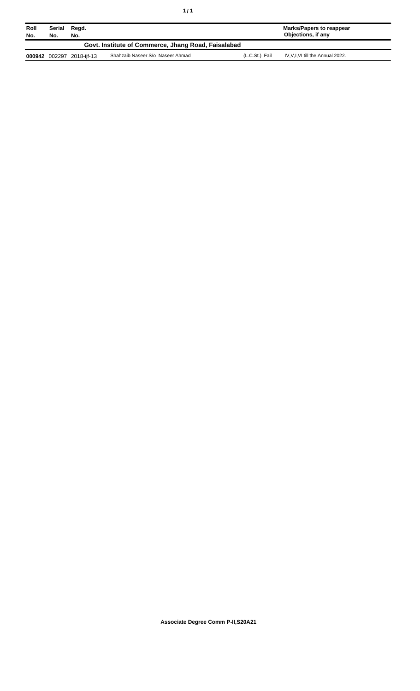| Roll<br>No. | Serial<br>No.                                       | Regd.<br>No.              |                                  |                | Marks/Papers to reappear<br>Objections, if any |  |
|-------------|-----------------------------------------------------|---------------------------|----------------------------------|----------------|------------------------------------------------|--|
|             | Govt. Institute of Commerce, Jhang Road, Faisalabad |                           |                                  |                |                                                |  |
|             |                                                     | 000942 002297 2018-iif-13 | Shahzaib Naseer S/o Naseer Ahmad | (L.C.St.) Fail | IV, V, I, VI till the Annual 2022.             |  |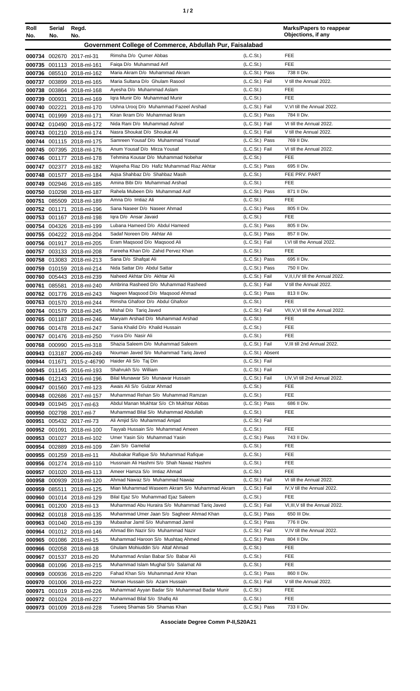| ٠ |  |
|---|--|
|---|--|

| Roll<br>No. | Serial<br>No.                                            | Regd.<br>No.                                           |                                                                                    |                                                | <b>Marks/Papers to reappear</b><br>Objections, if any |
|-------------|----------------------------------------------------------|--------------------------------------------------------|------------------------------------------------------------------------------------|------------------------------------------------|-------------------------------------------------------|
|             | Government College of Commerce, Abdullah Pur, Faisalabad |                                                        |                                                                                    |                                                |                                                       |
|             |                                                          |                                                        | Rimsha D/o Qumer Abbas                                                             | (L.C.S <sub>t</sub> )                          | FEE                                                   |
| 000735      |                                                          | 000734 002670 2017-ml-31<br>001113 2018-ml-161         | Faiga D/o Muhammad Arif                                                            | (L.C.St.)                                      | <b>FEE</b>                                            |
|             |                                                          | 000736 085510 2018-ml-162                              | Maria Akram D/o Muhammad Akram                                                     | (L.C.St.) Pass                                 | 738 II Div.                                           |
| 000737      |                                                          | 003899 2018-ml-165                                     | Maria Sultana D/o Ghulam Rasool                                                    | (L.C.St.) Fail                                 | V till the Annual 2022.                               |
|             |                                                          | 000738 003864 2018-ml-168                              | Ayesha D/o Muhammad Aslam                                                          | (L.C.S <sub>t</sub> )                          | <b>FEE</b>                                            |
|             | 000739 000931                                            | 2018-ml-169                                            | Igra Munir D/o Muhammad Munir                                                      | (L.C.S <sub>t</sub> )                          | FEE                                                   |
|             | 000740 002221                                            | 2018-ml-170                                            | Ushna Urooj D/o Muhammad Fazeel Arshad                                             | (L.C.St.) Fail                                 | V, VI till the Annual 2022.                           |
| 000741      |                                                          | 001999 2018-ml-171                                     | Kiran Ikram D/o Muhammad Ikram                                                     | (L.C.St.) Pass                                 | 784 II Div.                                           |
|             |                                                          | 000742 010490 2018-ml-172                              | Nida Rani D/o Muhammad Ashraf<br>Nasra Shoukat D/o Shoukat Ali                     | (L.C.St.) Fail<br>(L.C.St.) Fail               | VI till the Annual 2022.<br>V till the Annual 2022.   |
|             |                                                          | 000743 001210 2018-ml-174                              | Samreen Yousaf D/o Muhammad Yousaf                                                 | (L.C.St.) Pass                                 | 769 II Div.                                           |
|             |                                                          | 000744 001115 2018-ml-175<br>000745 007395 2018-ml-176 | Anum Yousaf D/o Mirza Yousaf                                                       | (L.C.St.) Fail                                 | VI till the Annual 2022.                              |
|             |                                                          | 000746 001177 2018-ml-178                              | Tehmina Kousar D/o Muhammad Nobehar                                                | (L.C.S <sub>t</sub> )                          | <b>FEE</b>                                            |
| 000747      |                                                          | 002377 2018-ml-182                                     | Wajeeha Riaz D/o Hafiz Muhammad Riaz Akhtar                                        | (L.C.St.) Pass                                 | 695 II Div.                                           |
|             |                                                          | 000748 001577 2018-ml-184                              | Aqsa Shahbaz D/o Shahbaz Masih                                                     | (L.C.S <sub>t</sub> )                          | FEE PRV. PART                                         |
| 000749      |                                                          | 002946 2018-ml-185                                     | Amina Bibi D/o Muhammad Arshad                                                     | (L.C.St.)                                      | FEE                                                   |
| 000750      |                                                          | 010298 2018-ml-187                                     | Rahela Mubeen D/o Muhammad Asif                                                    | (L.C.St.) Pass                                 | 871 II Div.                                           |
| 000751      |                                                          | 085509 2018-ml-189                                     | Amna D/o Imtiaz Ali                                                                | (L.C.St.)                                      | FEE                                                   |
|             |                                                          | 000752 001171 2018-ml-196                              | Sana Naseer D/o Naseer Ahmad                                                       | (L.C.St.) Pass                                 | 805 II Div.<br><b>FEE</b>                             |
|             |                                                          | 000753 001167 2018-ml-198<br>000754 004326 2018-ml-199 | Igra D/o Ansar Javaid<br>Lubana Hameed D/o Abdul Hameed                            | (L.C.S <sub>t</sub> )<br>(L.C.St.) Pass        | 805 II Div.                                           |
|             |                                                          | 000755 004222 2018-ml-204                              | Sadaf Noreen D/o Akhtar Ali                                                        | (L.C.St.) Pass                                 | 857 II Div.                                           |
|             |                                                          | 000756 001917 2018-ml-205                              | Eram Magsood D/o Magsood Ali                                                       | (L.C.St.) Fail                                 | I, VI till the Annual 2022.                           |
|             |                                                          | 000757 003133 2018-ml-208                              | Fareeha Khan D/o Zahid Pervez Khan                                                 | (L.C.St.)                                      | <b>FEE</b>                                            |
|             |                                                          | 000758 013083 2018-ml-213                              | Sana D/o Shafqat Ali                                                               | (L.C.St.) Pass                                 | 695 II Div.                                           |
|             |                                                          | 000759 010159 2018-ml-214                              | Nida Sattar D/o Abdul Sattar                                                       | (L.C.St.) Pass                                 | 750 II Div.                                           |
|             |                                                          | 000760 005443 2018-ml-239                              | Naheed Akhtar D/o Akhtar Ali                                                       | (L.C.St.) Fail                                 | V, II, I, IV till the Annual 2022.                    |
| 000761      |                                                          | 085581 2018-ml-240                                     | Ambrina Rasheed D/o Muhammad Rasheed                                               | (L.C.St.) Fail                                 | V till the Annual 2022.                               |
|             |                                                          | 000762 001776 2018-ml-243                              | Nageen Magsood D/o Magsood Ahmad<br>Rimsha Ghafoor D/o Abdul Ghafoor               | (L.C.St.) Pass<br>(L.C.St.)                    | 813 II Div.<br><b>FEE</b>                             |
|             |                                                          | 000763 001570 2018-ml-244<br>000764 001579 2018-ml-245 | Mishal D/o Tarig Javed                                                             | (L.C.St.) Fail                                 | VII, V, VI till the Annual 2022.                      |
| 000765      |                                                          | 001187 2018-ml-246                                     | Maryam Arshad D/o Muhammad Arshad                                                  | (L.C.St.)                                      | <b>FEE</b>                                            |
|             |                                                          | 000766 001478 2018-ml-247                              | Sania Khalid D/o Khalid Hussain                                                    | (L.C.St.)                                      | <b>FEE</b>                                            |
|             |                                                          | 000767 001476 2018-ml-250                              | Yusra D/o Nasir Ali                                                                | (L.C.St.)                                      | FEE                                                   |
|             |                                                          | 000768 000990 2015-ml-318                              | Shazia Saleem D/o Muhammad Saleem                                                  | (L.C.St.) Fail                                 | V, III till 2nd Annual 2022.                          |
|             |                                                          | 000943 013187 2006-ml-249                              | Nouman Javed S/o Muhammad Tariq Javed                                              | (L.C.St.) Absent                               |                                                       |
|             |                                                          | 000944 011671 2015-z-46790                             | Haider Ali S/o Taj Din                                                             | (L.C.St.) Fail                                 |                                                       |
|             |                                                          | 000945 011145 2016-ml-193                              | Shahrukh S/o William<br>Bilal Munawar S/o Munawar Hussain                          | (L.C.St.) Fail<br>(L.C.St.) Fail               |                                                       |
|             |                                                          | 000946 012143 2016-ml-196                              | Awais Ali S/o Gulzar Ahmad                                                         | (L.C.St.)                                      | I,IV, VI till 2nd Annual 2022.<br><b>FEE</b>          |
|             |                                                          | 000947 001560 2017-ml-123<br>000948 002686 2017-ml-157 | Muhammad Rehan S/o Muhammad Ramzan                                                 | (L.C.S <sub>t</sub> )                          | <b>FEE</b>                                            |
| 000949      |                                                          | 001945 2017-ml-63                                      | Abdul Manan Mukhtar S/o Ch Mukhtar Abbas                                           | (L.C.St.) Pass                                 | 686 II Div.                                           |
|             |                                                          | 000950 002798 2017-ml-7                                | Muhammad Bilal S/o Muhammad Abdullah                                               | (L.C.St.)                                      | <b>FEE</b>                                            |
| 000951      |                                                          | 005432 2017-ml-73                                      | Ali Amjid S/o Muhammad Amjad                                                       | (L.C.St.) Fail                                 |                                                       |
|             |                                                          | 000952 001091 2018-ml-100                              | Tayyab Hussain S/o Muhammad Ameen                                                  | (L.C.S <sub>t</sub> )                          | <b>FEE</b>                                            |
|             |                                                          | 000953 001027 2018-ml-102                              | Umer Yasin S/o Muhammad Yasin                                                      | (L.C.St.) Pass                                 | 743 II Div.                                           |
|             |                                                          | 000954 002889 2018-ml-109                              | Zain S/o Gamelial                                                                  | (L.C.S <sub>t</sub> )                          | FEE                                                   |
|             |                                                          | 000955 001259 2018-ml-11                               | Abubakar Rafique S/o Muhammad Rafique<br>Hussnain Ali Hashmi S/o Shah Nawaz Hashmi | (L.C.St.)<br>(L.C.S <sub>t</sub> )             | <b>FEE</b><br><b>FEE</b>                              |
|             |                                                          | 000956 001274 2018-ml-110<br>000957 001020 2018-ml-113 | Ameer Hamza S/o Imtiaz Ahmad                                                       | (L.C.S <sub>t</sub> )                          | <b>FEE</b>                                            |
|             |                                                          | 000958 000939 2018-ml-120                              | Ahmad Nawaz S/o Muhammad Nawaz                                                     | (L.C.St.) Fail                                 | VI till the Annual 2022.                              |
|             | 000959 085511                                            | 2018-ml-125                                            | Mian Muhammad Waseem Akram S/o Muhammad Akram                                      | (L.C.St.) Fail                                 | IV, V till the Annual 2022.                           |
|             |                                                          | 000960 001014 2018-ml-129                              | Bilal Ejaz S/o Muhammad Ejaz Saleem                                                | (L.C.S <sub>t</sub> )                          | <b>FEE</b>                                            |
|             |                                                          | 000961 001200 2018-ml-13                               | Muhammad Abu Huraira S/o Muhammad Tariq Javed                                      | (L.C.St.) Fail                                 | VI, III, V till the Annual 2022.                      |
|             |                                                          | 000962 001018 2018-ml-135                              | Muhammad Umer Jaan S/o Sagheer Ahmad Khan                                          | (L.C.St.) Pass                                 | 650 III Div.                                          |
|             |                                                          | 000963 001040 2018-ml-139                              | Mubashar Jamil S/o Muhammad Jamil                                                  | (L.C.St.) Pass                                 | 776 II Div.                                           |
| 000964      |                                                          | 001012 2018-ml-146                                     | Ahmad Bin Nazir S/o Muhammad Nazir                                                 | (L.C.St.) Fail                                 | V, IV till the Annual 2022.                           |
|             |                                                          | 000965 001086 2018-ml-15                               | Muhammad Haroon S/o Mushtaq Ahmed                                                  | (L.C.St.) Pass                                 | 804 II Div.<br><b>FEE</b>                             |
| 000967      |                                                          | 000966 002058 2018-ml-18<br>001537 2018-ml-20          | Ghulam Mohiuddin S/o Altaf Ahmad<br>Muhammad Arslan Babar S/o Babar Ali            | (L.C.S <sub>t</sub> )<br>(L.C.S <sub>t</sub> ) | <b>FEE</b>                                            |
|             |                                                          | 000968 001096 2018-ml-215                              | Muhammad Islam Mughal S/o Salamat Ali                                              | (L.C.S <sub>t</sub> )                          | <b>FEE</b>                                            |
|             |                                                          | 000969 000936 2018-ml-220                              | Fahad Khan S/o Muhammad Amir Khan                                                  | (L.C.St.) Pass                                 | 860 II Div.                                           |
|             |                                                          | 000970 001006 2018-ml-222                              | Noman Hussain S/o Azam Hussain                                                     | (L.C.St.) Fail                                 | V till the Annual 2022.                               |
| 000971      |                                                          | 001019 2018-ml-226                                     | Muhammad Ayyan Badar S/o Muhammad Badar Munir                                      | (L.C.St.)                                      | <b>FEE</b>                                            |
|             |                                                          | 000972 001024 2018-ml-227                              | Muhammad Bilal S/o Shafiq Ali                                                      | (L.C.St.)                                      | <b>FEE</b>                                            |
|             |                                                          | 000973 001009 2018-ml-228                              | Tuseeq Shamas S/o Shamas Khan                                                      | (L.C.St.) Pass                                 | 733 II Div.                                           |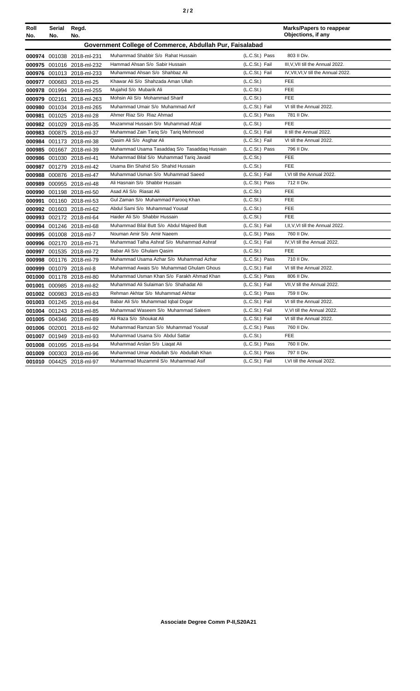|--|--|--|

| Roll   | Serial | Regd.                     |                                                          |                | <b>Marks/Papers to reappear</b>      |
|--------|--------|---------------------------|----------------------------------------------------------|----------------|--------------------------------------|
| No.    | No.    | No.                       |                                                          |                | Objections, if any                   |
|        |        |                           | Government College of Commerce, Abdullah Pur, Faisalabad |                |                                      |
|        |        | 000974 001038 2018-ml-231 | Muhammad Shabbir S/o Rahat Hussain                       | (L.C.St.) Pass | 803 II Div.                          |
|        |        | 000975 001016 2018-ml-232 | Hammad Ahsan S/o Sabir Hussain                           | (L.C.St.) Fail | III, V, VII till the Annual 2022.    |
|        |        | 000976 001013 2018-ml-233 | Muhammad Ahsan S/o Shahbaz Ali                           | (L.C.St.) Fail | IV, VII, VI, V till the Annual 2022. |
|        |        | 000977 000683 2018-ml-25  | Khawar Ali S/o Shahzada Aman Ullah                       | (L.C.St.)      | FEE                                  |
|        |        | 000978 001994 2018-ml-255 | Mujahid S/o Mubarik Ali                                  | (L.C.St.)      | FEE                                  |
|        |        | 000979 002161 2018-ml-263 | Mohsin Ali S/o Mohammad Sharif                           | (L.C.St.)      | FEE                                  |
|        |        | 000980 001034 2018-ml-265 | Muhammad Umair S/o Muhammad Arif                         | (L.C.St.) Fail | VI till the Annual 2022.             |
|        |        | 000981 001025 2018-ml-28  | Ahmer Riaz S/o Riaz Ahmad                                | (L.C.St.) Pass | 781 II Div.                          |
|        |        | 000982 001029 2018-ml-35  | Muzammal Hussain S/o Muhammad Afzal                      | (L.C.St.)      | FEE                                  |
|        |        | 000983 000875 2018-ml-37  | Muhammad Zain Tariq S/o Tariq Mehmood                    | (L.C.St.) Fail | II till the Annual 2022.             |
|        |        | 000984 001173 2018-ml-38  | Qasim Ali S/o Asghar Ali                                 | (L.C.St.) Fail | VI till the Annual 2022.             |
|        |        | 000985 001667 2018-ml-39  | Muhammad Usama Tasaddag S/o Tasaddag Hussain             | (L.C.St.) Pass | 796 II Div.                          |
|        |        | 000986 001030 2018-ml-41  | Muhammad Bilal S/o Muhammad Tariq Javaid                 | (L.C.St.)      | <b>FEE</b>                           |
| 000987 |        | 001279 2018-ml-42         | Usama Bin Shahid S/o Shahid Hussain                      | (L.C.St.)      | <b>FEE</b>                           |
|        |        | 000988 000876 2018-ml-47  | Muhammad Usman S/o Muhammad Saeed                        | (L.C.St.) Fail | I, VI till the Annual 2022.          |
|        |        | 000989 000955 2018-ml-48  | Ali Hasnain S/o Shabbir Hussain                          | (L.C.St.) Pass | 712 II Div.                          |
|        |        | 000990 001198 2018-ml-50  | Asad Ali S/o Riasat Ali                                  | (L.C.St.)      | FEE                                  |
| 000991 |        | 001160 2018-ml-53         | Gul Zaman S/o Muhammad Faroog Khan                       | (L.C.St.)      | FEE                                  |
|        |        | 000992 001603 2018-ml-62  | Abdul Sami S/o Muhammad Yousaf                           | (L.C.St.)      | <b>FEE</b>                           |
|        |        | 000993 002172 2018-ml-64  | Haider Ali S/o Shabbir Hussain                           | (L.C.St.)      | FEE                                  |
|        |        | 000994 001246 2018-ml-68  | Muhammad Bilal Butt S/o Abdul Majeed Butt                | (L.C.St.) Fail | I, II, V, VI till the Annual 2022.   |
|        |        | 000995 001008 2018-ml-7   | Nouman Amir S/o Amir Naeem                               | (L.C.St.) Pass | 760 II Div.                          |
|        |        | 000996 002170 2018-ml-71  | Muhammad Talha Ashraf S/o Muhammad Ashraf                | (L.C.St.) Fail | IV, VI till the Annual 2022.         |
|        |        | 000997 001535 2018-ml-72  | Babar Ali S/o Ghulam Qasim                               | (L.C.St.)      | FEE                                  |
|        |        | 000998 001176 2018-ml-79  | Muhammad Usama Azhar S/o Muhammad Azhar                  | (L.C.St.) Pass | 710 II Div.                          |
|        |        | 000999 001079 2018-ml-8   | Muhammad Awais S/o Muhammad Ghulam Ghous                 | (L.C.St.) Fail | VI till the Annual 2022.             |
|        |        | 001000 001178 2018-ml-80  | Muhammad Usman Khan S/o Farakh Ahmad Khan                | (L.C.St.) Pass | 806 II Div.                          |
| 001001 |        | 000985 2018-ml-82         | Muhammad Ali Sulaiman S/o Shahadat Ali                   | (L.C.St.) Fail | VII, V till the Annual 2022.         |
|        |        | 001002 000983 2018-ml-83  | Rehman Akhtar S/o Muhammad Akhtar                        | (L.C.St.) Pass | 759 II Div.                          |
|        |        | 001003 001245 2018-ml-84  | Babar Ali S/o Muhammad Iqbal Dogar                       | (L.C.St.) Fail | VI till the Annual 2022.             |
|        |        | 001004 001243 2018-ml-85  | Muhammad Waseem S/o Muhammad Saleem                      | (L.C.St.) Fail | V, VI till the Annual 2022.          |
|        |        | 001005 004346 2018-ml-89  | Ali Raza S/o Shoukat Ali                                 | (L.C.St.) Fail | VI till the Annual 2022.             |
|        |        | 001006 002001 2018-ml-92  | Muhammad Ramzan S/o Muhammad Yousaf                      | (L.C.St.) Pass | 760 II Div.                          |
|        |        | 001007 001949 2018-ml-93  | Muhammad Usama S/o Abdul Sattar                          | (L.C.St.)      | <b>FEE</b>                           |
|        |        | 001008 001095 2018-ml-94  | Muhammad Arslan S/o Liagat Ali                           | (L.C.St.) Pass | 760 II Div.                          |
|        |        | 001009 000303 2018-ml-96  | Muhammad Umar Abdullah S/o Abdullah Khan                 | (L.C.St.) Pass | 797 II Div.                          |
|        |        | 001010 004425 2018-ml-97  | Muhammad Muzammil S/o Muhammad Asif                      | (L.C.St.) Fail | I.VI till the Annual 2022.           |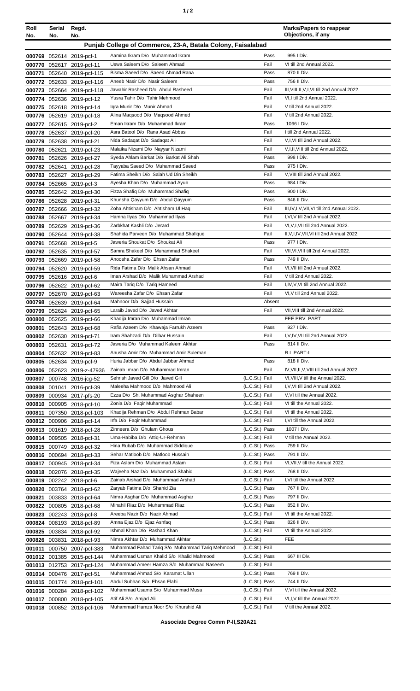| ٠ |  |  |
|---|--|--|
|---|--|--|

| Roll   | Serial     | Regd.                      |                                                             |                |        | <b>Marks/Papers to reappear</b><br>Objections, if any |
|--------|------------|----------------------------|-------------------------------------------------------------|----------------|--------|-------------------------------------------------------|
| No.    | No.<br>No. |                            |                                                             |                |        |                                                       |
|        |            |                            | Punjab College of Commerce, 23-A, Batala Colony, Faisalabad |                |        |                                                       |
|        |            | 000769 052614 2019-pcf-1   | Aamina Ikram D/o Muhammad Ikram                             |                | Pass   | 995   Div.                                            |
|        |            | 000770 052617 2019-pcf-11  | Uswa Saleem D/o Saleem Ahmad                                | Fail           |        | VI till 2nd Annual 2022.                              |
|        |            | 000771 052640 2019-pcf-115 | Bisma Saeed D/o Saeed Ahmad Rana                            |                | Pass   | 870 II Div.                                           |
|        |            | 000772 052633 2019-pcf-116 | Aneeb Nasir D/o Nasir Saleem                                |                | Pass   | 756 II Div.                                           |
|        |            | 000773 052664 2019-pcf-118 | Jawahir Rasheed D/o Abdul Rasheed                           | Fail           |        | III, VIII, II, V, I, VI till 2nd Annual 2022.         |
|        |            | 000774 052636 2019-pcf-12  | Yusra Tahir D/o Tahir Mehmood                               | Fail           |        | VI,I till 2nd Annual 2022.                            |
|        |            | 000775 052618 2019-pcf-14  | Igra Munir D/o Munir Ahmad                                  | Fail           |        | V till 2nd Annual 2022.                               |
|        |            | 000776 052619 2019-pcf-18  | Alina Magsood D/o Magsood Ahmed                             | Fail           |        | V till 2nd Annual 2022.                               |
| 000777 |            | 052615 2019-pcf-2          | Eman Ikram D/o Muhammad Ikram                               |                | Pass   | 1066   Div.                                           |
|        |            | 000778 052637 2019-pcf-20  | Asra Batool D/o Rana Asad Abbas                             | Fail           |        | I till 2nd Annual 2022.                               |
|        |            | 000779 052638 2019-pcf-21  | Nida Sadaqat D/o Sadaqat Ali                                | Fail           |        | V,I,VI till 2nd Annual 2022.                          |
|        |            | 000780 052621 2019-pcf-23  | Malaika Nizami D/o Nayyar Nizami                            | Fail           |        | V,I,II, VIII till 2nd Annual 2022.                    |
| 000781 |            | 052626 2019-pcf-27         | Syeda Ahlam Barkat D/o Barkat Ali Shah                      |                | Pass   | 998 I Div.                                            |
|        |            | 000782 052641 2019-pcf-28  | Tayyaba Saeed D/o Muhammad Saeed                            |                | Pass   | 975   Div.                                            |
|        |            | 000783 052627 2019-pcf-29  | Fatima Sheikh D/o Salah Ud Din Sheikh                       | Fail           |        | V, VIII till 2nd Annual 2022.                         |
|        |            | 000784 052665 2019-pcf-3   | Ayesha Khan D/o Muhammad Ayub                               |                | Pass   | 984   Div.                                            |
|        |            | 000785 052642 2019-pcf-30  | Fizza Shafiq D/o Muhammad Shafiq                            |                | Pass   | 900   Div.                                            |
|        |            | 000786 052628 2019-pcf-31  | Khunsha Qayyum D/o Abdul Qayyum                             |                | Pass   | 846 II Div.                                           |
|        |            | 000787 052666 2019-pcf-32  | Zoha Ahtisham D/o Ahtisham UI Haq                           | Fail           |        | III, IV, I, V, VII, VI till 2nd Annual 2022.          |
|        |            | 000788 052667 2019-pcf-34  | Hamna Ilyas D/o Muhammad Ilyas                              | Fail           |        | I, VI, V till 2nd Annual 2022.                        |
|        |            | 000789 052629 2019-pcf-36  | Zarbkhat Kashli D/o Jerard                                  | Fail           |        | VI, V, I, VII till 2nd Annual 2022.                   |
|        |            | 000790 052644 2019-pcf-38  | Shahida Parveen D/o Muhammad Shafique                       | Fail           |        | II, V, I, IV, VII, VI till 2nd Annual 2022.           |
| 000791 |            | 052668 2019-pcf-5          | Jaweria Shoukat D/o Shoukat Ali                             |                | Pass   | 977   Div.                                            |
|        |            | 000792 052635 2019-pcf-57  | Samra Shakeel D/o Muhammad Shakeel                          | Fail           |        | VII, VI, VIII till 2nd Annual 2022.                   |
|        |            | 000793 052669 2019-pcf-58  | Anoosha Zafar D/o Ehsan Zafar                               |                | Pass   | 749 II Div.                                           |
|        |            | 000794 052620 2019-pcf-59  | Rida Fatima D/o Malik Ahsan Ahmad                           | Fail           |        | VI, VII till 2nd Annual 2022.                         |
|        |            | 000795 052616 2019-pcf-6   | Iman Arshad D/o Malik Muhammad Arshad                       | Fail           |        | V till 2nd Annual 2022.                               |
| 000796 |            | 052622 2019-pcf-62         | Maira Tariq D/o Tariq Hameed                                | Fail           |        | I, IV, V, VI till 2nd Annual 2022.                    |
| 000797 |            | 052670 2019-pcf-63         | Wareesha Zafar D/o Ehsan Zafar                              | Fail           |        | VI, V till 2nd Annual 2022.                           |
| 000798 |            | 052639 2019-pcf-64         | Mahnoor D/o Sajjad Hussain                                  |                | Absent |                                                       |
|        |            | 000799 052624 2019-pcf-65  | Laraib Javed D/o Javed Akhtar                               | Fail           |        | VII, VIII till 2nd Annual 2022.                       |
| 000800 |            | 052625 2019-pcf-66         | Khadija Imran D/o Muhammad Imran                            |                |        | FEE PRV. PART                                         |
|        |            | 000801 052643 2019-pcf-68  | Rafia Azeem D/o Khawaja Farrukh Azeem                       |                | Pass   | 927   Div.                                            |
|        |            | 000802 052630 2019-pcf-71  | Iram Shahzadi D/o Dilbar Hussain                            | Fail           |        | I,V,IV,VII till 2nd Annual 2022.                      |
|        |            | 000803 052631 2019-pcf-72  | Jaweria D/o Muhammad Kaleem Akhtar                          |                | Pass   | 814 II Div.                                           |
|        |            | 000804 052632 2019-pcf-83  | Anusha Amir D/o Muhammad Amir Suleman                       |                |        | R.L PART-I                                            |
|        |            | 000805 052634 2019-pcf-9   | Huria Jabbar D/o Abdul Jabbar Ahmad                         |                | Pass   | 818 II Div.                                           |
|        |            | 000806 052623 2019-z-47936 | Zainab Imran D/o Muhammad Imran                             | Fail           |        | IV, VII, II, V, VIII till 2nd Annual 2022.            |
|        |            | 000807 000748 2016-jcg-52  | Sehrish Javed Gill D/o Javed Gill                           | (L.C.St.) Fail |        | VI, VIII, V till the Annual 2022.                     |
| 000808 |            | 001041 2016-pcf-39         | Maleeha Mahmood D/o Mahmood Ali                             | (L.C.St.) Fail |        | I, V, VI till 2nd Annual 2022.                        |
| 000809 |            | 000934 2017-pfs-20         | Ezza D/o Sh. Muhammad Asghar Shaheen                        | (L.C.St.) Fail |        | V, VI till the Annual 2022.                           |
|        |            | 000810 000905 2018-pcf-10  | Zonia D/o Faqir Muhammad                                    | (L.C.St.) Fail |        | VI till the Annual 2022.                              |
| 000811 |            | 007350 2018-pcf-103        | Khadija Rehman D/o Abdul Rehman Babar                       | (L.C.St.) Fail |        | VI till the Annual 2022.                              |
|        |            | 000812 000906 2018-pcf-14  | Irfa D/o Faqir Muhammad                                     | (L.C.St.) Fail |        | I, VI till the Annual 2022.                           |
|        |            | 000813 001619 2018-pcf-28  | Zinneera D/o Ghulam Ghous                                   | (L.C.St.) Pass |        | 1007 I Div.                                           |
|        |            | 000814 009505 2018-pcf-31  | Uma-Habiba D/o Attiq-Ur-Rehman                              | (L.C.St.) Fail |        | V till the Annual 2022.                               |
|        |            | 000815 000749 2018-pcf-32  | Hina Rubab D/o Muhammad Siddique                            | (L.C.St.) Pass |        | 759 II Div.                                           |
| 000816 |            | 000694 2018-pcf-33         | Sehar Matloob D/o Matloob Hussain                           | (L.C.St.) Pass |        | 791 II Div.                                           |
|        |            | 000817 000945 2018-pcf-34  | Fiza Aslam D/o Muhammad Aslam                               | (L.C.St.) Fail |        | VI, VII, V till the Annual 2022.                      |
|        |            | 000818 002076 2018-pcf-35  | Wajeeha Naz D/o Muhammad Shahid                             | (L.C.St.) Pass |        | 768 II Div.                                           |
|        |            | 000819 002242 2018-pcf-6   | Zainab Arshad D/o Muhammad Arshad                           | (L.C.St.) Fail |        | I, VI till the Annual 2022.                           |
|        |            | 000820 003764 2018-pcf-62  | Zaryab Fatima D/o Shahid Zia                                | (L.C.St.) Pass |        | 767 II Div.                                           |
| 000821 |            | 003833 2018-pcf-64         | Nimra Asghar D/o Muhammad Asghar                            | (L.C.St.) Pass |        | 797 II Div.                                           |
|        |            | 000822 000805 2018-pcf-68  | Minahil Riaz D/o Muhammad Riaz                              | (L.C.St.) Pass |        | 852 II Div.                                           |
|        |            | 000823 002243 2018-pcf-8   | Areeba Nazir D/o Nazir Ahmad                                | (L.C.St.) Fail |        | VI till the Annual 2022.                              |
|        |            | 000824 008193 2018-pcf-89  | Amna Ejaz D/o Ejaz Ashfaq                                   | (L.C.St.) Pass |        | 826 II Div.                                           |
|        |            | 000825 003834 2018-pcf-92  | Ishmal Khan D/o Rashad Khan                                 | (L.C.St.) Fail |        | VI till the Annual 2022.                              |
|        |            | 000826 003831 2018-pcf-93  | Nimra Akhtar D/o Muhammad Akhtar                            | (L.C.St.)      |        | <b>FEE</b>                                            |
| 001011 |            | 000750 2007-pcf-383        | Muhammad Fahad Tariq S/o Muhammad Tariq Mehmood             | (L.C.St.) Fail |        |                                                       |
|        |            | 001012 001385 2015-pcf-144 | Muhammad Usman Khalid S/o Khalid Mahmood                    | (L.C.St.) Pass |        | 667 III Div.                                          |
|        |            | 001013 012753 2017-pcf-124 | Muhammad Ameer Hamza S/o Muhammad Naseem                    | (L.C.St.) Fail |        |                                                       |
|        |            | 001014 000476 2017-pcf-51  | Muhammad Ahmad S/o Karamat Ullah                            | (L.C.St.) Pass |        | 769 II Div.                                           |
|        |            | 001015 001774 2018-pcf-101 | Abdul Subhan S/o Ehsan Elahi                                | (L.C.St.) Pass |        | 744 II Div.                                           |
|        |            | 001016 000284 2018-pcf-102 | Muhammad Usama S/o Muhammad Musa                            | (L.C.St.) Fail |        | V, VI till the Annual 2022.                           |
|        |            | 001017 000800 2018-pcf-105 | Atif Ali S/o Amjad Ali                                      | (L.C.St.) Fail |        | VI,I, V till the Annual 2022.                         |
|        |            | 001018 000852 2018-pcf-106 | Muhammad Hamza Noor S/o Khurshid Ali                        | (L.C.St.) Fail |        | V till the Annual 2022.                               |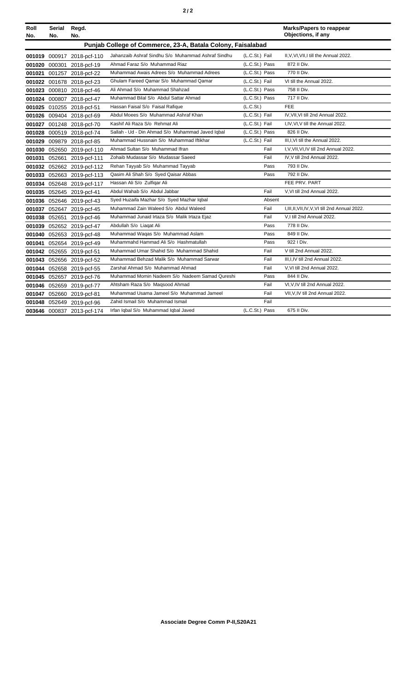|--|--|--|

| Roll<br>No. | Serial<br>No.                                               | Regd.<br>No.               |                                                    |                | <b>Marks/Papers to reappear</b><br>Objections, if any |  |  |
|-------------|-------------------------------------------------------------|----------------------------|----------------------------------------------------|----------------|-------------------------------------------------------|--|--|
|             | Punjab College of Commerce, 23-A, Batala Colony, Faisalabad |                            |                                                    |                |                                                       |  |  |
|             |                                                             | 001019 000917 2018-pcf-110 | Jahanzaib Ashraf Sindhu S/o Muhammad Ashraf Sindhu | (L.C.St.) Fail | II, V, VI, VII, I till the Annual 2022.               |  |  |
|             |                                                             | 001020 000301 2018-pcf-19  | Ahmad Faraz S/o Muhammad Riaz                      | (L.C.St.) Pass | 872 II Div.                                           |  |  |
|             |                                                             | 001021 001257 2018-pcf-22  | Muhammad Awais Adrees S/o Muhammad Adrees          | (L.C.St.) Pass | 770 II Div.                                           |  |  |
|             |                                                             | 001022 001678 2018-pcf-23  | Ghulam Fareed Qamar S/o Muhammad Qamar             | (L.C.St.) Fail | VI till the Annual 2022.                              |  |  |
|             |                                                             | 001023 000810 2018-pcf-46  | Ali Ahmad S/o Muhammad Shahzad                     | (L.C.St.) Pass | 758 II Div.                                           |  |  |
|             |                                                             | 001024 000807 2018-pcf-47  | Muhammad Bilal S/o Abdul Sattar Ahmad              | (L.C.St.) Pass | 717 II Div.                                           |  |  |
|             |                                                             | 001025 010255 2018-pcf-51  | Hassan Faisal S/o Faisal Rafique                   | (L.C.St.)      | <b>FEE</b>                                            |  |  |
|             |                                                             | 001026 009404 2018-pcf-69  | Abdul Moees S/o Muhammad Ashraf Khan               | (L.C.St.) Fail | IV, VII, VI till 2nd Annual 2022.                     |  |  |
|             |                                                             | 001027 001248 2018-pcf-70  | Kashif Ali Raza S/o Rehmat Ali                     | (L.C.St.) Fail | I, IV, VI, V till the Annual 2022.                    |  |  |
|             |                                                             | 001028 000519 2018-pcf-74  | Sallah - Ud - Din Ahmad S/o Muhammad Javed Iqbal   | (L.C.St.) Pass | 826 II Div.                                           |  |  |
|             |                                                             | 001029 009879 2018-pcf-85  | Muhammad Hussnain S/o Muhammad Iftikhar            | (L.C.St.) Fail | III, I, VI till the Annual 2022.                      |  |  |
|             |                                                             | 001030 052650 2019-pcf-110 | Ahmad Sultan S/o Muhammad Ifran                    | Fail           | I, V, VII, VI, IV till 2nd Annual 2022.               |  |  |
|             |                                                             | 001031 052661 2019-pcf-111 | Zohaib Mudassar S/o Mudassar Saeed                 | Fail           | IV, V till 2nd Annual 2022.                           |  |  |
|             |                                                             | 001032 052662 2019-pcf-112 | Rehan Tayyab S/o Muhammad Tayyab                   | Pass           | 793 II Div.                                           |  |  |
|             |                                                             | 001033 052663 2019-pcf-113 | Qasim Ali Shah S/o Syed Qaisar Abbas               | Pass           | 792 II Div.                                           |  |  |
|             |                                                             | 001034 052648 2019-pcf-117 | Hassan Ali S/o Zulfigar Ali                        |                | FEE PRV. PART                                         |  |  |
|             |                                                             | 001035 052645 2019-pcf-41  | Abdul Wahab S/o Abdul Jabbar                       | Fail           | V, VI till 2nd Annual 2022.                           |  |  |
|             |                                                             | 001036 052646 2019-pcf-43  | Syed Huzaifa Mazhar S/o Syed Mazhar Iqbal          | Absent         |                                                       |  |  |
|             |                                                             | 001037 052647 2019-pcf-45  | Muhammad Zain Waleed S/o Abdul Waleed              | Fail           | I, III, II, VII, IV, V, VI till 2nd Annual 2022.      |  |  |
|             |                                                             | 001038 052651 2019-pcf-46  | Muhammad Junaid Irtaza S/o Malik Irtaza Ejaz       | Fail           | V.I till 2nd Annual 2022.                             |  |  |
|             |                                                             | 001039 052652 2019-pcf-47  | Abdullah S/o Liaqat Ali                            | Pass           | 778 II Div.                                           |  |  |
|             |                                                             | 001040 052653 2019-pcf-48  | Muhammad Waqas S/o Muhammad Aslam                  | Pass           | 849 II Div.                                           |  |  |
|             |                                                             | 001041 052654 2019-pcf-49  | Muhammahd Hammad Ali S/o Hashmatullah              | Pass           | 922   Div.                                            |  |  |
|             |                                                             | 001042 052655 2019-pcf-51  | Muhammad Umar Shahid S/o Muhammad Shahid           | Fail           | V till 2nd Annual 2022.                               |  |  |
|             |                                                             | 001043 052656 2019-pcf-52  | Muhammad Behzad Malik S/o Muhammad Sarwar          | Fail           | III.I.IV till 2nd Annual 2022.                        |  |  |
|             |                                                             | 001044 052658 2019-pcf-55  | Zarshal Ahmad S/o Muhammad Ahmad                   | Fail           | V, VI till 2nd Annual 2022.                           |  |  |
|             |                                                             | 001045 052657 2019-pcf-76  | Muhammad Momin Nadeem S/o Nadeem Samad Qureshi     | Pass           | 844 II Div.                                           |  |  |
|             |                                                             | 001046 052659 2019-pcf-77  | Ahtsham Raza S/o Magsood Ahmad                     | Fail           | VI, VIV till 2nd Annual 2022.                         |  |  |
|             |                                                             | 001047 052660 2019-pcf-81  | Muhammad Usama Jameel S/o Muhammad Jameel          | Fail           | VII, V, IV till 2nd Annual 2022.                      |  |  |
|             |                                                             | 001048 052649 2019-pcf-96  | Zahid Ismail S/o Muhammad Ismail                   | Fail           |                                                       |  |  |
|             |                                                             | 003646 000837 2013-pcf-174 | Irfan Iqbal S/o Muhammad Iqbal Javed               | (L.C.St.) Pass | 675 II Div.                                           |  |  |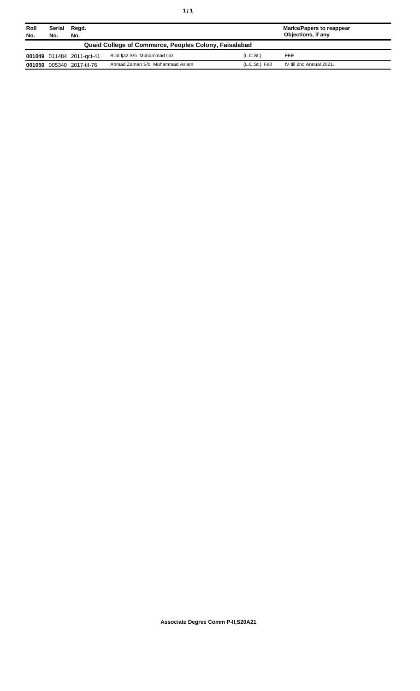| Roll<br>No. | Serial<br>No.                                         | Regd.<br>No.              |                                |                       | <b>Marks/Papers to reappear</b><br>Objections, if any |  |
|-------------|-------------------------------------------------------|---------------------------|--------------------------------|-----------------------|-------------------------------------------------------|--|
|             | Quaid College of Commerce, Peoples Colony, Faisalabad |                           |                                |                       |                                                       |  |
|             |                                                       | 001049 011484 2011-gcf-41 | Bilal ljaz S/o Muhammad ljaz   | (L.C.S <sub>t</sub> ) | <b>FEE</b>                                            |  |
| 001050      |                                                       | 005340 2017-tif-76        | Ahmad Zaman S/o Muhammad Aslam | (L.C.St.) Fail        | IV till 2nd Annual 2021.                              |  |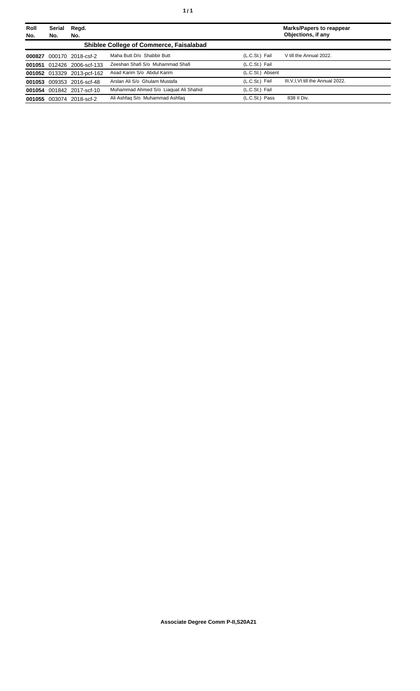| Roll<br>No. | <b>Serial</b><br>No. | Regd.<br>No.               |                                                |                  | <b>Marks/Papers to reappear</b><br>Objections, if any |
|-------------|----------------------|----------------------------|------------------------------------------------|------------------|-------------------------------------------------------|
|             |                      |                            | <b>Shiblee College of Commerce, Faisalabad</b> |                  |                                                       |
| 000827      |                      | 000170 2018-csf-2          | Maha Butt D/o Shabbir Butt                     | (L.C.St.) Fail   | V till the Annual 2022.                               |
|             |                      | 001051 012426 2006-scf-133 | Zeeshan Shafi S/o Muhammad Shafi               | (L.C.St.) Fail   |                                                       |
|             |                      | 001052 013329 2013-pcf-162 | Asad Karim S/o Abdul Karim                     | (L.C.St.) Absent |                                                       |
|             |                      | 001053 009353 2016-scf-48  | Arslan Ali S/o Ghulam Mustafa                  | (L.C.St.) Fail   | III, V, I, VI till the Annual 2022.                   |
|             |                      | 001054 001842 2017-scf-10  | Muhammad Ahmed S/o Liaguat Ali Shahid          | (L.C.St.) Fail   |                                                       |
|             |                      | 001055 003074 2018-scf-2   | Ali Ashfaq S/o Muhammad Ashfaq                 | (L.C.St.) Pass   | 838 II Div.                                           |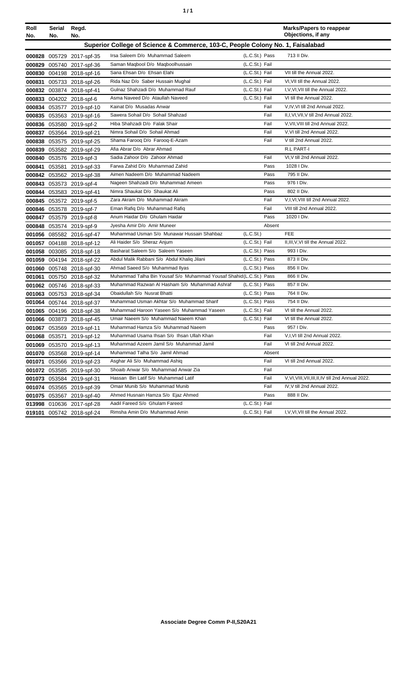| ٠ | ٠ |
|---|---|
|   |   |

| Roll<br>No. | Serial<br>No.                                                                  | Regd.<br>No.              |                                                                     |                | <b>Marks/Papers to reappear</b><br>Objections, if any |  |
|-------------|--------------------------------------------------------------------------------|---------------------------|---------------------------------------------------------------------|----------------|-------------------------------------------------------|--|
|             | Superior College of Science & Commerce, 103-C, People Colony No. 1, Faisalabad |                           |                                                                     |                |                                                       |  |
|             |                                                                                | 000828 005729 2017-spf-35 | Irsa Saleem D/o Muhammad Saleem                                     | (L.C.St.) Pass | 713 II Div.                                           |  |
|             |                                                                                | 000829 005740 2017-spf-36 | Saman Maqbool D/o Maqboolhussain                                    | (L.C.St.) Fail |                                                       |  |
|             |                                                                                | 000830 004198 2018-spf-16 | Sana Ehsan D/o Ehsan Elahi                                          | (L.C.St.) Fail | VII till the Annual 2022.                             |  |
|             |                                                                                | 000831 005733 2018-spf-26 | Rida Naz D/o Saber Hussain Mughal                                   | (L.C.St.) Fail | VI, VII till the Annual 2022.                         |  |
|             |                                                                                | 000832 003874 2018-spf-41 | Gulnaz Shahzadi D/o Muhammad Rauf                                   | (L.C.St.) Fail | I, V, VI, VII till the Annual 2022.                   |  |
|             |                                                                                | 000833 004202 2018-spf-6  | Asma Naveed D/o Ataullah Naveed                                     | (L.C.St.) Fail | VI till the Annual 2022.                              |  |
|             |                                                                                | 000834 053577 2019-spf-10 | Kainat D/o Musadas Anwar                                            | Fail           | V,IV,VI till 2nd Annual 2022.                         |  |
|             |                                                                                | 000835 053563 2019-spf-16 | Sawera Sohail D/o Sohail Shahzad                                    | Fail           | II, I, VI, VII, V till 2nd Annual 2022.               |  |
|             |                                                                                | 000836 053580 2019-spf-2  | Hiba Shahzadi D/o Falak Shair                                       | Fail           | V, VII, VIII till 2nd Annual 2022.                    |  |
|             |                                                                                | 000837 053564 2019-spf-21 | Nimra Sohail D/o Sohail Ahmad                                       | Fail           | V, VI till 2nd Annual 2022.                           |  |
|             |                                                                                | 000838 053575 2019-spf-25 | Shama Farooq D/o Farooq-E-Azam                                      | Fail           | V till 2nd Annual 2022.                               |  |
|             |                                                                                | 000839 053582 2019-spf-29 | Afia Abrar D/o Abrar Ahmad                                          |                | R.L PART-I                                            |  |
|             |                                                                                | 000840 053576 2019-spf-3  | Sadia Zahoor D/o Zahoor Ahmad                                       | Fail           | VI, V till 2nd Annual 2022.                           |  |
|             |                                                                                | 000841 053581 2019-spf-33 | Farwa Zahid D/o Muhammad Zahid                                      | Pass           | 1028 I Div.                                           |  |
|             |                                                                                | 000842 053562 2019-spf-38 | Aimen Nadeem D/o Muhammad Nadeem                                    | Pass           | 795 II Div.                                           |  |
|             |                                                                                | 000843 053573 2019-spf-4  | Nageen Shahzadi D/o Muhammad Ameen                                  | Pass           | 976   Div.                                            |  |
|             |                                                                                | 000844 053583 2019-spf-41 | Nimra Shaukat D/o Shaukat Ali                                       | Pass           | 802 II Div.                                           |  |
|             |                                                                                | 000845 053572 2019-spf-5  | Zara Akram D/o Muhammad Akram                                       | Fail           | V,I,VI,VIII till 2nd Annual 2022.                     |  |
|             |                                                                                | 000846 053578 2019-spf-7  | Eman Rafiq D/o Muhammad Rafiq                                       | Fail           | VIII till 2nd Annual 2022.                            |  |
|             |                                                                                | 000847 053579 2019-spf-8  | Anum Haidar D/o Ghulam Haidar                                       | Pass           | 1020 I Div.                                           |  |
|             |                                                                                | 000848 053574 2019-spf-9  | Jyesha Amir D/o Amir Muneer                                         | Absent         |                                                       |  |
|             |                                                                                | 001056 085582 2016-spf-47 | Muhammad Usman S/o Munawar Hussain Shahbaz                          | (L.C.St.)      | <b>FEE</b>                                            |  |
|             |                                                                                | 001057 004188 2018-spf-12 | Ali Haider S/o Sheraz Anjum                                         | (L.C.St.) Fail | II, III, V, VI till the Annual 2022.                  |  |
|             |                                                                                | 001058 003085 2018-spf-18 | Basharat Saleem S/o Saleem Yaseen                                   | (L.C.St.) Pass | 993 I Div.                                            |  |
|             |                                                                                | 001059 004194 2018-spf-22 | Abdul Malik Rabbani S/o Abdul Khaliq Jilani                         | (L.C.St.) Pass | 873 II Div.                                           |  |
|             |                                                                                | 001060 005748 2018-spf-30 | Ahmad Saeed S/o Muhammad Ilyas                                      | (L.C.St.) Pass | 856 II Div.                                           |  |
|             |                                                                                | 001061 005750 2018-spf-32 | Muhammad Talha Bin Yousaf S/o Muhammad Yousaf Shahid (L.C.St.) Pass |                | 866 II Div.                                           |  |
|             |                                                                                | 001062 005746 2018-spf-33 | Muhammad Razwan Al Hasham S/o Muhammad Ashraf                       | (L.C.St.) Pass | 857 II Div.                                           |  |
|             |                                                                                | 001063 005753 2018-spf-34 | Obaidullah S/o Nusrat Bhatti                                        | (L.C.St.) Pass | 764 II Div.                                           |  |
|             |                                                                                | 001064 005744 2018-spf-37 | Muhammad Usman Akhtar S/o Muhammad Sharif                           | (L.C.St.) Pass | 754 II Div.                                           |  |
|             |                                                                                | 001065 004196 2018-spf-38 | Muhammad Haroon Yaseen S/o Muhammad Yaseen                          | (L.C.St.) Fail | VI till the Annual 2022.                              |  |
|             |                                                                                | 001066 003873 2018-spf-45 | Umair Naeem S/o Muhammad Naeem Khan                                 | (L.C.St.) Fail | VI till the Annual 2022.                              |  |
|             |                                                                                | 001067 053569 2019-spf-11 | Muhammad Hamza S/o Muhammad Naeem                                   | Pass           | 957 I Div.                                            |  |
|             |                                                                                | 001068 053571 2019-spf-12 | Muhammad Usama Ihsan S/o Ihsan Ullah Khan                           | Fail           | V, I, VI till 2nd Annual 2022.                        |  |
|             |                                                                                | 001069 053570 2019-spf-13 | Muhammad Azeem Jamil S/o Muhammad Jamil                             | Fail           | VI till 2nd Annual 2022.                              |  |
|             |                                                                                | 001070 053568 2019-spf-14 | Muhammad Talha S/o Jamil Ahmad                                      | Absent         |                                                       |  |
|             |                                                                                | 001071 053566 2019-spf-23 | Asghar Ali S/o Muhammad Ashig                                       | Fail           | VI till 2nd Annual 2022.                              |  |
|             |                                                                                | 001072 053585 2019-spf-30 | Shoaib Anwar S/o Muhammad Anwar Zia                                 | Fail           |                                                       |  |
|             |                                                                                | 001073 053584 2019-spf-31 | Hassan Bin Latif S/o Muhammad Latif                                 | Fail           | V, VI, VIII, VII, III, II, IV till 2nd Annual 2022.   |  |
|             |                                                                                | 001074 053565 2019-spf-39 | Omair Munib S/o Muhammad Munib                                      | Fail           | IV, V till 2nd Annual 2022.                           |  |
|             |                                                                                | 001075 053567 2019-spf-40 | Ahmed Husnain Hamza S/o Ejaz Ahmed                                  | Pass           | 888 II Div.                                           |  |
|             |                                                                                | 013998 010636 2017-spf-28 | Aadil Fareed S/o Ghulam Fareed                                      | (L.C.St.) Fail |                                                       |  |
|             |                                                                                | 019101 005742 2018-spf-24 | Rimsha Amin D/o Muhammad Amin                                       | (L.C.St.) Fail | I, V, VI, VII till the Annual 2022.                   |  |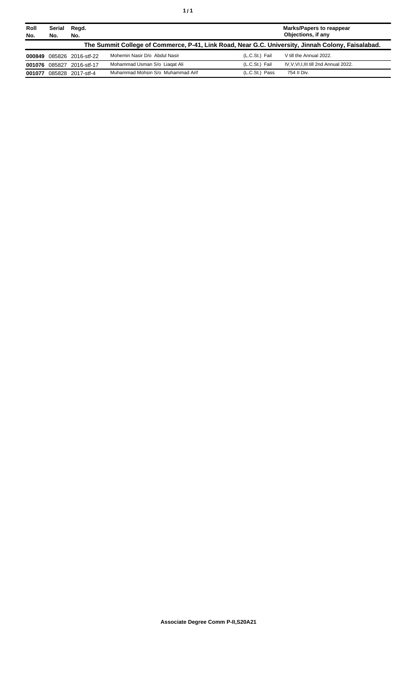| Roll<br>No.   | Serial<br>No. | Regd.<br>No.              |                                                                                                   | Marks/Papers to reappear<br>Objections, if any |                                     |  |
|---------------|---------------|---------------------------|---------------------------------------------------------------------------------------------------|------------------------------------------------|-------------------------------------|--|
|               |               |                           | The Summit College of Commerce, P-41, Link Road, Near G.C. University, Jinnah Colony, Faisalabad. |                                                |                                     |  |
|               |               | 000849 085826 2016-stf-22 | Mohemin Nasir D/o Abdul Nasir                                                                     | (L.C.St.) Fail                                 | V till the Annual 2022.             |  |
| 001076 085827 |               | 2016-stf-17               | Mohammad Usman S/o Liagat Ali                                                                     | (L.C.St.) Fail                                 | IV.V.VI.I.III till 2nd Annual 2022. |  |
| 001077        |               | 085828 2017-stf-4         | Muhammad Mohsin S/o Muhammad Arif                                                                 | (L.C.St.) Pass                                 | 754 II Div.                         |  |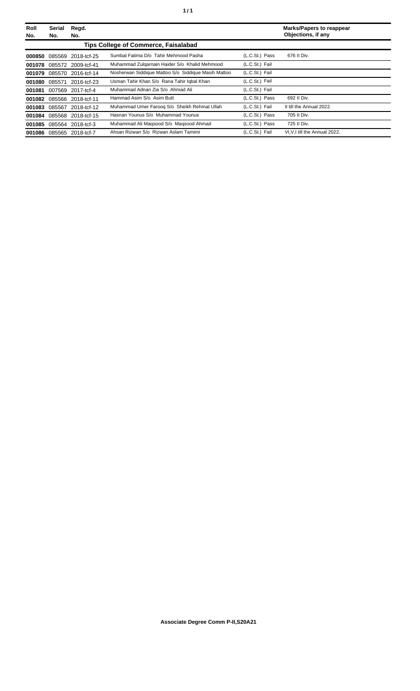| <b>Roll</b><br>No. | Serial<br>No. | Regd.<br>No.              |                                                     |                | <b>Marks/Papers to reappear</b><br>Objections, if any |
|--------------------|---------------|---------------------------|-----------------------------------------------------|----------------|-------------------------------------------------------|
|                    |               |                           | <b>Tips College of Commerce, Faisalabad</b>         |                |                                                       |
| 000850             | 085569        | 2018-tcf-25               | Sumbal Fatima D/o Tahir Mehmood Pasha               | (L.C.St.) Pass | 676 II Div.                                           |
| 001078             |               | 085572 2009-tcf-41        | Muhammad Zulgarnain Haider S/o Khalid Mehmood       | (L.C.St.) Fail |                                                       |
| 001079             |               | 085570 2016-tcf-14        | Nosherwan Siddique Mattoo S/o Siddique Masih Mattoo | (L.C.St.) Fail |                                                       |
| 001080             | 085571        | 2016-tcf-23               | Usman Tahir Khan S/o Rana Tahir Iqbal Khan          | (L.C.St.) Fail |                                                       |
| 001081             | 007569        | 2017-tcf-4                | Muhammad Adnan Zia S/o Ahmad Ali                    | (L.C.St.) Fail |                                                       |
|                    |               | 001082 085566 2018-tcf-11 | Hammad Asim S/o Asim Butt                           | (L.C.St.) Pass | 692 II Div.                                           |
|                    |               | 001083 085567 2018-tcf-12 | Muhammad Umer Faroog S/o Sheikh Rehmat Ullah        | (L.C.St.) Fail | II till the Annual 2022.                              |
| 001084             |               | 085568 2018-tcf-15        | Hasnan Younus S/o Muhammad Younus                   | (L.C.St.) Pass | 705 II Div.                                           |
| 001085             | 085564        | 2018-tcf-3                | Muhammad Ali Magsood S/o Magsood Ahmad              | (L.C.St.) Pass | 725 II Div.                                           |
| 001086             | 085565        | 2018-tcf-7                | Ahsan Rizwan S/o Rizwan Aslam Tamimi                | (L.C.St.) Fail | VI, V, I till the Annual 2022.                        |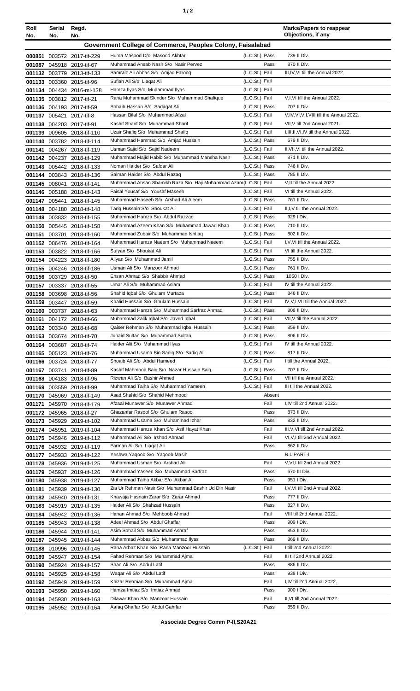| ٠ |  |
|---|--|
|---|--|

| Roll<br>No. | <b>Serial</b><br>No. | Regd.<br>No.                                             |                                                                                     |                                  | <b>Marks/Papers to reappear</b><br>Objections, if any   |
|-------------|----------------------|----------------------------------------------------------|-------------------------------------------------------------------------------------|----------------------------------|---------------------------------------------------------|
|             |                      |                                                          | Government College of Commerce, Peoples Colony, Faisalabad                          |                                  |                                                         |
|             |                      | 000851 003572 2017-tif-229                               | Huma Masood D/o Masood Akhtar                                                       | (L.C.St.) Pass                   | 739 II Div.                                             |
|             |                      | 001087 045918 2019-tif-67                                | Muhammad Ansab Nasir S/o Nasir Pervez                                               | Pass                             | 870 II Div.                                             |
|             |                      | 001132 003779 2013-tif-133                               | Samraiz Ali Abbas S/o Amjad Farooq                                                  | (L.C.St.) Fail                   | III, IV, VI till the Annual 2022.                       |
|             |                      | 001133 003360 2015-tif-96                                | Sufian Ali S/o Liagat Ali                                                           | (L.C.St.) Fail                   |                                                         |
|             |                      | 001134 004434 2016-ml-138                                | Hamza Ilyas S/o Muhammad Ilyas                                                      | (L.C.St.) Fail                   |                                                         |
|             |                      | 001135 003812 2017-tif-21                                | Rana Muhammad Skinder S/o Muhammad Shafique                                         | (L.C.St.) Fail                   | V,I, VI till the Annual 2022.                           |
|             |                      | 001136 004193 2017-tif-59                                | Sohaib Hassan S/o Sadaqat Ali                                                       | (L.C.St.) Pass                   | 707 II Div.                                             |
|             |                      | 001137 005421 2017-tif-8                                 | Hassan Bilal S/o Muhammad Afzal                                                     | (L.C.St.) Fail                   | V,IV,VI,VII,VIII till the Annual 2022.                  |
|             |                      | 001138 004203 2017-tif-91                                | Kashif Sharif S/o Muhammad Sharif                                                   | (L.C.St.) Fail                   | VII.V till 2nd Annual 2021.                             |
|             |                      | 001139 009605 2018-tif-110<br>001140 003782 2018-tif-114 | Uzair Shafiq S/o Muhammad Shafiq<br>Muhammad Hammad S/o Amjad Hussain               | (L.C.St.) Fail<br>(L.C.St.) Pass | I, III, II, VI, IV till the Annual 2022.<br>679 II Div. |
|             |                      | 001141 004267 2018-tif-119                               | Usman Sajid S/o Sajid Nadeem                                                        | (L.C.St.) Fail                   | II, VII, VI till the Annual 2022.                       |
|             |                      | 001142 004237 2018-tif-129                               | Muhammad Majid Habib S/o Muhammad Mansha Nasir                                      | (L.C.St.) Pass                   | 871 II Div.                                             |
|             |                      | 001143 005442 2018-tif-133                               | Noman Haider S/o Safdar Ali                                                         | (L.C.St.) Pass                   | 746 II Div.                                             |
|             |                      | 001144 003843 2018-tif-136                               | Salman Haider S/o Abdul Razag                                                       | (L.C.St.) Pass                   | 785 II Div.                                             |
|             |                      | 001145 008041 2018-tif-141                               | Muhammad Ahsan Shamikh Raza S/o Haji Muhammad Azam(L.C.St.) Fail                    |                                  | V, Il till the Annual 2022.                             |
|             |                      | 001146 005188 2018-tif-143                               | Faisal Yousaf S/o Yousaf Maseeh                                                     | (L.C.St.) Fail                   | VI till the Annual 2022.                                |
|             |                      | 001147 005441 2018-tif-145                               | Muhammad Haseeb S/o Arshad Ali Aleem                                                | (L.C.St.) Pass                   | 761 II Div.                                             |
|             |                      | 001148 004180 2018-tif-148                               | Tariq Hussain S/o Shoukat Ali                                                       | (L.C.St.) Fail                   | II, I, V till the Annual 2022.                          |
|             |                      | 001149 003832 2018-tif-155                               | Muhammad Hamza S/o Abdul Razzag                                                     | (L.C.St.) Pass                   | 929 I Div.                                              |
|             |                      | 001150 005445 2018-tif-158                               | Muhammad Azeem Khan S/o Muhammad Jawad Khan<br>Muhammad Zubair S/o Muhammad Ishtiaq | (L.C.St.) Pass<br>(L.C.St.) Pass | 710 II Div.<br>802 II Div.                              |
|             |                      | 001151 003701 2018-tif-160<br>001152 006476 2018-tif-164 | Muhammad Hamza Naeem S/o Muhammad Naeem                                             | (L.C.St.) Fail                   | I, V, VI till the Annual 2022.                          |
|             |                      | 001153 003822 2018-tif-166                               | Sufyan S/o Shoukat Ali                                                              | (L.C.St.) Fail                   | VI till the Annual 2022.                                |
|             |                      | 001154 004223 2018-tif-180                               | Aliyan S/o Muhammad Jamil                                                           | (L.C.St.) Pass                   | 755 II Div.                                             |
|             |                      | 001155 004246 2018-tif-186                               | Usman Ali S/o Manzoor Ahmad                                                         | (L.C.St.) Pass                   | 761 II Div.                                             |
|             |                      | 001156 003729 2018-tif-50                                | Ehsan Ahmad S/o Shabbir Ahmad                                                       | (L.C.St.) Pass                   | 1050 I Div.                                             |
|             |                      | 001157 003337 2018-tif-55                                | Umar Ali S/o Muhammad Aslam                                                         | (L.C.St.) Fail                   | IV till the Annual 2022.                                |
|             |                      | 001158 003698 2018-tif-56                                | Shahid Iqbal S/o Ghulam Murtaza                                                     | (L.C.St.) Pass                   | 846 II Div.                                             |
|             |                      | 001159 003447 2018-tif-59                                | Khalid Hussain S/o Ghulam Hussain                                                   | (L.C.St.) Fail                   | IV, V, I, VII till the Annual 2022.                     |
|             |                      | 001160 003737 2018-tif-63                                | Muhammad Hamza S/o Muhammad Sarfraz Ahmad                                           | (L.C.St.) Pass                   | 808 II Div.                                             |
|             |                      | 001161 004172 2018-tif-66<br>001162 003340 2018-tif-68   | Muhammad Zalik Iqbal S/o Javed Iqbal<br>Qaiser Rehman S/o Muhammad Iqbal Hussain    | (L.C.St.) Fail<br>(L.C.St.) Pass | VII, V till the Annual 2022.<br>859 II Div.             |
|             |                      | 001163 003674 2018-tif-70                                | Junaid Sultan S/o Muhammad Sultan                                                   | (L.C.St.) Pass                   | 806 II Div.                                             |
|             |                      | 001164 003687 2018-tif-74                                | Haider Alii S/o Muhammad Ilyas                                                      | (L.C.St.) Fail                   | IV till the Annual 2022.                                |
|             |                      | 001165 005123 2018-tif-76                                | Muhammad Usama Bin Sadiq S/o Sadiq Ali                                              | (L.C.St.) Pass                   | 817 II Div.                                             |
|             |                      | 001166 003724 2018-tif-77                                | Shoaib Ali S/o Abdul Hameed                                                         | (L.C.St.) Fail                   | I till the Annual 2022.                                 |
|             |                      | 001167 003741 2018-tif-89                                | Kashif Mahmood Baig S/o Nazar Hussain Baig                                          | (L.C.St.) Pass                   | 707 II Div.                                             |
|             |                      | 001168 004183 2018-tif-96                                | Rizwan Ali S/o Bashir Ahmed                                                         | (L.C.St.) Fail                   | VII till the Annual 2022.                               |
|             |                      | 001169 003559 2018-tif-99                                | Muhammad Talha S/o Muhammad Yameen                                                  | (L.C.St.) Fail                   | III till the Annual 2022.                               |
|             |                      | 001170 045969 2018-tif-149                               | Asad Shahid S/o Shahid Mehmood                                                      | Absent                           | I,IV till 2nd Annual 2022.                              |
|             |                      | 001171 045970 2018-tif-179<br>001172 045965 2018-tif-27  | Afzaal Munawer S/o Munawer Ahmad<br>Ghazanfar Rasool S/o Ghulam Rasool              | Fail<br>Pass                     | 873 II Div.                                             |
|             |                      | 001173 045929 2019-tif-102                               | Muhammad Usama S/o Muhammad Izhar                                                   | Pass                             | 832 II Div.                                             |
|             |                      | 001174 045951 2019-tif-104                               | Muhammad Hamza Khan S/o Asif Hayat Khan                                             | Fail                             | III, V, VI till 2nd Annual 2022.                        |
|             |                      | 001175 045946 2019-tif-112                               | Muhammad Ali S/o Irshad Ahmad                                                       | Fail                             | VI, V, I till 2nd Annual 2022.                          |
|             |                      | 001176 045932 2019-tif-119                               | Farman Ali S/o Liagat Ali                                                           | Pass                             | 862 II Div.                                             |
|             |                      | 001177 045933 2019-tif-122                               | Yeshwa Yaqoob S/o Yaqoob Masih                                                      |                                  | R.L PART-I                                              |
|             |                      | 001178 045936 2019-tif-125                               | Muhammad Usman S/o Arshad Ali                                                       | Fail                             | V, VI, I till 2nd Annual 2022.                          |
|             |                      | 001179 045937 2019-tif-126                               | Muhammad Yaseen S/o Muhammad Sarfraz                                                | Pass                             | 670 III Div.                                            |
|             |                      | 001180 045938 2019-tif-127                               | Muhammad Talha Akbar S/o Akbar Ali                                                  | Pass                             | 951 I Div.                                              |
|             |                      | 001181 045939 2019-tif-130                               | Zia Ur Rehman Nasir S/o Muhammad Bashir Ud Din Nasir                                | Fail                             | I, V, VI till 2nd Annual 2022.                          |
|             |                      | 001182 045940 2019-tif-131<br>001183 045919 2019-tif-135 | Khawaja Hasnain Zarar S/o Zarar Ahmad<br>Haider Ali S/o Shahzad Hussain             | Pass<br>Pass                     | 777 II Div.<br>827 II Div.                              |
|             |                      | 001184 045942 2019-tif-136                               | Hanan Ahmad S/o Mehboob Ahmad                                                       | Fail                             | VIII till 2nd Annual 2022.                              |
|             |                      | 001185 045943 2019-tif-138                               | Adeel Ahmad S/o Abdul Ghaffar                                                       | Pass                             | 909 I Div.                                              |
|             |                      | 001186 045944 2019-tif-141                               | Asim Sohail S/o Muhammad Ashraf                                                     | Pass                             | 853 II Div.                                             |
|             |                      | 001187 045945 2019-tif-144                               | Muhammad Abbas S/o Muhammad Ilyas                                                   | Pass                             | 869 II Div.                                             |
|             |                      | 001188 010996 2019-tif-145                               | Rana Arbaz Khan S/o Rana Manzoor Hussain                                            | (L.C.St.) Fail                   | I till 2nd Annual 2022.                                 |
|             |                      | 001189 045947 2019-tif-154                               | Fahad Rehman S/o Muhammad Ajmal                                                     | Fail                             | III till 2nd Annual 2022.                               |
|             |                      | 001190 045924 2019-tif-157                               | Shan Ali S/o Abdul Latif                                                            | Pass                             | 886 II Div.                                             |
|             |                      | 001191 045925 2019-tif-158                               | Waqar Ali S/o Abdul Latif                                                           | Pass                             | 938   Div.                                              |
|             |                      | 001192 045949 2019-tif-159                               | Khizar Rehman S/o Muhammad Ajmal                                                    | Fail                             | I.IV till 2nd Annual 2022.                              |
|             |                      | 001193 045950 2019-tif-160                               | Hamza Imtiaz S/o Imtiaz Ahmad<br>Dilawar Khan S/o Manzoor Hussain                   | Pass<br>Fail                     | 900 I Div.<br>II, VI till 2nd Annual 2022.              |
|             |                      | 001194 045930 2019-tif-163<br>001195 045952 2019-tif-164 | Aafaq Ghaffar S/o Abdul Gahffar                                                     | Pass                             | 859 II Div.                                             |
|             |                      |                                                          |                                                                                     |                                  |                                                         |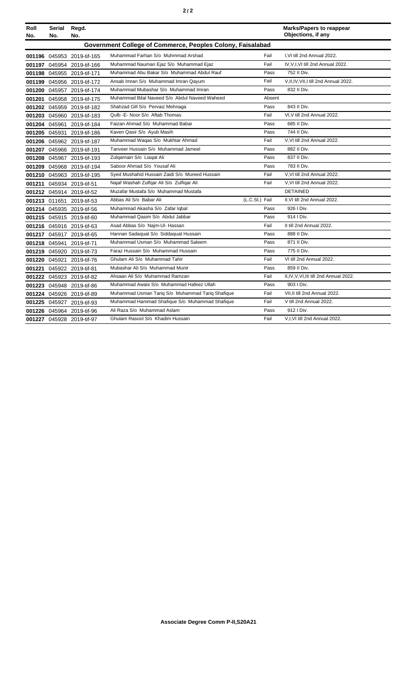|--|--|--|

| Roll | Serial                                                     | Regd.                      |                                                  |                |        | <b>Marks/Papers to reappear</b>         |  |
|------|------------------------------------------------------------|----------------------------|--------------------------------------------------|----------------|--------|-----------------------------------------|--|
| No.  | No.                                                        | No.                        |                                                  |                |        | Objections, if any                      |  |
|      | Government College of Commerce, Peoples Colony, Faisalabad |                            |                                                  |                |        |                                         |  |
|      |                                                            | 001196 045953 2019-tif-165 | Muhammad Farhan S/o Muhmmad Arshad               |                | Fail   | I, VI till 2nd Annual 2022.             |  |
|      |                                                            | 001197 045954 2019-tif-166 | Muhammad Nauman Ejaz S/o Muhammad Ejaz           |                | Fail   | IV, V, I, VI till 2nd Annual 2022.      |  |
|      |                                                            | 001198 045955 2019-tif-171 | Muhammad Abu Bakar S/o Muhammad Abdul Rauf       |                | Pass   | 752 II Div.                             |  |
|      |                                                            | 001199 045956 2019-tif-172 | Ansab Imran S/o Muhammad Imran Qayum             |                | Fail   | V, II, IV, VII, I till 2nd Annual 2022. |  |
|      |                                                            | 001200 045957 2019-tif-174 | Muhammad Mubashar S/o Muhammad Imran             |                | Pass   | 832 II Div.                             |  |
|      |                                                            | 001201 045958 2019-tif-175 | Muhammad Bilal Naveed S/o Abdul Naveed Waheed    |                | Absent |                                         |  |
|      |                                                            | 001202 045959 2019-tif-182 | Shahzad Gill S/o Pervaiz Mehnaga                 |                | Pass   | 843 II Div.                             |  |
|      |                                                            | 001203 045960 2019-tif-183 | Qulb -E- Noor S/o Aftab Thomas                   |                | Fail   | VI, V till 2nd Annual 2022.             |  |
|      |                                                            | 001204 045961 2019-tif-184 | Faizan Ahmad S/o Muhammad Babar                  |                | Pass   | 685 II Div.                             |  |
|      |                                                            | 001205 045931 2019-tif-186 | Kaven Qasir S/o Ayub Masih                       |                | Pass   | 744 II Div.                             |  |
|      |                                                            | 001206 045962 2019-tif-187 | Muhammad Waqas S/o Mukhtar Ahmad                 |                | Fail   | V.VI till 2nd Annual 2022.              |  |
|      |                                                            | 001207 045966 2019-tif-191 | Tanveer Hussain S/o Muhammad Jameel              |                | Pass   | 882 II Div.                             |  |
|      |                                                            | 001208 045967 2019-tif-193 | Zulgarnain S/o Liagat Ali                        |                | Pass   | 837 II Div.                             |  |
|      |                                                            | 001209 045968 2019-tif-194 | Saboor Ahmad S/o Yousaf Ali                      |                | Pass   | 783 II Div.                             |  |
|      |                                                            | 001210 045963 2019-tif-195 | Syed Mushahid Hussain Zaidi S/o Mureed Hussain   |                | Fail   | V.VI till 2nd Annual 2022.              |  |
|      |                                                            | 001211 045934 2019-tif-51  | Najaf Washah Zulfgar Ali S/o Zulfigar Ali        |                | Fail   | V.VI till 2nd Annual 2022.              |  |
|      |                                                            | 001212 045914 2019-tif-52  | Muzafar Mustafa S/o Muhammad Mustafa             |                |        | <b>DETAINED</b>                         |  |
|      |                                                            | 001213 011651 2019-tif-53  | Abbas Ali S/o Babar Ali                          | (L.C.St.) Fail |        | II, VI till 2nd Annual 2022.            |  |
|      |                                                            | 001214 045935 2019-tif-56  | Muhammad Akasha S/o Zafar Iqbal                  |                | Pass   | 926   Div.                              |  |
|      |                                                            | 001215 045915 2019-tif-60  | Muhammad Qasim S/o Abdul Jabbar                  |                | Pass   | 914   Div.                              |  |
|      |                                                            | 001216 045916 2019-tif-63  | Asad Abbas S/o Najm-Ul- Hassan                   |                | Fail   | II till 2nd Annual 2022.                |  |
|      |                                                            | 001217 045917 2019-tif-65  | Hannan Sadaquat S/o Siddaquat Hussain            |                | Pass   | 888 II Div.                             |  |
|      |                                                            | 001218 045941 2019-tif-71  | Muhammad Usman S/o Muhammad Saleem               |                | Pass   | 871 II Div.                             |  |
|      |                                                            | 001219 045920 2019-tif-73  | Faraz Hussain S/o Muhammad Hussain               |                | Pass   | 775 II Div.                             |  |
|      |                                                            | 001220 045921 2019-tif-76  | Ghulam Ali S/o Muhammad Tahir                    |                | Fail   | VI till 2nd Annual 2022.                |  |
|      |                                                            | 001221 045922 2019-tif-81  | Mubashar Ali S/o Muhammad Munir                  |                | Pass   | 859 II Div.                             |  |
|      |                                                            | 001222 045923 2019-tif-82  | Ahsaan Ali S/o Muhammad Ramzan                   |                | Fail   | II,IV, V, VI, III till 2nd Annual 2022. |  |
|      |                                                            | 001223 045948 2019-tif-86  | Muhammad Awais S/o Muhammad Hafeez Ullah         |                | Pass   | 903 I Div.                              |  |
|      |                                                            | 001224 045926 2019-tif-89  | Muhammad Usman Tariq S/o Muhammad Tariq Shafique |                | Fail   | VII, II till 2nd Annual 2022.           |  |
|      |                                                            | 001225 045927 2019-tif-93  | Muhammad Hammad Shafique S/o Muhammad Shafique   |                | Fail   | V till 2nd Annual 2022.                 |  |
|      |                                                            | 001226 045964 2019-tif-96  | Ali Raza S/o Muhammad Aslam                      |                | Pass   | 912   Div.                              |  |
|      |                                                            | 001227 045928 2019-tif-97  | Ghulam Rasool S/o Khadim Hussain                 |                | Fail   | V,I, VI till 2nd Annual 2022.           |  |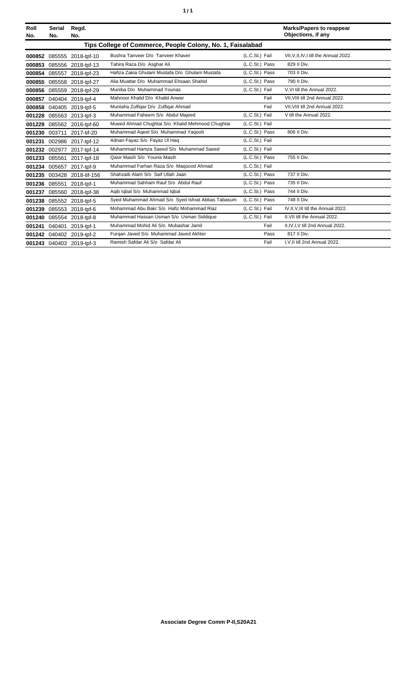|  | ٠ |
|--|---|
|  |   |

| Roll<br>No. | <b>Serial</b><br>No.                                       | Regd.<br>No.               |                                                   |                |      | <b>Marks/Papers to reappear</b><br>Objections, if any |  |
|-------------|------------------------------------------------------------|----------------------------|---------------------------------------------------|----------------|------|-------------------------------------------------------|--|
|             | Tips College of Commerce, People Colony, No. 1, Faisalabad |                            |                                                   |                |      |                                                       |  |
|             |                                                            | 000852 085555 2018-tpf-10  | Bushra Tanveer D/o Tanveer Khaver                 | (L.C.St.) Fail |      | VII, V, II, IV, I till the Annual 2022.               |  |
|             | 000853 085556                                              | 2018-tpf-13                | Tahira Raza D/o Asghar Ali                        | (L.C.St.) Pass |      | 829 II Div.                                           |  |
|             |                                                            | 000854 085557 2018-tpf-23  | Hafiza Zakia Ghulam Mustafa D/o Ghulam Mustafa    | (L.C.St.) Pass |      | 703 II Div.                                           |  |
| 000855      |                                                            | 085558 2018-tpf-27         | Alia Muattar D/o Muhammad Ehsaan Shahid           | (L.C.St.) Pass |      | 790 II Div.                                           |  |
|             |                                                            | 000856 085559 2018-tpf-29  | Muniba D/o Muhammad Younas                        | (L.C.St.) Fail |      | V.VI till the Annual 2022.                            |  |
| 000857      |                                                            | 040404 2019-tpf-4          | Mahnoor Khalid D/o Khalid Anwer                   |                | Fail | VII. VIII till 2nd Annual 2022.                       |  |
| 000858      |                                                            | 040405 2019-tpf-5          | Muntaha Zulfigar D/o Zulfigar Ahmad               |                | Fail | VII. VIII till 2nd Annual 2022.                       |  |
|             |                                                            | 001228 085563 2013-tpf-3   | Muhammad Faheem S/o Abdul Majeed                  | (L.C.St.) Fail |      | V till the Annual 2022.                               |  |
| 001229      |                                                            | 085562 2016-tpf-60         | Mueed Ahmad Chughtai S/o Khalid Mehmood Chughtai  | (L.C.St.) Fail |      |                                                       |  |
|             |                                                            | 001230 003711 2017-tif-20  | Muhammad Aqeel S/o Muhammad Yaqoob                | (L.C.St.) Pass |      | 806 II Div.                                           |  |
| 001231      |                                                            | 002986 2017-tpf-12         | Adnan Fayaz S/o Fayaz UI Hag                      | (L.C.St.) Fail |      |                                                       |  |
|             | 001232 002977                                              | 2017-tpf-14                | Muhammad Hamza Saeed S/o Muhammad Saeed           | (L.C.St.) Fail |      |                                                       |  |
|             | 001233 085561                                              | 2017-tpf-18                | Qasir Masih S/o Younis Masih                      | (L.C.St.) Pass |      | 755 II Div.                                           |  |
|             |                                                            | 001234 005657 2017-tpf-9   | Muhammad Farhan Raza S/o Magsood Ahmad            | (L.C.St.) Fail |      |                                                       |  |
|             |                                                            | 001235 003428 2018-tif-156 | Shahzaib Alam S/o Saif Ullah Jaan                 | (L.C.St.) Pass |      | 737 II Div.                                           |  |
|             |                                                            | 001236 085551 2018-tpf-1   | Muhammad Sahham Rauf S/o Abdul Rauf               | (L.C.St.) Pass |      | 735 II Div.                                           |  |
|             |                                                            | 001237 085560 2018-tpf-38  | Agib Igbal S/o Muhammad Igbal                     | (L.C.St.) Pass |      | 744 II Div.                                           |  |
|             |                                                            | 001238 085552 2018-tpf-5   | Syed Muhammad Ahmad S/o Syed Ishrat Abbas Tabasum | (L.C.St.) Pass |      | 748 II Div.                                           |  |
| 001239      | 085553                                                     | 2018-tpf-6                 | Mohammad Abu Bakr S/o Hafiz Mohammad Riaz         | (L.C.St.) Fail |      | IV.II.V.III till the Annual 2022.                     |  |
|             |                                                            | 001240 085554 2018-tpf-8   | Muhammad Hassan Usman S/o Usman Siddique          | (L.C.St.) Fail |      | II, VII till the Annual 2022.                         |  |
| 001241      | 040401                                                     | 2019-tpf-1                 | Muhammad Mohid Ali S/o Mubashar Jamil             |                | Fail | II, IV, I, V till 2nd Annual 2022.                    |  |
|             |                                                            | 001242 040402 2019-tpf-2   | Furgan Javed S/o Muhammad Javed Akhter            |                | Pass | 817 II Div.                                           |  |
|             |                                                            | 001243 040403 2019-tpf-3   | Ramish Safdar Ali S/o Safdar Ali                  |                | Fail | I.V.II till 2nd Annual 2022.                          |  |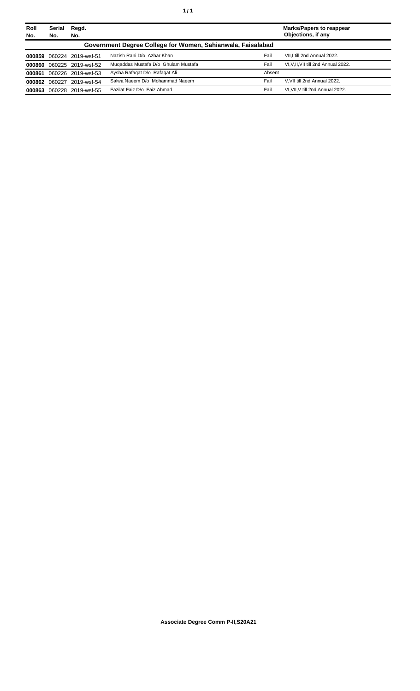| Roll<br>No. | Serial<br>No.                                               | Regd.<br>No.       |                                     |        | <b>Marks/Papers to reappear</b><br>Objections, if any |  |
|-------------|-------------------------------------------------------------|--------------------|-------------------------------------|--------|-------------------------------------------------------|--|
|             | Government Degree College for Women, Sahianwala, Faisalabad |                    |                                     |        |                                                       |  |
| 000859      |                                                             | 060224 2019-wsf-51 | Nazish Rani D/o Azhar Khan          | Fail   | VII.I till 2nd Annual 2022.                           |  |
| 000860      |                                                             | 060225 2019-wsf-52 | Mugaddas Mustafa D/o Ghulam Mustafa | Fail   | VI.V.II.VII till 2nd Annual 2022.                     |  |
| 000861      |                                                             | 060226 2019-wsf-53 | Aysha Rafagat D/o Rafagat Ali       | Absent |                                                       |  |
| 000862      |                                                             | 060227 2019-wsf-54 | Salwa Naeem D/o Mohammad Naeem      | Fail   | V.VII till 2nd Annual 2022.                           |  |
| 000863      |                                                             | 060228 2019-wsf-55 | Fazilat Faiz D/o Faiz Ahmad         | Fail   | VI.VII.V till 2nd Annual 2022.                        |  |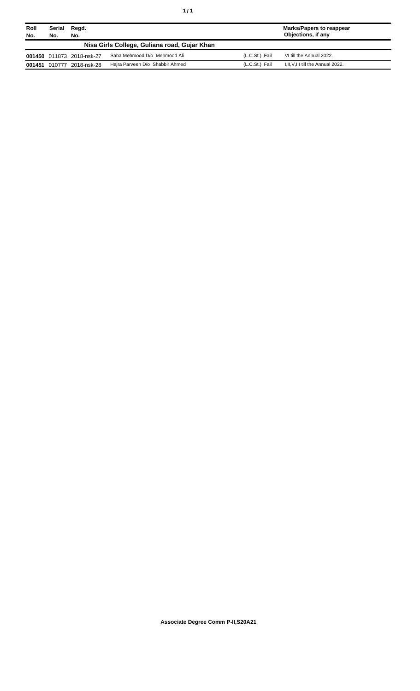| Roll<br>No. | Serial<br>No.                                | Regd.<br>No.              |                                 |                | <b>Marks/Papers to reappear</b><br>Objections, if any |  |
|-------------|----------------------------------------------|---------------------------|---------------------------------|----------------|-------------------------------------------------------|--|
|             | Nisa Girls College, Guliana road, Gujar Khan |                           |                                 |                |                                                       |  |
|             |                                              | 001450 011873 2018-nsk-27 | Saba Mehmood D/o Mehmood Ali    | (L.C.St.) Fail | VI till the Annual 2022.                              |  |
| 001451      | 010777                                       | 2018-nsk-28               | Hajra Parveen D/o Shabbir Ahmed | (L.C.St.) Fail | I, II, V, III till the Annual 2022.                   |  |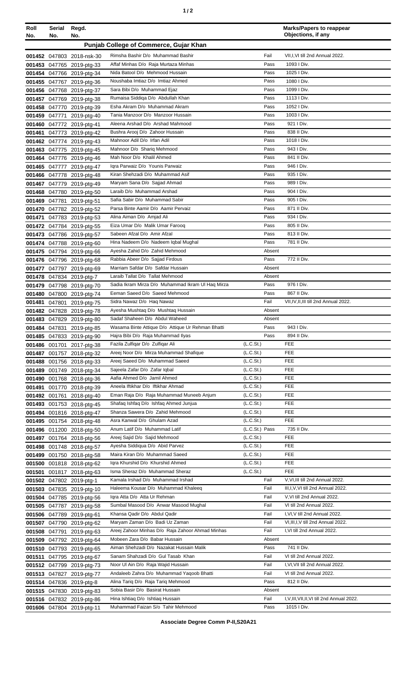| Roll<br>No.      | Serial<br>No. | Regd.<br>No.                                           |                                                                                    |                                         | <b>Marks/Papers to reappear</b><br>Objections, if any       |
|------------------|---------------|--------------------------------------------------------|------------------------------------------------------------------------------------|-----------------------------------------|-------------------------------------------------------------|
|                  |               |                                                        | Punjab College of Commerce, Gujar Khan                                             |                                         |                                                             |
|                  |               | 001452 047803 2018-nsk-30                              | Rimsha Bashir D/o Muhammad Bashir                                                  | Fail                                    | VII,I,VI till 2nd Annual 2022.                              |
|                  |               | 001453 047765 2019-ptg-33                              | Affaf Minhas D/o Raja Murtaza Minhas                                               | Pass                                    | 1093 I Div.                                                 |
|                  |               | 001454 047766 2019-ptg-34                              | Nida Batool D/o Mehmood Hussain                                                    | Pass                                    | 1025   Div.                                                 |
|                  |               | 001455 047767 2019-ptg-36                              | Noushaba Imtiaz D/o Imtiaz Ahmed                                                   | Pass                                    | 1080 I Div.                                                 |
|                  |               | 001456 047768 2019-ptg-37                              | Sara Bibi D/o Muhammad Ejaz                                                        | Pass                                    | 1099 I Div.                                                 |
|                  |               | 001457 047769 2019-ptg-38                              | Rumaisa Siddiqa D/o Abdullah Khan                                                  | Pass                                    | 1113   Div.                                                 |
|                  |               | 001458 047770 2019-ptg-39                              | Esha Akram D/o Muhammad Akram                                                      | Pass                                    | 1052   Div.                                                 |
|                  |               | 001459 047771 2019-ptg-40                              | Tania Manzoor D/o Manzoor Hussain<br>Aleena Arshad D/o Arshad Mahmood              | Pass<br>Pass                            | 1003 I Div.<br>921 I Div.                                   |
|                  |               | 001460 047772 2019-ptg-41<br>001461 047773 2019-ptg-42 | Bushra Arooj D/o Zahoor Hussain                                                    | Pass                                    | 838 II Div.                                                 |
|                  |               | 001462 047774 2019-ptg-43                              | Mahnoor Adil D/o Irfan Adil                                                        | Pass                                    | 1018   Div.                                                 |
|                  |               | 001463 047775 2019-ptg-45                              | Mahnoor D/o Shariq Mehmood                                                         | Pass                                    | 943 I Div.                                                  |
|                  |               | 001464 047776 2019-ptg-46                              | Mah Noor D/o Khalil Ahmed                                                          | Pass                                    | 841 II Div.                                                 |
|                  |               | 001465 047777 2019-ptg-47                              | Igra Parwaiz D/o Younis Parwaiz                                                    | Pass                                    | 946 I Div.                                                  |
|                  |               | 001466 047778 2019-ptg-48                              | Kiran Shehzadi D/o Muhammad Asif                                                   | Pass                                    | 935   Div.                                                  |
|                  |               | 001467 047779 2019-ptg-49                              | Maryam Sana D/o Sajjad Ahmad                                                       | Pass                                    | 989 I Div.                                                  |
|                  |               | 001468 047780 2019-ptg-50                              | Laraib D/o Muhammad Arshad                                                         | Pass                                    | 904 I Div.<br>905   Div.                                    |
|                  | 001469 047781 | 2019-ptg-51<br>001470 047782 2019-ptg-52               | Safia Sabir D/o Muhammad Sabir<br>Parsa Binte Aamir D/o Aamir Pervaiz              | Pass<br>Pass                            | 871 II Div.                                                 |
| 001471           |               | 047783 2019-ptg-53                                     | Alina Aiman D/o Amjad Ali                                                          | Pass                                    | 934   Div.                                                  |
|                  |               | 001472 047784 2019-ptg-55                              | Eiza Umar D/o Malik Umar Farooq                                                    | Pass                                    | 805 II Div.                                                 |
|                  |               | 001473 047786 2019-ptg-57                              | Sabeen Afzal D/o Amir Afzal                                                        | Pass                                    | 813 II Div.                                                 |
|                  |               | 001474 047788 2019-ptg-60                              | Hina Nadeem D/o Nadeem Iqbal Mughal                                                | Pass                                    | 781 II Div.                                                 |
|                  |               | 001475 047794 2019-ptg-66                              | Ayesha Zahid D/o Zahid Mehmood                                                     | Absent                                  |                                                             |
|                  |               | 001476 047796 2019-ptg-68                              | Rabbia Abeer D/o Sajjad Firdous                                                    | Pass                                    | 772 II Div.                                                 |
|                  |               | 001477 047797 2019-ptg-69                              | Marriam Safdar D/o Safdar Hussain                                                  | Absent                                  |                                                             |
|                  |               | 001478 047834 2019-ptg-7                               | Laraib Tallat D/o Tallat Mehmood                                                   | Absent                                  | 976 I Div.                                                  |
| 001479<br>001480 |               | 047798 2019-ptg-70<br>047800 2019-ptg-74               | Sadia Ikram Mirza D/o Muhammad Ikram UI Haq Mirza<br>Eeman Saeed D/o Saeed Mehmood | Pass<br>Pass                            | 867 II Div.                                                 |
| 001481           |               | 047801 2019-ptg-75                                     | Sidra Nawaz D/o Haq Nawaz                                                          | Fail                                    | VII, IV, II, III till 2nd Annual 2022.                      |
|                  |               | 001482 047828 2019-ptg-78                              | Ayesha Mushtaq D/o Mushtaq Hussain                                                 | Absent                                  |                                                             |
|                  |               | 001483 047829 2019-ptg-80                              | Sadaf Shaheen D/o Abdul Waheed                                                     | Absent                                  |                                                             |
|                  |               | 001484 047831 2019-ptg-85                              | Wasama Binte Attique D/o Attique Ur Rehman Bhatti                                  | Pass                                    | 943 I Div.                                                  |
|                  |               | 001485 047833 2019-ptg-90                              | Hajra Bibi D/o Raja Muhammad Ilyas                                                 | Pass                                    | 894 II Div.                                                 |
|                  |               | 001486 001701 2017-ptg-38                              | Fazila Zulfigar D/o Zulfigar Ali                                                   | (L.C.St.)                               | <b>FEE</b>                                                  |
|                  |               | 001487 001757 2018-ptg-32                              | Areej Noor D/o Mirza Muhammad Shafique                                             | (L.C.St.)                               | <b>FEE</b><br><b>FEE</b>                                    |
| 001489           |               | 001488 001756 2018-ptg-33<br>001749 2018-ptg-34        | Areej Saeed D/o Muhammad Saeed<br>Sajeela Zafar D/o Zafar Iqbal                    | (L.C.St.)<br>(L.C.St.)                  | <b>FEE</b>                                                  |
| 001490           |               | 001768 2018-ptg-36                                     | Aafia Ahmed D/o Jamil Ahmed                                                        | (L.C.St.)                               | <b>FEE</b>                                                  |
| 001491           |               | 001770 2018-ptg-39                                     | Aneela Iftikhar D/o Iftikhar Ahmad                                                 | (L.C.S <sub>t</sub> )                   | <b>FEE</b>                                                  |
|                  |               | 001492 001761 2018-ptg-40                              | Eman Raja D/o Raja Muhammad Muneeb Anjum                                           | (L.C.St.)                               | <b>FEE</b>                                                  |
|                  |               | 001493 001753 2018-ptg-45                              | Shafaq Ishfaq D/o Ishfaq Ahmed Junjua                                              | (L.C.S <sub>t</sub> )                   | <b>FEE</b>                                                  |
|                  |               | 001494 001816 2018-ptg-47                              | Shanza Sawera D/o Zahid Mehmood                                                    | (L.C.St.)                               | <b>FEE</b>                                                  |
|                  |               | 001495 001754 2018-ptg-48                              | Asra Kanwal D/o Ghulam Azad                                                        | (L.C.St.)                               | FEE                                                         |
|                  |               | 001496 011200 2018-ptg-50                              | Anum Latif D/o Muhammad Latif<br>Areej Sajid D/o Sajid Mehmood                     | (L.C.St.) Pass<br>(L.C.S <sub>t</sub> ) | 735 II Div.<br><b>FEE</b>                                   |
|                  |               | 001497 001764 2018-ptg-56<br>001498 001748 2018-ptg-57 | Ayesha Siddiqua D/o Abid Parvez                                                    | (L.C.St.)                               | FEE                                                         |
|                  |               | 001499 001750 2018-ptg-58                              | Maira Kiran D/o Muhammad Saeed                                                     | (L.C.S <sub>t</sub> )                   | <b>FEE</b>                                                  |
|                  |               | 001500 001818 2018-ptg-62                              | Iqra Khurshid D/o Khurshid Ahmed                                                   | (L.C.St.)                               | <b>FEE</b>                                                  |
| 001501           |               | 001817 2018-ptg-63                                     | Isma Sheraz D/o Muhammad Sheraz                                                    | (L.C.St.)                               | <b>FEE</b>                                                  |
|                  |               | 001502 047802 2019-ptg-1                               | Kamala Irshad D/o Muhammad Irshad                                                  | Fail                                    | V, VI, III till 2nd Annual 2022.                            |
|                  |               | 001503 047835 2019-ptg-10                              | Haleema Kousar D/o Muhammad Khaleeq                                                | Fail                                    | III, I, V, VI till 2nd Annual 2022.                         |
|                  |               | 001504 047785 2019-ptg-56                              | Igra Atta D/o Atta Ur Rehman                                                       | Fail                                    | V, VI till 2nd Annual 2022.                                 |
|                  |               | 001505 047787 2019-ptg-58                              | Sumbal Masood D/o Anwar Masood Mughal<br>Khansa Qadir D/o Abdul Qadir              | Fail<br>Fail                            | VI till 2nd Annual 2022.<br>I, VI, V till 2nd Annual 2022.  |
|                  |               | 001506 047789 2019-ptg-61<br>001507 047790 2019-ptg-62 | Maryam Zaman D/o Badi Uz Zaman                                                     | Fail                                    | VI, III, I, V till 2nd Annual 2022.                         |
|                  | 001508 047791 | 2019-ptg-63                                            | Areej Zahoor Minhas D/o Raja Zahoor Ahmad Minhas                                   | Fail                                    | I, VI till 2nd Annual 2022.                                 |
|                  |               | 001509 047792 2019-ptg-64                              | Mobeen Zara D/o Babar Hussain                                                      | Absent                                  |                                                             |
|                  |               | 001510 047793 2019-ptg-65                              | Aiman Shehzadi D/o Nazakat Hussain Malik                                           | Pass                                    | 741 II Div.                                                 |
| 001511           |               | 047795 2019-ptg-67                                     | Sanam Shahzadi D/o Gul Tasab Khan                                                  | Fail                                    | VI till 2nd Annual 2022.                                    |
|                  |               | 001512 047799 2019-ptg-73                              | Noor Ul Ain D/o Raja Wajid Hussain                                                 | Fail                                    | I, VI, VII till 2nd Annual 2022.                            |
|                  |               | 001513 047827 2019-ptg-77                              | Andaleeb Zahra D/o Muhammad Yaqoob Bhatti                                          | Fail                                    | VI till 2nd Annual 2022.                                    |
|                  |               | 001514 047836 2019-ptg-8                               | Alina Tariq D/o Raja Tariq Mehmood                                                 | Pass                                    | 812 II Div.                                                 |
|                  |               | 001515 047830 2019-ptg-83                              | Sobia Basir D/o Basirat Hussain                                                    | Absent                                  |                                                             |
|                  |               | 001516 047832 2019-ptg-86<br>001606 047804 2019-ptg-11 | Hina Ishtiaq D/o Ishtiaq Hussain<br>Muhammad Faizan S/o Tahir Mehmood              | Fail<br>Pass                            | I, V, III, VII, II, VI till 2nd Annual 2022.<br>1015   Div. |
|                  |               |                                                        |                                                                                    |                                         |                                                             |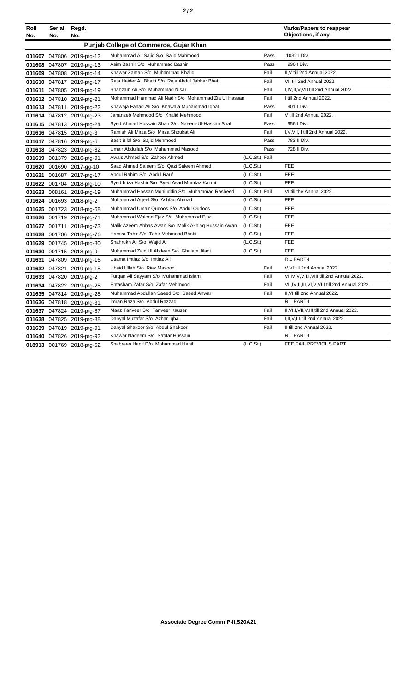|--|--|--|--|

| Roll   | Serial        | Regd.                     |                                                      |                | <b>Marks/Papers to reappear</b><br>Objections, if any |
|--------|---------------|---------------------------|------------------------------------------------------|----------------|-------------------------------------------------------|
| No.    | No.           | No.                       | Punjab College of Commerce, Gujar Khan               |                |                                                       |
|        |               |                           | Muhammad Ali Sajid S/o Sajid Mahmood                 | Pass           | 1032   Div.                                           |
|        |               | 001607 047806 2019-ptg-12 | Asim Bashir S/o Muhammad Bashir                      | Pass           | 996   Div.                                            |
|        |               | 001608 047807 2019-ptg-13 | Khawar Zaman S/o Muhammad Khalid                     | Fail           | II, V till 2nd Annual 2022.                           |
|        |               | 001609 047808 2019-ptg-14 |                                                      |                |                                                       |
|        |               | 001610 047817 2019-ptg-17 | Raja Haider Ali Bhatti S/o Raja Abdul Jabbar Bhatti  | Fail           | VII till 2nd Annual 2022.                             |
|        |               | 001611 047805 2019-ptg-19 | Shahzaib Ali S/o Muhammad Nisar                      | Fail           | I, IV, II, V, VII till 2nd Annual 2022.               |
|        |               | 001612 047810 2019-ptg-21 | Mohammad Hammad Ali Nadir S/o Mohammad Zia Ul Hassan | Fail           | I till 2nd Annual 2022.                               |
|        |               | 001613 047811 2019-ptg-22 | Khawaja Fahad Ali S/o Khawaja Muhammad Iqbal         | Pass           | 901   Div.                                            |
|        |               | 001614 047812 2019-ptg-23 | Jahanzeb Mehmood S/o Khalid Mehmood                  | Fail           | V till 2nd Annual 2022.                               |
|        |               | 001615 047813 2019-ptg-24 | Syed Ahmad Hussain Shah S/o Naeem-UI-Hassan Shah     | Pass           | 956   Div.                                            |
|        |               | 001616 047815 2019-ptg-3  | Ramish Ali Mirza S/o Mirza Shoukat Ali               | Fail           | I, V, VII, II till 2nd Annual 2022.                   |
|        |               | 001617 047816 2019-ptg-6  | Basit Bilal S/o Sajid Mehmood                        | Pass           | 783 II Div.                                           |
|        |               | 001618 047823 2019-ptg-82 | Umair Abdullah S/o Muhammad Masood                   | Pass           | 728 II Div.                                           |
|        |               | 001619 001379 2016-ptg-91 | Awais Ahmed S/o Zahoor Ahmed                         | (L.C.St.) Fail |                                                       |
|        |               | 001620 001690 2017-gg-10  | Saad Ahmed Saleem S/o Qazi Saleem Ahmed              | (L.C.St.)      | <b>FEE</b>                                            |
| 001621 |               | 001687 2017-ptg-17        | Abdul Rahim S/o Abdul Rauf                           | (L.C.St.)      | <b>FEE</b>                                            |
|        |               | 001622 001704 2018-ptg-10 | Syed Irtiza Hashir S/o Syed Asad Mumtaz Kazmi        | (L.C.St.)      | <b>FEE</b>                                            |
|        |               | 001623 008161 2018-ptg-19 | Muhammad Hassan Mohiuddin S/o Muhammad Rasheed       | (L.C.St.) Fail | VI till the Annual 2022.                              |
|        |               | 001624 001693 2018-ptg-2  | Muhammad Aqeel S/o Ashfaq Ahmad                      | (L.C.St.)      | <b>FEE</b>                                            |
|        |               | 001625 001723 2018-ptg-68 | Muhammad Umair Qudoos S/o Abdul Qudoos               | (L.C.St.)      | FEE                                                   |
|        |               | 001626 001719 2018-ptg-71 | Muhammad Waleed Ejaz S/o Muhammad Ejaz               | (L.C.St.)      | <b>FEE</b>                                            |
|        |               | 001627 001711 2018-ptg-73 | Malik Azeem Abbas Awan S/o Malik Akhlag Hussain Awan | (L.C.St.)      | <b>FEE</b>                                            |
|        |               | 001628 001706 2018-ptg-76 | Hamza Tahir S/o Tahir Mehmood Bhatti                 | (L.C.St.)      | <b>FEE</b>                                            |
|        |               | 001629 001745 2018-ptg-80 | Shahrukh Ali S/o Wajid Ali                           | (L.C.St.)      | FEE                                                   |
|        |               | 001630 001715 2018-ptg-9  | Muhammad Zain UI Abdeen S/o Ghulam Jilani            | (L.C.St.)      | FEE                                                   |
| 001631 |               | 047809 2019-ptg-16        | Usama Imtiaz S/o Imtiaz Ali                          |                | R.L PART-I                                            |
|        | 001632 047821 | 2019-ptg-18               | Ubaid Ullah S/o Riaz Masood                          | Fail           | V, VI till 2nd Annual 2022.                           |
|        |               | 001633 047820 2019-ptg-2  | Furgan Ali Sayyam S/o Muhammad Islam                 | Fail           | VI, IV, V, VII, I, VIII till 2nd Annual 2022.         |
|        |               | 001634 047822 2019-ptg-25 | Ehtasham Zafar S/o Zafar Mehmood                     | Fail           | VII, IV, II, III, VI, V, VIII till 2nd Annual 2022.   |
|        |               | 001635 047814 2019-ptg-28 | Muhammad Abdullah Saeed S/o Saeed Anwar              | Fail           | II.VI till 2nd Annual 2022.                           |
|        |               | 001636 047818 2019-ptg-31 | Imran Raza S/o Abdul Razzaq                          |                | R.L PART-I                                            |
|        |               | 001637 047824 2019-ptg-87 | Maaz Tanveer S/o Tanveer Kauser                      | Fail           | II, VI, I, VII, V, III till 2nd Annual 2022.          |
|        |               | 001638 047825 2019-ptg-88 | Danyal Muzafar S/o Azhar Iqbal                       | Fail           | I, II, V, III till 2nd Annual 2022.                   |
|        |               | 001639 047819 2019-ptg-91 | Danyal Shakoor S/o Abdul Shakoor                     | Fail           | II till 2nd Annual 2022.                              |
|        |               | 001640 047826 2019-ptg-92 | Khawar Nadeem S/o Safdar Hussain                     |                | R.L PART-I                                            |
|        |               | 018913 001769 2018-ptg-52 | Shahreen Hanif D/o Mohammad Hanif                    | (L.C.St.)      | FEE, FAIL PREVIOUS PART                               |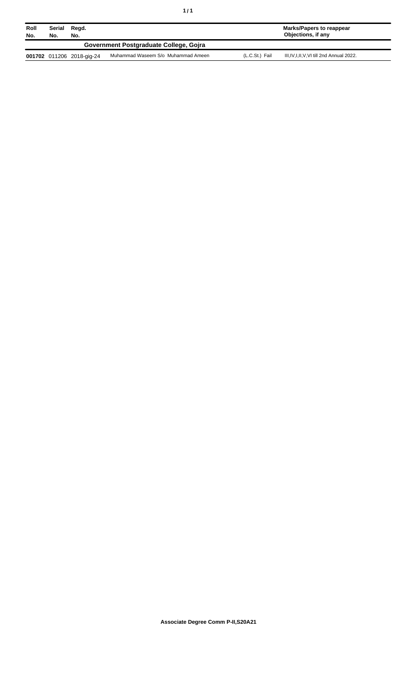| Roll<br>No. | Serial<br>No.                          | Regd.<br>No.              |                                    |                | Marks/Papers to reappear<br>Objections, if any |  |
|-------------|----------------------------------------|---------------------------|------------------------------------|----------------|------------------------------------------------|--|
|             | Government Postgraduate College, Goira |                           |                                    |                |                                                |  |
|             |                                        | 001702 011206 2018-gig-24 | Muhammad Waseem S/o Muhammad Ameen | (L.C.St.) Fail | III, IV, I, II, V, VI till 2nd Annual 2022.    |  |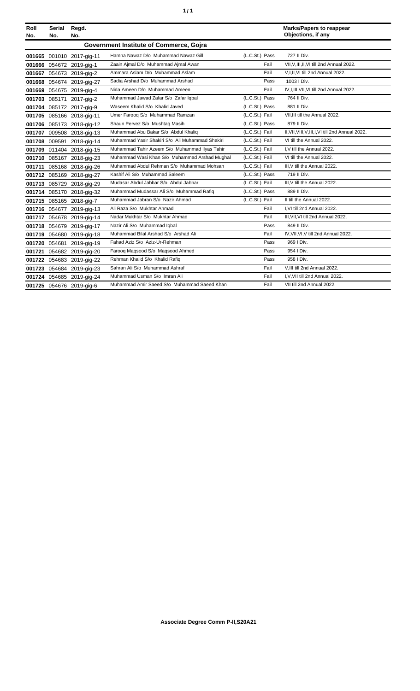| ٠ | ٠ |
|---|---|
|   |   |

| Roll<br>No. | Serial<br>No. | Regd.<br>No.              |                                                 |                | <b>Marks/Papers to reappear</b><br>Objections, if any |
|-------------|---------------|---------------------------|-------------------------------------------------|----------------|-------------------------------------------------------|
|             |               |                           | Government Institute of Commerce, Gojra         |                |                                                       |
|             |               | 001665 001010 2017-gig-11 | Hamna Nawaz D/o Muhammad Nawaz Gill             | (L.C.St.) Pass | 727 II Div.                                           |
|             |               | 001666 054672 2019-gig-1  | Zaain Ajmal D/o Muhammad Ajmal Awan             | Fail           | VII, V, III, II, VI till 2nd Annual 2022.             |
| 001667      |               | 054673 2019-gig-2         | Ammara Aslam D/o Muhammad Aslam                 | Fail           | V,I,II, VI till 2nd Annual 2022.                      |
|             |               | 001668 054674 2019-gig-27 | Sadia Arshad D/o Muhammad Arshad                | Pass           | 1003   Div.                                           |
|             |               | 001669 054675 2019-gig-4  | Nida Ameen D/o Muhammad Ameen                   | Fail           | IV, I, III, VII, VI till 2nd Annual 2022.             |
|             | 001703 085171 | 2017-gig-2                | Muhammad Jawad Zafar S/o Zafar Iqbal            | (L.C.St.) Pass | 764 II Div.                                           |
|             |               | 001704 085172 2017-gig-9  | Waseem Khalid S/o Khalid Javed                  | (L.C.St.) Pass | 881 II Div.                                           |
|             |               | 001705 085166 2018-gig-11 | Umer Farooq S/o Muhammad Ramzan                 | (L.C.St.) Fail | VII, III till the Annual 2022.                        |
|             |               | 001706 085173 2018-gig-12 | Shaun Pervez S/o Mushtaq Masih                  | (L.C.St.) Pass | 879 II Div.                                           |
|             |               | 001707 009508 2018-gig-13 | Muhammad Abu Bakar S/o Abdul Khaliq             | (L.C.St.) Fail | II, VII, VIII, V, III, I, VI till 2nd Annual 2022.    |
|             | 001708 009591 | 2018-gig-14               | Muhammad Yasir Shakiri S/o Ali Muhammad Shakiri | (L.C.St.) Fail | VI till the Annual 2022.                              |
|             |               | 001709 011404 2018-gig-15 | Muhammad Tahir Azeem S/o Muhammad Ilyas Tahir   | (L.C.St.) Fail | I.V till the Annual 2022.                             |
|             |               | 001710 085167 2018-gig-23 | Muhammad Wasi Khan S/o Muhammad Arshad Mughal   | (L.C.St.) Fail | VI till the Annual 2022.                              |
| 001711      |               | 085168 2018-gig-26        | Muhammad Abdul Rehman S/o Muhammad Mohsan       | (L.C.St.) Fail | III, V till the Annual 2022.                          |
|             |               | 001712 085169 2018-gig-27 | Kashif Ali S/o Muhammad Saleem                  | (L.C.St.) Pass | 719 II Div.                                           |
|             |               | 001713 085729 2018-gig-29 | Mudasar Abdul Jabbar S/o Abdul Jabbar           | (L.C.St.) Fail | III, V till the Annual 2022.                          |
|             |               | 001714 085170 2018-gig-32 | Muhammad Mudassar Ali S/o Muhammad Rafiq        | (L.C.St.) Pass | 889 II Div.                                           |
|             |               | 001715 085165 2018-gig-7  | Muhammad Jabran S/o Nazir Ahmad                 | (L.C.St.) Fail | II till the Annual 2022.                              |
|             |               | 001716 054677 2019-gig-13 | Ali Raza S/o Mukhtar Ahmad                      | Fail           | I.VI till 2nd Annual 2022.                            |
|             |               | 001717 054678 2019-gig-14 | Nadar Mukhtar S/o Mukhtar Ahmad                 | Fail           | III.VII.VI till 2nd Annual 2022.                      |
|             |               | 001718 054679 2019-gig-17 | Nazir Ali S/o Muhammad Iqbal                    | Pass           | 849 II Div.                                           |
|             | 001719 054680 | 2019-gig-18               | Muhammad Bilal Arshad S/o Arshad Ali            | Fail           | IV, VII, VI, V till 2nd Annual 2022.                  |
|             | 001720 054681 | 2019-gig-19               | Fahad Aziz S/o Aziz-Ur-Rehman                   | Pass           | 969   Div.                                            |
| 001721      |               | 054682 2019-gig-20        | Farooq Maqsood S/o Maqsood Ahmed                | Pass           | 954   Div.                                            |
|             |               | 001722 054683 2019-gig-22 | Rehman Khalid S/o Khalid Rafiq                  | Pass           | 958   Div.                                            |
|             |               | 001723 054684 2019-gig-23 | Sahran Ali S/o Muhammad Ashraf                  | Fail           | V, III till 2nd Annual 2022.                          |
|             |               | 001724 054685 2019-gig-24 | Muhammad Usman S/o Imran Ali                    | Fail           | I, V, VII till 2nd Annual 2022.                       |
|             |               | 001725 054676 2019-gig-6  | Muhammad Amir Saeed S/o Muhammad Saeed Khan     | Fail           | VII till 2nd Annual 2022.                             |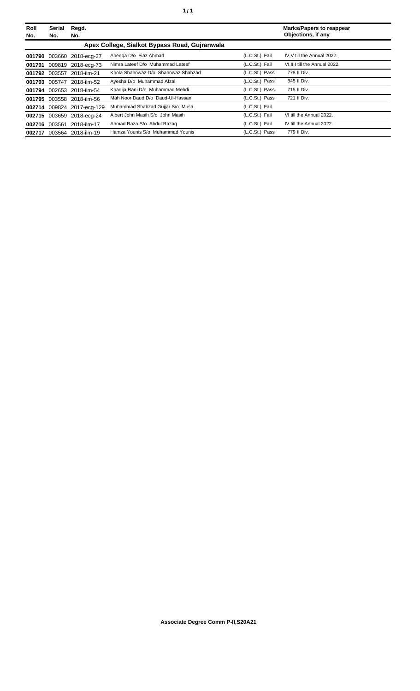| Roll<br>No. | Serial<br>No. | Regd.<br>No.               |                                               |                | <b>Marks/Papers to reappear</b><br>Objections, if any |
|-------------|---------------|----------------------------|-----------------------------------------------|----------------|-------------------------------------------------------|
|             |               |                            | Apex College, Sialkot Bypass Road, Guiranwala |                |                                                       |
|             |               | 001790 003660 2018-ecg-27  | Aneega D/o Fiaz Ahmad                         | (L.C.St.) Fail | IV.V till the Annual 2022.                            |
| 001791      |               | 009819 2018-ecg-73         | Nimra Lateef D/o Muhammad Lateef              | (L.C.St.) Fail | VI, II, I till the Annual 2022.                       |
|             | 001792 003557 | 2018-ilm-21                | Khola Shahnwaz D/o Shahnwaz Shahzad           | (L.C.St.) Pass | 778 II Div.                                           |
|             |               | 001793 005747 2018-ilm-52  | Ayesha D/o Muhammad Afzal                     | (L.C.St.) Pass | 845 II Div.                                           |
|             |               | 001794 002653 2018-ilm-54  | Khadija Rani D/o Muhammad Mehdi               | (L.C.St.) Pass | 715 II Div.                                           |
|             |               | 001795 003558 2018-ilm-56  | Mah Noor Daud D/o Daud-Ul-Hassan              | (L.C.St.) Pass | 721 II Div.                                           |
|             |               | 002714 009824 2017-ecg-129 | Muhammad Shahzad Gujjar S/o Musa              | (L.C.St.) Fail |                                                       |
| 002715      |               | 003659 2018-ecg-24         | Albert John Masih S/o John Masih              | (L.C.St.) Fail | VI till the Annual 2022.                              |
| 002716      | 003561        | 2018-ilm-17                | Ahmad Raza S/o Abdul Razaq                    | (L.C.St.) Fail | IV till the Annual 2022.                              |
| 002717      |               | 003564 2018-ilm-19         | Hamza Younis S/o Muhammad Younis              | (L.C.St.) Pass | 779 II Div.                                           |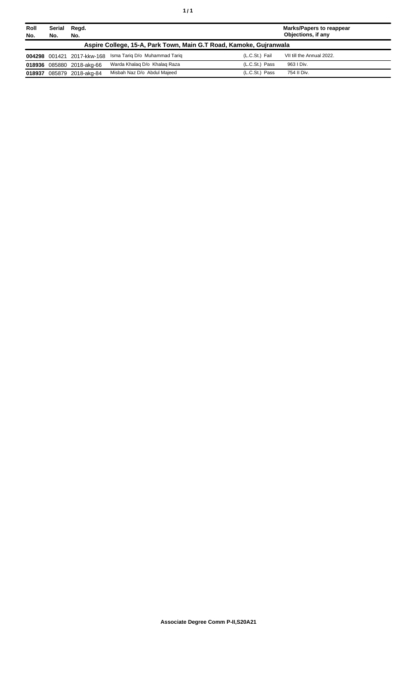| Roll<br>No. | Serial<br>Regd.<br>No.<br>No.                                      |                            |                               | <b>Marks/Papers to reappear</b><br>Objections, if any |                           |  |
|-------------|--------------------------------------------------------------------|----------------------------|-------------------------------|-------------------------------------------------------|---------------------------|--|
|             | Aspire College, 15-A, Park Town, Main G.T Road, Kamoke, Gujranwala |                            |                               |                                                       |                           |  |
|             |                                                                    | 004298 001421 2017-kkw-168 | Isma Tarig D/o Muhammad Tarig | (L.C.St.) Fail                                        | VII till the Annual 2022. |  |
|             |                                                                    | 018936 085880 2018-akg-66  | Warda Khalag D/o Khalag Raza  | $(L.C.St.)$ Pass                                      | 963 I Div.                |  |
| 018937      |                                                                    | 085879 2018-akg-84         | Misbah Naz D/o Abdul Majeed   | (L.C.St.) Pass                                        | 754 II Div.               |  |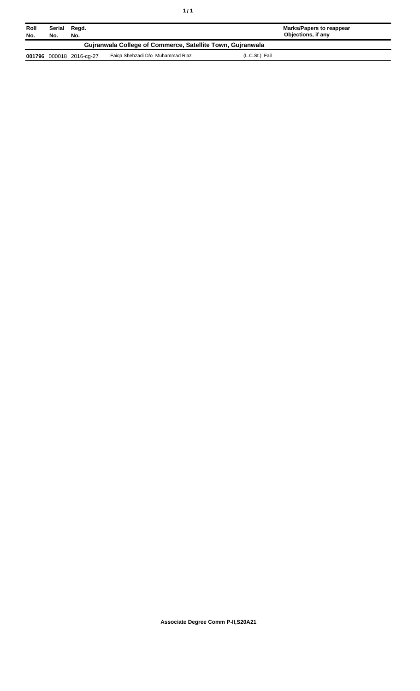| Roll<br>No.                                                | Serial<br>No. | Regd.<br>No.             |                                  | Marks/Papers to reappear<br>Objections, if any |  |
|------------------------------------------------------------|---------------|--------------------------|----------------------------------|------------------------------------------------|--|
| Guiranwala College of Commerce, Satellite Town, Guiranwala |               |                          |                                  |                                                |  |
|                                                            |               | 001796 000018 2016-cg-27 | Faiga Shehzadi D/o Muhammad Riaz | (L.C.St.) Fail                                 |  |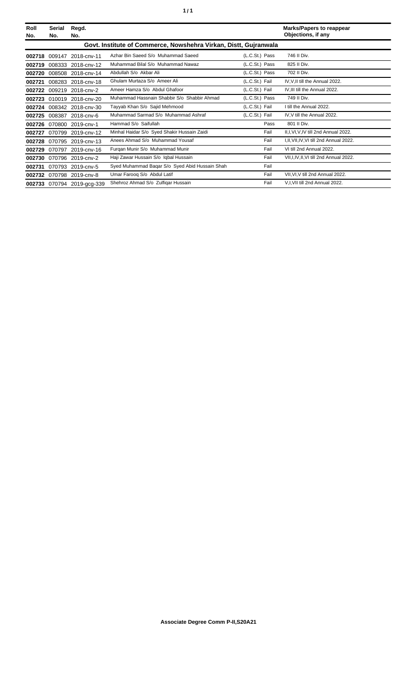| Roll<br>No. | Serial<br>No. | Regd.<br>No.               |                                                                  |                | <b>Marks/Papers to reappear</b><br>Objections, if any |
|-------------|---------------|----------------------------|------------------------------------------------------------------|----------------|-------------------------------------------------------|
|             |               |                            | Govt. Institute of Commerce, Nowshehra Virkan, Distt, Gujranwala |                |                                                       |
| 002718      |               | 009147 2018-cnv-11         | Azhar Bin Saeed S/o Muhammad Saeed                               | (L.C.St.) Pass | 746 II Div.                                           |
| 002719      |               | 008333 2018-cnv-12         | Muhammad Bilal S/o Muhammad Nawaz                                | (L.C.St.) Pass | 825 II Div.                                           |
| 002720      |               | 008508 2018-cnv-14         | Abdullah S/o Akbar Ali                                           | (L.C.St.) Pass | 702 II Div.                                           |
| 002721      |               | 008283 2018-cnv-18         | Ghulam Murtaza S/o Ameer Ali                                     | (L.C.St.) Fail | IV, V, II till the Annual 2022.                       |
| 002722      |               | 009219 2018-cnv-2          | Ameer Hamza S/o Abdul Ghafoor                                    | (L.C.St.) Fail | IV.III till the Annual 2022.                          |
| 002723      |               | 010019 2018-cnv-20         | Muhammad Hassnain Shabbir S/o Shabbir Ahmad                      | (L.C.St.) Pass | 749 II Div.                                           |
| 002724      |               | 008342 2018-cnv-30         | Tayyab Khan S/o Sajid Mehmood                                    | (L.C.St.) Fail | I till the Annual 2022.                               |
| 002725      |               | 008387 2018-cnv-6          | Muhammad Sarmad S/o Muhammad Ashraf                              | (L.C.St.) Fail | IV, V till the Annual 2022.                           |
| 002726      |               | 070800 2019-cnv-1          | Hammad S/o Saifullah                                             | Pass           | 801 II Div.                                           |
| 002727      |               | 070799 2019-cnv-12         | Minhal Haidar S/o Syed Shakir Hussain Zaidi                      | Fail           | II, I, VI, V, IV till 2nd Annual 2022.                |
| 002728      |               | 070795 2019-cnv-13         | Anees Ahmad S/o Muhammad Yousaf                                  | Fail           | I, II, VII, IV, VI till 2nd Annual 2022.              |
| 002729      |               | 070797 2019-cnv-16         | Furgan Munir S/o Muhammad Munir                                  | Fail           | VI till 2nd Annual 2022.                              |
| 002730      |               | 070796 2019-cnv-2          | Haji Zawar Hussain S/o Iqbal Hussain                             | Fail           | VII, I, IV, II, VI till 2nd Annual 2022.              |
| 002731      |               | 070793 2019-cnv-5          | Syed Muhammad Bagar S/o Syed Abid Hussain Shah                   | Fail           |                                                       |
|             |               | 002732 070798 2019-cnv-8   | Umar Faroog S/o Abdul Latif                                      | Fail           | VII, VI, V till 2nd Annual 2022.                      |
|             |               | 002733 070794 2019-acq-339 | Shehroz Ahmad S/o Zulfigar Hussain                               | Fail           | V,I, VII till 2nd Annual 2022.                        |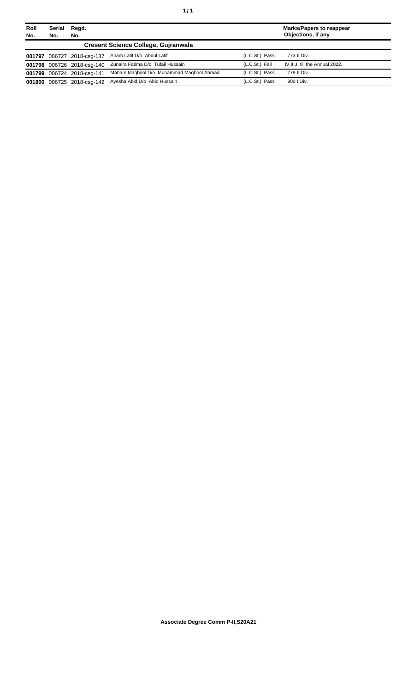| Roll<br>No. | <b>Serial</b><br>No. | Regd.<br>No.               |                                            |                | <b>Marks/Papers to reappear</b><br>Objections, if any |
|-------------|----------------------|----------------------------|--------------------------------------------|----------------|-------------------------------------------------------|
|             |                      |                            | <b>Cresent Science College, Guiranwala</b> |                |                                                       |
| 001797      |                      | 006727 2018-csg-137        | Anam Latif D/o Abdul Latif                 | (L.C.St.) Pass | 773 II Div.                                           |
|             |                      | 001798 006726 2018-csq-140 | Zunaira Fatima D/o Tufail Hussain          | (L.C.St.) Fail | IV, III, II till the Annual 2022.                     |
|             |                      | 001799 006724 2018-csq-141 | Maham Magbool D/o Muhammad Magbool Ahmad   | (L.C.St.) Pass | 779 II Div.                                           |
| 001800      |                      | 006725 2018-csg-142        | Avesha Abid D/o Abid Hussain               | (L.C.St.) Pass | 900   Div.                                            |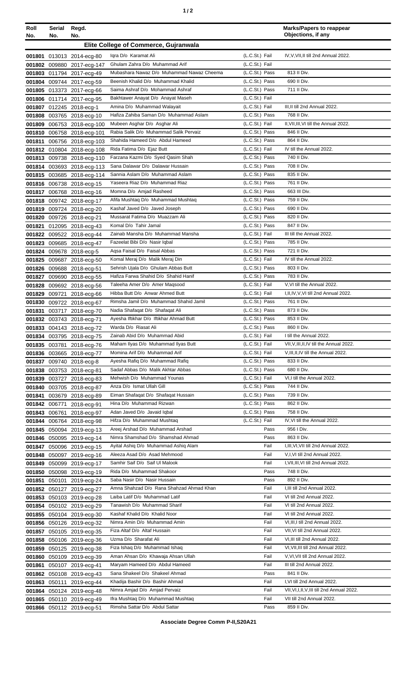| ٠ | I |
|---|---|
|   |   |

| Roll<br>No. | Serial<br>No. | Regd.<br>No.                                           |                                                                   |                                  | <b>Marks/Papers to reappear</b><br>Objections, if any                 |
|-------------|---------------|--------------------------------------------------------|-------------------------------------------------------------------|----------------------------------|-----------------------------------------------------------------------|
|             |               |                                                        | Elite College of Commerce, Guiranwala                             |                                  |                                                                       |
|             |               | 001801 013013 2014-ecg-80                              | Igra D/o Karamat Ali                                              | (L.C.St.) Fail                   | IV, V, VII, II till 2nd Annual 2022.                                  |
|             |               | 001802 009880 2017-ecg-147                             | Ghulam Zahra D/o Muhammad Arif                                    | (L.C.St.) Fail                   |                                                                       |
|             |               | 001803 011794 2017-ecg-49                              | Mubashara Nawaz D/o Muhammad Nawaz Cheema                         | (L.C.St.) Pass                   | 813 II Div.                                                           |
|             |               | 001804 009744 2017-ecg-59                              | Beenish Khalid D/o Muhammad Khalid                                | (L.C.St.) Pass                   | 690 II Div.                                                           |
|             |               | 001805 013373 2017-ecg-66                              | Saima Ashraf D/o Mohammad Ashraf                                  | (L.C.St.) Pass                   | 711 II Div.                                                           |
|             |               | 001806 011714 2017-ecg-95                              | Bakhtawer Anayat D/o Anayat Maseh<br>Amina D/o Muhammad Walayait  | (L.C.St.) Fail<br>(L.C.St.) Fail | III, II till 2nd Annual 2022.                                         |
|             |               | 001807 012245 2018-ecg-1<br>001808 003765 2018-ecg-10  | Hafiza Zahiba Saman D/o Muhammad Aslam                            | (L.C.St.) Pass                   | 768 II Div.                                                           |
|             |               | 001809 006753 2018-ecg-100                             | Mubeen Asghar D/o Asghar Ali                                      | (L.C.St.) Fail                   | II, VII, III, VI till the Annual 2022.                                |
|             |               | 001810 006758 2018-ecg-101                             | Rabia Salik D/o Muhammad Salik Pervaiz                            | (L.C.St.) Pass                   | 846 II Div.                                                           |
|             |               | 001811 006756 2018-ecg-103                             | Shahida Hameed D/o Abdul Hameed                                   | (L.C.St.) Pass                   | 864 II Div.                                                           |
|             |               | 001812 010804 2018-ecg-108                             | Rida Fatima D/o Ejaz Butt                                         | (L.C.St.) Fail                   | IV till the Annual 2022.                                              |
|             |               | 001813 009738 2018-ecg-110                             | Farzana Kazmi D/o Syed Qasim Shah                                 | (L.C.St.) Pass                   | 740 II Div.                                                           |
|             |               | 001814 003693 2018-ecg-113                             | Sana Dalawar D/o Dalawar Hussain                                  | (L.C.St.) Pass                   | 708 II Div.                                                           |
|             |               | 001815 003685 2018-ecg-114                             | Sannia Aslam D/o Muhammad Aslam                                   | (L.C.St.) Pass                   | 835 II Div.                                                           |
|             |               | 001816 006738 2018-ecg-15                              | Yaseera Riaz D/o Muhammad Riaz                                    | (L.C.St.) Pass                   | 761 II Div.                                                           |
|             |               | 001817 006768 2018-ecg-16<br>001818 009742 2018-ecg-17 | Momna D/o Amjad Rasheed<br>Afifa Mushtag D/o Muhammad Mushtag     | (L.C.St.) Pass<br>(L.C.St.) Pass | 663 III Div.<br>759 II Div.                                           |
|             |               | 001819 009724 2018-ecg-20                              | Kashaf Javed D/o Javed Joseph                                     | (L.C.St.) Pass                   | 690 II Div.                                                           |
|             |               | 001820 009726 2018-ecg-21                              | Mussarat Fatima D/o Muazzam Ali                                   | (L.C.St.) Pass                   | 820 II Div.                                                           |
|             |               | 001821 012095 2018-ecg-43                              | Komal D/o Tahir Jamal                                             | (L.C.St.) Pass                   | 847 II Div.                                                           |
|             |               | 001822 009522 2018-ecg-44                              | Zainab Mansha D/o Muhammad Mansha                                 | (L.C.St.) Fail                   | III till the Annual 2022.                                             |
|             |               | 001823 009685 2018-ecg-47                              | Fazeelat Bibi D/o Nasir Iqbal                                     | (L.C.St.) Pass                   | 785 II Div.                                                           |
|             |               | 001824 009678 2018-ecg-5                               | Agsa Faisal D/o Faisal Abbas                                      | (L.C.St.) Pass                   | 721 II Div.                                                           |
|             |               | 001825 009687 2018-ecg-50                              | Komal Meraj D/o Malik Meraj Din                                   | (L.C.St.) Fail                   | IV till the Annual 2022.                                              |
|             |               | 001826 009688 2018-ecg-51                              | Sehrish Ujala D/o Ghulam Abbas Butt                               | (L.C.St.) Pass                   | 803 II Div.                                                           |
|             |               | 001827 009690 2018-ecg-55                              | Hafiza Farwa Shahid D/o Shahid Hanif                              | (L.C.St.) Pass                   | 783 II Div.                                                           |
| 001828      |               | 009692 2018-ecg-56                                     | Taleeha Amer D/o Amer Magsood<br>Hibba Butt D/o Anwar Ahmed Butt  | (L.C.St.) Fail<br>(L.C.St.) Fail | V, VI till the Annual 2022.<br>I, II, IV, V, VI till 2nd Annual 2022. |
|             |               | 001829 009721 2018-ecg-66<br>001830 009722 2018-ecg-67 | Rimsha Jamil D/o Muhammad Shahid Jamil                            | (L.C.St.) Pass                   | 761 II Div.                                                           |
|             |               | 001831 003717 2018-ecg-70                              | Nadia Shafaqat D/o Shafaqat Ali                                   | (L.C.St.) Pass                   | 873 II Div.                                                           |
|             |               | 001832 003743 2018-ecg-71                              | Ayesha Iftikhar D/o Iftikhar Ahmad Butt                           | (L.C.St.) Pass                   | 853 II Div.                                                           |
|             |               | 001833 004143 2018-ecg-72                              | Warda D/o Riasat Ali                                              | (L.C.St.) Pass                   | 860 II Div.                                                           |
|             |               | 001834 003795 2018-ecg-75                              | Zainab Abid D/o Muhammad Abid                                     | (L.C.St.) Fail                   | I till the Annual 2022.                                               |
|             |               | 001835 003781 2018-ecg-76                              | Maham Ilyas D/o Muhammad Ilyas Butt                               | (L.C.St.) Fail                   | VII, V, III, II, IV till the Annual 2022.                             |
|             |               | 001836 003665 2018-ecg-77                              | Momina Arif D/o Muhammad Arif                                     | (L.C.St.) Fail                   | V, III, II, IV till the Annual 2022.                                  |
|             |               | 001837 009740 2018-ecg-8                               | Ayesha Rafiq D/o Muhammad Rafiq                                   | (L.C.St.) Pass                   | 833 II Div.                                                           |
|             |               | 001838 003753 2018-ecg-81                              | Sadaf Abbas D/o Malik Akhtar Abbas<br>Mehwish D/o Muhammad Younas | (L.C.St.) Pass<br>(L.C.St.) Fail | 680 II Div.<br>VI, I till the Annual 2022.                            |
|             |               | 001839 003727 2018-ecg-83                              | Anza D/o Ismat Ullah Gill                                         | (L.C.St.) Pass                   | 744 II Div.                                                           |
| 001841      |               | 001840 003705 2018-ecg-87<br>003679 2018-ecg-89        | Eiman Shafaqat D/o Shafaqat Hussain                               | (L.C.St.) Pass                   | 739 II Div.                                                           |
|             | 001842 006771 | 2018-ecg-91                                            | Hina D/o Muhammad Rizwan                                          | (L.C.St.) Pass                   | 862 II Div.                                                           |
|             | 001843 006761 | 2018-ecg-97                                            | Adan Javed D/o Javaid Iqbal                                       | (L.C.St.) Pass                   | 758 II Div.                                                           |
|             |               | 001844 006764 2018-ecg-98                              | Hifza D/o Muhammad Mushtaq                                        | (L.C.St.) Fail                   | IV, VI till the Annual 2022.                                          |
|             |               | 001845 050094 2019-ecg-13                              | Areej Arshad D/o Muhammad Arshad                                  | Pass                             | 956 I Div.                                                            |
|             |               | 001846 050095 2019-ecg-14                              | Nimra Shamshad D/o Shamshad Ahmad                                 | Pass                             | 863 II Div.                                                           |
|             |               | 001847 050096 2019-ecg-15                              | Ayital Ashiq D/o Muhammad Ashiq Alam                              | Fail                             | I, III, VI, VII till 2nd Annual 2022.                                 |
|             |               | 001848 050097 2019-ecg-16                              | Aleeza Asad D/o Asad Mehmood                                      | Fail                             | V,I, VI till 2nd Annual 2022.                                         |
|             |               | 001849 050099 2019-ecg-17                              | Samhir Saif D/o Saif UI Malook<br>Rida D/o Muhammad Shakoor       | Fail<br>Pass                     | I, VII, III, VI till 2nd Annual 2022.<br>748 II Div.                  |
| 001851      |               | 001850 050098 2019-ecg-19<br>050101 2019-ecg-24        | Saba Nasir D/o Nasir Hussain                                      | Pass                             | 892 II Div.                                                           |
|             |               | 001852 050127 2019-ecg-27                              | Amna Shahzad D/o Rana Shahzad Ahmad Khan                          | Fail                             | I, III till 2nd Annual 2022.                                          |
| 001853      |               | 050103 2019-ecg-28                                     | Laiba Latif D/o Muhammad Latif                                    | Fail                             | VI till 2nd Annual 2022.                                              |
|             |               | 001854 050102 2019-ecg-29                              | Tanawish D/o Muhammad Sharif                                      | Fail                             | VI till 2nd Annual 2022.                                              |
|             |               | 001855 050104 2019-ecg-30                              | Kashaf Khalid D/o Khalid Noor                                     | Fail                             | VI till 2nd Annual 2022.                                              |
|             |               | 001856 050126 2019-ecg-32                              | Nimra Amin D/o Muhammad Amin                                      | Fail                             | VI, III, I till 2nd Annual 2022.                                      |
|             |               | 001857 050105 2019-ecg-35                              | Fiza Altaf D/o Altaf Hussain                                      | Fail                             | VII, VI till 2nd Annual 2022.                                         |
|             |               | 001858 050106 2019-ecg-36                              | Uzma D/o Sharafat Ali                                             | Fail                             | VI, III till 2nd Annual 2022.                                         |
|             |               | 001859 050125 2019-ecg-38                              | Fiza Ishaq D/o Muhammad Ishaq                                     | Fail                             | VI, VII, III till 2nd Annual 2022.                                    |
| 001860      |               | 050109 2019-ecg-39                                     | Aman Ahsan D/o Khawaja Ahsan Ullah                                | Fail                             | V, VI, VII till 2nd Annual 2022.                                      |
| 001861      |               | 050107 2019-ecg-41                                     | Maryam Hameed D/o Abdul Hameed<br>Sana Shakeel D/o Shakeel Ahmad  | Fail<br>Pass                     | III till 2nd Annual 2022.<br>841 II Div.                              |
|             |               | 001862 050108 2019-ecg-43<br>001863 050111 2019-ecg-44 | Khadija Bashir D/o Bashir Ahmad                                   | Fail                             | I, VI till 2nd Annual 2022.                                           |
|             |               | 001864 050124 2019-ecg-48                              | Nimra Amjad D/o Amjad Pervaiz                                     | Fail                             | VII, VI, I, II, V, III till 2nd Annual 2022.                          |
|             |               | 001865 050110 2019-ecg-49                              | Ifra Mushtaq D/o Muhammad Mushtaq                                 | Fail                             | VII till 2nd Annual 2022.                                             |
|             |               | 001866 050112 2019-ecg-51                              | Rimsha Sattar D/o Abdul Sattar                                    | Pass                             | 859 II Div.                                                           |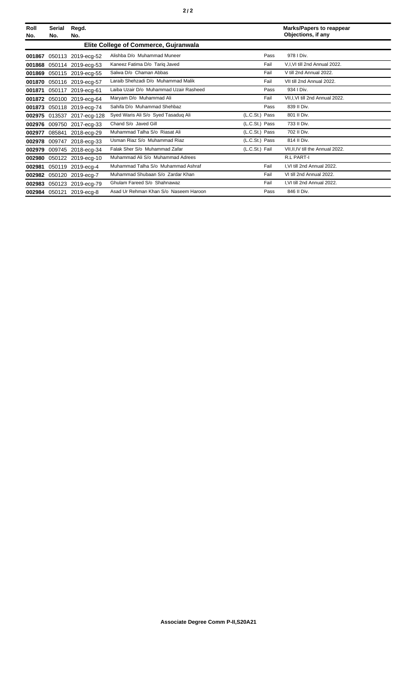| Roll<br>No. | Serial<br>No. | Regd.<br>No.              |                                        |                | <b>Marks/Papers to reappear</b><br>Objections, if any |
|-------------|---------------|---------------------------|----------------------------------------|----------------|-------------------------------------------------------|
|             |               |                           | Elite College of Commerce, Gujranwala  |                |                                                       |
| 001867      |               | 050113 2019-ecg-52        | Alishba D/o Muhammad Muneer            | Pass           | 978   Div.                                            |
| 001868      |               | 050114 2019-ecg-53        | Kaneez Fatima D/o Tarig Javed          | Fail           | V,I,VI till 2nd Annual 2022.                          |
| 001869      |               | 050115 2019-ecg-55        | Salwa D/o Chaman Abbas                 | Fail           | V till 2nd Annual 2022.                               |
| 001870      |               | 050116 2019-ecg-57        | Laraib Shehzadi D/o Muhammad Malik     | Fail           | VII till 2nd Annual 2022.                             |
| 001871      |               | 050117 2019-ecg-61        | Laiba Uzair D/o Muhammad Uzair Rasheed | Pass           | 934   Div.                                            |
| 001872      |               | 050100 2019-ecg-64        | Maryam D/o Muhammad Ali                | Fail           | VII, I, VI till 2nd Annual 2022.                      |
| 001873      |               | 050118 2019-ecg-74        | Sahifa D/o Muhammad Shehbaz            | Pass           | 839 II Div.                                           |
| 002975      |               | 013537 2017-ecg-128       | Syed Waris Ali S/o Syed Tasaduq Ali    | (L.C.St.) Pass | 801 II Div.                                           |
| 002976      |               | 009750 2017-ecg-33        | Chand S/o Javed Gill                   | (L.C.St.) Pass | 733 II Div.                                           |
| 002977      | 085841        | 2018-ecg-29               | Muhammad Talha S/o Riasat Ali          | (L.C.St.) Pass | 702 II Div.                                           |
|             |               | 002978 009747 2018-ecg-33 | Usman Riaz S/o Muhammad Riaz           | (L.C.St.) Pass | 814 II Div.                                           |
| 002979      |               | 009745 2018-ecg-34        | Falak Sher S/o Muhammad Zafar          | (L.C.St.) Fail | VII, II, IV till the Annual 2022.                     |
| 002980      |               | 050122 2019-ecg-10        | Muhammad Ali S/o Muhammad Adrees       |                | <b>R.L PART-I</b>                                     |
| 002981      |               | 050119 2019-ecg-4         | Muhammad Talha S/o Muhammad Ashraf     | Fail           | I.VI till 2nd Annual 2022.                            |
| 002982      |               | 050120 2019-ecg-7         | Muhammad Shubaan S/o Zardar Khan       | Fail           | VI till 2nd Annual 2022.                              |
| 002983      |               | 050123 2019-ecg-79        | Ghulam Fareed S/o Shahnawaz            | Fail           | I, VI till 2nd Annual 2022.                           |
|             |               | 002984 050121 2019-ecg-8  | Asad Ur Rehman Khan S/o Naseem Haroon  | Pass           | 846 II Div.                                           |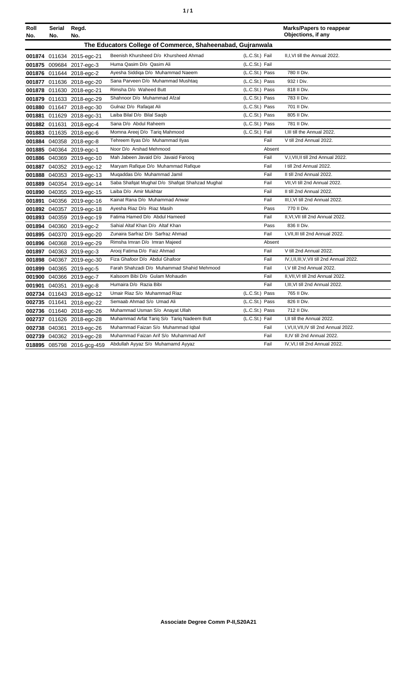|  | ٠ |
|--|---|
|  |   |

| Roll<br>No. | Serial<br>No.                                              | Regd.<br>No.               |                                                |                |        | <b>Marks/Papers to reappear</b><br>Objections, if any |  |
|-------------|------------------------------------------------------------|----------------------------|------------------------------------------------|----------------|--------|-------------------------------------------------------|--|
|             | The Educators College of Commerce, Shaheenabad, Gujranwala |                            |                                                |                |        |                                                       |  |
|             |                                                            | 001874 011634 2015-egc-21  | Beenish Khursheed D/o Khursheed Ahmad          | (L.C.St.) Fail |        | II, I, VI till the Annual 2022.                       |  |
|             |                                                            | 001875 009684 2017-egc-3   | Huma Qasim D/o Qasim Ali                       | (L.C.St.) Fail |        |                                                       |  |
|             |                                                            | 001876 011644 2018-egc-2   | Ayesha Siddiga D/o Muhammad Naeem              | (L.C.St.) Pass |        | 780 II Div.                                           |  |
|             |                                                            | 001877 011636 2018-egc-20  | Sana Parveen D/o Muhammad Mushtaq              | (L.C.St.) Pass |        | 932 I Div.                                            |  |
|             |                                                            | 001878 011630 2018-egc-21  | Rimsha D/o Waheed Butt                         | (L.C.St.) Pass |        | 818 II Div.                                           |  |
|             |                                                            | 001879 011633 2018-egc-29  | Shahnoor D/o Muhammad Afzal                    | (L.C.St.) Pass |        | 783 II Div.                                           |  |
|             |                                                            | 001880 011647 2018-egc-30  | Gulnaz D/o Rafaqat Ali                         | (L.C.St.) Pass |        | 701 II Div.                                           |  |
|             |                                                            | 001881 011629 2018-egc-31  | Laiba Bilal D/o Bilal Saqib                    | (L.C.St.) Pass |        | 805 II Div.                                           |  |
|             |                                                            | 001882 011631 2018-egc-4   | Sana D/o Abdul Raheem                          | (L.C.St.) Pass |        | 781 II Div.                                           |  |
|             |                                                            | 001883 011635 2018-egc-6   | Momna Areej D/o Tariq Mahmood                  | (L.C.St.) Fail |        | I.III till the Annual 2022.                           |  |
|             |                                                            | 001884 040358 2018-egc-8   | Tehreem Ilyas D/o Muhammad Ilyas               |                | Fail   | V till 2nd Annual 2022.                               |  |
|             |                                                            | 001885 040364 2019-egc-1   | Noor D/o Arshad Mehmood                        |                | Absent |                                                       |  |
|             |                                                            | 001886 040369 2019-egc-10  | Mah Jabeen Javaid D/o Javaid Faroog            |                | Fail   | V,I, VII, II till 2nd Annual 2022.                    |  |
|             |                                                            | 001887 040352 2019-egc-12  | Maryam Rafique D/o Muhammad Rafique            |                | Fail   | I till 2nd Annual 2022.                               |  |
|             |                                                            | 001888 040353 2019-egc-13  | Mugaddas D/o Muhammad Jamil                    |                | Fail   | II till 2nd Annual 2022.                              |  |
|             |                                                            | 001889 040354 2019-egc-14  | Saba Shafqat Mughal D/o Shafqat Shahzad Mughal |                | Fail   | VII, VI till 2nd Annual 2022.                         |  |
|             |                                                            | 001890 040355 2019-egc-15  | Laiba D/o Amir Mukhtar                         |                | Fail   | II till 2nd Annual 2022.                              |  |
|             |                                                            | 001891 040356 2019-egc-16  | Kainat Rana D/o Muhammad Anwar                 |                | Fail   | III, I, VI till 2nd Annual 2022.                      |  |
|             |                                                            | 001892 040357 2019-egc-18  | Ayesha Riaz D/o Riaz Masih                     |                | Pass   | 770 II Div.                                           |  |
|             |                                                            | 001893 040359 2019-egc-19  | Fatima Hamed D/o Abdul Hameed                  |                | Fail   | II, VI, VII till 2nd Annual 2022.                     |  |
|             |                                                            | 001894 040360 2019-egc-2   | Sahial Altaf Khan D/o Altaf Khan               |                | Pass   | 836 II Div.                                           |  |
|             |                                                            | 001895 040370 2019-egc-20  | Zunaira Sarfraz D/o Sarfraz Ahmad              |                | Fail   | I, VII, III till 2nd Annual 2022.                     |  |
|             |                                                            | 001896 040368 2019-egc-29  | Rimsha Imran D/o Imran Majeed                  |                | Absent |                                                       |  |
|             |                                                            | 001897 040363 2019-egc-3   | Arooj Fatima D/o Faiz Ahmad                    |                | Fail   | V till 2nd Annual 2022.                               |  |
|             |                                                            | 001898 040367 2019-egc-30  | Fiza Ghafoor D/o Abdul Ghafoor                 |                | Fail   | IV, I, II, III, V, VII till 2nd Annual 2022.          |  |
|             |                                                            | 001899 040365 2019-egc-5   | Farah Shahzadi D/o Muhammad Shahid Mehmood     |                | Fail   | I, V till 2nd Annual 2022.                            |  |
|             |                                                            | 001900 040366 2019-egc-7   | Kalsoom Bibi D/o Gulam Mohaudin                |                | Fail   | II, VII, VI till 2nd Annual 2022.                     |  |
|             |                                                            | 001901 040351 2019-egc-8   | Humaira D/o Razia Bibi                         |                | Fail   | I, III, VI till 2nd Annual 2022.                      |  |
|             |                                                            | 002734 011643 2018-egc-12  | Umair Riaz S/o Muhammad Riaz                   | (L.C.St.) Pass |        | 765 II Div.                                           |  |
|             |                                                            | 002735 011641 2018-egc-22  | Semaab Ahmad S/o Umad Ali                      | (L.C.St.) Pass |        | 826 II Div.                                           |  |
|             |                                                            | 002736 011640 2018-egc-26  | Muhammad Usman S/o Anayat Ullah                | (L.C.St.) Pass |        | 712 II Div.                                           |  |
|             |                                                            | 002737 011626 2018-egc-28  | Muhammad Arfat Tariq S/o Tariq Nadeem Butt     | (L.C.St.) Fail |        | I, II till the Annual 2022.                           |  |
|             |                                                            | 002738 040361 2019-egc-26  | Muhammad Faizan S/o Muhammad Iqbal             |                | Fail   | I, VI, II, VII, IV till 2nd Annual 2022.              |  |
|             |                                                            | 002739 040362 2019-egc-28  | Muhammad Faizan Arif S/o Muhammad Arif         |                | Fail   | II,IV till 2nd Annual 2022.                           |  |
|             |                                                            | 018895 085798 2016-gcg-459 | Abdullah Ayyaz S/o Muhamamd Ayyaz              |                | Fail   | IV, VI, I till 2nd Annual 2022.                       |  |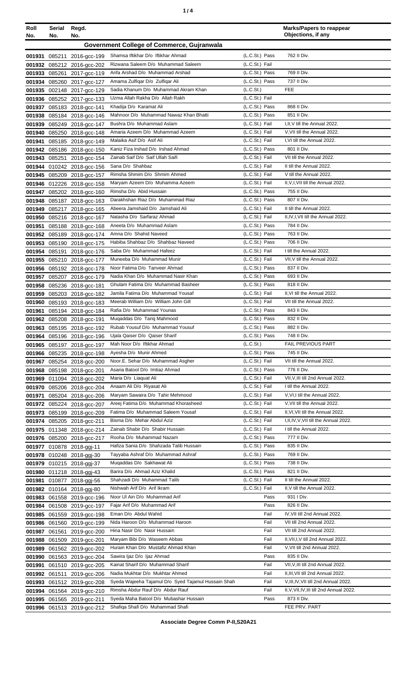| ٠ |
|---|
|---|

| Roll          | Serial                                                          | Regd.                                                    |                                                                          |                                  | <b>Marks/Papers to reappear</b><br>Objections, if any               |
|---------------|-----------------------------------------------------------------|----------------------------------------------------------|--------------------------------------------------------------------------|----------------------------------|---------------------------------------------------------------------|
|               | No.<br>No.<br>No.<br>Government College of Commerce, Gujranwala |                                                          |                                                                          |                                  |                                                                     |
|               |                                                                 |                                                          |                                                                          |                                  |                                                                     |
|               |                                                                 | 001931 085211 2016-gcc-199                               | Shamsa Iftikhar D/o Iftikhar Ahmad                                       | (L.C.St.) Pass                   | 762 II Div.                                                         |
|               |                                                                 | 001932 085212 2016-gcc-202                               | Rizwana Saleem D/o Muhammad Saleem                                       | (L.C.St.) Fail                   | 769 II Div.                                                         |
| 001933 085261 |                                                                 | 2017-gcc-119                                             | Anfa Arshad D/o Muhammad Arshad                                          | (L.C.St.) Pass                   | 737 II Div.                                                         |
| 001934        | 085260                                                          | 2017-gcc-127                                             | Amama Zulfiqar D/o Zulfiqar Ali<br>Sadia Khanum D/o Muhammad Akram Khan  | (L.C.St.) Pass<br>(L.C.St.)      | <b>FEE</b>                                                          |
|               |                                                                 | 001935 002148 2017-gcc-129                               | Uzma Allah Rakha D/o Allah Rakh                                          | (L.C.St.) Fail                   |                                                                     |
|               |                                                                 | 001936 085252 2017-gcc-133<br>001937 085183 2018-gcc-141 | Khadija D/o Karamat Ali                                                  | (L.C.St.) Pass                   | 868 II Div.                                                         |
| 001938        |                                                                 | 085184 2018-gcc-146                                      | Mahnoor D/o Muhammad Nawaz Khan Bhatti                                   | (L.C.St.) Pass                   | 851 II Div.                                                         |
|               |                                                                 | 001939 085249 2018-gcc-147                               | Bushra D/o Muhammad Aslam                                                | (L.C.St.) Fail                   | I, II, V till the Annual 2022.                                      |
| 001940        |                                                                 | 085250 2018-gcc-148                                      | Amaria Azeem D/o Muhammad Azeem                                          | (L.C.St.) Fail                   | V, VII till the Annual 2022.                                        |
| 001941        |                                                                 | 085185 2018-gcc-149                                      | Malaika Asif D/o Asif Ali                                                | (L.C.St.) Fail                   | I, VI till the Annual 2022.                                         |
|               |                                                                 | 001942 085186 2018-gcc-150                               | Kaniz Fiza Irshad D/o Irshad Ahmad                                       | (L.C.St.) Pass                   | 801 II Div.                                                         |
|               |                                                                 | 001943 085251 2018-gcc-154                               | Zainab Saif D/o Saif Ullah Saifi                                         | (L.C.St.) Fail                   | VII till the Annual 2022.                                           |
| 001944        |                                                                 | 010242 2018-gcc-156                                      | Sana D/o Shahbaz                                                         | (L.C.St.) Fail                   | II till the Annual 2022.                                            |
|               |                                                                 | 001945 085209 2018-gcc-157                               | Rimsha Shmim D/o Shmim Ahmed                                             | (L.C.St.) Fail                   | V till the Annual 2022.                                             |
| 001946        |                                                                 | 012226 2018-gcc-158                                      | Maryam Azeem D/o Muhamma Azeem                                           | (L.C.St.) Fail                   | II, V, I, VII till the Annual 2022.                                 |
|               |                                                                 | 001947 085202 2018-gcc-160                               | Rimsha D/o Abid Hussain                                                  | (L.C.St.) Pass                   | 755 II Div.                                                         |
| 001948        |                                                                 | 085187 2018-gcc-163                                      | Darakhshan Riaz D/o Muhammad Riaz                                        | (L.C.St.) Pass                   | 807 II Div.                                                         |
|               |                                                                 | 001949 085217 2018-gcc-165                               | Abeera Jamshaid D/o Jamshaid Ali                                         | (L.C.St.) Fail                   | II till the Annual 2022.                                            |
| 001950        |                                                                 | 085216 2018-gcc-167                                      | Natasha D/o Sarfaraz Ahmad                                               | (L.C.St.) Fail                   | II, IV, I, VII till the Annual 2022.                                |
| 001951        |                                                                 | 085188 2018-gcc-168                                      | Aneeta D/o Muhammad Aslam                                                | (L.C.St.) Pass                   | 784 II Div.                                                         |
| 001952        |                                                                 | 085189 2018-gcc-174                                      | Amna D/o Shahid Naveed                                                   | (L.C.St.) Pass                   | 763 II Div.                                                         |
|               |                                                                 | 001953 085190 2018-gcc-175                               | Habiba Shahbaz D/o Shahbaz Naveed<br>Saba D/o Muhammad Hafeez            | (L.C.St.) Pass                   | 706 II Div.<br>I till the Annual 2022.                              |
| 001954        |                                                                 | 085191 2018-gcc-176                                      | Muneeba D/o Muhammad Munir                                               | (L.C.St.) Fail<br>(L.C.St.) Fail | VII, V till the Annual 2022.                                        |
|               |                                                                 | 001955 085210 2018-gcc-177<br>001956 085192 2018-gcc-178 | Noor Fatima D/o Tanveer Ahmad                                            | (L.C.St.) Pass                   | 837 II Div.                                                         |
| 001957        |                                                                 | 085207 2018-gcc-179                                      | Nadia Khan D/o Muhammad Nasir Khan                                       | (L.C.St.) Pass                   | 693 II Div.                                                         |
| 001958        |                                                                 | 085236 2018-gcc-181                                      | Ghulam Fatima D/o Muhammad Basheer                                       | (L.C.St.) Pass                   | 818 II Div.                                                         |
| 001959        |                                                                 | 085203 2018-gcc-182                                      | Jamila Fatima D/o Muhammad Yousaf                                        | (L.C.St.) Fail                   | II, VI till the Annual 2022.                                        |
| 001960        |                                                                 | 085193 2018-gcc-183                                      | Meerab William D/o William John Gill                                     | (L.C.St.) Fail                   | VII till the Annual 2022.                                           |
| 001961        |                                                                 | 085194 2018-gcc-184                                      | Rafia D/o Muhammad Younas                                                | (L.C.St.) Pass                   | 843 II Div.                                                         |
| 001962        |                                                                 | 085208 2018-gcc-191                                      | Mugaddas D/o Tarig Mahmood                                               | (L.C.St.) Pass                   | 832 II Div.                                                         |
|               |                                                                 | 001963 085195 2018-gcc-192                               | Rubab Yousuf D/o Muhammad Yousuf                                         | (L.C.St.) Pass                   | 882 II Div.                                                         |
|               |                                                                 | 001964 085196 2018-gcc-196                               | Ujala Qaiser D/o Qaiser Sharif                                           | (L.C.St.) Pass                   | 748 II Div.                                                         |
|               | 001965 085197                                                   | 2018-gcc-197                                             | Mah Noor D/o Iftikhar Ahmad                                              | (L.C.S <sub>t</sub> )            | <b>FAIL PREVIOUS PART</b>                                           |
|               |                                                                 | 001966 085235 2018-gcc-198                               | Ayesha D/o Munir Ahmed                                                   | (L.C.St.) Pass                   | 745 II Div.                                                         |
|               |                                                                 | 001967 085254 2018-gcc-200                               | Noor.E. Sehar D/o Muhammad Asgher                                        | (L.C.St.) Fail                   | VII till the Annual 2022.                                           |
|               |                                                                 | 001968 085198 2018-gcc-201                               | Asaria Batool D/o Imtiaz Ahmad                                           | (L.C.St.) Pass                   | 776 II Div.                                                         |
|               |                                                                 | 001969 011094 2018-gcc-202                               | Maria D/o Liaquat Ali                                                    | (L.C.St.) Fail                   | VII, V, III till 2nd Annual 2022.                                   |
| 001970        |                                                                 | 085206 2018-gcc-204                                      | Anaam Ali D/o Riyasat Ali                                                | (L.C.St.) Fail                   | I till the Annual 2022.                                             |
| 001971        |                                                                 | 085204 2018-gcc-206                                      | Maryam Sawaira D/o Tahir Mehmood<br>Areej Fatima D/o Muhammad Khorasheed | (L.C.St.) Fail<br>(L.C.St.) Fail | V, VI, I till the Annual 2022.<br>V, VII till the Annual 2022.      |
|               |                                                                 | 001972 085224 2018-gcc-207<br>001973 085199 2018-gcc-209 | Fatima D/o Muhammad Saleem Yousaf                                        | (L.C.St.) Fail                   | II, VI, VII till the Annual 2022.                                   |
|               |                                                                 | 001974 085205 2018-gcc-211                               | Bisma D/o Mehar Abdul Aziz                                               | (L.C.St.) Fail                   | I, II, IV, V, VII till the Annual 2022.                             |
|               |                                                                 | 001975 011348 2018-gcc-214                               | Zainab Shabir D/o Shabir Hussain                                         | (L.C.St.) Fail                   | I till the Annual 2022.                                             |
|               |                                                                 | 001976 085200 2018-gcc-217                               | Rooha D/o Muhammad Nazam                                                 | (L.C.St.) Pass                   | 777 II Div.                                                         |
|               |                                                                 | 001977 010878 2018-ggj-11                                | Hafiza Sania D/o Shahzada Talib Hussain                                  | (L.C.St.) Pass                   | 835 II Div.                                                         |
|               |                                                                 | 001978 010248 2018-ggj-30                                | Tayyaba Ashraf D/o Muhammad Ashraf                                       | (L.C.St.) Pass                   | 769 II Div.                                                         |
|               |                                                                 | 001979 010215 2018-ggj-37                                | Mugaddas D/o Sakhawat Ali                                                | (L.C.St.) Pass                   | 738 II Div.                                                         |
|               |                                                                 | 001980 011218 2018-ggj-43                                | Barira D/o Ahmad Aziz Khalid                                             | (L.C.St.) Pass                   | 821 II Div.                                                         |
|               |                                                                 | 001981 010877 2018-ggj-56                                | Shahzadi D/o Muhammad Talib                                              | (L.C.St.) Fail                   | II till the Annual 2022.                                            |
|               |                                                                 | 001982 010164 2018-ggj-80                                | Nishwah Arif D/o Arif Ikram                                              | (L.C.St.) Fail                   | II, V till the Annual 2022.                                         |
|               |                                                                 | 001983 061558 2019-gcc-196                               | Noor UI Ain D/o Muhammad Arif                                            | Pass                             | 931 I Div.                                                          |
|               |                                                                 | 001984 061508 2019-gcc-197                               | Fajar Arif D/o Muhammad Arif                                             | Pass                             | 826 II Div.                                                         |
|               |                                                                 | 001985 061559 2019-gcc-198                               | Eman D/o Abdul Wahid                                                     | Fail                             | IV, VII till 2nd Annual 2022.                                       |
|               |                                                                 | 001986 061560 2019-gcc-199                               | Nida Haroon D/o Muhammad Haroon                                          | Fail                             | VII till 2nd Annual 2022.                                           |
| 001987        |                                                                 | 061561 2019-gcc-200                                      | Hina Nasir D/o Nasir Hussain                                             | Fail                             | VII till 2nd Annual 2022.                                           |
| 001988        |                                                                 | 061509 2019-gcc-201                                      | Maryam Bibi D/o Waseem Abbas<br>Hurain Khan D/o Mustafiz Ahmad Khan      | Fail<br>Fail                     | II, VII, I, V till 2nd Annual 2022.<br>V, VII till 2nd Annual 2022. |
| 001989        |                                                                 | 061562 2019-gcc-202                                      | Sawira Ijaz D/o Ijaz Ahmad                                               | Pass                             | 835 II Div.                                                         |
| 001990        |                                                                 | 061563 2019-gcc-204                                      | Kainat Sharif D/o Muhammad Sharif                                        | Fail                             | VII, V, III till 2nd Annual 2022.                                   |
| 001991        |                                                                 | 061510 2019-gcc-205                                      | Nadia Mukhtar D/o Mukhtar Ahmed                                          | Fail                             | II, III, VII till 2nd Annual 2022.                                  |
|               |                                                                 | 001992 061511 2019-gcc-206<br>001993 061512 2019-gcc-208 | Syeda Wajeeha Tajamul D/o Syed Tajamul Hussain Shah                      | Fail                             | V, III, IV, VII till 2nd Annual 2022.                               |
|               |                                                                 | 001994 061564 2019-gcc-210                               | Rimsha Abdur Rauf D/o Abdur Rauf                                         | Fail                             | II, V, VII, IV, III till 2nd Annual 2022.                           |
|               |                                                                 | 001995 061565 2019-gcc-211                               | Syeda Maha Batool D/o Mubashar Hussain                                   | Pass                             | 873 II Div.                                                         |
|               |                                                                 | 001996 061513 2019-gcc-212                               | Shafiqa Shafi D/o Muhammad Shafi                                         |                                  | FEE PRV. PART                                                       |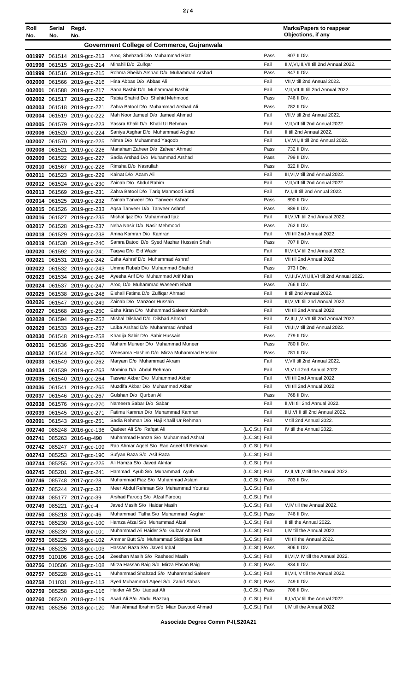|--|--|--|

| Roll<br>No.      | Serial<br>No. | Regd.<br>No.                                      |                                                                      |                                  | <b>Marks/Papers to reappear</b><br>Objections, if any         |
|------------------|---------------|---------------------------------------------------|----------------------------------------------------------------------|----------------------------------|---------------------------------------------------------------|
|                  |               |                                                   | <b>Government College of Commerce, Gujranwala</b>                    |                                  |                                                               |
|                  |               |                                                   |                                                                      |                                  |                                                               |
| 001998           |               | 001997 061514 2019-gcc-213                        | Arooj Shehzadi D/o Muhammad Riaz<br>Minahil D/o Zulfgar              | Pass<br>Fail                     | 807 II Div.<br>II, V, VI, III, VII till 2nd Annual 2022.      |
| 001999           |               | 061515 2019-gcc-214<br>061516 2019-gcc-215        | Rohma Sheikh Arshad D/o Muhammad Arshad                              | Pass                             | 847 II Div.                                                   |
| 002000           |               | 061566 2019-gcc-216                               | Hina Abbas D/o Abbas Ali                                             | Fail                             | VII, V till 2nd Annual 2022.                                  |
| 002001           |               | 061588 2019-gcc-217                               | Sana Bashir D/o Muhammad Bashir                                      | Fail                             | V, II, VII, III till 2nd Annual 2022.                         |
| 002002           |               | 061517 2019-gcc-220                               | Rabia Shahid D/o Shahid Mehmood                                      | Pass                             | 746 II Div.                                                   |
|                  |               | 002003 061518 2019-gcc-221                        | Zahra Batool D/o Muhammad Arshad Ali                                 | Pass                             | 782 II Div.                                                   |
| 002004           |               | 061519 2019-gcc-222                               | Mah Noor Jameel D/o Jameel Ahmad                                     | Fail                             | VII, V till 2nd Annual 2022.                                  |
|                  |               | 002005 061579 2019-acc-223                        | Yassra Khalil D/o Khalil UI Rehman                                   | Fail                             | V, II, VII till 2nd Annual 2022.                              |
| 002006           |               | 061520 2019-gcc-224                               | Saniya Asghar D/o Muhammad Asghar                                    | Fail                             | II till 2nd Annual 2022.                                      |
| 002007           |               | 061570 2019-gcc-225                               | Nimra D/o Muhammad Yaqoob                                            | Fail                             | I, V, VII, III till 2nd Annual 2022.                          |
| 002008           |               | 061521 2019-gcc-226                               | Manaham Zaheer D/o Zaheer Ahmad                                      | Pass                             | 732 II Div.                                                   |
| 002009           |               | 061522 2019-gcc-227                               | Sadia Arshad D/o Muhammad Arshad<br>Rimsha D/o Nasrullah             | Pass<br>Pass                     | 799 II Div.<br>822 II Div.                                    |
| 002010<br>002011 |               | 061567 2019-acc-228                               | Kainat D/o Azam Ali                                                  | Fail                             | III, VI, V till 2nd Annual 2022.                              |
|                  |               | 061523 2019-gcc-229<br>002012 061524 2019-gcc-230 | Zainab D/o Abdul Rahim                                               | Fail                             | V, II, VII till 2nd Annual 2022.                              |
|                  |               | 002013 061569 2019-gcc-231                        | Zahra Batool D/o Tariq Mahmood Batti                                 | Fail                             | IV, I, III till 2nd Annual 2022.                              |
|                  |               | 002014 061525 2019-gcc-232                        | Zainab Tanveer D/o Tanveer Ashraf                                    | Pass                             | 890 II Div.                                                   |
|                  |               | 002015 061526 2019-gcc-233                        | Agsa Tanveer D/o Tanveer Ashraf                                      | Pass                             | 889 II Div.                                                   |
|                  |               | 002016 061527 2019-gcc-235                        | Mishal Ijaz D/o Muhammad Ijaz                                        | Fail                             | III, V, VII till 2nd Annual 2022.                             |
|                  |               | 002017 061528 2019-gcc-237                        | Neha Nasir D/o Nasir Mehmood                                         | Pass                             | 762 II Div.                                                   |
| 002018           |               | 061529 2019-gcc-238                               | Amna Kamran D/o Kamran                                               | Fail                             | VII till 2nd Annual 2022.                                     |
| 002019           |               | 061530 2019-gcc-240                               | Samra Batool D/o Syed Mazhar Hussain Shah                            | Pass                             | 707 II Div.                                                   |
| 002020           |               | 061592 2019-gcc-241                               | Taqwa D/o Eid Wazir                                                  | Fail                             | III, VII, V till 2nd Annual 2022.                             |
| 002021           |               | 061531 2019-gcc-242                               | Esha Ashraf D/o Muhammad Ashraf                                      | Fail                             | VII till 2nd Annual 2022.                                     |
| 002022           |               | 061532 2019-gcc-243                               | Umme Rubab D/o Muhammad Shahid                                       | Pass                             | 973   Div.                                                    |
| 002023           |               | 061534 2019-gcc-246                               | Ayesha Arif D/o Muhammad Arif Khan                                   | Fail                             | V, I, II, IV, VII, III, VI till 2nd Annual 2022.              |
| 002024           |               | 061537 2019-gcc-247                               | Arooj D/o Muhammad Waseem Bhatti                                     | Pass                             | 766 II Div.                                                   |
| 002025           |               | 061538 2019-gcc-248                               | Eishall Fatima D/o Zulfigar Ahmad<br>Zainab D/o Manzoor Hussain      | Fail<br>Fail                     | II till 2nd Annual 2022.<br>III, V, VII till 2nd Annual 2022. |
| 002026           |               | 061547 2019-gcc-249                               | Esha Kiran D/o Muhammad Saleem Kamboh                                | Fail                             | VII till 2nd Annual 2022.                                     |
| 002027<br>002028 |               | 061568 2019-gcc-250<br>061594 2019-gcc-252        | Mishal Dilshad D/o Dilshad Ahmad                                     | Fail                             | IV, III, II, V, VII till 2nd Annual 2022.                     |
|                  |               | 002029 061533 2019-gcc-257                        | Laiba Arshad D/o Muhammad Arshad                                     | Fail                             | VII, II, V till 2nd Annual 2022.                              |
|                  |               | 002030 061548 2019-gcc-258                        | Khadija Sabir D/o Sabir Hussain                                      | Pass                             | 779 II Div.                                                   |
| 002031           |               | 061536 2019-gcc-259                               | Maham Muneer D/o Muhammad Muneer                                     | Pass                             | 780 II Div.                                                   |
|                  |               | 002032 061544 2019-gcc-260                        | Weesama Hashim D/o Mirza Muhammad Hashim                             | Pass                             | 781 II Div.                                                   |
| 002033           |               | 061549 2019-gcc-262                               | Maryam D/o Muhammad Akram                                            | Fail                             | V, VII till 2nd Annual 2022.                                  |
| 002034           |               | 061539 2019-gcc-263                               | Momina D/o Abdul Rehman                                              | Fail                             | VI, V till 2nd Annual 2022.                                   |
|                  |               | 002035 061540 2019-gcc-264                        | Taswar Akbar D/o Muhammad Akbar                                      | Fail                             | VII till 2nd Annual 2022.                                     |
|                  |               | 002036 061541 2019-gcc-265                        | Muzdlfa Akbar D/o Muhammad Akbar                                     | Fail                             | VII till 2nd Annual 2022.                                     |
| 002037           |               | 061546 2019-gcc-267                               | Gulshan D/o Qurban Ali                                               | Pass                             | 768 II Div.                                                   |
| 002038           |               | 061576 2019-gcc-270                               | Nameera Sabar D/o Sabar                                              | Fail                             | II, VII till 2nd Annual 2022.                                 |
| 002039           |               | 061545 2019-gcc-271                               | Fatima Kamran D/o Muhammad Kamran                                    | Fail                             | III, I, VI, II till 2nd Annual 2022.                          |
| 002091           |               | 061543 2019-gcc-251                               | Sadia Rehman D/o Haji Khalil Ur Rehman<br>Qadeer Ali S/o Rafqat Ali  | Fail<br>(L.C.St.) Fail           | V till 2nd Annual 2022.<br>IV till the Annual 2022.           |
| 002740<br>002741 |               | 085248 2016-gcc-136<br>085263 2016-ug-490         | Muhammad Hamza S/o Muhammad Ashraf                                   | (L.C.St.) Fail                   |                                                               |
|                  |               | 002742 085247 2017-gcc-109                        | Rao Ahmar Aqeel S/o Rao Aqeel Ul Rehman                              | (L.C.St.) Fail                   |                                                               |
| 002743           |               | 085253 2017-gcc-190                               | Sufyan Raza S/o Asif Raza                                            | (L.C.St.) Fail                   |                                                               |
|                  |               | 002744 085255 2017-gcc-225                        | Ali Hamza S/o Javed Akhtar                                           | (L.C.St.) Fail                   |                                                               |
|                  |               | 002745 085201 2017-gcc-241                        | Hammad Ayub S/o Muhammad Ayub                                        | (L.C.St.) Fail                   | IV, II, VII, V till the Annual 2022.                          |
|                  |               | 002746 085748 2017-gcc-28                         | Muhammad Fiaz S/o Muhammad Aslam                                     | (L.C.St.) Pass                   | 703 II Div.                                                   |
|                  |               | 002747 085244 2017-gcc-32                         | Meer Abdul Rehman S/o Muhammad Younas                                | (L.C.St.) Fail                   |                                                               |
| 002748           |               | 085177 2017-gcc-39                                | Arshad Farooq S/o Afzal Farooq                                       | (L.C.St.) Fail                   |                                                               |
| 002749           |               | 085221 2017-gcc-4                                 | Javed Masih S/o Haidar Masih                                         | (L.C.St.) Fail                   | V, IV till the Annual 2022.                                   |
|                  |               | 002750 085218 2017-gcc-46                         | Muhammad Talha S/o Muhammad Asghar                                   | (L.C.St.) Pass                   | 746 II Div.                                                   |
| 002751           |               | 085230 2018-gcc-100                               | Hamza Afzal S/o Muhammad Afzal                                       | (L.C.St.) Fail                   | II till the Annual 2022.                                      |
|                  |               | 002752 085239 2018-gcc-101                        | Muhammad Ali Haider S/o Gulzar Ahmed                                 | (L.C.St.) Fail                   | I,IV till the Annual 2022.                                    |
| 002753           |               | 085225 2018-gcc-102                               | Ammar Butt S/o Muhammad Siddique Butt<br>Hassan Raza S/o Javed Iqbal | (L.C.St.) Fail<br>(L.C.St.) Pass | VII till the Annual 2022.<br>806 II Div.                      |
|                  |               | 002754 085226 2018-gcc-103                        | Zeeshan Masih S/o Rasheed Masih                                      | (L.C.St.) Fail                   | III, VI, V, IV till the Annual 2022.                          |
| 002755           |               | 010106 2018-gcc-104                               | Mirza Hassan Baig S/o Mirza Ehsan Baig                               | (L.C.St.) Pass                   | 834 II Div.                                                   |
| 002756<br>002757 |               | 010506 2018-gcc-108<br>085228 2018-gcc-11         | Muhammad Shahzad S/o Muhammad Saleem                                 | (L.C.St.) Fail                   | III, VII, IV till the Annual 2022.                            |
| 002758           |               | 011031 2018-gcc-113                               | Syed Muhammad Ageel S/o Zahid Abbas                                  | (L.C.St.) Pass                   | 749 II Div.                                                   |
| 002759           |               | 085258 2018-gcc-116                               | Haider Ali S/o Liaquat Ali                                           | (L.C.St.) Pass                   | 706 II Div.                                                   |
| 002760           |               | 085240 2018-gcc-119                               | Asad Ali S/o Abdul Razzaq                                            | (L.C.St.) Fail                   | II, I, VI, V till the Annual 2022.                            |
|                  |               | 002761 085256 2018-gcc-120                        | Mian Ahmad Ibrahim S/o Mian Dawood Ahmad                             | (L.C.St.) Fail                   | I,IV till the Annual 2022.                                    |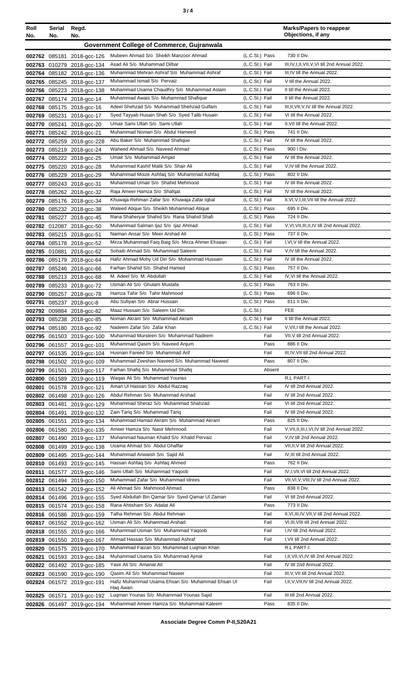| Roll   | Serial | Regd.                                                    |                                                                                          |                                  | <b>Marks/Papers to reappear</b><br>Objections, if any                                |
|--------|--------|----------------------------------------------------------|------------------------------------------------------------------------------------------|----------------------------------|--------------------------------------------------------------------------------------|
| No.    | No.    | No.                                                      | Government College of Commerce, Gujranwala                                               |                                  |                                                                                      |
|        |        |                                                          | Mubeen Ahmad S/o Sheikh Manzoor Ahmad                                                    | (L.C.St.) Pass                   | 730 II Div.                                                                          |
|        |        | 002762 085181 2018-gcc-126<br>002763 010279 2018-gcc-134 | Asad Ali S/o Muhammad Dilbar                                                             | (L.C.St.) Fail                   | III, IV, I, II, VII, V, VI till 2nd Annual 2022.                                     |
|        |        | 002764 085182 2018-gcc-136                               | Muhammad Mehran Ashraf S/o Muhammad Ashraf                                               | (L.C.St.) Fail                   | III.IV till the Annual 2022.                                                         |
|        |        | 002765 085245 2018-gcc-137                               | Muhammad Ismail S/o Pervaiz                                                              | (L.C.St.) Fail                   | V till the Annual 2022.                                                              |
|        |        | 002766 085223 2018-gcc-138                               | Muhammad Usama Chaudhry S/o Muhammad Aslam                                               | (L.C.St.) Fail                   | II till the Annual 2022.                                                             |
|        |        | 002767 085174 2018-gcc-14                                | Muhammad Awais S/o Muhammad Shafique                                                     | (L.C.St.) Fail                   | II till the Annual 2022.                                                             |
|        |        | 002768 085175 2018-acc-16                                | Adeel Shehzad S/o Muhammad Shehzad Gulfam                                                | (L.C.St.) Fail                   | III, II, VII, V, IV till the Annual 2022.                                            |
|        |        | 002769 085231 2018-gcc-17                                | Syed Tayyab Husain Shah S/o Syed Talib Husain                                            | (L.C.St.) Fail                   | VI till the Annual 2022.                                                             |
|        |        | 002770 085241 2018-gcc-20<br>002771 085242 2018-gcc-21   | Umair Sami Ullah S/o Sami Ullah<br>Muhammad Noman S/o Abdul Hameed                       | (L.C.St.) Fail<br>(L.C.St.) Pass | II, VII till the Annual 2022.<br>741 II Div.                                         |
|        |        | 002772 085259 2018-gcc-228                               | Abu Baker S/o Muhammad Shafique                                                          | (L.C.St.) Fail                   | IV till the Annual 2022.                                                             |
|        |        | 002773 085219 2018-gcc-24                                | Waheed Ahmad S/o Naveed Ahmad                                                            | (L.C.St.) Pass                   | 900   Div.                                                                           |
|        |        | 002774 085222 2018-gcc-25                                | Umair S/o Muhammad Amjad                                                                 | (L.C.St.) Fail                   | IV till the Annual 2022.                                                             |
|        |        | 002775 085220 2018-gcc-28                                | Muhammad Kashif Malik S/o Shair Ali                                                      | (L.C.St.) Fail                   | V, IV till the Annual 2022.                                                          |
|        |        | 002776 085229 2018-gcc-29                                | Muhammad Moize Ashfaq S/o Muhammad Ashfaq                                                | (L.C.St.) Pass                   | 802 II Div.                                                                          |
|        |        | 002777 085243 2018-gcc-31                                | Muhammad Umair S/o Shahid Mehmood                                                        | (L.C.St.) Fail                   | IV till the Annual 2022.                                                             |
|        |        | 002778 085262 2018-gcc-32                                | Raja Ameer Hamza S/o Shafqat                                                             | (L.C.St.) Fail                   | IV till the Annual 2022.                                                             |
|        |        | 002779 085176 2018-gcc-34                                | Khuwaja Rehman Zafar S/o Khuwaja Zafar Iqbal<br>Waleed Atique S/o Sheikh Muhammad Atique | (L.C.St.) Fail<br>(L.C.St.) Pass | II, VI, V, I, III, VII till the Annual 2022.<br>695 II Div.                          |
| 002781 |        | 002780 085232 2018-gcc-38<br>085227 2018-gcc-45          | Rana Shaheryar Shahid S/o Rana Shahid Shafi                                              | (L.C.St.) Pass                   | 724 II Div.                                                                          |
|        |        | 002782 012087 2018-gcc-50                                | Muhammad Salman Ijaz S/o Ijaz Ahmad                                                      | (L.C.St.) Fail                   | V, VI, VII, III, II, IV till 2nd Annual 2022.                                        |
|        |        | 002783 085215 2018-gcc-51                                | Naiman Ansar S/o Meer Arshad Ali                                                         | (L.C.St.) Pass                   | 737 II Div.                                                                          |
|        |        | 002784 085178 2018-gcc-52                                | Mirza Muhammad Faiq Baig S/o Mirza Ahmer Ehsaan                                          | (L.C.St.) Fail                   | I, VI, V till the Annual 2022.                                                       |
|        |        | 002785 010881 2018-gcc-62                                | Sohaib Ahmad S/o Muhammad Saleem                                                         | (L.C.St.) Fail                   | V, IV till the Annual 2022.                                                          |
|        |        | 002786 085179 2018-gcc-64                                | Hafiz Ahmad Mohy Ud Din S/o Mohammad Hussain                                             | (L.C.St.) Fail                   | IV till the Annual 2022.                                                             |
|        |        | 002787 085246 2018-gcc-66                                | Farhan Shahid S/o Shahid Hamed                                                           | (L.C.St.) Pass                   | 757 II Div.                                                                          |
|        |        | 002788 085213 2018-gcc-68                                | M. Adeel S/o M. Abdullah                                                                 | (L.C.St.) Fail                   | IV, VI till the Annual 2022.                                                         |
|        |        | 002789 085233 2018-gcc-72                                | Usman Ali S/o Ghulam Mustafa<br>Hamza Tahir S/o Tahir Mahmood                            | (L.C.St.) Pass<br>(L.C.St.) Pass | 763 II Div.<br>696 II Div.                                                           |
| 002791 |        | 002790 085257 2018-gcc-78<br>085237 2018-gcc-8           | Abu Sufiyan S/o Abrar Hussain                                                            | (L.C.St.) Pass                   | 811 II Div.                                                                          |
|        |        | 002792 009884 2018-gcc-82                                | Maaz Hussain S/o Saleem Ud Din                                                           | (L.C.S <sub>t</sub> )            | <b>FEE</b>                                                                           |
|        |        | 002793 085238 2018-gcc-85                                | Noman Akram S/o Muhammad Akram                                                           | (L.C.St.) Fail                   | II till the Annual 2022.                                                             |
|        |        | 002794 085180 2018-gcc-92                                | Nadeem Zafar S/o Zafar Khan                                                              | (L.C.St.) Fail                   | V, VII, I till the Annual 2022.                                                      |
|        |        | 002795 061503 2019-gcc-100                               | Muhammad Mursleen S/o Muhammad Nadeem                                                    | Fail                             | VII, V till 2nd Annual 2022.                                                         |
|        |        | 002796 061557 2019-gcc-101                               | Muhammad Qasim S/o Naveed Anjum                                                          | Pass                             | 886 II Div.                                                                          |
|        |        | 002797 061535 2019-gcc-104                               | Husnain Fareed S/o Muhammad Arif                                                         | Fail                             | III, IV, VII till 2nd Annual 2022.                                                   |
| 002798 |        | 061502 2019-gcc-109<br>002799 061501 2019-gcc-117        | Muhammad Zeeshan Naveed S/o Muhammad Naveed<br>Farhan Shafiq S/o Muhammad Shafiq         | Pass<br>Absent                   | 807 II Div.                                                                          |
|        |        | 002800 061589 2019-gcc-119                               | Waqas Ali S/o Muhammad Younas                                                            |                                  | R.L PART-I                                                                           |
| 002801 |        | 061578 2019-gcc-121                                      | Aman UI Hassan S/o Abdul Razzaq                                                          | Fail                             | IV till 2nd Annual 2022.                                                             |
|        |        | 002802 061498 2019-gcc-126                               | Abdul Rehman S/o Muhammad Arshad                                                         | Fail                             | IV till 2nd Annual 2022.                                                             |
|        |        | 002803 061481 2019-gcc-129                               | Muhammad Sheraz S/o Muhammad Shahzad                                                     | Fail                             | VI till 2nd Annual 2022.                                                             |
|        |        | 002804 061491 2019-gcc-132                               | Zain Tariq S/o Muhammad Tariq                                                            | Fail                             | IV till 2nd Annual 2022.                                                             |
|        |        | 002805 061551 2019-gcc-134                               | Muhammad Hamad Akram S/o Muhammad Akram                                                  | Pass                             | 825 II Div.                                                                          |
|        |        | 002806 061580 2019-gcc-135                               | Ameer Hamza S/o Nasir Mehmood<br>Muhammad Nauman Khalid S/o Khalid Pervaiz               | Fail<br>Fail                     | V, VII, II, II, I, VI, IV till 2nd Annual 2022.<br>V, IV till 2nd Annual 2022.       |
|        |        | 002807 061490 2019-gcc-137<br>002808 061499 2019-gcc-138 | Usama Ahmad S/o Abdul Ghaffar                                                            | Fail                             | VII, II, V till 2nd Annual 2022.                                                     |
|        |        | 002809 061495 2019-gcc-144                               | Muhammad Anwaish S/o Sajid Ali                                                           | Fail                             | IV, III till 2nd Annual 2022.                                                        |
|        |        | 002810 061493 2019-gcc-145                               | Hassan Ashfaq S/o Ashfaq Ahmed                                                           | Pass                             | 762 II Div.                                                                          |
|        |        | 002811 061577 2019-gcc-146                               | Sami Ullah S/o Muhammad Yaqoob                                                           | Fail                             | IV, I, VII, VI till 2nd Annual 2022.                                                 |
|        |        | 002812 061494 2019-gcc-150                               | Muhammad Zafar S/o Muhammad Idrees                                                       | Fail                             | VII, VI, V, VIII, IV till 2nd Annual 2022.                                           |
|        |        | 002813 061542 2019-gcc-152                               | Ali Ahmad S/o Mahmood Ahmad                                                              | Pass                             | 838 II Div.                                                                          |
|        |        | 002814 061496 2019-gcc-155                               | Syed Abdullah Bin Qamar S/o Syed Qamar UI Zaman                                          | Fail                             | VI till 2nd Annual 2022.                                                             |
|        |        | 002815 061574 2019-gcc-158                               | Rana Ahtisham S/o Adalat Ali                                                             | Pass                             | 773 II Div.                                                                          |
|        |        | 002816 061586 2019-gcc-159                               | Talha Rehman S/o Abdul Rehman<br>Usman Ali S/o Muhammad Arshad                           | Fail<br>Fail                     | II, VI, III, IV, VII, V till 2nd Annual 2022.<br>VI, III, VIII till 2nd Annual 2022. |
|        |        | 002817 061552 2019-gcc-162<br>002818 061555 2019-gcc-166 | Muhammad Usman S/o Muhammad Yaqoob                                                       | Fail                             | I,IV till 2nd Annual 2022.                                                           |
|        |        | 002819 061550 2019-gcc-167                               | Ahmad Hassan S/o Muhammad Ashraf                                                         | Fail                             | I, VII till 2nd Annual 2022.                                                         |
|        |        | 002820 061575 2019-gcc-170                               | Muhammad Faizan S/o Muhammad Luqman Khan                                                 |                                  | R.L PART-I                                                                           |
| 002821 |        | 061593 2019-gcc-184                                      | Muhammad Usama S/o Muhammad Ajmal                                                        | Fail                             | I, II, VII, VI, IV till 2nd Annual 2022.                                             |
|        |        | 002822 061492 2019-gcc-185                               | Yasir Ali S/o Amanat Ali                                                                 | Fail                             | IV till 2nd Annual 2022.                                                             |
|        |        | 002823 061590 2019-gcc-190                               | Qasim Ali S/o Muhammad Naseer                                                            | Fail                             | III, V, VII till 2nd Annual 2022.                                                    |
|        |        | 002824 061572 2019-gcc-191                               | Hafiz Muhammad Usama Ehsan S/o Muhammad Ehsan UI<br>Haq Awan                             | Fail                             | I, II, V, VII, IV till 2nd Annual 2022.                                              |
|        |        | 002825 061571 2019-gcc-192                               | Luqman Younas S/o Muhammad Younas Sajid                                                  | Fail                             | III till 2nd Annual 2022.                                                            |
|        |        | 002826 061497 2019-gcc-194                               | Muhammad Ameer Hamza S/o Muhammad Kaleem                                                 | Pass                             | 835 II Div.                                                                          |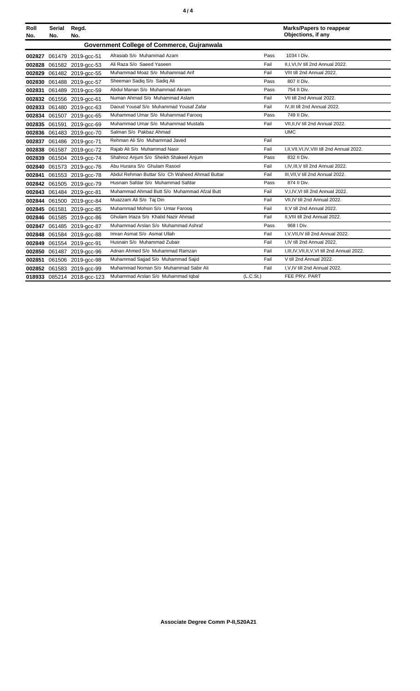|--|--|

| Roll                                       | Serial | Regd.                      |                                                |           | <b>Marks/Papers to reappear</b>                  |  |  |
|--------------------------------------------|--------|----------------------------|------------------------------------------------|-----------|--------------------------------------------------|--|--|
| No.                                        | No.    | No.                        |                                                |           | Objections, if any                               |  |  |
| Government College of Commerce, Gujranwala |        |                            |                                                |           |                                                  |  |  |
|                                            |        | 002827 061479 2019-gcc-51  | Afrasiab S/o Muhammad Azam                     | Pass      | 1034   Div.                                      |  |  |
|                                            |        | 002828 061582 2019-acc-53  | Ali Raza S/o Saeed Yaseen                      | Fail      | II.I.VI.IV till 2nd Annual 2022.                 |  |  |
|                                            |        | 002829 061482 2019-acc-55  | Muhammad Moaz S/o Muhammad Arif                | Fail      | VIII till 2nd Annual 2022.                       |  |  |
|                                            |        | 002830 061488 2019-acc-57  | Sheeman Sadiq S/o Sadiq Ali                    | Pass      | 807 II Div.                                      |  |  |
|                                            |        | 002831 061489 2019-acc-59  | Abdul Manan S/o Muhammad Akram                 | Pass      | 754 II Div.                                      |  |  |
|                                            |        | 002832 061556 2019-acc-61  | Numan Ahmad S/o Muhammad Aslam                 | Fail      | VII till 2nd Annual 2022.                        |  |  |
|                                            |        | 002833 061480 2019-acc-63  | Daoud Yousaf S/o Muhammad Yousaf Zafar         | Fail      | IV, III till 2nd Annual 2022.                    |  |  |
|                                            |        | 002834 061507 2019-acc-65  | Muhammad Umar S/o Muhammad Faroog              | Pass      | 749 II Div.                                      |  |  |
|                                            |        | 002835 061591 2019-acc-69  | Muhammad Umar S/o Muhammad Mustafa             | Fail      | VII.II.IV till 2nd Annual 2022.                  |  |  |
|                                            |        | 002836 061483 2019-gcc-70  | Salman S/o Pakbaz Ahmad                        |           | <b>UMC</b>                                       |  |  |
|                                            |        | 002837 061486 2019-acc-71  | Rehman Ali S/o Muhammad Javed                  | Fail      |                                                  |  |  |
|                                            |        | 002838 061587 2019-gcc-72  | Rajab Ali S/o Muhammad Nasir                   | Fail      | I, II, VII, VI, IV, VIII till 2nd Annual 2022.   |  |  |
|                                            |        | 002839 061504 2019-acc-74  | Shahroz Anjum S/o Sheikh Shakeel Anjum         | Pass      | 832 II Div.                                      |  |  |
|                                            |        | 002840 061573 2019-gcc-76  | Abu Huraira S/o Ghulam Rasool                  | Fail      | I,IV,III, V till 2nd Annual 2022.                |  |  |
|                                            |        | 002841 061553 2019-gcc-78  | Abdul Rehman Buttar S/o Ch Waheed Ahmad Buttar | Fail      | III, VII, V till 2nd Annual 2022.                |  |  |
|                                            |        | 002842 061505 2019-gcc-79  | Husnain Safdar S/o Muhammad Safdar             | Pass      | 874 II Div.                                      |  |  |
|                                            |        | 002843 061484 2019-acc-81  | Muhammad Ahmad Butt S/o Muhammad Afzal Butt    | Fail      | V,I,IV,VI till 2nd Annual 2022.                  |  |  |
|                                            |        | 002844 061500 2019-acc-84  | Muazzam Ali S/o Taj Din                        | Fail      | VII.IV till 2nd Annual 2022.                     |  |  |
|                                            |        | 002845 061581 2019-gcc-85  | Muhammad Mohsin S/o Umar Farooq                | Fail      | II, V till 2nd Annual 2022.                      |  |  |
|                                            |        | 002846 061585 2019-gcc-86  | Ghulam Irtaza S/o Khalid Nazir Ahmad           | Fail      | II, VIII till 2nd Annual 2022.                   |  |  |
|                                            |        | 002847 061485 2019-gcc-87  | Muhammad Arslan S/o Muhammad Ashraf            | Pass      | 968   Div.                                       |  |  |
|                                            |        | 002848 061584 2019-gcc-88  | Imran Asmat S/o Asmat Ullah                    | Fail      | I, V, VII, IV till 2nd Annual 2022.              |  |  |
|                                            |        | 002849 061554 2019-gcc-91  | Husnain S/o Muhammad Zubair                    | Fail      | I.IV till 2nd Annual 2022.                       |  |  |
|                                            |        | 002850 061487 2019-acc-96  | Adnan Ahmed S/o Muhammad Ramzan                | Fail      | I, III, IV, VII, II, V, VI till 2nd Annual 2022. |  |  |
|                                            |        | 002851 061506 2019-gcc-98  | Muhammad Sajjad S/o Muhammad Sajid             | Fail      | V till 2nd Annual 2022.                          |  |  |
|                                            |        | 002852 061583 2019-acc-99  | Muhammad Noman S/o Muhammad Sabir Ali          | Fail      | I, V, IV till 2nd Annual 2022.                   |  |  |
|                                            |        | 018933 085214 2018-acc-123 | Muhammad Arslan S/o Muhammad Iqbal             | (L.C.St.) | FEE PRV. PART                                    |  |  |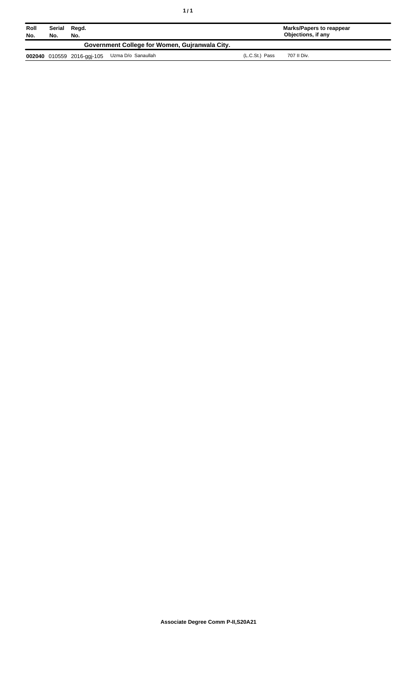| Roll<br>No. | No.                                            | Serial Regd.<br>No.        |                    |                | Marks/Papers to reappear<br>Objections, if any |  |  |
|-------------|------------------------------------------------|----------------------------|--------------------|----------------|------------------------------------------------|--|--|
|             | Government College for Women, Guiranwala City. |                            |                    |                |                                                |  |  |
|             |                                                | 002040 010559 2016-ggi-105 | Uzma D/o Sanaullah | (L.C.St.) Pass | 707 II Div.                                    |  |  |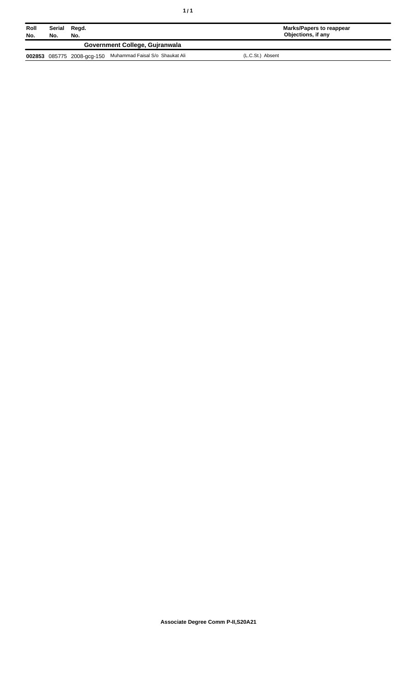| ٠<br>٠ |  |
|--------|--|
|--------|--|

| Roll<br>No.                    | Serial<br>No. | Regd.<br>No. |                                                            | Marks/Papers to reappear<br>Objections, if any |  |  |
|--------------------------------|---------------|--------------|------------------------------------------------------------|------------------------------------------------|--|--|
| Government College, Guiranwala |               |              |                                                            |                                                |  |  |
|                                |               |              | 002853 085775 2008-gcg-150 Muhammad Faisal S/o Shaukat Ali | (L.C.St.) Absent                               |  |  |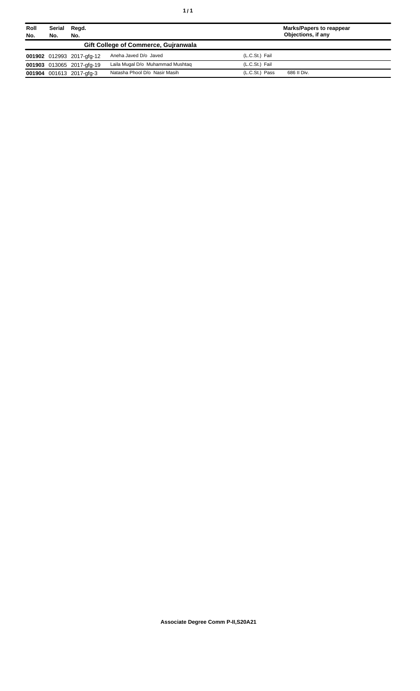| Roll<br>No. | Serial<br>Regd.<br>No.<br>No. |                           |                                      | <b>Marks/Papers to reappear</b><br>Objections, if any |             |
|-------------|-------------------------------|---------------------------|--------------------------------------|-------------------------------------------------------|-------------|
|             |                               |                           | Gift College of Commerce, Guiranwala |                                                       |             |
|             |                               | 001902 012993 2017-gfg-12 | Aneha Javed D/o Javed                | (L.C.St.) Fail                                        |             |
|             |                               | 001903 013065 2017-gfg-19 | Laila Mugal D/o Muhammad Mushtag     | (L.C.St.) Fail                                        |             |
|             |                               | 001904 001613 2017-gfg-3  | Natasha Phool D/o Nasir Masih        | (L.C.St.) Pass                                        | 686 II Div. |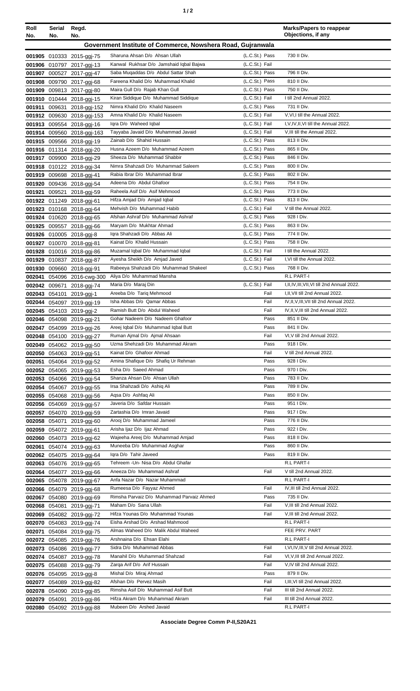| ٠ |  |  |
|---|--|--|
|---|--|--|

| Roll<br>No. | Serial<br>No.                                               | Regd.<br>No.                                           |                                                               |                                  | <b>Marks/Papers to reappear</b><br>Objections, if any                         |  |
|-------------|-------------------------------------------------------------|--------------------------------------------------------|---------------------------------------------------------------|----------------------------------|-------------------------------------------------------------------------------|--|
|             | Government Institute of Commerce, Nowshera Road, Gujranwala |                                                        |                                                               |                                  |                                                                               |  |
|             |                                                             |                                                        | Sharuna Ahsan D/o Ahsan Ullah                                 | (L.C.St.) Pass                   | 730 II Div.                                                                   |  |
|             |                                                             | 001905 010333 2015-ggi-75<br>001906 010797 2017-ggi-13 | Kanwal Rukhsar D/o Jamshaid Iqbal Bajwa                       | (L.C.St.) Fail                   |                                                                               |  |
|             |                                                             | 001907 000527 2017-ggj-47                              | Saba Muqaddas D/o Abdul Sattar Shah                           | (L.C.St.) Pass                   | 796 II Div.                                                                   |  |
|             |                                                             | 001908 009790 2017-ggj-68                              | Fareena Khalid D/o Muhammad Khalid                            | (L.C.St.) Pass                   | 810 II Div.                                                                   |  |
|             |                                                             | 001909 009813 2017-ggj-80                              | Maira Gull D/o Rajab Khan Gull                                | (L.C.St.) Pass                   | 750 II Div.                                                                   |  |
|             |                                                             | 001910 010444 2018-ggj-15                              | Kiran Siddique D/o Muhammad Siddique                          | (L.C.St.) Fail                   | I till 2nd Annual 2022.                                                       |  |
|             |                                                             | 001911 009631 2018-ggj-152                             | Nimra Khalid D/o Khalid Naseem                                | (L.C.St.) Pass                   | 731 II Div.                                                                   |  |
|             |                                                             | 001912 009630 2018-ggj-153                             | Amna Khalid D/o Khalid Naseem                                 | (L.C.St.) Fail                   | V, VI, I till the Annual 2022.                                                |  |
|             |                                                             | 001913 009554 2018-ggi-16                              | Igra D/o Waheed Igbal                                         | (L.C.St.) Fail                   | I, V, IV, II, VI till the Annual 2022.                                        |  |
|             |                                                             | 001914 009560 2018-ggj-163                             | Tayyaba Javaid D/o Muhammad Javaid                            | (L.C.St.) Fail                   | V, III till the Annual 2022.                                                  |  |
|             |                                                             | 001915 009566 2018-ggj-19                              | Zainab D/o Shahid Hussain                                     | (L.C.St.) Pass                   | 813 II Div.                                                                   |  |
|             |                                                             | 001916 011314 2018-ggj-20                              | Husna Azeem D/o Muhammad Azeem<br>Sheeza D/o Muhammad Shabbir | (L.C.St.) Pass<br>(L.C.St.) Pass | 865 II Div.<br>846 II Div.                                                    |  |
|             |                                                             | 001917 009900 2018-ggj-29                              | Nimra Shahzadi D/o Muhammad Saleem                            | (L.C.St.) Pass                   | 800 II Div.                                                                   |  |
|             |                                                             | 001918 010122 2018-ggj-34<br>001919 009698 2018-ggj-41 | Rabia Ibrar D/o Muhammad Ibrar                                | (L.C.St.) Pass                   | 802 II Div.                                                                   |  |
|             |                                                             | 001920 009436 2018-ggj-54                              | Adeena D/o Abdul Ghafoor                                      | (L.C.St.) Pass                   | 754 II Div.                                                                   |  |
|             |                                                             | 001921 009521 2018-ggj-59                              | Raheela Asif D/o Asif Mehmood                                 | (L.C.St.) Pass                   | 773 II Div.                                                                   |  |
|             |                                                             | 001922 011249 2018-ggj-61                              | Hifza Amjad D/o Amjad Iqbal                                   | (L.C.St.) Pass                   | 813 II Div.                                                                   |  |
|             |                                                             | 001923 010168 2018-ggj-64                              | Mehvish D/o Muhammad Habib                                    | (L.C.St.) Fail                   | V till the Annual 2022.                                                       |  |
|             |                                                             | 001924 010620 2018-ggj-65                              | Afshan Ashraf D/o Muhammad Ashraf                             | (L.C.St.) Pass                   | 928   Div.                                                                    |  |
|             |                                                             | 001925 009557 2018-ggj-66                              | Maryam D/o Mukhtar Ahmad                                      | (L.C.St.) Pass                   | 863 II Div.                                                                   |  |
|             |                                                             | 001926 010005 2018-ggj-8                               | Igra Shahzadi D/o Abbas Ali                                   | (L.C.St.) Pass                   | 774 II Div.                                                                   |  |
|             |                                                             | 001927 010070 2018-ggj-81                              | Kainat D/o Khalid Hussain                                     | (L.C.St.) Pass                   | 758 II Div.                                                                   |  |
|             |                                                             | 001928 010016 2018-ggj-86                              | Muzamal Iqbal D/o Muhammad Iqbal                              | (L.C.St.) Fail                   | I till the Annual 2022.                                                       |  |
|             |                                                             | 001929 010837 2018-ggj-87                              | Ayesha Sheikh D/o Amjad Javed                                 | (L.C.St.) Fail                   | I, VI till the Annual 2022.                                                   |  |
|             |                                                             | 001930 009660 2018-ggi-91                              | Rabeeya Shahzadi D/o Muhammad Shakeel                         | (L.C.St.) Pass                   | 768 II Div.                                                                   |  |
|             |                                                             | 002041 054096 2016-cwg-300                             | Aliya D/o Muhammad Mansha                                     |                                  | R.L PART-I                                                                    |  |
|             | 002042 009671                                               | 2018-ggj-74                                            | Maria D/o Maraj Din                                           | (L.C.St.) Fail                   | I, II, IV, III, VII, VI till 2nd Annual 2022.                                 |  |
|             |                                                             | 002043 054101 2019-ggj-1                               | Areeba D/o Tariq Mehmood<br>Isha Abbas D/o Qamar Abbas        | Fail<br>Fail                     | I, II, VII till 2nd Annual 2022.<br>IV, II, V, III, VII till 2nd Annual 2022. |  |
|             |                                                             | 002044 054097 2019-ggj-19                              | Ramish Butt D/o Abdul Waheed                                  | Fail                             | IV, II, V, III till 2nd Annual 2022.                                          |  |
|             |                                                             | 002045 054103 2019-ggj-2                               | Gohar Nadeem D/o Nadeem Ghafoor                               | Pass                             | 851 II Div.                                                                   |  |
|             |                                                             | 002046 054098 2019-ggj-21<br>002047 054099 2019-ggj-26 | Areej Iqbal D/o Muhammad Iqbal Butt                           | Pass                             | 841 II Div.                                                                   |  |
|             |                                                             | 002048 054100 2019-ggj-27                              | Ruman Ajmal D/o Ajmal Ahsaan                                  | Fail                             | VI, V till 2nd Annual 2022.                                                   |  |
|             |                                                             | 002049 054062 2019-ggj-50                              | Uzma Shehzadi D/o Muhammad Akram                              | Pass                             | 918   Div.                                                                    |  |
|             |                                                             | 002050 054063 2019-ggj-51                              | Kainat D/o Ghafoor Ahmad                                      | Fail                             | V till 2nd Annual 2022.                                                       |  |
|             |                                                             | 002051 054064 2019-ggj-52                              | Amina Shafique D/o Shafiq Ur Rehman                           | Pass                             | 928 I Div.                                                                    |  |
|             |                                                             | 002052 054065 2019-ggj-53                              | Esha D/o Saeed Ahmad                                          | Pass                             | 970 I Div.                                                                    |  |
|             |                                                             | 002053 054066 2019-ggj-54                              | Shanza Ahsan D/o Ahsan Ullah                                  | Pass                             | 783 II Div.                                                                   |  |
|             |                                                             | 002054 054067 2019-ggi-55                              | Irsa Shahzadi D/o Ashiq Ali                                   | Pass                             | 789 II Div.                                                                   |  |
|             |                                                             | 002055 054068 2019-ggi-56                              | Agsa D/o Ashfag Ali                                           | Pass                             | 850 II Div.                                                                   |  |
|             |                                                             | 002056 054069 2019-ggi-57                              | Javeria D/o Safdar Hussain                                    | Pass                             | 951 I Div.                                                                    |  |
|             |                                                             | 002057 054070 2019-ggj-59                              | Zartashia D/o Imran Javaid                                    | Pass                             | 917   Div.                                                                    |  |
|             |                                                             | 002058 054071 2019-ggj-60                              | Arooj D/o Muhammad Jameel<br>Arisha Ijaz D/o Ijaz Ahmad       | Pass<br>Pass                     | 776 II Div.<br>922   Div.                                                     |  |
|             |                                                             | 002059 054072 2019-ggj-61<br>002060 054073 2019-ggj-62 | Wajeeha Areej D/o Muhammad Amjad                              | Pass                             | 818 II Div.                                                                   |  |
|             |                                                             | 002061 054074 2019-ggj-63                              | Muneeba D/o Muhammad Asghar                                   | Pass                             | 860 II Div.                                                                   |  |
|             |                                                             | 002062 054075 2019-ggj-64                              | Igra D/o Tahir Javeed                                         | Pass                             | 819 II Div.                                                                   |  |
|             |                                                             | 002063 054076 2019-ggj-65                              | Tehreem - Un- Nisa D/o Abdul Ghafar                           |                                  | R.L PART-I                                                                    |  |
|             |                                                             | 002064 054077 2019-ggi-66                              | Aneeza D/o Muhammad Ashraf                                    | Fail                             | V till 2nd Annual 2022.                                                       |  |
|             |                                                             | 002065 054078 2019-ggj-67                              | Anfa Nazar D/o Nazar Muhammad                                 |                                  | R.L PART-I                                                                    |  |
|             |                                                             | 002066 054079 2019-ggj-68                              | Rumeesa D/o Fayyaz Ahmed                                      | Fail                             | IV, III till 2nd Annual 2022.                                                 |  |
|             |                                                             | 002067 054080 2019-ggj-69                              | Rimsha Parvaiz D/o Muhammad Parvaiz Ahmed                     | Pass                             | 735 II Div.                                                                   |  |
|             |                                                             | 002068 054081 2019-ggj-71                              | Maham D/o Sana Ullah                                          | Fail                             | V, III till 2nd Annual 2022.                                                  |  |
|             |                                                             | 002069 054082 2019-ggj-72                              | Hifza Younas D/o Muhammad Younas                              | Fail                             | V, III till 2nd Annual 2022.                                                  |  |
|             |                                                             | 002070 054083 2019-ggi-74                              | Eisha Arshad D/o Arshad Mahmood                               |                                  | R.L PART-I                                                                    |  |
|             |                                                             | 002071 054084 2019-ggi-75                              | Almas Waheed D/o Malik Abdul Waheed                           |                                  | FEE PRV. PART                                                                 |  |
|             |                                                             | 002072 054085 2019-ggj-76                              | Arshnaina D/o Ehsan Elahi                                     |                                  | R.L PART-I                                                                    |  |
|             |                                                             | 002073 054086 2019-ggj-77                              | Sidra D/o Muhammad Abbas                                      | Fail                             | I, VI, IV, III, V till 2nd Annual 2022.<br>VI, V, III till 2nd Annual 2022.   |  |
|             |                                                             | 002074 054087 2019-ggj-78                              | Manahil D/o Muhammad Shahzad<br>Zarga Arif D/o Arif Hussain   | Fail<br>Fail                     | V,IV till 2nd Annual 2022.                                                    |  |
|             |                                                             | 002075 054088 2019-ggj-79<br>002076 054095 2019-ggj-8  | Mishal D/o Miraj Ahmad                                        | Pass                             | 879 II Div.                                                                   |  |
|             |                                                             | 002077 054089 2019-ggj-82                              | Afshan D/o Pervez Masih                                       | Fail                             | I, III, VI till 2nd Annual 2022.                                              |  |
|             |                                                             | 002078 054090 2019-ggj-85                              | Rimsha Asif D/o Muhammad Asif Butt                            | Fail                             | III till 2nd Annual 2022.                                                     |  |
|             |                                                             | 002079 054091 2019-ggj-86                              | Hifza Akram D/o Muhammad Akram                                | Fail                             | III till 2nd Annual 2022.                                                     |  |
|             |                                                             | 002080 054092 2019-ggj-88                              | Mubeen D/o Arshed Javaid                                      |                                  | R.L PART-I                                                                    |  |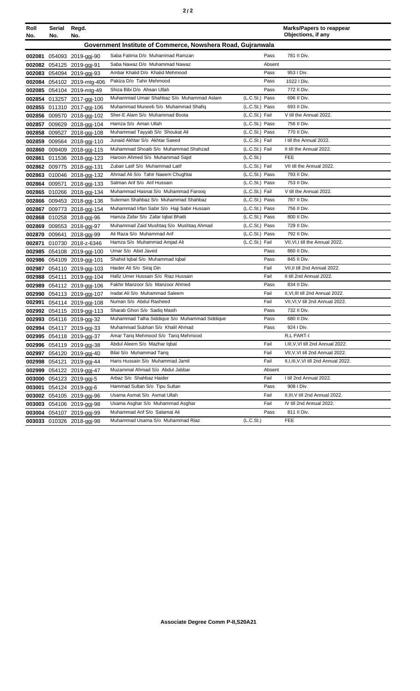| Roll<br>No. | Serial<br>No. | Regd.<br>No.               |                                                             |                | <b>Marks/Papers to reappear</b><br>Objections, if any |
|-------------|---------------|----------------------------|-------------------------------------------------------------|----------------|-------------------------------------------------------|
|             |               |                            | Government Institute of Commerce, Nowshera Road, Gujranwala |                |                                                       |
|             |               | 002081 054093 2019-ggj-90  | Saba Fatima D/o Muhammad Ramzan                             | Pass           | 781 II Div.                                           |
|             |               | 002082 054125 2019-ggj-91  | Saba Nawaz D/o Muhammad Nawaz                               | Absent         |                                                       |
|             |               | 002083 054094 2019-ggj-93  | Ambar Khalid D/o Khalid Mehmood                             | Pass           | 953 I Div.                                            |
|             |               | 002084 054102 2019-mtg-406 | Pakiza D/o Tahir Mehmood                                    | Pass           | 1022 I Div.                                           |
|             |               | 002085 054104 2019-mtg-49  | Shiza Bibi D/o Ahsan Ullah                                  | Pass           | 772 II Div.                                           |
|             |               | 002854 013257 2017-ggj-100 | Muhammad Umair Shahbaz S/o Muhammad Aslam                   | (L.C.St.) Pass | 696 II Div.                                           |
|             |               | 002855 011310 2017-ggj-106 | Muhammad Muneeb S/o Muhammad Shafiq                         | (L.C.St.) Pass | 693 II Div.                                           |
|             |               | 002856 009570 2018-ggj-102 | Sher-E Alam S/o Muhammad Boota                              | (L.C.St.) Fail | V till the Annual 2022.                               |
|             |               | 002857 009629 2018-ggj-104 | Hamza S/o Aman Ullah                                        | (L.C.St.) Pass | 756 II Div.                                           |
|             |               | 002858 009527 2018-ggj-108 | Muhammad Tayyab S/o Shoukat Ali                             | (L.C.St.) Pass | 770 II Div.                                           |
|             |               | 002859 009564 2018-ggj-110 | Junaid Akhtar S/o Akhtar Saeed                              | (L.C.St.) Fail | I till the Annual 2022.                               |
|             |               | 002860 009409 2018-ggj-115 | Muhammad Shoaib S/o Muhammad Shahzad                        | (L.C.St.) Fail | II till the Annual 2022.                              |
| 002861      |               | 011536 2018-ggj-123        | Haroon Ahmed S/o Muhammad Saiid                             | (L.C.St.)      | <b>FEE</b>                                            |
|             |               | 002862 009775 2018-ggj-131 | Zubair Latif S/o Muhammad Latif                             | (L.C.St.) Fail | VII till the Annual 2022.                             |
|             |               | 002863 010046 2018-ggj-132 | Ahmad Ali S/o Tahir Naeem Chughtai                          | (L.C.St.) Pass | 793 II Div.                                           |
|             |               | 002864 009571 2018-ggj-133 | Salman Arif S/o Arif Hussain                                | (L.C.St.) Pass | 753 II Div.                                           |
|             |               | 002865 010266 2018-ggj-134 | Muhammad Hasnat S/o Muhammad Farooq                         | (L.C.St.) Fail | V till the Annual 2022.                               |
|             |               | 002866 009453 2018-ggj-136 | Suleman Shahbaz S/o Muhammad Shahbaz                        | (L.C.St.) Pass | 787 II Div.                                           |
|             |               | 002867 009773 2018-ggj-154 | Muhammad Irfan Sabir S/o Haji Sabir Hussain                 | (L.C.St.) Pass | 756 II Div.                                           |
|             |               | 002868 010258 2018-ggi-96  | Hamza Zafar S/o Zafar Iqbal Bhatti                          | (L.C.St.) Pass | 800 II Div.                                           |
| 002869      |               | 009553 2018-ggj-97         | Muhammad Zaid Mushtaq S/o Mushtaq Ahmad                     | (L.C.St.) Pass | 729 II Div.                                           |
| 002870      |               | 009641 2018-ggj-99         | Ali Raza S/o Muhammad Arif                                  | (L.C.St.) Pass | 792 II Div.                                           |
| 002871      |               | 010730 2018-z-6346         | Hamza S/o Muhammad Amjad Ali                                | (L.C.St.) Fail | VII, VI, I till the Annual 2022.                      |
|             |               | 002985 054108 2019-ggj-100 | Umar S/o Abid Javed                                         | Pass           | 860 II Div.                                           |
|             |               | 002986 054109 2019-ggj-101 | Shahid Iqbal S/o Muhammad Iqbal                             | Pass           | 845 II Div.                                           |
|             |               | 002987 054110 2019-ggj-103 | Haider Ali S/o Siraj Din                                    | Fail           | VII, II till 2nd Annual 2022.                         |
|             |               | 002988 054111 2019-ggj-104 | Hafiz Umer Hussain S/o Riaz Hussain                         | Fail           | II till 2nd Annual 2022.                              |
|             |               | 002989 054112 2019-ggj-106 | Fakhir Manzoor S/o Manzoor Ahmed                            | Pass           | 834 II Div.                                           |
|             |               | 002990 054113 2019-ggj-107 | Iradat Ali S/o Muhammad Saleem                              | Fail           | II, VI, III till 2nd Annual 2022.                     |
| 002991      |               | 054114 2019-ggj-108        | Numan S/o Abdul Rasheed                                     | Fail           | VII, VI, V till 2nd Annual 2022.                      |
|             |               | 002992 054115 2019-ggj-113 | Sharab Ghori S/o Sadiq Masih                                | Pass           | 732 II Div.                                           |
|             |               | 002993 054116 2019-ggj-32  | Muhammad Talha Siddique S/o Muhammad Siddique               | Pass           | 680 II Div.                                           |
|             |               | 002994 054117 2019-ggj-33  | Muhammad Subhan S/o Khalil Ahmad                            | Pass           | 924   Div.                                            |
|             |               | 002995 054118 2019-ggj-37  | Amar Tariq Mehmood S/o Tariq Mehmood                        |                | R.L PART-I                                            |
|             |               | 002996 054119 2019-ggj-38  | Abdul Aleem S/o Mazhar Igbal                                | Fail           | I, III, V, VI till 2nd Annual 2022.                   |
|             |               | 002997 054120 2019-ggj-40  | Bilal S/o Muhammad Tariq                                    | Fail           | VII, V, VI till 2nd Annual 2022.                      |
|             |               | 002998 054121 2019-ggj-44  | Haris Hussain S/o Muhammad Jamil                            | Fail           | II, I, III, V, VI till 2nd Annual 2022.               |
|             |               | 002999 054122 2019-ggj-47  | Muzammal Ahmad S/o Abdul Jabbar                             | Absent         |                                                       |
|             |               | 003000 054123 2019-ggj-5   | Arbaz S/o Shahbaz Haider                                    | Fail           | I till 2nd Annual 2022.                               |
|             |               | 003001 054124 2019-ggj-6   | Hammad Sultan S/o Tipu Sultan                               | Pass           | 908 I Div.                                            |
|             |               | 003002 054105 2019-ggi-96  | Usama Asmat S/o Asmat Ullah                                 | Fail           | II, III, V till 2nd Annual 2022.                      |
|             |               | 003003 054106 2019-ggj-98  | Usama Asghar S/o Muhammad Asghar                            | Fail           | IV till 2nd Annual 2022.                              |
|             |               | 003004 054107 2019-ggj-99  | Muhammad Arif S/o Salamat Ali                               | Pass           | 811 II Div.                                           |
|             |               | 003033 010326 2018-ggj-98  | Muhammad Usama S/o Muhammad Riaz                            | (L.C.St.)      | FEE                                                   |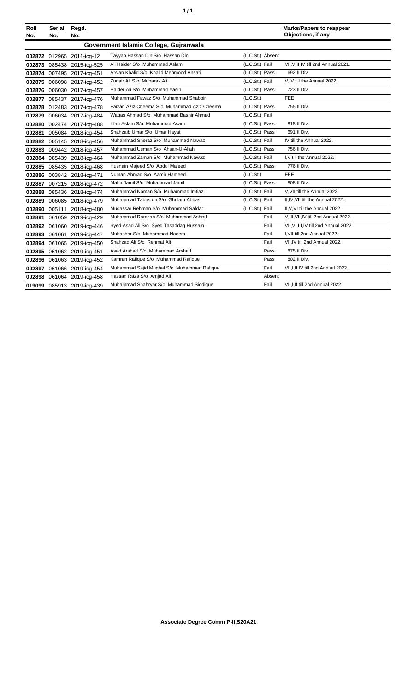| ٠ | ٠ |
|---|---|
|   |   |

| Roll<br>No.                            | Serial<br>No. | Regd.<br>No.               |                                             |                  | <b>Marks/Papers to reappear</b><br>Objections, if any |  |
|----------------------------------------|---------------|----------------------------|---------------------------------------------|------------------|-------------------------------------------------------|--|
| Government Islamia College, Gujranwala |               |                            |                                             |                  |                                                       |  |
|                                        |               | 002872 012965 2011-icg-12  | Tayyab Hassan Din S/o Hassan Din            | (L.C.St.) Absent |                                                       |  |
|                                        |               | 002873 085438 2015-icg-525 | Ali Haider S/o Muhammad Aslam               | (L.C.St.) Fail   | VII.V.II.IV till 2nd Annual 2021.                     |  |
|                                        |               | 002874 007495 2017-icg-451 | Arslan Khalid S/o Khalid Mehmood Ansari     | (L.C.St.) Pass   | 692 II Div.                                           |  |
|                                        |               | 002875 006098 2017-icq-452 | Zunair Ali S/o Mubarak Ali                  | (L.C.St.) Fail   | V,IV till the Annual 2022.                            |  |
|                                        |               | 002876 006030 2017-icg-457 | Haider Ali S/o Muhammad Yasin               | (L.C.St.) Pass   | 723 II Div.                                           |  |
|                                        |               | 002877 085437 2017-icg-476 | Muhammad Fawaz S/o Muhammad Shabbir         | (L.C.St.)        | <b>FEE</b>                                            |  |
|                                        |               | 002878 012483 2017-icg-478 | Faizan Aziz Cheema S/o Muhammad Aziz Cheema | (L.C.St.) Pass   | 755 II Div.                                           |  |
|                                        |               | 002879 006034 2017-icg-484 | Wagas Ahmad S/o Muhammad Bashir Ahmad       | (L.C.St.) Fail   |                                                       |  |
|                                        |               | 002880 002474 2017-icq-488 | Irfan Aslam S/o Muhammad Asam               | (L.C.St.) Pass   | 818 II Div.                                           |  |
| 002881                                 |               | 005084 2018-icg-454        | Shahzaib Umar S/o Umar Hayat                | (L.C.St.) Pass   | 691 II Div.                                           |  |
|                                        |               | 002882 005145 2018-icg-456 | Muhammad Sheraz S/o Muhammad Nawaz          | (L.C.St.) Fail   | IV till the Annual 2022.                              |  |
|                                        |               | 002883 009442 2018-icq-457 | Muhammad Usman S/o Ahsan-U-Allah            | (L.C.St.) Pass   | 756 II Div.                                           |  |
|                                        |               | 002884 085439 2018-icg-464 | Muhammad Zaman S/o Muhammad Nawaz           | (L.C.St.) Fail   | I, V till the Annual 2022.                            |  |
|                                        |               | 002885 085435 2018-icg-468 | Husnain Majeed S/o Abdul Majeed             | (L.C.St.) Pass   | 776 II Div.                                           |  |
|                                        |               | 002886 003842 2018-icg-471 | Numan Ahmad S/o Aamir Hameed                | (L.C.St.)        | <b>FEE</b>                                            |  |
|                                        |               | 002887 007215 2018-icg-472 | Mahir Jamil S/o Muhammad Jamil              | (L.C.St.) Pass   | 808 II Div.                                           |  |
|                                        |               | 002888 085436 2018-icg-474 | Muhammad Noman S/o Muhammad Imtiaz          | (L.C.St.) Fail   | V.VII till the Annual 2022.                           |  |
|                                        |               | 002889 006085 2018-icg-479 | Muhammad Tabbsum S/o Ghulam Abbas           | (L.C.St.) Fail   | II, IV, VII till the Annual 2022.                     |  |
|                                        |               | 002890 005111 2018-icg-480 | Mudassar Rehman S/o Muhammad Safdar         | (L.C.St.) Fail   | II.V.VI till the Annual 2022.                         |  |
| 002891                                 |               | 061059 2019-icg-429        | Muhammad Ramzan S/o Muhammad Ashraf         | Fail             | V.III.VII.IV till 2nd Annual 2022.                    |  |
|                                        |               | 002892 061060 2019-icg-446 | Syed Asad Ali S/o Syed Tasaddaq Hussain     | Fail             | VII, VI, III, IV till 2nd Annual 2022.                |  |
|                                        |               | 002893 061061 2019-icq-447 | Mubashar S/o Muhammad Naeem                 | Fail             | I.VII till 2nd Annual 2022.                           |  |
|                                        |               | 002894 061065 2019-icg-450 | Shahzad Ali S/o Rehmat Ali                  | Fail             | VII, IV till 2nd Annual 2022.                         |  |
|                                        |               | 002895 061062 2019-icg-451 | Asad Arshad S/o Muhammad Arshad             | Pass             | 875 II Div.                                           |  |
|                                        |               | 002896 061063 2019-icg-452 | Kamran Rafique S/o Muhammad Rafique         | Pass             | 802 II Div.                                           |  |
|                                        |               | 002897 061066 2019-icg-454 | Muhammad Sajid Mughal S/o Muhammad Rafique  | Fail             | VII, I, II, IV till 2nd Annual 2022.                  |  |
|                                        |               | 002898 061064 2019-icg-458 | Hassan Raza S/o Amjad Ali                   | Absent           |                                                       |  |
|                                        |               | 019099 085913 2019-icq-439 | Muhammad Shahryar S/o Muhammad Siddique     | Fail             | VII.I.II till 2nd Annual 2022.                        |  |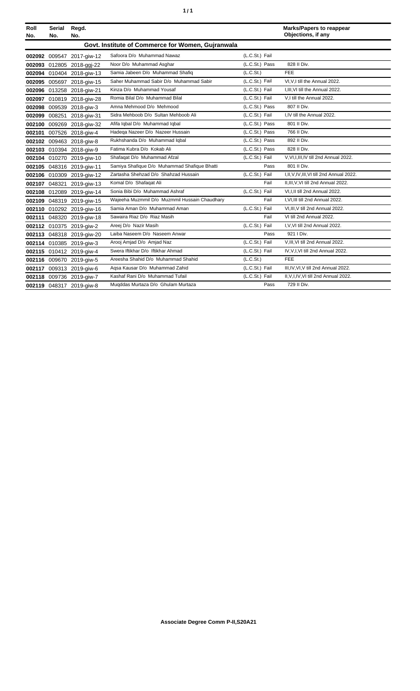|  | ٠ |
|--|---|
|  |   |

| Roll<br>No. | Serial<br>No. | Regd.<br>No.              |                                                   |                | <b>Marks/Papers to reappear</b><br>Objections, if any |
|-------------|---------------|---------------------------|---------------------------------------------------|----------------|-------------------------------------------------------|
|             |               |                           | Govt. Institute of Commerce for Women, Gujranwala |                |                                                       |
|             |               | 002092 009547 2017-giw-12 | Safoora D/o Muhammad Nawaz                        | (L.C.St.) Fail |                                                       |
|             |               | 002093 012805 2018-ggj-22 | Noor D/o Muhammad Asghar                          | (L.C.St.) Pass | 828 II Div.                                           |
|             |               | 002094 010404 2018-giw-13 | Samia Jabeen D/o Muhammad Shafiq                  | (L.C.St.)      | <b>FEE</b>                                            |
|             |               | 002095 005697 2018-giw-15 | Saher Muhammad Sabir D/o Muhammad Sabir           | (L.C.St.) Fail | VI.V.I till the Annual 2022.                          |
|             |               | 002096 013258 2018-giw-21 | Kinza D/o Muhammad Yousaf                         | (L.C.St.) Fail | I.III.VI till the Annual 2022.                        |
|             |               | 002097 010819 2018-giw-28 | Romia Bilal D/o Muhammad Bilal                    | (L.C.St.) Fail | V.I till the Annual 2022.                             |
|             |               | 002098 009539 2018-giw-3  | Amna Mehmood D/o Mehmood                          | (L.C.St.) Pass | 807 II Div.                                           |
|             | 002099 008251 | 2018-giw-31               | Sidra Mehboob D/o Sultan Mehboob Ali              | (L.C.St.) Fail | I.IV till the Annual 2022.                            |
|             |               | 002100 009269 2018-giw-32 | Afifa Iqbal D/o Muhammad Iqbal                    | (L.C.St.) Pass | 801 II Div.                                           |
|             |               | 002101 007526 2018-aiw-4  | Hadega Nazeer D/o Nazeer Hussain                  | (L.C.St.) Pass | 766 II Div.                                           |
|             |               | 002102 009463 2018-giw-8  | Rukhshanda D/o Muhammad Iqbal                     | (L.C.St.) Pass | 892 II Div.                                           |
|             |               | 002103 010394 2018-giw-9  | Fatima Kubra D/o Kokab Ali                        | (L.C.St.) Pass | 828 II Div.                                           |
|             |               | 002104 010270 2019-giw-10 | Shafaqat D/o Muhammad Afzal                       | (L.C.St.) Fail | V.VI.I.III.IV till 2nd Annual 2022.                   |
|             |               | 002105 048316 2019-giw-11 | Samiya Shafique D/o Muhammad Shafique Bhatti      | Pass           | 801 II Div.                                           |
|             |               | 002106 010309 2019-giw-12 | Zartasha Shehzad D/o Shahzad Hussain              | (L.C.St.) Fail | I, II, V, IV, III, VI till 2nd Annual 2022.           |
|             | 002107 048321 | 2019-giw-13               | Komal D/o Shafaqat Ali                            | Fail           | II, III, V, VI till 2nd Annual 2022.                  |
|             |               | 002108 012089 2019-giw-14 | Sonia Bibi D/o Muhammad Ashraf                    | (L.C.St.) Fail | VI.I.II till 2nd Annual 2022.                         |
|             |               | 002109 048319 2019-giw-15 | Wajeeha Muzmmil D/o Muzmmil Hussain Chaudhary     | Fail           | I, VI, III till 2nd Annual 2022.                      |
|             |               | 002110 010292 2019-giw-16 | Samia Aman D/o Muhammad Aman                      | (L.C.St.) Fail | VI.III.V till 2nd Annual 2022.                        |
|             |               | 002111 048320 2019-giw-18 | Sawaira Riaz D/o Riaz Masih                       | Fail           | VI till 2nd Annual 2022.                              |
|             |               | 002112 010375 2019-giw-2  | Areej D/o Nazir Masih                             | (L.C.St.) Fail | I, V, VI till 2nd Annual 2022.                        |
|             |               | 002113 048318 2019-giw-20 | Laiba Naseem D/o Naseem Anwar                     | Pass           | 921   Div.                                            |
|             |               | 002114 010385 2019-giw-3  | Arooj Amjad D/o Amjad Naz                         | (L.C.St.) Fail | V, III, VI till 2nd Annual 2022.                      |
|             |               | 002115 010412 2019-giw-4  | Swera Iftikhar D/o Iftikhar Ahmad                 | (L.C.St.) Fail | IV, V, I, VI till 2nd Annual 2022.                    |
|             |               | 002116 009670 2019-giw-5  | Areesha Shahid D/o Muhammad Shahid                | (L.C.St.)      | <b>FEE</b>                                            |
|             |               | 002117 009313 2019-giw-6  | Agsa Kausar D/o Muhammad Zahid                    | (L.C.St.) Fail | III, IV, VI, V till 2nd Annual 2022.                  |
|             |               | 002118 009736 2019-giw-7  | Kashaf Rani D/o Muhammad Tufail                   | (L.C.St.) Fail | II, V, I, IV, VI till 2nd Annual 2022.                |
|             |               | 002119 048317 2019-giw-8  | Mugddas Murtaza D/o Ghulam Murtaza                | Pass           | 729 II Div.                                           |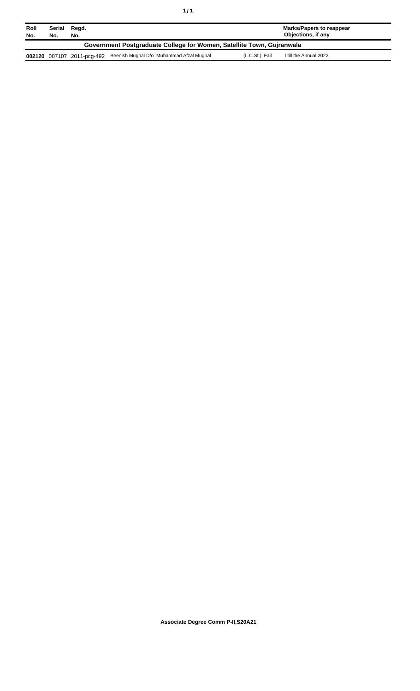| Roll<br>No.                                                           | Serial<br>No. | Regd.<br>No.               |                                          |                | Marks/Papers to reappear<br>Objections, if any |
|-----------------------------------------------------------------------|---------------|----------------------------|------------------------------------------|----------------|------------------------------------------------|
| Government Postgraduate College for Women, Satellite Town, Gujranwala |               |                            |                                          |                |                                                |
|                                                                       |               | 002120 007107 2011-pcg-492 | Beenish Mughal D/o Muhammad Afzal Mughal | (L.C.St.) Fail | I till the Annual 2022.                        |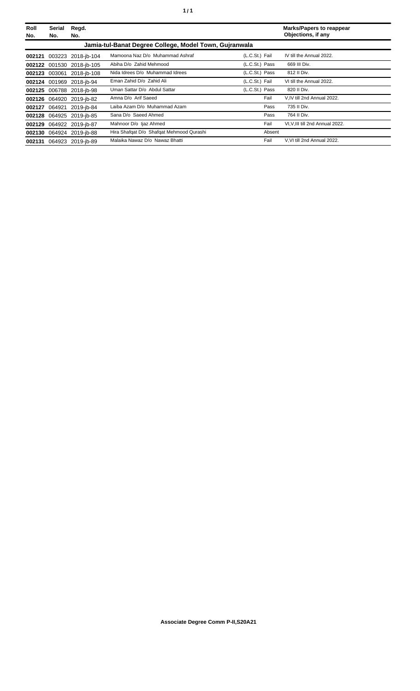| Roll<br>No. | Serial<br>No. | Regd.<br>No.              |                                                        |                | <b>Marks/Papers to reappear</b><br>Objections, if any |
|-------------|---------------|---------------------------|--------------------------------------------------------|----------------|-------------------------------------------------------|
|             |               |                           | Jamia-tul-Banat Degree College, Model Town, Gujranwala |                |                                                       |
| 002121      |               | 003223 2018-jb-104        | Mamoona Naz D/o Muhammad Ashraf                        | (L.C.St.) Fail | IV till the Annual 2022.                              |
|             |               | 002122 001530 2018-jb-105 | Abiha D/o Zahid Mehmood                                | (L.C.St.) Pass | 669 III Div.                                          |
|             | 002123 003061 | 2018-ib-108               | Nida Idrees D/o Muhammad Idrees                        | (L.C.St.) Pass | 812 II Div.                                           |
|             |               | 002124 001969 2018-jb-94  | Eman Zahid D/o Zahid Ali                               | (L.C.St.) Fail | VI till the Annual 2022.                              |
|             |               | 002125 006788 2018-ib-98  | Uman Sattar D/o Abdul Sattar                           | (L.C.St.) Pass | 820 II Div.                                           |
|             |               | 002126 064920 2019-jb-82  | Amna D/o Arif Saeed                                    | Fail           | V.IV till 2nd Annual 2022.                            |
| 002127      | 064921        | 2019-ib-84                | Laiba Azam D/o Muhammad Azam                           | Pass           | 735 II Div.                                           |
|             |               | 002128 064925 2019-jb-85  | Sana D/o Saeed Ahmed                                   | Pass           | 764 II Div.                                           |
| 002129      |               | 064922 2019-jb-87         | Mahnoor D/o Ijaz Ahmed                                 | Fail           | VI, V, III till 2nd Annual 2022.                      |
|             |               | 002130 064924 2019-jb-88  | Hira Shafqat D/o Shafqat Mehmood Qurashi               | Absent         |                                                       |
|             |               | 002131 064923 2019-jb-89  | Malaika Nawaz D/o Nawaz Bhatti                         | Fail           | V.VI till 2nd Annual 2022.                            |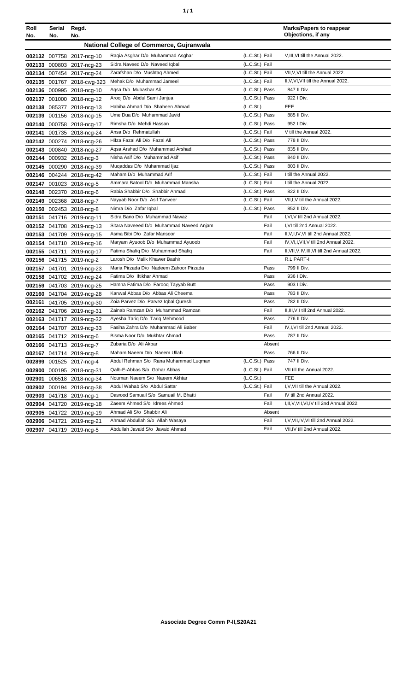| ٠ | ٠ |
|---|---|
|   |   |

| Roll<br>No. | Serial<br>No. | Regd.<br>No.               |                                                 |                | <b>Marks/Papers to reappear</b><br>Objections, if any |
|-------------|---------------|----------------------------|-------------------------------------------------|----------------|-------------------------------------------------------|
|             |               |                            | <b>National College of Commerce, Gujranwala</b> |                |                                                       |
|             |               | 002132 007758 2017-ncg-10  | Raqia Asghar D/o Muhammad Asghar                | (L.C.St.) Fail | V, III, VI till the Annual 2022.                      |
|             |               | 002133 000803 2017-ncg-23  | Sidra Naveed D/o Naveed Iqbal                   | (L.C.St.) Fail |                                                       |
|             |               | 002134 007454 2017-ncg-24  | Zarafshan D/o Mushtaq Ahmed                     | (L.C.St.) Fail | VII, V, VI till the Annual 2022.                      |
|             |               | 002135 001767 2018-cwg-323 | Mehak D/o Muhammad Jameel                       | (L.C.St.) Fail | II, V, VI, VII till the Annual 2022.                  |
|             |               | 002136 000995 2018-ncg-10  | Agsa D/o Mubashar Ali                           | (L.C.St.) Pass | 847 II Div.                                           |
|             |               | 002137 001000 2018-ncg-12  | Arooj D/o Abdul Sami Janjua                     | (L.C.St.) Pass | 922   Div.                                            |
|             |               | 002138 085377 2018-ncg-13  | Habiba Ahmad D/o Shaheen Ahmad                  | (L.C.St.)      | <b>FEE</b>                                            |
|             |               | 002139 001156 2018-ncg-15  | Ume Dua D/o Muhammad Javid                      | (L.C.St.) Pass | 885 II Div.                                           |
|             |               | 002140 000758 2018-ncg-17  | Rimsha D/o Mehdi Hassan                         | (L.C.St.) Pass | 952   Div.                                            |
|             |               | 002141 001735 2018-ncg-24  | Ansa D/o Rehmatullah                            | (L.C.St.) Fail | V till the Annual 2022.                               |
|             |               | 002142 000274 2018-ncg-26  | Hifza Fazal Ali D/o Fazal Ali                   | (L.C.St.) Pass | 778 II Div.                                           |
|             |               | 002143 000840 2018-ncg-27  | Agsa Arshad D/o Muhammad Arshad                 | (L.C.St.) Pass | 835 II Div.                                           |
|             |               | 002144 000932 2018-ncg-3   | Nisha Asif D/o Muhammad Asif                    | (L.C.St.) Pass | 840 II Div.                                           |
|             |               | 002145 000290 2018-ncg-39  | Muqaddas D/o Muhammad Ijaz                      | (L.C.St.) Pass | 803 II Div.                                           |
|             |               | 002146 004244 2018-ncg-42  | Maham D/o Muhammad Arif                         | (L.C.St.) Fail | I till the Annual 2022.                               |
|             |               | 002147 001023 2018-ncg-5   | Ammara Batool D/o Muhammad Mansha               | (L.C.St.) Fail | I till the Annual 2022.                               |
|             |               | 002148 002370 2018-ncg-6   | Rabia Shabbir D/o Shabbir Ahmad                 | (L.C.St.) Pass | 822 II Div.                                           |
|             |               | 002149 002368 2018-ncg-7   | Nayyab Noor D/o Asif Tanveer                    | (L.C.St.) Fail | VII, I, V till the Annual 2022.                       |
|             |               | 002150 002453 2018-ncg-8   | Nimra D/o Zafar Igbal                           | (L.C.St.) Pass | 852 II Div.                                           |
|             |               | 002151 041716 2019-ncg-11  | Sidra Bano D/o Muhammad Nawaz                   | Fail           | I, VI, V till 2nd Annual 2022.                        |
|             |               | 002152 041708 2019-ncg-13  | Sitara Naveeed D/o Muhammad Naveed Anjam        | Fail           | I, VI till 2nd Annual 2022.                           |
|             |               | 002153 041709 2019-ncg-15  | Asma Bibi D/o Zafar Mansoor                     | Fail           | II, V, I, IV, VI till 2nd Annual 2022.                |
|             |               | 002154 041710 2019-ncg-16  | Maryam Ayuoob D/o Muhammad Ayuoob               | Fail           | IV, VI, I, VII, V till 2nd Annual 2022.               |
|             |               | 002155 041711 2019-ncg-17  | Fatima Shafiq D/o Muhammad Shafiq               | Fail           | II, VII, V, IV, III, VI till 2nd Annual 2022.         |
|             |               | 002156 041715 2019-ncg-2   | Larosh D/o Malik Khawer Bashir                  |                | R.L PART-I                                            |
|             |               | 002157 041701 2019-ncg-23  | Maria Pirzada D/o Nadeem Zahoor Pirzada         | Pass           | 799 II Div.                                           |
|             |               | 002158 041702 2019-ncg-24  | Fatima D/o Iftikhar Ahmad                       | Pass           | 936 I Div.                                            |
|             |               | 002159 041703 2019-ncg-25  | Hamna Fatima D/o Faroog Tayyab Butt             | Pass           | 903 I Div.                                            |
|             |               | 002160 041704 2019-ncg-28  | Kanwal Abbas D/o Abbas Ali Cheema               | Pass           | 783 II Div.                                           |
|             |               | 002161 041705 2019-ncg-30  | Zoia Parvez D/o Parvez Igbal Qureshi            | Pass           | 782 II Div.                                           |
|             |               | 002162 041706 2019-ncg-31  | Zainab Ramzan D/o Muhammad Ramzan               | Fail           | II, III, V, I till 2nd Annual 2022.                   |
|             |               | 002163 041717 2019-ncg-32  | Ayesha Tariq D/o Tariq Mehmood                  | Pass           | 776 II Div.                                           |
|             |               | 002164 041707 2019-ncg-33  | Fasiha Zahra D/o Muhammad Ali Baber             | Fail           | IV, I, VI till 2nd Annual 2022.                       |
|             |               | 002165 041712 2019-ncg-6   | Bisma Noor D/o Mukhtar Ahmad                    | Pass           | 787 II Div.                                           |
|             |               | 002166 041713 2019-ncg-7   | Zubaria D/o Ali Akbar                           | Absent         |                                                       |
|             |               | 002167 041714 2019-ncg-8   | Maham Naeem D/o Naeem Ullah                     | Pass           | 766 II Div.                                           |
|             |               | 002899 001525 2017-ncg-4   | Abdul Rehman S/o Rana Muhammad Lugman           | (L.C.St.) Pass | 747 II Div.                                           |
|             |               | 002900 000195 2018-ncg-31  | Qalb-E-Abbas S/o Gohar Abbas                    | (L.C.St.) Fail | VII till the Annual 2022.                             |
|             |               | 002901 006518 2018-ncg-34  | Nouman Naeem S/o Naeem Akhtar                   | (L.C.St.)      | <b>FEE</b>                                            |
|             |               | 002902 000194 2018-ncg-38  | Abdul Wahab S/o Abdul Sattar                    | (L.C.St.) Fail | I, V, VII till the Annual 2022.                       |
|             |               | 002903 041718 2019-ncg-1   | Dawood Samuail S/o Samuail M. Bhatti            | Fail           | IV till 2nd Annual 2022.                              |
|             |               | 002904 041720 2019-ncg-18  | Zaeem Ahmed S/o Idrees Ahmed                    | Fail           | I, II, V, VII, VI, IV till 2nd Annual 2022.           |
|             |               | 002905 041722 2019-ncg-19  | Ahmad Ali S/o Shabbir Ali                       | Absent         |                                                       |
|             |               | 002906 041721 2019-ncg-21  | Ahmad Abdullah S/o Allah Wasaya                 | Fail           | I, V, VII, IV, VI till 2nd Annual 2022.               |
|             |               | 002907 041719 2019-ncg-5   | Abdullah Javaid S/o Javaid Ahmad                | Fail           | VII, IV till 2nd Annual 2022.                         |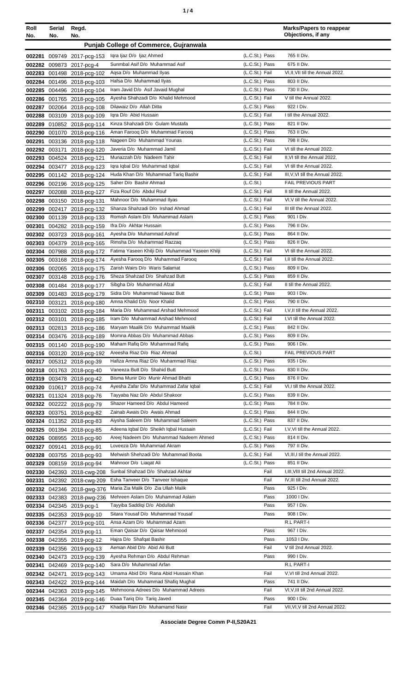| ٠ |  |
|---|--|
|   |  |

| Roll             | Serial | Regd.<br>No.                                    |                                                                     |                                  | <b>Marks/Papers to reappear</b><br>Objections, if any |
|------------------|--------|-------------------------------------------------|---------------------------------------------------------------------|----------------------------------|-------------------------------------------------------|
| No.              | No.    |                                                 |                                                                     |                                  |                                                       |
|                  |        |                                                 | <b>Punjab College of Commerce, Gujranwala</b>                       |                                  |                                                       |
| 002281           |        | 009749 2017-pcg-153                             | Igra Ijaz D/o Ijaz Ahmed                                            | (L.C.St.) Pass                   | 765 II Div.                                           |
| 002282           |        | 009873 2017-pcg-4                               | Sunmbal Asif D/o Muhammad Asif                                      | $(L.C.St.)$ Pass                 | 675 II Div.                                           |
| 002283           |        | 001498 2018-pcg-102                             | Agsa D/o Muhammad Ilyas                                             | (L.C.St.) Fail                   | VI, II, VII till the Annual 2022.                     |
| 002284           |        | 001496 2018-pcg-103                             | Hafsa D/o Muhammad Ilyas                                            | (L.C.St.) Pass                   | 803 II Div.                                           |
| 002285           |        | 004496 2018-pcg-104                             | Iram Javid D/o Asif Javaid Mughal                                   | (L.C.St.) Pass                   | 730 II Div.                                           |
| 002286           |        | 001765 2018-pcg-105                             | Ayesha Shahzadi D/o Khalid Mehmood                                  | (L.C.St.) Fail                   | V till the Annual 2022.                               |
| 002287           |        | 002064 2018-pcg-108                             | Dilawaiz D/o Allah Ditta                                            | (L.C.St.) Pass                   | 922 I Div.                                            |
| 002288           |        | 003109 2018-pcg-109                             | Igra D/o Abid Hussain                                               | (L.C.St.) Fail                   | I till the Annual 2022.                               |
| 002289           |        | 010852 2018-pcg-114                             | Kinza Shahzadi D/o Gulam Mustafa<br>Aman Farooq D/o Muhammad Farooq | (L.C.St.) Pass<br>(L.C.St.) Pass | 821 II Div.<br>763 II Div.                            |
| 002290           |        | 001070 2018-pcg-116                             | Nageen D/o Muhammad Younas                                          | (L.C.St.) Pass                   | 798 II Div.                                           |
| 002291           |        | 003136 2018-pcg-118                             | Javeria D/o Muhammad Jamil                                          | (L.C.St.) Fail                   | VI till the Annual 2022.                              |
| 002292<br>002293 |        | 003171 2018-pcg-120                             | Munazzah D/o Nadeem Tahir                                           | (L.C.St.) Fail                   | II, VI till the Annual 2022.                          |
| 002294           |        | 004524 2018-pcg-121<br>003477 2018-pcg-123      | Iqra Iqbal D/o Muhammad Iqbal                                       | (L.C.St.) Fail                   | VI till the Annual 2022.                              |
| 002295           |        | 001142 2018-pcg-124                             | Huda Khan D/o Muhammad Tariq Bashir                                 | (L.C.St.) Fail                   | III, V, VI till the Annual 2022.                      |
| 002296           |        | 002196 2018-pcg-125                             | Saher D/o Bashir Ahmad                                              | (L.C.S <sub>t</sub> )            | <b>FAIL PREVIOUS PART</b>                             |
| 002297           |        | 002088 2018-pcg-127                             | Fiza Rouf D/o Abdul Rouf                                            | (L.C.St.) Fail                   | II till the Annual 2022.                              |
| 002298           |        | 003150 2018-pcg-131                             | Mahnoor D/o Muhammad Ilyas                                          | (L.C.St.) Fail                   | VI, V till the Annual 2022.                           |
| 002299           |        | 002417 2018-pcg-132                             | Shanza Shahzadi D/o Irshad Ahmad                                    | (L.C.St.) Fail                   | III till the Annual 2022.                             |
| 002300           |        | 001139 2018-pcg-133                             | Romish Aslam D/o Muhammad Aslam                                     | (L.C.St.) Pass                   | 901   Div.                                            |
| 002301           |        | 004282 2018-pcg-159                             | Ifra D/o Akhtar Hussain                                             | (L.C.St.) Pass                   | 796 II Div.                                           |
| 002302           |        | 003723 2018-pcg-161                             | Ayesha D/o Muhammad Ashraf                                          | (L.C.St.) Pass                   | 864 II Div.                                           |
| 002303           |        | 004379 2018-pcg-165                             | Rimsha D/o Muhammad Razzaq                                          | (L.C.St.) Pass                   | 826 II Div.                                           |
| 002304           |        | 007988 2018-pcg-172                             | Fatima Yaseen Khilji D/o Muhammad Yaseen Khilji                     | (L.C.St.) Fail                   | VI till the Annual 2022.                              |
| 002305           |        | 003168 2018-pcg-174                             | Ayesha Farooq D/o Muhammad Farooq                                   | (L.C.St.) Fail                   | I, II till the Annual 2022.                           |
| 002306           |        | 002065 2018-pcg-175                             | Zarish Wairs D/o Waris Salamat                                      | (L.C.St.) Pass                   | 809 II Div.                                           |
| 002307           |        | 003148 2018-pcg-176                             | Sheza Shahzad D/o Shahzad Butt                                      | (L.C.St.) Pass                   | 859 II Div.                                           |
| 002308           |        | 001484 2018-pcg-177                             | Sibgha D/o Muhammad Afzal                                           | (L.C.St.) Fail                   | II till the Annual 2022.                              |
| 002309           |        | 001483 2018-pcg-179                             | Sidra D/o Muhammad Nawaz Butt                                       | (L.C.St.) Pass                   | 903 I Div.                                            |
| 002310           |        | 003121 2018-pcg-180                             | Amna Khalid D/o Noor Khalid                                         | (L.C.St.) Pass                   | 790 II Div.                                           |
| 002311           |        | 003102 2018-pcg-184                             | Maria D/o Muhammad Arshad Mehmood                                   | (L.C.St.) Fail                   | I, V, II till the Annual 2022.                        |
| 002312           |        | 003101 2018-pcg-185                             | Iram D/o Muhammad Arshad Mehmood                                    | (L.C.St.) Fail                   | I, VI till the Annual 2022.                           |
|                  |        | 002313 002813 2018-pcg-186                      | Maryam Maalik D/o Muhammad Maalik                                   | (L.C.St.) Pass                   | 842 II Div.                                           |
|                  |        | 002314 003476 2018-pcg-189                      | Momna Abbas D/o Muhammad Abbas                                      | (L.C.St.) Pass                   | 809 II Div.                                           |
|                  |        | 002315 001140 2018-pcg-190                      | Maham Rafiq D/o Muhammad Rafiq                                      | (L.C.St.) Pass                   | 906 I Div.                                            |
|                  |        | 002316 003120 2018-pcg-192                      | Areesha Riaz D/o Riaz Ahmad                                         | (L.C.St.)                        | <b>FAIL PREVIOUS PART</b>                             |
| 002317           |        | 005312 2018-pcg-39                              | Hafiza Amna Riaz D/o Muhammad Riaz                                  | (L.C.St.) Pass                   | 935   Div.                                            |
| 002318           |        | 001763 2018-pcg-40                              | Vaneeza Butt D/o Shahid Butt<br>Bisma Munir D/o Munir Ahmad Bhatti  | (L.C.St.) Pass<br>(L.C.St.) Pass | 830 II Div.<br>876 II Div.                            |
|                  |        | 002319 003478 2018-pcg-42                       | Ayesha Zafar D/o Muhammad Zafar Iqbal                               | (L.C.St.) Fail                   | VI, I till the Annual 2022.                           |
| 002320           |        | 010617 2018-pcg-74                              | Tayyaba Naz D/o Abdul Shakoor                                       | (L.C.St.) Pass                   | 839 II Div.                                           |
| 002321           |        | 011324 2018-pcg-76<br>002322 002222 2018-pcg-79 | Shazer Hameed D/o Abdul Hameed                                      | (L.C.St.) Pass                   | 784 II Div.                                           |
| 002323           |        | 003751 2018-pcg-82                              | Zainab Awais D/o Awais Ahmad                                        | (L.C.St.) Pass                   | 844 II Div.                                           |
| 002324           |        | 011352 2018-pcg-83                              | Aiysha Saleem D/o Muhammad Saleem                                   | (L.C.St.) Pass                   | 837 II Div.                                           |
| 002325           |        | 001394 2018-pcg-85                              | Adeena Iqbal D/o Sheikh Iqbal Hussain                               | (L.C.St.) Fail                   | I, V, VI till the Annual 2022.                        |
| 002326           |        | 008955 2018-pcg-90                              | Areej Nadeem D/o Muhammad Nadeem Ahmed                              | (L.C.St.) Pass                   | 814 II Div.                                           |
| 002327           |        | 009141 2018-pcg-91                              | Loveeza D/o Muhammad Akram                                          | (L.C.St.) Pass                   | 797 II Div.                                           |
| 002328           |        | 003755 2018-pcg-93                              | Mehwish Shehzadi D/o Muhammad Boota                                 | (L.C.St.) Fail                   | VI, III, I till the Annual 2022.                      |
| 002329           |        | 008159 2018-pcg-94                              | Mahnoor D/o Liagat Ali                                              | (L.C.St.) Pass                   | 851 II Div.                                           |
| 002330           |        | 042393 2018-cwg-208                             | Sunbal Shahzad D/o Shahzad Akhtar                                   | Fail                             | I, III, VIII till 2nd Annual 2022.                    |
| 002331           |        | 042392 2018-cwg-209                             | Esha Tanveer D/o Tanveer Ishaque                                    | Fail                             | IV, III till 2nd Annual 2022.                         |
| 002332           |        | 042346 2018-gwg-376                             | Maria Zia Malik D/o Zia Ullah Malik                                 | Pass                             | 925 I Div.                                            |
| 002333           |        | 042383 2018-pwg-236                             | Mehreen Aslam D/o Muhammad Aslam                                    | Pass                             | 1000 I Div.                                           |
|                  |        | 002334 042345 2019-pcg-1                        | Tayyiba Saddiqi D/o Abdullah                                        | Pass                             | 957 I Div.                                            |
|                  |        | 002335 042353 2019-pcg-10                       | Sitara Yousaf D/o Muhammad Yousaf                                   | Pass                             | 908 I Div.                                            |
| 002336           |        | 042377 2019-pcg-101                             | Ansa Azam D/o Muhammad Azam                                         |                                  | R.L PART-I                                            |
| 002337           |        | 042354 2019-pcg-11                              | Eman Qaisar D/o Qaisar Mehmood                                      | Pass                             | 967 I Div.                                            |
|                  |        | 002338 042355 2019-pcg-12                       | Hajra D/o Shafqat Bashir                                            | Pass                             | 1053 I Div.                                           |
| 002339           |        | 042356 2019-pcg-13                              | Aeman Abid D/o Abid Ali Butt                                        | Fail                             | V till 2nd Annual 2022.                               |
| 002340           |        | 042473 2019-pcg-139                             | Ayesha Rehman D/o Abdul Rehman                                      | Pass                             | 990 I Div.                                            |
| 002341           |        | 042469 2019-pcg-140                             | Sara D/o Muhammad Arfan                                             |                                  | R.L PART-I                                            |
| 002342           |        | 042471 2019-pcg-143                             | Umama Abid D/o Rana Abid Hussain Khan                               | Fail                             | V, VI till 2nd Annual 2022.                           |
| 002343           |        | 042422 2019-pcg-144                             | Maidah D/o Muhammad Shafiq Mughal                                   | Pass                             | 741 II Div.                                           |
| 002344           |        | 042363 2019-pcg-145                             | Mehmoona Adrees D/o Muhammad Adrees                                 | Fail                             | VI, V, III till 2nd Annual 2022.                      |
| 002345           |        | 042364 2019-pcg-146                             | Duaa Tariq D/o Tariq Javed                                          | Pass                             | 900 I Div.                                            |
|                  |        | 002346 042365 2019-pcg-147                      | Khadija Rani D/o Muhamamd Nasir                                     | Fail                             | VII, VI, V till 2nd Annual 2022.                      |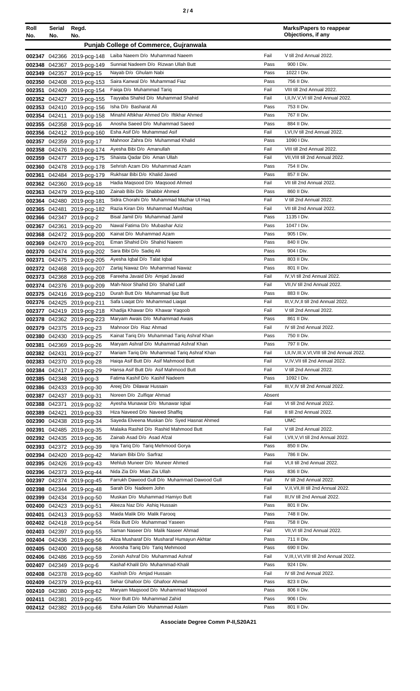| Roll<br>No. | Serial<br>No. | Regd.<br>No.                                             |                                                                                       |              | <b>Marks/Papers to reappear</b><br>Objections, if any   |
|-------------|---------------|----------------------------------------------------------|---------------------------------------------------------------------------------------|--------------|---------------------------------------------------------|
|             |               |                                                          | <b>Punjab College of Commerce, Gujranwala</b>                                         |              |                                                         |
|             |               | 002347 042366 2019-pcg-148                               | Laiba Naeem D/o Muhammad Naeem                                                        | Fail         | V till 2nd Annual 2022.                                 |
|             |               | 002348 042367 2019-pcg-149                               | Sunniat Nadeem D/o Rizwan Ullah Butt                                                  | Pass         | 900 I Div.                                              |
| 002349      |               | 042357 2019-pcg-15                                       | Nayab D/o Ghulam Nabi                                                                 | Pass         | 1022   Div.                                             |
| 002350      |               | 042408 2019-pcg-153                                      | Saira Kanwal D/o Muhammad Fiaz                                                        | Pass         | 756 II Div.                                             |
| 002351      |               | 042409 2019-pcg-154                                      | Faiga D/o Muhammad Tarig                                                              | Fail         | VIII till 2nd Annual 2022.                              |
|             |               | 002352 042427 2019-pcg-155                               | Tayyaba Shahid D/o Muhammad Shahid                                                    | Fail         | I, II, IV, V, VI till 2nd Annual 2022.                  |
|             |               | 002353 042410 2019-pcg-156                               | Isha D/o Basharat Ali<br>Minahil Aftikhar Ahmed D/o Iftikhar Ahmed                    | Pass<br>Pass | 753 II Div.<br>767 II Div.                              |
|             |               | 002354 042411 2019-pcg-158<br>002355 042358 2019-pcg-16  | Anosha Saeed D/o Muhammad Saeed                                                       | Pass         | 884 II Div.                                             |
|             |               | 002356 042412 2019-pcg-160                               | Esha Asif D/o Muhammad Asif                                                           | Fail         | I, VI, IV till 2nd Annual 2022.                         |
| 002357      |               | 042359 2019-pcg-17                                       | Mahnoor Zahra D/o Muhammad Khalid                                                     | Pass         | 1090 I Div.                                             |
| 002358      |               | 042476 2019-pcg-174                                      | Ayesha Bibi D/o Amanullah                                                             | Fail         | VIII till 2nd Annual 2022.                              |
| 002359      |               | 042477 2019-pcg-175                                      | Shaista Qadar D/o Aman Ullah                                                          | Fail         | VII. VIII till 2nd Annual 2022.                         |
|             |               | 002360 042478 2019-pcg-178                               | Sehrish Azam D/o Muhammad Azam                                                        | Pass         | 754 II Div.                                             |
|             |               | 002361 042484 2019-pcg-179                               | Rukhsar Bibi D/o Khalid Javed                                                         | Pass         | 857 II Div.                                             |
|             |               | 002362 042360 2019-pcg-18                                | Hadia Maqsood D/o Maqsood Ahmed<br>Zainab Bibi D/o Shabbir Ahmed                      | Fail<br>Pass | VII till 2nd Annual 2022.<br>860 II Div.                |
|             |               | 002363 042479 2019-pcg-180<br>002364 042480 2019-pcg-181 | Sidra Chorahi D/o Muhammad Mazhar Ul Haq                                              | Fail         | V till 2nd Annual 2022.                                 |
|             |               | 002365 042481 2019-pcg-182                               | Razia Kiran D/o Muhammad Mushtaq                                                      | Fail         | VII till 2nd Annual 2022.                               |
|             |               | 002366 042347 2019-pcg-2                                 | Bisal Jamil D/o Muhammad Jamil                                                        | Pass         | 1135 I Div.                                             |
|             |               | 002367 042361 2019-pcg-20                                | Nawal Fatima D/o Mubashar Aziz                                                        | Pass         | 1047   Div.                                             |
|             |               | 002368 042472 2019-pcg-200                               | Kainat D/o Muhammad Azam                                                              | Pass         | 905   Div.                                              |
|             |               | 002369 042470 2019-pcg-201                               | Eman Shahid D/o Shahid Naeem                                                          | Pass         | 840 II Div.                                             |
| 002370      |               | 042474 2019-pcg-202                                      | Sara Bibi D/o Sadiq Ali                                                               | Pass         | 904   Div.                                              |
| 002371      |               | 042475 2019-pcg-205                                      | Ayesha Iqbal D/o Talat Iqbal<br>Zartaj Nawaz D/o Muhammad Nawaz                       | Pass<br>Pass | 803 II Div.<br>801 II Div.                              |
|             |               | 002372 042468 2019-pcg-207<br>002373 042368 2019-pcg-208 | Fareeha Javaid D/o Amjad Javaid                                                       | Fail         | IV, VI till 2nd Annual 2022.                            |
|             |               | 002374 042376 2019-pcg-209                               | Mah-Noor Shahid D/o Shahid Latif                                                      | Fail         | VII, IV till 2nd Annual 2022.                           |
|             |               | 002375 042416 2019-pcg-210                               | Durah Butt D/o Muhammad Ijaz Butt                                                     | Pass         | 883 II Div.                                             |
|             |               | 002376 042425 2019-pcg-211                               | Safa Liaqat D/o Muhammad Liaqat                                                       | Fail         | III, V, IV, II till 2nd Annual 2022.                    |
|             |               | 002377 042419 2019-pcg-218                               | Khadija Khawar D/o Khawar Yaqoob                                                      | Fail         | V till 2nd Annual 2022.                                 |
|             |               | 002378 042362 2019-pcg-223                               | Maryam Awais D/o Muhammad Awais                                                       | Pass         | 861 II Div.                                             |
|             |               | 002379 042375 2019-pcg-23                                | Mahnoor D/o Riaz Ahmad                                                                | Fail         | IV till 2nd Annual 2022.                                |
| 002381      |               | 002380 042430 2019-pcg-25                                | Kainat Tariq D/o Muhammad Tariq Ashraf Khan<br>Maryam Ashraf D/o Muhammad Ashraf Khan | Pass<br>Pass | 750 II Div.<br>797 II Div.                              |
|             |               | 042369 2019-pcg-26<br>002382 042431 2019-pcg-27          | Mariam Tariq D/o Muhammad Tariq Ashraf Khan                                           | Fail         | I, II, IV, III, V, VI, VIII till 2nd Annual 2022.       |
|             |               | 002383 042370 2019-pcg-28                                | Haiga Asif Butt D/o Asif Mahmood Butt                                                 | Fail         | V, IV, VII till 2nd Annual 2022.                        |
|             |               | 002384 042417 2019-pcg-29                                | Hansa Asif Butt D/o Asif Mahmood Butt                                                 | Fail         | V till 2nd Annual 2022.                                 |
|             |               | 002385 042348 2019-pcg-3                                 | Fatima Kashif D/o Kashif Nadeem                                                       | Pass         | 1092 I Div.                                             |
|             |               | 002386 042433 2019-pcg-30                                | Areej D/o Dilawar Hussain                                                             | Fail         | III, V, IV till 2nd Annual 2022.                        |
|             |               | 002387 042437 2019-pcg-31                                | Noreen D/o Zulfigar Ahmad                                                             | Absent       |                                                         |
|             | 002389 042421 | 002388 042371 2019-pcg-32                                | Ayesha Munawar D/o Munawar Iqbal<br>Hiza Naveed D/o Naveed Shaffiq                    | Fail<br>Fail | VI till 2nd Annual 2022.<br>II till 2nd Annual 2022.    |
|             |               | 2019-pcg-33<br>002390 042438 2019-pcg-34                 | Sayeda Elveena Muskan D/o Syed Hasnat Ahmed                                           |              | <b>UMC</b>                                              |
|             |               | 002391 042485 2019-pcg-35                                | Malaika Rashid D/o Rashid Mahmood Butt                                                | Fail         | V till 2nd Annual 2022.                                 |
|             |               | 002392 042435 2019-pcg-36                                | Zainab Asad D/o Asad Afzal                                                            | Fail         | I, VII, V, VI till 2nd Annual 2022.                     |
|             |               | 002393 042372 2019-pcg-39                                | Igra Tarig D/o Tarig Mehmood Gorya                                                    | Pass         | 850 II Div.                                             |
|             |               | 002394 042420 2019-pcg-42                                | Mariam Bibi D/o Sarfraz                                                               | Pass         | 786 II Div.                                             |
|             |               | 002395 042426 2019-pcg-43                                | Mehlub Muneer D/o Muneer Ahmed                                                        | Fail         | VI, II till 2nd Annual 2022.                            |
|             |               | 002396 042373 2019-pcg-44                                | Nida Zia D/o Mian Zia Ullah<br>Farrukh Dawood Gull D/o Muhammad Dawood Gull           | Pass<br>Fail | 836 II Div.<br>IV till 2nd Annual 2022.                 |
|             |               | 002397 042374 2019-pcg-45<br>002398 042344 2019-pcg-48   | Sarah D/o Nadeem John                                                                 | Fail         | V, II, VII, III till 2nd Annual 2022.                   |
|             |               | 002399 042434 2019-pcg-50                                | Muskan D/o Muhammad Hamiyo Butt                                                       | Fail         | III, IV till 2nd Annual 2022.                           |
|             |               | 002400 042423 2019-pcg-51                                | Aleeza Naz D/o Ashiq Hussain                                                          | Pass         | 801 II Div.                                             |
|             |               | 002401 042413 2019-pcg-53                                | Maida Malik D/o Malik Farooq                                                          | Pass         | 748 II Div.                                             |
|             |               | 002402 042418 2019-pcg-54                                | Rida Butt D/o Muhammad Yaseen                                                         | Pass         | 758 II Div.                                             |
|             |               | 002403 042397 2019-pcg-55                                | Saman Naseer D/o Malik Naseer Ahmad                                                   | Fail         | VII, VI till 2nd Annual 2022.                           |
|             |               | 002404 042436 2019-pcg-56                                | Aliza Musharaf D/o Musharaf Humayun Akhtar                                            | Pass         | 711 II Div.                                             |
|             |               | 002405 042400 2019-pcg-58                                | Aroosha Tariq D/o Tariq Mehmood<br>Zonish Ashraf D/o Muhammad Ashraf                  | Pass<br>Fail | 690 II Div.<br>V.III, I, VI, VIII till 2nd Annual 2022. |
|             |               | 002406 042486 2019-pcg-59<br>002407 042349 2019-pcg-6    | Kashaf-Khalil D/o Muhammad-Khalil                                                     | Pass         | 924   Div.                                              |
|             |               | 002408 042378 2019-pcg-60                                | Kashish D/o Amjad Hussain                                                             | Fail         | IV till 2nd Annual 2022.                                |
|             |               | 002409 042379 2019-pcg-61                                | Sehar Ghafoor D/o Ghafoor Ahmad                                                       | Pass         | 823 II Div.                                             |
|             |               | 002410 042380 2019-pcg-62                                | Maryam Magsood D/o Muhammad Magsood                                                   | Pass         | 806 II Div.                                             |
|             |               | 002411 042381 2019-pcg-65                                | Noor Butt D/o Muhammad Zahid                                                          | Pass         | 906 I Div.                                              |
|             |               | 002412 042382 2019-pcg-66                                | Esha Aslam D/o Muhammad Aslam                                                         | Pass         | 801 II Div.                                             |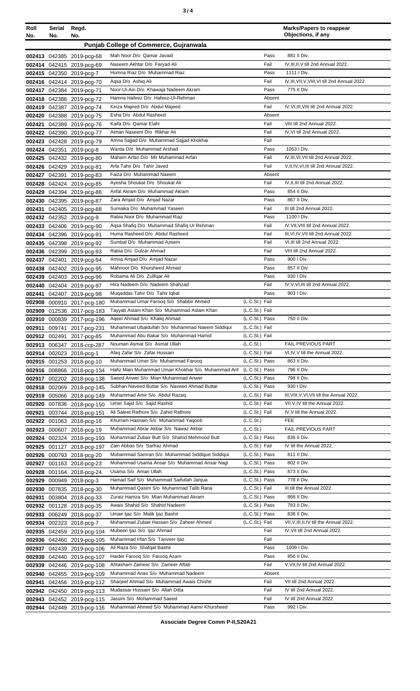| ×<br>٠<br>I<br>۰.<br>× |  |  |
|------------------------|--|--|
|------------------------|--|--|

| Roll<br>No. | Serial<br>No. | Regd.<br>No.                                             |                                                                                      |                                  | <b>Marks/Papers to reappear</b><br>Objections, if any |
|-------------|---------------|----------------------------------------------------------|--------------------------------------------------------------------------------------|----------------------------------|-------------------------------------------------------|
|             |               |                                                          | <b>Punjab College of Commerce, Gujranwala</b>                                        |                                  |                                                       |
|             |               |                                                          |                                                                                      |                                  |                                                       |
|             |               | 002413 042385 2019-pcg-68                                | Mah Noor D/o Qamar Javaid<br>Naseem Akhtar D/o Faryad Ali                            | Pass<br>Fail                     | 881 II Div.<br>IV.III.II.V till 2nd Annual 2022.      |
|             |               | 002414 042415 2019-pcg-69<br>002415 042350 2019-pcg-7    | Humna Riaz D/o Muhammad Riaz                                                         | Pass                             | 1111 I Div.                                           |
|             |               | 002416 042414 2019-pcg-70                                | Agsa D/o Ashig Ali                                                                   | Fail                             | IV, III, VII, V, VIII, VI till 2nd Annual 2022.       |
|             |               | 002417 042384 2019-pcg-71                                | Noor-Ul-Ain D/o Khawaja Nadeem Akram                                                 | Pass                             | 775 II Div.                                           |
|             |               | 002418 042386 2019-pcg-72                                | Hamna Hafeez D/o Hafeez-UI-Rehman                                                    | Absent                           |                                                       |
|             |               | 002419 042387 2019-pcg-74                                | Kinza Majeed D/o Abdul Majeed                                                        | Fail                             | IV, VI, III, VIII till 2nd Annual 2022.               |
|             |               | 002420 042388 2019-pcg-75                                | Esha D/o Abdul Rasheed                                                               | Absent                           |                                                       |
|             |               | 002421 042389 2019-pcg-76                                | Kaifa D/o Qamar Elahi                                                                | Fail                             | VIII till 2nd Annual 2022.                            |
|             |               | 002422 042390 2019-pcg-77                                | Aiman Naseem D/o Iftikhar Ali                                                        | Fail                             | IV, VI till 2nd Annual 2022.                          |
|             |               | 002423 042428 2019-pcg-79                                | Amna Sajjad D/o Muhammad Sajjad Khokhar                                              | Fail                             |                                                       |
|             |               | 002424 042351 2019-pcg-8                                 | Warda D/o Muhammad Arshad                                                            | Pass                             | 1053   Div.                                           |
|             |               | 002425 042432 2019-pcg-80                                | Maham Arfan D/o Mir Muhammad Arfan                                                   | Fail                             | IV, III, VI, VII till 2nd Annual 2022.                |
|             |               | 002426 042429 2019-pcg-81                                | Arfa Tahir D/o Tahir Javed                                                           | Fail                             | V, II, IV, VI, III till 2nd Annual 2022.              |
|             |               | 002427 042391 2019-pcg-83                                | Faiza D/o Muhammad Naeem                                                             | Absent                           |                                                       |
|             |               | 002428 042424 2019-pcg-85                                | Ayesha Shoukat D/o Shoukat Ali                                                       | Fail                             | IV, II, III till 2nd Annual 2022.                     |
|             |               | 002429 042394 2019-pcg-86                                | Anfal Akram D/o Muhammad Akram<br>Zara Amjad D/o Amjad Nazar                         | Pass<br>Pass                     | 854 II Div.<br>867 II Div.                            |
|             |               | 002430 042395 2019-pcg-87<br>002431 042405 2019-pcg-88   | Sumaika D/o Muhammad Yaseen                                                          | Fail                             | III till 2nd Annual 2022.                             |
|             |               | 002432 042352 2019-pcg-9                                 | Rabia Noor D/o Muhammad Riaz                                                         | Pass                             | 1100   Div.                                           |
|             |               | 002433 042406 2019-pcg-90                                | Agsa Shafiq D/o Muhammad Shafiq Ur Rehman                                            | Fail                             | IV.VII.VIII till 2nd Annual 2022.                     |
|             |               | 002434 042396 2019-pcg-91                                | Huma Rasheed D/o Abdul Rasheed                                                       | Fail                             | III, VI, IV, VII till 2nd Annual 2022.                |
|             |               | 002435 042398 2019-pcg-92                                | Sumbal D/o Muhammad Azeem                                                            | Fail                             | VI, III till 2nd Annual 2022.                         |
|             |               | 002436 042399 2019-pcg-93                                | Rabia D/o Gulzar Ahmad                                                               | Fail                             | VIII till 2nd Annual 2022.                            |
|             |               | 002437 042401 2019-pcg-94                                | Amna Amjad D/o Amjad Nazar                                                           | Pass                             | 900   Div.                                            |
|             |               | 002438 042402 2019-pcg-95                                | Mahnoor D/o Khursheed Ahmad                                                          | Pass                             | 857 II Div.                                           |
|             |               | 002439 042403 2019-pcg-96                                | Robama Ali D/o Zulfiqar Ali                                                          | Pass                             | 930   Div.                                            |
|             |               | 002440 042404 2019-pcg-97                                | Hira Nadeem D/o Nadeem Shahzad                                                       | Fail                             | IV, V, VI, III till 2nd Annual 2022.                  |
| 002441      |               | 042407 2019-pcg-98                                       | Mugaddas Tahir D/o Tahir Iqbal                                                       | Pass                             | 903   Div.                                            |
|             |               | 002908 000910 2017-pcg-180                               | Muhammad Umar Farooq S/o Shabbir Ahmed                                               | (L.C.St.) Fail                   |                                                       |
|             |               | 002909 012536 2017-pcg-183                               | Tayyab Aslam Khan S/o Muhammad Aslam Khan                                            | (L.C.St.) Fail                   |                                                       |
|             |               | 002910 000839 2017-pcg-196                               | Ageel Ahmad S/o Khalig Ahmad<br>Muhammad Ubaidullah S/o Muhammad Naeem Siddiqui      | (L.C.St.) Pass<br>(L.C.St.) Fail | 750 II Div.                                           |
|             |               | 002911 009741 2017-pcg-231<br>002912 002491 2017-pcg-85  | Muhammad Abu Bakar S/o Muhammad Hamid                                                | (L.C.St.) Fail                   |                                                       |
|             |               | 002913 006347 2018-ccp-287                               | Nouman Asmat S/o Asmat Ullah                                                         | (L.C.St.)                        | <b>FAIL PREVIOUS PART</b>                             |
|             |               | 002914 002023 2018-pcg-1                                 | Afaq Zafar S/o Zafar Hussain                                                         | (L.C.St.) Fail                   | VI, IV, V till the Annual 2022.                       |
|             |               | 002915 001253 2018-pcg-10                                | Muhammad Umer S/o Muhammad Farooq                                                    | (L.C.St.) Pass                   | 863 II Div.                                           |
|             |               | 002916 008866 2018-pcg-134                               | Hafiz Main Muhammad Umair Khokhar S/o Muhammad Arif                                  | (L.C.St.) Pass                   | 796 II Div.                                           |
|             |               | 002917 002202 2018-pcg-138                               | Saeed Anwer S/o Mian Muhammad Anwer                                                  | (L.C.St.) Pass                   | 798 II Div.                                           |
|             |               | 002918 002069 2018-pcg-145                               | Subhan Naveed Buttar S/o Naveed Ahmad Buttar                                         | (L.C.St.) Pass                   | 930   Div.                                            |
|             |               | 002919 005066 2018-pcg-149                               | Muhammad Amir S/o Abdul Razaq                                                        | (L.C.St.) Fail                   | III, VIII, V, VI, VII till the Annual 2022.           |
|             |               | 002920 007836 2018-pcg-150                               | Umer Sajid S/o Sajid Rashid                                                          | (L.C.St.) Fail                   | VII, V, IV till the Annual 2022.                      |
|             |               | 002921 003744 2018-pcg-151                               | Ali Saleet Rathore S/o Zahid Rathore                                                 | (L.C.St.) Fail                   | IV, V till the Annual 2022.                           |
|             |               | 002922 001063 2018-pcg-16                                | Khurram Hasnain S/o Muhammad Yaqoob                                                  | (L.C.St.)                        | FEE                                                   |
|             |               | 002923 000607 2018-pcg-19                                | Muhammad Abrar Akbar S/o Nawaz Akbar<br>Muhammad Zubair Butt S/o Shahid Mehmood Butt | (L.C.St.)<br>(L.C.St.) Pass      | FAIL PREVIOUS PART<br>836 II Div.                     |
|             |               | 002924 002324 2018-pcg-193<br>002925 001127 2018-pcg-197 | Zain Abbas S/o Sarfraz Ahmad                                                         | (L.C.St.) Fail                   | IV till the Annual 2022.                              |
|             |               | 002926 000793 2018-pcg-20                                | Muhammad Samran S/o Muhammad Siddique Siddiqui                                       | (L.C.St.) Pass                   | 811 II Div.                                           |
|             |               | 002927 001163 2018-pcg-23                                | Muhammad Usama Ansar S/o Muhammad Ansar Nagi                                         | (L.C.St.) Pass                   | 802 II Div.                                           |
|             |               | 002928 001164 2018-pcg-24                                | Usama S/o Aman Ullah                                                                 | (L.C.St.) Pass                   | 873 II Div.                                           |
|             |               | 002929 000949 2018-pcg-3                                 | Hamad Saif S/o Muhammad Saifullah Janjua                                             | (L.C.St.) Pass                   | 778 II Div.                                           |
|             |               | 002930 007835 2018-pcg-30                                | Muhammad Qasim S/o Muhammad Talib Rana                                               | (L.C.St.) Fail                   | III till the Annual 2022.                             |
|             |               | 002931 003804 2018-pcg-33                                | Zuraiz Hamza S/o Mian Muhammad Akram                                                 | (L.C.St.) Pass                   | 868 II Div.                                           |
|             |               | 002932 001128 2018-pcg-35                                | Awais Shahid S/o Shahid Nadeem                                                       | (L.C.St.) Pass                   | 783 II Div.                                           |
|             |               | 002933 006249 2018-pcg-37                                | Umair Ijaz S/o Malik Ijaz Bashir                                                     | (L.C.St.) Pass                   | 838 II Div.                                           |
|             |               | 002934 002323 2018-pcg-7                                 | Muhammad Zubair Hassan S/o Zaheer Ahmed                                              | (L.C.St.) Fail                   | VII, V, III, II, IV till the Annual 2022.             |
|             |               | 002935 042459 2019-pcg-104                               | Mubeen Ijaz S/o Ijaz Ahmad                                                           | Fail                             | IV, VII till 2nd Annual 2022.                         |
|             |               | 002936 042460 2019-pcg-105                               | Muhammad Irfan S/o Tanveer Ijaz                                                      | Fail                             |                                                       |
|             |               | 002937 042439 2019-pcg-106                               | Ali Raza S/o Shafqat Bashir                                                          | Pass                             | 1009 I Div.                                           |
|             |               | 002938 042440 2019-pcg-107                               | Haider Faroog S/o Faroog Azam                                                        | Pass<br>Fail                     | 856 II Div.                                           |
|             |               | 002939 042446 2019-pcg-108                               | Ahtasham Zameer S/o Zameer Aftab<br>Muhammad Anas S/o Muhammad Nadeem                | Absent                           | V, VII, IV till 2nd Annual 2022.                      |
|             |               | 002940 042455 2019-pcg-109<br>002941 042456 2019-pcg-112 | Sharjeel Ahmad S/o Muhammad Awais Chishti                                            | Fail                             | VII till 2nd Annual 2022.                             |
|             |               | 002942 042450 2019-pcg-113                               | Mudassar Hussain S/o Allah Ditta                                                     | Fail                             | IV till 2nd Annual 2022.                              |
|             |               | 002943 042452 2019-pcg-115                               | Jassim S/o Mohammad Saeed                                                            | Fail                             | IV till 2nd Annual 2022.                              |
|             |               | 002944 042449 2019-pcg-116                               | Muhammad Ahmed S/o Muhammad Aamir Khursheed                                          | Pass                             | 992   Div.                                            |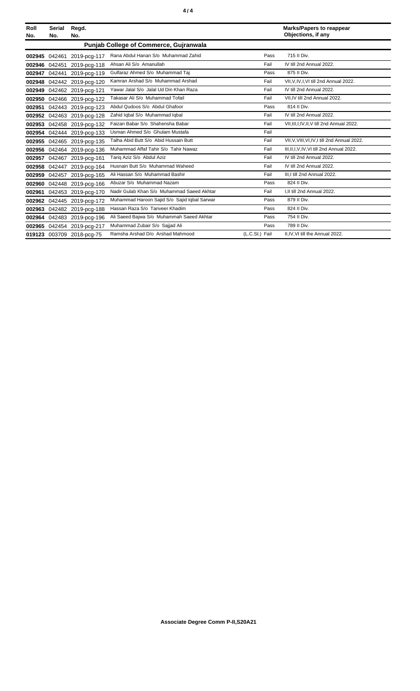| Roll<br>No. | <b>Serial</b><br>No. | Regd.<br>No.               |                                               |                | <b>Marks/Papers to reappear</b><br>Objections, if any |
|-------------|----------------------|----------------------------|-----------------------------------------------|----------------|-------------------------------------------------------|
|             |                      |                            | <b>Punjab College of Commerce, Guiranwala</b> |                |                                                       |
|             | 002945 042461        | 2019-pcg-117               | Rana Abdul Hanan S/o Muhammad Zahid           | Pass           | 715 II Div.                                           |
|             | 002946 042451        | 2019-pcg-118               | Ahsan Ali S/o Amanullah                       | Fail           | IV till 2nd Annual 2022.                              |
| 002947      | 042441               | 2019-pcg-119               | Gulfaraz Ahmed S/o Muhammad Taj               | Pass           | 875 II Div.                                           |
| 002948      |                      | 042442 2019-pcg-120        | Kamran Arshad S/o Muhammad Arshad             | Fail           | VII.V.IV.I.VI till 2nd Annual 2022.                   |
|             |                      | 002949 042462 2019-pcg-121 | Yawar Jalal S/o Jalal Ud Din Khan Raza        | Fail           | IV till 2nd Annual 2022.                              |
|             |                      | 002950 042466 2019-pcg-122 | Takasar Ali S/o Muhammad Tofail               | Fail           | VII.IV till 2nd Annual 2022.                          |
| 002951      |                      | 042443 2019-pcg-123        | Abdul Qudoos S/o Abdul Ghafoor                | Pass           | 814 II Div.                                           |
| 002952      |                      | 042463 2019-pcg-128        | Zahid Iqbal S/o Muhammad Iqbal                | Fail           | IV till 2nd Annual 2022.                              |
|             |                      | 002953 042458 2019-pcg-132 | Faizan Babar S/o Shahensha Babar              | Fail           | VII, III, I, IV, II, V till 2nd Annual 2022.          |
|             |                      | 002954 042444 2019-pcg-133 | Usman Ahmed S/o Ghulam Mustafa                | Fail           |                                                       |
|             |                      | 002955 042465 2019-pcg-135 | Talha Abid Butt S/o Abid Hussain Butt         | Fail           | VII, V, VIII, VI, IV, I till 2nd Annual 2022.         |
|             |                      | 002956 042464 2019-pcg-136 | Muhammad Affaf Tahir S/o Tahir Nawaz          | Fail           | III.II.I.V.IV.VI till 2nd Annual 2022.                |
|             |                      | 002957 042467 2019-pcg-161 | Tariq Aziz S/o Abdul Aziz                     | Fail           | IV till 2nd Annual 2022.                              |
|             |                      | 002958 042447 2019-pcg-164 | Husnain Butt S/o Muhammad Waheed              | Fail           | IV till 2nd Annual 2022.                              |
|             |                      | 002959 042457 2019-pcg-165 | Ali Hassan S/o Muhammad Bashir                | Fail           | III, I till 2nd Annual 2022.                          |
|             |                      | 002960 042448 2019-pcg-166 | Abuzar S/o Muhammad Nazam                     | Pass           | 824 II Div.                                           |
| 002961      |                      | 042453 2019-pcg-170        | Nadir Gulab Khan S/o Muhammad Saeed Akhtar    | Fail           | I.II till 2nd Annual 2022.                            |
|             |                      | 002962 042445 2019-pcg-172 | Muhammad Haroon Sajid S/o Sajid Iqbal Sarwar  | Pass           | 879 II Div.                                           |
|             |                      | 002963 042482 2019-pcg-188 | Hassan Raza S/o Tanveer Khadim                | Pass           | 824 II Div.                                           |
|             |                      | 002964 042483 2019-pcg-196 | Ali Saeed Bajwa S/o Muhammah Saeed Akhtar     | Pass           | 754 II Div.                                           |
|             |                      | 002965 042454 2019-pcg-217 | Muhammad Zubair S/o Sajjad Ali                | Pass           | 789 II Div.                                           |
|             |                      | 019123 003709 2018-pcg-75  | Ramsha Arshad D/o Arshad Mahmood              | (L.C.St.) Fail | II, IV, VI till the Annual 2022.                      |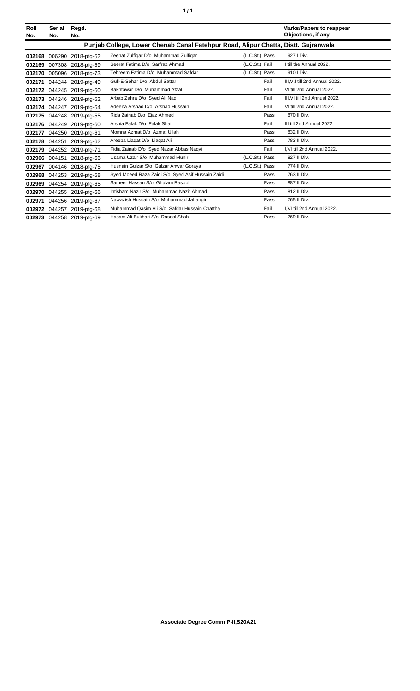| í<br>٠ |
|--------|
|--------|

| Roll<br>No. | <b>Serial</b><br>No. | Regd.<br>No.              |                                                                                    |                | <b>Marks/Papers to reappear</b><br>Objections, if any |
|-------------|----------------------|---------------------------|------------------------------------------------------------------------------------|----------------|-------------------------------------------------------|
|             |                      |                           | Punjab College, Lower Chenab Canal Fatehpur Road, Alipur Chatta, Distt. Gujranwala |                |                                                       |
|             |                      | 002168 006290 2018-pfg-52 | Zeenat Zulfigar D/o Muhammad Zulfigar                                              | (L.C.St.) Pass | 927   Div.                                            |
| 002169      |                      | 007308 2018-pfg-59        | Seerat Fatima D/o Sarfraz Ahmad                                                    | (L.C.St.) Fail | I till the Annual 2022.                               |
| 002170      |                      | 005096 2018-pfg-73        | Tehreem Fatima D/o Muhammad Safdar                                                 | (L.C.St.) Pass | 910   Div.                                            |
| 002171      |                      | 044244 2019-pfg-49        | Gull-E-Sehar D/o Abdul Sattar                                                      | Fail           | III.V.I till 2nd Annual 2022.                         |
| 002172      |                      | 044245 2019-pfg-50        | Bakhtawar D/o Muhammad Afzal                                                       | Fail           | VI till 2nd Annual 2022.                              |
|             |                      | 002173 044246 2019-pfg-52 | Arbab Zahra D/o Syed Ali Naqi                                                      | Fail           | III.VI till 2nd Annual 2022.                          |
|             |                      | 002174 044247 2019-pfg-54 | Adeena Arshad D/o Arshad Hussain                                                   | Fail           | VI till 2nd Annual 2022.                              |
|             |                      | 002175 044248 2019-pfg-55 | Rida Zainab D/o Ejaz Ahmed                                                         | Pass           | 870 II Div.                                           |
| 002176      | 044249               | 2019-pfg-60               | Arshia Falak D/o Falak Shair                                                       | Fail           | III till 2nd Annual 2022.                             |
| 002177      | 044250               | 2019-pfa-61               | Momna Azmat D/o Azmat Ullah                                                        | Pass           | 832 II Div.                                           |
|             | 002178 044251        | 2019-pfg-62               | Areeba Liagat D/o Liagat Ali                                                       | Pass           | 783 II Div.                                           |
| 002179      |                      | 044252 2019-pfg-71        | Fidia Zainab D/o Syed Nazar Abbas Nagvi                                            | Fail           | I.VI till 2nd Annual 2022.                            |
| 002966      |                      | 004151 2018-pfg-66        | Usama Uzair S/o Muhammad Munir                                                     | (L.C.St.) Pass | 827 II Div.                                           |
| 002967      |                      | 004146 2018-pfg-75        | Husnain Gulzar S/o Gulzar Anwar Goraya                                             | (L.C.St.) Pass | 774 II Div.                                           |
| 002968      |                      | 044253 2019-pfg-58        | Syed Moeed Raza Zaidi S/o Syed Asif Hussain Zaidi                                  | Pass           | 763 II Div.                                           |
|             |                      | 002969 044254 2019-pfg-65 | Sameer Hassan S/o Ghulam Rasool                                                    | Pass           | 887 II Div.                                           |
| 002970      |                      | 044255 2019-pfg-66        | Ihtisham Nazir S/o Muhammad Nazir Ahmad                                            | Pass           | 812 II Div.                                           |
| 002971      |                      | 044256 2019-pfg-67        | Nawazish Hussain S/o Muhammad Jahangir                                             | Pass           | 765 II Div.                                           |
| 002972      | 044257               | 2019-pfg-68               | Muhammad Qasim Ali S/o Safdar Hussain Chattha                                      | Fail           | I.VI till 2nd Annual 2022.                            |
|             |                      | 002973 044258 2019-pfg-69 | Hasam Ali Bukhari S/o Rasool Shah                                                  | Pass           | 769 II Div.                                           |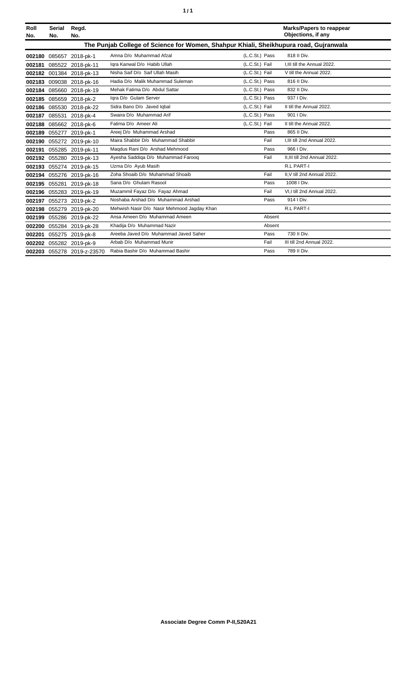|  | ٠ |
|--|---|
|  |   |

| Roll<br>No. | Serial<br>No. | Regd.<br>No.               |                                                                                       |                | <b>Marks/Papers to reappear</b><br>Objections, if any |
|-------------|---------------|----------------------------|---------------------------------------------------------------------------------------|----------------|-------------------------------------------------------|
|             |               |                            | The Punjab College of Science for Women, Shahpur Khiali, Sheikhupura road, Gujranwala |                |                                                       |
| 002180      |               | 085657 2018-pk-1           | Amna D/o Muhammad Afzal                                                               | (L.C.St.) Pass | 818 II Div.                                           |
| 002181      |               | 085522 2018-pk-11          | Iqra Kanwal D/o Habib Ullah                                                           | (L.C.St.) Fail | I, III till the Annual 2022.                          |
|             |               | 002182 001384 2018-pk-13   | Nisha Saif D/o Saif Ullah Masih                                                       | (L.C.St.) Fail | V till the Annual 2022.                               |
|             |               | 002183 009038 2018-pk-16   | Hadia D/o Malik Muhammad Suleman                                                      | (L.C.St.) Pass | 816 II Div.                                           |
| 002184      |               | 085660 2018-pk-19          | Mehak Fatima D/o Abdul Sattar                                                         | (L.C.St.) Pass | 832 II Div.                                           |
| 002185      | 085659        | 2018-pk-2                  | Igra D/o Gulam Server                                                                 | (L.C.St.) Pass | 937   Div.                                            |
|             |               | 002186 085530 2018-pk-22   | Sidra Bano D/o Javed Iqbal                                                            | (L.C.St.) Fail | II till the Annual 2022.                              |
| 002187      |               | 085531 2018-pk-4           | Swaira D/o Muhammad Arif                                                              | (L.C.St.) Pass | 901   Div.                                            |
|             |               | 002188 085662 2018-pk-6    | Fatima D/o Ameer Ali                                                                  | (L.C.St.) Fail | II till the Annual 2022.                              |
| 002189      |               | 055277 2019-pk-1           | Areej D/o Muhammad Arshad                                                             | Pass           | 865 II Div.                                           |
| 002190      |               | 055272 2019-pk-10          | Maira Shabbir D/o Muhammad Shabbir                                                    | Fail           | I.III till 2nd Annual 2022.                           |
| 002191      |               | 055285 2019-pk-11          | Magdus Rani D/o Arshad Mehmood                                                        | Pass           | 966   Div.                                            |
|             |               | 002192 055280 2019-pk-13   | Ayesha Saddiga D/o Muhammad Faroog                                                    | Fail           | II.III till 2nd Annual 2022.                          |
|             |               | 002193 055274 2019-pk-15   | Uzma D/o Ayub Masih                                                                   |                | <b>R.L PART-I</b>                                     |
|             |               | 002194 055276 2019-pk-16   | Zoha Shoaib D/o Muhammad Shoaib                                                       | Fail           | II.V till 2nd Annual 2022.                            |
| 002195      |               | 055281 2019-pk-18          | Sana D/o Ghulam Rasool                                                                | Pass           | 1008   Div.                                           |
|             |               | 002196 055283 2019-pk-19   | Muzammil Fayaz D/o Fayaz Ahmad                                                        | Fail           | VI.I till 2nd Annual 2022.                            |
| 002197      |               | 055273 2019-pk-2           | Noshaba Arshad D/o Muhammad Arshad                                                    | Pass           | 914   Div.                                            |
| 002198      |               | 055279 2019-pk-20          | Mehwish Nasir D/o Nasir Mehmood Jagday Khan                                           |                | <b>R.L PART-I</b>                                     |
| 002199      |               | 055286 2019-pk-22          | Ansa Ameen D/o Muhammad Ameen                                                         | Absent         |                                                       |
| 002200      | 055284        | 2019-pk-28                 | Khadija D/o Muhammad Nazir                                                            | Absent         |                                                       |
| 002201      |               | 055275 2019-pk-8           | Areeba Javed D/o Muhammad Javed Saher                                                 | Pass           | 730 II Div.                                           |
|             |               | 002202 055282 2019-pk-9    | Arbab D/o Muhammad Munir                                                              | Fail           | III till 2nd Annual 2022.                             |
|             |               | 002203 055278 2019-z-23570 | Rabia Bashir D/o Muhammad Bashir                                                      | Pass           | 789 II Div.                                           |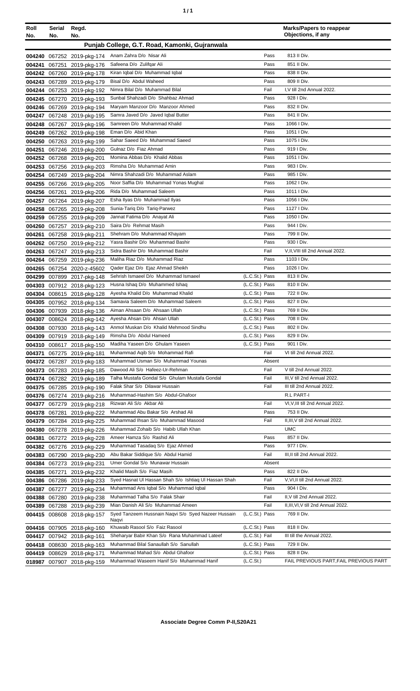|--|

| Roll   | Serial | Regd.                                      |                                                                   |                                  |        | <b>Marks/Papers to reappear</b>        |
|--------|--------|--------------------------------------------|-------------------------------------------------------------------|----------------------------------|--------|----------------------------------------|
| No.    | No.    | No.                                        |                                                                   |                                  |        | Objections, if any                     |
|        |        |                                            | Punjab College, G.T. Road, Kamonki, Gujranwala                    |                                  |        |                                        |
|        |        | 004240 067252 2019-pkg-174                 | Anam Zahra D/o Nisar Ali                                          |                                  | Pass   | 813 II Div.                            |
| 004241 | 067251 | 2019-pkg-176                               | Safeena D/o Zulifqar Ali                                          |                                  | Pass   | 851 II Div.                            |
| 004242 |        | 067260 2019-pkg-178                        | Kiran Iqbal D/o Muhammad Iqbal                                    |                                  | Pass   | 838 II Div.                            |
| 004243 |        | 067289 2019-pkg-179                        | Bisal D/o Abdul Waheed                                            |                                  | Pass   | 809 II Div.                            |
| 004244 |        | 067253 2019-pkg-192                        | Nimra Bilal D/o Muhammad Bilal                                    |                                  | Fail   | I, V till 2nd Annual 2022.             |
| 004245 |        | 067270 2019-pkg-193                        | Sunbal Shahzadi D/o Shahbaz Ahmad                                 |                                  | Pass   | 928 I Div.                             |
| 004246 |        | 067269 2019-pkg-194                        | Maryam Manzoor D/o Manzoor Ahmed                                  |                                  | Pass   | 832 II Div.                            |
| 004247 |        | 067248 2019-pkg-195                        | Samra Javed D/o Javed Iqbal Butter                                |                                  | Pass   | 841 II Div.                            |
| 004248 |        | 067267 2019-pkg-196                        | Samreen D/o Muhammad Khalid                                       |                                  | Pass   | 1066   Div.                            |
| 004249 |        | 067262 2019-pkg-198                        | Eman D/o Abid Khan                                                |                                  | Pass   | 1051 I Div.                            |
| 004250 |        | 067263 2019-pkg-199                        | Sahar Saeed D/o Muhammad Saeed                                    |                                  | Pass   | 1075   Div.                            |
| 004251 |        | 067246 2019-pkg-200                        | Gulnaz D/o Fiaz Ahmad                                             |                                  | Pass   | 919 I Div.                             |
| 004252 |        | 067268 2019-pkg-201                        | Momina Abbas D/o Khalid Abbas                                     |                                  | Pass   | 1051 I Div.                            |
| 004253 |        | 067256 2019-pkg-203                        | Rimsha D/o Muhammad Amin                                          |                                  | Pass   | 983   Div.                             |
| 004254 |        | 067249 2019-pkg-204                        | Nimra Shahzadi D/o Muhammad Aslam                                 |                                  | Pass   | 985 I Div.                             |
| 004255 |        | 067266 2019-pkg-205                        | Noor Saffia D/o Muhammad Yonas Mughal                             |                                  | Pass   | 1062   Div.                            |
| 004256 | 067261 | 2019-pkg-206                               | Rida D/o Muhammad Saleem                                          |                                  | Pass   | 1011   Div.                            |
| 004257 |        | 067264 2019-pkg-207                        | Esha Ilyas D/o Muhammad Ilyas                                     |                                  | Pass   | 1056 I Div.                            |
| 004258 |        | 067265 2019-pkg-208                        | Sunia-Tariq D/o Tariq-Parwez                                      |                                  | Pass   | 1127   Div.                            |
| 004259 |        | 067255 2019-pkg-209                        | Jannat Fatima D/o Anayat Ali                                      |                                  | Pass   | 1050 I Div.                            |
| 004260 |        | 067257 2019-pkg-210                        | Saira D/o Rehmat Masih                                            |                                  | Pass   | 944   Div.                             |
| 004261 |        | 067258 2019-pkg-211                        | Shehram D/o Muhammad Khayam                                       |                                  | Pass   | 799 II Div.                            |
| 004262 |        | 067250 2019-pkg-212                        | Yasra Bashir D/o Muhammad Bashir                                  |                                  | Pass   | 930 I Div.                             |
| 004263 |        | 067247 2019-pkg-213                        | Sidra Bashir D/o Muhammad Bashir                                  |                                  | Fail   | V, II, VIII till 2nd Annual 2022.      |
| 004264 |        | 067259 2019-pkg-236                        | Maliha Riaz D/o Muhammad Riaz                                     |                                  | Pass   | 1103   Div.                            |
| 004265 |        | 067254 2020-z-45602                        | Qader Ejaz D/o Ejaz Ahmad Sheikh                                  |                                  | Pass   | 1026   Div.                            |
| 004299 |        | 007899 2017-pkg-148                        | Sehrish Ismaeel D/o Muhammad Ismaeel                              | (L.C.St.) Pass                   |        | 813 II Div.                            |
| 004303 |        | 007912 2018-pkg-123                        | Husna Ishaq D/o Muhammed Ishaq                                    | (L.C.St.) Pass                   |        | 810 II Div.                            |
| 004304 |        | 008615 2018-pkg-128                        | Ayesha Khalid D/o Muhammad Khalid                                 | (L.C.St.) Pass                   |        | 722 II Div.                            |
| 004305 |        | 007952 2018-pkg-134                        | Samavia Saleem D/o Muhammad Saleem                                | (L.C.St.) Pass                   |        | 827 II Div.                            |
| 004306 |        | 007939 2018-pkg-136                        | Aiman Ahsaan D/o Ahsaan Ullah                                     | (L.C.St.) Pass                   |        | 769 II Div.                            |
| 004307 |        | 008624 2018-pkg-142                        | Avesha Ahsan D/o Ahsan Ullah                                      | (L.C.St.) Pass                   |        | 708 II Div.                            |
| 004308 |        | 007930 2018-pkg-143                        | Anmol Muskan D/o Khalid Mehmood Sindhu<br>Rimsha D/o Abdul Hameed | (L.C.St.) Pass<br>(L.C.St.) Pass |        | 802 II Div.<br>829 II Div.             |
|        |        | 004309 007919 2018-pkg-149                 | Madiha Yaseen D/o Ghulam Yaseen                                   | (L.C.St.) Pass                   |        | 901 I Div.                             |
|        |        | 004310 008617 2018-pkg-150                 | Muhammad Aqib S/o Mohammad Rafi                                   |                                  | Fail   | VI till 2nd Annual 2022.               |
| 004371 |        | 067275 2019-pkg-181                        | Muhammad Usman S/o Muhammad Younas                                |                                  | Absent |                                        |
| 004373 |        | 004372 067287 2019-pkg-183                 | Dawood Ali S/o Hafeez-Ur-Rehman                                   |                                  | Fail   | V till 2nd Annual 2022.                |
| 004374 |        | 067283 2019-pkg-185<br>067282 2019-pkg-189 | Talha Mustafa Gondal S/o Ghulam Mustafa Gondal                    |                                  | Fail   | III, V till 2nd Annual 2022.           |
| 004375 |        | 067285 2019-pkg-190                        | Falak Shar S/o Dilawar Hussain                                    |                                  | Fail   | III till 2nd Annual 2022.              |
| 004376 |        | 067274 2019-pkg-216                        | Muhammad-Hashim S/o Abdul-Ghafoor                                 |                                  |        | R.L PART-I                             |
| 004377 |        | 067279 2019-pkg-218                        | Rizwan Ali S/o Akbar Ali                                          |                                  | Fail   | VI, V, III till 2nd Annual 2022.       |
| 004378 |        | 067281 2019-pkg-222                        | Muhammad Abu Bakar S/o Arshad Ali                                 |                                  | Pass   | 753 II Div.                            |
| 004379 |        | 067284 2019-pkg-225                        | Muhammad Ihsan S/o Muhammad Masood                                |                                  | Fail   | II, III, V till 2nd Annual 2022.       |
| 004380 |        | 067278 2019-pkg-226                        | Muhammad Zohaib S/o Habib Ullah Khan                              |                                  |        | <b>UMC</b>                             |
| 004381 |        | 067272 2019-pkg-228                        | Ameer Hamza S/o Rashid Ali                                        |                                  | Pass   | 857 II Div.                            |
|        |        | 004382 067276 2019-pkg-229                 | Muhammad Tasadaq S/o Ejaz Ahmed                                   |                                  | Pass   | 977 I Div.                             |
| 004383 |        | 067290 2019-pkg-230                        | Abu Bakar Siddique S/o Abdul Hamid                                |                                  | Fail   | III, II till 2nd Annual 2022.          |
| 004384 |        | 067273 2019-pkg-231                        | Umer Gondal S/o Munawar Hussain                                   |                                  | Absent |                                        |
| 004385 |        | 067271 2019-pkg-232                        | Khalid Masih S/o Fiaz Masih                                       |                                  | Pass   | 822 II Div.                            |
|        |        | 004386 067286 2019-pkg-233                 | Syed Hasnat UI Hassan Shah S/o Ishtiag UI Hassan Shah             |                                  | Fail   | V, VI, II till 2nd Annual 2022.        |
| 004387 |        | 067277 2019-pkg-234                        | Muhammad Ans Iqbal S/o Muhammad Iqbal                             |                                  | Pass   | 904 I Div.                             |
| 004388 |        | 067280 2019-pkg-238                        | Muhammad Talha S/o Falak Shair                                    |                                  | Fail   | II, V till 2nd Annual 2022.            |
| 004389 |        | 067288 2019-pkg-239                        | Mian Danish Ali S/o Muhammad Ameen                                |                                  | Fail   | II, III, VI, V till 2nd Annual 2022.   |
|        |        | 004415 008608 2018-pkg-157                 | Syed Tanzeem Hussnain Nagvi S/o Syed Nazeer Hussain               | (L.C.St.) Pass                   |        | 769 II Div.                            |
|        |        |                                            | Naqvi                                                             |                                  |        |                                        |
|        |        | 004416 007905 2018-pkg-160                 | Khuwaib Rasool S/o Faiz Rasool                                    | (L.C.St.) Pass                   |        | 818 II Div.                            |
| 004417 |        | 007942 2018-pkg-161                        | Sheharyar Babir Khan S/o Rana Muhammad Lateef                     | (L.C.St.) Fail                   |        | III till the Annual 2022.              |
|        |        | 004418 008630 2018-pkg-163                 | Muhammad Bilal Sanaullah S/o Sanullah                             | (L.C.St.) Pass                   |        | 729 II Div.                            |
|        |        | 004419 008629 2018-pkg-171                 | Muhammad Mahad S/o Abdul Ghafoor                                  | (L.C.St.) Pass                   |        | 828 II Div.                            |
|        |        | 018987 007907 2018-pkg-159                 | Muhammad Waseem Hanif S/o Muhammad Hanif                          | (L.C.St.)                        |        | FAIL PREVIOUS PART, FAIL PREVIOUS PART |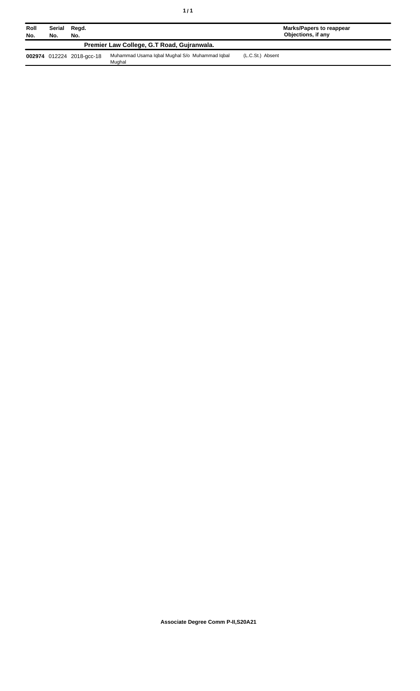| ٠<br>٠ |  |
|--------|--|
|--------|--|

Mughal

| Roll<br>No. | No.                                        | Serial Regd.<br>No.       |                                                | Marks/Papers to reappear<br>Objections, if any |  |
|-------------|--------------------------------------------|---------------------------|------------------------------------------------|------------------------------------------------|--|
|             | Premier Law College, G.T Road, Guiranwala. |                           |                                                |                                                |  |
|             |                                            | 002974 012224 2018-acc-18 | Muhammad Usama Iqbal Muqhal S/o Muhammad Iqbal | (L.C.St.) Absent                               |  |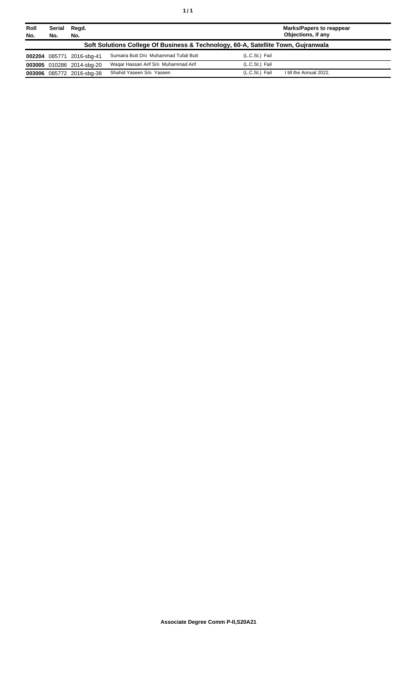| Roll<br>No. | Serial<br>Regd.<br>No.<br>No. |                           |                                                                                   | <b>Marks/Papers to reappear</b><br>Objections, if any |                         |  |
|-------------|-------------------------------|---------------------------|-----------------------------------------------------------------------------------|-------------------------------------------------------|-------------------------|--|
|             |                               |                           | Soft Solutions College Of Business & Technology, 60-A, Satellite Town, Gujranwala |                                                       |                         |  |
|             |                               | 002204 085771 2016-sbg-41 | Sumaira Butt D/o Muhammad Tufail Butt                                             | (L.C.St.) Fail                                        |                         |  |
|             |                               | 003005 010286 2014-sbg-20 | Wagar Hassan Arif S/o Muhammad Arif                                               | (L.C.St.) Fail                                        |                         |  |
|             |                               | 003006 085772 2016-sbg-38 | Shahid Yaseen S/o Yaseen                                                          | (L.C.St.) Fail                                        | I till the Annual 2022. |  |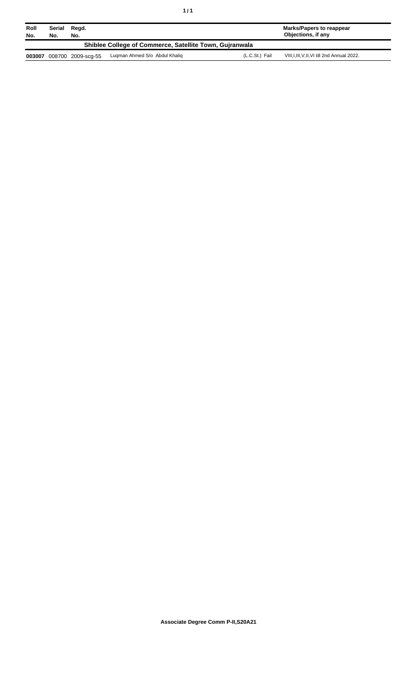| Roll<br>No.                                             | Serial<br>No. | Regd.<br>No.       |                               |                | Marks/Papers to reappear<br>Objections, if any |
|---------------------------------------------------------|---------------|--------------------|-------------------------------|----------------|------------------------------------------------|
| Shiblee College of Commerce, Satellite Town, Guiranwala |               |                    |                               |                |                                                |
| 003007                                                  |               | 008700 2009-scg-55 | Lugman Ahmed S/o Abdul Khalig | (L.C.St.) Fail | VIII, I, III, V, II, VI till 2nd Annual 2022.  |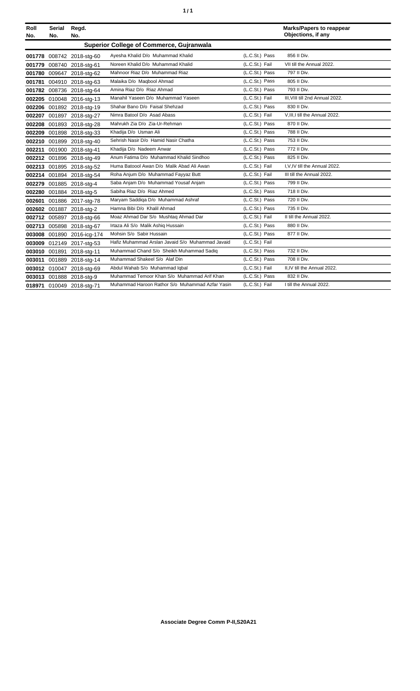|  | ٠ |
|--|---|
|  |   |

| Roll<br>No. | Serial<br>No. | Regd.<br>No.               |                                                  |                | <b>Marks/Papers to reappear</b><br>Objections, if any |
|-------------|---------------|----------------------------|--------------------------------------------------|----------------|-------------------------------------------------------|
|             |               |                            | <b>Superior College of Commerce, Gujranwala</b>  |                |                                                       |
|             |               | 001778 008742 2018-stg-60  | Ayesha Khalid D/o Muhammad Khalid                | (L.C.St.) Pass | 856 II Div.                                           |
|             |               | 001779 008740 2018-stg-61  | Noreen Khalid D/o Muhammad Khalid                | (L.C.St.) Fail | VII till the Annual 2022.                             |
|             |               | 001780 009647 2018-stg-62  | Mahnoor Riaz D/o Muhammad Riaz                   | (L.C.St.) Pass | 797 II Div.                                           |
|             |               | 001781 004910 2018-stg-63  | Malaika D/o Maqbool Ahmad                        | (L.C.St.) Pass | 805 II Div.                                           |
|             |               | 001782 008736 2018-stg-64  | Amina Riaz D/o Riaz Ahmad                        | (L.C.St.) Pass | 793 II Div.                                           |
|             |               | 002205 010048 2016-stg-13  | Manahil Yaseen D/o Muhammad Yaseen               | (L.C.St.) Fail | III. VIII till 2nd Annual 2022.                       |
|             |               | 002206 001892 2018-stg-19  | Shahar Bano D/o Faisal Shehzad                   | (L.C.St.) Pass | 830 II Div.                                           |
|             |               | 002207 001897 2018-stg-27  | Nimra Batool D/o Asad Abass                      | (L.C.St.) Fail | V, III, I till the Annual 2022.                       |
|             |               | 002208 001893 2018-stg-28  | Mahrukh Zia D/o Zia-Ur-Rehman                    | (L.C.St.) Pass | 870 II Div.                                           |
|             |               | 002209 001898 2018-stg-33  | Khadija D/o Usman Ali                            | (L.C.St.) Pass | 788 II Div.                                           |
|             |               | 002210 001899 2018-stg-40  | Sehrish Nasir D/o Hamid Nasir Chatha             | (L.C.St.) Pass | 753 II Div.                                           |
|             |               | 002211 001900 2018-stg-41  | Khadija D/o Nadeem Anwar                         | (L.C.St.) Pass | 772 II Div.                                           |
|             |               | 002212 001896 2018-stg-49  | Anum Fatima D/o Muhammad Khalid Sindhoo          | (L.C.St.) Pass | 825 II Div.                                           |
|             |               | 002213 001895 2018-stg-52  | Huma Batoool Awan D/o Malik Abad Ali Awan        | (L.C.St.) Fail | I, V, IV till the Annual 2022.                        |
|             |               | 002214 001894 2018-stg-54  | Roha Anjum D/o Muhammad Fayyaz Butt              | (L.C.St.) Fail | III till the Annual 2022.                             |
|             |               | 002279 001885 2018-stg-4   | Saba Anjam D/o Muhammad Yousaf Anjam             | (L.C.St.) Pass | 799 II Div.                                           |
|             |               | 002280 001884 2018-stg-5   | Sabiha Riaz D/o Riaz Ahmed                       | (L.C.St.) Pass | 718 II Div.                                           |
|             |               | 002601 001886 2017-stg-78  | Maryam Saddiga D/o Muhammad Ashraf               | (L.C.St.) Pass | 720 II Div.                                           |
|             |               | 002602 001887 2018-stg-2   | Hamna Bibi D/o Khalil Ahmad                      | (L.C.St.) Pass | 735 II Div.                                           |
|             |               | 002712 005897 2018-stg-66  | Moaz Ahmad Dar S/o Mushtag Ahmad Dar             | (L.C.St.) Fail | II till the Annual 2022.                              |
|             |               | 002713 005898 2018-stg-67  | Irtaza Ali S/o Malik Ashiq Hussain               | (L.C.St.) Pass | 880 II Div.                                           |
|             |               | 003008 001890 2016-icg-174 | Mohsin S/o Sabir Hussain                         | (L.C.St.) Pass | 877 II Div.                                           |
|             |               | 003009 012149 2017-stg-53  | Hafiz Muhammad Arslan Javaid S/o Muhammad Javaid | (L.C.St.) Fail |                                                       |
|             |               | 003010 001891 2018-stg-11  | Muhammad Chand S/o Sheikh Muhammad Sadig         | (L.C.St.) Pass | 732 II Div.                                           |
|             |               | 003011 001889 2018-stg-14  | Muhammad Shakeel S/o Alaf Din                    | (L.C.St.) Pass | 708 II Div.                                           |
|             |               | 003012 010047 2018-stg-69  | Abdul Wahab S/o Muhammad Iqbal                   | (L.C.St.) Fail | II,IV till the Annual 2022.                           |
|             |               | 003013 001888 2018-stg-9   | Muhammad Temoor Khan S/o Muhammad Arif Khan      | (L.C.St.) Pass | 832 II Div.                                           |
|             |               | 018971 010049 2018-stg-71  | Muhammad Haroon Rathor S/o Muhammad Azfar Yasin  | (L.C.St.) Fail | I till the Annual 2022.                               |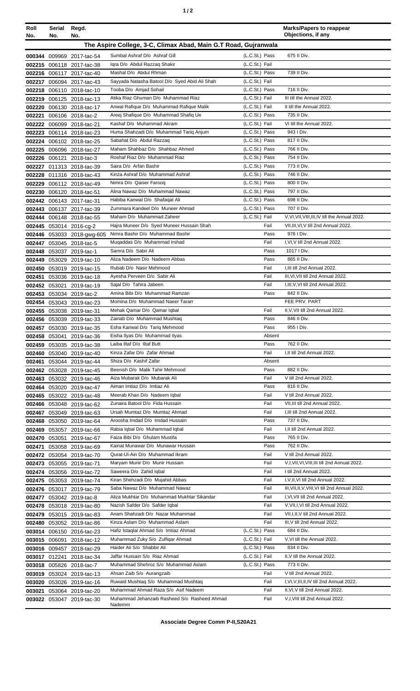| ٠ |  |
|---|--|
|   |  |

| Roll<br>No.   | Serial Regd.<br>No. | No.                                                    |                                                                                   |                                  | <b>Marks/Papers to reappear</b><br>Objections, if any                   |
|---------------|---------------------|--------------------------------------------------------|-----------------------------------------------------------------------------------|----------------------------------|-------------------------------------------------------------------------|
|               |                     |                                                        | The Aspire College, 3-C, Climax Abad, Main G.T Road, Gujranwala                   |                                  |                                                                         |
|               |                     | 000344 009969 2017-tac-54                              | Sumbal Ashraf D/o Ashraf Gill                                                     | (L.C.St.) Pass                   | 675 II Div.                                                             |
|               |                     | 002215 006118 2017-tac-38                              | Igra D/o Abdul Razzag Shakir                                                      | (L.C.St.) Fail                   |                                                                         |
|               |                     | 002216 006117 2017-tac-40                              | Mashal D/o Abdul Rhman                                                            | (L.C.St.) Pass                   | 739 II Div.                                                             |
|               |                     | 002217 006094 2017-tac-43                              | Sayyada Natasha Batool D/o Syed Abid Ali Shah                                     | (L.C.St.) Fail                   |                                                                         |
|               |                     | 002218 006110 2018-tac-10                              | Tooba D/o Amjad Sohail                                                            | (L.C.St.) Pass                   | 716 II Div.                                                             |
|               |                     | 002219 006125 2018-tac-13                              | Atika Riaz Ghuman D/o Muhammad Riaz                                               | (L.C.St.) Fail                   | III till the Annual 2022.                                               |
|               |                     | 002220 006130 2018-tac-17                              | Anwal Rafique D/o Muhammad Rafique Malik<br>Areej Shafique D/o Muhammad Shafiq Ue | (L.C.St.) Fail<br>(L.C.St.) Pass | II till the Annual 2022.<br>735 II Div.                                 |
| 002221        |                     | 006106 2018-tac-2<br>002222 006099 2018-tac-21         | Kashaf D/o Muhammad Akram                                                         | (L.C.St.) Fail                   | VI till the Annual 2022.                                                |
|               |                     | 002223 006114 2018-tac-23                              | Huma Shahzadi D/o Muhammad Tariq Anjum                                            | (L.C.St.) Pass                   | 943 I Div.                                                              |
|               |                     | 002224 006102 2018-tac-25                              | Sabahat D/o Abdul Razzaq                                                          | (L.C.St.) Pass                   | 817 II Div.                                                             |
|               |                     | 002225 006096 2018-tac-27                              | Maham Shahbaz D/o Shahbaz Ahmed                                                   | (L.C.St.) Pass                   | 766 II Div.                                                             |
|               |                     | 002226 006121 2018-tac-3                               | Roshaf Riaz D/o Muhammad Riaz                                                     | (L.C.St.) Pass                   | 754 II Div.                                                             |
|               |                     | 002227 011313 2018-tac-39                              | Saira D/o Arfan Bashir                                                            | (L.C.St.) Pass                   | 773 II Div.                                                             |
|               |                     | 002228 011316 2018-tac-43                              | Kinza Ashraf D/o Muhammad Ashraf                                                  | (L.C.St.) Pass                   | 746 II Div.                                                             |
|               |                     | 002229 006112 2018-tac-49                              | Nimra D/o Qaiser Faroog<br>Alina Nawaz D/o Muhammad Nawaz                         | (L.C.St.) Pass<br>(L.C.St.) Pass | 800 II Div.<br>797 II Div.                                              |
|               |                     | 002230 006120 2018-tac-51<br>002442 006143 2017-tac-31 | Habiba Kanwal D/o Shafaqat Ali                                                    | (L.C.St.) Pass                   | 698 II Div.                                                             |
|               |                     | 002443 006137 2017-tac-39                              | Zummara Kandeel D/o Muneer Ahmad                                                  | (L.C.St.) Pass                   | 707 II Div.                                                             |
|               |                     | 002444 006148 2018-tac-55                              | Maham D/o Muhammad Zaheer                                                         | (L.C.St.) Fail                   | V, VI, VII, VIII, III, IV till the Annual 2022.                         |
|               |                     | 002445 053014 2016-cg-2                                | Hajra Muneer D/o Syed Muneer Hussain Shah                                         | Fail                             | VII, III, VI, V till 2nd Annual 2022.                                   |
|               |                     | 002446 053033 2018-gwg-605                             | Nimra Bashir D/o Muhammad Bashir                                                  | Pass                             | 976 I Div.                                                              |
|               |                     | 002447 053045 2018-tac-5                               | Mugaddas D/o Muhammad Irshad                                                      | Fail                             | I, VI, V till 2nd Annual 2022.                                          |
|               |                     | 002448 053037 2019-tac-1                               | Samra D/o Sabir Ali                                                               | Pass                             | 1017   Div.                                                             |
|               |                     | 002449 053029 2019-tac-10                              | Aliza Nadeem D/o Nadeem Abbas                                                     | Pass                             | 865 II Div.                                                             |
|               |                     | 002450 053019 2019-tac-15                              | Rubab D/o Nasir Mehmood<br>Ayesha Perveen D/o Sabir Ali                           | Fail<br>Fail                     | I, III till 2nd Annual 2022.<br>III, VI, VII till 2nd Annual 2022.      |
|               |                     | 002451 053036 2019-tac-18<br>002452 053021 2019-tac-19 | Sajal D/o Tahira Jabeen                                                           | Fail                             | I, III, V, VI till 2nd Annual 2022.                                     |
|               |                     | 002453 053034 2019-tac-2                               | Amina Bibi D/o Muhammad Ramzan                                                    | Pass                             | 842 II Div.                                                             |
|               |                     | 002454 053043 2019-tac-23                              | Momina D/o Muhammad Naeer Tararr                                                  |                                  | FEE PRV. PART                                                           |
|               |                     | 002455 053038 2019-tac-31                              | Mehak Qamar D/o Qamar Iqbal                                                       | Fail                             | II, V, VII till 2nd Annual 2022.                                        |
|               |                     | 002456 053039 2019-tac-33                              | Zainab D/o Muhammad Mushtaq                                                       | Pass                             | 846 II Div.                                                             |
|               |                     | 002457 053030 2019-tac-35                              | Esha Kanwal D/o Tariq Mehmood                                                     | Pass                             | 955 I Div.                                                              |
|               |                     | 002458 053041 2019-tac-36                              | Eisha Ilyas D/o Muhammad Ilyas                                                    | Absent                           |                                                                         |
|               |                     | 002459 053035 2019-tac-38                              | Laiba Iltaf D/o Iltaf Butt<br>Kinza Zafar D/o Zafar Ahmad                         | Pass<br>Fail                     | 762 II Div.<br>I, II till 2nd Annual 2022.                              |
|               |                     | 002460 053040 2019-tac-40<br>002461 053044 2019-tac-44 | Shiza D/o Kashif Zafar                                                            | Absent                           |                                                                         |
|               |                     | 002462 053028 2019-tac-45                              | Beenish D/o Malik Tahir Mehmood                                                   | Pass                             | 882 II Div.                                                             |
|               |                     | 002463 053032 2019-tac-46                              | Aiza Mubarak D/o Mubarak Ali                                                      | Fail                             | V till 2nd Annual 2022.                                                 |
|               |                     | 002464 053020 2019-tac-47                              | Aiman Imtiaz D/o Imtiaz Ali                                                       | Pass                             | 816 II Div.                                                             |
|               |                     | 002465 053022 2019-tac-48                              | Meerab Khan D/o Nadeem Iqbal                                                      | Fail                             | V till 2nd Annual 2022.                                                 |
|               |                     | 002466 053048 2019-tac-62                              | Zunaira Batool D/o Fida Hussain                                                   | Fail                             | VII, III till 2nd Annual 2022.                                          |
|               |                     | 002467 053049 2019-tac-63                              | Ursah Mumtaz D/o Mumtaz Ahmad                                                     | Fail                             | I, III till 2nd Annual 2022.<br>737 II Div.                             |
|               | 002469 053057       | 002468 053050 2019-tac-64<br>2019-tac-66               | Aroosha Imdad D/o Imdad Hussain<br>Rabia Iqbal D/o Muhammad Iqbal                 | Pass<br>Fail                     | I, II till 2nd Annual 2022.                                             |
| 002470 053051 |                     | 2019-tac-67                                            | Faiza Bibi D/o Ghulam Mustifa                                                     | Pass                             | 765 II Div.                                                             |
|               |                     | 002471 053058 2019-tac-69                              | Kainat Munawar D/o Munawar Hussain                                                | Pass                             | 762 II Div.                                                             |
|               |                     | 002472 053054 2019-tac-70                              | Qurat-Ul-Ain D/o Muhammad Ikram                                                   | Fail                             | V till 2nd Annual 2022.                                                 |
|               |                     | 002473 053055 2019-tac-71                              | Maryam Munir D/o Munir Hussain                                                    | Fail                             | V,I, VII, VI, VIII, III till 2nd Annual 2022.                           |
|               |                     | 002474 053056 2019-tac-72                              | Saweera D/o Zahid Iqbal                                                           | Fail                             | I till 2nd Annual 2022.                                                 |
|               |                     | 002475 053053 2019-tac-74                              | Kiran Shehzadi D/o Mujahid Abbas                                                  | Fail                             | I, V, II, VI till 2nd Annual 2022.                                      |
|               |                     | 002476 053017 2019-tac-79                              | Saba Nawaz D/o Muhammad Nawaz<br>Aliza Mukhtar D/o Muhammad Mukhtar Sikandar      | Fail                             | III, VII, II, V, VIII, VI till 2nd Annual 2022.                         |
|               |                     | 002477 053042 2019-tac-8<br>002478 053018 2019-tac-80  | Nazish Safder D/o Safder Iqbal                                                    | Fail<br>Fail                     | I, VI, VII till 2nd Annual 2022.<br>V, VII, I, VI till 2nd Annual 2022. |
|               |                     | 002479 053015 2019-tac-83                              | Anam Shahzadi D/o Nazar Muhammad                                                  | Fail                             | VII, I, II, V till 2nd Annual 2022.                                     |
| 002480        |                     | 053052 2019-tac-86                                     | Kinza Aslam D/o Muhammad Aslam                                                    | Fail                             | III, V till 2nd Annual 2022.                                            |
|               |                     | 003014 006150 2016-tac-23                              | Hafiz Istaqlal Ahmad S/o Imtiaz Ahmad                                             | (L.C.St.) Pass                   | 684 II Div.                                                             |
|               | 003015 006091       | 2018-tac-12                                            | Muhammad Zuky S/o Zulfigar Ahmad                                                  | (L.C.St.) Fail                   | V, VI till the Annual 2022.                                             |
|               |                     | 003016 009457 2018-tac-29                              | Haider Ali S/o Shabbir Ali                                                        | (L.C.St.) Pass                   | 834 II Div.                                                             |
|               |                     | 003017 012241 2018-tac-34                              | Jaffar Hussain S/o Riaz Ahmad                                                     | (L.C.St.) Fail                   | II.V till the Annual 2022.                                              |
|               |                     | 003018 005826 2018-tac-7                               | Muhammad Shehroz S/o Muhammad Aslam                                               | (L.C.St.) Pass                   | 773 II Div.                                                             |
|               |                     | 003019 053024 2019-tac-13                              | Ahsan Zaib S/o Aurangzaib                                                         | Fail<br>Fail                     | V till 2nd Annual 2022.<br>I, VI, V, III, II, IV till 2nd Annual 2022.  |
|               |                     | 003020 053026 2019-tac-16                              | Ruwaid Mushtaq S/o Muhammad Mushtaq<br>Muhammad Ahmad Raza S/o Asif Nadeem        | Fail                             | II, VI, V till 2nd Annual 2022.                                         |
| 003021        |                     | 053064 2019-tac-20<br>003022 053047 2019-tac-30        | Muhammad Jehanzaib Rasheed S/o Rasheed Ahmad                                      | Fail                             | V,I, VIII till 2nd Annual 2022.                                         |
|               |                     |                                                        | Nademm                                                                            |                                  |                                                                         |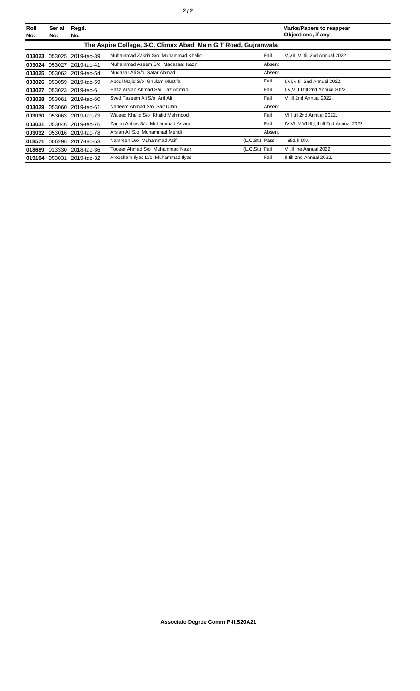| Roll<br>No. | Serial<br>No.                                                   | Regd.<br>No.              |                                     |                | <b>Marks/Papers to reappear</b><br>Objections, if any |  |  |  |
|-------------|-----------------------------------------------------------------|---------------------------|-------------------------------------|----------------|-------------------------------------------------------|--|--|--|
|             | The Aspire College, 3-C, Climax Abad, Main G.T Road, Gujranwala |                           |                                     |                |                                                       |  |  |  |
| 003023      | 053025                                                          | 2019-tac-39               | Muhammad Zakria S/o Muhammad Khalid | Fail           | V, VIII, VI till 2nd Annual 2022.                     |  |  |  |
| 003024      | 053027                                                          | 2019-tac-41               | Muhammad Azeem S/o Madassar Nazir   | Absent         |                                                       |  |  |  |
| 003025      | 053062                                                          | 2019-tac-54               | Mudasar Ali S/o Satar Ahmad         | Absent         |                                                       |  |  |  |
|             | 003026 053059                                                   | 2019-tac-59               | Abdul Majid S/o Ghulam Mustifa      | Fail           | I, VI, V till 2nd Annual 2022.                        |  |  |  |
| 003027      | 053023                                                          | 2019-tac-6                | Hafiz Arslan Ahmad S/o ljaz Ahmad   | Fail           | I, V, VI, III till 2nd Annual 2022.                   |  |  |  |
| 003028      | 053061                                                          | 2019-tac-60               | Syed Tazeem Ali S/o Arif Ali        | Fail           | V till 2nd Annual 2022.                               |  |  |  |
| 003029      |                                                                 | 053060 2019-tac-61        | Nadeem Ahmad S/o Saif Ullah         | Absent         |                                                       |  |  |  |
| 003030      | 053063                                                          | 2019-tac-73               | Waleed Khalid S/o Khalid Mehmood    | Fail           | VI.I till 2nd Annual 2022.                            |  |  |  |
| 003031      | 053046                                                          | 2019-tac-76               | Zagim Abbas S/o Muhammad Aslam      | Fail           | IV, VII, V, VI, III, I, II till 2nd Annual 2022.      |  |  |  |
| 003032      |                                                                 | 053016 2019-tac-78        | Arslan Ali S/o Muhammad Mehdi       | Absent         |                                                       |  |  |  |
| 018571      | 006296                                                          | 2017-tac-53               | Namreen D/o Muhammad Asif           | (L.C.St.) Pass | 851 II Div.                                           |  |  |  |
| 018689      | 013330                                                          | 2018-tac-36               | Togeer Ahmad S/o Muhammad Nazir     | (L.C.St.) Fail | V till the Annual 2022.                               |  |  |  |
|             |                                                                 | 019104 053031 2019-tac-32 | Aroosham Ilyas D/o Muhammad Ilyas   | Fail           | II till 2nd Annual 2022.                              |  |  |  |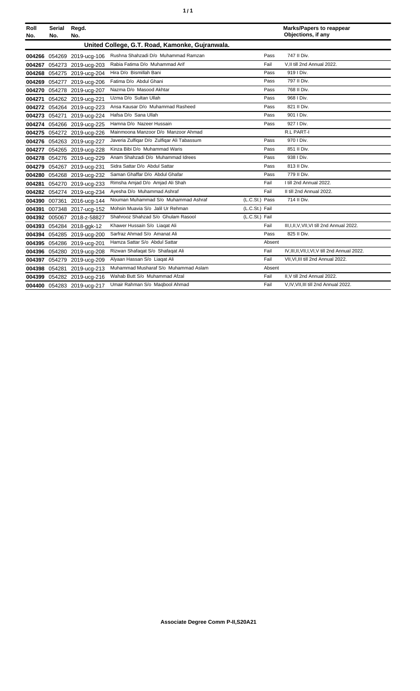| ٠<br>۰. |
|---------|
|---------|

| Roll<br>No. | <b>Serial</b><br>No. | Regd.<br>No.               |                                                 |                |        | <b>Marks/Papers to reappear</b><br>Objections, if any |
|-------------|----------------------|----------------------------|-------------------------------------------------|----------------|--------|-------------------------------------------------------|
|             |                      |                            | United College, G.T. Road, Kamonke, Gujranwala. |                |        |                                                       |
|             |                      | 004266 054269 2019-ucg-106 | Rushna Shahzadi D/o Muhammad Ramzan             |                | Pass   | 747 II Div.                                           |
| 004267      | 054273               | 2019-ucg-203               | Rabia Fatima D/o Muhammad Arif                  |                | Fail   | V, II till 2nd Annual 2022.                           |
| 004268      |                      | 054275 2019-ucg-204        | Hira D/o Bismillah Bani                         |                | Pass   | 919   Div.                                            |
| 004269      | 054277               | 2019-ucg-206               | Fatima D/o Abdul Ghani                          |                | Pass   | 797 II Div.                                           |
| 004270      |                      | 054278 2019-ucg-207        | Nazma D/o Masood Akhtar                         |                | Pass   | 768 II Div.                                           |
| 004271      |                      | 054262 2019-ucg-221        | Uzma D/o Sultan Ullah                           |                | Pass   | 968   Div.                                            |
|             |                      | 004272 054264 2019-ucg-223 | Ansa Kausar D/o Muhammad Rasheed                |                | Pass   | 821 II Div.                                           |
|             | 004273 054271        | 2019-ucg-224               | Hafsa D/o Sana Ullah                            |                | Pass   | 901   Div.                                            |
| 004274      |                      | 054266 2019-ucg-225        | Hamna D/o Nazeer Hussain                        |                | Pass   | 927   Div.                                            |
|             |                      | 004275 054272 2019-ucg-226 | Mainmoona Manzoor D/o Manzoor Ahmad             |                |        | <b>R.L PART-I</b>                                     |
|             |                      | 004276 054263 2019-ucg-227 | Javeria Zulfiqar D/o Zulfiqar Ali Tabassum      |                | Pass   | 970   Div.                                            |
| 004277      |                      | 054265 2019-ucg-228        | Kinza Bibi D/o Muhammad Waris                   |                | Pass   | 851 II Div.                                           |
| 004278      |                      | 054276 2019-ucg-229        | Anam Shahzadi D/o Muhammad Idrees               |                | Pass   | 938   Div.                                            |
| 004279      |                      | 054267 2019-ucg-231        | Sidra Sattar D/o Abdul Sattar                   |                | Pass   | 813 II Div.                                           |
| 004280      |                      | 054268 2019-ucg-232        | Saman Ghaffar D/o Abdul Ghafar                  |                | Pass   | 779 II Div.                                           |
| 004281      |                      | 054270 2019-ucg-233        | Rimsha Amjad D/o Amjad Ali Shah                 |                | Fail   | I till 2nd Annual 2022.                               |
| 004282      |                      | 054274 2019-ucg-234        | Ayesha D/o Muhammad Ashraf                      |                | Fail   | II till 2nd Annual 2022.                              |
| 004390      | 007361               | 2016-ucg-144               | Nouman Muhammad S/o Muhammad Ashraf             | (L.C.St.) Pass |        | 714 II Div.                                           |
| 004391      |                      | 007348 2017-ucg-152        | Mohsin Muavia S/o Jalil Ur Rehman               | (L.C.St.) Fail |        |                                                       |
|             |                      | 004392 005067 2018-z-58827 | Shahrooz Shahzad S/o Ghulam Rasool              | (L.C.St.) Fail |        |                                                       |
|             |                      | 004393 054284 2018-ggk-12  | Khawer Hussain S/o Liagat Ali                   |                | Fail   | III, I, II, V, VII, VI till 2nd Annual 2022.          |
| 004394      |                      | 054285 2019-ucg-200        | Sarfraz Ahmad S/o Amanat Ali                    |                | Pass   | 825 II Div.                                           |
| 004395      | 054286               | 2019-ucg-201               | Hamza Sattar S/o Abdul Sattar                   |                | Absent |                                                       |
| 004396      | 054280               | 2019-ucg-208               | Rizwan Shafaqat S/o Shafaqat Ali                |                | Fail   | IV.III.II.VII.I.VI.V till 2nd Annual 2022.            |
| 004397      |                      | 054279 2019-ucg-209        | Alyaan Hassan S/o Liagat Ali                    |                | Fail   | VII, VI, III till 2nd Annual 2022.                    |
| 004398      | 054281               | 2019-ucg-213               | Muhammad Musharaf S/o Muhammad Aslam            |                | Absent |                                                       |
| 004399      |                      | 054282 2019-ucg-216        | Wahab Butt S/o Muhammad Afzal                   |                | Fail   | II, V till 2nd Annual 2022.                           |
| 004400      |                      | 054283 2019-ucg-217        | Umair Rahman S/o Magbool Ahmad                  |                | Fail   | V,IV, VII, III till 2nd Annual 2022.                  |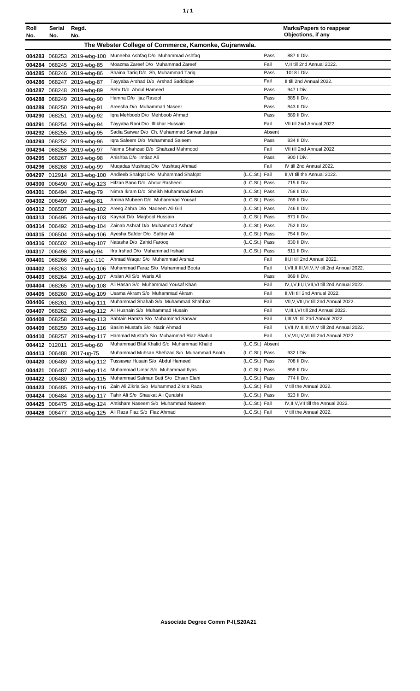| ٦ | ٠ |
|---|---|
|   |   |

| Roll                                                  | <b>Serial</b> | Regd.                      |                                             |                  | <b>Marks/Papers to reappear</b>                  |  |  |  |
|-------------------------------------------------------|---------------|----------------------------|---------------------------------------------|------------------|--------------------------------------------------|--|--|--|
| No.                                                   | No.           | No.                        |                                             |                  | Objections, if any                               |  |  |  |
| The Webster College of Commerce, Kamonke, Gujranwala. |               |                            |                                             |                  |                                                  |  |  |  |
|                                                       |               | 004283 068253 2019-wbg-100 | Muneeba Ashfaq D/o Muhammad Ashfaq          | Pass             | 887 II Div.                                      |  |  |  |
| 004284                                                |               | 068245 2019-wbg-85         | Moazma Zareef D/o Muhammad Zareef           | Fail             | V, II till 2nd Annual 2022.                      |  |  |  |
| 004285                                                |               | 068246 2019-wbg-86         | Shaina Tariq D/o Sh, Muhammad Tariq         | Pass             | 1018   Div.                                      |  |  |  |
| 004286                                                |               | 068247 2019-wbg-87         | Tayyaba Arshad D/o Arshad Saddique          | Fail             | II till 2nd Annual 2022.                         |  |  |  |
| 004287                                                |               | 068248 2019-wbg-89         | Sehr D/o Abdul Hameed                       | Pass             | 947   Div.                                       |  |  |  |
| 004288                                                |               | 068249 2019-wbg-90         | Hamna D/o Ijaz Rasool                       | Pass             | 885 II Div.                                      |  |  |  |
| 004289                                                |               | 068250 2019-wbg-91         | Areesha D/o Muhammad Naseer                 | Pass             | 843 II Div.                                      |  |  |  |
| 004290                                                |               | 068251 2019-wbg-92         | Igra Mehboob D/o Mehboob Ahmad              | Pass             | 889 II Div.                                      |  |  |  |
| 004291                                                |               | 068254 2019-wbg-94         | Tayyaba Rani D/o Iftikhar Hussain           | Fail             | VII till 2nd Annual 2022.                        |  |  |  |
| 004292                                                |               | 068255 2019-wbg-95         | Sadia Sarwar D/o Ch. Muhammad Sarwar Janjua | Absent           |                                                  |  |  |  |
| 004293                                                |               | 068252 2019-wbg-96         | Igra Saleem D/o Muhammad Saleem             | Pass             | 834 II Div.                                      |  |  |  |
| 004294                                                |               | 068256 2019-wbg-97         | Naima Shahzad D/o Shahzad Mahmood           | Fail             | VII till 2nd Annual 2022.                        |  |  |  |
| 004295                                                |               | 068267 2019-wbg-98         | Anishba D/o Imtiaz Ali                      | Pass             | 900 I Div.                                       |  |  |  |
| 004296                                                |               | 068268 2019-wbg-99         | Muqadas Mushtaq D/o Mushtaq Ahmad           | Fail             | IV till 2nd Annual 2022.                         |  |  |  |
| 004297                                                |               | 012914 2013-wbg-100        | Andleeb Shafqat D/o Muhammad Shafqat        | (L.C.St.) Fail   | II, VI till the Annual 2022.                     |  |  |  |
| 004300                                                |               | 006490 2017-wbg-123        | Hifzan Bano D/o Abdur Rasheed               | (L.C.St.) Pass   | 715 II Div.                                      |  |  |  |
| 004301                                                |               | 006494 2017-wbg-79         | Nimra Ikram D/o Sheikh Muhammad Ikram       | (L.C.St.) Pass   | 758 II Div.                                      |  |  |  |
|                                                       |               | 004302 006499 2017-wbg-81  | Amina Mubeen D/o Muhammad Yousaf            | (L.C.St.) Pass   | 769 II Div.                                      |  |  |  |
|                                                       |               | 004312 006507 2018-wbg-102 | Areeg Zahra D/o Nadeem Ali Gill             | (L.C.St.) Pass   | 746 II Div.                                      |  |  |  |
|                                                       |               | 004313 006495 2018-wbg-103 | Kaynat D/o Maqbool Hussain                  | (L.C.St.) Pass   | 871 II Div.                                      |  |  |  |
| 004314                                                |               | 006492 2018-wbg-104        | Zainab Ashraf D/o Muhammad Ashraf           | (L.C.St.) Pass   | 752 II Div.                                      |  |  |  |
|                                                       |               | 004315 006504 2018-wbg-106 | Ayesha Safder D/o Safder Ali                | (L.C.St.) Pass   | 754 II Div.                                      |  |  |  |
| 004316                                                |               | 006502 2018-wbg-107        | Natasha D/o Zahid Farooq                    | (L.C.St.) Pass   | 830 II Div.                                      |  |  |  |
| 004317                                                |               | 006498 2018-wbg-94         | Ifra Irshad D/o Muhammad Irshad             | (L.C.St.) Pass   | 811 II Div.                                      |  |  |  |
| 004401                                                |               | 068266 2017-gcc-110        | Ahmad Waqar S/o Muhammad Arshad             | Fail             | III, II till 2nd Annual 2022.                    |  |  |  |
| 004402                                                |               | 068263 2019-wbg-106        | Muhammad Faraz S/o Muhammad Boota           | Fail             | I, VII, II, III, VI, V, IV till 2nd Annual 2022. |  |  |  |
| 004403                                                |               | 068264 2019-wbg-107        | Arslan Ali S/o Waris Ali                    | Pass             | 869 II Div.                                      |  |  |  |
| 004404                                                |               | 068265 2019-wbg-108        | Ali Hasan S/o Muhammad Yousaf Khan          | Fail             | IV,I,V,III,II,VII,VI till 2nd Annual 2022.       |  |  |  |
| 004405                                                |               | 068260 2019-wbg-109        | Usama Akram S/o Muhammad Akram              | Fail             | II, VII till 2nd Annual 2022.                    |  |  |  |
| 004406                                                | 068261        | 2019-wbg-111               | Muhammad Shahab S/o Muhammad Shahbaz        | Fail             | VII, V, VIII, IV till 2nd Annual 2022.           |  |  |  |
| 004407                                                |               | 068262 2019-wbg-112        | Ali Husnain S/o Muhammad Husain             | Fail             | V, III, I, VI till 2nd Annual 2022.              |  |  |  |
| 004408                                                |               | 068258 2019-wbg-113        | Sabtain Hamza S/o Muhammad Sarwar           | Fail             | I.III.VII till 2nd Annual 2022.                  |  |  |  |
|                                                       |               | 004409 068259 2019-wbg-116 | Basim Mustafa S/o Nazir Ahmad               | Fail             | I, VII, IV, II, III, VI, V till 2nd Annual 2022. |  |  |  |
|                                                       |               | 004410 068257 2019-wbg-117 | Hammad Mustafa S/o Muhammad Riaz Shahid     | Fail             | I, V, VII, IV, VI till 2nd Annual 2022.          |  |  |  |
| 004412                                                | 012011        | 2015-wbg-60                | Muhammad Bilal Khalid S/o Muhammad Khalid   | (L.C.St.) Absent |                                                  |  |  |  |
| 004413                                                |               | 006488 2017-ug-75          | Muhammad Muhsan Shehzad S/o Muhammad Boota  | (L.C.St.) Pass   | 932 I Div.                                       |  |  |  |
| 004420                                                |               | 006489 2018-wbg-112        | Tussawar Husain S/o Abdul Hameed            | (L.C.St.) Pass   | 708 II Div.                                      |  |  |  |
| 004421                                                |               | 006487 2018-wbg-114        | Muhammad Umar S/o Muhammad Ilyas            | (L.C.St.) Pass   | 859 II Div.                                      |  |  |  |
| 004422                                                |               | 006480 2018-wbg-115        | Muhammad Salman Butt S/o Ehsan Elahi        | (L.C.St.) Pass   | 774 II Div.                                      |  |  |  |
| 004423                                                |               | 006485 2018-wbg-116        | Zain Ali Zikria S/o Muhammad Zikria Raza    | (L.C.St.) Fail   | V till the Annual 2022.                          |  |  |  |
| 004424                                                |               | 006484 2018-wbg-117        | Tahir Ali S/o Shaukat Ali Quraishi          | (L.C.St.) Pass   | 823 II Div.                                      |  |  |  |
| 004425                                                |               | 006475 2018-wbg-124        | Ahtisham Naseem S/o Muhammad Naseem         | (L.C.St.) Fail   | IV, II, V, VII till the Annual 2022.             |  |  |  |
|                                                       |               | 004426 006477 2018-wbg-125 | Ali Raza Fiaz S/o Fiaz Ahmad                | (L.C.St.) Fail   | V till the Annual 2022.                          |  |  |  |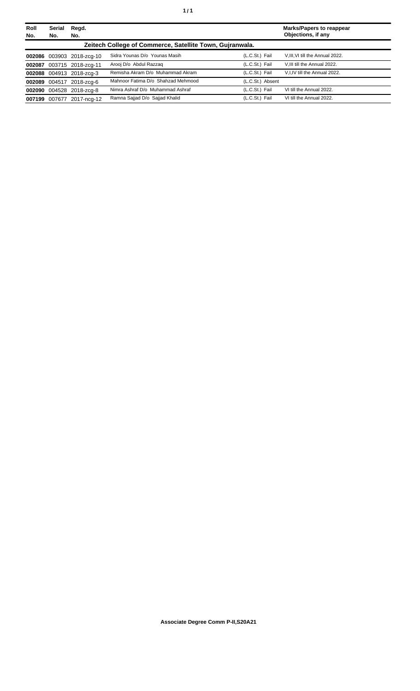| Roll<br>No. | <b>Serial</b><br>No. | Regd.<br>No.              |                                                          |                  | Marks/Papers to reappear<br>Objections, if any |
|-------------|----------------------|---------------------------|----------------------------------------------------------|------------------|------------------------------------------------|
|             |                      |                           | Zeitech College of Commerce, Satellite Town, Guiranwala. |                  |                                                |
|             |                      | 002086 003903 2018-zcg-10 | Sidra Younas D/o Younas Masih                            | (L.C.St.) Fail   | V, III, VI till the Annual 2022.               |
|             |                      | 002087 003715 2018-zcg-11 | Arooi D/o Abdul Razzaq                                   | (L.C.St.) Fail   | V.III till the Annual 2022.                    |
|             |                      | 002088 004913 2018-zcg-3  | Remisha Akram D/o Muhammad Akram                         | (L.C.St.) Fail   | V.I.IV till the Annual 2022.                   |
|             |                      | 002089 004517 2018-zcg-6  | Mahnoor Fatima D/o Shahzad Mehmood                       | (L.C.St.) Absent |                                                |
|             |                      | 002090 004528 2018-zcg-8  | Nimra Ashraf D/o Muhammad Ashraf                         | (L.C.St.) Fail   | VI till the Annual 2022.                       |
|             | 007199 007677        | 2017-ncg-12               | Ramna Sajjad D/o Sajjad Khalid                           | (L.C.St.) Fail   | VI till the Annual 2022.                       |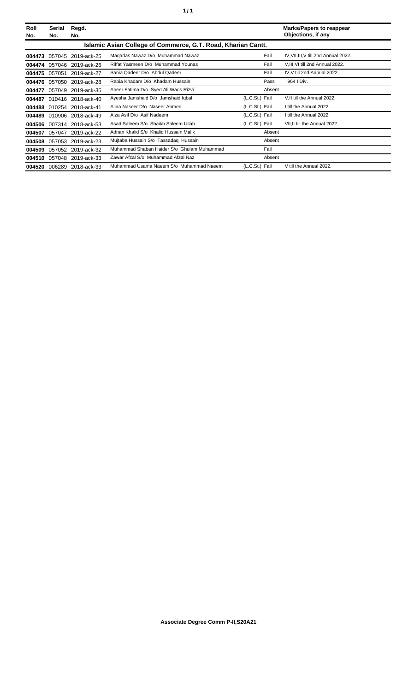| Roll<br>No. | Serial<br>No.                                                | Regd.<br>No.              |                                            |                |        | <b>Marks/Papers to reappear</b><br>Objections, if any |  |  |
|-------------|--------------------------------------------------------------|---------------------------|--------------------------------------------|----------------|--------|-------------------------------------------------------|--|--|
|             | Islamic Asian College of Commerce, G.T. Road, Kharian Cantt. |                           |                                            |                |        |                                                       |  |  |
| 004473      | 057045                                                       | 2019-ack-25               | Magadas Nawaz D/o Muhammad Nawaz           |                | Fail   | IV, VII, III, V till 2nd Annual 2022.                 |  |  |
|             |                                                              | 004474 057046 2019-ack-26 | Riffat Yasmeen D/o Muhammad Younas         |                | Fail   | V, III, VI till 2nd Annual 2022.                      |  |  |
|             | 004475 057051                                                | 2019-ack-27               | Sania Qadeer D/o Abdul Qadeer              |                | Fail   | IV, V till 2nd Annual 2022.                           |  |  |
|             | 004476 057050                                                | 2019-ack-28               | Rabia Khadam D/o Khadam Hussain            |                | Pass   | 964   Div.                                            |  |  |
| 004477      | 057049                                                       | 2019-ack-35               | Abeer Fatima D/o Syed Ali Waris Rizvi      |                | Absent |                                                       |  |  |
| 004487      |                                                              | 010416 2018-ack-40        | Ayesha Jamshaid D/o Jamshaid Iqbal         | (L.C.St.) Fail |        | V.II till the Annual 2022.                            |  |  |
|             |                                                              | 004488 010254 2018-ack-41 | Alina Naseer D/o Naseer Ahmed              | (L.C.St.) Fail |        | I till the Annual 2022.                               |  |  |
|             |                                                              | 004489 010906 2018-ack-49 | Aiza Asif D/o Asif Nadeem                  | (L.C.St.) Fail |        | I till the Annual 2022.                               |  |  |
|             |                                                              | 004506 007314 2018-ack-53 | Asad Saleem S/o Shaikh Saleem Ullah        | (L.C.St.) Fail |        | VII, II till the Annual 2022.                         |  |  |
| 004507      | 057047                                                       | 2019-ack-22               | Adnan Khalid S/o Khalid Hussain Malik      |                | Absent |                                                       |  |  |
|             |                                                              | 004508 057053 2019-ack-23 | Mujtaba Hussain S/o Tassadag Hussain       |                | Absent |                                                       |  |  |
| 004509      |                                                              | 057052 2019-ack-32        | Muhammad Shaban Haider S/o Ghulam Muhammad |                | Fail   |                                                       |  |  |
| 004510      |                                                              | 057048 2019-ack-33        | Zawar Afzal S/o Muhammad Afzal Naz         |                | Absent |                                                       |  |  |
|             |                                                              | 004520 006289 2018-ack-33 | Muhammad Usama Naeem S/o Muhammad Naeem    | (L.C.St.) Fail |        | V till the Annual 2022.                               |  |  |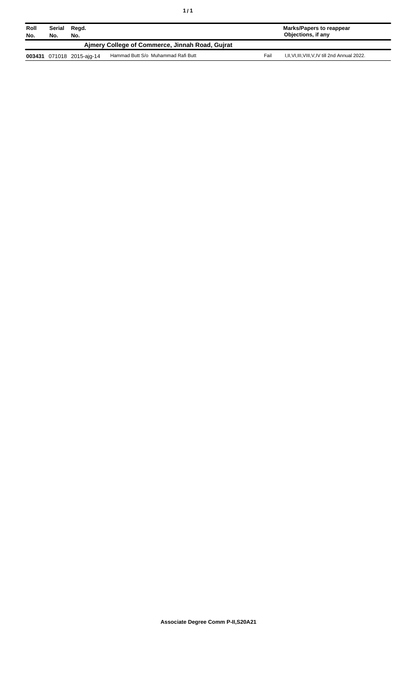| Roll<br>No.                                     | Serial<br>No. | Regd.<br>No.              |                                    |      | Marks/Papers to reappear<br>Objections, if any    |  |  |
|-------------------------------------------------|---------------|---------------------------|------------------------------------|------|---------------------------------------------------|--|--|
| Aimery College of Commerce, Jinnah Road, Guirat |               |                           |                                    |      |                                                   |  |  |
|                                                 |               | 003431 071018 2015-aig-14 | Hammad Butt S/o Muhammad Rafi Butt | Fail | I, II, VI, III, VIII, V, IV till 2nd Annual 2022. |  |  |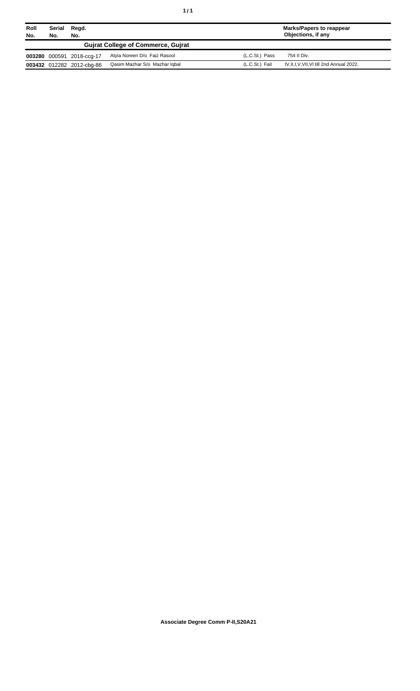| Roll<br>No. | Serial<br>No. | Regd.<br>No.              |                                           |                | <b>Marks/Papers to reappear</b><br>Objections, if any |
|-------------|---------------|---------------------------|-------------------------------------------|----------------|-------------------------------------------------------|
|             |               |                           | <b>Guirat College of Commerce, Guirat</b> |                |                                                       |
|             |               | 003280 000591 2018-ccg-17 | Atyia Noreen D/o Faiz Rasool              | (L.C.St.) Pass | 754 II Div.                                           |
|             |               | 003432 012282 2012-cbg-86 | Qasim Mazhar S/o Mazhar Igbal             | (L.C.St.) Fail | IV, II, I, V, VII, VI till 2nd Annual 2022.           |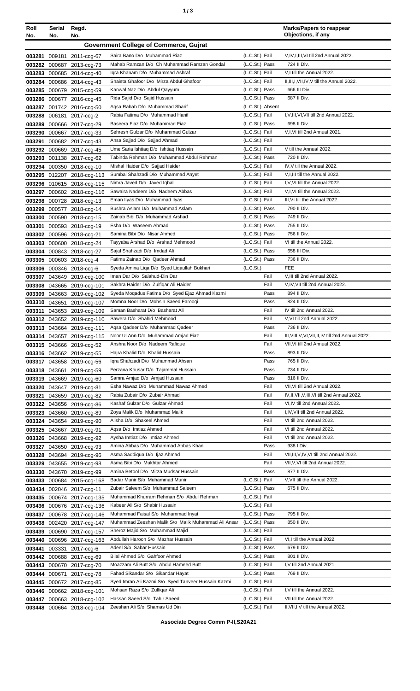| I<br>×<br>۰. |
|--------------|
|--------------|

| Roll<br>No. | Serial<br>No. | Regd.<br>No.                                           |                                                                                   |                                  | <b>Marks/Papers to reappear</b><br>Objections, if any  |
|-------------|---------------|--------------------------------------------------------|-----------------------------------------------------------------------------------|----------------------------------|--------------------------------------------------------|
|             |               |                                                        | <b>Government College of Commerce, Gujrat</b>                                     |                                  |                                                        |
|             |               |                                                        |                                                                                   |                                  |                                                        |
|             |               | 003281 009181 2011-ccg-67                              | Saira Bano D/o Muhammad Riaz<br>Mahab Ramzan D/o Ch Muhammad Ramzan Gondal        | (L.C.St.) Fail<br>(L.C.St.) Pass | V, IV, I, III, VI till 2nd Annual 2022.<br>724 II Div. |
|             |               | 003282 000687 2013-ccg-73<br>003283 000685 2014-ccg-40 | Igra Khanam D/o Muhammad Ashraf                                                   | (L.C.St.) Fail                   | V.I till the Annual 2022.                              |
|             |               | 003284 000686 2014-ccg-43                              | Shaista Ghafoor D/o Mirza Abdul Ghafoor                                           | (L.C.St.) Fail                   | II, III, I, VII, IV, V till the Annual 2022.           |
|             |               | 003285 000679 2015-ccg-59                              | Kanwal Naz D/o Abdul Qayyum                                                       | (L.C.St.) Pass                   | 666 III Div.                                           |
|             |               | 003286 000677 2016-ccg-45                              | Rida Sajid D/o Sajid Hussain                                                      | (L.C.St.) Pass                   | 687 II Div.                                            |
|             |               | 003287 001742 2016-ccg-50                              | Aqsa Rabab D/o Muhammad Sharif                                                    | (L.C.St.) Absent                 |                                                        |
|             |               | 003288 006181 2017-ccg-2                               | Rabia Fatima D/o Muhammad Hanif                                                   | (L.C.St.) Fail                   | I.V.III.VI.VII till 2nd Annual 2022.                   |
| 003289      |               | 000666 2017-ccg-29                                     | Baseera Fiaz D/o Muhammad Fiaz                                                    | (L.C.St.) Pass                   | 698 II Div.                                            |
| 003290      |               | 000667 2017-ccg-33                                     | Sehresh Gulzar D/o Muhammad Gulzar                                                | (L.C.St.) Fail                   | V,I, VI till 2nd Annual 2021.                          |
| 003291      |               | 000682 2017-ccg-43                                     | Ansa Sajjad D/o Sajjad Ahmad                                                      | (L.C.St.) Fail                   | V till the Annual 2022.                                |
|             |               | 003292 000669 2017-ccg-45                              | Ume Saria Ishtiaq D/o Ishtiaq Hussain<br>Tabinda Rehman D/o Muhammad Abdul Rehman | (L.C.St.) Fail<br>(L.C.St.) Pass | 720 II Div.                                            |
|             |               | 003293 001138 2017-ccg-62<br>003294 000350 2018-ccg-10 | Mishal Haider D/o Sajjad Haider                                                   | (L.C.St.) Fail                   | IV, V till the Annual 2022.                            |
|             |               | 003295 012207 2018-ccg-113                             | Sumbal Shahzadi D/o Muhammad Anyet                                                | (L.C.St.) Fail                   | V, I, III till the Annual 2022.                        |
|             |               | 003296 010615 2018-ccq-115                             | Nimra Javed D/o Javed Iqbal                                                       | (L.C.St.) Fail                   | I, V, VI till the Annual 2022.                         |
|             |               | 003297 000602 2018-ccg-116                             | Sawaira Nadeem D/o Nadeem Abbas                                                   | (L.C.St.) Fail                   | V.I.VI till the Annual 2022.                           |
| 003298      |               | 000728 2018-ccg-13                                     | Eman Ilyas D/o Muhammad Ilyas                                                     | (L.C.St.) Fail                   | III, VI till the Annual 2022.                          |
| 003299      |               | 000577 2018-ccg-14                                     | Bushra Aslam D/o Muhammad Aslam                                                   | (L.C.St.) Pass                   | 790 II Div.                                            |
| 003300      |               | 000590 2018-ccg-15                                     | Zainab Bibi D/o Muhammad Arshad                                                   | (L.C.St.) Pass                   | 749 II Div.                                            |
|             |               | 003301 000593 2018-ccg-19                              | Esha D/o Waseem Ahmad                                                             | (L.C.St.) Pass                   | 755 II Div.                                            |
|             |               | 003302 000596 2018-ccg-21                              | Samina Bibi D/o Nisar Ahmed                                                       | (L.C.St.) Pass                   | 756 II Div.                                            |
|             |               | 003303 000600 2018-ccg-24                              | Tayyaba Arshad D/o Arshad Mehmood                                                 | (L.C.St.) Fail                   | VI till the Annual 2022.                               |
|             |               | 003304 000843 2018-ccg-27                              | Sajal Shahzadi D/o Imdad Ali<br>Fatima Zainab D/o Qadeer Ahmad                    | (L.C.St.) Pass<br>(L.C.St.) Pass | 658 III Div.<br>736 II Div.                            |
|             |               | 003305 000603 2018-ccg-4<br>003306 000346 2018-ccg-6   | Syeda Amina Liga D/o Syed Ligaullah Bukhari                                       | (L.C.St.)                        | <b>FEE</b>                                             |
|             |               | 003307 043649 2019-ccg-100                             | Iman Dar D/o Salahud-Din Dar                                                      | Fail                             | V, III till 2nd Annual 2022.                           |
|             |               | 003308 043665 2019-ccg-101                             | Sakhra Haider D/o Zulfigar Ali Haider                                             | Fail                             | V, IV, VII till 2nd Annual 2022.                       |
|             |               | 003309 043663 2019-ccq-102                             | Syeda Moqadus Fatima D/o Syed Ejaz Ahmad Kazmi                                    | Pass                             | 894 II Div.                                            |
|             |               | 003310 043651 2019-ccg-107                             | Momna Noor D/o Mohsin Saeed Faroogi                                               | Pass                             | 824 II Div.                                            |
|             |               | 003311 043653 2019-ccg-109                             | Saman Basharat D/o Basharat Ali                                                   | Fail                             | IV till 2nd Annual 2022.                               |
|             |               | 003312 043652 2019-ccg-110                             | Sawera D/o Shahid Mehmood                                                         | Fail                             | V.VI till 2nd Annual 2022.                             |
|             |               | 003313 043664 2019-ccq-111                             | Aqsa Qadeer D/o Muhammad Qadeer                                                   | Pass                             | 736 II Div.                                            |
|             |               | 003314 043657 2019-ccg-115                             | Noor UI Ann D/o Muhammad Amjad Fiaz                                               | Fail                             | III, VIII, V, VI, VII, II, IV till 2nd Annual 2022.    |
|             |               | 003315 043666 2019-ccg-52                              | Anshra Noor D/o Nadeem Rafique                                                    | Fail                             | VII, VI till 2nd Annual 2022.                          |
|             |               | 003316 043662 2019-ccg-55                              | Hajra Khalid D/o Khalid Hussain<br>Igra Shahzadi D/o Muhammad Ahsan               | Pass<br>Pass                     | 893 II Div.<br>765 II Div.                             |
|             |               | 003317 043658 2019-ccg-56<br>003318 043661 2019-ccg-59 | Ferzana Kousar D/o Tajammal Hussain                                               | Pass                             | 734 II Div.                                            |
|             |               | 003319 043669 2019-ccg-60                              | Samra Amjad D/o Amjad Hussain                                                     | Pass                             | 816 II Div.                                            |
|             |               | 003320 043647 2019-ccq-81                              | Esha Nawaz D/o Muhammad Nawaz Ahmed                                               | Fail                             | VII, VI till 2nd Annual 2022.                          |
|             |               | 003321 043659 2019-ccg-82                              | Rabia Zubair D/o Zubair Ahmad                                                     | Fail                             | IV, II, VII, V, III, VI till 2nd Annual 2022.          |
|             |               | 003322 043656 2019-ccg-86                              | Kashaf Gulzar D/o Gulzar Ahmad                                                    | Fail                             | VI, IV till 2nd Annual 2022.                           |
|             |               | 003323 043660 2019-ccg-89                              | Zoya Malik D/o Muhammad Malik                                                     | Fail                             | I,IV, VII till 2nd Annual 2022.                        |
|             |               | 003324 043654 2019-ccq-90                              | Alisha D/o Shakeel Ahmed                                                          | Fail                             | VI till 2nd Annual 2022.                               |
|             |               | 003325 043667 2019-ccg-91                              | Agsa D/o Imtiaz Ahmed                                                             | Fail                             | VI till 2nd Annual 2022.                               |
|             |               | 003326 043668 2019-ccg-92                              | Aysha Imtiaz D/o Imtiaz Ahmed                                                     | Fail                             | VI till 2nd Annual 2022.<br>938 I Div.                 |
|             |               | 003327 043650 2019-ccg-93                              | Amina Abbas D/o Muhammad Abbas Khan<br>Asma Saddiqua D/o Ijaz Ahmad               | Pass<br>Fail                     | VII, III, V, IV, VI till 2nd Annual 2022.              |
|             |               | 003328 043694 2019-ccg-96<br>003329 043655 2019-ccg-98 | Asma Bibi D/o Mukhtar Ahmed                                                       | Fail                             | VII, V, VI till 2nd Annual 2022.                       |
|             |               | 003330 043670 2019-ccg-99                              | Amina Betool D/o Mirza Mudsar Hussain                                             | Pass                             | 877 II Div.                                            |
|             |               | 003433 000684 2015-ccg-168                             | Badar Munir S/o Muhammad Munir                                                    | (L.C.St.) Fail                   | V, VII till the Annual 2022.                           |
|             |               | 003434 002046 2017-ccg-11                              | Zubair Saleem S/o Muhammad Saleem                                                 | (L.C.St.) Pass                   | 675 II Div.                                            |
|             |               | 003435 000674 2017-ccg-135                             | Muhammad Khurram Rehman S/o Abdul Rehman                                          | (L.C.St.) Fail                   |                                                        |
|             |               | 003436 000676 2017-ccg-136                             | Kabeer Ali S/o Shabir Hussain                                                     | (L.C.St.) Fail                   |                                                        |
|             |               | 003437 000678 2017-ccg-146                             | Muhammad Faisal S/o Muhammad Inyat                                                | (L.C.St.) Pass                   | 795 II Div.                                            |
|             |               | 003438 002420 2017-ccg-147                             | Muhammad Zeeshan Malik S/o Malik Muhammad Ali Ansar                               | (L.C.St.) Pass                   | 850 II Div.                                            |
|             |               | 003439 000690 2017-ccg-157                             | Sheroz Majid S/o Muhammad Majid                                                   | (L.C.St.) Fail                   |                                                        |
| 003440      |               | 000696 2017-ccg-163                                    | Abdullah Haroon S/o Mazhar Hussain                                                | (L.C.St.) Fail                   | VI,I till the Annual 2022.                             |
| 003441      |               | 003331 2017-ccg-6                                      | Adeel S/o Sabar Hussain                                                           | (L.C.St.) Pass                   | 679 II Div.                                            |
|             |               | 003442 000688 2017-ccg-69                              | Bilal Ahmed S/o Gahfoor Ahmed                                                     | (L.C.St.) Pass<br>(L.C.St.) Fail | 801 II Div.<br>I, V till 2nd Annual 2021.              |
|             |               | 003443 000670 2017-ccg-70                              | Moazzam Ali Butt S/o Abdul Hameed Butt<br>Fahad Sikandar S/o Sikandar Hayat       | (L.C.St.) Pass                   | 769 II Div.                                            |
|             | 003444 000671 | 2017-ccg-78<br>003445 000672 2017-ccg-85               | Syed Imran Ali Kazmi S/o Syed Tanveer Hussain Kazmi                               | (L.C.St.) Fail                   |                                                        |
|             |               | 003446 000662 2018-ccg-101                             | Mohsan Raza S/o Zulfigar Ali                                                      | (L.C.St.) Fail                   | I, V till the Annual 2022.                             |
|             |               | 003447 000663 2018-ccq-102                             | Hassan Saeed S/o Tahir Saeed                                                      | (L.C.St.) Fail                   | VII till the Annual 2022.                              |
|             |               | 003448 000664 2018-ccg-104                             | Zeeshan Ali S/o Shamas Ud Din                                                     | (L.C.St.) Fail                   | II, VII, I, V till the Annual 2022.                    |
|             |               |                                                        |                                                                                   |                                  |                                                        |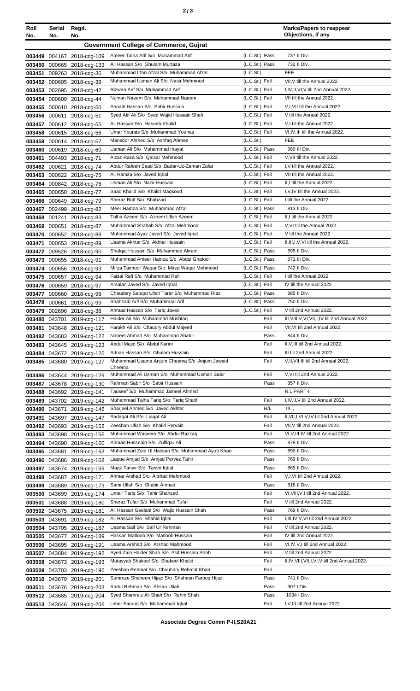| Roll<br>No. | Serial<br>No. | Regd.<br>No.                                             |                                                                                       |                                  | <b>Marks/Papers to reappear</b><br>Objections, if any |
|-------------|---------------|----------------------------------------------------------|---------------------------------------------------------------------------------------|----------------------------------|-------------------------------------------------------|
|             |               |                                                          | <b>Government College of Commerce, Gujrat</b>                                         |                                  |                                                       |
|             |               |                                                          | Ameer Talha Arif S/o Muhammad Arif                                                    | (L.C.St.) Pass                   | 737 II Div.                                           |
|             |               | 003449 004167 2018-ccg-109<br>003450 000665 2018-ccq-133 | Ali Hassan S/o Ghulam Murtaza                                                         | (L.C.St.) Pass                   | 732 II Div.                                           |
|             |               | 003451 009263 2018-ccq-35                                | Muhammad Irfan Afzal S/o Muhammad Afzal                                               | (L.C.St.)                        | <b>FEE</b>                                            |
|             |               | 003452 000605 2018-ccg-39                                | Muhammad Usman Ali S/o Nasir Mehmood                                                  | (L.C.St.) Fail                   | VII, V till the Annual 2022.                          |
|             |               | 003453 002695 2018-ccg-42                                | Rizwan Arif S/o Muhammad Arif                                                         | (L.C.St.) Fail                   | I, IV, II, VI, V till 2nd Annual 2022.                |
|             |               | 003454 000609 2018-ccg-44                                | Numan Naeem S/o Muhammad Naeem                                                        | (L.C.St.) Fail                   | VII till the Annual 2022.                             |
|             |               | 003455 000610 2018-ccg-50                                | Shoaib Hassan S/o Sabir Hussain                                                       | (L.C.St.) Fail                   | V,I, VII till the Annual 2022.                        |
|             |               | 003456 000611 2018-ccg-51                                | Syed Atif Ali S/o Syed Wajid Hussain Shah                                             | (L.C.St.) Fail                   | V till the Annual 2022.                               |
|             |               | 003457 000612 2018-ccg-55                                | Ali Hassan S/o Haseeb Khalid                                                          | (L.C.St.) Fail                   | V.I till the Annual 2022.                             |
|             |               | 003458 000615 2018-ccg-56                                | Umar Younas S/o Muhammad Younas                                                       | (L.C.St.) Fail                   | VI, IV, III till the Annual 2022.                     |
|             |               | 003459 000614 2018-ccg-57                                | Mansoor Ahmed S/o Ashfaq Ahmed                                                        | (L.C.S <sub>t</sub> )            | <b>FEE</b><br>660 III Div.                            |
|             |               | 003460 000619 2018-ccg-60                                | Usman Ali S/o Muhammad Inayat<br>Aizaz Raza S/o Qaisar Mehmood                        | (L.C.St.) Pass<br>(L.C.St.) Fail | V, VII till the Annual 2022.                          |
|             |               | 003461 004493 2018-ccg-71<br>003462 000621 2018-ccg-74   | Abdur Rafeeh Saad S/o Badar-Uz-Zaman Zafar                                            | (L.C.St.) Fail                   | I, V till the Annual 2022.                            |
|             |               | 003463 000622 2018-ccg-75                                | Ali Hamza S/o Javed Iqbal                                                             | (L.C.St.) Fail                   | VII till the Annual 2022.                             |
|             |               | 003464 000842 2018-ccg-76                                | Usman Ali S/o Nazir Hussain                                                           | (L.C.St.) Fail                   | II,I till the Annual 2022.                            |
|             |               | 003465 000650 2018-ccg-77                                | Saad Khalid S/o Khalid Magsood                                                        | (L.C.St.) Fail                   | I.V.IV till the Annual 2022.                          |
|             |               | 003466 000649 2018-ccg-79                                | Sheraz Butt S/o Shahzad                                                               | (L.C.St.) Fail                   | I till the Annual 2022.                               |
|             |               | 003467 002499 2018-ccg-82                                | Meer Hamza S/o Muhammad Afzal                                                         | (L.C.St.) Pass                   | 813 II Div.                                           |
|             |               | 003468 001241 2018-ccg-83                                | Talha Azeem S/o Azeem Ullah Azeem                                                     | (L.C.St.) Fail                   | II,I till the Annual 2022.                            |
|             | 003469 000651 | 2018-ccg-87                                              | Muhammad Shahab S/o Afzal Mehmood                                                     | (L.C.St.) Fail                   | V, VI till the Annual 2022.                           |
|             |               | 003470 000652 2018-ccg-88                                | Muhammad Ayaz Javed S/o Javed Iqbal                                                   | (L.C.St.) Fail                   | V till the Annual 2022.                               |
|             |               | 003471 000653 2018-ccg-89                                | Usama Akhtar S/o Akhtar Hussain                                                       | (L.C.St.) Fail                   | II, III, I, V, VI till the Annual 2022.               |
|             |               | 003472 009526 2018-ccg-90                                | Shafqat Hussain S/o Muhammad Akram                                                    | (L.C.St.) Pass                   | 695 II Div.                                           |
|             |               | 003473 000655 2018-ccg-91                                | Muhammad Ameer Hamza S/o Abdul Ghafoor                                                | (L.C.St.) Pass                   | 671 III Div.                                          |
|             |               | 003474 000656 2018-ccg-93                                | Mirza Taimoor Waqar S/o Mirza Waqar Mehmood<br>Faisal Rafi S/o Muhammad Rafi          | (L.C.St.) Pass<br>(L.C.St.) Fail | 742 II Div.<br>I till the Annual 2022.                |
|             |               | 003475 000657 2018-ccg-94                                | Arsalan Javed S/o Javed Igbal                                                         | (L.C.St.) Fail                   | IV till the Annual 2022.                              |
|             |               | 003476 000659 2018-ccg-97<br>003477 000660 2018-ccq-98   | Chaudery Sabgat Ullah Tarar S/o Muhammad Riaz                                         | (L.C.St.) Pass                   | 885 II Div.                                           |
|             |               | 003478 000661 2018-ccg-99                                | Shahzaib Arif S/o Muhammad Arif                                                       | (L.C.St.) Pass                   | 750 II Div.                                           |
|             |               | 003479 002696 2018-ccg-38                                | Ahmad Hassan S/o Tariq Javed                                                          | (L.C.St.) Fail                   | V till 2nd Annual 2022.                               |
|             |               | 003480 043701 2019-ccg-117                               | Haider Ali S/o Muhammad Mushtaq                                                       | Fail                             | III, VIII, V, VI, VII, I, IV till 2nd Annual 2022.    |
|             |               | 003481 043648 2019-ccg-121                               | Farukh Ali S/o Chaudry Abdul Majeed                                                   | Fail                             | VII, VI till 2nd Annual 2022.                         |
|             |               | 003482 043683 2019-ccg-122                               | Nabeel Ahmad S/o Muhammad Shabir                                                      | Pass                             | 844 II Div.                                           |
|             |               | 003483 043645 2019-ccg-123                               | Abdul Majid S/o Abdul Karim                                                           | Fail                             | II, V, III till 2nd Annual 2022.                      |
|             |               | 003484 043672 2019-ccg-125                               | Adnan Hassan S/o Ghulam Hussain                                                       | Fail                             | III till 2nd Annual 2022.                             |
|             |               | 003485 043680 2019-ccg-127                               | Muhammad Usama Anjum Cheema S/o Anjum Jawaid<br>Cheema                                | Fail                             | V, II, VII, III till 2nd Annual 2022.                 |
|             |               | 003486 043644 2019-ccg-129                               | Muhammad Ali Usman S/o Muhammad Usman Sabir                                           | Fail                             | V, VI till 2nd Annual 2022.                           |
|             |               | 003487 043678 2019-ccg-130                               | Rahman Sabir S/o Sabir Hussain                                                        | Pass                             | 857 II Div.                                           |
|             |               | 003488 043692 2019-ccq-141                               | Tauseef S/o Muhammad Jameel Ahmed                                                     |                                  | R.L PART-I                                            |
|             |               | 003489 043702 2019-ccg-142                               | Muhammad Talha Tariq S/o Tariq Sharif                                                 | Fail                             | I, IV, II, V till 2nd Annual 2022.                    |
|             |               | 003490 043671 2019-ccg-146                               | Sharjeel Ahmed S/o Javed Akhtar                                                       | R/L                              | Ш.,                                                   |
|             |               | 003491 043697 2019-ccg-147                               | Sadagat Ali S/o Liagat Ali                                                            | Fail                             | II, VII, I, VI, V, IV till 2nd Annual 2022.           |
|             |               | 003492 043693 2019-ccg-152                               | Zeeshan Ullah S/o Khalid Pervaiz                                                      | Fail                             | VII, V till 2nd Annual 2022.                          |
|             |               | 003493 043698 2019-ccg-156                               | Muhammad Waseem S/o Abdul Razzaq                                                      | Fail                             | VI, V, III, IV till 2nd Annual 2022.                  |
|             |               | 003494 043690 2019-ccg-160                               | Ahmad Hussnain S/o Zulfigar Ali                                                       | Pass                             | 878 II Div.                                           |
|             | 003495 043681 | 2019-ccg-163                                             | Muhammad Zaid UI Hassan S/o Muhammad Ayub Khan<br>Liaque Amjad S/o Amjad Pervez Tahir | Pass<br>Pass                     | 890 II Div.<br>769 II Div.                            |
|             |               | 003496 043686 2019-ccg-168<br>003497 043674 2019-ccg-169 | Maaz Tanvir S/o Tanvir Iqbal                                                          | Pass                             | 865 II Div.                                           |
|             |               | 003498 043687 2019-ccg-171                               | Ahmar Arshad S/o Arshad Mehmood                                                       | Fail                             | V,I,VI till 2nd Annual 2022.                          |
|             |               | 003499 043689 2019-ccg-173                               | Sami Ullah S/o Shabir Ahmad                                                           | Pass                             | 818 II Div.                                           |
|             |               | 003500 043699 2019-ccg-174                               | Umair Tariq S/o Tahir Shahzad                                                         | Fail                             | VI, VIII, V, I till 2nd Annual 2022.                  |
|             |               | 003501 043688 2019-ccg-180                               | Sheraz Tufail S/o Muhammad Tufail                                                     | Fail                             | V till 2nd Annual 2022.                               |
|             |               | 003502 043675 2019-ccg-181                               | Ali Hassan Geelani S/o Wajid Hussain Shah                                             | Pass                             | 769 II Div.                                           |
|             |               | 003503 043691 2019-ccg-182                               | Ali Hassan S/o Shahid Iqbal                                                           | Fail                             | I, III, IV, V, VI till 2nd Annual 2022.               |
|             |               | 003504 043705 2019-ccg-187                               | Usama Saif S/o Saif Ur Rehman                                                         | Fail                             | V till 2nd Annual 2022.                               |
|             |               | 003505 043677 2019-ccg-189                               | Hassan Matloob S/o Matloob Hussain                                                    | Fail                             | IV till 2nd Annual 2022.                              |
|             |               | 003506 043695 2019-ccg-191                               | Usama Arshad S/o Arshad Mahmood                                                       | Fail                             | VI, IV, V, I till 2nd Annual 2022.                    |
|             |               | 003507 043684 2019-ccg-192                               | Syed Zain Haider Shah S/o Asif Hussain Shah                                           | Fail                             | V till 2nd Annual 2022.                               |
|             |               | 003508 043673 2019-ccg-193                               | Mutayyab Shakeel S/o Shakeel Khalid                                                   | Fail                             | II,IV, VIII, VII, I, VI, V till 2nd Annual 2022.      |
|             |               | 003509 043703 2019-ccg-196                               | Zeeshan Rehmat S/o Chouhdry Rehmat Khan                                               | Fail                             |                                                       |
|             |               | 003510 043679 2019-ccg-201                               | Sumroze Shaheen Hijazi S/o Shaheen Faroog Hijazi                                      | Pass                             | 741 II Div.                                           |
|             |               | 003511 043676 2019-ccg-203                               | Abdul Rehman S/o Ahsan Ullah                                                          | Pass                             | 907 I Div.                                            |
|             |               | 003512 043685 2019-ccq-204                               | Syed Shamreiz Ali Shah S/o Rehm Shah<br>Umer Farooq S/o Muhammad Iqbal                | Pass<br>Fail                     | 1034   Div.                                           |
|             |               | 003513 043646 2019-ccg-206                               |                                                                                       |                                  | I, V, III till 2nd Annual 2022.                       |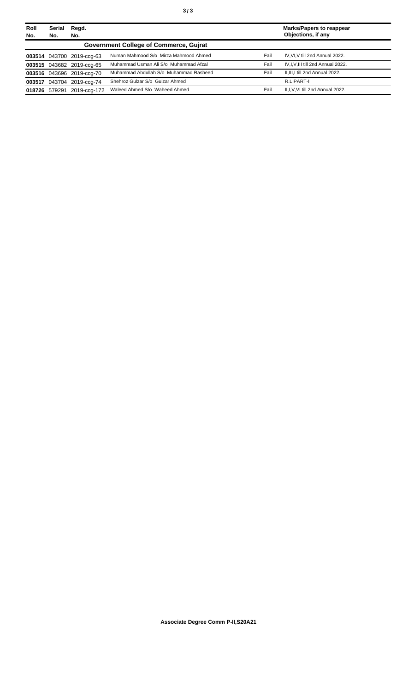| Roll<br>No. | <b>Serial</b><br>No. | Regd.<br>No.              |                                               |      | <b>Marks/Papers to reappear</b><br>Objections, if any |
|-------------|----------------------|---------------------------|-----------------------------------------------|------|-------------------------------------------------------|
|             |                      |                           | <b>Government College of Commerce, Guirat</b> |      |                                                       |
|             |                      | 003514 043700 2019-ccq-63 | Numan Mahmood S/o Mirza Mahmood Ahmed         | Fail | IV, VI, V till 2nd Annual 2022.                       |
|             |                      | 003515 043682 2019-ccq-65 | Muhammad Usman Ali S/o Muhammad Afzal         | Fail | IV, I, V, III till 2nd Annual 2022.                   |
|             |                      | 003516 043696 2019-ccq-70 | Muhammad Abdullah S/o Muhammad Rasheed        | Fail | II.III.I till 2nd Annual 2022.                        |
|             |                      | 003517 043704 2019-ccq-74 | Shehroz Gulzar S/o Gulzar Ahmed               |      | R.L PART-I                                            |
|             | 018726 579291        | 2019-ccg-172              | Waleed Ahmed S/o Waheed Ahmed                 | Fail | II.I.V.VI till 2nd Annual 2022.                       |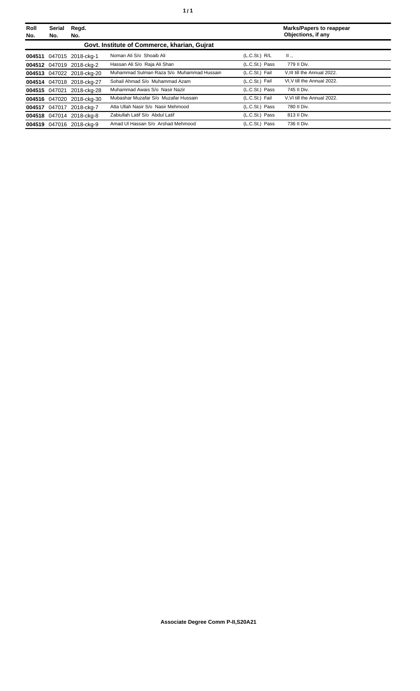| Roll<br>No. | Serial<br>No. | Regd.<br>No.              |                                              |                | <b>Marks/Papers to reappear</b><br>Objections, if any |
|-------------|---------------|---------------------------|----------------------------------------------|----------------|-------------------------------------------------------|
|             |               |                           | Govt. Institute of Commerce, kharian, Gujrat |                |                                                       |
|             |               | 004511 047015 2018-ckg-1  | Noman Ali S/o Shoaib Ali                     | (L.C.St.) R/L  | $\mathbf{II}$ .                                       |
|             |               | 004512 047019 2018-ckg-2  | Hassan Ali S/o Raja Ali Shan                 | (L.C.St.) Pass | 779 II Div.                                           |
|             |               | 004513 047022 2018-ckg-20 | Muhammad Sulman Raza S/o Muhammad Hussain    | (L.C.St.) Fail | V.III till the Annual 2022.                           |
|             |               | 004514 047018 2018-ckg-27 | Sohail Ahmad S/o Muhammad Azam               | (L.C.St.) Fail | VI.V till the Annual 2022.                            |
|             | 004515 047021 | 2018-cka-28               | Muhammad Awais S/o Nasir Nazir               | (L.C.St.) Pass | 745 II Div.                                           |
|             |               | 004516 047020 2018-ckg-30 | Mubashar Muzafar S/o Muzafar Hussain         | (L.C.St.) Fail | V.VI till the Annual 2022.                            |
|             |               | 004517 047017 2018-ckg-7  | Atta Ullah Nasir S/o Nasir Mehmood           | (L.C.St.) Pass | 780 II Div.                                           |
|             |               | 004518 047014 2018-ckg-8  | Zabiullah Latif S/o Abdul Latif              | (L.C.St.) Pass | 813 II Div.                                           |
|             |               | 004519 047016 2018-ckg-9  | Amad Ul Hassan S/o Arshad Mehmood            | (L.C.St.) Pass | 736 II Div.                                           |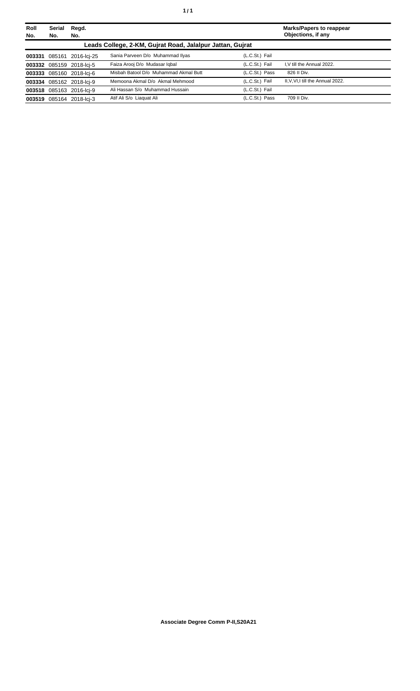| Roll<br>No. | Serial<br>No. | Regd.<br>No.              |                                                           |                | <b>Marks/Papers to reappear</b><br>Objections, if any |
|-------------|---------------|---------------------------|-----------------------------------------------------------|----------------|-------------------------------------------------------|
|             |               |                           | Leads College, 2-KM, Gujrat Road, Jalalpur Jattan, Gujrat |                |                                                       |
|             |               | 003331 085161 2016-lci-25 | Sania Parveen D/o Muhammad Ilyas                          | (L.C.St.) Fail |                                                       |
|             |               | 003332 085159 2018-lci-5  | Faiza Arooj D/o Mudasar Igbal                             | (L.C.St.) Fail | I.V till the Annual 2022.                             |
|             |               | 003333 085160 2018-lci-6  | Misbah Batool D/o Muhammad Akmal Butt                     | (L.C.St.) Pass | 826 II Div.                                           |
|             |               | 003334 085162 2018-lcj-9  | Memoona Akmal D/o Akmal Mehmood                           | (L.C.St.) Fail | II, V, VI, I till the Annual 2022.                    |
|             |               | 003518 085163 2016-lci-9  | Ali Hassan S/o Muhammad Hussain                           | (L.C.St.) Fail |                                                       |
|             |               | 003519 085164 2018-lci-3  | Atif Ali S/o Liaguat Ali                                  | (L.C.St.) Pass | 709 II Div.                                           |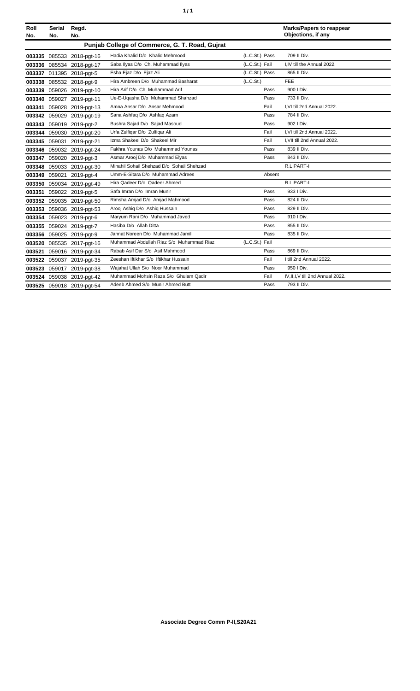| ٦ | ٠ |
|---|---|
|   |   |

| Roll<br>No. | Serial<br>No. | Regd.<br>No.              |                                                |                | <b>Marks/Papers to reappear</b><br>Objections, if any |
|-------------|---------------|---------------------------|------------------------------------------------|----------------|-------------------------------------------------------|
|             |               |                           | Punjab College of Commerce, G. T. Road, Gujrat |                |                                                       |
|             |               | 003335 085533 2018-pgt-16 | Hadia Khalid D/o Khalid Mehmood                | (L.C.St.) Pass | 709 II Div.                                           |
|             |               | 003336 085534 2018-pgt-17 | Saba Ilyas D/o Ch. Muhammad Ilyas              | (L.C.St.) Fail | I.IV till the Annual 2022.                            |
|             |               | 003337 011395 2018-pgt-5  | Esha Ejaz D/o Ejaz Ali                         | (L.C.St.) Pass | 865 II Div.                                           |
|             |               | 003338 085532 2018-pgt-9  | Hira Ambreen D/o Muhammad Basharat             | (L.C.St.)      | <b>FEE</b>                                            |
|             |               | 003339 059026 2019-pgt-10 | Hira Arif D/o Ch. Muhammad Arif                | Pass           | 900   Div.                                            |
|             |               | 003340 059027 2019-pgt-11 | Ue-E-Uqasha D/o Muhammad Shahzad               | Pass           | 733 II Div.                                           |
|             |               | 003341 059028 2019-pgt-13 | Amna Ansar D/o Ansar Mehmood                   | Fail           | I.VI till 2nd Annual 2022.                            |
|             |               | 003342 059029 2019-pgt-19 | Sana Ashfaq D/o Ashfaq Azam                    | Pass           | 784 II Div.                                           |
|             |               | 003343 059019 2019-pgt-2  | Bushra Sajad D/o Sajad Masoud                  | Pass           | 902   Div.                                            |
|             |               | 003344 059030 2019-pgt-20 | Urfa Zulfigar D/o Zulfigar Ali                 | Fail           | I.VI till 2nd Annual 2022.                            |
|             |               | 003345 059031 2019-pgt-21 | Izma Shakeel D/o Shakeel Mir                   | Fail           | I.VII till 2nd Annual 2022.                           |
|             |               | 003346 059032 2019-pgt-24 | Fakhra Younas D/o Muhammad Younas              | Pass           | 839 II Div.                                           |
|             |               | 003347 059020 2019-pgt-3  | Asmar Arooj D/o Muhammad Elyas                 | Pass           | 843 II Div.                                           |
|             |               | 003348 059033 2019-pgt-30 | Minahil Sohail Shehzad D/o Sohail Shehzad      |                | R.L PART-I                                            |
|             |               | 003349 059021 2019-pgt-4  | Umm-E-Sitara D/o Muhammad Adrees               | Absent         |                                                       |
|             |               | 003350 059034 2019-pgt-49 | Hira Qadeer D/o Qadeer Ahmed                   |                | <b>R.L PART-I</b>                                     |
|             |               | 003351 059022 2019-pgt-5  | Safa Imran D/o Imran Munir                     | Pass           | 933   Div.                                            |
|             |               | 003352 059035 2019-pgt-50 | Rimsha Amjad D/o Amjad Mahmood                 | Pass           | 824 II Div.                                           |
|             |               | 003353 059036 2019-pgt-53 | Arooj Ashig D/o Ashig Hussain                  | Pass           | 829 II Div.                                           |
|             |               | 003354 059023 2019-pgt-6  | Maryum Rani D/o Muhammad Javed                 | Pass           | 910   Div.                                            |
|             |               | 003355 059024 2019-pgt-7  | Hasiba D/o Allah Ditta                         | Pass           | 855 II Div.                                           |
|             |               | 003356 059025 2019-pgt-9  | Jannat Noreen D/o Muhammad Jamil               | Pass           | 835 II Div.                                           |
|             |               | 003520 085535 2017-pgt-16 | Muhammad Abdullah Riaz S/o Muhammad Riaz       | (L.C.St.) Fail |                                                       |
| 003521      |               | 059016 2019-pgt-34        | Rabab Asif Dar S/o Asif Mahmood                | Pass           | 869 II Div.                                           |
|             |               | 003522 059037 2019-pgt-35 | Zeeshan Iftikhar S/o Iftikhar Hussain          | Fail           | I till 2nd Annual 2022.                               |
|             |               | 003523 059017 2019-pgt-38 | Wajahat Ullah S/o Noor Muhammad                | Pass           | 950   Div.                                            |
|             |               | 003524 059038 2019-pgt-42 | Muhammad Mohsin Raza S/o Ghulam Qadir          | Fail           | IV, II, I, V till 2nd Annual 2022.                    |
|             |               | 003525 059018 2019-pgt-54 | Adeeb Ahmed S/o Munir Ahmed Butt               | Pass           | 793 II Div.                                           |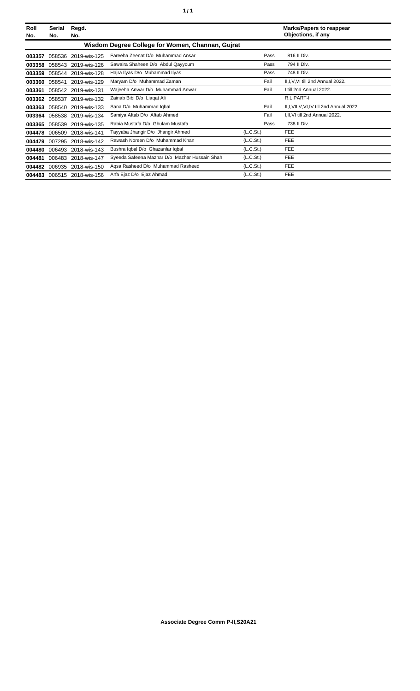| Roll<br>No. | Serial<br>No. | Regd.<br>No.               |                                                  |                       | <b>Marks/Papers to reappear</b><br>Objections, if any |
|-------------|---------------|----------------------------|--------------------------------------------------|-----------------------|-------------------------------------------------------|
|             |               |                            | Wisdom Degree College for Women, Channan, Gujrat |                       |                                                       |
| 003357      | 058536        | 2019-wis-125               | Fareeha Zeenat D/o Muhammad Ansar                | Pass                  | 816 II Div.                                           |
| 003358      | 058543        | 2019-wis-126               | Sawaira Shaheen D/o Abdul Qayyoum                | Pass                  | 794 II Div.                                           |
| 003359      |               | 058544 2019-wis-128        | Hajra Ilyas D/o Muhammad Ilyas                   | Pass                  | 748 II Div.                                           |
| 003360      | 058541        | 2019-wis-129               | Maryam D/o Muhammad Zaman                        | Fail                  | II, I, V, VI till 2nd Annual 2022.                    |
| 003361      |               | 058542 2019-wis-131        | Wajeeha Anwar D/o Muhammad Anwar                 | Fail                  | I till 2nd Annual 2022.                               |
| 003362      |               | 058537 2019-wis-132        | Zainab Bibi D/o Liagat Ali                       |                       | <b>R.L PART-I</b>                                     |
| 003363      |               | 058540 2019-wis-133        | Sana D/o Muhammad Iqbal                          | Fail                  | II,I, VII, V, VI, IV till 2nd Annual 2022.            |
| 003364      |               | 058538 2019-wis-134        | Samiya Aftab D/o Aftab Ahmed                     | Fail                  | I, II, VI till 2nd Annual 2022.                       |
| 003365      | 058539        | 2019-wis-135               | Rabia Mustafa D/o Ghulam Mustafa                 | Pass                  | 738 II Div.                                           |
| 004478      | 006509        | 2018-wis-141               | Tayyaba Jhangir D/o Jhangir Ahmed                | (L.C.S <sub>t</sub> ) | FEE                                                   |
| 004479      | 007295        | 2018-wis-142               | Rawash Noreen D/o Muhammad Khan                  | (L.C.St.)             | <b>FEE</b>                                            |
| 004480      |               | 006493 2018-wis-143        | Bushra Iqbal D/o Ghazanfar Iqbal                 | (L.C.St.)             | <b>FEE</b>                                            |
| 004481      |               | 006483 2018-wis-147        | Syeeda Safeena Mazhar D/o Mazhar Hussain Shah    | (L.C.St.)             | <b>FEE</b>                                            |
|             |               | 004482 006935 2018-wis-150 | Agsa Rasheed D/o Muhammad Rasheed                | (L.C.St.)             | <b>FEE</b>                                            |
|             |               | 004483 006515 2018-wis-156 | Arfa Ejaz D/o Ejaz Ahmad                         | (L.C.St.)             | <b>FEE</b>                                            |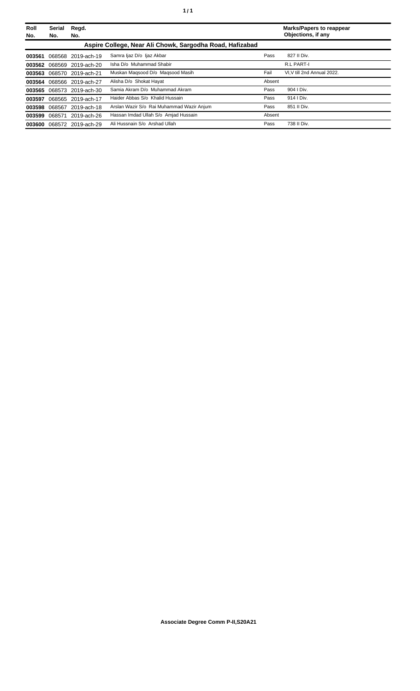| Roll   | Serial | Regd.                     |                                                          |        | <b>Marks/Papers to reappear</b> |
|--------|--------|---------------------------|----------------------------------------------------------|--------|---------------------------------|
| No.    | No.    | No.                       |                                                          |        | Objections, if any              |
|        |        |                           | Aspire College, Near Ali Chowk, Sargodha Road, Hafizabad |        |                                 |
| 003561 |        | 068568 2019-ach-19        | Samra Ijaz D/o Ijaz Akbar                                | Pass   | 827 II Div.                     |
|        |        | 003562 068569 2019-ach-20 | Isha D/o Muhammad Shabir                                 |        | R.L PART-I                      |
|        |        | 003563 068570 2019-ach-21 | Muskan Magsood D/o Magsood Masih                         | Fail   | VI.V till 2nd Annual 2022.      |
|        |        | 003564 068566 2019-ach-27 | Alisha D/o Shokat Hayat                                  | Absent |                                 |
|        |        | 003565 068573 2019-ach-30 | Samia Akram D/o Muhammad Akram                           | Pass   | 904   Div.                      |
|        |        | 003597 068565 2019-ach-17 | Haider Abbas S/o Khalid Hussain                          | Pass   | 914   Div.                      |
|        |        | 003598 068567 2019-ach-18 | Arslan Wazir S/o Rai Muhammad Wazir Anjum                | Pass   | 851 II Div.                     |
| 003599 | 068571 | 2019-ach-26               | Hassan Imdad Ullah S/o Amjad Hussain                     | Absent |                                 |
| 003600 |        | 068572 2019-ach-29        | Ali Hussnain S/o Arshad Ullah                            | Pass   | 738 II Div.                     |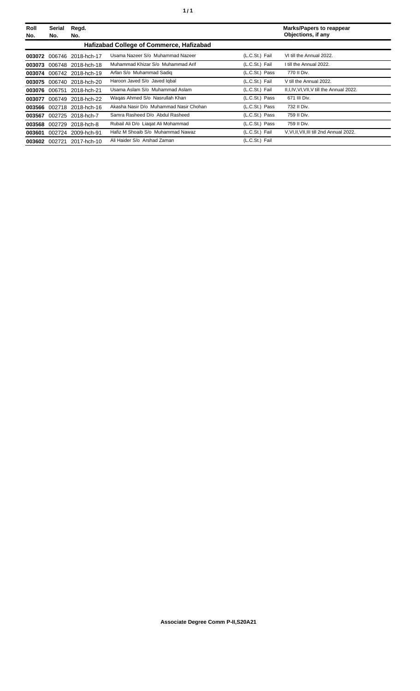| Roll<br>No. | Serial<br>No. | Regd.<br>No.              |                                          |                | <b>Marks/Papers to reappear</b><br>Objections, if any |
|-------------|---------------|---------------------------|------------------------------------------|----------------|-------------------------------------------------------|
|             |               |                           | Hafizabad College of Commerce, Hafizabad |                |                                                       |
| 003072      | 006746        | 2018-hch-17               | Usama Nazeer S/o Muhammad Nazeer         | (L.C.St.) Fail | VI till the Annual 2022.                              |
| 003073      |               | 006748 2018-hch-18        | Muhammad Khizar S/o Muhammad Arif        | (L.C.St.) Fail | I till the Annual 2022.                               |
| 003074      |               | 006742 2018-hch-19        | Arfan S/o Muhammad Sadig                 | (L.C.St.) Pass | 770 II Div.                                           |
| 003075      |               | 006740 2018-hch-20        | Haroon Javed S/o Javed Igbal             | (L.C.St.) Fail | V till the Annual 2022.                               |
|             |               | 003076 006751 2018-hch-21 | Usama Aslam S/o Muhammad Aslam           | (L.C.St.) Fail | II, I, IV, VI, VII, V till the Annual 2022.           |
| 003077      | 006749        | 2018-hch-22               | Wagas Ahmed S/o Nasrullah Khan           | (L.C.St.) Pass | 671 III Div.                                          |
|             |               | 003566 002718 2018-hch-16 | Akasha Nasir D/o Muhammad Nasir Chohan   | (L.C.St.) Pass | 732 II Div.                                           |
| 003567      |               | 002725 2018-hch-7         | Samra Rasheed D/o Abdul Rasheed          | (L.C.St.) Pass | 759 II Div.                                           |
| 003568      | 002729        | 2018-hch-8                | Rubail Ali D/o Liagat Ali Mohammad       | (L.C.St.) Pass | 759 II Div.                                           |
| 003601      |               | 002724 2009-hch-91        | Hafiz M Shoaib S/o Muhammad Nawaz        | (L.C.St.) Fail | V.VI.II.VII.III till 2nd Annual 2022.                 |
| 003602      | 002721        | 2017-hch-10               | Ali Haider S/o Arshad Zaman              | (L.C.St.) Fail |                                                       |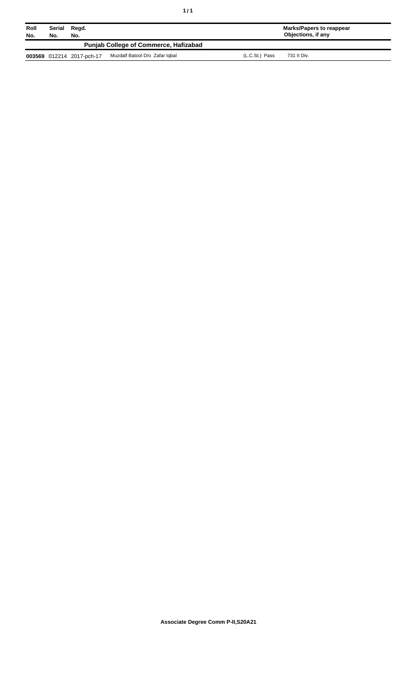| Roll<br>No. | Serial<br>No. | Regd.<br>No.              |                                              |                | Marks/Papers to reappear<br>Objections, if any |
|-------------|---------------|---------------------------|----------------------------------------------|----------------|------------------------------------------------|
|             |               |                           | <b>Punjab College of Commerce, Hafizabad</b> |                |                                                |
|             |               | 003569 012214 2017-pch-17 | Muzdalf Batool D/o Zafar Igbal               | (L.C.St.) Pass | 731 II Div.                                    |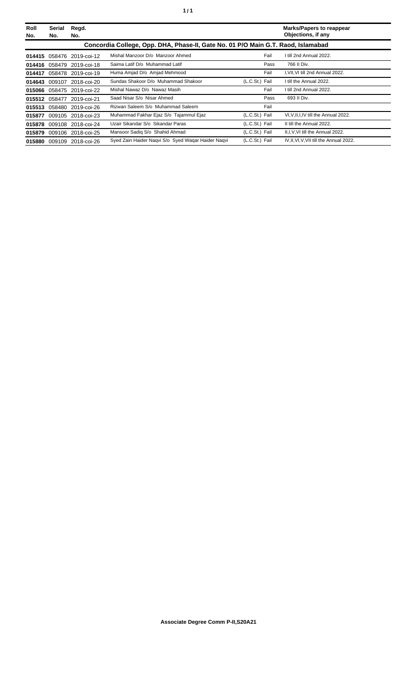| Roll<br>No. | Serial<br>No. | Regd.<br>No.              |                                                                                  |                | <b>Marks/Papers to reappear</b><br>Objections, if any |
|-------------|---------------|---------------------------|----------------------------------------------------------------------------------|----------------|-------------------------------------------------------|
|             |               |                           | Concordia College, Opp. DHA, Phase-II, Gate No. 01 P/O Main G.T. Raod, Islamabad |                |                                                       |
| 014415      |               | 058476 2019-coi-12        | Mishal Manzoor D/o Manzoor Ahmed                                                 | Fail           | I till 2nd Annual 2022.                               |
|             |               | 014416 058479 2019-coi-18 | Saima Latif D/o Muhammad Latif                                                   | Pass           | 766 II Div.                                           |
| 014417      |               | 058478 2019-coi-19        | Huma Amjad D/o Amjad Mehmood                                                     | Fail           | I, VII, VI till 2nd Annual 2022.                      |
|             |               | 014643 009107 2018-coi-20 | Sundas Shakoor D/o Muhammad Shakoor                                              | (L.C.St.) Fail | I till the Annual 2022.                               |
|             |               | 015066 058475 2019-coi-22 | Mishal Nawaz D/o Nawaz Masih                                                     | Fail           | I till 2nd Annual 2022.                               |
|             |               | 015512 058477 2019-coi-21 | Saad Nisar S/o Nisar Ahmed                                                       | Pass           | 693 II Div.                                           |
|             |               | 015513 058480 2019-coi-26 | Rizwan Saleem S/o Muhammad Saleem                                                | Fail           |                                                       |
| 015877      |               | 009105 2018-coi-23        | Muhammad Fakhar Ejaz S/o Tajammul Ejaz                                           | (L.C.St.) Fail | VI, V, II, I, IV till the Annual 2022.                |
|             |               | 015878 009108 2018-coi-24 | Uzair Sikandar S/o Sikandar Paras                                                | (L.C.St.) Fail | II till the Annual 2022.                              |
|             |               | 015879 009106 2018-coi-25 | Mansoor Sadiq S/o Shahid Ahmad                                                   | (L.C.St.) Fail | II, I, V, VI till the Annual 2022.                    |
|             |               | 015880 009109 2018-coi-26 | Syed Zain Haider Nagvi S/o Syed Wagar Haider Nagvi                               | (L.C.St.) Fail | IV, II, VI, V, VII till the Annual 2022.              |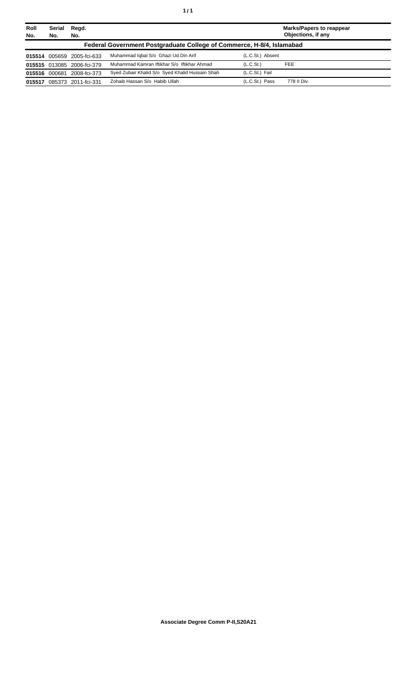| Roll<br>No. | Serial<br>No. | Regd.<br>No.               |                                                                       |                       | <b>Marks/Papers to reappear</b><br>Objections, if any |
|-------------|---------------|----------------------------|-----------------------------------------------------------------------|-----------------------|-------------------------------------------------------|
|             |               |                            | Federal Government Postgraduate College of Commerce, H-8/4, Islamabad |                       |                                                       |
|             |               | 015514 005659 2005-fci-633 | Muhammad Iqbal S/o Ghazi Ud Din Arif                                  | (L.C.St.) Absent      |                                                       |
|             |               | 015515 013085 2006-fci-379 | Muhammad Kamran Iftikhar S/o Iftikhar Ahmad                           | (L.C.S <sub>t</sub> ) | <b>FEE</b>                                            |
|             | 015516 000681 | 2008-fci-373               | Syed Zubair Khalid S/o Syed Khalid Hussain Shah                       | (L.C.St.) Fail        |                                                       |
| 015517      |               | 085373 2011-fci-331        | Zohaib Hassan S/o Habib Ullah                                         | (L.C.St.) Pass        | 778 II Div.                                           |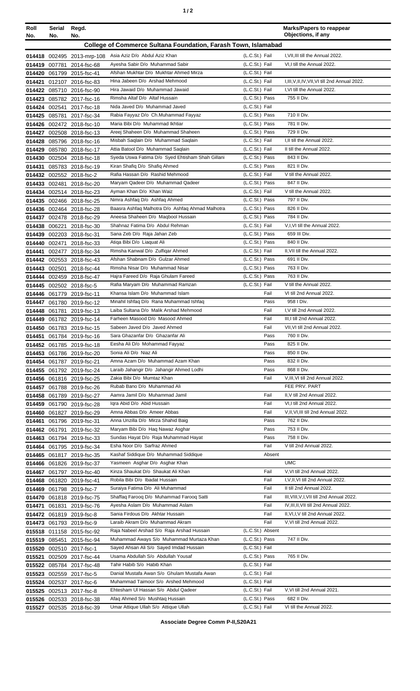| Roll<br>No.   | Serial<br>No. | Regd.<br>No.                                           |                                                                                             |                                  | <b>Marks/Papers to reappear</b><br>Objections, if any |
|---------------|---------------|--------------------------------------------------------|---------------------------------------------------------------------------------------------|----------------------------------|-------------------------------------------------------|
|               |               |                                                        | College of Commerce Sultana Foundation, Farash Town, Islamabad                              |                                  |                                                       |
|               |               |                                                        |                                                                                             | (L.C.St.) Fail                   | I, VII, III till the Annual 2022.                     |
|               |               | 014419 007781 2014-fsc-68                              | 014418 002495 2013-mrp-108 Asia Aziz D/o Abdul Aziz Khan<br>Ayesha Sabir D/o Muhammad Sabir | (L.C.St.) Fail                   | VI,I till the Annual 2022.                            |
|               |               | 014420 061799 2015-fsc-41                              | Afshan Mukhtar D/o Mukhtar Ahmed Mirza                                                      | (L.C.St.) Fail                   |                                                       |
| 014421        |               | 012107 2016-fsc-83                                     | Hina Jabeen D/o Arshad Mehmood                                                              | (L.C.St.) Fail                   | I, III, V, II, IV, VII, VI till 2nd Annual 2022.      |
|               |               | 014422 085710 2016-fsc-90                              | Hira Jawaid D/o Muhammad Jawaid                                                             | (L.C.St.) Fail                   | I, VI till the Annual 2022.                           |
| 014423        |               | 085782 2017-fsc-16                                     | Rimsha Altaf D/o Altaf Hussain                                                              | (L.C.St.) Pass                   | 755 II Div.                                           |
|               |               | 014424 002541 2017-fsc-18                              | Nida Javed D/o Muhammad Javed                                                               | (L.C.St.) Fail                   |                                                       |
|               |               | 014425 085781 2017-fsc-34                              | Rabia Fayyaz D/o Ch.Muhammad Fayyaz                                                         | (L.C.St.) Pass                   | 710 II Div.                                           |
|               |               | 014426 002472 2018-fsc-10                              | Maria Bibi D/o Muhammad Ikhtiar<br>Areej Shaheen D/o Muhammad Shaheen                       | (L.C.St.) Pass<br>(L.C.St.) Pass | 781 II Div.<br>729 II Div.                            |
|               |               | 014427 002508 2018-fsc-13<br>014428 085796 2018-fsc-16 | Misbah Saqlain D/o Muhammad Saqlain                                                         | (L.C.St.) Fail                   | I, II till the Annual 2022.                           |
|               |               | 014429 085780 2018-fsc-17                              | Attia Batool D/o Muhammad Saqlain                                                           | (L.C.St.) Fail                   | II till the Annual 2022.                              |
|               |               | 014430 002504 2018-fsc-18                              | Syeda Uswa Fatima D/o Syed Ehtisham Shah Gillani                                            | (L.C.St.) Pass                   | 843 II Div.                                           |
| 014431        |               | 085783 2018-fsc-19                                     | Kiran Shafiq D/o Shafiq Ahmed                                                               | (L.C.St.) Pass                   | 821 II Div.                                           |
|               |               | 014432 002552 2018-fsc-2                               | Rafia Hassan D/o Rashid Mehmood                                                             | (L.C.St.) Fail                   | V till the Annual 2022.                               |
|               |               | 014433 002481 2018-fsc-20                              | Maryam Qadeer D/o Muhammad Qadeer                                                           | (L.C.St.) Pass                   | 847 II Div.                                           |
|               |               | 014434 002514 2018-fsc-23                              | Ayman Khan D/o Khan Waiz                                                                    | (L.C.St.) Fail                   | V till the Annual 2022.                               |
|               |               | 014435 002466 2018-fsc-25                              | Nimra Ashfaq D/o Ashfaq Ahmed                                                               | (L.C.St.) Pass                   | 797 II Div.<br>826 II Div.                            |
|               |               | 014436 002464 2018-fsc-28<br>014437 002478 2018-fsc-29 | Baasra Ashfaq Malhotra D/o Ashfaq Ahmad Malhotra<br>Aneesa Shaheen D/o Maqbool Hussain      | (L.C.St.) Pass<br>(L.C.St.) Pass | 784 II Div.                                           |
|               |               | 014438 006221 2018-fsc-30                              | Shahnaz Fatima D/o Abdul Rehman                                                             | (L.C.St.) Fail                   | V,I, VI till the Annual 2022.                         |
| 014439        |               | 002203 2018-fsc-31                                     | Sana Zeb D/o Raja Jahan Zeb                                                                 | (L.C.St.) Pass                   | 659 III Div.                                          |
| 014440        |               | 002471 2018-fsc-33                                     | Atiqa Bibi D/o Liaquat Ali                                                                  | (L.C.St.) Pass                   | 840 II Div.                                           |
| 014441        |               | 002477 2018-fsc-34                                     | Rimsha Kanwal D/o Zulfigar Ahmed                                                            | (L.C.St.) Fail                   | II, VII till the Annual 2022.                         |
|               |               | 014442 002553 2018-fsc-43                              | Afshan Shabnam D/o Gulzar Ahmed                                                             | (L.C.St.) Pass                   | 691 II Div.                                           |
|               |               | 014443 002501 2018-fsc-44                              | Rimsha Nisar D/o Muhammad Nisar                                                             | (L.C.St.) Pass                   | 763 II Div.                                           |
|               |               | 014444 002459 2018-fsc-47                              | Hajra Fareed D/o Raja Ghulam Fareed                                                         | (L.C.St.) Pass                   | 763 II Div.                                           |
|               |               | 014445 002502 2018-fsc-5                               | Rafia Maryam D/o Muhammad Ramzan                                                            | (L.C.St.) Fail                   | V till the Annual 2022.                               |
| 014447        |               | 014446 061779 2019-fsc-11                              | Khansa Islam D/o Muhammad Islam<br>Minahil Ishfaq D/o Rana Muhammad Ishfaq                  | Fail<br>Pass                     | VI till 2nd Annual 2022.<br>958 I Div.                |
|               |               | 061780 2019-fsc-12<br>014448 061781 2019-fsc-13        | Laiba Sultana D/o Malik Arshad Mehmood                                                      | Fail                             | I, V till 2nd Annual 2022.                            |
|               |               | 014449 061782 2019-fsc-14                              | Farheen Masood D/o Masood Ahmed                                                             | Fail                             | III, I till 2nd Annual 2022.                          |
|               |               | 014450 061783 2019-fsc-15                              | Sabeen Javed D/o Javed Ahmed                                                                | Fail                             | VII, VI till 2nd Annual 2022.                         |
|               |               | 014451 061784 2019-fsc-16                              | Sara Ghazanfar D/o Ghazanfar Ali                                                            | Pass                             | 760 II Div.                                           |
|               |               | 014452 061785 2019-fsc-18                              | Eesha Ali D/o Mohammad Fayyaz                                                               | Pass                             | 825 II Div.                                           |
|               |               | 014453 061786 2019-fsc-20                              | Sonia Ali D/o Niaz Ali                                                                      | Pass                             | 850 II Div.                                           |
|               |               | 014454 061787 2019-fsc-21                              | Amna Azam D/o Muhammad Azam Khan                                                            | Pass<br>Pass                     | 832 II Div.<br>868 II Div.                            |
|               |               | 014455 061792 2019-fsc-24<br>014456 061816 2019-fsc-25 | Laraib Jahangir D/o Jahangir Ahmed Lodhi<br>Zakia Bibi D/o Mumtaz Khan                      | Fail                             | V, III, VI till 2nd Annual 2022.                      |
|               |               | 014457 061788 2019-fsc-26                              | Rubab Bano D/o Muhammad Ali                                                                 |                                  | FEE PRV. PART                                         |
|               |               | 014458 061789 2019-fsc-27                              | Aamra Jamil D/o Muhammad Jamil                                                              | Fail                             | II, V till 2nd Annual 2022.                           |
|               |               | 014459 061790 2019-fsc-28                              | Igra Abid D/o Abid Hussain                                                                  | Fail                             | VI,I till 2nd Annual 2022.                            |
|               |               | 014460 061827 2019-fsc-29                              | Amna Abbas D/o Ameer Abbas                                                                  | Fail                             | V, II, VI, III till 2nd Annual 2022.                  |
| 014461        |               | 061796 2019-fsc-31                                     | Anna Unzilla D/o Mirza Shahid Baig                                                          | Pass                             | 762 II Div.                                           |
| 014462 061791 |               | 2019-fsc-32                                            | Maryam Bibi D/o Haq Nawaz Asghar                                                            | Pass                             | 753 II Div.                                           |
|               |               | 014463 061794 2019-fsc-33                              | Sundas Hayat D/o Raja Muhammad Hayat<br>Esha Noor D/o Sarfraz Ahmed                         | Pass<br>Fail                     | 758 II Div.<br>V till 2nd Annual 2022.                |
|               |               | 014464 061795 2019-fsc-34<br>014465 061817 2019-fsc-35 | Kashaf Siddique D/o Muhammad Siddique                                                       | Absent                           |                                                       |
|               |               | 014466 061826 2019-fsc-37                              | Yasmeen Asghar D/o Asghar Khan                                                              |                                  | <b>UMC</b>                                            |
|               |               | 014467 061797 2019-fsc-40                              | Kinza Shaukat D/o Shaukat Ali Khan                                                          | Fail                             | V, VI till 2nd Annual 2022.                           |
|               |               | 014468 061820 2019-fsc-41                              | Robila Bibi D/o Ibadat Hussain                                                              | Fail                             | I, V, II, VI till 2nd Annual 2022.                    |
|               |               | 014469 061798 2019-fsc-7                               | Suraiya Fatima D/o Ali Muhammad                                                             | Fail                             | II till 2nd Annual 2022.                              |
| 014470        |               | 061818 2019-fsc-75                                     | Shaffaq Farooq D/o Muhammad Farooq Satti                                                    | Fail                             | III, VIII, V, I, VII till 2nd Annual 2022.            |
| 014471        |               | 061831 2019-fsc-76                                     | Ayesha Aslam D/o Muhammad Aslam                                                             | Fail                             | IV, III, II, VII till 2nd Annual 2022.                |
|               |               | 014472 061819 2019-fsc-8                               | Sania Firdous D/o Akhtar Hussain                                                            | Fail                             | II, VI, I, V till 2nd Annual 2022.                    |
|               |               | 014473 061793 2019-fsc-9<br>015518 011158 2015-fsc-92  | Laraib Akram D/o Muhammad Akram<br>Raja Nabeel Arshad S/o Raja Arshad Hussain               | Fail<br>(L.C.St.) Absent         | V, VI till 2nd Annual 2022.                           |
|               |               | 015519 085451 2015-fsc-94                              | Muhammad Aways S/o Muhammad Murtaza Khan                                                    | (L.C.St.) Pass                   | 747 II Div.                                           |
|               |               | 015520 002510 2017-fsc-1                               | Sayed Ahsan Ali S/o Sayed Imdad Hussain                                                     | (L.C.St.) Fail                   |                                                       |
|               |               | 015521 002509 2017-fsc-44                              | Usama Abdullah S/o Abdullah Yousaf                                                          | (L.C.St.) Pass                   | 765 II Div.                                           |
|               |               | 015522 085784 2017-fsc-48                              | Tahir Habib S/o Habib Khan                                                                  | (L.C.St.) Fail                   |                                                       |
|               |               | 015523 002559 2017-fsc-5                               | Danial Mustafa Awan S/o Ghulam Mustafa Awan                                                 | (L.C.St.) Fail                   |                                                       |
|               |               | 015524 002537 2017-fsc-6                               | Muhammad Taimoor S/o Arshed Mehmood                                                         | (L.C.St.) Fail                   |                                                       |
|               |               | 015525 002513 2017-fsc-8                               | Ehtesham UI Hassan S/o Abdul Qadeer                                                         | (L.C.St.) Fail                   | V, VI till 2nd Annual 2021.                           |
|               |               | 015526 002533 2018-fsc-38                              | Afaq Ahmed S/o Mushtaq Hussain<br>Umar Attique Ullah S/o Attique Ullah                      | (L.C.St.) Pass<br>(L.C.St.) Fail | 682 II Div.                                           |
|               |               | 015527 002535 2018-fsc-39                              |                                                                                             |                                  | VI till the Annual 2022.                              |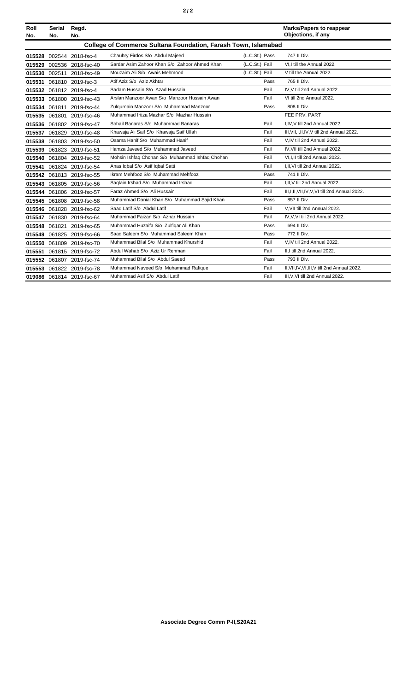|--|--|--|

| Roll<br>No. | <b>Serial</b><br>No. | Regd.<br>No.              |                                                                       |                | <b>Marks/Papers to reappear</b><br>Objections, if any |
|-------------|----------------------|---------------------------|-----------------------------------------------------------------------|----------------|-------------------------------------------------------|
|             |                      |                           | <b>College of Commerce Sultana Foundation, Farash Town, Islamabad</b> |                |                                                       |
| 015528      |                      | 002544 2018-fsc-4         | Chauhry Firdos S/o Abdul Majeed                                       | (L.C.St.) Pass | 747 II Div.                                           |
| 015529      |                      | 002536 2018-fsc-40        | Sardar Asim Zahoor Khan S/o Zahoor Ahmed Khan                         | (L.C.St.) Fail | VI.I till the Annual 2022.                            |
| 015530      |                      | 002511 2018-fsc-49        | Mouzaim Ali S/o Awais Mehmood                                         | (L.C.St.) Fail | V till the Annual 2022.                               |
| 015531      |                      | 061810 2019-fsc-3         | Atif Aziz S/o Aziz Akhtar                                             | Pass           | 765 II Div.                                           |
| 015532      |                      | 061812 2019-fsc-4         | Sadam Hussain S/o Azad Hussain                                        | Fail           | IV, V till 2nd Annual 2022.                           |
| 015533      |                      | 061800 2019-fsc-43        | Arslan Manzoor Awan S/o Manzoor Hussain Awan                          | Fail           | VI till 2nd Annual 2022.                              |
| 015534      |                      | 061811 2019-fsc-44        | Zulgurnain Manzoor S/o Muhammad Manzoor                               | Pass           | 808 II Div.                                           |
| 015535      |                      | 061801 2019-fsc-46        | Muhammad Irtiza Mazhar S/o Mazhar Hussain                             |                | FEE PRV. PART                                         |
| 015536      |                      | 061802 2019-fsc-47        | Sohail Banaras S/o Muhammad Banaras                                   | Fail           | I,IV, V till 2nd Annual 2022.                         |
| 015537      |                      | 061829 2019-fsc-48        | Khawaja Ali Saif S/o Khawaja Saif Ullah                               | Fail           | III, VII, I, II, IV, V till 2nd Annual 2022.          |
| 015538      |                      | 061803 2019-fsc-50        | Osama Hanif S/o Muhammad Hanif                                        | Fail           | V.IV till 2nd Annual 2022.                            |
| 015539      |                      | 061823 2019-fsc-51        | Hamza Javeed S/o Muhammad Javeed                                      | Fail           | IV, VII till 2nd Annual 2022.                         |
| 015540      |                      | 061804 2019-fsc-52        | Mohsin Ishfaq Chohan S/o Muhammad Ishfaq Chohan                       | Fail           | VI.I.II till 2nd Annual 2022.                         |
| 015541      |                      | 061824 2019-fsc-54        | Anas Iqbal S/o Asif Iqbal Satti                                       | Fail           | I, II, VI till 2nd Annual 2022.                       |
|             |                      | 015542 061813 2019-fsc-55 | Ikram Mehfooz S/o Muhammad Mehfooz                                    | Pass           | 741 II Div.                                           |
| 015543      |                      | 061805 2019-fsc-56        | Saglain Irshad S/o Muhammad Irshad                                    | Fail           | I, II, V till 2nd Annual 2022.                        |
|             |                      | 015544 061806 2019-fsc-57 | Faraz Ahmed S/o Ali Hussain                                           | Fail           | III, I, II, VII, IV, V, VI till 2nd Annual 2022.      |
| 015545      |                      | 061808 2019-fsc-58        | Muhammad Danial Khan S/o Muhammad Sajid Khan                          | Pass           | 857 II Div.                                           |
| 015546      |                      | 061828 2019-fsc-62        | Saad Latif S/o Abdul Latif                                            | Fail           | V, VII till 2nd Annual 2022.                          |
| 015547      |                      | 061830 2019-fsc-64        | Muhammad Faizan S/o Azhar Hussain                                     | Fail           | IV, V, VI till 2nd Annual 2022.                       |
| 015548      |                      | 061821 2019-fsc-65        | Muhammad Huzaifa S/o Zulfiqar Ali Khan                                | Pass           | 694 II Div.                                           |
| 015549      |                      | 061825 2019-fsc-66        | Saad Saleem S/o Muhammad Saleem Khan                                  | Pass           | 772 II Div.                                           |
| 015550      |                      | 061809 2019-fsc-70        | Muhammad Bilal S/o Muhammad Khurshid                                  | Fail           | V,IV till 2nd Annual 2022.                            |
| 015551      |                      | 061815 2019-fsc-72        | Abdul Wahab S/o Aziz Ur Rehman                                        | Fail           | II.I till 2nd Annual 2022.                            |
|             |                      | 015552 061807 2019-fsc-74 | Muhammad Bilal S/o Abdul Saeed                                        | Pass           | 793 II Div.                                           |
|             |                      | 015553 061822 2019-fsc-78 | Muhammad Naveed S/o Muhammad Rafique                                  | Fail           | II, VII, IV, VI, III, V till 2nd Annual 2022.         |
|             |                      | 019086 061814 2019-fsc-67 | Muhammad Asif S/o Abdul Latif                                         | Fail           | III, V, VI till 2nd Annual 2022.                      |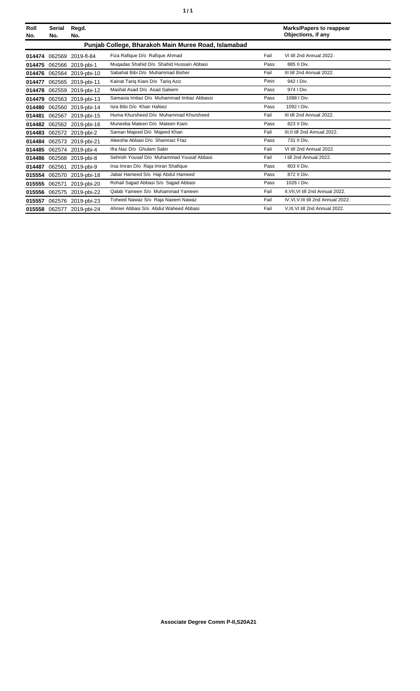| Roll<br>No. | <b>Serial</b><br>No. | Regd.<br>No.              |                                                     |      | <b>Marks/Papers to reappear</b><br>Objections, if any |
|-------------|----------------------|---------------------------|-----------------------------------------------------|------|-------------------------------------------------------|
|             |                      |                           | Punjab College, Bharakoh Main Muree Road, Islamabad |      |                                                       |
| 014474      | 062569               | 2019-fl-84                | Fiza Rafique D/o Rafique Ahmad                      | Fail | VI till 2nd Annual 2022.                              |
| 014475      |                      | 062566 2019-pbi-1         | Mugadas Shahid D/o Shahid Hussain Abbasi            | Pass | 885 II Div.                                           |
| 014476      |                      | 062564 2019-pbi-10        | Sabahat Bibi D/o Muhammad Bisher                    | Fail | III till 2nd Annual 2022.                             |
| 014477      |                      | 062565 2019-pbi-11        | Kainat Tariq Kiani D/o Tariq Aziz                   | Pass | 942   Div.                                            |
| 014478      | 062559               | 2019-pbi-12               | Mashal Asad D/o Asad Saleem                         | Pass | 974   Div.                                            |
| 014479      |                      | 062563 2019-pbi-13        | Samavia Imtiaz D/o Muhammad Imtiaz Abbassi          | Pass | 1088   Div.                                           |
| 014480      |                      | 062560 2019-pbi-14        | Isra Bibi D/o Khan Hafeez                           | Pass | 1092   Div.                                           |
| 014481      | 062567               | 2019-pbi-15               | Huma Khursheed D/o Muhammad Khursheed               | Fail | III till 2nd Annual 2022.                             |
| 014482      |                      | 062562 2019-pbi-16        | Muneeba Mateen D/o Mateen Kiani                     | Pass | 823 II Div.                                           |
| 014483      |                      | 062572 2019-pbi-2         | Saman Majeed D/o Majeed Khan                        | Fail | III.II till 2nd Annual 2022.                          |
| 014484      |                      | 062573 2019-pbi-21        | Aleesha Abbasi D/o Shamraiz Fraz                    | Pass | 731 II Div.                                           |
| 014485      |                      | 062574 2019-pbi-4         | Ifra Naz D/o Ghulam Sabir                           | Fail | VI till 2nd Annual 2022.                              |
| 014486      |                      | 062568 2019-pbi-8         | Sehrish Yousaf D/o Muhammad Yousaf Abbasi           | Fail | I till 2nd Annual 2022.                               |
| 014487      | 062561               | 2019-pbi-9                | Irsa Imran D/o Raja Imran Shafique                  | Pass | 803 II Div.                                           |
| 015554      | 062570               | 2019-pbi-18               | Jabar Hameed S/o Haji Abdul Hameed                  | Pass | 872 II Div.                                           |
| 015555      | 062571               | 2019-pbi-20               | Rohail Sajjad Abbasi S/o Sajjad Abbasi              | Pass | 1026   Div.                                           |
| 015556      | 062575               | 2019-pbi-22               | Qalab Yameen S/o Muhammad Yameen                    | Fail | II.VII.VI till 2nd Annual 2022.                       |
| 015557      | 062576               | 2019-pbi-23               | Toheed Nawaz S/o Raja Naeem Nawaz                   | Fail | IV, VI, V, III till 2nd Annual 2022.                  |
|             |                      | 015558 062577 2019-pbi-24 | Ahmer Abbasi S/o Abdul Waheed Abbasi                | Fail | V.III.VI till 2nd Annual 2022.                        |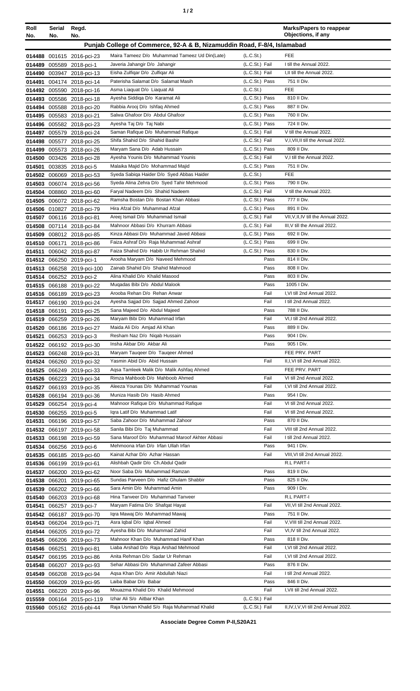| Roll<br>No. | Serial<br>No. | Regd.<br>No.                                           |                                                                              |                                  | <b>Marks/Papers to reappear</b><br>Objections, if any      |
|-------------|---------------|--------------------------------------------------------|------------------------------------------------------------------------------|----------------------------------|------------------------------------------------------------|
|             |               |                                                        | Punjab College of Commerce, 92-A & B, Nizamuddin Road, F-8/4, Islamabad      |                                  |                                                            |
|             |               | 014488 001615 2016-pci-23                              | Maira Tameez D/o Muhammad Tameez Ud Din(Late)                                | (L.C.St.)                        | <b>FEE</b>                                                 |
| 014489      |               | 005589 2018-pci-1                                      | Javeria Jahangir D/o Jahangir                                                | (L.C.St.) Fail                   | I till the Annual 2022.                                    |
|             |               | 014490 003947 2018-pci-13                              | Eisha Zulfiqar D/o Zulfiqar Ali                                              | (L.C.St.) Fail                   | I.II till the Annual 2022.                                 |
|             |               | 014491 004174 2018-pci-14                              | Paterisha Salamat D/o Salamat Masih                                          | (L.C.St.) Pass                   | 751 II Div.                                                |
|             |               | 014492 005590 2018-pci-16                              | Asma Liaquat D/o Liaquat Ali                                                 | (L.C.S <sub>t</sub> )            | <b>FEE</b>                                                 |
|             |               | 014493 005586 2018-pci-18                              | Ayesha Siddiga D/o Karamat Ali                                               | (L.C.St.) Pass                   | 810 II Div.                                                |
|             |               | 014494 005588 2018-pci-20                              | Rabbia Arooj D/o Ishfaq Ahmed                                                | (L.C.St.) Pass                   | 887 II Div.                                                |
|             |               | 014495 005583 2018-pci-21                              | Salwa Ghafoor D/o Abdul Ghafoor                                              | (L.C.St.) Pass                   | 760 II Div.                                                |
| 014497      |               | 014496 005582 2018-pci-23                              | Ayesha Taj D/o Taj Nabi<br>Saman Rafique D/o Muhammad Rafique                | (L.C.St.) Pass<br>(L.C.St.) Fail | 724 II Div.<br>V till the Annual 2022.                     |
| 014498      |               | 005579 2018-pci-24<br>005577 2018-pci-25               | Shifa Shahid D/o Shahid Bashir                                               | (L.C.St.) Fail                   | V,I, VII, II till the Annual 2022.                         |
| 014499      |               | 005573 2018-pci-26                                     | Maryam Sana D/o Adab Hussain                                                 | (L.C.St.) Pass                   | 809 II Div.                                                |
|             |               | 014500 003426 2018-pci-28                              | Ayesha Younis D/o Muhammad Younis                                            | (L.C.St.) Fail                   | V,I till the Annual 2022.                                  |
|             |               | 014501 003835 2018-pci-5                               | Malaika Majid D/o Mohammad Majid                                             | (L.C.St.) Pass                   | 751 II Div.                                                |
|             |               | 014502 006069 2018-pci-53                              | Syeda Sabiga Haider D/o Syed Abbas Haider                                    | (L.C.St.)                        | <b>FEE</b>                                                 |
|             |               | 014503 006074 2018-pci-56                              | Syeda Alina Zehra D/o Syed Tahir Mehmood                                     | (L.C.St.) Pass                   | 790 II Div.                                                |
|             |               | 014504 008860 2018-pci-60                              | Faryal Nadeem D/o Shahid Nadeem                                              | (L.C.St.) Fail                   | V till the Annual 2022.                                    |
|             |               | 014505 006072 2018-pci-62                              | Ramsha Bostan D/o Bostan Khan Abbasi                                         | (L.C.St.) Pass                   | 777 II Div.<br>891 II Div.                                 |
|             |               | 014506 010827 2018-pci-79                              | Hira Afzal D/o Muhammad Afzal<br>Areej Ismail D/o Muhammad Ismail            | (L.C.St.) Pass<br>(L.C.St.) Fail | VII, V, II, IV till the Annual 2022.                       |
|             |               | 014507 006116 2018-pci-81<br>014508 007114 2018-pci-84 | Mahnoor Abbasi D/o Khurram Abbasi                                            | (L.C.St.) Fail                   | III, V till the Annual 2022.                               |
|             |               | 014509 008012 2018-pci-85                              | Kinza Abbasi D/o Muhammad Javed Abbasi                                       | (L.C.St.) Pass                   | 692 II Div.                                                |
|             |               | 014510 006171 2018-pci-86                              | Faiza Ashraf D/o Raja Muhammad Ashraf                                        | (L.C.St.) Pass                   | 699 II Div.                                                |
|             |               | 014511 006042 2018-pci-87                              | Faiza Shahid D/o Habib Ur Rehman Shahid                                      | (L.C.St.) Pass                   | 830 II Div.                                                |
|             |               | 014512 066250 2019-pci-1                               | Arooha Maryam D/o Naveed Mehmood                                             | Pass                             | 814 II Div.                                                |
|             |               | 014513 066258 2019-pci-100                             | Zainab Shahid D/o Shahid Mahmood                                             | Pass                             | 808 II Div.                                                |
|             |               | 014514 066252 2019-pci-2                               | Alina Khalid D/o Khalid Masood                                               | Pass                             | 803 II Div.                                                |
|             |               | 014515 066188 2019-pci-22                              | Mugadas Bibi D/o Abdul Malook                                                | Pass                             | 1005 I Div.                                                |
|             |               | 014516 066189 2019-pci-23                              | Arooba Rehan D/o Rehan Anwar<br>Ayesha Sajjad D/o Sajjad Ahmed Zahoor        | Fail<br>Fail                     | I, VI till 2nd Annual 2022.<br>I till 2nd Annual 2022.     |
|             |               | 014517 066190 2019-pci-24<br>014518 066191 2019-pci-25 | Sana Majeed D/o Abdul Majeed                                                 | Pass                             | 788 II Div.                                                |
|             |               | 014519 066259 2019-pci-26                              | Maryam Bibi D/o Muhammad Irfan                                               | Fail                             | VI,I till 2nd Annual 2022.                                 |
|             |               | 014520 066186 2019-pci-27                              | Maida Ali D/o Amjad Ali Khan                                                 | Pass                             | 889 II Div.                                                |
|             |               | 014521 066253 2019-pci-3                               | Resham Naz D/o Niqab Hussain                                                 | Pass                             | 904 I Div.                                                 |
|             |               | 014522 066192 2019-pci-30                              | Insha Akbar D/o Akbar Ali                                                    | Pass                             | 905   Div.                                                 |
|             |               | 014523 066248 2019-pci-31                              | Maryam Taugeer D/o Taugeer Ahmed                                             |                                  | FEE PRV. PART                                              |
|             |               | 014524 066260 2019-pci-32                              | Yasmin Abid D/o Abid Hussain                                                 | Fail                             | II, I, VI till 2nd Annual 2022.                            |
|             |               | 014525 066249 2019-pci-33                              | Agsa Tamleek Malik D/o Malik Ashfaq Ahmed<br>Rimza Mahboob D/o Mahboob Ahmed |                                  | FEE PRV. PART<br>VI till 2nd Annual 2022.                  |
|             |               | 014526 066223 2019-pci-34                              | Aleeza Younas D/o Muhammad Younas                                            | Fail<br>Fail                     | I.VI till 2nd Annual 2022.                                 |
|             |               | 014527 066193 2019-pci-35<br>014528 066194 2019-pci-36 | Muniza Hasib D/o Hasib Ahmed                                                 | Pass                             | 954 I Div.                                                 |
|             |               | 014529 066254 2019-pci-4                               | Mahnoor Rafique D/o Muhammad Rafique                                         | Fail                             | VI till 2nd Annual 2022.                                   |
|             |               | 014530 066255 2019-pci-5                               | Igra Latif D/o Muhammad Latif                                                | Fail                             | VI till 2nd Annual 2022.                                   |
|             |               | 014531 066196 2019-pci-57                              | Saba Zahoor D/o Muhammad Zahoor                                              | Pass                             | 870 II Div.                                                |
|             |               | 014532 066197 2019-pci-58                              | Sanila Bibi D/o Taj Muhammad                                                 | Fail                             | VIII till 2nd Annual 2022.                                 |
|             |               | 014533 066198 2019-pci-59                              | Sana Maroof D/o Muhammad Maroof Akhter Abbasi                                | Fail                             | I till 2nd Annual 2022.                                    |
|             |               | 014534 066256 2019-pci-6                               | Mehmoona Irfan D/o Irfan Ullah Irfan                                         | Pass                             | 941   Div.                                                 |
|             |               | 014535 066185 2019-pci-60                              | Kainat Azhar D/o Azhar Hassan                                                | Fail                             | VIII, VI till 2nd Annual 2022.                             |
|             |               | 014536 066199 2019-pci-61<br>014537 066200 2019-pci-62 | Alishbah Qadir D/o Ch.Abdul Qadir<br>Noor Saba D/o Muhammad Ramzan           | Pass                             | R.L PART-I<br>819 II Div.                                  |
|             | 014538 066201 | 2019-pci-65                                            | Sundas Parveen D/o Hafiz Ghulam Shabbir                                      | Pass                             | 825 II Div.                                                |
|             |               | 014539 066202 2019-pci-66                              | Sara Amin D/o Muhammad Amin                                                  | Pass                             | 909 I Div.                                                 |
|             |               | 014540 066203 2019-pci-68                              | Hina Tanveer D/o Muhammad Tanveer                                            |                                  | R.L PART-I                                                 |
| 014541      |               | 066257 2019-pci-7                                      | Maryam Fatima D/o Shafqat Hayat                                              | Fail                             | VII, VI till 2nd Annual 2022.                              |
|             |               | 014542 066187 2019-pci-70                              | Iqra Mawaj D/o Muhammad Mawaj                                                | Pass                             | 751 II Div.                                                |
|             |               | 014543 066204 2019-pci-71                              | Asra Iqbal D/o Iqbal Ahmed                                                   | Fail                             | V, VIII till 2nd Annual 2022.                              |
|             |               | 014544 066205 2019-pci-72                              | Ayesha Bibi D/o Muhammad Zahid                                               | Fail                             | VI, IV till 2nd Annual 2022.                               |
|             |               | 014545 066206 2019-pci-73                              | Mahnoor Khan D/o Muhammad Hanif Khan                                         | Pass                             | 818 II Div.                                                |
|             |               | 014546 066251 2019-pci-81                              | Liaba Arshad D/o Raja Arshad Mehmood<br>Anita Rehman D/o Sadar Ur Rehman     | Fail<br>Fail                     | I, VI till 2nd Annual 2022.<br>I, VI till 2nd Annual 2022. |
|             |               | 014547 066195 2019-pci-86<br>014548 066207 2019-pci-93 | Sehar Abbasi D/o Muhammad Zafeer Abbasi                                      | Pass                             | 876 II Div.                                                |
|             |               | 014549 066208 2019-pci-94                              | Aqsa Khan D/o Amir Abdullah Niazi                                            | Fail                             | I till 2nd Annual 2022.                                    |
|             |               | 014550 066209 2019-pci-95                              | Laiba Babar D/o Babar                                                        | Pass                             | 846 II Div.                                                |
|             |               | 014551 066220 2019-pci-96                              | Mouazma Khalid D/o Khalid Mehmood                                            | Fail                             | I, VII till 2nd Annual 2022.                               |
|             |               | 015559 006164 2015-pci-119                             | Izhar Ali S/o Aitbar Khan                                                    | (L.C.St.) Fail                   |                                                            |
|             |               | 015560 005162 2016-pbi-44                              | Raja Usman Khalid S/o Raja Muhammad Khalid                                   | (L.C.St.) Fail                   | II, IV, I, V, VI till 2nd Annual 2022.                     |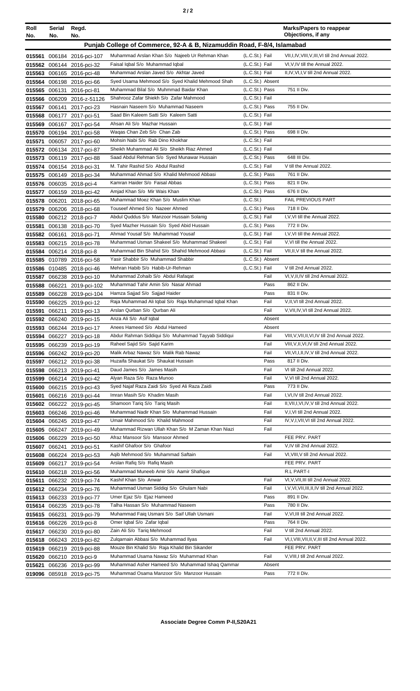|--|--|--|

| Roll<br>No. | Serial<br>No. | Regd.<br>No.                                            |                                                                                           |                                    | <b>Marks/Papers to reappear</b><br>Objections, if any                         |
|-------------|---------------|---------------------------------------------------------|-------------------------------------------------------------------------------------------|------------------------------------|-------------------------------------------------------------------------------|
|             |               |                                                         | Punjab College of Commerce, 92-A & B, Nizamuddin Road, F-8/4, Islamabad                   |                                    |                                                                               |
|             |               |                                                         |                                                                                           |                                    |                                                                               |
|             |               | 015561 006184 2016-pci-107                              | Muhammad Arslan Khan S/o Najeeb Ur Rehman Khan                                            | (L.C.St.) Fail                     | VII, I, IV, VIII, V, III, VI till 2nd Annual 2022.                            |
|             |               | 015562 006144 2016-pci-32                               | Faisal Iqbal S/o Muhammad Iqbal                                                           | (L.C.St.) Fail                     | VI, V, IV till the Annual 2022.                                               |
|             |               | 015563 006165 2016-pci-48                               | Muhammad Arslan Javed S/o Akhtar Javed                                                    | (L.C.St.) Fail                     | II, IV, VI, I, V till 2nd Annual 2022.                                        |
|             |               | 015564 006198 2016-pci-66                               | Syed Usama Mehmood S/o Syed Khalid Mehmood Shah<br>Muhammad Bilal S/o Muhmmad Baidar Khan | (L.C.St.) Absent<br>(L.C.St.) Pass |                                                                               |
|             |               | 015565 006131 2016-pci-81                               | Shahrooz Zafar Shiekh S/o Zafar Mahmood                                                   | (L.C.St.) Fail                     | 751 II Div.                                                                   |
|             |               | 015566 006209 2016-z-51126<br>015567 006141 2017-pci-23 | Hasnain Naseem S/o Muhammad Naseem                                                        | (L.C.St.) Pass                     | 755 II Div.                                                                   |
|             |               | 015568 006177 2017-pci-51                               | Saad Bin Kaleem Satti S/o Kaleem Satti                                                    | (L.C.St.) Fail                     |                                                                               |
|             |               | 015569 006167 2017-pci-54                               | Ahsan Ali S/o Mazhar Hussain                                                              | (L.C.St.) Fail                     |                                                                               |
|             |               | 015570 006194 2017-pci-58                               | Waqas Chan Zeb S/o Chan Zab                                                               | (L.C.St.) Pass                     | 698 II Div.                                                                   |
|             |               | 015571 006057 2017-pci-60                               | Mohsin Nabi S/o Rab Dino Khokhar                                                          | (L.C.St.) Fail                     |                                                                               |
|             |               | 015572 006134 2017-pci-87                               | Sheikh Muhammad Ali S/o Sheikh Riaz Ahmed                                                 | (L.C.St.) Fail                     |                                                                               |
|             |               | 015573 006119 2017-pci-88                               | Saad Abdul Rehman S/o Syed Munawar Hussain                                                | (L.C.St.) Pass                     | 648 III Div.                                                                  |
|             |               | 015574 006154 2018-pci-31                               | M. Tahir Rashid S/o Abdul Rashid                                                          | (L.C.St.) Fail                     | V till the Annual 2022.                                                       |
|             |               | 015575 006149 2018-pci-34                               | Muhammad Ahmad S/o Khalid Mehmood Abbasi                                                  | (L.C.St.) Pass                     | 761 II Div.                                                                   |
|             |               | 015576 006035 2018-pci-4                                | Kamran Haider S/o Faisal Abbas                                                            | (L.C.St.) Pass                     | 821 II Div.                                                                   |
|             |               | 015577 006159 2018-pci-42                               | Amjad Khan S/o Mir Wais Khan                                                              | (L.C.St.) Pass                     | 676 II Div.                                                                   |
|             |               | 015578 006201 2018-pci-65                               | Muhammad Moez Khan S/o Muslim Khan                                                        | (L.C.S <sub>t</sub> )              | <b>FAIL PREVIOUS PART</b>                                                     |
|             |               | 015579 006206 2018-pci-68                               | Touseef Ahmed S/o Nazeer Ahmed                                                            | (L.C.St.) Pass                     | 718 II Div.                                                                   |
|             |               | 015580 006212 2018-pci-7                                | Abdul Quddus S/o Manzoor Hussain Solanig                                                  | (L.C.St.) Fail                     | I, V, VI till the Annual 2022.                                                |
| 015581      |               | 006138 2018-pci-70                                      | Syed Mazher Hussain S/o Syed Abid Hussain                                                 | (L.C.St.) Pass                     | 772 II Div.                                                                   |
|             |               | 015582 006161 2018-pci-71                               | Ahmad Yousaf S/o Muhammad Yousaf                                                          | (L.C.St.) Fail                     | I, V, VI till the Annual 2022.                                                |
|             |               | 015583 006215 2018-pci-78                               | Muhammad Usman Shakeel S/o Muhammad Shakeel                                               | (L.C.St.) Fail                     | V, VI till the Annual 2022.                                                   |
|             |               | 015584 006214 2018-pci-8                                | Muhammad Bin Shahid S/o Shahid Mehmood Abbasi                                             | (L.C.St.) Fail                     | VII, II, V till the Annual 2022.                                              |
|             |               | 015585 010789 2016-pci-58                               | Yasir Shabbir S/o Muhammad Shabbir                                                        | (L.C.St.) Absent                   |                                                                               |
|             |               | 015586 010485 2018-pci-46                               | Mehran Habib S/o Habib-Ur-Rehman                                                          | (L.C.St.) Fail                     | V till 2nd Annual 2022.                                                       |
|             |               | 015587 066238 2019-pci-10                               | Muhammad Zohaib S/o Abdul Rafaqat                                                         | Fail                               | VI, V, II, IV till 2nd Annual 2022.                                           |
|             |               | 015588 066221 2019-pci-102                              | Muhammad Tahir Amin S/o Nasar Ahmad                                                       | Pass                               | 862 II Div.                                                                   |
|             |               | 015589 066228 2019-pci-104                              | Hamza Sajjad S/o Sajjad Haider                                                            | Pass                               | 831 II Div.                                                                   |
|             |               | 015590 066225 2019-pci-12                               | Raja Muhammad Ali Iqbal S/o Raja Muhammad Iqbal Khan                                      | Fail                               | V, II, VI till 2nd Annual 2022.                                               |
|             |               | 015591 066211 2019-pci-13                               | Arslan Qurban S/o Qurban Ali                                                              | Fail                               | V, VII, IV, VI till 2nd Annual 2022.                                          |
|             |               | 015592 066240 2019-pci-15                               | Anza Ali S/o Asif Iqbal<br>Anees Hameed S/o Abdul Hameed                                  | Absent<br>Absent                   |                                                                               |
|             |               | 015593 066244 2019-pci-17                               | Abdur Rahman Siddiqui S/o Muhammad Tayyab Siddiqui                                        | Fail                               | VIII, V, VII, II, VI, IV till 2nd Annual 2022.                                |
|             |               | 015594 066227 2019-pci-18<br>015595 066239 2019-pci-19  | Raheel Sajid S/o Sajid Karim                                                              | Fail                               | VIII, V, II, VI, IV till 2nd Annual 2022.                                     |
|             |               | 015596 066242 2019-pci-20                               | Malik Arbaz Nawaz S/o Malik Rab Nawaz                                                     | Fail                               | VII, VI, I, II, IV, V till 2nd Annual 2022.                                   |
|             |               | 015597 066212 2019-pci-38                               | Huzaifa Shaukat S/o Shaukat Hussain                                                       | Pass                               | 817 II Div.                                                                   |
|             |               | 015598 066213 2019-pci-41                               | Daud James S/o James Masih                                                                | Fail                               | VI till 2nd Annual 2022.                                                      |
|             |               | 015599 066214 2019-pci-42                               | Alyan Raza S/o Raza Munoo                                                                 | Fail                               | V, VI till 2nd Annual 2022.                                                   |
|             |               | 015600 066215 2019-pci-43                               | Syed Najaf Raza Zaidi S/o Syed Ali Raza Zaidi                                             | Pass                               | 773 II Div.                                                                   |
|             |               | 015601 066216 2019-pci-44                               | Imran Masih S/o Khadim Masih                                                              | Fail                               | I, VI, IV till 2nd Annual 2022.                                               |
|             |               | 015602 066222 2019-pci-45                               | Shamoon Tariq S/o Tariq Masih                                                             | Fail                               | II, VII, I, VI, IV, V till 2nd Annual 2022.                                   |
|             |               | 015603 066246 2019-pci-46                               | Muhammad Nadir Khan S/o Muhammad Hussain                                                  | Fail                               | V,I,VI till 2nd Annual 2022.                                                  |
|             |               | 015604 066245 2019-pci-47                               | Umair Mahmood S/o Khalid Mahmood                                                          | Fail                               | IV, V, I, VII, VI till 2nd Annual 2022.                                       |
|             |               | 015605 066247 2019-pci-49                               | Muhammad Rizwan Ullah Khan S/o M Zaman Khan Niazi                                         | Fail                               |                                                                               |
|             |               | 015606 066229 2019-pci-50                               | Afraz Mansoor S/o Mansoor Ahmed                                                           |                                    | FEE PRV. PART                                                                 |
|             |               | 015607 066241 2019-pci-51                               | Kashif Ghafoor S/o Ghafoor                                                                | Fail                               | V, IV till 2nd Annual 2022.                                                   |
|             |               | 015608 066224 2019-pci-53                               | Agib Mehmood S/o Muhammad Saftain                                                         | Fail                               | VI, VIII, V till 2nd Annual 2022.                                             |
|             |               | 015609 066217 2019-pci-54                               | Arslan Rafiq S/o Rafiq Masih                                                              |                                    | FEE PRV. PART                                                                 |
|             |               | 015610 066218 2019-pci-56                               | Muhammad Muneeb Amir S/o Aamir Shafique                                                   |                                    | R.L PART-I                                                                    |
|             |               | 015611 066232 2019-pci-74                               | Kashif Khan S/o Anwar                                                                     | Fail                               | VI, V, VII, III till 2nd Annual 2022.                                         |
|             |               | 015612 066234 2019-pci-76                               | Muhammad Usman Siddiqi S/o Ghulam Nabi                                                    | Fail                               | I, V, VI, VII, III, II, IV till 2nd Annual 2022.                              |
|             |               | 015613 066233 2019-pci-77                               | Umer Ejaz S/o Ejaz Hameed                                                                 | Pass                               | 891 II Div.                                                                   |
|             |               | 015614 066235 2019-pci-78                               | Talha Hassan S/o Muhammad Naseem                                                          | Pass                               | 780 II Div.                                                                   |
|             |               | 015615 066231 2019-pci-79                               | Muhammad Faiq Usmani S/o Saif Ullah Usmani                                                | Fail                               | V, VI, III till 2nd Annual 2022.                                              |
|             |               | 015616 066226 2019-pci-8                                | Omer Iqbal S/o Zafar Iqbal                                                                | Pass                               | 764 II Div.                                                                   |
|             |               | 015617 066230 2019-pci-80                               | Zain Ali S/o Tariq Mehmood<br>Zulqarnain Abbasi S/o Muhammad Ilyas                        | Fail<br>Fail                       | V till 2nd Annual 2022.<br>VI, I, VIII, VII, II, V, III till 2nd Annual 2022. |
|             |               | 015618 066243 2019-pci-82                               | Mouze Bin Khalid S/o Raja Khalid Bin Sikander                                             |                                    | FEE PRV. PART                                                                 |
|             |               | 015619 066219 2019-pci-88                               | Muhammad Usama Nawaz S/o Muhammad Khan                                                    | Fail                               | V, VIII, I till 2nd Annual 2022.                                              |
|             |               | 015620 066210 2019-pci-9                                | Muhammad Asher Hameed S/o Muhammad Ishaq Qammar                                           | Absent                             |                                                                               |
| 015621      |               | 066236 2019-pci-99                                      | Muhammad Osama Manzoor S/o Manzoor Hussain                                                | Pass                               | 772 II Div.                                                                   |
|             |               | 019096 085918 2019-pci-75                               |                                                                                           |                                    |                                                                               |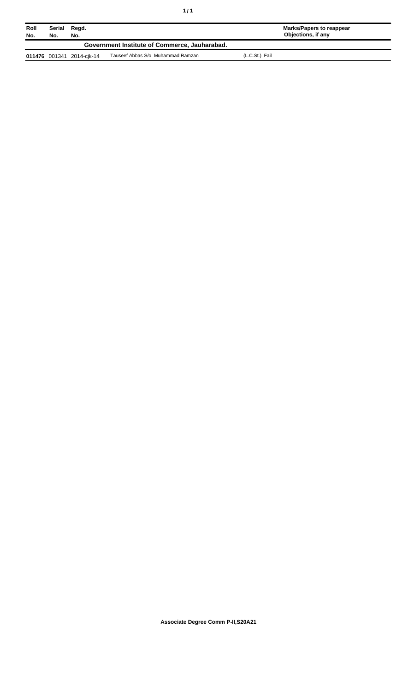| Roll<br>No. | Serial<br>No. | Regd.<br>No.              |                                               |                | Marks/Papers to reappear<br>Objections, if any |
|-------------|---------------|---------------------------|-----------------------------------------------|----------------|------------------------------------------------|
|             |               |                           | Government Institute of Commerce, Jauharabad. |                |                                                |
|             |               | 011476 001341 2014-cjk-14 | Tauseef Abbas S/o Muhammad Ramzan             | (L.C.St.) Fail |                                                |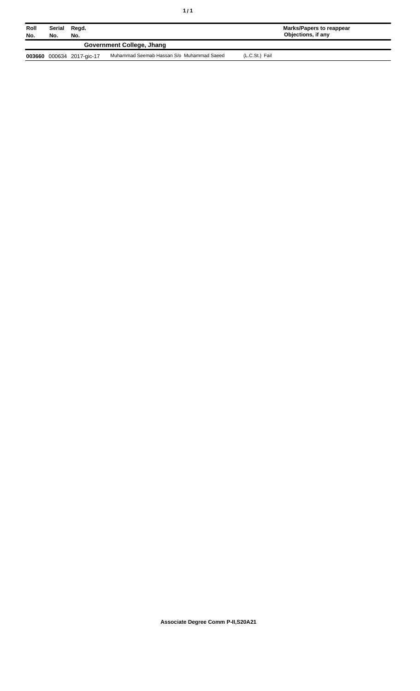| ٠ | $\frac{1}{\sqrt{2}}$<br>٠ |
|---|---------------------------|
|   |                           |

| Roll<br>No. | Serial<br>Regd.<br>No.<br>No. |                           |                                           |                | <b>Marks/Papers to reappear</b><br>Objections, if any |
|-------------|-------------------------------|---------------------------|-------------------------------------------|----------------|-------------------------------------------------------|
|             |                               |                           | Government College, Jhang                 |                |                                                       |
|             |                               | 003660 000634 2017-gic-17 | Muhammad Seemab Hassan S/o Muhammad Saeed | (L.C.St.) Fail |                                                       |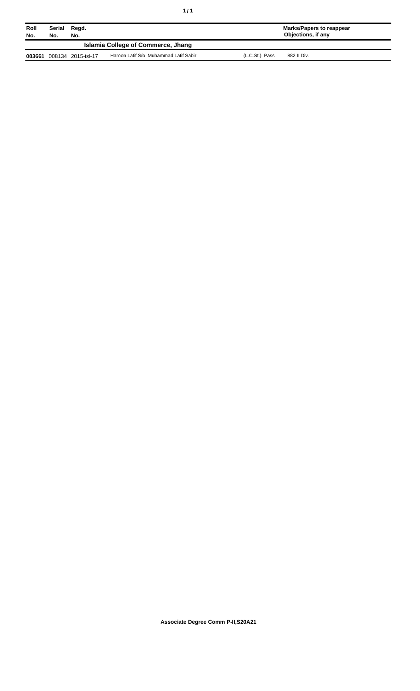| Roll<br>No. | Serial<br>No. | Regd.<br>No.       |                                       |                | <b>Marks/Papers to reappear</b><br>Objections, if any |  |
|-------------|---------------|--------------------|---------------------------------------|----------------|-------------------------------------------------------|--|
|             |               |                    | Islamia College of Commerce, Jhang    |                |                                                       |  |
| 003661      |               | 008134 2015-isl-17 | Haroon Latif S/o Muhammad Latif Sabir | (L.C.St.) Pass | 882 II Div.                                           |  |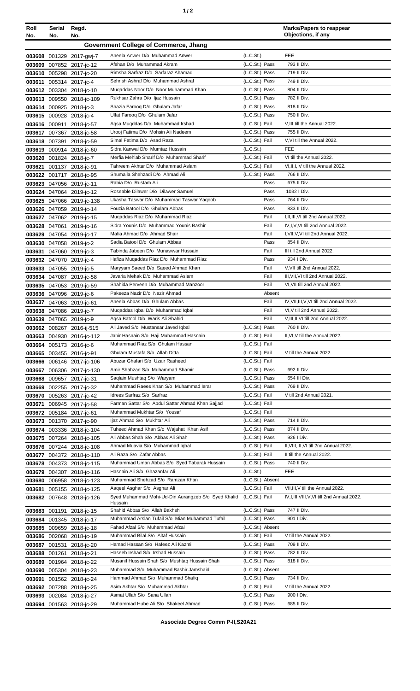| Roll<br>No. | Serial<br>No. | Regd.<br>No.                                           |                                                                               |                                  | <b>Marks/Papers to reappear</b><br>Objections, if any           |
|-------------|---------------|--------------------------------------------------------|-------------------------------------------------------------------------------|----------------------------------|-----------------------------------------------------------------|
|             |               |                                                        | <b>Government College of Commerce, Jhang</b>                                  |                                  |                                                                 |
|             |               | 003608 001329 2017-gwj-7                               | Aneela Anwer D/o Muhammad Anwer                                               | (L.C.St.)                        | <b>FEE</b>                                                      |
| 003609      |               | 007852 2017-jc-12                                      | Afshan D/o Muhammad Akram                                                     | (L.C.St.) Pass                   | 793 II Div.                                                     |
|             |               | 003610 005298 2017-jc-20                               | Rimsha Sarfraz D/o Sarfaraz Ahamad                                            | (L.C.St.) Pass                   | 719 II Div.                                                     |
|             |               | 003611 005314 2017-jc-4                                | Sehrish Ashraf D/o Muhammad Ashraf                                            | (L.C.St.) Pass                   | 749 II Div.                                                     |
|             |               | 003612 003304 2018-jc-10                               | Mugaddas Noor D/o Noor Muhammad Khan                                          | (L.C.St.) Pass                   | 804 II Div.                                                     |
|             |               | 003613 009550 2018-jc-109                              | Rukhsar Zahra D/o Ijaz Hussain                                                | (L.C.St.) Pass                   | 782 II Div.                                                     |
|             |               | 003614 000925 2018-jc-3                                | Shazia Farooq D/o Ghulam Jafar                                                | (L.C.St.) Pass                   | 818 II Div.                                                     |
|             |               | 003615 000928 2018-jc-4                                | Ulfat Faroog D/o Ghulam Jafar                                                 | (L.C.St.) Pass                   | 750 II Div.                                                     |
|             |               | 003616 000911 2018-ic-57                               | Agsa Mugddas D/o Muhammad Irshad                                              | (L.C.St.) Fail                   | V, III till the Annual 2022.                                    |
|             |               | 003617 007367 2018-jc-58                               | Urooj Fatima D/o Mohsin Ali Nadeem                                            | (L.C.St.) Pass                   | 755 II Div.                                                     |
|             |               | 003618 007391 2018-jc-59                               | Simal Fatima D/o Asad Raza                                                    | (L.C.St.) Fail                   | V, VI till the Annual 2022.                                     |
|             |               | 003619 000914 2018-jc-60                               | Sidra Kanwal D/o Mumtaz Hussain                                               | (L.C.St.)                        | <b>FEE</b>                                                      |
|             |               | 003620 001824 2018-jc-7                                | Merfia Mehlab Sharif D/o Muhammad Sharif<br>Tahreem Akhtar D/o Muhammad Aslam | (L.C.St.) Fail<br>(L.C.St.) Fail | VI till the Annual 2022.<br>VI, II, I, IV till the Annual 2022. |
|             |               | 003621 001137 2018-jc-91<br>003622 001717 2018-jc-95   | Shumaila Shehzadi D/o Ahmad Ali                                               | (L.C.St.) Pass                   | 766 II Div.                                                     |
|             |               | 003623 047056 2019-jc-11                               | Rabia D/o Rustam Ali                                                          | Pass                             | 675 II Div.                                                     |
|             |               | 003624 047064 2019-jc-12                               | Roseable Dilawer D/o Dilawer Samuel                                           | Pass                             | 1032   Div.                                                     |
|             |               | 003625 047066 2019-jc-138                              | Ukasha Taswar D/o Muhammad Taswar Yaqoob                                      | Pass                             | 764 II Div.                                                     |
|             |               | 003626 047059 2019-jc-14                               | Fouzia Batool D/o Ghulam Abbas                                                | Pass                             | 833 II Div.                                                     |
|             |               | 003627 047062 2019-jc-15                               | Mugaddas Riaz D/o Muhammad Riaz                                               | Fail                             | I, II, III, VI till 2nd Annual 2022.                            |
|             |               | 003628 047061 2019-jc-16                               | Sidra Younis D/o Muhammad Younis Bashir                                       | Fail                             | IV, I, V, VI till 2nd Annual 2022.                              |
|             |               | 003629 047054 2019-jc-17                               | Mafia Ahmad D/o Ahmad Shair                                                   | Fail                             | I, VII, V, VI till 2nd Annual 2022.                             |
|             |               | 003630 047058 2019-jc-2                                | Sadia Batool D/o Ghulam Abbas                                                 | Pass                             | 854 II Div.                                                     |
|             |               | 003631 047060 2019-jc-3                                | Tabinda Jabeen D/o Munawwar Hussain                                           | Fail                             | III till 2nd Annual 2022.                                       |
|             |               | 003632 047070 2019-jc-4                                | Hafiza Mugaddas Riaz D/o Muhammad Riaz                                        | Pass                             | 934   Div.                                                      |
|             |               | 003633 047055 2019-jc-5                                | Maryyam Saeed D/o Saeed Ahmad Khan                                            | Fail                             | V, VII till 2nd Annual 2022.                                    |
|             |               | 003634 047087 2019-jc-58                               | Javaria Mehak D/o Muhammad Aslam                                              | Fail                             | III, VII, VI till 2nd Annual 2022.                              |
|             |               | 003635 047053 2019-jc-59                               | Shahida Perveen D/o Muhammad Manzoor                                          | Fail                             | VI, VII till 2nd Annual 2022.                                   |
|             |               | 003636 047096 2019-jc-6                                | Pakeeza Nazir D/o Nazir Ahmad<br>Aneela Abbas D/o Ghulam Abbas                | Absent<br>Fail                   | IV, VII, III, V, VI till 2nd Annual 2022.                       |
|             |               | 003637 047063 2019-jc-61<br>003638 047086 2019-jc-7    | Muqaddas Iqbal D/o Muhammad Iqbal                                             | Fail                             | VI, V till 2nd Annual 2022.                                     |
|             |               | 003639 047065 2019-jc-9                                | Agsa Batool D/o Waris Ali Shahid                                              | Fail                             | V, III, II, VI till 2nd Annual 2022.                            |
|             |               | 003662 008267 2016-ij-515                              | Ali Javed S/o Mustansar Javed Iqbal                                           | (L.C.St.) Pass                   | 760 II Div.                                                     |
|             |               | 003663 004930 2016-jc-112                              | Jabir Hasnain S/o Haji Muhammad Hasnain                                       | (L.C.St.) Fail                   | II, VI, V till the Annual 2022.                                 |
| 003664      |               | 005173 2016-jc-6                                       | Muhammad Riaz S/o Ghulam Hassan                                               | (L.C.St.) Fail                   |                                                                 |
|             |               | 003665 003455 2016-jc-91                               | Ghulam Mustafa S/o Allah Ditta                                                | (L.C.St.) Fail                   | V till the Annual 2022.                                         |
|             |               | 003666 006146 2017-jc-106                              | Abuzar Ghafari S/o Uzair Rasheed                                              | (L.C.St.) Fail                   |                                                                 |
|             |               | 003667 006306 2017-jc-130                              | Amir Shahzad S/o Muhammad Shamir                                              | (L.C.St.) Pass                   | 692 II Div.                                                     |
|             |               | 003668 009657 2017-jc-31                               | Saqlain Mushtaq S/o Waryam                                                    | (L.C.St.) Pass                   | 654 III Div.                                                    |
|             |               | 003669 002255 2017-jc-32                               | Muhammad Raees Khan S/o Muhammad Israr                                        | (L.C.St.) Pass                   | 769 II Div.                                                     |
|             |               | 003670 005263 2017-jc-42                               | Idrees Sarfraz S/o Sarfraz                                                    | (L.C.St.) Fail                   | V till 2nd Annual 2021.                                         |
| 003671      |               | 006945 2017-jc-58                                      | Farman Sattar S/o Abdul Sattar Ahmad Khan Sajjad                              | (L.C.St.) Fail                   |                                                                 |
|             |               | 003672 005184 2017-jc-61                               | Muhammad Mukhtar S/o Yousaf                                                   | (L.C.St.) Fail                   |                                                                 |
|             |               | 003673 001370 2017-jc-90                               | Ijaz Ahmad S/o Mukhtar Ali<br>Tuheed Ahmad Khan S/o Wajahat Khan Asif         | (L.C.St.) Pass<br>(L.C.St.) Pass | 714 II Div.<br>874 II Div.                                      |
|             |               | 003674 003336 2018-jc-104<br>003675 007264 2018-jc-105 | Ali Abbas Shah S/o Abbas Ali Shah                                             | (L.C.St.) Pass                   | 926   Div.                                                      |
|             |               | 003676 007244 2018-jc-108                              | Ahmad Muavia S/o Muhammad Iqbal                                               | (L.C.St.) Fail                   | II, VIII, III, VI till 2nd Annual 2022.                         |
|             |               | 003677 004372 2018-jc-110                              | Ali Raza S/o Zafar Abbas                                                      | (L.C.St.) Fail                   | II till the Annual 2022.                                        |
|             |               | 003678 004373 2018-jc-115                              | Muhammad Uman Abbas S/o Syed Tabarak Hussain                                  | (L.C.St.) Pass                   | 740 II Div.                                                     |
|             |               | 003679 004307 2018-jc-116                              | Hasnain Ali S/o Ghazanfar Ali                                                 | (L.C.S <sub>t</sub> )            | <b>FEE</b>                                                      |
|             |               | 003680 006958 2018-jc-123                              | Muhammad Shehzad S/o Ramzan Khan                                              | (L.C.St.) Absent                 |                                                                 |
|             |               | 003681 005155 2018-jc-125                              | Aageel Asghar S/o Asghar Ali                                                  | (L.C.St.) Fail                   | VII, III, V till the Annual 2022.                               |
|             |               | 003682 007648 2018-jc-126                              | Syed Muhammad Mohi-Ud-Din Aurangzeb S/o Syed Khalid                           | (L.C.St.) Fail                   | IV, I, III, VIII, V, VI till 2nd Annual 2022.                   |
|             |               | 003683 001191 2018-jc-15                               | Hussain<br>Shahid Abbas S/o Allah Bakhsh                                      | (L.C.St.) Pass                   | 747 II Div.                                                     |
|             |               | 003684 001345 2018-jc-17                               | Muhammad Arslan Tufail S/o Mian Muhammad Tufail                               | (L.C.St.) Pass                   | 901 I Div.                                                      |
|             |               | 003685 009659 2018-jc-18                               | Fahad Afzal S/o Muhammad Afzal                                                | (L.C.St.) Absent                 |                                                                 |
|             |               | 003686 002068 2018-jc-19                               | Muhammad Bilal S/o Altaf Hussain                                              | (L.C.St.) Fail                   | V till the Annual 2022.                                         |
| 003687      |               | 001531 2018-jc-20                                      | Hamad Hassan S/o Hafeez Ali Kazmi                                             | (L.C.St.) Pass                   | 709 II Div.                                                     |
|             |               | 003688 001261 2018-jc-21                               | Haseeb Irshad S/o Irshad Hussain                                              | (L.C.St.) Pass                   | 782 II Div.                                                     |
|             |               | 003689 001964 2018-jc-22                               | Musanif Hussain Shah S/o Mushtag Hussain Shah                                 | (L.C.St.) Pass                   | 818 II Div.                                                     |
|             |               | 003690 005304 2018-jc-23                               | Muhammad S/o Muhammad Bashir Jamshaid                                         | (L.C.St.) Absent                 |                                                                 |
| 003691      |               | 001562 2018-jc-24                                      | Hammad Ahmad S/o Muhammad Shafiq                                              | (L.C.St.) Pass                   | 734 II Div.                                                     |
|             |               | 003692 007288 2018-jc-25                               | Asim Akhtar S/o Muhammad Akhtar                                               | (L.C.St.) Fail                   | V till the Annual 2022.                                         |
|             |               | 003693 002084 2018-jc-27                               | Asmat Ullah S/o Sana Ullah                                                    | (L.C.St.) Pass                   | 900 I Div.                                                      |
|             |               | 003694 001563 2018-jc-29                               | Muhammad Hube Ali S/o Shakeel Ahmad                                           | (L.C.St.) Pass                   | 685 II Div.                                                     |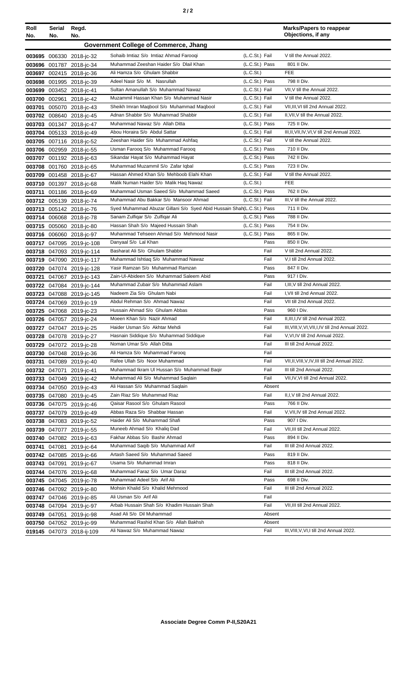| Roll<br>No.                           | Serial<br>No. | Regd.<br>No.                                         |                                                                       |                | <b>Marks/Papers to reappear</b><br>Objections, if any |  |  |  |  |
|---------------------------------------|---------------|------------------------------------------------------|-----------------------------------------------------------------------|----------------|-------------------------------------------------------|--|--|--|--|
| Government College of Commerce, Jhang |               |                                                      |                                                                       |                |                                                       |  |  |  |  |
|                                       |               | 003695 006330 2018-jc-32                             | Sohaib Imtiaz S/o Imtiaz Ahmad Farooqi                                | (L.C.St.) Fail | V till the Annual 2022.                               |  |  |  |  |
|                                       |               | 003696 001787 2018-jc-34                             | Muhammad Zeeshan Haider S/o Dlail Khan                                | (L.C.St.) Pass | 801 II Div.                                           |  |  |  |  |
|                                       |               | 003697 002415 2018-jc-36                             | Ali Hamza S/o Ghulam Shabbir                                          | (L.C.St.)      | FEE                                                   |  |  |  |  |
|                                       |               | 003698 001995 2018-jc-39                             | Adeel Nasir S/o M. Nasrullah                                          | (L.C.St.) Pass | 798 II Div.                                           |  |  |  |  |
|                                       |               | 003699 003452 2018-jc-41                             | Sultan Amanullah S/o Muhammad Nawaz                                   | (L.C.St.) Fail | VII, V till the Annual 2022.                          |  |  |  |  |
|                                       |               | 003700 002961 2018-jc-42                             | Muzammil Hassan Khan S/o Muhammad Nasir                               | (L.C.St.) Fail | V till the Annual 2022.                               |  |  |  |  |
| 003701                                |               | 005070 2018-jc-43                                    | Sheikh Imran Maqbool S/o Muhammad Maqbool                             | (L.C.St.) Fail | VII, III, VI till 2nd Annual 2022.                    |  |  |  |  |
|                                       |               | 003702 008640 2018-ic-45                             | Adnan Shabbir S/o Muhammad Shabbir                                    | (L.C.St.) Fail | II, VII, V till the Annual 2022.                      |  |  |  |  |
|                                       |               | 003703 001347 2018-jc-47                             | Muhammad Nawaz S/o Allah Ditta                                        | (L.C.St.) Pass | 725 II Div.                                           |  |  |  |  |
|                                       |               | 003704 005133 2018-jc-49                             | Abou Horaira S/o Abdul Sattar                                         | (L.C.St.) Fail | III, II, VII, IV, VI, V till 2nd Annual 2022.         |  |  |  |  |
|                                       |               | 003705 007116 2018-jc-52                             | Zeeshan Haider S/o Muhammad Ashfaq                                    | (L.C.St.) Fail | V till the Annual 2022.                               |  |  |  |  |
|                                       |               | 003706 002959 2018-jc-55                             | Usman Faroog S/o Muhammad Faroog                                      | (L.C.St.) Pass | 710 II Div.                                           |  |  |  |  |
|                                       |               | 003707 001192 2018-jc-63                             | Sikandar Hayat S/o Muhammad Hayat                                     | (L.C.St.) Pass | 742 II Div.                                           |  |  |  |  |
|                                       |               | 003708 001760 2018-ic-65                             | Muhammad Muzammil S/o Zafar Iqbal                                     | (L.C.St.) Pass | 723 II Div.                                           |  |  |  |  |
|                                       |               | 003709 001458 2018-jc-67                             | Hassan Ahmed Khan S/o Mehboob Elahi Khan                              | (L.C.St.) Fail | V till the Annual 2022.                               |  |  |  |  |
|                                       |               | 003710 001397 2018-jc-68                             | Malik Numan Haider S/o Malik Hag Nawaz                                | (L.C.St.)      | <b>FEE</b>                                            |  |  |  |  |
| 003711                                |               | 001186 2018-jc-69                                    | Muhammad Usman Saeed S/o Muhammad Saeed                               | (L.C.St.) Pass | 762 II Div.                                           |  |  |  |  |
|                                       |               | 003712 005139 2018-jc-74                             | Muhammad Abu Bakkar S/o Mansoor Ahmad                                 | (L.C.St.) Fail | III, V till the Annual 2022.                          |  |  |  |  |
|                                       |               | 003713 005142 2018-jc-76                             | Syed Muhammad Abuzar Gillani S/o Syed Abid Hussain Shah(L.C.St.) Pass |                | 711 II Div.                                           |  |  |  |  |
|                                       |               | 003714 006068 2018-jc-78                             | Sanam Zulfigar S/o Zulfigar Ali                                       | (L.C.St.) Pass | 788 II Div.                                           |  |  |  |  |
|                                       |               | 003715 005060 2018-jc-80                             | Hassan Shah S/o Majeed Hussain Shah                                   | (L.C.St.) Pass | 754 II Div.                                           |  |  |  |  |
|                                       |               | 003716 006060 2018-jc-97                             | Muhammad Tehseen Ahmad S/o Mehmood Nasir                              | (L.C.St.) Pass | 865 II Div.                                           |  |  |  |  |
|                                       |               | 003717 047095 2019-jc-108                            | Danyaal S/o Lal Khan                                                  | Pass           | 850 II Div.                                           |  |  |  |  |
|                                       |               | 003718 047093 2019-jc-114                            | Basharat Ali S/o Ghulam Shabbir                                       | Fail           | V till 2nd Annual 2022.                               |  |  |  |  |
|                                       |               | 003719 047090 2019-jc-117                            | Muhammad Ishtiaq S/o Muhammad Nawaz                                   | Fail           | V,I till 2nd Annual 2022.                             |  |  |  |  |
|                                       |               | 003720 047074 2019-jc-128                            | Yasir Ramzan S/o Muhammad Ramzan                                      | Pass           | 847 II Div.                                           |  |  |  |  |
|                                       |               | 003721 047067 2019-jc-143                            | Zain-UI-Abideen S/o Muhammad Saleem Abid                              | Pass           | 917   Div.                                            |  |  |  |  |
|                                       |               | 003722 047084 2019-jc-144                            | Muhammad Zubair S/o Muhammad Aslam                                    | Fail           | I, III, V till 2nd Annual 2022.                       |  |  |  |  |
|                                       |               | 003723 047088 2019-jc-145                            | Nadeem Zia S/o Ghulam Nabi<br>Abdul Rehman S/o Ahmad Nawaz            | Fail           | I, VII till 2nd Annual 2022.                          |  |  |  |  |
|                                       |               | 003724 047069 2019-jc-19                             | Hussain Ahmad S/o Ghulam Abbas                                        | Fail<br>Pass   | VII till 2nd Annual 2022.<br>960 I Div.               |  |  |  |  |
|                                       |               | 003725 047068 2019-jc-23                             | Moeen Khan S/o Nazir Ahmad                                            | Fail           | II, III, I, IV till 2nd Annual 2022.                  |  |  |  |  |
|                                       |               | 003726 047057 2019-jc-24                             | Haider Usman S/o Akhtar Mehdi                                         | Fail           | III, VIII, V, VI, VII, I, IV till 2nd Annual 2022.    |  |  |  |  |
|                                       |               | 003727 047047 2019-jc-25                             | Hasnain Siddique S/o Muhammad Siddique                                | Fail           | V, VI, IV till 2nd Annual 2022.                       |  |  |  |  |
|                                       |               | 003728 047078 2019-jc-27<br>003729 047072 2019-jc-28 | Noman Umar S/o Allah Ditta                                            | Fail           | III till 2nd Annual 2022.                             |  |  |  |  |
|                                       |               | 003730 047048 2019-jc-36                             | Ali Hamza S/o Muhammad Faroog                                         | Fail           |                                                       |  |  |  |  |
|                                       |               | 003731 047089 2019-jc-40                             | Rafee Ullah S/o Noor Muhammad                                         | Fail           | VII, II, VIII, V, IV, III till 2nd Annual 2022.       |  |  |  |  |
|                                       |               | 003732 047071 2019-jc-41                             | Muhammad Ikram UI Hussan S/o Muhammad Baqir                           | Fail           | III till 2nd Annual 2022.                             |  |  |  |  |
|                                       |               | 003733 047049 2019-jc-42                             | Muhammad Ali S/o Muhammad Saqlain                                     | Fail           | VII,IV, VI till 2nd Annual 2022.                      |  |  |  |  |
|                                       |               | 003734 047050 2019-jc-43                             | Ali Hassan S/o Muhammad Saqlain                                       | Absent         |                                                       |  |  |  |  |
|                                       |               | 003735 047080 2019-jc-45                             | Zain Riaz S/o Muhammad Riaz                                           | Fail           | II, I, V till 2nd Annual 2022.                        |  |  |  |  |
|                                       |               | 003736 047075 2019-ic-46                             | Qaisar Rasool S/o Ghulam Rasool                                       | Pass           | 766 II Div.                                           |  |  |  |  |
|                                       |               | 003737 047079 2019-jc-49                             | Abbas Raza S/o Shabbar Hassan                                         | Fail           | V, VII, IV till 2nd Annual 2022.                      |  |  |  |  |
|                                       |               | 003738 047083 2019-jc-52                             | Haider Ali S/o Muhammad Shafi                                         | Pass           | 907 I Div.                                            |  |  |  |  |
|                                       |               | 003739 047077 2019-jc-55                             | Muneeb Ahmad S/o Khaliq Dad                                           | Fail           | VII, III till 2nd Annual 2022.                        |  |  |  |  |
|                                       |               | 003740 047082 2019-jc-63                             | Fakhar Abbas S/o Bashir Ahmad                                         | Pass           | 894 II Div.                                           |  |  |  |  |
|                                       |               | 003741 047081 2019-jc-64                             | Muhammad Saqib S/o Muhammad Arif                                      | Fail           | III till 2nd Annual 2022.                             |  |  |  |  |
|                                       |               | 003742 047085 2019-jc-66                             | Artash Saeed S/o Muhammad Saeed                                       | Pass           | 819 II Div.                                           |  |  |  |  |
|                                       |               | 003743 047091 2019-jc-67                             | Usama S/o Muhammad Imran                                              | Pass           | 818 II Div.                                           |  |  |  |  |
|                                       |               | 003744 047076 2019-jc-68                             | Muhammad Faraz S/o Umar Daraz                                         | Fail           | III till 2nd Annual 2022.                             |  |  |  |  |
|                                       |               | 003745 047045 2019-jc-78                             | Muhammad Adeel S/o Arif Ali                                           | Pass           | 698 II Div.                                           |  |  |  |  |
|                                       |               | 003746 047092 2019-jc-80                             | Mohsin Khalid S/o Khalid Mehmood                                      | Fail           | III till 2nd Annual 2022.                             |  |  |  |  |
|                                       |               | 003747 047046 2019-jc-85                             | Ali Usman S/o Arif Ali                                                | Fail           |                                                       |  |  |  |  |
|                                       |               | 003748 047094 2019-jc-97                             | Arbab Hussain Shah S/o Khadim Hussain Shah                            | Fail           | VII, III till 2nd Annual 2022.                        |  |  |  |  |
|                                       |               | 003749 047051 2019-jc-98                             | Asad Ali S/o Dil Muhammad                                             | Absent         |                                                       |  |  |  |  |
|                                       |               | 003750 047052 2019-jc-99                             | Muhammad Rashid Khan S/o Allah Bakhsh                                 | Absent         |                                                       |  |  |  |  |
|                                       |               | 019145 047073 2018-ij-109                            | Ali Nawaz S/o Muhammad Nawaz                                          | Fail           | III, VIII, V, VI, I till 2nd Annual 2022.             |  |  |  |  |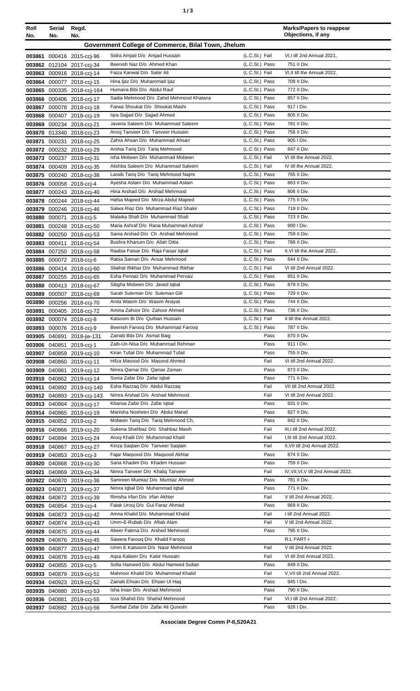| ٠ |  | ×<br>٠<br>٦<br>۰.<br>× |
|---|--|------------------------|
|---|--|------------------------|

| Roll<br>No. | Serial<br>No. | Regd.<br>No.                                           |                                                                       |                                  | <b>Marks/Papers to reappear</b><br>Objections, if any |
|-------------|---------------|--------------------------------------------------------|-----------------------------------------------------------------------|----------------------------------|-------------------------------------------------------|
|             |               |                                                        | Government College of Commerce, Bilal Town, Jhelum                    |                                  |                                                       |
|             |               |                                                        | Sidra Amjad D/o Amjad Hussain                                         | (L.C.St.) Fail                   | VI, I till 2nd Annual 2021.                           |
|             |               | 003861 000416 2015-ccj-96<br>003862 012104 2017-ccj-34 | Beenish Naz D/o Ahmed Khan                                            | (L.C.St.) Pass                   | 751 II Div.                                           |
|             |               | 003863 000916 2018-ccj-14                              | Faiza Kanwal D/o Sabir Ali                                            | (L.C.St.) Fail                   | VI, II till the Annual 2022.                          |
|             |               | 003864 000077 2018-ccj-15                              | Hina Ijaz D/o Muhammad Ijaz                                           | (L.C.St.) Pass                   | 708 II Div.                                           |
|             |               | 003865 000335 2018-ccj-164                             | Humaira Bibi D/o Abdul Rauf                                           | (L.C.St.) Pass                   | 772 II Div.                                           |
|             |               | 003866 000406 2018-ccj-17                              | Sadia Mehmood D/o Zahid Mehmood Khatana                               | (L.C.St.) Pass                   | 857 II Div.                                           |
|             |               | 003867 000078 2018-ccj-18                              | Farwa Shoukat D/o Shoukat Mashi                                       | (L.C.St.) Pass                   | 917   Div.                                            |
|             |               | 003868 000407 2018-ccj-19                              | Igra Sajjad D/o Sajjad Ahmed                                          | (L.C.St.) Pass                   | 805 II Div.                                           |
|             |               | 003869 000234 2018-cci-21                              | Javeria Saleem D/o Muhammad Saleem                                    | (L.C.St.) Pass                   | 781 II Div.                                           |
|             |               | 003870 013340 2018-ccj-23                              | Arooj Tanveer D/o Tanveer Hussain<br>Zahra Ahsan D/o Muhammad Ahsan   | (L.C.St.) Pass<br>(L.C.St.) Pass | 756 II Div.<br>905   Div.                             |
| 003871      |               | 000231 2018-ccj-25<br>003872 000232 2018-ccj-29        | Arshia Tariq D/o Tariq Mehmood                                        | (L.C.St.) Pass                   | 847 II Div.                                           |
|             |               | 003873 000237 2018-ccj-31                              | Isha Mobeen D/o Muhammad Mobeen                                       | (L.C.St.) Fail                   | VI till the Annual 2022.                              |
|             |               | 003874 000409 2018-ccj-35                              | Alishba Saleem D/o Muhammad Saleem                                    | (L.C.St.) Fail                   | IV till the Annual 2022.                              |
|             |               | 003875 000240 2018-ccj-38                              | Laraib Tariq D/o Tariq Mehmood Najmi                                  | (L.C.St.) Pass                   | 765 II Div.                                           |
|             |               | 003876 000058 2018-cci-4                               | Ayesha Aslam D/o Muhammad Aslam                                       | (L.C.St.) Pass                   | 863 II Div.                                           |
|             |               | 003877 000243 2018-ccj-40                              | Hina Arshad D/o Arshad Mehmood                                        | (L.C.St.) Pass                   | 806 II Div.                                           |
|             |               | 003878 000244 2018-ccj-44                              | Hafsa Majeed D/o Mirza Abdul Majeed                                   | (L.C.St.) Pass                   | 775 II Div.                                           |
|             |               | 003879 000246 2018-ccj-46                              | Salwa Riaz D/o Muhammad Riaz Shakir                                   | (L.C.St.) Pass                   | 719 II Div.                                           |
|             |               | 003880 000071 2018-ccj-5                               | Malaika Shafi D/o Muhammad Shafi                                      | (L.C.St.) Pass                   | 723 II Div.                                           |
|             |               | 003881 000248 2018-ccj-50                              | Maria Ashraf D/o Rana Muhammad Ashraf                                 | (L.C.St.) Pass                   | 900 I Div.<br>759 II Div.                             |
|             |               | 003882 000250 2018-ccj-53                              | Sania Arshad D/o Ch Arshad Mehmood<br>Bushra Khanum D/o Allah Ditta   | (L.C.St.) Pass<br>(L.C.St.) Pass | 788 II Div.                                           |
|             |               | 003883 000411 2018-ccj-54<br>003884 007250 2018-ccj-58 | Raabia Faisar D/o Raja Faisar Iqbal                                   | (L.C.St.) Fail                   | II, VI till the Annual 2022.                          |
|             |               | 003885 000072 2018-cci-6                               | Rabia Saman D/o Ansar Mehmood                                         | (L.C.St.) Pass                   | 844 II Div.                                           |
|             |               | 003886 000414 2018-ccj-60                              | Sbahat Iftikhar D/o Muhammad Iftikhar                                 | (L.C.St.) Fail                   | VI till 2nd Annual 2022.                              |
|             |               | 003887 000255 2018-ccj-65                              | Esha Pervaiz D/o Muhammad Pervaiz                                     | (L.C.St.) Pass                   | 851 II Div.                                           |
|             |               | 003888 000413 2018-cci-67                              | Sibgha Mobeen D/o Javed Iqbal                                         | (L.C.St.) Pass                   | 879 II Div.                                           |
|             |               | 003889 000507 2018-ccj-69                              | Sarah Suleman D/o Suleman Gill                                        | (L.C.St.) Pass                   | 729 II Div.                                           |
|             |               | 003890 000256 2018-ccj-70                              | Arsla Wasim D/o Wasim Anayat                                          | (L.C.St.) Pass                   | 744 II Div.                                           |
|             |               | 003891 000405 2018-ccj-72                              | Amina Zahoor D/o Zahoor Ahmed                                         | (L.C.St.) Pass                   | 736 II Div.                                           |
|             |               | 003892 000074 2018-ccj-8                               | Kalsoom Bi D/o Qurban Hussain                                         | (L.C.St.) Fail                   | II till the Annual 2022.                              |
|             |               | 003893 000076 2018-ccj-9                               | Beenish Farooq D/o Muhammad Farooq<br>Zainab Bibi D/o Asmat Baig      | (L.C.St.) Pass<br>Pass           | 787 II Div.<br>870 II Div.                            |
|             | 003906 040851 | 003905 040891 2018-jw-131<br>2019-cci-1                | Zaib-Un-Nisa D/o Muhammad Rehman                                      | Pass                             | 911   Div.                                            |
|             |               | 003907 040859 2019-cci-10                              | Kiran Tufail D/o Muhammad Tufail                                      | Pass                             | 755 II Div.                                           |
|             |               | 003908 040860 2019-cci-11                              | Hifza Masood D/o Masood Ahmed                                         | Fail                             | VI till 2nd Annual 2022.                              |
|             |               | 003909 040861 2019-ccj-12                              | Nimra Qamar D/o Qamar Zaman                                           | Pass                             | 873 II Div.                                           |
|             |               | 003910 040862 2019-ccj-14                              | Sonia Zafar D/o Zafar Iqbal                                           | Pass                             | 771 II Div.                                           |
|             |               | 003911 040892 2019-ccj-140                             | Esha Razzaq D/o Abdul Razzaq                                          | Fail                             | VII till 2nd Annual 2022.                             |
|             |               | 003912 040893 2019-ccj-143                             | Nimra Arshad D/o Arshad Mehmood                                       | Fail                             | VI till 2nd Annual 2022.                              |
|             |               | 003913 040864 2019-cci-17                              | Khansa Zafar D/o Zafar Iqbal                                          | Pass                             | 831 II Div.                                           |
|             |               | 003914 040865 2019-cci-19                              | Manisha Nosheen D/o Abdul Manaf<br>Mobeen Tariq D/o Tariq Mehmood Ch. | Pass<br>Pass                     | 827 II Div.<br>842 II Div.                            |
|             |               | 003915 040852 2019-ccj-2<br>003916 040866 2019-cci-20  | Sukena Shahbaz D/o Shahbaz Masih                                      | Fail                             | III, I till 2nd Annual 2022.                          |
|             |               | 003917 040894 2019-ccj-24                              | Arooj Khalil D/o Muhammad Khalil                                      | Fail                             | I, III till 2nd Annual 2022.                          |
|             |               | 003918 040867 2019-ccj-27                              | Kinza Saqlain D/o Tanveer Saqlain                                     | Fail                             | II, VII till 2nd Annual 2022.                         |
|             |               | 003919 040853 2019-cci-3                               | Fajar Magsood D/o Magsood Akhtar                                      | Pass                             | 874 II Div.                                           |
|             |               | 003920 040868 2019-ccj-30                              | Sana Khadim D/o Khadim Hussain                                        | Pass                             | 759 II Div.                                           |
|             |               | 003921 040869 2019-ccj-34                              | Nimra Tanveer D/o Khaliq Tanveer                                      | Fail                             | IV, VII, VI, V till 2nd Annual 2022.                  |
|             |               | 003922 040870 2019-ccj-36                              | Samreen Mumtaz D/o Mumtaz Ahmed                                       | Pass                             | 781 II Div.                                           |
|             | 003923 040871 | 2019-ccj-37                                            | Nimra Iqbal D/o Muhammad Iqbal                                        | Pass                             | 771 II Div.                                           |
|             |               | 003924 040872 2019-cci-39                              | Rimsha Irfan D/o Irfan Akhter                                         | Fail                             | V till 2nd Annual 2022.<br>869 II Div.                |
|             |               | 003925 040854 2019-cci-4<br>003926 040873 2019-ccj-42  | Falak Urooj D/o Gul Faraz Ahmad<br>Amna Khalid D/o Muhammad Khalid    | Pass<br>Fail                     | I till 2nd Annual 2022.                               |
|             |               | 003927 040874 2019-cci-43                              | Umm-E-Rubab D/o Aftab Alam                                            | Fail                             | V till 2nd Annual 2022.                               |
|             |               | 003928 040875 2019-ccj-44                              | Abeer Fatima D/o Arshed Mehmood                                       | Pass                             | 795 II Div.                                           |
|             |               | 003929 040876 2019-ccj-45                              | Sawera Faroog D/o Khalid Faroog                                       |                                  | R.L PART-I                                            |
|             |               | 003930 040877 2019-ccj-47                              | Umm E Kalsoom D/o Nasir Mehmood                                       | Fail                             | V till 2nd Annual 2022.                               |
|             |               | 003931 040878 2019-ccj-48                              | Aqsa Kabeer D/o Kabir Hussain                                         | Fail                             | VI till 2nd Annual 2022.                              |
|             |               | 003932 040855 2019-cci-5                               | Sofia Hameed D/o Abdul Hameed Sultan                                  | Pass                             | 849 II Div.                                           |
|             |               | 003933 040879 2019-ccj-51                              | Mahnoor Khalid D/o Muhammad Khalid                                    | Fail                             | V, VII till 2nd Annual 2022.                          |
|             |               | 003934 040923 2019-ccj-52                              | Zainab Ehsan D/o Ehsan Ul Hag                                         | Pass                             | 945   Div.                                            |
|             |               | 003935 040880 2019-cci-53                              | Isha Iman D/o Arshad Mehmood                                          | Pass                             | 790 II Div.                                           |
|             | 003936 040881 | 2019-ccj-55                                            | Izza Shahid D/o Shahid Mehmood                                        | Fail                             | VI, I till 2nd Annual 2022.                           |
|             |               | 003937 040882 2019-ccj-56                              | Sumbal Zafar D/o Zafar Ali Qureshi                                    | Pass                             | 926 I Div.                                            |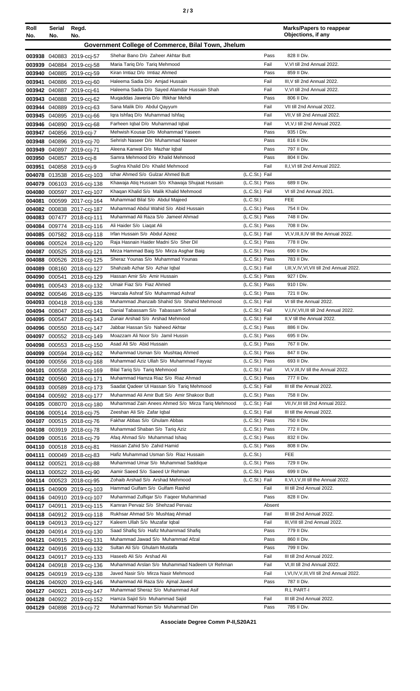| Roll<br>No. | Serial<br>No. | Regd.<br>No.                                             |                                                                          |                                  | <b>Marks/Papers to reappear</b><br>Objections, if any   |
|-------------|---------------|----------------------------------------------------------|--------------------------------------------------------------------------|----------------------------------|---------------------------------------------------------|
|             |               |                                                          | Government College of Commerce, Bilal Town, Jhelum                       |                                  |                                                         |
|             |               |                                                          |                                                                          |                                  |                                                         |
|             |               | 003938 040883 2019-cci-57                                | Shehar Bano D/o Zaheer Akhtar Butt<br>Maria Tarig D/o Tarig Mehmood      | Pass<br>Fail                     | 828 II Div.<br>V, VI till 2nd Annual 2022.              |
|             |               | 003939 040884 2019-ccj-58<br>003940 040885 2019-ccj-59   | Kiran Imtiaz D/o Imtiaz Ahmed                                            | Pass                             | 859 II Div.                                             |
| 003941      |               | 040886 2019-cci-60                                       | Haleema Sadia D/o Amjad Hussain                                          | Fail                             | III, V till 2nd Annual 2022.                            |
|             |               | 003942 040887 2019-ccj-61                                | Haleema Sadia D/o Sayed Alamdar Hussain Shah                             | Fail                             | V, VI till 2nd Annual 2022.                             |
|             |               | 003943 040888 2019-ccj-62                                | Mugaddas Jaweria D/o Iftikhar Mehdi                                      | Pass                             | 806 II Div.                                             |
|             |               | 003944 040889 2019-ccj-63                                | Sana Malik D/o Abdul Qayyum                                              | Fail                             | VII till 2nd Annual 2022.                               |
|             |               | 003945 040895 2019-cci-66                                | Igra Ishfag D/o Muhammad Ishfag                                          | Fail                             | VII, V till 2nd Annual 2022.                            |
|             |               | 003946 040890 2019-cci-68                                | Farheen Iqbal D/o Muhammad Iqbal                                         | Fail                             | VI, V, I till 2nd Annual 2022.                          |
|             |               | 003947 040856 2019-ccj-7                                 | Mehwish Kousar D/o Mohammad Yaseen                                       | Pass                             | 935   Div.                                              |
|             |               | 003948 040896 2019-ccj-70                                | Sehrish Naseer D/o Muhammad Naseer                                       | Pass                             | 816 II Div.                                             |
|             |               | 003949 040897 2019-ccj-71                                | Aleena Kanwal D/o Mazhar Iqbal                                           | Pass                             | 797 II Div.                                             |
|             |               | 003950 040857 2019-cci-8                                 | Samra Mehmood D/o Khalid Mehmood                                         | Pass                             | 804 II Div.                                             |
| 003951      |               | 040858 2019-ccj-9                                        | Sughra Khalid D/o Khalid Mehmood                                         | Fail                             | II, I, VI till 2nd Annual 2022.                         |
|             |               | 004078 013538 2016-ccj-103                               | Izhar Ahmed S/o Gulzar Ahmed Butt                                        | (L.C.St.) Fail                   |                                                         |
|             |               | 004079 006103 2016-cci-138                               | Khawaja Atiq Hussain S/o Khawaja Shujaat Hussain                         | (L.C.St.) Pass                   | 689 II Div.                                             |
|             |               | 004080 000597 2017-ccj-107                               | Khaqan Khalid S/o Malik Khalid Mehmood                                   | (L.C.St.) Fail                   | VI till 2nd Annual 2021.                                |
|             |               | 004081 000599 2017-ccj-164                               | Muhammad Bilal S/o Abdul Majeed                                          | (L.C.St.)                        | <b>FEE</b>                                              |
|             |               | 004082 000838 2017-ccj-187                               | Muhammad Abdul Wahid S/o Abid Hussain                                    | (L.C.St.) Pass                   | 754 II Div.                                             |
|             |               | 004083 007477 2018-ccj-111                               | Muhammad Ali Raza S/o Jameel Ahmad                                       | (L.C.St.) Pass                   | 748 II Div.                                             |
|             |               | 004084 009774 2018-ccj-116                               | Ali Haider S/o Liagat Ali<br>Irfan Hussain S/o Abdul Azeez               | (L.C.St.) Pass<br>(L.C.St.) Fail | 708 II Div.<br>VI, V, III, II, IV till the Annual 2022. |
|             |               | 004085 007582 2018-ccj-118                               | Raja Hasnain Haider Madni S/o Sher Dil                                   | (L.C.St.) Pass                   | 778 II Div.                                             |
|             |               | 004086 000524 2018-ccj-120<br>004087 000525 2018-ccj-121 | Mirza Hammad Baig S/o Mirza Asghar Baig                                  | (L.C.St.) Pass                   | 690 II Div.                                             |
|             |               | 004088 000526 2018-ccj-125                               | Sheraz Younas S/o Muhammad Younas                                        | (L.C.St.) Pass                   | 783 II Div.                                             |
|             |               | 004089 008160 2018-ccj-127                               | Shahzaib Azhar S/o Azhar Iqbal                                           | (L.C.St.) Fail                   | I, III, V, IV, VI, VII till 2nd Annual 2022.            |
|             |               | 004090 000541 2018-ccj-129                               | Hassan Amir S/o Amir Hussain                                             | (L.C.St.) Pass                   | 927   Div.                                              |
| 004091      |               | 000543 2018-ccj-132                                      | Umair Fiaz S/o Fiaz Ahmed                                                | (L.C.St.) Pass                   | 910   Div.                                              |
|             |               | 004092 000546 2018-ccj-135                               | Hanzala Ashraf S/o Muhammad Ashraf                                       | (L.C.St.) Pass                   | 721 II Div.                                             |
|             |               | 004093 000418 2018-ccj-138                               | Muhammad Jhanzaib Shahid S/o Shahid Mehmood                              | (L.C.St.) Fail                   | VI till the Annual 2022.                                |
|             |               | 004094 008047 2018-ccj-141                               | Danial Tabassam S/o Tabassam Sohail                                      | (L.C.St.) Fail                   | V,I,IV, VII, III till 2nd Annual 2022.                  |
|             |               | 004095 000547 2018-ccj-143                               | Zunair Arshad S/o Arshad Mehmood                                         | (L.C.St.) Fail                   | II, V till the Annual 2022.                             |
|             |               | 004096 000550 2018-ccj-147                               | Jabbar Hassan S/o Naheed Akhtar                                          | (L.C.St.) Pass                   | 886 II Div.                                             |
|             |               | 004097 000552 2018-ccj-149                               | Moazzam Ali Noor S/o Jamil Hussin                                        | (L.C.St.) Pass                   | 695 II Div.                                             |
|             |               | 004098 000553 2018-ccj-150                               | Asad Ali S/o Abid Hussain                                                | (L.C.St.) Pass                   | 767 II Div.                                             |
|             |               | 004099 000594 2018-ccj-162                               | Muhammad Usman S/o Mushtaq Ahmed                                         | (L.C.St.) Pass                   | 847 II Div.                                             |
|             |               | 004100 000556 2018-cci-168                               | Muhammad Aziz Ullah S/o Muhammad Fayyaz<br>Bilal Tariq S/o Tariq Mehmood | (L.C.St.) Pass<br>(L.C.St.) Fail | 693 II Div.<br>VI, V, III, IV till the Annual 2022.     |
| 004101      |               | 000558 2018-cci-169                                      | Muhammad Hamza Riaz S/o Riaz Ahmad                                       | (L.C.St.) Pass                   | 777 II Div.                                             |
|             |               | 004102 000560 2018-ccj-171                               | Saadat Qadeer UI Hassan S/o Tariq Mehmood                                | (L.C.St.) Fail                   | III till the Annual 2022.                               |
|             |               | 004103 000589 2018-cci-173<br>004104 000592 2018-ccj-177 | Muhammad Ali Amir Butt S/o Amir Shakoor Butt                             | (L.C.St.) Pass                   | 758 II Div.                                             |
|             |               | 004105 008070 2018-cci-180                               | Muhammad Zain Anees Ahmed S/o Mirza Tariq Mehmood                        | (L.C.St.) Fail                   | VII, IV, III till 2nd Annual 2022.                      |
|             |               | 004106 000514 2018-cci-75                                | Zeeshan Ali S/o Zafar Iqbal                                              | (L.C.St.) Fail                   | III till the Annual 2022.                               |
|             |               | 004107 000515 2018-ccj-76                                | Fakhar Abbas S/o Ghulam Abbas                                            | (L.C.St.) Pass                   | 750 II Div.                                             |
|             |               | 004108 003919 2018-cci-78                                | Muhammad Shaban S/o Tariq Aziz                                           | (L.C.St.) Pass                   | 772 II Div.                                             |
|             |               | 004109 000516 2018-ccj-79                                | Afaq Ahmad S/o Muhammad Ishaq                                            | (L.C.St.) Pass                   | 832 II Div.                                             |
|             |               | 004110 000518 2018-ccj-81                                | Hassan Zahid S/o Zahid Hamid                                             | (L.C.St.) Pass                   | 808 II Div.                                             |
|             |               | 004111 000049 2018-cci-83                                | Hafiz Muhammad Usman S/o Riaz Hussain                                    | (L.C.St.)                        | <b>FEE</b>                                              |
|             |               | 004112 000521 2018-ccj-88                                | Muhammad Umar S/o Muhammad Saddique                                      | (L.C.St.) Pass                   | 729 II Div.                                             |
|             |               | 004113 000522 2018-ccj-90                                | Aamir Saeed S/o Saeed Ur Rehman                                          | (L.C.St.) Pass                   | 699 II Div.                                             |
|             |               | 004114 000523 2018-ccj-95                                | Zohaib Arshad S/o Arshad Mehmood                                         | (L.C.St.) Fail                   | II, VI, I, V, III till the Annual 2022.                 |
|             |               | 004115 040909 2019-ccj-103                               | Hammad Gulfam S/o Gulfam Rashid                                          | Fail                             | III till 2nd Annual 2022.                               |
|             |               | 004116 040910 2019-cci-107                               | Muhammad Zulfigar S/o Fageer Muhammad                                    | Pass                             | 828 II Div.                                             |
|             |               | 004117 040911 2019-ccj-115                               | Kamran Pervaiz S/o Shehzad Pervaiz                                       | Absent                           |                                                         |
|             |               | 004118 040912 2019-ccj-118                               | Rukhsar Ahmad S/o Mushtaq Ahmad                                          | Fail                             | III till 2nd Annual 2022.                               |
|             |               | 004119 040913 2019-cci-127                               | Kaleem Ullah S/o Muzafar Iqbal<br>Saad Shafiq S/o Hafiz Muhammad Shafiq  | Fail<br>Pass                     | III, VIII till 2nd Annual 2022.<br>779 II Div.          |
|             |               | 004120 040914 2019-ccj-130                               | Muhammad Jawad S/o Muhammad Afzal                                        | Pass                             | 860 II Div.                                             |
|             |               | 004121 040915 2019-ccj-131<br>004122 040916 2019-ccj-132 | Sultan Ali S/o Ghulam Mustafa                                            | Pass                             | 799 II Div.                                             |
|             |               | 004123 040917 2019-ccj-133                               | Haseeb Ali S/o Arshad Ali                                                | Fail                             | III till 2nd Annual 2022.                               |
|             |               | 004124 040918 2019-cci-136                               | Muhammad Arslan S/o Muhammad Nadeem Ur Rehman                            | Fail                             | VI, III till 2nd Annual 2022.                           |
|             |               | 004125 040919 2019-ccj-138                               | Javed Nasir S/o Mirza Nasir Mehmood                                      | Fail                             | I, VI, IV, V, III, VII till 2nd Annual 2022.            |
|             |               | 004126 040920 2019-cci-146                               | Muhammad Ali Raza S/o Ajmal Javed                                        | Pass                             | 787 II Div.                                             |
|             |               | 004127 040921 2019-cci-147                               | Muhammad Sheraz S/o Muhammad Asif                                        |                                  | R.L PART-I                                              |
|             |               | 004128 040922 2019-ccj-152                               | Hamza Sajid S/o Muhammad Sajid                                           | Fail                             | III till 2nd Annual 2022.                               |
|             |               | 004129 040898 2019-ccj-72                                | Muhammad Noman S/o Muhammad Din                                          | Pass                             | 785 II Div.                                             |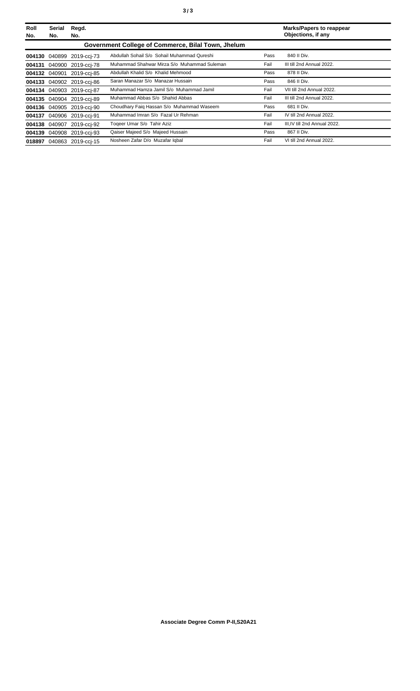| Roll<br>No. | Serial<br>No. | Regd.<br>No.              |                                                    |      | <b>Marks/Papers to reappear</b><br>Objections, if any |
|-------------|---------------|---------------------------|----------------------------------------------------|------|-------------------------------------------------------|
|             |               |                           | Government College of Commerce, Bilal Town, Jhelum |      |                                                       |
|             |               | 004130 040899 2019-cci-73 | Abdullah Sohail S/o Sohail Muhammad Qureshi        | Pass | 840 II Div.                                           |
|             |               | 004131 040900 2019-cci-78 | Muhammad Shahwar Mirza S/o Muhammad Suleman        | Fail | III till 2nd Annual 2022.                             |
|             |               | 004132 040901 2019-cci-85 | Abdullah Khalid S/o Khalid Mehmood                 | Pass | 878 II Div.                                           |
|             |               | 004133 040902 2019-cci-86 | Saran Manazar S/o Manazar Hussain                  | Pass | 846 II Div.                                           |
|             |               | 004134 040903 2019-cci-87 | Muhammad Hamza Jamil S/o Muhammad Jamil            | Fail | VII till 2nd Annual 2022.                             |
|             |               | 004135 040904 2019-cci-89 | Muhammad Abbas S/o Shahid Abbas                    | Fail | III till 2nd Annual 2022.                             |
|             |               | 004136 040905 2019-cci-90 | Choudhary Faig Hassan S/o Muhammad Waseem          | Pass | 681 II Div.                                           |
|             |               | 004137 040906 2019-cci-91 | Muhammad Imran S/o Fazal Ur Rehman                 | Fail | IV till 2nd Annual 2022.                              |
|             |               | 004138 040907 2019-cci-92 | Togeer Umar S/o Tahir Aziz                         | Fail | III.IV till 2nd Annual 2022.                          |
|             |               | 004139 040908 2019-cci-93 | Qaiser Majeed S/o Majeed Hussain                   | Pass | 867 II Div.                                           |
|             |               | 018897 040863 2019-cci-15 | Nosheen Zafar D/o Muzafar Iqbal                    | Fail | VI till 2nd Annual 2022.                              |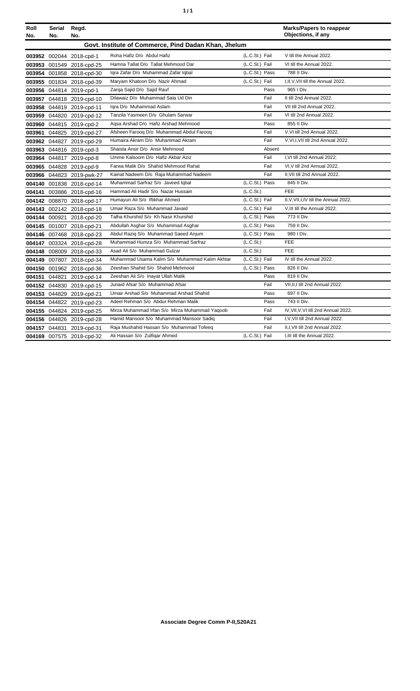| ٠ | ٠ |
|---|---|
|   |   |

| Roll<br>No. | Serial<br>No. | Regd.<br>No.              |                                                      |                | <b>Marks/Papers to reappear</b><br>Objections, if any |
|-------------|---------------|---------------------------|------------------------------------------------------|----------------|-------------------------------------------------------|
|             |               |                           | Govt. Institute of Commerce, Pind Dadan Khan, Jhelum |                |                                                       |
|             |               | 003952 002044 2018-cpd-1  | Roha Hafiz D/o Abdul Hafiz                           | (L.C.St.) Fail | V till the Annual 2022.                               |
|             |               | 003953 001549 2018-cpd-25 | Hamna Tallat D/o Tallat Mehmood Dar                  | (L.C.St.) Fail | VI till the Annual 2022.                              |
|             |               | 003954 001858 2018-cpd-30 | Iqra Zafar D/o Muhammad Zafar Iqbal                  | (L.C.St.) Pass | 788 II Div.                                           |
|             |               | 003955 001834 2018-cpd-39 | Maryam Khatoon D/o Nazir Ahmad                       | (L.C.St.) Fail | I, II, V, VII till the Annual 2022.                   |
|             |               | 003956 044814 2019-cpd-1  | Zarga Sajid D/o Sajid Rauf                           | Pass           | 965   Div.                                            |
|             |               | 003957 044818 2019-cpd-10 | Dilawaiz D/o Muhammad Sala Ud Din                    | Fail           | II till 2nd Annual 2022.                              |
|             |               | 003958 044819 2019-cpd-11 | Iqra D/o Muhammad Aslam                              | Fail           | VII till 2nd Annual 2022.                             |
|             |               | 003959 044820 2019-cpd-12 | Tanzila Yasmeen D/o Ghulam Sarwar                    | Fail           | VI till 2nd Annual 2022.                              |
|             |               | 003960 044815 2019-cpd-2  | Agsa Arshad D/o Hafiz Arshad Mehmood                 | Pass           | 855 II Div.                                           |
|             |               | 003961 044825 2019-cpd-27 | Afsheen Farooq D/o Muhammad Abdul Farooq             | Fail           | V.VI till 2nd Annual 2022.                            |
|             |               | 003962 044827 2019-cpd-29 | Humaira Akram D/o Muhammad Akram                     | Fail           | V, VI, I, VII till 2nd Annual 2022.                   |
|             |               | 003963 044816 2019-cpd-3  | Shaista Ansir D/o Ansir Mehmood                      | Absent         |                                                       |
|             |               | 003964 044817 2019-cpd-8  | Umme Kalsoom D/o Hafiz Akbar Aziz                    | Fail           | I, VI till 2nd Annual 2022.                           |
|             |               | 003965 044828 2019-cpd-9  | Farwa Malik D/o Shahid Mehmood Rahat                 | Fail           | VI, V till 2nd Annual 2022.                           |
|             |               | 003966 044823 2019-pwk-27 | Kainat Nadeem D/o Raja Muhammad Nadeem               | Fail           | II, VII till 2nd Annual 2022.                         |
|             |               | 004140 001838 2018-cpd-14 | Muhammad Sarfraz S/o Javeed Iqbal                    | (L.C.St.) Pass | 845 II Div.                                           |
|             |               | 004141 003886 2018-cpd-16 | Hammad Ali Hadir S/o Nazar Hussain                   | (L.C.St.)      | <b>FEE</b>                                            |
|             |               | 004142 008870 2018-cpd-17 | Humayun Ali S/o Iftikhar Ahmed                       | (L.C.St.) Fail | II, V, VII, I, IV till the Annual 2022.               |
|             |               | 004143 002142 2018-cpd-18 | Umair Raza S/o Muhammad Javaid                       | (L.C.St.) Fail | V, III till the Annual 2022.                          |
|             |               | 004144 000921 2018-cpd-20 | Talha Khurshid S/o Kh Nasir Khurshid                 | (L.C.St.) Pass | 773 II Div.                                           |
|             |               | 004145 001007 2018-cpd-21 | Abdullah Asghar S/o Muhammad Asghar                  | (L.C.St.) Pass | 759 II Div.                                           |
|             |               | 004146 007468 2018-cpd-23 | Abdul Raziq S/o Muhammad Saeed Anjum                 | (L.C.St.) Pass | 980 I Div.                                            |
|             |               | 004147 003324 2018-cpd-28 | Muhammad Humza S/o Muhammad Sarfraz                  | (L.C.St.)      | <b>FEE</b>                                            |
|             |               | 004148 008009 2018-cpd-33 | Asad Ali S/o Muhammad Gulzar                         | (L.C.St.)      | <b>FEE</b>                                            |
|             |               | 004149 007807 2018-cpd-34 | Muhammad Usama Kalim S/o Muhammad Kalim Akhtar       | (L.C.St.) Fail | IV till the Annual 2022.                              |
|             |               | 004150 001962 2018-cpd-36 | Zeeshan Shahid S/o Shahid Mehmood                    | (L.C.St.) Pass | 826 II Div.                                           |
|             |               | 004151 044821 2019-cpd-14 | Zeeshan Ali S/o Inayat Ullah Malik                   | Pass           | 819 II Div.                                           |
|             |               | 004152 044830 2019-cpd-15 | Junaid Afsar S/o Muhammad Afsar                      | Fail           | VII, II, I till 2nd Annual 2022.                      |
|             |               | 004153 044829 2019-cpd-21 | Umair Arshad S/o Muhammad Arshad Shahid              | Pass           | 697 II Div.                                           |
|             |               | 004154 044822 2019-cpd-23 | Adeel Rehman S/o Abdur Rehman Malik                  | Pass           | 743 II Div.                                           |
|             |               | 004155 044824 2019-cpd-25 | Mirza Muhammad Irfan S/o Mirza Muhammad Yaqoob       | Fail           | IV, VII, V, VI till 2nd Annual 2022.                  |
|             |               | 004156 044826 2019-cpd-28 | Hamid Mansoor S/o Muhammad Mansoor Sadig             | Fail           | I, V, VII till 2nd Annual 2022.                       |
|             |               | 004157 044831 2019-cpd-31 | Raja Mushahid Hassan S/o Muhammad Tofeeq             | Fail           | II, I, VII till 2nd Annual 2022.                      |
|             |               | 004169 007575 2018-cpd-32 | Ali Hassan S/o Zulfigar Ahmed                        | (L.C.St.) Fail | I, III till the Annual 2022.                          |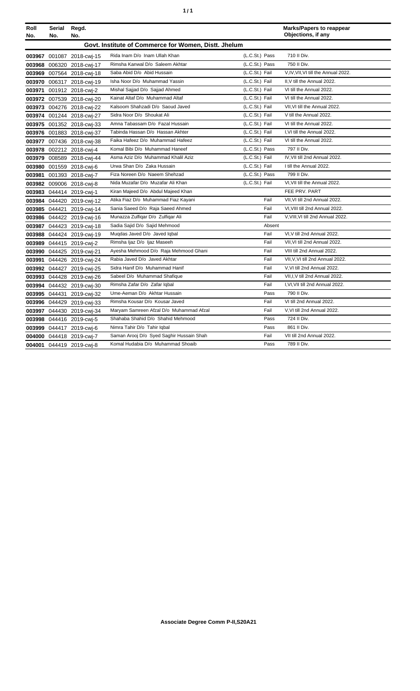| ٠ | ٠ |
|---|---|
|   |   |

| Roll   | Serial | Regd.                     |                                                      |                |        | <b>Marks/Papers to reappear</b>      |
|--------|--------|---------------------------|------------------------------------------------------|----------------|--------|--------------------------------------|
| No.    | No.    | No.                       |                                                      |                |        | Objections, if any                   |
|        |        |                           | Govt. Institute of Commerce for Women, Distt. Jhelum |                |        |                                      |
|        |        | 003967 001087 2018-cwi-15 | Rida Inam D/o Inam Ullah Khan                        | (L.C.St.) Pass |        | 710 II Div.                          |
|        |        | 003968 006320 2018-cwj-17 | Rimsha Kanwal D/o Saleem Akhtar                      | (L.C.St.) Pass |        | 750 II Div.                          |
|        |        | 003969 007564 2018-cwi-18 | Saba Abid D/o Abid Hussain                           | (L.C.St.) Fail |        | V, IV, VII, VI till the Annual 2022. |
|        |        | 003970 006317 2018-cwi-19 | Isha Noor D/o Muhammad Yassin                        | (L.C.St.) Fail |        | II.V till the Annual 2022.           |
| 003971 |        | 001912 2018-cwi-2         | Mishal Sajjad D/o Sajjad Ahmed                       | (L.C.St.) Fail |        | VI till the Annual 2022.             |
|        |        | 003972 007539 2018-cwj-20 | Kainat Altaf D/o Muhammad Altaf                      | (L.C.St.) Fail |        | VI till the Annual 2022.             |
|        |        | 003973 004276 2018-cwi-22 | Kalsoom Shahzadi D/o Saoud Javed                     | (L.C.St.) Fail |        | VII, VI till the Annual 2022.        |
|        |        | 003974 001244 2018-cwj-27 | Sidra Noor D/o Shoukat Ali                           | (L.C.St.) Fail |        | V till the Annual 2022.              |
|        |        | 003975 001352 2018-cwj-33 | Amna Tabassam D/o Fazal Hussain                      | (L.C.St.) Fail |        | VI till the Annual 2022.             |
|        |        | 003976 001883 2018-cwj-37 | Tabinda Hassan D/o Hassan Akhter                     | (L.C.St.) Fail |        | I.VI till the Annual 2022.           |
|        |        | 003977 007436 2018-cwi-38 | Faika Hafeez D/o Muhammad Hafeez                     | (L.C.St.) Fail |        | VI till the Annual 2022.             |
|        |        | 003978 002212 2018-cwj-4  | Komal Bibi D/o Muhammad Haneef                       | (L.C.St.) Pass |        | 797 II Div.                          |
|        |        | 003979 008589 2018-cwj-44 | Asma Aziz D/o Muhammad Khalil Aziz                   | (L.C.St.) Fail |        | IV, VII till 2nd Annual 2022.        |
|        |        | 003980 001559 2018-cwj-6  | Urwa Shan D/o Zaka Hussain                           | (L.C.St.) Fail |        | I till the Annual 2022.              |
|        |        | 003981 001393 2018-cwj-7  | Fiza Noreen D/o Naeem Shehzad                        | (L.C.St.) Pass |        | 799 II Div.                          |
|        |        | 003982 009006 2018-cwj-8  | Nida Muzafar D/o Muzafar Ali Khan                    | (L.C.St.) Fail |        | VI, VII till the Annual 2022.        |
|        |        | 003983 044414 2019-cwi-1  | Kiran Majeed D/o Abdul Majeed Khan                   |                |        | FEE PRV. PART                        |
|        |        | 003984 044420 2019-cwj-12 | Atika Fiaz D/o Muhammad Fiaz Kayani                  | Fail           |        | VII.VI till 2nd Annual 2022.         |
|        |        | 003985 044421 2019-cwj-14 | Sania Saeed D/o Raja Saeed Ahmed                     | Fail           |        | VI, VIII till 2nd Annual 2022.       |
|        |        | 003986 044422 2019-cwj-16 | Munazza Zulfigar D/o Zulfigar Ali                    | Fail           |        | V, VIII, VI till 2nd Annual 2022.    |
| 003987 |        | 044423 2019-cwj-18        | Sadia Sajid D/o Sajid Mehmood                        |                | Absent |                                      |
| 003988 |        | 044424 2019-cwj-19        | Muqdas Javed D/o Javed Iqbal                         | Fail           |        | VI.V till 2nd Annual 2022.           |
|        |        | 003989 044415 2019-cwj-2  | Rimsha Ijaz D/o Ijaz Maseeh                          | Fail           |        | VII.VI till 2nd Annual 2022.         |
|        |        | 003990 044425 2019-cwj-21 | Ayesha Mehmood D/o Raja Mehmood Ghani                | Fail           |        | VIII till 2nd Annual 2022.           |
| 003991 |        | 044426 2019-cwi-24        | Rabia Javed D/o Javed Akhtar                         | Fail           |        | VII, V, VI till 2nd Annual 2022.     |
|        |        | 003992 044427 2019-cwj-25 | Sidra Hanif D/o Muhammad Hanif                       | Fail           |        | V.VI till 2nd Annual 2022.           |
|        |        | 003993 044428 2019-cwj-26 | Sabeel D/o Muhammad Shafique                         | Fail           |        | VII, I, V till 2nd Annual 2022.      |
|        |        | 003994 044432 2019-cwj-30 | Rimsha Zafar D/o Zafar Iqbal                         | Fail           |        | I, VI, VII till 2nd Annual 2022.     |
|        |        | 003995 044431 2019-cwj-32 | Ume-Aeman D/o Akhtar Hussain                         | Pass           |        | 790 II Div.                          |
|        |        | 003996 044429 2019-cwj-33 | Rimsha Kousar D/o Kousar Javed                       | Fail           |        | VI till 2nd Annual 2022.             |
|        |        | 003997 044430 2019-cwj-34 | Maryam Samreen Afzal D/o Muhammad Afzal              | Fail           |        | V, VI till 2nd Annual 2022.          |
|        |        | 003998 044416 2019-cwj-5  | Shahaba Shahid D/o Shahid Mehmood                    | Pass           |        | 724 II Div.                          |
|        |        | 003999 044417 2019-cwi-6  | Nimra Tahir D/o Tahir Iqbal                          | Pass           |        | 861 II Div.                          |
|        |        | 004000 044418 2019-cwj-7  | Saman Arooj D/o Syed Saghir Hussain Shah             | Fail           |        | VII till 2nd Annual 2022.            |
|        |        | 004001 044419 2019-cwi-8  | Komal Hudabia D/o Muhammad Shoaib                    | Pass           |        | 789 II Div.                          |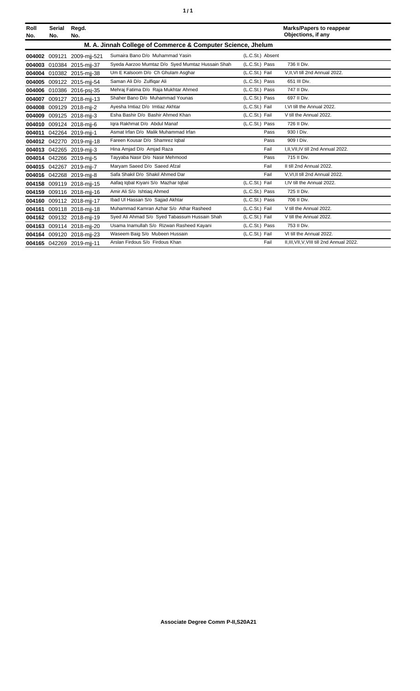| ٠<br>٠ |
|--------|
|--------|

| Roll<br>No. | Serial<br>No. | Regd.<br>No.               |                                                             |                  | <b>Marks/Papers to reappear</b><br>Objections, if any |
|-------------|---------------|----------------------------|-------------------------------------------------------------|------------------|-------------------------------------------------------|
|             |               |                            | M. A. Jinnah College of Commerce & Computer Science, Jhelum |                  |                                                       |
|             |               | 004002 009121 2009-mij-521 | Sumaira Bano D/o Muhammad Yasin                             | (L.C.St.) Absent |                                                       |
| 004003      |               | 010384 2015-mjj-37         | Syeda Aarzoo Mumtaz D/o Syed Mumtaz Hussain Shah            | (L.C.St.) Pass   | 736 II Div.                                           |
|             |               | 004004 010382 2015-mii-38  | Um E Kalsoom D/o Ch Ghulam Asghar                           | (L.C.St.) Fail   | V.II.VI till 2nd Annual 2022.                         |
|             |               | 004005 009122 2015-mii-54  | Saman Ali D/o Zulfigar Ali                                  | (L.C.St.) Pass   | 651 III Div.                                          |
|             |               | 004006 010386 2016-psi-35  | Mehraj Fatima D/o Raja Mukhtar Ahmed                        | (L.C.St.) Pass   | 747 II Div.                                           |
|             |               | 004007 009127 2018-mjj-13  | Shaher Bano D/o Muhammad Younas                             | (L.C.St.) Pass   | 697 II Div.                                           |
| 004008      |               | 009129 2018-mij-2          | Ayesha Imtiaz D/o Imtiaz Akhtar                             | (L.C.St.) Fail   | I.VI till the Annual 2022.                            |
|             |               | 004009 009125 2018-mjj-3   | Esha Bashir D/o Bashir Ahmed Khan                           | (L.C.St.) Fail   | V till the Annual 2022.                               |
|             |               | 004010 009124 2018-mii-6   | Igra Rakhmat D/o Abdul Manaf                                | (L.C.St.) Pass   | 726 II Div.                                           |
| 004011      |               | 042264 2019-mij-1          | Asmat Irfan D/o Malik Muhammad Irfan                        | Pass             | 930 I Div.                                            |
|             |               | 004012 042270 2019-mij-18  | Fareen Kousar D/o Shamrez Igbal                             | Pass             | 909   Div.                                            |
|             |               | 004013 042265 2019-mii-3   | Hina Amjad D/o Amjad Raza                                   | Fail             | I.II.VII.IV till 2nd Annual 2022.                     |
|             |               | 004014 042266 2019-mii-5   | Tayyaba Nasir D/o Nasir Mehmood                             | Pass             | 715 II Div.                                           |
|             |               | 004015 042267 2019-mjj-7   | Maryam Saeed D/o Saeed Afzal                                | Fail             | II till 2nd Annual 2022.                              |
|             |               | 004016 042268 2019-mii-8   | Safa Shakil D/o Shakil Ahmed Dar                            | Fail             | V.VI.II till 2nd Annual 2022.                         |
| 004158      |               | 009119 2018-mij-15         | Aafaq Iqbal Kiyani S/o Mazhar Iqbal                         | (L.C.St.) Fail   | I.IV till the Annual 2022.                            |
|             |               | 004159 009116 2018-mii-16  | Amir Ali S/o Ishtiag Ahmed                                  | (L.C.St.) Pass   | 725 II Div.                                           |
|             |               | 004160 009112 2018-mjj-17  | Ibad UI Hassan S/o Sajjad Akhtar                            | (L.C.St.) Pass   | 706 II Div.                                           |
| 004161      |               | 009118 2018-mij-18         | Muhammad Kamran Azhar S/o Athar Rasheed                     | (L.C.St.) Fail   | V till the Annual 2022.                               |
|             |               | 004162 009132 2018-mjj-19  | Syed Ali Ahmad S/o Syed Tabassum Hussain Shah               | (L.C.St.) Fail   | V till the Annual 2022.                               |
|             |               | 004163 009114 2018-mii-20  | Usama Inamullah S/o Rizwan Rasheed Kayani                   | (L.C.St.) Pass   | 753 II Div.                                           |
|             |               | 004164 009120 2018-mii-23  | Waseem Baig S/o Mubeen Hussain                              | (L.C.St.) Fail   | VI till the Annual 2022.                              |
|             |               | 004165 042269 2019-mij-11  | Arslan Firdous S/o Firdous Khan                             | Fail             | II, III, VII, V, VIII till 2nd Annual 2022.           |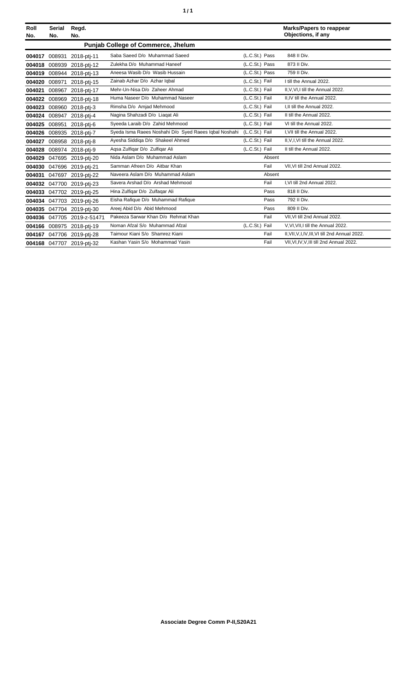| ٠ | ٠ |
|---|---|
|   |   |

| Roll<br>No. | <b>Serial</b><br>No. | Regd.<br>No.               |                                                       |                | <b>Marks/Papers to reappear</b><br>Objections, if any |
|-------------|----------------------|----------------------------|-------------------------------------------------------|----------------|-------------------------------------------------------|
|             |                      |                            | <b>Punjab College of Commerce, Jhelum</b>             |                |                                                       |
| 004017      |                      | 008931 2018-ptj-11         | Saba Saeed D/o Muhammad Saeed                         | (L.C.St.) Pass | 848 II Div.                                           |
| 004018      |                      | 008939 2018-ptj-12         | Zulekha D/o Muhammad Haneef                           | (L.C.St.) Pass | 873 II Div.                                           |
| 004019      |                      | 008944 2018-ptj-13         | Aneesa Wasib D/o Wasib Hussain                        | (L.C.St.) Pass | 759 II Div.                                           |
| 004020      | 008971               | 2018-ptj-15                | Zainab Azhar D/o Azhar Igbal                          | (L.C.St.) Fail | I till the Annual 2022.                               |
| 004021      | 008967               | 2018-ptj-17                | Mehr-Un-Nisa D/o Zaheer Ahmad                         | (L.C.St.) Fail | II.V.VI.I till the Annual 2022.                       |
| 004022      |                      | 008969 2018-ptj-18         | Huma Naseer D/o Muhammad Naseer                       | (L.C.St.) Fail | II.IV till the Annual 2022.                           |
| 004023      |                      | 008960 2018-ptj-3          | Rimsha D/o Amjad Mehmood                              | (L.C.St.) Fail | I, II till the Annual 2022.                           |
|             |                      | 004024 008947 2018-ptj-4   | Nagina Shahzadi D/o Liagat Ali                        | (L.C.St.) Fail | II till the Annual 2022.                              |
| 004025      |                      | 008951 2018-ptj-6          | Syeeda Laraib D/o Zahid Mehmood                       | (L.C.St.) Fail | VI till the Annual 2022.                              |
| 004026      |                      | 008935 2018-ptj-7          | Syeda Isma Raees Noshahi D/o Syed Raees Igbal Noshahi | (L.C.St.) Fail | I.VII till the Annual 2022.                           |
| 004027      |                      | 008958 2018-ptj-8          | Ayesha Siddiga D/o Shakeel Ahmed                      | (L.C.St.) Fail | II, V, I, VI till the Annual 2022.                    |
| 004028      |                      | 008974 2018-ptj-9          | Agsa Zulfigar D/o Zulfigar Ali                        | (L.C.St.) Fail | II till the Annual 2022.                              |
| 004029      |                      | 047695 2019-pti-20         | Nida Aslam D/o Muhammad Aslam                         | Absent         |                                                       |
| 004030      |                      | 047696 2019-ptj-21         | Samman Afreen D/o Aitbar Khan                         | Fail           | VII, VI till 2nd Annual 2022.                         |
| 004031      |                      | 047697 2019-ptj-22         | Naveera Aslam D/o Muhammad Aslam                      | Absent         |                                                       |
| 004032      |                      | 047700 2019-ptj-23         | Savera Arshad D/o Arshad Mehmood                      | Fail           | I, VI till 2nd Annual 2022.                           |
| 004033      |                      | 047702 2019-ptj-25         | Hina Zulfigar D/o Zulfagar Ali                        | Pass           | 818 II Div.                                           |
| 004034      |                      | 047703 2019-ptj-26         | Eisha Rafique D/o Muhammad Rafique                    | Pass           | 792 II Div.                                           |
| 004035      |                      | 047704 2019-ptj-30         | Areej Abid D/o Abid Mehmood                           | Pass           | 809 II Div.                                           |
|             |                      | 004036 047705 2019-z-51471 | Pakeeza Sarwar Khan D/o Rehmat Khan                   | Fail           | VII.VI till 2nd Annual 2022.                          |
| 004166      |                      | 008975 2018-ptj-19         | Noman Afzal S/o Muhammad Afzal                        | (L.C.St.) Fail | V, VI, VII, I till the Annual 2022.                   |
| 004167      |                      | 047706 2019-ptj-28         | Taimour Kiani S/o Shamrez Kiani                       | Fail           | II, VII, V, I, IV, III, VI till 2nd Annual 2022.      |
|             |                      | 004168 047707 2019-pti-32  | Kashan Yasin S/o Mohammad Yasin                       | Fail           | VII, VI, IV, V, III till 2nd Annual 2022.             |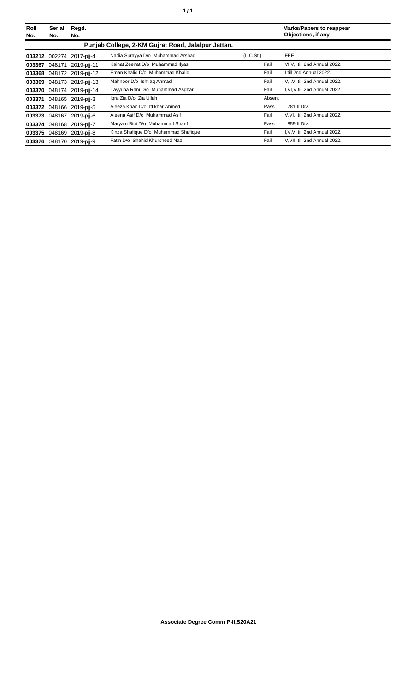| Roll<br>No. | <b>Serial</b><br>No. | Regd.<br>No.              |                                                    |                       | <b>Marks/Papers to reappear</b><br>Objections, if any |
|-------------|----------------------|---------------------------|----------------------------------------------------|-----------------------|-------------------------------------------------------|
|             |                      |                           | Punjab College, 2-KM Gujrat Road, Jalalpur Jattan. |                       |                                                       |
|             |                      | 003212 002274 2017-pii-4  | Nadia Surayya D/o Muhammad Arshad                  | (L.C.S <sub>t</sub> ) | FEE                                                   |
|             |                      | 003367 048171 2019-pij-11 | Kainat Zeenat D/o Muhammad Ilyas                   | Fail                  | VI, V, I till 2nd Annual 2022.                        |
|             |                      | 003368 048172 2019-pij-12 | Eman Khalid D/o Muhammad Khalid                    | Fail                  | I till 2nd Annual 2022.                               |
|             |                      | 003369 048173 2019-pij-13 | Mahnoor D/o Ishtiag Ahmad                          | Fail                  | V,I, VI till 2nd Annual 2022.                         |
|             |                      | 003370 048174 2019-pij-14 | Tayyuba Rani D/o Muhammad Asghar                   | Fail                  | I, VI, V till 2nd Annual 2022.                        |
|             |                      | 003371 048165 2019-pii-3  | Igra Zia D/o Zia Ullah                             | Absent                |                                                       |
|             |                      | 003372 048166 2019-pii-5  | Aleeza Khan D/o Iftikhar Ahmed                     | Pass                  | 781 II Div.                                           |
|             |                      | 003373 048167 2019-pii-6  | Aleena Asif D/o Muhammad Asif                      | Fail                  | V.VI,I till 2nd Annual 2022.                          |
|             |                      | 003374 048168 2019-pij-7  | Maryam Bibi D/o Muhammad Sharif                    | Pass                  | 859 II Div.                                           |
|             |                      | 003375 048169 2019-pij-8  | Kinza Shafique D/o Muhammad Shafique               | Fail                  | I.V.VI till 2nd Annual 2022.                          |
|             |                      | 003376 048170 2019-pij-9  | Fatin D/o Shahid Khursheed Naz                     | Fail                  | V, VIII till 2nd Annual 2022.                         |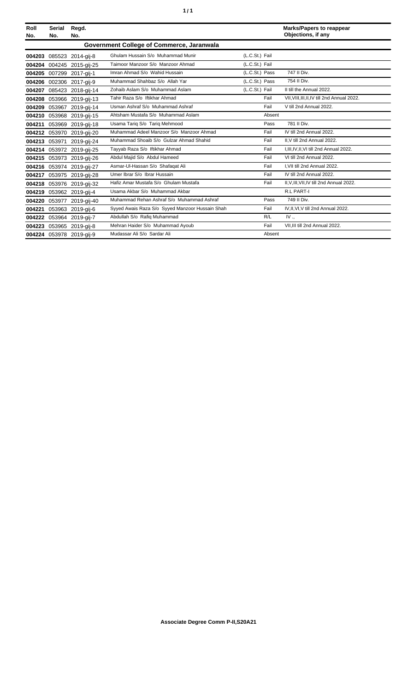| ٥. | ٠ |
|----|---|
|    |   |

| Roll<br>No. | <b>Serial</b><br>No. | Regd.<br>No.              |                                                 |                | <b>Marks/Papers to reappear</b><br>Objections, if any |
|-------------|----------------------|---------------------------|-------------------------------------------------|----------------|-------------------------------------------------------|
|             |                      |                           | Government College of Commerce, Jaranwala       |                |                                                       |
| 004203      |                      | 085523 2014-gij-8         | Ghulam Hussain S/o Muhammad Munir               | (L.C.St.) Fail |                                                       |
| 004204      | 004245               | 2015-gij-25               | Taimoor Manzoor S/o Manzoor Ahmad               | (L.C.St.) Fail |                                                       |
| 004205      |                      | 007299 2017-gij-1         | Imran Ahmad S/o Wahid Hussain                   | (L.C.St.) Pass | 747 II Div.                                           |
| 004206      |                      | 002306 2017-gij-9         | Muhammad Shahbaz S/o Allah Yar                  | (L.C.St.) Pass | 754 II Div.                                           |
| 004207      |                      | 085423 2018-gij-14        | Zohaib Aslam S/o Muhammad Aslam                 | (L.C.St.) Fail | II till the Annual 2022.                              |
| 004208      |                      | 053966 2019-gij-13        | Tahir Raza S/o Iftikhar Ahmad                   | Fail           | VII, VIII, III, II, IV till 2nd Annual 2022.          |
| 004209      |                      | 053967 2019-gij-14        | Usman Ashraf S/o Muhammad Ashraf                | Fail           | V till 2nd Annual 2022.                               |
| 004210      |                      | 053968 2019-gij-15        | Ahtsham Mustafa S/o Muhammad Aslam              | Absent         |                                                       |
| 004211      |                      | 053969 2019-gij-18        | Usama Tariq S/o Tariq Mehmood                   | Pass           | 781 II Div.                                           |
| 004212      | 053970               | 2019-gij-20               | Muhammad Adeel Manzoor S/o Manzoor Ahmad        | Fail           | IV till 2nd Annual 2022.                              |
|             |                      | 004213 053971 2019-gij-24 | Muhammad Shoaib S/o Gulzar Ahmad Shahid         | Fail           | II.V till 2nd Annual 2022.                            |
| 004214      |                      | 053972 2019-gij-25        | Tayyab Raza S/o Iftikhar Ahmad                  | Fail           | I.III.IV.II.VI till 2nd Annual 2022.                  |
|             |                      | 004215 053973 2019-gij-26 | Abdul Majid S/o Abdul Hameed                    | Fail           | VI till 2nd Annual 2022.                              |
|             |                      | 004216 053974 2019-gij-27 | Asmar-Ul-Hassan S/o Shafaqat Ali                | Fail           | I.VII till 2nd Annual 2022.                           |
|             |                      | 004217 053975 2019-gij-28 | Umer Ibrar S/o Ibrar Hussain                    | Fail           | IV till 2nd Annual 2022.                              |
| 004218      |                      | 053976 2019-gij-32        | Hafiz Amar Mustafa S/o Ghulam Mustafa           | Fail           | II, V, III, VII, IV till 2nd Annual 2022.             |
|             |                      | 004219 053962 2019-gij-4  | Usama Akbar S/o Muhammad Akbar                  |                | <b>R.L PART-I</b>                                     |
| 004220      |                      | 053977 2019-gij-40        | Muhammad Rehan Ashraf S/o Muhammad Ashraf       | Pass           | 749 II Div.                                           |
| 004221      |                      | 053963 2019-gij-6         | Syyed Awais Raza S/o Syyed Manzoor Hussain Shah | Fail           | IV, II, VI, V till 2nd Annual 2022.                   |
| 004222      |                      | 053964 2019-gij-7         | Abdullah S/o Rafiq Muhammad                     | R/L            | IV <sub>1</sub>                                       |
| 004223      |                      | 053965 2019-gij-8         | Mehran Haider S/o Muhammad Ayoub                | Fail           | VII, III till 2nd Annual 2022.                        |
|             |                      | 004224 053978 2019-gij-9  | Mudassar Ali S/o Sardar Ali                     | Absent         |                                                       |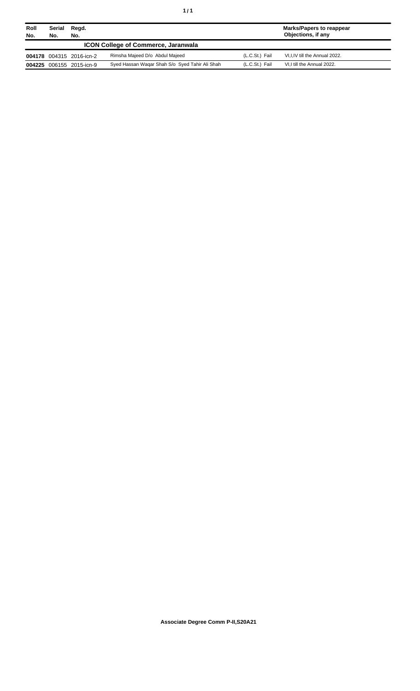| Roll<br>No.                                | Serial<br>No. | Regd.<br>No.             |                                                |                | Marks/Papers to reappear<br>Objections, if any |
|--------------------------------------------|---------------|--------------------------|------------------------------------------------|----------------|------------------------------------------------|
| <b>ICON College of Commerce, Jaranwala</b> |               |                          |                                                |                |                                                |
|                                            |               | 004178 004315 2016-icn-2 | Rimsha Majeed D/o Abdul Majeed                 | (L.C.St.) Fail | VI, I, IV till the Annual 2022.                |
|                                            |               | 004225 006155 2015-icn-9 | Syed Hassan Wagar Shah S/o Syed Tahir Ali Shah | (L.C.St.) Fail | VI, I till the Annual 2022.                    |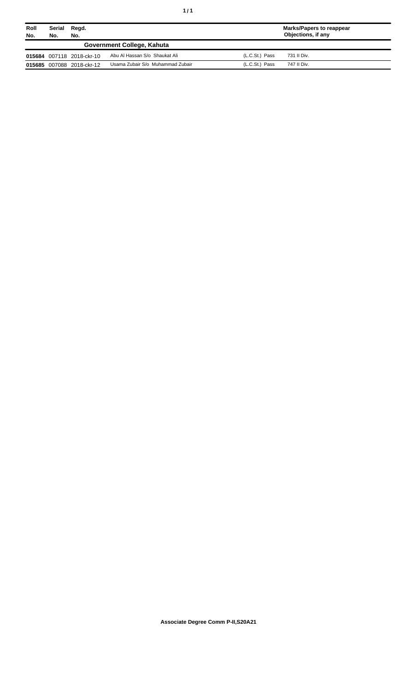| Roll<br>No. | Serial<br>No. | Regd.<br>No.              |                                  |                | Marks/Papers to reappear<br>Objections, if any |  |
|-------------|---------------|---------------------------|----------------------------------|----------------|------------------------------------------------|--|
|             |               |                           | Government College, Kahuta       |                |                                                |  |
|             |               | 015684 007118 2018-ckr-10 | Abu Al Hassan S/o Shaukat Ali    | (L.C.St.) Pass | 731 II Div.                                    |  |
|             |               | 015685 007088 2018-ckr-12 | Usama Zubair S/o Muhammad Zubair | (L.C.St.) Pass | 747 II Div.                                    |  |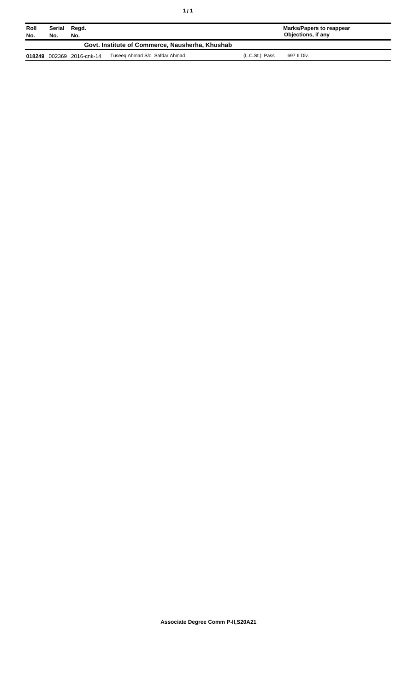| Roll<br>No. | Serial<br>No. | Regd.<br>No.              |                                                 |                | Marks/Papers to reappear<br>Objections, if any |
|-------------|---------------|---------------------------|-------------------------------------------------|----------------|------------------------------------------------|
|             |               |                           | Govt. Institute of Commerce, Nausherha, Khushab |                |                                                |
|             |               | 018249 002369 2016-cnk-14 | Tuseeg Ahmad S/o Safdar Ahmad                   | (L.C.St.) Pass | 697 II Div.                                    |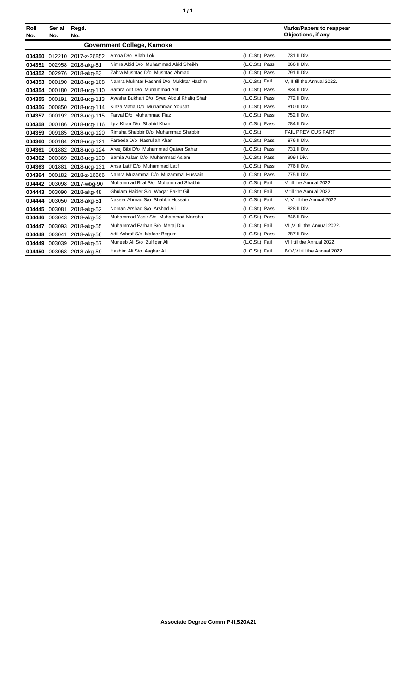| ٠ | ٠ |
|---|---|
|   |   |

| Roll<br>No. | <b>Serial</b><br>No. | Regd.<br>No.               |                                           |                | <b>Marks/Papers to reappear</b><br>Objections, if any |  |
|-------------|----------------------|----------------------------|-------------------------------------------|----------------|-------------------------------------------------------|--|
|             |                      |                            | <b>Government College, Kamoke</b>         |                |                                                       |  |
|             |                      | 004350 012210 2017-z-26852 | Amna D/o Allah Lok                        | (L.C.St.) Pass | 731 II Div.                                           |  |
|             |                      | 004351 002958 2018-akg-81  | Nimra Abid D/o Muhammad Abid Sheikh       | (L.C.St.) Pass | 866 II Div.                                           |  |
|             |                      | 004352 002976 2018-akg-83  | Zahra Mushtaq D/o Mushtaq Ahmad           | (L.C.St.) Pass | 791 II Div.                                           |  |
|             |                      | 004353 000190 2018-ucg-108 | Namra Mukhtar Hashmi D/o Mukhtar Hashmi   | (L.C.St.) Fail | V.III till the Annual 2022.                           |  |
| 004354      |                      | 000180 2018-ucg-110        | Samra Arif D/o Muhammad Arif              | (L.C.St.) Pass | 834 II Div.                                           |  |
|             |                      | 004355 000191 2018-ucg-113 | Ayesha Bukhari D/o Syed Abdul Khaliq Shah | (L.C.St.) Pass | 772 II Div.                                           |  |
|             |                      | 004356 000850 2018-ucg-114 | Kinza Mafia D/o Muhammad Yousaf           | (L.C.St.) Pass | 810 II Div.                                           |  |
| 004357      |                      | 000192 2018-ucg-115        | Faryal D/o Muhammad Fiaz                  | (L.C.St.) Pass | 752 II Div.                                           |  |
|             |                      | 004358 000186 2018-ucg-116 | Igra Khan D/o Shahid Khan                 | (L.C.St.) Pass | 784 II Div.                                           |  |
| 004359      |                      | 009185 2018-ucg-120        | Rimsha Shabbir D/o Muhammad Shabbir       | (L.C.St.)      | FAIL PREVIOUS PART                                    |  |
|             |                      | 004360 000184 2018-ucg-121 | Fareeda D/o Nasrullah Khan                | (L.C.St.) Pass | 876 II Div.                                           |  |
|             |                      | 004361 001882 2018-ucg-124 | Areej Bibi D/o Muhammad Qaiser Sahar      | (L.C.St.) Pass | 731 II Div.                                           |  |
|             |                      | 004362 000369 2018-ucg-130 | Samia Aslam D/o Muhammad Aslam            | (L.C.St.) Pass | 909   Div.                                            |  |
|             |                      | 004363 001881 2018-ucg-131 | Ansa Latif D/o Muhammad Latif             | (L.C.St.) Pass | 776 II Div.                                           |  |
|             |                      | 004364 000182 2018-z-16666 | Namra Muzammal D/o Muzammal Hussain       | (L.C.St.) Pass | 775 II Div.                                           |  |
|             |                      | 004442 003098 2017-wbq-90  | Muhammad Bilal S/o Muhammad Shabbir       | (L.C.St.) Fail | V till the Annual 2022.                               |  |
|             |                      | 004443 003090 2018-akg-48  | Ghulam Haider S/o Waqar Bakht Gil         | (L.C.St.) Fail | V till the Annual 2022.                               |  |
| 004444      | 003050               | 2018-akg-51                | Naseer Ahmad S/o Shabbir Hussain          | (L.C.St.) Fail | V,IV till the Annual 2022.                            |  |
|             | 004445 003081        | 2018-akg-52                | Noman Arshad S/o Arshad Ali               | (L.C.St.) Pass | 828 II Div.                                           |  |
|             |                      | 004446 003043 2018-akg-53  | Muhammad Yasir S/o Muhammad Mansha        | (L.C.St.) Pass | 846 II Div.                                           |  |
| 004447      |                      | 003093 2018-akg-55         | Muhammad Farhan S/o Meraj Din             | (L.C.St.) Fail | VII, VI till the Annual 2022.                         |  |
|             |                      | 004448 003041 2018-akg-56  | Adil Ashraf S/o Mafoor Begum              | (L.C.St.) Pass | 787 II Div.                                           |  |
|             |                      | 004449 003039 2018-akg-57  | Muneeb Ali S/o Zulfigar Ali               | (L.C.St.) Fail | VI,I till the Annual 2022.                            |  |
|             |                      | 004450 003068 2018-akg-59  | Hashim Ali S/o Asghar Ali                 | (L.C.St.) Fail | IV, V, VI till the Annual 2022.                       |  |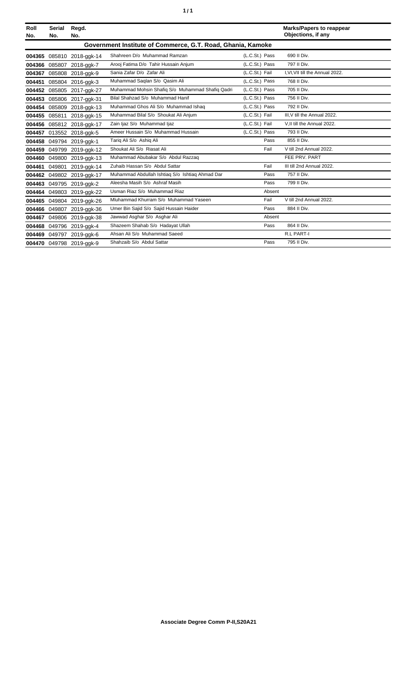|--|

| Roll<br>No. | <b>Serial</b><br>No. | Regd.<br>No.              |                                                             |                | <b>Marks/Papers to reappear</b><br>Objections, if any |
|-------------|----------------------|---------------------------|-------------------------------------------------------------|----------------|-------------------------------------------------------|
|             |                      |                           | Government Institute of Commerce, G.T. Road, Ghania, Kamoke |                |                                                       |
| 004365      |                      | 085810 2018-ggk-14        | Shahreen D/o Muhammad Ramzan                                | (L.C.St.) Pass | 690 II Div.                                           |
| 004366      | 085807               | 2018-ggk-7                | Arooj Fatima D/o Tahir Hussain Anjum                        | (L.C.St.) Pass | 797 II Div.                                           |
| 004367      |                      | 085808 2018-ggk-9         | Sania Zafar D/o Zafar Ali                                   | (L.C.St.) Fail | I.VI.VII till the Annual 2022.                        |
| 004451      |                      | 085804 2016-ggk-3         | Muhammad Saqlan S/o Qasim Ali                               | (L.C.St.) Pass | 768 II Div.                                           |
|             |                      | 004452 085805 2017-ggk-27 | Muhammad Mohsin Shafiq S/o Muhammad Shafiq Qadri            | (L.C.St.) Pass | 705 II Div.                                           |
| 004453      | 085806               | 2017-ggk-31               | Bilal Shahzad S/o Muhammad Hanif                            | (L.C.St.) Pass | 756 II Div.                                           |
| 004454      | 085809               | 2018-ggk-13               | Muhammad Ghos Ali S/o Muhammad Ishaq                        | (L.C.St.) Pass | 792 II Div.                                           |
| 004455      | 085811               | 2018-ggk-15               | Muhammad Bilal S/o Shoukat Ali Anjum                        | (L.C.St.) Fail | III.V till the Annual 2022.                           |
|             |                      | 004456 085812 2018-ggk-17 | Zain ljaz S/o Muhammad ljaz                                 | (L.C.St.) Fail | V.II till the Annual 2022.                            |
|             |                      | 004457 013552 2018-ggk-5  | Ameer Hussain S/o Muhammad Hussain                          | (L.C.St.) Pass | 793 II Div.                                           |
|             |                      | 004458 049794 2019-ggk-1  | Tariq Ali S/o Ashiq Ali                                     | Pass           | 855 II Div.                                           |
| 004459      |                      | 049799 2019-ggk-12        | Shoukat Ali S/o Riasat Ali                                  | Fail           | V till 2nd Annual 2022.                               |
| 004460      | 049800               | 2019-ggk-13               | Muhammad Abubakar S/o Abdul Razzag                          |                | FEE PRV. PART                                         |
| 004461      | 049801               | 2019-ggk-14               | Zuhaib Hassan S/o Abdul Sattar                              | Fail           | III till 2nd Annual 2022.                             |
|             |                      | 004462 049802 2019-ggk-17 | Muhammad Abdullah Ishtiaq S/o Ishtiaq Ahmad Dar             | Pass           | 757 II Div.                                           |
|             |                      | 004463 049795 2019-ggk-2  | Aleesha Masih S/o Ashraf Masih                              | Pass           | 799 II Div.                                           |
|             |                      | 004464 049803 2019-ggk-22 | Usman Riaz S/o Muhammad Riaz                                | Absent         |                                                       |
| 004465      | 049804               | 2019-ggk-26               | Mluhammad Khurram S/o Muhammad Yaseen                       | Fail           | V till 2nd Annual 2022.                               |
| 004466      | 049807               | 2019-ggk-36               | Umer Bin Sajid S/o Sajid Hussain Haider                     | Pass           | 884 II Div.                                           |
| 004467      |                      | 049806 2019-ggk-38        | Jawwad Asghar S/o Asghar Ali                                | Absent         |                                                       |
|             |                      | 004468 049796 2019-ggk-4  | Shazeem Shahab S/o Hadayat Ullah                            | Pass           | 864 II Div.                                           |
|             |                      | 004469 049797 2019-ggk-6  | Ahsan Ali S/o Muhammad Saeed                                |                | <b>R.L PART-I</b>                                     |
|             |                      | 004470 049798 2019-ggk-9  | Shahzaib S/o Abdul Sattar                                   | Pass           | 795 II Div.                                           |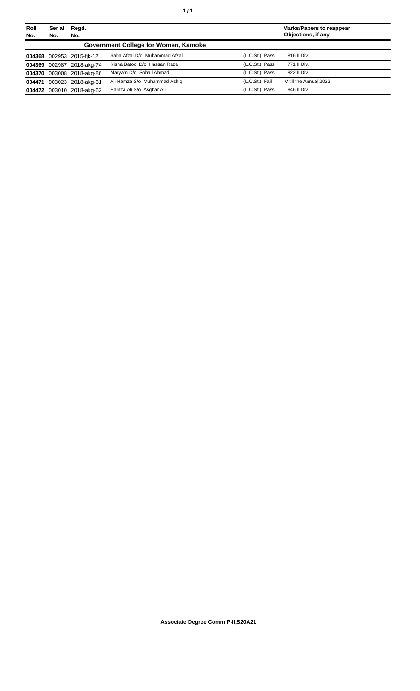| Roll<br>No. | <b>Serial</b><br>No. | Regd.<br>No.              |                                      |                | <b>Marks/Papers to reappear</b><br>Objections, if any |
|-------------|----------------------|---------------------------|--------------------------------------|----------------|-------------------------------------------------------|
|             |                      |                           | Government College for Women, Kamoke |                |                                                       |
|             |                      | 004368 002953 2015-fik-12 | Saba Afzal D/o Muhammad Afzal        | (L.C.St.) Pass | 816 II Div.                                           |
|             |                      | 004369 002987 2018-akg-74 | Risha Batool D/o Hassan Raza         | (L.C.St.) Pass | 771 II Div.                                           |
|             |                      | 004370 003008 2018-akg-86 | Maryam D/o Sohail Ahmad              | (L.C.St.) Pass | 822 II Div.                                           |
|             |                      | 004471 003023 2018-akg-61 | Ali Hamza S/o Muhammad Ashig         | (L.C.St.) Fail | V till the Annual 2022.                               |
|             |                      | 004472 003010 2018-akg-62 | Hamza Ali S/o Asghar Ali             | (L.C.St.) Pass | 846 II Div.                                           |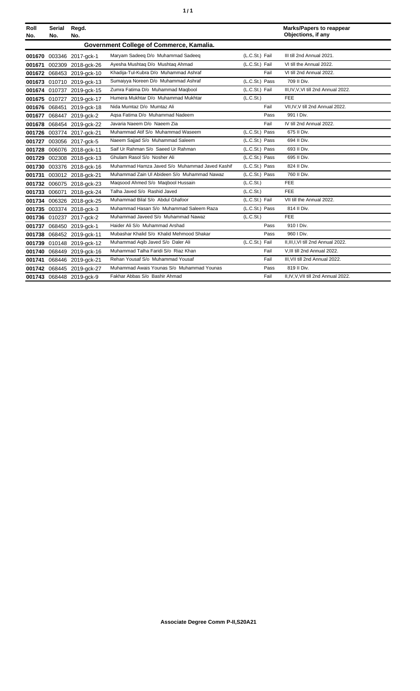| ٠ | ٠ |
|---|---|
|   |   |

| Roll<br>No. | Serial<br>No. | Regd.<br>No.              |                                                |                | <b>Marks/Papers to reappear</b><br>Objections, if any |
|-------------|---------------|---------------------------|------------------------------------------------|----------------|-------------------------------------------------------|
|             |               |                           | Government College of Commerce, Kamalia.       |                |                                                       |
|             |               | 001670 003346 2017-gck-1  | Maryam Sadeeg D/o Muhammad Sadeeg              | (L.C.St.) Fail | III till 2nd Annual 2021.                             |
| 001671      | 002309        | 2018-gck-26               | Ayesha Mushtaq D/o Mushtaq Ahmad               | (L.C.St.) Fail | VI till the Annual 2022.                              |
|             |               | 001672 068453 2019-gck-10 | Khadija-Tul-Kubra D/o Muhammad Ashraf          | Fail           | VI till 2nd Annual 2022.                              |
|             |               | 001673 010710 2019-gck-13 | Sumaiyya Noreen D/o Muhammad Ashraf            | (L.C.St.) Pass | 709 II Div.                                           |
|             |               | 001674 010737 2019-ack-15 | Zumra Fatima D/o Muhammad Maqbool              | (L.C.St.) Fail | III, IV, V, VI till 2nd Annual 2022.                  |
|             |               | 001675 010727 2019-gck-17 | Humera Mukhtar D/o Muhammad Mukhtar            | (L.C.St.)      | <b>FEE</b>                                            |
|             |               | 001676 068451 2019-gck-18 | Nida Mumtaz D/o Mumtaz Ali                     | Fail           | VII, IV, V till 2nd Annual 2022.                      |
|             |               | 001677 068447 2019-ock-2  | Agsa Fatima D/o Muhammad Nadeem                | Pass           | 991 I Div.                                            |
| 001678      |               | 068454 2019-gck-22        | Javaria Naeem D/o Naeem Zia                    | Fail           | IV till 2nd Annual 2022.                              |
|             |               | 001726 003774 2017-gck-21 | Muhammad Atif S/o Muhammad Waseem              | (L.C.St.) Pass | 675 II Div.                                           |
| 001727      |               | 003056 2017-gck-5         | Naeem Sajjad S/o Muhammad Saleem               | (L.C.St.) Pass | 694 II Div.                                           |
|             |               | 001728 006076 2018-gck-11 | Saif Ur Rahman S/o Saeed Ur Rahman             | (L.C.St.) Pass | 693 II Div.                                           |
| 001729      |               | 002308 2018-gck-13        | Ghulam Rasol S/o Nosher Ali                    | (L.C.St.) Pass | 695 II Div.                                           |
|             |               | 001730 003376 2018-gck-16 | Muhammad Hamza Javed S/o Muhammad Javed Kashif | (L.C.St.) Pass | 824 II Div.                                           |
|             |               | 001731 003012 2018-gck-21 | Muhammad Zain UI Abideen S/o Muhammad Nawaz    | (L.C.St.) Pass | 760 II Div.                                           |
|             |               | 001732 006075 2018-gck-23 | Magsood Ahmed S/o Magbool Hussain              | (L.C.St.)      | <b>FEE</b>                                            |
|             | 001733 006071 | 2018-gck-24               | Talha Javed S/o Rashid Javed                   | (L.C.St.)      | FEE                                                   |
|             |               | 001734 006326 2018-gck-25 | Muhammad Bilal S/o Abdul Ghafoor               | (L.C.St.) Fail | VII till the Annual 2022.                             |
|             |               | 001735 003374 2018-gck-3  | Muhammad Hasan S/o Muhammad Saleem Raza        | (L.C.St.) Pass | 814 II Div.                                           |
|             |               | 001736 010237 2017-gck-2  | Muhammad Javeed S/o Muhammad Nawaz             | (L.C.St.)      | FEE                                                   |
|             |               | 001737 068450 2019-gck-1  | Haider Ali S/o Muhammad Arshad                 | Pass           | 910   Div.                                            |
| 001738      |               | 068452 2019-gck-11        | Mubashar Khalid S/o Khalid Mehmood Shakar      | Pass           | 960   Div.                                            |
| 001739      |               | 010148 2019-gck-12        | Muhammad Agib Javed S/o Daler Ali              | (L.C.St.) Fail | II, III, I, VI till 2nd Annual 2022.                  |
| 001740      |               | 068449 2019-gck-16        | Muhammad Talha Faridi S/o Riaz Khan            | Fail           | V, III till 2nd Annual 2022.                          |
| 001741      |               | 068446 2019-gck-21        | Rehan Yousaf S/o Muhammad Yousaf               | Fail           | III, VII till 2nd Annual 2022.                        |
|             |               | 001742 068445 2019-ack-27 | Muhammad Awais Younas S/o Muhammad Younas      | Pass           | 819 II Div.                                           |
|             |               | 001743 068448 2019-ack-9  | Fakhar Abbas S/o Bashir Ahmad                  | Fail           | II, IV, V, VII till 2nd Annual 2022.                  |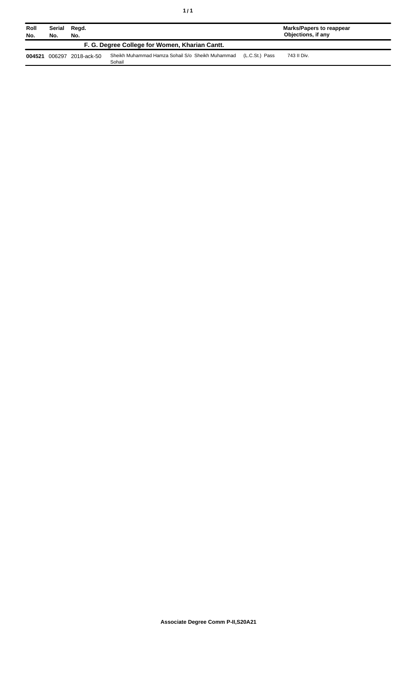| ٠ | ٠ |
|---|---|
|   |   |

| Roll<br>No. | Serial<br>No. | Regd.<br>No.       |                                                            |                | Marks/Papers to reappear<br>Objections, if any |
|-------------|---------------|--------------------|------------------------------------------------------------|----------------|------------------------------------------------|
|             |               |                    | F. G. Degree College for Women, Kharian Cantt.             |                |                                                |
| 004521      |               | 006297 2018-ack-50 | Sheikh Muhammad Hamza Sohail S/o Sheikh Muhammad<br>Sohail | (L.C.St.) Pass | 743 II Div.                                    |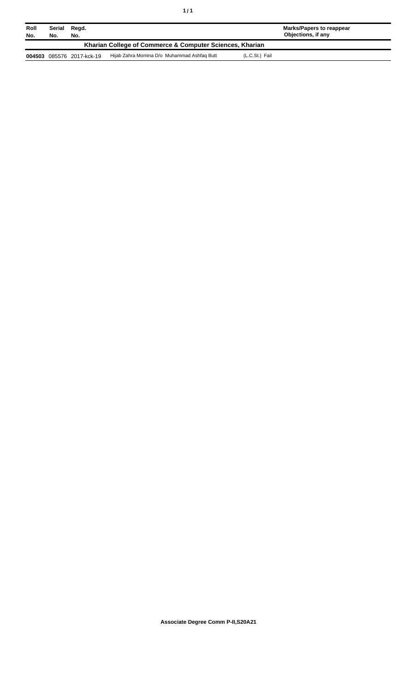| Roll<br>No.                                              | Serial<br>No. | Regd.<br>No.       |                                             | Marks/Papers to reappear<br>Objections, if any |
|----------------------------------------------------------|---------------|--------------------|---------------------------------------------|------------------------------------------------|
| Kharian College of Commerce & Computer Sciences, Kharian |               |                    |                                             |                                                |
| 004503                                                   |               | 085576 2017-kck-19 | Hijab Zahra Momina D/o Muhammad Ashfaq Butt | (L.C.St.) Fail                                 |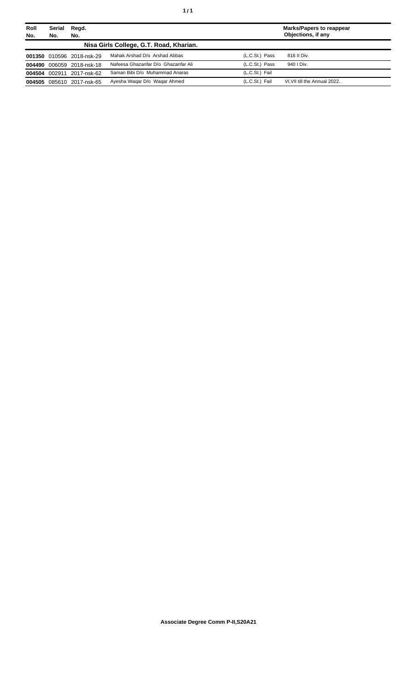| Roll   | Serial     | Regd.                     |                                         |                | <b>Marks/Papers to reappear</b><br>Objections, if any |
|--------|------------|---------------------------|-----------------------------------------|----------------|-------------------------------------------------------|
| No.    | No.<br>No. |                           |                                         |                |                                                       |
|        |            |                           | Nisa Girls College, G.T. Road, Kharian. |                |                                                       |
|        |            | 001350 010596 2018-nsk-29 | Mahak Arshad D/o Arshad Abbas           | (L.C.St.) Pass | 816 II Div.                                           |
|        |            | 004490 006059 2018-nsk-18 | Nafeesa Ghazanfar D/o Ghazanfar Ali     | (L.C.St.) Pass | 940   Div.                                            |
| 004504 | 002911     | 2017-nsk-62               | Saman Bibi D/o Muhammad Anaras          | (L.C.St.) Fail |                                                       |
| 004505 |            | 085610 2017-nsk-65        | Ayesha Wagar D/o Wagar Ahmed            | (L.C.St.) Fail | VI.VII till the Annual 2022.                          |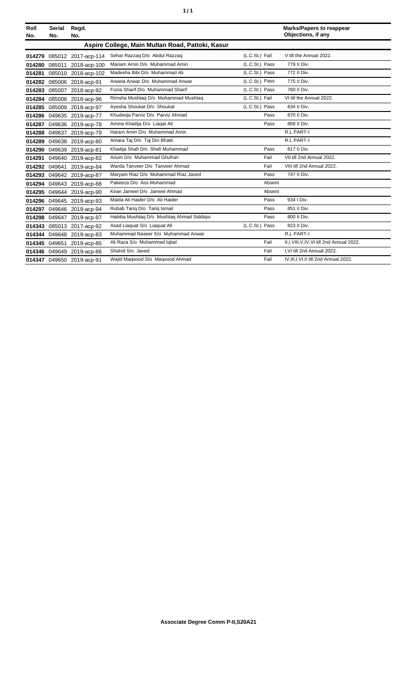|  | ٠ |
|--|---|
|  |   |

| Roll<br>No. | <b>Serial</b><br>No. | Regd.<br>No.              |                                                  |                | <b>Marks/Papers to reappear</b><br>Objections, if any |
|-------------|----------------------|---------------------------|--------------------------------------------------|----------------|-------------------------------------------------------|
|             |                      |                           | Aspire College, Main Multan Road, Pattoki, Kasur |                |                                                       |
| 014279      |                      | 085012 2017-acp-114       | Sehar Razzag D/o Abdul Razzag                    | (L.C.St.) Fail | V till the Annual 2022.                               |
| 014280      | 085011               | 2018-acp-100              | Mariam Amin D/o Muhammad Amin                    | (L.C.St.) Pass | 779 II Div.                                           |
| 014281      |                      | 085010 2018-acp-102       | Madeeha Bibi D/o Muhammad Ali                    | (L.C.St.) Pass | 772 II Div.                                           |
| 014282      |                      | 085006 2018-acp-91        | Aneela Anwar D/o Muhammad Anwar                  | (L.C.St.) Pass | 775 II Div.                                           |
| 014283      |                      | 085007 2018-acp-92        | Fozia Sharif D/o Muhammad Sharif                 | (L.C.St.) Pass | 760 II Div.                                           |
| 014284      |                      | 085008 2018-acp-96        | Rimsha Mushtaq D/o Muhammad Mushtaq              | (L.C.St.) Fail | VI till the Annual 2022.                              |
| 014285      |                      | 085009 2018-acp-97        | Ayesha Shoukat D/o Shoukat                       | (L.C.St.) Pass | 834 II Div.                                           |
| 014286      |                      | 049635 2019-acp-77        | Khudeeja Parviz D/o Parviz Ahmad                 | Pass           | 870 II Div.                                           |
| 014287      |                      | 049636 2019-acp-78        | Amina Khadija D/o Liagat Ali                     | Pass           | 868 II Div.                                           |
| 014288      | 049637               | 2019-acp-79               | Haram Amin D/o Muhammad Amin                     |                | <b>R.L PART-I</b>                                     |
| 014289      |                      | 049638 2019-acp-80        | Amara Taj D/o Taj Din Bhatti                     |                | R.L PART-I                                            |
| 014290      | 049639               | 2019-acp-81               | Khadija Shafi D/o Shafi Muhammad                 | Pass           | 817 II Div.                                           |
| 014291      |                      | 049640 2019-acp-82        | Anum D/o Muhammad Ghufran                        | Fail           | VII till 2nd Annual 2022.                             |
|             | 014292 049641        | 2019-acp-84               | Warda Tanveer D/o Tanveer Ahmad                  | Fail           | VIII till 2nd Annual 2022.                            |
| 014293      |                      | 049642 2019-acp-87        | Maryam Riaz D/o Muhammad Riaz Javed              | Pass           | 747 II Div.                                           |
| 014294      |                      | 049643 2019-acp-88        | Pakeeza D/o Ass Muhammad                         | Absent         |                                                       |
| 014295      |                      | 049644 2019-acp-90        | Kiran Jameel D/o Jameel Ahmad                    | Absent         |                                                       |
| 014296      |                      | 049645 2019-acp-93        | Maida Ali Haider D/o Ali Haider                  | Pass           | 934   Div.                                            |
| 014297      |                      | 049646 2019-acp-94        | Rubab Tariq D/o Tariq Ismail                     | Pass           | 851 II Div.                                           |
| 014298      |                      | 049647 2019-acp-97        | Habiba Mushtaq D/o Mushtaq Ahmad Siddiqui        | Pass           | 800 II Div.                                           |
| 014343      |                      | 085013 2017-acp-92        | Asad Liaquat S/o Liaquat Ali                     | (L.C.St.) Pass | 823 II Div.                                           |
| 014344      |                      | 049648 2019-acp-83        | Muhammad Naseer S/o Muhammad Anwar               |                | <b>R.L PART-I</b>                                     |
| 014345      | 049651               | 2019-acp-85               | Ali Raza S/o Muhammad Iqbal                      | Fail           | II,I, VIII, V, IV, VI till 2nd Annual 2022.           |
|             |                      | 014346 049649 2019-acp-86 | Shahid S/o Javed                                 | Fail           | I.VI till 2nd Annual 2022.                            |
|             |                      | 014347 049650 2019-acp-91 | Wajid Magsood S/o Magsood Ahmad                  | Fail           | IV.III.I.VI.II till 2nd Annual 2022.                  |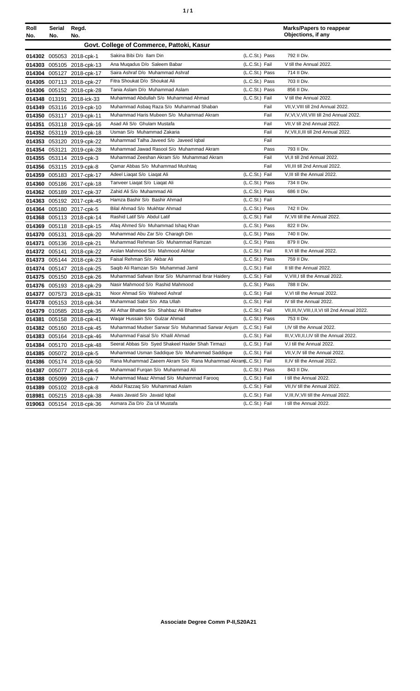| ٠ | ٠ |
|---|---|
|   |   |

| Roll   | Serial        | Regd.                     |                                                                  |                | <b>Marks/Papers to reappear</b><br>Objections, if any |
|--------|---------------|---------------------------|------------------------------------------------------------------|----------------|-------------------------------------------------------|
| No.    | No.           | No.                       |                                                                  |                |                                                       |
|        |               |                           | Govt. College of Commerce, Pattoki, Kasur                        |                |                                                       |
|        |               | 014302 005053 2018-cpk-1  | Sakina Bibi D/o Ilam Din                                         | (L.C.St.) Pass | 792 II Div.                                           |
|        |               | 014303 005105 2018-cpk-13 | Ana Mugadus D/o Saleem Babar                                     | (L.C.St.) Fail | V till the Annual 2022.                               |
|        |               | 014304 005127 2018-cpk-17 | Saira Ashraf D/o Muhammad Ashraf                                 | (L.C.St.) Pass | 714 II Div.                                           |
|        |               | 014305 007113 2018-cpk-27 | Fitra Shoukat D/o Shoukat Ali                                    | (L.C.St.) Pass | 703 II Div.                                           |
|        |               | 014306 005152 2018-cpk-28 | Tania Aslam D/o Muhammad Aslam                                   | (L.C.St.) Pass | 856 II Div.                                           |
|        |               | 014348 013191 2018-ick-33 | Muhammad Abdullah S/o Muhammad Ahmad                             | (L.C.St.) Fail | V till the Annual 2022.                               |
| 014349 |               | 053116 2019-cpk-10        | Muhammad Asbaq Raza S/o Muhammad Shaban                          | Fail           | VII, V, VIII till 2nd Annual 2022.                    |
|        |               | 014350 053117 2019-cpk-11 | Muhammad Haris Mubeen S/o Muhammad Akram                         | Fail           | IV, VI, V, VII, VIII till 2nd Annual 2022.            |
| 014351 |               | 053118 2019-cpk-16        | Asad Ali S/o Ghulam Mustafa                                      | Fail           | VII, V till 2nd Annual 2022.                          |
|        |               | 014352 053119 2019-cpk-18 | Usman S/o Muhammad Zakaria                                       | Fail           | IV, VII, II, III till 2nd Annual 2022.                |
|        |               | 014353 053120 2019-cpk-22 | Muhammad Talha Javeed S/o Javeed Iqbal                           | Fail           |                                                       |
|        |               | 014354 053121 2019-cpk-28 | Muhammad Jawad Rasool S/o Muhammad Akram                         | Pass           | 793 II Div.                                           |
|        |               | 014355 053114 2019-cpk-3  | Muhammad Zeeshan Akram S/o Muhammad Akram                        | Fail           | VI.II till 2nd Annual 2022.                           |
|        |               | 014356 053115 2019-cpk-8  | Qamar Abbas S/o Muhammad Mushtaq                                 | Fail           | VII.III till 2nd Annual 2022.                         |
| 014359 |               | 005183 2017-cpk-17        | Adeel Liagat S/o Liagat Ali                                      | (L.C.St.) Fail | V, III till the Annual 2022.                          |
|        |               | 014360 005186 2017-cpk-18 | Tanveer Liagat S/o Liagat Ali                                    | (L.C.St.) Pass | 734 II Div.                                           |
|        |               | 014362 005189 2017-cpk-37 | Zahid Ali S/o Muhammad Ali                                       | (L.C.St.) Pass | 686 II Div.                                           |
|        |               | 014363 005192 2017-cpk-45 | Hamza Bashir S/o Bashir Ahmad                                    | (L.C.St.) Fail |                                                       |
|        |               | 014364 005180 2017-cpk-5  | Bilal Ahmad S/o Mukhtar Ahmad                                    | (L.C.St.) Pass | 742 II Div.                                           |
|        |               | 014368 005113 2018-cpk-14 | Rashid Latif S/o Abdul Latif                                     | (L.C.St.) Fail | IV, VII till the Annual 2022.                         |
| 014369 |               | 005118 2018-cpk-15        | Afaq Ahmed S/o Muhammad Ishaq Khan                               | (L.C.St.) Pass | 822 II Div.                                           |
| 014370 | 005131        | 2018-cpk-20               | Muhammad Abu Zar S/o Charagh Din                                 | (L.C.St.) Pass | 740 II Div.                                           |
| 014371 |               | 005136 2018-cpk-21        | Muhammad Rehman S/o Muhammad Ramzan                              | (L.C.St.) Pass | 879 II Div.                                           |
|        | 014372 005141 | 2018-cpk-22               | Arslan Mahmood S/o Mahmood Akhtar                                | (L.C.St.) Fail | II, VI till the Annual 2022.                          |
|        |               | 014373 005144 2018-cpk-23 | Faisal Rehman S/o Akbar Ali                                      | (L.C.St.) Pass | 759 II Div.                                           |
|        |               | 014374 005147 2018-cpk-25 | Saqib Ali Ramzan S/o Muhammad Jamil                              | (L.C.St.) Fail | II till the Annual 2022.                              |
|        |               | 014375 005150 2018-cpk-26 | Muhammad Safwan Ibrar S/o Muhammad Ibrar Haidery                 | (L.C.St.) Fail | V, VIII, I till the Annual 2022.                      |
|        |               | 014376 005193 2018-cpk-29 | Nasir Mahmood S/o Rashid Mahmood                                 | (L.C.St.) Pass | 788 II Div.                                           |
|        |               | 014377 007573 2018-cpk-31 | Noor Ahmad S/o Waheed Ashraf                                     | (L.C.St.) Fail | V, VI till the Annual 2022.                           |
|        |               | 014378 005153 2018-cpk-34 | Muhammad Sabir S/o Atta Ullah                                    | (L.C.St.) Fail | IV till the Annual 2022.                              |
|        |               | 014379 010585 2018-cpk-35 | Ali Athar Bhattee S/o Shahbaz Ali Bhattee                        | (L.C.St.) Fail | VII, III, IV, VIII, I, II, VI till 2nd Annual 2022.   |
|        |               | 014381 005158 2018-cpk-41 | Waqar Hussain S/o Gulzar Ahmad                                   | (L.C.St.) Pass | 753 II Div.                                           |
|        |               | 014382 005160 2018-cpk-45 | Muhammad Mudser Sarwar S/o Muhammad Sarwar Anjum                 | (L.C.St.) Fail | I,IV till the Annual 2022.                            |
| 014383 |               | 005164 2018-cpk-46        | Muhammad Faisal S/o Khalil Ahmad                                 | (L.C.St.) Fail | III, V, VII, II, I, IV till the Annual 2022.          |
| 014384 |               | 005170 2018-cpk-48        | Seerat Abbas S/o Syed Shakeel Haider Shah Tirmazi                | (L.C.St.) Fail | V,I till the Annual 2022.                             |
| 014385 |               | 005072 2018-cpk-5         | Muhammad Usman Saddique S/o Muhammad Saddique                    | (L.C.St.) Fail | VII, V, IV till the Annual 2022.                      |
| 014386 |               | 005174 2018-cpk-50        | Rana Muhammad Zaeem Akram S/o Rana Muhammad Akram (L.C.St.) Fail |                | II,IV till the Annual 2022.                           |
| 014387 |               | 005077 2018-cpk-6         | Muhammad Furqan S/o Muhammad Ali                                 | (L.C.St.) Pass | 843 II Div.                                           |
| 014388 | 005099        | 2018-cpk-7                | Muhammad Maaz Ahmad S/o Muhammad Farooq                          | (L.C.St.) Fail | I till the Annual 2022.                               |
| 014389 |               | 005102 2018-cpk-8         | Abdul Razzaq S/o Muhammad Aslam                                  | (L.C.St.) Fail | VII, IV till the Annual 2022.                         |
| 018981 |               | 005215 2018-cpk-38        | Awais Javaid S/o Javaid Igbal                                    | (L.C.St.) Fail | V, III, IV, VII till the Annual 2022.                 |
|        |               | 019063 005154 2018-cpk-36 | Asmara Zia D/o Zia Ul Mustafa                                    | (L.C.St.) Fail | I till the Annual 2022.                               |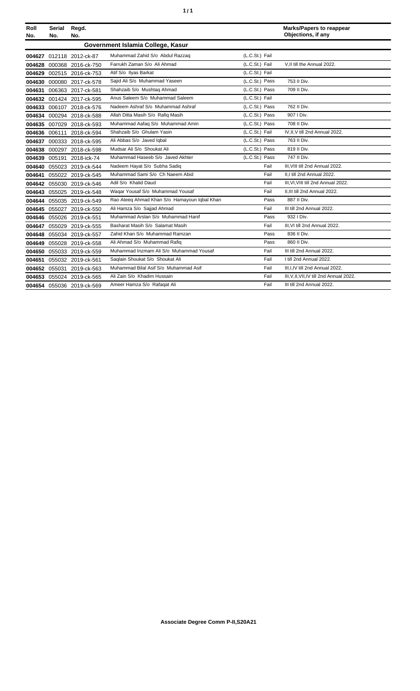| ٠ | ٠ |
|---|---|
|   |   |

| Roll<br>No. | <b>Serial</b><br>No. | Regd.<br>No.              |                                              |                | <b>Marks/Papers to reappear</b><br>Objections, if any |
|-------------|----------------------|---------------------------|----------------------------------------------|----------------|-------------------------------------------------------|
|             |                      |                           | Government Islamia College, Kasur            |                |                                                       |
|             |                      | 004627 012118 2012-ck-87  | Muhammad Zahid S/o Abdul Razzaq              | (L.C.St.) Fail |                                                       |
|             |                      | 004628 000368 2016-ck-750 | Farrukh Zaman S/o Ali Ahmad                  | (L.C.St.) Fail | V.II till the Annual 2022.                            |
|             |                      | 004629 002515 2016-ck-753 | Atif S/o Ilyas Barkat                        | (L.C.St.) Fail |                                                       |
|             |                      |                           | Saiid Ali S/o Muhammad Yaseen                | (L.C.St.) Pass | 753 II Div.                                           |
|             |                      | 004630 000080 2017-ck-578 | Shahzaib S/o Mushtaq Ahmad                   | (L.C.St.) Pass | 709 II Div.                                           |
|             |                      | 004631 006363 2017-ck-581 | Anus Saleem S/o Muhammad Saleem              | (L.C.St.) Fail |                                                       |
|             |                      | 004632 001424 2017-ck-595 | Nadeem Ashraf S/o Muhammad Ashraf            | (L.C.St.) Pass | 762 II Div.                                           |
|             |                      | 004633 006107 2018-ck-576 |                                              |                | 907   Div.                                            |
|             |                      | 004634 000294 2018-ck-588 | Allah Ditta Masih S/o Rafiq Masih            | (L.C.St.) Pass |                                                       |
|             |                      | 004635 007029 2018-ck-593 | Muhammad Aafaq S/o Muhammad Amin             | (L.C.St.) Pass | 708 II Div.                                           |
|             |                      | 004636 006111 2018-ck-594 | Shahzaib S/o Ghulam Yasin                    | (L.C.St.) Fail | IV, II, V till 2nd Annual 2022.                       |
|             |                      | 004637 000333 2018-ck-595 | Ali Abbas S/o Javed Iqbal                    | (L.C.St.) Pass | 763 II Div.                                           |
|             |                      | 004638 000297 2018-ck-598 | Mudsar Ali S/o Shoukat Ali                   | (L.C.St.) Pass | 819 II Div.                                           |
|             |                      | 004639 005191 2018-ick-74 | Muhammad Haseeb S/o Javed Akhter             | (L.C.St.) Pass | 747 II Div.                                           |
|             |                      | 004640 055023 2019-ck-544 | Nadeem Hayat S/o Subha Sadiq                 | Fail           | III, VIII till 2nd Annual 2022.                       |
|             |                      | 004641 055022 2019-ck-545 | Muhammad Sami S/o Ch Naeem Abid              | Fail           | II,I till 2nd Annual 2022.                            |
|             |                      | 004642 055030 2019-ck-546 | Adil S/o Khalid Daud                         | Fail           | III, VI, VIII till 2nd Annual 2022.                   |
|             |                      | 004643 055025 2019-ck-548 | Wagar Yousaf S/o Muhammad Yousaf             | Fail           | II.III till 2nd Annual 2022.                          |
|             |                      | 004644 055035 2019-ck-549 | Rao Ateeq Ahmad Khan S/o Hamayoun Iqbal Khan | Pass           | 887 II Div.                                           |
|             |                      | 004645 055027 2019-ck-550 | Ali Hamza S/o Sajjad Ahmad                   | Fail           | III till 2nd Annual 2022.                             |
|             |                      | 004646 055026 2019-ck-551 | Muhammad Arslan S/o Muhammad Hanif           | Pass           | 932   Div.                                            |
|             |                      | 004647 055029 2019-ck-555 | Basharat Masih S/o Salamat Masih             | Fail           | III, VI till 2nd Annual 2022.                         |
| 004648      |                      | 055034 2019-ck-557        | Zahid Khan S/o Muhammad Ramzan               | Pass           | 836 II Div.                                           |
|             |                      | 004649 055028 2019-ck-558 | Ali Ahmad S/o Muhammad Rafiq                 | Pass           | 860 II Div.                                           |
|             |                      | 004650 055033 2019-ck-559 | Muhammad Inzmam Ali S/o Muhammad Yousaf      | Fail           | III till 2nd Annual 2022.                             |
|             |                      | 004651 055032 2019-ck-561 | Saglain Shoukat S/o Shoukat Ali              | Fail           | I till 2nd Annual 2022.                               |
|             |                      | 004652 055031 2019-ck-563 | Muhammad Bilal Asif S/o Muhammad Asif        | Fail           | III, I, IV till 2nd Annual 2022.                      |
|             |                      | 004653 055024 2019-ck-565 | Ali Zain S/o Khadim Hussain                  | Fail           | III, V, II, VII, IV till 2nd Annual 2022.             |
|             |                      | 004654 055036 2019-ck-569 | Ameer Hamza S/o Rafaqat Ali                  | Fail           | III till 2nd Annual 2022.                             |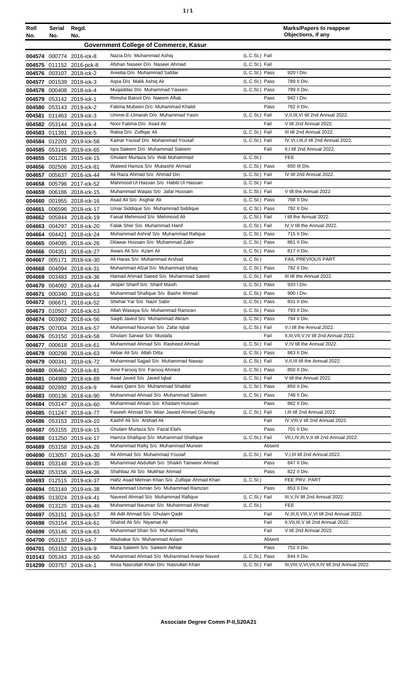| ٠ | ٠ |
|---|---|
|   |   |

| Roll   | Serial | Regd.                                                  |                                                                       |                                  | <b>Marks/Papers to reappear</b><br>Objections, if any  |
|--------|--------|--------------------------------------------------------|-----------------------------------------------------------------------|----------------------------------|--------------------------------------------------------|
| No.    | No.    | No.                                                    |                                                                       |                                  |                                                        |
|        |        |                                                        | <b>Government College of Commerce, Kasur</b>                          |                                  |                                                        |
|        |        | 004574 000774 2016-ick-8                               | Nazia D/o Muhammad Ashiq                                              | (L.C.St.) Fail                   |                                                        |
|        |        | 004575 011152 2016-pck-8                               | Afshan Naseer D/o Naseer Ahmad<br>Areeba D/o Muhammad Safdar          | (L.C.St.) Fail<br>(L.C.St.) Pass | 920   Div.                                             |
|        |        | 004576 003107 2018-ick-2                               | Agsa D/o Malik Ashig Ali                                              | (L.C.St.) Pass                   | 789 II Div.                                            |
|        |        | 004577 001539 2018-ick-3<br>004578 000408 2018-ick-4   | Mugaddas D/o Muhammad Yaseen                                          | (L.C.St.) Pass                   | 799 II Div.                                            |
|        |        | 004579 053142 2019-ick-1                               | Rimsha Batool D/o Naeem Aftab                                         | Pass                             | 942   Div.                                             |
|        |        | 004580 053143 2019-ick-2                               | Fatima Mubeen D/o Muhammad Khalid                                     | Pass                             | 762 II Div.                                            |
|        |        | 004581 011463 2019-ick-3                               | Umme-E-Umarah D/o Muhammad Yasin                                      | (L.C.St.) Fail                   | V.II.III.VI till 2nd Annual 2022.                      |
|        |        | 004582 053144 2019-ick-4                               | Noor Fatima D/o Asad Ali                                              | Fail                             | V till 2nd Annual 2022.                                |
|        |        | 004583 011391 2019-ick-5                               | Rabia D/o Zulfigar Ali                                                | (L.C.St.) Fail                   | III till 2nd Annual 2022.                              |
|        |        | 004584 012203 2019-ick-58                              | Kainat Yousaf D/o Muhammad Yousaf                                     | (L.C.St.) Fail                   | IV, VI, I, III, II till 2nd Annual 2022.               |
|        |        | 004585 053145 2019-ick-65                              | Igra Saleem D/o Muhammad Saleem                                       | Fail                             | II,I till 2nd Annual 2022.                             |
|        |        | 004655 001216 2015-ick-15                              | Ghulam Murtaza S/o Wali Muhammad                                      | (L.C.St.)                        | <b>FEE</b>                                             |
|        |        | 004656 002506 2015-ick-81                              | Waleed Hamza S/o Mubashir Ahmad                                       | (L.C.St.) Pass                   | 650 III Div.                                           |
|        |        | 004657 005637 2016-ick-44                              | Ali Raza Ahmad S/o Ahmad Din                                          | (L.C.St.) Fail                   | IV till 2nd Annual 2022.                               |
|        |        | 004658 005796 2017-ick-52                              | Mahmood UI Hassan S/o Habib UI Hassan                                 | (L.C.St.) Fail                   |                                                        |
|        |        | 004659 006186 2018-ick-15                              | Muhammad Waqas S/o Jafar Hussain                                      | (L.C.St.) Fail                   | V till the Annual 2022.                                |
|        |        | 004660 001955 2018-ick-16                              | Asad Ali S/o Asghar Ali                                               | (L.C.St.) Pass                   | 768 II Div.                                            |
| 004661 |        | 006596 2018-ick-17                                     | Umar Siddique S/o Muhammad Siddique<br>Faisal Mehmood S/o Mehmood Ali | (L.C.St.) Pass                   | 792 II Div.                                            |
|        |        | 004662 005844 2018-ick-19                              | Falak Sher S/o Muhammad Hanif                                         | (L.C.St.) Fail<br>(L.C.St.) Fail | I till the Annual 2022.<br>IV, V till the Annual 2022. |
|        |        | 004663 004297 2018-ick-20                              | Muhammad Ashraf S/o Muhammad Rafique                                  | (L.C.St.) Pass                   | 715 II Div.                                            |
|        |        | 004664 004421 2018-ick-24<br>004665 004095 2018-ick-26 | Dilawar Hussain S/o Muhammad Zakir                                    | (L.C.St.) Pass                   | 861 II Div.                                            |
|        |        | 004666 004351 2018-ick-27                              | Awais Ali S/o Azam Ali                                                | (L.C.St.) Pass                   | 817 II Div.                                            |
|        |        | 004667 005171 2018-ick-30                              | Ali Haras S/o Muhammad Arshad                                         | (L.C.St.)                        | FAIL PREVIOUS PART                                     |
|        |        | 004668 004094 2018-ick-31                              | Muhammad Afzal S/o Muhammad Ishaq                                     | (L.C.St.) Pass                   | 792 II Div.                                            |
|        |        | 004669 003483 2018-ick-36                              | Hamad Ahmad Saeed S/o Muhammad Saeed                                  | (L.C.St.) Fail                   | III till the Annual 2022.                              |
|        |        | 004670 004092 2018-ick-44                              | Jesper Sharif S/o Sharif Masih                                        | (L.C.St.) Pass                   | 920 I Div.                                             |
|        |        | 004671 000340 2018-ick-51                              | Muhammad Shafique S/o Bashir Ahmad                                    | (L.C.St.) Pass                   | 900   Div.                                             |
|        |        | 004672 006671 2018-ick-52                              | Shehar Yar S/o Nazir Sabir                                            | (L.C.St.) Pass                   | 831 II Div.                                            |
|        |        | 004673 010507 2018-ick-53                              | Allah Wasaya S/o Muhammad Ramzan                                      | (L.C.St.) Pass                   | 793 II Div.                                            |
|        |        | 004674 003992 2018-ick-56                              | Sagib Javed S/o Muhammad Akram                                        | (L.C.St.) Pass                   | 794 II Div.                                            |
|        |        | 004675 007004 2018-ick-57                              | Muhammad Nouman S/o Zafar Iqbal                                       | (L.C.St.) Fail                   | V,I till the Annual 2022.                              |
|        |        | 004676 053150 2018-ick-58                              | Ghulam Sarwar S/o Mustafa                                             | Fail                             | II, III, VII, V, IV till 2nd Annual 2022.              |
| 004677 |        | 000618 2018-ick-61                                     | Muhammad Ahmad S/o Rasheed Ahmad                                      | (L.C.St.) Fail                   | V,IV till the Annual 2022.                             |
|        |        | 004678 000298 2018-ick-63                              | Akbar Ali S/o Allah Ditta                                             | (L.C.St.) Pass                   | 863 II Div.                                            |
|        |        | 004679 000341 2018-ick-72                              | Muhammad Sajjad S/o Muhammad Nawaz<br>Amir Faroog S/o Faroog Ahmed    | (L.C.St.) Fail<br>(L.C.St.) Pass | V, II, III till the Annual 2022.<br>850 II Div.        |
|        |        | 004680 006462 2018-ick-81<br>004681 004989 2018-ick-89 | Asad Javed S/o Javed Iqbal                                            | (L.C.St.) Fail                   | V till the Annual 2022.                                |
|        |        | 004682 002892 2018-ick-9                               | Awais Qarni S/o Muhammad Shabbir                                      | (L.C.St.) Pass                   | 850 II Div.                                            |
|        |        | 004683 000136 2018-ick-90                              | Muhammad Ahmad S/o Muhammad Saleem                                    | (L.C.St.) Pass                   | 748 II Div.                                            |
|        |        | 004684 053147 2018-ick-60                              | Muhammad Ahsan S/o Khadam Hussain                                     | Pass                             | 882 II Div.                                            |
|        |        | 004685 011247 2018-ick-77                              | Faseeh Ahmad S/o Mian Jawad Ahmad Ghaziky                             | (L.C.St.) Fail                   | I, III till 2nd Annual 2022.                           |
|        |        | 004686 053153 2019-ick-10                              | Kashif Ali S/o Arshad Ali                                             | Fail                             | IV, VIII, V till 2nd Annual 2022.                      |
|        |        | 004687 053155 2019-ick-15                              | Ghulam Murtaza S/o Fazal Elahi                                        | Pass                             | 701 II Div.                                            |
|        |        | 004688 011250 2019-ick-17                              | Hamza Shafique S/o Muhammad Shafique                                  | (L.C.St.) Fail                   | VII, I, IV, III, V, II till 2nd Annual 2022.           |
|        |        | 004689 053158 2019-ick-26                              | Muhammad Rafiq S/o Muhammad Muneer                                    | Absent                           |                                                        |
|        |        | 004690 013057 2019-ick-30                              | Ali Ahmad S/o Muhammad Yousaf                                         | (L.C.St.) Fail                   | V, I, III till 2nd Annual 2022.                        |
|        |        | 004691 053148 2019-ick-35                              | Muhammad Abdullah S/o Shaikh Tanweer Ahmad                            | Pass                             | 847 II Div.                                            |
|        |        | 004692 053156 2019-ick-36                              | Shahbaz Ali S/o Mukhtar Ahmad                                         | Pass                             | 822 II Div.                                            |
|        |        | 004693 012515 2019-ick-37                              | Hafiz Asad Mehran Khan S/o Zulfigar Ahmad Khan                        | (L.C.St.)                        | FEE PRV. PART                                          |
|        |        | 004694 053149 2019-ick-38                              | Muhammad Usman S/o Muhammad Ramzan                                    | Pass                             | 853 II Div.                                            |
|        |        | 004695 013024 2019-ick-41                              | Naveed Ahmad S/o Muhammad Rafique                                     | (L.C.St.) Fail                   | III, V, IV till 2nd Annual 2022.                       |
|        |        | 004696 013125 2019-ick-46                              | Muhammad Nauman S/o Muhammad Ahmad                                    | (L.C.St.)                        | <b>FEE</b>                                             |
|        |        | 004697 053151 2019-ick-57                              | Ali Adil Ahmad S/o Ghulam Qadir                                       | Fail                             | IV, III, II, VIII, V, VI till 2nd Annual 2022.         |
|        |        | 004698 053154 2019-ick-61                              | Shahid Ali S/o Niyamat Ali                                            | Fail                             | II, VII, III, V till 2nd Annual 2022.                  |
|        |        | 004699 053146 2019-ick-63                              | Muhammad Shan S/o Muhammad Rafiq<br>Abubakar S/o Muhammad Aslam       | Fail<br>Absent                   | V till 2nd Annual 2022.                                |
|        |        | 004700 053157 2019-ick-7                               | Raza Saleem S/o Saleem Akhtar                                         | Pass                             | 751 II Div.                                            |
|        |        | 004701 053152 2019-ick-9                               | Muhammad Ahmad S/o Muhammad Anwar Naved                               | (L.C.St.) Pass                   | 844 II Div.                                            |
|        |        | 010143 005343 2018-ick-50<br>014299 003757 2018-ick-1  | Ansa Nasrullah Khan D/o Nasrullah Khan                                | (L.C.St.) Fail                   | III, VIII, V, VI, VII, II, IV till 2nd Annual 2022.    |
|        |        |                                                        |                                                                       |                                  |                                                        |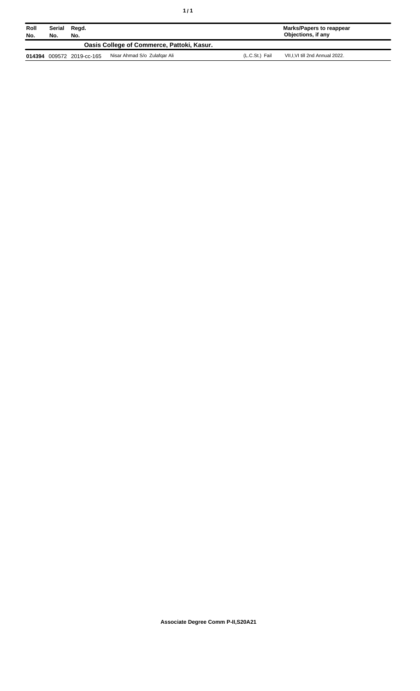| Roll<br>No. | Serial<br>No. | Regd.<br>No.       |                                            |                | <b>Marks/Papers to reappear</b><br>Objections, if any |
|-------------|---------------|--------------------|--------------------------------------------|----------------|-------------------------------------------------------|
|             |               |                    | Oasis College of Commerce, Pattoki, Kasur. |                |                                                       |
| 014394      |               | 009572 2019-cc-165 | Nisar Ahmad S/o Zulafgar Ali               | (L.C.St.) Fail | VII, I, VI till 2nd Annual 2022.                      |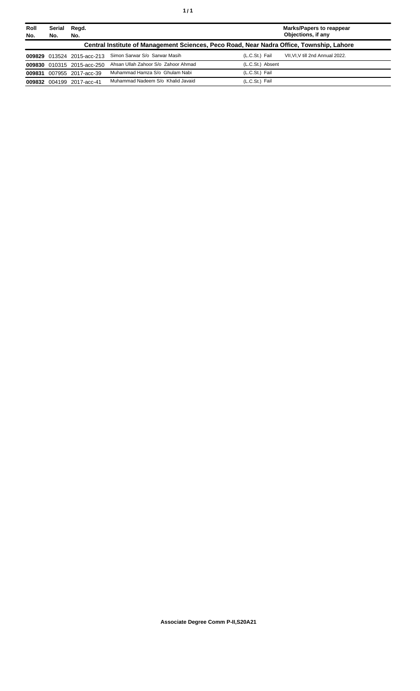| Roll<br>No. | Serial<br>No. | Regd.<br>No.               |                                                                                          |                  | <b>Marks/Papers to reappear</b><br>Objections, if any |
|-------------|---------------|----------------------------|------------------------------------------------------------------------------------------|------------------|-------------------------------------------------------|
|             |               |                            | Central Institute of Management Sciences, Peco Road, Near Nadra Office, Township, Lahore |                  |                                                       |
|             |               | 009829 013524 2015-acc-213 | Simon Sarwar S/o Sarwar Masih                                                            | (L.C.St.) Fail   | VII.VI.V till 2nd Annual 2022.                        |
|             |               | 009830 010315 2015-acc-250 | Ahsan Ullah Zahoor S/o Zahoor Ahmad                                                      | (L.C.St.) Absent |                                                       |
|             |               | 009831 007955 2017-acc-39  | Muhammad Hamza S/o Ghulam Nabi                                                           | (L.C.St.) Fail   |                                                       |
|             |               | 009832 004199 2017-acc-41  | Muhammad Nadeem S/o Khalid Javaid                                                        | (L.C.St.) Fail   |                                                       |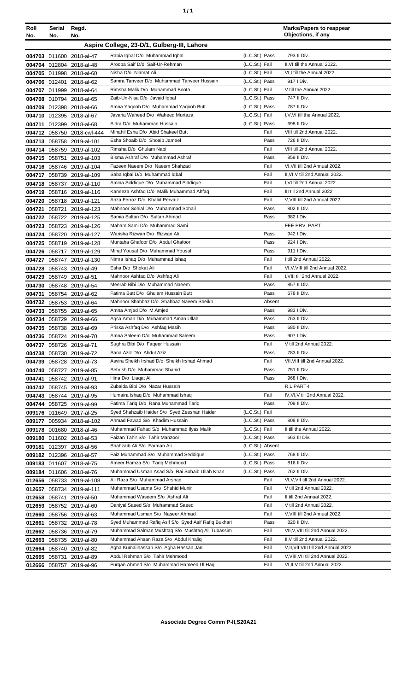| Roll<br>No. | Serial<br>No. | Regd.<br>No.                                           |                                                                                 |                                  | <b>Marks/Papers to reappear</b><br>Objections, if any                 |
|-------------|---------------|--------------------------------------------------------|---------------------------------------------------------------------------------|----------------------------------|-----------------------------------------------------------------------|
|             |               |                                                        | Aspire College, 23-D/1, Gulberg-III, Lahore                                     |                                  |                                                                       |
|             |               | 004703 011600 2018-al-47                               | Rabia Iqbal D/o Muhammad Iqbal                                                  | (L.C.St.) Pass                   | 793 II Div.                                                           |
|             |               | 004704 012804 2018-al-48                               | Arooba Saif D/o Saif-Ur-Rehman                                                  | (L.C.St.) Fail                   | II, VI till the Annual 2022.                                          |
|             |               | 004705 011998 2018-al-60                               | Nisha D/o Niamat Ali                                                            | (L.C.St.) Fail                   | VI.I till the Annual 2022.                                            |
|             |               | 004706 012401 2018-al-62                               | Samra Tanveer D/o Muhammad Tanveer Hussain                                      | (L.C.St.) Pass                   | 917   Div.                                                            |
|             |               | 004707 011999 2018-al-64                               | Rimsha Malik D/o Muhammad Boota                                                 | (L.C.St.) Fail                   | V till the Annual 2022.                                               |
|             |               | 004708 010794 2018-al-65                               | Zaib-Un-Nisa D/o Javaid Iqbal                                                   | (L.C.St.) Pass                   | 747 II Div.                                                           |
|             |               | 004709 012398 2018-al-66                               | Amna Yaqoob D/o Muhammad Yaqoob Butt                                            | (L.C.St.) Pass                   | 787 II Div.                                                           |
|             |               | 004710 012395 2018-al-67                               | Javaria Waheed D/o Waheed Murtaza                                               | (L.C.St.) Fail                   | I, V, VI till the Annual 2022.                                        |
|             |               | 004711 012399 2018-al-68                               | Sidra D/o Muhammad Hussain                                                      | (L.C.St.) Pass                   | 698 II Div.                                                           |
|             |               | 004712 058750 2018-cwl-444                             | Minahil Esha D/o Abid Shakeel Butt                                              | Fail                             | VIII till 2nd Annual 2022.                                            |
|             |               | 004713 058758 2019-al-101                              | Esha Shoaib D/o Shoaib Jameel                                                   | Pass                             | 726 II Div.                                                           |
|             |               | 004714 058759 2019-al-102                              | Rimsha D/o Ghulam Nabi                                                          | Fail                             | VIII till 2nd Annual 2022.                                            |
|             |               | 004715 058751 2019-al-103                              | Bisma Ashraf D/o Muhammad Ashraf<br>Fazeen Naeem D/o Naeem Shahzad              | Pass<br>Fail                     | 859 II Div.                                                           |
|             |               | 004716 058746 2019-al-104                              |                                                                                 | Fail                             | VI, VII till 2nd Annual 2022.<br>II, VI, V till 2nd Annual 2022.      |
|             |               | 004717 058739 2019-al-109                              | Saba Iqbal D/o Muhammad Iqbal<br>Amina Siddique D/o Muhammad Siddique           | Fail                             | I.VI till 2nd Annual 2022.                                            |
|             |               | 004718 058737 2019-al-110<br>004719 058716 2019-al-116 | Kaneeza Ashfaq D/o Malik Muhammad Ahfaq                                         | Fail                             | III till 2nd Annual 2022.                                             |
|             |               | 004720 058718 2019-al-121                              | Anza Ferroz D/o Khalid Pervaiz                                                  | Fail                             | V, VIII till 2nd Annual 2022.                                         |
|             |               | 004721 058721 2019-al-123                              | Mahnoor Sohial D/o Muhammad Sohail                                              | Pass                             | 802 II Div.                                                           |
|             |               | 004722 058722 2019-al-125                              | Samia Sultan D/o Sultan Ahmad                                                   | Pass                             | 982   Div.                                                            |
|             |               | 004723 058723 2019-al-126                              | Maham Sami D/o Muhammad Sami                                                    |                                  | FEE PRV. PART                                                         |
|             |               | 004724 058720 2019-al-127                              | Warisha Rizwan D/o Rizwan Ali                                                   | Pass                             | 942   Div.                                                            |
|             |               | 004725 058719 2019-al-128                              | Muntaha Ghafoor D/o Abdul Ghafoor                                               | Pass                             | 924   Div.                                                            |
|             |               | 004726 058717 2019-al-129                              | Minal Yousaf D/o Muhammad Yousaf                                                | Pass                             | 911   Div.                                                            |
|             |               | 004727 058747 2019-al-130                              | Nimra Ishaq D/o Muhammad Ishaq                                                  | Fail                             | I till 2nd Annual 2022.                                               |
|             |               | 004728 058743 2019-al-49                               | Esha D/o Shokat Ali                                                             | Fail                             | VI, V, VIII till 2nd Annual 2022.                                     |
|             |               | 004729 058749 2019-al-51                               | Mahnoor Ashfaq D/o Ashfaq Ali                                                   | Fail                             | I, VIII till 2nd Annual 2022.                                         |
|             |               | 004730 058748 2019-al-54                               | Meerab Bibi D/o Muhammad Naeem                                                  | Pass                             | 857 II Div.                                                           |
|             |               | 004731 058754 2019-al-62                               | Fatima Butt D/o Ghulam Hussain Butt<br>Mahnoor Shahbaz D/o Shahbaz Naeem Sheikh | Pass                             | 678 II Div.                                                           |
|             |               | 004732 058753 2019-al-64                               | Amna Amjed D/o M.Amjed                                                          | Absent<br>Pass                   | 983 I Div.                                                            |
|             |               | 004733 058755 2019-al-65<br>004734 058729 2019-al-66   | Agsa Aman D/o Muhammad Aman Ullah                                               | Pass                             | 763 II Div.                                                           |
|             |               | 004735 058738 2019-al-69                               | Priska Ashfaq D/o Ashfaq Masih                                                  | Pass                             | 680 II Div.                                                           |
|             |               | 004736 058724 2019-al-70                               | Amna Saleem D/o Muhammad Saleem                                                 | Pass                             | 907 I Div.                                                            |
|             |               | 004737 058726 2019-al-71                               | Sughra Bibi D/o Faqeer Hussain                                                  | Fail                             | V till 2nd Annual 2022.                                               |
|             |               | 004738 058730 2019-al-72                               | Sana Aziz D/o Abdul Aziz                                                        | Pass                             | 783 II Div.                                                           |
|             |               | 004739 058728 2019-al-73                               | Asvira Sheikh Irshad D/o Sheikh Irshad Ahmad                                    | Fail                             | VII, VIII till 2nd Annual 2022.                                       |
|             |               | 004740 058727 2019-al-85                               | Sehrish D/o Muhammad Shahid                                                     | Pass                             | 751 II Div.                                                           |
|             |               | 004741 058742 2019-al-91                               | Hina D/o Liagat Ali                                                             | Pass                             | 968 I Div.                                                            |
|             |               | 004742 058745 2019-al-93                               | Zubaida Bibi D/o Nazar Hussain                                                  |                                  | R.L PART-I                                                            |
|             |               | 004743 058744 2019-al-95                               | Humaira Ishaq D/o Muhammad Ishaq                                                | Fail                             | IV, VI, V till 2nd Annual 2022.                                       |
|             |               | 004744 058725 2019-al-99                               | Fatima Tariq D/o Rana Muhammad Tariq                                            | Pass                             | 709 II Div.                                                           |
|             |               | 009176 011649 2017-al-25                               | Syed Shahzaib Haider S/o Syed Zeeshan Haider                                    | (L.C.St.) Fail                   |                                                                       |
|             |               | 009177 005934 2018-al-102                              | Ahmad Fawad S/o Khadim Hussain                                                  | (L.C.St.) Pass                   | 808 II Div.                                                           |
|             |               | 009178 001680 2018-al-46                               | Muhammad Fahad S/o Muhammad IIyas Malik<br>Faizan Tahir S/o Tahir Manzoor       | (L.C.St.) Fail<br>(L.C.St.) Pass | II till the Annual 2022.<br>663 III Div.                              |
|             |               | 009180 011602 2018-al-53                               | Shahzaib Ali S/o Farman Ali                                                     | (L.C.St.) Absent                 |                                                                       |
|             |               | 009181 012397 2018-al-56<br>009182 012396 2018-al-57   | Faiz Muhammad S/o Muhammad Seddique                                             | (L.C.St.) Pass                   | 768 II Div.                                                           |
|             |               | 009183 011607 2018-al-75                               | Ameer Hamza S/o Tariq Mehmood                                                   | (L.C.St.) Pass                   | 816 II Div.                                                           |
|             |               | 009184 011606 2018-al-76                               | Muhammad Usman Asad S/o Rai Sohaib Ullah Khan                                   | (L.C.St.) Pass                   | 762 II Div.                                                           |
|             |               | 012656 058733 2019-al-108                              | Ali Raza S/o Muhammad Arshad                                                    | Fail                             | VI, V, VII till 2nd Annual 2022.                                      |
|             |               | 012657 058734 2019-al-111                              | Muhammad Usama S/o Shahid Munir                                                 | Fail                             | V till 2nd Annual 2022.                                               |
|             |               | 012658 058741 2019-al-50                               | Muhammad Waseem S/o Ashraf Ali                                                  | Fail                             | II till 2nd Annual 2022.                                              |
|             |               | 012659 058752 2019-al-60                               | Daniyal Saeed S/o Muhammad Saeed                                                | Fail                             | V till 2nd Annual 2022.                                               |
|             |               | 012660 058756 2019-al-63                               | Muhammad Usman S/o Naseer Ahmad                                                 | Fail                             | V, VIII till 2nd Annual 2022.                                         |
|             |               | 012661 058732 2019-al-78                               | Syed Muhammad Rafiq Asif S/o Syed Asif Rafiq Bukhari                            | Pass                             | 820 II Div.                                                           |
|             |               | 012662 058736 2019-al-79                               | Muhammad Salman Mushtaq S/o Mushtaq Ali Tubassim                                | Fail                             | VII, V, VIII till 2nd Annual 2022.                                    |
|             |               | 012663 058735 2019-al-80                               | Muhammad Ahsan Raza S/o Abdul Khaliq                                            | Fail                             | II, V till 2nd Annual 2022.                                           |
|             |               | 012664 058740 2019-al-82                               | Agha Kumailhassan S/o Agha Hassan Jan                                           | Fail                             | V, II, VII, VIII till 2nd Annual 2022.                                |
|             |               | 012665 058731 2019-al-89                               | Abdul Rehman S/o Tahir Mehmood                                                  | Fail<br>Fail                     | V, VIII, VII till 2nd Annual 2022.<br>VI, II, V till 2nd Annual 2022. |
|             |               | 012666 058757 2019-al-96                               | Furgan Ahmed S/o Muhammad Hameed UI Hag                                         |                                  |                                                                       |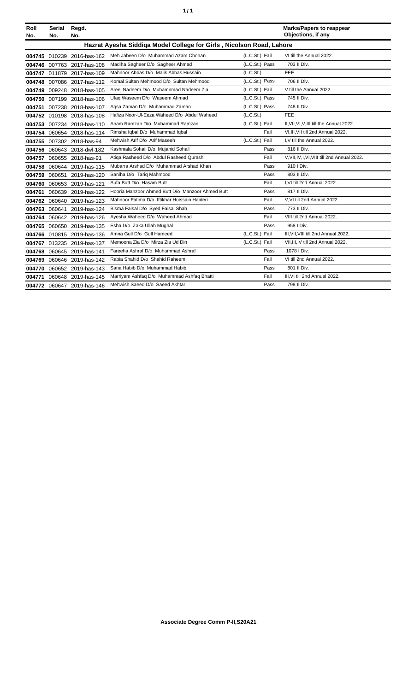| ٦ | ٠ |
|---|---|
|   |   |

| Roll<br>No. | <b>Serial</b><br>No. | Regd.<br>No.               |                                                                      |                | <b>Marks/Papers to reappear</b><br>Objections, if any |
|-------------|----------------------|----------------------------|----------------------------------------------------------------------|----------------|-------------------------------------------------------|
|             |                      |                            | Hazrat Ayesha Siddiqa Model College for Girls, Nicolson Road, Lahore |                |                                                       |
|             |                      | 004745 010239 2016-has-162 | Meh Jabeen D/o Muhammad Azam Chohan                                  | (L.C.St.) Fail | VI till the Annual 2022.                              |
| 004746      |                      | 007763 2017-has-108        | Madiha Sagheer D/o Sagheer Ahmad                                     | (L.C.St.) Pass | 703 II Div.                                           |
|             |                      | 004747 011879 2017-has-109 | Mahnoor Abbas D/o Malik Abbas Hussain                                | (L.C.St.)      | <b>FEE</b>                                            |
| 004748      |                      | 007086 2017-has-112        | Komal Sultan Mehmood D/o Sultan Mehmood                              | (L.C.St.) Pass | 706 II Div.                                           |
| 004749      |                      | 009248 2018-has-105        | Areej Nadeem D/o Muhamnmad Nadeem Zia                                | (L.C.St.) Fail | V till the Annual 2022.                               |
| 004750      |                      | 007199 2018-has-106        | Ufaq Waseem D/o Waseem Ahmad                                         | (L.C.St.) Pass | 745 II Div.                                           |
| 004751      |                      | 007238 2018-has-107        | Agsa Zaman D/o Muhammad Zaman                                        | (L.C.St.) Pass | 748 II Div.                                           |
| 004752      |                      | 010198 2018-has-108        | Hafiza Noor-Ul-Eeza Waheed D/o Abdul Waheed                          | (L.C.St.)      | <b>FEE</b>                                            |
| 004753      |                      | 007234 2018-has-110        | Anam Ramzan D/o Muhammad Ramzan                                      | (L.C.St.) Fail | II, VII, VI, V, III till the Annual 2022.             |
|             |                      | 004754 060654 2018-has-114 | Rimsha Iqbal D/o Muhammad Iqbal                                      | Fail           | VI,III, VII till 2nd Annual 2022.                     |
| 004755      |                      | 007302 2018-has-94         | Mehwish Arif D/o Arif Maseeh                                         | (L.C.St.) Fail | I, V till the Annual 2022.                            |
|             |                      | 004756 060643 2018-dwl-182 | Kashmala Sohail D/o Mujahid Sohail                                   | Pass           | 816 II Div.                                           |
| 004757      |                      | 060655 2018-has-91         | Atiga Rasheed D/o Abdul Rasheed Qurashi                              | Fail           | V, VII, IV, I, VI, VIII till 2nd Annual 2022.         |
| 004758      | 060644               | 2019-has-115               | Mubarra Arshad D/o Muhammad Arshad Khan                              | Pass           | 910   Div.                                            |
| 004759      | 060651               | 2019-has-120               | Saniha D/o Tariq Mahmood                                             | Pass           | 803 II Div.                                           |
| 004760      |                      | 060653 2019-has-121        | Sufa Butt D/o Hasam Butt                                             | Fail           | I.VI till 2nd Annual 2022.                            |
| 004761      | 060639               | 2019-has-122               | Hooria Manzoor Ahmed Butt D/o Manzoor Ahmed Butt                     | Pass           | 817 II Div.                                           |
| 004762      |                      | 060640 2019-has-123        | Mahnoor Fatima D/o Iftikhar Huissain Haideri                         | Fail           | V, VI till 2nd Annual 2022.                           |
| 004763      | 060641               | 2019-has-124               | Bisma Faisal D/o Syed Faisal Shah                                    | Pass           | 773 II Div.                                           |
|             |                      | 004764 060642 2019-has-126 | Ayesha Waheed D/o Waheed Ahmad                                       | Fail           | VIII till 2nd Annual 2022.                            |
| 004765      |                      | 060650 2019-has-135        | Esha D/o Zaka Ullah Mughal                                           | Pass           | 958   Div.                                            |
| 004766      |                      | 010815 2019-has-136        | Amna Gull D/o Gull Hameed                                            | (L.C.St.) Fail | III, VII, VIII till 2nd Annual 2022.                  |
|             |                      | 004767 013235 2019-has-137 | Memoona Zia D/o Mirza Zia Ud Din                                     | (L.C.St.) Fail | VII, III, IV till 2nd Annual 2022.                    |
| 004768      |                      | 060645 2019-has-141        | Fareeha Ashraf D/o Muhammad Ashraf                                   | Pass           | 1078   Div.                                           |
| 004769      |                      | 060646 2019-has-142        | Rabia Shahid D/o Shahid Raheem                                       | Fail           | VI till 2nd Annual 2022.                              |
| 004770      |                      | 060652 2019-has-143        | Sana Habib D/o Muhammad Habib                                        | Pass           | 801 II Div.                                           |
| 004771      |                      | 060648 2019-has-145        | Marriyam Ashfaq D/o Muhammad Ashfaq Bhatti                           | Fail           | III, VI till 2nd Annual 2022.                         |
|             |                      | 004772 060647 2019-has-146 | Mehwish Saeed D/o Saeed Akhtar                                       | Pass           | 798 II Div.                                           |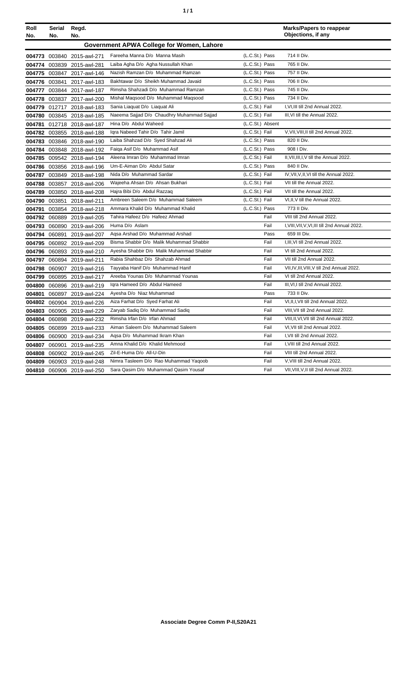|  | ٠ |
|--|---|
|  |   |

| Roll   | Serial        | Regd.                      |                                            |                  | <b>Marks/Papers to reappear</b>                |
|--------|---------------|----------------------------|--------------------------------------------|------------------|------------------------------------------------|
| No.    | No.           | No.                        |                                            |                  | Objections, if any                             |
|        |               |                            | Government APWA College for Women, Lahore  |                  |                                                |
|        |               | 004773 003840 2015-awl-271 | Fareeha Manna D/o Manna Masih              | (L.C.St.) Pass   | 714 II Div.                                    |
|        |               | 004774 003839 2015-awl-281 | Laiba Agha D/o Agha Nussullah Khan         | (L.C.St.) Pass   | 765 II Div.                                    |
|        |               | 004775 003847 2017-awl-146 | Nazish Ramzan D/o Muhammad Ramzan          | (L.C.St.) Pass   | 757 II Div.                                    |
|        | 004776 003841 | 2017-awl-183               | Bakhtawar D/o Sheikh Muhammad Javaid       | (L.C.St.) Pass   | 706 II Div.                                    |
|        |               | 004777 003844 2017-awl-187 | Rimsha Shahzadi D/o Muhammad Ramzan        | (L.C.St.) Pass   | 745 II Div.                                    |
|        |               | 004778 003837 2017-awl-200 | Mishal Maqsood D/o Muhammad Maqsood        | (L.C.St.) Pass   | 734 II Div.                                    |
|        |               | 004779 012717 2018-awl-183 | Sania Liaquat D/o Liaquat Ali              | (L.C.St.) Fail   | I, VI, III till 2nd Annual 2022.               |
|        |               | 004780 003845 2018-awl-185 | Naeema Sajjad D/o Chaudhry Muhammad Sajjad | (L.C.St.) Fail   | III, VI till the Annual 2022.                  |
| 004781 |               | 012718 2018-awl-187        | Hina D/o Abdul Waheed                      | (L.C.St.) Absent |                                                |
|        |               | 004782 003855 2018-awl-188 | Igra Nabeed Tahir D/o Tahir Jamil          | (L.C.St.) Fail   | V, VII, VIII, II till 2nd Annual 2022.         |
|        |               | 004783 003846 2018-awl-190 | Laiba Shahzad D/o Syed Shahzad Ali         | (L.C.St.) Pass   | 820 II Div.                                    |
|        |               | 004784 003848 2018-awl-192 | Faiga Asif D/o Muhammad Asif               | (L.C.St.) Pass   | 908   Div.                                     |
|        |               | 004785 009542 2018-awl-194 | Aleena Imran D/o Muhammad Imran            | (L.C.St.) Fail   | II, VII, III, I, V till the Annual 2022.       |
|        |               | 004786 003856 2018-awl-196 | Um-E-Aiman D/o Abdul Satar                 | (L.C.St.) Pass   | 840 II Div.                                    |
|        |               | 004787 003849 2018-awl-198 | Nida D/o Muhammad Sardar                   | (L.C.St.) Fail   | IV, VII, V, II, VI till the Annual 2022.       |
|        |               | 004788 003857 2018-awl-206 | Wajeeha Ahsan D/o Ahsan Bukhari            | (L.C.St.) Fail   | VII till the Annual 2022.                      |
|        |               | 004789 003850 2018-awl-208 | Hajra Bibi D/o Abdul Razzaq                | (L.C.St.) Fail   | VII till the Annual 2022.                      |
|        |               | 004790 003851 2018-awl-211 | Ambreen Saleem D/o Muhammad Saleem         | (L.C.St.) Fail   | VI, II, V till the Annual 2022.                |
| 004791 |               | 003854 2018-awl-218        | Ammara Khalid D/o Muhammad Khalid          | (L.C.St.) Pass   | 773 II Div.                                    |
|        |               | 004792 060889 2019-awl-205 | Tahira Hafeez D/o Hafeez Ahmad             | Fail             | VIII till 2nd Annual 2022.                     |
|        |               | 004793 060890 2019-awl-206 | Huma D/o Aslam                             | Fail             | I, VIII, VII, V, VI, III till 2nd Annual 2022. |
|        |               | 004794 060891 2019-awl-207 | Agsa Arshad D/o Muhammad Arshad            | Pass             | 659 III Div.                                   |
|        |               | 004795 060892 2019-awl-209 | Bisma Shabbir D/o Malik Muhammad Shabbir   | Fail             | I, III, VI till 2nd Annual 2022.               |
|        |               | 004796 060893 2019-awl-210 | Ayesha Shabbir D/o Malik Muhammad Shabbir  | Fail             | VI till 2nd Annual 2022.                       |
| 004797 | 060894        | 2019-awl-211               | Rabia Shahbaz D/o Shahzab Ahmad            | Fail             | VII till 2nd Annual 2022.                      |
| 004798 |               | 060907 2019-awl-216        | Tayyaba Hanif D/o Muhammad Hanif           | Fail             | VII, IV, III, VIII, V till 2nd Annual 2022.    |
| 004799 |               | 060895 2019-awl-217        | Areeba Younas D/o Muhammad Younas          | Fail             | VI till 2nd Annual 2022.                       |
|        |               | 004800 060896 2019-awl-219 | Igra Hameed D/o Abdul Hameed               | Fail             | III, VI, I till 2nd Annual 2022.               |
| 004801 |               | 060897 2019-awl-224        | Ayesha D/o Niaz Muhammad                   | Pass             | 733 II Div.                                    |
|        |               | 004802 060904 2019-awl-226 | Aiza Farhat D/o Syed Farhat Ali            | Fail             | VI, II, I, VII till 2nd Annual 2022.           |
|        |               | 004803 060905 2019-awl-229 | Zaryab Sadiq D/o Muhammad Sadiq            | Fail             | VIII, VII till 2nd Annual 2022.                |
|        |               | 004804 060898 2019-awl-232 | Rimsha Irfan D/o Irfan Ahmad               | Fail             | VIII, II, VI, VII till 2nd Annual 2022.        |
|        |               | 004805 060899 2019-awl-233 | Aiman Saleem D/o Muhammad Saleem           | Fail             | VI, VII till 2nd Annual 2022.                  |
|        |               | 004806 060900 2019-awl-234 | Agsa D/o Muhammad Ikram Khan               | Fail             | I, VII till 2nd Annual 2022.                   |
|        |               | 004807 060901 2019-awl-235 | Amna Khalid D/o Khalid Mehmood             | Fail             | I, VIII till 2nd Annual 2022.                  |
|        |               | 004808 060902 2019-awl-245 | Zil-E-Huma D/o All-U-Din                   | Fail             | VIII till 2nd Annual 2022.                     |
|        |               | 004809 060903 2019-awl-248 | Nimra Tasleem D/o Rao Muhammad Yaqoob      | Fail             | V, VIII till 2nd Annual 2022.                  |
|        |               | 004810 060906 2019-awl-250 | Sara Qasim D/o Muhammad Qasim Yousaf       | Fail             | VII, VIII, V, II till 2nd Annual 2022.         |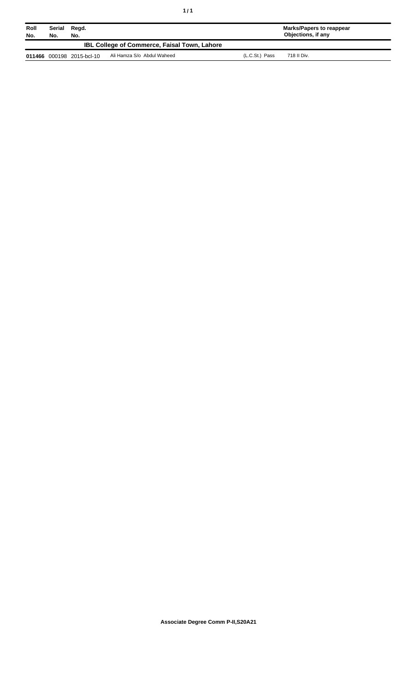| Roll<br>No. | Serial Regd.<br>No.<br>No. |                           |                                                     | Marks/Papers to reappear<br><b>Objections, if any</b> |             |  |
|-------------|----------------------------|---------------------------|-----------------------------------------------------|-------------------------------------------------------|-------------|--|
|             |                            |                           | <b>IBL College of Commerce, Faisal Town, Lahore</b> |                                                       |             |  |
|             |                            | 011466 000198 2015-bcl-10 | Ali Hamza S/o Abdul Waheed                          | (L.C.St.) Pass                                        | 718 II Div. |  |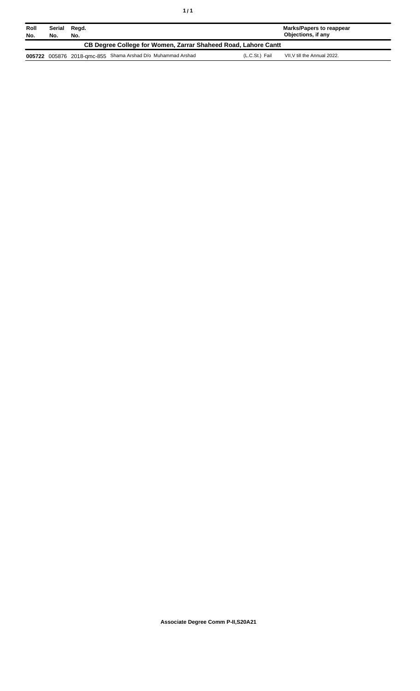| Roll<br>No.                                                    | Serial<br>No. | Regd.<br>No. |                                                             |                | Marks/Papers to reappear<br>Objections, if any |  |
|----------------------------------------------------------------|---------------|--------------|-------------------------------------------------------------|----------------|------------------------------------------------|--|
| CB Degree College for Women, Zarrar Shaheed Road, Lahore Cantt |               |              |                                                             |                |                                                |  |
|                                                                |               |              | 005722 005876 2018-qmc-855 Shama Arshad D/o Muhammad Arshad | (L.C.St.) Fail | VII.V till the Annual 2022.                    |  |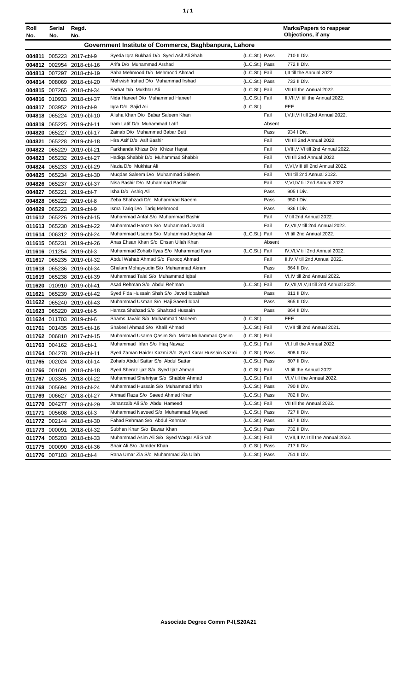| í<br>٠ |
|--------|
|--------|

| Roll<br>No. | Serial<br>No. | Regd.<br>No.              |                                                       |                |        | <b>Marks/Papers to reappear</b><br>Objections, if any |
|-------------|---------------|---------------------------|-------------------------------------------------------|----------------|--------|-------------------------------------------------------|
|             |               |                           | Government Institute of Commerce, Baghbanpura, Lahore |                |        |                                                       |
|             |               | 004811 005223 2017-cbl-9  | Syeda Iqra Bukhari D/o Syed Asif Ali Shah             | (L.C.St.) Pass |        | 710 II Div.                                           |
|             |               | 004812 002954 2018-cbl-16 | Arifa D/o Muhammad Arshad                             | (L.C.St.) Pass |        | 772 II Div.                                           |
|             |               | 004813 007297 2018-cbl-19 | Saba Mehmood D/o Mehmood Ahmad                        | (L.C.St.) Fail |        | I, II till the Annual 2022.                           |
|             |               | 004814 008069 2018-cbl-20 | Mehwish Irshad D/o Muhammad Irshad                    | (L.C.St.) Pass |        | 733 II Div.                                           |
|             |               | 004815 007265 2018-cbl-34 | Farhat D/o Mukhtar Ali                                | (L.C.St.) Fail |        | VII till the Annual 2022.                             |
|             |               | 004816 010933 2018-cbl-37 | Nida Haneef D/o Muhammad Haneef                       | (L.C.St.) Fail |        | II.VII.VI till the Annual 2022.                       |
| 004817      |               | 003952 2018-cbl-9         | Igra D/o Sajid Ali                                    | (L.C.St.)      |        | <b>FEE</b>                                            |
| 004818      |               | 065224 2019-cbl-10        | Alisha Khan D/o Babar Saleem Khan                     |                | Fail   | I, V, II, VII till 2nd Annual 2022.                   |
| 004819      |               | 065225 2019-cbl-11        | Iram Latif D/o Muhammad Latif                         |                | Absent |                                                       |
| 004820      |               | 065227 2019-cbl-17        | Zainab D/o Muhammad Babar Butt                        |                | Pass   | 934   Div.                                            |
| 004821      |               | 065228 2019-cbl-18        | Hira Asif D/o Asif Bashir                             |                | Fail   | VII till 2nd Annual 2022.                             |
|             |               | 004822 065229 2019-cbl-21 | Farkhanda Khizar D/o Khizar Hayat                     |                | Fail   | I, VIII, V, VI till 2nd Annual 2022.                  |
| 004823      |               | 065232 2019-cbl-27        | Hadiga Shabbir D/o Muhammad Shabbir                   |                | Fail   | VII till 2nd Annual 2022.                             |
| 004824      |               | 065233 2019-cbl-29        | Nazia D/o Mukhtar Ali                                 |                | Fail   | V.VI.VIII till 2nd Annual 2022.                       |
| 004825      |               | 065234 2019-cbl-30        | Mugdas Saleem D/o Muhammad Saleem                     |                | Fail   | VIII till 2nd Annual 2022.                            |
|             |               | 004826 065237 2019-cbl-37 | Nisa Bashir D/o Muhammad Bashir                       |                | Fail   | V.VI.IV till 2nd Annual 2022.                         |
| 004827      |               | 065221 2019-cbl-7         | Isha D/o Ashiq Ali                                    |                | Pass   | 905   Div.                                            |
| 004828      |               | 065222 2019-cbl-8         | Zeba Shahzadi D/o Muhammad Naeem                      |                | Pass   | 950 I Div.                                            |
| 004829      |               | 065223 2019-cbl-9         | Isma Tariq D/o Tariq Mehmood                          |                | Pass   | 936   Div.                                            |
|             |               | 011612 065226 2019-cbl-15 | Muhammad Anfal S/o Muhammad Bashir                    |                | Fail   | V till 2nd Annual 2022.                               |
|             |               | 011613 065230 2019-cbl-22 | Muhammad Hamza S/o Muhammad Javaid                    |                | Fail   | IV, VII, V till 2nd Annual 2022.                      |
| 011614      |               | 006312 2019-cbl-24        | Muhammad Usama S/o Muhammad Asghar Ali                | (L.C.St.) Fail |        | VI till 2nd Annual 2022.                              |
| 011615      |               | 065231 2019-cbl-26        | Anas Ehsan Khan S/o Ehsan Ullah Khan                  |                | Absent |                                                       |
| 011616      |               | 011254 2019-cbl-3         | Muhammad Zohaib Ilyas S/o Muhammad Ilyas              | (L.C.St.) Fail |        | IV, VI, V till 2nd Annual 2022.                       |
|             |               | 011617 065235 2019-cbl-32 | Abdul Wahab Ahmad S/o Farooq Ahmad                    |                | Fail   | II, IV, V till 2nd Annual 2022.                       |
| 011618      |               | 065236 2019-cbl-34        | Ghulam Mohayyudin S/o Muhammad Akram                  |                | Pass   | 864 II Div.                                           |
| 011619      |               | 065238 2019-cbl-39        | Muhammad Talal S/o Muhammad Iqbal                     |                | Fail   | VI, IV till 2nd Annual 2022.                          |
| 011620      |               | 010910 2019-cbl-41        | Asad Rehman S/o Abdul Rehman                          | (L.C.St.) Fail |        | IV, VII, VI, V, II till 2nd Annual 2022.              |
| 011621      |               | 065239 2019-cbl-42        | Syed Fida Hussain Shsh S/o Javed Iqbalshah            |                | Pass   | 811 II Div.                                           |
| 011622      |               | 065240 2019-cbl-43        | Muhammad Usman S/o Haji Saeed Iqbal                   |                | Pass   | 865 II Div.                                           |
| 011623      |               | 065220 2019-cbl-5         | Hamza Shahzad S/o Shahzad Hussain                     |                | Pass   | 864 II Div.                                           |
|             |               | 011624 011703 2019-cbl-6  | Shams Javaid S/o Muhammad Nadeem                      | (L.C.St.)      |        | <b>FEE</b>                                            |
|             |               | 011761 001435 2015-cbl-16 | Shakeel Ahmad S/o Khalil Ahmad                        | (L.C.St.) Fail |        | V, VII till 2nd Annual 2021.                          |
|             |               | 011762 006810 2017-cbl-15 | Muhammad Usama Qasim S/o Mirza Muhammad Qasim         | (L.C.St.) Fail |        |                                                       |
| 011763      |               | 004162 2018-cbl-1         | Muhammad Irfan S/o Haq Nawaz                          | (L.C.St.) Fail |        | VI, I till the Annual 2022.                           |
|             |               | 011764 004278 2018-cbl-11 | Syed Zaman Haider Kazmi S/o Syed Karar Hussain Kazmi  | (L.C.St.) Pass |        | 808 II Div.                                           |
|             |               | 011765 002024 2018-cbl-14 | Zohaib Abdul Sattar S/o Abdul Sattar                  | (L.C.St.) Pass |        | 807 II Div.                                           |
| 011766      | 001601        | 2018-cbl-18               | Syed Sheraz Ijaz S/o Syed Ijaz Ahmad                  | (L.C.St.) Fail |        | VI till the Annual 2022.                              |
| 011767      |               | 003345 2018-cbl-22        | Muhammad Shehriyar S/o Shabbir Ahmad                  | (L.C.St.) Fail |        | VI, V till the Annual 2022.                           |
| 011768      |               | 005694 2018-cbl-24        | Muhammad Hussain S/o Muhammad Irfan                   | (L.C.St.) Pass |        | 790 II Div.                                           |
| 011769      | 006627        | 2018-cbl-27               | Ahmad Raza S/o Saeed Ahmad Khan                       | (L.C.St.) Pass |        | 782 II Div.                                           |
| 011770      | 004277        | 2018-cbl-29               | Jahanzaib Ali S/o Abdul Hameed                        | (L.C.St.) Fail |        | VII till the Annual 2022.                             |
| 011771      |               | 005608 2018-cbl-3         | Muhammad Naveed S/o Muhammad Majeed                   | (L.C.St.) Pass |        | 727 II Div.                                           |
|             |               | 011772 002144 2018-cbl-30 | Fahad Rehman S/o Abdul Rehman                         | (L.C.St.) Pass |        | 817 II Div.                                           |
| 011773      | 000091        | 2018-cbl-32               | Subhan Khan S/o Bawar Khan                            | (L.C.St.) Pass |        | 732 II Div.                                           |
| 011774      |               | 005203 2018-cbl-33        | Muhammad Asim Ali S/o Syed Waqar Ali Shah             | (L.C.St.) Fail |        | V, VII, II, IV, I till the Annual 2022.               |
| 011775      | 000090        | 2018-cbl-36               | Shair Ali S/o Jamder Khan                             | (L.C.St.) Pass |        | 717 II Div.                                           |
|             |               | 011776 007103 2018-cbl-4  | Rana Umar Zia S/o Muhammad Zia Ullah                  | (L.C.St.) Pass |        | 751 II Div.                                           |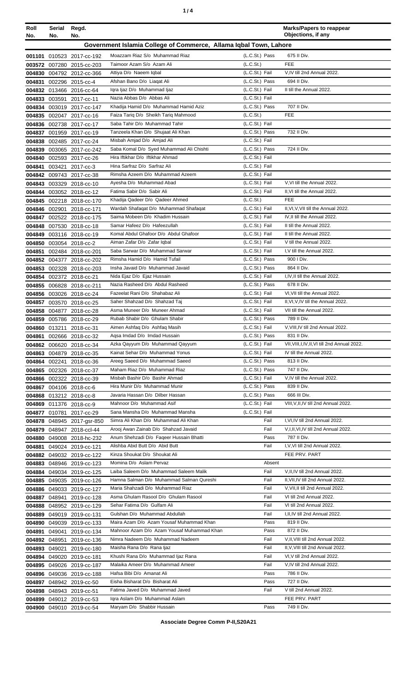| ٠ |  |
|---|--|
|   |  |

| Roll<br>No.                                                       | Serial<br>No. | Regd.<br>No.                                           |                                                                        |                                  | <b>Marks/Papers to reappear</b><br>Objections, if any |
|-------------------------------------------------------------------|---------------|--------------------------------------------------------|------------------------------------------------------------------------|----------------------------------|-------------------------------------------------------|
| Government Islamia College of Commerce, Allama Iqbal Town, Lahore |               |                                                        |                                                                        |                                  |                                                       |
|                                                                   |               | 001101 010523 2017-cc-192                              | Moazzam Riaz S/o Muhammad Riaz                                         | (L.C.St.) Pass                   | 675 II Div.                                           |
|                                                                   |               | 003572 007280 2015-cc-203                              | Taimoor Azam S/o Azam Ali                                              | (L.C.St.)                        | <b>FEE</b>                                            |
|                                                                   |               | 004830 004792 2012-cc-366                              | Attiya D/o Naeem Iqbal                                                 | (L.C.St.) Fail                   | V, IV till 2nd Annual 2022.                           |
|                                                                   |               | 004831 002296 2015-cc-4                                | Afshan Bano D/o Liagat Ali                                             | (L.C.St.) Pass                   | 694 II Div.                                           |
|                                                                   |               | 004832 013466 2016-cc-64                               | Igra Ijaz D/o Muhammad Ijaz                                            | (L.C.St.) Fail                   | II till the Annual 2022.                              |
|                                                                   | 004833 003591 | 2017-cc-11                                             | Nazia Abbas D/o Abbas Ali                                              | (L.C.St.) Fail                   |                                                       |
|                                                                   |               | 004834 003019 2017-cc-147                              | Khadija Hamid D/o Muhammad Hamid Aziz                                  | (L.C.St.) Pass                   | 707 II Div.                                           |
|                                                                   |               | 004835 002047 2017-cc-16                               | Faiza Tariq D/o Sheikh Tariq Mahmood                                   | (L.C.St.)                        | <b>FEE</b>                                            |
|                                                                   |               | 004836 002738 2017-cc-17                               | Saba Tahir D/o Muhammad Tahir                                          | (L.C.St.) Fail                   |                                                       |
|                                                                   |               | 004837 001959 2017-cc-19                               | Tanzeela Khan D/o Shujaat Ali Khan                                     | (L.C.St.) Pass                   | 732 II Div.                                           |
|                                                                   |               | 004838 002485 2017-cc-24                               | Misbah Amjad D/o Amjad Ali<br>Saba Komal D/o Syed Muhammad Ali Chishti | (L.C.St.) Fail<br>(L.C.St.) Pass | 724 II Div.                                           |
|                                                                   |               | 004839 003065 2017-cc-242<br>004840 002593 2017-cc-26  | Hira Iftikhar D/o Iftikhar Ahmad                                       | (L.C.St.) Fail                   |                                                       |
| 004841                                                            |               | 003421 2017-cc-3                                       | Hina Sarfraz D/o Sarfraz Ali                                           | (L.C.St.) Fail                   |                                                       |
|                                                                   |               | 004842 009743 2017-cc-38                               | Rimsha Azeem D/o Muhammad Azeem                                        | (L.C.St.) Fail                   |                                                       |
|                                                                   |               | 004843 003329 2018-cc-10                               | Ayesha D/o Muhammad Abad                                               | (L.C.St.) Fail                   | V, VI till the Annual 2022.                           |
|                                                                   |               | 004844 003052 2018-cc-12                               | Fatima Sabir D/o Sabir Ali                                             | (L.C.St.) Fail                   | II, VI till the Annual 2022.                          |
|                                                                   |               | 004845 002218 2018-cc-170                              | Khadija Qadeer D/o Qadeer Ahmed                                        | (L.C.St.)                        | <b>FEE</b>                                            |
|                                                                   |               | 004846 002901 2018-cc-171                              | Wardah Shafaqat D/o Muhammad Shafaqat                                  | (L.C.St.) Fail                   | II, VI, V, VII till the Annual 2022.                  |
|                                                                   |               | 004847 002522 2018-cc-175                              | Saima Mobeen D/o Khadim Hussain                                        | (L.C.St.) Fail                   | IV, II till the Annual 2022.                          |
|                                                                   |               | 004848 007530 2018-cc-18                               | Samar Hafeez D/o Hafeezullah                                           | (L.C.St.) Fail                   | II till the Annual 2022.                              |
| 004849                                                            |               | 003116 2018-cc-19                                      | Komal Abdul Ghafoor D/o Abdul Ghafoor                                  | (L.C.St.) Fail                   | II till the Annual 2022.                              |
|                                                                   |               | 004850 003054 2018-cc-2                                | Aiman Zafar D/o Zafar Iqbal                                            | (L.C.St.) Fail                   | V till the Annual 2022.                               |
|                                                                   |               | 004851 002484 2018-cc-201                              | Saba Sarwar D/o Muhammad Sarwar<br>Rimsha Hamid D/o Hamid Tufail       | (L.C.St.) Fail                   | I, V till the Annual 2022.<br>900 I Div.              |
|                                                                   |               | 004852 004377 2018-cc-202                              | Insha Javaid D/o Muhammad Javaid                                       | (L.C.St.) Pass<br>(L.C.St.) Pass | 864 II Div.                                           |
|                                                                   |               | 004853 002328 2018-cc-203<br>004854 002372 2018-cc-21  | Nida Ejaz D/o Ejaz Hussain                                             | (L.C.St.) Fail                   | I,IV,II till the Annual 2022.                         |
|                                                                   |               | 004855 006828 2018-cc-211                              | Nazia Rasheed D/o Abdul Rasheed                                        | (L.C.St.) Pass                   | 678 II Div.                                           |
|                                                                   |               | 004856 003026 2018-cc-24                               | Fazeelat Rani D/o Shahabaz Ali                                         | (L.C.St.) Fail                   | VI.VII till the Annual 2022.                          |
|                                                                   |               | 004857 003570 2018-cc-25                               | Saher Shahzad D/o Shahzad Taj                                          | (L.C.St.) Fail                   | II, VI, V, IV till the Annual 2022.                   |
|                                                                   |               | 004858 004877 2018-cc-28                               | Asma Muneer D/o Muneer Ahmad                                           | (L.C.St.) Fail                   | VII till the Annual 2022.                             |
|                                                                   |               | 004859 005786 2018-cc-29                               | Rubab Shabir D/o Ghulam Shabir                                         | (L.C.St.) Pass                   | 789 II Div.                                           |
|                                                                   |               | 004860 013211 2018-cc-31                               | Aimen Ashfaq D/o Ashfaq Masih                                          | (L.C.St.) Fail                   | V, VIII, IV till 2nd Annual 2022.                     |
|                                                                   |               | 004861 002666 2018-cc-32                               | Aqsa Imdad D/o Imdad Hussain                                           | (L.C.St.) Pass                   | 831 II Div.                                           |
|                                                                   |               | 004862 006620 2018-cc-34                               | Azka Qayyum D/o Muhammad Qayyum                                        | (L.C.St.) Fail                   | VII, VIII, I, IV, II, VI till 2nd Annual 2022.        |
|                                                                   |               | 004863 004879 2018-cc-35                               | Kainat Sehar D/o Muhammad Yonus                                        | (L.C.St.) Fail                   | IV till the Annual 2022.                              |
|                                                                   |               | 004864 002241 2018-cc-36                               | Areeg Saeed D/o Muhammad Saeed<br>Maham Riaz D/o Muhammad Riaz         | (L.C.St.) Pass<br>(L.C.St.) Pass | 813 II Div.<br>747 II Div.                            |
|                                                                   |               | 004865 002326 2018-cc-37<br>004866 002322 2018-cc-39   | Misbah Bashir D/o Bashir Ahmad                                         | (L.C.St.) Fail                   | V, IV till the Annual 2022.                           |
|                                                                   |               | 004867 004106 2018-cc-6                                | Hira Munir D/o Muhammad Munir                                          | (L.C.St.) Pass                   | 839 II Div.                                           |
|                                                                   |               | 004868 013212 2018-cc-8                                | Javaria Hassan D/o Dilber Hassan                                       | (L.C.St.) Pass                   | 666 III Div.                                          |
|                                                                   |               | 004869 011376 2018-cc-9                                | Mahnoor D/o Muhammad Asif                                              | (L.C.St.) Fail                   | VIII, V, II, IV till 2nd Annual 2022.                 |
|                                                                   |               | 004877 010781 2017-cc-29                               | Sana Mansha D/o Muhammad Mansha                                        | (L.C.St.) Fail                   |                                                       |
|                                                                   |               | 004878 048945 2017-gsr-850                             | Simra Ali Khan D/o Muhammad Ali Khan                                   | Fail                             | I, VI, IV till 2nd Annual 2022.                       |
|                                                                   |               | 004879 048947 2018-ccl-44                              | Arooj Awan Zainab D/o Shahzad Javaid                                   | Fail                             | V,I,II, VI, IV till 2nd Annual 2022.                  |
|                                                                   |               | 004880 049008 2018-hc-232                              | Anum Shehzadi D/o Faqeer Hussain Bhatti                                | Pass                             | 787 II Div.                                           |
|                                                                   |               | 004881 049024 2019-cc-121                              | Alishba Abid Butt D/o Abid Butt                                        | Fail                             | I, V, VI till 2nd Annual 2022.                        |
|                                                                   |               | 004882 049032 2019-cc-122                              | Kinza Shoukat D/o Shoukat Ali                                          |                                  | FEE PRV. PART                                         |
|                                                                   |               | 004883 048946 2019-cc-123                              | Momina D/o Aslam Pervaz<br>Laiba Saleem D/o Muhammad Saleem Malik      | Absent<br>Fail                   | V, II, IV till 2nd Annual 2022.                       |
|                                                                   |               | 004884 049034 2019-cc-125<br>004885 049035 2019-cc-126 | Hamna Salman D/o Muhammad Salman Qureshi                               | Fail                             | II, VII, IV till 2nd Annual 2022.                     |
|                                                                   |               | 004886 049033 2019-cc-127                              | Maria Shahzadi D/o Muhammad Riaz                                       | Fail                             | V, VII, II till 2nd Annual 2022.                      |
|                                                                   | 004887 048941 | 2019-cc-128                                            | Asma Ghulam Rasool D/o Ghulam Rasool                                   | Fail                             | VI till 2nd Annual 2022.                              |
|                                                                   |               | 004888 048952 2019-cc-129                              | Sehar Fatima D/o Gulfam Ali                                            | Fail                             | VI till 2nd Annual 2022.                              |
|                                                                   |               | 004889 049019 2019-cc-131                              | Gulshan D/o Muhammad Abdullah                                          | Fail                             | I, II, IV till 2nd Annual 2022.                       |
|                                                                   |               | 004890 049039 2019-cc-133                              | Maira Azam D/o Azam Yousaf Muhammad Khan                               | Pass                             | 819 II Div.                                           |
|                                                                   | 004891 049041 | 2019-cc-134                                            | Mahnoor Azam D/o Azam Yousaf Muhammad Khan                             | Pass                             | 872 II Div.                                           |
|                                                                   | 004892 048951 | 2019-cc-136                                            | Nimra Nadeem D/o Muhammad Nadeem                                       | Fail                             | V, II, VIII till 2nd Annual 2022.                     |
|                                                                   | 004893 049021 | 2019-cc-180                                            | Maisha Rana D/o Rana Ijaz                                              | Fail                             | II, V, VIII till 2nd Annual 2022.                     |
|                                                                   |               | 004894 049020 2019-cc-181                              | Khushi Rana D/o Muhammad liaz Rana                                     | Fail                             | VI, V till 2nd Annual 2022.                           |
|                                                                   |               | 004895 049026 2019-cc-187                              | Malaika Ameer D/o Muhammad Ameer                                       | Fail                             | V, IV till 2nd Annual 2022.                           |
|                                                                   |               | 004896 049036 2019-cc-188                              | Hafsa Bibi D/o Amanat Ali                                              | Pass                             | 786 II Div.                                           |
|                                                                   |               | 004897 048942 2019-cc-50                               | Eisha Bisharat D/o Bisharat Ali                                        | Pass                             | 727 II Div.                                           |
|                                                                   |               | 004898 048943 2019-cc-51                               | Fatima Javed D/o Muhammad Javed<br>Igra Aslam D/o Muhammad Aslam       | Fail                             | V till 2nd Annual 2022.<br>FEE PRV. PART              |
|                                                                   |               | 004899 049012 2019-cc-53<br>004900 049010 2019-cc-54   | Maryam D/o Shabbir Hussain                                             | Pass                             | 749 II Div.                                           |
|                                                                   |               |                                                        |                                                                        |                                  |                                                       |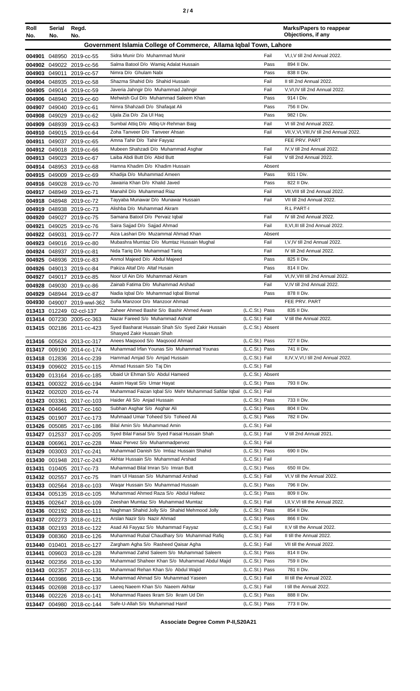| Roll<br>No. | Serial<br>No. | Regd.<br>No.                                           |                                                                                       |                                  | <b>Marks/Papers to reappear</b><br>Objections, if any        |
|-------------|---------------|--------------------------------------------------------|---------------------------------------------------------------------------------------|----------------------------------|--------------------------------------------------------------|
|             |               |                                                        | Government Islamia College of Commerce, Allama Iqbal Town, Lahore                     |                                  |                                                              |
|             |               | 004901 048950 2019-cc-55                               | Sidra Munir D/o Muhammad Munir                                                        | Fail                             | VI,I, V till 2nd Annual 2022.                                |
|             |               | 004902 049022 2019-cc-56                               | Salma Batool D/o Wamiq Adalat Hussain                                                 | Pass                             | 894 II Div.                                                  |
|             |               | 004903 049011 2019-cc-57                               | Nimra D/o Ghulam Nabi                                                                 | Pass                             | 838 II Div.                                                  |
|             |               | 004904 048935 2019-cc-58                               | Shazma Shahid D/o Shahid Hussain                                                      | Fail                             | II till 2nd Annual 2022.                                     |
|             |               | 004905 049014 2019-cc-59                               | Javeria Jahngir D/o Muhammad Jahngir                                                  | Fail                             | V, VI, IV till 2nd Annual 2022.                              |
|             |               | 004906 048940 2019-cc-60                               | Mehwish Gul D/o Muhammad Saleem Khan                                                  | Pass                             | 914   Div.                                                   |
|             |               | 004907 049040 2019-cc-61                               | Nimra Shahzadi D/o Shafaqat Ali                                                       | Pass                             | 756 II Div.<br>982   Div.                                    |
|             |               | 004908 049029 2019-cc-62                               | Ujala Zia D/o Zia Ul Haq<br>Sumbal Attiq D/o Attiq-Ur-Rehman Baig                     | Pass<br>Fail                     | VI till 2nd Annual 2022.                                     |
|             |               | 004909 048939 2019-cc-63<br>004910 049015 2019-cc-64   | Zoha Tanveer D/o Tanveer Ahsan                                                        | Fail                             | VII, V, VI, VIII, IV till 2nd Annual 2022.                   |
|             |               | 004911 049037 2019-cc-65                               | Amna Tahir D/o Tahir Fayyaz                                                           |                                  | FEE PRV. PART                                                |
|             |               | 004912 049018 2019-cc-66                               | Mubeen Shahzadi D/o Muhammad Asghar                                                   | Fail                             | IV, V till 2nd Annual 2022.                                  |
|             |               | 004913 049023 2019-cc-67                               | Laiba Abdi Butt D/o Abid Butt                                                         | Fail                             | V till 2nd Annual 2022.                                      |
|             |               | 004914 048953 2019-cc-68                               | Hamna Khadim D/o Khadim Hussain                                                       | Absent                           |                                                              |
|             |               | 004915 049009 2019-cc-69                               | Khadija D/o Muhammad Ameen                                                            | Pass                             | 931 I Div.                                                   |
|             |               | 004916 049028 2019-cc-70                               | Jawairia Khan D/o Khalid Javed                                                        | Pass                             | 822 II Div.                                                  |
|             |               | 004917 048949 2019-cc-71                               | Manahil D/o Muhammad Riaz<br>Tayyaba Munawar D/o Munawar Hussain                      | Fail<br>Fail                     | VII, VIII till 2nd Annual 2022.<br>VII till 2nd Annual 2022. |
|             |               | 004918 048948 2019-cc-72<br>004919 048938 2019-cc-73   | Alishba D/o Muhammad Akram                                                            |                                  | R.L PART-I                                                   |
|             |               | 004920 049027 2019-cc-75                               | Samana Batool D/o Pervaiz Iqbal                                                       | Fail                             | IV till 2nd Annual 2022.                                     |
|             |               | 004921 049025 2019-cc-76                               | Saira Sajjad D/o Sajjad Ahmad                                                         | Fail                             | II, VI, III till 2nd Annual 2022.                            |
|             |               | 004922 049031 2019-cc-77                               | Aiza Lashari D/o Muzammal Ahmad Khan                                                  | Absent                           |                                                              |
|             |               | 004923 049016 2019-cc-80                               | Mubashra Mumtaz D/o Mumtaz Hussain Mughal                                             | Fail                             | I, V, IV till 2nd Annual 2022.                               |
|             |               | 004924 048937 2019-cc-81                               | Nida Tariq D/o Muhammad Tariq                                                         | Fail                             | IV till 2nd Annual 2022.                                     |
|             |               | 004925 048936 2019-cc-83                               | Anmol Majeed D/o Abdul Majeed                                                         | Pass                             | 825 II Div.                                                  |
|             |               | 004926 049013 2019-cc-84                               | Pakiza Altaf D/o Altaf Husain                                                         | Pass                             | 814 II Div.                                                  |
|             |               | 004927 049017 2019-cc-85                               | Noor UI Ain D/o Muhammad Akram<br>Zainab Fatima D/o Muhammad Arshad                   | Fail<br>Fail                     | VI, IV, VIII till 2nd Annual 2022.                           |
|             |               | 004928 049030 2019-cc-86<br>004929 048944 2019-cc-87   | Nadia Iqbal D/o Muhammad Iqbal Bismal                                                 | Pass                             | V, IV till 2nd Annual 2022.<br>878 II Div.                   |
|             |               | 004930 049007 2019-wwl-362                             | Sufia Manzoor D/o Manzoor Ahmad                                                       |                                  | FEE PRV. PART                                                |
|             |               | 013413 012249 02-ccl-137                               | Zaheer Ahmed Bashir S/o Bashir Ahmed Awan                                             | (L.C.St.) Pass                   | 835 II Div.                                                  |
|             |               | 013414 007230 2005-cc-363                              | Nazar Fareed S/o Muhammad Ashraf                                                      | (L.C.St.) Fail                   | V till the Annual 2022.                                      |
|             |               | 013415 002186 2011-cc-423                              | Syed Basharat Hussain Shah S/o Syed Zakir Hussain                                     | (L.C.St.) Absent                 |                                                              |
|             |               | 013416 005624 2013-cc-317                              | Shasyed Zakir Hussain Shah<br>Anees Magsood S/o Magsood Ahmad                         | (L.C.St.) Pass                   | 727 II Div.                                                  |
|             |               | 013417 009190 2014-cc-174                              | Muhammad Irfan Younas S/o Muhammad Younas                                             | (L.C.St.) Pass                   | 741 II Div.                                                  |
|             |               | 013418 012836 2014-cc-239                              | Hammad Amjad S/o Amjad Hussain                                                        | (L.C.St.) Fail                   | II, IV, V, VI, I till 2nd Annual 2022.                       |
|             |               | 013419 009602 2015-cc-115                              | Ahmad Hussain S/o Taj Din                                                             | (L.C.St.) Fail                   |                                                              |
|             |               | 013420 013164 2016-cc-185                              | Ubaid Ur Ehman S/o Abdul Hameed                                                       | (L.C.St.) Absent                 |                                                              |
|             |               | 013421 000322 2016-cc-194                              | Aasim Hayat S/o Umar Hayat                                                            | (L.C.St.) Pass                   | 793 II Div.                                                  |
|             |               | 013422 002020 2016-cc-74                               | Muhammad Faizan Iqbal S/o Mehr Muhammad Safdar Iqbal<br>Haider Ali S/o Anjad Hussain  | (L.C.St.) Fail<br>(L.C.St.) Pass | 733 II Div.                                                  |
|             |               | 013423 003361 2017-cc-103<br>013424 004646 2017-cc-160 | Subhan Asghar S/o Asghar Ali                                                          | (L.C.St.) Pass                   | 804 II Div.                                                  |
|             |               | 013425 001907 2017-cc-173                              | Muhmaad Umar Toheed S/o Toheed Ali                                                    | (L.C.St.) Pass                   | 782 II Div.                                                  |
|             |               | 013426 005085 2017-cc-186                              | Bilal Amin S/o Muhammad Amin                                                          | (L.C.St.) Fail                   |                                                              |
|             |               | 013427 012537 2017-cc-205                              | Syed Bilal Faisal S/o Syed Faisal Hussain Shah                                        | (L.C.St.) Fail                   | V till 2nd Annual 2021.                                      |
|             |               | 013428 006961 2017-cc-228                              | Maaz Pervez S/o Muhammadpervez                                                        | (L.C.St.) Fail                   |                                                              |
|             |               | 013429 003003 2017-cc-241                              | Muhammad Danish S/o Imtiaz Hussain Shahid                                             | (L.C.St.) Pass                   | 690 II Div.                                                  |
|             |               | 013430 001948 2017-cc-243                              | Akhtar Hussain S/o Muhammad Arshad                                                    | (L.C.St.) Fail                   |                                                              |
|             |               | 013431 010405 2017-cc-73                               | Muhammad Bilal Imran S/o Imran Butt                                                   | (L.C.St.) Pass                   | 650 III Div.                                                 |
|             |               | 013432 002557 2017-cc-75                               | Inam UI Hassan S/o Muhammad Arshad<br>Waqar Hussain S/o Muhammad Hussain              | (L.C.St.) Fail<br>(L.C.St.) Pass | VI, V till the Annual 2022.<br>796 II Div.                   |
|             |               | 013433 002564 2018-cc-103<br>013434 005135 2018-cc-105 | Muhammad Ahmed Raza S/o Abdul Hafeez                                                  | (L.C.St.) Pass                   | 809 II Div.                                                  |
|             |               | 013435 002647 2018-cc-109                              | Zeeshan Mumtaz S/o Muhammad Mumtaz                                                    | (L.C.St.) Fail                   | I, II, V, VI till the Annual 2022.                           |
|             |               | 013436 002192 2018-cc-111                              | Naghman Shahid Jolly S/o Shahid Mehmood Jolly                                         | (L.C.St.) Pass                   | 854 II Div.                                                  |
|             |               | 013437 002273 2018-cc-121                              | Arslan Nazir S/o Nazir Ahmad                                                          | (L.C.St.) Pass                   | 866 II Div.                                                  |
|             |               | 013438 002193 2018-cc-122                              | Asad Ali Fayyaz S/o Muhammad Fayyaz                                                   | (L.C.St.) Fail                   | II, V till the Annual 2022.                                  |
|             |               | 013439 008360 2018-cc-126                              | Muhammad Rubal Chaudhary S/o Muhammad Rafiq                                           | (L.C.St.) Fail                   | II till the Annual 2022.                                     |
|             | 013440 010401 | 2018-cc-127                                            | Zargham Agha S/o Rasheed Qaisar Agha                                                  | (L.C.St.) Fail                   | VII till the Annual 2022.                                    |
|             |               | 013441 009603 2018-cc-128                              | Muhammad Zahid Saleem S/o Muhammad Saleem                                             | (L.C.St.) Pass                   | 814 II Div.<br>759 II Div.                                   |
|             |               | 013442 002356 2018-cc-130<br>013443 002357 2018-cc-131 | Muhammad Shaheer Khan S/o Muhammad Abdul Majid<br>Muhammad Rehan Khan S/o Abdul Wajid | (L.C.St.) Pass<br>(L.C.St.) Pass | 781 II Div.                                                  |
|             |               | 013444 003986 2018-cc-136                              | Muhammad Ahmad S/o Muhammad Yaseen                                                    | (L.C.St.) Fail                   | III till the Annual 2022.                                    |
|             |               | 013445 002698 2018-cc-137                              | Laeeg Naeem Khan S/o Naeem Akhtar                                                     | (L.C.St.) Fail                   | I till the Annual 2022.                                      |
|             |               | 013446 002226 2018-cc-141                              | Mohammad Raees Ikram S/o Ikram Ud Din                                                 | (L.C.St.) Pass                   | 888 II Div.                                                  |
|             |               | 013447 004980 2018-cc-144                              | Safe-U-Allah S/o Muhammad Hanif                                                       | (L.C.St.) Pass                   | 773 II Div.                                                  |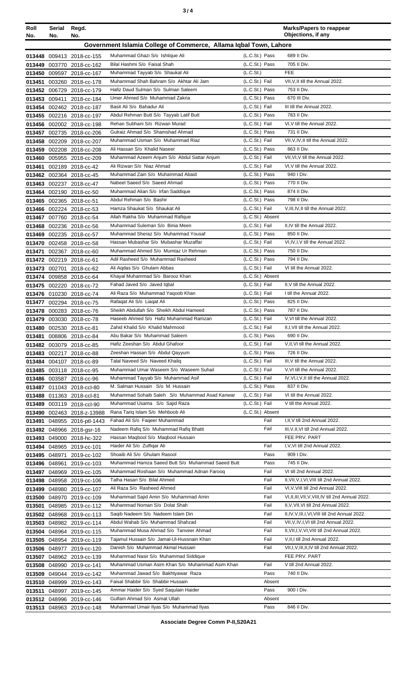| ×<br>٠<br>٦<br>×<br>۰. |  |  |
|------------------------|--|--|
|------------------------|--|--|

| Roll<br>No.                                                       | Serial<br>No. | Regd.<br>No.                                           |                                                                          |                                    | <b>Marks/Papers to reappear</b><br>Objections, if any                                    |
|-------------------------------------------------------------------|---------------|--------------------------------------------------------|--------------------------------------------------------------------------|------------------------------------|------------------------------------------------------------------------------------------|
| Government Islamia College of Commerce, Allama Igbal Town, Lahore |               |                                                        |                                                                          |                                    |                                                                                          |
|                                                                   |               |                                                        |                                                                          |                                    |                                                                                          |
|                                                                   |               | 013448 009413 2018-cc-155                              | Muhammad Ghazi S/o Ishtique Ali<br>Bilal Hashmi S/o Faisal Shah          | (L.C.St.) Pass<br>(L.C.St.) Pass   | 689 II Div.<br>705 II Div.                                                               |
|                                                                   |               | 013449 003770 2018-cc-162<br>013450 009597 2018-cc-167 | Muhammad Tayyab S/o Shaukat Ali                                          | (L.C.St.)                          | <b>FEE</b>                                                                               |
|                                                                   |               | 013451 003260 2018-cc-178                              | Muhammad Shah Bahram S/o Akhtar Ali Jam                                  | (L.C.St.) Fail                     | VII, V, II till the Annual 2022.                                                         |
|                                                                   |               | 013452 006729 2018-cc-179                              | Hafiz Daud Sulman S/o Sulman Saleem                                      | (L.C.St.) Pass                     | 753 II Div.                                                                              |
|                                                                   | 013453 009411 | 2018-cc-184                                            | Umer Ahmed S/o Muhammad Zakria                                           | (L.C.St.) Pass                     | 670 III Div.                                                                             |
|                                                                   |               | 013454 002462 2018-cc-187                              | Basit Ali S/o Bahadur Ali                                                | (L.C.St.) Fail                     | III till the Annual 2022.                                                                |
|                                                                   |               | 013455 002216 2018-cc-197                              | Abdul Rehman Butt S/o Tayyab Latif Butt                                  | (L.C.St.) Pass                     | 783 II Div.                                                                              |
|                                                                   |               | 013456 002002 2018-cc-198                              | Rehan Subhani S/o Rizwan Murad                                           | (L.C.St.) Fail                     | VI, V till the Annual 2022.                                                              |
|                                                                   |               | 013457 002735 2018-cc-206                              | Gulraiz Ahmad S/o Shamshad Ahmad                                         | (L.C.St.) Pass                     | 731 II Div.                                                                              |
|                                                                   |               | 013458 002209 2018-cc-207                              | Muhammad Usman S/o Muhammad Riaz                                         | (L.C.St.) Fail                     | VII, V, IV, II till the Annual 2022.                                                     |
|                                                                   |               | 013459 002208 2018-cc-208                              | Ali Hassan S/o Khalid Naseer                                             | (L.C.St.) Pass                     | 863 II Div.                                                                              |
|                                                                   |               | 013460 005955 2018-cc-209                              | Muhammad Azeem Anjum S/o Abdul Sattar Anjum                              | (L.C.St.) Fail                     | VII, VI, V till the Annual 2022.                                                         |
|                                                                   |               | 013461 002189 2018-cc-42                               | Ali Rizwan S/o Niaz Ahmad                                                | (L.C.St.) Fail                     | VI, V till the Annual 2022.                                                              |
|                                                                   |               | 013462 002364 2018-cc-45                               | Muhammad Zain S/o Muhammad Abaid                                         | (L.C.St.) Pass                     | 940 I Div.                                                                               |
|                                                                   |               | 013463 002237 2018-cc-47                               | Nabeel Saeed S/o Saeed Ahmad                                             | (L.C.St.) Pass                     | 770 II Div.                                                                              |
|                                                                   |               | 013464 002190 2018-cc-50                               | Muhammad Alian S/o Irfan Saddique                                        | (L.C.St.) Pass                     | 874 II Div.                                                                              |
|                                                                   |               | 013465 002365 2018-cc-51                               | Abdul Rehman S/o Bashir                                                  | (L.C.St.) Pass                     | 798 II Div.                                                                              |
|                                                                   |               | 013466 002224 2018-cc-53                               | Hamza Shaukat S/o Shaukat Ali                                            | (L.C.St.) Fail                     | V, III, IV, II till the Annual 2022.                                                     |
|                                                                   |               | 013467 007760 2018-cc-54                               | Allah Rakha S/o Muhammad Rafique<br>Muhammad Suleman S/o Binia Meen      | (L.C.St.) Absent<br>(L.C.St.) Fail | II, IV till the Annual 2022.                                                             |
|                                                                   |               | 013468 002236 2018-cc-56<br>013469 002235 2018-cc-57   | Muhammad Sheraz S/o Muhammad Yousaf                                      | (L.C.St.) Pass                     | 850 II Div.                                                                              |
|                                                                   |               | 013470 002458 2018-cc-58                               | Hassan Mubashar S/o Mubashar Muzaffar                                    | (L.C.St.) Fail                     | VI, IV, I, V till the Annual 2022.                                                       |
|                                                                   |               | 013471 002367 2018-cc-60                               | Muhammad Ahmed S/o Mumtaz Ur Rehman                                      | (L.C.St.) Pass                     | 750 II Div.                                                                              |
|                                                                   |               | 013472 002219 2018-cc-61                               | Adil Rasheed S/o Muhammad Rasheed                                        | (L.C.St.) Pass                     | 794 II Div.                                                                              |
|                                                                   |               | 013473 002701 2018-cc-62                               | Ali Aqdas S/o Ghulam Abbas                                               | (L.C.St.) Fail                     | VI till the Annual 2022.                                                                 |
|                                                                   |               | 013474 009858 2018-cc-64                               | Khayal Muhammad S/o Barooz Khan                                          | (L.C.St.) Absent                   |                                                                                          |
|                                                                   |               | 013475 002220 2018-cc-72                               | Fahad Javed S/o Javed Iqbal                                              | (L.C.St.) Fail                     | II, V till the Annual 2022.                                                              |
|                                                                   |               | 013476 010230 2018-cc-74                               | Ali Raza S/o Muhammad Yaqoob Khan                                        | (L.C.St.) Fail                     | I till the Annual 2022.                                                                  |
|                                                                   |               | 013477 002294 2018-cc-75                               | Rafaqat Ali S/o Liaqat Ali                                               | (L.C.St.) Pass                     | 825 II Div.                                                                              |
|                                                                   |               | 013478 000283 2018-cc-76                               | Sheikh Abdullah S/o Sheikh Abdul Hameed                                  | (L.C.St.) Pass                     | 787 II Div.                                                                              |
|                                                                   |               | 013479 003030 2018-cc-78                               | Haseeb Ahmed S/o Hafiz Muhammad Ramzan                                   | (L.C.St.) Fail                     | V.VI till the Annual 2022.                                                               |
|                                                                   |               | 013480 002530 2018-cc-81                               | Zahid Khalid S/o Khalid Mahmood                                          | (L.C.St.) Fail                     | II, I, VII till the Annual 2022.                                                         |
|                                                                   |               | 013481 008806 2018-cc-84                               | Abu Bakar S/o Muhammad Saleem                                            | (L.C.St.) Pass                     | 690 II Div.                                                                              |
|                                                                   |               | 013482 003079 2018-cc-85                               | Hafiz Zeeshan S/o Abdul Ghafoor                                          | (L.C.St.) Fail                     | V, II, VI till the Annual 2022.                                                          |
|                                                                   |               | 013483 002217 2018-cc-88                               | Zeeshan Hassan S/o Abdul Qayyum                                          | (L.C.St.) Pass                     | 726 II Div.                                                                              |
|                                                                   |               | 013484 004107 2018-cc-89                               | Talal Naveed S/o Naveed Khalig<br>Muhammad Umar Waseem S/o Waseem Suhail | (L.C.St.) Fail<br>(L.C.St.) Fail   | III, V till the Annual 2022.                                                             |
|                                                                   |               | 013485 003118 2018-cc-95                               | Muhammad Tayyab S/o Muhammad Asif                                        | (L.C.St.) Fail                     | V, VI till the Annual 2022.<br>IV, VI, I, V, II till the Annual 2022.                    |
|                                                                   |               | 013486 003587 2018-cc-96<br>013487 011043 2018-ccl-80  | M. Salman Hussain S/o M. Hussain                                         | (L.C.St.) Pass                     | 837 II Div.                                                                              |
|                                                                   |               | 013488 011363 2018-ccl-81                              | Muhammad Sohaib Saleh S/o Muhammad Asad Kanwar                           | (L.C.St.) Fail                     | VI till the Annual 2022.                                                                 |
|                                                                   |               | 013489 003119 2018-ccl-90                              | Muhammad Usama S/o Sajid Raza                                            | (L.C.St.) Fail                     | V till the Annual 2022.                                                                  |
|                                                                   |               | 013490 002463 2018-z-13988                             | Rana Tariq Islam S/o Mehboob Ali                                         | (L.C.St.) Absent                   |                                                                                          |
|                                                                   |               | 013491 048955 2016-ptl-1443                            | Fahad Ali S/o Faqeer Muhammad                                            | Fail                               | I, II, V till 2nd Annual 2022.                                                           |
|                                                                   |               | 013492 048966 2018-gsr-16                              | Nadeem Rafiq S/o Muhammad Rafiq Bhatti                                   | Fail                               | III, V, II, VI till 2nd Annual 2022.                                                     |
|                                                                   |               | 013493 049000 2018-hc-322                              | Hassan Maqbool S/o Maqbool Hussain                                       |                                    | FEE PRV. PART                                                                            |
|                                                                   |               | 013494 048965 2019-cc-101                              | Haider Ali S/o Zulfigar Ali                                              | Fail                               | I, V, VI till 2nd Annual 2022.                                                           |
|                                                                   | 013495 048971 | 2019-cc-102                                            | Shoaib Ali S/o Ghulam Rasool                                             | Pass                               | 909 I Div.                                                                               |
|                                                                   |               | 013496 048961 2019-cc-103                              | Muhammad Hamza Saeed Butt S/o Muhammad Saeed Butt                        | Pass                               | 745 II Div.                                                                              |
|                                                                   |               | 013497 048969 2019-cc-105                              | Muhammad Roshaan S/o Muhammad Adnan Farooq                               | Fail                               | VI till 2nd Annual 2022.                                                                 |
|                                                                   |               | 013498 048958 2019-cc-106                              | Talha Hasan S/o Bilal Ahmed                                              | Fail                               | II, VII, V, I, VI, VIII till 2nd Annual 2022.                                            |
|                                                                   |               | 013499 048980 2019-cc-107                              | Ali Raza S/o Rasheed Ahmed                                               | Fail                               | VI, V, VIII till 2nd Annual 2022.                                                        |
|                                                                   |               | 013500 048970 2019-cc-109                              | Muhammad Sajid Amin S/o Muhammad Amin                                    | Fail                               | VI, II, III, VII, V, VIII, IV till 2nd Annual 2022.                                      |
|                                                                   |               | 013501 048985 2019-cc-112                              | Muhammad Noman S/o Dolat Shah                                            | Fail                               | II, V, VII, VI till 2nd Annual 2022.                                                     |
|                                                                   |               | 013502 048968 2019-cc-113                              | Saqib Nadeem S/o Nadeem Islam Din<br>Abdul Wahab S/o Muhammad Shahzad    | Fail                               | II,IV,V,III,I,VI,VIII till 2nd Annual 2022.                                              |
|                                                                   |               | 013503 048982 2019-cc-114                              | Muhammad Musa Ahmad S/o Tanveer Ahmad                                    | Fail<br>Fail                       | VII, V, IV, I, VI till 2nd Annual 2022.<br>II, VII, I, V, VI, VIII till 2nd Annual 2022. |
|                                                                   |               | 013504 048964 2019-cc-115                              | Tajamul Hussain S/o Jamal-Ul-Hussnain Khan                               | Fail                               | V, II, I till 2nd Annual 2022.                                                           |
|                                                                   |               | 013505 048954 2019-cc-119<br>013506 048977 2019-cc-120 | Danish S/o Muhammad Akmal Hussain                                        | Fail                               | VII, I, V, III, II, IV till 2nd Annual 2022.                                             |
|                                                                   |               | 013507 048962 2019-cc-139                              | Muhammad Nasir S/o Muhammad Siddique                                     |                                    | FEE PRV. PART                                                                            |
|                                                                   |               | 013508 048990 2019-cc-141                              | Muhammad Usman Asim Khan S/o Muhammad Asim Khan                          | Fail                               | V till 2nd Annual 2022.                                                                  |
|                                                                   |               | 013509 049044 2019-cc-142                              | Muhammad Jawad S/o Bakhtyawar Raza                                       | Pass                               | 740 II Div.                                                                              |
|                                                                   |               | 013510 048999 2019-cc-143                              | Faisal Shabbir S/o Shabbir Hussain                                       | Absent                             |                                                                                          |
|                                                                   |               | 013511 048997 2019-cc-145                              | Ammar Haider S/o Syed Saqulain Haider                                    | Pass                               | 900 I Div.                                                                               |
|                                                                   |               | 013512 048996 2019-cc-146                              | Gulfam Ahmad S/o Asmat Ullah                                             | Absent                             |                                                                                          |
|                                                                   |               | 013513 048963 2019-cc-148                              | Muhammad Umair Ilyas S/o Muhammad Ilyas                                  | Pass                               | 846 II Div.                                                                              |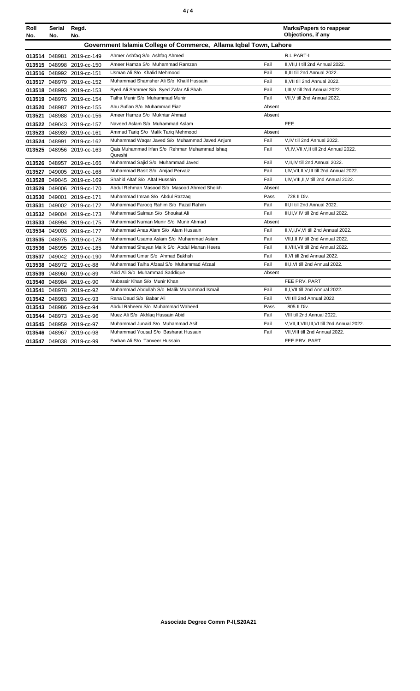|--|--|

| Roll   | Serial<br>No. | Regd.<br>No.              |                                                                   |        | <b>Marks/Papers to reappear</b><br>Objections, if any |
|--------|---------------|---------------------------|-------------------------------------------------------------------|--------|-------------------------------------------------------|
| No.    |               |                           | Government Islamia College of Commerce, Allama Iqbal Town, Lahore |        |                                                       |
|        | 013514 048981 | 2019-cc-149               | Ahmer Ashfaq S/o Ashfaq Ahmed                                     |        | R.L PART-I                                            |
|        | 013515 048998 | 2019-cc-150               | Ameer Hamza S/o Muhammad Ramzan                                   | Fail   | II, VII, III till 2nd Annual 2022.                    |
|        |               | 013516 048992 2019-cc-151 | Usman Ali S/o Khalid Mehmood                                      | Fail   | II.III till 2nd Annual 2022.                          |
| 013517 |               | 048979 2019-cc-152        | Muhammad Shamsher Ali S/o Khalil Hussain                          | Fail   | II.VII till 2nd Annual 2022.                          |
| 013518 |               | 048993 2019-cc-153        | Syed Ali Sammer S/o Syed Zafar Ali Shah                           | Fail   | I, III, V till 2nd Annual 2022.                       |
|        |               | 013519 048976 2019-cc-154 | Talha Munir S/o Muhammad Munir                                    | Fail   | VII, V till 2nd Annual 2022.                          |
|        |               | 013520 048987 2019-cc-155 | Abu Sufian S/o Muhammad Fiaz                                      | Absent |                                                       |
| 013521 |               | 048988 2019-cc-156        | Ameer Hamza S/o Mukhtar Ahmad                                     | Absent |                                                       |
|        |               | 013522 049043 2019-cc-157 | Naveed Aslam S/o Muhammad Aslam                                   |        | <b>FEE</b>                                            |
|        |               | 013523 048989 2019-cc-161 | Ammad Tariq S/o Malik Tariq Mehmood                               | Absent |                                                       |
|        |               | 013524 048991 2019-cc-162 | Muhammad Waqar Javed S/o Muhammad Javed Anjum                     | Fail   | V, IV till 2nd Annual 2022.                           |
|        |               | 013525 048956 2019-cc-163 | Qais Muhammad Irfan S/o Rehman Muhammad Ishaq<br>Qureshi          | Fail   | VI, IV, VII, V, II till 2nd Annual 2022.              |
|        |               | 013526 048957 2019-cc-166 | Muhammad Sajid S/o Muhammad Javed                                 | Fail   | V, II, IV till 2nd Annual 2022.                       |
| 013527 |               | 049005 2019-cc-168        | Muhammad Basit S/o Amjad Pervaiz                                  | Fail   | I, IV, VII, II, V, III till 2nd Annual 2022.          |
|        |               | 013528 049045 2019-cc-169 | Shahid Altaf S/o Altaf Hussain                                    | Fail   | I, IV, VIII, II, V till 2nd Annual 2022.              |
| 013529 |               | 049006 2019-cc-170        | Abdul Rehman Masood S/o Masood Ahmed Sheikh                       | Absent |                                                       |
|        |               | 013530 049001 2019-cc-171 | Muhammad Imran S/o Abdul Razzaq                                   | Pass   | 728 II Div.                                           |
| 013531 |               | 049002 2019-cc-172        | Muhammad Farooq Rahim S/o Fazal Rahim                             | Fail   | III, II till 2nd Annual 2022.                         |
|        |               | 013532 049004 2019-cc-173 | Muhammad Salman S/o Shoukat Ali                                   | Fail   | III, II, V, IV till 2nd Annual 2022.                  |
|        |               | 013533 048994 2019-cc-175 | Muhammad Numan Munir S/o Munir Ahmad                              | Absent |                                                       |
|        |               | 013534 049003 2019-cc-177 | Muhammad Anas Alam S/o Alam Hussain                               | Fail   | II, V, I, IV, VI till 2nd Annual 2022.                |
|        |               | 013535 048975 2019-cc-178 | Muhammad Usama Aslam S/o Muhammad Aslam                           | Fail   | VII, I, II, IV till 2nd Annual 2022.                  |
|        |               | 013536 048995 2019-cc-185 | Muhammad Shayan Malik S/o Abdul Manan Heera                       | Fail   | II, VIII, VII till 2nd Annual 2022.                   |
|        |               | 013537 049042 2019-cc-190 | Muhammad Umar S/o Ahmad Bakhsh                                    | Fail   | II, VI till 2nd Annual 2022.                          |
|        |               | 013538 048972 2019-cc-88  | Muhammad Talha Afzaal S/o Muhammad Afzaal                         | Fail   | III, I, VI till 2nd Annual 2022.                      |
|        |               | 013539 048960 2019-cc-89  | Abid Ali S/o Muhammad Saddique                                    | Absent |                                                       |
| 013540 |               | 048984 2019-cc-90         | Mubassir Khan S/o Munir Khan                                      |        | FEE PRV. PART                                         |
| 013541 |               | 048978 2019-cc-92         | Muhammad Abdullah S/o Malik Muhammad Ismail                       | Fail   | II, I, VII till 2nd Annual 2022.                      |
|        |               | 013542 048983 2019-cc-93  | Rana Daud S/o Babar Ali                                           | Fail   | VII till 2nd Annual 2022.                             |
|        |               | 013543 048986 2019-cc-94  | Abdul Raheem S/o Muhammad Waheed                                  | Pass   | 805 II Div.                                           |
|        |               | 013544 048973 2019-cc-96  | Muez Ali S/o Akhlag Hussain Abid                                  | Fail   | VIII till 2nd Annual 2022.                            |
|        |               | 013545 048959 2019-cc-97  | Muhammad Junaid S/o Muhammad Asif                                 | Fail   | V, VII, II, VIII, III, VI till 2nd Annual 2022.       |
|        |               | 013546 048967 2019-cc-98  | Muhammad Yousaf S/o Basharat Hussain                              | Fail   | VII, VIII till 2nd Annual 2022.                       |
|        |               | 013547 049038 2019-cc-99  | Farhan Ali S/o Tanveer Hussain                                    |        | FEE PRV. PART                                         |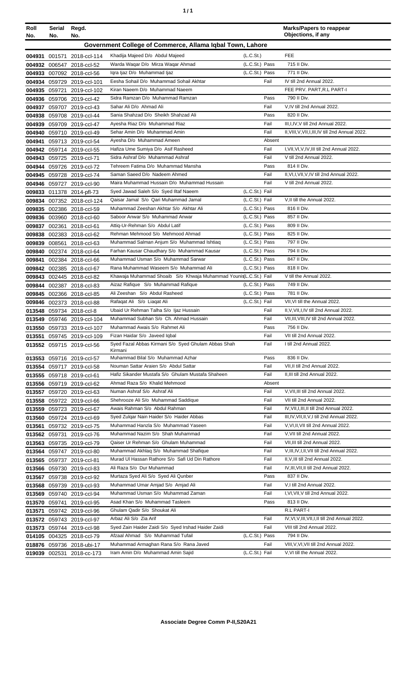| í<br>٠ |
|--------|
|--------|

| Roll   | Serial | Regd.                                                    |                                                                                    |                                  | <b>Marks/Papers to reappear</b><br>Objections, if any                               |
|--------|--------|----------------------------------------------------------|------------------------------------------------------------------------------------|----------------------------------|-------------------------------------------------------------------------------------|
| No.    | No.    | No.                                                      |                                                                                    |                                  |                                                                                     |
|        |        |                                                          | Government College of Commerce, Allama Iqbal Town, Lahore                          |                                  |                                                                                     |
|        |        | 004931 001571 2018-ccl-114                               | Khadija Majeed D/o Abdul Majeed                                                    | (L.C.S <sub>t</sub> )            | <b>FEE</b>                                                                          |
|        |        | 004932 006547 2018-ccl-52                                | Warda Waqar D/o Mirza Waqar Ahmad                                                  | (L.C.St.) Pass<br>(L.C.St.) Pass | 715 II Div.<br>771 II Div.                                                          |
|        |        | 004933 007092 2018-ccl-56                                | Iqra Ijaz D/o Muhammad Ijaz                                                        |                                  |                                                                                     |
|        |        | 004934 059729 2019-ccl-101                               | Eesha Sohail D/o Muhammad Sohail Akhtar<br>Kiran Naeem D/o Muhammad Naeem          | Fail                             | IV till 2nd Annual 2022.<br>FEE PRV. PART, R.L PART-I                               |
|        |        | 004935 059721 2019-ccl-102<br>004936 059706 2019-ccl-42  | Sidra Ramzan D/o Muhammad Ramzan                                                   | Pass                             | 790 II Div.                                                                         |
|        |        | 004937 059707 2019-ccl-43                                | Sahar Ali D/o Ahmad Ali                                                            | Fail                             | V, IV till 2nd Annual 2022.                                                         |
|        |        | 004938 059708 2019-ccl-44                                | Sania Shahzad D/o Sheikh Shahzad Ali                                               | Pass                             | 820 II Div.                                                                         |
|        |        | 004939 059709 2019-ccl-47                                | Ayesha Riaz D/o Muhammad Riaz                                                      | Fail                             | III, I, IV, V till 2nd Annual 2022.                                                 |
|        |        | 004940 059710 2019-ccl-49                                | Sehar Amin D/o Muhammad Amin                                                       | Fail                             | II, VIII, V, VII, I, III, IV till 2nd Annual 2022.                                  |
|        |        | 004941 059713 2019-ccl-54                                | Ayesha D/o Muhammad Ameen                                                          | Absent                           |                                                                                     |
|        |        | 004942 059714 2019-ccl-55                                | Hafiza Ume Sumiya D/o Asif Rasheed                                                 | Fail                             | I, VII, VI, V, IV, III till 2nd Annual 2022.                                        |
|        |        | 004943 059725 2019-ccl-71                                | Sidra Ashraf D/o Muhammad Ashraf                                                   | Fail                             | V till 2nd Annual 2022.                                                             |
|        |        | 004944 059726 2019-ccl-72                                | Tehreem Fatima D/o Muhammad Mansha                                                 | Pass                             | 814 II Div.                                                                         |
|        |        | 004945 059728 2019-ccl-74                                | Saman Saeed D/o Nadeem Ahmed                                                       | Fail                             | II, VI, I, VII, V, IV till 2nd Annual 2022.                                         |
|        |        | 004946 059727 2019-ccl-90                                | Maira Muhammad Hussain D/o Muhammad Hussain                                        | Fail                             | V till 2nd Annual 2022.                                                             |
|        |        | 009833 011378 2014-pfl-73                                | Syed Jawad Saleh S/o Syed Iltaf Naeem                                              | (L.C.St.) Fail                   |                                                                                     |
|        |        | 009834 007352 2018-ccl-124                               | Qaisar Jamal S/o Qari Muhammad Jamal                                               | (L.C.St.) Fail                   | V, II till the Annual 2022.                                                         |
|        |        | 009835 002386 2018-ccl-59                                | Muhammad Zeeshan Akhtar S/o Akhtar Ali                                             | (L.C.St.) Pass                   | 816 II Div.                                                                         |
|        |        | 009836 003960 2018-ccl-60                                | Saboor Anwar S/o Muhammad Anwar                                                    | (L.C.St.) Pass                   | 857 II Div.                                                                         |
|        |        | 009837 002361 2018-ccl-61                                | Attiq-Ur-Rehman S/o Abdul Latif                                                    | (L.C.St.) Pass                   | 809 II Div.                                                                         |
|        |        | 009838 002383 2018-ccl-62                                | Rehman Mehmood S/o Mehmood Ahmad                                                   | (L.C.St.) Pass                   | 825 II Div.                                                                         |
|        |        | 009839 008561 2018-ccl-63                                | Muhammad Salman Anjum S/o Muhammad Ishtiaq                                         | (L.C.St.) Pass                   | 797 II Div.                                                                         |
|        |        | 009840 002374 2018-ccl-64                                | Farhan Kausar Chaudhary S/o Muhammad Kausar                                        | (L.C.St.) Pass                   | 794 II Div.                                                                         |
| 009841 |        | 002384 2018-ccl-66                                       | Muhammad Usman S/o Muhammad Sarwar                                                 | (L.C.St.) Pass                   | 847 II Div.                                                                         |
|        |        | 009842 002385 2018-ccl-67                                | Rana Muhammad Waseem S/o Muhammad Ali                                              | (L.C.St.) Pass                   | 818 II Div.                                                                         |
|        |        | 009843 002445 2018-ccl-82                                | Khawaja Muhammad Shoaib S/o Khwaja Muhammad Younis(L.C.St.) Fail                   |                                  | V till the Annual 2022.                                                             |
|        |        | 009844 002387 2018-ccl-83                                | Aizaz Rafique S/o Muhammad Rafique                                                 | (L.C.St.) Pass                   | 749 II Div.                                                                         |
|        |        | 009845 002366 2018-ccl-85                                | Ali Zeeshan S/o Abdul Rasheed                                                      | (L.C.St.) Pass                   | 781 II Div.                                                                         |
|        |        | 009846 002373 2018-ccl-88                                | Rafaqat Ali S/o Liaqat Ali                                                         | (L.C.St.) Fail                   | VII, VI till the Annual 2022.                                                       |
|        |        | 013548 059734 2018-ccl-8                                 | Ubaid Ur Rehman Talha S/o Ijaz Hussain<br>Muhammad Subhan S/o Ch. Ahmad Hussain    | Fail<br>Fail                     | II, V, VII, I, IV till 2nd Annual 2022.<br>VII, III, VIII, IV till 2nd Annual 2022. |
|        |        | 013549 059746 2019-ccl-104<br>013550 059733 2019-ccl-107 | Muhammad Awais S/o Rahmet Ali                                                      | Pass                             | 756 II Div.                                                                         |
|        |        | 013551 059745 2019-ccl-109                               | Fizan Haidar S/o Javeed Iqbal                                                      | Fail                             | VII till 2nd Annual 2022.                                                           |
|        |        | 013552 059715 2019-ccl-56                                | Syed Fazal Abbas Kirmani S/o Syed Ghulam Abbas Shah                                | Fail                             | I till 2nd Annual 2022.                                                             |
|        |        |                                                          | Kirmani                                                                            |                                  |                                                                                     |
|        |        | 013553 059716 2019-ccl-57                                | Muhammad Bilal S/o Muhammad Azhar                                                  | Pass                             | 836 II Div.                                                                         |
|        |        | 013554 059717 2019-ccl-58                                | Nouman Sattar Araien S/o Abdul Sattar                                              | Fail                             | VII, II till 2nd Annual 2022.                                                       |
|        |        | 013555 059718 2019-ccl-61                                | Hafiz Sikander Mustafa S/o Ghulam Mustafa Shaheen<br>Ahmad Raza S/o Khalid Mehmood | Fail                             | II, III till 2nd Annual 2022.                                                       |
|        |        | 013556 059719 2019-ccl-62                                | Numan Ashraf S/o Ashraf Ali                                                        | Absent<br>Fail                   | V, VII, III till 2nd Annual 2022.                                                   |
|        |        | 013557 059720 2019-ccl-63<br>013558 059722 2019-ccl-66   | Shehrooze Ali S/o Muhammad Saddique                                                | Fail                             | VII till 2nd Annual 2022.                                                           |
|        |        | 013559 059723 2019-ccl-67                                | Awais Rahman S/o Abdul Rahman                                                      | Fail                             | IV, VII, I, III, II till 2nd Annual 2022.                                           |
|        |        | 013560 059724 2019-ccl-69                                | Syed Zulgar Nain Haider S/o Haider Abbas                                           | Fail                             | III, IV, VII, II, V, I till 2nd Annual 2022.                                        |
| 013561 |        | 059732 2019-ccl-75                                       | Muhammad Hanzla S/o Muhammad Yaseen                                                | Fail                             | V, VI, II, VII till 2nd Annual 2022.                                                |
|        |        | 013562 059731 2019-ccl-76                                | Muhammad Nazim S/o Shah Muhammad                                                   | Fail                             | V, VII till 2nd Annual 2022.                                                        |
|        |        | 013563 059735 2019-ccl-79                                | Qaiser Ur Rehman S/o Ghulam Muhammad                                               | Fail                             | VII, III till 2nd Annual 2022.                                                      |
|        |        | 013564 059747 2019-ccl-80                                | Muhammad Akhlaq S/o Muhammad Shafique                                              | Fail                             | V, III, IV, I, II, VII till 2nd Annual 2022.                                        |
|        |        | 013565 059737 2019-ccl-81                                | Murad UI Hassan Rathore S/o Safi Ud Din Rathore                                    | Fail                             | II, V, III till 2nd Annual 2022.                                                    |
|        |        | 013566 059730 2019-ccl-83                                | Ali Raza S/o Dur Muhammad                                                          | Fail                             | IV, III, VII, II till 2nd Annual 2022.                                              |
|        |        | 013567 059738 2019-ccl-92                                | Murtaza Syed Ali S/o Syed Ali Qunber                                               | Pass                             | 837 II Div.                                                                         |
|        |        | 013568 059739 2019-ccl-93                                | Muhammad Umar Amjad S/o Amjad Ali                                                  | Fail                             | V,I till 2nd Annual 2022.                                                           |
|        |        | 013569 059740 2019-ccl-94                                | Muhammad Usman S/o Muhammad Zaman                                                  | Fail                             | I, VI, VII, V till 2nd Annual 2022.                                                 |
|        |        | 013570 059741 2019-ccl-95                                | Asad Khan S/o Muhammad Tasleem                                                     | Pass                             | 813 II Div.                                                                         |
| 013571 |        | 059742 2019-ccl-96                                       | Ghulam Qadir S/o Shoukat Ali                                                       |                                  | R.L PART-I                                                                          |
|        |        | 013572 059743 2019-ccl-97                                | Arbaz Ali S/o Zia Arif                                                             | Fail                             | IV, VI, V, III, VII, I, II till 2nd Annual 2022.                                    |
|        |        | 013573 059744 2019-ccl-98                                | Syed Zain Haider Zaidi S/o Syed Irshad Haider Zaidi                                | Fail                             | VIII till 2nd Annual 2022.                                                          |
|        |        | 014105 004325 2018-ccl-79                                | Afzaal Ahmad S/o Muhammad Tufail                                                   | (L.C.St.) Pass                   | 794 II Div.                                                                         |
|        |        | 018876 059736 2018-ubi-17                                | Muhammad Armaghan Rana S/o Rana Javed                                              | Fail                             | VIII, V, VI, VII till 2nd Annual 2022.                                              |
|        |        | 019039 002531 2018-cc-173                                | Iram Amin D/o Muhammad Amin Sajid                                                  | (L.C.St.) Fail                   | V, VI till the Annual 2022.                                                         |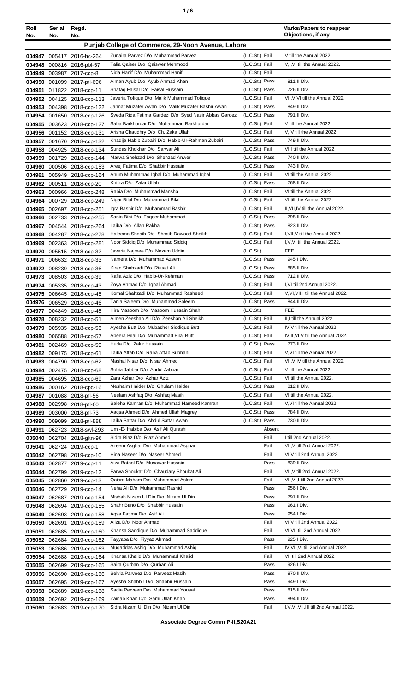| ٠ | i<br>۰.<br>۰.<br>× |
|---|--------------------|
|   |                    |

| Roll<br>No.      | Serial<br>No. | Regd.<br>No.                                          |                                                                                |                                  | <b>Marks/Papers to reappear</b><br>Objections, if any             |
|------------------|---------------|-------------------------------------------------------|--------------------------------------------------------------------------------|----------------------------------|-------------------------------------------------------------------|
|                  |               |                                                       | Punjab College of Commerce, 29-Noon Avenue, Lahore                             |                                  |                                                                   |
|                  |               |                                                       |                                                                                |                                  |                                                                   |
|                  |               | 004947 005417 2016-hc-264                             | Zunaira Parvez D/o Muhammad Parvez<br>Talia Qaiser D/o Qaiswer Mehmood         | (L.C.St.) Fail                   | V till the Annual 2022.<br>V,I, VI till the Annual 2022.          |
|                  |               | 004948 000816 2016-pbl-57<br>004949 003987 2017-ccp-8 | Nida Hanif D/o Muhammad Hanif                                                  | (L.C.St.) Fail<br>(L.C.St.) Fail |                                                                   |
| 004950           |               | 001099 2017-ptl-696                                   | Aiman Ayub D/o Ayub Ahmad Khan                                                 | (L.C.St.) Pass                   | 811 II Div.                                                       |
| 004951           |               | 011822 2018-ccp-11                                    | Shafaq Faisal D/o Faisal Hussain                                               | (L.C.St.) Pass                   | 726 II Div.                                                       |
|                  |               | 004952 004125 2018-ccp-113                            | Javeria Tofique D/o Malik Muhammad Tofique                                     | (L.C.St.) Fail                   | VII, V, VI till the Annual 2022.                                  |
|                  |               | 004953 004398 2018-ccp-122                            | Jannat Muzafer Awan D/o Malik Muzafer Bashir Awan                              | (L.C.St.) Pass                   | 849 II Div.                                                       |
|                  |               | 004954 001650 2018-ccp-126                            | Syeda Rida Fatima Gardezi D/o Syed Nasir Abbas Gardezi                         | (L.C.St.) Pass                   | 791 II Div.                                                       |
|                  |               | 004955 003623 2018-ccp-127                            | Saba Barkhurdar D/o Muhammad Barkhurdar                                        | (L.C.St.) Fail                   | V till the Annual 2022.                                           |
| 004956           |               | 001152 2018-ccp-131                                   | Arisha Chaudhry D/o Ch. Zaka Ullah                                             | (L.C.St.) Fail                   | V, IV till the Annual 2022.                                       |
| 004957           |               | 001670 2018-ccp-132                                   | Khadija Habib Zubairi D/o Habib-Ur-Rahman Zubairi                              | (L.C.St.) Pass                   | 749 II Div.                                                       |
| 004958           |               | 004925 2018-ccp-134                                   | Sundas Khokhar D/o Sarwar Ali                                                  | (L.C.St.) Fail                   | VI,I till the Annual 2022.                                        |
| 004959           |               | 001729 2018-ccp-144                                   | Marwa Shehzad D/o Shehzad Anwer                                                | (L.C.St.) Pass                   | 740 II Div.                                                       |
| 004960           |               | 000506 2018-ccp-153                                   | Areej Fatima D/o Shabbir Hussain                                               | (L.C.St.) Pass                   | 743 II Div.                                                       |
| 004961           |               | 005949 2018-ccp-164                                   | Anum Muhammad Iqbal D/o Muhammad Iqbal                                         | (L.C.St.) Fail                   | VI till the Annual 2022.                                          |
| 004962           |               | 000511 2018-ccp-20                                    | Khifza D/o Zafar Ullah                                                         | (L.C.St.) Pass                   | 768 II Div.                                                       |
| 004963           |               | 000966 2018-ccp-248                                   | Rabia D/o Muhammad Mansha                                                      | (L.C.St.) Fail                   | VI till the Annual 2022.                                          |
| 004964           |               | 000729 2018-ccp-249                                   | Nigar Bilal D/o Muhammad Bilal                                                 | (L.C.St.) Fail                   | VI till the Annual 2022.                                          |
|                  |               | 004965 002697 2018-ccp-251                            | Igra Bashir D/o Muhammad Bashir                                                | (L.C.St.) Fail                   | II, VII, IV till the Annual 2022.                                 |
| 004966           |               | 002733 2018-ccp-255                                   | Sania Bibi D/o Faqeer Muhammad                                                 | (L.C.St.) Pass                   | 798 II Div.                                                       |
| 004967           |               | 004544 2018-ccp-264                                   | Laiba D/o Allah Rakha                                                          | (L.C.St.) Pass                   | 823 II Div.                                                       |
| 004968           |               | 004287 2018-ccp-278                                   | Haleema Shoaib D/o Shoaib Dawood Sheikh<br>Noor Siddig D/o Muhammad Siddig     | (L.C.St.) Fail<br>(L.C.St.) Fail | I, VII, V till the Annual 2022.<br>I, V, VI till the Annual 2022. |
|                  |               | 004969 002363 2018-ccp-281                            | Javeria Najmee D/o Nezam Uddin                                                 | (L.C.St.)                        | <b>FEE</b>                                                        |
|                  |               | 004970 005515 2018-ccp-32                             | Namera D/o Muhammad Azeem                                                      | (L.C.St.) Pass                   | 945   Div.                                                        |
| 004971           |               | 006632 2018-ccp-33<br>004972 008239 2018-ccp-36       | Kiran Shahzadi D/o Riasat Ali                                                  | (L.C.St.) Pass                   | 885 II Div.                                                       |
|                  |               | 004973 008503 2018-ccp-39                             | Rafia Aziz D/o Habib-Ur-Rehman                                                 | (L.C.St.) Pass                   | 712 II Div.                                                       |
|                  |               | 004974 005335 2018-ccp-43                             | Zoya Ahmad D/o Iqbal Ahmad                                                     | (L.C.St.) Fail                   | I.VI till 2nd Annual 2022.                                        |
|                  |               | 004975 006645 2018-ccp-45                             | Komal Shahzadi D/o Muhammad Rasheed                                            | (L.C.St.) Fail                   | V, VI, VII, I till the Annual 2022.                               |
|                  |               | 004976 006529 2018-ccp-46                             | Tania Saleem D/o Muhammad Saleem                                               | (L.C.St.) Pass                   | 844 II Div.                                                       |
|                  |               | 004977 004849 2018-ccp-48                             | Hira Masoom D/o Masoom Hussain Shah                                            | (L.C.St.)                        | FEE                                                               |
|                  |               | 004978 008232 2018-ccp-51                             | Aimen Zeeshan Ali D/o Zeeshan Ali Sheikh                                       | (L.C.St.) Fail                   | II,I till the Annual 2022.                                        |
|                  |               | 004979 005935 2018-ccp-56                             | Ayesha Butt D/o Mubasher Siddique Butt                                         | (L.C.St.) Fail                   | IV, V till the Annual 2022.                                       |
|                  |               | 004980 006588 2018-ccp-57                             | Abeera Bilal D/o Muhammad Bilal Butt                                           | (L.C.St.) Fail                   | IV, II, VI, V till the Annual 2022.                               |
| 004981           |               | 002469 2018-ccp-59                                    | Huda D/o Zakir Hussain                                                         | (L.C.St.) Pass                   | 773 II Div.                                                       |
| 004982           |               | 009175 2018-ccp-61                                    | Laiba Aftab D/o Rana Aftab Subhani                                             | (L.C.St.) Fail                   | V, VI till the Annual 2022.                                       |
| 004983           |               | 004790 2018-ccp-62                                    | Mashal Nisar D/o Nisar Ahmed                                                   | (L.C.St.) Fail                   | VII, V, IV till the Annual 2022.                                  |
|                  |               | 004984 002475 2018-ccp-68                             | Sobia Jabbar D/o Abdul Jabbar                                                  | (L.C.St.) Fail                   | V till the Annual 2022.                                           |
|                  |               | 004985 004695 2018-ccp-69                             | Zara Azhar D/o Azhar Aziz                                                      | (L.C.St.) Fail                   | VI till the Annual 2022.                                          |
|                  |               | 004986 000162 2018-cpc-16                             | Meshaim Haider D/o Ghulam Haider                                               | (L.C.St.) Pass                   | 812 II Div.                                                       |
|                  |               | 004987 001088 2018-pfl-56                             | Neelam Ashfaq D/o Ashfaq Masih                                                 | (L.C.St.) Fail                   | VI till the Annual 2022.                                          |
|                  |               | 004988 002998 2018-pfl-60                             | Saleha Kamran D/o Muhammad Hameed Kamran<br>Aagsa Ahmed D/o Ahmed Ullah Magrey | (L.C.St.) Fail<br>(L.C.St.) Pass | V, VI till the Annual 2022.<br>784 II Div.                        |
|                  |               | 004989 003000 2018-pfl-73                             | Laiba Sattar D/o Abdul Sattar Awan                                             | (L.C.St.) Pass                   | 730 II Div.                                                       |
| 004990<br>004991 |               | 009099 2018-ptl-888<br>062723 2018-swl-293            | Um - E- Habiba D/o Asif Ali Qurashi                                            | Absent                           |                                                                   |
| 005040           |               | 062704 2018-gkn-96                                    | Sidra Riaz D/o Riaz Ahmed                                                      | Fail                             | I till 2nd Annual 2022.                                           |
| 005041           |               | 062724 2019-ccp-1                                     | Azeem Asghar D/o Muhammad Asghar                                               | Fail                             | VII, V till 2nd Annual 2022.                                      |
|                  |               | 005042 062798 2019-ccp-10                             | Hina Naseer D/o Naseer Ahmed                                                   | Fail                             | VI, V till 2nd Annual 2022.                                       |
|                  |               | 005043 062877 2019-ccp-11                             | Aiza Batool D/o Musawar Hussain                                                | Pass                             | 839 II Div.                                                       |
|                  |               | 005044 062799 2019-ccp-12                             | Farwa Shoukat D/o Chaudary Shoukat Ali                                         | Fail                             | VII, V till 2nd Annual 2022.                                      |
|                  |               | 005045 062860 2019-ccp-13                             | Qaisra Maham D/o Muhammad Aslam                                                | Fail                             | VII, VI, I till 2nd Annual 2022.                                  |
|                  |               | 005046 062729 2019-ccp-14                             | Neha Ali D/o Muhammad Rashid                                                   | Pass                             | 956 I Div.                                                        |
|                  |               | 005047 062687 2019-ccp-154                            | Misbah Nizam Ul Din D/o Nizam Ul Din                                           | Pass                             | 791 II Div.                                                       |
|                  |               | 005048 062694 2019-ccp-155                            | Shahr Bano D/o Shabbir Hussain                                                 | Pass                             | 961   Div.                                                        |
|                  |               | 005049 062693 2019-ccp-158                            | Aqsa Fatima D/o Asif Ali                                                       | Pass                             | 954 I Div.                                                        |
|                  | 005050 062691 | 2019-ccp-159                                          | Aliza D/o Noor Ahmad                                                           | Fail                             | VI, V till 2nd Annual 2022.                                       |
| 005051           |               | 062685 2019-ccp-160                                   | Khansa Saddique D/o Muhammad Saddique                                          | Fail                             | VI, VII till 2nd Annual 2022.                                     |
|                  |               | 005052 062684 2019-ccp-162                            | Tayyaba D/o Fiyyaz Ahmad                                                       | Pass                             | 925 I Div.                                                        |
|                  |               | 005053 062686 2019-ccp-163                            | Muqaddas Ashiq D/o Muhammad Ashiq                                              | Fail                             | IV, VII, VI till 2nd Annual 2022.                                 |
| 005054           |               | 062688 2019-ccp-164                                   | Khansa Khalid D/o Muhammad Khalid                                              | Fail                             | VII till 2nd Annual 2022.                                         |
| 005055           |               | 062699 2019-ccp-165                                   | Saira Qurban D/o Qurban Ali                                                    | Pass                             | 926   Div.                                                        |
|                  |               | 005056 062690 2019-ccp-166                            | Selvia Parveez D/o Parveez Masih                                               | Pass                             | 870 II Div.                                                       |
|                  |               | 005057 062695 2019-ccp-167                            | Ayesha Shabbir D/o Shabbir Hussain                                             | Pass                             | 949 I Div.                                                        |
|                  |               | 005058 062689 2019-ccp-168                            | Sadia Perveen D/o Muhammad Yousaf                                              | Pass                             | 815 II Div.                                                       |
|                  |               | 005059 062692 2019-ccp-169                            | Zainab Khan D/o Sami Ullah Khan<br>Sidra Nizam Ul Din D/o Nizam Ul Din         | Pass<br>Fail                     | 894 II Div.<br>I, V, VI, VII, III till 2nd Annual 2022.           |
|                  |               | 005060 062683 2019-ccp-170                            |                                                                                |                                  |                                                                   |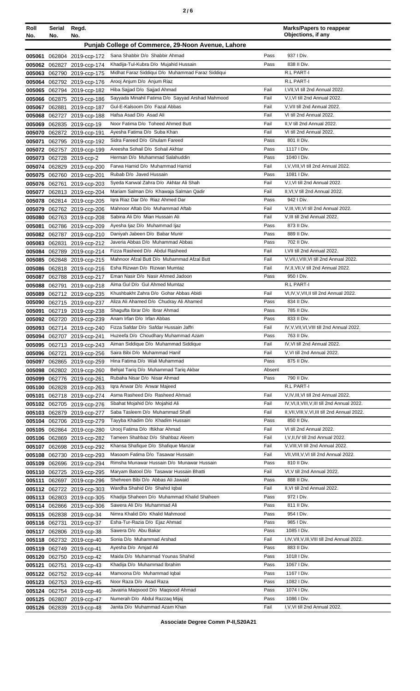| Roll<br>No. | Serial<br>No. | Regd.<br>No.                                             |                                                                                   |              | <b>Marks/Papers to reappear</b><br>Objections, if any                     |
|-------------|---------------|----------------------------------------------------------|-----------------------------------------------------------------------------------|--------------|---------------------------------------------------------------------------|
|             |               |                                                          | Punjab College of Commerce, 29-Noon Avenue, Lahore                                |              |                                                                           |
|             |               | 005061 062804 2019-ccp-172                               | Sana Shabbir D/o Shabbir Ahmad                                                    | Pass         | 937   Div.                                                                |
|             |               | 005062 062827 2019-ccp-174                               | Khadija-Tul-Kubra D/o Mujahid Hussain                                             | Pass         | 838 II Div.                                                               |
|             |               | 005063 062790 2019-ccp-175                               | Midhat Faraz Siddiqui D/o Muhammad Faraz Siddiqui                                 |              | R.L PART-I                                                                |
|             |               | 005064 062792 2019-ccp-176                               | Arooj Anjum D/o Anjum Riaz                                                        |              | R.L PART-I                                                                |
|             |               | 005065 062794 2019-ccp-182                               | Hiba Sajjad D/o Sajjad Ahmad                                                      | Fail         | I.VII.VI till 2nd Annual 2022.                                            |
|             |               | 005066 062875 2019-ccp-186                               | Sayyada Minahil Fatima D/o Sayyad Arshad Mahmood<br>Gul-E-Kalsoom D/o Fazal Abbas | Fail<br>Fail | V,I,VI till 2nd Annual 2022.<br>V, VII till 2nd Annual 2022.              |
|             |               | 005067 062881 2019-ccp-187                               | Hafsa Asad D/o Asad Ali                                                           | Fail         | VI till 2nd Annual 2022.                                                  |
| 005069      |               | 005068 062727 2019-ccp-188<br>062835 2019-ccp-19         | Noor Fatima D/o Toheed Ahmed Butt                                                 | Fail         | II, V till 2nd Annual 2022.                                               |
| 005070      |               | 062872 2019-ccp-191                                      | Ayesha Fatima D/o Suba Khan                                                       | Fail         | VI till 2nd Annual 2022.                                                  |
| 005071      |               | 062795 2019-ccp-192                                      | Sidra Fareed D/o Ghulam Fareed                                                    | Pass         | 801 II Div.                                                               |
|             |               | 005072 062757 2019-ccp-199                               | Areesha Sohail D/o Sohail Akhtar                                                  | Pass         | 1117   Div.                                                               |
|             |               | 005073 062728 2019-ccp-2                                 | Herman D/o Muhammad Salahuddin                                                    | Pass         | 1040 I Div.                                                               |
|             |               | 005074 062829 2019-ccp-200                               | Farwa Hamid D/o Muhammad Hamid                                                    | Fail         | I, V, VIII, VI till 2nd Annual 2022.                                      |
|             |               | 005075 062760 2019-ccp-201                               | Rubab D/o Javed Hussain                                                           | Pass         | 1081   Div.                                                               |
|             | 005076 062761 | 2019-ccp-203                                             | Syeda Kanwal Zahra D/o Akhtar Ali Shah                                            | Fail         | V,I, VI till 2nd Annual 2022.                                             |
| 005077      |               | 062813 2019-ccp-204                                      | Mariam Salman D/o Khawaja Salman Qadir                                            | Fail         | II, VI, V till 2nd Annual 2022.                                           |
| 005078      |               | 062814 2019-ccp-205                                      | Igra Riaz Dar D/o Riaz Ahmed Dar                                                  | Pass         | 942   Div.                                                                |
| 005079      |               | 062762 2019-ccp-206                                      | Mahnoor Aftab D/o Muhammad Aftab                                                  | Fail         | V, III, VII, VI till 2nd Annual 2022.                                     |
| 005080      |               | 062763 2019-ccp-208                                      | Sabina Ali D/o Mian Hussain Ali                                                   | Fail         | V, III till 2nd Annual 2022.                                              |
|             |               | 005081 062786 2019-ccp-209                               | Ayesha Ijaz D/o Muhammad Ijaz                                                     | Pass         | 873 II Div.                                                               |
|             |               | 005082 062787 2019-ccp-210                               | Daniyah Jabeen D/o Babar Munir                                                    | Pass         | 889 II Div.                                                               |
|             |               | 005083 062831 2019-ccp-212                               | Javeria Abbas D/o Muhammad Abbas                                                  | Pass         | 702 II Div.                                                               |
|             |               | 005084 062789 2019-ccp-214                               | Fizza Rasheed D/o Abdul Rasheed<br>Mahnoor Afzal Butt D/o Muhammad Afzal Butt     | Fail<br>Fail | I, VII till 2nd Annual 2022.<br>V, VII, I, VIII, VI till 2nd Annual 2022. |
| 005086      |               | 005085 062848 2019-ccp-215                               | Esha Rizwan D/o Rizwan Mumtaz                                                     | Fail         | IV, II, VII, V till 2nd Annual 2022.                                      |
| 005087      |               | 062818 2019-ccp-216<br>062788 2019-ccp-217               | Eman Nasir D/o Nasir Ahmed Jadoon                                                 | Pass         | 950 I Div.                                                                |
|             |               | 005088 062791 2019-ccp-218                               | Aima Gul D/o Gul Ahmed Mumtaz                                                     |              | R.L PART-I                                                                |
| 005089      |               | 062712 2019-ccp-235                                      | Khushbakht Zahra D/o Gohar Abbas Abidi                                            | Fail         | VI, IV, V, VII, II till 2nd Annual 2022.                                  |
| 005090      |               | 062715 2019-ccp-237                                      | Aliza Ali Ahamed D/o Chudray Ali Ahamed                                           | Pass         | 834 II Div.                                                               |
| 005091      |               | 062719 2019-ccp-238                                      | Shagufta Ibrar D/o Ibrar Ahmad                                                    | Pass         | 785 II Div.                                                               |
|             |               | 005092 062720 2019-ccp-239                               | Anam Irfan D/o Irfan Abbas                                                        | Pass         | 833 II Div.                                                               |
|             |               | 005093 062714 2019-ccp-240                               | Fizza Safdar D/o Safdar Hussain Jaffri                                            | Fail         | IV, V, VII, VI, VIII till 2nd Annual 2022.                                |
|             |               | 005094 062707 2019-ccp-241                               | Huzeefa D/o Choudhary Muhammad Azam                                               | Pass         | 763 II Div.                                                               |
|             |               | 005095 062713 2019-ccp-243                               | Aiman Siddique D/o Muhammad Siddique                                              | Fail         | IV, VI till 2nd Annual 2022.                                              |
|             | 005096 062721 | 2019-ccp-256                                             | Saira Bibi D/o Muhammad Hanif                                                     | Fail         | V, VI till 2nd Annual 2022.                                               |
|             |               | 005097 062865 2019-ccp-259                               | Hina Fatima D/o Wali Muhammad                                                     | Pass         | 875 II Div.                                                               |
|             |               | 005098 062802 2019-ccp-260                               | Behjat Tariq D/o Muhammad Tariq Akbar                                             | Absent       |                                                                           |
|             |               | 005099 062776 2019-ccp-261                               | Rubaha Nisar D/o Nisar Ahmad                                                      | Pass         | 790 II Div.                                                               |
|             |               | 005100 062828 2019-ccp-263                               | Igra Anwar D/o Anwar Majeed<br>Asma Rasheed D/o Rasheed Ahmad                     | Fail         | R.L PART-I<br>V, IV, III, VI till 2nd Annual 2022.                        |
|             |               | 005101 062718 2019-ccp-274<br>005102 062705 2019-ccp-276 | Sbahat Mojahid D/o Mojahid Ali                                                    | Fail         | IV, VI, II, VIII, V, III till 2nd Annual 2022.                            |
|             |               | 005103 062879 2019-ccp-277                               | Saba Tasleem D/o Muhammad Shafi                                                   | Fail         | II, VII, VIII, V, VI, III till 2nd Annual 2022.                           |
|             |               | 005104 062706 2019-ccp-279                               | Tayyba Khadim D/o Khadim Hussain                                                  | Pass         | 850 II Div.                                                               |
|             |               | 005105 062864 2019-ccp-280                               | Urooj Fatima D/o Iftikhar Ahmad                                                   | Fail         | VI till 2nd Annual 2022.                                                  |
|             |               | 005106 062869 2019-ccp-282                               | Tameen Shahbaz D/o Shahbaz Aleem                                                  | Fail         | I, V, II, IV till 2nd Annual 2022.                                        |
|             |               | 005107 062698 2019-ccp-292                               | Khansa Shafique D/o Shafique Manzar                                               | Fail         | V, VIII, VI till 2nd Annual 2022.                                         |
|             |               | 005108 062730 2019-ccp-293                               | Masoom Fatima D/o Tasawar Hussain                                                 | Fail         | VII, VIII, V, VI till 2nd Annual 2022.                                    |
|             |               | 005109 062696 2019-ccp-294                               | Rimsha Munawar Hussain D/o Munawar Hussain                                        | Pass         | 810 II Div.                                                               |
|             |               | 005110 062725 2019-ccp-295                               | Maryam Batool D/o Tasawar Hussain Bhatti                                          | Fail         | VI, V till 2nd Annual 2022.                                               |
|             |               | 005111 062697 2019-ccp-296                               | Shehreen Bibi D/o Abbas Ali Jawaid                                                | Pass         | 888 II Div.                                                               |
|             |               | 005112 062722 2019-ccp-303                               | Wardha Shahid D/o Shahid Iqbal                                                    | Fail         | II, VI till 2nd Annual 2022.                                              |
|             |               | 005113 062803 2019-ccp-305                               | Khadija Shaheen D/o Muhammad Khalid Shaheen                                       | Pass         | 972   Div.                                                                |
|             |               | 005114 062866 2019-ccp-306                               | Sawera Ali D/o Muhammad Ali                                                       | Pass         | 811 II Div.                                                               |
|             |               | 005115 062838 2019-ccp-34                                | Nimra Khalid D/o Khalid Mahmood                                                   | Pass         | 954 I Div.                                                                |
|             |               | 005116 062731 2019-ccp-37                                | Esha-Tur-Razia D/o Ejaz Ahmad                                                     | Pass         | 985 I Div.                                                                |
|             |               | 005117 062806 2019-ccp-38                                | Sawera D/o Abu Bakar                                                              | Pass<br>Fail | 1085   Div.                                                               |
|             |               | 005118 062732 2019-ccp-40                                | Sonia D/o Muhammad Arshad<br>Ayesha D/o Amjad Ali                                 | Pass         | I, IV, VII, V, III, VIII till 2nd Annual 2022.<br>883 II Div.             |
|             |               | 005119 062749 2019-ccp-41                                | Maida D/o Muhammad Younas Shahid                                                  | Pass         | 1018   Div.                                                               |
|             |               | 005120 062750 2019-ccp-42                                | Khadija D/o Muhammad Ibrahim                                                      | Pass         | 1067 I Div.                                                               |
|             |               | 005121 062751 2019-ccp-43<br>005122 062752 2019-ccp-44   | Mamoona D/o Muhammad Iqbal                                                        | Pass         | 1167 I Div.                                                               |
|             |               | 005123 062753 2019-ccp-45                                | Noor Raza D/o Asad Raza                                                           | Pass         | 1082   Div.                                                               |
|             |               | 005124 062754 2019-ccp-46                                | Javairia Magsood D/o Magsood Ahmad                                                | Pass         | 1074   Div.                                                               |
|             |               | 005125 062807 2019-ccp-47                                | Numerah D/o Abdul Razzaq Mijaj                                                    | Pass         | 1086   Div.                                                               |
|             |               | 005126 062839 2019-ccp-48                                | Janita D/o Muhammad Azam Khan                                                     | Fail         | I, V, VI till 2nd Annual 2022.                                            |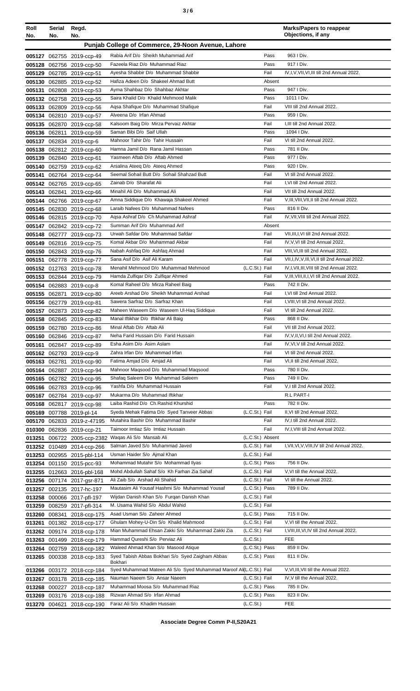| <b>Roll</b><br>No. | Serial<br>No. | Regd.<br>No.                                             |                                                                              |                                    |        | <b>Marks/Papers to reappear</b><br>Objections, if any |
|--------------------|---------------|----------------------------------------------------------|------------------------------------------------------------------------------|------------------------------------|--------|-------------------------------------------------------|
|                    |               |                                                          | Punjab College of Commerce, 29-Noon Avenue, Lahore                           |                                    |        |                                                       |
|                    |               |                                                          | Rabia Arif D/o Sheikh Muhammad Arif                                          | Pass                               |        | 963 I Div.                                            |
|                    |               | 005127 062755 2019-ccp-49<br>005128 062756 2019-ccp-50   | Fazeela Riaz D/o Muhammad Riaz                                               | Pass                               |        | 917   Div.                                            |
|                    |               | 005129 062785 2019-ccp-51                                | Avesha Shabbir D/o Muhammad Shabbir                                          | Fail                               |        | IV,I,V,VII,VI,III till 2nd Annual 2022.               |
|                    |               | 005130 062885 2019-ccp-52                                | Hafiza Adeen D/o Shakeel Ahmad Butt                                          |                                    | Absent |                                                       |
|                    |               | 005131 062808 2019-ccp-53                                | Ayma Shahbaz D/o Shahbaz Akhtar                                              | Pass                               |        | 947   Div.                                            |
|                    |               | 005132 062758 2019-ccp-55                                | Saira Khalid D/o Khalid Mehmood Malik                                        | Pass                               |        | 1011   Div.                                           |
|                    |               | 005133 062809 2019-ccp-56                                | Agsa Shafique D/o Muhammad Shafique                                          | Fail                               |        | VIII till 2nd Annual 2022.                            |
|                    |               | 005134 062810 2019-ccp-57                                | Alveena D/o Irfan Ahmad                                                      | Pass                               |        | 959 I Div.                                            |
|                    |               | 005135 062870 2019-ccp-58                                | Kalsoom Baig D/o Mirza Pervaiz Akhtar                                        | Fail                               |        | I, III till 2nd Annual 2022.                          |
|                    |               | 005136 062811 2019-ccp-59                                | Saman Bibi D/o Saif Ullah                                                    | Pass                               |        | 1094 I Div.                                           |
|                    |               | 005137 062834 2019-ccp-6                                 | Mahnoor Tahir D/o Tahir Hussain                                              | Fail                               |        | VI till 2nd Annual 2022.                              |
|                    |               | 005138 062812 2019-ccp-60                                | Hamna Jamil D/o Rana Jamil Hassan                                            | Pass                               |        | 781 II Div.                                           |
|                    |               | 005139 062840 2019-ccp-61                                | Yasmeen Aftab D/o Aftab Ahmed                                                | Pass                               |        | 977   Div.<br>920   Div.                              |
|                    |               | 005140 062759 2019-ccp-62                                | Arsalina Ateeq D/o Ateeq Ahmed<br>Seemal Sohail Butt D/o Sohail Shahzad Butt | Pass<br>Fail                       |        | VI till 2nd Annual 2022.                              |
|                    |               | 005141 062764 2019-ccp-64                                | Zainab D/o Sharafat Ali                                                      | Fail                               |        | I, VI till 2nd Annual 2022.                           |
|                    |               | 005142 062765 2019-ccp-65<br>005143 062841 2019-ccp-66   | Minahil Ali D/o Muhammad Ali                                                 | Fail                               |        | VII till 2nd Annual 2022.                             |
|                    |               | 005144 062766 2019-ccp-67                                | Amna Siddique D/o Khawaja Shakeel Ahmed                                      | Fail                               |        | V, III, VIII, VII, II till 2nd Annual 2022.           |
|                    |               | 005145 062830 2019-ccp-68                                | Laraib Nafees D/o Muhammad Nafees                                            | Pass                               |        | 816 II Div.                                           |
|                    |               | 005146 062815 2019-ccp-70                                | Agsa Ashraf D/o Ch Muhammad Ashraf                                           | Fail                               |        | IV, VII, VIII till 2nd Annual 2022.                   |
|                    |               | 005147 062842 2019-ccp-72                                | Summan Arif D/o Muhammad Arif                                                |                                    | Absent |                                                       |
|                    |               | 005148 062777 2019-ccp-73                                | Urwah Safdar D/o Muhammad Safdar                                             | Fail                               |        | VII, III, I, VI till 2nd Annual 2022.                 |
|                    |               | 005149 062816 2019-ccp-75                                | Komal Akbar D/o Muhammad Akbar                                               | Fail                               |        | IV, V, VI till 2nd Annual 2022.                       |
|                    |               | 005150 062843 2019-ccp-76                                | Nabah Ashfaq D/o Ashfaq Ahmad                                                | Fail                               |        | VIII, VI, III till 2nd Annual 2022.                   |
|                    |               | 005151 062778 2019-ccp-77                                | Sana Asif D/o Asif Ali Karam                                                 | Fail                               |        | VII, I, IV, V, III, VI, II till 2nd Annual 2022.      |
|                    |               | 005152 012763 2019-ccp-78                                | Menahil Mehmood D/o Muhammad Mehmood                                         | (L.C.St.) Fail                     |        | IV, I, VII, III, VIII till 2nd Annual 2022.           |
|                    |               | 005153 062844 2019-ccp-79                                | Hamda Zulfigar D/o Zulfigar Ahmed                                            | Fail                               |        | V, III, VIII, II, I, VI till 2nd Annual 2022.         |
|                    |               | 005154 062883 2019-ccp-8                                 | Komal Raheel D/o Mirza Raheel Baig                                           | Pass                               |        | 742 II Div.                                           |
|                    |               | 005155 062871 2019-ccp-80                                | Areeb Arshad D/o Sheikh Muhammad Arshad                                      | Fail                               |        | I.VI till 2nd Annual 2022.                            |
|                    |               | 005156 062779 2019-ccp-81                                | Sawera Sarfraz D/o Sarfraz Khan                                              | Fail                               |        | I, VIII, VI till 2nd Annual 2022.                     |
|                    |               | 005157 062873 2019-ccp-82                                | Maheen Waseem D/o Waseem UI-Haq Siddique                                     | Fail<br>Pass                       |        | VI till 2nd Annual 2022.<br>868 II Div.               |
|                    |               | 005158 062845 2019-ccp-83                                | Manal Iftikhar D/o Iftikhar Ali Baig<br>Minal Aftab D/o Aftab Ali            | Fail                               |        | VII till 2nd Annual 2022.                             |
|                    |               | 005159 062780 2019-ccp-86<br>005160 062846 2019-ccp-87   | Neha Farid Hussain D/o Farid Hussain                                         | Fail                               |        | IV, V, II, VI, I till 2nd Annual 2022.                |
|                    |               | 005161 062847 2019-ccp-89                                | Esha Asim D/o Asim Aslam                                                     | Fail                               |        | IV, VI, V till 2nd Annual 2022.                       |
|                    |               | 005162 062793 2019-ccp-9                                 | Zahra Irfan D/o Muhammad Irfan                                               | Fail                               |        | VI till 2nd Annual 2022.                              |
|                    |               | 005163 062781 2019-ccp-90                                | Fatima Amjad D/o Amjad Ali                                                   | Fail                               |        | VI, II till 2nd Annual 2022.                          |
|                    |               | 005164 062887 2019-ccp-94                                | Mahnoor Magsood D/o Muhammad Magsood                                         | Pass                               |        | 780 II Div.                                           |
|                    |               | 005165 062782 2019-ccp-95                                | Shafaq Saleem D/o Muhammad Saleem                                            | Pass                               |        | 749 II Div.                                           |
|                    |               | 005166 062783 2019-ccp-96                                | Yashfa D/o Muhammad Hussain                                                  | Fail                               |        | V,I till 2nd Annual 2022.                             |
|                    |               | 005167 062784 2019-ccp-97                                | Mukarma D/o Muhammad Iftikhar                                                |                                    |        | R.L PART-I                                            |
|                    |               | 005168 062817 2019-ccp-98                                | Laiba Rashid D/o Ch.Rashid Khurshid                                          | Pass                               |        | 782 II Div.                                           |
|                    |               | 005169 007788 2019-pl-14                                 | Syeda Mehak Fatima D/o Syed Tanveer Abbas                                    | (L.C.St.) Fail                     |        | II, VI till 2nd Annual 2022.                          |
|                    |               | 005170 062833 2019-z-47195                               | Mutahira Bashir D/o Muhammad Bashir                                          | Fail                               |        | IV, I till 2nd Annual 2022.                           |
|                    |               | 010300 062836 2019-ccp-21                                | Taimoor Imtiaz S/o Imtiaz Hussain                                            | Fail                               |        | IV, I, VIII till 2nd Annual 2022.                     |
| 013251             |               | 006722 2005-ccp-2382                                     | Waqas Ali S/o Mansab Ali<br>Salman Javed S/o Muhammad Javed                  | (L.C.St.) Absent<br>(L.C.St.) Fail |        | I, VII, VI, V, VIII, IV till 2nd Annual 2022.         |
|                    |               | 013252 010489 2014-ccp-266<br>013253 002955 2015-pbl-114 | Usman Haider S/o Ajmal Khan                                                  | (L.C.St.) Fail                     |        |                                                       |
|                    |               | 013254 001150 2015-pcc-93                                | Mohammad Mutahir S/o Mohammad Ilyas                                          | (L.C.St.) Pass                     |        | 756 II Div.                                           |
|                    |               | 013255 012663 2016-pbl-168                               | Mohd Abdullah Sahaf S/o Kh Farhan Zia Sahaf                                  | (L.C.St.) Fail                     |        | V, VI till the Annual 2022.                           |
|                    |               | 013256 007174 2017-gsr-871                               | Ali Zaib S/o Arshad Ali Shahid                                               | (L.C.St.) Fail                     |        | VI till the Annual 2022.                              |
|                    |               | 013257 002135 2017-hc-197                                | Mautasim Ali Yousaf Hashmi S/o Muhammad Yousaf                               | (L.C.St.) Pass                     |        | 789 II Div.                                           |
|                    |               | 013258 000066 2017-pfl-197                               | Wijdan Danish Khan S/o Furgan Danish Khan                                    | (L.C.St.) Fail                     |        |                                                       |
|                    |               | 013259 008259 2017-pfl-314                               | M. Usama Wahid S/o Abdul Wahid                                               | (L.C.St.) Fail                     |        |                                                       |
|                    | 013260 008341 | 2018-ccp-175                                             | Asad Usman S/o Zaheer Ahmed                                                  | (L.C.St.) Pass                     |        | 715 II Div.                                           |
| 013261             |               | 001382 2018-ccp-177                                      | Ghulam Mohey-U-Din S/o Khalid Mahmood                                        | (L.C.St.) Fail                     |        | V, VI till the Annual 2022.                           |
|                    |               | 013262 009174 2018-ccp-178                               | Mian Muhammad Ehsan Zakki S/o Muhammad Zakki Zia                             | (L.C.St.) Fail                     |        | I, VIII, III, VI, IV till 2nd Annual 2022.            |
|                    |               | 013263 001499 2018-ccp-179                               | Hammad Qureshi S/o Perviaz Ali                                               | (L.C.St.)                          |        | <b>FEE</b>                                            |
|                    |               | 013264 002759 2018-ccp-182                               | Waleed Ahmad Khan S/o Masood Atique                                          | (L.C.St.) Pass                     |        | 859 II Div.                                           |
|                    |               | 013265 000338 2018-ccp-183                               | Syed Tabish Abbas Bokhari S/o Syed Zaigham Abbas<br>Bokhari                  | (L.C.St.) Pass                     |        | 811 II Div.                                           |
|                    |               | 013266 003172 2018-ccp-184                               | Syed Muhammad Mateen Ali S/o Syed Muhammad Maroof Ali(L.C.St.) Fail          |                                    |        | V, VI, III, VII till the Annual 2022.                 |
|                    |               | 013267 003178 2018-ccp-185                               | Nauman Naeem S/o Ansar Naeem                                                 | (L.C.St.) Fail                     |        | IV, V till the Annual 2022.                           |
|                    |               | 013268 000227 2018-ccp-187                               | Muhammad Moosa S/o Muhammad Riaz                                             | (L.C.St.) Pass                     |        | 785 II Div.                                           |
|                    |               | 013269 003176 2018-ccp-188                               | Rizwan Ahmad S/o Irfan Ahmad                                                 | (L.C.St.) Pass                     |        | 823 II Div.                                           |
|                    |               | 013270 004621 2018-ccp-190                               | Faraz Ali S/o Khadim Hussain                                                 | (L.C.St.)                          |        | <b>FEE</b>                                            |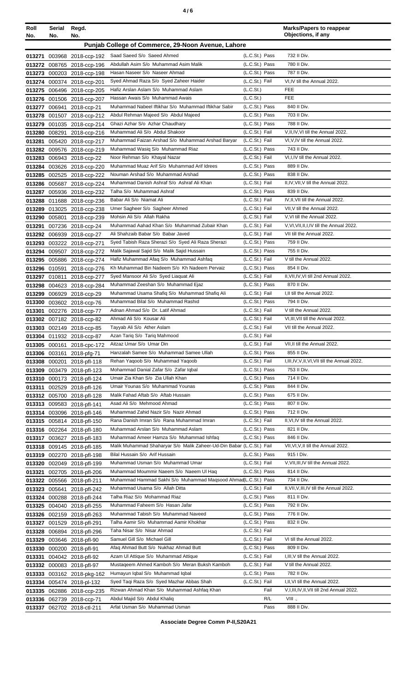| Roll<br>No.      | Serial Regd.<br>No. | No.                                                      |                                                                                     |                                  | <b>Marks/Papers to reappear</b><br>Objections, if any |
|------------------|---------------------|----------------------------------------------------------|-------------------------------------------------------------------------------------|----------------------------------|-------------------------------------------------------|
|                  |                     |                                                          | Punjab College of Commerce, 29-Noon Avenue, Lahore                                  |                                  |                                                       |
|                  |                     |                                                          | Saad Saeed S/o Saeed Ahmed                                                          |                                  | 732 II Div.                                           |
|                  |                     | 013271 003968 2018-ccp-192<br>013272 008765 2018-ccp-196 | Abdullah Asim S/o Muhammad Asim Malik                                               | (L.C.St.) Pass<br>(L.C.St.) Pass | 780 II Div.                                           |
|                  |                     | 013273 000203 2018-ccp-198                               | Hasan Naseer S/o Naseer Ahmad                                                       | (L.C.St.) Pass                   | 787 II Div.                                           |
|                  |                     | 013274 000374 2018-ccp-201                               | Syed Ahmad Raza S/o Syed Zaheer Haider                                              | (L.C.St.) Fail                   | VI,IV till the Annual 2022.                           |
|                  |                     | 013275 006496 2018-ccp-205                               | Hafiz Arslan Aslam S/o Muhammad Aslam                                               | (L.C.S <sub>t</sub> )            | FEE                                                   |
|                  |                     | 013276 001506 2018-ccp-207                               | Hassan Awais S/o Muhammad Awais                                                     | (L.C.St.)                        | <b>FEE</b>                                            |
| 013277           |                     | 006941 2018-ccp-21                                       | Muhammad Nabeel Iftikhar S/o Muhammad Iftikhar Sabir                                | (L.C.St.) Pass                   | 840 II Div.                                           |
|                  |                     | 013278 001507 2018-ccp-212                               | Abdul Rehman Majeed S/o Abdul Majeed                                                | (L.C.St.) Pass                   | 703 II Div.                                           |
|                  |                     | 013279 001035 2018-ccp-214                               | Ghazi Azhar S/o Azhar Chaudhary                                                     | (L.C.St.) Pass                   | 788 II Div.                                           |
| 013280           |                     | 008291 2018-ccp-216                                      | Muhammad Ali S/o Abdul Shakoor                                                      | (L.C.St.) Fail                   | V, II, IV, VI till the Annual 2022.                   |
| 013281           |                     | 005420 2018-ccp-217                                      | Muhammad Faizan Arshad S/o Muhammad Arshad Baryar                                   | (L.C.St.) Fail                   | VI, V, IV till the Annual 2022.                       |
|                  |                     | 013282 009576 2018-ccp-219                               | Muhammad Wasiq S/o Muhammad Riaz                                                    | (L.C.St.) Pass                   | 743 II Div.                                           |
| 013283           |                     | 006943 2018-ccp-22                                       | Noor Rehman S/o Khayal Nazar<br>Muhammad Muaz Arif S/o Muhammad Arif Idrees         | (L.C.St.) Fail<br>(L.C.St.) Pass | VI,I,IV till the Annual 2022.<br>889 II Div.          |
| 013284           |                     | 003626 2018-ccp-220                                      | Nouman Arshad S/o Muhammad Arshad                                                   | (L.C.St.) Pass                   | 838 II Div.                                           |
| 013285           |                     | 002525 2018-ccp-222                                      | Muhammad Danish Ashraf S/o Ashraf Ali Khan                                          | (L.C.St.) Fail                   | II, IV, VII, V till the Annual 2022.                  |
| 013287           |                     | 013286 005687 2018-ccp-224<br>005936 2018-ccp-232        | Talha S/o Muhammad Ashraf                                                           | (L.C.St.) Pass                   | 839 II Div.                                           |
| 013288           |                     | 011688 2018-ccp-236                                      | Babar Ali S/o Niamat Ali                                                            | (L.C.St.) Fail                   | IV, II, VII till the Annual 2022.                     |
|                  |                     | 013289 013025 2018-ccp-238                               | Umer Sagheer S/o Sagheer Ahmed                                                      | (L.C.St.) Fail                   | VII, V till the Annual 2022.                          |
|                  |                     | 013290 005801 2018-ccp-239                               | Mohsin Ali S/o Allah Rakha                                                          | (L.C.St.) Fail                   | V.VI till the Annual 2022.                            |
| 013291           |                     | 007236 2018-ccp-24                                       | Muhammad Aahad Khan S/o Muhammad Zubair Khan                                        | (L.C.St.) Fail                   | V, VI, VII, II, I, IV till the Annual 2022.           |
|                  |                     | 013292 006939 2018-ccp-27                                | Ali Shahzaib Babar S/o Babar Javed                                                  | (L.C.St.) Fail                   | VII till the Annual 2022.                             |
|                  |                     | 013293 003222 2018-ccp-271                               | Syed Tabish Raza Sherazi S/o Syed Ali Raza Sherazi                                  | (L.C.St.) Pass                   | 759 II Div.                                           |
|                  |                     | 013294 009507 2018-ccp-272                               | Malik Sajawal Sajid S/o Malik Sajid Hussain                                         | (L.C.St.) Pass                   | 755 II Div.                                           |
|                  |                     | 013295 005886 2018-ccp-274                               | Hafiz Muhammad Afaq S/o Muhammad Ashfaq                                             | (L.C.St.) Fail                   | V till the Annual 2022.                               |
|                  |                     | 013296 010591 2018-ccp-276                               | Kh Muhammad Bin Nadeem S/o Kh Nadeem Pervaiz                                        | (L.C.St.) Pass                   | 854 II Div.                                           |
|                  |                     | 013297 010811 2018-ccp-277                               | Syed Mansoor Ali S/o Syed Liaquat Ali                                               | (L.C.St.) Fail                   | II, VII, IV, VI till 2nd Annual 2022.                 |
|                  |                     | 013298 004623 2018-ccp-284                               | Muhammad Zeeshan S/o Muhammad Ejaz                                                  | (L.C.St.) Pass                   | 870 II Div.                                           |
| 013299           |                     | 006929 2018-ccp-29                                       | Muhammad Usama Shafiq S/o Muhammad Shafiq Ali<br>Muhammad Bilal S/o Muhammad Rashid | (L.C.St.) Fail<br>(L.C.St.) Pass | I.II till the Annual 2022.<br>794 II Div.             |
| 013300<br>013301 |                     | 003602 2018-ccp-76<br>002276 2018-ccp-77                 | Adnan Ahmad S/o Dr. Latif Ahmad                                                     | (L.C.St.) Fail                   | V till the Annual 2022.                               |
|                  |                     | 013302 007182 2018-ccp-82                                | Ahmad Ali S/o Kousar Ali                                                            | (L.C.St.) Fail                   | VI, III, VII till the Annual 2022.                    |
|                  |                     | 013303 002149 2018-ccp-85                                | Tayyab Ali S/o Ather Aslam                                                          | (L.C.St.) Fail                   | VII till the Annual 2022.                             |
|                  |                     | 013304 011932 2018-ccp-87                                | Azan Tariq S/o Tariq Mahmood                                                        | (L.C.St.) Fail                   |                                                       |
|                  |                     | 013305 000161 2018-cpc-172                               | Aitzaz Umar S/o Umar Din                                                            | (L.C.St.) Fail                   | VII, II till the Annual 2022.                         |
|                  |                     | 013306 003161 2018-pfg-71                                | Hanzalah Samee S/o Muhammad Samee Ullah                                             | (L.C.St.) Pass                   | 855 II Div.                                           |
|                  |                     | 013308 000201 2018-pfl-118                               | Rehan Yaqoob S/o Muhammad Yaqoob                                                    | (L.C.St.) Fail                   | I, III, IV, V, II, VI, VII till the Annual 2022.      |
| 013309           |                     | 003479 2018-pfl-123                                      | Mohammad Danial Zafar S/o Zafar Iqbal                                               | (L.C.St.) Pass                   | 753 II Div.                                           |
|                  |                     | 013310 000173 2018-pfl-124                               | Umair Zia Khan S/o Zia Ullah Khan                                                   | (L.C.St.) Pass                   | 714 II Div.                                           |
| 013311           |                     | 002529 2018-pfl-126                                      | Umair Younas S/o Muhammad Younas                                                    | (L.C.St.) Pass                   | 844 II Div.                                           |
|                  |                     | 013312 005700 2018-pfl-128                               | Malik Fahad Aftab S/o Aftab Hussain                                                 | (L.C.St.) Pass                   | 675 II Div.                                           |
|                  |                     | 013313 009583 2018-pfl-141                               | Asad Ali S/o Mehmood Ahmad<br>Muhammad Zahid Nazir S/o Nazir Ahmad                  | (L.C.St.) Pass<br>(L.C.St.) Pass | 807 II Div.<br>712 II Div.                            |
|                  |                     | 013314 003096 2018-pfl-146                               | Rana Danish Imran S/o Rana Muhammad Imran                                           | (L.C.St.) Fail                   | II, VI, IV till the Annual 2022.                      |
|                  |                     | 013315 005814 2018-pfl-150<br>013316 002264 2018-pfl-180 | Muhammad Arslan S/o Muhammad Aslam                                                  | (L.C.St.) Pass                   | 821 II Div.                                           |
|                  |                     | 013317 003627 2018-pfl-183                               | Muhammad Ameer Hamza S/o Muhammad Ishfaq                                            | (L.C.St.) Pass                   | 846 II Div.                                           |
|                  |                     | 013318 009145 2018-pfl-185                               | Malik Muhammad Shaharyar S/o Malik Zaheer-Ud-Din Babar (L.C.St.) Fail               |                                  | VII, VI, V, II till the Annual 2022.                  |
|                  |                     | 013319 002270 2018-pfl-198                               | Bilal Hussain S/o Arif Hussain                                                      | (L.C.St.) Pass                   | 915   Div.                                            |
|                  |                     | 013320 002049 2018-pfl-199                               | Muhammad Usman S/o Muhammad Umar                                                    | (L.C.St.) Fail                   | V, VII, III, IV till the Annual 2022.                 |
| 013321           |                     | 002705 2018-pfl-206                                      | Muhammad Moummir Naeem S/o Naeem Ul Haq                                             | (L.C.St.) Pass                   | 814 II Div.                                           |
|                  |                     | 013322 005566 2018-pfl-211                               | Muhammad Hammad Sakhi S/o Muhammad Maqsood Ahmad L.C.St.) Pass                      |                                  | 734 II Div.                                           |
|                  |                     | 013323 005641 2018-pfl-242                               | Muhammad Usama S/o Allah Ditta                                                      | (L.C.St.) Fail                   | II, VII, V, III, IV till the Annual 2022.             |
|                  |                     | 013324 000288 2018-pfl-244                               | Talha Riaz S/o Mohammad Riaz                                                        | (L.C.St.) Pass                   | 811 II Div.                                           |
|                  |                     | 013325 004040 2018-pfl-255                               | Muhammad Faheem S/o Hasan Jafar                                                     | (L.C.St.) Pass                   | 792 II Div.                                           |
|                  |                     | 013326 002159 2018-pfl-263                               | Muhammad Tabish S/o Muhammad Naveed                                                 | (L.C.St.) Pass                   | 776 II Div.                                           |
|                  |                     | 013327 001529 2018-pfl-291                               | Talha Aamir S/o Muhammad Aamir Khokhar                                              | (L.C.St.) Pass                   | 832 II Div.                                           |
| 013328<br>013329 |                     | 006894 2018-pfl-296<br>003646 2018-pfl-90                | Taha Nisar S/o Nisar Ahmad<br>Samuel Gill S/o Michael Gill                          | (L.C.St.) Fail<br>(L.C.St.) Fail | VI till the Annual 2022.                              |
| 013330           |                     | 000200 2018-pfl-91                                       | Afaq Ahmad Butt S/o Nukhaz Ahmad Butt                                               | (L.C.St.) Pass                   | 809 II Div.                                           |
| 013331           |                     | 004042 2018-pfl-92                                       | Azam UI Attique S/o Muhammad Attique                                                | (L.C.St.) Fail                   | I, III, V till the Annual 2022.                       |
| 013332           |                     | 000083 2018-pfl-97                                       | Mustageem Ahmed Kamboh S/o Meran Buksh Kamboh                                       | (L.C.St.) Fail                   | V till the Annual 2022.                               |
| 013333           |                     | 003162 2018-pkg-162                                      | Humayun Iqbal S/o Muhammad Iqbal                                                    | (L.C.St.) Pass                   | 782 II Div.                                           |
| 013334           |                     | 005474 2018-pl-132                                       | Syed Taqi Raza S/o Syed Mazhar Abbas Shah                                           | (L.C.St.) Fail                   | I, II, VI till the Annual 2022.                       |
|                  |                     | 013335 062886 2018-ccp-235                               | Rizwan Ahmad Khan S/o Muhammad Ashfaq Khan                                          | Fail                             | V,I,III,IV,II,VII till 2nd Annual 2022.               |
|                  |                     | 013336 062739 2018-ccp-71                                | Abdul Majid S/o Abdul Khaliq                                                        | R/L                              | VIII.,                                                |
|                  |                     | 013337 062702 2018-ctl-211                               | Arfat Usman S/o Muhammad Usman                                                      | Pass                             | 888 II Div.                                           |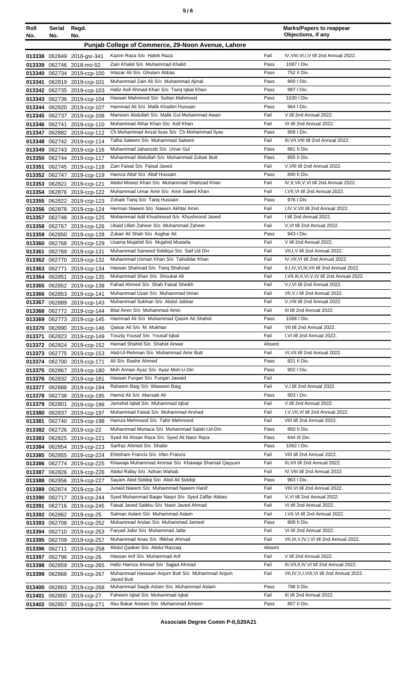| Roll   | Serial        | Regd.                                             |                                                                            |              | <b>Marks/Papers to reappear</b><br>Objections, if any          |
|--------|---------------|---------------------------------------------------|----------------------------------------------------------------------------|--------------|----------------------------------------------------------------|
| No.    | No.           | No.                                               |                                                                            |              |                                                                |
|        |               |                                                   | Punjab College of Commerce, 29-Noon Avenue, Lahore                         |              |                                                                |
|        |               | 013338 062849 2018-gsr-341                        | Kazim Raza S/o Habib Raza                                                  | Fail         | IV, VIII, VI, I, V till 2nd Annual 2022.                       |
|        |               | 013339 062746 2018-mo-52                          | Zain Khalid S/o Muhammad Khalid                                            | Pass         | 1087   Div.                                                    |
|        |               | 013340 062734 2019-ccp-100                        | Intazar Ali S/o Ghulam Abbas                                               | Pass         | 752 II Div.                                                    |
| 013341 |               | 062819 2019-ccp-101                               | Muhammad Zain Ali S/o Muhammad Aimal                                       | Pass         | 900   Div.                                                     |
|        |               | 013342 062735 2019-ccp-103                        | Hafiz Asif Ahmad Khan S/o Tariq Iqbal Khan                                 | Pass         | 987   Div.                                                     |
|        |               | 013343 062736 2019-ccp-104                        | Hassan Mahmood S/o Sultan Mahmood                                          | Pass         | 1030 I Div.                                                    |
| 013344 |               | 062820 2019-ccp-107                               | Hammad Ali S/o Malik Khadim Hussain                                        | Pass         | 964   Div.                                                     |
|        |               | 013345 062737 2019-ccp-108                        | Mamoon Abdullah S/o Malik Gul Muhammad Awan                                | Fail         | V till 2nd Annual 2022.                                        |
|        |               | 013346 062741 2019-ccp-110                        | Muhammad Athar Khan S/o Asif Khan                                          | Fail         | VI till 2nd Annual 2022.                                       |
| 013347 |               | 062882 2019-ccp-112                               | Ch.Muhammad Anzal Ilyas S/o Ch Mohammad Ilyas                              | Pass         | 958   Div.                                                     |
|        |               | 013348 062742 2019-ccp-114                        | Talha Saleem S/o Muhammad Saleem                                           | Fail         | III, VII, VIII till 2nd Annual 2022.                           |
| 013349 |               | 062743 2019-ccp-116                               | Muhammad Jahanzeb S/o Umar Gul                                             | Pass         | 881 II Div.<br>855 II Div.                                     |
| 013350 |               | 062744 2019-ccp-117                               | Muhammad Abdullah S/o Muhammad Zubair Butt<br>Zain Faisal S/o Faisal Javed | Pass<br>Fail | V, VIII till 2nd Annual 2022.                                  |
| 013351 |               | 062745 2019-ccp-118                               | Hamza Altaf S/o Altaf Hussain                                              | Pass         | 840 II Div.                                                    |
|        |               | 013352 062747 2019-ccp-119                        | Abdul Moeez Khan S/o Muhammad Shahzad Khan                                 | Fail         | IV, II, VII, V, VI till 2nd Annual 2022.                       |
|        | 013353 062821 | 2019-ccp-121<br>013354 062876 2019-ccp-122        | Muhammad Umar Amir S/o Amir Saeed Khan                                     | Fail         | I, VII, VI till 2nd Annual 2022.                               |
|        |               | 013355 062822 2019-ccp-123                        | Zohaib Tariq S/o Tariq Hussain                                             | Pass         | 976 I Div.                                                     |
|        |               | 013356 062878 2019-ccp-124                        | Herman Naeem S/o Naeem Akhtar Amin                                         | Fail         | I,IV, V, VII till 2nd Annual 2022.                             |
| 013357 |               | 062748 2019-ccp-125                               | Mohammad Adil Khushnood S/o Khushnood Javed                                | Fail         | I till 2nd Annual 2022.                                        |
| 013358 |               | 062767 2019-ccp-126                               | Ubaid Ullah Zaheer S/o Muhammad Zaheer                                     | Fail         | V.VI till 2nd Annual 2022.                                     |
| 013359 |               | 062850 2019-ccp-128                               | Zubair Ali Shah S/o Asghar Ali                                             | Pass         | 943   Div.                                                     |
| 013360 |               | 062768 2019-ccp-129                               | Usama Mujahid S/o Mujahid Mustafa                                          | Fail         | V till 2nd Annual 2022.                                        |
| 013361 |               | 062769 2019-ccp-131                               | Muhammad Sameed Siddiqui S/o Saif Ud Din                                   | Fail         | VII, I, V till 2nd Annual 2022.                                |
|        |               | 013362 062770 2019-ccp-132                        | Muhammad Usman Khan S/o Tahsildar Khan                                     | Fail         | IV, VII, VI till 2nd Annual 2022.                              |
| 013363 | 062771        | 2019-ccp-134                                      | Hassan Shahzad S/o Tariq Shahzad                                           | Fail         | II, I, IV, VI, III, VII till 2nd Annual 2022.                  |
|        | 013364 062851 | 2019-ccp-135                                      | Muhammad Shan S/o Shoukat Ali                                              | Fail         | I, VII, III, II, VI, V, IV till 2nd Annual 2022.               |
| 013365 |               | 062852 2019-ccp-138                               | Fahad Ahmed S/o Shah Faisal Sheikh                                         | Fail         | V,I, VI till 2nd Annual 2022.                                  |
| 013366 |               | 062853 2019-ccp-141                               | Muhammad Uzair S/o Muhammad Imran                                          | Fail         | VII, V, I till 2nd Annual 2022.                                |
| 013367 |               | 062889 2019-ccp-143                               | Muhammad Subhan S/o Abdul Jabbar                                           | Fail         | V, VIII till 2nd Annual 2022.                                  |
| 013368 |               | 062772 2019-ccp-144                               | Bilal Amin S/o Muhammad Amin                                               | Fail         | III till 2nd Annual 2022.                                      |
| 013369 |               | 062773 2019-ccp-145                               | Hammad Ali S/o Muhammad Qasim Ali Shahid                                   | Pass         | 1068 I Div.                                                    |
|        |               | 013370 062890 2019-ccp-146                        | Qaisar Ali S/o M. Mukhtar                                                  | Fail         | VII till 2nd Annual 2022.                                      |
| 013371 |               | 062823 2019-ccp-149                               | Touziq Yousaf S/o Yousaf Iqbal                                             | Fail         | I, VI till 2nd Annual 2022.                                    |
|        |               | 013372 062824 2019-ccp-152                        | Hamad Shahid S/o Shahid Anwar                                              | Absent       |                                                                |
|        |               | 013373 062775 2019-ccp-153                        | Abd-UI-Rehman S/o Muhammad Amir Butt                                       | Fail         | VI, VII till 2nd Annual 2022.                                  |
| 013374 | 062700        | 2019-ccp-171                                      | Ali S/o Bashir Ahmed                                                       | Pass         | 821 II Div.                                                    |
| 013375 |               | 062867 2019-ccp-180                               | Moh Arman Ayaz S/o Ayaz Moh-U-Din                                          | Pass         | 902   Div.                                                     |
|        |               | 013376 062832 2019-ccp-181                        | Hassan Furgan S/o Furgan Jawaid                                            | Fail         |                                                                |
| 013377 |               | 062888 2019-ccp-194                               | Raheem Baig S/o Waseem Baig                                                | Fail         | V,I till 2nd Annual 2022.                                      |
|        |               | 013378 062738 2019-ccp-195                        | Hamid Ali S/o Mansab Ali                                                   | Pass         | 903 I Div.                                                     |
|        | 013379 062801 | 2019-ccp-196                                      | Jamshid Iqbal S/o Muhammad Iqbal<br>Muhammad Faisal S/o Muhammad Arshad    | Fail<br>Fail | V till 2nd Annual 2022.<br>I, V, VII, VI till 2nd Annual 2022. |
|        |               | 013380 062837 2019-ccp-197                        | Hamza Mehmood S/o Tahir Mehmood                                            | Fail         | VIII till 2nd Annual 2022.                                     |
| 013381 |               | 062740 2019-ccp-198                               | Muhammad Murtaza S/o Muhammad Salah-Ud-Din                                 | Pass         | 850 II Div.                                                    |
|        |               | 013382 062726 2019-ccp-22                         | Syed Ali Ahsan Raza S/o Syed Ali Nasir Raza                                | Pass         | 644 III Div.                                                   |
| 013383 |               | 062825 2019-ccp-221<br>013384 062854 2019-ccp-223 | Sarfraz Ahmed S/o Shabir                                                   | Pass         | 1062 I Div.                                                    |
|        |               | 013385 062855 2019-ccp-224                        | Ehtisham Francis S/o Irfan Francis                                         | Fail         | VIII till 2nd Annual 2022.                                     |
|        |               | 013386 062774 2019-ccp-225                        | Khawaja Muhammad Ammar S/o Khawaja Shamail Qayyum                          | Fail         | III, VII till 2nd Annual 2022.                                 |
|        |               | 013387 062826 2019-ccp-226                        | Abdul Rafay S/o Adnan Wahab                                                | Fail         | IV, VIII till 2nd Annual 2022.                                 |
|        |               | 013388 062856 2019-ccp-227                        | Sayam Abid Siddiqi S/o Abid Ali Siddiqi                                    | Pass         | 963 I Div.                                                     |
|        |               | 013389 062874 2019-ccp-24                         | Junaid Naeem S/o Muhammad Naeem Hanif                                      | Fail         | VIII, VI till 2nd Annual 2022.                                 |
| 013390 |               | 062717 2019-ccp-244                               | Syed Muhammad Baqar Naqvi S/o Syed Zaffar Abbas                            | Fail         | V, VI till 2nd Annual 2022.                                    |
| 013391 |               | 062716 2019-ccp-245                               | Faisal Javed Saikhu S/o Nasir Javed Ahmad                                  | Fail         | VI till 2nd Annual 2022.                                       |
|        |               | 013392 062862 2019-ccp-25                         | Salman Aslam S/o Muhammad Aslam                                            | Fail         | I, VII, VI till 2nd Annual 2022.                               |
|        |               | 013393 062708 2019-ccp-252                        | Muhammad Arslan S/o Muhammad Jameel                                        | Pass         | 809 II Div.                                                    |
| 013394 |               | 062710 2019-ccp-253                               | Faryad Jafar S/o Muhammad Jafar                                            | Fail         | VI till 2nd Annual 2022.                                       |
|        |               | 013395 062709 2019-ccp-257                        | Muhammad Anas S/o Iftikhar Ahmad                                           | Fail         | VII, III, V, IV, I, VI till 2nd Annual 2022.                   |
|        | 013396 062711 | 2019-ccp-258                                      | Abdul Qadeer S/o Abdul Razzaq                                              | Absent       |                                                                |
| 013397 |               | 062796 2019-ccp-26                                | Hassan Arif S/o Muhammad Arif                                              | Fail         | V till 2nd Annual 2022.                                        |
| 013398 |               | 062859 2019-ccp-265                               | Hafiz Hamza Ahmad S/o Sajjad Ahmad                                         | Fail         | III.VII.II.IV.VI till 2nd Annual 2022.                         |
| 013399 |               | 062868 2019-ccp-267                               | Muhammad Hassaan Anjum Butt S/o Muhammad Anjum                             | Fail         | VII, IV, V, I, VIII, VI till 2nd Annual 2022.                  |
|        |               |                                                   | Javed Butt<br>Muhammad Saqib Aslam S/o Muhammad Aslam                      | Pass         | 796 II Div.                                                    |
| 013401 |               | 013400 062863 2019-ccp-268<br>062800 2019-ccp-27  | Faheem Iqbal S/o Muhammad Iqbal                                            | Fail         | III till 2nd Annual 2022.                                      |
|        |               | 013402 062857 2019-ccp-271                        | Abu Bakar Ameen S/o Muhammad Ameen                                         | Pass         | 857 II Div.                                                    |
|        |               |                                                   |                                                                            |              |                                                                |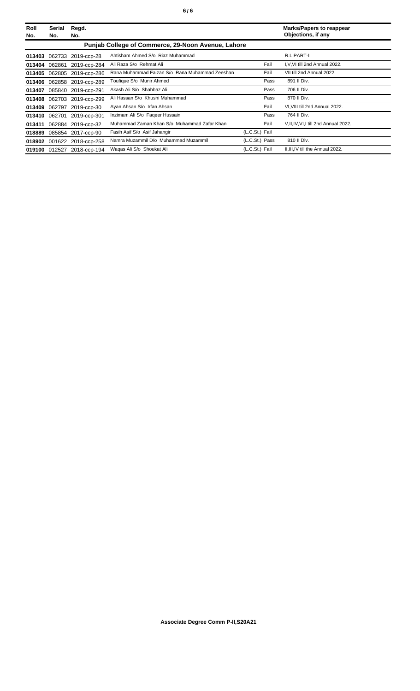| Roll<br>No. | Serial<br>No.                                      | Regd.<br>No.               |                                                | <b>Marks/Papers to reappear</b><br>Objections, if any |                                        |  |
|-------------|----------------------------------------------------|----------------------------|------------------------------------------------|-------------------------------------------------------|----------------------------------------|--|
|             | Punjab College of Commerce, 29-Noon Avenue, Lahore |                            |                                                |                                                       |                                        |  |
| 013403      |                                                    | 062733 2019-ccp-28         | Ahtisham Ahmed S/o Riaz Muhammad               |                                                       | R.L PART-I                             |  |
|             | 013404 062861                                      | 2019-ccp-284               | Ali Raza S/o Rehmat Ali                        | Fail                                                  | I.V.VI till 2nd Annual 2022.           |  |
| 013405      |                                                    | 062805 2019-ccp-286        | Rana Muhammad Faizan S/o Rana Muhammad Zeeshan | Fail                                                  | VII till 2nd Annual 2022.              |  |
|             |                                                    | 013406 062858 2019-ccp-289 | Toufique S/o Munir Ahmed                       | Pass                                                  | 891 II Div.                            |  |
| 013407      |                                                    | 085840 2019-ccp-291        | Akash Ali S/o Shahbaz Ali                      | Pass                                                  | 706 II Div.                            |  |
|             |                                                    | 013408 062703 2019-ccp-299 | Ali Hassan S/o Khushi Muhammad                 | Pass                                                  | 870 II Div.                            |  |
| 013409      | 062797                                             | 2019-ccp-30                | Ayan Ahsan S/o Irfan Ahsan                     | Fail                                                  | VI, VIII till 2nd Annual 2022.         |  |
|             | 013410 062701                                      | 2019-ccp-301               | Inzimam Ali S/o Faqeer Hussain                 | Pass                                                  | 764 II Div.                            |  |
| 013411      |                                                    | 062884 2019-ccp-32         | Muhammad Zaman Khan S/o Muhammad Zafar Khan    | Fail                                                  | V, II, IV, VI, I till 2nd Annual 2022. |  |
|             |                                                    | 018889 085854 2017-ccp-90  | Fasih Asif S/o Asif Jahangir                   | (L.C.St.) Fail                                        |                                        |  |
|             |                                                    | 018902 001622 2018-ccp-258 | Namra Muzammil D/o Muhammad Muzammil           | (L.C.St.) Pass                                        | 810 II Div.                            |  |
|             |                                                    | 019100 012527 2018-ccp-194 | Wagas Ali S/o Shoukat Ali                      | (L.C.St.) Fail                                        | II, III, IV till the Annual 2022.      |  |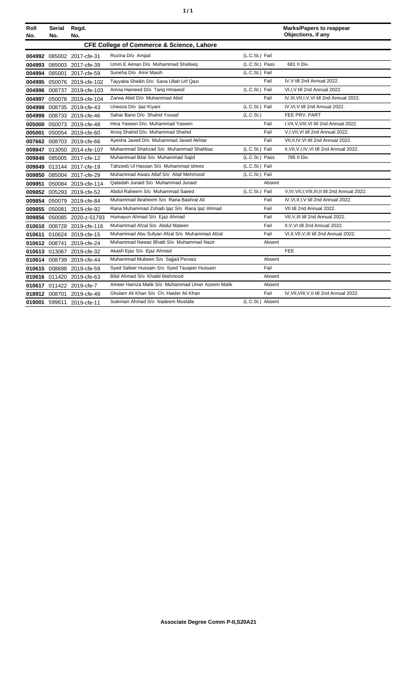| ٠ | ٠ |
|---|---|
|   |   |

| Roll<br>No. | <b>Serial</b><br>No. | Regd.<br>No.               |                                                      |                  |        | <b>Marks/Papers to reappear</b><br>Objections, if any |
|-------------|----------------------|----------------------------|------------------------------------------------------|------------------|--------|-------------------------------------------------------|
|             |                      |                            | <b>CFE College of Commerce &amp; Science, Lahore</b> |                  |        |                                                       |
|             |                      | 004992 085002 2017-cfe-31  | Rozina D/o Amjad                                     | (L.C.St.) Fail   |        |                                                       |
|             |                      | 004993 085003 2017-cfe-39  | Umm E Aiman D/o Mohammad Shafeeq                     | (L.C.St.) Pass   |        | 681 II Div.                                           |
|             |                      | 004994 085001 2017-cfe-59  | Suneha D/o Amir Masih                                | (L.C.St.) Fail   |        |                                                       |
|             |                      | 004995 050076 2019-cfe-102 | Tayyaba Sheikh D/o Sana Ullah Urf Qazi               |                  | Fail   | IV.V till 2nd Annual 2022.                            |
|             |                      | 004996 008737 2019-cfe-103 | Amna Hameed D/o Tariq Hmaeed                         | (L.C.St.) Fail   |        | VI, I, V till 2nd Annual 2022.                        |
|             |                      | 004997 050078 2019-cfe-104 | Zarwa Abid D/o Muhammad Abid                         |                  | Fail   | IV, III, VII, I, V, VI till 2nd Annual 2022.          |
|             |                      | 004998 008735 2019-cfe-43  | Uneeza D/o Ijaz Kiyani                               | (L.C.St.) Fail   |        | IV, VI, V till 2nd Annual 2022.                       |
|             |                      | 004999 008733 2019-cfe-46  | Sahar Bano D/o Shahid Yousaf                         | (L.C.St.)        |        | FEE PRV. PART                                         |
|             |                      | 005000 050073 2019-cfe-48  | Hina Yaseen D/o Muhammad Yaseen                      |                  | Fail   | I, VII, V, VIII, VI till 2nd Annual 2022.             |
|             |                      | 005001 050054 2019-cfe-60  | Arooj Shahid D/o Muhammad Shahid                     |                  | Fail   | V,I, VII, VI till 2nd Annual 2022.                    |
|             |                      | 007662 008703 2019-cfe-66  | Ayesha Javed D/o Muhammad Javed Akhtar               |                  | Fail   | VII, II, IV, VI till 2nd Annual 2022.                 |
|             |                      | 009847 013050 2014-cfe-107 | Muhammad Shahzad S/o Muhammad Shahbaz                | (L.C.St.) Fail   |        | II, VII, V, I, IV, VI till 2nd Annual 2022.           |
|             |                      | 009848 085005 2017-cfe-12  | Muhammad Bilal S/o Muhammad Sajid                    | (L.C.St.) Pass   |        | 785 II Div.                                           |
|             |                      | 009849 013144 2017-cfe-19  | Tahzeeb UI Hassan S/o Muhammad Idrees                | (L.C.St.) Fail   |        |                                                       |
|             |                      | 009850 085004 2017-cfe-29  | Muhammad Awais Altaf S/o Altaf Mehmood               | (L.C.St.) Fail   |        |                                                       |
| 009851      |                      | 050084 2019-cfe-114        | Qatadah Junaid S/o Muhammad Junaid                   |                  | Absent |                                                       |
|             |                      | 009852 005293 2019-cfe-52  | Abdul Raheem S/o Muhammad Saeed                      | (L.C.St.) Fail   |        | V, IV, VII, I, VIII, III, II till 2nd Annual 2022.    |
|             |                      | 009854 050079 2019-cfe-84  | Muhammad Ibraheem S/o Rana Bashrat Ali               |                  | Fail   | IV, VI, II, I, V till 2nd Annual 2022.                |
|             |                      | 009855 050081 2019-cfe-92  | Rana Muhammad Zohaib Ijaz S/o Rana Ijaz Ahmad        |                  | Fail   | VII till 2nd Annual 2022.                             |
|             |                      | 009856 050085 2020-z-51793 | Humayun Ahmad S/o Ejaz Ahmad                         |                  | Fail   | VII.V.III till 2nd Annual 2022.                       |
|             |                      | 010610 008728 2019-cfe-116 | Muhammad Afzal S/o Abdul Mateen                      |                  | Fail   | II.V.VI till 2nd Annual 2022.                         |
|             |                      | 010611 010624 2019-cfe-15  | Muhammad Abu Sufyan Afzal S/o Muhammad Afzal         |                  | Fail   | VI, II, VII, V, III till 2nd Annual 2022.             |
|             |                      | 010612 008741 2019-cfe-24  | Muhammad Nawaz Bhatti S/o Muhammad Nazir             |                  | Absent |                                                       |
|             |                      | 010613 013067 2019-cfe-32  | Akash Ejaz S/o Ejaz Ahmad                            |                  |        | <b>FEE</b>                                            |
|             |                      | 010614 008739 2019-cfe-44  | Muhammad Mubeen S/o Sajjad Pervaiz                   |                  | Absent |                                                       |
|             |                      | 010615 008698 2019-cfe-59  | Syed Safeer Hussain S/o Syed Taugeer Hussain         |                  | Fail   |                                                       |
|             |                      | 010616 011420 2019-cfe-63  | Bilal Ahmad S/o Khalid Mahmood                       |                  | Absent |                                                       |
|             |                      | 010617 011422 2019-cfe-7   | Ameer Hamza Malik S/o Muhammad Umer Azeem Malik      |                  | Absent |                                                       |
|             |                      | 018912 008701 2019-cfe-49  | Ghulam Ali Khan S/o Ch. Haider Ali Khan              |                  | Fail   | IV, VII, VIII, V, II till 2nd Annual 2022.            |
|             |                      | 019001 599611 2019-cfe-11  | Suleman Ahmad S/o Nadeem Mustafa                     | (L.C.St.) Absent |        |                                                       |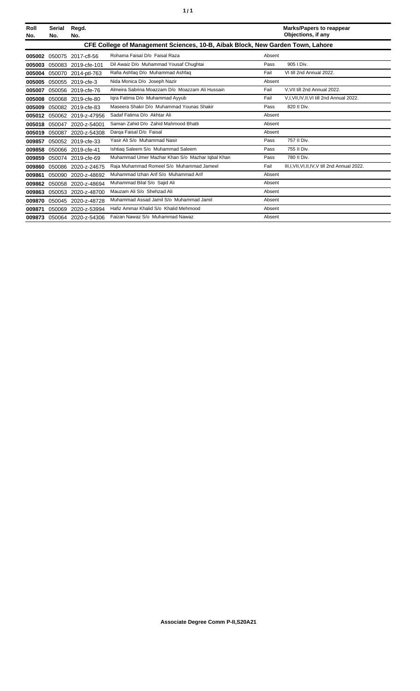| ٠<br>٠ |
|--------|
|--------|

| Roll<br>No. | <b>Serial</b><br>No.                                                           | Regd.<br>No.               |                                                 |        | <b>Marks/Papers to reappear</b><br>Objections, if any |  |
|-------------|--------------------------------------------------------------------------------|----------------------------|-------------------------------------------------|--------|-------------------------------------------------------|--|
|             | CFE College of Management Sciences, 10-B, Aibak Block, New Garden Town, Lahore |                            |                                                 |        |                                                       |  |
| 005002      |                                                                                | 050075 2017-cfl-56         | Rohama Faisal D/o Faisal Raza                   | Absent |                                                       |  |
| 005003      |                                                                                | 050083 2019-cfe-101        | Dil Awaiz D/o Muhammad Yousaf Chughtai          | Pass   | 905   Div.                                            |  |
|             |                                                                                | 005004 050070 2014-ptl-763 | Rafia Ashfaq D/o Muhammad Ashfaq                | Fail   | VI till 2nd Annual 2022.                              |  |
| 005005      |                                                                                | 050055 2019-cfe-3          | Nida Monica D/o Joseph Nazir                    | Absent |                                                       |  |
| 005007      |                                                                                | 050056 2019-cfe-76         | Almeira Sabrina Moazzam D/o Moazzam Ali Hussain | Fail   | V.VII till 2nd Annual 2022.                           |  |
| 005008      |                                                                                | 050068 2019-cfe-80         | Igra Fatima D/o Muhammad Ayyub                  | Fail   | V,I, VII, IV, II, VI till 2nd Annual 2022.            |  |
| 005009      |                                                                                | 050082 2019-cfe-83         | Maseera Shakir D/o Muhammad Younas Shakir       | Pass   | 820 II Div.                                           |  |
|             |                                                                                | 005012 050062 2019-z-47956 | Sadaf Fatima D/o Akhtar Ali                     | Absent |                                                       |  |
|             |                                                                                | 005018 050047 2020-z-54001 | Saman Zahid D/o Zahid Mahmood Bhatti            | Absent |                                                       |  |
|             |                                                                                | 005019 050087 2020-z-54308 | Darga Faisal D/o Faisal                         | Absent |                                                       |  |
| 009857      |                                                                                | 050052 2019-cfe-33         | Yasir Ali S/o Muhammad Nasir                    | Pass   | 757 II Div.                                           |  |
| 009858      |                                                                                | 050066 2019-cfe-41         | Ishtiag Saleem S/o Muhammad Saleem              | Pass   | 755 II Div.                                           |  |
| 009859      |                                                                                | 050074 2019-cfe-69         | Muhammad Umer Mazhar Khan S/o Mazhar Iqbal Khan | Pass   | 780 II Div.                                           |  |
| 009860      |                                                                                | 050086 2020-z-24675        | Raja Muhammad Romeel S/o Muhammad Jameel        | Fail   | III, I, VII, VI, II, IV, V till 2nd Annual 2022.      |  |
| 009861      |                                                                                | 050090 2020-z-48692        | Muhammad Izhan Arif S/o Muhammad Arif           | Absent |                                                       |  |
|             |                                                                                | 009862 050058 2020-z-48694 | Muhammad Bilal S/o Sajid Ali                    | Absent |                                                       |  |
| 009863      |                                                                                | 050053 2020-z-48700        | Mauzam Ali S/o Shehzad Ali                      | Absent |                                                       |  |
|             |                                                                                | 009870 050045 2020-z-48728 | Muhammad Assad Jamil S/o Muhammad Jamil         | Absent |                                                       |  |
| 009871      | 050069                                                                         | 2020-z-53994               | Hafiz Ammar Khalid S/o Khalid Mehmood           | Absent |                                                       |  |
|             |                                                                                | 009873 050064 2020-z-54306 | Faizan Nawaz S/o Muhammad Nawaz                 | Absent |                                                       |  |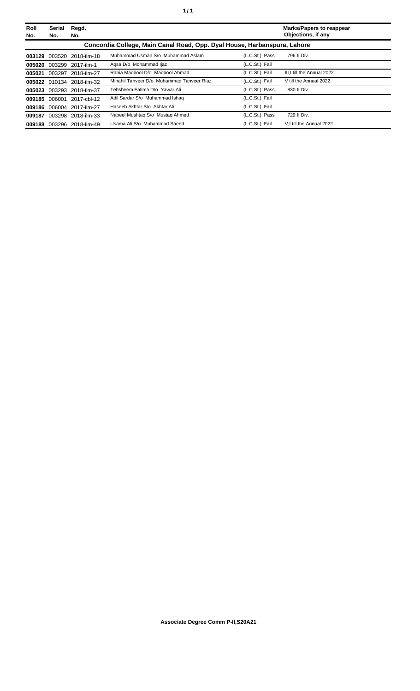| Roll<br>No. | Serial<br>No. | Regd.<br>No.              |                                                                          |                | <b>Marks/Papers to reappear</b><br>Objections, if any |
|-------------|---------------|---------------------------|--------------------------------------------------------------------------|----------------|-------------------------------------------------------|
|             |               |                           | Concordia College, Main Canal Road, Opp. Dyal House, Harbanspura, Lahore |                |                                                       |
|             |               | 003129 003520 2018-ilm-18 | Muhammad Usman S/o Muhammad Aslam                                        | (L.C.St.) Pass | 796 II Div.                                           |
|             |               | 005020 003299 2017-ilm-1  | Agsa D/o Mohammad ljaz                                                   | (L.C.St.) Fail |                                                       |
| 005021      |               | 003297 2018-ilm-27        | Rabia Magbool D/o Magbool Ahmad                                          | (L.C.St.) Fail | III.I till the Annual 2022.                           |
|             |               | 005022 010134 2018-ilm-32 | Minahil Tanveer D/o Muhammad Tanveer Riaz                                | (L.C.St.) Fail | V till the Annual 2022.                               |
| 005023      | 003293        | 2018-ilm-37               | Tehsheem Fatima D/o Yawar Ali                                            | (L.C.St.) Pass | 830 II Div.                                           |
| 009185      |               | 006001 2017-cbl-12        | Adil Sardar S/o Muhammad Ishaq                                           | (L.C.St.) Fail |                                                       |
|             |               | 009186 006004 2017-ilm-27 | Haseeb Akhtar S/o Akhtar Ali                                             | (L.C.St.) Fail |                                                       |
| 009187      |               | 003298 2018-ilm-33        | Nabeel Mushtag S/o Mustag Ahmed                                          | (L.C.St.) Pass | 729 II Div.                                           |
|             |               | 009188 003296 2018-ilm-49 | Usama Ali S/o Muhammad Saeed                                             | (L.C.St.) Fail | V.I till the Annual 2022.                             |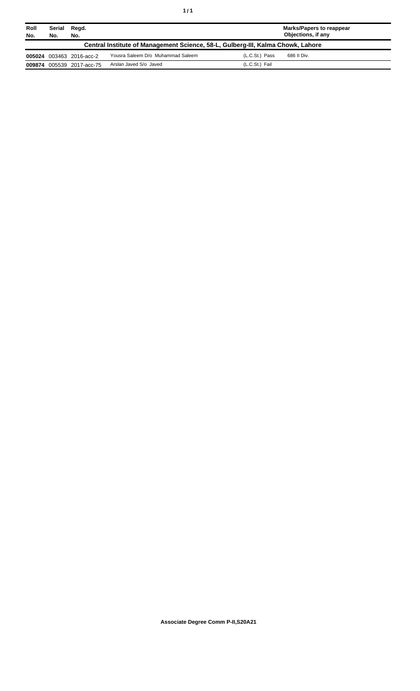| ٠ | ٠ |
|---|---|
|   |   |

| Roll<br>No. | <b>Serial</b><br>No.                                                            | Regd.<br>No.             |                                   |                | <b>Marks/Papers to reappear</b><br>Objections, if any |  |
|-------------|---------------------------------------------------------------------------------|--------------------------|-----------------------------------|----------------|-------------------------------------------------------|--|
|             | Central Institute of Management Science, 58-L, Gulberg-III, Kalma Chowk, Lahore |                          |                                   |                |                                                       |  |
|             |                                                                                 | 005024 003463 2016-acc-2 | Yousra Saleem D/o Muhammad Saleem | (L.C.St.) Pass | 686 II Div.                                           |  |
| 009874      |                                                                                 | 005539 2017-acc-75       | Arslan Javed S/o Javed            | (L.C.St.) Fail |                                                       |  |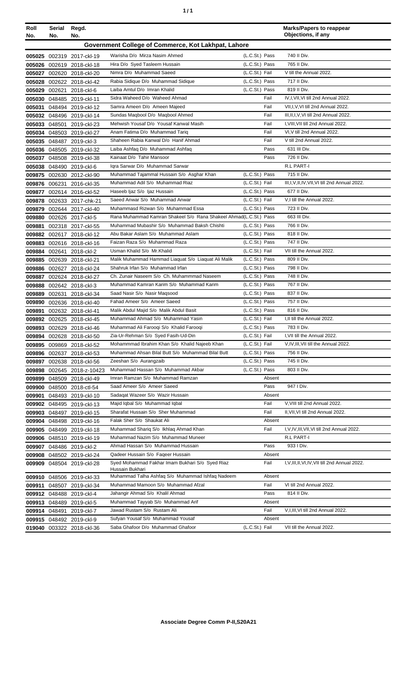| ٠ | ٠ |
|---|---|
|   |   |

| Roll<br>No. | Serial<br>No. | Regd.<br>No.                                           |                                                                                                                   |                | <b>Marks/Papers to reappear</b><br>Objections, if any |
|-------------|---------------|--------------------------------------------------------|-------------------------------------------------------------------------------------------------------------------|----------------|-------------------------------------------------------|
|             |               |                                                        | Government College of Commerce, Kot Lakhpat, Lahore                                                               |                |                                                       |
|             |               | 005025 002319 2017-ckl-19                              | Warisha D/o Mirza Nasim Ahmed                                                                                     | (L.C.St.) Pass | 740 II Div.                                           |
|             |               | 005026 002619 2018-ckl-18                              | Hira D/o Syed Tasleem Hussain                                                                                     | (L.C.St.) Pass | 765 II Div.                                           |
|             |               | 005027 002620 2018-ckl-20                              | Nimra D/o Muhammad Saeed                                                                                          | (L.C.St.) Fail | V till the Annual 2022.                               |
|             |               | 005028 002622 2018-ckl-42                              | Rabia Sidique D/o Muhammad Sidique                                                                                | (L.C.St.) Pass | 717 II Div.                                           |
|             |               | 005029 002621 2018-ckl-6                               | Laiba Amtul D/o Imran Khalid                                                                                      | (L.C.St.) Pass | 819 II Div.                                           |
|             |               | 005030 048485 2019-ckl-11                              | Sidra Waheed D/o Waheed Ahmad                                                                                     | Fail           | IV, I, VII, VI till 2nd Annual 2022.                  |
|             |               | 005031 048494 2019-ckl-12                              | Samra Ameen D/o Ameen Majeed                                                                                      | Fail           | VII, I, V, VI till 2nd Annual 2022.                   |
|             |               | 005032 048496 2019-ckl-14                              | Sundas Magbool D/o Magbool Ahmed                                                                                  | Fail           | III, II, I, V, VI till 2nd Annual 2022.               |
|             |               | 005033 048501 2019-ckl-23                              | Mehwish Yousaf D/o Yousaf Kanwal Masih                                                                            | Fail           | I, VIII, VII till 2nd Annual 2022.                    |
|             |               | 005034 048503 2019-ckl-27                              | Anam Fatima D/o Muhammad Tariq                                                                                    | Fail           | VI, V till 2nd Annual 2022.                           |
|             |               | 005035 048487 2019-ckl-3                               | Shaheen Rabia Kanwal D/o Hanif Ahmad                                                                              | Fail           | V till 2nd Annual 2022.                               |
|             |               | 005036 048505 2019-ckl-32                              | Laiba Ashfaq D/o Muhammad Ashfaq                                                                                  | Pass           | 631 III Div.                                          |
|             |               | 005037 048508 2019-ckl-38                              | Kainaat D/o Tahir Mansoor                                                                                         | Pass           | 726 II Div.                                           |
|             |               | 005038 048490 2019-ckl-6                               | Igra Sarwar D/o Muhammad Sarwar                                                                                   |                | R.L PART-I                                            |
|             |               | 009875 002630 2012-ckl-90                              | Muhammad Tajammal Hussain S/o Asghar Khan                                                                         | (L.C.St.) Pass | 715 II Div.                                           |
|             |               | 009876 006231 2016-ckl-35                              | Muhammad Adil S/o Muhammad Riaz                                                                                   | (L.C.St.) Fail | III, I, V, II, IV, VII, VI till 2nd Annual 2022.      |
|             |               | 009877 002614 2016-ckl-52                              | Haseeb Ijaz S/o Ijaz Hussain                                                                                      | (L.C.St.) Pass | 677 II Div.                                           |
|             |               | 009878 002633 2017-chk-21                              | Saeed Anwar S/o Muhammad Anwar<br>Muhammasd Rizwan S/o Muhammad Essa                                              | (L.C.St.) Fail | V,I till the Annual 2022.<br>723 II Div.              |
|             |               | 009879 002644 2017-ckl-40                              |                                                                                                                   | (L.C.St.) Pass |                                                       |
|             |               | 009880 002626 2017-ckl-5                               | Rana Muhammad Kamran Shakeel S/o Rana Shakeel Ahmad(L.C.St.) Pass<br>Muhammad Mubashir S/o Muhammad Baksh Chishti | (L.C.St.) Pass | 663 III Div.<br>766 II Div.                           |
|             |               | 009881 002318 2017-ckl-55                              | Abu Bakar Aslam S/o Muhammad Aslam                                                                                | (L.C.St.) Pass | 818 II Div.                                           |
|             |               | 009882 002617 2018-ckl-12<br>009883 002616 2018-ckl-16 | Faizan Raza S/o Muhammad Raza                                                                                     | (L.C.St.) Pass | 747 II Div.                                           |
|             |               | 009884 002641 2018-ckl-2                               | Usman Khalid S/o Mr.Khalid                                                                                        | (L.C.St.) Fail | VII till the Annual 2022.                             |
|             |               | 009885 002639 2018-ckl-21                              | Malik Muhammad Hammad Liaquat S/o Liaquat Ali Malik                                                               | (L.C.St.) Pass | 809 II Div.                                           |
|             |               | 009886 002627 2018-ckl-24                              | Shahruk Irfan S/o Muhammad Irfan                                                                                  | (L.C.St.) Pass | 798 II Div.                                           |
|             |               | 009887 002624 2018-ckl-27                              | Ch. Zunair Naseem S/o Ch. Muhammmad Naseem                                                                        | (L.C.St.) Pass | 748 II Div.                                           |
|             |               | 009888 002642 2018-ckl-3                               | Muhammad Kamran Karim S/o Muhammad Karim                                                                          | (L.C.St.) Pass | 767 II Div.                                           |
|             |               | 009889 002631 2018-ckl-34                              | Saad Nasir S/o Nasir Maqsood                                                                                      | (L.C.St.) Pass | 837 II Div.                                           |
|             |               | 009890 002636 2018-ckl-40                              | Fahad Ameer S/o Ameer Saeed                                                                                       | (L.C.St.) Pass | 757 II Div.                                           |
| 009891      |               | 002632 2018-ckl-41                                     | Malik Abdul Majid S/o Malik Abdul Basit                                                                           | (L.C.St.) Pass | 816 II Div.                                           |
|             |               | 009892 002625 2018-ckl-45                              | Muhammad Ahmad S/o Muhammad Yasin                                                                                 | (L.C.St.) Fail | I.II till the Annual 2022.                            |
|             |               | 009893 002629 2018-ckl-46                              | Muhammad Ali Farooqi S/o Khalid Farooqi                                                                           | (L.C.St.) Pass | 783 II Div.                                           |
|             |               | 009894 002628 2018-ckl-50                              | Zia-Ur-Rehman S/o Syed Fasih-Ud-Din                                                                               | (L.C.St.) Fail | I, VII till the Annual 2022.                          |
|             |               | 009895 009869 2018-ckl-52                              | Mohammmad Ibrahim Khan S/o Khalid Najeeb Khan                                                                     | (L.C.St.) Fail | V, IV, III, VII till the Annual 2022.                 |
|             |               | 009896 002637 2018-ckl-53                              | Muhammad Ahsan Bilal Butt S/o Muhammad Bilal Butt                                                                 | (L.C.St.) Pass | 756 II Div.                                           |
|             |               | 009897 002638 2018-ckl-56                              | Zeeshan S/o Aurangzaib                                                                                            | (L.C.St.) Pass | 745 II Div.                                           |
|             |               | 009898 002645 2018-z-10423                             | Muhammad Hassan S/o Muhammad Akbar                                                                                | (L.C.St.) Pass | 803 II Div.                                           |
|             |               | 009899 048509 2018-ckl-49                              | Imran Ramzan S/o Muhammad Ramzan                                                                                  | Absent         |                                                       |
|             |               | 009900 048500 2018-ctl-54                              | Saad Ameer S/o Ameer Saeed                                                                                        | Pass           | 947 I Div.                                            |
|             |               | 009901 048493 2019-ckl-10                              | Sadagat Wazeer S/o Wazir Hussain<br>Majid Iqbal S/o Muhammad Iqbal                                                | Absent<br>Fail | V, VIII till 2nd Annual 2022.                         |
|             |               | 009902 048495 2019-ckl-13                              | Sharafat Hussain S/o Sher Muhammad                                                                                | Fail           | II, VII, VI till 2nd Annual 2022.                     |
|             |               | 009903 048497 2019-ckl-15                              | Falak Sher S/o Shaukat Ali                                                                                        | Absent         |                                                       |
|             |               | 009904 048498 2019-ckl-16<br>009905 048499 2019-ckl-18 | Muhammad Shariq S/o Ikhlaq Ahmad Khan                                                                             | Fail           | I, V, IV, III, VII, VI till 2nd Annual 2022.          |
|             |               | 009906 048510 2019-ckl-19                              | Muhammad Nazim S/o Muhammad Muneer                                                                                |                | R.L PART-I                                            |
|             |               | 009907 048486 2019-ckl-2                               | Ahmad Hassan S/o Muhammad Hussain                                                                                 | Pass           | 933 I Div.                                            |
|             |               | 009908 048502 2019-ckl-24                              | Qadeer Hussain S/o Faqeer Hussain                                                                                 | Absent         |                                                       |
|             |               | 009909 048504 2019-ckl-28                              | Syed Mohammad Fakhar Imam Bukhari S/o Syed Riaz<br>Hussain Bukhari                                                | Fail           | I, V, III, II, VI, IV, VII till 2nd Annual 2022.      |
|             |               | 009910 048506 2019-ckl-33                              | Muhammad Talha Ashfaq S/o Muhammad Ishfaq Nadeem                                                                  | Absent         |                                                       |
|             |               | 009911 048507 2019-ckl-34                              | Muhammad Mamoon S/o Muhammad Afzal                                                                                | Fail           | VI till 2nd Annual 2022.                              |
|             |               | 009912 048488 2019-ckl-4                               | Jahangir Ahmad S/o Khalil Ahmad                                                                                   | Pass           | 814 II Div.                                           |
|             |               | 009913 048489 2019-ckl-5                               | Muhammad Tayyab S/o Muhammad Arif                                                                                 | Absent         |                                                       |
|             |               | 009914 048491 2019-ckl-7                               | Jawad Rustam S/o Rustam Ali                                                                                       | Fail           | V, I, III, VI till 2nd Annual 2022.                   |
|             |               | 009915 048492 2019-ckl-9                               | Sufyan Yousaf S/o Muhammad Yousaf                                                                                 | Absent         |                                                       |
|             |               | 019040 003322 2018-ckl-36                              | Saba Ghafoor D/o Muhammad Ghafoor                                                                                 | (L.C.St.) Fail | VII till the Annual 2022.                             |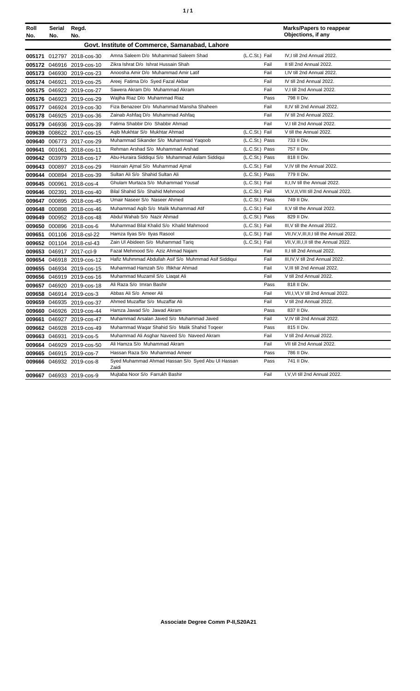|  | ٠ |
|--|---|
|  |   |

| Roll   | Serial        | Regd.                     |                                                            |                |      | <b>Marks/Papers to reappear</b>              |
|--------|---------------|---------------------------|------------------------------------------------------------|----------------|------|----------------------------------------------|
| No.    | No.           | No.                       |                                                            |                |      | Objections, if any                           |
|        |               |                           | Govt. Institute of Commerce, Samanabad, Lahore             |                |      |                                              |
|        |               | 005171 012797 2018-cos-30 | Amna Saleem D/o Muhammad Saleem Shad                       | (L.C.St.) Fail |      | IV.I till 2nd Annual 2022.                   |
|        |               | 005172 046916 2019-cos-10 | Zikra Ishrat D/o Ishrat Hussain Shah                       |                | Fail | II till 2nd Annual 2022.                     |
|        |               | 005173 046930 2019-cos-23 | Anoosha Amir D/o Muhammad Amir Latif                       |                | Fail | I.IV till 2nd Annual 2022.                   |
|        | 005174 046921 | 2019-cos-25               | Areej Fatima D/o Syed Fazal Akbar                          |                | Fail | IV till 2nd Annual 2022.                     |
|        |               | 005175 046922 2019-cos-27 | Sawera Akram D/o Muhammad Akram                            |                | Fail | V,I till 2nd Annual 2022.                    |
|        |               | 005176 046923 2019-cos-29 | Wajiha Riaz D/o Muhammad Riaz                              |                | Pass | 798 II Div.                                  |
|        |               | 005177 046924 2019-cos-30 | Fiza Benazeer D/o Muhammad Mansha Shaheen                  |                | Fail | II,IV till 2nd Annual 2022.                  |
|        |               | 005178 046925 2019-cos-36 | Zainab Ashfaq D/o Muhammad Ashfaq                          |                | Fail | IV till 2nd Annual 2022.                     |
|        |               | 005179 046936 2019-cos-39 | Fatima Shabbir D/o Shabbir Ahmad                           |                | Fail | V,I till 2nd Annual 2022.                    |
|        |               | 009639 008622 2017-cos-15 | Agib Mukhtar S/o Mukhtar Ahmad                             | (L.C.St.) Fail |      | V till the Annual 2022.                      |
|        |               | 009640 006773 2017-cos-29 | Muhammad Sikander S/o Muhammad Yaqoob                      | (L.C.St.) Pass |      | 733 II Div.                                  |
|        |               | 009641 001061 2018-cos-11 | Rehman Arshad S/o Muhammad Arshad                          | (L.C.St.) Pass |      | 757 II Div.                                  |
|        |               | 009642 003979 2018-cos-17 | Abu-Huraira Siddiqui S/o Muhammad Aslam Siddiqui           | (L.C.St.) Pass |      | 818 II Div.                                  |
|        | 009643 000897 | 2018-cos-29               | Hasnain Ajmal S/o Muhammad Ajmal                           | (L.C.St.) Fail |      | V.IV till the Annual 2022.                   |
|        |               | 009644 000894 2018-cos-39 | Sultan Ali S/o Shahid Sultan Ali                           | (L.C.St.) Pass |      | 779 II Div.                                  |
|        |               | 009645 000961 2018-cos-4  | Ghulam Murtaza S/o Muhammad Yousaf                         | (L.C.St.) Fail |      | II, I, IV till the Annual 2022.              |
|        |               | 009646 002391 2018-cos-40 | Bilal Shahid S/o Shahid Mehmood                            | (L.C.St.) Fail |      | VI, V, II, VIII till 2nd Annual 2022.        |
|        |               | 009647 000895 2018-cos-45 | Umair Naseer S/o Naseer Ahmed                              | (L.C.St.) Pass |      | 749 II Div.                                  |
|        |               | 009648 000898 2018-cos-46 | Muhammad Aqib S/o Malik Muhammad Atif                      | (L.C.St.) Fail |      | II, V till the Annual 2022.                  |
|        |               | 009649 000952 2018-cos-48 | Abdul Wahab S/o Nazir Ahmad                                | (L.C.St.) Pass |      | 829 II Div.                                  |
|        |               | 009650 000896 2018-cos-6  | Muhammad Bilal Khalid S/o Khalid Mahmood                   | (L.C.St.) Fail |      | III.V till the Annual 2022.                  |
| 009651 |               | 001106 2018-csl-22        | Hamza Ilyas S/o Ilyas Rasool                               | (L.C.St.) Fail |      | VII, IV, V, III, II, I till the Annual 2022. |
|        |               | 009652 001104 2018-csl-43 | Zain Ul Abideen S/o Muhammad Tariq                         | (L.C.St.) Fail |      | VII, V, III, I, II till the Annual 2022.     |
|        |               | 009653 046917 2017-ccl-9  | Fazal Mehmood S/o Aziz Ahmad Najam                         |                | Fail | II,I till 2nd Annual 2022.                   |
|        |               | 009654 046918 2019-cos-12 | Hafiz Muhmmad Abdullah Asif S/o Muhmmad Asif Siddiqui      |                | Fail | III, IV, V till 2nd Annual 2022.             |
|        |               | 009655 046934 2019-cos-15 | Muhammad Hamzah S/o Iftikhar Ahmad                         |                | Fail | V, III till 2nd Annual 2022.                 |
|        |               | 009656 046919 2019-cos-16 | Muhammad Muzamil S/o Liagat Ali                            |                | Fail | V till 2nd Annual 2022.                      |
|        |               | 009657 046920 2019-cos-18 | Ali Raza S/o Imran Bashir                                  |                | Pass | 818 II Div.                                  |
|        |               | 009658 046914 2019-cos-3  | Abbas Ali S/o Ameer Ali                                    |                | Fail | VII, I, VI, V till 2nd Annual 2022.          |
|        |               | 009659 046935 2019-cos-37 | Ahmed Muzaffar S/o Muzaffar Ali                            |                | Fail | V till 2nd Annual 2022.                      |
|        |               | 009660 046926 2019-cos-44 | Hamza Jawad S/o Jawad Akram                                |                | Pass | 837 II Div.                                  |
| 009661 |               | 046927 2019-cos-47        | Muhammad Arsalan Javed S/o Muhammad Javed                  |                | Fail | V,IV till 2nd Annual 2022.                   |
|        |               | 009662 046928 2019-cos-49 | Muhammad Waqar Shahid S/o Malik Shahid Toqeer              |                | Pass | 815 II Div.                                  |
|        |               | 009663 046931 2019-cos-5  | Muhammad Ali Asghar Naveed S/o Naveed Akram                |                | Fail | V till 2nd Annual 2022.                      |
|        |               | 009664 046929 2019-cos-50 | Ali Hamza S/o Muhammad Akram                               |                | Fail | VII till 2nd Annual 2022.                    |
|        |               | 009665 046915 2019-cos-7  | Hassan Raza S/o Muhammad Ameer                             |                | Pass | 786 II Div.                                  |
|        |               | 009666 046932 2019-cos-8  | Syed Muhammad Ahmad Hassan S/o Syed Abu UI Hassan<br>Zaidi |                | Pass | 741 II Div.                                  |
|        |               | 009667 046933 2019-cos-9  | Mujtaba Noor S/o Farrukh Bashir                            |                | Fail | I, V, VI till 2nd Annual 2022.               |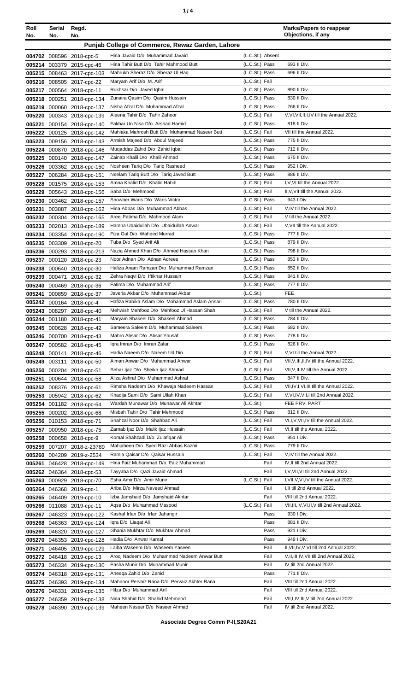| Roll<br>No. | Serial<br>No. | Regd.<br>No.                                             |                                                                                  |                                  | <b>Marks/Papers to reappear</b><br>Objections, if any     |
|-------------|---------------|----------------------------------------------------------|----------------------------------------------------------------------------------|----------------------------------|-----------------------------------------------------------|
|             |               |                                                          | Punjab College of Commerce, Rewaz Garden, Lahore                                 |                                  |                                                           |
|             |               | 004702 008596 2018-cpc-5                                 | Hina Javaid D/o Muhammad Javaid                                                  | (L.C.St.) Absent                 |                                                           |
|             |               | 005214 003379 2015-cpc-46                                | Hina Tahir Butt D/o Tahir Mahmood Butt                                           | (L.C.St.) Pass                   | 693 II Div.                                               |
|             |               | 005215 008463 2017-cpc-103                               | Mahrukh Sheraz D/o Sheraz UI Haq                                                 | (L.C.St.) Pass                   | 696 II Div.                                               |
|             |               | 005216 008505 2017-cpc-22                                | Maryam Arif D/o M. Arif                                                          | (L.C.St.) Fail                   |                                                           |
|             |               | 005217 000564 2018-cpc-11                                | Rukhsar D/o Javed Iqbal                                                          | (L.C.St.) Pass                   | 890 II Div.                                               |
|             | 005218 000251 | 2018-cpc-134                                             | Zunaira Qasim D/o Qasim Hussain                                                  | (L.C.St.) Pass                   | 830 II Div.                                               |
|             |               | 005219 000060 2018-cpc-137                               | Nisha Afzal D/o Muhammad Afzal                                                   | (L.C.St.) Pass                   | 766 II Div.                                               |
|             |               | 005220 000343 2018-cpc-139                               | Aleena Tahir D/o Tahir Zahoor                                                    | (L.C.St.) Fail                   | V.VI.VII.II.I.IV till the Annual 2022.                    |
| 005221      |               | 000154 2018-cpc-140                                      | Fakhar Un Nisa D/o Arshad Hamid<br>Mahlaka Mahrosh Butt D/o Muhammad Naseer Butt | (L.C.St.) Pass<br>(L.C.St.) Fail | 818 II Div.<br>VII till the Annual 2022.                  |
|             |               | 005222 000125 2018-cpc-142<br>005223 009156 2018-cpc-143 | Armish Majeed D/o Abdul Majeed                                                   | (L.C.St.) Pass                   | 775 II Div.                                               |
|             |               | 005224 000870 2018-cpc-146                               | Mugaddas Zahid D/o Zahid Iqbal                                                   | (L.C.St.) Pass                   | 712 II Div.                                               |
|             |               | 005225 000140 2018-cpc-147                               | Zainab Khalil D/o Khalil Ahmad                                                   | (L.C.St.) Pass                   | 675 II Div.                                               |
|             |               | 005226 003362 2018-cpc-150                               | Nosheen Tariq D/o Tariq Rasheed                                                  | (L.C.St.) Pass                   | 952 I Div.                                                |
|             |               | 005227 006284 2018-cpc-151                               | Neelam Tariq Butt D/o Tariq Javed Butt                                           | (L.C.St.) Pass                   | 886 II Div.                                               |
|             |               | 005228 001575 2018-cpc-153                               | Amna Khalid D/o Khalid Habib                                                     | (L.C.St.) Fail                   | I, V, VI till the Annual 2022.                            |
|             |               | 005229 005643 2018-cpc-156                               | Saba D/o Mehmood                                                                 | (L.C.St.) Fail                   | II, V, VII till the Annual 2022.                          |
|             |               | 005230 003462 2018-cpc-157                               | Snowber Waris D/o Waris Victor                                                   | (L.C.St.) Pass                   | 943 I Div.                                                |
|             |               | 005231 003887 2018-cpc-162                               | Hina Abbas D/o Muhammad Abbas                                                    | (L.C.St.) Fail                   | V, IV till the Annual 2022.                               |
|             |               | 005232 000304 2018-cpc-165                               | Areej Fatima D/o Mahmood Alam                                                    | (L.C.St.) Fail                   | V till the Annual 2022.                                   |
|             |               | 005233 002013 2018-cpc-189                               | Hamna Ubaidullah D/o Ubaidullah Anwar                                            | (L.C.St.) Fail                   | V, VII till the Annual 2022.                              |
|             |               | 005234 003354 2018-cpc-190                               | Fiza Gul D/o Waheed Murrad                                                       | (L.C.St.) Pass                   | 777 II Div.                                               |
|             |               | 005235 003309 2018-cpc-20                                | Tuba D/o Syed Arif Ali                                                           | (L.C.St.) Pass                   | 879 II Div.                                               |
|             |               | 005236 000293 2018-cpc-213                               | Nazia Ahmed Khan D/o Ahmed Hassan Khan<br>Noor Adnan D/o Adnan Adrees            | (L.C.St.) Pass                   | 798 II Div.<br>853 II Div.                                |
| 005237      |               | 000120 2018-cpc-23                                       | Hafiza Anam Ramzan D/o Muhammad Ramzan                                           | (L.C.St.) Pass<br>(L.C.St.) Pass | 852 II Div.                                               |
|             | 005239 000471 | 005238 000640 2018-cpc-30<br>2018-cpc-32                 | Zehra Naqvi D/o Iftikhar Hussain                                                 | (L.C.St.) Pass                   | 841 II Div.                                               |
|             |               | 005240 000469 2018-cpc-36                                | Fatima D/o Muhammad Arif                                                         | (L.C.St.) Pass                   | 777 II Div.                                               |
| 005241      |               | 000859 2018-cpc-37                                       | Javeria Akbar D/o Muhammad Akbar                                                 | (L.C.S <sub>t</sub> )            | <b>FEE</b>                                                |
|             |               | 005242 000164 2018-cpc-4                                 | Hafiza Rabika Aslam D/o Mohammad Aslam Ansari                                    | (L.C.St.) Pass                   | 780 II Div.                                               |
|             |               | 005243 008297 2018-cpc-40                                | Mehwish Mehfooz D/o Mehfooz UI Hassan Shah                                       | (L.C.St.) Fail                   | V till the Annual 2022.                                   |
|             |               | 005244 001180 2018-cpc-41                                | Maryam Shakeel D/o Shakeel Ahmad                                                 | (L.C.St.) Pass                   | 784 II Div.                                               |
|             |               | 005245 000628 2018-cpc-42                                | Sameera Saleem D/o Muhammad Saleem                                               | (L.C.St.) Pass                   | 682 II Div.                                               |
|             |               | 005246 000700 2018-cpc-43                                | Mahro Absar D/o Absar Yousaf                                                     | (L.C.St.) Pass                   | 778 II Div.                                               |
|             |               | 005247 000582 2018-cpc-45                                | Igra Imran D/o Imran Zafar                                                       | (L.C.St.) Pass                   | 826 II Div.                                               |
|             |               | 005248 000141 2018-cpc-46                                | Hadia Naeem D/o Naeem Ud Din                                                     | (L.C.St.) Fail                   | V, VI till the Annual 2022.                               |
|             |               | 005249 003111 2018-cpc-50                                | Aiman Anwar D/o Muhammad Anwar                                                   | (L.C.St.) Fail                   | VII, V, III, II, IV till the Annual 2022.                 |
|             |               | 005250 000204 2018-cpc-51                                | Sehar Ijaz D/o Sheikh Ijaz Ahmad                                                 | (L.C.St.) Fail                   | VII, V, II, IV till the Annual 2022.<br>847 II Div.       |
|             |               | 005251 000644 2018-cpc-58                                | Aliza Ashraf D/o Muhammad Ashraf<br>Rimsha Nadeem D/o Khawaja Nadeem Hassan      | (L.C.St.) Pass<br>(L.C.St.) Fail | VII, IV, I, VI, III till the Annual 2022.                 |
|             |               | 005252 008376 2018-cpc-61<br>005253 005942 2018-cpc-62   | Khadija Sami D/o Sami Ullah Khan                                                 | (L.C.St.) Fail                   | V, VI, IV, VII, I till 2nd Annual 2022.                   |
|             |               | 005254 001182 2018-cpc-64                                | Wardah Munawar D/o Munawar Ali Akhtar                                            | (L.C.St.)                        | FEE PRV. PART                                             |
|             |               | 005255 000202 2018-cpc-68                                | Misbah Tahir D/o Tahir Mehmood                                                   | (L.C.St.) Pass                   | 812 II Div.                                               |
|             |               | 005256 010153 2018-cpc-71                                | Shahzal Noor D/o Shahbaz Ali                                                     | (L.C.St.) Fail                   | VI,I, V, VII, IV till the Annual 2022.                    |
|             |               | 005257 000950 2018-cpc-75                                | Zarnab Ijaz D/o Malik Ijaz Hussain                                               | (L.C.St.) Fail                   | VI, II till the Annual 2022.                              |
|             |               | 005258 000658 2018-cpc-9                                 | Komal Shahzadi D/o Zulafiqar Ali                                                 | (L.C.St.) Pass                   | 951 I Div.                                                |
|             |               | 005259 007207 2018-z-23789                               | Mahjabeen D/o Syed Razi Abbas Kazmi                                              | (L.C.St.) Pass                   | 779 II Div.                                               |
|             |               | 005260 004209 2019-z-2534                                | Ramla Qaisar D/o Qaisar Hussain                                                  | (L.C.St.) Fail                   | V, IV till the Annual 2022.                               |
| 005261      |               | 046428 2018-cpc-149                                      | Hina Faiz Muhammad D/o Faiz Muhammad                                             | Fail                             | IV, II till 2nd Annual 2022.                              |
|             |               | 005262 046364 2018-cpc-53                                | Tayyaba D/o Qazi Javaid Ahmad                                                    | Fail                             | I, V, VII, VI till 2nd Annual 2022.                       |
|             |               | 005263 000929 2018-cpc-70                                | Esha Amir D/o Amir Munir                                                         | (L.C.St.) Fail                   | I, VII, V, VI, IV till the Annual 2022.                   |
|             |               | 005264 046368 2019-cpc-1                                 | Ariba D/o Mirza Naveed Ahmad<br>Izba Jamshaid D/o Jamshaid Akhtar                | Fail<br>Fail                     | I, II till 2nd Annual 2022.<br>VIII till 2nd Annual 2022. |
|             |               | 005265 046409 2019-cpc-10<br>005266 011088 2019-cpc-11   | Agsa D/o Muhammad Masood                                                         | (L.C.St.) Fail                   | VII, III, IV, VI, II, V till 2nd Annual 2022.             |
|             |               | 005267 046323 2019-cpc-122                               | Kashaf Irfan D/o Irfan Jahangir                                                  | Pass                             | 930 I Div.                                                |
|             |               | 005268 046363 2019-cpc-124                               | Igra D/o Liagat Ali                                                              | Pass                             | 881 II Div.                                               |
|             |               | 005269 046320 2019-cpc-127                               | Ghania Mukhtar D/o Mukhtar Ahmad                                                 | Pass                             | 921 I Div.                                                |
|             |               | 005270 046353 2019-cpc-128                               | Hadia D/o Anwar Kamal                                                            | Pass                             | 949 I Div.                                                |
|             |               | 005271 046405 2019-cpc-129                               | Laiba Waseem D/o Waseem Yaseen                                                   | Fail                             | II, VII, IV, V, VI till 2nd Annual 2022.                  |
|             |               | 005272 046418 2019-cpc-13                                | Arooj Nadeem D/o Muhammad Nadeem Anwar Butt                                      | Fail                             | V, II, III, IV, VII till 2nd Annual 2022.                 |
|             |               | 005273 046334 2019-cpc-130                               | Easha Munir D/o Muhammad Munir                                                   | Fail                             | IV till 2nd Annual 2022.                                  |
|             |               | 005274 046318 2019-cpc-131                               | Aneega Zahid D/o Zahid                                                           | Pass                             | 771 II Div.                                               |
|             |               | 005275 046393 2019-cpc-134                               | Mahnoor Pervaiz Rana D/o Pervaiz Akhter Rana                                     | Fail                             | VIII till 2nd Annual 2022.                                |
|             |               | 005276 046331 2019-cpc-135                               | Hifza D/o Muhammad Arif                                                          | Fail                             | VIII till 2nd Annual 2022.                                |
|             |               | 005277 046359 2019-cpc-138                               | Nida Shahid D/o Shahid Mehmood                                                   | Fail                             | VII, I, IV, III, V till 2nd Annual 2022.                  |
|             |               | 005278 046390 2019-cpc-139                               | Maheen Naseer D/o Naseer Ahmad                                                   | Fail                             | IV till 2nd Annual 2022.                                  |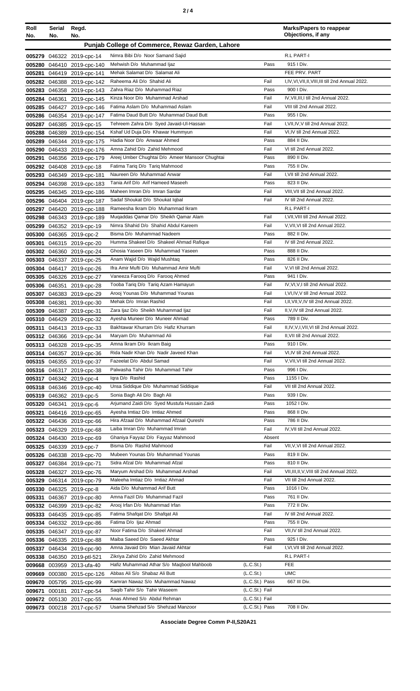| Roll<br>No. | Serial<br>No. | Regd.<br>No.               |                                                  |                | <b>Marks/Papers to reappear</b><br>Objections, if any |
|-------------|---------------|----------------------------|--------------------------------------------------|----------------|-------------------------------------------------------|
|             |               |                            | Punjab College of Commerce, Rewaz Garden, Lahore |                |                                                       |
|             |               | 005279 046322 2019-cpc-14  | Nimra Bibi D/o Noor Samand Sajid                 |                | R.L PART-I                                            |
|             |               | 005280 046410 2019-cpc-140 | Mehwish D/o Muhammad ljaz                        | Pass           | 915   Div.                                            |
|             |               | 005281 046419 2019-cpc-141 | Mehak Salamat D/o Salamat Ali                    |                | FEE PRV. PART                                         |
|             |               | 005282 046388 2019-cpc-142 | Raheema Ali D/o Shahid Ali                       | Fail           | I,IV, VI, VII, II, VIII, III till 2nd Annual 2022.    |
|             |               | 005283 046358 2019-cpc-143 | Zahra Riaz D/o Muhammad Riaz                     | Pass           | 900 I Div.                                            |
|             |               | 005284 046361 2019-cpc-145 | Kinza Noor D/o Muhammad Arshad                   | Fail           | IV, VII, III, I till 2nd Annual 2022.                 |
|             |               | 005285 046427 2019-cpc-146 | Fatima Aslam D/o Muhammad Aslam                  | Fail           | VIII till 2nd Annual 2022.                            |
|             |               | 005286 046354 2019-cpc-147 | Fatima Daud Butt D/o Muhammad Daud Butt          | Pass           | 955   Div.                                            |
| 005287      |               | 046385 2019-cpc-15         | Tehreem Zahra D/o Syed Javaid-Ul-Hassan          | Fail           | I, VII, IV, V till 2nd Annual 2022.                   |
|             |               | 005288 046389 2019-cpc-154 | Kshaf Ud Duja D/o Khawar Hummyun                 | Fail           | VI,IV till 2nd Annual 2022.                           |
|             |               | 005289 046344 2019-cpc-175 | Hadia Noor D/o Anwaar Ahmed                      | Pass           | 884 II Div.                                           |
|             |               | 005290 046433 2019-cpc-176 | Amna Zahid D/o Zahid Mehmood                     | Fail           | VI till 2nd Annual 2022.                              |
| 005291      |               | 046356 2019-cpc-179        | Areej Umber Chughtai D/o Ameer Mansoor Chughtai  | Pass           | 890 II Div.                                           |
|             |               | 005292 046408 2019-cpc-18  | Fatima Tariq D/o Tariq Mahmood                   | Pass           | 755 II Div.                                           |
|             |               | 005293 046349 2019-cpc-181 | Naureen D/o Muhammad Anwar                       | Fail           | I, VII till 2nd Annual 2022.                          |
|             |               | 005294 046398 2019-cpc-183 | Tania Arif D/o Arif Hameed Maseeh                | Pass           | 823 II Div.                                           |
|             |               | 005295 046345 2019-cpc-186 | Maheen Imran D/o Imran Sardar                    | Fail           | VIII, VII till 2nd Annual 2022.                       |
|             |               | 005296 046404 2019-cpc-187 | Sadaf Shoukat D/o Shoukat Iqbal                  | Fail           | IV till 2nd Annual 2022.                              |
|             |               | 005297 046420 2019-cpc-188 | Rameesha Ikram D/o Muhammad Ikram                |                | R.L PART-I                                            |
|             |               | 005298 046343 2019-cpc-189 | Muqaddas Qamar D/o Sheikh Qamar Alam             | Fail           | I.VII.VIII till 2nd Annual 2022.                      |
| 005299      |               | 046352 2019-cpc-19         | Nimra Shahid D/o Shahid Abdul Kareem             | Fail           | V, VII, VI till 2nd Annual 2022.                      |
| 005300      |               | 046365 2019-cpc-2          | Bisma D/o Muhammad Nadeem                        | Pass           | 882 II Div.                                           |
| 005301      |               | 046315 2019-cpc-20         | Humma Shakeel D/o Shakeel Ahmad Rafique          | Fail           | IV till 2nd Annual 2022.                              |
|             |               | 005302 046360 2019-cpc-24  | Ghosia Yaseen D/o Muhammad Yaseen                | Pass           | 888 II Div.                                           |
|             |               | 005303 046337 2019-cpc-25  | Anam Wajid D/o Wajid Mushtaq                     | Pass           | 826 II Div.                                           |
|             |               | 005304 046417 2019-cpc-26  | Ifra Amir Mufti D/o Muhammad Amir Mufti          | Fail           | V, VI till 2nd Annual 2022.                           |
|             |               | 005305 046326 2019-cpc-27  | Vaneeza Farooq D/o Farooq Ahmed                  | Pass           | 941 I Div.                                            |
|             | 005306 046351 | 2019-cpc-28                | Tooba Tariq D/o Tariq Azam Hamayun               | Fail           | IV, VI, V, I till 2nd Annual 2022.                    |
|             |               | 005307 046383 2019-cpc-29  | Arooj Younas D/o Muhammad Younas                 | Fail           | I, VI, IV, V till 2nd Annual 2022.                    |
|             |               | 005308 046381 2019-cpc-30  | Mehak D/o Imran Rashid                           | Fail           | I, II, VII, V, IV till 2nd Annual 2022.               |
|             |               | 005309 046387 2019-cpc-31  | Zara Ijaz D/o Sheikh Muhammad Ijaz               | Fail           | II, V, IV till 2nd Annual 2022.                       |
|             |               | 005310 046429 2019-cpc-32  | Ayesha Muneer D/o Muneer Ahmad                   | Pass           | 789 II Div.                                           |
|             |               | 005311 046413 2019-cpc-33  | Bakhtawar Khurram D/o Hafiz Khurram              | Fail           | II,IV,V,I,VII,VI till 2nd Annual 2022.                |
|             |               | 005312 046366 2019-cpc-34  | Maryam D/o Muhammad Ali                          | Fail           | II, VII till 2nd Annual 2022.                         |
|             |               | 005313 046328 2019-cpc-35  | Amna Ikram D/o Ikram Baig                        | Pass           | 910 I Div.                                            |
|             |               | 005314 046357 2019-cpc-36  | Rida Nadir Khan D/o Nadir Javeed Khan            | Fail           | VI,IV till 2nd Annual 2022.                           |
|             |               | 005315 046355 2019-cpc-37  | Fazeelat D/o Abdul Samad                         | Fail           | V, VII, VI till 2nd Annual 2022.                      |
|             |               | 005316 046317 2019-cpc-38  | Palwasha Tahir D/o Muhammad Tahir                | Pass           | 996 I Div.                                            |
|             |               | 005317 046342 2019-cpc-4   | Igra D/o Rashid                                  | Pass           | 1155   Div.                                           |
|             |               | 005318 046346 2019-cpc-40  | Unsa Siddique D/o Muhammad Siddique              | Fail           | VII till 2nd Annual 2022.                             |
|             |               | 005319 046362 2019-cpc-5   | Sonia Bagh Ali D/o Bagh Ali                      | Pass           | 939 I Div.                                            |
|             |               | 005320 046341 2019-cpc-6   | Arjumand Zaidi D/o Syed Mustufa Hussain Zaidi    | Pass           | 1052   Div.                                           |
|             |               | 005321 046416 2019-cpc-65  | Ayesha Imtiaz D/o Imtiaz Ahmed                   | Pass           | 868 II Div.                                           |
|             |               | 005322 046436 2019-cpc-66  | Hira Afzaal D/o Muhammad Afzaal Qureshi          | Pass           | 786 II Div.                                           |
|             |               | 005323 046329 2019-cpc-68  | Laiba Imran D/o Muhammad Imran                   | Fail           | IV, VII till 2nd Annual 2022.                         |
|             |               | 005324 046430 2019-cpc-69  | Ghaniya Fayyaz D/o Fayyaz Mahmood                | Absent         |                                                       |
|             |               | 005325 046339 2019-cpc-7   | Bisma D/o Rashid Mahmood                         | Fail           | VII, V, VI till 2nd Annual 2022.                      |
|             |               | 005326 046338 2019-cpc-70  | Mubeen Younas D/o Muhammad Younas                | Pass           | 819 II Div.                                           |
|             |               | 005327 046384 2019-cpc-71  | Sidra Afzal D/o Muhammad Afzal                   | Pass           | 810 II Div.                                           |
|             |               | 005328 046327 2019-cpc-76  | Maryum Arshad D/o Muhammad Arshad                | Fail           | VII, III, II, V, VIII till 2nd Annual 2022.           |
|             |               | 005329 046314 2019-cpc-79  | Maleeha Imtiaz D/o Imtiaz Ahmad                  | Fail           | VII till 2nd Annual 2022.                             |
|             |               | 005330 046325 2019-cpc-8   | Aida D/o Muhammad Arif Butt                      | Pass           | 1016   Div.                                           |
|             |               | 005331 046367 2019-cpc-80  | Amna Fazil D/o Muhammad Fazil                    | Pass           | 761 II Div.                                           |
|             |               | 005332 046399 2019-cpc-82  | Arooj Irfan D/o Muhammad Irfan                   | Pass           | 772 II Div.                                           |
|             |               | 005333 046435 2019-cpc-85  | Fatima Shafqat D/o Shafqat Ali                   | Fail           | IV till 2nd Annual 2022.                              |
|             |               | 005334 046332 2019-cpc-86  | Fatima D/o Ijaz Ahmad                            | Pass           | 755 II Div.                                           |
|             |               | 005335 046347 2019-cpc-87  | Noor Fatima D/o Shakeel Ahmad                    | Fail           | VII,IV till 2nd Annual 2022.                          |
|             |               | 005336 046335 2019-cpc-88  | Maiba Saeed D/o Saeed Akhtar                     | Pass           | 925   Div.                                            |
|             |               | 005337 046434 2019-cpc-90  | Amna Javaid D/o Mian Javaid Akhtar               | Fail           | I, VI, VII till 2nd Annual 2022.                      |
|             |               | 005338 046350 2019-ptl-521 | Zikriya Zahid D/o Zahid Mehmood                  |                | R.L PART-I                                            |
|             |               | 009668 003959 2013-ufa-40  | Hafiz Muhammad Athar S/o Maqbool Mahboob         | (L.C.St.)      | <b>FEE</b>                                            |
|             |               | 009669 000380 2015-cpc-126 | Abbas Ali S/o Shabaz Ali Butt                    | (L.C.St.)      | <b>UMC</b>                                            |
|             |               | 009670 005795 2015-cpc-99  | Kamran Nawaz S/o Muhammad Nawaz                  | (L.C.St.) Pass | 667 III Div.                                          |
|             |               | 009671 000181 2017-cpc-54  | Saqib Tahir S/o Tahir Waseem                     | (L.C.St.) Fail |                                                       |
|             |               | 009672 005130 2017-cpc-55  | Anas Ahmed S/o Abdul Rehman                      | (L.C.St.) Fail |                                                       |
|             |               | 009673 000218 2017-cpc-57  | Usama Shehzad S/o Shehzad Manzoor                | (L.C.St.) Pass | 708 II Div.                                           |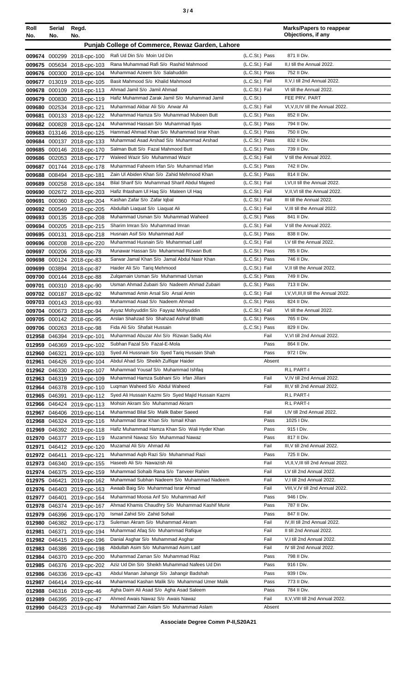| ×<br>٠<br>I<br>۰,<br>× |  |  |
|------------------------|--|--|
|------------------------|--|--|

| Roll<br>No.      | Serial<br>No. | Regd.<br>No.                                             |                                                                                        |                                  | <b>Marks/Papers to reappear</b><br>Objections, if any              |
|------------------|---------------|----------------------------------------------------------|----------------------------------------------------------------------------------------|----------------------------------|--------------------------------------------------------------------|
|                  |               |                                                          | Punjab College of Commerce, Rewaz Garden, Lahore                                       |                                  |                                                                    |
|                  |               |                                                          |                                                                                        |                                  |                                                                    |
|                  |               | 009674 000299 2018-cpc-100                               | Rafi Ud Din S/o Moin Ud Din<br>Rana Muhammad Rafi S/o Rashid Mahmood                   | (L.C.St.) Pass                   | 871 II Div.<br>II.I till the Annual 2022.                          |
|                  |               | 009675 005634 2018-cpc-103<br>009676 000300 2018-cpc-104 | Muhammad Azeem S/o Salahuddin                                                          | (L.C.St.) Fail<br>(L.C.St.) Pass | 752 II Div.                                                        |
| 009677           |               | 013019 2018-cpc-105                                      | Basit Mahmood S/o Khalid Mahmood                                                       | (L.C.St.) Fail                   | II, V, I till 2nd Annual 2022.                                     |
| 009678           |               | 000109 2018-cpc-113                                      | Ahmad Jamil S/o Jamil Ahmad                                                            | (L.C.St.) Fail                   | VI till the Annual 2022.                                           |
| 009679           | 000830        | 2018-cpc-119                                             | Hafiz Muhammad Zarak Jamil S/o Muhammad Jamil                                          | (L.C.S <sub>t</sub> )            | FEE PRV. PART                                                      |
|                  |               | 009680 002534 2018-cpc-121                               | Muhammad Akbar Ali S/o Anwar Ali                                                       | (L.C.St.) Fail                   | VI, V, II, IV till the Annual 2022.                                |
|                  |               | 009681 000133 2018-cpc-122                               | Muhammad Hamza S/o Muhammad Mubeen Butt                                                | (L.C.St.) Pass                   | 852 II Div.                                                        |
|                  |               | 009682 000828 2018-cpc-124                               | Muhammad Hassan S/o Muhammad Ilyas                                                     | (L.C.St.) Pass                   | 794 II Div.                                                        |
|                  |               | 009683 013146 2018-cpc-125                               | Hammad Ahmad Khan S/o Muhammad Israr Khan                                              | (L.C.St.) Pass                   | 750 II Div.                                                        |
|                  |               | 009684 000137 2018-cpc-133                               | Muhammad Asad Arshad S/o Muhammad Arshad                                               | (L.C.St.) Pass                   | 832 II Div.                                                        |
|                  |               | 009685 000146 2018-cpc-170                               | Salman Butt S/o Fazal Mahmood Butt                                                     | (L.C.St.) Pass                   | 739 II Div.                                                        |
|                  |               | 009686 002053 2018-cpc-177                               | Waleed Wazir S/o Muhammad Wazir                                                        | (L.C.St.) Fail                   | V till the Annual 2022.                                            |
| 009687           |               | 001744 2018-cpc-178                                      | Muhammad Faheem Irfan S/o Muhammad Irfan                                               | (L.C.St.) Pass                   | 742 II Div.                                                        |
| 009688           |               | 008494 2018-cpc-181                                      | Zain UI Abiden Khan S/o Zahid Mehmood Khan                                             | (L.C.St.) Pass                   | 814 II Div.                                                        |
|                  |               | 009689 000258 2018-cpc-184                               | Bilal Sharif S/o Muhammad Sharif Abdul Majeed                                          | (L.C.St.) Fail                   | I, VI, II till the Annual 2022.                                    |
| 009690           |               | 002672 2018-cpc-203                                      | Hafiz Ihtasham UI Haq S/o Mateen UI Haq                                                | (L.C.St.) Fail                   | V, II, VI till the Annual 2022.                                    |
| 009691           |               | 000360 2018-cpc-204                                      | Kashan Zafar S/o Zafar Iqbal                                                           | (L.C.St.) Fail                   | III till the Annual 2022.<br>V.III till the Annual 2022.           |
|                  |               | 009692 000549 2018-cpc-205                               | Abdullah Liaquat S/o Liaquat Ali<br>Muhammad Usman S/o Muhammad Waheed                 | (L.C.St.) Fail<br>(L.C.St.) Pass | 841 II Div.                                                        |
| 009693<br>009694 |               | 000135 2018-cpc-208<br>000205 2018-cpc-215               | Sharim Imran S/o Muhammad Imran                                                        | (L.C.St.) Fail                   | V till the Annual 2022.                                            |
| 009695           |               | 000131 2018-cpc-218                                      | Husnain Asif S/o Muhammad Asif                                                         | (L.C.St.) Pass                   | 838 II Div.                                                        |
|                  |               | 009696 000208 2018-cpc-220                               | Muhammad Husnain S/o Muhammad Latif                                                    | (L.C.St.) Fail                   | I, V till the Annual 2022.                                         |
|                  |               | 009697 000206 2018-cpc-78                                | Munawar Hassan S/o Muhammad Rizwan Butt                                                | (L.C.St.) Pass                   | 785 II Div.                                                        |
|                  |               | 009698 000124 2018-cpc-83                                | Sarwar Jamal Khan S/o Jamal Abdul Nasir Khan                                           | (L.C.St.) Pass                   | 746 II Div.                                                        |
|                  |               | 009699 003894 2018-cpc-87                                | Haider Ali S/o Tariq Mehmood                                                           | (L.C.St.) Fail                   | V, Il till the Annual 2022.                                        |
|                  |               | 009700 000144 2018-cpc-88                                | Zulgarnain Usman S/o Muhammad Usman                                                    | (L.C.St.) Pass                   | 749 II Div.                                                        |
| 009701           |               | 000310 2018-cpc-90                                       | Usman Ahmad Zubairi S/o Nadeem Ahmad Zubairi                                           | (L.C.St.) Pass                   | 713 II Div.                                                        |
|                  |               | 009702 000187 2018-cpc-92                                | Muhammad Amin Arsal S/o Arsal Amin                                                     | (L.C.St.) Fail                   | I, V, VI, III, II till the Annual 2022.                            |
|                  |               | 009703 000143 2018-cpc-93                                | Muhammad Asad S/o Nadeem Ahmad                                                         | (L.C.St.) Pass                   | 824 II Div.                                                        |
|                  |               | 009704 000673 2018-cpc-94                                | Ayyaz Mohyuddin S/o Fayyaz Mohyuddin                                                   | (L.C.St.) Fail                   | VI till the Annual 2022.                                           |
|                  |               | 009705 000142 2018-cpc-95                                | Arslan Shahzad S/o Shahzad Ashraf Bhatti                                               | (L.C.St.) Pass                   | 765 II Div.                                                        |
|                  |               | 009706 000263 2018-cpc-98                                | Fida Ali S/o Shafait Hussain                                                           | (L.C.St.) Pass                   | 829 II Div.                                                        |
|                  |               | 012958 046394 2019-cpc-101                               | Muhammad Abuzar Alvi S/o Rizwan Sadiq Alvi                                             | Fail                             | V, VI till 2nd Annual 2022.                                        |
|                  |               | 012959 046369 2019-cpc-102                               | Subhan Fazal S/o Fazal-E-Mola                                                          | Pass<br>Pass                     | 864 II Div.<br>972   Div.                                          |
|                  | 012960 046321 | 2019-cpc-103<br>046426 2019-cpc-104                      | Syed Ali Hussnain S/o Syed Tariq Hussain Shah<br>Abdul Ahad S/o Sheikh Zulfigar Haider | Absent                           |                                                                    |
| 012961           |               | 012962 046330 2019-cpc-107                               | Muhammad Yousaf S/o Muhammad Ishfaq                                                    |                                  | R.L PART-I                                                         |
|                  |               | 012963 046319 2019-cpc-109                               | Muhammad Hamza Subhani S/o Irfan Jillani                                               | Fail                             | V, IV till 2nd Annual 2022.                                        |
|                  |               | 012964 046378 2019-cpc-110                               | Luqman Waheed S/o Abdul Waheed                                                         | Fail                             | III, V till 2nd Annual 2022.                                       |
|                  | 012965 046391 | 2019-cpc-112                                             | Syed Ali Hussain Kazmi S/o Syed Majid Hussain Kazmi                                    |                                  | R.L PART-I                                                         |
|                  |               | 012966 046424 2019-cpc-113                               | Mohsin Akram S/o Muhammad Akram                                                        |                                  | R.L PART-I                                                         |
|                  |               | 012967 046406 2019-cpc-114                               | Muhammad Bilal S/o Malik Baber Saeed                                                   | Fail                             | I,IV till 2nd Annual 2022.                                         |
|                  |               | 012968 046324 2019-cpc-116                               | Muhammad Ibrar Khan S/o Ismail Khan                                                    | Pass                             | 1025   Div.                                                        |
|                  |               | 012969 046392 2019-cpc-118                               | Hafiz Muhammad Hamza Khan S/o Wali Hyder Khan                                          | Pass                             | 915   Div.                                                         |
|                  |               | 012970 046377 2019-cpc-119                               | Muzammil Nawaz S/o Muhammad Nawaz                                                      | Pass                             | 817 II Div.                                                        |
|                  |               | 012971 046412 2019-cpc-120                               | Muzamal Ali S/o Ahmad Ali                                                              | Fail                             | III, V till 2nd Annual 2022.                                       |
|                  |               | 012972 046411 2019-cpc-121                               | Muhammad Aqib Razi S/o Muhammad Razi                                                   | Pass                             | 725 II Div.                                                        |
|                  |               | 012973 046340 2019-cpc-155                               | Haseeb Ali S/o Nawazish Ali<br>Muhammad Sohaib Rana S/o Tanveer Rahim                  | Fail<br>Fail                     | VI, II, V, III till 2nd Annual 2022.<br>I, V till 2nd Annual 2022. |
|                  |               | 012974 046375 2019-cpc-159                               | Muhammad Subhan Nadeem S/o Muhammad Nadeem                                             | Fail                             | V,I till 2nd Annual 2022.                                          |
|                  | 012975 046421 | 2019-cpc-162<br>012976 046403 2019-cpc-163               | Awaab Baig S/o Muhammad Israr Ahmad                                                    | Fail                             | VIII, V, IV till 2nd Annual 2022.                                  |
|                  | 012977 046401 | 2019-cpc-164                                             | Muhammad Moosa Arif S/o Muhammad Arif                                                  | Pass                             | 946 I Div.                                                         |
|                  |               | 012978 046374 2019-cpc-167                               | Ahmad Khamis Chaudhry S/o Muhammad Kashif Munir                                        | Pass                             | 787 II Div.                                                        |
|                  |               | 012979 046396 2019-cpc-170                               | Ismail Zahid S/o Zahid Sohail                                                          | Pass                             | 847 II Div.                                                        |
|                  |               | 012980 046382 2019-cpc-173                               | Suleman Akram S/o Muhammad Akram                                                       | Fail                             | IV, III till 2nd Annual 2022.                                      |
| 012981           | 046371        | 2019-cpc-194                                             | Muhammad Afaq S/o Muhammad Rafique                                                     | Fail                             | II till 2nd Annual 2022.                                           |
|                  |               | 012982 046415 2019-cpc-196                               | Danial Asghar S/o Muhammad Asghar                                                      | Fail                             | V,I till 2nd Annual 2022.                                          |
|                  |               | 012983 046386 2019-cpc-198                               | Abdullah Asim S/o Muhammad Asim Latif                                                  | Fail                             | IV till 2nd Annual 2022.                                           |
|                  |               | 012984 046370 2019-cpc-200                               | Muhammad Zaman S/o Muhammad Riaz                                                       | Pass                             | 798 II Div.                                                        |
|                  |               | 012985 046376 2019-cpc-202                               | Aziz Ud Din S/o Sheikh Muhammad Nafees Ud Din                                          | Pass                             | 916   Div.                                                         |
|                  |               | 012986 046336 2019-cpc-43                                | Abdul Manan Jahangir S/o Jahangir Badshah                                              | Pass                             | 939 I Div.                                                         |
|                  |               | 012987 046414 2019-cpc-44                                | Muhammad Kashan Malik S/o Muhammad Umer Malik                                          | Pass                             | 773 II Div.                                                        |
|                  |               | 012988 046316 2019-cpc-46                                | Agha Daim Ali Asad S/o Agha Asad Saleem                                                | Pass                             | 784 II Div.                                                        |
|                  |               | 012989 046395 2019-cpc-47                                | Ahmed Awais Nawaz S/o Awais Nawaz                                                      | Fail                             | II, V, VIII till 2nd Annual 2022.                                  |
|                  |               | 012990 046423 2019-cpc-49                                | Muhammad Zain Aslam S/o Muhammad Aslam                                                 | Absent                           |                                                                    |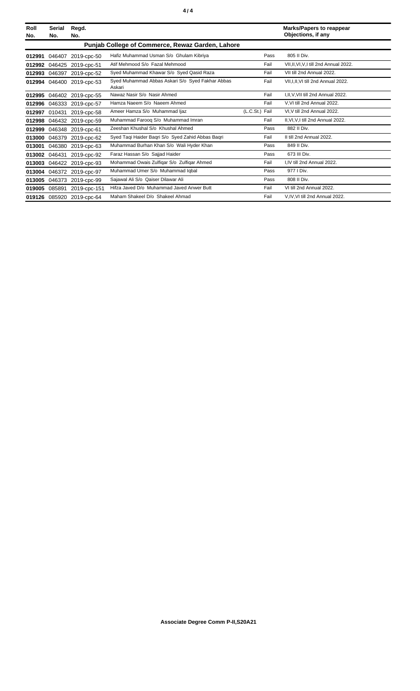| Roll<br>No. | Serial<br>No.                                    | Regd.<br>No.              |                                                            |                | <b>Marks/Papers to reappear</b><br>Objections, if any |  |  |
|-------------|--------------------------------------------------|---------------------------|------------------------------------------------------------|----------------|-------------------------------------------------------|--|--|
|             | Punjab College of Commerce, Rewaz Garden, Lahore |                           |                                                            |                |                                                       |  |  |
| 012991      | 046407                                           | 2019-cpc-50               | Hafiz Muhammad Usman S/o Ghulam Kibriya                    | Pass           | 805 II Div.                                           |  |  |
| 012992      | 046425                                           | 2019-cpc-51               | Atif Mehmood S/o Fazal Mehmood                             | Fail           | VII, II, VI, V, I till 2nd Annual 2022.               |  |  |
| 012993      | 046397                                           | 2019-cpc-52               | Syed Muhammad Khawar S/o Syed Qasid Raza                   | Fail           | VII till 2nd Annual 2022.                             |  |  |
| 012994      |                                                  | 046400 2019-cpc-53        | Syed Muhammad Abbas Askari S/o Syed Fakhar Abbas<br>Askari | Fail           | VII, I, II, VI till 2nd Annual 2022.                  |  |  |
| 012995      | 046402                                           | 2019-cpc-55               | Nawaz Nasir S/o Nasir Ahmed                                | Fail           | I.II.V.VII till 2nd Annual 2022.                      |  |  |
| 012996      | 046333                                           | 2019-cpc-57               | Hamza Naeem S/o Naeem Ahmed                                | Fail           | V.VI till 2nd Annual 2022.                            |  |  |
| 012997      | 010431                                           | 2019-cpc-58               | Ameer Hamza S/o Muhammad Ijaz                              | (L.C.St.) Fail | VI, V till 2nd Annual 2022.                           |  |  |
| 012998      |                                                  | 046432 2019-cpc-59        | Muhammad Farooq S/o Muhammad Imran                         | Fail           | II, VI, V, I till 2nd Annual 2022.                    |  |  |
| 012999      | 046348                                           | 2019-cpc-61               | Zeeshan Khushal S/o Khushal Ahmed                          | Pass           | 882 II Div.                                           |  |  |
| 013000      | 046379                                           | 2019-cpc-62               | Syed Taqi Haider Baqri S/o Syed Zahid Abbas Baqri          | Fail           | II till 2nd Annual 2022.                              |  |  |
| 013001      | 046380                                           | 2019-cpc-63               | Muhammad Burhan Khan S/o Wali Hyder Khan                   | Pass           | 849 II Div.                                           |  |  |
| 013002      | 046431                                           | 2019-cpc-92               | Faraz Hassan S/o Sajjad Haider                             | Pass           | 673 III Div.                                          |  |  |
| 013003      |                                                  | 046422 2019-cpc-93        | Mohammad Owais Zulfiqar S/o Zulfiqar Ahmed                 | Fail           | I.IV till 2nd Annual 2022.                            |  |  |
| 013004      |                                                  | 046372 2019-cpc-97        | Muhammad Umer S/o Muhammad Iqbal                           | Pass           | 977   Div.                                            |  |  |
| 013005      | 046373                                           | 2019-cpc-99               | Sajawal Ali S/o Qaiser Dilawar Ali                         | Pass           | 808 II Div.                                           |  |  |
| 019005      | 085891                                           | 2019-cpc-151              | Hifza Javed D/o Muhammad Javed Anwer Butt                  | Fail           | VI till 2nd Annual 2022.                              |  |  |
|             |                                                  | 019126 085920 2019-cpc-64 | Maham Shakeel D/o Shakeel Ahmad                            | Fail           | V,IV,VI till 2nd Annual 2022.                         |  |  |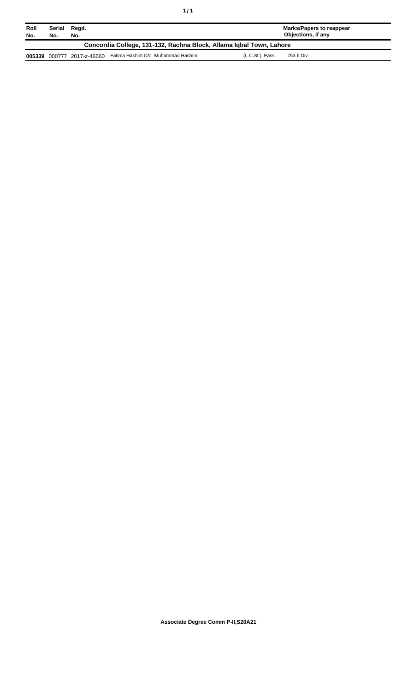| Roll<br>No.                                                         | Serial<br>No. | Regd.<br>No. |                                   | Marks/Papers to reappear<br>Objections, if any |  |
|---------------------------------------------------------------------|---------------|--------------|-----------------------------------|------------------------------------------------|--|
| Concordia College, 131-132, Rachna Block, Allama Igbal Town, Lahore |               |              |                                   |                                                |  |
| 005339                                                              | 000777        | 2017-z-46660 | Fatima Hashim D/o Muhammad Hashim | (L.C.St.) Pass<br>753 II Div.                  |  |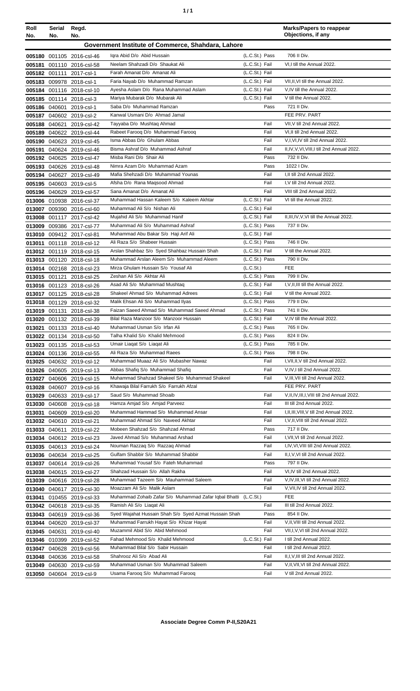| ٠ | ٠ |
|---|---|
|   |   |

| Roll   | Serial | Regd.                                                  |                                                                        |                                  | <b>Marks/Papers to reappear</b><br>Objections, if any |
|--------|--------|--------------------------------------------------------|------------------------------------------------------------------------|----------------------------------|-------------------------------------------------------|
| No.    | No.    | No.                                                    |                                                                        |                                  |                                                       |
|        |        |                                                        | Government Institute of Commerce, Shahdara, Lahore                     |                                  |                                                       |
|        |        | 005180 001105 2016-csl-46                              | Igra Abid D/o Abid Hussain                                             | (L.C.St.) Pass                   | 706 II Div.                                           |
| 005181 |        | 001110 2016-csl-58                                     | Neelam Shahzadi D/o Shaukat Ali                                        | (L.C.St.) Fail                   | VI,I till the Annual 2022.                            |
|        |        | 005182 001111 2017-csl-1                               | Farah Amanat D/o Amanat Ali                                            | (L.C.St.) Fail                   |                                                       |
|        |        | 005183 009978 2018-csl-1                               | Faria Nayab D/o Muhammad Ramzan                                        | (L.C.St.) Fail                   | VII, II, VI till the Annual 2022.                     |
|        |        | 005184 001116 2018-csl-10                              | Ayesha Aslam D/o Rana Muhammad Aslam<br>Mariya Mubarak D/o Mubarak Ali | (L.C.St.) Fail<br>(L.C.St.) Fail | V,IV till the Annual 2022.                            |
|        |        | 005185 001114 2018-csl-3                               | Saba D/o Muhammad Ramzan                                               | Pass                             | V till the Annual 2022.<br>721 II Div.                |
|        |        | 005186 040601 2019-csl-1                               | Kanwal Usmani D/o Ahmad Jamal                                          |                                  | FEE PRV. PART                                         |
|        |        | 005187 040602 2019-csl-2                               | Tayyaba D/o Mushtag Ahmad                                              | Fail                             | VII, V till 2nd Annual 2022.                          |
|        |        | 005188 040621 2019-csl-42<br>005189 040622 2019-csl-44 | Rabeet Farooq D/o Muhammad Farooq                                      | Fail                             | VI, II till 2nd Annual 2022.                          |
|        |        | 005190 040623 2019-csl-45                              | Isma Abbas D/o Ghulam Abbas                                            | Fail                             | V,I, VI, IV till 2nd Annual 2022.                     |
|        |        | 005191 040624 2019-csl-46                              | Bisma Ashraf D/o Muhammad Ashraf                                       | Fail                             | II, IV, V, VI, VIII, I till 2nd Annual 2022.          |
|        |        | 005192 040625 2019-csl-47                              | Misba Rani D/o Shair Ali                                               | Pass                             | 732 II Div.                                           |
|        |        | 005193 040626 2019-csl-48                              | Nimra Azam D/o Muhammad Azam                                           | Pass                             | 1022   Div.                                           |
|        |        | 005194 040627 2019-csl-49                              | Mafia Shehzadi D/o Muhammad Younas                                     | Fail                             | I, II till 2nd Annual 2022.                           |
|        |        | 005195 040603 2019-csl-5                               | Afsha D/o Rana Magsood Ahmad                                           | Fail                             | I, V till 2nd Annual 2022.                            |
|        |        | 005196 040629 2019-csl-57                              | Sana Amanat D/o Amanat Ali                                             | Fail                             | VIII till 2nd Annual 2022.                            |
|        |        | 013006 010938 2016-csl-37                              | Muhammad Hassan Kaleem S/o Kaleem Akhtar                               | (L.C.St.) Fail                   | VI till the Annual 2022.                              |
|        |        | 013007 009390 2016-csl-60                              | Muhammad Ali S/o Nishan Ali                                            | (L.C.St.) Fail                   |                                                       |
|        |        | 013008 001117 2017-csl-42                              | Mujahid Ali S/o Muhammad Hanif                                         | (L.C.St.) Fail                   | II, III, IV, V, VI till the Annual 2022.              |
|        |        | 013009 009386 2017-csl-77                              | Muhammad Ali S/o Muhammad Ashraf                                       | (L.C.St.) Pass                   | 737 II Div.                                           |
|        |        | 013010 009412 2017-csl-81                              | Muhammad Abu Bakar S/o Haji Arif Ali                                   | (L.C.St.) Fail                   |                                                       |
| 013011 |        | 001118 2018-csl-12                                     | Ali Raza S/o Shabeer Hussain                                           | (L.C.St.) Pass                   | 746 II Div.                                           |
|        |        | 013012 001119 2018-csl-15                              | Arslan Shahbaz S/o Syed Shahbaz Hussain Shah                           | (L.C.St.) Fail                   | V till the Annual 2022.                               |
|        |        | 013013 001120 2018-csl-18                              | Muhammad Arslan Aleem S/o Muhammad Aleem                               | (L.C.St.) Pass                   | 790 II Div.                                           |
|        |        | 013014 002168 2018-csl-23                              | Mirza Ghulam Hussain S/o Yousaf Ali                                    | (L.C.St.)                        | <b>FEE</b>                                            |
|        |        | 013015 001121 2018-csl-25                              | Zeshan Ali S/o Akhtar Ali                                              | (L.C.St.) Pass                   | 799 II Div.                                           |
|        |        | 013016 001123 2018-csl-26                              | Asad Ali S/o Muhammad Mushtag                                          | (L.C.St.) Fail                   | I, V, II, III till the Annual 2022.                   |
|        |        | 013017 001125 2018-csl-28                              | Shakeel Ahmad S/o Muhammad Adrees                                      | (L.C.St.) Fail                   | V till the Annual 2022.                               |
|        |        | 013018 001129 2018-csl-32                              | Malik Ehsan Ali S/o Muhammad Ilyas                                     | (L.C.St.) Pass                   | 779 II Div.                                           |
|        |        | 013019 001131 2018-csl-38                              | Faizan Saeed Ahmad S/o Muhammad Saeed Ahmad                            | (L.C.St.) Pass                   | 741 II Div.                                           |
|        |        | 013020 001132 2018-csl-39                              | Bilal Raza Manzoor S/o Manzoor Hussain                                 | (L.C.St.) Fail                   | V.IV till the Annual 2022.<br>765 II Div.             |
|        |        | 013021 001133 2018-csl-40                              | Muhammad Usman S/o Irfan Ali                                           | (L.C.St.) Pass<br>(L.C.St.) Pass |                                                       |
|        |        | 013022 001134 2018-csl-50                              | Talha Khalid S/o Khalid Mehmood<br>Umair Liagat S/o Liagat Ali         | (L.C.St.) Pass                   | 824 II Div.<br>785 II Div.                            |
|        |        | 013023 001135 2018-csl-53<br>013024 001136 2018-csl-55 | Ali Raza S/o Muhammad Raees                                            | (L.C.St.) Pass                   | 798 II Div.                                           |
|        |        | 013025 040632 2019-csl-12                              | Muhammad Muaaz Ali S/o Mubasher Nawaz                                  | Fail                             | I, VII, II, V till 2nd Annual 2022.                   |
|        |        | 013026 040605 2019-csl-13                              | Abbas Shafiq S/o Muhammad Shafiq                                       | Fail                             | V, IV, I till 2nd Annual 2022.                        |
|        |        | 013027 040606 2019-csl-15                              | Muhammad Shahzad Shakeel S/o Muhammad Shakeel                          | Fail                             | V, III, VII till 2nd Annual 2022.                     |
|        |        | 013028 040607 2019-csl-16                              | Khawaja Bilal Farrukh S/o Farrukh Afzal                                |                                  | FEE PRV. PART                                         |
|        |        | 013029 040633 2019-csl-17                              | Saud S/o Muhammad Shoaib                                               | Fail                             | V, II, IV, III, I, VIII till 2nd Annual 2022.         |
|        |        | 013030 040608 2019-csl-18                              | Hamza Amjad S/o Amjad Parveez                                          | Fail                             | III till 2nd Annual 2022.                             |
|        |        | 013031 040609 2019-csl-20                              | Muhammad Hammad S/o Muhammad Ansar                                     | Fail                             | I, II, III, VIII, V till 2nd Annual 2022.             |
|        |        | 013032 040610 2019-csl-21                              | Muhammad Ahmad S/o Naveed Akhtar                                       | Fail                             | I, V, II, VIII till 2nd Annual 2022.                  |
|        |        | 013033 040611 2019-csl-22                              | Mobeen Shahzad S/o Shahzad Ahmad                                       | Pass                             | 717 II Div.                                           |
|        |        | 013034 040612 2019-csl-23                              | Javed Ahmad S/o Muhammad Arshad                                        | Fail                             | I, VII, VI till 2nd Annual 2022.                      |
|        |        | 013035 040613 2019-csl-24                              | Nouman Razzaq S/o Razzaq Ahmad                                         | Fail                             | I,IV, VI, VIII till 2nd Annual 2022.                  |
|        |        | 013036 040634 2019-csl-25                              | Gulfam Shabbir S/o Muhammad Shabbir                                    | Fail                             | II, I, V, VI till 2nd Annual 2022.                    |
|        |        | 013037 040614 2019-csl-26                              | Muhammad Yousaf S/o Fateh Muhammad                                     | Pass                             | 797 II Div.                                           |
|        |        | 013038 040615 2019-csl-27                              | Shahzad Hussain S/o Allah Rakha                                        | Fail                             | VI, IV till 2nd Annual 2022.                          |
|        |        | 013039 040616 2019-csl-28                              | Muhammad Tazeem S/o Mauhammad Saleem                                   | Fail                             | V,IV,III, VI till 2nd Annual 2022.                    |
|        |        | 013040 040617 2019-csl-30                              | Moazzam Ali S/o Malik Aslam                                            | Fail                             | V, VII, IV till 2nd Annual 2022.                      |
|        |        | 013041 010455 2019-csl-33                              | Muhammad Zohaib Zafar S/o Muhammad Zafar Iqbal Bhatti (L.C.St.)        |                                  | <b>FEE</b>                                            |
|        |        | 013042 040618 2019-csl-35                              | Ramish Ali S/o Liaqat Ali                                              | Fail                             | III till 2nd Annual 2022.                             |
|        |        | 013043 040619 2019-csl-36                              | Syed Wajahat Hussain Shah S/o Syed Azmat Hussain Shah                  | Pass                             | 854 II Div.                                           |
|        |        | 013044 040620 2019-csl-37                              | Muhammad Farrukh Hayat S/o Khizar Hayat                                | Fail                             | V, II, VIII till 2nd Annual 2022.                     |
|        |        | 013045 040631 2019-csl-40                              | Muzammil Abid S/o Abid Mehmood                                         | Fail                             | VII, I, V, VI till 2nd Annual 2022.                   |
|        |        | 013046 010399 2019-csl-52                              | Fahad Mehmood S/o Khalid Mehmood                                       | (L.C.St.) Fail                   | I till 2nd Annual 2022.                               |
|        |        | 013047 040628 2019-csl-56                              | Muhammad Bilal S/o Sabir Hussain                                       | Fail                             | I till 2nd Annual 2022.                               |
|        |        | 013048 040636 2019-csl-58                              | Shahrooz Ali S/o Abad Ali                                              | Fail                             | II, I, V, III till 2nd Annual 2022.                   |
|        |        | 013049 040630 2019-csl-59                              | Muhammad Usman S/o Muhammad Saleem                                     | Fail                             | V, II, VII, VI till 2nd Annual 2022.                  |
|        |        | 013050 040604 2019-csl-9                               | Usama Farooq S/o Muhammad Farooq                                       | Fail                             | V till 2nd Annual 2022.                               |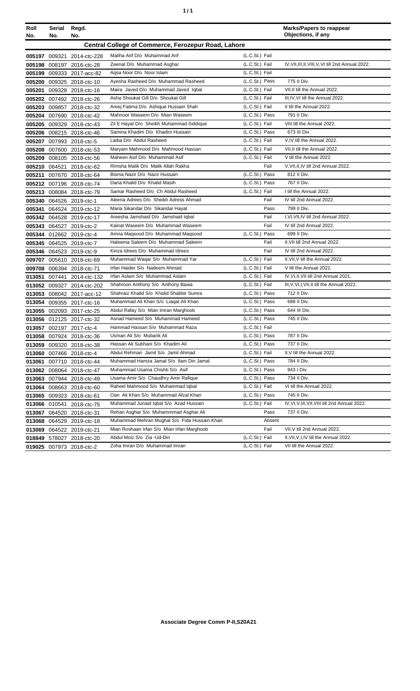| ٠ | ì |
|---|---|
|   |   |

| Roll   | Serial | Regd.                      |                                                            |                | <b>Marks/Papers to reappear</b>                     |
|--------|--------|----------------------------|------------------------------------------------------------|----------------|-----------------------------------------------------|
| No.    | No.    | No.                        |                                                            |                | Objections, if any                                  |
|        |        |                            | <b>Central College of Commerce, Ferozepur Road, Lahore</b> |                |                                                     |
|        |        | 005197 009321 2014-ctc-228 | Maliha Arif D/o Muhammad Arif                              | (L.C.St.) Fail |                                                     |
|        |        | 005198 008197 2016-ctc-28  | Zeenat D/o Muhammad Asghar                                 | (L.C.St.) Fail | IV, VII, III, II, VIII, V, VI till 2nd Annual 2022. |
|        |        | 005199 009333 2017-acc-82  | Agsa Noor D/o Noor Islam                                   | (L.C.St.) Fail |                                                     |
| 005200 |        | 009325 2018-ctc-10         | Ayesha Rasheed D/o Muhammad Rasheed                        | (L.C.St.) Pass | 775 II Div.                                         |
| 005201 |        | 009328 2018-ctc-16         | Maira Javed D/o Muhammad Javed Iqbal                       | (L.C.St.) Fail | VII, II till the Annual 2022.                       |
| 005202 |        | 007492 2018-ctc-26         | Asha Shoukat Gill D/o Shoukat Gill                         | (L.C.St.) Fail | III, IV, VI till the Annual 2022.                   |
| 005203 |        | 009857 2018-ctc-32         | Areej Fatima D/o Ashique Hussain Shah                      | (L.C.St.) Fail | II till the Annual 2022.                            |
|        |        | 005204 007690 2018-ctc-42  | Mahnoor Waseem D/o Mian Waseem                             | (L.C.St.) Pass | 791 II Div.                                         |
| 005205 |        | 009329 2018-ctc-43         | Zil E Hayat D/o Sheikh Muhammad Siddique                   | (L.C.St.) Fail | VIII till the Annual 2022.                          |
| 005206 |        | 008215 2018-ctc-46         | Samina Khadim D/o Khadim Hussain                           | (L.C.St.) Pass | 673 III Div.                                        |
| 005207 |        | 007993 2018-ctc-5          | Laiba D/o Abdul Rasheed                                    | (L.C.St.) Fail | V,IV till the Annual 2022.                          |
| 005208 |        | 007600 2018-ctc-53         | Maryam Mahmood D/o Mahmood Hassan                          | (L.C.St.) Fail | VII, II till the Annual 2022.                       |
| 005209 |        | 008105 2018-ctc-56         | Maheen Asif D/o Muhammad Asif                              | (L.C.St.) Fail | V till the Annual 2022.                             |
| 005210 |        | 064521 2018-ctc-62         | Rimsha Malik D/o Malik Allah Rakha                         | Fail           | V, VII, II, IV till 2nd Annual 2022.                |
| 005211 |        | 007670 2018-ctc-64         | Bisma Nazir D/o Nazir Hussain                              | (L.C.St.) Pass | 812 II Div.                                         |
|        |        | 005212 007196 2018-ctc-74  | Daria Khalid D/o Khalid Masih                              | (L.C.St.) Pass | 767 II Div.                                         |
|        |        | 005213 008084 2018-ctc-79  | Samar Rasheed D/o Ch Abdul Rasheed                         | (L.C.St.) Fail | I till the Annual 2022.                             |
|        |        | 005340 064526 2019-ctc-1   | Aleena Adrees D/o Sheikh Adress Ahmad                      | Fail           | IV till 2nd Annual 2022.                            |
| 005341 |        | 064524 2019-ctc-12         | Maria Sikandar D/o Sikandar Hayat                          | Pass           | 799 II Div.                                         |
|        |        | 005342 064528 2019-ctc-17  | Areesha Jamshaid D/o Jamshaid Iqbal                        | Fail           | I.VI.VII.IV till 2nd Annual 2022.                   |
| 005343 |        | 064527 2019-ctc-2          | Kainat Waseem D/o Muhammad Waseem                          | Fail           | IV till 2nd Annual 2022.                            |
| 005344 |        | 012662 2019-ctc-4          | Amna Magsood D/o Muhammad Magsood                          | (L.C.St.) Pass | 699 II Div.                                         |
|        |        | 005345 064525 2019-ctc-7   | Haleema Saleem D/o Muhammad Saleem                         | Fail           | II, VII till 2nd Annual 2022.                       |
|        |        | 005346 064523 2019-ctc-9   | Kinza Idrees D/o Muhammad Idrees                           | Fail           | IV till 2nd Annual 2022.                            |
| 009707 |        | 005610 2018-ctc-69         | Muhammad Waqar S/o Muhammad Yar                            | (L.C.St.) Fail | II, VII, V till the Annual 2022.                    |
| 009708 |        | 006394 2018-ctc-71         | Irfan Haider S/o Nadeem Ahmad                              | (L.C.St.) Fail | V till the Annual 2022.                             |
| 013051 |        | 007441 2014-ctc-132        | Irfan Aslam S/o Muhammad Aslam                             | (L.C.St.) Fail | IV, VI, II, VII till 2nd Annual 2021.               |
| 013052 |        | 009327 2014-ctc-202        | Shahroon Anthony S/o Anthony Bawa                          | (L.C.St.) Fail | III, V, VI, I, VII, II till the Annual 2022.        |
| 013053 |        | 008042 2017-acc-12         | Shahraiz Khalid S/o Khalid Shabbir Sumra                   | (L.C.St.) Pass | 712 II Div.                                         |
| 013054 |        | 009355 2017-ctc-16         | Muhammad Ali Khan S/o Liagat Ali Khan                      | (L.C.St.) Pass | 688 II Div.                                         |
| 013055 |        | 002093 2017-ctc-25         | Abdul Rafay S/o Mian Imran Marghoob                        | (L.C.St.) Pass | 644 III Div.                                        |
|        |        | 013056 012125 2017-ctc-32  | Asnad Hameed S/o Muhammad Hameed                           | (L.C.St.) Pass | 745 II Div.                                         |
|        |        | 013057 002197 2017-ctc-4   | Hammad Hassan S/o Muhammad Raza                            | (L.C.St.) Fail |                                                     |
|        |        | 013058 007924 2018-ctc-36  | Usman Ali S/o Mubarik Ali                                  | (L.C.St.) Pass | 787 II Div.                                         |
| 013059 |        | 009320 2018-ctc-38         | Hassan Ali Subhani S/o Khadim Ali                          | (L.C.St.) Pass | 737 II Div.                                         |
| 013060 |        | 007466 2018-ctc-4          | Abdul Rehman Jamil S/o Jamil Ahmad                         | (L.C.St.) Fail | II, V till the Annual 2022.                         |
| 013061 |        | 007710 2018-ctc-44         | Muhammad Hamza Jamal S/o Ilam Din Jamal                    | (L.C.St.) Pass | 784 II Div.                                         |
| 013062 |        | 008064 2018-ctc-47         | Muhammad Usama Chishti S/o Asif                            | (L.C.St.) Pass | 943 I Div.                                          |
| 013063 |        | 007944 2018-ctc-49         | Usama Amir S/o Chaudhry Amir Rafique                       | (L.C.St.) Pass | 734 II Div.                                         |
| 013064 |        | 008663 2018-ctc-60         | Raheel Mahmood S/o Muhammad Iqbal                          | (L.C.St.) Fail | VI till the Annual 2022.                            |
| 013065 |        | 009323 2018-ctc-61         | Oan Ali Khan S/o Muhammad Afzal Khan                       | (L.C.St.) Pass | 745 II Div.                                         |
|        |        | 013066 010541 2018-ctc-75  | Muhammad Junaid Iqbal S/o Azad Hussain                     | (L.C.St.) Fail | IV, VI, V, III, VII, VIII till 2nd Annual 2022.     |
| 013067 |        | 064520 2018-ctc-31         | Rehan Asghar S/o Muhammmad Asghar Ali                      | Pass           | 737 II Div.                                         |
| 013068 |        | 064529 2019-ctc-18         | Muhammad Mehran Mughal S/o Fida Hussain Khan               | Absent         |                                                     |
| 013069 |        | 064522 2019-ctc-21         | Mian Roshaan Irfan S/o Mian Irfan Marghoob                 | Fail           | VII, V till 2nd Annual 2022.                        |
|        |        | 018849 578027 2018-ctc-20  | Abdul Moiz S/o Zia -Ud-Din                                 | (L.C.St.) Fail | II, VII, V, I, IV till the Annual 2022.             |
|        |        | 019025 007973 2018-ctc-2   | Zoha Imran D/o Muhammad Imran                              | (L.C.St.) Fail | VII till the Annual 2022.                           |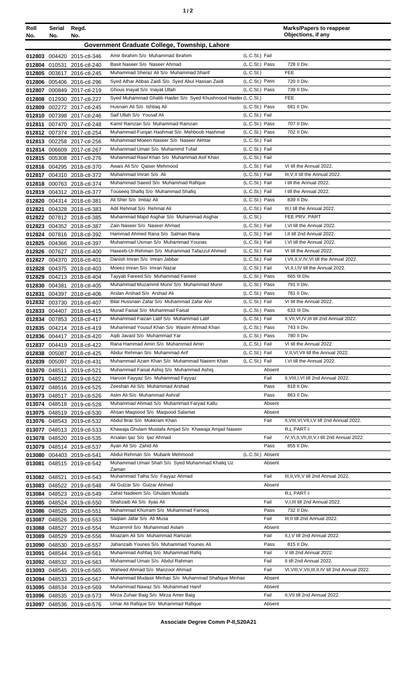| ٠ |  |
|---|--|
|   |  |

| Roll<br>No. | Serial<br>No. | Regd.<br>No.                                             |                                                                                                  |                                  | <b>Marks/Papers to reappear</b><br>Objections, if any                   |
|-------------|---------------|----------------------------------------------------------|--------------------------------------------------------------------------------------------------|----------------------------------|-------------------------------------------------------------------------|
|             |               |                                                          | Government Graduate College, Township, Lahore                                                    |                                  |                                                                         |
|             |               | 012803 004420 2015-ctl-346                               | Amir Ibrahim S/o Muhammad Ibrahim                                                                | (L.C.St.) Fail                   |                                                                         |
|             |               | 012804 010531 2016-ctl-240                               | Basit Naseer S/o Naseer Ahmad                                                                    | (L.C.St.) Pass                   | 728 II Div.                                                             |
|             |               | 012805 003617 2016-ctl-245                               | Muhammad Sheraz Ali S/o Muhammad Sharif                                                          | (L.C.S <sub>t</sub> )            | FEE                                                                     |
|             |               | 012806 005406 2016-ctl-296                               | Syed Athar Abbas Zaidi S/o Syed Abul Hassan Zaidi                                                | (L.C.St.) Pass                   | 720 II Div.                                                             |
|             |               | 012807 000849 2017-ctl-219                               | Ghous Inayat S/o Inayat Ullah<br>Syed Muhammad Ghalib Haider S/o Syed Khushnood Haider (L.C.St.) | (L.C.St.) Pass                   | 739 II Div.<br><b>FEE</b>                                               |
|             |               | 012808 012930 2017-ctl-227<br>012809 002272 2017-ctl-245 | Husnain Ali S/o Ishtiag Ali                                                                      | (L.C.St.) Pass                   | 681 II Div.                                                             |
|             |               | 012810 007398 2017-ctl-246                               | Saif Ullah S/o Yousaf Ali                                                                        | (L.C.St.) Fail                   |                                                                         |
| 012811      |               | 007470 2017-ctl-248                                      | Kamil Ramzan S/o Muhammad Ramzan                                                                 | (L.C.St.) Pass                   | 707 II Div.                                                             |
|             |               | 012812 007374 2017-ctl-254                               | Muhammad Furqan Hashmat S/o Mehboob Hashmat                                                      | (L.C.St.) Pass                   | 702 II Div.                                                             |
|             |               | 012813 002258 2017-ctl-256                               | Muhammad Moeen Naseer S/o Naseer Akhtar                                                          | (L.C.St.) Fail                   |                                                                         |
|             |               | 012814 006609 2017-ctl-267                               | Muhammad Umair S/o Muhammd Tufail                                                                | (L.C.St.) Fail                   |                                                                         |
|             |               | 012815 005308 2017-ctl-276                               | Muhammad Rasil Khan S/o Muhammad Asif Khan<br>Awais Ali S/o Qaiser Mehmood                       | (L.C.St.) Fail<br>(L.C.St.) Fail | VI till the Annual 2022.                                                |
|             |               | 012816 004295 2018-ctl-370<br>012817 004310 2018-ctl-372 | Muhammad Imran S/o Ali                                                                           | (L.C.St.) Fail                   | III, V, II till the Annual 2022.                                        |
|             |               | 012818 000763 2018-ctl-374                               | Muhammad Saeed S/o Muhammad Rafique                                                              | (L.C.St.) Fail                   | I till the Annual 2022.                                                 |
|             |               | 012819 004312 2018-ctl-377                               | Touseeq Shafiq S/o Muhammad Shafiq                                                               | (L.C.St.) Fail                   | I till the Annual 2022.                                                 |
|             |               | 012820 004314 2018-ctl-381                               | Ali Sher S/o Imtiaz Ali                                                                          | (L.C.St.) Pass                   | 839 II Div.                                                             |
|             |               | 012821 004328 2018-ctl-383                               | Adil Rehmat S/o Rehmat Ali                                                                       | (L.C.St.) Fail                   | III.I till the Annual 2022.                                             |
|             |               | 012822 007812 2018-ctl-385                               | Muhammad Majid Asghar S/o Muhammad Asghar                                                        | (L.C.St.)                        | FEE PRV. PART                                                           |
|             |               | 012823 004352 2018-ctl-387                               | Zain Naseer S/o Naseer Ahmad                                                                     | (L.C.St.) Fail                   | I.VI till the Annual 2022.                                              |
|             |               | 012824 007816 2018-ctl-392                               | Hammad Ahmed Rana S/o Salman Rana                                                                | (L.C.St.) Fail                   | I, II till 2nd Annual 2022.                                             |
|             |               | 012825 004366 2018-ctl-397                               | Muhammad Usman S/o Muhammad Younas                                                               | (L.C.St.) Fail                   | I, VI till the Annual 2022.                                             |
|             |               | 012826 007627 2018-ctl-400                               | Haseeb-Ur-Rehman S/o Muhammad Tafazzul Ahmed<br>Danish Imran S/o Imran Jabbar                    | (L.C.St.) Fail<br>(L.C.St.) Fail | VI till the Annual 2022.<br>I, VII, II, V, IV, VI till the Annual 2022. |
|             |               | 012827 004370 2018-ctl-401<br>012828 004375 2018-ctl-403 | Moeez Imran S/o Imran Nazar                                                                      | (L.C.St.) Fail                   | VI, II, I, IV till the Annual 2022.                                     |
|             |               | 012829 004213 2018-ctl-404                               | Tayyab Fareed S/o Muhammad Fareed                                                                | (L.C.St.) Pass                   | 665 III Div.                                                            |
|             |               | 012830 004381 2018-ctl-405                               | Muhammad Muzammil Munir S/o Muhammad Munir                                                       | (L.C.St.) Pass                   | 791 II Div.                                                             |
|             |               | 012831 004397 2018-ctl-406                               | Arslan Arshad S/o Arshad Ali                                                                     | (L.C.St.) Pass                   | 781 II Div.                                                             |
|             |               | 012832 003730 2018-ctl-407                               | Bilal Hussnain Zafar S/o Muhammad Zafar Alvi                                                     | (L.C.St.) Fail                   | VI till the Annual 2022.                                                |
|             |               | 012833 004407 2018-ctl-415                               | Murad Faisal S/o Muhammad Faisal                                                                 | (L.C.St.) Pass                   | 633 III Div.                                                            |
|             |               | 012834 007853 2018-ctl-417                               | Muhammad Faizan Latif S/o Muhammad Latif                                                         | (L.C.St.) Fail                   | II, VII, VI, IV, III till 2nd Annual 2022.                              |
|             |               | 012835 004214 2018-ctl-419                               | Muhammad Yousuf Khan S/o Wasim Ahmad Khan<br>Agib Javaid S/o Muhammad Yar                        | (L.C.St.) Pass<br>(L.C.St.) Pass | 743 II Div.<br>780 II Div.                                              |
|             |               | 012836 004417 2018-ctl-420<br>012837 004419 2018-ctl-422 | Rana Hammad Amin S/o Muhammad Amin                                                               | (L.C.St.) Fail                   | VI till the Annual 2022.                                                |
|             |               | 012838 005087 2018-ctl-425                               | Abdur Rehman S/o Muhammad Arif                                                                   | (L.C.St.) Fail                   | V, II, VI, VII till the Annual 2022.                                    |
|             |               | 012839 005097 2018-ctl-431                               | Muhammad Azam Khan S/o Muhammad Naeem Khan                                                       | (L.C.St.) Fail                   | I, VI till the Annual 2022.                                             |
|             |               | 013070 048511 2019-ctl-521                               | Muhammad Faisal Ashiq S/o Muhammad Ashiq                                                         | Absent                           |                                                                         |
|             |               | 013071 048512 2019-ctl-522                               | Haroon Fayyaz S/o Muhammad Fayyaz                                                                | Fail                             | II, VIII, I, VI till 2nd Annual 2022.                                   |
|             |               | 013072 048516 2019-ctl-525                               | Zeeshan Ali S/o Muhammad Arshad                                                                  | Pass                             | 818 II Div.                                                             |
|             |               | 013073 048517 2019-ctl-526                               | Asim Ali S/o Muhammad Ashraf                                                                     | Pass                             | 863 II Div.                                                             |
|             |               | 013074 048518 2019-ctl-528                               | Muhammad Ahmad S/o Muhammad Faryad Kallu<br>Ahsan Maqsood S/o Maqsood Salamat                    | Absent<br>Absent                 |                                                                         |
|             |               | 013075 048519 2019-ctl-530<br>013076 048543 2019-ctl-532 | Abdul Brar S/o Mukkram Khan                                                                      | Fail                             | II, VIII, VI, VII, I, V till 2nd Annual 2022.                           |
|             |               | 013077 048513 2019-ctl-533                               | Khawaja Ghulam Mustafa Amjad S/o Khawaja Amjad Naseer                                            |                                  | R.L PART-I                                                              |
|             |               | 013078 048520 2019-ctl-535                               | Arsalan Ijaz S/o Ijaz Ahmad                                                                      | Fail                             | IV, VI, II, VII, III, V, I till 2nd Annual 2022.                        |
|             |               | 013079 048514 2019-ctl-537                               | Ayan Ali S/o Zahid Ali                                                                           | Pass                             | 855 II Div.                                                             |
|             |               | 013080 004403 2019-ctl-541                               | Abdul Rehman S/o Mubarik Mehmood                                                                 | (L.C.St.) Absent                 |                                                                         |
|             |               | 013081 048515 2019-ctl-542                               | Muhammad Umair Shah S/o Syed Muhammad Khaliq Uz<br>Zaman                                         | Absent                           |                                                                         |
|             |               | 013082 048521 2019-ctl-543                               | Muhammad Talha S/o Fayyaz Ahmad                                                                  | Fail                             | III, II, VII, V till 2nd Annual 2022.                                   |
|             |               | 013083 048522 2019-ctl-548                               | Ali Gulzar S/o Gulzar Ahmed                                                                      | Absent                           |                                                                         |
|             |               | 013084 048523 2019-ctl-549                               | Zahid Nadeem S/o Ghulam Mustafa                                                                  |                                  | R.L PART-I                                                              |
|             |               | 013085 048524 2019-ctl-550                               | Shahzaib Ali S/o Ilyas Ali                                                                       | Fail                             | V, I, III till 2nd Annual 2022.                                         |
|             |               | 013086 048525 2019-ctl-551                               | Muhammad Khurram S/o Muhammad Farooq                                                             | Pass                             | 732 II Div.                                                             |
|             |               | 013087 048526 2019-ctl-553                               | Saqlain Jafar S/o Ali Musa                                                                       | Fail                             | III, II till 2nd Annual 2022.                                           |
|             |               | 013088 048527 2019-ctl-554                               | Muzammil S/o Muhammad Aslam<br>Moazam Ali S/o Muhammad Ramzan                                    | Absent<br>Fail                   | II, I, V till 2nd Annual 2022.                                          |
|             |               | 013089 048529 2019-ctl-556<br>013090 048530 2019-ctl-557 | Jahanzaib Younes S/o Muhammad Younes Ali                                                         | Pass                             | 815 II Div.                                                             |
|             |               | 013091 048544 2019-ctl-561                               | Muhammad Ashfaq S/o Muhammad Rafiq                                                               | Fail                             | V till 2nd Annual 2022.                                                 |
|             |               | 013092 048532 2019-ctl-563                               | Muhammad Umair S/o Abdul Rahman                                                                  | Fail                             | II till 2nd Annual 2022.                                                |
|             |               | 013093 048545 2019-ctl-565                               | Waheed Ahmad S/o Manzoor Ahmad                                                                   | Fail                             | VI, VIII, V, VII, III, II, IV till 2nd Annual 2022.                     |
|             |               | 013094 048533 2019-ctl-567                               | Muhammad Mudasir Minhas S/o Muhammad Shafique Minhas                                             | Absent                           |                                                                         |
|             |               | 013095 048534 2019-ctl-569                               | Muhammad Nawaz S/o Muhammad Hanif                                                                | Absent                           |                                                                         |
|             |               | 013096 048535 2019-ctl-573                               | Mirza Zuhair Baig S/o Mirza Amer Baig                                                            | Fail                             | II, VII till 2nd Annual 2022.                                           |
|             |               | 013097 048536 2019-ctl-576                               | Umar Ali Rafique S/o Muhammad Rafique                                                            | Absent                           |                                                                         |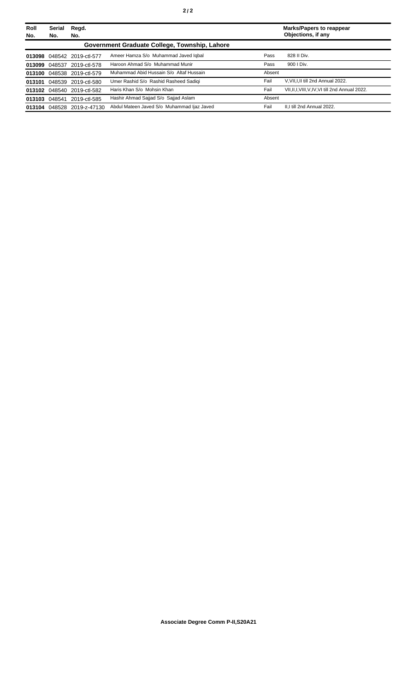| Roll<br>No. | Serial<br>No. | Regd.<br>No.               |                                               |        | <b>Marks/Papers to reappear</b><br>Objections, if any |
|-------------|---------------|----------------------------|-----------------------------------------------|--------|-------------------------------------------------------|
|             |               |                            | Government Graduate College, Township, Lahore |        |                                                       |
|             |               | 013098 048542 2019-ctl-577 | Ameer Hamza S/o Muhammad Javed Iqbal          | Pass   | 828 II Div.                                           |
| 013099      | 048537        | 2019-ctl-578               | Haroon Ahmad S/o Muhammad Munir               | Pass   | 900   Div.                                            |
|             |               | 013100 048538 2019-ctl-579 | Muhammad Abid Hussain S/o Altaf Hussain       | Absent |                                                       |
|             |               | 013101 048539 2019-ctl-580 | Umer Rashid S/o Rashid Rasheed Sadiqi         | Fail   | V.VII.I.II till 2nd Annual 2022.                      |
|             |               | 013102 048540 2019-ctl-582 | Haris Khan S/o Mohsin Khan                    | Fail   | VII, II, I, VIII, V, IV, VI till 2nd Annual 2022.     |
|             |               | 013103 048541 2019-ctl-585 | Hashir Ahmad Sajjad S/o Sajjad Aslam          | Absent |                                                       |
|             |               | 013104 048528 2019-z-47130 | Abdul Mateen Javed S/o Muhammad Ijaz Javed    | Fail   | II.I till 2nd Annual 2022.                            |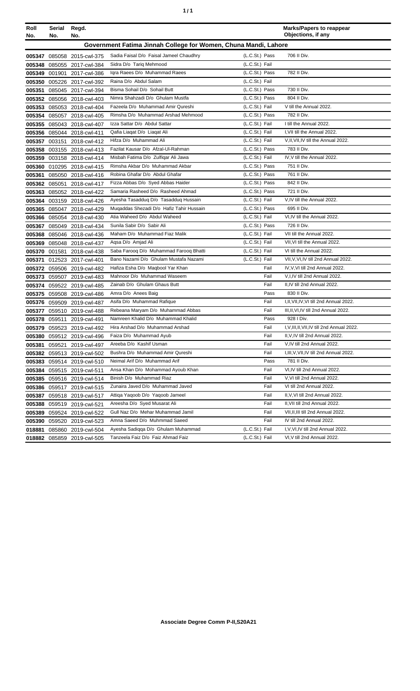| ٦ | ٠ |
|---|---|
|   |   |

| Roll   | Serial        | Regd.                      |                                                                    |                | <b>Marks/Papers to reappear</b>                                  |
|--------|---------------|----------------------------|--------------------------------------------------------------------|----------------|------------------------------------------------------------------|
| No.    | No.           | No.                        |                                                                    |                | Objections, if any                                               |
|        |               |                            | Government Fatima Jinnah College for Women, Chuna Mandi, Lahore    |                |                                                                  |
|        |               | 005347 085058 2015-cwl-375 | Sadia Faisal D/o Faisal Jameel Chaudhry                            | (L.C.St.) Pass | 706 II Div.                                                      |
| 005348 | 085055        | 2017-cwl-384               | Sidra D/o Tariq Mehmood                                            | (L.C.St.) Fail |                                                                  |
|        | 005349 001901 | 2017-cwl-386               | Igra Raees D/o Muhammad Raees                                      | (L.C.St.) Pass | 782 II Div.                                                      |
|        |               | 005350 005226 2017-cwl-392 | Raina D/o Abdul Salam                                              | (L.C.St.) Fail |                                                                  |
| 005351 |               | 085045 2017-cwl-394        | Bisma Sohail D/o Sohail Butt                                       | (L.C.St.) Pass | 730 II Div.                                                      |
|        |               | 005352 085056 2018-cwl-403 | Nimra Shahzadi D/o Ghulam Mustfa                                   | (L.C.St.) Pass | 804 II Div.                                                      |
|        |               | 005353 085053 2018-cwl-404 | Fazeela D/o Muhammad Amir Qureshi                                  | (L.C.St.) Fail | V till the Annual 2022.                                          |
| 005354 |               | 085057 2018-cwl-405        | Rimsha D/o Muhammad Arshad Mehmood                                 | (L.C.St.) Pass | 782 II Div.                                                      |
|        |               | 005355 085043 2018-cwl-407 | Izza Sattar D/o Abdul Sattar                                       | (L.C.St.) Fail | I till the Annual 2022.                                          |
|        |               | 005356 085044 2018-cwl-411 | Qafia Liaqat D/o Liaqat Ali                                        | (L.C.St.) Fail | I, VII till the Annual 2022.                                     |
|        |               | 005357 003151 2018-cwl-412 | Hifza D/o Muhammad Ali                                             | (L.C.St.) Fail | V, II, VII, IV till the Annual 2022.                             |
|        |               | 005358 003155 2018-cwl-413 | Fazilat Kausar D/o Afzal-UI-Rahman                                 | (L.C.St.) Pass | 783 II Div.                                                      |
|        |               | 005359 003158 2018-cwl-414 | Misbah Fatima D/o Zulfigar Ali Jawa                                | (L.C.St.) Fail | IV, V till the Annual 2022.                                      |
|        |               | 005360 010295 2018-cwl-415 | Rimsha Akbar D/o Muhammad Akbar                                    | (L.C.St.) Pass | 751 II Div.                                                      |
| 005361 |               | 085050 2018-cwl-416        | Robina Ghafar D/o Abdul Ghafar                                     | (L.C.St.) Pass | 761 II Div.                                                      |
|        | 005362 085051 | 2018-cwl-417               | Fizza Abbas D/o Syed Abbas Haider                                  | (L.C.St.) Pass | 842 II Div.                                                      |
|        |               | 005363 085052 2018-cwl-422 | Samaria Rasheed D/o Rasheed Ahmad                                  | (L.C.St.) Pass | 721 II Div.                                                      |
|        |               | 005364 003159 2018-cwl-426 | Ayesha Tasadduq D/o Tasadduq Hussain                               | (L.C.St.) Fail | V,IV till the Annual 2022.                                       |
|        |               | 005365 085047 2018-cwl-429 | Muqaddas Shezadi D/o Hafiz Tahir Hussain                           | (L.C.St.) Pass | 695 II Div.                                                      |
|        |               | 005366 085054 2018-cwl-430 | Atia Waheed D/o Abdul Waheed                                       | (L.C.St.) Fail | VI, IV till the Annual 2022.                                     |
|        |               | 005367 085049 2018-cwl-434 | Sunila Sabir D/o Sabir Ali                                         | (L.C.St.) Pass | 726 II Div.                                                      |
|        |               | 005368 085046 2018-cwl-436 | Maham D/o Muhammad Fiaz Malik                                      | (L.C.St.) Fail | VII till the Annual 2022.                                        |
| 005369 |               | 085048 2018-cwl-437        | Aqsa D/o Amjad Ali                                                 | (L.C.St.) Fail | VII, VI till the Annual 2022.                                    |
| 005370 |               | 001581 2018-cwl-438        | Saba Farooq D/o Muhammad Farooq Bhatti                             | (L.C.St.) Fail | VI till the Annual 2022.                                         |
| 005371 |               | 012523 2017-cwl-401        | Bano Nazami D/o Ghulam Mustafa Nazami                              | (L.C.St.) Fail | VII, V, VI, IV till 2nd Annual 2022.                             |
|        |               | 005372 059506 2019-cwl-482 | Hafiza Esha D/o Maqbool Yar Khan                                   | Fail           | IV, V, VI till 2nd Annual 2022.                                  |
| 005373 |               | 059507 2019-cwl-483        | Mahnoor D/o Muhammad Waseem                                        | Fail           | V,I,IV till 2nd Annual 2022.                                     |
|        |               | 005374 059522 2019-cwl-485 | Zainab D/o Ghulam Ghaus Butt                                       | Fail           | II,IV till 2nd Annual 2022.                                      |
|        |               | 005375 059508 2019-cwl-486 | Amra D/o Anees Baig                                                | Pass           | 830 II Div.                                                      |
|        |               | 005376 059509 2019-cwl-487 | Asifa D/o Muhammad Rafique                                         | Fail           | I, II, VII, IV, VI till 2nd Annual 2022.                         |
|        |               | 005377 059510 2019-cwl-488 | Rebeana Maryam D/o Muhammad Abbas                                  | Fail           | III, II, VI, IV till 2nd Annual 2022.                            |
|        | 005378 059511 | 2019-cwl-491               | Namreen Khalid D/o Muhammad Khalid                                 | Pass           | 928   Div.                                                       |
|        |               | 005379 059523 2019-cwl-492 | Hira Arshad D/o Muhammad Arshad                                    | Fail           | I, V, III, II, VII, IV till 2nd Annual 2022.                     |
|        |               | 005380 059512 2019-cwl-496 | Faiza D/o Muhammad Ayub<br>Areeba D/o Kashif Usman                 | Fail           | II, V, IV till 2nd Annual 2022.<br>V, IV till 2nd Annual 2022.   |
| 005381 | 059521        | 2019-cwl-497               |                                                                    | Fail           |                                                                  |
|        |               | 005382 059513 2019-cwl-502 | Bushra D/o Muhammad Amir Qureshi                                   | Fail           | I, III, V, VII, IV till 2nd Annual 2022.                         |
|        |               | 005383 059514 2019-cwl-510 | Neimal Arif D/o Muhammad Arif<br>Ansa Khan D/o Mohammad Ayoub Khan | Pass<br>Fail   | 781 II Div.<br>VI, IV till 2nd Annual 2022.                      |
| 005384 |               | 059515 2019-cwl-511        | Binish D/o Muhammad Riaz                                           | Fail           | V.VI till 2nd Annual 2022.                                       |
| 005385 |               | 059516 2019-cwl-514        | Zunaira Javed D/o Muhammad Javed                                   |                | VI till 2nd Annual 2022.                                         |
| 005386 |               | 059517 2019-cwl-515        |                                                                    | Fail           |                                                                  |
| 005387 |               | 059518 2019-cwl-517        | Attiga Yaqoob D/o Yaqoob Jameel<br>Areesha D/o Syed Musarat Ali    | Fail<br>Fail   | II, V, VI till 2nd Annual 2022.<br>II, VII till 2nd Annual 2022. |
| 005388 |               | 059519 2019-cwl-521        | Gull Naz D/o Mehar Muhammad Jamil                                  |                | VII, II, III till 2nd Annual 2022.                               |
| 005389 |               | 059524 2019-cwl-522        |                                                                    | Fail           |                                                                  |
| 005390 |               | 059520 2019-cwl-523        | Amna Saeed D/o Muhmmad Saeed                                       | Fail           | IV till 2nd Annual 2022.                                         |
| 018881 |               | 085860 2019-cwl-504        | Ayesha Sadiqqa D/o Ghulam Muhammad                                 | (L.C.St.) Fail | I, V, VI, IV till 2nd Annual 2022.                               |
|        |               | 018882 085859 2019-cwl-505 | Tanzeela Faiz D/o Faiz Ahmad Faiz                                  | (L.C.St.) Fail | VI, V till 2nd Annual 2022.                                      |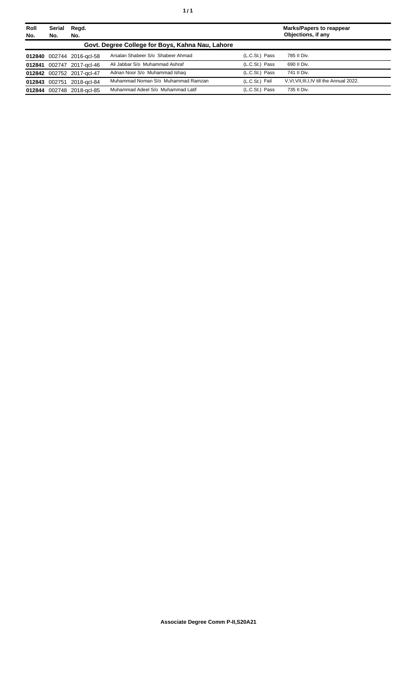| Roll<br>No. | <b>Serial</b><br>No. | Regd.<br>No.              |                                                  |                | <b>Marks/Papers to reappear</b><br>Objections, if any |
|-------------|----------------------|---------------------------|--------------------------------------------------|----------------|-------------------------------------------------------|
|             |                      |                           | Govt. Degree College for Boys, Kahna Nau, Lahore |                |                                                       |
|             |                      | 012840 002744 2016-gcl-58 | Arsalan Shabeer S/o Shabeer Ahmad                | (L.C.St.) Pass | 785 II Div.                                           |
|             |                      | 012841 002747 2017-gcl-46 | Ali Jabbar S/o Muhammad Ashraf                   | (L.C.St.) Pass | 690 II Div.                                           |
|             |                      | 012842 002752 2017-gcl-47 | Adnan Noor S/o Muhammad Ishaq                    | (L.C.St.) Pass | 741 II Div.                                           |
|             | 012843 002751        | 2018-acl-84               | Muhammad Noman S/o Muhammad Ramzan               | (L.C.St.) Fail | V, VI, VII, III, I, IV till the Annual 2022.          |
|             |                      | 012844 002748 2018-gcl-85 | Muhammad Adeel S/o Muhammad Latif                | (L.C.St.) Pass | 735 II Div.                                           |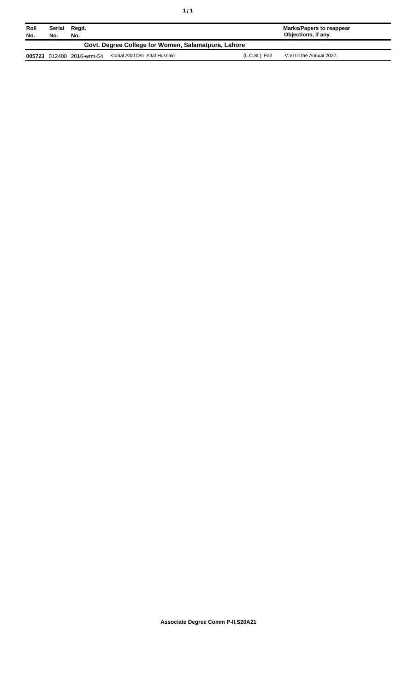| Roll<br>No.                                         | Serial<br>No. | Regd.<br>No.              |                               |                | Marks/Papers to reappear<br>Objections, if any |
|-----------------------------------------------------|---------------|---------------------------|-------------------------------|----------------|------------------------------------------------|
| Govt. Degree College for Women, Salamatpura, Lahore |               |                           |                               |                |                                                |
|                                                     |               | 005723 012400 2016-wrm-54 | Komal Altaf D/o Altaf Hussain | (L.C.St.) Fail | V.VI till the Annual 2022.                     |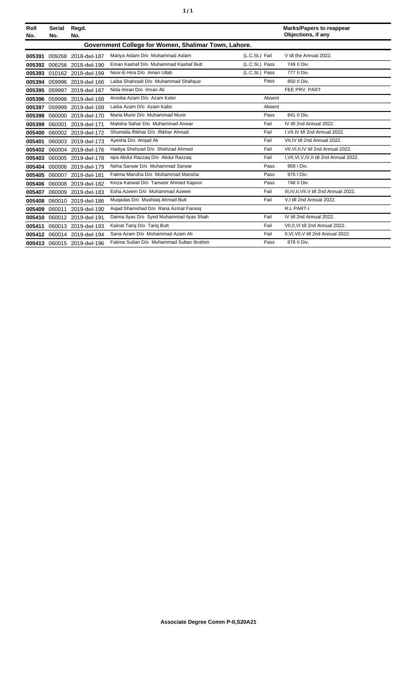| í<br>٠ |
|--------|
|--------|

| Roll<br>No. | <b>Serial</b><br>No. | Regd.<br>No.        |                                                      |                | <b>Marks/Papers to reappear</b><br>Objections, if any |
|-------------|----------------------|---------------------|------------------------------------------------------|----------------|-------------------------------------------------------|
|             |                      |                     | Government College for Women, Shalimar Town, Lahore. |                |                                                       |
| 005391      |                      | 009268 2018-dwl-187 | Mariya Aslam D/o Muhammad Aslam                      | (L.C.St.) Fail | V till the Annual 2022.                               |
| 005392      |                      | 006256 2018-dwl-190 | Eman Kashaf D/o Muhammad Kashaf Butt                 | (L.C.St.) Pass | 749 II Div.                                           |
| 005393      |                      | 010162 2018-dwl-199 | Noor-E-Hira D/o Aman Ullah                           | (L.C.St.) Pass | 777 II Div.                                           |
| 005394      |                      | 059996 2019-dwl-166 | Laiba Shahzadi D/o Muhammad Shafique                 | Pass           | 850 II Div.                                           |
| 005395      | 059997               | 2019-dwl-167        | Nida Imran D/o Imran Ali                             |                | FEE PRV. PART                                         |
| 005396      | 059998               | 2019-dwl-168        | Arooba Azam D/o Azam Kabir                           | Absent         |                                                       |
| 005397      | 059999               | 2019-dwl-169        | Laiba Azam D/o Azam Kabir                            | Absent         |                                                       |
| 005398      |                      | 060000 2019-dwl-170 | Maria Munir D/o Muhammad Munir                       | Pass           | 841 II Div.                                           |
| 005399      | 060001               | 2019-dwl-171        | Malisha Sahar D/o Muhammad Anwar                     | Fail           | IV till 2nd Annual 2022.                              |
| 005400      |                      | 060002 2019-dwl-172 | Shumaila Iftikhar D/o Iftikhar Ahmad                 | Fail           | I.VII.IV till 2nd Annual 2022.                        |
| 005401      |                      | 060003 2019-dwl-173 | Ayesha D/o Amjad Ali                                 | Fail           | VII, IV till 2nd Annual 2022.                         |
| 005402      |                      | 060004 2019-dwl-176 | Hadiya Shehzad D/o Shehzad Ahmed                     | Fail           | VII.VI.II.IV till 2nd Annual 2022.                    |
| 005403      | 060005               | 2019-dwl-178        | Igra Abdul Razzag D/o Abdul Razzag                   | Fail           | I, VII, VI, V, IV, II till 2nd Annual 2022.           |
| 005404      |                      | 060006 2019-dwl-179 | Neha Sarwar D/o Muhammad Sarwar                      | Pass           | 959   Div.                                            |
| 005405      |                      | 060007 2019-dwl-181 | Fatima Mansha D/o Muhammad Mansha                    | Pass           | 976   Div.                                            |
| 005406      | 060008               | 2019-dwl-182        | Kinza Kanwal D/o Tanveer Ahmed Kapoor                | Pass           | 748 II Div.                                           |
| 005407      |                      | 060009 2019-dwl-183 | Esha Azeem D/o Muhammad Azeem                        | Fail           | III, IV, II, VII, V till 2nd Annual 2022.             |
| 005408      | 060010               | 2019-dwl-186        | Muqadas D/o Mushtaq Ahmad Butt                       | Fail           | V,I till 2nd Annual 2022.                             |
| 005409      | 060011               | 2019-dwl-190        | Asjad Shamshad D/o Rana Azmat Faroog                 |                | <b>R.L PART-I</b>                                     |
| 005410      |                      | 060012 2019-dwl-191 | Daima Ilyas D/o Syed Muhammad Ilyas Shah             | Fail           | IV till 2nd Annual 2022.                              |
| 005411      |                      | 060013 2019-dwl-193 | Kainat Tariq D/o Tariq Butt                          | Fail           | VII.II.VI till 2nd Annual 2022.                       |
| 005412      |                      | 060014 2019-dwl-194 | Sana Azam D/o Muhammad Azam Ali                      | Fail           | II, VI, VII, V till 2nd Annual 2022.                  |
| 005413      |                      | 060015 2019-dwl-196 | Fatima Sultan D/o Muhammad Sultan Ibrahim            | Pass           | 878 II Div.                                           |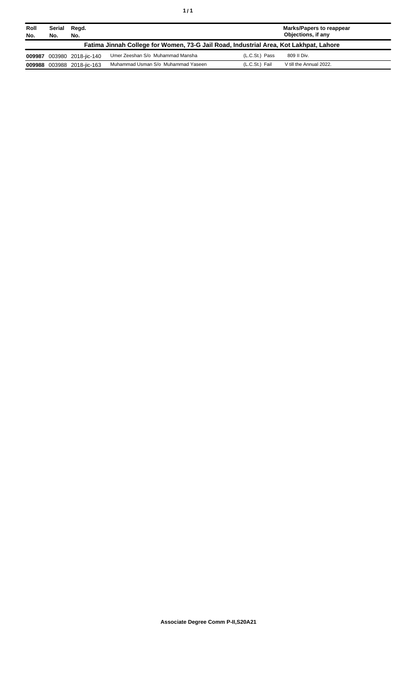| ٦ | ٠ |
|---|---|
|   |   |

| Roll<br>No.                                                                           | <b>Serial</b><br>No. | Regd.<br>No.        |                                    |                | <b>Marks/Papers to reappear</b><br>Objections, if any |  |
|---------------------------------------------------------------------------------------|----------------------|---------------------|------------------------------------|----------------|-------------------------------------------------------|--|
| Fatima Jinnah College for Women, 73-G Jail Road, Industrial Area, Kot Lakhpat, Lahore |                      |                     |                                    |                |                                                       |  |
| 009987                                                                                |                      | 003980 2018-jic-140 | Umer Zeeshan S/o Muhammad Mansha   | (L.C.St.) Pass | 809 II Div.                                           |  |
| 009988                                                                                |                      | 003988 2018-jic-163 | Muhammad Usman S/o Muhammad Yaseen | (L.C.St.) Fail | V till the Annual 2022.                               |  |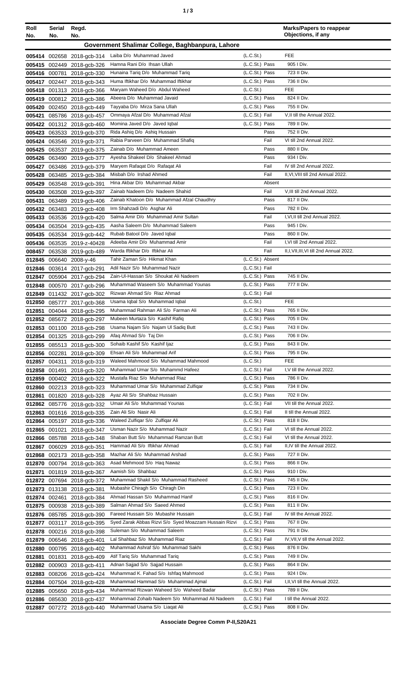| ٠ | ×<br>٠<br>٦<br>×<br>۰. |
|---|------------------------|
|   |                        |

| Roll   | Serial<br>No. | Regd.                      |                                                                        |                                  | <b>Marks/Papers to reappear</b><br>Objections, if any |
|--------|---------------|----------------------------|------------------------------------------------------------------------|----------------------------------|-------------------------------------------------------|
| No.    | No.           |                            |                                                                        |                                  |                                                       |
|        |               |                            | Government Shalimar College, Baghbanpura, Lahore                       |                                  |                                                       |
|        |               | 005414 002658 2018-gcb-314 | Laiba D/o Muhammad Javed                                               | (L.C.S <sub>t</sub> )            | <b>FEE</b>                                            |
|        |               | 005415 002449 2018-gcb-326 | Hamna Rani D/o Ihsan Ullah                                             | (L.C.St.) Pass                   | 905 I Div.                                            |
|        |               | 005416 000781 2018-gcb-330 | Hunaina Tariq D/o Muhammad Tariq                                       | (L.C.St.) Pass                   | 723 II Div.                                           |
|        |               | 005417 002447 2018-gcb-343 | Huma Iftikhar D/o Muhammad Iftikhar                                    | (L.C.St.) Pass                   | 736 II Div.                                           |
|        |               | 005418 001313 2018-gcb-366 | Maryam Waheed D/o Abdul Waheed                                         | (L.C.St.)                        | <b>FEE</b>                                            |
|        |               | 005419 000812 2018-gcb-386 | Abeera D/o Muhammad Javaid                                             | (L.C.St.) Pass                   | 824 II Div.                                           |
|        |               | 005420 002450 2018-gcb-449 | Tayyaba D/o Mirza Sana Ullah                                           | (L.C.St.) Pass                   | 755 II Div.                                           |
| 005421 |               | 085786 2018-gcb-457        | Ommava Afzal D/o Muhammad Afzal                                        | (L.C.St.) Fail                   | V, Il till the Annual 2022.                           |
|        |               | 005422 001312 2018-acb-460 | Momina Javed D/o Javed Iqbal                                           | (L.C.St.) Pass                   | 789 II Div.                                           |
|        |               | 005423 063533 2019-gcb-370 | Rida Ashiq D/o Ashiq Hussain                                           | Pass                             | 752 II Div.                                           |
|        |               | 005424 063546 2019-gcb-371 | Rabia Parveen D/o Muhammad Shafiq                                      | Fail                             | VI till 2nd Annual 2022.                              |
| 005425 |               | 063537 2019-gcb-375        | Zainab D/o Muhammad Ameen                                              | Pass                             | 880 II Div.                                           |
| 005426 |               | 063490 2019-gcb-377        | Ayesha Shakeel D/o Shakeel Ahmad                                       | Pass                             | 934 I Div.                                            |
|        |               | 005427 063486 2019-gcb-379 | Maryem Rafaqat D/o Rafaqat Ali                                         | Fail                             | IV till 2nd Annual 2022.                              |
| 005428 |               | 063485 2019-gcb-384        | Misbah D/o Irshad Ahmed                                                | Fail                             | II, VI, VIII till 2nd Annual 2022.                    |
|        |               | 005429 063548 2019-gcb-391 | Hina Akbar D/o Muhammad Akbar                                          | Absent                           |                                                       |
|        |               | 005430 063508 2019-gcb-397 | Zainab Nadeem D/o Nadeem Shahid                                        | Fail                             | V.III till 2nd Annual 2022.                           |
| 005431 |               | 063489 2019-gcb-406        | Zainab Khatoon D/o Muhammad Afzal Chaudhry                             | Pass                             | 817 II Div.                                           |
|        |               | 005432 063483 2019-gcb-408 | Irm Shahzadi D/o Asghar Ali                                            | Pass                             | 782 II Div.                                           |
|        |               | 005433 063536 2019-gcb-420 | Salma Amir D/o Muhammad Amir Sultan                                    | Fail                             | I, VI, II till 2nd Annual 2022.                       |
| 005434 |               | 063504 2019-gcb-435        | Aasha Saleem D/o Muhammad Saleem                                       | Pass                             | 945 I Div.                                            |
|        |               | 005435 063534 2019-gcb-442 | Rubab Batool D/o Javed Iqbal                                           | Pass                             | 860 II Div.                                           |
|        |               | 005436 063535 2019-z-40428 | Adeeba Amir D/o Muhammad Amir                                          | Fail                             | I, VI till 2nd Annual 2022.                           |
|        |               | 008457 063538 2019-gcb-489 | Warda Iftikhar D/o Iftikhar Ali                                        | Fail                             | II, I, VII, III, VI till 2nd Annual 2022.             |
|        |               | 012845 006640 2008-y-46    | Tahir Zaman S/o Hikmat Khan                                            | (L.C.St.) Absent                 |                                                       |
|        |               | 012846 003614 2017-gcb-291 | Adil Nazir S/o Muhammad Nazir                                          | (L.C.St.) Fail                   |                                                       |
| 012847 |               | 005904 2017-gcb-294        | Zain-UI-Hassan S/o Shoukat Ali Nadeem                                  | (L.C.St.) Pass                   | 745 II Div.                                           |
| 012848 |               | 000570 2017-gcb-296        | Muhammad Waseem S/o Muhammad Younas                                    | (L.C.St.) Pass                   | 777 II Div.                                           |
|        |               | 012849 011432 2017-gcb-302 | Rizwan Ahmad S/o Riaz Ahmad                                            | (L.C.St.) Fail                   |                                                       |
|        |               | 012850 085777 2017-gcb-368 | Usama Iqbal S/o Muhammad Iqbal                                         | (L.C.St.)                        | <b>FEE</b>                                            |
| 012851 |               | 004044 2018-gcb-295        | Muhammad Rahman Ali S/o Farman Ali                                     | (L.C.St.) Pass                   | 765 II Div.                                           |
|        |               | 012852 085672 2018-gcb-297 | Mubeen Murtaza S/o Kashif Rafiq                                        | (L.C.St.) Pass                   | 705 II Div.                                           |
|        |               | 012853 001100 2018-gcb-298 | Usama Najam S/o Najam UI Sadiq Butt                                    | (L.C.St.) Pass                   | 743 II Div.                                           |
|        |               | 012854 001325 2018-gcb-299 | Afaq Ahmad S/o Taj Din                                                 | (L.C.St.) Pass                   | 706 II Div.                                           |
|        |               | 012855 085513 2018-gcb-300 | Sohaib Kashif S/o Kashif Ijaz                                          | (L.C.St.) Pass                   | 843 II Div.                                           |
|        |               | 012856 002281 2018-gcb-309 | Ehsan Ali S/o Muhammad Arif                                            | (L.C.St.) Pass                   | 795 II Div.                                           |
| 012857 |               | 004311 2018-gcb-319        | Waleed Mahmood S/o Muhammad Mahmood                                    | (L.C.St.)                        | <b>FEE</b>                                            |
| 012858 |               | 001491 2018-gcb-320        | Muhammad Umar S/o Muhammd Hafeez                                       | (L.C.St.) Fail                   | I, V till the Annual 2022.                            |
|        |               | 012859 000402 2018-gcb-322 | Mustafa Riaz S/o Muhammad Riaz                                         | (L.C.St.) Pass                   | 786 II Div.                                           |
|        |               | 012860 002213 2018-gcb-323 | Muhammad Umar S/o Muhammad Zulfiqar                                    | (L.C.St.) Pass                   | 734 II Div.                                           |
| 012861 |               | 001820 2018-gcb-328        | Ayaz Ali S/o Shahbaz Hussain                                           | (L.C.St.) Pass                   | 702 II Div.                                           |
|        |               | 012862 085776 2018-gcb-332 | Umair Ali S/o Muhammad Younas                                          | (L.C.St.) Fail                   | VII till the Annual 2022.                             |
|        |               | 012863 001616 2018-gcb-335 | Zain Ali S/o Nasir Ali                                                 | (L.C.St.) Fail                   | II till the Annual 2022.                              |
| 012864 |               | 005197 2018-gcb-336        | Waleed Zulfigar S/o Zulfigar Ali                                       | (L.C.St.) Pass                   | 818 II Div.                                           |
|        |               | 012865 001021 2018-gcb-347 | Usman Nazir S/o Muhammad Nazir<br>Shaban Butt S/o Muhammad Ramzan Butt | (L.C.St.) Fail<br>(L.C.St.) Fail | VI till the Annual 2022.<br>VI till the Annual 2022.  |
|        |               | 012866 085788 2018-gcb-348 | Hammad Ali S/o Iftikhar Ahmad                                          | (L.C.St.) Fail                   | II, IV till the Annual 2022.                          |
| 012867 |               | 006029 2018-gcb-351        | Mazhar Ali S/o Muhammad Arshad                                         | (L.C.St.) Pass                   | 727 II Div.                                           |
|        |               | 012868 002173 2018-gcb-358 | Asad Mehmood S/o Haq Nawaz                                             | (L.C.St.) Pass                   | 866 II Div.                                           |
|        |               | 012870 000794 2018-gcb-363 | Aamish S/o Shahbaz                                                     | (L.C.St.) Pass                   | 910 I Div.                                            |
| 012871 |               | 001819 2018-gcb-367        | Muhammad Shakil S/o Muhammad Rasheed                                   | (L.C.St.) Pass                   | 745 II Div.                                           |
|        |               | 012872 007694 2018-gcb-372 | Mubashir Chiragh S/o Chiragh Din                                       | (L.C.St.) Pass                   | 723 II Div.                                           |
|        |               | 012873 013138 2018-gcb-381 | Ahmad Hassan S/o Muhammad Hanif                                        |                                  |                                                       |
|        |               | 012874 002461 2018-gcb-384 | Salman Ahmad S/o Saeed Ahmed                                           | (L.C.St.) Pass<br>(L.C.St.) Pass | 816 II Div.<br>811 II Div.                            |
|        |               | 012875 000938 2018-gcb-389 | Fareed Hussain S/o Mubashir Hussain                                    | (L.C.St.) Fail                   | IV till the Annual 2022.                              |
|        |               | 012876 085785 2018-gcb-390 | Syed Zarak Abbas Rizvi S/o Syed Moazzam Hussain Rizvi                  | (L.C.St.) Pass                   | 767 II Div.                                           |
|        |               | 012877 003117 2018-gcb-395 |                                                                        |                                  |                                                       |
|        |               | 012878 000216 2018-gcb-398 | Suleman S/o Muhammad Saleem                                            | (L.C.St.) Pass                   | 791 II Div.                                           |
|        |               | 012879 006546 2018-gcb-401 | Lal Shahbaz S/o Muhammad Riaz                                          | (L.C.St.) Fail                   | IV, VII, V till the Annual 2022.                      |
| 012880 |               | 000795 2018-gcb-402        | Muhammad Ashraf S/o Muhammad Sakhi                                     | (L.C.St.) Pass                   | 876 II Div.                                           |
| 012881 |               | 001831 2018-acb-409        | Atif Tariq S/o Muhammad Tariq                                          | (L.C.St.) Pass                   | 749 II Div.                                           |
| 012882 |               | 000903 2018-gcb-411        | Adnan Sajjad S/o Sajjad Hussain                                        | (L.C.St.) Pass                   | 864 II Div.                                           |
| 012883 |               | 008206 2018-gcb-424        | Muhammad K. Fahad S/o Ishfaq Mahmood                                   | (L.C.St.) Pass                   | 924   Div.                                            |
|        |               | 012884 007504 2018-gcb-428 | Muhammad Hammad S/o Muhammad Ajmal                                     | (L.C.St.) Fail                   | I, II, VI till the Annual 2022.                       |
|        |               | 012885 005650 2018-gcb-434 | Muhammad Rizwan Waheed S/o Waheed Badar                                | (L.C.St.) Pass                   | 789 II Div.                                           |
|        |               | 012886 085630 2018-gcb-437 | Mohammad Zohaib Nadeem S/o Mohammad Ali Nadeem                         | (L.C.St.) Fail                   | I till the Annual 2022.                               |
|        |               | 012887 007272 2018-gcb-440 | Muhammad Usama S/o Liaqat Ali                                          | (L.C.St.) Pass                   | 808 II Div.                                           |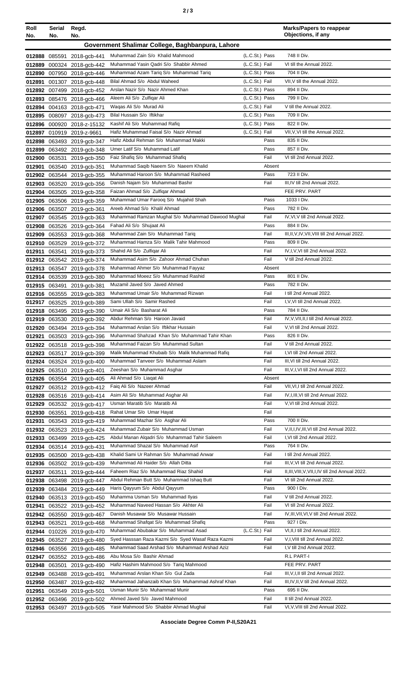| Roll<br>No. | Serial<br>No. | Regd.<br>No.                                             |                                                                          |                | <b>Marks/Papers to reappear</b><br>Objections, if any |
|-------------|---------------|----------------------------------------------------------|--------------------------------------------------------------------------|----------------|-------------------------------------------------------|
|             |               |                                                          | Government Shalimar College, Baghbanpura, Lahore                         |                |                                                       |
|             |               |                                                          | Muhammad Zain S/o Khalid Mahmood                                         | (L.C.St.) Pass | 748 II Div.                                           |
| 012889      |               | 012888 085591 2018-gcb-441<br>000324 2018-gcb-442        | Muhammad Yasin Qadri S/o Shabbir Ahmed                                   | (L.C.St.) Fail | VI till the Annual 2022.                              |
|             |               | 012890 007950 2018-gcb-446                               | Muhammad Azam Tariq S/o Muhammad Tariq                                   | (L.C.St.) Pass | 704 II Div.                                           |
| 012891      |               | 001307 2018-gcb-448                                      | Bilal Ahmad S/o Abdul Waheed                                             | (L.C.St.) Fail | VII, V till the Annual 2022.                          |
|             |               | 012892 007499 2018-gcb-452                               | Arslan Nazir S/o Nazir Ahmed Khan                                        | (L.C.St.) Pass | 894 II Div.                                           |
|             |               | 012893 085476 2018-gcb-466                               | Aleem Ali S/o Zulfiqar Ali                                               | (L.C.St.) Pass | 799 II Div.                                           |
|             |               | 012894 004163 2018-gcb-471                               | Waqas Ali S/o Murad Ali                                                  | (L.C.St.) Fail | V till the Annual 2022.                               |
|             |               | 012895 008097 2018-gcb-473                               | Bilal Hussain S/o Iftikhar                                               | (L.C.St.) Pass | 709 II Div.                                           |
|             |               | 012896 000920 2018-z-15132                               | Kashif Ali S/o Muhammad Rafiq                                            | (L.C.St.) Pass | 822 II Div.                                           |
|             |               | 012897 010919 2019-z-9661                                | Hafiz Muhammad Faisal S/o Nazir Ahmad                                    | (L.C.St.) Fail | VII, V, VI till the Annual 2022.                      |
|             |               | 012898 063493 2019-gcb-347                               | Hafiz Abdul Rehman S/o Muhammad Makki                                    | Pass           | 835 II Div.                                           |
|             |               | 012899 063492 2019-gcb-348                               | Umer Latif S/o Muhammad Latif<br>Faiz Shafiq S/o Muhammad Shafiq         | Pass<br>Fail   | 857 II Div.<br>VI till 2nd Annual 2022.               |
| 012901      |               | 012900 063531 2019-gcb-350<br>063540 2019-gcb-351        | Muhammad Saqib Naeem S/o Naeem Khalid                                    | Absent         |                                                       |
|             |               | 012902 063544 2019-gcb-355                               | Muhammad Haroon S/o Muhammad Rasheed                                     | Pass           | 723 II Div.                                           |
|             |               | 012903 063520 2019-gcb-356                               | Danish Najam S/o Muhammad Bashir                                         | Fail           | III, IV till 2nd Annual 2022.                         |
|             |               | 012904 063505 2019-gcb-358                               | Faizan Ahmad S/o Zulfigar Ahmad                                          |                | FEE PRV. PART                                         |
|             |               | 012905 063506 2019-gcb-359                               | Muhammad Umar Farooq S/o Mujahid Shah                                    | Pass           | 1033   Div.                                           |
|             |               | 012906 063507 2019-gcb-361                               | Areeb Ahmad S/o Khalil Ahmad                                             | Pass           | 782 II Div.                                           |
|             |               | 012907 063545 2019-gcb-363                               | Muhammad Ramzan Mughal S/o Muhammad Dawood Mughal                        | Fail           | IV, VI, V till 2nd Annual 2022.                       |
|             |               | 012908 063526 2019-gcb-364                               | Fahad Ali S/o Shujaat Ali                                                | Pass           | 884 II Div.                                           |
|             |               | 012909 063553 2019-gcb-368                               | Muhammad Zain S/o Muhammad Tariq                                         | Fail           | III, II, V, IV, VII, VIII till 2nd Annual 2022.       |
|             |               | 012910 063529 2019-gcb-372                               | Muhammad Hamza S/o Malik Tahir Mahmood                                   | Pass           | 809 II Div.                                           |
|             |               | 012911 063541 2019-gcb-373                               | Shahid Ali S/o Zulfiqar Ali                                              | Fail           | IV, I, V, VI till 2nd Annual 2022.                    |
|             |               | 012912 063542 2019-gcb-374                               | Muhammad Asim S/o Zahoor Ahmad Chuhan                                    | Fail           | V till 2nd Annual 2022.                               |
|             |               | 012913 063547 2019-gcb-378                               | Muhammad Ahmer S/o Muhammad Fayyaz<br>Muhammad Moeez S/o Muhammad Rashid | Absent<br>Pass | 801 II Div.                                           |
|             |               | 012914 063539 2019-gcb-380<br>012915 063491 2019-gcb-381 | Muzamil Javed S/o Javed Ahmed                                            | Pass           | 782 II Div.                                           |
|             |               | 012916 063555 2019-acb-383                               | Muhammad Umair S/o Muhammad Rizwan                                       | Fail           | I till 2nd Annual 2022.                               |
|             |               | 012917 063525 2019-gcb-389                               | Sami Ullah S/o Samir Rashed                                              | Fail           | I, V, VI till 2nd Annual 2022.                        |
|             |               | 012918 063495 2019-gcb-390                               | Umair Ali S/o Basharat Ali                                               | Pass           | 784 II Div.                                           |
|             |               | 012919 063530 2019-gcb-392                               | Abdur Rehman S/o Haroon Javaid                                           | Fail           | IV, V, VII, II, I till 2nd Annual 2022.               |
|             |               | 012920 063494 2019-gcb-394                               | Muhammad Arslan S/o Iftikhar Hussain                                     | Fail           | V, VI till 2nd Annual 2022.                           |
|             |               | 012921 063503 2019-gcb-396                               | Muhammad Shahzad Khan S/o Muhammad Tahir Khan                            | Pass           | 826 II Div.                                           |
|             |               | 012922 063518 2019-gcb-398                               | Muhammad Faizan S/o Muhammad Sultan                                      | Fail           | V till 2nd Annual 2022.                               |
|             |               | 012923 063517 2019-gcb-399                               | Malik Muhammad Khubaib S/o Malik Muhammad Rafiq                          | Fail           | I, VI till 2nd Annual 2022.                           |
|             |               | 012924 063524 2019-gcb-400                               | Muhammad Tanveer S/o Muhammad Aslam                                      | Fail           | III, VI till 2nd Annual 2022.                         |
|             |               | 012925 063510 2019-gcb-401                               | Zeeshan S/o Muhammad Asghar<br>Ali Ahmad S/o Liagat Ali                  | Fail           | III, V, I, VI till 2nd Annual 2022.                   |
|             |               | 012926 063554 2019-gcb-405                               | Faig Ali S/o Nazeer Ahmad                                                | Absent<br>Fail | VII, VI, I till 2nd Annual 2022.                      |
|             |               | 012927 063512 2019-gcb-412<br>012928 063516 2019-gcb-414 | Asim Ali S/o Muhammad Asghar Ali                                         | Fail           | IV, I, III, VI till 2nd Annual 2022.                  |
| 012929      |               | 063532 2019-gcb-417                                      | Usman Maratib S/o Maratib Ali                                            | Fail           | V, VI till 2nd Annual 2022.                           |
|             |               | 012930 063551 2019-gcb-418                               | Rahat Umar S/o Umar Hayat                                                | Fail           |                                                       |
|             |               | 012931 063543 2019-gcb-419                               | Muhammad Mazhar S/o Asghar Ali                                           | Pass           | 700 II Div.                                           |
|             |               | 012932 063523 2019-gcb-424                               | Muhammad Zubair S/o Muhammad Usman                                       | Fail           | V,II,I,IV,III,VI till 2nd Annual 2022.                |
|             |               | 012933 063499 2019-gcb-425                               | Abdul Manan Alqadri S/o Muhammad Tahir Saleem                            | Fail           | I, VI till 2nd Annual 2022.                           |
|             |               | 012934 063514 2019-gcb-431                               | Muhammad Shazal S/o Muhammad Asif                                        | Pass           | 764 II Div.                                           |
|             |               | 012935 063500 2019-gcb-438                               | Khalid Sami Ur Rahman S/o Muhammad Anwar                                 | Fail           | I till 2nd Annual 2022.                               |
|             |               | 012936 063502 2019-gcb-439                               | Muhammad Ali Haider S/o Allah Ditta                                      | Fail           | III, V, VI till 2nd Annual 2022.                      |
|             | 012937 063511 | 2019-gcb-444                                             | Faheem Riaz S/o Muhammad Riaz Shahid                                     | Fail           | II, III, VIII, V, VII, I, IV till 2nd Annual 2022.    |
|             |               | 012938 063498 2019-gcb-447                               | Abdul Rehman Butt S/o Muhammad Ishaq Butt                                | Fail           | VI till 2nd Annual 2022.                              |
|             |               | 012939 063484 2019-gcb-449                               | Haris Qayyum S/o Abdul Qayyum<br>Muhamma Usman S/o Muhammad Ilyas        | Pass<br>Fail   | 900 I Div.<br>V till 2nd Annual 2022.                 |
|             |               | 012940 063513 2019-gcb-450                               | Muhammad Naveed Hassan S/o Akhter Ali                                    | Fail           | VI till 2nd Annual 2022.                              |
| 012941      |               | 063522 2019-gcb-452<br>012942 063550 2019-gcb-467        | Danish Musawar S/o Musawar Hussain                                       | Fail           | IV, III, VII, VI, V till 2nd Annual 2022.             |
|             |               | 012943 063521 2019-gcb-468                               | Muhammad Shafqat S/o Muhammad Shafiq                                     | Pass           | 927 I Div.                                            |
|             |               | 012944 010226 2019-gcb-470                               | Muhammad Abubakar S/o Muhammad Asad                                      | (L.C.St.) Fail | VI, II, I till 2nd Annual 2022.                       |
|             |               | 012945 063527 2019-gcb-480                               | Syed Hasssan Raza Kazmi S/o Syed Wasaf Raza Kazmi                        | Fail           | V,I, VIII till 2nd Annual 2022.                       |
|             |               | 012946 063556 2019-gcb-485                               | Muhammad Saad Arshad S/o Muhammad Arshad Aziz                            | Fail           | I, V till 2nd Annual 2022.                            |
|             |               | 012947 063552 2019-gcb-486                               | Abu Mosa S/o Bashir Ahmad                                                |                | R.L PART-I                                            |
|             | 012948 063501 | 2019-gcb-490                                             | Hafiz Hashim Mahmood S/o Tariq Mahmood                                   |                | FEE PRV. PART                                         |
| 012949      |               | 063488 2019-gcb-491                                      | Muhammad Arslan Khan S/o Gul Zada                                        | Fail           | III, V, I, II till 2nd Annual 2022.                   |
|             |               | 012950 063487 2019-gcb-492                               | Muhammad Jahanzaib Khan S/o Muhammad Ashraf Khan                         | Fail           | III, IV, II, V till 2nd Annual 2022.                  |
|             |               | 012951 063549 2019-gcb-501                               | Usman Munir S/o Muhammad Munir                                           | Pass           | 695 II Div.                                           |
|             |               | 012952 063496 2019-gcb-502                               | Ahmed Javed S/o Javed Mahmood                                            | Fail           | II till 2nd Annual 2022.                              |
|             |               | 012953 063497 2019-gcb-505                               | Yasir Mahmood S/o Shabbir Ahmad Mughal                                   | Fail           | VI, V, VIII till 2nd Annual 2022.                     |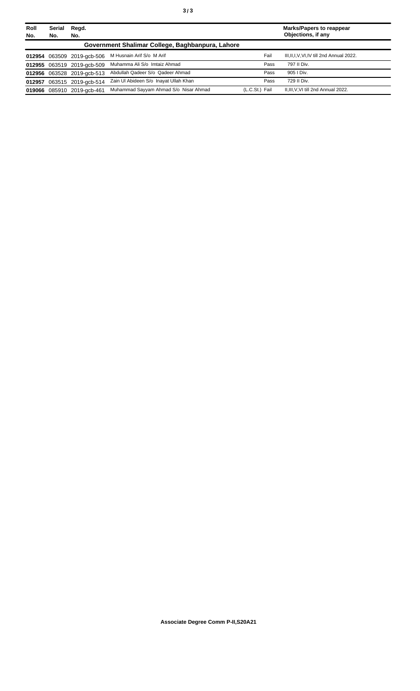| Roll<br>No. | <b>Serial</b><br>No. | Regd.<br>No.               |                                                  |                | <b>Marks/Papers to reappear</b><br>Objections, if any |
|-------------|----------------------|----------------------------|--------------------------------------------------|----------------|-------------------------------------------------------|
|             |                      |                            | Government Shalimar College, Baghbanpura, Lahore |                |                                                       |
|             |                      | 012954 063509 2019-acb-506 | M Husnain Arif S/o M Arif                        | Fail           | III, II, I, V, VI, IV till 2nd Annual 2022.           |
|             |                      | 012955 063519 2019-acb-509 | Muhamma Ali S/o Imtaiz Ahmad                     | Pass           | 797 II Div.                                           |
|             |                      | 012956 063528 2019-gcb-513 | Abdullah Qadeer S/o Qadeer Ahmad                 | Pass           | 905   Div.                                            |
|             |                      | 012957 063515 2019-acb-514 | Zain UI Abideen S/o Inayat Ullah Khan            | Pass           | 729 II Div.                                           |
|             |                      | 019066 085910 2019-gcb-461 | Muhammad Sayyam Ahmad S/o Nisar Ahmad            | (L.C.St.) Fail | II, III, V, VI till 2nd Annual 2022.                  |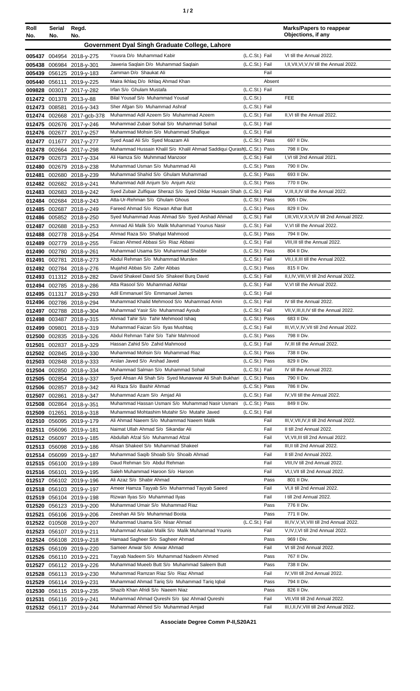| Roll<br>No. | Serial<br>No. | Regd.<br>No.                                         |                                                                                                                 |                                         | <b>Marks/Papers to reappear</b><br>Objections, if any                            |
|-------------|---------------|------------------------------------------------------|-----------------------------------------------------------------------------------------------------------------|-----------------------------------------|----------------------------------------------------------------------------------|
|             |               |                                                      | Government Dyal Singh Graduate College, Lahore                                                                  |                                         |                                                                                  |
|             |               | 005437 004954 2018-y-275                             | Yousra D/o Muhammad Kabir                                                                                       | (L.C.St.) Fail                          | VI till the Annual 2022.                                                         |
|             |               | 005438 006984 2018-y-301                             | Jaweria Saqlain D/o Muhammad Saqlain                                                                            | (L.C.St.) Fail                          | I, II, VII, VI, V, IV till the Annual 2022.                                      |
|             |               | 005439 056125 2019-y-183                             | Zamman D/o Shaukat Ali                                                                                          | Fail                                    |                                                                                  |
| 005440      |               | 056111 2019-y-225                                    | Maira Ikhlaq D/o Ikhlaq Ahmad Khan                                                                              | Absent                                  |                                                                                  |
|             |               | 009828 003017 2017-y-282                             | Irfan S/o Ghulam Mustafa                                                                                        | (L.C.St.) Fail                          |                                                                                  |
|             |               | 012472 001378 2013-y-88<br>012473 008581 2016-y-343  | Bilal Yousaf S/o Muhammad Yousaf<br>Sher Afgan S/o Muhammad Ashraf                                              | (L.C.S <sub>t</sub> )<br>(L.C.St.) Fail | <b>FEE</b>                                                                       |
|             |               | 012474 002668 2017-gcb-378                           | Muhammad Adil Azeem S/o Muhammad Azeem                                                                          | (L.C.St.) Fail                          | II, VI till the Annual 2022.                                                     |
|             |               | 012475 002676 2017-y-246                             | Muhammad Zubair Sohail S/o Muhammad Sohail                                                                      | (L.C.St.) Fail                          |                                                                                  |
|             |               | 012476 002677 2017-y-257                             | Muhammad Mohsin S/o Muhammad Shafique                                                                           | (L.C.St.) Fail                          |                                                                                  |
|             |               | 012477 011677 2017-y-277                             | Syed Asad Ali S/o Syed Moazam Ali                                                                               | (L.C.St.) Pass                          | 697 II Div.                                                                      |
|             |               | 012478 002664 2017-y-298                             | Muhammad Hussain Khalil S/o Khalil Ahmad Saddiqui Qurash(L.C.St.) Pass                                          |                                         | 798 II Div.                                                                      |
|             |               | 012479 002673 2017-y-334                             | Ali Hamza S/o Muhmmad Manzoor                                                                                   | (L.C.St.) Fail                          | I.VI till 2nd Annual 2021.                                                       |
|             |               | 012480 002679 2018-y-238                             | Muhammad Usman S/o Muhammad Ali                                                                                 | (L.C.St.) Pass                          | 790 II Div.                                                                      |
| 012481      |               | 002680 2018-y-239                                    | Muhammad Shahid S/o Ghulam Muhammad                                                                             | (L.C.St.) Pass                          | 693 II Div.                                                                      |
|             |               | 012482 002682 2018-y-241                             | Muhammad Adil Anjum S/o Anjum Aziz<br>Syed Zubair Zulfiquar Sherazi S/o Syed Dildar Hussain Shah (L.C.St.) Fail | (L.C.St.) Pass                          | 770 II Div.<br>V, III, II, IV till the Annual 2022.                              |
|             |               | 012483 002683 2018-y-242<br>012484 002684 2018-y-243 | Atta-Ur-Rehman S/o Ghulam Ghous                                                                                 | (L.C.St.) Pass                          | 905   Div.                                                                       |
|             |               | 012485 002687 2018-y-249                             | Fareed Ahmad S/o Rizwan Athar Butt                                                                              | (L.C.St.) Pass                          | 829 II Div.                                                                      |
|             |               | 012486 005852 2018-y-250                             | Syed Muhammad Anas Ahmad S/o Syed Arshad Ahmad                                                                  | (L.C.St.) Fail                          | I, III, VII, V, II, VI, IV till 2nd Annual 2022.                                 |
|             |               | 012487 002688 2018-y-253                             | Ammad Ali Malik S/o Malik Muhammad Younus Nasir                                                                 | (L.C.St.) Fail                          | V.VI till the Annual 2022.                                                       |
| 012488      |               | 002778 2018-y-254                                    | Ahmad Raza S/o Shafqat Mahmood                                                                                  | (L.C.St.) Pass                          | 794 II Div.                                                                      |
| 012489      |               | 002779 2018-y-255                                    | Faizan Ahmed Abbasi S/o Riaz Abbasi                                                                             | (L.C.St.) Fail                          | VIII, III till the Annual 2022.                                                  |
| 012490      |               | 002780 2018-y-261                                    | Muhammad Usama S/o Muhammad Shabbir                                                                             | (L.C.St.) Pass                          | 804 II Div.                                                                      |
| 012491      |               | 002781 2018-y-273                                    | Abdul Rehman S/o Muhammad Murslen                                                                               | (L.C.St.) Fail                          | VII, I, II, III till the Annual 2022.                                            |
|             |               | 012492 002784 2018-y-276                             | Mujahid Abbas S/o Zafer Abbas<br>David Shakeel David S/o Shakeel Burg David                                     | (L.C.St.) Pass<br>(L.C.St.) Fail        | 815 II Div.<br>II, I, IV, VIII, VI till 2nd Annual 2022.                         |
|             |               | 012493 011312 2018-y-282<br>012494 002785 2018-y-286 | Atta Rasool S/o Muhammad Akhtar                                                                                 | (L.C.St.) Fail                          | V, VI till the Annual 2022.                                                      |
|             |               | 012495 011317 2018-y-293                             | Adil Emmanuel S/o Emmanuel James                                                                                | (L.C.St.) Fail                          |                                                                                  |
|             |               | 012496 002786 2018-y-294                             | Muhammad Khalid Mehmood S/o Muhammad Amin                                                                       | (L.C.St.) Fail                          | IV till the Annual 2022.                                                         |
|             |               | 012497 002788 2018-y-304                             | Muhammad Yasir S/o Muhammad Ayoub                                                                               | (L.C.St.) Fail                          | VII, V, III, II, IV till the Annual 2022.                                        |
|             |               | 012498 003487 2018-y-315                             | Ahmad Tahir S/o Tahir Mehmood Ishaq                                                                             | (L.C.St.) Pass                          | 683 II Div.                                                                      |
|             |               | 012499 009801 2018-y-319                             | Muhammad Faizan S/o Ilyas Mushtaq                                                                               | (L.C.St.) Fail                          | III, VI, V, IV, VII till 2nd Annual 2022.                                        |
|             |               | 012500 002835 2018-y-326                             | Abdul Rehman Tahir S/o Tahir Mahmood                                                                            | (L.C.St.) Pass                          | 798 II Div.                                                                      |
|             |               | 012501 002837 2018-y-329                             | Hassan Zahid S/o Zahid Mahmood                                                                                  | (L.C.St.) Fail                          | IV, III till the Annual 2022.                                                    |
|             |               | 012502 002845 2018-y-330                             | Muhammad Mohsin S/o Muhammad Riaz<br>Arslan Javed S/o Arshad Javed                                              | (L.C.St.) Pass<br>(L.C.St.) Pass        | 738 II Div.<br>829 II Div.                                                       |
|             |               | 012503 002848 2018-y-333<br>012504 002850 2018-y-334 | Muhammad Salman S/o Muhammad Sohail                                                                             | (L.C.St.) Fail                          | IV till the Annual 2022.                                                         |
|             |               | 012505 002854 2018-y-337                             | Syed Ahsan Ali Shah S/o Syed Munawwar Ali Shah Bukhari (L.C.St.) Pass                                           |                                         | 790 II Div.                                                                      |
|             |               | 012506 002857 2018-y-342                             | Ali Raza S/o Bashir Ahmad                                                                                       | (L.C.St.) Pass                          | 786 II Div.                                                                      |
|             |               | 012507 002861 2018-y-347                             | Muhammad Azam S/o Amjad Ali                                                                                     | (L.C.St.) Fail                          | IV, VII till the Annual 2022.                                                    |
|             |               | 012508 002864 2018-y-351                             | Muhammad Hassan Usmani S/o Muhammad Nasir Usmani                                                                | (L.C.St.) Pass                          | 849 II Div.                                                                      |
|             |               | 012509 012651 2018-y-318                             | Muhammad Mohtashim Mutahir S/o Mutahir Javed                                                                    | (L.C.St.) Fail                          |                                                                                  |
|             |               | 012510 056095 2019-y-179                             | Ali Ahmad Naeem S/o Muhammad Naeem Malik                                                                        | Fail                                    | III, V, VII, IV, II till 2nd Annual 2022.                                        |
|             |               | 012511 056096 2019-y-181                             | Naimat Ullah Ahmad S/o Sikandar Ali<br>Abdullah Afzal S/o Muhammad Afzal                                        | Fail<br>Fail                            | II till 2nd Annual 2022.<br>VI, VII, III till 2nd Annual 2022.                   |
|             |               | 012512 056097 2019-y-185<br>012513 056098 2019-y-186 | Ahsan Shakeel S/o Muhammad Shakeel                                                                              | Fail                                    | III, II till 2nd Annual 2022.                                                    |
|             |               | 012514 056099 2019-y-187                             | Muhammad Saqib Shoaib S/o Shoaib Ahmad                                                                          | Fail                                    | II till 2nd Annual 2022.                                                         |
|             |               | 012515 056100 2019-y-189                             | Daud Rehman S/o Abdul Rehman                                                                                    | Fail                                    | VIII, IV till 2nd Annual 2022.                                                   |
|             |               | 012516 056101 2019-y-195                             | Saleh Muhammad Haroon S/o Haroon                                                                                | Fail                                    | VI, I, VII till 2nd Annual 2022.                                                 |
|             |               | 012517 056102 2019-y-196                             | Ali Azaz S/o Shabir Ahmad                                                                                       | Pass                                    | 801 II Div.                                                                      |
|             |               | 012518 056103 2019-y-197                             | Ameer Hamza Tayyab S/o Muhammad Tayyab Saeed                                                                    | Fail                                    | VI, II till 2nd Annual 2022.                                                     |
|             |               | 012519 056104 2019-y-198                             | Rizwan Ilyas S/o Muhammad Ilyas                                                                                 | Fail                                    | I till 2nd Annual 2022.                                                          |
|             |               | 012520 056123 2019-y-200                             | Muhammad Umair S/o Muhammad Riaz                                                                                | Pass                                    | 776 II Div.                                                                      |
|             |               | 012521 056106 2019-y-206                             | Zeeshan Ali S/o Muhammad Boota                                                                                  | Pass                                    | 771 II Div.                                                                      |
|             |               | 012522 010508 2019-y-207                             | Muhammad Usama S/o Nisar Ahmad<br>Muhammad Arsalan Malik S/o Malik Muhammad Younis                              | (L.C.St.) Fail<br>Fail                  | III, IV, V, VI, VIII till 2nd Annual 2022.<br>V, IV, I, VI till 2nd Annual 2022. |
|             |               | 012523 056107 2019-y-211<br>012524 056108 2019-y-218 | Hamaad Sagheer S/o Sagheer Ahmad                                                                                | Pass                                    | 969 I Div.                                                                       |
|             |               | 012525 056109 2019-y-220                             | Sameer Anwar S/o Anwar Ahmad                                                                                    | Fail                                    | VI till 2nd Annual 2022.                                                         |
|             |               | 012526 056110 2019-y-221                             | Tayyab Nadeem S/o Muhammad Nadeem Ahmed                                                                         | Pass                                    | 767 II Div.                                                                      |
|             |               | 012527 056112 2019-y-226                             | Muhammad Mueeb Butt S/o Muhammad Saleem Butt                                                                    | Pass                                    | 738 II Div.                                                                      |
|             |               | 012528 056113 2019-y-230                             | Muhammad Ramzan Riaz S/o Riaz Ahmad                                                                             | Fail                                    | IV, VIII till 2nd Annual 2022.                                                   |
|             |               | 012529 056114 2019-y-231                             | Muhammad Ahmad Tariq S/o Muhammad Tariq Iqbal                                                                   | Pass                                    | 794 II Div.                                                                      |
|             |               | 012530 056115 2019-y-235                             | Shazib Khan Afridi S/o Naeem Niaz                                                                               | Pass                                    | 826 II Div.                                                                      |
| 012531      |               | 056116 2019-y-241                                    | Muhammad Ahmad Qureshi S/o Ijaz Ahmad Qureshi                                                                   | Fail                                    | VII, VIII till 2nd Annual 2022.                                                  |
|             |               | 012532 056117 2019-y-244                             | Muhammad Ahmed S/o Muhammad Amjad                                                                               | Fail                                    | III, I, II, IV, VIII till 2nd Annual 2022.                                       |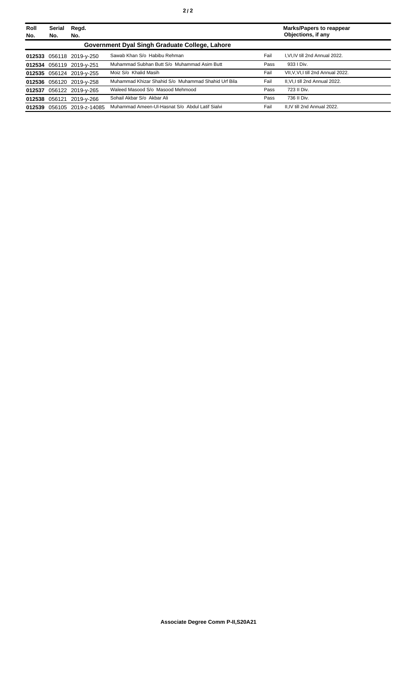| Roll   | Serial | Regd.                    |                                                     |      | <b>Marks/Papers to reappear</b>  |
|--------|--------|--------------------------|-----------------------------------------------------|------|----------------------------------|
| No.    | No.    | No.                      |                                                     |      | Objections, if any               |
|        |        |                          | Government Dyal Singh Graduate College, Lahore      |      |                                  |
|        |        | 012533 056118 2019-y-250 | Sawab Khan S/o Habibu Rehman                        | Fail | I.VI.IV till 2nd Annual 2022.    |
|        |        | 012534 056119 2019-y-251 | Muhammad Subhan Butt S/o Muhammad Asim Butt         | Pass | 933   Div.                       |
|        |        | 012535 056124 2019-y-255 | Moiz S/o Khalid Masih                               | Fail | VII.V.VI.I till 2nd Annual 2022. |
|        |        | 012536 056120 2019-y-258 | Muhammad Khizar Shahid S/o Muhammad Shahid Urf Bila | Fail | II.VI.I till 2nd Annual 2022.    |
| 012537 |        | 056122 2019-y-265        | Waleed Masood S/o Masood Mehmood                    | Pass | 723 II Div.                      |
|        |        | 012538 056121 2019-y-266 | Sohail Akbar S/o Akbar Ali                          | Pass | 736 II Div.                      |
| 012539 |        | 056105 2019-z-14085      | Muhammad Ameen-UI-Hasnat S/o Abdul Latif Sialvi     | Fail | II.IV till 2nd Annual 2022.      |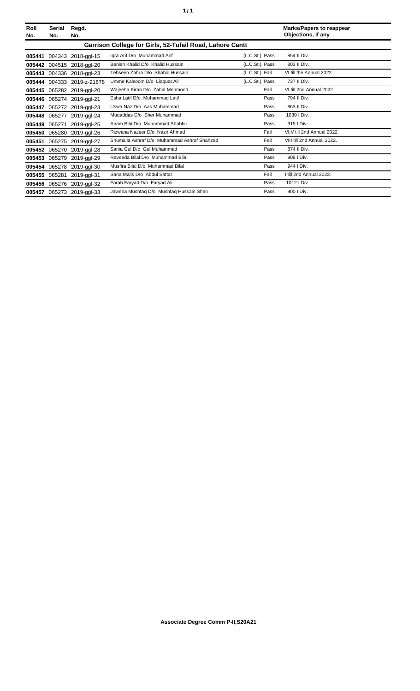| Roll<br>No. | Serial<br>No.                                            | Regd.<br>No.              |                                             |                | <b>Marks/Papers to reappear</b><br>Objections, if any |  |
|-------------|----------------------------------------------------------|---------------------------|---------------------------------------------|----------------|-------------------------------------------------------|--|
|             | Garrison College for Girls, 52-Tufail Road, Lahore Cantt |                           |                                             |                |                                                       |  |
| 005441      |                                                          | 004343 2018-ggl-15        | Igra Arif D/o Muhammad Arif                 | (L.C.St.) Pass | 854 II Div.                                           |  |
| 005442      |                                                          | 004515 2018-ggl-20        | Benish Khalid D/o Khalid Hussain            | (L.C.St.) Pass | 803 II Div.                                           |  |
| 005443      |                                                          | 004336 2018-ggl-23        | Tehseen Zahra D/o Shahid Hussain            | (L.C.St.) Fail | VI till the Annual 2022.                              |  |
| 005444      |                                                          | 004333 2019-z-21878       | Umme Kalsoom D/o Liaquat Ali                | (L.C.St.) Pass | 737 II Div.                                           |  |
| 005445      |                                                          | 065282 2019-ggl-20        | Wajeeha Kiran D/o Zahid Mehmood             | Fail           | VI till 2nd Annual 2022.                              |  |
| 005446      | 065274                                                   | 2019-ggl-21               | Esha Latif D/o Muhammad Latif               | Pass           | 794 II Div.                                           |  |
| 005447      |                                                          | 065272 2019-ggl-23        | Uswa Naz D/o Aas Muhammad                   | Pass           | 863 II Div.                                           |  |
| 005448      | 065277                                                   | 2019-ggl-24               | Mugaddas D/o Sher Muhammad                  | Pass           | 1030 I Div.                                           |  |
| 005449      | 065271                                                   | 2019-ggl-25               | Anam Bibi D/o Muhammad Shabbir              | Pass           | 915   Div.                                            |  |
| 005450      | 065280                                                   | 2019-ggl-26               | Rizwana Nazeer D/o Nazir Ahmad              | Fail           | VI, V till 2nd Annual 2022.                           |  |
| 005451      |                                                          | 065275 2019-ggl-27        | Shumaila Ashraf D/o Muhammad Ashraf Shahzad | Fail           | VIII till 2nd Annual 2022.                            |  |
| 005452      |                                                          | 065270 2019-ggl-28        | Sania Gul D/o Gul Muhammad                  | Pass           | 874 II Div.                                           |  |
| 005453      | 065279                                                   | 2019-ggl-29               | Raveeda Bilal D/o Muhammad Bilal            | Pass           | 908   Div.                                            |  |
| 005454      | 065278                                                   | 2019-ggl-30               | Musfira Bilal D/o Muhammad Bilal            | Pass           | 944   Div.                                            |  |
| 005455      | 065281                                                   | 2019-ggl-31               | Sana Malik D/o Abdul Sattar                 | Fail           | I till 2nd Annual 2022.                               |  |
| 005456      | 065276                                                   | 2019-ggl-32               | Farah Faryad D/o Faryad Ali                 | Pass           | 1012   Div.                                           |  |
|             |                                                          | 005457 065273 2019-ggl-33 | Jaweria Mushtaq D/o Mushtaq Hussain Shah    | Pass           | 900   Div.                                            |  |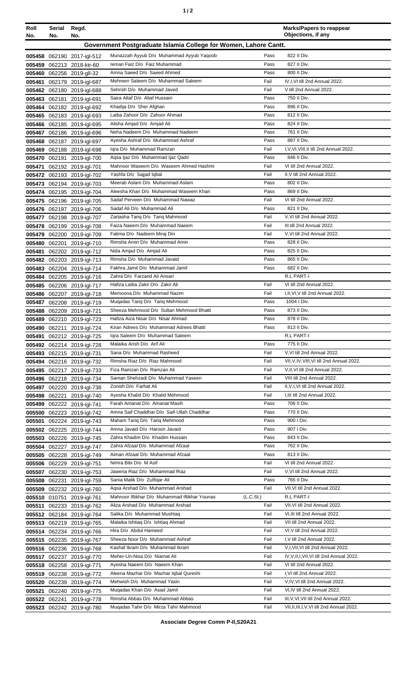| ٠ |  |  |
|---|--|--|
|---|--|--|

| Roll<br>No. | Serial<br>No. | Regd.<br>No.                                             |                                                                  |                       | <b>Marks/Papers to reappear</b><br>Objections, if any |
|-------------|---------------|----------------------------------------------------------|------------------------------------------------------------------|-----------------------|-------------------------------------------------------|
|             |               |                                                          | Government Postgraduate Islamia College for Women, Lahore Cantt. |                       |                                                       |
|             |               | 005458 062190 2017-igl-512                               | Munazzah Ayyub D/o Muhammad Ayyub Yaqoob                         | Pass                  | 822 II Div.                                           |
|             |               | 005459 062213 2018-ktr-60                                | Ieman Faiz D/o Faiz Muhammad                                     | Pass                  | 827 II Div.                                           |
|             |               | 005460 062256 2019-gll-32                                | Amna Saeed D/o Saeed Ahmed                                       | Pass                  | 800 II Div.                                           |
| 005461      |               | 062179 2019-igl-687                                      | Mehreen Saleem D/o Muhammad Saleem                               | Fail                  | IV, I, VI till 2nd Annual 2022.                       |
|             |               | 005462 062180 2019-igl-688                               | Sehrish D/o Muhammad Javed                                       | Fail                  | V till 2nd Annual 2022.                               |
|             |               | 005463 062181 2019-igl-691                               | Saira Altaf D/o Altaf Hussain                                    | Pass                  | 750 II Div.                                           |
|             |               | 005464 062182 2019-igl-692                               | Khadija D/o Sher Afghan                                          | Pass                  | 896 II Div.                                           |
|             |               | 005465 062183 2019-igl-693                               | Laiba Zahoor D/o Zahoor Ahmad                                    | Pass                  | 812 II Div.                                           |
|             |               | 005466 062185 2019-igl-695                               | Alisha Amjad D/o Amjad Ali                                       | Pass                  | 824 II Div.                                           |
|             |               | 005467 062186 2019-igl-696                               | Neha Nadeem D/o Muhammad Nadeem                                  | Pass                  | 761 II Div.                                           |
|             |               | 005468 062187 2019-igl-697                               | Ayesha Ashraf D/o Muhammad Ashraf                                | Pass                  | 887 II Div.                                           |
|             |               | 005469 062188 2019-igl-698                               | Igra D/o Muhammad Ramzan                                         | Fail                  | I, V, VI, VIII, II till 2nd Annual 2022.              |
|             |               | 005470 062191 2019-igl-700                               | Agsa Ijaz D/o Muhammad Ijaz Qadri                                | Pass                  | 846 II Div.                                           |
| 005471      |               | 062192 2019-igl-701                                      | Mahnoor Waseem D/o Waseem Ahmed Hashmi                           | Fail                  | VI till 2nd Annual 2022.                              |
|             |               | 005472 062193 2019-igl-702                               | Yashfa D/o Sajjad Iqbal                                          | Fail                  | II, V till 2nd Annual 2022.                           |
|             |               | 005473 062194 2019-igl-703                               | Meerab Aslam D/o Muhammad Aslam                                  | Pass                  | 802 II Div.                                           |
|             |               | 005474 062195 2019-igl-704                               | Aleesha Khan D/o Muhammad Waseem Khan                            | Pass                  | 869 II Div.                                           |
|             |               | 005475 062196 2019-igl-705                               | Sadaf Perveen D/o Muhammad Nawaz                                 | Fail                  | VI till 2nd Annual 2022.                              |
|             |               | 005476 062197 2019-igl-706                               | Sadaf Ali D/o Muhammad Ali                                       | Pass                  | 821 II Div.                                           |
| 005477      |               | 062198 2019-igl-707                                      | Zartasha Tariq D/o Tariq Mahmood                                 | Fail                  | V, VI till 2nd Annual 2022.                           |
|             |               | 005478 062199 2019-igl-708                               | Faiza Naeem D/o Muhammad Naeem                                   | Fail<br>Fail          | III till 2nd Annual 2022.                             |
|             |               | 005479 062200 2019-igl-709                               | Fatima D/o Nadeem Miraj Din<br>Rimsha Amin D/o Muhammad Amin     | Pass                  | V, VI till 2nd Annual 2022.<br>828 II Div.            |
|             |               | 005480 062201 2019-igl-710                               | Nida Amjad D/o Amjad Ali                                         | Pass                  | 825 II Div.                                           |
| 005481      |               | 062202 2019-igl-712<br>005482 062203 2019-igl-713        | Rimsha D/o Muhammad Javaid                                       | Pass                  | 865 II Div.                                           |
|             |               | 005483 062204 2019-igl-714                               | Fakhra Jamil D/o Muhammad Jamil                                  | Pass                  | 682 II Div.                                           |
|             |               | 005484 062205 2019-igl-716                               | Zahra D/o Farzand Ali Ansari                                     |                       | R.L PART-I                                            |
|             |               | 005485 062206 2019-igl-717                               | Hafiza Laiba Zakir D/o Zakir Ali                                 | Fail                  | VI till 2nd Annual 2022.                              |
|             |               | 005486 062207 2019-igl-718                               | Memoona D/o Muhammad Nazim                                       | Fail                  | I, II, VI, V till 2nd Annual 2022.                    |
|             |               | 005487 062208 2019-igl-719                               | Mugadas Tarig D/o Tarig Mehmood                                  | Pass                  | 1004 I Div.                                           |
|             |               | 005488 062209 2019-igl-721                               | Sheeza Mehmood D/o Sultan Mehmood Bhatti                         | Pass                  | 873 II Div.                                           |
|             |               | 005489 062210 2019-igl-723                               | Hafiza Aiza Nisar D/o Nisar Ahmad                                | Pass                  | 878 II Div.                                           |
|             |               | 005490 062211 2019-ial-724                               | Kiran Adrees D/o Muhammad Adrees Bhatti                          | Pass                  | 813 II Div.                                           |
|             |               | 005491 062212 2019-igl-725                               | Igra Saleem D/o Muhammad Saleem                                  |                       | R.L PART-I                                            |
|             |               | 005492 062214 2019-igl-728                               | Malaika Arish D/o Arif Ali                                       | Pass                  | 775 II Div.                                           |
|             |               | 005493 062215 2019-igl-731                               | Sana D/o Muhammad Rasheed                                        | Fail                  | V, VI till 2nd Annual 2022.                           |
|             |               | 005494 062216 2019-igl-732                               | Rimsha Riaz D/o Riaz Mahmood                                     | Fail                  | VII, V, IV, VIII, VI till 2nd Annual 2022.            |
|             |               | 005495 062217 2019-igl-733                               | Fiza Ramzan D/o Ramzan Ali                                       | Fail                  | V, II, VI till 2nd Annual 2022.                       |
|             |               | 005496 062218 2019-igl-734                               | Saman Shehzadi D/o Muhammad Yaseen                               | Fail                  | VIII till 2nd Annual 2022.                            |
|             |               | 005497 062220 2019-igl-738                               | Zonish D/o Farhat Ali                                            | Fail                  | II, V, I, VI till 2nd Annual 2022.                    |
|             |               | 005498 062221 2019-igl-740                               | Ayesha Khalid D/o Khalid Mehmood                                 | Fail                  | I, III till 2nd Annual 2022.                          |
|             |               | 005499 062222 2019-igl-741                               | Farah Amanat D/o Amanat Masih                                    | Pass                  | 706 II Div.                                           |
|             |               | 005500 062223 2019-igl-742                               | Amna Saif Chaddhar D/o Saif-Ullah Chaddhar                       | Pass                  | 770 II Div.                                           |
| 005501      |               | 062224 2019-igl-743                                      | Maham Tariq D/o Tariq Mehmood                                    | Pass                  | 900 I Div.                                            |
|             |               | 005502 062225 2019-igl-744                               | Amna Javaid D/o Haroon Javaid<br>Zahra Khadim D/o Khadim Hussain | Pass<br>Pass          | 907   Div.<br>843 II Div.                             |
|             |               | 005503 062226 2019-igl-745                               | Zahra Afzaal D/o Muhammad Afzaal                                 | Pass                  | 762 II Div.                                           |
|             |               | 005504 062227 2019-igl-747<br>005505 062228 2019-igl-749 | Aiman Afzaal D/o Muhammad Afzaal                                 | Pass                  | 813 II Div.                                           |
|             |               | 005506 062229 2019-igl-751                               | Nimra Bibi D/o M Asif                                            | Fail                  | VI till 2nd Annual 2022.                              |
|             |               | 005507 062230 2019-igl-753                               | Jaweria Riaz D/o Muhammad Riaz                                   | Fail                  | V, VI till 2nd Annual 2022.                           |
|             | 005508 062231 | 2019-igl-759                                             | Sania Malik D/o Zulfigar Ali                                     | Pass                  | 765 II Div.                                           |
|             |               | 005509 062232 2019-igl-760                               | Aqsa Arshad D/o Muhammad Arshad                                  | Fail                  | VII, VI till 2nd Annual 2022.                         |
|             |               | 005510 010751 2019-igl-761                               | Mahnoor Iftikhar D/o Muhammad Iftikhar Younas                    | (L.C.S <sub>t</sub> ) | R.L PART-I                                            |
| 005511      |               | 062233 2019-igl-762                                      | Aliza Arshad D/o Muhammad Arshad                                 | Fail                  | VII, VI till 2nd Annual 2022.                         |
|             |               | 005512 062184 2019-igl-764                               | Salika D/o Muhammad Mushtaq                                      | Fail                  | VI, III till 2nd Annual 2022.                         |
|             |               | 005513 062219 2019-igl-765                               | Malaika Ishtiaq D/o Ishtiaq Ahmad                                | Fail                  | VII till 2nd Annual 2022.                             |
|             |               | 005514 062234 2019-igl-766                               | Hira D/o Abdul Hameed                                            | Fail                  | VI, V till 2nd Annual 2022.                           |
|             |               | 005515 062235 2019-igl-767                               | Sheeza Noor D/o Muhammad Ashraf                                  | Fail                  | I, V till 2nd Annual 2022.                            |
|             |               | 005516 062236 2019-igl-768                               | Kashaf Ikram D/o Muhammad Ikram                                  | Fail                  | V,I, VII, VI till 2nd Annual 2022.                    |
| 005517      |               | 062237 2019-igl-770                                      | Meher-Un-Nisa D/o Niamat Ali                                     | Fail                  | IV.V.II.I.VII.VI till 2nd Annual 2022.                |
|             |               | 005518 062258 2019-igl-771                               | Ayesha Naeem D/o Naeem Khan                                      | Fail                  | VI till 2nd Annual 2022.                              |
| 005519      |               | 062238 2019-igl-772                                      | Aleena Mazhar D/o Mazhar Iqbal Qureshi                           | Fail                  | I, VI till 2nd Annual 2022.                           |
|             |               | 005520 062239 2019-igl-774                               | Mehwish D/o Muhammad Yasin                                       | Fail                  | V,IV, VI till 2nd Annual 2022.                        |
| 005521      |               | 062240 2019-igl-775                                      | Mugadas Khan D/o Asad Jamil                                      | Fail                  | VI, IV till 2nd Annual 2022.                          |
|             |               | 005522 062241 2019-igl-778                               | Rimsha Abbas D/o Muhammad Abbas                                  | Fail                  | III, V, VI, VII till 2nd Annual 2022.                 |
|             |               | 005523 062242 2019-igl-780                               | Mugadas Tahir D/o Mirza Tahir Mahmood                            | Fail                  | VII, II, II, I, V, VI till 2nd Annual 2022.           |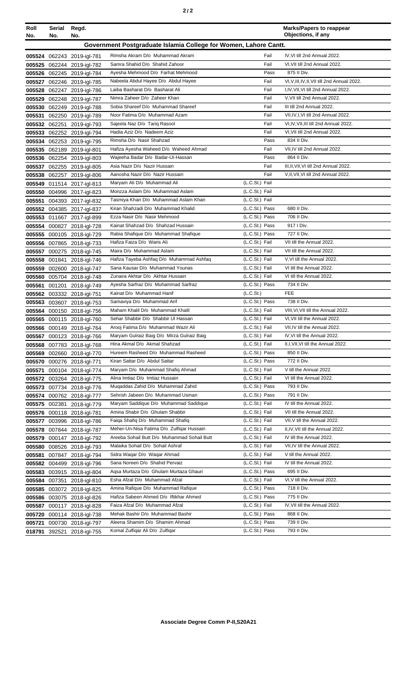| Roll                                                             | Serial Regd. |                                                          |                                                                      |                                  | <b>Marks/Papers to reappear</b><br>Objections, if any |  |
|------------------------------------------------------------------|--------------|----------------------------------------------------------|----------------------------------------------------------------------|----------------------------------|-------------------------------------------------------|--|
| No.                                                              | No.          | No.                                                      |                                                                      |                                  |                                                       |  |
| Government Postgraduate Islamia College for Women, Lahore Cantt. |              |                                                          |                                                                      |                                  |                                                       |  |
|                                                                  |              | 005524 062243 2019-igl-781                               | Rimsha Akram D/o Muhammad Akram                                      | Fail                             | IV, VI till 2nd Annual 2022.                          |  |
|                                                                  |              | 005525 062244 2019-igl-782                               | Samra Shahid D/o Shahid Zahoor<br>Ayesha Mehmood D/o Farhat Mehmood  | Fail<br>Pass                     | VI, VII till 2nd Annual 2022.<br>875 II Div.          |  |
|                                                                  |              | 005526 062245 2019-igl-784                               | Nabeela Abdul Hayee D/o Abdul Hayee                                  | Fail                             | VI, V, III, IV, II, VII till 2nd Annual 2022.         |  |
|                                                                  |              | 005527 062246 2019-igl-785<br>005528 062247 2019-igl-786 | Laiba Basharat D/o Basharat Ali                                      | Fail                             | I, IV, VII, VI till 2nd Annual 2022.                  |  |
| 005529                                                           |              | 062248 2019-igl-787                                      | Nimra Zaheer D/o Zaheer Khan                                         | Fail                             | V, VII till 2nd Annual 2022.                          |  |
| 005530                                                           |              | 062249 2019-igl-788                                      | Sobia Shareef D/o Muhammad Shareef                                   | Fail                             | III till 2nd Annual 2022.                             |  |
| 005531                                                           |              | 062250 2019-igl-789                                      | Noor Fatima D/o Muhammad Azam                                        | Fail                             | VII, IV, I, VI till 2nd Annual 2022.                  |  |
|                                                                  |              | 005532 062251 2019-igl-793                               | Sajeela Naz D/o Tariq Rasool                                         | Fail                             | VI, IV, VII, III till 2nd Annual 2022.                |  |
| 005533                                                           |              | 062252 2019-igl-794                                      | Hadia Aziz D/o Nadeem Aziz                                           | Fail                             | VI, VII till 2nd Annual 2022.                         |  |
|                                                                  |              | 005534 062253 2019-igl-795                               | Rimsha D/o Nasir Shahzad                                             | Pass                             | 834 II Div.                                           |  |
|                                                                  |              | 005535 062189 2019-igl-801                               | Hafiza Ayesha Waheed D/o Waheed Ahmad                                | Fail                             | VII,IV till 2nd Annual 2022.                          |  |
|                                                                  |              | 005536 062254 2019-igl-803                               | Wajeeha Badar D/o Badar-Ul-Hassan                                    | Pass                             | 864 II Div.                                           |  |
| 005537                                                           |              | 062255 2019-igl-805                                      | Asia Nazir D/o Nazir Hussain                                         | Fail                             | III, II, VII, VI till 2nd Annual 2022.                |  |
|                                                                  |              | 005538 062257 2019-igl-806                               | Aanosha Nazir D/o Nazir Hussain                                      | Fail                             | V, II, VII, VI till 2nd Annual 2022.                  |  |
| 005549                                                           |              | 011514 2017-igl-813                                      | Maryam Ali D/o Muhammad Ali                                          | (L.C.St.) Fail                   |                                                       |  |
| 005550                                                           |              | 004996 2017-igl-823                                      | Monzza Aslam D/o Muhammad Aslam                                      | (L.C.St.) Fail                   |                                                       |  |
|                                                                  |              | 005551 004393 2017-igl-832                               | Tasmiya Khan D/o Muhammad Aslam Khan                                 | (L.C.St.) Fail                   |                                                       |  |
|                                                                  |              | 005552 004385 2017-igl-837                               | Kiran Shahzadi D/o Muhammad Khalid                                   | (L.C.St.) Pass                   | 680 II Div.                                           |  |
|                                                                  |              | 005553 011667 2017-igl-899                               | Ezza Nasir D/o Nasir Mehmood                                         | (L.C.St.) Pass                   | 706 II Div.                                           |  |
|                                                                  |              | 005554 000827 2018-igl-728                               | Kainat Shahzad D/o Shahzad Hussain                                   | (L.C.St.) Pass                   | 917   Div.                                            |  |
| 005555                                                           |              | 000105 2018-igl-729                                      | Rabia Shafique D/o Muhammad Shafique                                 | (L.C.St.) Pass                   | 727 II Div.                                           |  |
| 005556                                                           |              | 007865 2018-igl-733                                      | Hafiza Faiza D/o Waris Ali                                           | (L.C.St.) Fail                   | VII till the Annual 2022.                             |  |
| 005557                                                           |              | 000275 2018-igl-745                                      | Maira D/o Muhammad Aslam                                             | (L.C.St.) Fail                   | VII till the Annual 2022.                             |  |
| 005558                                                           |              | 001841 2018-igl-746                                      | Hafiza Tayeba Ashfaq D/o Muhammad Ashfaq                             | (L.C.St.) Fail                   | V, VI till the Annual 2022.                           |  |
| 005559                                                           |              | 002600 2018-igl-747                                      | Sana Kausar D/o Muhammad Younas<br>Zunaira Akhtar D/o Akhtar Hussain | (L.C.St.) Fail<br>(L.C.St.) Fail | VI till the Annual 2022.<br>VI till the Annual 2022.  |  |
| 005560                                                           |              | 005704 2018-igl-748                                      | Ayesha Sarfraz D/o Muhammad Sarfraz                                  | (L.C.St.) Pass                   | 734 II Div.                                           |  |
| 005561                                                           |              | 001201 2018-igl-749                                      | Kainat D/o Muhammad Hanif                                            | (L.C.St.)                        | <b>FEE</b>                                            |  |
| 005563                                                           |              | 005562 003332 2018-igl-751<br>003607 2018-igl-753        | Samaviya D/o Muhammad Arif                                           | (L.C.St.) Pass                   | 738 II Div.                                           |  |
|                                                                  |              | 005564 000150 2018-igl-756                               | Maham Khalil D/o Muhammad Khalil                                     | (L.C.St.) Fail                   | VIII, VI, VII till the Annual 2022.                   |  |
| 005565                                                           |              | 000115 2018-igl-760                                      | Sehar Shabbir D/o Shabbir Ul Hassan                                  | (L.C.St.) Fail                   | VI, VII till the Annual 2022.                         |  |
|                                                                  |              | 005566 000149 2018-igl-764                               | Arooj Fatima D/o Muhammad Wazir Ali                                  | (L.C.St.) Fail                   | VII, IV till the Annual 2022.                         |  |
|                                                                  |              | 005567 000123 2018-igl-766                               | Maryam Gulraiz Baig D/o Mirza Gulraiz Baig                           | (L.C.St.) Fail                   | IV, VI till the Annual 2022.                          |  |
|                                                                  |              | 005568 007783 2018-igl-768                               | Hina Akmal D/o Akmal Shahzad                                         | (L.C.St.) Fail                   | II, I, VII, VI till the Annual 2022.                  |  |
|                                                                  |              | 005569 002660 2018-igl-770                               | Hureem Rasheed D/o Muhammad Rasheed                                  | (L.C.St.) Pass                   | 850 II Div.                                           |  |
| 005570                                                           |              | 000276 2018-igl-771                                      | Kiran Sattar D/o Abdul Sattar                                        | (L.C.St.) Pass                   | 772 II Div.                                           |  |
| 005571                                                           |              | 000104 2018-igl-774                                      | Maryam D/o Muhammad Shafiq Ahmad                                     | (L.C.St.) Fail                   | V till the Annual 2022.                               |  |
|                                                                  |              | 005572 003264 2018-igl-775                               | Alina Imtiaz D/o Imtiaz Hussain                                      | (L.C.St.) Fail                   | VI till the Annual 2022.                              |  |
| 005573                                                           |              | 007734 2018-igl-776                                      | Mugaddas Zahid D/o Muhammad Zahid                                    | (L.C.St.) Pass                   | 793 II Div.                                           |  |
| 005574                                                           |              | 000762 2018-igl-777                                      | Sehrish Jabeen D/o Muhammad Usman                                    | (L.C.St.) Pass                   | 791 II Div.                                           |  |
| 005575                                                           |              | 002381 2018-igl-779                                      | Maryam Saddique D/o Muhammad Saddique                                | (L.C.St.) Fail                   | IV till the Annual 2022.                              |  |
| 005576                                                           |              | 000118 2018-igl-781                                      | Amina Shabir D/o Ghulam Shabbir                                      | (L.C.St.) Fail                   | VII till the Annual 2022.                             |  |
| 005577                                                           |              | 003996 2018-igl-786                                      | Faiga Shafig D/o Muhammad Shafig                                     | (L.C.St.) Fail                   | VII, V till the Annual 2022.                          |  |
| 005578                                                           |              | 007844 2018-igl-787                                      | Meher-Un-Nisa Fatima D/o Zulfigar Hussain                            | (L.C.St.) Fail                   | II, IV, VII till the Annual 2022.                     |  |
| 005579                                                           |              | 000147 2018-igl-792                                      | Areeba Sohail Butt D/o Muhammad Sohail Butt                          | (L.C.St.) Fail                   | IV till the Annual 2022.                              |  |
| 005580                                                           |              | 008526 2018-igl-793                                      | Malaika Sohail D/o Sohail Ashraf                                     | (L.C.St.) Fail                   | VII, IV till the Annual 2022.                         |  |
| 005581                                                           |              | 007847 2018-igl-794                                      | Sidra Waqar D/o Waqar Ahmad                                          | (L.C.St.) Fail                   | V till the Annual 2022.                               |  |
| 005582                                                           |              | 004499 2018-igl-796                                      | Sana Noreen D/o Shahid Pervaiz                                       | (L.C.St.) Fail                   | IV till the Annual 2022.                              |  |
| 005583                                                           |              | 003915 2018-igl-804                                      | Agsa Murtaza D/o Ghulam Murtaza Ghauri                               | (L.C.St.) Pass                   | 695 II Div.                                           |  |
| 005584                                                           |              | 007351 2018-igl-810                                      | Esha Afzal D/o Muhammad Afzal                                        | (L.C.St.) Fail                   | VI, V till the Annual 2022.                           |  |
| 005585                                                           |              | 003072 2018-igl-825                                      | Amina Rafique D/o Muhammad Rafique                                   | (L.C.St.) Pass                   | 718 II Div.                                           |  |
| 005586                                                           |              | 003075 2018-igl-826                                      | Hafiza Sabeen Ahmed D/o Iftikhar Ahmed                               | (L.C.St.) Pass                   | 775 II Div.                                           |  |
| 005587                                                           |              | 000117 2018-igl-828                                      | Faiza Afzal D/o Muhammad Afzal<br>Mehak Bashir D/o Muhammad Bashir   | (L.C.St.) Fail<br>(L.C.St.) Pass | IV, VII till the Annual 2022.<br>868 II Div.          |  |
| 005720                                                           |              | 000114 2018-igl-738                                      | Aleena Shamim D/o Shamim Ahmad                                       | (L.C.St.) Pass                   | 739 II Div.                                           |  |
| 005721                                                           |              | 000730 2018-igl-797                                      | Komal Zulfigar Ali D/o Zulfigar                                      | (L.C.St.) Pass                   | 793 II Div.                                           |  |
| 018791                                                           |              | 392521 2018-igl-755                                      |                                                                      |                                  |                                                       |  |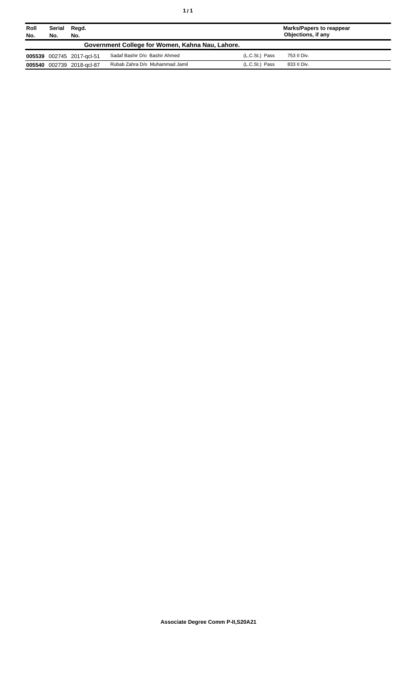| Roll<br>No. | Serial<br>No. | Regd.<br>No.              |                                                  |                | <b>Marks/Papers to reappear</b><br>Objections, if any |
|-------------|---------------|---------------------------|--------------------------------------------------|----------------|-------------------------------------------------------|
|             |               |                           | Government College for Women, Kahna Nau, Lahore. |                |                                                       |
|             |               | 005539 002745 2017-gcl-51 | Sadaf Bashir D/o Bashir Ahmed                    | (L.C.St.) Pass | 753 II Div.                                           |
|             |               | 005540 002739 2018-gcl-87 | Rubab Zahra D/o Muhammad Jamil                   | (L.C.St.) Pass | 833 II Div.                                           |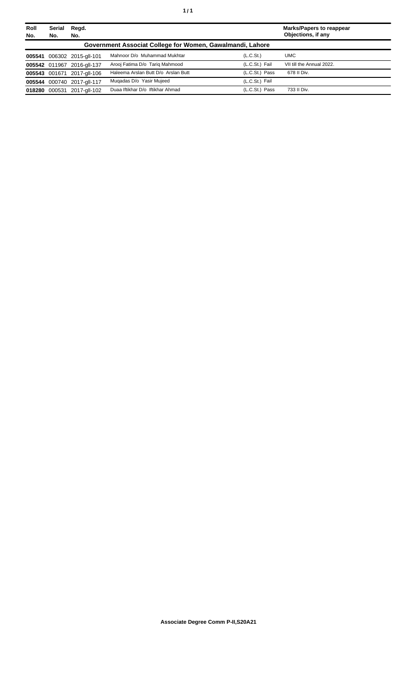| Roll<br>No. | <b>Serial</b><br>No.                                      | Regd.<br>No.               |                                     |                       | <b>Marks/Papers to reappear</b><br>Objections, if any |  |  |
|-------------|-----------------------------------------------------------|----------------------------|-------------------------------------|-----------------------|-------------------------------------------------------|--|--|
|             | Government Associat College for Women, Gawalmandi, Lahore |                            |                                     |                       |                                                       |  |  |
| 005541      |                                                           | 006302 2015-gll-101        | Mahnoor D/o Muhammad Mukhtar        | (L.C.S <sub>t</sub> ) | <b>UMC</b>                                            |  |  |
|             |                                                           | 005542 011967 2016-all-137 | Arooj Fatima D/o Tariq Mahmood      | (L.C.St.) Fail        | VII till the Annual 2022.                             |  |  |
|             |                                                           | 005543 001671 2017-gll-106 | Haleema Arslan Butt D/o Arslan Butt | (L.C.St.) Pass        | 678 II Div.                                           |  |  |
|             |                                                           | 005544 000740 2017-all-117 | Mugadas D/o Yasir Mujeed            | (L.C.St.) Fail        |                                                       |  |  |
| 018280      | 000531                                                    | 2017-gll-102               | Duaa Iftikhar D/o Iftikhar Ahmad    | (L.C.St.) Pass        | 733 II Div.                                           |  |  |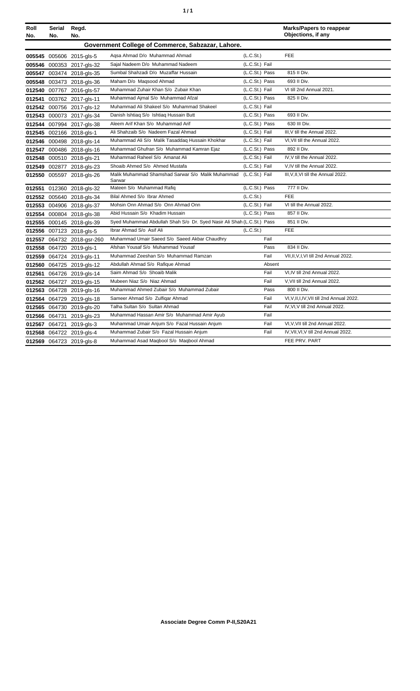|  | ٠ |
|--|---|
|  |   |

| Roll<br>No. | Serial<br>No.                                     | Regd.<br>No.               |                                                                            |                |        | <b>Marks/Papers to reappear</b><br>Objections, if any |
|-------------|---------------------------------------------------|----------------------------|----------------------------------------------------------------------------|----------------|--------|-------------------------------------------------------|
|             | Government College of Commerce, Sabzazar, Lahore. |                            |                                                                            |                |        |                                                       |
|             |                                                   | 005545 005606 2015-gls-5   | Agsa Ahmad D/o Muhammad Ahmad                                              | (L.C.St.)      |        | <b>FEE</b>                                            |
|             |                                                   | 005546 000353 2017-gls-32  | Sajal Nadeem D/o Muhammad Nadeem                                           | (L.C.St.) Fail |        |                                                       |
|             |                                                   | 005547 003474 2018-gls-35  | Sumbal Shahzadi D/o Muzaffar Hussain                                       | (L.C.St.) Pass |        | 815 II Div.                                           |
|             |                                                   | 005548 003473 2018-gls-36  | Maham D/o Maqsood Ahmad                                                    | (L.C.St.) Pass |        | 693 II Div.                                           |
|             |                                                   | 012540 007767 2016-gls-57  | Muhammad Zuhair Khan S/o Zubair Khan                                       | (L.C.St.) Fail |        | VI till 2nd Annual 2021.                              |
|             |                                                   | 012541 003762 2017-gls-11  | Muhammad Ajmal S/o Muhammad Afzal                                          | (L.C.St.) Pass |        | 825 II Div.                                           |
|             |                                                   | 012542 000756 2017-gls-12  | Muhammad Ali Shakeel S/o Muhammad Shakeel                                  | (L.C.St.) Fail |        |                                                       |
|             |                                                   | 012543 000073 2017-gls-34  | Danish Ishtiaq S/o Ishtiaq Hussain Butt                                    | (L.C.St.) Pass |        | 693 II Div.                                           |
|             |                                                   | 012544 007994 2017-gls-38  | Aleem Arif Khan S/o Muhammad Arif                                          | (L.C.St.) Pass |        | 630 III Div.                                          |
|             |                                                   | 012545 002166 2018-gls-1   | Ali Shahzaib S/o Nadeem Fazal Ahmad                                        | (L.C.St.) Fail |        | III, V till the Annual 2022.                          |
|             |                                                   | 012546 000498 2018-gls-14  | Muhammad Ali S/o Malik Tasaddaq Hussain Khokhar                            | (L.C.St.) Fail |        | VI, VII till the Annual 2022.                         |
|             |                                                   | 012547 000486 2018-gls-16  | Muhammad Ghufran S/o Muhammad Kamran Ejaz                                  | (L.C.St.) Pass |        | 892 II Div.                                           |
|             |                                                   | 012548 000510 2018-gls-21  | Muhammad Raheel S/o Amanat Ali                                             | (L.C.St.) Fail |        | IV, V till the Annual 2022.                           |
|             |                                                   | 012549 002877 2018-gls-23  | Shoaib Ahmed S/o Ahmed Mustafa                                             | (L.C.St.) Fail |        | V,IV till the Annual 2022.                            |
|             |                                                   | 012550 005597 2018-gls-26  | Malik Muhammad Shamshad Sarwar S/o Malik Muhammad (L.C.St.) Fail<br>Sarwar |                |        | III, V, II, VI till the Annual 2022.                  |
|             |                                                   | 012551 012360 2018-gls-32  | Mateen S/o Muhammad Rafiq                                                  | (L.C.St.) Pass |        | 777 II Div.                                           |
|             |                                                   | 012552 005640 2018-gls-34  | Bilal Ahmed S/o Ibrar Ahmed                                                | (L.C.St.)      |        | <b>FEE</b>                                            |
|             |                                                   | 012553 004906 2018-gls-37  | Mohsin Onn Ahmad S/o Onn Ahmad Onn                                         | (L.C.St.) Fail |        | VI till the Annual 2022.                              |
|             |                                                   | 012554 000804 2018-gls-38  | Abid Hussain S/o Khadim Hussain                                            | (L.C.St.) Pass |        | 857 II Div.                                           |
|             |                                                   | 012555 000145 2018-gls-39  | Syed Muhammad Abdullah Shah S/o Dr. Syed Nasir Ali Shah (L.C.St.) Pass     |                |        | 851 II Div.                                           |
|             |                                                   | 012556 007123 2018-gls-5   | Ibrar Ahmad S/o Asif Ali                                                   | (L.C.St.)      |        | <b>FEE</b>                                            |
|             |                                                   | 012557 064732 2018-gsr-260 | Muhammad Umair Saeed S/o Saeed Akbar Chaudhry                              |                | Fail   |                                                       |
|             |                                                   | 012558 064720 2019-gls-1   | Afshan Yousaf S/o Muhammad Yousaf                                          |                | Pass   | 834 II Div.                                           |
|             |                                                   | 012559 064724 2019-gls-11  | Muhammad Zeeshan S/o Muhammad Ramzan                                       |                | Fail   | VII, II, V, I, VI till 2nd Annual 2022.               |
|             |                                                   | 012560 064725 2019-gls-12  | Abdullah Ahmad S/o Rafique Ahmad                                           |                | Absent |                                                       |
|             |                                                   | 012561 064726 2019-gls-14  | Saim Ahmad S/o Shoaib Malik                                                |                | Fail   | VI, IV till 2nd Annual 2022.                          |
|             |                                                   | 012562 064727 2019-gls-15  | Mubeen Niaz S/o Niaz Ahmad                                                 |                | Fail   | V, VII till 2nd Annual 2022.                          |
|             |                                                   | 012563 064728 2019-gls-16  | Muhammad Ahmed Zubair S/o Muhammad Zubair                                  |                | Pass   | 800 II Div.                                           |
|             |                                                   | 012564 064729 2019-gls-18  | Sameer Ahmad S/o Zulfigar Ahmad                                            |                | Fail   | VI, V, II, I, IV, VII till 2nd Annual 2022.           |
|             |                                                   | 012565 064730 2019-gls-20  | Talha Sultan S/o Sultan Ahmad                                              |                | Fail   | IV, VI, V till 2nd Annual 2022.                       |
|             |                                                   | 012566 064731 2019-gls-23  | Muhammad Hassan Amir S/o Muhammad Amir Ayub                                |                | Fail   |                                                       |
|             |                                                   | 012567 064721 2019-gls-3   | Muhammad Umair Anjum S/o Fazal Hussain Anjum                               |                | Fail   | VI, V, VII till 2nd Annual 2022.                      |
|             |                                                   | 012568 064722 2019-gls-4   | Muhammad Zubair S/o Fazal Hussain Anjum                                    |                | Fail   | IV, VII, VI, V till 2nd Annual 2022.                  |
|             |                                                   | 012569 064723 2019-gls-8   | Muhammad Asad Maqbool S/o Maqbool Ahmad                                    |                |        | FEE PRV. PART                                         |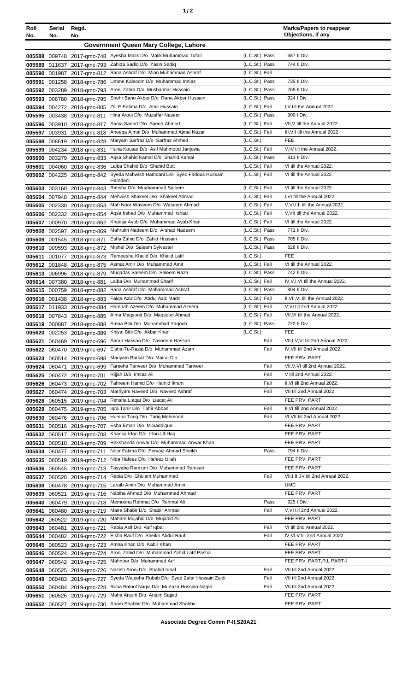| ٠ |  |
|---|--|
|   |  |

| Roll<br>No.      | Serial<br>No. | Regd.<br>No.                                      |                                                                               |                                  | <b>Marks/Papers to reappear</b><br>Objections, if any          |
|------------------|---------------|---------------------------------------------------|-------------------------------------------------------------------------------|----------------------------------|----------------------------------------------------------------|
|                  |               |                                                   | Government Queen Mary College, Lahore                                         |                                  |                                                                |
| 005588           |               |                                                   | 009748 2017-qmc-748 Ayesha Malik D/o Malik Muhammad Tufail                    | (L.C.St.) Pass                   | 687 II Div.                                                    |
| 005589           |               | 011637 2017-gmc-793                               | Zahida Sadiq D/o Yasin Sadiq                                                  | (L.C.St.) Pass                   | 744 II Div.                                                    |
| 005590           |               | 001987 2017-gmc-812                               | Sana Ashraf D/o Mian Muhammad Ashraf                                          | (L.C.St.) Fail                   |                                                                |
| 005591           |               | 001258 2018-gmc-786                               | Umme Kalsoom D/o Muhammad Imtiaz                                              | (L.C.St.) Pass                   | 735 II Div.                                                    |
| 005592           |               | 003289 2018-gmc-793                               | Areej Zahra D/o Mushabbar Hussain                                             | (L.C.St.) Pass                   | 768 II Div.                                                    |
| 005593           |               | 006780 2018-gmc-795                               | Shehr Bano Akber D/o Rana Akber Hussain                                       | (L.C.St.) Pass                   | 924   Div.                                                     |
| 005594           |               | 004272 2018-gmc-805                               | Zill-E-Fatima D/o Amir Hussain                                                | (L.C.St.) Fail                   | I.V till the Annual 2022.                                      |
| 005595           |               | 003438 2018-gmc-811                               | Hina Arooj D/o Muzaffar Naseer                                                | (L.C.St.) Pass                   | 900   Div.                                                     |
| 005596           |               | 003910 2018-gmc-817                               | Sania Saeed D/o Saeed Ahmed<br>Aneega Ajmal D/o Muhammad Ajmal Nazar          | (L.C.St.) Fail<br>(L.C.St.) Fail | VII, V till the Annual 2022.<br>III, VII till the Annual 2022. |
| 005597<br>005598 | 003931        | 2018-gmc-818<br>008619 2018-qmc-828               | Maryam Sarfraz D/o Sarfraz Ahmed                                              | (L.C.St.)                        | <b>FEE</b>                                                     |
| 005599           |               | 004234 2018-gmc-831                               | Huria Kousar D/o Asif Mahmood Janjowa                                         | (L.C.St.) Fail                   | V, IV till the Annual 2022.                                    |
| 005600           |               | 003279 2018-gmc-833                               | Agsa Shahid Kamal D/o Shahid Kamal                                            | (L.C.St.) Pass                   | 811 II Div.                                                    |
| 005601           |               | 004060 2018-qmc-836                               | Laiba Shahid D/o Shahid Butt                                                  | (L.C.St.) Fail                   | VI till the Annual 2022.                                       |
|                  |               | 005602 004225 2018-qmc-842                        | Syeda Mahwish Hamdani D/o Syed Firdous Hussain                                | (L.C.St.) Fail                   | VI till the Annual 2022.                                       |
|                  |               |                                                   | Hamdani<br>Rimsha D/o Muahammad Saleem                                        | (L.C.St.) Fail                   | VI till the Annual 2022.                                       |
| 005603<br>005604 |               | 003160 2018-gmc-843<br>007948 2018-gmc-844        | Mehwish Shakeel D/o Shakeel Ahmad                                             | (L.C.St.) Fail                   | I.VI till the Annual 2022.                                     |
| 005605           |               | 002330 2018-gmc-853                               | Mah Noor Waseem D/o Waseem Ahmad                                              | (L.C.St.) Fail                   | V, VI, I, II till the Annual 2022.                             |
| 005606           |               | 002332 2018-qmc-854                               | Agsa Irshad D/o Muhammad Irshad                                               | (L.C.St.) Fail                   | V, VII till the Annual 2022.                                   |
| 005607           |               | 000970 2018-qmc-862                               | Khadija Ayub D/o Muhammad Ayub Khan                                           | (L.C.St.) Fail                   | VI till the Annual 2022.                                       |
| 005608           |               | 002597 2018-gmc-869                               | Mahrukh Nadeem D/o Arshad Nadeem                                              | (L.C.St.) Pass                   | 771 II Div.                                                    |
| 005609           |               | 001545 2018-gmc-871                               | Esha Zahid D/o Zahid Hussain                                                  | (L.C.St.) Pass                   | 705 II Div.                                                    |
| 005610           |               | 009593 2018-gmc-872                               | Mishel D/o Saleem Sylvester                                                   | (L.C.St.) Pass                   | 828 II Div.                                                    |
| 005611           |               | 001077 2018-gmc-873                               | Rameesha Khalid D/o Khalid Latif                                              | (L.C.St.)                        | <b>FEE</b>                                                     |
|                  |               | 005612 001848 2018-gmc-875                        | Asmat Amir D/o Muhammad Amir                                                  | (L.C.St.) Fail                   | VI till the Annual 2022.                                       |
|                  |               | 005613 006996 2018-gmc-879                        | Mugadas Saleem D/o Saleem Raza                                                | (L.C.St.) Pass                   | 742 II Div.                                                    |
|                  |               | 005614 007380 2018-gmc-881                        | Laiba D/o Muhammad Sharif                                                     | (L.C.St.) Fail                   | IV, V, I, VI till the Annual 2022.                             |
|                  |               | 005615 000759 2018-qmc-882                        | Sana Ashraf D/o Mohammad Ashraf<br>Faiga Aziz D/o Abdul Aziz Madni            | (L.C.St.) Pass<br>(L.C.St.) Fail | 804 II Div.<br>II, VII, VI till the Annual 2022.               |
| 005616<br>005617 |               | 001438 2018-gmc-883                               | Hamnah Azeem D/o Muhammad Azeem                                               | (L.C.St.) Fail                   | V, VI till 2nd Annual 2022.                                    |
| 005618           |               | 011933 2018-gmc-884<br>007843 2018-gmc-885        | Aima Magsood D/o Magsood Ahmad                                                | (L.C.St.) Fail                   | VII, VI till the Annual 2022.                                  |
|                  |               | 005619 000887 2018-gmc-888                        | Amna Bibi D/o Muhammad Yaqoob                                                 | (L.C.St.) Pass                   | 720 II Div.                                                    |
|                  |               |                                                   | 005620 002253 2018-qmc-889 Khiyal Bibi D/o Akbar Khan                         | (L.C.St.)                        | FEE                                                            |
| 005621           |               | 060469 2019-amc-696                               | Sarah Hassan D/o Tasneem Hassan                                               | Fail                             | VII, I, V, VI till 2nd Annual 2022.                            |
|                  |               | 005622 060470 2019-gmc-697                        | Eisha-Tu-Razia D/o Muhammad Azam                                              | Fail                             | IV, VII till 2nd Annual 2022.                                  |
| 005623           |               | 060514 2019-gmc-698                               | Mariyam Barkat D/o Mairaj Din                                                 |                                  | FEE PRV. PART                                                  |
| 005624           | 060471        | 2019-amc-699                                      | Fareeha Tanveer D/o Muhammad Tanveer                                          | Fail                             | VII, V, VI till 2nd Annual 2022.                               |
| 005625           |               | 060472 2019-gmc-701                               | Rijjah D/o Imtiaz Ali<br>Tahreem Hamid D/o Hamid Ikram                        | Fail                             | V till 2nd Annual 2022.                                        |
| 005626           |               | 060473 2019-gmc-702                               | Marriyam Naveed D/o Naveed Ashraf                                             | Fail<br>Fail                     | II, VI till 2nd Annual 2022.<br>VII till 2nd Annual 2022.      |
| 005627           |               | 060474 2019-gmc-703<br>005628 060515 2019-gmc-704 | Rimsha Liagat D/o Liagat Ali                                                  |                                  | FEE PRV. PART                                                  |
|                  |               | 005629 060475 2019-amc-705                        | Iqra Tahir D/o Tahir Abbas                                                    | Fail                             | II, VI till 2nd Annual 2022.                                   |
|                  |               | 005630 060476 2019-amc-706                        | Humna Tariq D/o Tariq Mehmood                                                 | Fail                             | VI, VII till 2nd Annual 2022.                                  |
| 005631           |               | 060516 2019-gmc-707                               | Esha Eman D/o M.Saddique                                                      |                                  | FEE PRV. PART                                                  |
| 005632           |               | 060517 2019-gmc-708                               | Khansa Irfan D/o Irfan-UI-Haq                                                 |                                  | FEE PRV. PART                                                  |
| 005633           |               | 060518 2019-gmc-709                               | Rakshanda Anwar D/o Muhammad Anwar Khan                                       |                                  | FEE PRV. PART                                                  |
|                  |               | 005634 060477 2019-gmc-711                        | Noor Fatima D/o Pervaiz Ahmad Sheikh                                          | Pass                             | 794 II Div.                                                    |
|                  |               | 005635 060519 2019-qmc-712                        | Nida Hafeez D/o Hafeez Ullah                                                  |                                  | FEE PRV. PART                                                  |
|                  |               | 005636 060545 2019-qmc-713                        | Tayyaba Ramzan D/o Muhammad Ramzan                                            |                                  | FEE PRV. PART                                                  |
| 005637           |               | 060520 2019-gmc-714                               | Rabia D/o Ghulam Muhammad                                                     | Fail                             | VII, I, III, IV till 2nd Annual 2022.                          |
|                  |               | 005638 060478 2019-qmc-715                        | Laraib Amin D/o Muhammad Amin<br>2019-qmc-716 Nabiha Ahmad D/o Muhammad Ahmad |                                  | <b>UMC</b><br>FEE PRV. PART                                    |
| 005639<br>005640 | 060521        | 060479 2019-gmc-718                               | Memoona Rehmat D/o Rehmat Ali                                                 | Pass                             | 925   Div.                                                     |
| 005641           |               | 060480 2019-gmc-719                               | Maira Shabir D/o Shabir Ahmad                                                 | Fail                             | V, VI till 2nd Annual 2022.                                    |
| 005642           |               | 060522 2019-gmc-720                               | Maham Mujahid D/o Mujahid Ali                                                 |                                  | FEE PRV. PART                                                  |
|                  |               | 005643 060481 2019-gmc-721                        | Rabia Asif D/o Asif Iqbal                                                     | Fail                             | VI till 2nd Annual 2022.                                       |
| 005644           |               | 060482 2019-gmc-722                               | Eisha Rauf D/o Sheikh Abdul Rauf                                              | Fail                             | IV, VI, V till 2nd Annual 2022.                                |
|                  |               | 005645 060523 2019-qmc-723                        | Amna Khan D/o Kabir Khan                                                      |                                  | FEE PRV. PART                                                  |
|                  |               |                                                   | 005646 060524 2019-qmc-724 Arooj Zahid D/o Muhammad Zahid Latif Pasha         |                                  | FEE PRV. PART                                                  |
| 005647           |               | 060542 2019-amc-725                               | Mahnoor D/o Muhammad Arif                                                     |                                  | FEE PRV. PART, R.L PART-I                                      |
| 005648           |               | 060525 2019-gmc-726                               | Nazish Arooj D/o Shahid Iqbal                                                 | Fail                             | VII till 2nd Annual 2022.                                      |
| 005649           |               | 060483 2019-qmc-727                               | Syeda Wajeeha Rubab D/o Syed Zafar Hussain Zaidi                              | Fail                             | VII till 2nd Annual 2022.                                      |
| 005650           |               | 060484 2019-gmc-728                               | Ruba Batool Nagvi D/o Murtaza Hussain Nagvi                                   | Fail                             | VII till 2nd Annual 2022.                                      |
| 005651           |               | 060526 2019-gmc-729                               | Maha Anjum D/o Anjum Sajjad                                                   |                                  | FEE PRV. PART                                                  |
|                  |               | 005652 060527 2019-qmc-730                        | Anam Shabbir D/o Muhammad Shabbir                                             |                                  | FEE PRV. PART                                                  |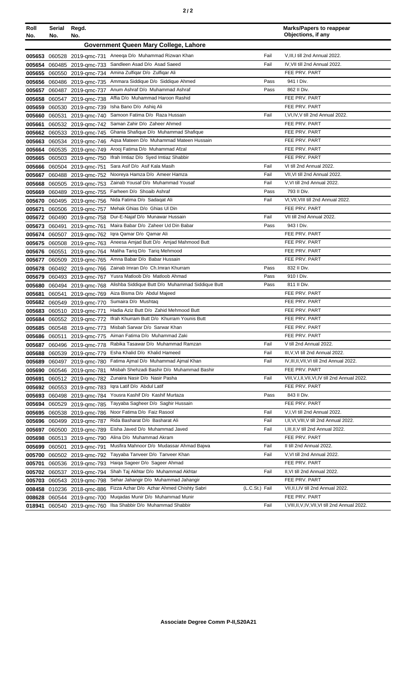| Roll<br>No.      | <b>Serial</b><br>No. | Regd.<br>No.                                      |                                                               |                | <b>Marks/Papers to reappear</b><br>Objections, if any |
|------------------|----------------------|---------------------------------------------------|---------------------------------------------------------------|----------------|-------------------------------------------------------|
|                  |                      |                                                   | Government Queen Mary College, Lahore                         |                |                                                       |
|                  |                      | 005653 060528 2019-gmc-731                        | Aneega D/o Muhammad Rizwan Khan                               | Fail           | V, III, I till 2nd Annual 2022.                       |
|                  |                      | 005654 060485 2019-qmc-733                        | Sandleen Asad D/o Asad Saeed                                  | Fail           | IV, VII till 2nd Annual 2022.                         |
|                  |                      | 005655 060550 2019-qmc-734                        | Amina Zulfiqar D/o Zulfiqar Ali                               |                | FEE PRV. PART                                         |
| 005656           |                      | 060486 2019-gmc-735                               | Ammara Siddique D/o Siddique Ahmed                            | Pass           | 941 I Div.                                            |
| 005657           |                      | 060487 2019-gmc-737                               | Anum Ashraf D/o Muhammad Ashraf                               | Pass           | 862 II Div.                                           |
| 005658           |                      | 060547 2019-gmc-738                               | Affia D/o Muhammad Haroon Rashid                              |                | FEE PRV. PART                                         |
|                  |                      | 005659 060530 2019-qmc-739                        | Isha Bano D/o Ashiq Ali                                       |                | FEE PRV. PART                                         |
| 005660           | 060531               | 2019-gmc-740                                      | Samoon Fatima D/o Raza Hussain                                | Fail           | I, VI, IV, V till 2nd Annual 2022.                    |
| 005661           |                      | 060532 2019-gmc-742                               | Saman Zahir D/o Zaheer Ahmed                                  |                | FEE PRV. PART                                         |
|                  |                      | 005662 060533 2019-gmc-745                        | Ghania Shafique D/o Muhammad Shafique                         |                | FEE PRV. PART                                         |
| 005663           |                      | 060534 2019-gmc-746                               | Agsa Mateen D/o Muhammad Mateen Hussain                       |                | FEE PRV. PART                                         |
| 005664           |                      | 060535 2019-gmc-749                               | Arooj Fatima D/o Muhammad Afzal                               |                | FEE PRV. PART                                         |
| 005665           |                      | 060503 2019-gmc-750                               | Ifrah Imtiaz D/o Syed Imtiaz Shabbir                          |                | FEE PRV. PART                                         |
| 005666           |                      | 060504 2019-gmc-751                               | Sara Asif D/o Asif Kala Masih                                 | Fail           | VI till 2nd Annual 2022.                              |
|                  |                      | 005667 060488 2019-qmc-752                        | Nooreya Hamza D/o Ameer Hamza                                 | Fail           | VII, VI till 2nd Annual 2022.                         |
| 005668           |                      | 060505 2019-gmc-753                               | Zainab Yousaf D/o Muhammad Yousaf                             | Fail           | V, VI till 2nd Annual 2022.                           |
|                  |                      | 005669 060489 2019-amc-755                        | Farheen D/o Shoaib Ashraf                                     | Pass           | 793 II Div.                                           |
|                  |                      | 005670 060495 2019-qmc-756                        | Nida Fatima D/o Sadagat Ali                                   | Fail           | VI, VII, VIII till 2nd Annual 2022.                   |
| 005671           |                      | 060506 2019-gmc-757                               | Mehak Ghias D/o Ghias Ul Din                                  |                | FEE PRV. PART                                         |
| 005672           |                      | 060490 2019-gmc-758                               | Dur-E-Naiaf D/o Munawar Hussain                               | Fail           | VII till 2nd Annual 2022.                             |
| 005673           |                      | 060491 2019-gmc-761                               | Maira Babar D/o Zaheer Ud Din Babar                           | Pass           | 943 I Div.                                            |
| 005674           |                      | 060507 2019-gmc-762                               | Igra Qamar D/o Qamar Ali                                      |                | FEE PRV. PART                                         |
|                  |                      | 005675 060508 2019-qmc-763                        | Aneesa Amjad Butt D/o Amjad Mahmood Butt                      |                | FEE PRV. PART                                         |
|                  | 005676 060551        | 2019-gmc-764                                      | Maliha Tariq D/o Tariq Mehmood                                |                | FEE PRV. PART                                         |
| 005677           |                      | 060509 2019-gmc-765                               | Amna Babar D/o Babar Hussain                                  |                | FEE PRV. PART                                         |
| 005678           |                      | 060492 2019-gmc-766                               | Zainab Imran D/o Ch. Imran Khurram                            | Pass           | 832 II Div.                                           |
| 005679           |                      | 060493 2019-gmc-767                               | Yusra Matloob D/o Matloob Ahmad                               | Pass           | 910 I Div.                                            |
| 005680           |                      | 060494 2019-qmc-768                               | Alishba Siddique Butt D/o Muhammad Siddique Butt              | Pass           | 811 II Div.                                           |
| 005681           | 060541               | 2019-gmc-769                                      | Aiza Bisma D/o Abdul Majeed                                   |                | FEE PRV. PART                                         |
| 005682           |                      | 060549 2019-amc-770                               | Sumaira D/o Mushtaq<br>Hadia Aziz Butt D/o Zahid Mehmood Butt |                | FEE PRV. PART                                         |
| 005683           |                      | 060510 2019-gmc-771                               | Ifrah Khurram Butt D/o Khurram Younis Butt                    |                | FEE PRV. PART                                         |
| 005684           |                      | 060552 2019-gmc-772                               | Misbah Sarwar D/o Sarwar Khan                                 |                | FEE PRV. PART<br>FEE PRV. PART                        |
|                  |                      | 005685 060548 2019-gmc-773                        | Aiman Fatima D/o Muhammad Zaki                                |                | FEE PRV. PART                                         |
|                  |                      | 005686 060511 2019-qmc-775                        | Rabika Tasawar D/o Muhammad Ramzan                            | Fail           | V till 2nd Annual 2022.                               |
| 005687           |                      | 060496 2019-gmc-778                               | Esha Khalid D/o Khalid Hameed                                 | Fail           | III, V, VI till 2nd Annual 2022.                      |
| 005688           |                      | 060539 2019-gmc-779                               | Fatima Ajmal D/o Muhammad Ajmal Khan                          | Fail           | IV, III, II, VII, VI till 2nd Annual 2022.            |
| 005689<br>005690 |                      | 060497 2019-qmc-780                               | Misbah Shehzadi Bashir D/o Muhammad Bashir                    |                | FEE PRV. PART                                         |
| 005691           |                      | 060546 2019-gmc-781                               | Zunaira Nasir D/o Nasir Pasha                                 | Fail           | VIII, V, I, II, VII, VI, IV till 2nd Annual 2022.     |
|                  |                      | 060512 2019-gmc-782<br>005692 060553 2019-gmc-783 | Igra Latif D/o Abdul Latif                                    |                | FEE PRV. PART                                         |
|                  |                      | 005693 060498 2019-amc-784                        | Yousra Kashif D/o Kashif Murtaza                              | Pass           | 843 II Div.                                           |
|                  |                      | 005694 060529 2019-amc-785                        | Tayyaba Sagheer D/o Saghir Hussain                            |                | FEE PRV. PART                                         |
|                  |                      | 005695 060538 2019-qmc-786                        | Noor Fatima D/o Faiz Rasool                                   | Fail           | V,I, VI till 2nd Annual 2022.                         |
|                  |                      | 005696 060499 2019-gmc-787                        | Rida Basharat D/o Basharat Ali                                | Fail           | I, II, VI, VIII, V till 2nd Annual 2022.              |
| 005697           |                      | 060500 2019-gmc-789                               | Eisha Javed D/o Muhammad Javed                                | Fail           | I, III, II, V till 2nd Annual 2022.                   |
| 005698           |                      | 060513 2019-gmc-790                               | Alina D/o Muhammad Akram                                      |                | FEE PRV. PART                                         |
|                  | 005699 060501        | 2019-gmc-791                                      | Musfira Mahnoor D/o Mudassar Ahmad Bajwa                      | Fail           | II till 2nd Annual 2022.                              |
|                  |                      | 005700 060502 2019-amc-792                        | Tayyaba Tanveer D/o Tanveer Khan                              | Fail           | V, VI till 2nd Annual 2022.                           |
| 005701           |                      | 060536 2019-gmc-793                               | Haiqa Sageer D/o Sageer Ahmad                                 |                | FEE PRV. PART                                         |
|                  |                      | 005702 060537 2019-qmc-794                        | Shah Taj Akhtar D/o Muhammad Akhtar                           | Fail           | II, VI till 2nd Annual 2022.                          |
|                  |                      | 005703 060543 2019-gmc-798                        | Sehar Jahangir D/o Muhammad Jahangir                          |                | FEE PRV. PART                                         |
| 008458           |                      | 010236 2018-gmc-886                               | Fizza Azhar D/o Azhar Ahmed Chishty Sabri                     | (L.C.St.) Fail | VII, II, IV till 2nd Annual 2022.                     |
| 008628           |                      | 060544 2019-gmc-700                               | Mugadas Munir D/o Muhammad Munir                              |                | FEE PRV. PART                                         |
| 018941           |                      | 060540 2019-gmc-760                               | Ilsa Shabbir D/o Muhammad Shabbir                             | Fail           | I, VIII, II, V, IV, VII, VI till 2nd Annual 2022.     |
|                  |                      |                                                   |                                                               |                |                                                       |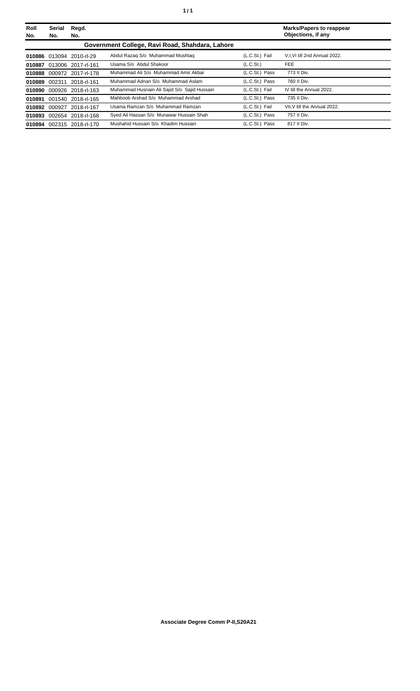| Roll<br>No. | <b>Serial</b><br>No. | Regd.<br>No.              |                                                 |                       | <b>Marks/Papers to reappear</b><br>Objections, if any |
|-------------|----------------------|---------------------------|-------------------------------------------------|-----------------------|-------------------------------------------------------|
|             |                      |                           | Government College, Ravi Road, Shahdara, Lahore |                       |                                                       |
|             |                      | 010886 013094 2010-rl-29  | Abdul Razag S/o Muhammad Mushtag                | (L.C.St.) Fail        | V.I.VI till 2nd Annual 2022.                          |
|             |                      | 010887 013006 2017-rl-161 | Usama S/o Abdul Shakoor                         | (L.C.S <sub>t</sub> ) | <b>FEE</b>                                            |
|             |                      | 010888 000972 2017-rl-178 | Muhammad Ali S/o Muhammad Amir Akbar            | (L.C.St.) Pass        | 773 II Div.                                           |
|             |                      | 010889 002311 2018-rl-161 | Muhammad Adnan S/o Muhammad Aslam               | (L.C.St.) Pass        | 760 II Div.                                           |
|             |                      | 010890 000926 2018-rl-163 | Muhammad Husnain Ali Sajid S/o Sajid Hussain    | (L.C.St.) Fail        | IV till the Annual 2022.                              |
|             |                      | 010891 001540 2018-rl-165 | Mahboob Arshad S/o Muhammad Arshad              | (L.C.St.) Pass        | 735 II Div.                                           |
|             |                      | 010892 000927 2018-rl-167 | Usama Ramzan S/o Muhammad Ramzan                | (L.C.St.) Fail        | VII.V till the Annual 2022.                           |
|             |                      | 010893 002654 2018-rl-168 | Syed Ali Hassan S/o Munawar Hussain Shah        | (L.C.St.) Pass        | 757 II Div.                                           |
|             |                      | 010894 002315 2018-rl-170 | Mushahid Hussain S/o Khadim Hussain             | (L.C.St.) Pass        | 817 II Div.                                           |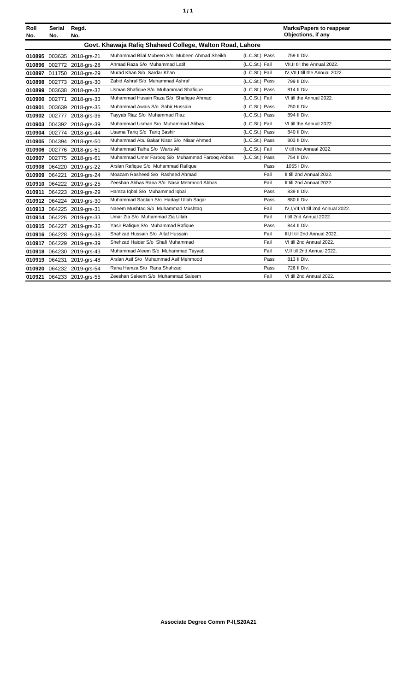| ٦ | ٠ |
|---|---|
|   |   |

| Roll<br>No. | Serial<br>No.                                            | Regd.<br>No.              |                                                |                | <b>Marks/Papers to reappear</b><br>Objections, if any |  |  |
|-------------|----------------------------------------------------------|---------------------------|------------------------------------------------|----------------|-------------------------------------------------------|--|--|
|             | Govt. Khawaja Rafiq Shaheed College, Walton Road, Lahore |                           |                                                |                |                                                       |  |  |
|             |                                                          | 010895 003635 2018-grs-21 | Muhammad Bilal Mubeen S/o Mubeen Ahmad Sheikh  | (L.C.St.) Pass | 759 II Div.                                           |  |  |
|             |                                                          | 010896 002772 2018-grs-28 | Ahmad Raza S/o Muhammad Latif                  | (L.C.St.) Fail | VII.II till the Annual 2022.                          |  |  |
|             |                                                          | 010897 011750 2018-grs-29 | Murad Khan S/o Sardar Khan                     | (L.C.St.) Fail | IV, VII, I till the Annual 2022.                      |  |  |
|             |                                                          | 010898 002773 2018-grs-30 | Zahid Ashraf S/o Muhammad Ashraf               | (L.C.St.) Pass | 799 II Div.                                           |  |  |
|             |                                                          | 010899 003638 2018-grs-32 | Usman Shafique S/o Muhammad Shafique           | (L.C.St.) Pass | 814 II Div.                                           |  |  |
|             |                                                          | 010900 002771 2018-grs-33 | Muhammad Husain Raza S/o Shafique Ahmad        | (L.C.St.) Fail | VI till the Annual 2022.                              |  |  |
| 010901      |                                                          | 003639 2018-grs-35        | Muhammad Awais S/o Sabir Hussain               | (L.C.St.) Pass | 750 II Div.                                           |  |  |
|             |                                                          | 010902 002777 2018-grs-36 | Tayyab Riaz S/o Muhammad Riaz                  | (L.C.St.) Pass | 894 II Div.                                           |  |  |
|             |                                                          | 010903 004392 2018-grs-39 | Muhammad Usman S/o Muhammad Abbas              | (L.C.St.) Fail | VI till the Annual 2022.                              |  |  |
|             |                                                          | 010904 002774 2018-grs-44 | Usama Tariq S/o Tariq Bashir                   | (L.C.St.) Pass | 840 II Div.                                           |  |  |
|             |                                                          | 010905 004394 2018-grs-50 | Muhammad Abu Bakar Nisar S/o Nisar Ahmed       | (L.C.St.) Pass | 803 II Div.                                           |  |  |
|             |                                                          | 010906 002776 2018-grs-51 | Muhammad Talha S/o Waris Ali                   | (L.C.St.) Fail | V till the Annual 2022.                               |  |  |
|             |                                                          | 010907 002775 2018-grs-61 | Muhammad Umer Faroog S/o Muhammad Faroog Abbas | (L.C.St.) Pass | 754 II Div.                                           |  |  |
|             |                                                          | 010908 064220 2019-grs-22 | Arslan Rafique S/o Muhammad Rafique            | Pass           | 1055   Div.                                           |  |  |
|             | 010909 064221                                            | 2019-grs-24               | Moazam Rasheed S/o Rasheed Ahmad               | Fail           | II till 2nd Annual 2022.                              |  |  |
|             |                                                          | 010910 064222 2019-grs-25 | Zeeshan Abbas Rana S/o Nasir Mehmood Abbas     | Fail           | II till 2nd Annual 2022.                              |  |  |
|             |                                                          | 010911 064223 2019-grs-29 | Hamza Iqbal S/o Muhammad Iqbal                 | Pass           | 839 II Div.                                           |  |  |
|             |                                                          | 010912 064224 2019-grs-30 | Muhammad Saqlain S/o Hadayt Ullah Sagar        | Pass           | 880 II Div.                                           |  |  |
|             |                                                          | 010913 064225 2019-grs-31 | Naeem Mushtaq S/o Muhammad Mushtaq             | Fail           | IV, I, VII, VI till 2nd Annual 2022.                  |  |  |
|             |                                                          | 010914 064226 2019-grs-33 | Umar Zia S/o Muhammad Zia Ullah                | Fail           | I till 2nd Annual 2022.                               |  |  |
|             |                                                          | 010915 064227 2019-grs-36 | Yasir Rafique S/o Muhammad Rafique             | Pass           | 844 II Div.                                           |  |  |
|             |                                                          | 010916 064228 2019-grs-38 | Shahzad Hussain S/o Altaf Hussain              | Fail           | III.II till 2nd Annual 2022.                          |  |  |
|             |                                                          | 010917 064229 2019-grs-39 | Shehzad Haider S/o Shafi Muhammad              | Fail           | VI till 2nd Annual 2022.                              |  |  |
|             |                                                          | 010918 064230 2019-grs-43 | Muhammad Aleem S/o Muhammad Tayyab             | Fail           | V, II till 2nd Annual 2022.                           |  |  |
|             |                                                          | 010919 064231 2019-grs-48 | Arslan Asif S/o Muhammad Asif Mehmood          | Pass           | 813 II Div.                                           |  |  |
|             |                                                          | 010920 064232 2019-grs-54 | Rana Hamza S/o Rana Shahzad                    | Pass           | 726 II Div.                                           |  |  |
|             |                                                          | 010921 064233 2019-grs-55 | Zeeshan Saleem S/o Muhammad Saleem             | Fail           | VI till 2nd Annual 2022.                              |  |  |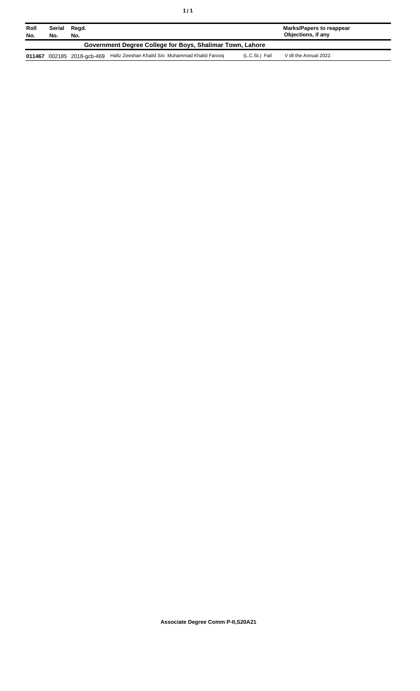| Roll<br>No.                                               | Serial<br>No. | Regd.<br>No.               |                                                 |                | Marks/Papers to reappear<br>Objections, if any |  |
|-----------------------------------------------------------|---------------|----------------------------|-------------------------------------------------|----------------|------------------------------------------------|--|
| Government Degree College for Boys, Shalimar Town, Lahore |               |                            |                                                 |                |                                                |  |
|                                                           |               | 011467 002185 2018-gcb-469 | Hafiz Zeeshan Khalid S/o Muhammad Khalid Faroog | (L.C.St.) Fail | V till the Annual 2022.                        |  |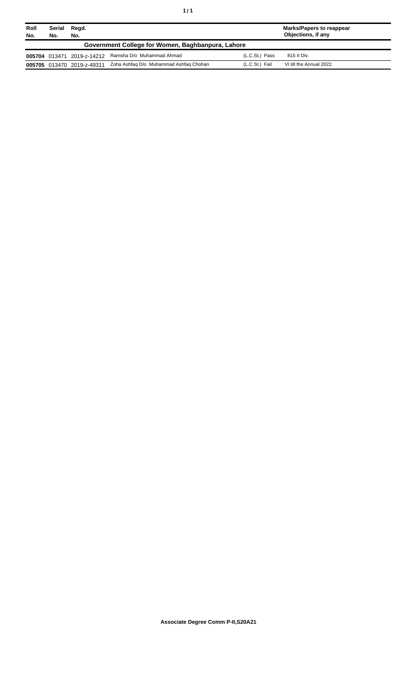| Roll<br>No. | Serial<br>No.                                     | Regd.<br>No.               |                                        |                | <b>Marks/Papers to reappear</b><br>Objections, if any |  |
|-------------|---------------------------------------------------|----------------------------|----------------------------------------|----------------|-------------------------------------------------------|--|
|             | Government College for Women, Baghbanpura, Lahore |                            |                                        |                |                                                       |  |
|             | 005704 013471                                     | 2019-z-14212               | Ramsha D/o Muhammad Ahmad              | (L.C.St.) Pass | 815 II Div.                                           |  |
|             |                                                   | 005705 013470 2019-z-49311 | Zoha Ashfaq D/o Muhammad Ashfaq Chohan | (L.C.St.) Fail | VI till the Annual 2022.                              |  |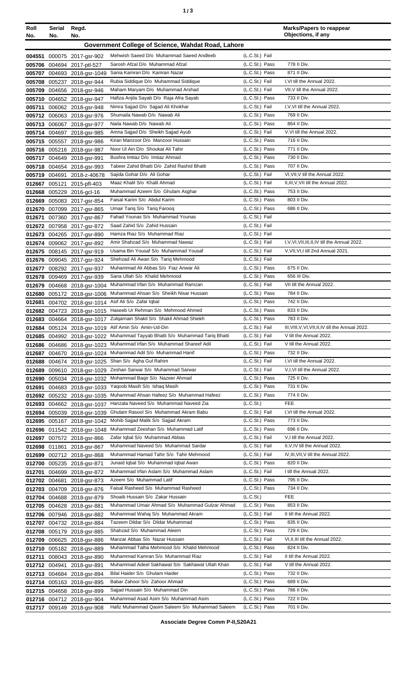| Roll<br>No. | Serial Regd.<br>No. | No.                                                        |                                                                                   |                                  | <b>Marks/Papers to reappear</b><br>Objections, if any                                   |
|-------------|---------------------|------------------------------------------------------------|-----------------------------------------------------------------------------------|----------------------------------|-----------------------------------------------------------------------------------------|
|             |                     |                                                            | Government College of Science, Wahdat Road, Lahore                                |                                  |                                                                                         |
|             |                     |                                                            | Mehwish Saeed D/o Muhammad Saeed Andleeb                                          | (L.C.St.) Fail                   |                                                                                         |
|             |                     | 004551 000075 2017-gsr-902<br>005706 004694 2017-ptl-527   | Sarosh Afzal D/o Muhammad Afzal                                                   | (L.C.St.) Pass                   | 778 II Div.                                                                             |
|             |                     | 005707 004693 2018-gsr-1049                                | Sania Kamran D/o Kamran Nazar                                                     | (L.C.St.) Pass                   | 871 II Div.                                                                             |
|             |                     | 005708 005237 2018-gsr-944                                 | Rubia Siddique D/o Muhammad Siddique                                              | (L.C.St.) Fail                   | I, VI till the Annual 2022.                                                             |
|             |                     | 005709 004656 2018-gsr-946                                 | Maham Maryam D/o Muhammad Arshad                                                  | (L.C.St.) Fail                   | VII, V till the Annual 2022.                                                            |
|             |                     | 005710 004652 2018-gsr-947                                 | Hafiza Anjila Sayab D/o Raja Afra Sayab                                           | (L.C.St.) Pass                   | 733 II Div.                                                                             |
|             |                     | 005711 006062 2018-gsr-948                                 | Nimra Sajjad D/o Sajjad Ali Khokhar                                               | (L.C.St.) Fail                   | I, V, VI till the Annual 2022.                                                          |
|             |                     | 005712 006063 2018-gsr-976                                 | Shumaila Nawab D/o Nawab Ali                                                      | (L.C.St.) Pass                   | 769 II Div.                                                                             |
|             |                     | 005713 006067 2018-gsr-977                                 | Naila Nawab D/o Nawab Ali                                                         | (L.C.St.) Pass                   | 864 II Div.                                                                             |
|             |                     | 005714 004697 2018-gsr-985                                 | Amna Sajjad D/o Sheikh Sajjad Ayub<br>Kiran Manzoor D/o Manzoor Hussain           | (L.C.St.) Fail<br>(L.C.St.) Pass | V, VI till the Annual 2022.<br>716 II Div.                                              |
|             |                     | 005715 005557 2018-gsr-986<br>005716 005216 2018-gsr-987   | Noor UI Ain D/o Shoukat Ali Tahir                                                 | (L.C.St.) Pass                   | 771 II Div.                                                                             |
|             |                     | 005717 004649 2018-gsr-991                                 | Bushra Imtiaz D/o Imtiaz Ahmad                                                    | (L.C.St.) Pass                   | 730 II Div.                                                                             |
|             |                     | 005718 004654 2018-gsr-993                                 | Tabeer Zahid Bhatti D/o Zahid Rashid Bhatti                                       | (L.C.St.) Pass                   | 707 II Div.                                                                             |
|             |                     | 005719 004691 2018-z-40678                                 | Sajida Gohar D/o Ali Gohar                                                        | (L.C.St.) Fail                   | VI, VII, V till the Annual 2022.                                                        |
|             |                     | 012667 005121 2015-pfl-403                                 | Maaz Khalil S/o Khalil Ahmad                                                      | (L.C.St.) Fail                   | II, III, V, VII till the Annual 2022.                                                   |
|             |                     | 012668 005229 2016-gcl-16                                  | Muhammad Azeem S/o Ghulam Asghar                                                  | (L.C.St.) Pass                   | 753 II Div.                                                                             |
|             |                     | 012669 005083 2017-gsr-854                                 | Faisal Karim S/o Abdul Karim                                                      | (L.C.St.) Pass                   | 803 II Div.                                                                             |
|             |                     | 012670 007099 2017-gsr-865                                 | Umair Tariq S/o Tariq Farooq                                                      | (L.C.St.) Pass                   | 686 II Div.                                                                             |
|             |                     | 012671 007360 2017-gsr-867                                 | Fahad Younas S/o Muhammad Younas                                                  | (L.C.St.) Fail                   |                                                                                         |
|             |                     | 012672 007958 2017-gsr-872                                 | Saad Zahid S/o Zahid Hussain                                                      | (L.C.St.) Fail                   |                                                                                         |
|             |                     | 012673 004265 2017-gsr-890                                 | Hamza Riaz S/o Muhammad Riaz<br>Amir Shahzad S/o Muhammad Nawaz                   | (L.C.St.) Fail                   |                                                                                         |
|             |                     | 012674 009062 2017-gsr-892                                 | Usama Bin Yousaf S/o Muhammad Yousaf                                              | (L.C.St.) Fail<br>(L.C.St.) Fail | I, V, VI, VII, III, II, IV till the Annual 2022.<br>V, VII, VI, I till 2nd Annual 2021. |
|             |                     | 012675 008145 2017-gsr-919<br>012676 009045 2017-gsr-924   | Shehzad Ali Awan S/o Tariq Mehmood                                                | (L.C.St.) Fail                   |                                                                                         |
|             |                     | 012677 008292 2017-gsr-937                                 | Muhammad Ali Abbas S/o Fiaz Anwar Ali                                             | (L.C.St.) Pass                   | 675 II Div.                                                                             |
|             |                     | 012678 009469 2017-gsr-939                                 | Sana Ullah S/o Khalid Mehmood                                                     | (L.C.St.) Pass                   | 656 III Div.                                                                            |
|             |                     | 012679 004668 2018-gsr-1004                                | Muhammad Irfan S/o Muhammad Ramzan                                                | (L.C.St.) Fail                   | VII till the Annual 2022.                                                               |
|             |                     | 012680 005172 2018-gsr-1006                                | Muhammad Ahsan S/o Sheikh Nisar Hussain                                           | (L.C.St.) Pass                   | 784 II Div.                                                                             |
| 012681      |                     | 004702 2018-gsr-1014                                       | Asif Ali S/o Zafar Igbal                                                          | (L.C.St.) Pass                   | 742 II Div.                                                                             |
|             |                     | 012682 004723 2018-gsr-1015                                | Haseeb Ur Rehman S/o Mehmood Ahmed                                                | (L.C.St.) Pass                   | 833 II Div.                                                                             |
|             |                     | 012683 004664 2018-gsr-1017                                | Zulgarnain Shakil S/o Shakil Ahmad Shiekh                                         | (L.C.St.) Pass                   | 783 II Div.                                                                             |
|             |                     |                                                            | 012684 005124 2018-gsr-1019 Atif Amin S/o Amin-Ud-Din                             | (L.C.St.) Fail                   | III, VIII, V, VI, VII, II, IV till the Annual 2022.                                     |
|             |                     | 012685 004992 2018-gsr-1022                                | Muhammad Tayyab Bhatti S/o Muhammad Tariq Bhatti                                  | (L.C.St.) Fail                   | V till the Annual 2022.                                                                 |
|             |                     | 012686 004686 2018-gsr-1023                                | Muhammad Irfan S/o Muhammad Shareef Adil<br>Muhammad Adil S/o Muhammad Hanif      | (L.C.St.) Fail<br>(L.C.St.) Pass | V till the Annual 2022.<br>732 II Div.                                                  |
|             |                     | 012687 004670 2018-gsr-1024<br>012688 004674 2018-gsr-1025 | Shan S/o Agha Gul Rahim                                                           | (L.C.St.) Fail                   | I, VI till the Annual 2022.                                                             |
|             |                     | 012689 009610 2018-gsr-1029                                | Zeshan Sarwar S/o Muhammad Sarwar                                                 | (L.C.St.) Fail                   | V,I, VI till the Annual 2022.                                                           |
| 012690      |                     | 005034 2018-gsr-1032                                       | Mohammad Bagir S/o Nazeer Ahmad                                                   | (L.C.St.) Pass                   | 725 II Div.                                                                             |
| 012691      |                     | 004683 2018-gsr-1033                                       | Yaqoob Masih S/o Ishaq Masih                                                      | (L.C.St.) Pass                   | 731 II Div.                                                                             |
|             |                     | 012692 005232 2018-gsr-1035                                | Muhammad Ahsan Hafeez S/o Muhammad Hafeez                                         | (L.C.St.) Pass                   | 774 II Div.                                                                             |
|             |                     | 012693 004662 2018-gsr-1037                                | Hanzala Naveed S/o Muhammad Naveed Zia                                            | (L.C.S <sub>t</sub> )            | <b>FEE</b>                                                                              |
|             |                     | 012694 005039 2018-gsr-1039                                | Ghulam Rasool S/o Muhammad Akram Babu                                             | (L.C.St.) Fail                   | I, VI till the Annual 2022.                                                             |
|             |                     | 012695 005167 2018-gsr-1042                                | Mohib Sajjad Malik S/o Sajjad Akram                                               | (L.C.St.) Pass                   | 773 II Div.                                                                             |
|             |                     | 012696 011542 2018-gsr-1048                                | Muhammad Zeeshan S/o Muhammad Latif                                               | (L.C.St.) Pass                   | 696 II Div.                                                                             |
|             |                     | 012697 007572 2018-gsr-866                                 | Zafar Iqbal S/o Muhammad Abbas                                                    | (L.C.St.) Fail                   | V,I till the Annual 2022.                                                               |
|             |                     | 012698 011861 2018-gsr-867                                 | Muhammad Naveed S/o Muhammad Sardar<br>Muhammad Hamad Tahir S/o Tahir Mehmood     | (L.C.St.) Fail<br>(L.C.St.) Fail | II, V, IV till the Annual 2022.<br>IV, III, VII, V till the Annual 2022.                |
| 012700      |                     | 012699 002712 2018-gsr-868<br>005235 2018-gsr-871          | Junaid Iqbal S/o Muhammad Iqbal Awan                                              | (L.C.St.) Pass                   | 820 II Div.                                                                             |
| 012701      |                     | 004699 2018-gsr-872                                        | Muhammad Irfan Aslam S/o Muhammad Aslam                                           | (L.C.St.) Fail                   | I till the Annual 2022.                                                                 |
|             |                     | 012702 004681 2018-gsr-873                                 | Azeem S/o Muhammad Latif                                                          | (L.C.St.) Pass                   | 795 II Div.                                                                             |
|             |                     | 012703 004709 2018-gsr-876                                 | Faisal Rasheed S/o Muhammad Rasheed                                               | (L.C.St.) Pass                   | 734 II Div.                                                                             |
|             |                     | 012704 004688 2018-gsr-879                                 | Shoaib Hussain S/o Zakar Hussain                                                  | (L.C.St.)                        | <b>FEE</b>                                                                              |
|             |                     | 012705 004628 2018-gsr-881                                 | Muhammad Umair Ahmad S/o Muhammad Gulzar Ahmad                                    | (L.C.St.) Pass                   | 853 II Div.                                                                             |
|             |                     | 012706 007946 2018-gsr-882                                 | Muhammad Wahaj S/o Muhammad Akram                                                 | (L.C.St.) Fail                   | II till the Annual 2022.                                                                |
|             |                     | 012707 004732 2018-gsr-884                                 | Tazeem Dildar S/o Dildar Muhammad                                                 | (L.C.St.) Pass                   | 835 II Div.                                                                             |
|             |                     | 012708 005179 2018-gsr-885                                 | Shahzad S/o Muhammad Aleem                                                        | (L.C.St.) Pass                   | 729 II Div.                                                                             |
|             |                     | 012709 006625 2018-gsr-886                                 | Manzar Abbas S/o Nazar Hussain                                                    | (L.C.St.) Fail                   | VI, II, III till the Annual 2022.                                                       |
|             |                     | 012710 005182 2018-gsr-889                                 | Muhammad Talha Mehmood S/o Khalid Mehmood                                         | (L.C.St.) Pass                   | 824 II Div.                                                                             |
| 012711      |                     | 008043 2018-gsr-890                                        | Muhammad Kamran S/o Muhammad Riaz                                                 | (L.C.St.) Fail                   | II till the Annual 2022.                                                                |
|             |                     | 012712 004941 2018-gsr-891                                 | Muhammad Adeel Sakhawat S/o Sakhawat Ullah Khan<br>Bilal Haider S/o Ghulam Haider | (L.C.St.) Fail<br>(L.C.St.) Pass | V till the Annual 2022.<br>732 II Div.                                                  |
|             |                     | 012713 004684 2018-gsr-894<br>012714 005163 2018-gsr-895   | Babar Zahoor S/o Zahoor Ahmad                                                     | (L.C.St.) Pass                   | 689 II Div.                                                                             |
|             |                     | 012715 004658 2018-gsr-899                                 | Sajjad Hussain S/o Muhammad Din                                                   | (L.C.St.) Pass                   | 786 II Div.                                                                             |
|             |                     | 012716 004712 2018-gsr-904                                 | Muhammad Asad Asim S/o Muhammad Asim                                              | (L.C.St.) Pass                   | 722 II Div.                                                                             |
|             |                     | 012717 009149 2018-gsr-908                                 | Hafiz Muhammad Qasim Saleem S/o Muhammad Saleem                                   | (L.C.St.) Pass                   | 701 II Div.                                                                             |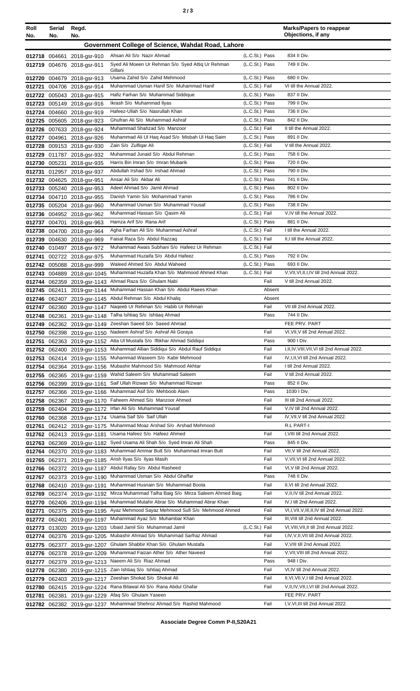|  |  | ×<br>×<br>۰, |
|--|--|--------------|
|--|--|--------------|

| Roll   | Serial | Regd.                                                      |                                                                                                                             |                                  |              | <b>Marks/Papers to reappear</b><br>Objections, if any           |
|--------|--------|------------------------------------------------------------|-----------------------------------------------------------------------------------------------------------------------------|----------------------------------|--------------|-----------------------------------------------------------------|
| No.    | No.    | No.                                                        |                                                                                                                             |                                  |              |                                                                 |
|        |        |                                                            | Government College of Science, Wahdat Road, Lahore                                                                          |                                  |              |                                                                 |
|        |        | 012718 004661 2018-gsr-910                                 | Ahsan Ali S/o Nazir Ahmad                                                                                                   | (L.C.St.) Pass                   |              | 834 II Div.                                                     |
|        |        | 012719 004676 2018-gsr-911                                 | Syed Ali Moeen Ur Rehman S/o Syed Attiq Ur Rehman<br>Gillani                                                                | (L.C.St.) Pass                   |              | 749 II Div.                                                     |
|        |        | 012720 004679 2018-gsr-913                                 | Usama Zahid S/o Zahid Mehmood                                                                                               | (L.C.St.) Pass                   |              | 680 II Div.                                                     |
|        |        | 012721 004706 2018-gsr-914                                 | Muhammad Usman Hanif S/o Muhammad Hanif                                                                                     | (L.C.St.) Fail                   |              | VI till the Annual 2022.                                        |
|        |        | 012722 005043 2018-gsr-915                                 | Hafiz Farhan S/o Muhammad Siddique                                                                                          | (L.C.St.) Pass                   |              | 837 II Div.                                                     |
|        |        | 012723 005149 2018-gsr-916                                 | Ikrash S/o Muhammad Ilyas                                                                                                   | (L.C.St.) Pass                   |              | 799 II Div.                                                     |
|        |        | 012724 004660 2018-gsr-919                                 | Hafeez-Ullah S/o Nasrullah Khan                                                                                             | (L.C.St.) Pass                   |              | 736 II Div.                                                     |
|        |        | 012725 005605 2018-gsr-923                                 | Ghufran Ali S/o Muhammad Ashraf                                                                                             | (L.C.St.) Pass                   |              | 842 II Div.                                                     |
| 012726 |        | 007633 2018-gsr-924                                        | Muhammad Shahzad S/o Manzoor                                                                                                | (L.C.St.) Fail                   |              | II till the Annual 2022.                                        |
|        |        | 012727 004961 2018-gsr-926                                 | Muhammad Ali Ul Haq Asad S/o Misbah Ul Haq Saim                                                                             | (L.C.St.) Pass                   |              | 891 II Div.                                                     |
| 012728 |        | 009153 2018-gsr-930                                        | Zain S/o Zulfigar Ali                                                                                                       | (L.C.St.) Fail                   |              | V till the Annual 2022.                                         |
|        |        | 012729 011787 2018-gsr-932                                 | Muhammad Junaid S/o Abdul Rehman                                                                                            | (L.C.St.) Pass                   |              | 758 II Div.                                                     |
|        |        | 012730 005231 2018-gsr-935                                 | Harris Bin Imran S/o Imran Mubarik                                                                                          | (L.C.St.) Pass                   |              | 720 II Div.                                                     |
|        |        | 012731 012957 2018-gsr-937                                 | Abdullah Irshad S/o Irshad Ahmad                                                                                            | (L.C.St.) Pass                   |              | 790 II Div.<br>741 II Div.                                      |
|        |        | 012732 004625 2018-gsr-951                                 | Ansar Ali S/o Akbar Ali<br>Adeel Ahmad S/o Jamil Ahmad                                                                      | (L.C.St.) Pass                   |              | 802 II Div.                                                     |
|        |        | 012733 005240 2018-gsr-953                                 | Danish Yamin S/o Mohammad Yamin                                                                                             | (L.C.St.) Pass<br>(L.C.St.) Pass |              | 786 II Div.                                                     |
|        |        | 012734 004710 2018-gsr-955<br>012735 005204 2018-gsr-960   | Muhammad Usman S/o Muhammad Yousaf                                                                                          | (L.C.St.) Pass                   |              | 738 II Div.                                                     |
|        |        | 012736 004952 2018-gsr-962                                 | Muhammad Hassan S/o Qasim Ali                                                                                               | (L.C.St.) Fail                   |              | V, IV till the Annual 2022.                                     |
|        |        | 012737 004701 2018-gsr-963                                 | Hamza Arif S/o Rana Arif                                                                                                    | (L.C.St.) Pass                   |              | 881 II Div.                                                     |
|        |        | 012738 004700 2018-gsr-964                                 | Agha Farhan Ali S/o Muhammad Ashraf                                                                                         | (L.C.St.) Fail                   |              | I till the Annual 2022.                                         |
|        |        | 012739 004630 2018-gsr-969                                 | Faisal Raza S/o Abdul Razzaq                                                                                                | (L.C.St.) Fail                   |              | II,I till the Annual 2022.                                      |
|        |        | 012740 010497 2018-gsr-972                                 | Muhammad Awais Subhani S/o Hafeez Ur Rehman                                                                                 | (L.C.St.) Fail                   |              |                                                                 |
| 012741 |        | 002722 2018-gsr-975                                        | Muhammad Huzaifa S/o Abdul Hafeez                                                                                           | (L.C.St.) Pass                   |              | 792 II Div.                                                     |
|        |        | 012742 005088 2018-gsr-999                                 | Waleed Ahmed S/o Abdul Waheed                                                                                               | (L.C.St.) Pass                   |              | 693 II Div.                                                     |
|        |        | 012743 004889 2018-gsr-1045                                | Muhammad Huzaifa Khan S/o Mahmood Ahmed Khan                                                                                | (L.C.St.) Fail                   |              | V, VII, VI, II, I, IV till 2nd Annual 2022.                     |
|        |        | 012744 062359 2019-gsr-1143                                | Ahmad Raza S/o Ghulam Nabi                                                                                                  |                                  | Fail         | V till 2nd Annual 2022.                                         |
|        |        | 012745 062411 2019-gsr-1144                                | Muhammad Hassan Khan S/o Abdul Raees Khan                                                                                   |                                  | Absent       |                                                                 |
|        |        |                                                            | 012746 062407 2019-gsr-1145 Abdul Rehman S/o Abdul Khaliq                                                                   |                                  | Absent       |                                                                 |
|        |        | 012747 062360 2019-gsr-1147                                | Nageeb Ur Rehman S/o Habib Ur Rehman                                                                                        |                                  | Fail         | VII till 2nd Annual 2022.                                       |
|        |        |                                                            | 012748 062361 2019-gsr-1148 Talha Ishtiaq S/o Ishtiaq Ahmad                                                                 |                                  | Pass         | 744 II Div.                                                     |
|        |        |                                                            | 012749 062362 2019-gsr-1149 Zeeshan Saeed S/o Saeed Ahmad                                                                   |                                  |              | FEE PRV. PART                                                   |
|        |        |                                                            | 012750 062398 2019-gsr-1150 Nadeem Ashraf S/o Ashraf Ali Goraya                                                             |                                  | Fail         | VI, VII, V till 2nd Annual 2022.                                |
|        |        |                                                            | 012751 062363 2019-gsr-1152 Atta Ul Mustafa S/o Iftikhar Ahmad Siddiqui<br>Muhammad Allian Siddiqui S/o Abdul Rauf Siddiqui |                                  | Pass<br>Fail | 900 I Div.<br>I, II, IV, VIII, VII, VI till 2nd Annual 2022.    |
|        |        | 012752 062400 2019-gsr-1153                                | Muhammad Waseem S/o Kabir Mehmood                                                                                           |                                  | Fail         | IV, I, II, VI till 2nd Annual 2022.                             |
|        |        | 012753 062414 2019-gsr-1155<br>012754 062364 2019-gsr-1156 | Mubashir Mahmood S/o Mahmood Akhtar                                                                                         |                                  | Fail         | I till 2nd Annual 2022.                                         |
|        |        | 012755 062365 2019-gsr-1159                                | Wahid Saleem S/o Muhammad Saleem                                                                                            |                                  | Fail         | V till 2nd Annual 2022.                                         |
| 012756 |        | 062399 2019-gsr-1161                                       | Saif Ullah Rizwan S/o Muhammad Rizwan                                                                                       |                                  | Pass         | 852 II Div.                                                     |
| 012757 |        |                                                            | 062366 2019-gsr-1166 Muhammad Asif S/o Mehboob Alam                                                                         |                                  | Pass         | 1030 I Div.                                                     |
| 012758 |        | 062367 2019-gsr-1170                                       | Faheem Ahmed S/o Manzoor Ahmed                                                                                              |                                  | Fail         | III till 2nd Annual 2022.                                       |
| 012759 |        | 062404 2019-gsr-1172                                       | Irfan Ali S/o Muhammad Yousaf                                                                                               |                                  | Fail         | V, IV till 2nd Annual 2022.                                     |
| 012760 |        |                                                            | 062368 2019-gsr-1174 Usama Saif S/o Saif Ullah                                                                              |                                  | Fail         | IV, VII, V till 2nd Annual 2022.                                |
| 012761 |        | 062412 2019-gsr-1175                                       | Muhammad Moaz Arshad S/o Arshad Mehmood                                                                                     |                                  |              | R.L PART-I                                                      |
|        |        | 012762 062413 2019-gsr-1181                                | Usama Hafeez S/o Hafeez Ahmed                                                                                               |                                  | Fail         | I, VIII till 2nd Annual 2022.                                   |
|        |        |                                                            | 012763 062369 2019-gsr-1182 Syed Usama Ali Shah S/o Syed Imran Ali Shah                                                     |                                  | Pass         | 845 II Div.                                                     |
|        |        | 012764 062370 2019-gsr-1183                                | Muhammad Ammar Butt S/o Muhammad Imran Butt                                                                                 |                                  | Fail         | VII, V till 2nd Annual 2022.                                    |
| 012765 | 062371 | 2019-gsr-1185                                              | Arish Ilyas S/o Ilyas Masih                                                                                                 |                                  | Fail         | V, VII, VI till 2nd Annual 2022.                                |
|        |        | 012766 062372 2019-gsr-1187                                | Abdul Rafay S/o Abdul Rasheed                                                                                               |                                  | Fail         | VI, V till 2nd Annual 2022.                                     |
| 012767 |        | 062373 2019-gsr-1190                                       | Muhammad Usman S/o Abdul Ghaffar                                                                                            |                                  | Pass<br>Fail | 748 II Div.                                                     |
| 012768 |        | 062410 2019-gsr-1191                                       | Muhammad Husnain S/o Muhammad Boota<br>Mirza Muhammad Talha Baig S/o Mirza Saleem Ahmed Baig                                |                                  | Fail         | II, VI till 2nd Annual 2022.<br>V, II, IV till 2nd Annual 2022. |
| 012769 |        | 062374 2019-gsr-1192                                       | Muhammad Mutahir Abrar S/o Muhammad Abrar Khan                                                                              |                                  | Fail         | IV, I till 2nd Annual 2022.                                     |
| 012770 |        | 062406 2019-gsr-1194                                       | Ayaz Mehmood Sayaz Mehmood Sufi S/o Mehmood Ahmed                                                                           |                                  | Fail         | VI,I, VII, V, III, II, IV till 2nd Annual 2022.                 |
| 012771 |        | 062375 2019-gsr-1195                                       | Muhammad Ayaz S/o Muhambar Khan                                                                                             |                                  | Fail         | III, VIII till 2nd Annual 2022.                                 |
| 012773 |        | 012772 062401 2019-gsr-1197<br>013020 2019-gsr-1203        | Ubaid Jamil S/o Muhammad Jamil                                                                                              | (L.C.St.) Fail                   |              | VI, VIII, VII, II till 2nd Annual 2022.                         |
| 012774 |        | 062376 2019-gsr-1205                                       | Mubashir Ahmad S/o Muhammad Sarfraz Ahmad                                                                                   |                                  | Fail         | I,IV, V, II, VII till 2nd Annual 2022.                          |
| 012775 |        | 062377 2019-gsr-1207                                       | Ghulam Shabbir Khan S/o Ghulam Mustafa                                                                                      |                                  | Fail         | V, VIII till 2nd Annual 2022.                                   |
| 012776 |        | 062378 2019-gsr-1209                                       | Muhammad Faizan Ather S/o Ather Naveed                                                                                      |                                  | Fail         | V, VII, VIII till 2nd Annual 2022.                              |
| 012777 |        |                                                            | 062379 2019-gsr-1213 Naeem Ali S/o Riaz Ahmad                                                                               |                                  | Pass         | 948 I Div.                                                      |
| 012778 |        | 062380 2019-gsr-1215                                       | Zain Ishtiaq S/o Ishtiaq Ahmad                                                                                              |                                  | Fail         | VI, IV till 2nd Annual 2022.                                    |
|        |        | 012779 062403 2019-gsr-1217                                | Zeeshan Shokat S/o Shokat Ali                                                                                               |                                  | Fail         | II, VI, VII, V, I till 2nd Annual 2022.                         |
| 012780 |        | 062415 2019-gsr-1224                                       | Rana Bilawal Ali S/o Rana Abdul Ghafar                                                                                      |                                  | Fail         | V, II, IV, VII, I, VI till 2nd Annual 2022.                     |
| 012781 |        | 062381 2019-gsr-1229                                       | Afaq S/o Ghulam Yaseen                                                                                                      |                                  |              | FEE PRV. PART                                                   |
|        |        |                                                            | 012782 062382 2019-gsr-1237 Muhammad Shehroz Ahmad S/o Rashid Mahmood                                                       |                                  | Fail         | I, V, VI, III till 2nd Annual 2022.                             |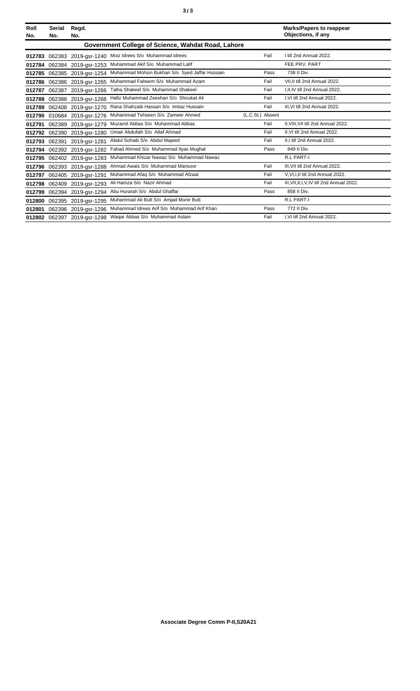| Roll<br>No. | Serial<br>No. | Regd.<br>No.                |                                                    |                  | <b>Marks/Papers to reappear</b><br>Objections, if any |
|-------------|---------------|-----------------------------|----------------------------------------------------|------------------|-------------------------------------------------------|
|             |               |                             | Government College of Science, Wahdat Road, Lahore |                  |                                                       |
| 012783      |               | 062383 2019-gsr-1240        | Moiz Idrees S/o Muhammad Idrees                    | Fail             | I till 2nd Annual 2022.                               |
| 012784      |               | 062384 2019-gsr-1253        | Muhammad Akif S/o Muhammad Latif                   |                  | FEE PRV. PART                                         |
| 012785      |               | 062385 2019-gsr-1254        | Muhammad Mohsin Bukhari S/o Syed Jaffar Hussain    | Pass             | 738 II Div.                                           |
| 012786      |               | 062386 2019-gsr-1265        | Muhammad Faheem S/o Muhammad Azam                  | Fail             | VII.II till 2nd Annual 2022.                          |
| 012787      | 062387        | 2019-gsr-1266               | Talha Shakeel S/o Muhammad Shakeel                 | Fail             | I, II, IV till 2nd Annual 2022.                       |
| 012788      |               | 062388 2019-gsr-1268        | Hafiz Muhammad Zeeshan S/o Shoukat Ali             | Fail             | I.VI till 2nd Annual 2022.                            |
| 012789      |               | 062408 2019-gsr-1270        | Rana Shahzaib Hassan S/o Imtiaz Hussain            | Fail             | III, VI till 2nd Annual 2022.                         |
| 012790      |               | 010684 2019-gsr-1276        | Muhammad Tehseen S/o Zameer Ahmed                  | (L.C.St.) Absent |                                                       |
| 012791      |               | 062389 2019-gsr-1279        | Muzamil Abbas S/o Muhammad Abbas                   | Fail             | II.VIII.VII till 2nd Annual 2022.                     |
| 012792      | 062390        | 2019-gsr-1280               | Umair Abdullah S/o Altaf Ahmad                     | Fail             | II, VI till 2nd Annual 2022.                          |
| 012793      | 062391        | 2019-gsr-1281               | Abdul Sohaib S/o Abdul Majeed                      | Fail             | II.I till 2nd Annual 2022.                            |
| 012794      |               | 062392 2019-gsr-1282        | Fahad Ahmed S/o Muhammad IIyas Mughal              | Pass             | 849 II Div.                                           |
| 012795      |               | 062402 2019-gsr-1283        | Muhammad Khizar Nawaz S/o Muhammad Nawaz           |                  | <b>R.L PART-I</b>                                     |
| 012796      |               | 062393 2019-gsr-1288        | Ahmad Awais S/o Muhammad Mansoor                   | Fail             | III. VII till 2nd Annual 2022.                        |
| 012797      |               | 062405 2019-gsr-1291        | Muhammad Afaq S/o Muhammad Afzaal                  | Fail             | V, VI, I, II till 2nd Annual 2022.                    |
| 012798      |               | 062409 2019-gsr-1293        | Ali Hamza S/o Nazir Ahmad                          | Fail             | III, VII, II, I, V, IV till 2nd Annual 2022.          |
| 012799      |               | 062394 2019-gsr-1294        | Abu Hurarah S/o Abdul Ghaffar                      | Pass             | 858 II Div.                                           |
| 012800      |               | 062395 2019-gsr-1295        | Muhammad Ali Butt S/o Amjad Munir Butt             |                  | <b>R.L PART-I</b>                                     |
| 012801      |               | 062396 2019-gsr-1296        | Muhammad Idrees Arif S/o Muhammad Arif Khan        | Pass             | 772 II Div.                                           |
|             |               | 012802 062397 2019-gsr-1298 | Wagar Abbas S/o Muhammad Aslam                     | Fail             | I.VI till 2nd Annual 2022.                            |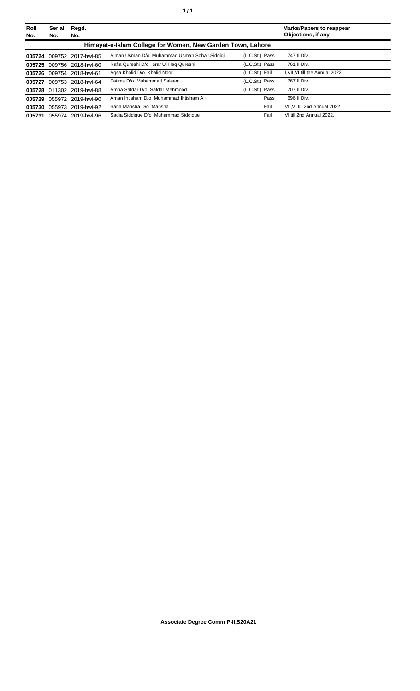| Roll<br>No. | <b>Serial</b><br>No. | Regd.<br>No.              |                                                            |                | <b>Marks/Papers to reappear</b><br>Objections, if any |
|-------------|----------------------|---------------------------|------------------------------------------------------------|----------------|-------------------------------------------------------|
|             |                      |                           | Himayat-e-Islam College for Women, New Garden Town, Lahore |                |                                                       |
|             |                      | 005724 009752 2017-hwl-85 | Aiman Usman D/o Muhammad Usman Sohail Siddigi              | (L.C.St.) Pass | 747 II Div.                                           |
|             |                      | 005725 009756 2018-hwl-60 | Rafia Qureshi D/o Israr Ul Haq Qureshi                     | (L.C.St.) Pass | 761 II Div.                                           |
|             |                      | 005726 009754 2018-hwl-61 | Agsa Khalid D/o Khalid Noor                                | (L.C.St.) Fail | I, VII, VI till the Annual 2022.                      |
| 005727      |                      | 009753 2018-hwl-64        | Fatima D/o Muhammad Saleem                                 | (L.C.St.) Pass | 767 II Div.                                           |
|             |                      | 005728 011302 2019-hwl-88 | Amna Safdar D/o Safdar Mehmood                             | (L.C.St.) Pass | 707 II Div.                                           |
| 005729      |                      | 055972 2019-hwl-90        | Aman Ihtisham D/o Muhammad Ihtisham Ali                    | Pass           | 696 II Div.                                           |
|             |                      | 005730 055973 2019-hwl-92 | Sana Mansha D/o Mansha                                     | Fail           | VII. VI till 2nd Annual 2022.                         |
| 005731      |                      | 055974 2019-hwl-96        | Sadia Siddique D/o Muhammad Siddique                       | Fail           | VI till 2nd Annual 2022.                              |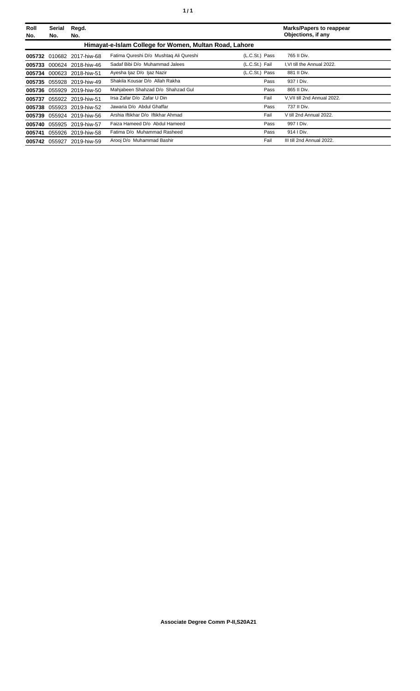| Roll<br>No. | <b>Serial</b><br>No. | Regd.<br>No.              |                                                        |                | <b>Marks/Papers to reappear</b><br>Objections, if any |
|-------------|----------------------|---------------------------|--------------------------------------------------------|----------------|-------------------------------------------------------|
|             |                      |                           | Himayat-e-Islam College for Women, Multan Road, Lahore |                |                                                       |
|             |                      | 005732 010682 2017-hiw-68 | Fatima Qureshi D/o Mushtaq Ali Qureshi                 | (L.C.St.) Pass | 765 II Div.                                           |
|             |                      | 005733 000624 2018-hiw-46 | Sadaf Bibi D/o Muhammad Jalees                         | (L.C.St.) Fail | I, VI till the Annual 2022.                           |
|             |                      | 005734 000623 2018-hiw-51 | Ayesha Ijaz D/o Ijaz Nazir                             | (L.C.St.) Pass | 881 II Div.                                           |
|             |                      | 005735 055928 2019-hiw-49 | Shakila Kousar D/o Allah Rakha                         | Pass           | 937   Div.                                            |
|             |                      | 005736 055929 2019-hiw-50 | Mahjabeen Shahzad D/o Shahzad Gul                      | Pass           | 865 II Div.                                           |
| 005737      |                      | 055922 2019-hiw-51        | Irsa Zafar D/o Zafar U Din                             | Fail           | V.VII till 2nd Annual 2022.                           |
|             |                      | 005738 055923 2019-hiw-52 | Jawaria D/o Abdul Ghaffar                              | Pass           | 737 II Div.                                           |
| 005739      |                      | 055924 2019-hiw-56        | Arshia Iftikhar D/o Iftikhar Ahmad                     | Fail           | V till 2nd Annual 2022.                               |
|             |                      | 005740 055925 2019-hiw-57 | Faiza Hameed D/o Abdul Hameed                          | Pass           | 997   Div.                                            |
|             |                      | 005741 055926 2019-hiw-58 | Fatima D/o Muhammad Rasheed                            | Pass           | 914   Div.                                            |
|             | 005742 055927        | 2019-hiw-59               | Arooj D/o Muhammad Bashir                              | Fail           | III till 2nd Annual 2022.                             |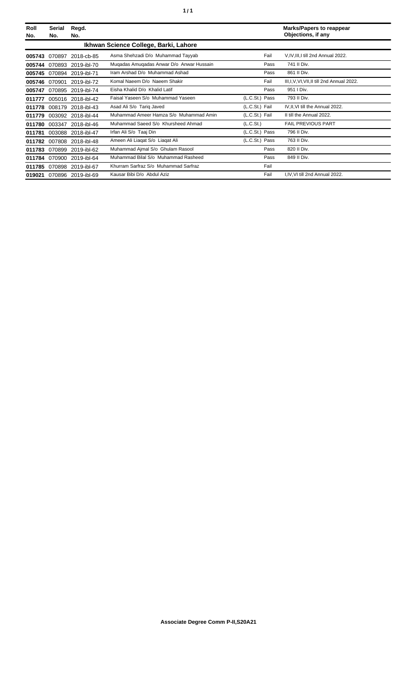| Roll<br>No. | Serial<br>No. | Regd.<br>No.       |                                          |                | <b>Marks/Papers to reappear</b><br>Objections, if any |
|-------------|---------------|--------------------|------------------------------------------|----------------|-------------------------------------------------------|
|             |               |                    | Ikhwan Science College, Barki, Lahore    |                |                                                       |
| 005743      | 070897        | 2018-cb-85         | Asma Shehzadi D/o Muhammad Tayyab        | Fail           | V, IV, III, I till 2nd Annual 2022.                   |
| 005744      |               | 070893 2019-ibl-70 | Mugadas Amugadas Anwar D/o Anwar Hussain | Pass           | 741 II Div.                                           |
| 005745      |               | 070894 2019-ibl-71 | Iram Arshad D/o Muhammad Ashad           | Pass           | 861 II Div.                                           |
| 005746      | 070901        | 2019-ibl-72        | Komal Naeem D/o Naeem Shakir             | Fail           | III, I, V, VI, VII, II till 2nd Annual 2022.          |
| 005747      |               | 070895 2019-ibl-74 | Eisha Khalid D/o Khalid Latif            | Pass           | 951   Div.                                            |
| 011777      |               | 005016 2018-ibl-42 | Faisal Yaseen S/o Muhammad Yaseen        | (L.C.St.) Pass | 793 II Div.                                           |
| 011778      |               | 008179 2018-ibl-43 | Asad Ali S/o Tariq Javed                 | (L.C.St.) Fail | IV, II, VI till the Annual 2022.                      |
| 011779      |               | 003092 2018-ibl-44 | Muhammad Ameer Hamza S/o Muhammad Amin   | (L.C.St.) Fail | II till the Annual 2022.                              |
| 011780      | 003347        | 2018-ibl-46        | Muhammad Saeed S/o Khursheed Ahmad       | (L.C.St.)      | <b>FAIL PREVIOUS PART</b>                             |
| 011781      | 003088        | 2018-ibl-47        | Irfan Ali S/o Taaj Din                   | (L.C.St.) Pass | 796 II Div.                                           |
| 011782      | 007808        | 2018-ibl-48        | Ameen Ali Liagat S/o Liagat Ali          | (L.C.St.) Pass | 763 II Div.                                           |
| 011783      | 070899        | 2019-ibl-62        | Muhammad Ajmal S/o Ghulam Rasool         | Pass           | 820 II Div.                                           |
| 011784      |               | 070900 2019-ibl-64 | Muhammad Bilal S/o Muhammad Rasheed      | Pass           | 849 II Div.                                           |
| 011785      |               | 070898 2019-ibl-67 | Khurram Sarfraz S/o Muhammad Sarfraz     | Fail           |                                                       |
| 019021      |               | 070896 2019-ibl-69 | Kausar Bibi D/o Abdul Aziz               | Fail           | I, IV, VI till 2nd Annual 2022.                       |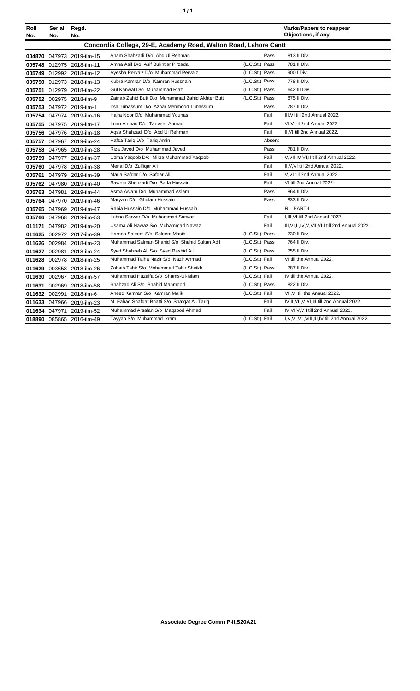| ٠ | ٠ |
|---|---|
|   |   |

| Roll<br>No. | Serial<br>No. | Regd.<br>No.              |                                                                  |                | <b>Marks/Papers to reappear</b><br>Objections, if any |
|-------------|---------------|---------------------------|------------------------------------------------------------------|----------------|-------------------------------------------------------|
|             |               |                           | Concordia College, 29-E, Academy Road, Walton Road, Lahore Cantt |                |                                                       |
|             |               | 004870 047973 2019-ilm-15 | Anam Shahzadi D/o Abd Ul Rehman                                  | Pass           | 813 II Div.                                           |
|             |               | 005748 012975 2018-ilm-11 | Amna Asif D/o Asif Bukhtiar Pirzada                              | (L.C.St.) Pass | 781 II Div.                                           |
|             |               | 005749 012992 2018-ilm-12 | Ayesha Pervaiz D/o Muhammad Pervaiz                              | (L.C.St.) Pass | 900   Div.                                            |
|             |               | 005750 012973 2018-ilm-13 | Kubra Kamran D/o Kamran Hussnain                                 | (L.C.St.) Pass | 778 II Div.                                           |
|             |               | 005751 012979 2018-ilm-22 | Gul Kanwal D/o Muhammad Riaz                                     | (L.C.St.) Pass | 642 III Div.                                          |
|             |               | 005752 002975 2018-ilm-9  | Zainab Zahid Butt D/o Muhammad Zahid Akhter Butt                 | (L.C.St.) Pass | 875 II Div.                                           |
|             |               | 005753 047972 2019-ilm-1  | Irsa Tubassum D/o Azhar Mehmood Tubassum                         | Pass           | 787 II Div.                                           |
|             |               | 005754 047974 2019-ilm-16 | Hajra Noor D/o Muhammad Younas                                   | Fail           | III.VI till 2nd Annual 2022.                          |
|             |               | 005755 047975 2019-ilm-17 | Iman Ahmad D/o Tanveer Ahmad                                     | Fail           | VI, V till 2nd Annual 2022.                           |
|             |               | 005756 047976 2019-ilm-18 | Aqsa Shahzadi D/o Abd Ul Rehman                                  | Fail           | II, VI till 2nd Annual 2022.                          |
|             |               | 005757 047967 2019-ilm-24 | Hafsa Tariq D/o Tariq Amin                                       | Absent         |                                                       |
|             |               | 005758 047965 2019-ilm-28 | Riza Javed D/o Muhammad Javed                                    | Pass           | 781 II Div.                                           |
|             |               | 005759 047977 2019-ilm-37 | Uzma Yaqoob D/o Mirza Muhammad Yaqoob                            | Fail           | V, VII, IV, VI, II till 2nd Annual 2022.              |
|             |               | 005760 047978 2019-ilm-38 | Menal D/o Zulfigar Ali                                           | Fail           | II, V, VI till 2nd Annual 2022.                       |
|             |               | 005761 047979 2019-ilm-39 | Maria Safdar D/o Safdar Ali                                      | Fail           | V, VI till 2nd Annual 2022.                           |
|             |               | 005762 047980 2019-ilm-40 | Sawera Shehzadi D/o Sada Hussain                                 | Fail           | VI till 2nd Annual 2022.                              |
|             |               | 005763 047981 2019-ilm-44 | Asma Aslam D/o Muhammad Aslam                                    | Pass           | 864 II Div.                                           |
|             |               | 005764 047970 2019-ilm-46 | Maryam D/o Ghulam Hussain                                        | Pass           | 833 II Div.                                           |
|             |               | 005765 047969 2019-ilm-47 | Rabia Hussain D/o Muhammad Hussain                               |                | R.L PART-I                                            |
|             |               | 005766 047968 2019-ilm-53 | Lubna Sarwar D/o Muhammad Sarwar                                 | Fail           | I, III, VI till 2nd Annual 2022.                      |
|             |               | 011171 047982 2019-ilm-20 | Usama Ali Nawaz S/o Muhammad Nawaz                               | Fail           | III, VI, II, IV, V, VII, VIII till 2nd Annual 2022.   |
|             |               | 011625 002972 2017-ilm-39 | Haroon Saleem S/o Saleem Masih                                   | (L.C.St.) Pass | 730 II Div.                                           |
|             |               | 011626 002984 2018-ilm-23 | Muhammad Salman Shahid S/o Shahid Sultan Adil                    | (L.C.St.) Pass | 764 II Div.                                           |
|             |               | 011627 002981 2018-ilm-24 | Syed Shahzeb Ali S/o Syed Rashid Ali                             | (L.C.St.) Pass | 755 II Div.                                           |
|             |               | 011628 002978 2018-ilm-25 | Muhammad Talha Nazir S/o Nazir Ahmad                             | (L.C.St.) Fail | VI till the Annual 2022.                              |
|             |               | 011629 003658 2018-ilm-26 | Zohaib Tahir S/o Mohammad Tahir Sheikh                           | (L.C.St.) Pass | 787 II Div.                                           |
|             |               | 011630 002967 2018-ilm-57 | Muhammad Huzaifa S/o Shams-UI-Islam                              | (L.C.St.) Fail | IV till the Annual 2022.                              |
|             |               | 011631 002969 2018-ilm-58 | Shahzad Ali S/o Shahid Mahmood                                   | (L.C.St.) Pass | 822 II Div.                                           |
|             | 011632 002991 | 2018-ilm-6                | Aneeg Kamran S/o Kamran Malik                                    | (L.C.St.) Fail | VII, VI till the Annual 2022.                         |
|             |               | 011633 047966 2019-ilm-23 | M. Fahad Shafqat Bhatti S/o Shafqat Ali Tariq                    | Fail           | IV, II, VII, V, VI, III till 2nd Annual 2022.         |
|             |               | 011634 047971 2019-ilm-52 | Muhammad Arsalan S/o Maqsood Ahmad                               | Fail           | IV, VI, V, VII till 2nd Annual 2022.                  |
|             |               | 018890 085865 2016-ilm-49 | Tayyab S/o Muhammad Ikram                                        | (L.C.St.) Fail | I, V, VI, VII, VIII, III, IV till 2nd Annual 2022.    |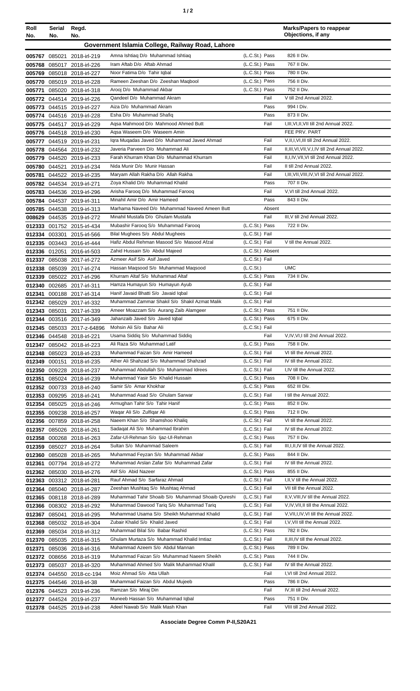| ٠ |  |
|---|--|
|---|--|

| Roll<br>No. | Serial Regd.<br>No. | No.                                                      |                                                                              |                                    | <b>Marks/Papers to reappear</b><br>Objections, if any                                        |
|-------------|---------------------|----------------------------------------------------------|------------------------------------------------------------------------------|------------------------------------|----------------------------------------------------------------------------------------------|
|             |                     |                                                          |                                                                              |                                    |                                                                                              |
|             |                     |                                                          | Government Islamia College, Railway Road, Lahore                             |                                    |                                                                                              |
|             |                     | 005767 085021 2018-irl-219                               | Amna Ishtiaq D/o Muhammad Ishtiaq<br>Iram Aftab D/o Aftab Ahmad              | (L.C.St.) Pass<br>(L.C.St.) Pass   | 826 II Div.<br>767 II Div.                                                                   |
|             |                     | 005768 085017 2018-irl-226<br>005769 085018 2018-irl-227 | Noor Fatima D/o Tahir Iqbal                                                  | (L.C.St.) Pass                     | 780 II Div.                                                                                  |
|             |                     | 005770 085019 2018-irl-228                               | Rameen Zeeshan D/o Zeeshan Magbool                                           | (L.C.St.) Pass                     | 756 II Div.                                                                                  |
|             |                     | 005771 085020 2018-irl-318                               | Arooj D/o Muhammad Akbar                                                     | (L.C.St.) Pass                     | 752 II Div.                                                                                  |
|             |                     | 005772 044514 2019-irl-226                               | Qandeel D/o Muhammad Akram                                                   | Fail                               | V till 2nd Annual 2022.                                                                      |
|             |                     | 005773 044515 2019-irl-227                               | Aiza D/o Muhammad Akram                                                      | Pass                               | 994   Div.                                                                                   |
|             |                     | 005774 044516 2019-irl-228                               | Esha D/o Muhammad Shafiq                                                     | Pass                               | 873 II Div.                                                                                  |
|             |                     | 005775 044517 2019-irl-229                               | Agsa Mahmood D/o Mahmood Ahmed Butt                                          | Fail                               | I, III, VI, II, VII till 2nd Annual 2022.                                                    |
|             |                     | 005776 044518 2019-irl-230                               | Agsa Waseem D/o Waseem Amin                                                  |                                    | FEE PRV. PART                                                                                |
|             |                     | 005777 044519 2019-irl-231                               | Igra Mugadas Javed D/o Muhammad Javed Ahmad                                  | Fail                               | V, II, I, VI, III till 2nd Annual 2022.                                                      |
|             |                     | 005778 044564 2019-irl-232                               | Javeria Parveen D/o Muhammad Ali<br>Farah Khurram Khan D/o Muhammad Khurram  | Fail<br>Fail                       | II, III, VI, VII, V, I, IV till 2nd Annual 2022.<br>II, I, IV, VII, VI till 2nd Annual 2022. |
|             |                     | 005779 044520 2019-irl-233<br>005780 044521 2019-irl-234 | Nida Munir D/o Munir Hassan                                                  | Fail                               | II till 2nd Annual 2022.                                                                     |
|             |                     | 005781 044522 2019-irl-235                               | Maryam Allah Rakha D/o Allah Rakha                                           | Fail                               | I, III, VII, VIII, IV, VI till 2nd Annual 2022.                                              |
|             |                     | 005782 044534 2019-irl-271                               | Zoya Khalid D/o Muhammad Khalid                                              | Pass                               | 707 II Div.                                                                                  |
|             |                     | 005783 044536 2019-irl-296                               | Arisha Farooq D/o Muhammad Farooq                                            | Fail                               | V.VI till 2nd Annual 2022.                                                                   |
|             |                     | 005784 044537 2019-irl-311                               | Minahil Amir D/o Amir Hameed                                                 | Pass                               | 843 II Div.                                                                                  |
|             |                     | 005785 044538 2019-irl-313                               | Marhama Naveed D/o Muhammad Naveed Ameen Butt                                | Absent                             |                                                                                              |
|             |                     | 008629 044535 2019-irl-272                               | Minahil Mustafa D/o Ghulam Mustafa                                           | Fail                               | III, V till 2nd Annual 2022.                                                                 |
|             |                     | 012333 001752 2015-irl-434                               | Mubashir Farooq S/o Muhammad Farooq                                          | (L.C.St.) Pass                     | 722 II Div.                                                                                  |
|             |                     | 012334 003301 2015-irl-566                               | Bilal Mughees S/o Abdul Mughees                                              | (L.C.St.) Fail                     |                                                                                              |
|             |                     | 012335 003443 2016-irl-444                               | Hafiz Abdul Rehman Masood S/o Masood Afzal<br>Zahid Hussain S/o Abdul Majeed | (L.C.St.) Fail<br>(L.C.St.) Absent | V till the Annual 2022.                                                                      |
|             |                     | 012336 012051 2016-irl-503<br>012337 085038 2017-irl-272 | Azmeer Asif S/o Asif Javed                                                   | (L.C.St.) Fail                     |                                                                                              |
|             |                     | 012338 085039 2017-irl-274                               | Hassan Magsood S/o Muhammad Magsood                                          | (L.C.St.)                          | <b>UMC</b>                                                                                   |
|             |                     | 012339 085022 2017-irl-296                               | Khurram Altaf S/o Muhammad Altaf                                             | (L.C.St.) Pass                     | 734 II Div.                                                                                  |
|             |                     | 012340 002685 2017-irl-311                               | Hamza Humayun S/o Humayun Ayub                                               | (L.C.St.) Fail                     |                                                                                              |
|             |                     | 012341 000188 2017-irl-314                               | Hanif Javaid Bhatti S/o Javaid Iqbal                                         | (L.C.St.) Fail                     |                                                                                              |
|             |                     | 012342 085029 2017-irl-332                               | Muhammad Zammar Shakil S/o Shakil Azmat Malik                                | (L.C.St.) Fail                     |                                                                                              |
|             |                     | 012343 085031 2017-irl-339                               | Ameer Moazzam S/o Aurang Zaib Alamgeer                                       | (L.C.St.) Pass                     | 751 II Div.                                                                                  |
|             |                     | 012344 003516 2017-irl-349                               | Jahanzaib Javed S/o Javed Iqbal                                              | (L.C.St.) Pass                     | 675 II Div.                                                                                  |
|             |                     | 012345 085033 2017-z-64896                               | Mohsin Ali S/o Bahar Ali                                                     | (L.C.St.) Fail                     |                                                                                              |
|             |                     | 012346 044548 2018-irl-221                               | Usama Siddiq S/o Muhammad Siddiq<br>Ali Raza S/o Muhammad Latif              | Fail<br>(L.C.St.) Pass             | V, IV, VI, I till 2nd Annual 2022.<br>758 II Div.                                            |
|             |                     | 012347 085042 2018-irl-223<br>012348 085023 2018-irl-233 | Muhammad Faizan S/o Amir Hameed                                              | (L.C.St.) Fail                     | VI till the Annual 2022.                                                                     |
|             |                     | 012349 000151 2018-irl-235                               | Ather Ali Shahzad S/o Muhammad Shahzad                                       | (L.C.St.) Fail                     | IV till the Annual 2022.                                                                     |
|             |                     | 012350 009228 2018-irl-237                               | Muhammad Abdullah S/o Muhammad Idrees                                        | (L.C.St.) Fail                     | I,IV till the Annual 2022.                                                                   |
|             |                     | 012351 085024 2018-irl-239                               | Muhammad Yasir S/o Khalid Hussain                                            | (L.C.St.) Pass                     | 708 II Div.                                                                                  |
|             |                     | 012352 000733 2018-irl-240                               | Samir S/o Amar Khokhar                                                       | (L.C.St.) Pass                     | 652 III Div.                                                                                 |
|             |                     | 012353 009295 2018-irl-241                               | Muhammad Asad S/o Ghulam Sarwar                                              | (L.C.St.) Fail                     | I till the Annual 2022.                                                                      |
|             |                     | 012354 085025 2018-irl-246                               | Armughan Tahir S/o Tahir Hanif                                               | (L.C.St.) Pass                     | 852 II Div.                                                                                  |
|             |                     | 012355 009238 2018-irl-257                               | Waqar Ali S/o Zulfiqar Ali                                                   | (L.C.St.) Pass                     | 712 II Div.                                                                                  |
|             |                     | 012356 007859 2018-irl-258                               | Naeem Khan S/o Shamshoo Khaliq                                               | (L.C.St.) Fail                     | VI till the Annual 2022.                                                                     |
|             |                     | 012357 085026 2018-irl-261                               | Sadaqat Ali S/o Muhammad Ibrahim<br>Zafar-Ul-Rehman S/o Ijaz-Ul-Rehman       | (L.C.St.) Fail<br>(L.C.St.) Pass   | IV till the Annual 2022.<br>757 II Div.                                                      |
|             |                     | 012358 000268 2018-irl-263<br>012359 085027 2018-irl-264 | Sultan S/o Muhammad Saleem                                                   | (L.C.St.) Fail                     | III, I, II, IV till the Annual 2022.                                                         |
|             |                     | 012360 085028 2018-irl-265                               | Muhammad Feyzan S/o Muhammad Akbar                                           | (L.C.St.) Pass                     | 844 II Div.                                                                                  |
|             |                     | 012361 007794 2018-irl-272                               | Muhammad Arslan Zafar S/o Muhammad Zafar                                     | (L.C.St.) Fail                     | IV till the Annual 2022.                                                                     |
|             |                     | 012362 085030 2018-irl-276                               | Atif S/o Abid Nazeer                                                         | (L.C.St.) Pass                     | 855 II Div.                                                                                  |
|             |                     | 012363 003312 2018-irl-281                               | Rauf Ahmad S/o Sarfaraz Ahmad                                                | (L.C.St.) Fail                     | I, II, V till the Annual 2022.                                                               |
|             |                     | 012364 085040 2018-irl-287                               | Zeeshan Mushtaq S/o Mushtaq Ahmad                                            | (L.C.St.) Fail                     | VII till the Annual 2022.                                                                    |
|             |                     | 012365 008118 2018-irl-289                               | Muhammad Tahir Shoaib S/o Muhammad Shoaib Qureshi                            | (L.C.St.) Fail                     | II, V, VIII, IV till the Annual 2022.                                                        |
|             |                     | 012366 008302 2018-irl-292                               | Muhammad Dawood Tariq S/o Muhammad Tariq                                     | (L.C.St.) Fail                     | V, IV, VII, II till the Annual 2022.                                                         |
|             |                     | 012367 085041 2018-irl-295                               | Muhammad Usama S/o Sheikh Muhammad Khalid                                    | (L.C.St.) Fail                     | V, VII, I, IV, VI till the Annual 2022.                                                      |
|             |                     | 012368 085032 2018-irl-304                               | Zubair Khalid S/o Khalid Javed                                               | (L.C.St.) Fail                     | I, V, VII till the Annual 2022.                                                              |
|             |                     | 012369 085034 2018-irl-312                               | Muhammad Bilal S/o Babar Rashid<br>Ghulam Murtaza S/o Muhammad Khalid Imtiaz | (L.C.St.) Pass<br>(L.C.St.) Fail   | 782 II Div.<br>II, III, IV till the Annual 2022.                                             |
|             |                     | 012370 085035 2018-irl-315<br>012371 085036 2018-irl-316 | Muhammad Azeem S/o Abdul Mannan                                              | (L.C.St.) Pass                     | 789 II Div.                                                                                  |
|             |                     | 012372 008656 2018-irl-319                               | Muhammad Faizan S/o Muhammad Naeem Sheikh                                    | (L.C.St.) Pass                     | 744 II Div.                                                                                  |
|             |                     | 012373 085037 2018-irl-320                               | Muhammad Ahmed S/o Malik Muhammad Khalil                                     | (L.C.St.) Fail                     | IV till the Annual 2022.                                                                     |
|             |                     | 012374 044550 2018-cc-194                                | Moiz Ahmad S/o Atta Ullah                                                    | Fail                               | I, VI till 2nd Annual 2022.                                                                  |
|             |                     | 012375 044546 2018-irl-38                                | Muhammad Faizan S/o Abdul Mujeeb                                             | Pass                               | 786 II Div.                                                                                  |
|             |                     | 012376 044523 2019-irl-236                               | Ramzan S/o Miraj Din                                                         | Fail                               | IV, III till 2nd Annual 2022.                                                                |
|             |                     | 012377 044524 2019-irl-237                               | Muneeb Hassan S/o Muhammad Iqbal                                             | Pass                               | 751 II Div.                                                                                  |
|             |                     | 012378 044525 2019-irl-238                               | Adeel Nawab S/o Malik Mash Khan                                              | Fail                               | VIII till 2nd Annual 2022.                                                                   |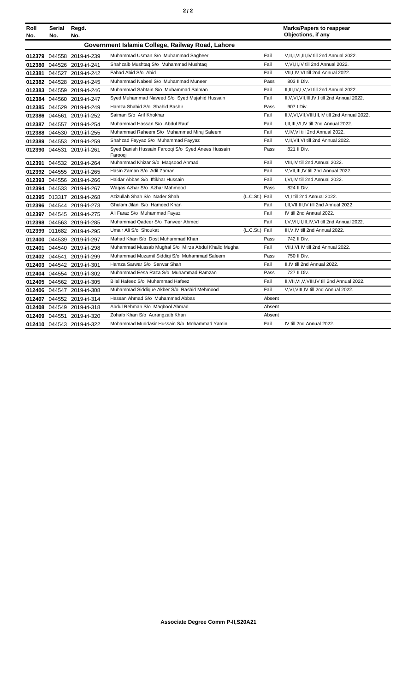|--|--|--|

| Roll<br>No. | Serial<br>No. | Regd.<br>No.               |                                                               |                |        | <b>Marks/Papers to reappear</b><br>Objections, if any |
|-------------|---------------|----------------------------|---------------------------------------------------------------|----------------|--------|-------------------------------------------------------|
|             |               |                            | Government Islamia College, Railway Road, Lahore              |                |        |                                                       |
|             |               | 012379 044558 2019-irl-239 | Muhammad Usman S/o Muhammad Sagheer                           |                | Fail   | V, II, I, VI, III, IV till 2nd Annual 2022.           |
|             |               | 012380 044526 2019-irl-241 | Shahzaib Mushtaq S/o Muhammad Mushtaq                         |                | Fail   | V.VI.II.IV till 2nd Annual 2022.                      |
|             |               | 012381 044527 2019-irl-242 | Fahad Abid S/o Abid                                           |                | Fail   | VII, I, IV, VI till 2nd Annual 2022.                  |
|             |               | 012382 044528 2019-irl-245 | Muhammad Nabeel S/o Muhammad Muneer                           |                | Pass   | 803 II Div.                                           |
|             |               | 012383 044559 2019-irl-246 | Muhammad Sabtain S/o Muhammad Salman                          |                | Fail   | II, III, IV, I, V, VI till 2nd Annual 2022.           |
|             |               | 012384 044560 2019-irl-247 | Syed Muhammad Naveed S/o Syed Mujahid Hussain                 |                | Fail   | II, V, VI, VII, III, IV, I till 2nd Annual 2022.      |
|             |               | 012385 044529 2019-irl-249 | Hamza Shahid S/o Shahid Bashir                                |                | Pass   | 907   Div.                                            |
|             |               | 012386 044561 2019-irl-252 | Saiman S/o Arif Khokhar                                       |                | Fail   | II, V, VI, VII, VIII, III, IV till 2nd Annual 2022.   |
|             |               | 012387 044557 2019-irl-254 | Muhammad Hassan S/o Abdul Rauf                                |                | Fail   | I, II, III, VI, IV till 2nd Annual 2022.              |
|             |               | 012388 044530 2019-irl-255 | Muhammad Raheem S/o Muhammad Miraj Saleem                     |                | Fail   | V,IV,VI till 2nd Annual 2022.                         |
|             |               | 012389 044553 2019-irl-259 | Shahzad Fayyaz S/o Muhammad Fayyaz                            |                | Fail   | V, II, VII, VI till 2nd Annual 2022.                  |
|             |               | 012390 044531 2019-irl-261 | Syed Danish Hussain Farooqi S/o Syed Anees Hussain<br>Farooqi |                | Pass   | 821 II Div.                                           |
|             |               | 012391 044532 2019-irl-264 | Muhammad Khizar S/o Maqsood Ahmad                             |                | Fail   | VIII, IV till 2nd Annual 2022.                        |
|             |               | 012392 044555 2019-irl-265 | Hasin Zaman S/o Adil Zaman                                    |                | Fail   | V, VII, III, IV till 2nd Annual 2022.                 |
|             |               | 012393 044556 2019-irl-266 | Haidar Abbas S/o Iftikhar Hussain                             |                | Fail   | I.VI.IV till 2nd Annual 2022.                         |
|             |               | 012394 044533 2019-irl-267 | Wagas Azhar S/o Azhar Mahmood                                 |                | Pass   | 824 II Div.                                           |
|             |               | 012395 013317 2019-irl-268 | Azizullah Shah S/o Nader Shah                                 | (L.C.St.) Fail |        | VI.I till 2nd Annual 2022.                            |
|             |               | 012396 044544 2019-irl-273 | Ghulam Jilani S/o Hameed Khan                                 |                | Fail   | I.II.VII.III.IV till 2nd Annual 2022.                 |
|             |               | 012397 044545 2019-irl-275 | Ali Faraz S/o Muhammad Fayaz                                  |                | Fail   | IV till 2nd Annual 2022.                              |
|             |               | 012398 044563 2019-irl-285 | Muhammad Qadeer S/o Tanveer Ahmed                             |                | Fail   | I, V, VII, II, III, IV, VI till 2nd Annual 2022.      |
|             |               | 012399 011682 2019-irl-295 | Umair Ali S/o Shoukat                                         | (L.C.St.) Fail |        | III, V, IV till 2nd Annual 2022.                      |
|             |               | 012400 044539 2019-irl-297 | Mahad Khan S/o Dost Muhammad Khan                             |                | Pass   | 742 II Div.                                           |
|             |               | 012401 044540 2019-irl-298 | Muhammad Mussab Mughal S/o Mirza Abdul Khaliq Mughal          |                | Fail   | VII, I, VI, IV till 2nd Annual 2022.                  |
|             |               | 012402 044541 2019-irl-299 | Muhammad Muzamil Siddiqi S/o Muhammad Saleem                  |                | Pass   | 750 II Div.                                           |
|             |               | 012403 044542 2019-irl-301 | Hamza Sarwar S/o Sarwar Shah                                  |                | Fail   | II,IV till 2nd Annual 2022.                           |
|             |               | 012404 044554 2019-irl-302 | Muhammad Eesa Raza S/o Muhammad Ramzan                        |                | Pass   | 727 II Div.                                           |
|             |               | 012405 044562 2019-irl-305 | Bilal Hafeez S/o Muhammad Hafeez                              |                | Fail   | II, VII, VI, V, VIII, IV till 2nd Annual 2022.        |
|             |               | 012406 044547 2019-irl-308 | Muhammad Siddique Akber S/o Rashid Mehmood                    |                | Fail   | V, VI, VIII, IV till 2nd Annual 2022.                 |
|             |               | 012407 044552 2019-irl-314 | Hassan Ahmad S/o Muhammad Abbas                               |                | Absent |                                                       |
|             |               | 012408 044549 2019-irl-318 | Abdul Rehman S/o Maqbool Ahmad                                |                | Absent |                                                       |
|             |               | 012409 044551 2019-irl-320 | Zohaib Khan S/o Aurangzaib Khan                               |                | Absent |                                                       |
|             |               | 012410 044543 2019-irl-322 | Mohammad Muddasir Hussain S/o Mohammad Yamin                  |                | Fail   | IV till 2nd Annual 2022.                              |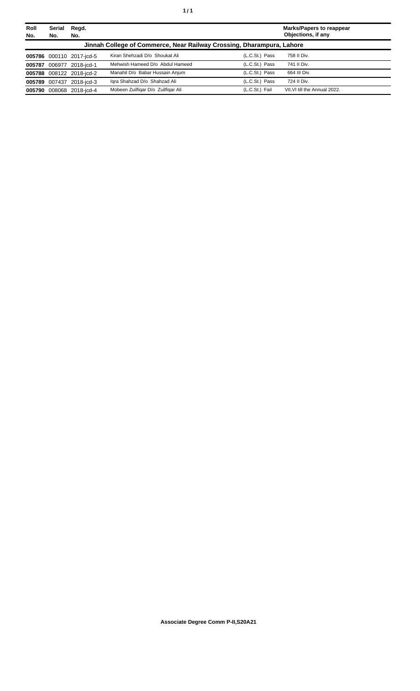| Roll<br>No. | Serial<br>No. | Regd.<br>No.             |                                                                       |                | <b>Marks/Papers to reappear</b><br>Objections, if any |
|-------------|---------------|--------------------------|-----------------------------------------------------------------------|----------------|-------------------------------------------------------|
|             |               |                          | Jinnah College of Commerce, Near Railway Crossing, Dharampura, Lahore |                |                                                       |
|             |               | 005786 000110 2017-jcd-5 | Kiran Shehzadi D/o Shoukat Ali                                        | (L.C.St.) Pass | 758 II Div.                                           |
|             |               | 005787 006977 2018-jcd-1 | Mehwish Hameed D/o Abdul Hameed                                       | (L.C.St.) Pass | 741 II Div.                                           |
|             |               | 005788 008122 2018-icd-2 | Manahil D/o Babar Hussain Anjum                                       | (L.C.St.) Pass | 664 III Div.                                          |
|             |               | 005789 007437 2018-icd-3 | Igra Shahzad D/o Shahzad Ali                                          | (L.C.St.) Pass | 724 II Div.                                           |
|             |               | 005790 008068 2018-icd-4 | Mobeen Zuilfigar D/o Zuilfigar Ali                                    | (L.C.St.) Fail | VII. VI till the Annual 2022.                         |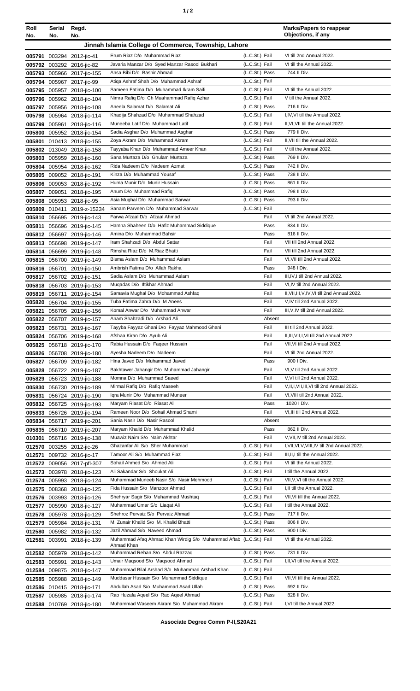| ٠ |  |  |
|---|--|--|
|---|--|--|

| Roll<br>No.      | Serial<br>No.                                        | Regd.<br>No.                                             |                                                                                 |                                  | <b>Marks/Papers to reappear</b><br>Objections, if any                       |
|------------------|------------------------------------------------------|----------------------------------------------------------|---------------------------------------------------------------------------------|----------------------------------|-----------------------------------------------------------------------------|
|                  | Jinnah Islamia College of Commerce, Township, Lahore |                                                          |                                                                                 |                                  |                                                                             |
|                  |                                                      |                                                          | Erum Riaz D/o Muhammad Riaz                                                     | (L.C.St.) Fail                   | VI till 2nd Annual 2022.                                                    |
|                  |                                                      | 005791 003294 2012-jic-41<br>005792 003292 2016-jic-82   | Javaria Manzar D/o Syed Manzar Rasool Bukhari                                   | (L.C.St.) Fail                   | VI till the Annual 2022.                                                    |
|                  |                                                      | 005793 005966 2017-jic-155                               | Ansa Bibi D/o Bashir Ahmad                                                      | (L.C.St.) Pass                   | 744 II Div.                                                                 |
|                  |                                                      | 005794 005967 2017-jic-99                                | Atiga Ashraf Shah D/o Muhammad Ashraf                                           | (L.C.St.) Fail                   |                                                                             |
|                  |                                                      | 005795 005957 2018-jic-100                               | Sameen Fatima D/o Muhammad Ikram Saifi                                          | (L.C.St.) Fail                   | VI till the Annual 2022.                                                    |
|                  |                                                      | 005796 005962 2018-jic-104                               | Nimra Rafiq D/o Ch Muahammad Rafiq Azhar                                        | (L.C.St.) Fail                   | V till the Annual 2022.                                                     |
|                  |                                                      | 005797 005956 2018-jic-108                               | Aneela Salamat D/o Salamat Ali                                                  | (L.C.St.) Pass                   | 716 II Div.                                                                 |
| 005798           |                                                      | 005964 2018-jic-114                                      | Khadija Shahzad D/o Muhammad Shahzad                                            | (L.C.St.) Fail                   | I, IV, VI till the Annual 2022.                                             |
| 005799           | 005961                                               | 2018-jic-116                                             | Muneeba Latif D/o Muhammad Latif<br>Sadia Asghar D/o Muhammad Asghar            | (L.C.St.) Fail<br>(L.C.St.) Pass | II, VI, VII till the Annual 2022.<br>779 II Div.                            |
| 005800<br>005801 |                                                      | 005952 2018-jic-154<br>010413 2018-jic-155               | Zoya Akram D/o Muhammad Akram                                                   | (L.C.St.) Fail                   | II, VII till the Annual 2022.                                               |
|                  |                                                      | 005802 013049 2018-jic-158                               | Tayyaba Khan D/o Muhammad Ameer Khan                                            | (L.C.St.) Fail                   | V till the Annual 2022.                                                     |
|                  |                                                      | 005803 005959 2018-jic-160                               | Sana Murtaza D/o Ghulam Murtaza                                                 | (L.C.St.) Pass                   | 769 II Div.                                                                 |
|                  |                                                      | 005804 005954 2018-jic-162                               | Rida Nadeem D/o Nadeem Azmat                                                    | (L.C.St.) Pass                   | 742 II Div.                                                                 |
|                  |                                                      | 005805 009052 2018-jic-191                               | Kinza D/o Muhammad Yousaf                                                       | (L.C.St.) Pass                   | 738 II Div.                                                                 |
| 005806           |                                                      | 009053 2018-jic-192                                      | Huma Munir D/o Munir Hussain                                                    | (L.C.St.) Pass                   | 861 II Div.                                                                 |
| 005807           | 009051                                               | 2018-jic-195                                             | Anum D/o Muhammad Rafiq                                                         | (L.C.St.) Pass                   | 798 II Div.                                                                 |
| 005808           |                                                      | 005953 2018-jic-95                                       | Asia Mughal D/o Muhammad Sarwar                                                 | (L.C.St.) Pass                   | 793 II Div.                                                                 |
| 005809           | 010411                                               | 2019-z-15234                                             | Sanam Parveen D/o Muhammad Sarwar                                               | (L.C.St.) Fail                   |                                                                             |
|                  |                                                      | 005810 056695 2019-jic-143<br>005811 056696 2019-jic-145 | Farwa Afzaal D/o Afzaal Ahmad<br>Hamna Shaheen D/o Hafiz Muhammad Siddique      | Fail<br>Pass                     | VI till 2nd Annual 2022.<br>834 II Div.                                     |
|                  |                                                      | 005812 056697 2019-jic-146                               | Amina D/o Muhammad Bahsir                                                       | Pass                             | 816 II Div.                                                                 |
|                  |                                                      | 005813 056698 2019-jic-147                               | Iram Shahzadi D/o Abdul Sattar                                                  | Fail                             | VII till 2nd Annual 2022.                                                   |
|                  |                                                      | 005814 056699 2019-jic-148                               | Rimsha Riaz D/o M.Riaz Bhatti                                                   | Fail                             | VII till 2nd Annual 2022.                                                   |
|                  |                                                      | 005815 056700 2019-jic-149                               | Bisma Aslam D/o Muhammad Aslam                                                  | Fail                             | VI, VII till 2nd Annual 2022.                                               |
|                  |                                                      | 005816 056701 2019-jic-150                               | Ambrish Fatima D/o Allah Rakha                                                  | Pass                             | 948 I Div.                                                                  |
|                  |                                                      | 005817 056702 2019-jic-151                               | Sadia Aslam D/o Muhammad Aslam                                                  | Fail                             | III, IV, I till 2nd Annual 2022.                                            |
|                  |                                                      | 005818 056703 2019-jic-153                               | Mugadas D/o Iftikhar Ahmad                                                      | Fail                             | VI, IV till 2nd Annual 2022.                                                |
|                  |                                                      | 005819 056711 2019-jic-154                               | Samavia Mughal D/o Mohammad Ashfaq                                              | Fail                             | II, VII, III, V, IV, VI till 2nd Annual 2022.                               |
|                  |                                                      | 005820 056704 2019-jic-155                               | Tuba Fatima Zahra D/o M Anees<br>Komal Anwar D/o Muhammad Anwar                 | Fail<br>Fail                     | V, IV till 2nd Annual 2022.<br>III, V, IV till 2nd Annual 2022.             |
| 005821<br>005822 |                                                      | 056705 2019-jic-156<br>056707 2019-jic-157               | Anam Shahzadi D/o Arshad Ali                                                    | Absent                           |                                                                             |
|                  |                                                      | 005823 056731 2019-jic-167                               | Tayyba Fayyaz Ghani D/o Fayyaz Mahmood Ghani                                    | Fail                             | III till 2nd Annual 2022.                                                   |
|                  |                                                      | 005824 056706 2019-jic-168                               | Afshaa Kiran D/o Ayub Ali                                                       | Fail                             | II, III, VII, I, VI till 2nd Annual 2022.                                   |
|                  |                                                      | 005825 056718 2019-jic-170                               | Rabia Hussain D/o Faqeer Hussain                                                | Fail                             | VII, VI till 2nd Annual 2022.                                               |
|                  |                                                      | 005826 056708 2019-jic-180                               | Ayesha Nadeem D/o Nadeem                                                        | Fail                             | VI till 2nd Annual 2022.                                                    |
|                  |                                                      | 005827 056709 2019-jic-182                               | Hina Javed D/o Muhammad Javed                                                   | Pass                             | 900 I Div.                                                                  |
|                  |                                                      | 005828 056722 2019-jic-187                               | Bakhtawer Jahangir D/o Muhammad Jahangir                                        | Fail                             | VI, V till 2nd Annual 2022.                                                 |
| 005829           |                                                      | 056723 2019-jic-188                                      | Momna D/o Muhammad Saeed<br>Mirmal Rafiq D/o Rafiq Maseeh                       | Fail<br>Fail                     | V, VI till 2nd Annual 2022.<br>V, II, I, VII, III, VI till 2nd Annual 2022. |
| 005830<br>005831 |                                                      | 056730 2019-jic-189<br>056724 2019-jic-190               | Igra Munir D/o Muhammad Muneer                                                  | Fail                             | VI, VIII till 2nd Annual 2022.                                              |
|                  |                                                      | 005832 056725 2019-jic-193                               | Maryam Riasat D/o Riasat Ali                                                    | Pass                             | 1020 I Div.                                                                 |
|                  |                                                      | 005833 056726 2019-jic-194                               | Rameen Noor D/o Sohail Ahmad Shami                                              | Fail                             | VI, III till 2nd Annual 2022.                                               |
|                  |                                                      | 005834 056717 2019-jic-201                               | Sania Nasir D/o Nasir Rasool                                                    | Absent                           |                                                                             |
|                  |                                                      | 005835 056710 2019-jic-207                               | Maryam Khalid D/o Muhammad Khalid                                               | Pass                             | 862 II Div.                                                                 |
| 010301           |                                                      | 056716 2019-jic-138                                      | Muawiz Naim S/o Naim Akhtar                                                     | Fail                             | V, VII, IV till 2nd Annual 2022.                                            |
|                  |                                                      | 012570 003255 2012-jic-26                                | Ghazanfar Ali S/o Sher Muhammad                                                 | (L.C.St.) Fail                   | I, VII, VI, V, VIII, IV till 2nd Annual 2022.                               |
| 012571           |                                                      | 009732 2016-jic-17                                       | Tamoor Ali S/o Muhammad Fiaz                                                    | (L.C.St.) Fail                   | III, II, I till the Annual 2022.                                            |
|                  |                                                      | 012572 009056 2017-pfl-307                               | Sohail Ahmed S/o Ahmed Ali<br>Ali Sakandar S/o Shoukat Ali                      | (L.C.St.) Fail<br>(L.C.St.) Fail | VI till the Annual 2022.<br>I till the Annual 2022.                         |
|                  |                                                      | 012573 003978 2018-jic-123<br>012574 005993 2018-jic-124 | Muhammad Muneeb Nasir S/o Nasir Mehmood                                         | (L.C.St.) Fail                   | VII, V, VI till the Annual 2022.                                            |
|                  |                                                      | 012575 008368 2018-jic-125                               | Fida Hussain S/o Manzoor Ahmad                                                  | (L.C.St.) Fail                   | I, II till the Annual 2022.                                                 |
|                  |                                                      | 012576 003993 2018-jic-126                               | Shehryar Sagir S/o Muhammad Mushtaq                                             | (L.C.St.) Fail                   | VII, VI till the Annual 2022.                                               |
|                  |                                                      | 012577 005990 2018-jic-127                               | Muhammad Umar S/o Liaqat Ali                                                    | (L.C.St.) Fail                   | I till the Annual 2022.                                                     |
|                  |                                                      | 012578 005978 2018-jic-129                               | Shehroz Pervaiz S/o Pervaiz Ahmad                                               | (L.C.St.) Pass                   | 717 II Div.                                                                 |
| 012579           |                                                      | 005984 2018-jic-131                                      | M. Zunair Khalid S/o M. Khalid Bhatti                                           | (L.C.St.) Pass                   | 806 II Div.                                                                 |
| 012580           |                                                      | 005982 2018-jic-132                                      | Jazil Ahmad S/o Naveed Ahmad                                                    | (L.C.St.) Pass                   | 900 I Div.                                                                  |
| 012581           | 003991                                               | 2018-jic-139                                             | Muhammad Afaq Ahmad Khan Wirdig S/o Muhammad Aftab (L.C.St.) Fail<br>Ahmad Khan |                                  | VI till the Annual 2022.                                                    |
|                  |                                                      | 012582 005979 2018-jic-142                               | Muhammad Rehan S/o Abdul Razzaq                                                 | (L.C.St.) Pass                   | 731 II Div.                                                                 |
| 012583           | 005991                                               | 2018-jic-143                                             | Umair Magsood S/o Magsood Ahmad                                                 | (L.C.St.) Fail                   | I, II, VI till the Annual 2022.                                             |
| 012584           |                                                      | 009875 2018-jic-147                                      | Muhammad Bilal Arshad S/o Muhammad Arshad Khan                                  | (L.C.St.) Fail                   |                                                                             |
|                  |                                                      | 012585 005988 2018-jic-149                               | Muddasar Hussain S/o Muhammad Siddique                                          | (L.C.St.) Fail                   | VII, VI till the Annual 2022.                                               |
|                  |                                                      | 012586 010415 2018-jic-171                               | Abdullah Asad S/o Muhammad Asad Ullah                                           | (L.C.St.) Pass                   | 692 II Div.                                                                 |
|                  |                                                      | 012587 005985 2018-jic-174                               | Rao Huzafa Aqeel S/o Rao Aqeel Ahmad                                            | (L.C.St.) Pass                   | 828 II Div.                                                                 |
|                  |                                                      | 012588 010769 2018-jic-180                               | Muhammad Waseem Akram S/o Muhammad Akram                                        | (L.C.St.) Fail                   | I, VI till the Annual 2022.                                                 |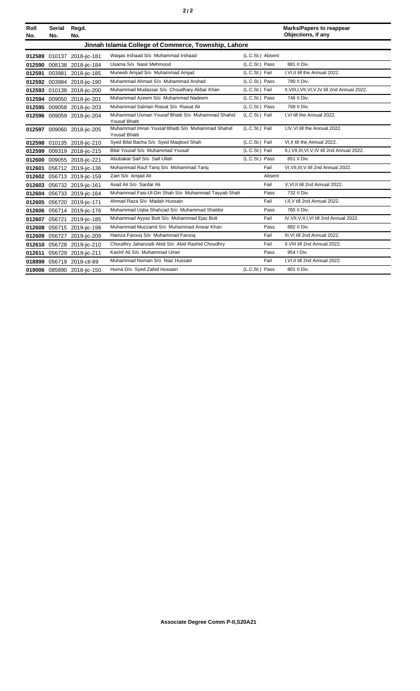|--|--|--|

| Roll<br>No. | <b>Serial</b><br>No.                                 | Regd.<br>No.               |                                                                          |                  |        | <b>Marks/Papers to reappear</b><br>Objections, if any |  |
|-------------|------------------------------------------------------|----------------------------|--------------------------------------------------------------------------|------------------|--------|-------------------------------------------------------|--|
|             | Jinnah Islamia College of Commerce, Township, Lahore |                            |                                                                          |                  |        |                                                       |  |
|             |                                                      | 012589 010137 2018-jic-181 | Waqas Irshaad S/o Muhammad Irshaad                                       | (L.C.St.) Absent |        |                                                       |  |
|             |                                                      | 012590 008138 2018-jic-184 | Usama S/o Nasir Mehmood                                                  | (L.C.St.) Pass   |        | 881 II Div.                                           |  |
|             |                                                      | 012591 003981 2018-jic-185 | Muneeb Amjad S/o Muhammad Amjad                                          | (L.C.St.) Fail   |        | I.VI.II till the Annual 2022.                         |  |
|             |                                                      | 012592 003984 2018-jic-190 | Muhammad Ahmad S/o Muhammad Arshad                                       | (L.C.St.) Pass   |        | 790 II Div.                                           |  |
|             |                                                      | 012593 010138 2018-jic-200 | Muhammad Mudassar S/o Choudhary Akbar Khan                               | (L.C.St.) Fail   |        | II, VIII, I, VII, VI, V, IV till 2nd Annual 2022.     |  |
|             |                                                      | 012594 009050 2018-jic-201 | Muhammad Azeem S/o Muhammad Nadeem                                       | (L.C.St.) Pass   |        | 746 II Div.                                           |  |
|             |                                                      | 012595 009058 2018-jic-203 | Muhammad Salman Riasat S/o Riasat Ali                                    | (L.C.St.) Pass   |        | 768 II Div.                                           |  |
|             |                                                      | 012596 009059 2018-jic-204 | Muhammad Usman Yousaf Bhatti S/o Muhammad Shahid<br><b>Yousaf Bhatti</b> | (L.C.St.) Fail   |        | I.VI till the Annual 2022.                            |  |
|             |                                                      | 012597 009060 2018-jic-205 | Muhammad Imran Yousaf Bhatti S/o Muhammad Shahid<br><b>Yousaf Bhatti</b> | (L.C.St.) Fail   |        | I, IV, VI till the Annual 2022.                       |  |
|             |                                                      | 012598 010135 2018-jic-210 | Syed Bilal Bacha S/o Syed Maqbool Shah                                   | (L.C.St.) Fail   |        | VI.II till the Annual 2022.                           |  |
|             |                                                      | 012599 009319 2018-jic-215 | Bilal Yousaf S/o Muhammad Yousaf                                         | (L.C.St.) Fail   |        | II, I, VII, III, VI, V, IV till 2nd Annual 2022.      |  |
|             |                                                      | 012600 009055 2018-jic-221 | Abubakar Saif S/o Saif Ullah                                             | (L.C.St.) Pass   |        | 851 II Div.                                           |  |
|             |                                                      | 012601 056712 2019-jic-136 | Mohammad Rauf Tariq S/o Mohammad Tariq                                   |                  | Fail   | VI, VII, III, V till 2nd Annual 2022.                 |  |
|             |                                                      | 012602 056713 2019-jic-159 | Zain S/o Amjad Ali                                                       |                  | Absent |                                                       |  |
|             |                                                      | 012603 056732 2019-jic-161 | Asad Ali S/o Sardar Ali                                                  |                  | Fail   | V.VI.II till 2nd Annual 2022.                         |  |
|             |                                                      | 012604 056733 2019-jic-164 | Muhammad Fasi-Ul-Din Shah S/o Muhammad Tayyab Shah                       |                  | Pass   | 732 II Div.                                           |  |
|             |                                                      | 012605 056720 2019-jic-171 | Ahmad Raza S/o Madah Hussain                                             |                  | Fail   | I.II.V till 2nd Annual 2022.                          |  |
|             |                                                      | 012606 056714 2019-jic-176 | Muhammad Uqba Shahzad S/o Muhammad Shabbir                               |                  | Pass   | 765 II Div.                                           |  |
|             |                                                      | 012607 056721 2019-jic-185 | Muhammad Ayyaz Butt S/o Muhammad Ejaz Butt                               |                  | Fail   | IV, VII, V, II, I, VI till 2nd Annual 2022.           |  |
|             |                                                      | 012608 056715 2019-jic-198 | Muhammad Muzzamil S/o Muhammad Anwar Khan                                |                  | Pass   | 882 II Div.                                           |  |
|             |                                                      | 012609 056727 2019-jic-209 | Hamza Faroog S/o Muhammad Faroog                                         |                  | Fail   | III, VI till 2nd Annual 2022.                         |  |
|             |                                                      | 012610 056728 2019-jic-210 | Choudhry Jahanzaib Abid S/o Abid Rashid Choudhry                         |                  | Fail   | II, VIII till 2nd Annual 2022.                        |  |
|             |                                                      | 012611 056729 2019-jic-211 | Kashif Ali S/o Muhammad Umer                                             |                  | Pass   | 954 I Div.                                            |  |
|             |                                                      | 018899 056719 2018-ctl-89  | Muhammad Noman S/o Niaz Hussain                                          |                  | Fail   | I, VI, II till 2nd Annual 2022.                       |  |
|             |                                                      | 019006 085890 2018-jic-150 | Huma D/o Syed Zahid Hussain                                              | (L.C.St.) Pass   |        | 801 II Div.                                           |  |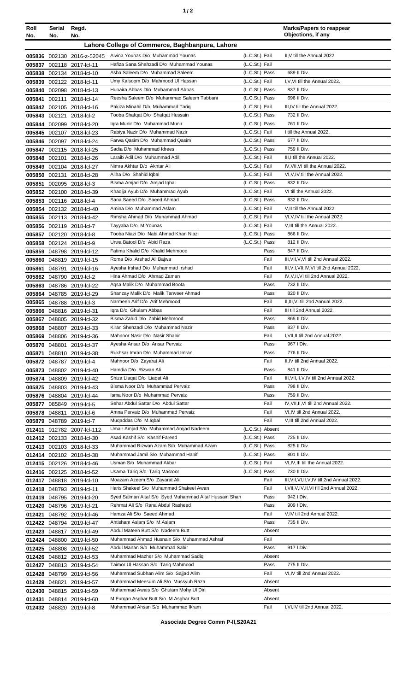| Roll<br>No.      | Serial<br>No. | Regd.<br>No.                                           |                                                                              |                                  |                | <b>Marks/Papers to reappear</b><br>Objections, if any           |
|------------------|---------------|--------------------------------------------------------|------------------------------------------------------------------------------|----------------------------------|----------------|-----------------------------------------------------------------|
|                  |               |                                                        | Lahore College of Commerce, Baghbanpura, Lahore                              |                                  |                |                                                                 |
|                  |               | 005836 002130 2016-z-52045                             | Alvina Younas D/o Muhammad Younas                                            | (L.C.St.) Fail                   |                | II, V till the Annual 2022.                                     |
|                  |               | 005837 002118 2017-lcl-11                              | Hafiza Sana Shahzadi D/o Muhammad Younas                                     | (L.C.St.) Fail                   |                |                                                                 |
| 005838           |               | 002134 2018-lcl-10                                     | Asba Saleem D/o Muhammad Saleem                                              | (L.C.St.) Pass                   |                | 689 II Div.                                                     |
| 005839           |               | 002122 2018-lcl-11                                     | Umy Kalsoom D/o Mahmood UI Hassan                                            | (L.C.St.) Fail                   |                | I, V, VI till the Annual 2022.                                  |
| 005840           |               | 002098 2018-lcl-13                                     | Hunaira Abbas D/o Muhammad Abbas                                             | (L.C.St.) Pass                   |                | 837 II Div.                                                     |
| 005841           |               | 002111 2018-lcl-14                                     | Reesha Saleem D/o Muhammad Saleem Tabbani                                    | (L.C.St.) Pass                   |                | 696 II Div.                                                     |
| 005842           |               | 002105 2018-lcl-16                                     | Pakiza Minahil D/o Muhammad Tariq<br>Tooba Shafqat D/o Shafqat Hussain       | (L.C.St.) Fail<br>(L.C.St.) Pass |                | III, IV till the Annual 2022.<br>732 II Div.                    |
|                  |               | 005843 002121 2018-lcl-2<br>005844 002099 2018-lcl-20  | Igra Munir D/o Muhammad Munir                                                | (L.C.St.) Pass                   |                | 761 II Div.                                                     |
| 005845           |               | 002107 2018-lcl-23                                     | Rabiya Nazir D/o Muhammad Nazir                                              | (L.C.St.) Fail                   |                | I till the Annual 2022.                                         |
| 005846           |               | 002097 2018-lcl-24                                     | Farwa Qasim D/o Muhammad Qasim                                               | (L.C.St.) Pass                   |                | 677 II Div.                                                     |
| 005847           |               | 002115 2018-lcl-25                                     | Sadia D/o Muhammad Idrees                                                    | (L.C.St.) Pass                   |                | 759 II Div.                                                     |
| 005848           |               | 002101 2018-lcl-26                                     | Laraib Adil D/o Muhammad Adil                                                | (L.C.St.) Fail                   |                | III, I till the Annual 2022.                                    |
| 005849           |               | 002104 2018-lcl-27                                     | Nimra Akhtar D/o Akhtar Ali                                                  | (L.C.St.) Fail                   |                | IV.VII.VI till the Annual 2022.                                 |
| 005850           |               | 002131 2018-lcl-28                                     | Aliha D/o Shahid Iqbal                                                       | (L.C.St.) Fail                   |                | VI, V, IV till the Annual 2022.                                 |
| 005851           |               | 002095 2018-lcl-3                                      | Bisma Amjad D/o Amjad Iqbal                                                  | (L.C.St.) Pass                   |                | 832 II Div.                                                     |
|                  |               | 005852 002100 2018-lcl-39                              | Khadija Ayub D/o Muhammad Ayub                                               | (L.C.St.) Fail                   |                | VI till the Annual 2022.                                        |
| 005853           |               | 002116 2018-lcl-4                                      | Sana Saeed D/o Saeed Ahmad                                                   | (L.C.St.) Pass                   |                | 832 II Div.                                                     |
| 005854           |               | 002132 2018-lcl-40                                     | Amina D/o Muhammad Aslam                                                     | (L.C.St.) Fail                   |                | V.II till the Annual 2022.                                      |
| 005855           |               | 002113 2018-lcl-42                                     | Rimsha Ahmad D/o Muhammad Ahmad                                              | (L.C.St.) Fail<br>(L.C.St.) Fail |                | VI, V, IV till the Annual 2022.<br>V, III till the Annual 2022. |
| 005856<br>005857 |               | 002119 2018-lcl-7<br>002120 2018-lcl-8                 | Tayyaba D/o M.Younas<br>Tooba Niazi D/o Nabi Ahmad Khan Niazi                | (L.C.St.) Pass                   |                | 866 II Div.                                                     |
| 005858           |               | 002124 2018-lcl-9                                      | Urwa Batool D/o Abid Raza                                                    | (L.C.St.) Pass                   |                | 812 II Div.                                                     |
| 005859           |               | 048798 2019-lcl-12                                     | Fatima Khalid D/o Khalid Mehmood                                             |                                  | Pass           | 847 II Div.                                                     |
|                  |               | 005860 048819 2019-lcl-15                              | Roma D/o Arshad Ali Bajwa                                                    |                                  | Fail           | III, VII, V, VI till 2nd Annual 2022.                           |
| 005861           |               | 048791 2019-lcl-16                                     | Ayesha Irshad D/o Muhammad Irshad                                            |                                  | Fail           | III, V, I, VII, IV, VI till 2nd Annual 2022.                    |
|                  |               | 005862 048790 2019-lcl-2                               | Hina Ahmad D/o Ahmad Zaman                                                   |                                  | Fail           | IV, V, II, VI till 2nd Annual 2022.                             |
|                  |               | 005863 048786 2019-lcl-22                              | Aqsa Malik D/o Muhammad Boota                                                |                                  | Pass           | 732 II Div.                                                     |
|                  |               | 005864 048785 2019-lcl-29                              | Shanzay Malik D/o Malik Tanveer Ahmad                                        |                                  | Pass           | 820 II Div.                                                     |
|                  |               | 005865 048788 2019-lcl-3                               | Narmeen Arif D/o Arif Mehmood                                                |                                  | Fail           | II, III, VI till 2nd Annual 2022.                               |
|                  |               | 005866 048816 2019-lcl-31                              | Igra D/o Ghulam Abbas                                                        |                                  | Fail           | III till 2nd Annual 2022.                                       |
|                  |               | 005867 048805 2019-lcl-32                              | Bisma Zahid D/o Zahid Mehmood                                                |                                  | Pass           | 865 II Div.                                                     |
|                  | 005868 048807 | 2019-lcl-33                                            | Kiran Shehzadi D/o Muhammad Nazir                                            |                                  | Pass           | 837 II Div.                                                     |
|                  |               | 005869 048806 2019-lcl-36                              | Mahnoor Nasir D/o Nasir Shabir                                               |                                  | Fail           | I, VII, II till 2nd Annual 2022.                                |
|                  |               | 005870 048801 2019-lcl-37                              | Ayesha Ansar D/o Ansar Pervaiz<br>Rukhsar Imran D/o Muhammad Imran           |                                  | Pass<br>Pass   | 967 I Div.<br>776 II Div.                                       |
|                  |               | 005871 048810 2019-lcl-38<br>005872 048787 2019-lcl-4  | Mahnoor D/o Zayarat Ali                                                      |                                  | Fail           | II,IV till 2nd Annual 2022.                                     |
|                  |               | 005873 048802 2019-lcl-40                              | Hamdia D/o Rizwan Ali                                                        |                                  | Pass           | 841 II Div.                                                     |
|                  |               | 005874 048809 2019-Icl-42                              | Shiza Liaqat D/o Liaqat Ali                                                  |                                  | Fail           | III, VII, II, V, IV till 2nd Annual 2022.                       |
|                  |               | 005875 048803 2019-lcl-43                              | Bisma Noor D/o Muhammad Pervaiz                                              |                                  | Pass           | 798 II Div.                                                     |
|                  |               | 005876 048804 2019-lcl-44                              | Isma Noor D/o Muhammad Pervaiz                                               |                                  | Pass           | 759 II Div.                                                     |
|                  |               | 005877 085849 2019-lcl-5                               | Sehar Abdul Sattar D/o Abdul Sattar                                          |                                  | Fail           | IV, VII, II, VI till 2nd Annual 2022.                           |
|                  |               | 005878 048811 2019-lcl-6                               | Amna Pervaiz D/o Muhammad Pervaiz                                            |                                  | Fail           | VI, IV till 2nd Annual 2022.                                    |
|                  |               | 005879 048789 2019-lcl-7                               | Mugaddas D/o M.Iqbal                                                         |                                  | Fail           | V, III till 2nd Annual 2022.                                    |
|                  |               | 012411 012782 2007-lcl-112                             | Umair Amjad S/o Muhammad Amjad Nadeem                                        | (L.C.St.) Absent                 |                |                                                                 |
|                  |               | 012412 002133 2018-lcl-30                              | Asad Kashif S/o Kashif Fareed<br>Muhammad Rizwan Azam S/o Muhammad Azam      | (L.C.St.) Pass                   |                | 725 II Div.                                                     |
|                  |               | 012413 002103 2018-lcl-33                              | Muhammad Jamil S/o Muhammad Hanif                                            | (L.C.St.) Pass                   |                | 825 II Div.<br>801 II Div.                                      |
|                  |               | 012414 002102 2018-lcl-38                              | Usman S/o Muhammad Akbar                                                     | (L.C.St.) Pass<br>(L.C.St.) Fail |                | VI, IV, III till the Annual 2022.                               |
|                  |               | 012415 002126 2018-lcl-46<br>012416 002125 2018-lcl-52 | Usama Tariq S/o Tariq Masroor                                                | (L.C.St.) Pass                   |                | 730 II Div.                                                     |
|                  |               | 012417 048818 2019-lcl-10                              | Moazam Azeem S/o Zayarat Ali                                                 |                                  | Fail           | III, VII, VI, II, V, IV till 2nd Annual 2022.                   |
|                  |               | 012418 048793 2019-lcl-11                              | Haris Shakeel S/o Muhammad Shakeel Awan                                      |                                  | Fail           | I, VII, V, IV, II, VI till 2nd Annual 2022.                     |
|                  |               | 012419 048795 2019-lcl-20                              | Syed Salman Altaf S/o Syed Muhammad Altaf Hussain Shah                       |                                  | Pass           | 942   Div.                                                      |
|                  |               | 012420 048796 2019-lcl-21                              | Rehmat Ali S/o Rana Abdul Rasheed                                            |                                  | Pass           | 909 I Div.                                                      |
|                  |               | 012421 048792 2019-Icl-46                              | Hamza Ali S/o Saeed Ahmad                                                    |                                  | Fail           | V,IV till 2nd Annual 2022.                                      |
|                  |               | 012422 048794 2019-lcl-47                              | Ahtisham Aslam S/o M.Aslam                                                   |                                  | Pass           | 735 II Div.                                                     |
|                  |               | 012423 048817 2019-lcl-49                              | Abdul Mateen Butt S/o Nadeem Butt                                            |                                  | Absent         |                                                                 |
|                  |               | 012424 048800 2019-lcl-50                              | Muhammad Ahmad Husnain S/o Muhammad Ashraf                                   |                                  | Fail           |                                                                 |
|                  |               | 012425 048808 2019-lcl-52                              | Abdul Manan S/o Muhammad Sabir                                               |                                  | Pass           | 917   Div.                                                      |
|                  |               | 012426 048812 2019-lcl-53                              | Muhammad Mazher S/o Muhammad Sadiq                                           |                                  | Absent         |                                                                 |
|                  |               | 012427 048813 2019-Icl-54                              | Taimor UI Hassan S/o Tariq Mahmood                                           |                                  | Pass           | 775 II Div.                                                     |
|                  |               | 012428 048799 2019-lcl-56                              | Muhammad Subhan Alim S/o Sajjad Alim<br>Muhammad Meesum Ali S/o Mussyub Raza |                                  | Fail<br>Absent | VI,IV till 2nd Annual 2022.                                     |
|                  |               | 012429 048821 2019-lcl-57<br>012430 048815 2019-Icl-59 | Muhammad Awais S/o Ghulam Mohy Ul Din                                        |                                  | Absent         |                                                                 |
|                  |               | 012431 048814 2019-Icl-60                              | M Furgan Asghar Butt S/o M.Asghar Butt                                       |                                  | Absent         |                                                                 |
|                  |               | 012432 048820 2019-lcl-8                               | Muhammad Ahsan S/o Muhammad Ikram                                            |                                  | Fail           | I, VI, IV till 2nd Annual 2022.                                 |
|                  |               |                                                        |                                                                              |                                  |                |                                                                 |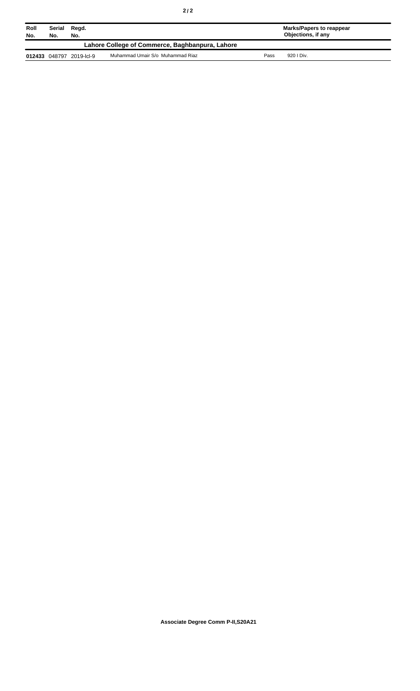| Roll<br>No. | Serial<br>Regd.<br>No.<br>No. |                          |                                                 |      | Marks/Papers to reappear<br><b>Objections, if any</b> |
|-------------|-------------------------------|--------------------------|-------------------------------------------------|------|-------------------------------------------------------|
|             |                               |                          | Lahore College of Commerce, Baghbanpura, Lahore |      |                                                       |
|             |                               | 012433 048797 2019-lcl-9 | Muhammad Umair S/o Muhammad Riaz                | Pass | 920   Div.                                            |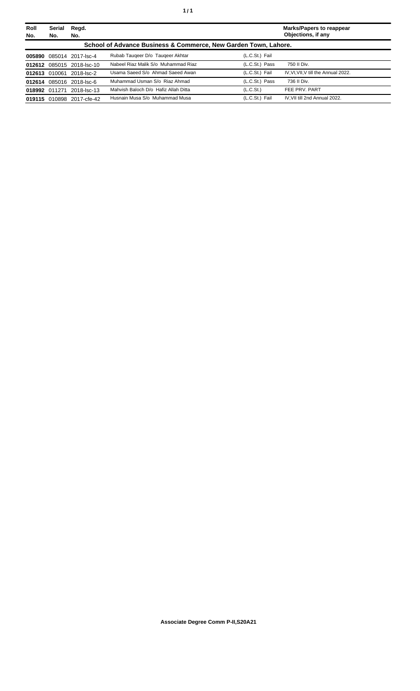| Roll<br>No. | <b>Serial</b><br>No.                                            | Regd.<br>No.              |                                      |                | Marks/Papers to reappear<br>Objections, if any |  |
|-------------|-----------------------------------------------------------------|---------------------------|--------------------------------------|----------------|------------------------------------------------|--|
|             | School of Advance Business & Commerce, New Garden Town, Lahore. |                           |                                      |                |                                                |  |
| 005890      |                                                                 | 085014 2017-lsc-4         | Rubab Taugeer D/o Taugeer Akhtar     | (L.C.St.) Fail |                                                |  |
|             |                                                                 | 012612 085015 2018-lsc-10 | Nabeel Riaz Malik S/o Muhammad Riaz  | (L.C.St.) Pass | 750 II Div.                                    |  |
|             |                                                                 | 012613 010061 2018-lsc-2  | Usama Saeed S/o Ahmad Saeed Awan     | (L.C.St.) Fail | IV, VI, VII, V till the Annual 2022.           |  |
|             |                                                                 | 012614 085016 2018-lsc-6  | Muhammad Usman S/o Riaz Ahmad        | (L.C.St.) Pass | 736 II Div.                                    |  |
|             | 018992 011271                                                   | 2018-lsc-13               | Mahvish Baloch D/o Hafiz Allah Ditta | (L.C.St.)      | FEE PRV, PART                                  |  |
|             | 019115 010898                                                   | 2017-cfe-42               | Husnain Musa S/o Muhammad Musa       | (L.C.St.) Fail | IV.VII till 2nd Annual 2022.                   |  |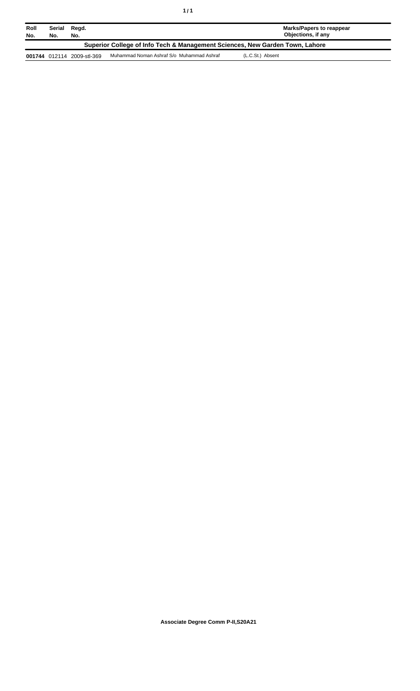| Roll<br>No.                                                                  | Serial<br>No. | Regd.<br>No.               |                                           | Marks/Papers to reappear<br>Objections, if any |  |
|------------------------------------------------------------------------------|---------------|----------------------------|-------------------------------------------|------------------------------------------------|--|
| Superior College of Info Tech & Management Sciences, New Garden Town, Lahore |               |                            |                                           |                                                |  |
|                                                                              |               | 001744 012114 2009-stl-369 | Muhammad Noman Ashraf S/o Muhammad Ashraf | (L.C.St.) Absent                               |  |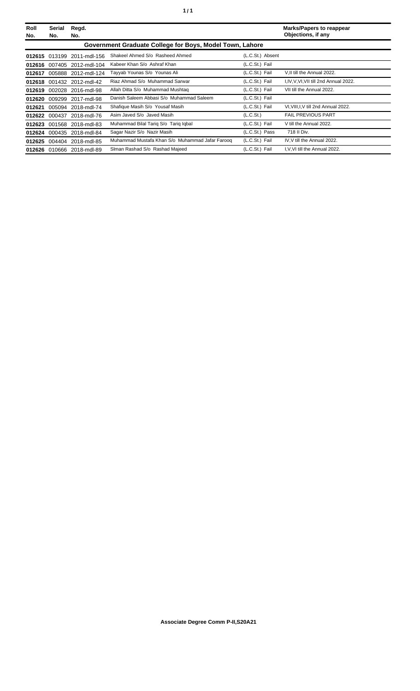| Roll<br>No. | <b>Serial</b><br>No.                                     | Regd.<br>No.               |                                                 |                       | <b>Marks/Papers to reappear</b><br>Objections, if any |  |  |
|-------------|----------------------------------------------------------|----------------------------|-------------------------------------------------|-----------------------|-------------------------------------------------------|--|--|
|             | Government Graduate College for Boys, Model Town, Lahore |                            |                                                 |                       |                                                       |  |  |
|             |                                                          | 012615 013199 2011-mdl-156 | Shakeel Ahmed S/o Rasheed Ahmed                 | (L.C.St.) Absent      |                                                       |  |  |
|             |                                                          | 012616 007405 2012-mdl-104 | Kabeer Khan S/o Ashraf Khan                     | (L.C.St.) Fail        |                                                       |  |  |
| 012617      |                                                          | 005888 2012-mdl-124        | Tayyab Younas S/o Younas Ali                    | (L.C.St.) Fail        | V, II till the Annual 2022.                           |  |  |
|             |                                                          | 012618 001432 2012-mdl-42  | Riaz Ahmad S/o Muhammad Sarwar                  | (L.C.St.) Fail        | I, IV, V, VI, VII till 2nd Annual 2022.               |  |  |
| 012619      |                                                          | 002028 2016-mdl-98         | Allah Ditta S/o Muhammad Mushtag                | (L.C.St.) Fail        | VII till the Annual 2022.                             |  |  |
| 012620      |                                                          | 009299 2017-mdl-98         | Danish Saleem Abbasi S/o Muhammad Saleem        | (L.C.St.) Fail        |                                                       |  |  |
| 012621      |                                                          | 005094 2018-mdl-74         | Shafique Masih S/o Yousaf Masih                 | (L.C.St.) Fail        | VI, VIII, I, V till 2nd Annual 2022.                  |  |  |
|             |                                                          | 012622 000437 2018-mdl-76  | Asim Javed S/o Javed Masih                      | (L.C.S <sub>t</sub> ) | <b>FAIL PREVIOUS PART</b>                             |  |  |
| 012623      |                                                          | 001568 2018-mdl-83         | Muhammad Bilal Tariq S/o Tariq Iqbal            | (L.C.St.) Fail        | V till the Annual 2022.                               |  |  |
| 012624      |                                                          | 000435 2018-mdl-84         | Sagar Nazir S/o Nazir Masih                     | (L.C.St.) Pass        | 718 II Div.                                           |  |  |
|             |                                                          | 012625 004404 2018-mdl-85  | Muhammad Mustafa Khan S/o Muhammad Jafar Farooq | (L.C.St.) Fail        | IV, V till the Annual 2022.                           |  |  |
|             |                                                          | 012626 010666 2018-mdl-89  | Siman Rashad S/o Rashad Majeed                  | (L.C.St.) Fail        | I, V, VI till the Annual 2022.                        |  |  |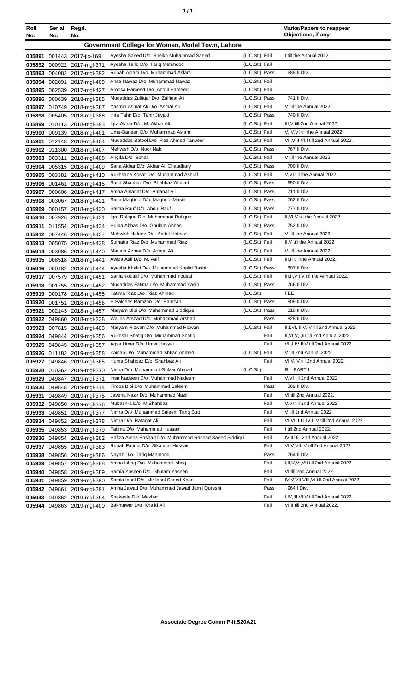| ٠ | ٠ |
|---|---|
|   |   |

| Roll<br>No. | <b>Serial</b><br>No.                             | Regd.<br>No.               |                                                                 |                       | <b>Marks/Papers to reappear</b><br>Objections, if any   |  |  |
|-------------|--------------------------------------------------|----------------------------|-----------------------------------------------------------------|-----------------------|---------------------------------------------------------|--|--|
|             | Government College for Women, Model Town, Lahore |                            |                                                                 |                       |                                                         |  |  |
| 005891      |                                                  | 001443 2017-jic-169        | Ayesha Saeed D/o Sheikh Muhammad Saeed                          | (L.C.St.) Fail        | I till the Annual 2022.                                 |  |  |
|             |                                                  | 005892 000922 2017-mgl-371 | Ayesha Tariq D/o Tariq Mehmood                                  | (L.C.St.) Fail        |                                                         |  |  |
| 005893      |                                                  | 004082 2017-mgl-392        | Rubab Aslam D/o Muhammad Aslam                                  | (L.C.St.) Pass        | 688 II Div.                                             |  |  |
| 005894      | 002091                                           | 2017-mgl-409               | Ansa Nawaz D/o Muhammad Nawaz                                   | (L.C.St.) Fail        |                                                         |  |  |
| 005895      | 002539                                           | 2017-mgl-427               | Aroosa Hameed D/o Abdul Hameed                                  | (L.C.St.) Fail        |                                                         |  |  |
| 005896      | 000639                                           | 2018-mgl-385               | Muqaddas Zulfiqar D/o Zulfiqar Ali                              | (L.C.St.) Pass        | 741 II Div.                                             |  |  |
| 005897      |                                                  | 010749 2018-mgl-387        | Yasmin Asmat Ali D/o Asmat Ali                                  | (L.C.St.) Fail        | V till the Annual 2022.                                 |  |  |
| 005898      |                                                  | 005405 2018-mgl-388        | Hira Tahir D/o Tahir Javaid                                     | (L.C.St.) Pass        | 740 II Div.                                             |  |  |
| 005899      |                                                  | 010113 2018-mgl-393        | Igra Akbar D/o M. Akbar Ali                                     | (L.C.St.) Fail        | III, V till 2nd Annual 2022.                            |  |  |
| 005900      |                                                  | 009139 2018-mgl-401        | Ume-Baneen D/o Muhammad Aslam                                   | (L.C.St.) Fail        | V, IV, VI till the Annual 2022.                         |  |  |
| 005901      |                                                  | 012148 2018-mgl-404        | Mugaddas Batool D/o Fiaz Ahmed Tanveer                          | (L.C.St.) Fail        | VII, V, II, VI, I till 2nd Annual 2022.                 |  |  |
| 005902      |                                                  | 011300 2018-mgl-407        | Mehwish D/o Noor Nabi                                           | (L.C.St.) Pass        | 767 II Div.                                             |  |  |
| 005903      | 003311                                           | 2018-mgl-408               | Angila D/o Sohail                                               | (L.C.St.) Fail        | V till the Annual 2022.                                 |  |  |
| 005904      |                                                  | 005315 2018-mgl-409        | Sana Akbar D/o Akbar Ali Chaudhary                              | (L.C.St.) Pass        | 700 II Div.                                             |  |  |
|             |                                                  | 005905 003382 2018-mgl-410 | Rukhsana Kosar D/o Muhammad Ashraf                              | (L.C.St.) Fail        | V, VI till the Annual 2022.                             |  |  |
|             |                                                  | 005906 001461 2018-mgl-415 | Sana Shahbaz D/o Shahbaz Ahmad                                  | (L.C.St.) Pass        | 690 II Div.                                             |  |  |
| 005907      |                                                  | 000606 2018-mgl-417        | Amna Amanat D/o Amanat Ali                                      | (L.C.St.) Pass        | 711 II Div.                                             |  |  |
| 005908      |                                                  | 003067 2018-mgl-421        | Sana Maqbool D/o Maqbool Masih                                  | (L.C.St.) Pass        | 762 II Div.                                             |  |  |
| 005909      |                                                  | 000157 2018-mgl-430        | Saima Rauf D/o Abdul Rauf                                       | (L.C.St.) Pass        | 777 II Div.                                             |  |  |
| 005910      |                                                  | 007926 2018-mgl-431        | Igra Rafique D/o Muhammad Rafique                               | (L.C.St.) Fail        | II, VI, V till the Annual 2022.                         |  |  |
| 005911      |                                                  | 011554 2018-mgl-434        | Huma Abbas D/o Ghulam Abbas                                     | (L.C.St.) Pass        | 752 II Div.                                             |  |  |
|             |                                                  | 005912 007446 2018-mgl-437 | Mehwish Hafeez D/o Abdul Hafeez                                 | (L.C.St.) Fail        | V till the Annual 2022.                                 |  |  |
|             |                                                  | 005913 005075 2018-mgl-438 | Sumaira Riaz D/o Muhammad Riaz                                  | (L.C.St.) Fail        | II, V till the Annual 2022.                             |  |  |
|             |                                                  | 005914 003086 2018-mgl-440 | Mariam Azmat D/o Azmat Ali                                      | (L.C.St.) Fail        | V till the Annual 2022.                                 |  |  |
|             |                                                  | 005915 008518 2018-mgl-441 | Awiza Asif D/o M. Asif                                          | (L.C.St.) Fail        | III, II till the Annual 2022.                           |  |  |
|             |                                                  | 005916 000482 2018-mgl-444 | Ayesha Khalid D/o Muhammad Khalid Bashir                        | (L.C.St.) Pass        | 807 II Div.                                             |  |  |
|             |                                                  | 005917 007579 2018-mgl-451 | Sania Yousaf D/o Muhammad Yousaf                                | (L.C.St.) Fail        | III, II, VII, V till the Annual 2022.                   |  |  |
| 005918      |                                                  | 001755 2018-mgl-452        | Muqaddas Fatima D/o Muhammad Yasin                              | (L.C.St.) Pass        | 766 II Div.                                             |  |  |
| 005919      |                                                  | 000178 2018-mgl-455        | Fatima Riaz D/o Riaz Ahmad                                      | (L.C.S <sub>t</sub> ) | <b>FEE</b>                                              |  |  |
| 005920      | 001751                                           | 2018-mgl-456               | H.Balgees Ramzan D/o Ramzan                                     | (L.C.St.) Pass        | 809 II Div.                                             |  |  |
| 005921      |                                                  | 002143 2018-mgl-457        | Maryam Bibi D/o Muhammad Siddique                               | (L.C.St.) Pass        | 818 II Div.                                             |  |  |
|             |                                                  | 005922 049860 2018-mgl-238 | Wajiha Arshad D/o Muhammad Arshad                               | Pass                  | 828 II Div.                                             |  |  |
|             |                                                  | 005923 007815 2018-mgl-403 | Maryam Rizwan D/o Muhammad Rizwan                               | (L.C.St.) Fail        | II, I, VI, III, V, IV till 2nd Annual 2022.             |  |  |
|             |                                                  | 005924 049844 2019-mgl-356 | Rukhsar Shafiq D/o Muhammad Shafiq                              | Fail                  | II, VI, V, I, III till 2nd Annual 2022.                 |  |  |
|             |                                                  | 005925 049845 2019-mgl-357 | Agsa Umer D/o Umer Hayyat                                       | Fail                  | VII, I, IV, II, V till 2nd Annual 2022.                 |  |  |
|             |                                                  | 005926 011182 2019-mgl-358 | Zainab D/o Muhammad Ishtiaq Ahmed                               | (L.C.St.) Fail        | V till 2nd Annual 2022.                                 |  |  |
| 005927      |                                                  | 049846 2019-mgl-365        | Huma Shahbaz D/o Shahbaz Ali<br>Nimra D/o Mohammad Gulzar Ahmad | Fail                  | VI, V, IV till 2nd Annual 2022.                         |  |  |
| 005928      |                                                  | 010362 2019-mgl-370        |                                                                 | (L.C.St.)             | R.L PART-I                                              |  |  |
| 005929      |                                                  | 049847 2019-mgl-371        | Insa Nadeem D/o Muhammad Nadeem                                 | Fail                  | V, VI till 2nd Annual 2022.                             |  |  |
| 005930      |                                                  | 049848 2019-mgl-374        | Firdos Bibi D/o Muhammad Saleem                                 | Pass                  | 869 II Div.                                             |  |  |
| 005931      |                                                  | 049849 2019-mgl-375        | Javeria Nazir D/o Muhammad Nazir<br>Mubashra D/o M.Shahbaz      | Fail<br>Fail          | VI till 2nd Annual 2022.<br>V, VI till 2nd Annual 2022. |  |  |
|             |                                                  | 005932 049850 2019-mgl-376 | Nimra D/o Muhammad Saleem Tariq Butt                            | Fail                  | V till 2nd Annual 2022.                                 |  |  |
| 005933      | 049851                                           | 2019-mgl-377               | Nimra D/o Rafaqat Ali                                           | Fail                  | VI, VII, III, I, IV, II, V till 2nd Annual 2022.        |  |  |
|             |                                                  | 005934 049852 2019-mgl-378 | Fatima D/o Muhammad Hussain                                     | Fail                  | I till 2nd Annual 2022.                                 |  |  |
| 005935      |                                                  | 049853 2019-mgl-379        | Hafiza Amna Rashad D/o Muhammad Rashad Saeed Siddiqui           | Fail                  | IV, III till 2nd Annual 2022.                           |  |  |
|             |                                                  | 005936 049854 2019-mgl-382 | Rubab Fatima D/o Sikandar Hussain                               | Fail                  | VI, V, VII, IV till 2nd Annual 2022.                    |  |  |
| 005937      |                                                  | 049855 2019-mgl-383        | Nayab D/o Tariq Mahmood                                         | Pass                  | 764 II Div.                                             |  |  |
| 005938      |                                                  | 049856 2019-mgl-386        | Amna Ishaq D/o Muhammad Ishaq                                   | Fail                  | I, II, V, VI, VII till 2nd Annual 2022.                 |  |  |
| 005939      |                                                  | 049857 2019-mgl-388        | Samia Yaseen D/o Ghulam Yaseen                                  | Fail                  | VI till 2nd Annual 2022.                                |  |  |
| 005940      |                                                  | 049858 2019-mgl-389        | Samia Iqbal D/o Mir Iqbal Saeed Khan                            | Fail                  | IV, V, VII, VIII, VI till 2nd Annual 2022.              |  |  |
| 005941      | 049859                                           | 2019-mgl-390               | Amna Jawad D/o Muhammad Jawad Jamil Qureshi                     | Pass                  | 964 I Div.                                              |  |  |
| 005942      | 049861                                           | 2019-mgl-391               | Shakeela D/o Mazhar                                             | Fail                  | I, IV, III, VI, V till 2nd Annual 2022.                 |  |  |
| 005943      | 049862                                           | 2019-mgl-394               | Bakhtawar D/o Khalid Ali                                        | Fail                  | VI, II till 2nd Annual 2022.                            |  |  |
| 005944      |                                                  | 049863 2019-mgl-400        |                                                                 |                       |                                                         |  |  |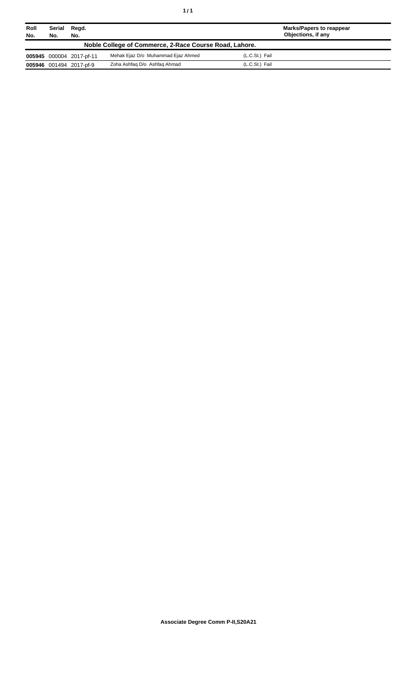| Roll<br>No. | Serial<br>No. | Regd.<br>No.             |                                                        | <b>Marks/Papers to reappear</b><br>Objections, if any |  |
|-------------|---------------|--------------------------|--------------------------------------------------------|-------------------------------------------------------|--|
|             |               |                          | Noble College of Commerce, 2-Race Course Road, Lahore. |                                                       |  |
|             |               | 005945 000004 2017-pf-11 | Mehak Ejaz D/o Muhammad Ejaz Ahmed                     | (L.C.St.) Fail                                        |  |
|             |               | 005946 001494 2017-pf-9  | Zoha Ashfaq D/o Ashfaq Ahmad                           | (L.C.St.) Fail                                        |  |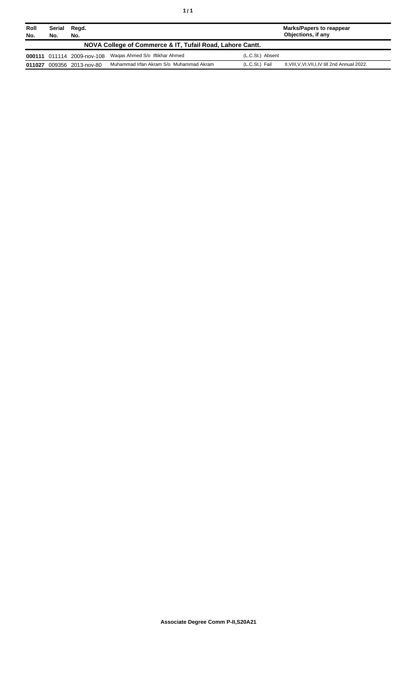| Roll<br>No. | Serial<br>No. | Regd.<br>No.               |                                                           |                  | Marks/Papers to reappear<br>Objections, if any    |
|-------------|---------------|----------------------------|-----------------------------------------------------------|------------------|---------------------------------------------------|
|             |               |                            | NOVA College of Commerce & IT, Tufail Road, Lahore Cantt. |                  |                                                   |
|             |               | 000111 011114 2009-nov-108 | Wagas Ahmed S/o Iftikhar Ahmed                            | (L.C.St.) Absent |                                                   |
| 011027      |               | 009356 2013-nov-80         | Muhammad Irfan Akram S/o Muhammad Akram                   | (L.C.St.) Fail   | II, VIII, V, VI, VII, I, IV till 2nd Annual 2022. |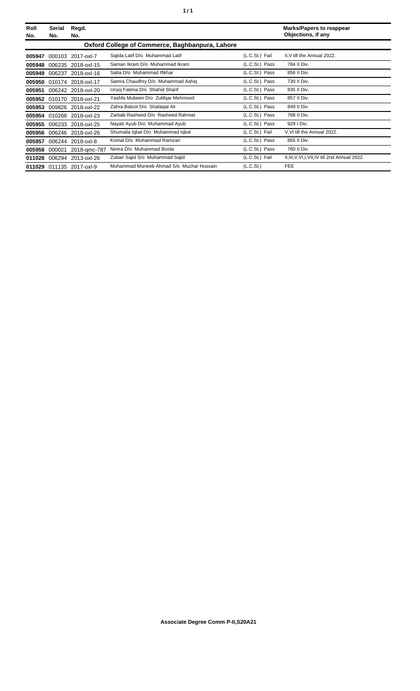| Roll<br>No. | Serial<br>No. | Regd.<br>No.              |                                                 |                       | <b>Marks/Papers to reappear</b><br>Objections, if any |
|-------------|---------------|---------------------------|-------------------------------------------------|-----------------------|-------------------------------------------------------|
|             |               |                           | Oxford College of Commerce, Baghbanpura, Lahore |                       |                                                       |
| 005947      | 000103        | 2017-oxl-7                | Sajida Latif D/o Muhammad Latif                 | (L.C.St.) Fail        | II, V till the Annual 2022.                           |
| 005948      |               | 006235 2018-oxl-15        | Saman Ikram D/o Muhammad Ikram                  | (L.C.St.) Pass        | 784 II Div.                                           |
| 005949      |               | 006237 2018-oxl-16        | Saba D/o Muhammad Iftkhar                       | (L.C.St.) Pass        | 856 II Div.                                           |
| 005950      | 010174        | 2018-oxl-17               | Samra Chaudhry D/o Muhammad Ashiq               | (L.C.St.) Pass        | 730 II Div.                                           |
| 005951      |               | 006242 2018-oxl-20        | Urooj Fatima D/o Shahid Sharif                  | (L.C.St.) Pass        | 835 II Div.                                           |
| 005952      |               | 010170 2018-oxl-21        | Yashfa Mubeen D/o Zulifqar Mehmood              | (L.C.St.) Pass        | 857 II Div.                                           |
| 005953      |               | 009826 2018-oxl-22        | Zahra Batool D/o Shafagat Ali                   | (L.C.St.) Pass        | 849 II Div.                                           |
|             |               | 005954 010268 2018-oxl-23 | Zarbab Rasheed D/o Rasheed Rahmat               | (L.C.St.) Pass        | 768 II Div.                                           |
| 005955      |               | 006233 2018-oxl-25        | Nayab Ayub D/o Muhammad Ayub                    | (L.C.St.) Pass        | 929   Div.                                            |
| 005956      |               | 006246 2018-oxl-26        | Shumaila Iqbal D/o Muhammad Iqbal               | (L.C.St.) Fail        | V.VI till the Annual 2022.                            |
| 005957      | 006244        | 2018-oxl-8                | Komal D/o Muhammad Ramzan                       | (L.C.St.) Pass        | 855 II Div.                                           |
| 005958      | 000021        | 2018-gmc-787              | Nimra D/o Muhammad Boota                        | (L.C.St.) Pass        | 760 II Div.                                           |
| 011028      | 006294        | 2013-oxl-26               | Zubair Sajid S/o Muhammad Sajid                 | (L.C.St.) Fail        | II, III, V, VI, I, VII, IV till 2nd Annual 2022.      |
| 011029      |               | 011135 2017-oxl-9         | Muhammad Muneeb Ahmad S/o Muzhar Hussain        | (L.C.S <sub>t</sub> ) | <b>FEE</b>                                            |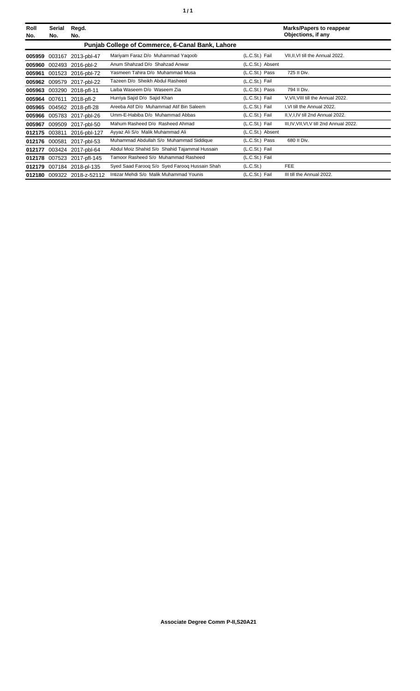| Roll<br>No. | Serial<br>No. | Regd.<br>No.               |                                                  |                       | <b>Marks/Papers to reappear</b><br>Objections, if any |
|-------------|---------------|----------------------------|--------------------------------------------------|-----------------------|-------------------------------------------------------|
|             |               |                            | Punjab College of Commerce, 6-Canal Bank, Lahore |                       |                                                       |
| 005959      | 003167        | 2013-pbl-47                | Mariyam Faraz D/o Muhammad Yaqoob                | (L.C.St.) Fail        | VII, II, VI till the Annual 2022.                     |
| 005960      | 002493        | 2016-pbl-2                 | Anum Shahzad D/o Shahzad Anwar                   | (L.C.St.) Absent      |                                                       |
| 005961      |               | 001523 2016-pbl-72         | Yasmeen Tahira D/o Muhammad Musa                 | (L.C.St.) Pass        | 725 II Div.                                           |
| 005962      | 009579        | 2017-pbl-22                | Tazeen D/o Sheikh Abdul Rasheed                  | (L.C.St.) Fail        |                                                       |
| 005963      | 003290        | 2018-pfl-11                | Laiba Waseem D/o Waseem Zia                      | (L.C.St.) Pass        | 794 II Div.                                           |
| 005964      | 007611        | 2018-pfl-2                 | Hurriya Sajid D/o Sajid Khan                     | (L.C.St.) Fail        | V, VII, VIII till the Annual 2022.                    |
| 005965      |               | 004562 2018-pfl-28         | Areeba Atif D/o Muhammad Atif Bin Saleem         | (L.C.St.) Fail        | I, VI till the Annual 2022.                           |
| 005966      |               | 005783 2017-pbl-26         | Umm-E-Habiba D/o Muhammad Abbas                  | (L.C.St.) Fail        | II, V, I, IV till 2nd Annual 2022.                    |
| 005967      | 009509        | 2017-pbl-50                | Mahum Rasheed D/o Rasheed Ahmad                  | (L.C.St.) Fail        | III, IV, VII, VI, V till 2nd Annual 2022.             |
| 012175      | 003811        | 2016-pbl-127               | Ayyaz Ali S/o Malik Muhammad Ali                 | (L.C.St.) Absent      |                                                       |
| 012176      | 000581        | 2017-pbl-53                | Muhammad Abdullah S/o Muhammad Siddique          | (L.C.St.) Pass        | 680 II Div.                                           |
| 012177      |               | 003424 2017-pbl-64         | Abdul Moiz Shahid S/o Shahid Tajammal Hussain    | (L.C.St.) Fail        |                                                       |
| 012178      |               | 007523 2017-pfl-145        | Tamoor Rasheed S/o Muhammad Rasheed              | (L.C.St.) Fail        |                                                       |
| 012179      |               | 007184 2018-pl-135         | Syed Saad Faroog S/o Syed Faroog Hussain Shah    | (L.C.S <sub>t</sub> ) | <b>FEE</b>                                            |
|             |               | 012180 009322 2018-z-52112 | Intizar Mehdi S/o Malik Muhammad Younis          | (L.C.St.) Fail        | III till the Annual 2022.                             |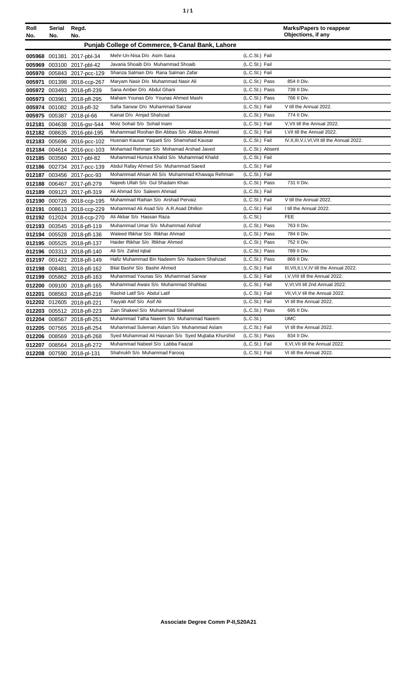| ٠ | ٠ |
|---|---|
|   |   |

| Roll<br>No. | Serial<br>No. | Regd.<br>No.               |                                                     |                  | <b>Marks/Papers to reappear</b><br>Objections, if any |
|-------------|---------------|----------------------------|-----------------------------------------------------|------------------|-------------------------------------------------------|
|             |               |                            | Punjab College of Commerce, 9-Canal Bank, Lahore    |                  |                                                       |
|             |               | 005968 001381 2017-pbl-34  | Mehr-Un-Nisa D/o Asim Sana                          | (L.C.St.) Fail   |                                                       |
|             |               | 005969 003100 2017-pbl-42  | Javaria Shoaib D/o Muhammad Shoaib                  | (L.C.St.) Fail   |                                                       |
|             |               | 005970 005843 2017-pcc-129 | Shanza Salman D/o Rana Salman Zafar                 | (L.C.St.) Fail   |                                                       |
|             |               | 005971 001398 2018-ccp-267 | Maryam Nasir D/o Muhammad Nasir Ali                 | (L.C.St.) Pass   | 854 II Div.                                           |
|             |               | 005972 003493 2018-pfl-239 | Sana Amber D/o Abdul Ghani                          | (L.C.St.) Pass   | 739 II Div.                                           |
|             |               | 005973 003961 2018-pfl-295 | Maham Younas D/o Younas Ahmed Mashi                 | (L.C.St.) Pass   | 766 II Div.                                           |
|             |               | 005974 001082 2018-pfl-32  | Safia Sarwar D/o Muhammad Sarwar                    | (L.C.St.) Fail   | V till the Annual 2022.                               |
|             |               | 005975 005387 2018-pl-66   | Kainat D/o Amjad Shahzad                            | (L.C.St.) Pass   | 774 II Div.                                           |
|             |               | 012181 004638 2016-gsr-544 | Moiz Sohail S/o Sohail Inam                         | (L.C.St.) Fail   | V, VII till the Annual 2022.                          |
|             |               | 012182 008635 2016-pbl-195 | Muhammad Roohan Bin Abbas S/o Abbas Ahmed           | (L.C.St.) Fail   | I, VII till the Annual 2022.                          |
|             |               | 012183 005696 2016-pcc-102 | Husnain Kausar Yaqueti S/o Shamshad Kausar          | (L.C.St.) Fail   | IV, II, III, V, I, VI, VII till the Annual 2022.      |
|             |               | 012184 004614 2016-pcc-103 | Mohamad Rehman S/o Mohamad Arshad Javed             | (L.C.St.) Absent |                                                       |
|             |               | 012185 003560 2017-pbl-82  | Muhammad Humza Khalid S/o Muhammad Khalid           | (L.C.St.) Fail   |                                                       |
|             |               | 012186 002734 2017-pcc-139 | Abdul Rafay Ahmed S/o Muhammad Saeed                | (L.C.St.) Fail   |                                                       |
|             |               | 012187 003456 2017-pcc-93  | Mohammad Ahsan Ali S/o Muhammad Khawaja Rehman      | (L.C.St.) Fail   |                                                       |
|             |               | 012188 006467 2017-pfl-279 | Najeeb Ullah S/o Gul Shadam Khan                    | (L.C.St.) Pass   | 731 II Div.                                           |
| 012189      |               | 009123 2017-pfl-319        | Ali Ahmad S/o Saleem Ahmad                          | (L.C.St.) Fail   |                                                       |
|             |               | 012190 000726 2018-ccp-195 | Muhammad Raihan S/o Arshad Pervaiz                  | (L.C.St.) Fail   | V till the Annual 2022.                               |
|             |               | 012191 008613 2018-ccp-229 | Muhammad Ali Asad S/o A.R.Asad Dhillon              | (L.C.St.) Fail   | I till the Annual 2022.                               |
|             |               | 012192 012024 2018-ccp-270 | Ali Akbar S/o Hassan Raza                           | (L.C.St.)        | <b>FEE</b>                                            |
|             |               | 012193 003545 2018-pfl-119 | Muhammad Umar S/o Muhammad Ashraf                   | (L.C.St.) Pass   | 763 II Div.                                           |
|             |               | 012194 005528 2018-pfl-136 | Waleed Iftikhar S/o Iftikhar Ahmad                  | (L.C.St.) Pass   | 784 II Div.                                           |
|             |               | 012195 005525 2018-pfl-137 | Haider Iftikhar S/o Iftikhar Ahmed                  | (L.C.St.) Pass   | 752 II Div.                                           |
|             |               | 012196 003313 2018-pfl-140 | Ali S/o Zahid Iqbal                                 | (L.C.St.) Pass   | 789 II Div.                                           |
|             |               | 012197 001422 2018-pfl-149 | Hafiz Muhammad Bin Nadeem S/o Nadeem Shahzad        | (L.C.St.) Pass   | 869 II Div.                                           |
|             |               | 012198 008481 2018-pfl-162 | Bilal Bashir S/o Bashir Ahmed                       | (L.C.St.) Fail   | III, VII, II, I, V, IV till the Annual 2022.          |
|             |               | 012199 005862 2018-pfl-163 | Muhammad Younas S/o Muhammad Sarwar                 | (L.C.St.) Fail   | I, V, VIII till the Annual 2022.                      |
| 012200      |               | 009100 2018-pfl-165        | Muhammad Awais S/o Muhammad Shahbaz                 | (L.C.St.) Fail   | V, VI, VII till 2nd Annual 2022.                      |
| 012201      |               | 008563 2018-pfl-216        | Rashid Latif S/o Abdul Latif                        | (L.C.St.) Fail   | VII, VI, V till the Annual 2022.                      |
|             |               | 012202 012605 2018-pfl-221 | Tayyab Asif S/o Asif Ali                            | (L.C.St.) Fail   | VI till the Annual 2022.                              |
|             |               | 012203 005512 2018-pfl-223 | Zain Shakeel S/o Muhammad Shakeel                   | (L.C.St.) Pass   | 695 II Div.                                           |
|             |               | 012204 008567 2018-pfl-251 | Muhammad Talha Naeem S/o Muhammad Naeem             | (L.C.St.)        | <b>UMC</b>                                            |
|             |               | 012205 007565 2018-pfl-254 | Muhammad Suleman Aslam S/o Muhammad Aslam           | (L.C.St.) Fail   | VI till the Annual 2022.                              |
|             |               | 012206 008569 2018-pfl-268 | Syed Muhammad Ali Hasnain S/o Syed Mujtaba Khurshid | (L.C.St.) Pass   | 834 II Div.                                           |
|             |               | 012207 008564 2018-pfl-272 | Muhammad Nabeel S/o Labba Faazal                    | (L.C.St.) Fail   | II, VI, VII till the Annual 2022.                     |
|             |               | 012208 007590 2018-pl-131  | Shahrukh S/o Muhammad Faroog                        | (L.C.St.) Fail   | VI till the Annual 2022.                              |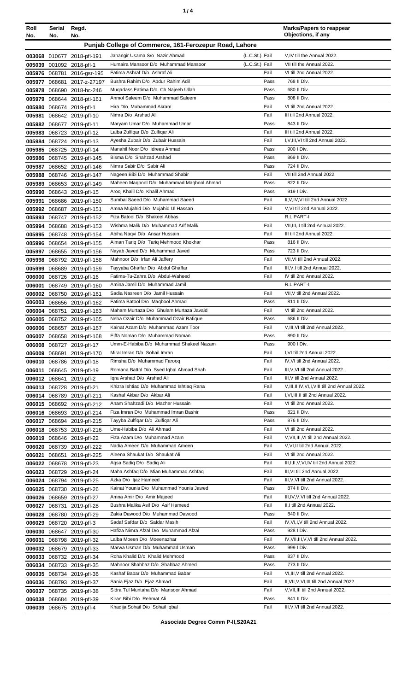| ٠ |  |
|---|--|
|   |  |

| Roll<br>No. | Serial<br>No. | Regd.<br>No.                                             |                                                                        |                                  | <b>Marks/Papers to reappear</b><br>Objections, if any              |
|-------------|---------------|----------------------------------------------------------|------------------------------------------------------------------------|----------------------------------|--------------------------------------------------------------------|
|             |               |                                                          | Punjab College of Commerce, 161-Ferozepur Road, Lahore                 |                                  |                                                                    |
|             |               |                                                          |                                                                        |                                  |                                                                    |
|             |               | 003068 010677 2018-pfl-191                               | Jahangir Usama S/o Nazir Ahmad<br>Humaira Mansoor D/o Muhammad Mansoor | (L.C.St.) Fail<br>(L.C.St.) Fail | V,IV till the Annual 2022.<br>VII till the Annual 2022.            |
|             |               | 005039 001092 2018-pfl-1<br>005976 068781 2016-gsr-195   | Fatima Ashraf D/o Ashraf Ali                                           | Fail                             | VI till 2nd Annual 2022.                                           |
|             |               |                                                          | Bushra Rahim D/o Abdur Rahim Adil                                      | Pass                             | 768 II Div.                                                        |
|             |               | 005977 068681 2017-z-27197<br>005978 068690 2018-hc-246  | Mugadass Fatima D/o Ch Najeeb Ullah                                    | Pass                             | 680 II Div.                                                        |
|             |               | 005979 068644 2018-ptl-161                               | Anmol Saleem D/o Muhammad Saleem                                       | Pass                             | 808 II Div.                                                        |
|             |               | 005980 068674 2019-pfl-1                                 | Hira D/o Muhammad Akram                                                | Fail                             | VI till 2nd Annual 2022.                                           |
|             |               | 005981 068642 2019-pfl-10                                | Nimra D/o Arshad Ali                                                   | Fail                             | III till 2nd Annual 2022.                                          |
|             |               | 005982 068677 2019-pfl-11                                | Maryam Umar D/o Muhammad Umar                                          | Pass                             | 843 II Div.                                                        |
|             |               | 005983 068723 2019-pfl-12                                | Laiba Zulfiqar D/o Zulfiqar Ali                                        | Fail                             | III till 2nd Annual 2022.                                          |
|             |               | 005984 068724 2019-pfl-13                                | Ayesha Zubair D/o Zubair Hussain                                       | Fail                             | I, V, III, VI till 2nd Annual 2022.                                |
|             |               | 005985 068725 2019-pfl-14                                | Manahil Noor D/o Idrees Ahmad                                          | Pass                             | 900 I Div.                                                         |
|             |               | 005986 068745 2019-pfl-145                               | Bisma D/o Shahzad Arshad                                               | Pass                             | 869 II Div.                                                        |
|             |               | 005987 068652 2019-pfl-146                               | Nimra Sabir D/o Sabir Ali                                              | Pass                             | 724 II Div.                                                        |
|             |               | 005988 068746 2019-pfl-147                               | Nageen Bibi D/o Muhammad Shabir                                        | Fail                             | VII till 2nd Annual 2022.                                          |
|             |               | 005989 068653 2019-pfl-149                               | Maheen Maqbool D/o Muhammad Maqbool Ahmad                              | Pass                             | 822 II Div.                                                        |
|             |               | 005990 068643 2019-pfl-15                                | Arooj Khalil D/o Khalil Ahmad                                          | Pass                             | 919   Div.                                                         |
|             |               | 005991 068686 2019-pfl-150                               | Sumbal Saeed D/o Muhammad Saeed                                        | Fail                             | II, V, IV, VI till 2nd Annual 2022.                                |
|             |               | 005992 068687 2019-pfl-151                               | Amna Mujahid D/o Mujahid UI Hassan                                     | Fail                             | V.VI till 2nd Annual 2022.                                         |
|             |               | 005993 068747 2019-pfl-152                               | Fiza Batool D/o Shakeel Abbas                                          |                                  | <b>R.L PART-I</b>                                                  |
|             |               | 005994 068688 2019-pfl-153                               | Wishma Malik D/o Muhammad Arif Malik<br>Abiha Naqvi D/o Ansar Hussain  | Fail<br>Fail                     | VII, III, II till 2nd Annual 2022.<br>III till 2nd Annual 2022.    |
|             |               | 005995 068748 2019-pfl-154<br>005996 068654 2019-pfl-155 | Aiman Tariq D/o Tariq Mehmood Khokhar                                  | Pass                             | 816 II Div.                                                        |
|             |               | 005997 068655 2019-pfl-156                               | Nayab Javed D/o Muhammad Javed                                         | Pass                             | 723 II Div.                                                        |
|             |               | 005998 068792 2019-pfl-158                               | Mahnoor D/o Irfan Ali Jaffery                                          | Fail                             | VII, VI till 2nd Annual 2022.                                      |
|             |               | 005999 068689 2019-pfl-159                               | Tayyaba Ghaffar D/o Abdul Ghaffar                                      | Fail                             | III, V, I till 2nd Annual 2022.                                    |
|             |               | 006000 068726 2019-pfl-16                                | Fatima-Tu-Zahra D/o Abdul-Waheed                                       | Fail                             | IV till 2nd Annual 2022.                                           |
| 006001      |               | 068749 2019-pfl-160                                      | Amina Jamil D/o Muhammad Jamil                                         |                                  | R.L PART-I                                                         |
|             |               | 006002 068750 2019-pfl-161                               | Sadia Nasreen D/o Jamil Hussain                                        | Fail                             | VII, V till 2nd Annual 2022.                                       |
|             |               | 006003 068656 2019-pfl-162                               | Fatima Batool D/o Maqbool Ahmad                                        | Pass                             | 811 II Div.                                                        |
|             |               | 006004 068751 2019-pfl-163                               | Maham Murtaza D/o Ghulam Murtaza Javaid                                | Fail                             | VI till 2nd Annual 2022.                                           |
|             |               | 006005 068752 2019-pfl-165                               | Neha Ozair D/o Muhammad Ozair Rafigue                                  | Pass                             | 686 II Div.                                                        |
|             |               | 006006 068657 2019-pfl-167                               | Kainat Azam D/o Muhammad Azam Toor                                     | Fail                             | V, III, VI till 2nd Annual 2022.                                   |
|             |               | 006007 068658 2019-pfl-168                               | Eiffa Noman D/o Muhammad Noman                                         | Pass                             | 890 II Div.                                                        |
|             |               | 006008 068727 2019-pfl-17                                | Umm-E-Habiba D/o Muhammad Shakeel Nazam                                | Pass                             | 900 I Div.                                                         |
|             |               | 006009 068691 2019-pfl-170                               | Miral Imran D/o Sohail Imran                                           | Fail                             | I.VI till 2nd Annual 2022.                                         |
|             |               | 006010 068786 2019-pfl-18                                | Rimsha D/o Muhammad Farooq<br>Romana Battol D/o Syed Iqbal Ahmad Shah  | Fail<br>Fail                     | IV, VI till 2nd Annual 2022.<br>III, V, VI till 2nd Annual 2022.   |
|             |               | 006011 068645 2019-pfl-19                                | Igra Arshad D/o Arshad Ali                                             | Fail                             | III, V till 2nd Annual 2022.                                       |
|             |               | 006012 068641 2019-pfl-2<br>006013 068728 2019-pfl-21    | Khizra Ishtiaq D/o Muhammad Ishtiaq Rana                               | Fail                             | V, III, II, IV, VI, I, VIII till 2nd Annual 2022.                  |
|             |               | 006014 068789 2019-pfl-211                               | Kashaf Akbar D/o Akbar Ali                                             | Fail                             | I, VI, III, II till 2nd Annual 2022.                               |
|             |               | 006015 068692 2019-pfl-212                               | Anam Shahzadi D/o Mazher Hussain                                       | Fail                             | VI till 2nd Annual 2022.                                           |
|             |               | 006016 068693 2019-pfl-214                               | Fiza Imran D/o Muhammad Imran Bashir                                   | Pass                             | 821 II Div.                                                        |
|             |               | 006017 068694 2019-pfl-215                               | Tayyba Zulfiqar D/o Zulfiqar Ali                                       | Pass                             | 876 II Div.                                                        |
|             |               | 006018 068753 2019-pfl-216                               | Ume-Habiba D/o Ali Ahmad                                               | Fail                             | VI till 2nd Annual 2022.                                           |
|             |               | 006019 068646 2019-pfl-22                                | Fiza Azam D/o Muhammad Azam                                            | Fail                             | V, VII, III, VI till 2nd Annual 2022.                              |
|             |               | 006020 068739 2019-pfl-222                               | Nadia Ameen D/o Muhammad Ameen                                         | Fail                             | V, VI, II till 2nd Annual 2022.                                    |
|             |               | 006021 068651 2019-pfl-225                               | Aleena Shaukat D/o Shaukat Ali                                         | Fail                             | VI till 2nd Annual 2022.                                           |
|             |               | 006022 068678 2019-pfl-23                                | Agsa Sadig D/o Sadig Ali                                               | Fail                             | III, I, II, V, VI, IV till 2nd Annual 2022.                        |
|             |               | 006023 068729 2019-pfl-24                                | Maha Ashfaq D/o Mian Muhammad Ashfaq                                   | Fail                             | III, VI till 2nd Annual 2022.                                      |
|             |               | 006024 068794 2019-pfl-25                                | Azka D/o Ijaz Hameed                                                   | Fail                             | III, V, VI till 2nd Annual 2022.                                   |
|             |               | 006025 068730 2019-pfl-26                                | Kainat Younis D/o Muhammad Younis Jawed                                | Pass<br>Fail                     | 874 II Div.                                                        |
|             |               | 006026 068659 2019-pfl-27                                | Amna Amir D/o Amir Majeed<br>Bushra Malika Asif D/o Asif Hameed        | Fail                             | III, IV, V, VI till 2nd Annual 2022.<br>II,I till 2nd Annual 2022. |
|             |               | 006027 068731 2019-pfl-28<br>006028 068780 2019-pfl-29   | Zakia Dawood D/o Muhammad Dawood                                       | Pass                             | 840 II Div.                                                        |
|             |               | 006029 068720 2019-pfl-3                                 | Sadaf Safdar D/o Safdar Masih                                          | Fail                             | IV, VI, I, V till 2nd Annual 2022.                                 |
|             |               | 006030 068647 2019-pfl-30                                | Hafiza Nimra Afzal D/o Muhammad Afzal                                  | Pass                             | 928 I Div.                                                         |
|             |               | 006031 068798 2019-pfl-32                                | Laiba Moeen D/o Moeenazhar                                             | Fail                             | IV, VII, III, V, VI till 2nd Annual 2022.                          |
|             |               | 006032 068679 2019-pfl-33                                | Marwa Usman D/o Muhammad Usman                                         | Pass                             | 999 I Div.                                                         |
|             |               | 006033 068732 2019-pfl-34                                | Roha Khalid D/o Khalid Mehmood                                         | Pass                             | 837 II Div.                                                        |
|             |               | 006034 068733 2019-pfl-35                                | Mahnoor Shahbaz D/o Shahbaz Ahmed                                      | Pass                             | 773 II Div.                                                        |
|             |               | 006035 068734 2019-pfl-36                                | Kashaf Babar D/o Muhammad Babar                                        | Fail                             | VI, III, V till 2nd Annual 2022.                                   |
|             |               | 006036 068793 2019-pfl-37                                | Sania Ejaz D/o Ejaz Ahmad                                              | Fail                             | II, VII, V, VI, III till 2nd Annual 2022.                          |
|             |               | 006037 068735 2019-pfl-38                                | Sidra Tul Muntaha D/o Mansoor Ahmad                                    | Fail                             | V, VII, III till 2nd Annual 2022.                                  |
|             |               | 006038 068684 2019-pfl-39                                | Kiran Bibi D/o Rehmat Ali                                              | Pass                             | 841 II Div.                                                        |
|             |               | 006039 068675 2019-pfl-4                                 | Khadija Sohail D/o Sohail Iqbal                                        | Fail                             | III, V, VI till 2nd Annual 2022.                                   |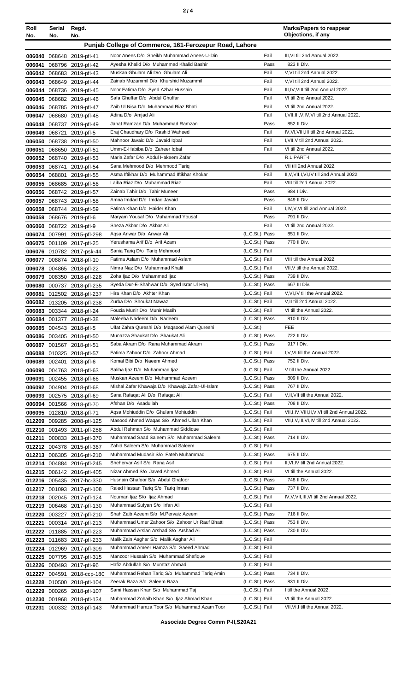| Roll<br>No. | Serial Regd.<br>No. | No.                                                      |                                                                                |                                  | <b>Marks/Papers to reappear</b><br>Objections, if any       |
|-------------|---------------------|----------------------------------------------------------|--------------------------------------------------------------------------------|----------------------------------|-------------------------------------------------------------|
|             |                     |                                                          | Punjab College of Commerce, 161-Ferozepur Road, Lahore                         |                                  |                                                             |
|             |                     | 006040 068648 2019-pfl-41                                | Noor Anees D/o Sheikh Muhammad Anees-U-Din                                     | Fail                             | III, VI till 2nd Annual 2022.                               |
| 006041      |                     | 068796 2019-pfl-42                                       | Ayesha Khalid D/o Muhammad Khalid Bashir                                       | Pass                             | 823 II Div.                                                 |
|             |                     | 006042 068683 2019-pfl-43                                | Muskan Ghulam Ali D/o Ghulam Ali                                               | Fail                             | V, VI till 2nd Annual 2022.                                 |
|             |                     | 006043 068649 2019-pfl-44                                | Zainab Muzammil D/o Khurshid Muzammil                                          | Fail                             | V, VI till 2nd Annual 2022.                                 |
|             |                     | 006044 068736 2019-pfl-45                                | Noor Fatima D/o Syed Azhar Hussain                                             | Fail                             | III, IV, VIII till 2nd Annual 2022.                         |
|             |                     | 006045 068682 2019-pfl-46                                | Safa Ghuffar D/o Abdul Ghuffar                                                 | Fail                             | VI till 2nd Annual 2022.                                    |
|             |                     | 006046 068785 2019-pfl-47                                | Zaib Ul Nisa D/o Muhammad Riaz Bhati                                           | Fail                             | VI till 2nd Annual 2022.                                    |
|             |                     | 006047 068680 2019-pfl-48                                | Adina D/o Amjad Ali<br>Janat Ramzan D/o Muhammad Ramzan                        | Fail<br>Pass                     | I, VII, III, V, IV, VI till 2nd Annual 2022.<br>852 II Div. |
|             |                     | 006048 068737 2019-pfl-49<br>006049 068721 2019-pfl-5    | Eraj Chaudhary D/o Rashid Waheed                                               | Fail                             | IV, VI, VIII, III till 2nd Annual 2022.                     |
|             |                     | 006050 068738 2019-pfl-50                                | Mahnoor Javaid D/o Javaid Iqbal                                                | Fail                             | I, VII, V till 2nd Annual 2022.                             |
|             |                     | 006051 068650 2019-pfl-51                                | Umm-E-Habiba D/o Zaheer Iqbal                                                  | Fail                             | VI till 2nd Annual 2022.                                    |
|             |                     | 006052 068740 2019-pfl-53                                | Maria Zafar D/o Abdul Hakeem Zafar                                             |                                  | R.L PART-I                                                  |
|             |                     | 006053 068741 2019-pfl-54                                | Sana Mehmood D/o Mehmood Tariq                                                 | Fail                             | VII till 2nd Annual 2022.                                   |
|             |                     | 006054 068801 2019-pfl-55                                | Asma Iftikhar D/o Muhammad Iftikhar Khokar                                     | Fail                             | II, V, VII, I, VI, IV till 2nd Annual 2022.                 |
|             |                     | 006055 068685 2019-pfl-56                                | Laiba Riaz D/o Muhammad Riaz                                                   | Fail                             | VIII till 2nd Annual 2022.                                  |
|             |                     | 006056 068742 2019-pfl-57                                | Zainab Tahir D/o Tahir Muneer<br>Amna Imdad D/o Imdad Javaid                   | Pass<br>Pass                     | 984   Div.<br>849 II Div.                                   |
|             |                     | 006057 068743 2019-pfl-58<br>006058 068744 2019-pfl-59   | Fatima Khan D/o Haider Khan                                                    | Fail                             | I, IV, V, VI till 2nd Annual 2022.                          |
|             |                     | 006059 068676 2019-pfl-6                                 | Maryam Yousaf D/o Muhammad Yousaf                                              | Pass                             | 791 II Div.                                                 |
|             |                     | 006060 068722 2019-pfl-9                                 | Sheza Akbar D/o Akbar Ali                                                      | Fail                             | VI till 2nd Annual 2022.                                    |
|             |                     | 006074 007991 2015-pfl-298                               | Aqsa Anwar D/o Anwar Ali                                                       | (L.C.St.) Pass                   | 851 II Div.                                                 |
|             |                     | 006075 001109 2017-pfl-25                                | Yerushama Arif D/o Arif Azam                                                   | (L.C.St.) Pass                   | 770 II Div.                                                 |
|             |                     | 006076 010782 2017-psk-44                                | Sania Tariq D/o Tariq Mehmood                                                  | (L.C.St.) Fail                   |                                                             |
|             |                     | 006077 008874 2018-pfl-10                                | Fatima Aslam D/o Muhammad Aslam                                                | (L.C.St.) Fail                   | VIII till the Annual 2022.                                  |
|             |                     | 006078 004865 2018-pfl-22                                | Nimra Naz D/o Muhammad Khalil                                                  | (L.C.St.) Fail                   | VII, V till the Annual 2022.                                |
|             |                     | 006079 008350 2018-pfl-228                               | Zoha Ijaz D/o Muhammad Ijaz<br>Syeda Dur-E-Shahwar D/o Syed Israr UI Haq       | (L.C.St.) Pass<br>(L.C.St.) Pass | 739 II Div.<br>667 III Div.                                 |
|             |                     | 006080 000737 2018-pfl-235<br>006081 012502 2018-pfl-237 | Hira Khan D/o Akhter Khan                                                      | (L.C.St.) Fail                   | V, VI, IV till the Annual 2022.                             |
|             |                     | 006082 013205 2018-pfl-238                               | Zurba D/o Shoukat Nawaz                                                        | (L.C.St.) Fail                   | V, II till 2nd Annual 2022.                                 |
|             |                     | 006083 003344 2018-pfl-24                                | Fouzia Munir D/o Munir Masih                                                   | (L.C.St.) Fail                   | VI till the Annual 2022.                                    |
|             |                     | 006084 001377 2018-pfl-38                                | Maleeha Nadeem D/o Nadeem                                                      | (L.C.St.) Pass                   | 810 II Div.                                                 |
|             |                     | 006085 004543 2018-pfl-5                                 | Ulfat Zahra Qureshi D/o Maqsood Alam Qureshi                                   | (L.C.S <sub>t</sub> )            | FEE                                                         |
|             |                     | 006086 003405 2018-pfl-50                                | Munazza Shaukat D/o Shaukat Ali                                                | (L.C.St.) Pass                   | 722 II Div.                                                 |
|             |                     | 006087 001567 2018-pfl-51                                | Saba Akram D/o Rana Muhammad Akram                                             | (L.C.St.) Pass                   | 917   Div.                                                  |
|             |                     | 006088 010325 2018-pfl-57                                | Fatima Zahoor D/o Zahoor Ahmad<br>Komal Bibi D/o Naeem Ahmed                   | (L.C.St.) Fail<br>(L.C.St.) Pass | I, V, VI till the Annual 2022.<br>752 II Div.               |
|             |                     | 006089 002401 2018-pfl-6<br>006090 004763 2018-pfl-63    | Saliha Ijaz D/o Muhammad Ijaz                                                  | (L.C.St.) Fail                   | V till the Annual 2022.                                     |
|             |                     | 006091 002455 2018-pfl-66                                | Muskan Azeem D/o Muhammad Azeem                                                | (L.C.St.) Pass                   | 809 II Div.                                                 |
|             |                     | 006092 004904 2018-pfl-68                                | Mishal Zafar Khawaja D/o Khawaja Zafar-Ul-Islam                                | (L.C.St.) Pass                   | 767 II Div.                                                 |
|             |                     | 006093 002575 2018-pfl-69                                | Sana Rafaqat Ali D/o Rafaqat Ali                                               | (L.C.St.) Fail                   | V, II, VII till the Annual 2022.                            |
|             |                     | 006094 001566 2018-pfl-70                                | Afshan D/o Asadullah                                                           | (L.C.St.) Pass                   | 708 II Div.                                                 |
|             |                     | 006095 012810 2018-pfl-71                                | Agsa Mohiuddin D/o Ghulam Mohiuddin                                            | (L.C.St.) Fail                   | VII, I, IV, VIII, II, V, VI till 2nd Annual 2022.           |
|             |                     | 012209 009285 2008-pfl-125                               | Masood Ahmed Wagas S/o Ahmed Ullah Khan                                        | (L.C.St.) Fail                   | VII, I, V, III, VI, IV till 2nd Annual 2022.                |
|             |                     | 012210 001493 2011-pfl-288                               | Abdul Rehman S/o Muhammad Siddique<br>Muhammad Saad Saleem S/o Muhammad Saleem | (L.C.St.) Fail<br>(L.C.St.) Pass | 714 II Div.                                                 |
|             |                     | 012211 000833 2013-pfl-370<br>012212 004378 2015-pfl-367 | Zahid Saleem S/o Muhammad Saleem                                               | (L.C.St.) Fail                   |                                                             |
|             |                     | 012213 006305 2016-pfl-210                               | Muhammad Mudasir S/o Fateh Muhammad                                            | (L.C.St.) Pass                   | 675 II Div.                                                 |
|             |                     | 012214 004884 2016-pfl-245                               | Sheheryar Asif S/o Rana Asif                                                   | (L.C.St.) Fail                   | II, VI, IV till 2nd Annual 2022.                            |
|             |                     | 012215 006142 2016-pfl-405                               | Nizar Ahmed S/o Javed Ahmed                                                    | (L.C.St.) Fail                   | VI till the Annual 2022.                                    |
|             |                     | 012216 005435 2017-hc-330                                | Husnain Ghafoor S/o Abdul Ghafoor                                              | (L.C.St.) Pass                   | 748 II Div.                                                 |
|             |                     | 012217 001093 2017-pfl-108                               | Raied Hassan Tariq S/o Tariq Imran                                             | (L.C.St.) Pass                   | 737 II Div.                                                 |
|             |                     | 012218 002045 2017-pfl-124                               | Nouman Ijaz S/o Ijaz Ahmad                                                     | (L.C.St.) Fail                   | IV, V, VII, III, VI till 2nd Annual 2022.                   |
|             |                     | 012219 006468 2017-pfl-130<br>012220 003227 2017-pfl-210 | Muhammad Sufyan S/o Irfan Ali<br>Shah Zaib Azeem S/o M.Pervaiz Azeem           | (L.C.St.) Fail<br>(L.C.St.) Pass | 716 II Div.                                                 |
| 012221      |                     | 000314 2017-pfl-213                                      | Muhammad Umer Zahoor S/o Zahoor Ur Rauf Bhatti                                 | (L.C.St.) Pass                   | 753 II Div.                                                 |
|             |                     | 012222 011885 2017-pfl-223                               | Muhammad Arslan Arshad S/o Arshad Ali                                          | (L.C.St.) Pass                   | 730 II Div.                                                 |
|             |                     | 012223 011683 2017-pfl-233                               | Malik Zain Asghar S/o Malik Asghar Ali                                         | (L.C.St.) Fail                   |                                                             |
|             |                     | 012224 012969 2017-pfl-309                               | Muhammad Ameer Hamza S/o Saeed Ahmad                                           | (L.C.St.) Fail                   |                                                             |
|             |                     | 012225 007795 2017-pfl-315                               | Manzoor Hussain S/o Muhammad Shafique                                          | (L.C.St.) Fail                   |                                                             |
|             |                     | 012226 000493 2017-pfl-96                                | Hafiz Abdullah S/o Mumtaz Ahmad                                                | (L.C.St.) Fail                   |                                                             |
|             | 012227 004591       | 2018-ccp-180                                             | Muhammad Rehan Tariq S/o Muhammad Tariq Amin                                   | (L.C.St.) Pass                   | 734 II Div.                                                 |
|             |                     | 012228 010500 2018-pfl-104                               | Zeerak Raza S/o Saleem Raza                                                    | (L.C.St.) Pass                   | 831 II Div.                                                 |
|             |                     | 012229 000265 2018-pfl-107                               | Sami Hassan Khan S/o Muhammad Taj<br>Muhammad Zohaib Khan S/o Ijaz Ahmad Khan  | (L.C.St.) Fail<br>(L.C.St.) Fail | I till the Annual 2022.<br>VI till the Annual 2022.         |
|             |                     | 012230 001968 2018-pfl-134<br>012231 000332 2018-pfl-143 | Muhammad Hamza Toor S/o Muhammad Azam Toor                                     | (L.C.St.) Fail                   | VII, VI, I till the Annual 2022.                            |
|             |                     |                                                          |                                                                                |                                  |                                                             |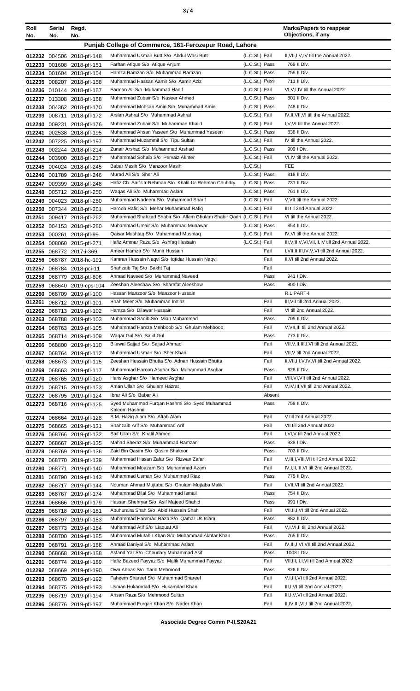| ×<br>٠<br>I<br>۰.<br>× |  |  |
|------------------------|--|--|
|------------------------|--|--|

| Roll<br>No.   | Serial<br>No. | Regd.<br>No.                                             |                                                                                                             |                                  | <b>Marks/Papers to reappear</b><br>Objections, if any                   |
|---------------|---------------|----------------------------------------------------------|-------------------------------------------------------------------------------------------------------------|----------------------------------|-------------------------------------------------------------------------|
|               |               |                                                          | Punjab College of Commerce, 161-Ferozepur Road, Lahore                                                      |                                  |                                                                         |
|               |               |                                                          |                                                                                                             |                                  |                                                                         |
|               |               | 012232 004506 2018-pfl-148                               | Muhammad Usman Butt S/o Abdul Wasi Butt                                                                     | (L.C.St.) Fail                   | II, VII, I, V, IV till the Annual 2022.                                 |
|               |               | 012233 001608 2018-pfl-151                               | Farhan Atique S/o Atique Anjum<br>Hamza Ramzan S/o Muhammad Ramzan                                          | (L.C.St.) Pass<br>(L.C.St.) Pass | 769 II Div.<br>755 II Div.                                              |
|               |               | 012234 001604 2018-pfl-154<br>012235 008207 2018-pfl-158 | Muhammad Hassan Aamir S/o Aamir Aziz                                                                        | (L.C.St.) Pass                   | 711 II Div.                                                             |
|               |               | 012236 010144 2018-pfl-167                               | Farman Ali S/o Muhammad Hanif                                                                               | (L.C.St.) Fail                   | VI, V, I, IV till the Annual 2022.                                      |
|               |               | 012237 013308 2018-pfl-168                               | Muhammad Zubair S/o Naseer Ahmed                                                                            | (L.C.St.) Pass                   | 801 II Div.                                                             |
|               |               | 012238 004362 2018-pfl-170                               | Muhammad Mohsan Amin S/o Muhammad Amin                                                                      | (L.C.St.) Pass                   | 748 II Div.                                                             |
|               |               | 012239 008711 2018-pfl-172                               | Arslan Ashraf S/o Muhammad Ashraf                                                                           | (L.C.St.) Fail                   | IV, II, VII, VI till the Annual 2022.                                   |
|               |               | 012240 009231 2018-pfl-176                               | Muhammad Zubair S/o Muhammad Khalid                                                                         | (L.C.St.) Fail                   | I, V, VI till the Annual 2022.                                          |
|               |               | 012241 002538 2018-pfl-195                               | Muhammad Ahsan Yaseen S/o Muhammad Yaseen                                                                   | (L.C.St.) Pass                   | 838 II Div.                                                             |
|               |               | 012242 007225 2018-pfl-197                               | Muhammad Muzammil S/o Tipu Sultan                                                                           | (L.C.St.) Fail                   | IV till the Annual 2022.                                                |
|               |               | 012243 002244 2018-pfl-214                               | Zunair Arshad S/o Muhammad Arshad                                                                           | (L.C.St.) Pass                   | 909 I Div.                                                              |
|               |               | 012244 003900 2018-pfl-217                               | Muhammad Sohaib S/o Pervaiz Akhter                                                                          | (L.C.St.) Fail                   | VI, IV till the Annual 2022.                                            |
|               |               | 012245 004024 2018-pfl-245                               | Babar Masih S/o Manzoor Masih                                                                               | (L.C.S <sub>t</sub> )            | <b>FEE</b>                                                              |
|               |               | 012246 001789 2018-pfl-246                               | Murad Ali S/o Sher Ali                                                                                      | (L.C.St.) Pass                   | 818 II Div.                                                             |
|               |               | 012247 009399 2018-pfl-248                               | Hafiz Ch. Saif-Ur-Rehman S/o Khalil-Ur-Rehman Chuhdry                                                       | (L.C.St.) Pass                   | 731 II Div.                                                             |
|               |               | 012248 005712 2018-pfl-250                               | Wagas Ali S/o Muhammad Aslam                                                                                | (L.C.St.) Pass                   | 761 II Div.                                                             |
|               |               | 012249 004023 2018-pfl-260                               | Muhammad Nadeem S/o Muhammad Sharif                                                                         | (L.C.St.) Fail                   | V.VII till the Annual 2022.                                             |
|               |               | 012250 007344 2018-pfl-261                               | Haroon Rafiq S/o Mehar Muhammad Rafiq                                                                       | (L.C.St.) Fail                   | III till 2nd Annual 2022.                                               |
|               |               | 012251 009417 2018-pfl-262                               | Muhammad Shahzad Shabir S/o Allam Ghulam Shabir Qadri (L.C.St.) Fail<br>Muhammad Umair S/o Muhammad Munawar |                                  | VI till the Annual 2022.<br>854 II Div.                                 |
|               |               | 012252 004153 2018-pfl-280                               | Qaisar Mushtaq S/o Muhammad Mushtaq                                                                         | (L.C.St.) Pass<br>(L.C.St.) Fail | IV, VI till the Annual 2022.                                            |
|               |               | 012253 000261 2018-pfl-99<br>012254 008060 2015-pfl-271  | Hafiz Ammar Raza S/o Ashfaq Hussain                                                                         | (L.C.St.) Fail                   | III, VIII, V, VI, VII, II, IV till 2nd Annual 2022.                     |
|               |               | 012255 068772 2017-i-369                                 | Ameer Hamza S/o Munir Hussain                                                                               | Fail                             | I, VII, II, III, IV, V, VI till 2nd Annual 2022.                        |
|               |               | 012256 068787 2018-hc-191                                | Kamran Hussain Naqvi S/o Iqtidar Hussain Naqvi                                                              | Fail                             | II, VI till 2nd Annual 2022.                                            |
|               |               | 012257 068784 2018-pci-11                                | Shahzaib Taj S/o Bakht Taj                                                                                  | Fail                             |                                                                         |
|               |               | 012258 068779 2018-ptl-806                               | Ahmad Naveed S/o Muhammad Naveed                                                                            | Pass                             | 941   Div.                                                              |
|               |               | 012259 068640 2019-cps-104                               | Zeeshan Aleeshaw S/o Sharafat Aleeshaw                                                                      | Pass                             | 900 I Div.                                                              |
|               |               | 012260 068709 2019-pfl-100                               | Hassan Manzoor S/o Manzoor Hussain                                                                          |                                  | <b>R.L PART-I</b>                                                       |
| 012261        |               | 068712 2019-pfl-101                                      | Shah Meer S/o Muhammad Imtiaz                                                                               | Fail                             | III. VII till 2nd Annual 2022.                                          |
|               |               | 012262 068713 2019-pfl-102                               | Hamza S/o Dilawar Hussain                                                                                   | Fail                             | VI till 2nd Annual 2022.                                                |
|               |               | 012263 068788 2019-pfl-103                               | Muhammad Saqib S/o Mian Muhammad                                                                            | Pass                             | 705 II Div.                                                             |
|               |               | 012264 068763 2019-pfl-105                               | Muhammad Hamza Mehboob S/o Ghulam Mehboob                                                                   | Fail                             | V.VII.III till 2nd Annual 2022.                                         |
|               |               | 012265 068714 2019-pfl-109                               | Wagar Gul S/o Sajid Gul                                                                                     | Pass                             | 773 II Div.                                                             |
|               |               | 012266 068800 2019-pfl-110                               | Bilawal Sajjad S/o Sajjad Ahmad                                                                             | Fail                             | VII, V, II, III, I, VI till 2nd Annual 2022.                            |
|               |               | 012267 068764 2019-pfl-112                               | Muhammad Usman S/o Sher Khan                                                                                | Fail                             | VII, V till 2nd Annual 2022.                                            |
|               |               | 012268 068673 2019-pfl-115                               | Zeeshan Hussain Bhutta S/o Adnan Hussain Bhutta<br>Muhammad Haroon Asghar S/o Muhammad Asghar               | Fail<br>Pass                     | II, VII, III, V, IV, VI till 2nd Annual 2022.<br>828 II Div.            |
|               |               | 012269 068663 2019-pfl-117                               | Haris Asghar S/o Hameed Asghar                                                                              | Fail                             | VIII, VI, VII till 2nd Annual 2022.                                     |
|               |               | 012270 068765 2019-pfl-120<br>012271 068715 2019-pfl-123 | Aman Ullah S/o Ghulam Hazrat                                                                                | Fail                             | V,IV,III, VII till 2nd Annual 2022.                                     |
|               |               | 012272 068795 2019-pfl-124                               | Ibrar Ali S/o Babar Ali                                                                                     | Absent                           |                                                                         |
|               |               | 012273 068716 2019-pfl-125                               | Syed Muhammad Furqan Hashmi S/o Syed Muhammad                                                               | Pass                             | 758 II Div.                                                             |
|               |               |                                                          | Kaleem Hashmi                                                                                               |                                  |                                                                         |
|               |               | 012274 068664 2019-pfl-128                               | S.M. Haziq Alam S/o Aftab Alam                                                                              | Fail                             | V till 2nd Annual 2022.                                                 |
|               |               | 012275 068665 2019-pfl-131                               | Shahzaib Arif S/o Muhammad Arif                                                                             | Fail                             | VII till 2nd Annual 2022.                                               |
|               |               | 012276 068766 2019-pfl-132                               | Saif Ullah S/o Khalil Ahmed                                                                                 | Fail                             | I, VI, V till 2nd Annual 2022.                                          |
|               |               | 012277 068667 2019-pfl-135                               | Mahad Sheraz S/o Muhammad Ramzan<br>Zaid Bin Qasim S/o Qasim Shakoor                                        | Pass<br>Pass                     | 938 I Div.<br>703 II Div.                                               |
|               |               | 012278 068769 2019-pfl-136<br>012279 068770 2019-pfl-139 | Muhammad Hissan Zafar S/o Rizwan Zafar                                                                      | Fail                             | V, III, I, VIII, VII till 2nd Annual 2022.                              |
| 012280 068771 |               | 2019-pfl-140                                             | Muhammad Moazam S/o Muhammad Azam                                                                           | Fail                             | IV, I, II, III, VI till 2nd Annual 2022.                                |
| 012281        |               | 068790 2019-pfl-143                                      | Muhammad Usman S/o Muhammad Riaz                                                                            | Pass                             | 775 II Div.                                                             |
|               |               | 012282 068717 2019-pfl-144                               | Nouman Ahmad Mujtaba S/o Ghulam Mujtaba Malik                                                               | Fail                             | I, VII, VI till 2nd Annual 2022.                                        |
|               |               | 012283 068767 2019-pfl-174                               | Muhammad Bilal S/o Muhammad Ismail                                                                          | Pass                             | 754 II Div.                                                             |
|               |               | 012284 068666 2019-pfl-179                               | Hassan Shehryar S/o Asif Majeed Shahid                                                                      | Pass                             | 991 I Div.                                                              |
|               |               | 012285 068718 2019-pfl-181                               | Abuhuraira Shah S/o Abid Hussain Shah                                                                       | Fail                             | VII, II, I, VI till 2nd Annual 2022.                                    |
|               |               | 012286 068797 2019-pfl-183                               | Muhammad Hammad Raza S/o Qamar Us Islam                                                                     | Pass                             | 882 II Div.                                                             |
|               |               | 012287 068773 2019-pfl-184                               | Muhammad Atif S/o Liaquat Ali                                                                               | Fail                             | V,I, VI, II till 2nd Annual 2022.                                       |
|               |               | 012288 068700 2019-pfl-185                               | Muhammad Mutahir Khan S/o Muhammad Akhtar Khan                                                              | Pass                             | 765 II Div.                                                             |
|               |               | 012289 068791 2019-pfl-186                               | Ahmad Daniyal S/o Muhammad Aslam                                                                            | Fail                             | IV, III, I, VI, VII till 2nd Annual 2022.                               |
|               |               | 012290 068668 2019-pfl-188                               | Asfand Yar S/o Choudary Muhammad Asif                                                                       | Pass                             | 1008 I Div.                                                             |
| 012291        |               | 068774 2019-pfl-189                                      | Hafiz Bazeed Fayyaz S/o Malik Muhammad Fayyaz                                                               | Fail                             | VII, III, II, I, VI till 2nd Annual 2022.                               |
|               |               | 012292 068669 2019-pfl-190                               | Own Abbas S/o Tarig Mehmood                                                                                 | Pass                             | 826 II Div.                                                             |
|               |               | 012293 068670 2019-pfl-192                               | Faheem Shareef S/o Muhammad Shareef                                                                         | Fail                             | V,I,III, VI till 2nd Annual 2022.                                       |
|               |               | 012294 068775 2019-pfl-193                               | Usman Hukamdad S/o Hukamdad Khan                                                                            | Fail                             | III, I, VI till 2nd Annual 2022.<br>III, I, V, VI till 2nd Annual 2022. |
|               |               | 012295 068719 2019-pfl-194                               | Ahsan Raza S/o Mehmood Sultan<br>Muhammad Furqan Khan S/o Nader Khan                                        | Fail<br>Fail                     | II, IV, III, VI, I till 2nd Annual 2022.                                |
|               |               | 012296 068776 2019-pfl-197                               |                                                                                                             |                                  |                                                                         |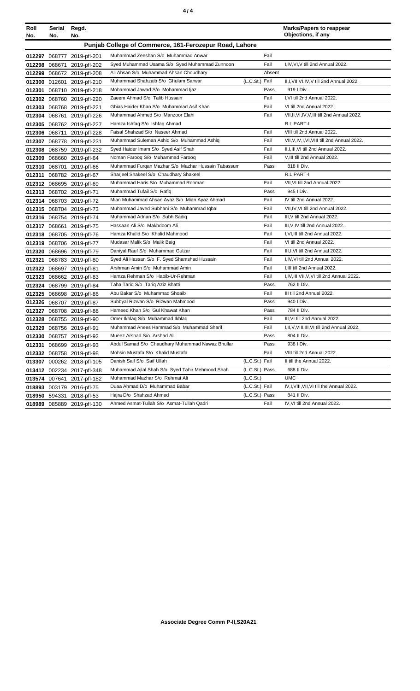|--|

| Roll                                                   | Serial | Regd.                      |                                                    |                | <b>Marks/Papers to reappear</b>               |  |  |  |  |
|--------------------------------------------------------|--------|----------------------------|----------------------------------------------------|----------------|-----------------------------------------------|--|--|--|--|
| No.                                                    | No.    | No.                        |                                                    |                | Objections, if any                            |  |  |  |  |
| Punjab College of Commerce, 161-Ferozepur Road, Lahore |        |                            |                                                    |                |                                               |  |  |  |  |
|                                                        |        | 012297 068777 2019-pfl-201 | Muhammad Zeeshan S/o Muhammad Anwar                | Fail           |                                               |  |  |  |  |
| 012298                                                 | 068671 | 2019-pfl-202               | Syed Muhammad Usama S/o Syed Muhammad Zunnoon      | Fail           | I, IV, VI, V till 2nd Annual 2022.            |  |  |  |  |
|                                                        |        | 012299 068672 2019-pfl-208 | Ali Ahsan S/o Muhammad Ahsan Choudhary             | Absent         |                                               |  |  |  |  |
|                                                        |        | 012300 012601 2019-pfl-210 | Muhammad Shahzaib S/o Ghulam Sarwar                | (L.C.St.) Fail | II,I, VII, VI, IV, V till 2nd Annual 2022.    |  |  |  |  |
|                                                        |        | 012301 068710 2019-pfl-218 | Mohammad Jawad S/o Mohammad Ijaz                   | Pass           | 919   Div.                                    |  |  |  |  |
|                                                        |        | 012302 068760 2019-pfl-220 | Zaeem Ahmad S/o Talib Hussain                      | Fail           | I, VI till 2nd Annual 2022.                   |  |  |  |  |
|                                                        |        | 012303 068768 2019-pfl-221 | Ghias Haider Khan S/o Muhammad Asif Khan           | Fail           | VI till 2nd Annual 2022.                      |  |  |  |  |
|                                                        |        | 012304 068761 2019-pfl-226 | Muhammad Ahmed S/o Manzoor Elahi                   | Fail           | VII, II, VI, IV, V, III till 2nd Annual 2022. |  |  |  |  |
|                                                        |        | 012305 068762 2019-pfl-227 | Hamza Ishfaq S/o Ishfaq Ahmad                      |                | R.L PART-I                                    |  |  |  |  |
|                                                        |        | 012306 068711 2019-pfl-228 | Faisal Shahzad S/o Naseer Ahmad                    | Fail           | VIII till 2nd Annual 2022.                    |  |  |  |  |
|                                                        |        | 012307 068778 2019-pfl-231 | Muhammad Suleman Ashiq S/o Muhammad Ashiq          | Fail           | VII, V, IV, I, VI, VIII till 2nd Annual 2022. |  |  |  |  |
|                                                        |        | 012308 068759 2019-pfl-232 | Syed Haider Imam S/o Syed Asif Shah                | Fail           | II, I, III, VI till 2nd Annual 2022.          |  |  |  |  |
|                                                        |        | 012309 068660 2019-pfl-64  | Noman Faroog S/o Muhammad Faroog                   | Fail           | V, III till 2nd Annual 2022.                  |  |  |  |  |
|                                                        |        | 012310 068701 2019-pfl-66  | Muhammad Furgan Mazhar S/o Mazhar Hussain Tabassum | Pass           | 818 II Div.                                   |  |  |  |  |
|                                                        |        | 012311 068782 2019-pfl-67  | Sharjeel Shakeel S/o Chaudhary Shakeel             |                | R.L PART-I                                    |  |  |  |  |
|                                                        |        | 012312 068695 2019-pfl-69  | Muhammad Haris S/o Muhammad Rooman                 | Fail           | VII, VI till 2nd Annual 2022.                 |  |  |  |  |
|                                                        |        | 012313 068702 2019-pfl-71  | Muhammad Tufail S/o Rafiq                          | Pass           | 945   Div.                                    |  |  |  |  |
|                                                        |        | 012314 068703 2019-pfl-72  | Mian Muhammad Ahsan Ayaz S/o Mian Ayaz Ahmad       | Fail           | IV till 2nd Annual 2022.                      |  |  |  |  |
|                                                        |        | 012315 068704 2019-pfl-73  | Muhammad Javed Subhani S/o Muhammad Iqbal          | Fail           | VII, IV, VI till 2nd Annual 2022.             |  |  |  |  |
|                                                        |        | 012316 068754 2019-pfl-74  | Muhammad Adnan S/o Subh Sadiq                      | Fail           | III, V till 2nd Annual 2022.                  |  |  |  |  |
|                                                        |        | 012317 068661 2019-pfl-75  | Hassaan Ali S/o Makhdoom Ali                       | Fail           | III, V, IV till 2nd Annual 2022.              |  |  |  |  |
|                                                        |        | 012318 068705 2019-pfl-76  | Hamza Khalid S/o Khalid Mahmood                    | Fail           | I, VI, III till 2nd Annual 2022.              |  |  |  |  |
|                                                        |        | 012319 068706 2019-pfl-77  | Mudasar Malik S/o Malik Baig                       | Fail           | VI till 2nd Annual 2022.                      |  |  |  |  |
|                                                        |        | 012320 068696 2019-pfl-79  | Daniyal Rauf S/o Muhammad Gulzar                   | Fail           | III, I, VI till 2nd Annual 2022.              |  |  |  |  |
|                                                        |        | 012321 068783 2019-pfl-80  | Syed Ali Hassan S/o F. Syed Shamshad Hussain       | Fail           | I,IV, VI till 2nd Annual 2022.                |  |  |  |  |
|                                                        |        | 012322 068697 2019-pfl-81  | Arshman Amin S/o Muhammad Amin                     | Fail           | I, III till 2nd Annual 2022.                  |  |  |  |  |
|                                                        |        | 012323 068662 2019-pfl-83  | Hamza Rehman S/o Habib-Ur-Rehman                   | Fail           | I, IV, III, VII, V, VI till 2nd Annual 2022.  |  |  |  |  |
|                                                        |        | 012324 068799 2019-pfl-84  | Taha Tariq S/o Tariq Aziz Bhatti                   | Pass           | 762 II Div.                                   |  |  |  |  |
|                                                        |        | 012325 068698 2019-pfl-86  | Abu Bakar S/o Muhammad Shoaib                      | Fail           | III till 2nd Annual 2022.                     |  |  |  |  |
|                                                        |        | 012326 068707 2019-pfl-87  | Subbyal Rizwan S/o Rizwan Mahmood                  | Pass           | 940 I Div.                                    |  |  |  |  |
|                                                        |        | 012327 068708 2019-pfl-88  | Hameed Khan S/o Gul Khawat Khan                    | Pass           | 784 II Div.                                   |  |  |  |  |
|                                                        |        | 012328 068755 2019-pfl-90  | Omer Ikhlaq S/o Muhammad Ikhlaq                    | Fail           | III, VI till 2nd Annual 2022.                 |  |  |  |  |
|                                                        |        | 012329 068756 2019-pfl-91  | Muhammad Anees Hammad S/o Muhammad Sharif          | Fail           | I,II, V, VIII, III, VI till 2nd Annual 2022.  |  |  |  |  |
|                                                        |        | 012330 068757 2019-pfl-92  | Mueez Arshad S/o Arshad Ali                        | Pass           | 804 II Div.                                   |  |  |  |  |
| 012331                                                 |        | 068699 2019-pfl-93         | Abdul Samad S/o Chaudhary Muhammad Nawaz Bhullar   | Pass           | 938 I Div.                                    |  |  |  |  |
|                                                        |        | 012332 068758 2019-pfl-98  | Mohsin Mustafa S/o Khalid Mustafa                  | Fail           | VIII till 2nd Annual 2022.                    |  |  |  |  |
|                                                        |        | 013307 000262 2018-pfl-105 | Danish Saif S/o Saif Ullah                         | (L.C.St.) Fail | II till the Annual 2022.                      |  |  |  |  |
|                                                        |        | 013412 002234 2017-pfl-348 | Muhammad Ajlal Shah S/o Syed Tahir Mehmood Shah    | (L.C.St.) Pass | 688 II Div.                                   |  |  |  |  |
|                                                        |        | 013574 007641 2017-pfl-182 | Muhammad Mazhar S/o Rehmat Ali                     | (L.C.St.)      | <b>UMC</b>                                    |  |  |  |  |
|                                                        |        | 018893 003179 2016-pfl-75  | Duaa Ahmad D/o Muhammad Babar                      | (L.C.St.) Fail | IV, I, VIII, VII, VI till the Annual 2022.    |  |  |  |  |
|                                                        |        | 018950 594331 2018-pfl-53  | Hajra D/o Shahzad Ahmed                            | (L.C.St.) Pass | 841 II Div.                                   |  |  |  |  |
|                                                        |        | 018989 085889 2019-pfl-130 | Ahmed Asmat-Tullah S/o Asmat-Tullah Qadri          | Fail           | IV, VI till 2nd Annual 2022.                  |  |  |  |  |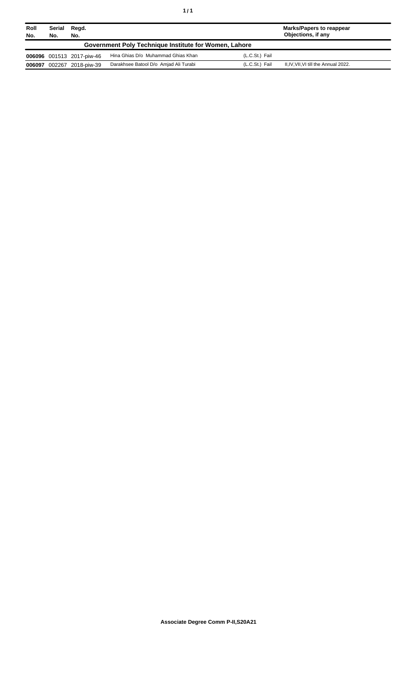| Roll<br>No.                                           | Serial<br>No. | Regd.<br>No.              |                                       |                | Marks/Papers to reappear<br>Objections, if any |  |  |
|-------------------------------------------------------|---------------|---------------------------|---------------------------------------|----------------|------------------------------------------------|--|--|
| Government Poly Technique Institute for Women, Lahore |               |                           |                                       |                |                                                |  |  |
|                                                       |               | 006096 001513 2017-piw-46 | Hina Ghias D/o Muhammad Ghias Khan    | (L.C.St.) Fail |                                                |  |  |
| 006097                                                |               | 002267 2018-piw-39        | Darakhsee Batool D/o Amjad Ali Turabi | (L.C.St.) Fail | II, IV, VII, VI till the Annual 2022.          |  |  |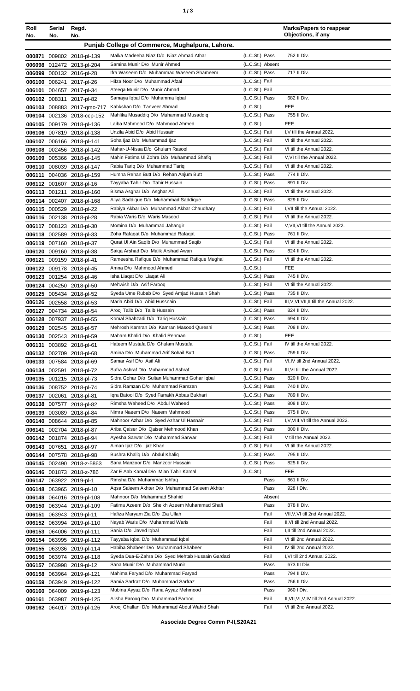| Roll<br>No. | Serial<br>No. | Regd.<br>No.                                           |                                                                                 |                                  | <b>Marks/Papers to reappear</b><br>Objections, if any  |
|-------------|---------------|--------------------------------------------------------|---------------------------------------------------------------------------------|----------------------------------|--------------------------------------------------------|
|             |               |                                                        | Punjab College of Commerce, Mughalpura, Lahore.                                 |                                  |                                                        |
| 000871      |               | 009802 2018-pl-139                                     | Malka Madeeha Niaz D/o Niaz Ahmad Athar                                         | (L.C.St.) Pass                   | 752 II Div.                                            |
|             |               | 006098 012472 2013-pl-204                              | Samina Munir D/o Munir Ahmed                                                    | (L.C.St.) Absent                 |                                                        |
| 006099      |               | 000132 2016-pl-28                                      | Ifra Waseem D/o Muhammad Waseem Shameem                                         | (L.C.St.) Pass                   | 717 II Div.                                            |
| 006100      |               | 006241 2017-pl-26                                      | Hifza Noor D/o Muhammad Afzal                                                   | (L.C.St.) Fail                   |                                                        |
|             |               | 006101 004657 2017-pl-34                               | Ateega Munir D/o Munir Ahmad                                                    | (L.C.St.) Fail                   |                                                        |
|             |               | 006102 008311 2017-pl-82                               | Samaya Iqbal D/o Muhamma Iqbal                                                  | (L.C.St.) Pass                   | 682 II Div.                                            |
|             |               | 006103 008883 2017-qmc-717                             | Kahkshan D/o Tanveer Ahmad                                                      | (L.C.St.)                        | <b>FEE</b>                                             |
|             |               | 006104 002136 2018-ccp-152                             | Mahlika Musaddig D/o Muhammad Musaddig                                          | (L.C.St.) Pass                   | 755 II Div.                                            |
|             |               | 006105 009179 2018-pl-136                              | Laiba Mahmood D/o Mahmood Ahmed                                                 | (L.C.S <sub>t</sub> )            | <b>FEE</b>                                             |
|             |               | 006106 007819 2018-pl-138                              | Unzila Abid D/o Abid Hussain                                                    | (L.C.St.) Fail<br>(L.C.St.) Fail | I, V till the Annual 2022.<br>VI till the Annual 2022. |
|             |               | 006107 006166 2018-pl-141                              | Soha Ijaz D/o Muhammad Ijaz<br>Mahar-U-Nissa D/o Ghulam Rasool                  | (L.C.St.) Fail                   | VI till the Annual 2022.                               |
|             |               | 006108 002456 2018-pl-142<br>006109 005366 2018-pl-145 | Mahin Fatima UI Zohra D/o Muhammad Shafiq                                       | (L.C.St.) Fail                   | V, VI till the Annual 2022.                            |
|             |               | 006110 008039 2018-pl-147                              | Rabia Tariq D/o Muhammad Tariq                                                  | (L.C.St.) Fail                   | VI till the Annual 2022.                               |
| 006111      |               | 004036 2018-pl-159                                     | Humna Rehan Butt D/o Rehan Anjum Butt                                           | (L.C.St.) Pass                   | 774 II Div.                                            |
|             |               | 006112 001607 2018-pl-16                               | Tayyaba Tahir D/o Tahir Hussain                                                 | (L.C.St.) Pass                   | 891 II Div.                                            |
|             | 006113 001211 | 2018-pl-160                                            | Bisma Asghar D/o Asghar Ali                                                     | (L.C.St.) Fail                   | VI till the Annual 2022.                               |
|             |               | 006114 002407 2018-pl-168                              | Aliya Saddique D/o Muhammad Saddique                                            | (L.C.St.) Pass                   | 829 II Div.                                            |
|             |               | 006115 000529 2018-pl-22                               | Rabiya Akbar D/o Muhammad Akbar Chaudhary                                       | (L.C.St.) Fail                   | I, VII till the Annual 2022.                           |
|             |               | 006116 002138 2018-pl-28                               | Rabia Waris D/o Waris Masood                                                    | (L.C.St.) Fail                   | VI till the Annual 2022.                               |
|             |               | 006117 008123 2018-pl-30                               | Momina D/o Muhammad Jahangir                                                    | (L.C.St.) Fail                   | V, VII, VI till the Annual 2022.                       |
|             |               | 006118 002589 2018-pl-33                               | Zoha Rafaqat D/o Muhammad Rafaqat                                               | (L.C.St.) Pass                   | 761 II Div.                                            |
|             |               | 006119 007160 2018-pl-37                               | Qurat UI Ain Saqib D/o Muhammad Saqib                                           | (L.C.St.) Fail                   | VI till the Annual 2022.                               |
|             |               | 006120 009160 2018-pl-38                               | Saiga Arshad D/o Malik Arshad Awan                                              | (L.C.St.) Pass                   | 824 II Div.                                            |
|             |               | 006121 009159 2018-pl-41                               | Rameesha Rafique D/o Muhammad Rafique Mughal                                    | (L.C.St.) Fail                   | VI till the Annual 2022.                               |
|             |               | 006122 009178 2018-pl-45                               | Amna D/o Mahmood Ahmed                                                          | (L.C.St.)                        | <b>FEE</b>                                             |
|             |               | 006123 001254 2018-pl-46                               | Isha Liaqat D/o Liaqat Ali                                                      | (L.C.St.) Pass                   | 745 II Div.                                            |
|             |               | 006124 004250 2018-pl-50                               | Mehwish D/o Asif Faroog                                                         | (L.C.St.) Fail                   | VI till the Annual 2022.<br>735 II Div.                |
|             |               | 006125 005434 2018-pl-52                               | Syeda Ume Rubab D/o Syed Amjad Hussain Shah<br>Maria Abid D/o Abid Hussnain     | (L.C.St.) Pass<br>(L.C.St.) Fail | III, V, VI, VII, II till the Annual 2022.              |
|             |               | 006126 002558 2018-pl-53<br>006127 004734 2018-pl-54   | Arooj Talib D/o Talib Hussain                                                   | (L.C.St.) Pass                   | 824 II Div.                                            |
|             |               | 006128 007937 2018-pl-55                               | Komal Shahzadi D/o Tariq Hussain                                                | (L.C.St.) Pass                   | 694 II Div.                                            |
|             |               | 006129 002545 2018-pl-57                               | Mehrosh Kamran D/o Kamran Masood Qureshi                                        | (L.C.St.) Pass                   | 708 II Div.                                            |
|             |               | 006130 002543 2018-pl-59                               | Maham Khalid D/o Khalid Rehman                                                  | (L.C.St.)                        | FEE                                                    |
|             |               | 006131 003892 2018-pl-61                               | Hateem Mustafa D/o Ghulam Mustafa                                               | (L.C.St.) Fail                   | IV till the Annual 2022.                               |
|             |               | 006132 002709 2018-pl-68                               | Amina D/o Muhammad Arif Sohail Butt                                             | (L.C.St.) Pass                   | 759 II Div.                                            |
|             |               | 006133 007584 2018-pl-69                               | Samar Asif D/o Asif Ali                                                         | (L.C.St.) Fail                   | VI, IV till 2nd Annual 2022.                           |
|             |               | 006134 002591 2018-pl-72                               | Sufra Ashraf D/o Muhammad Ashraf                                                | (L.C.St.) Fail                   | III, VI till the Annual 2022.                          |
|             |               | 006135 001215 2018-pl-73                               | Sidra Gohar D/o Sultan Muhammad Gohar Iqbal                                     | (L.C.St.) Pass                   | 820 II Div.                                            |
|             |               | 006136 008752 2018-pl-74                               | Sidra Ramzan D/o Muhammad Ramzan                                                | (L.C.St.) Pass                   | 740 II Div.                                            |
|             | 006137 002061 | 2018-pl-81                                             | Igra Batool D/o Syed Farrakh Abbas Bukhari                                      | (L.C.St.) Pass                   | 789 II Div.                                            |
|             |               | 006138 007577 2018-pl-82                               | Rimsha Waheed D/o Abdul Waheed                                                  | (L.C.St.) Pass                   | 808 II Div.                                            |
|             |               | 006139 003089 2018-pl-84                               | Nimra Naeem D/o Naeem Mahmood                                                   | (L.C.St.) Pass                   | 675 II Div.                                            |
|             |               | 006140 008644 2018-pl-85                               | Mahnoor Azhar D/o Syed Azhar Ul Hasnain<br>Ariba Qaiser D/o Qaiser Mehmood Khan | (L.C.St.) Fail                   | I, V, VIII, VI till the Annual 2022.                   |
|             |               | 006141 002704 2018-pl-87<br>006142 001874 2018-pl-94   | Ayesha Sarwar D/o Muhammad Sarwar                                               | (L.C.St.) Pass<br>(L.C.St.) Fail | 800 II Div.<br>V till the Annual 2022.                 |
|             |               | 006143 007651 2018-pl-97                               | Aiman Ijaz D/o Ijaz Khan                                                        | (L.C.St.) Fail                   | VI till the Annual 2022.                               |
|             |               | 006144 007578 2018-pl-98                               | Bushra Khaliq D/o Abdul Khaliq                                                  | (L.C.St.) Pass                   | 795 II Div.                                            |
|             |               | 006145 002490 2018-z-5863                              | Sana Manzoor D/o Manzoor Hussain                                                | (L.C.St.) Pass                   | 825 II Div.                                            |
|             |               | 006146 001873 2018-z-786                               | Zar E Aab Kamal D/o Mian Tahir Kamal                                            | (L.C.St.)                        | <b>FEE</b>                                             |
|             |               | 006147 063922 2019-pl-1                                | Rimsha D/o Muhammad Ishfaq                                                      | Pass                             | 861 II Div.                                            |
|             |               | 006148 063965 2019-pl-10                               | Agsa Saleem Akhter D/o Muhammad Saleem Akhter                                   | Pass                             | 928 I Div.                                             |
|             |               | 006149 064016 2019-pl-108                              | Mahnoor D/o Muhammad Shahid                                                     | Absent                           |                                                        |
|             |               | 006150 063944 2019-pl-109                              | Fatima Azeem D/o Sheikh Azeem Muhammad Shafi                                    | Pass                             | 878 II Div.                                            |
|             |               | 006151 063943 2019-pl-11                               | Hafiza Maryam Zia D/o Zia Ullah                                                 | Fail                             | VII, V, VI till 2nd Annual 2022.                       |
|             |               | 006152 063994 2019-pl-110                              | Nayab Waris D/o Muhammad Waris                                                  | Fail                             | II, VI till 2nd Annual 2022.                           |
|             |               | 006153 064006 2019-pl-111                              | Sania D/o Javed Iqbal                                                           | Fail                             | I, II till 2nd Annual 2022.                            |
|             |               | 006154 063995 2019-pl-112                              | Tayyaba Iqbal D/o Muhammad Iqbal                                                | Fail                             | VI till 2nd Annual 2022.                               |
|             |               | 006155 063936 2019-pl-114                              | Habiba Shabeer D/o Muhammad Shabeer                                             | Fail                             | IV till 2nd Annual 2022.                               |
|             |               | 006156 063974 2019-pl-118                              | Syeda Dua-E-Zahra D/o Syed Mehtab Hussain Gardazi                               | Fail                             | I, VI till 2nd Annual 2022.                            |
|             |               | 006157 063998 2019-pl-12                               | Sana Munir D/o Muhammad Munir                                                   | Pass                             | 673 III Div.<br>794 II Div.                            |
|             |               | 006158 063964 2019-pl-121                              | Mahima Faryad D/o Muhammad Faryad<br>Samia Sarfraz D/o Muhammad Sarfraz         | Pass<br>Pass                     | 756 II Div.                                            |
|             |               | 006159 063949 2019-pl-122<br>006160 064009 2019-pl-123 | Mubina Ayyaz D/o Rana Ayyaz Mehmood                                             | Pass                             | 960   Div.                                             |
|             |               | 006161 063987 2019-pl-125                              | Alisha Farooq D/o Muhammad Farooq                                               | Fail                             | II, VII, VI, V, IV till 2nd Annual 2022.               |
|             |               | 006162 064017 2019-pl-126                              | Arooj Ghallani D/o Muhammad Abdul Wahid Shah                                    | Fail                             | VI till 2nd Annual 2022.                               |
|             |               |                                                        |                                                                                 |                                  |                                                        |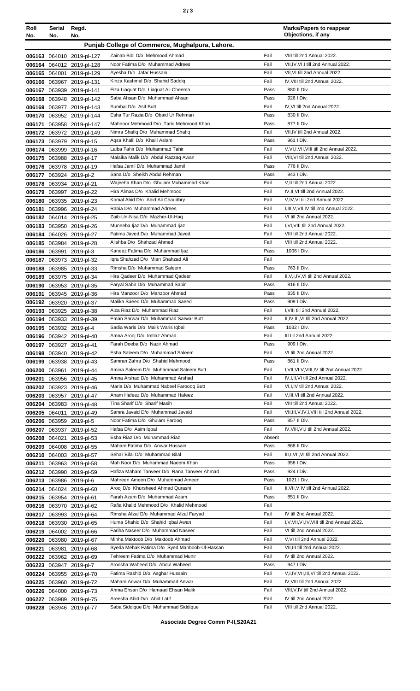| Roll<br>No. | Serial<br>No. | Regd.<br>No.                                         |                                                                              |              | <b>Marks/Papers to reappear</b><br>Objections, if any                       |
|-------------|---------------|------------------------------------------------------|------------------------------------------------------------------------------|--------------|-----------------------------------------------------------------------------|
|             |               |                                                      | Punjab College of Commerce, Mughalpura, Lahore.                              |              |                                                                             |
|             |               | 006163 064010 2019-pl-127                            | Zainab Bibi D/o Mehmood Ahmad                                                | Fail         | VIII till 2nd Annual 2022.                                                  |
|             |               | 006164 064012 2019-pl-128                            | Noor Fatima D/o Muhammad Adrees                                              | Fail         | VII, IV, VI, I till 2nd Annual 2022.                                        |
|             |               | 006165 064001 2019-pl-129                            | Ayesha D/o Jafar Hussain                                                     | Fail         | VII, VI till 2nd Annual 2022.                                               |
|             |               | 006166 063967 2019-pl-131                            | Kinza Kashmal D/o Shahid Saddig                                              | Fail         | IV, VIII till 2nd Annual 2022.                                              |
|             |               | 006167 063939 2019-pl-141                            | Fiza Liaquat D/o Liaquat Ali Cheema                                          | Pass         | 880 II Div.                                                                 |
|             |               | 006168 063948 2019-pl-142                            | Saba Ahsan D/o Muhammad Ahsan                                                | Pass         | 926   Div.                                                                  |
|             |               | 006169 063977 2019-pl-143                            | Sumbal D/o Asif Butt                                                         | Fail         | IV.VI till 2nd Annual 2022.                                                 |
|             |               | 006170 063952 2019-pl-144                            | Esha Tur Razia D/o Obaid Ur Rehman<br>Mahnoor Mehmood D/o Tariq Mehmood Khan | Pass<br>Pass | 830 II Div.<br>877 II Div.                                                  |
| 006171      |               | 063958 2019-pl-147<br>006172 063972 2019-pl-149      | Nimra Shafiq D/o Muhammad Shafiq                                             | Fail         | VII, IV till 2nd Annual 2022.                                               |
|             |               | 006173 063979 2019-pl-15                             | Aqsa Khalil D/o Khalil Aslam                                                 | Pass         | 961   Div.                                                                  |
|             |               | 006174 063999 2019-pl-16                             | Laiba Tahir D/o Muhammad Tahir                                               | Fail         | V, VI, I, VII, VIII till 2nd Annual 2022.                                   |
|             |               | 006175 063988 2019-pl-17                             | Malaika Malik D/o Abdul Razzaq Awan                                          | Fail         | VIII, VI till 2nd Annual 2022.                                              |
|             |               | 006176 063978 2019-pl-19                             | Hafsa Jamil D/o Muhammad Jamil                                               | Pass         | 776 II Div.                                                                 |
|             |               | 006177 063924 2019-pl-2                              | Sana D/o Sheikh Abdul Rehman                                                 | Pass         | 943 I Div.                                                                  |
|             |               | 006178 063934 2019-pl-21                             | Wajeeha Khan D/o Ghulam Muhammad Khan                                        | Fail         | V, II till 2nd Annual 2022.                                                 |
|             |               | 006179 063997 2019-pl-22                             | Hira Almas D/o Khalid Mehmood                                                | Fail         | IV, II, VI till 2nd Annual 2022.                                            |
|             |               | 006180 063935 2019-pl-23                             | Komal Abid D/o Abid Ali Chaudhry<br>Rabia D/o Muhammad Adrees                | Fail<br>Fail | V, IV, VI till 2nd Annual 2022.<br>I, III, V, VII, IV till 2nd Annual 2022. |
| 006181      |               | 063996 2019-pl-24                                    | Zaib-Un-Nisa D/o Mazher-Ul-Haq                                               | Fail         | VI till 2nd Annual 2022.                                                    |
|             |               | 006182 064014 2019-pl-25<br>006183 063950 2019-pl-26 | Muneeba Ijaz D/o Muhammad Ijaz                                               | Fail         | I, VI, VIII till 2nd Annual 2022.                                           |
|             |               | 006184 064026 2019-pl-27                             | Fatima Javed D/o Muhammad Javed                                              | Fail         | VIII till 2nd Annual 2022.                                                  |
|             |               | 006185 063984 2019-pl-28                             | Alishba D/o Shahzad Ahmed                                                    | Fail         | VIII till 2nd Annual 2022.                                                  |
|             |               | 006186 063991 2019-pl-3                              | Kaneez Fatima D/o Muhammad Ijaz                                              | Pass         | 1006   Div.                                                                 |
|             |               | 006187 063973 2019-pl-32                             | Igra Shahzad D/o Mian Shahzad Ali                                            | Fail         |                                                                             |
|             |               | 006188 063985 2019-pl-33                             | Rimsha D/o Muhammad Saleem                                                   | Pass         | 763 II Div.                                                                 |
|             |               | 006189 063975 2019-pl-34                             | Hira Qadeer D/o Muhammad Qadeer                                              | Fail         | II, V, I, IV, VI till 2nd Annual 2022.                                      |
| 006190      |               | 063953 2019-pl-35                                    | Faryal Sabir D/o Muhammad Sabir                                              | Pass         | 816 II Div.                                                                 |
| 006191      |               | 063945 2019-pl-36                                    | Hira Manzoor D/o Manzoor Ahmad                                               | Pass         | 835 II Div.                                                                 |
|             |               | 006192 063920 2019-pl-37                             | Malika Saeed D/o Muhammad Saeed<br>Aiza Riaz D/o Muhammad Riaz               | Pass<br>Fail | 909   Div.<br>I, VIII till 2nd Annual 2022.                                 |
|             |               | 006193 063925 2019-pl-38                             | Eman Sarwar D/o Muhammad Sarwar Butt                                         | Fail         | II, IV, III, VI till 2nd Annual 2022.                                       |
|             |               | 006194 063933 2019-pl-39<br>006195 063932 2019-pl-4  | Sadia Waris D/o Malik Waris Iqbal                                            | Pass         | 1032   Div.                                                                 |
|             |               | 006196 063942 2019-pl-40                             | Amna Arooj D/o Imtiaz Ahmad                                                  | Fail         | III till 2nd Annual 2022.                                                   |
|             |               | 006197 063927 2019-pl-41                             | Farah Deeba D/o Nazir Ahmad                                                  | Pass         | 909 I Div.                                                                  |
|             |               | 006198 063940 2019-pl-42                             | Esha Saleem D/o Muhammad Saleem                                              | Fail         | VI till 2nd Annual 2022.                                                    |
|             |               | 006199 063938 2019-pl-43                             | Samran Zahra D/o Shahid Mehmood                                              | Pass         | 861 II Div.                                                                 |
|             |               | 006200 063961 2019-pl-44                             | Amina Saleem D/o Muhammad Saleem Butt                                        | Fail         | I, VII, VI, V, VIII, IV till 2nd Annual 2022.                               |
|             |               | 006201 063956 2019-pl-45                             | Amna Arshad D/o Muhammad Arshad                                              | Fail         | IV, I, II, VI till 2nd Annual 2022.                                         |
|             |               | 006202 063923 2019-pl-46                             | Maria D/o Muhammad Nabeel Farooog Butt                                       | Fail         | VI, I, IV till 2nd Annual 2022.                                             |
|             |               | 006203 063957 2019-pl-47                             | Anam Hafeez D/o Muhammad Hafeez<br>Tina Sharif D/o Sharif Masih              | Fail<br>Fail | V, III, VI till 2nd Annual 2022.<br>VIII till 2nd Annual 2022.              |
|             | 006205 064011 | 006204 063983 2019-pl-48<br>2019-pl-49               | Samra Javaid D/o Muhammad Javaid                                             | Fail         | VII, III, V, IV, I, VIII till 2nd Annual 2022.                              |
|             |               | 006206 063959 2019-pl-5                              | Noor Fatima D/o Ghulam Farooq                                                | Pass         | 857 II Div.                                                                 |
|             |               | 006207 063937 2019-pl-52                             | Hafsa D/o Asim Iqbal                                                         | Fail         | IV, VIII, VI, I till 2nd Annual 2022.                                       |
|             |               | 006208 064021 2019-pl-53                             | Esha Riaz D/o Muhammad Riaz                                                  | Absent       |                                                                             |
|             |               | 006209 064008 2019-pl-55                             | Maham Fatima D/o Anwar Hussain                                               | Pass         | 868 II Div.                                                                 |
|             |               | 006210 064003 2019-pl-57                             | Sehar Bilal D/o Muhammad Bilal                                               | Fail         | III, I, VII, VI till 2nd Annual 2022.                                       |
|             |               | 006211 063963 2019-pl-58                             | Mah Noor D/o Muhammad Naeem Khan                                             | Pass         | 958 I Div.                                                                  |
|             |               | 006212 063990 2019-pl-59                             | Hafiza Maham Tanveer D/o Rana Tanveer Ahmad                                  | Pass         | 924   Div.                                                                  |
|             |               | 006213 063986 2019-pl-6                              | Mahreen Ameen D/o Muhammad Ameen                                             | Pass         | 1021 I Div.                                                                 |
|             |               | 006214 064024 2019-pl-60                             | Arooj D/o Khursheed Ahmad Qurashi                                            | Fail         | II, VII, V, IV till 2nd Annual 2022.                                        |
|             |               | 006215 063954 2019-pl-61                             | Farah Azam D/o Muhammad Azam<br>Rafia Khalid Mehmood D/o Khalid Mehmood      | Pass<br>Fail | 851 II Div.                                                                 |
|             |               | 006216 063970 2019-pl-62<br>006217 063993 2019-pl-64 | Rimsha Afzal D/o Muhammad Afzal Faryad                                       | Fail         | IV till 2nd Annual 2022.                                                    |
|             |               | 006218 063930 2019-pl-65                             | Huma Shahid D/o Shahid Iqbal Awan                                            | Fail         | I, V, VII, VI, IV, VIII till 2nd Annual 2022.                               |
|             |               | 006219 064002 2019-pl-66                             | Fariha Naseer D/o Muhammad Naseer                                            | Fail         | VI till 2nd Annual 2022.                                                    |
|             |               | 006220 063980 2019-pl-67                             | Minha Maktoob D/o Maktoob Ahmad                                              | Fail         | V, VI till 2nd Annual 2022.                                                 |
| 006221      | 063981        | 2019-pl-68                                           | Syeda Mehak Fatima D/o Syed Mahboob-Ul-Hassan                                | Fail         | VII, III till 2nd Annual 2022.                                              |
| 006222      |               | 063962 2019-pl-69                                    | Tehreem Fatima D/o Muhammad Munir                                            | Fail         | IV till 2nd Annual 2022.                                                    |
|             |               | 006223 063947 2019-pl-7                              | Aroosha Waheed D/o Abdul Waheed                                              | Pass         | 947   Div.                                                                  |
|             |               | 006224 063955 2019-pl-70                             | Fatima Rashid D/o Asghar Hussain                                             | Fail         | V,I,IV, VII, III, VI till 2nd Annual 2022.                                  |
|             |               | 006225 063960 2019-pl-72                             | Maham Anwar D/o Muhammad Anwar                                               | Fail         | IV, VIII till 2nd Annual 2022.                                              |
|             |               | 006226 064000 2019-pl-73                             | Ahma Ehsan D/o Hamaad Ehsan Malik                                            | Fail         | VIII, V, IV till 2nd Annual 2022.<br>IV till 2nd Annual 2022.               |
|             |               | 006227 063989 2019-pl-75                             | Areesha Abid D/o Abid Latif<br>Saba Siddique D/o Muhammad Siddique           | Fail<br>Fail | VIII till 2nd Annual 2022.                                                  |
|             |               | 006228 063946 2019-pl-77                             |                                                                              |              |                                                                             |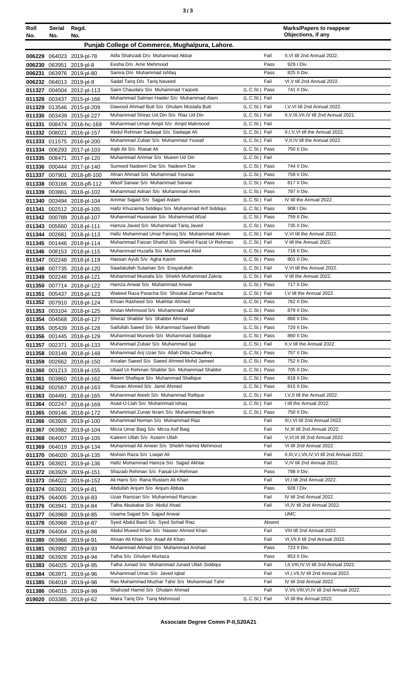| Roll<br>No.   | Serial<br>No. | Regd.<br>No.                                            |                                                                                  |                                  | <b>Marks/Papers to reappear</b><br>Objections, if any                             |
|---------------|---------------|---------------------------------------------------------|----------------------------------------------------------------------------------|----------------------------------|-----------------------------------------------------------------------------------|
|               |               |                                                         | Punjab College of Commerce, Mughalpura, Lahore.                                  |                                  |                                                                                   |
|               |               | 006229 064023 2019-pl-78                                | Atifa Shahzadi D/o Muhammad Akbar                                                | Fail                             | II, VI till 2nd Annual 2022.                                                      |
| 006230 063951 |               | 2019-pl-8                                               | Eesha D/o Amir Mehmood                                                           | Pass                             | 929 I Div.                                                                        |
| 006231        |               | 063976 2019-pl-80                                       | Samra D/o Muhammad Ishfaq                                                        | Pass                             | 825 II Div.                                                                       |
| 006232        |               | 064013 2019-pl-9                                        | Sadaf Tariq D/o Tariq Naveed                                                     | Fail                             | VI, V till 2nd Annual 2022.                                                       |
| 011327        |               | 004504 2012-pl-113                                      | Saim Chaudary S/o Muhammad Yaqoob                                                | (L.C.St.) Pass                   | 741 II Div.                                                                       |
|               |               | 011328 003437 2015-pl-166                               | Muhammad Salman Haider S/o Muhammad Alam                                         | (L.C.St.) Fail                   |                                                                                   |
|               |               | 011329 013546 2015-pl-209                               | Dawood Ahmad Butt S/o Ghulam Mustafa Butt                                        | (L.C.St.) Fail                   | I, V, VI till 2nd Annual 2022.                                                    |
|               |               | 011330 003439 2015-pl-227                               | Muhammad Shiraz Ud Din S/o Riaz Ud Din                                           | (L.C.St.) Fail                   | II, V, III, VII, IV till 2nd Annual 2021.                                         |
| 011331        |               | 008474 2016-hc-169                                      | Muhammad Umair Amjid S/o Amjid Mahmood                                           | (L.C.St.) Fail                   |                                                                                   |
| 011332 008021 |               | 2016-pl-157                                             | Abdul Rehman Sadaqat S/o Sadaqat Ali                                             | (L.C.St.) Fail                   | II, I, V, VI till the Annual 2022.                                                |
|               |               | 011333 011575 2016-pl-200                               | Muhammad Zubair S/o Muhammad Yousaf                                              | (L.C.St.) Fail                   | V, II, IV till the Annual 2022.                                                   |
| 011334        |               | 006293 2017-pl-103                                      | Agib Ali S/o Riasat Ali                                                          | (L.C.St.) Pass                   | 750 II Div.                                                                       |
| 011335        | 008471        | 2017-pl-120                                             | Muhammad Ammar S/o Mueen Ud Din                                                  | (L.C.St.) Fail                   |                                                                                   |
|               |               | 011336 000444 2017-pl-140                               | Sumeed Nadeem Dar S/o Nadeem Dar<br>Afnan Ahmad S/o Muhammad Younas              | (L.C.St.) Pass<br>(L.C.St.) Pass | 744 II Div.<br>758 II Div.                                                        |
|               |               | 011337 007901 2018-pfl-100                              | Wasif Sarwar S/o Muhammad Sarwar                                                 | (L.C.St.) Pass                   | 817 II Div.                                                                       |
|               |               | 011338 003166 2018-pfl-112<br>011339 003861 2018-pl-102 | Muhammad Adnan S/o Muhammad Amin                                                 | (L.C.St.) Pass                   | 797 II Div.                                                                       |
|               |               | 011340 003494 2018-pl-104                               | Ammar Sajjad S/o Sajjad Aslam                                                    | (L.C.St.) Fail                   | IV till the Annual 2022.                                                          |
|               |               | 011341 002512 2018-pl-105                               | Hafiz Khuzaima Siddiqui S/o Muhammad Arif Siddiqui                               | (L.C.St.) Pass                   | 908 I Div.                                                                        |
|               |               | 011342 000789 2018-pl-107                               | Muhammad Hussnain S/o Muhammad Afzal                                             | (L.C.St.) Pass                   | 759 II Div.                                                                       |
|               |               | 011343 005660 2018-pl-111                               | Hamza Javed S/o Muhammad Tariq Javed                                             | (L.C.St.) Pass                   | 735 II Div.                                                                       |
|               |               | 011344 002681 2018-pl-113                               | Hafiz Muhammad Umar Farooq S/o Muhammad Akram                                    | (L.C.St.) Fail                   | V, VI till the Annual 2022.                                                       |
|               |               | 011345 001446 2018-pl-114                               | Muhammad Faizan Shahid S/o Shahid Fazal Ur Rehman                                | (L.C.St.) Fail                   | V till the Annual 2022.                                                           |
|               |               | 011346 008153 2018-pl-115                               | Muhammad Huzaifa S/o Muhammad Abid                                               | (L.C.St.) Pass                   | 718 II Div.                                                                       |
| 011347        |               | 002248 2018-pl-119                                      | Hassan Ayub S/o Agha Karim                                                       | (L.C.St.) Pass                   | 801 II Div.                                                                       |
| 011348        |               | 007735 2018-pl-120                                      | Saadatullah Sulaman S/o Enayatullah                                              | (L.C.St.) Fail                   | V, VI till the Annual 2022.                                                       |
|               |               | 011349 002246 2018-pl-121                               | Muhammad Mustafa S/o Shiekh Muhammad Zakria                                      | (L.C.St.) Fail                   | V till the Annual 2022.                                                           |
| 011350        |               | 007714 2018-pl-122                                      | Hamza Anwar S/o Muhammad Anwar                                                   | (L.C.St.) Pass                   | 717 II Div.                                                                       |
| 011351        |               | 005437 2018-pl-123                                      | Waleed Raza Paracha S/o Shoukat Zaman Paracha                                    | (L.C.St.) Fail<br>(L.C.St.) Pass | I, V till the Annual 2022.                                                        |
|               |               | 011352 007910 2018-pl-124                               | Ehsan Rasheed S/o Mukhtar Ahmed<br>Arslan Mehmood S/o Muhammad Altaf             | (L.C.St.) Pass                   | 762 II Div.<br>879 II Div.                                                        |
|               |               | 011353 003104 2018-pl-125<br>011354 004568 2018-pl-127  | Sheraz Shabbir S/o Shabbir Ahmad                                                 | (L.C.St.) Pass                   | 866 II Div.                                                                       |
|               |               | 011355 005439 2018-pl-128                               | Saifullah Saeed S/o Muhammad Saeed Bhatti                                        | (L.C.St.) Pass                   | 720 II Div.                                                                       |
|               |               | 011356 001445 2018-pl-129                               | Muhammad Muneeb S/o Muhammad Siddique                                            | (L.C.St.) Pass                   | 860 II Div.                                                                       |
|               | 011357 002371 | 2018-pl-133                                             | Muhammad Zubair S/o Muhammad Ijaz                                                | (L.C.St.) Fail                   | II, V till the Annual 2022.                                                       |
|               |               | 011358 003149 2018-pl-148                               | Mohammad Arij Uzair S/o Allah Ditta Chaudhry                                     | (L.C.St.) Pass                   | 757 II Div.                                                                       |
| 011359        |               | 002662 2018-pl-150                                      | Arsalan Saeed S/o Saeed Ahmed Mohd Jameel                                        | (L.C.St.) Pass                   | 752 II Div.                                                                       |
|               |               | 011360 001213 2018-pl-155                               | Ubaid Ur Rehman Shabbir S/o Muhammad Shabbir                                     | (L.C.St.) Pass                   | 705 II Div.                                                                       |
| 011361        |               | 003860 2018-pl-162                                      | Aleem Shafique S/o Muhammad Shafique                                             | (L.C.St.) Pass                   | 818 II Div.                                                                       |
|               |               | 011362 002567 2018-pl-163                               | Rizwan Ahmed S/o Jamil Ahmed                                                     | (L.C.St.) Pass                   | 815 II Div.                                                                       |
|               | 011363 004491 | 2018-pl-165                                             | Muhammad Ateeb S/o Muhammad Rafique                                              | (L.C.St.) Fail                   | I, V, II till the Annual 2022.                                                    |
| 011364        |               | 002247 2018-pl-169                                      | Asad-U-Llah S/o Muhammad Ishaq                                                   | (L.C.St.) Fail                   | I till the Annual 2022.                                                           |
|               |               | 011365 009146 2018-pl-172                               | Muhammad Zunair Ikram S/o Muhammad Ikram                                         | (L.C.St.) Pass                   | 750 II Div.                                                                       |
|               |               | 011366 063926 2019-pl-100                               | Muhammad Noman S/o Muhammad Riaz<br>Mirza Umar Baig S/o Mirza Asif Baig          | Fail<br>Fail                     | III, I, VI till 2nd Annual 2022.<br>IV, III till 2nd Annual 2022.                 |
| 011367        |               | 063982 2019-pl-104                                      | Kaleem Ullah S/o Azeem Ullah                                                     | Fail                             | V, VI, III till 2nd Annual 2022.                                                  |
| 011368        |               | 064007 2019-pl-105<br>011369 064019 2019-pl-134         | Muhammad Ali Ameer S/o Sheikh Hamid Mehmood                                      | Fail                             | VI till 2nd Annual 2022.                                                          |
|               |               | 011370 064020 2019-pl-135                               | Mohsin Raza S/o Liagat Ali                                                       | Fail                             | II, III, V, I, VII, IV, VI till 2nd Annual 2022.                                  |
| 011371        | 063921        | 2019-pl-136                                             | Hafiz Muhammad Hamza S/o Sajjad Akhtar                                           | Fail                             | V, IV till 2nd Annual 2022.                                                       |
|               |               | 011372 063929 2019-pl-151                               | Shazaib Rehman S/o Faisal-Ur-Rehman                                              | Pass                             | 798 II Div.                                                                       |
|               |               | 011373 064022 2019-pl-152                               | Ali Haris S/o Rana Rustam Ali Khan                                               | Fail                             | VI,I till 2nd Annual 2022.                                                        |
| 011374        | 063931        | 2019-pl-81                                              | Abdullah Anjum S/o Anjum Abbas                                                   | Pass                             | 928 I Div.                                                                        |
|               |               | 011375 064005 2019-pl-83                                | Uzair Ramzan S/o Muhammad Ramzan                                                 | Fail                             | IV till 2nd Annual 2022.                                                          |
|               | 011376 063941 | 2019-pl-84                                              | Talha Abubakar S/o Abdul Ahad                                                    | Fail                             | VI, IV till 2nd Annual 2022.                                                      |
|               |               | 011377 063969 2019-pl-85                                | Usama Sajjad S/o Sajjad Anwar                                                    |                                  | <b>UMC</b>                                                                        |
|               |               | 011378 063968 2019-pl-87                                | Syed Abdul Basit S/o Syed Sohail Riaz                                            | Absent                           |                                                                                   |
|               |               | 011379 064004 2019-pl-88                                | Abdul Mueed Khan S/o Naseer Ahmed Khan                                           | Fail                             | VIII till 2nd Annual 2022.                                                        |
| 011380        |               | 063966 2019-pl-91                                       | Ahsan Ali Khan S/o Asad Ali Khan                                                 | Fail                             | VI, VII, II till 2nd Annual 2022.                                                 |
| 011381        |               | 063992 2019-pl-93                                       | Muhammad Ahmad S/o Muhammad Arshad                                               | Pass                             | 723 II Div.                                                                       |
| 011382        |               | 063928 2019-pl-94                                       | Talha S/o Ghulam Murtaza                                                         | Pass                             | 853 II Div.                                                                       |
| 011383        |               | 064025 2019-pl-95                                       | Talha Junaid S/o Muhammad Junaid Ullah Siddiqui<br>Muhammad Umar S/o Javed Iqbal | Fail<br>Fail                     | I, II, VIII, IV, VI till 2nd Annual 2022.<br>VI, I, VII, IV till 2nd Annual 2022. |
| 011384 063971 |               | 2019-pl-96                                              | Rao Muhammad Muzhar Tahir S/o Muhammad Tahir                                     | Fail                             | IV till 2nd Annual 2022.                                                          |
|               |               | 011385 064018 2019-pl-98<br>011386 064015 2019-pl-99    | Shahzad Hamid S/o Ghulam Ahmad                                                   | Fail                             | V, VII, VIII, VI, IV till 2nd Annual 2022.                                        |
|               |               | 019020 003385 2018-pl-62                                | Maira Tariq D/o Tariq Mehmood                                                    | (L.C.St.) Fail                   | VI till the Annual 2022.                                                          |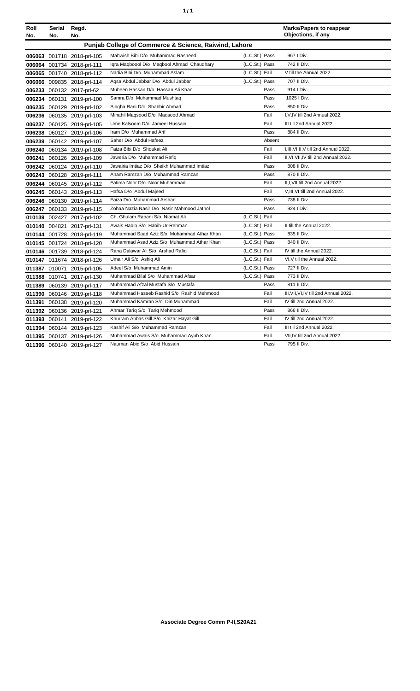| ٠ | ٠ |
|---|---|
|   |   |

| Roll<br>No. | <b>Serial</b><br>No. | Regd.<br>No.               |                                                       |                | <b>Marks/Papers to reappear</b><br>Objections, if any |
|-------------|----------------------|----------------------------|-------------------------------------------------------|----------------|-------------------------------------------------------|
|             |                      |                            | Punjab College of Commerce & Science, Raiwind, Lahore |                |                                                       |
|             |                      | 006063 001718 2018-prl-105 | Mahwish Bibi D/o Muhammad Rasheed                     | (L.C.St.) Pass | 967   Div.                                            |
|             |                      | 006064 001734 2018-prl-111 | Igra Magboool D/o Magbool Ahmad Chaudhary             | (L.C.St.) Pass | 742 II Div.                                           |
|             |                      | 006065 001740 2018-prl-112 | Nadia Bibi D/o Muhammad Aslam                         | (L.C.St.) Fail | V till the Annual 2022.                               |
|             |                      | 006066 009835 2018-prl-114 | Agsa Abdul Jabbar D/o Abdul Jabbar                    | (L.C.St.) Pass | 707 II Div.                                           |
|             |                      | 006233 060132 2017-prl-62  | Mubeen Hassan D/o Hassan Ali Khan                     | Pass           | 914   Div.                                            |
|             |                      | 006234 060131 2019-prl-100 | Samra D/o Muhammad Mushtaq                            | Pass           | 1025   Div.                                           |
|             |                      | 006235 060129 2019-prl-102 | Sibgha Rani D/o Shabbir Ahmad                         | Pass           | 850 II Div.                                           |
|             |                      | 006236 060135 2019-prl-103 | Minahil Maqsood D/o Maqsood Ahmad                     | Fail           | I, V, IV till 2nd Annual 2022.                        |
|             |                      | 006237 060125 2019-prl-105 | Ume Kalsoom D/o Jameel Hussain                        | Fail           | III till 2nd Annual 2022.                             |
|             |                      | 006238 060127 2019-prl-106 | Iram D/o Muhammad Arif                                | Pass           | 884 II Div.                                           |
|             |                      | 006239 060142 2019-prl-107 | Saher D/o Abdul Hafeez                                | Absent         |                                                       |
|             |                      | 006240 060134 2019-prl-108 | Faiza Bibi D/o Shoukat Ali                            | Fail           | I, III, VI, II, V till 2nd Annual 2022.               |
|             |                      | 006241 060126 2019-prl-109 | Jaweria D/o Muhammad Rafiq                            | Fail           | II, VI, VII, IV till 2nd Annual 2022.                 |
|             |                      | 006242 060124 2019-prl-110 | Jawairia Imtiaz D/o Sheikh Muhammad Imtiaz            | Pass           | 808 II Div.                                           |
|             |                      | 006243 060128 2019-prl-111 | Anam Ramzan D/o Muhammad Ramzan                       | Pass           | 870 II Div.                                           |
|             |                      | 006244 060145 2019-prl-112 | Fatima Noor D/o Noor Muhammad                         | Fail           | II, I, VII till 2nd Annual 2022.                      |
|             |                      | 006245 060143 2019-prl-113 | Hafsa D/o Abdul Majeed                                | Fail           | V, III, VI till 2nd Annual 2022.                      |
|             |                      | 006246 060130 2019-prl-114 | Faiza D/o Muhammad Arshad                             | Pass           | 738 II Div.                                           |
|             |                      | 006247 060133 2019-prl-115 | Zohaa Nazia Nasir D/o Nasir Mahmood Jathol            | Pass           | 924   Div.                                            |
|             |                      | 010139 002427 2017-prl-102 | Ch. Ghulam Rabani S/o Niamat Ali                      | (L.C.St.) Fail |                                                       |
| 010140      | 004821               | 2017-prl-131               | Awais Habib S/o Habib-Ur-Rehman                       | (L.C.St.) Fail | II till the Annual 2022.                              |
|             |                      | 010144 001728 2018-prl-119 | Muhammad Saad Aziz S/o Muhammad Athar Khan            | (L.C.St.) Pass | 835 II Div.                                           |
|             |                      | 010145 001724 2018-prl-120 | Muhammad Asad Aziz S/o Muhammad Athar Khan            | (L.C.St.) Pass | 840 II Div.                                           |
|             |                      | 010146 001739 2018-prl-124 | Rana Dalawar Ali S/o Arshad Rafiq                     | (L.C.St.) Fail | IV till the Annual 2022.                              |
|             |                      | 010147 011674 2018-prl-126 | Umair Ali S/o Ashiq Ali                               | (L.C.St.) Fail | VI, V till the Annual 2022.                           |
|             |                      | 011387 010071 2015-prl-105 | Adeel S/o Muhammad Amin                               | (L.C.St.) Pass | 727 II Div.                                           |
|             |                      | 011388 010741 2017-prl-130 | Muhammad Bilal S/o Muhammad Afsar                     | (L.C.St.) Pass | 773 II Div.                                           |
|             |                      | 011389 060139 2019-prl-117 | Muhammad Afzal Mustafa S/o Mustafa                    | Pass           | 811 II Div.                                           |
|             |                      | 011390 060146 2019-prl-118 | Muhammad Haseeb Rashid S/o Rashid Mehmood             | Fail           | III, VII, VI, IV till 2nd Annual 2022.                |
| 011391      |                      | 060138 2019-prl-120        | Muhammad Kamran S/o Din Muhammad                      | Fail           | IV till 2nd Annual 2022.                              |
|             |                      | 011392 060136 2019-prl-121 | Ahmar Tariq S/o Tariq Mehmood                         | Pass           | 866 II Div.                                           |
|             |                      | 011393 060141 2019-prl-122 | Khurram Abbas Gill S/o Khizar Hayat Gill              | Fail           | IV till 2nd Annual 2022.                              |
|             |                      | 011394 060144 2019-prl-123 | Kashif Ali S/o Muhammad Ramzan                        | Fail           | III till 2nd Annual 2022.                             |
|             |                      | 011395 060137 2019-prl-126 | Muhammad Awais S/o Muhammad Ayub Khan                 | Fail           | VII, IV till 2nd Annual 2022.                         |
|             |                      | 011396 060140 2019-prl-127 | Nauman Abid S/o Abid Hussain                          | Pass           | 795 II Div.                                           |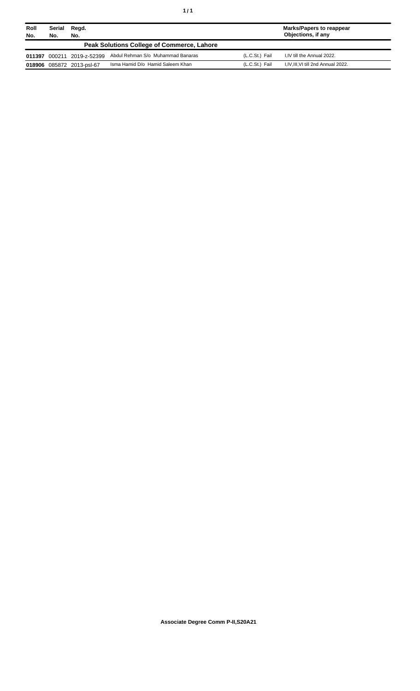| Roll<br>No. | Serial<br>No. | Regd.<br>No.       |                                                   |                | <b>Marks/Papers to reappear</b><br>Objections, if any |
|-------------|---------------|--------------------|---------------------------------------------------|----------------|-------------------------------------------------------|
|             |               |                    | <b>Peak Solutions College of Commerce, Lahore</b> |                |                                                       |
| 011397      | 000211        | 2019-z-52399       | Abdul Rehman S/o Muhammad Banaras                 | (L.C.St.) Fail | I.IV till the Annual 2022.                            |
| 018906      |               | 085872 2013-psl-67 | Isma Hamid D/o Hamid Saleem Khan                  | (L.C.St.) Fail | I, IV, III, VI till 2nd Annual 2022.                  |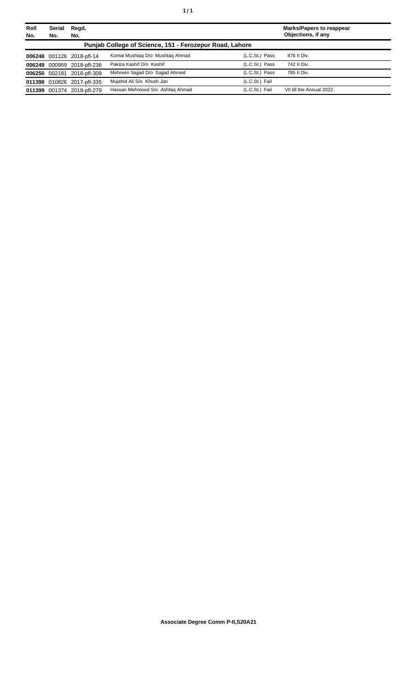| Roll<br>No. | <b>Serial</b><br>No. | Regd.<br>No.               |                                                         |                | <b>Marks/Papers to reappear</b><br>Objections, if any |
|-------------|----------------------|----------------------------|---------------------------------------------------------|----------------|-------------------------------------------------------|
|             |                      |                            | Punjab College of Science, 151 - Ferozepur Road, Lahore |                |                                                       |
|             |                      | 006248 001126 2018-pfl-14  | Komal Mushtag D/o Mushtag Ahmad                         | (L.C.St.) Pass | 876 II Div.                                           |
|             |                      | 006249 000959 2018-pfl-236 | Pakiza Kashif D/o Kashif                                | (L.C.St.) Pass | 742 II Div.                                           |
|             |                      | 006250 002181 2018-pfl-309 | Mehreen Sajjad D/o Sajjad Ahmed                         | (L.C.St.) Pass | 785 II Div.                                           |
|             |                      | 011398 010826 2017-pfl-335 | Mujahid Ali S/o Khush Jan                               | (L.C.St.) Fail |                                                       |
|             |                      | 011399 001374 2018-pfl-279 | Hassan Mehmood S/o Ashfaq Ahmad                         | (L.C.St.) Fail | VII till the Annual 2022.                             |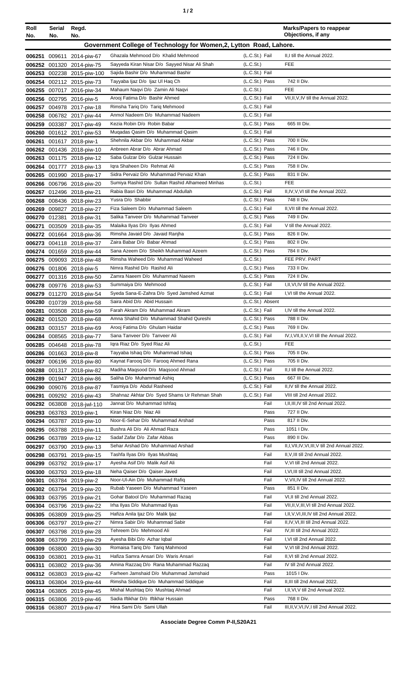|--|

| Roll<br>No. | Serial<br>No. | Regd.<br>No.                                            |                                                                                     |                                  | <b>Marks/Papers to reappear</b><br>Objections, if any                |
|-------------|---------------|---------------------------------------------------------|-------------------------------------------------------------------------------------|----------------------------------|----------------------------------------------------------------------|
|             |               |                                                         | Government College of Technology for Women, 2, Lytton Road, Lahore.                 |                                  |                                                                      |
|             |               |                                                         |                                                                                     |                                  |                                                                      |
|             |               | 006251 009611 2014-piw-67                               | Ghazala Mehmood D/o Khalid Mehmood<br>Sayyeda Kiran Nisar D/o Sayyed Nisar Ali Shah | (L.C.St.) Fail<br>(L.C.St.)      | II,I till the Annual 2022.<br><b>FEE</b>                             |
|             |               | 006252 001320 2014-piw-75<br>006253 002238 2015-piw-100 | Sajida Bashir D/o Muhammad Bashir                                                   | (L.C.St.) Fail                   |                                                                      |
|             |               | 006254 002112 2015-piw-73                               | Tayyaba Ijaz D/o Ijaz UI Haq Ch                                                     | (L.C.St.) Pass                   | 742 II Div.                                                          |
|             |               | 006255 007017 2016-piw-34                               | Mahaum Naqvi D/o Zamin Ali Naqvi                                                    | (L.C.St.)                        | <b>FEE</b>                                                           |
|             |               | 006256 002795 2016-piw-5                                | Arooj Fatima D/o Bashir Ahmed                                                       | (L.C.St.) Fail                   | VII, II, V, IV till the Annual 2022.                                 |
|             |               | 006257 004978 2017-piw-18                               | Rimsha Tariq D/o Tariq Mehmood                                                      | (L.C.St.) Fail                   |                                                                      |
|             |               | 006258 006782 2017-piw-44                               | Anmol Nadeem D/o Muhammad Nadeem                                                    | (L.C.St.) Fail                   |                                                                      |
|             |               | 006259 003387 2017-piw-49                               | Kezia Robin D/o Robin Babar                                                         | (L.C.St.) Pass                   | 665 III Div.                                                         |
|             |               | 006260 001612 2017-piw-53                               | Mugadas Qasim D/o Muhammad Qasim                                                    | (L.C.St.) Fail                   |                                                                      |
|             |               | 006261 001617 2018-piw-1                                | Shehnila Akbar D/o Muhammad Akbar                                                   | (L.C.St.) Pass                   | 700 II Div.                                                          |
|             |               | 006262 001436 2018-piw-10                               | Anbreen Abrar D/o Abrar Ahmad                                                       | (L.C.St.) Pass                   | 746 II Div.                                                          |
|             |               | 006263 001175 2018-piw-12                               | Saba Gulzar D/o Gulzar Hussain                                                      | (L.C.St.) Pass                   | 724 II Div.                                                          |
|             |               | 006264 001777 2018-piw-13                               | Igra Shaheen D/o Rehmat Ali                                                         | (L.C.St.) Pass                   | 758 II Div.                                                          |
|             |               | 006265 001990 2018-piw-17                               | Sidra Pervaiz D/o Muhammad Pervaiz Khan                                             | (L.C.St.) Pass                   | 831 II Div.                                                          |
|             |               | 006266 006796 2018-piw-20                               | Sumiya Rashid D/o Sultan Rashid Alhameed Minhas                                     | (L.C.St.)                        | <b>FEE</b>                                                           |
|             |               | 006267 012496 2018-piw-21                               | Rabia Basri D/o Muhammad Abdullah                                                   | (L.C.St.) Fail                   | II, IV, V, VI till the Annual 2022.                                  |
|             |               | 006268 008436 2018-piw-23                               | Yusra D/o Shabbir                                                                   | (L.C.St.) Pass                   | 748 II Div.                                                          |
|             |               | 006269 009827 2018-piw-27                               | Fiza Saleem D/o Muhammad Saleem                                                     | (L.C.St.) Fail<br>(L.C.St.) Pass | II, VII till the Annual 2022.<br>749 II Div.                         |
|             |               | 006270 012381 2018-piw-31<br>003509 2018-piw-35         | Salika Tanveer D/o Muhammad Tanveer<br>Malaika Ilyas D/o Ilyas Ahmed                | (L.C.St.) Fail                   | V till the Annual 2022.                                              |
| 006271      |               | 006272 001664 2018-piw-36                               | Rimsha Javaid D/o Javaid Ranjha                                                     | (L.C.St.) Pass                   | 826 II Div.                                                          |
|             |               | 006273 004118 2018-piw-37                               | Zaira Babar D/o Babar Ahmad                                                         | (L.C.St.) Pass                   | 802 II Div.                                                          |
|             |               | 006274 001659 2018-piw-44                               | Sana Azeem D/o Sheikh Muhammad Azeem                                                | (L.C.St.) Pass                   | 784 II Div.                                                          |
|             |               | 006275 009093 2018-piw-48                               | Rimsha Waheed D/o Muhammad Waheed                                                   | (L.C.St.)                        | FEE PRV. PART                                                        |
|             |               | 006276 001806 2018-piw-5                                | Nimra Rashid D/o Rashid Ali                                                         | (L.C.St.) Pass                   | 733 II Div.                                                          |
|             |               | 006277 001316 2018-piw-50                               | Zamra Naeem D/o Muhammad Naeem                                                      | (L.C.St.) Pass                   | 724 II Div.                                                          |
|             |               | 006278 009776 2018-piw-53                               | Summaiya D/o Mehmood                                                                | (L.C.St.) Fail                   | I, II, VI, IV till the Annual 2022.                                  |
|             |               | 006279 011270 2018-piw-54                               | Syeda Sana-E-Zahra D/o Syed Jamshed Azmat                                           | (L.C.St.) Fail                   | I, VI till the Annual 2022.                                          |
|             |               | 006280 010739 2018-piw-58                               | Saira Abid D/o Abid Hussain                                                         | (L.C.St.) Absent                 |                                                                      |
|             |               | 006281 003508 2018-piw-59                               | Farah Akram D/o Muhammad Akram                                                      | (L.C.St.) Fail                   | I,IV till the Annual 2022.                                           |
|             |               | 006282 001520 2018-piw-68                               | Amna Shahid D/o Muhammad Shahid Qureshi                                             | (L.C.St.) Pass                   | 788 II Div.                                                          |
|             |               | 006283 003157 2018-piw-69                               | Arooj Fatima D/o Ghulam Haidar                                                      | (L.C.St.) Pass                   | 769 II Div.                                                          |
|             |               | 006284 008565 2018-piw-77                               | Sana Tanveer D/o Tanveer Ali                                                        | (L.C.St.) Fail                   | IV, I, VII, II, V, VI till the Annual 2022.                          |
|             |               | 006285 004648 2018-piw-78                               | Igra Riaz D/o Syed Riaz Ali                                                         | (L.C.St.)                        | FEE                                                                  |
|             |               | 006286 001663 2018-piw-8                                | Tayyaba Ishaq D/o Muhammad Ishaq<br>Kaynat Faroog D/o Faroog Ahmed Rana             | (L.C.St.) Pass<br>(L.C.St.) Pass | 705 II Div.<br>705 II Div.                                           |
|             |               | 006287 006196 2018-piw-80<br>006288 001317 2018-piw-82  | Madiha Maqsood D/o Maqsood Ahmad                                                    | (L.C.St.) Fail                   | II,I till the Annual 2022.                                           |
|             |               | 006289 001947 2018-piw-86                               | Saliha D/o Muhammad Ashiq                                                           | (L.C.St.) Pass                   | 667 III Div.                                                         |
|             |               | 006290 009076 2018-piw-87                               | Tasmiya D/o Abdul Rasheed                                                           | (L.C.St.) Fail                   | II, IV till the Annual 2022.                                         |
|             |               | 006291 009292 2016-piw-43                               | Shahnaz Akhtar D/o Syed Shams Ur Rehman Shah                                        | (L.C.St.) Fail                   | VIII till 2nd Annual 2022.                                           |
|             |               | 006292 063808 2018-jwl-110                              | Jannat D/o Muhammad Ishfaq                                                          | Fail                             | I, II, III, IV till 2nd Annual 2022.                                 |
|             |               | 006293 063783 2019-piw-1                                | Kiran Niaz D/o Niaz Ali                                                             | Pass                             | 727 II Div.                                                          |
|             |               | 006294 063787 2019-piw-10                               | Noor-E-Sehar D/o Muhammad Arshad                                                    | Pass                             | 817 II Div.                                                          |
|             |               | 006295 063788 2019-piw-11                               | Bushra Ali D/o Ali Ahmad Raza                                                       | Pass                             | 1051 I Div.                                                          |
|             |               | 006296 063789 2019-piw-12                               | Sadaf Zafar D/o Zafar Abbas                                                         | Pass                             | 890 II Div.                                                          |
|             |               | 006297 063790 2019-piw-13                               | Sehar Arshad D/o Muhammad Arshad                                                    | Fail                             | II, I, VII, IV, VI, III, V till 2nd Annual 2022.                     |
|             |               | 006298 063791 2019-piw-15                               | Tashfa Ilyas D/o Ilyas Mushtaq                                                      | Fail                             | II, V, III till 2nd Annual 2022.                                     |
|             |               | 006299 063792 2019-piw-17                               | Ayesha Asif D/o Malik Asif Ali                                                      | Fail                             | V, VI till 2nd Annual 2022.                                          |
|             |               | 006300 063793 2019-piw-18                               | Neha Qaiser D/o Qaiser Javed<br>Noor-Ul-Ain D/o Muhammad Rafiq                      | Fail<br>Fail                     | I, VI, III till 2nd Annual 2022.<br>V, VII, IV till 2nd Annual 2022. |
|             |               | 006301 063784 2019-piw-2                                | Rubab Yaseen D/o Muhammad Yaseen                                                    | Pass                             | 851 II Div.                                                          |
|             |               | 006302 063794 2019-piw-20<br>006303 063795 2019-piw-21  | Gohar Batool D/o Muhammad Razaq                                                     | Fail                             | VI, II till 2nd Annual 2022.                                         |
|             |               | 006304 063796 2019-piw-22                               | Irha Ilyas D/o Muhammad Ilyas                                                       | Fail                             | VII, II, V, III, VI till 2nd Annual 2022.                            |
|             |               | 006305 063809 2019-piw-25                               | Hafiza Anila Ijaz D/o Malik Ijaz                                                    | Fail                             | I, II, V, VI, III, IV till 2nd Annual 2022.                          |
|             |               | 006306 063797 2019-piw-27                               | Nimra Sabir D/o Muhammad Sabir                                                      | Fail                             | II, IV, VI, III till 2nd Annual 2022.                                |
|             |               | 006307 063798 2019-piw-28                               | Tehreem D/o Mehmood Ali                                                             | Fail                             | IV, III till 2nd Annual 2022.                                        |
|             |               | 006308 063799 2019-piw-29                               | Ayesha Bibi D/o Azhar Iqbal                                                         | Fail                             | I, VI till 2nd Annual 2022.                                          |
|             |               | 006309 063800 2019-piw-30                               | Romaisa Tariq D/o Tariq Mahmood                                                     | Fail                             | V, VI till 2nd Annual 2022.                                          |
|             |               | 006310 063801 2019-piw-31                               | Hafiza Samra Ansari D/o Waris Ansari                                                | Fail                             | II, VI till 2nd Annual 2022.                                         |
| 006311      |               | 063802 2019-piw-36                                      | Amina Razzag D/o Rana Muhammad Razzag                                               | Fail                             | IV till 2nd Annual 2022.                                             |
|             |               | 006312 063803 2019-piw-42                               | Farheen Jamshaid D/o Muhammad Jamshaid                                              | Pass                             | 1015   Div.                                                          |
|             |               | 006313 063804 2019-piw-44                               | Rimsha Siddique D/o Muhammad Siddique                                               | Fail                             | II, III till 2nd Annual 2022.                                        |
|             |               | 006314 063805 2019-piw-45                               | Mishal Mushtag D/o Mushtag Ahmad                                                    | Fail                             | I, II, VI, V till 2nd Annual 2022.                                   |
|             |               | 006315 063806 2019-piw-46                               | Sadia Iftikhar D/o Iftikhar Hussain                                                 | Pass                             | 768 II Div.                                                          |
|             |               | 006316 063807 2019-piw-47                               | Hina Sami D/o Sami Ullah                                                            | Fail                             | III, II, V, VI, IV, I till 2nd Annual 2022.                          |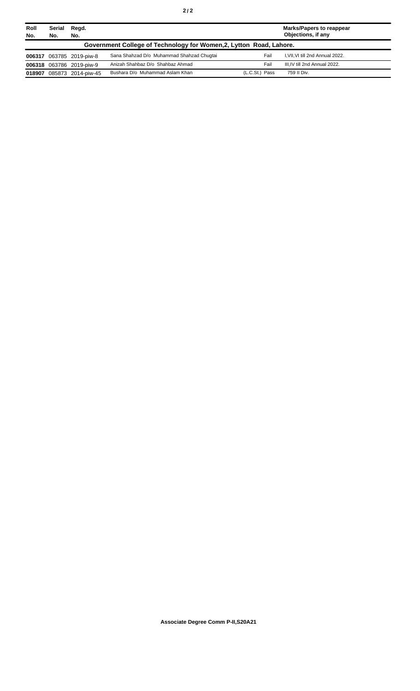| Roll<br>No. | Serial<br>No. | Regd.<br>No.             |                                                                     |                | <b>Marks/Papers to reappear</b><br>Objections, if any |
|-------------|---------------|--------------------------|---------------------------------------------------------------------|----------------|-------------------------------------------------------|
|             |               |                          | Government College of Technology for Women, 2, Lytton Road, Lahore. |                |                                                       |
|             |               | 006317 063785 2019-piw-8 | Sana Shahzad D/o Muhammad Shahzad Chuqtai                           | Fail           | I, VII, VI till 2nd Annual 2022.                      |
|             |               | 006318 063786 2019-piw-9 | Anizah Shahbaz D/o Shahbaz Ahmad                                    | Fail           | III.IV till 2nd Annual 2022.                          |
| 018907      |               | 085873 2014-piw-45       | Bushara D/o Muhammad Aslam Khan                                     | (L.C.St.) Pass | 759 II Div.                                           |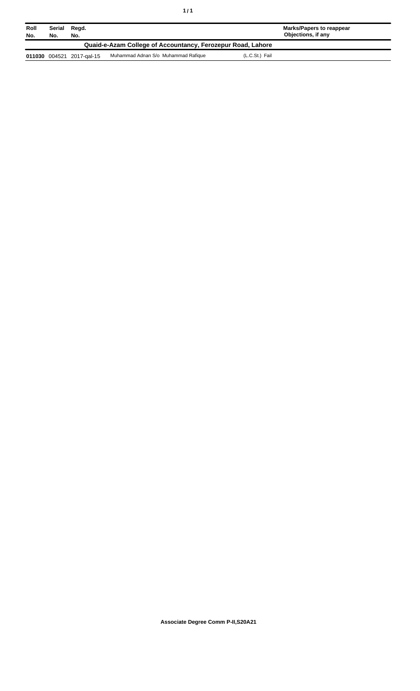| Roll<br>No. | Serial<br>No. | Regd.<br>No.              |                                                             |                | Marks/Papers to reappear<br>Objections, if any |
|-------------|---------------|---------------------------|-------------------------------------------------------------|----------------|------------------------------------------------|
|             |               |                           | Quaid-e-Azam College of Accountancy, Ferozepur Road, Lahore |                |                                                |
|             |               | 011030 004521 2017-gal-15 | Muhammad Adnan S/o Muhammad Rafique                         | (L.C.St.) Fail |                                                |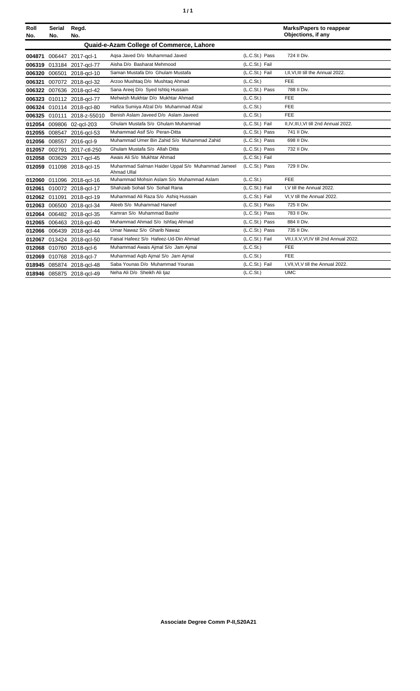|  | ٠ |
|--|---|
|  |   |

| Roll<br>No. | Serial<br>No. | Regd.<br>No.              |                                                                        |                | <b>Marks/Papers to reappear</b><br>Objections, if any |
|-------------|---------------|---------------------------|------------------------------------------------------------------------|----------------|-------------------------------------------------------|
|             |               |                           | Quaid-e-Azam College of Commerce, Lahore                               |                |                                                       |
|             |               | 004871 006447 2017-gcl-1  | Agsa Javed D/o Muhammad Javed                                          | (L.C.St.) Pass | 724 II Div.                                           |
| 006319      |               | 013184 2017-gcl-77        | Aisha D/o Basharat Mehmood                                             | (L.C.St.) Fail |                                                       |
| 006320      |               | 006501 2018-gcl-10        | Saman Mustafa D/o Ghulam Mustafa                                       | (L.C.St.) Fail | I, II, VI, III till the Annual 2022.                  |
| 006321      |               | 007072 2018-gcl-32        | Arzoo Mushtaq D/o Mushtaq Ahmad                                        | (L.C.St.)      | <b>FEE</b>                                            |
| 006322      |               | 007636 2018-acl-42        | Sana Areej D/o Syed Ishtiq Hussain                                     | (L.C.St.) Pass | 788 II Div.                                           |
| 006323      |               | 010112 2018-gcl-77        | Mehwish Mukhtar D/o Mukhtar Ahmad                                      | (L.C.St.)      | <b>FEE</b>                                            |
|             |               | 006324 010114 2018-gcl-80 | Hafiza Sumiya Afzal D/o Muhammad Afzal                                 | (L.C.St.)      | FEE                                                   |
| 006325      |               | 010111 2018-z-55010       | Benish Aslam Javeed D/o Aslam Javeed                                   | (L.C.St.)      | <b>FEE</b>                                            |
|             |               | 012054 009806 02-gcl-203  | Ghulam Mustafa S/o Ghulam Muhammad                                     | (L.C.St.) Fail | II, IV, III, I, VI till 2nd Annual 2022.              |
| 012055      |               | 008547 2016-gcl-53        | Muhammad Asif S/o Peran-Ditta                                          | (L.C.St.) Pass | 741 II Div.                                           |
|             |               | 012056 008557 2016-gcl-9  | Muhammad Umer Bin Zahid S/o Muhammad Zahid                             | (L.C.St.) Pass | 698 II Div.                                           |
| 012057      | 002791        | 2017-ctl-250              | Ghulam Mustafa S/o Allah Ditta                                         | (L.C.St.) Pass | 732 II Div.                                           |
| 012058      |               | 003629 2017-gcl-45        | Awais Ali S/o Mukhtar Ahmad                                            | (L.C.St.) Fail |                                                       |
| 012059      |               | 011098 2018-gcl-15        | Muhammad Salman Haider Uppal S/o Muhammad Jameel<br><b>Ahmad Ullal</b> | (L.C.St.) Pass | 729 II Div.                                           |
|             |               | 012060 011096 2018-gcl-16 | Muhammad Mohsin Aslam S/o Muhammad Aslam                               | (L.C.St.)      | FEE                                                   |
|             |               | 012061 010072 2018-gcl-17 | Shahzaib Sohail S/o Sohail Rana                                        | (L.C.St.) Fail | I, V till the Annual 2022.                            |
|             |               | 012062 011091 2018-gcl-19 | Muhammad Ali Raza S/o Ashig Hussain                                    | (L.C.St.) Fail | VI, V till the Annual 2022.                           |
|             |               | 012063 006500 2018-gcl-34 | Ateeb S/o Muhammad Haneef                                              | (L.C.St.) Pass | 725 II Div.                                           |
| 012064      |               | 006482 2018-gcl-35        | Kamran S/o Muhammad Bashir                                             | (L.C.St.) Pass | 783 II Div.                                           |
|             |               | 012065 006463 2018-gcl-40 | Muhammad Ahmad S/o Ishfaq Ahmad                                        | (L.C.St.) Pass | 884 II Div.                                           |
|             |               | 012066 006439 2018-gcl-44 | Umar Nawaz S/o Gharib Nawaz                                            | (L.C.St.) Pass | 735 II Div.                                           |
|             |               | 012067 013424 2018-gcl-50 | Faisal Hafeez S/o Hafeez-Ud-Din Ahmad                                  | (L.C.St.) Fail | VII, I, II, V, VI, IV till 2nd Annual 2022.           |
|             |               | 012068 010760 2018-gcl-6  | Muhammad Awais Ajmal S/o Jam Ajmal                                     | (L.C.St.)      | <b>FEE</b>                                            |
|             |               | 012069 010768 2018-gcl-7  | Muhammad Aqib Ajmal S/o Jam Ajmal                                      | (L.C.St.)      | FEE                                                   |
|             |               | 018945 085874 2018-gcl-48 | Saba Younas D/o Muhammad Younas                                        | (L.C.St.) Fail | I, VII, VI, V till the Annual 2022.                   |
|             |               | 018946 085875 2018-gcl-49 | Neha Ali D/o Sheikh Ali Ijaz                                           | (L.C.St.)      | <b>UMC</b>                                            |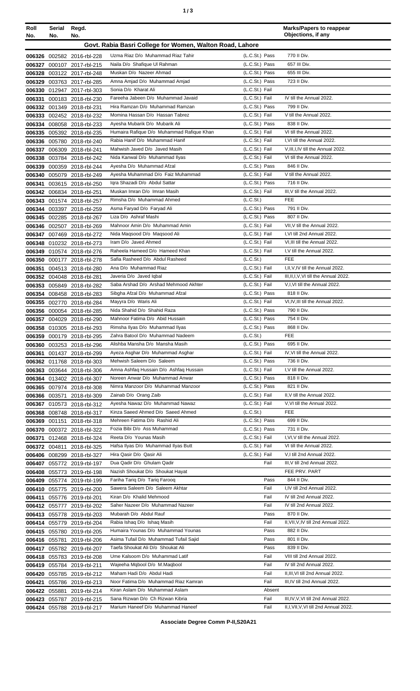| ٠ |  | ×<br>٠<br>٦<br>۰.<br>× |
|---|--|------------------------|
|---|--|------------------------|

| Roll<br>No. | Serial<br>No. | Regd.<br>No.                                             |                                                                             |                                  | <b>Marks/Papers to reappear</b><br>Objections, if any        |
|-------------|---------------|----------------------------------------------------------|-----------------------------------------------------------------------------|----------------------------------|--------------------------------------------------------------|
|             |               |                                                          | Govt. Rabia Basri College for Women, Walton Road, Lahore                    |                                  |                                                              |
|             |               |                                                          |                                                                             |                                  |                                                              |
|             |               | 006326 002582 2016-rbl-228                               | Uzma Riaz D/o Muhammad Riaz Tahir                                           | (L.C.St.) Pass                   | 770 II Div.<br>657 III Div.                                  |
|             |               | 006327 000107 2017-rbl-215                               | Naila D/o Shafique Ul Rahman<br>Muskan D/o Nazeer Ahmad                     | (L.C.St.) Pass<br>(L.C.St.) Pass | 655 III Div.                                                 |
|             |               | 006328 003122 2017-rbl-248                               | Amna Amjad D/o Muhammad Amjad                                               | (L.C.St.) Pass                   | 723 II Div.                                                  |
|             |               | 006329 003763 2017-rbl-285<br>006330 012947 2017-rbl-303 | Sonia D/o Kharat Ali                                                        | (L.C.St.) Fail                   |                                                              |
| 006331      |               | 000183 2018-rbl-230                                      | Fareeha Jabeen D/o Muhammad Javaid                                          | (L.C.St.) Fail                   | IV till the Annual 2022.                                     |
|             |               | 006332 001349 2018-rbl-231                               | Hira Ramzan D/o Muhammad Ramzan                                             | (L.C.St.) Pass                   | 799 II Div.                                                  |
|             |               | 006333 002452 2018-rbl-232                               | Momina Hassan D/o Hassan Tabrez                                             | (L.C.St.) Fail                   | V till the Annual 2022.                                      |
|             |               | 006334 008058 2018-rbl-233                               | Ayesha Mubarik D/o Mubarik Ali                                              | (L.C.St.) Pass                   | 838 II Div.                                                  |
|             |               | 006335 005392 2018-rbl-235                               | Humaira Rafique D/o Muhammad Rafique Khan                                   | (L.C.St.) Fail                   | VI till the Annual 2022.                                     |
|             |               | 006336 005780 2018-rbl-240                               | Rabia Hanif D/o Muhammad Hanif                                              | (L.C.St.) Fail                   | I, VI till the Annual 2022.                                  |
|             |               | 006337 006309 2018-rbl-241                               | Mahwish Javed D/o Javed Masih                                               | (L.C.St.) Fail                   | V, III, I, IV till the Annual 2022.                          |
|             |               | 006338 003784 2018-rbl-242                               | Nida Kanwal D/o Muhammad Ilyas                                              | (L.C.St.) Fail                   | VI till the Annual 2022.                                     |
|             |               | 006339 000359 2018-rbl-244                               | Ayesha D/o Muhammad Afzal                                                   | (L.C.St.) Pass                   | 846 II Div.                                                  |
|             |               | 006340 005079 2018-rbl-249                               | Ayesha Muhammad D/o Faiz Muhammad                                           | (L.C.St.) Fail                   | V till the Annual 2022.                                      |
|             |               | 006341 003615 2018-rbl-250                               | Igra Shazadi D/o Abdul Sattar                                               | (L.C.St.) Pass                   | 716 II Div.                                                  |
|             |               | 006342 006834 2018-rbl-251                               | Muskan Imran D/o Imran Masih                                                | (L.C.St.) Fail                   | III, V till the Annual 2022.                                 |
|             |               | 006343 001574 2018-rbl-257                               | Rimsha D/o Muhammad Ahmed                                                   | (L.C.S <sub>t</sub> )            | <b>FEE</b>                                                   |
|             |               | 006344 003397 2018-rbl-259                               | Asma Faryad D/o Faryad Ali                                                  | (L.C.St.) Pass                   | 791 II Div.                                                  |
|             |               | 006345 002285 2018-rbl-267                               | Liza D/o Ashraf Mashi                                                       | (L.C.St.) Pass                   | 807 II Div.                                                  |
|             |               | 006346 002507 2018-rbl-269                               | Mahnoor Amin D/o Muhammad Amin                                              | (L.C.St.) Fail                   | VII, V till the Annual 2022.                                 |
|             |               | 006347 007469 2018-rbl-272                               | Nida Maqsood D/o Maqsood Ali<br>Iram D/o Javed Ahmed                        | (L.C.St.) Fail<br>(L.C.St.) Fail | I, VI till 2nd Annual 2022.<br>VI, III till the Annual 2022. |
|             |               | 006348 010232 2018-rbl-273                               | Raheela Hameed D/o Hameed Khan                                              | (L.C.St.) Fail                   | I.V till the Annual 2022.                                    |
|             |               | 006349 010574 2018-rbl-276<br>006350 000177 2018-rbl-278 | Safia Rasheed D/o Abdul Rasheed                                             | (L.C.St.)                        | <b>FEE</b>                                                   |
|             |               | 006351 004513 2018-rbl-280                               | Ana D/o Muhammad Riaz                                                       | (L.C.St.) Fail                   | I, II, V, IV till the Annual 2022.                           |
|             |               | 006352 004048 2018-rbl-281                               | Javeria D/o Javed Iqbal                                                     | (L.C.St.) Fail                   | III, II, I, V, VI till the Annual 2022.                      |
|             |               | 006353 005849 2018-rbl-282                               | Saba Arshad D/o Arshad Mehmood Akhter                                       | (L.C.St.) Fail                   | V, I, VI till the Annual 2022.                               |
|             |               | 006354 008458 2018-rbl-283                               | Sibgha Afzal D/o Muhammad Afzal                                             | (L.C.St.) Pass                   | 818 II Div.                                                  |
|             |               | 006355 002770 2018-rbl-284                               | Mayyra D/o Waris Ali                                                        | (L.C.St.) Fail                   | VI, IV, III till the Annual 2022.                            |
|             |               | 006356 000054 2018-rbl-285                               | Nida Shahid D/o Shahid Raza                                                 | (L.C.St.) Pass                   | 790 II Div.                                                  |
|             |               | 006357 004029 2018-rbl-290                               | Mahnoor Fatima D/o Abid Hussain                                             | (L.C.St.) Pass                   | 754 II Div.                                                  |
|             |               | 006358 010305 2018-rbl-293                               | Rimsha Ilyas D/o Muhammad Ilyas                                             | (L.C.St.) Pass                   | 868 II Div.                                                  |
|             |               | 006359 000179 2018-rbl-295                               | Zahra Batool D/o Muhammad Nadeem                                            | (L.C.S <sub>t</sub> )            | FEE                                                          |
|             |               | 006360 003253 2018-rbl-296                               | Alishba Mansha D/o Mansha Masih                                             | (L.C.St.) Pass                   | 695 II Div.                                                  |
|             |               | 006361 001437 2018-rbl-299                               | Ayeza Asghar D/o Muhammad Asghar                                            | (L.C.St.) Fail                   | IV, VI till the Annual 2022.                                 |
|             |               | 006362 011768 2018-rbl-303                               | Mehwish Saleem D/o Saleem                                                   | (L.C.St.) Pass                   | 736 II Div.                                                  |
|             |               | 006363 003644 2018-rbl-306                               | Amna Ashfaq Hussain D/o Ashfaq Hussain<br>Noreen Anwar D/o Muhammad Anwar   | (L.C.St.) Fail<br>(L.C.St.) Pass | I.V till the Annual 2022.<br>818 II Div.                     |
|             |               | 006364 013402 2018-rbl-307                               | Nimra Manzoor D/o Muhammad Manzoor                                          | (L.C.St.) Pass                   | 821 II Div.                                                  |
|             | 006366 003571 | 006365 007974 2018-rbl-308<br>2018-rbl-309               | Zainab D/o Orang Zaib                                                       | (L.C.St.) Fail                   | II.V till the Annual 2022.                                   |
|             |               | 006367 010573 2018-rbl-312                               | Ayesha Nawaz D/o Muhammad Nawaz                                             | (L.C.St.) Fail                   | V.VI till the Annual 2022.                                   |
|             |               | 006368 008748 2018-rbl-317                               | Kinza Saeed Ahmed D/o Saeed Ahmed                                           | (L.C.St.)                        | <b>FEE</b>                                                   |
|             |               | 006369 001151 2018-rbl-318                               | Mehreen Fatima D/o Rashid Ali                                               | (L.C.St.) Pass                   | 699 II Div.                                                  |
|             |               | 006370 000372 2018-rbl-322                               | Fozia Bibi D/o Ass Muhammad                                                 | (L.C.St.) Pass                   | 731 II Div.                                                  |
|             |               | 006371 012468 2018-rbl-324                               | Reeta D/o Younas Masih                                                      | (L.C.St.) Fail                   | I, VI, V till the Annual 2022.                               |
|             |               | 006372 004811 2018-rbl-325                               | Hafsa Ilyas D/o Muhammad Ilyas Butt                                         | (L.C.St.) Fail                   | VI till the Annual 2022.                                     |
|             |               | 006406 008299 2018-rbl-327                               | Hira Qasir D/o Qasir Ali                                                    | (L.C.St.) Fail                   | V,I till 2nd Annual 2022.                                    |
|             |               | 006407 055772 2019-rbl-197                               | Dua Qadir D/o Ghulam Qadir                                                  | Fail                             | III, V till 2nd Annual 2022.                                 |
|             |               | 006408 055773 2019-rbl-198                               | Nazish Shoukat D/o Shoukat Hayat                                            |                                  | FEE PRV. PART                                                |
|             |               | 006409 055774 2019-rbl-199                               | Fariha Tariq D/o Tariq Farooq                                               | Pass                             | 844 II Div.                                                  |
|             |               | 006410 055775 2019-rbl-200                               | Sawera Saleem D/o Saleem Akhtar                                             | Fail                             | I,IV till 2nd Annual 2022.                                   |
|             |               | 006411 055776 2019-rbl-201                               | Kiran D/o Khalid Mehmood                                                    | Fail                             | IV till 2nd Annual 2022.                                     |
|             |               | 006412 055777 2019-rbl-202                               | Saher Nazeer D/o Muhammad Nazeer                                            | Fail                             | IV till 2nd Annual 2022.                                     |
|             |               | 006413 055778 2019-rbl-203                               | Mubarah D/o Abdul Rauf                                                      | Pass                             | 870 II Div.                                                  |
|             |               | 006414 055779 2019-rbl-204                               | Rabia Ishaq D/o Ishaq Masih                                                 | Fail                             | II, VII, V, IV till 2nd Annual 2022.                         |
|             |               | 006415 055780 2019-rbl-205                               | Humaira Younas D/o Muhammad Younas                                          | Pass                             | 882 II Div.                                                  |
|             |               | 006416 055781 2019-rbl-206                               | Asima Tufail D/o Muhammad Tufail Sajid<br>Taefa Shoukat Ali D/o Shoukat Ali | Pass<br>Pass                     | 801 II Div.<br>839 II Div.                                   |
|             |               | 006417 055782 2019-rbl-207                               | Ume Kalsoom D/o Muhammad Latif                                              | Fail                             | VIII till 2nd Annual 2022.                                   |
|             |               | 006418 055783 2019-rbl-208                               | Wajeeha Mgbool D/o M.Magbool                                                | Fail                             | IV till 2nd Annual 2022.                                     |
|             |               | 006419 055784 2019-rbl-211<br>006420 055785 2019-rbl-212 | Maham Hadi D/o Abdul Hadi                                                   | Fail                             | II, III, VI till 2nd Annual 2022.                            |
|             |               | 006421 055786 2019-rbl-213                               | Noor Fatima D/o Muhammad Riaz Kamran                                        | Fail                             | III, IV till 2nd Annual 2022.                                |
|             |               | 006422 055881 2019-rbl-214                               | Kiran Aslam D/o Muhammad Aslam                                              | Absent                           |                                                              |
|             |               | 006423 055787 2019-rbl-215                               | Sana Rizwan D/o Ch Rizwan Kibria                                            | Fail                             | III, IV, V, VI till 2nd Annual 2022.                         |
|             |               | 006424 055788 2019-rbl-217                               | Marium Haneef D/o Muhammad Haneef                                           | Fail                             | II, I, VII, V, VI till 2nd Annual 2022.                      |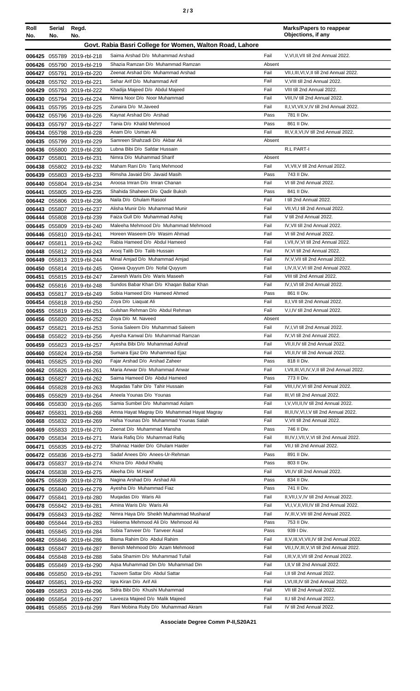| Roll<br>No. | <b>Serial</b><br>No. | Regd.<br>No.                                             |                                                                       |                | <b>Marks/Papers to reappear</b><br>Objections, if any                    |
|-------------|----------------------|----------------------------------------------------------|-----------------------------------------------------------------------|----------------|--------------------------------------------------------------------------|
|             |                      |                                                          | Govt. Rabia Basri College for Women, Walton Road, Lahore              |                |                                                                          |
|             |                      |                                                          | Saima Arshad D/o Muhammad Arshad                                      | Fail           | V, VI, II, VII till 2nd Annual 2022.                                     |
|             |                      | 006425 055789 2019-rbl-218<br>006426 055790 2019-rbl-219 | Shazia Ramzan D/o Muhammad Ramzan                                     | Absent         |                                                                          |
|             | 006427 055791        | 2019-rbl-220                                             | Zeenat Arshad D/o Muhammad Arshad                                     | Fail           | VII, I, III, VI, V, II till 2nd Annual 2022.                             |
|             |                      | 006428 055792 2019-rbl-221                               | Sehar Arif D/o Muhammad Arif                                          | Fail           | V, VIII till 2nd Annual 2022.                                            |
|             |                      | 006429 055793 2019-rbl-222                               | Khadija Majeed D/o Abdul Majeed                                       | Fail           | VIII till 2nd Annual 2022.                                               |
|             |                      | 006430 055794 2019-rbl-224                               | Nimra Noor D/o Noor Muhammad                                          | Fail           | VIII, IV till 2nd Annual 2022.                                           |
| 006431      |                      | 055795 2019-rbl-225                                      | Zunaira D/o M.Javeed                                                  | Fail           | II, I, VI, VII, V, IV till 2nd Annual 2022.                              |
|             |                      | 006432 055796 2019-rbl-226                               | Kaynat Arshad D/o Arshad                                              | Pass           | 781 II Div.                                                              |
|             |                      | 006433 055797 2019-rbl-227                               | Tania D/o Khalid Mehmood                                              | Pass           | 861 II Div.                                                              |
|             |                      | 006434 055798 2019-rbl-228                               | Anam D/o Usman Ali<br>Samreen Shahzadi D/o Akbar Ali                  | Fail<br>Absent | III, V, II, VI, IV till 2nd Annual 2022.                                 |
|             |                      | 006435 055799 2019-rbl-229<br>006436 055800 2019-rbl-230 | Lubna Bibi D/o Safdar Hussain                                         |                | R.L PART-I                                                               |
|             |                      | 006437 055801 2019-rbl-231                               | Nimra D/o Muhammad Sharif                                             | Absent         |                                                                          |
|             |                      | 006438 055802 2019-rbl-232                               | Maham Rani D/o Tariq Mehmood                                          | Fail           | VI.VII.V till 2nd Annual 2022.                                           |
| 006439      |                      | 055803 2019-rbl-233                                      | Rimsha Javaid D/o Javaid Masih                                        | Pass           | 743 II Div.                                                              |
| 006440      |                      | 055804 2019-rbl-234                                      | Aroosa Imran D/o Imran Chanan                                         | Fail           | VI till 2nd Annual 2022.                                                 |
| 006441      |                      | 055805 2019-rbl-235                                      | Shahida Shaheen D/o Qadir Buksh                                       | Pass           | 841 II Div.                                                              |
|             |                      | 006442 055806 2019-rbl-236                               | Naila D/o Ghulam Rasool                                               | Fail           | I till 2nd Annual 2022.                                                  |
|             |                      | 006443 055807 2019-rbl-237                               | Alisha Munir D/o Muhammad Munir                                       | Fail           | VII.VI.I till 2nd Annual 2022.                                           |
|             |                      | 006444 055808 2019-rbl-239                               | Faiza Gull D/o Muhammad Ashiq                                         | Fail           | V till 2nd Annual 2022.                                                  |
|             |                      | 006445 055809 2019-rbl-240                               | Maleeha Mehmood D/o Muhammad Mehmood<br>Horeen Waseem D/o Wasim Ahmad | Fail<br>Fail   | IV, VII till 2nd Annual 2022.<br>VI till 2nd Annual 2022.                |
| 006447      |                      | 006446 055810 2019-rbl-241<br>055811 2019-rbl-242        | Rabia Hameed D/o Abdul Hameed                                         | Fail           | I, VII, IV, VI till 2nd Annual 2022.                                     |
| 006448      |                      | 055812 2019-rbl-243                                      | Arooj Talib D/o Talib Hussain                                         | Fail           | IV, VI till 2nd Annual 2022.                                             |
|             |                      | 006449 055813 2019-rbl-244                               | Minal Amjad D/o Muhammad Amjad                                        | Fail           | IV, V, VII till 2nd Annual 2022.                                         |
|             |                      | 006450 055814 2019-rbl-245                               | Qaswa Quyyum D/o Nofal Quyyum                                         | Fail           | I,IV,II,V,VI till 2nd Annual 2022.                                       |
| 006451      |                      | 055815 2019-rbl-247                                      | Zareesh Waris D/o Waris Maseeh                                        | Fail           | VIII till 2nd Annual 2022.                                               |
|             |                      | 006452 055816 2019-rbl-248                               | Sundos Babar Khan D/o Khaqan Babar Khan                               | Fail           | IV, I, VI till 2nd Annual 2022.                                          |
|             |                      | 006453 055817 2019-rbl-249                               | Sobia Hameed D/o Hameed Ahmed                                         | Pass           | 861 II Div.                                                              |
|             |                      | 006454 055818 2019-rbl-250                               | Zoya D/o Liaguat Ali                                                  | Fail           | II, I, VII till 2nd Annual 2022.                                         |
|             |                      | 006455 055819 2019-rbl-251                               | Gulshan Rehman D/o Abdul Rehman<br>Zoya D/o M. Naveed                 | Fail<br>Absent | V, I, IV till 2nd Annual 2022.                                           |
|             |                      | 006456 055820 2019-rbl-252<br>006457 055821 2019-rbl-253 | Sonia Saleem D/o Muhammad Saleem                                      | Fail           | IV,I,VI till 2nd Annual 2022.                                            |
|             |                      | 006458 055822 2019-rbl-256                               | Ayesha Kanwal D/o Muhammad Ramzan                                     | Fail           | IV, VI till 2nd Annual 2022.                                             |
|             |                      | 006459 055823 2019-rbl-257                               | Ayesha Bibi D/o Muhammad Ashraf                                       | Fail           | VII, II, IV till 2nd Annual 2022.                                        |
|             |                      | 006460 055824 2019-rbl-258                               | Sumaira Ejaz D/o Muhammad Ejaz                                        | Fail           | VII, II, IV till 2nd Annual 2022.                                        |
| 006461      |                      | 055825 2019-rbl-260                                      | Fajar Arshad D/o Arshad Zaheer                                        | Pass           | 818 II Div.                                                              |
|             |                      | 006462 055826 2019-rbl-261                               | Maria Anwar D/o Muhammad Anwar                                        | Fail           | I, VII, III, VI, IV, V, II till 2nd Annual 2022.                         |
|             |                      | 006463 055827 2019-rbl-262                               | Saima Hameed D/o Abdul Hameed                                         | Pass           | 773 II Div.                                                              |
|             |                      | 006464 055828 2019-rbl-263                               | Mugadas Tahir D/o Tahir Hussain                                       | Fail           | VIII, I, IV, VI till 2nd Annual 2022.                                    |
|             |                      | 006465 055829 2019-rbl-264                               | Aneela Younas D/o Younas<br>Samia Sumbel D/o Muhammad Aslam           | Fail<br>Fail   | III, VI till 2nd Annual 2022.<br>I, V, VII, II, IV till 2nd Annual 2022. |
|             |                      | 006466 055830 2019-rbl-265<br>006467 055831 2019-rbl-268 | Amna Hayat Magray D/o Muhammad Hayat Magray                           | Fail           | III, II, IV, VI, I, V till 2nd Annual 2022.                              |
|             |                      | 006468 055832 2019-rbl-269                               | Hafsa Younas D/o Muhammad Younas Salah                                | Fail           | V, VII till 2nd Annual 2022.                                             |
|             |                      | 006469 055833 2019-rbl-270                               | Zeenat D/o Muhammad Mansha                                            | Pass           | 746 II Div.                                                              |
|             |                      | 006470 055834 2019-rbl-271                               | Maria Rafiq D/o Muhammad Rafiq                                        | Fail           | III, IV, I, VII, V, VI till 2nd Annual 2022.                             |
|             |                      | 006471 055835 2019-rbl-272                               | Shahnaz Haider D/o Ghulam Haider                                      | Fail           | VII, I till 2nd Annual 2022.                                             |
|             |                      | 006472 055836 2019-rbl-273                               | Sadaf Anees D/o Anees-Ur-Rehman                                       | Pass           | 891 II Div.                                                              |
|             |                      | 006473 055837 2019-rbl-274                               | Khizra D/o Abdul Khaliq                                               | Pass           | 803 II Div.                                                              |
|             |                      | 006474 055838 2019-rbl-275                               | Aleeha D/o M.Hanif                                                    | Fail           | VII, IV till 2nd Annual 2022.                                            |
|             |                      | 006475 055839 2019-rbl-278                               | Nagina Arshad D/o Arshad Ali                                          | Pass           | 834 II Div.                                                              |
|             |                      | 006476 055840 2019-rbl-279                               | Ayesha D/o Muhammad Fiaz<br>Mugadas D/o Waris Ali                     | Pass<br>Fail   | 741 II Div.<br>II, VII, I, V, IV till 2nd Annual 2022.                   |
|             |                      | 006477 055841 2019-rbl-280<br>006478 055842 2019-rbl-281 | Amina Waris D/o Waris Ali                                             | Fail           | VI,I, V, II, VII, IV till 2nd Annual 2022.                               |
|             |                      | 006479 055843 2019-rbl-282                               | Nimra Haya D/o Sheikh Muhammad Musharaf                               | Fail           | IV, III, V, VII till 2nd Annual 2022.                                    |
| 006480      |                      | 055844 2019-rbl-283                                      | Haleema Mehmood Ali D/o Mehmood Ali                                   | Pass           | 753 II Div.                                                              |
| 006481      |                      | 055845 2019-rbl-284                                      | Sobia Tanveer D/o Tanveer Asad                                        | Pass           | 939 I Div.                                                               |
|             |                      | 006482 055846 2019-rbl-286                               | Bisma Rahim D/o Abdul Rahim                                           | Fail           | II, V, III, VI, VII, IV till 2nd Annual 2022.                            |
|             |                      | 006483 055847 2019-rbl-287                               | Benish Mehmood D/o Azam Mehmood                                       | Fail           | VII, I, IV, III, V, VI till 2nd Annual 2022.                             |
| 006484      |                      | 055848 2019-rbl-288                                      | Saba Shamim D/o Muhammad Tufail                                       | Fail           | I, III, V, II, VII till 2nd Annual 2022.                                 |
|             |                      | 006485 055849 2019-rbl-290                               | Agsa Muhammad Din D/o Muhammad Din                                    | Fail           | I, II, V till 2nd Annual 2022.                                           |
|             |                      | 006486 055850 2019-rbl-291                               | Tazeem Sattar D/o Abdul Sattar<br>Igra Kiran D/o Arif Ali             | Fail           | I, II till 2nd Annual 2022.<br>I, VI, III, IV till 2nd Annual 2022.      |
| 006487      | 055851               | 2019-rbl-292<br>006489 055853 2019-rbl-296               | Sidra Bibi D/o Khushi Muhammad                                        | Fail<br>Fail   | VII till 2nd Annual 2022.                                                |
|             |                      | 006490 055854 2019-rbl-297                               | Laveeza Majeed D/o Malik Majeed                                       | Fail           | II,I till 2nd Annual 2022.                                               |
|             |                      | 006491 055855 2019-rbl-299                               | Rani Mobina Ruby D/o Muhammad Akram                                   | Fail           | IV till 2nd Annual 2022.                                                 |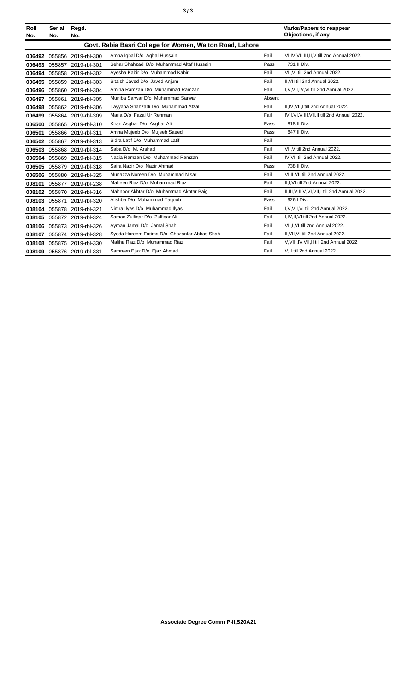| Roll<br>No. | <b>Serial</b><br>No. | Regd.<br>No.        |                                                          |        | <b>Marks/Papers to reappear</b><br>Objections, if any |
|-------------|----------------------|---------------------|----------------------------------------------------------|--------|-------------------------------------------------------|
|             |                      |                     | Govt. Rabia Basri College for Women, Walton Road, Lahore |        |                                                       |
|             |                      |                     |                                                          |        |                                                       |
| 006492      |                      | 055856 2019-rbl-300 | Amna Iqbal D/o Aqbal Hussain                             | Fail   | VI.IV.VII.III.II.V till 2nd Annual 2022.              |
| 006493      |                      | 055857 2019-rbl-301 | Sehar Shahzadi D/o Muhammad Altaf Hussain                | Pass   | 731 II Div.                                           |
| 006494      |                      | 055858 2019-rbl-302 | Ayesha Kabir D/o Muhammad Kabir                          | Fail   | VII, VI till 2nd Annual 2022.                         |
| 006495      |                      | 055859 2019-rbl-303 | Sitaish Javed D/o Javed Anjum                            | Fail   | II.VII till 2nd Annual 2022.                          |
| 006496      |                      | 055860 2019-rbl-304 | Amina Ramzan D/o Muhammad Ramzan                         | Fail   | I, V, VII, IV, VI till 2nd Annual 2022.               |
| 006497      |                      | 055861 2019-rbl-305 | Muniba Sarwar D/o Muhammad Sarwar                        | Absent |                                                       |
| 006498      |                      | 055862 2019-rbl-306 | Tayyaba Shahzadi D/o Muhammad Afzal                      | Fail   | II, IV, VII, I till 2nd Annual 2022.                  |
| 006499      |                      | 055864 2019-rbl-309 | Maria D/o Fazal Ur Rehman                                | Fail   | IV,I,VI,V,III,VII,II till 2nd Annual 2022.            |
| 006500      |                      | 055865 2019-rbl-310 | Kiran Asghar D/o Asghar Ali                              | Pass   | 818 II Div.                                           |
| 006501      |                      | 055866 2019-rbl-311 | Amna Mujeeb D/o Mujeeb Saeed                             | Pass   | 847 II Div.                                           |
| 006502      |                      | 055867 2019-rbl-313 | Sidra Latif D/o Muhammad Latif                           | Fail   |                                                       |
| 006503      |                      | 055868 2019-rbl-314 | Saba D/o M. Arshad                                       | Fail   | VII.V till 2nd Annual 2022.                           |
| 006504      |                      | 055869 2019-rbl-315 | Nazia Ramzan D/o Muhammad Ramzan                         | Fail   | IV, VII till 2nd Annual 2022.                         |
| 006505      |                      | 055879 2019-rbl-318 | Saira Nazir D/o Nazir Ahmad                              | Pass   | 738 II Div.                                           |
| 006506      |                      | 055880 2019-rbl-325 | Munazza Noreen D/o Muhammad Nisar                        | Fail   | VI, II, VII till 2nd Annual 2022.                     |
| 008101      | 055877               | 2019-rbl-238        | Maheen Riaz D/o Muhammad Riaz                            | Fail   | II.I.VI till 2nd Annual 2022.                         |
| 008102      |                      | 055870 2019-rbl-316 | Mahnoor Akhtar D/o Muhammad Akhtar Baig                  | Fail   | II, III, VIII, V, VI, VII, I till 2nd Annual 2022.    |
| 008103      | 055871               | 2019-rbl-320        | Alishba D/o Muhammad Yaqoob                              | Pass   | 926   Div.                                            |
| 008104      |                      | 055878 2019-rbl-321 | Nimra Ilyas D/o Muhammad Ilyas                           | Fail   | I, V, VII, VI till 2nd Annual 2022.                   |
| 008105      |                      | 055872 2019-rbl-324 | Saman Zulfigar D/o Zulfigar Ali                          | Fail   | I.IV.II.VI till 2nd Annual 2022.                      |
| 008106      |                      | 055873 2019-rbl-326 | Ayman Jamal D/o Jamal Shah                               | Fail   | VII, I, VI till 2nd Annual 2022.                      |
| 008107      |                      | 055874 2019-rbl-328 | Syeda Hareem Fatima D/o Ghazanfar Abbas Shah             | Fail   | II, VII, VI till 2nd Annual 2022.                     |
| 008108      |                      | 055875 2019-rbl-330 | Maliha Riaz D/o Muhammad Riaz                            | Fail   | V, VIII, IV, VII, II till 2nd Annual 2022.            |
| 008109      |                      | 055876 2019-rbl-331 | Samreen Ejaz D/o Ejaz Ahmad                              | Fail   | V.II till 2nd Annual 2022.                            |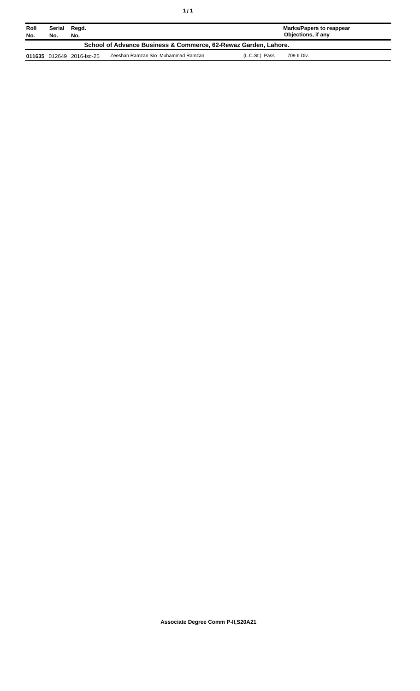| Roll<br>No.                                                     | Serial<br>No. | Regd.<br>No.              |                                    |                | Marks/Papers to reappear<br>Objections, if any |
|-----------------------------------------------------------------|---------------|---------------------------|------------------------------------|----------------|------------------------------------------------|
| School of Advance Business & Commerce, 62-Rewaz Garden, Lahore. |               |                           |                                    |                |                                                |
|                                                                 |               | 011635 012649 2016-lsc-25 | Zeeshan Ramzan S/o Muhammad Ramzan | (L.C.St.) Pass | 709 II Div.                                    |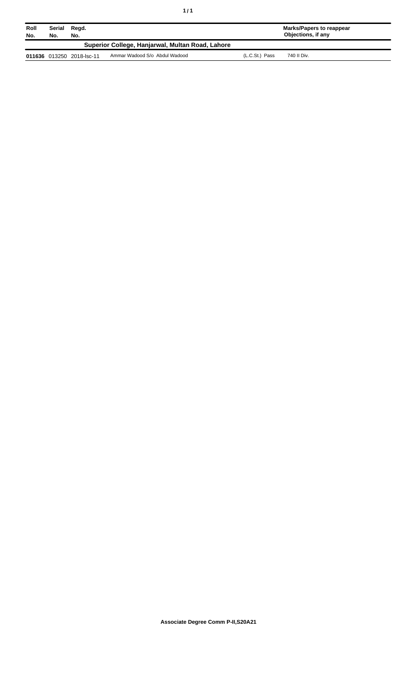| Roll<br>No. | Serial<br>No. | Regd.<br>No.              |                                                  |                | Marks/Papers to reappear<br>Objections, if any |
|-------------|---------------|---------------------------|--------------------------------------------------|----------------|------------------------------------------------|
|             |               |                           | Superior College, Hanjarwal, Multan Road, Lahore |                |                                                |
|             |               | 011636 013250 2018-lsc-11 | Ammar Wadood S/o Abdul Wadood                    | (L.C.St.) Pass | 740 II Div.                                    |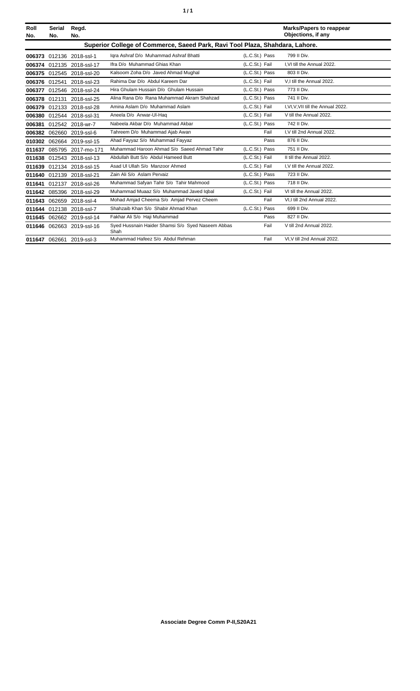| í<br>٠ |
|--------|
|--------|

| Roll<br>No. | <b>Serial</b><br>No.                                                         | Regd.<br>No.              |                                                           |                |      | <b>Marks/Papers to reappear</b><br>Objections, if any |
|-------------|------------------------------------------------------------------------------|---------------------------|-----------------------------------------------------------|----------------|------|-------------------------------------------------------|
|             | Superior College of Commerce, Saeed Park, Ravi Tool Plaza, Shahdara, Lahore. |                           |                                                           |                |      |                                                       |
|             |                                                                              | 006373 012136 2018-ssl-1  | Igra Ashraf D/o Muhammad Ashraf Bhatti                    | (L.C.St.) Pass |      | 799 II Div.                                           |
|             |                                                                              | 006374 012135 2018-ssl-17 | Ifra D/o Muhammad Ghias Khan                              | (L.C.St.) Fail |      | I.VI till the Annual 2022.                            |
|             |                                                                              | 006375 012545 2018-ssl-20 | Kalsoom Zoha D/o Javed Ahmad Mughal                       | (L.C.St.) Pass |      | 803 II Div.                                           |
|             |                                                                              | 006376 012541 2018-ssl-23 | Rahima Dar D/o Abdul Kareem Dar                           | (L.C.St.) Fail |      | V.I till the Annual 2022.                             |
|             |                                                                              | 006377 012546 2018-ssl-24 | Hira Ghulam Hussain D/o Ghulam Hussain                    | (L.C.St.) Pass |      | 773 II Div.                                           |
|             |                                                                              | 006378 012131 2018-ssl-25 | Alina Rana D/o Rana Muhammad Akram Shahzad                | (L.C.St.) Pass |      | 741 II Div.                                           |
|             |                                                                              | 006379 012133 2018-ssl-28 | Amina Aslam D/o Muhammad Aslam                            | (L.C.St.) Fail |      | I, VI, V, VII till the Annual 2022.                   |
|             |                                                                              | 006380 012544 2018-ssl-31 | Aneela D/o Anwar-UI-Haq                                   | (L.C.St.) Fail |      | V till the Annual 2022.                               |
|             |                                                                              | 006381 012542 2018-wr-7   | Nabeela Akbar D/o Muhammad Akbar                          | (L.C.St.) Pass |      | 742 II Div.                                           |
|             |                                                                              | 006382 062660 2019-ssl-6  | Tahreem D/o Muhammad Ajab Awan                            |                | Fail | I.V till 2nd Annual 2022.                             |
|             |                                                                              | 010302 062664 2019-ssl-15 | Ahad Fayyaz S/o Muhammad Fayyaz                           |                | Pass | 876 II Div.                                           |
| 011637      |                                                                              | 085795 2017-mo-171        | Muhammad Haroon Ahmad S/o Saeed Ahmad Tahir               | (L.C.St.) Pass |      | 751 II Div.                                           |
|             |                                                                              | 011638 012543 2018-ssl-13 | Abdullah Butt S/o Abdul Hameed Butt                       | (L.C.St.) Fail |      | II till the Annual 2022.                              |
|             |                                                                              | 011639 012134 2018-ssl-15 | Asad UI Ullah S/o Manzoor Ahmed                           | (L.C.St.) Fail |      | I, V till the Annual 2022.                            |
|             |                                                                              | 011640 012139 2018-ssl-21 | Zain Ali S/o Aslam Pervaiz                                | (L.C.St.) Pass |      | 723 II Div.                                           |
|             |                                                                              | 011641 012137 2018-ssl-26 | Muhammad Safyan Tahir S/o Tahir Mahmood                   | (L.C.St.) Pass |      | 718 II Div.                                           |
|             |                                                                              | 011642 085396 2018-ssl-29 | Muhammad Muaaz S/o Muhammad Javed Iqbal                   | (L.C.St.) Fail |      | VI till the Annual 2022.                              |
|             |                                                                              | 011643 062659 2018-ssl-4  | Mohad Amjad Cheema S/o Amjad Pervez Cheem                 |                | Fail | VI,I till 2nd Annual 2022.                            |
|             |                                                                              | 011644 012138 2018-ssl-7  | Shahzaib Khan S/o Shabir Ahmad Khan                       | (L.C.St.) Pass |      | 699 II Div.                                           |
|             |                                                                              | 011645 062662 2019-ssl-14 | Fakhar Ali S/o Haji Muhammad                              |                | Pass | 827 II Div.                                           |
|             |                                                                              | 011646 062663 2019-ssl-16 | Syed Hussnain Haider Shamsi S/o Syed Naseem Abbas<br>Shah |                | Fail | V till 2nd Annual 2022.                               |
|             |                                                                              | 011647 062661 2019-ssl-3  | Muhammad Hafeez S/o Abdul Rehman                          |                | Fail | VI.V till 2nd Annual 2022.                            |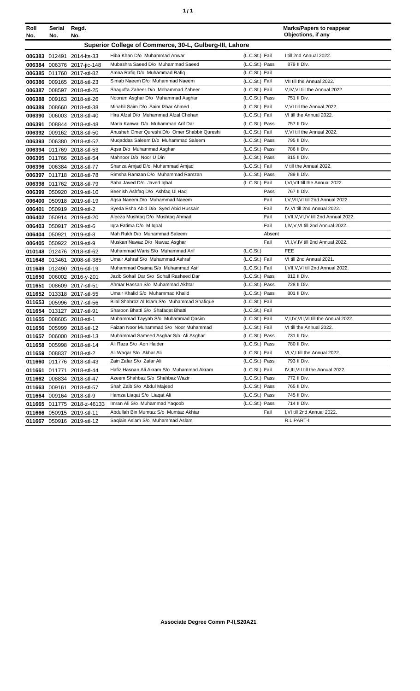| ٠ | ٠ |
|---|---|
|   |   |

| Roll             | Serial | Regd.                                    |                                                                       |                                  | <b>Marks/Papers to reappear</b><br>Objections, if any        |
|------------------|--------|------------------------------------------|-----------------------------------------------------------------------|----------------------------------|--------------------------------------------------------------|
| No.              | No.    | No.                                      | Superior College of Commerce, 30-L, Gulberg-III, Lahore               |                                  |                                                              |
|                  |        |                                          |                                                                       |                                  |                                                              |
|                  |        | 006383 012491 2014-lts-33                | Hiba Khan D/o Muhammad Anwar                                          | (L.C.St.) Fail                   | I till 2nd Annual 2022.                                      |
|                  |        | 006384 006376 2017-jic-148               | Mubashra Saeed D/o Muhammad Saeed                                     | (L.C.St.) Pass                   | 879 II Div.                                                  |
|                  |        | 006385 011760 2017-stl-82                | Amna Rafiq D/o Muhammad Rafiq                                         | (L.C.St.) Fail                   |                                                              |
|                  |        | 006386 009165 2018-stl-23                | Simab Naeem D/o Muhammad Naeem<br>Shagufta Zaheer D/o Mohammad Zaheer | (L.C.St.) Fail<br>(L.C.St.) Fail | VII till the Annual 2022.<br>V, IV, VI till the Annual 2022. |
| 006387<br>006388 |        | 008597 2018-stl-25                       | Nooram Asghar D/o Muhammad Asghar                                     | (L.C.St.) Pass                   | 751 II Div.                                                  |
| 006389           |        | 009163 2018-stl-26<br>008660 2018-stl-38 | Minahil Saim D/o Saim Izhar Ahmed                                     | (L.C.St.) Fail                   | V, VI till the Annual 2022.                                  |
|                  |        | 006390 006003 2018-stl-40                | Hira Afzal D/o Muhammad Afzal Chohan                                  | (L.C.St.) Fail                   | VI till the Annual 2022.                                     |
| 006391           |        | 008844 2018-stl-48                       | Maria Kanwal D/o Muhammad Arif Dar                                    | (L.C.St.) Pass                   | 757 II Div.                                                  |
|                  |        | 006392 009162 2018-stl-50                | Anusheh Omer Qureshi D/o Omer Shabbir Qureshi                         | (L.C.St.) Fail                   | V, VI till the Annual 2022.                                  |
|                  |        | 006393 006380 2018-stl-52                | Muqaddas Saleem D/o Muhammad Saleem                                   | (L.C.St.) Pass                   | 795 II Div.                                                  |
|                  |        | 006394 011769 2018-stl-53                | Agsa D/o Muhammad Asghar                                              | (L.C.St.) Pass                   | 786 II Div.                                                  |
|                  |        | 006395 011766 2018-stl-54                | Mahnoor D/o Noor U Din                                                | (L.C.St.) Pass                   | 815 II Div.                                                  |
|                  |        | 006396 006384 2018-stl-77                | Shanza Amjad D/o Muhammad Amjad                                       | (L.C.St.) Fail                   | V till the Annual 2022.                                      |
|                  |        | 006397 011718 2018-stl-78                | Rimsha Ramzan D/o Muhammad Ramzan                                     | (L.C.St.) Pass                   | 789 II Div.                                                  |
|                  |        | 006398 011762 2018-stl-79                | Saba Javed D/o Javed Iqbal                                            | (L.C.St.) Fail                   | I, VI, VII till the Annual 2022.                             |
|                  |        | 006399 050920 2019-stl-10                | Beenish Ashfaq D/o Ashfaq UI Haq                                      | Pass                             | 767 II Div.                                                  |
|                  |        | 006400 050918 2019-stl-19                | Agsa Naeem D/o Muhammad Naeem                                         | Fail                             | I, V, VII, VI till 2nd Annual 2022.                          |
| 006401           |        | 050919 2019-stl-2                        | Syeda Esha Abid D/o Syed Abid Hussain                                 | Fail                             | IV, VI till 2nd Annual 2022.                                 |
|                  |        | 006402 050914 2019-stl-20                | Aleeza Mushtaq D/o Mushtaq Ahmad                                      | Fail                             | I, VII, V, VI, IV till 2nd Annual 2022.                      |
| 006403           |        | 050917 2019-stl-6                        | Igra Fatima D/o M Igbal                                               | Fail                             | I, IV, V, VI till 2nd Annual 2022.                           |
| 006404           | 050921 | 2019-stl-8                               | Mah Rukh D/o Muhammad Saleem                                          | Absent                           |                                                              |
|                  |        | 006405 050922 2019-stl-9                 | Muskan Nawaz D/o Nawaz Asghar                                         | Fail                             | VI,I, V, IV till 2nd Annual 2022.                            |
|                  |        | 010148 012476 2018-stl-62                | Muhammad Waris S/o Muhammad Arif                                      | (L.C.S <sub>t</sub> )            | <b>FEE</b>                                                   |
|                  |        | 011648 013461 2008-stl-385               | Umair Ashraf S/o Muhammad Ashraf                                      | (L.C.St.) Fail                   | VI till 2nd Annual 2021.                                     |
|                  |        | 011649 012490 2016-stl-19                | Muhammad Osama S/o Muhammad Asif                                      | (L.C.St.) Fail                   | I, VII, V, VI till 2nd Annual 2022.                          |
|                  |        | 011650 006002 2016-y-201                 | Jazib Sohail Dar S/o Sohail Rasheed Dar                               | (L.C.St.) Pass                   | 812 II Div.                                                  |
|                  |        | 011651 008609 2017-stl-51                | Ahmar Hassan S/o Muhammad Akhtar                                      | (L.C.St.) Pass                   | 728 II Div.                                                  |
|                  |        | 011652 013318 2017-stl-55                | Umair Khalid S/o Muhammad Khalid                                      | (L.C.St.) Pass                   | 801 II Div.                                                  |
|                  |        | 011653 005996 2017-stl-56                | Bilal Shahroz Al Islam S/o Muhammad Shafique                          | (L.C.St.) Fail                   |                                                              |
|                  |        | 011654 013127 2017-stl-91                | Sharoon Bhatti S/o Shafaqat Bhatti                                    | (L.C.St.) Fail                   |                                                              |
|                  |        | 011655 008605 2018-stl-1                 | Muhammad Tayyab S/o Muhammad Qasim                                    | (L.C.St.) Fail                   | V, I, IV, VII, VI till the Annual 2022.                      |
|                  |        | 011656 005999 2018-stl-12                | Faizan Noor Muhammad S/o Noor Muhammad                                | (L.C.St.) Fail                   | VI till the Annual 2022.                                     |
|                  |        | 011657 006000 2018-stl-13                | Muhammad Sameed Asghar S/o Ali Asghar<br>Ali Raza S/o Aon Haider      | (L.C.St.) Pass<br>(L.C.St.) Pass | 731 II Div.<br>780 II Div.                                   |
|                  |        | 011658 005998 2018-stl-14                | Ali Waqar S/o Akbar Ali                                               | (L.C.St.) Fail                   | VI, V, I till the Annual 2022.                               |
| 011659<br>011660 |        | 008837 2018-stl-2                        | Zain Zafar S/o Zafar Ali                                              | (L.C.St.) Pass                   | 793 II Div.                                                  |
|                  |        | 011776 2018-stl-43                       | Hafiz Hasnan Ali Akram S/o Muhammad Akram                             | (L.C.St.) Fail                   | IV, III, VII till the Annual 2022.                           |
| 011661<br>011662 | 011771 | 2018-stl-44<br>008834 2018-stl-47        | Azeem Shahbaz S/o Shahbaz Wazir                                       | (L.C.St.) Pass                   | 772 II Div.                                                  |
| 011663           | 009161 | 2018-stl-57                              | Shah Zaib S/o Abdul Majeed                                            | (L.C.St.) Pass                   | 765 II Div.                                                  |
|                  |        | 011664 009164 2018-stl-9                 | Hamza Liaqat S/o Liaqat Ali                                           | (L.C.St.) Pass                   | 745 II Div.                                                  |
|                  |        | 011665 011775 2018-z-46133               | Imran Ali S/o Muhammad Yaqoob                                         | (L.C.St.) Pass                   | 714 II Div.                                                  |
|                  |        | 011666 050915 2019-stl-11                | Abdullah Bin Mumtaz S/o Mumtaz Akhtar                                 | Fail                             | I, VI till 2nd Annual 2022.                                  |
|                  |        | 011667 050916 2019-stl-12                | Saglain Aslam S/o Muhammad Aslam                                      |                                  | R.L PART-I                                                   |
|                  |        |                                          |                                                                       |                                  |                                                              |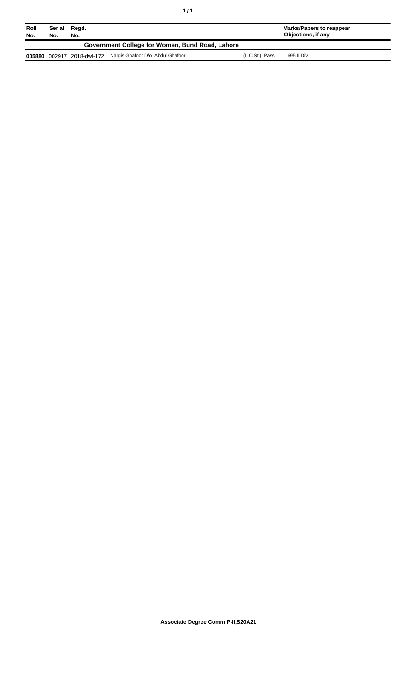| Roll   | Serial                                          | Regd.        |                                  |                | Marks/Papers to reappear |  |
|--------|-------------------------------------------------|--------------|----------------------------------|----------------|--------------------------|--|
| No.    | No.                                             | No.          |                                  |                | Objections, if any       |  |
|        | Government College for Women, Bund Road, Lahore |              |                                  |                |                          |  |
| 005880 | 002917                                          | 2018-dwl-172 | Nargis Ghafoor D/o Abdul Ghafoor | (L.C.St.) Pass | 695 II Div.              |  |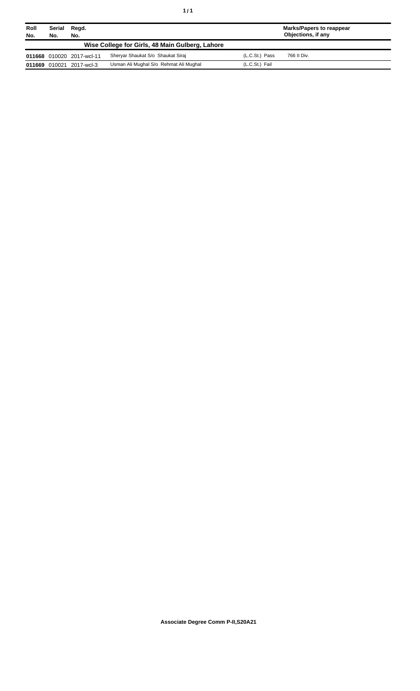| Roll<br>No. | Serial<br>No. | Regd.<br>No.              |                                                 |                | Marks/Papers to reappear<br>Objections, if any |
|-------------|---------------|---------------------------|-------------------------------------------------|----------------|------------------------------------------------|
|             |               |                           | Wise College for Girls, 48 Main Gulberg, Lahore |                |                                                |
|             |               | 011668 010020 2017-wcl-11 | Sheryar Shaukat S/o Shaukat Siraj               | (L.C.St.) Pass | 766 II Div.                                    |
|             |               | 011669 010021 2017-wcl-3  | Usman Ali Mughal S/o Rehmat Ali Mughal          | (L.C.St.) Fail |                                                |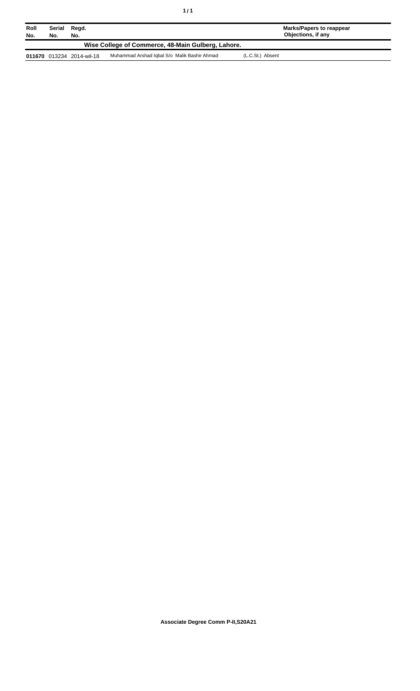| Roll<br>No.                                        | Serial<br>No. | Regd.<br>No.              |                                              | <b>Marks/Papers to reappear</b><br>Objections, if any |  |
|----------------------------------------------------|---------------|---------------------------|----------------------------------------------|-------------------------------------------------------|--|
| Wise College of Commerce, 48-Main Gulberg, Lahore. |               |                           |                                              |                                                       |  |
|                                                    |               | 011670 013234 2014-wil-18 | Muhammad Arshad Iqbal S/o Malik Bashir Ahmad | (L.C.St.) Absent                                      |  |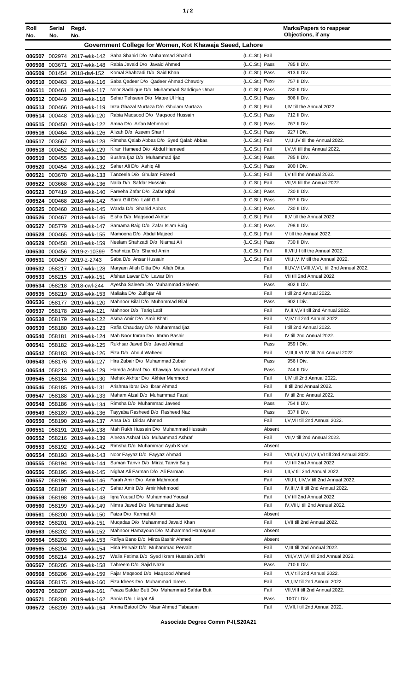| ٠ |  |  |
|---|--|--|
|---|--|--|

| Roll<br>No.      | Serial<br>No.    | Regd.<br>No.                                             |                                                                             |                                  | <b>Marks/Papers to reappear</b><br>Objections, if any           |
|------------------|------------------|----------------------------------------------------------|-----------------------------------------------------------------------------|----------------------------------|-----------------------------------------------------------------|
|                  |                  |                                                          | Government College for Women, Kot Khawaja Saeed, Lahore                     |                                  |                                                                 |
|                  |                  |                                                          |                                                                             |                                  |                                                                 |
|                  |                  | 006507 002974 2017-wkk-142                               | Saba Shahid D/o Muhammad Shahid<br>Rabia Javaid D/o Javaid Ahmed            | (L.C.St.) Fail                   | 785 II Div.                                                     |
| 006508           | 003671           | 2017-wkk-148                                             | Komal Shahzadi D/o Said Khan                                                | (L.C.St.) Pass<br>(L.C.St.) Pass | 813 II Div.                                                     |
| 006509<br>006510 |                  | 001454 2018-dwl-152                                      | Saba Qadeer D/o Qadeer Ahmad Chawdry                                        | (L.C.St.) Pass                   | 757 II Div.                                                     |
| 006511           | 000461           | 000463 2018-wkk-116<br>2018-wkk-117                      | Noor Saddique D/o Muhammad Saddique Umar                                    | (L.C.St.) Pass                   | 730 II Div.                                                     |
| 006512           | 000449           | 2018-wkk-118                                             | Sehar Tehseen D/o Matee UI Haq                                              | (L.C.St.) Pass                   | 806 II Div.                                                     |
|                  | 006513 000466    | 2018-wkk-119                                             | Inza Ghazal Murtaza D/o Ghulam Murtaza                                      | (L.C.St.) Fail                   | I, IV till the Annual 2022.                                     |
|                  |                  | 006514 000448 2018-wkk-120                               | Rabia Magsood D/o Magsood Hussain                                           | (L.C.St.) Pass                   | 712 II Div.                                                     |
|                  |                  | 006515 000450 2018-wkk-122                               | Amna D/o Arfan Mehmood                                                      | (L.C.St.) Pass                   | 767 II Div.                                                     |
|                  |                  | 006516 000464 2018-wkk-126                               | Alizah D/o Azeem Sharif                                                     | (L.C.St.) Pass                   | 927   Div.                                                      |
|                  |                  | 006517 003667 2018-wkk-128                               | Rimsha Qalab Abbas D/o Syed Qalab Abbas                                     | (L.C.St.) Fail                   | V, I, II, IV till the Annual 2022.                              |
| 006518           |                  | 000452 2018-wkk-129                                      | Kiran Hameed D/o Abdul Hameed                                               | (L.C.St.) Fail                   | I, V, VI till the Annual 2022.                                  |
| 006519           |                  | 000455 2018-wkk-130                                      | Bushra Ijaz D/o Muhammad Ijaz                                               | (L.C.St.) Pass                   | 785 II Div.                                                     |
| 006520           |                  | 000454 2018-wkk-132                                      | Saher Ali D/o Ashiq Ali                                                     | (L.C.St.) Pass                   | 900 I Div.                                                      |
| 006521           |                  | 003670 2018-wkk-133                                      | Tanzeela D/o Ghulam Fareed                                                  | (L.C.St.) Fail                   | I.V till the Annual 2022.                                       |
| 006522           |                  | 003668 2018-wkk-136                                      | Naila D/o Safdar Hussain                                                    | (L.C.St.) Fail                   | VII, VI till the Annual 2022.                                   |
| 006523           |                  | 007419 2018-wkk-140                                      | Fareeha Zafar D/o Zafar Iqbal                                               | (L.C.St.) Pass                   | 730 II Div.                                                     |
| 006524           |                  | 000468 2018-wkk-142                                      | Saira Gill D/o Latif Gill                                                   | (L.C.St.) Pass                   | 797 II Div.                                                     |
|                  |                  | 006525 000460 2018-wkk-145                               | Warda D/o Shahid Abbas                                                      | (L.C.St.) Pass                   | 730 II Div.                                                     |
| 006526           |                  | 000467 2018-wkk-146                                      | Eisha D/o Magsood Akhtar                                                    | (L.C.St.) Fail                   | II, V till the Annual 2022.                                     |
| 006527           | 085779           | 2018-wkk-147                                             | Samama Baig D/o Zafar Islam Baig                                            | (L.C.St.) Pass<br>(L.C.St.) Fail | 798 II Div.<br>V till the Annual 2022.                          |
| 006528           |                  | 000465 2018-wkk-155                                      | Mamoona D/o Abdul Majeed<br>Neelam Shahzadi D/o Niamat Ali                  | (L.C.St.) Pass                   | 730 II Div.                                                     |
| 006529           | 000458           | 2018-wkk-159                                             | Shahniza D/o Shahid Amin                                                    | (L.C.St.) Fail                   | II, VII, III till the Annual 2022.                              |
| 006531           |                  | 006530 000456 2019-z-10399<br>000457 2019-z-2743         | Saba D/o Ansar Hussain                                                      | (L.C.St.) Fail                   | VII, II, V, IV till the Annual 2022.                            |
|                  |                  | 006532 058217 2017-wkk-128                               | Maryam Allah Ditta D/o Allah Ditta                                          | Fail                             | III, IV, VII, VIII, V, VI, I till 2nd Annual 2022.              |
|                  |                  | 006533 058215 2017-wkk-151                               | Afshan Lawar D/o Lawar Din                                                  | Fail                             | VII till 2nd Annual 2022.                                       |
| 006534           |                  | 058218 2018-cwl-244                                      | Avesha Saleem D/o Muhammad Saleem                                           | Pass                             | 802 II Div.                                                     |
| 006535           |                  | 058219 2018-wkk-153                                      | Maliaka D/o Zulfigar Ali                                                    | Fail                             | I till 2nd Annual 2022.                                         |
| 006536           |                  | 058177 2019-wkk-120                                      | Mahnoor Bilal D/o Muhammad Bilal                                            | Pass                             | 902   Div.                                                      |
| 006537           |                  | 058178 2019-wkk-121                                      | Mahnoor D/o Tariq Latif                                                     | Fail                             | IV, II, V, VII till 2nd Annual 2022.                            |
|                  |                  | 006538 058179 2019-wkk-122                               | Asma Amir D/o Amir Bhati                                                    | Fail                             | V,IV till 2nd Annual 2022.                                      |
|                  |                  | 006539 058180 2019-wkk-123                               | Rafia Chaudary D/o Muhammad Ijaz                                            | Fail                             | I till 2nd Annual 2022.                                         |
| 006540           |                  | 058181 2019-wkk-124                                      | Mah Noor Imran D/o Imran Bashir                                             | Fail                             | IV till 2nd Annual 2022.                                        |
| 006541           |                  | 058182 2019-wkk-125                                      | Rukhsar Javed D/o Javed Ahmad                                               | Pass                             | 959 I Div.                                                      |
|                  |                  | 006542 058183 2019-wkk-126                               | Fiza D/o Abdul Waheed                                                       | Fail                             | V.III.II.VI.IV till 2nd Annual 2022.                            |
|                  |                  | 006543 058176 2019-wkk-127                               | Hira Zubair D/o Muhammad Zubair                                             | Pass                             | 956 I Div.<br>744 II Div.                                       |
| 006544           |                  | 058213 2019-wkk-129                                      | Hamda Ashraf D/o Khawaja Muhammad Ashraf<br>Mehak Akhter D/o Akhter Mehmood | Pass<br>Fail                     | I,IV till 2nd Annual 2022.                                      |
|                  |                  | 006545 058184 2019-wkk-130                               | Arishma Ibrar D/o Ibrar Ahmad                                               | Fail                             | II till 2nd Annual 2022.                                        |
|                  |                  | 006546 058185 2019-wkk-131<br>006547 058188 2019-wkk-133 | Maham Afzal D/o Muhammad Fazal                                              | Fail                             | IV till 2nd Annual 2022.                                        |
|                  |                  | 006548 058186 2019-wkk-134                               | Rimsha D/o Muhammad Javeed                                                  | Pass                             | 754 II Div.                                                     |
|                  |                  | 006549 058189 2019-wkk-136                               | Tayyaba Rasheed D/o Rasheed Naz                                             | Pass                             | 837 II Div.                                                     |
|                  |                  | 006550 058190 2019-wkk-137                               | Ansa D/o Dildar Ahmed                                                       | Fail                             | I, V, VII till 2nd Annual 2022.                                 |
| 006551           | 058191           | 2019-wkk-138                                             | Mah Rukh Hussain D/o Muhammad Hussain                                       | Absent                           |                                                                 |
|                  |                  | 006552 058216 2019-wkk-139                               | Aleeza Ashraf D/o Muhammad Ashraf                                           | Fail                             | VII, V till 2nd Annual 2022.                                    |
|                  |                  | 006553 058192 2019-wkk-142                               | Rimsha D/o Muhammad Ayub Khan                                               | Absent                           |                                                                 |
|                  |                  | 006554 058193 2019-wkk-143                               | Noor Fayyaz D/o Fayyaz Ahmad                                                | Fail                             | VIII, V, III, IV, II, VII, VI till 2nd Annual 2022.             |
|                  |                  | 006555 058194 2019-wkk-144                               | Suman Tanvir D/o Mirza Tanvir Baig                                          | Fail                             | V,I till 2nd Annual 2022.                                       |
|                  |                  | 006556 058195 2019-wkk-145                               | Nighat Ali Farman D/o Ali Farman                                            | Fail                             | I, II, V till 2nd Annual 2022.                                  |
|                  |                  | 006557 058196 2019-wkk-146                               | Farah Amir D/o Amir Mahmood                                                 | Fail                             | VII, III, II, IV, V till 2nd Annual 2022.                       |
|                  |                  | 006558 058197 2019-wkk-147                               | Sahar Amir D/o Amir Mehmood                                                 | Fail                             | IV, III, V, II till 2nd Annual 2022.                            |
| 006559           |                  | 058198 2019-wkk-148                                      | Igra Yousaf D/o Muhammad Yousaf<br>Nimra Javed D/o Muhammad Javed           | Fail<br>Fail                     | I, V till 2nd Annual 2022.<br>IV, VIII, I till 2nd Annual 2022. |
| 006560<br>006561 | 058199<br>058200 | 2019-wkk-149<br>2019-wkk-150                             | Faiza D/o Karmat Ali                                                        | Absent                           |                                                                 |
|                  | 006562 058201    | 2019-wkk-151                                             | Mugadas D/o Muhammad Javaid Khan                                            | Fail                             | I, VII till 2nd Annual 2022.                                    |
|                  | 006563 058202    | 2019-wkk-152                                             | Mahnoor Hamayoun D/o Muhammad Hamayoun                                      | Absent                           |                                                                 |
|                  | 006564 058203    | 2019-wkk-153                                             | Rafiya Bano D/o Mirza Bashir Ahmed                                          | Absent                           |                                                                 |
|                  |                  | 006565 058204 2019-wkk-154                               | Hina Pervaiz D/o Muhammad Pervaiz                                           | Fail                             | V, III till 2nd Annual 2022.                                    |
| 006566           |                  | 058214 2019-wkk-157                                      | Walia Fatima D/o Syed Ikram Hussain Jaffri                                  | Fail                             | VIII, V, VII, VI till 2nd Annual 2022.                          |
| 006567           |                  | 058205 2019-wkk-158                                      | Tahreem D/o Sajid Nazir                                                     | Pass                             | 710 II Div.                                                     |
| 006568           |                  | 058206 2019-wkk-159                                      | Fajar Magsood D/o Magsood Ahmed                                             | Fail                             | VI, V till 2nd Annual 2022.                                     |
|                  |                  | 006569 058175 2019-wkk-160                               | Fiza Idrees D/o Muhammad Idrees                                             | Fail                             | VI, I, IV till 2nd Annual 2022.                                 |
|                  |                  | 006570 058207 2019-wkk-161                               | Feaza Safdar Butt D/o Muhammad Safdar Butt                                  | Fail                             | VII, VIII till 2nd Annual 2022.                                 |
| 006571           |                  | 058208 2019-wkk-162                                      | Sonia D/o Liagat Ali                                                        | Pass                             | 1007 I Div.                                                     |
|                  |                  | 006572 058209 2019-wkk-164                               | Amna Batool D/o Nisar Ahmed Tabasum                                         | Fail                             | V, VII, I till 2nd Annual 2022.                                 |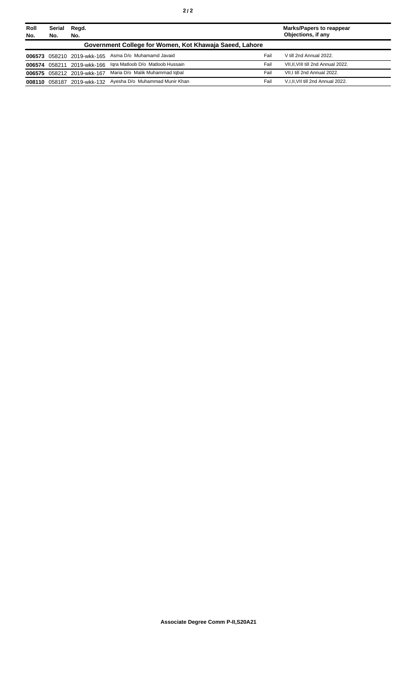| Roll<br>No.                                             | <b>Serial</b><br>No. | Regd.<br>No.               |                                             |      | <b>Marks/Papers to reappear</b><br>Objections, if any |
|---------------------------------------------------------|----------------------|----------------------------|---------------------------------------------|------|-------------------------------------------------------|
| Government College for Women, Kot Khawaja Saeed, Lahore |                      |                            |                                             |      |                                                       |
|                                                         |                      | 006573 058210 2019-wkk-165 | Asma D/o Muhamamd Javaid                    | Fail | V till 2nd Annual 2022.                               |
|                                                         |                      | 006574 058211 2019-wkk-166 | Igra Matloob D/o Matloob Hussain            | Fail | VII.II. VIII till 2nd Annual 2022.                    |
|                                                         |                      | 006575 058212 2019-wkk-167 | Maria D/o Malik Muhammad Iqbal              | Fail | VII.I till 2nd Annual 2022.                           |
| 008110                                                  | 058187               |                            | 2019-wkk-132 Ayesha D/o Muhammad Munir Khan | Fail | V, I, II, VII till 2nd Annual 2022.                   |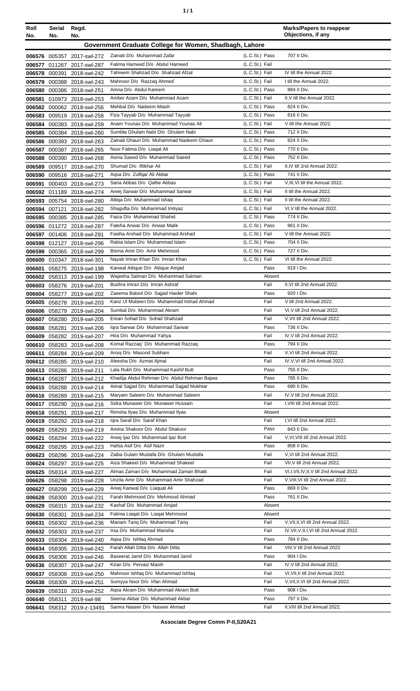|  | ٠ |
|--|---|
|  |   |

| Roll<br>No. | Serial<br>No.        | Regd.<br>No.                                             |                                                                     |                                  | <b>Marks/Papers to reappear</b><br>Objections, if any |
|-------------|----------------------|----------------------------------------------------------|---------------------------------------------------------------------|----------------------------------|-------------------------------------------------------|
|             |                      |                                                          | Government Graduate College for Women, Shadbagh, Lahore             |                                  |                                                       |
|             |                      |                                                          |                                                                     |                                  |                                                       |
|             |                      | 006576 005357 2017-swl-272                               | Zainab D/o Muhammad Zafar                                           | (L.C.St.) Pass                   | 707 II Div.                                           |
| 006577      |                      | 011267 2017-swl-287                                      | Fatima Hameed D/o Abdul Hameed<br>Tahreem Shahzad D/o Shahzad Afzal | (L.C.St.) Fail<br>(L.C.St.) Fail | IV till the Annual 2022.                              |
|             | 006578 000391        | 2018-swl-242                                             | Mahnoor D/o Razzaq Ahmed`                                           | (L.C.St.) Fail                   | I till the Annual 2022.                               |
|             |                      | 006579 000388 2018-swl-243<br>006580 000386 2018-swl-251 | Amna D/o Abdul Kareem                                               | (L.C.St.) Pass                   | 884 II Div.                                           |
| 006581      |                      | 010973 2018-swl-253                                      | Amber Azam D/o Muhammad Azam                                        | (L.C.St.) Fail                   | II, V till the Annual 2022.                           |
|             |                      | 006582 000062 2018-swl-256                               | Mehbal D/o Nadeem Masih                                             | (L.C.St.) Pass                   | 824 II Div.                                           |
|             |                      | 006583 009519 2018-swl-258                               | Fiza Tayyab D/o Muhammad Tayyab                                     | (L.C.St.) Pass                   | 816 II Div.                                           |
|             |                      | 006584 000383 2018-swl-259                               | Anam Younas D/o Muhammad Younas Ali                                 | (L.C.St.) Fail                   | V till the Annual 2022.                               |
|             |                      | 006585 000384 2018-swl-260                               | Sumbla Ghulam Nabi D/o Ghulam Nabi                                  | (L.C.St.) Pass                   | 712 II Div.                                           |
|             |                      | 006586 000393 2018-swl-263                               | Zainab Ghauri D/o Muhammad Nadeem Ghauri                            | (L.C.St.) Pass                   | 824 II Div.                                           |
| 006587      |                      | 000387 2018-swl-265                                      | Noor Fatima D/o Liagat Ali                                          | (L.C.St.) Pass                   | 770 II Div.                                           |
|             |                      | 006588 000390 2018-swl-268                               | Asma Saeed D/o Muhammad Saeed                                       | (L.C.St.) Pass                   | 752 II Div.                                           |
| 006589      |                      | 009517 2018-swl-270                                      | Shumail D/o Iftikhar Ali                                            | (L.C.St.) Fail                   | II, IV till 2nd Annual 2022.                          |
|             |                      | 006590 009516 2018-swl-271                               | Aqsa D/o Zulfqar Ali Akbar                                          | (L.C.St.) Pass                   | 741 II Div.                                           |
| 006591      |                      | 000403 2018-swl-273                                      | Sana Abbas D/o Qalbe Abbas                                          | (L.C.St.) Fail                   | V, III, VI till the Annual 2022.                      |
|             |                      | 006592 011189 2018-swl-274                               | Areej Sarwar D/o Muhammad Sarwar                                    | (L.C.St.) Fail                   | II till the Annual 2022.                              |
|             |                      | 006593 005754 2018-swl-280                               | Attiga D/o Muhammad Ishaq                                           | (L.C.St.) Fail                   | II till the Annual 2022.                              |
|             | 006594 007121        | 2018-swl-282                                             | Shagufta D/o Muhammad Imtiyaz                                       | (L.C.St.) Fail                   | VI, V till the Annual 2022.                           |
|             |                      | 006595 000385 2018-swl-285                               | Faiza D/o Muhammad Shahid                                           | (L.C.St.) Pass                   | 774 II Div.                                           |
|             |                      | 006596 011272 2018-swl-287                               | Fateha Anwar D/o Anwar Malik<br>Fasiha Arshad D/o Muhammad Arshad   | (L.C.St.) Pass<br>(L.C.St.) Fail | 861 II Div.<br>V till the Annual 2022.                |
|             |                      | 006597 001406 2018-swl-291                               | Rabia Islam D/o Muhammad Islam                                      | (L.C.St.) Pass                   | 704 II Div.                                           |
|             |                      | 006598 012127 2018-swl-296                               | Bisma Amir D/o Amir Mehmood                                         | (L.C.St.) Pass                   | 727 II Div.                                           |
|             |                      | 006599 000365 2018-swl-299<br>006600 010347 2018-swl-301 | Nayab Imran Khan D/o Imran Khan                                     | (L.C.St.) Fail                   | VI till the Annual 2022.                              |
| 006601      |                      | 058275 2019-swl-198                                      | Kanwal Attique D/o Attique Amjad                                    | Pass                             | 919   Div.                                            |
|             |                      | 006602 058313 2019-swl-199                               | Wajeeha Salman D/o Muhammad Salman                                  | Absent                           |                                                       |
| 006603      |                      | 058276 2019-swl-201                                      | Bushra Imran D/o Imran Ashraf                                       | Fail                             | II, VI till 2nd Annual 2022.                          |
|             |                      | 006604 058277 2019-swl-202                               | Zaeema Batool D/o Sajjad Haider Shahi                               | Pass                             | 920 I Div.                                            |
|             |                      | 006605 058278 2019-swl-203                               | Kanz UI Mubeen D/o Muhammad Irshad Ahmad                            | Fail                             | V till 2nd Annual 2022.                               |
|             |                      | 006606 058279 2019-swl-204                               | Sumbal D/o Muhammad Akram                                           | Fail                             | VI, V till 2nd Annual 2022.                           |
| 006607      |                      | 058280 2019-swl-205                                      | Eman Sohail D/o Sohail Shahzad                                      | Fail                             | V, VII till 2nd Annual 2022.                          |
|             |                      | 006608 058281 2019-swl-206                               | Igra Sarwar D/o Muhammad Sarwar                                     | Pass                             | 736 II Div.                                           |
|             |                      | 006609 058282 2019-swl-207                               | Hira D/o Muhammad Yahya                                             | Fail                             | IV, V till 2nd Annual 2022.                           |
|             |                      | 006610 058283 2019-swl-208                               | Komal Razzaq` D/o Muhammad Razzaq                                   | Pass                             | 794 II Div.                                           |
| 006611      |                      | 058284 2019-swl-209                                      | Arooj D/o Masood Subhani                                            | Fail                             | V, VI till 2nd Annual 2022.                           |
|             |                      | 006612 058285 2019-swl-210                               | Aleesha D/o Azmat Ajmal<br>Lala Rukh D/o Muhammad Kashif Butt       | Fail<br>Pass                     | IV, V, VI till 2nd Annual 2022.<br>755 II Div.        |
|             |                      | 006613 058286 2019-swl-211<br>006614 058287 2019-swl-212 | Khadija Abdul Rehman D/o Abdul Rehman Bajwa                         | Pass                             | 785 II Div.                                           |
|             |                      | 006615 058288 2019-swl-214                               | Aimal Sajjad D/o Muhammad Sajjad Mukhtar                            | Pass                             | 690 II Div.                                           |
|             |                      | 006616 058289 2019-swl-215                               | Maryam Saleem D/o Muhammad Saleem                                   | Fail                             | IV, V till 2nd Annual 2022.                           |
|             |                      | 006617 058290 2019-swl-216                               | Sidra Munawer D/o Munawer Hussain                                   | Fail                             | I, VIII till 2nd Annual 2022.                         |
|             |                      | 006618 058291 2019-swl-217                               | Rimsha Ilyas D/o Muhammad Ilyas                                     | Absent                           |                                                       |
|             |                      | 006619 058292 2019-swl-218                               | Igra Saraf D/o Saraf Khan                                           | Fail                             | I, VI till 2nd Annual 2022.                           |
|             |                      | 006620 058293 2019-swl-219                               | Amina Shakoor D/o Abdul Shakoor                                     | Pass                             | 843 II Div.                                           |
| 006621      |                      | 058294 2019-swl-222                                      | Areej Ijaz D/o Muhammad Ijaz Butt                                   | Fail                             | V, VI, VIII till 2nd Annual 2022.                     |
|             |                      | 006622 058295 2019-swl-223                               | Hafsa Asif D/o Asif Nazir                                           | Pass                             | 858 II Div.                                           |
|             |                      | 006623 058296 2019-swl-224                               | Zaiba Gulam Mustafa D/o Ghulam Mustafa                              | Fail                             | V, VI till 2nd Annual 2022.                           |
|             |                      | 006624 058297 2019-swl-225                               | Aiza Shakeel D/o Muhammad Shakeel                                   | Fail                             | VII, V till 2nd Annual 2022.                          |
|             |                      | 006625 058314 2019-swl-227                               | Almas Zaman D/o Muhammad Zaman Bhatti                               | Fail                             | VI, I, VII, IV, II, V till 2nd Annual 2022.           |
|             |                      | 006626 058298 2019-swl-228                               | Unzila Amir D/o Muhammad Amir Shahzad                               | Fail                             | V, VIII, VI till 2nd Annual 2022.<br>869 II Div.      |
|             |                      | 006627 058299 2019-swl-229                               | Areej Kanwal D/o Liaquat Ali<br>Farah Mehmood D/o Mehmood Ahmad     | Pass<br>Pass                     | 761 II Div.                                           |
|             |                      | 006628 058300 2019-swl-231                               | Kashaf D/o Muhammad Amjad                                           | Absent                           |                                                       |
|             | <b>006630</b> 058301 | 006629 058315 2019-swl-232<br>2019-swl-234               | Fatima Liagat D/o Liagat Mehmood                                    | Absent                           |                                                       |
| 006631      |                      | 058302 2019-swl-236                                      | Mariam Tariq D/o Muhammad Tariq                                     | Fail                             | V, VII, II, VI till 2nd Annual 2022.                  |
|             |                      | 006632 058303 2019-swl-237                               | Irsa D/o Muhammad Mansha                                            | Fail                             | IV, VII, V, II, I, VI till 2nd Annual 2022.           |
|             |                      | 006633 058304 2019-swl-240                               | Aqsa D/o Ishfaq Ahmad                                               | Pass                             | 784 II Div.                                           |
|             |                      | 006634 058305 2019-swl-242                               | Farah Allah Ditta D/o Allah Ditta                                   | Fail                             | VIII, V till 2nd Annual 2022.                         |
|             |                      | 006635 058306 2019-swl-246                               | Baseerat Jamil D/o Muhammad Jamil                                   | Pass                             | 904   Div.                                            |
|             |                      | 006636 058307 2019-swl-247                               | Kiran D/o Pervaiz Masih                                             | Fail                             | IV, V till 2nd Annual 2022.                           |
|             |                      | 006637 058308 2019-swl-250                               | Mahnoor Ishfaq D/o Muhammad Ishfaq                                  | Fail                             | VI, VII, II till 2nd Annual 2022.                     |
|             |                      | 006638 058309 2019-swl-251                               | Sumyya Noor D/o Irfan Ahmad                                         | Fail                             | V, VII, II, VI till 2nd Annual 2022.                  |
|             |                      | 006639 058310 2019-swl-252                               | Aqsa Akram D/o Muhammad Akram Butt                                  | Pass                             | 908 I Div.                                            |
|             |                      | 006640 058311 2019-swl-98                                | Seema Akbar D/o Muhammad Akbar                                      | Pass                             | 797 II Div.                                           |
|             |                      | 006641 058312 2019-z-13491                               | Samra Naseer D/o Naseer Ahmad                                       | Fail                             | II, VIII till 2nd Annual 2022.                        |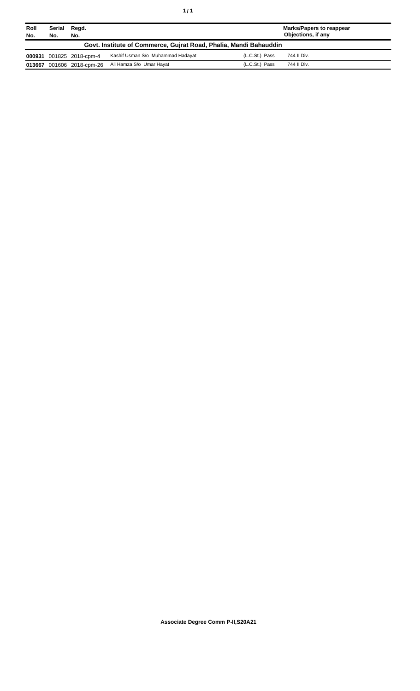| Roll<br>No.                                                       | Serial<br>No. | Regd.<br>No.             |                                   |                | <b>Marks/Papers to reappear</b><br>Objections, if any |
|-------------------------------------------------------------------|---------------|--------------------------|-----------------------------------|----------------|-------------------------------------------------------|
| Govt. Institute of Commerce, Gujrat Road, Phalia, Mandi Bahauddin |               |                          |                                   |                |                                                       |
|                                                                   |               | 000931 001825 2018-cpm-4 | Kashif Usman S/o Muhammad Hadayat | (L.C.St.) Pass | 744 II Div.                                           |
| 013667                                                            |               | 001606 2018-cpm-26       | Ali Hamza S/o Umar Hayat          | (L.C.St.) Pass | 744 II Div.                                           |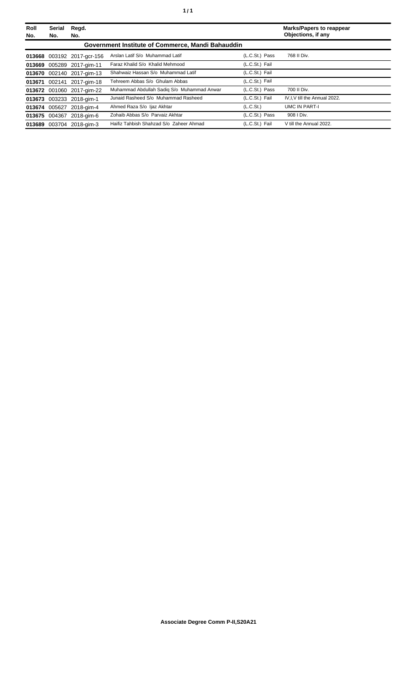| <b>Roll</b><br>No. | Serial<br>No. | Regd.<br>No.               |                                                   |                | <b>Marks/Papers to reappear</b><br>Objections, if any |
|--------------------|---------------|----------------------------|---------------------------------------------------|----------------|-------------------------------------------------------|
|                    |               |                            | Government Institute of Commerce, Mandi Bahauddin |                |                                                       |
|                    |               | 013668 003192 2017-gcr-156 | Arslan Latif S/o Muhammad Latif                   | (L.C.St.) Pass | 768 II Div.                                           |
|                    |               | 013669 005289 2017-gim-11  | Faraz Khalid S/o Khalid Mehmood                   | (L.C.St.) Fail |                                                       |
|                    |               | 013670 002140 2017-gim-13  | Shahwaiz Hassan S/o Muhammad Latif                | (L.C.St.) Fail |                                                       |
| 013671             | 002141        | 2017-gim-18                | Tehreem Abbas S/o Ghulam Abbas                    | (L.C.St.) Fail |                                                       |
|                    |               | 013672 001060 2017-gim-22  | Muhammad Abdullah Sadiq S/o Muhammad Anwar        | (L.C.St.) Pass | 700 II Div.                                           |
|                    |               | 013673 003233 2018-gim-1   | Junaid Rasheed S/o Muhammad Rasheed               | (L.C.St.) Fail | IV, I, V till the Annual 2022.                        |
|                    |               | 013674 005627 2018-gim-4   | Ahmed Raza S/o Ijaz Akhtar                        | (L.C.St.)      | <b>UMC IN PART-I</b>                                  |
|                    |               | 013675 004367 2018-gim-6   | Zohaib Abbas S/o Parvaiz Akhtar                   | (L.C.St.) Pass | 908   Div.                                            |
|                    |               | 013689 003704 2018-aim-3   | Haifiz Tahbish Shahzad S/o Zaheer Ahmad           | (L.C.St.) Fail | V till the Annual 2022.                               |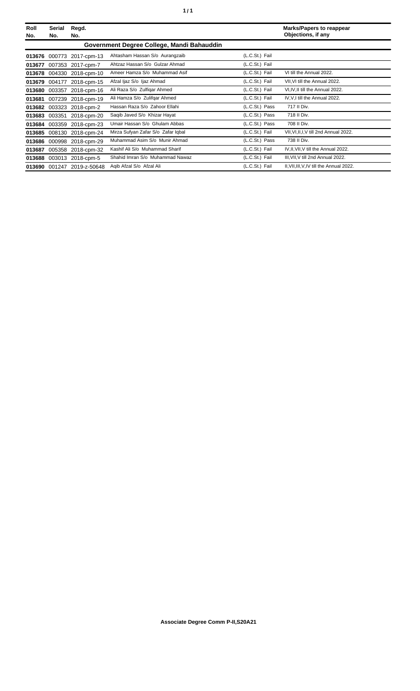| Roll<br>No. | Serial<br>No. | Regd.<br>No.               |                                            |                | <b>Marks/Papers to reappear</b><br>Objections, if any |
|-------------|---------------|----------------------------|--------------------------------------------|----------------|-------------------------------------------------------|
|             |               |                            | Government Degree College, Mandi Bahauddin |                |                                                       |
| 013676      |               | 000773 2017-cpm-13         | Ahtasham Hassan S/o Aurangzaib             | (L.C.St.) Fail |                                                       |
| 013677      |               | 007353 2017-cpm-7          | Ahtzaz Hassan S/o Gulzar Ahmad             | (L.C.St.) Fail |                                                       |
|             |               | 013678 004330 2018-cpm-10  | Ameer Hamza S/o Muhammad Asif              | (L.C.St.) Fail | VI till the Annual 2022.                              |
| 013679      | 004177        | 2018-cpm-15                | Afzal ljaz S/o ljaz Ahmad                  | (L.C.St.) Fail | VII. VI till the Annual 2022.                         |
| 013680      | 003357        | 2018-cpm-16                | Ali Raza S/o Zulfigar Ahmed                | (L.C.St.) Fail | VI, IV, II till the Annual 2022.                      |
| 013681      |               | 007239 2018-cpm-19         | Ali Hamza S/o Zulifgar Ahmed               | (L.C.St.) Fail | IV, V, I till the Annual 2022.                        |
| 013682      |               | 003323 2018-cpm-2          | Hassan Raza S/o Zahoor Ellahi              | (L.C.St.) Pass | 717 II Div.                                           |
| 013683      | 003351        | 2018-cpm-20                | Saqib Javed S/o Khizar Hayat               | (L.C.St.) Pass | 718 II Div.                                           |
|             |               | 013684 003359 2018-cpm-23  | Umair Hassan S/o Ghulam Abbas              | (L.C.St.) Pass | 708 II Div.                                           |
| 013685      |               | 008130 2018-cpm-24         | Mirza Sufyan Zafar S/o Zafar Iqbal         | (L.C.St.) Fail | VII, VI, II, I, V till 2nd Annual 2022.               |
|             |               | 013686 000998 2018-cpm-29  | Muhammad Asim S/o Munir Ahmad              | (L.C.St.) Pass | 738 II Div.                                           |
| 013687      |               | 005358 2018-cpm-32         | Kashif Ali S/o Muhammad Sharif             | (L.C.St.) Fail | IV, II, VII, V till the Annual 2022.                  |
| 013688      |               | 003013 2018-cpm-5          | Shahid Imran S/o Muhammad Nawaz            | (L.C.St.) Fail | III, VII, V till 2nd Annual 2022.                     |
|             |               | 013690 001247 2019-z-50648 | Agib Afzal S/o Afzal Ali                   | (L.C.St.) Fail | II, VII, III, V, IV till the Annual 2022.             |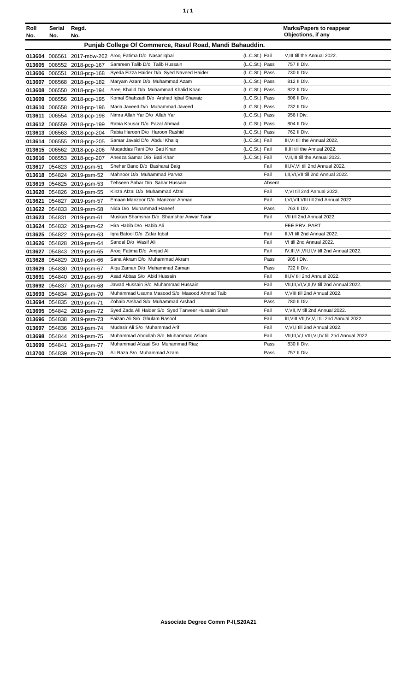| ٠ | ٠ |
|---|---|
|   |   |

| Roll   | Serial<br>No. | Regd.                                                    |                                                          |                | <b>Marks/Papers to reappear</b><br>Objections, if any                 |
|--------|---------------|----------------------------------------------------------|----------------------------------------------------------|----------------|-----------------------------------------------------------------------|
| No.    |               | No.                                                      | Punjab College Of Commerce, Rasul Road, Mandi Bahauddin. |                |                                                                       |
|        |               |                                                          | 013604 006561 2017-mbw-262 Arooj Fatima D/o Nasar Iqbal  | (L.C.St.) Fail | V, III till the Annual 2022.                                          |
|        |               | 013605 006552 2018-pcp-167                               | Samreen Talib D/o Talib Hussain                          | (L.C.St.) Pass | 757 II Div.                                                           |
|        | 013606 006551 | 2018-pcp-168                                             | Syeda Fizza Haider D/o Syed Naveed Haider                | (L.C.St.) Pass | 730 II Div.                                                           |
|        |               | 013607 006568 2018-pcp-182                               | Maryam Azam D/o Muhammad Azam                            | (L.C.St.) Pass | 812 II Div.                                                           |
|        |               |                                                          | Areej Khalid D/o Muhammad Khalid Khan                    | (L.C.St.) Pass | 822 II Div.                                                           |
|        |               | 013608 006550 2018-pcp-194<br>013609 006556 2018-pcp-195 | Komal Shahzadi D/o Arshad Iqbal Shavaiz                  | (L.C.St.) Pass | 806 II Div.                                                           |
|        |               | 013610 006558 2018-pcp-196                               | Maria Javeed D/o Muhammad Javeed                         | (L.C.St.) Pass | 732 II Div.                                                           |
|        |               |                                                          | Nimra Allah Yar D/o Allah Yar                            | (L.C.St.) Pass | 956 I Div.                                                            |
| 013611 |               | 006554 2018-pcp-198                                      | Rabia Kousar D/o Fazal Ahmad                             | (L.C.St.) Pass | 804 II Div.                                                           |
|        |               | 013612 006559 2018-pcp-199                               | Rabia Haroon D/o Haroon Rashid                           | (L.C.St.) Pass | 762 II Div.                                                           |
|        |               | 013613 006563 2018-pcp-204                               | Samar Javaid D/o Abdul Khaliq                            | (L.C.St.) Fail | III, VI till the Annual 2022.                                         |
|        |               | 013614 006555 2018-pcp-205                               | Mugaddas Rani D/o Bati Khan                              | (L.C.St.) Fail | II.III till the Annual 2022.                                          |
|        |               | 013615 006562 2018-pcp-206                               | Aneeza Samar D/o Bati Khan                               | (L.C.St.) Fail |                                                                       |
|        |               | 013616 006553 2018-pcp-207                               | Shehar Bano D/o Basharat Baig                            | Fail           | V, II, III till the Annual 2022.<br>III, IV, VI till 2nd Annual 2022. |
|        |               | 013617 054823 2019-psm-51                                | Mahnoor D/o Muhammad Parvez                              | Fail           | I, II, VI, VII till 2nd Annual 2022.                                  |
|        |               | 013618 054824 2019-psm-52                                | Tehseen Sabar D/o Sabar Hussain                          |                |                                                                       |
|        |               | 013619 054825 2019-psm-53                                | Kinza Afzal D/o Muhammad Afzal                           | Absent<br>Fail |                                                                       |
|        |               | 013620 054826 2019-psm-55                                | Emaan Manzoor D/o Manzoor Ahmad                          | Fail           | V, VI till 2nd Annual 2022.<br>I, VI, VII, VIII till 2nd Annual 2022. |
| 013621 |               | 054827 2019-psm-57                                       | Nida D/o Muhammad Haneef                                 |                | 763 II Div.                                                           |
|        |               | 013622 054833 2019-psm-58                                |                                                          | Pass           |                                                                       |
|        |               | 013623 054831 2019-psm-61                                | Muskan Shamshar D/o Shamshar Anwar Tarar                 | Fail           | VII till 2nd Annual 2022.                                             |
|        |               | 013624 054832 2019-psm-62                                | Hira Habib D/o Habib Ali                                 |                | FEE PRV. PART                                                         |
|        |               | 013625 054822 2019-psm-63                                | Igra Batool D/o Zafar Igbal                              | Fail           | II, VI till 2nd Annual 2022.                                          |
|        |               | 013626 054828 2019-psm-64                                | Sandal D/o Wasif Ali                                     | Fail           | VI till 2nd Annual 2022.                                              |
|        |               | 013627 054843 2019-psm-65                                | Arooj Fatima D/o Amjad Ali                               | Fail           | IV, III, VI, VII, II, V till 2nd Annual 2022.                         |
|        |               | 013628 054829 2019-psm-66                                | Sana Akram D/o Muhammad Akram                            | Pass           | 905   Div.                                                            |
|        |               | 013629 054830 2019-psm-67                                | Alga Zaman D/o Muhammad Zaman                            | Pass           | 722 II Div.                                                           |
|        |               | 013691 054840 2019-psm-59                                | Asad Abbas S/o Abid Hussain                              | Fail           | III.IV till 2nd Annual 2022.                                          |
|        |               | 013692 054837 2019-psm-68                                | Jawad Hussain S/o Muhammad Hussain                       | Fail           | VII, III, VI, V, II, IV till 2nd Annual 2022.                         |
|        |               | 013693 054834 2019-psm-70                                | Muhammad Usama Masood S/o Masood Ahmad Taib              | Fail           | V, VIII till 2nd Annual 2022.                                         |
| 013694 |               | 054835 2019-psm-71                                       | Zohaib Arshad S/o Muhammad Arshad                        | Pass           | 780 II Div.                                                           |
|        |               | 013695 054842 2019-psm-72                                | Syed Zada Ali Haider S/o Syed Tanveer Hussain Shah       | Fail           | V, VII, IV till 2nd Annual 2022.                                      |
|        |               | 013696 054838 2019-psm-73                                | Faizan Ali S/o Ghulam Rasool                             | Fail           | III, VIII, VII, IV, V, I till 2nd Annual 2022.                        |
|        |               | 013697 054836 2019-psm-74                                | Mudasir Ali S/o Muhammad Arif                            | Fail           | V.VI,I till 2nd Annual 2022.                                          |
|        |               | 013698 054844 2019-psm-75                                | Muhammad Abdullah S/o Muhammad Aslam                     | Fail           | VII, III, V, I, VIII, VI, IV till 2nd Annual 2022.                    |
|        |               | 013699 054841 2019-psm-77                                | Muhammad Afzaal S/o Muhammad Riaz                        | Pass           | 830 II Div.                                                           |
|        |               | 013700 054839 2019-psm-78                                | Ali Raza S/o Muhammad Azam                               | Pass           | 757 II Div.                                                           |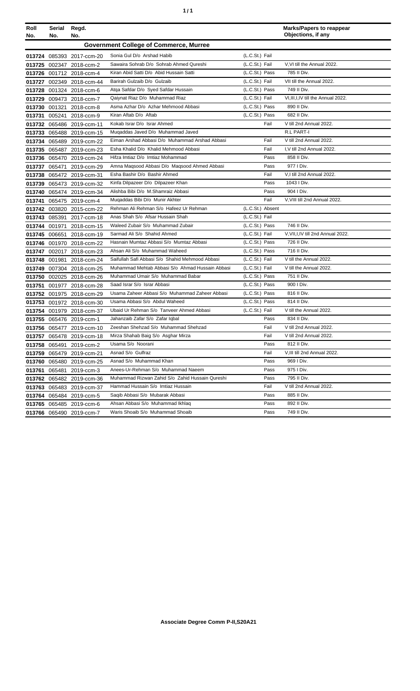| ٠ | ٠ |
|---|---|
|   |   |

| Roll   | Serial        | Regd.                     |                                                 |                  | <b>Marks/Papers to reappear</b><br>Objections, if any |
|--------|---------------|---------------------------|-------------------------------------------------|------------------|-------------------------------------------------------|
| No.    | No.           | No.                       |                                                 |                  |                                                       |
|        |               |                           | <b>Government College of Commerce, Murree</b>   |                  |                                                       |
|        |               | 013724 085393 2017-ccm-20 | Sonia Gul D/o Arshad Habib                      | (L.C.St.) Fail   |                                                       |
|        |               | 013725 002347 2018-ccm-2  | Sawaira Sohrab D/o Sohrab Ahmed Qureshi         | (L.C.St.) Fail   | V.VI till the Annual 2022.                            |
|        |               | 013726 001712 2018-ccm-4  | Kiran Abid Satti D/o Abid Hussain Satti         | (L.C.St.) Pass   | 785 II Div.                                           |
| 013727 |               | 002349 2018-ccm-44        | Barirah Gulzaib D/o Gulzaib                     | (L.C.St.) Fail   | VII till the Annual 2022.                             |
|        |               | 013728 001324 2018-ccm-6  | Atga Safdar D/o Syed Safdar Hussain             | (L.C.St.) Pass   | 749 II Div.                                           |
| 013729 |               | 009473 2018-ccm-7         | Qaiynat Riaz D/o Muhammad Riaz                  | (L.C.St.) Fail   | VI, III, I, IV till the Annual 2022.                  |
|        |               | 013730 001321 2018-ccm-8  | Asma Azhar D/o Azhar Mehmood Abbasi             | (L.C.St.) Pass   | 890 II Div.                                           |
|        |               | 013731 005241 2018-ccm-9  | Kiran Aftab D/o Aftab                           | (L.C.St.) Pass   | 682 II Div.                                           |
|        |               | 013732 065486 2019-ccm-11 | Kokab Israr D/o Israr Ahmed                     | Fail             | V till 2nd Annual 2022.                               |
|        |               | 013733 065488 2019-ccm-15 | Mugaddas Javed D/o Muhammad Javed               |                  | R.L PART-I                                            |
|        |               | 013734 065489 2019-ccm-22 | Eiman Arshad Abbasi D/o Muhammad Arshad Abbasi  | Fail             | V till 2nd Annual 2022.                               |
|        |               | 013735 065487 2019-ccm-23 | Esha Khalid D/o Khalid Mehmood Abbasi           | Fail             | I, V till 2nd Annual 2022.                            |
|        |               | 013736 065470 2019-ccm-24 | Hifza Imtiaz D/o Imtiaz Mohammad                | Pass             | 858 II Div.                                           |
|        |               | 013737 065471 2019-ccm-29 | Amna Magsood Abbasi D/o Magsood Ahmed Abbasi    | Pass             | 977   Div.                                            |
|        |               | 013738 065472 2019-ccm-31 | Esha Bashir D/o Bashir Ahmed                    | Fail             | V,I till 2nd Annual 2022.                             |
|        |               | 013739 065473 2019-ccm-32 | Kinfa Dilpazeer D/o Dilpazeer Khan              | Pass             | 1043 I Div.                                           |
|        |               | 013740 065474 2019-ccm-34 | Alishba Bibi D/o M.Shamraiz Abbasi              | Pass             | 904   Div.                                            |
| 013741 |               | 065475 2019-ccm-4         | Mugaddas Bibi D/o Munir Akhter                  | Fail             | V, VIII till 2nd Annual 2022.                         |
|        |               | 013742 003820 2015-ccm-22 | Rehman Ali Rehman S/o Hafeez Ur Rehman          | (L.C.St.) Absent |                                                       |
|        |               | 013743 085391 2017-ccm-18 | Anas Shah S/o Afsar Hussain Shah                | (L.C.St.) Fail   |                                                       |
|        |               | 013744 001971 2018-ccm-15 | Waleed Zubair S/o Muhammad Zubair               | (L.C.St.) Pass   | 746 II Div.                                           |
|        |               | 013745 006651 2018-ccm-19 | Sarmad Ali S/o Shahid Ahmed                     | (L.C.St.) Fail   | V, VII, I, IV till 2nd Annual 2022.                   |
|        |               | 013746 001970 2018-ccm-22 | Hasnain Mumtaz Abbasi S/o Mumtaz Abbasi         | (L.C.St.) Pass   | 726 II Div.                                           |
|        |               | 013747 002017 2018-ccm-23 | Ahsan Ali S/o Muhammad Waheed                   | (L.C.St.) Pass   | 716 II Div.                                           |
|        |               | 013748 001981 2018-ccm-24 | Saifullah Safi Abbasi S/o Shahid Mehmood Abbasi | (L.C.St.) Fail   | V till the Annual 2022.                               |
|        |               | 013749 007304 2018-ccm-25 | Muhammad Mehtab Abbasi S/o Ahmad Hussain Abbasi | (L.C.St.) Fail   | V till the Annual 2022.                               |
|        |               | 013750 002025 2018-ccm-26 | Muhammad Umair S/o Muhammad Babar               | (L.C.St.) Pass   | 751 II Div.                                           |
| 013751 |               | 001977 2018-ccm-28        | Saad Israr S/o Israr Abbasi                     | (L.C.St.) Pass   | 900   Div.                                            |
|        |               | 013752 001975 2018-ccm-29 | Usama Zaheer Abbasi S/o Muhammad Zaheer Abbasi  | (L.C.St.) Pass   | 816 II Div.                                           |
|        |               | 013753 001972 2018-ccm-30 | Usama Abbasi S/o Abdul Waheed                   | (L.C.St.) Pass   | 814 II Div.                                           |
|        |               | 013754 001979 2018-ccm-37 | Ubaid Ur Rehman S/o Tanveer Ahmed Abbasi        | (L.C.St.) Fail   | V till the Annual 2022.                               |
|        |               | 013755 065476 2019-ccm-1  | Jahanzaib Zafar S/o Zafar Iqbal                 | Pass             | 834 II Div.                                           |
|        |               | 013756 065477 2019-ccm-10 | Zeeshan Shehzad S/o Muhammad Shehzad            | Fail             | V till 2nd Annual 2022.                               |
|        |               | 013757 065478 2019-ccm-18 | Mirza Shahab Baig S/o Asghar Mirza              | Fail             | V till 2nd Annual 2022.                               |
|        | 013758 065491 | 2019-ccm-2                | Usama S/o Noorani                               | Pass             | 812 II Div.                                           |
|        |               | 013759 065479 2019-ccm-21 | Asnad S/o Gulfraz                               | Fail             | V, III till 2nd Annual 2022.                          |
|        |               | 013760 065480 2019-ccm-25 | Asnad S/o Muhammad Khan                         | Pass             | 969 I Div.                                            |
| 013761 | 065481        | 2019-ccm-3                | Anees-Ur-Rehman S/o Muhammad Naeem              | Pass             | 975   Div.                                            |
|        |               | 013762 065482 2019-ccm-36 | Muhammad Rizwan Zahid S/o Zahid Hussain Qureshi | Pass             | 795 II Div.                                           |
|        |               | 013763 065483 2019-ccm-37 | Hammad Hussain S/o Imtiaz Hussain               | Fail             | V till 2nd Annual 2022.                               |
|        |               | 013764 065484 2019-ccm-5  | Saqib Abbasi S/o Mubarak Abbasi                 | Pass             | 885 II Div.                                           |
|        |               | 013765 065485 2019-ccm-6  | Ahsan Abbasi S/o Muhammad Ikhlaq                | Pass             | 892 II Div.                                           |
|        |               | 013766 065490 2019-ccm-7  | Waris Shoaib S/o Muhammad Shoaib                | Pass             | 749 II Div.                                           |
|        |               |                           |                                                 |                  |                                                       |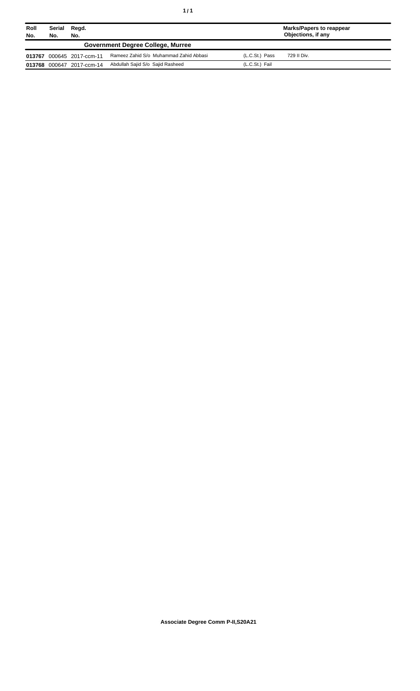| Roll<br>No. | Serial<br>No. | Regd.<br>No.              |                                          |                | <b>Marks/Papers to reappear</b><br>Objections, if any |
|-------------|---------------|---------------------------|------------------------------------------|----------------|-------------------------------------------------------|
|             |               |                           | <b>Government Degree College, Murree</b> |                |                                                       |
| 013767      |               | 000645 2017-ccm-11        | Rameez Zahid S/o Muhammad Zahid Abbasi   | (L.C.St.) Pass | 729 II Div.                                           |
|             |               | 013768 000647 2017-ccm-14 | Abdullah Sajid S/o Sajid Rasheed         | (L.C.St.) Fail |                                                       |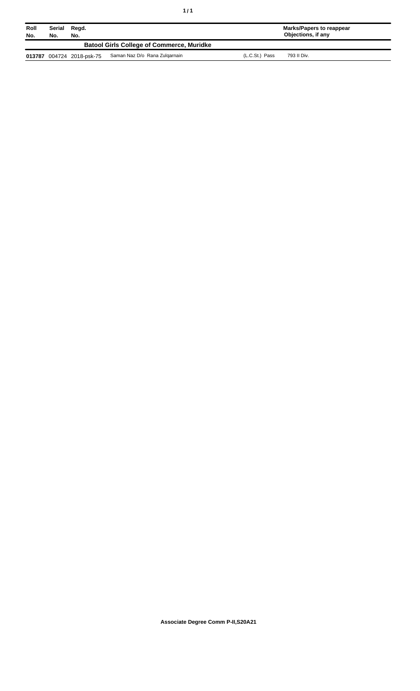| Roll<br>No. | No.                                              | Serial Regd.<br>No.       |                               |                | Marks/Papers to reappear<br>Objections, if any |  |  |
|-------------|--------------------------------------------------|---------------------------|-------------------------------|----------------|------------------------------------------------|--|--|
|             | <b>Batool Girls College of Commerce, Muridke</b> |                           |                               |                |                                                |  |  |
|             |                                                  | 013787 004724 2018-psk-75 | Saman Naz D/o Rana Zulgarnain | (L.C.St.) Pass | 793 II Div.                                    |  |  |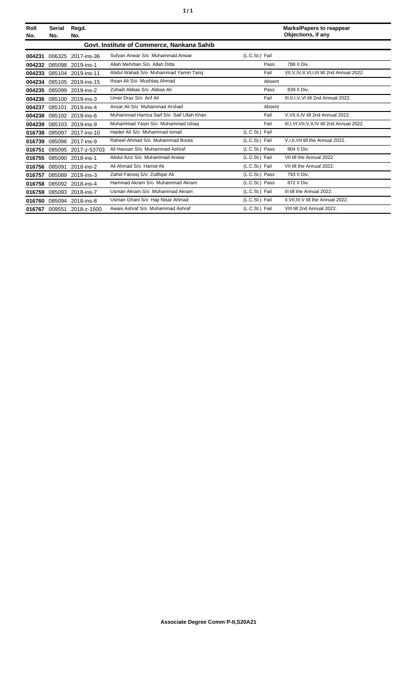| Roll<br>No. | <b>Serial</b><br>No. | Regd.<br>No.        |                                            |                | <b>Marks/Papers to reappear</b><br>Objections, if any |
|-------------|----------------------|---------------------|--------------------------------------------|----------------|-------------------------------------------------------|
|             |                      |                     | Govt. Institute of Commerce, Nankana Sahib |                |                                                       |
| 004231      | 006325               | 2017-ins-36         | Sufyan Anwar S/o Muhammad Anwar            | (L.C.St.) Fail |                                                       |
| 004232      |                      | 085098 2019-ins-1   | Allah Mehrban S/o Allah Ditta              | Pass           | 788 II Div.                                           |
| 004233      |                      | 085104 2019-ins-11  | Abdul Wahab S/o Muhammad Yamin Tariq       | Fail           | VII, V, IV, II, VI, I, III till 2nd Annual 2022.      |
| 004234      |                      | 085105 2019-ins-15  | Ihsan Ali S/o Mushtag Ahmad                | Absent         |                                                       |
| 004235      | 085099               | 2019-ins-2          | Zohaib Abbas S/o Abbas Ali                 | Pass           | 839 II Div.                                           |
| 004236      |                      | 085100 2019-ins-3   | Umer Draz S/o Arif Ali                     | Fail           | III.II.I.V.VI till 2nd Annual 2022.                   |
| 004237      |                      | 085101 2019-ins-4   | Ansar Ali S/o Muhammad Arshad              | Absent         |                                                       |
| 004238      |                      | 085102 2019-ins-6   | Muhammad Hamza Saif S/o Saif Ullah Khan    | Fail           | V.VII.II.IV till 2nd Annual 2022.                     |
| 004239      |                      | 085103 2019-ins-9   | Muhammad Yasin S/o Muhammad Ishaq          | Fail           | III, I, VI, VII, V, II, IV till 2nd Annual 2022.      |
| 016738      |                      | 085097 2017-ins-10  | Haider Ali S/o Muhammad Ismail             | (L.C.St.) Fail |                                                       |
| 016739      |                      | 085096 2017-ins-9   | Raheel Ahmad S/o Muhammad Boota            | (L.C.St.) Fail | V, I, II, VII till the Annual 2022.                   |
| 016751      |                      | 085095 2017-z-53703 | Ali Hassan S/o Muhammad Ashraf             | (L.C.St.) Pass | 804 II Div.                                           |
| 016755      |                      | 085090 2018-ins-1   | Abdul Aziz S/o Muhammad Anwar              | (L.C.St.) Fail | VII till the Annual 2022.                             |
| 016756      | 085091               | 2018-ins-2          | Ali Ahmad S/o Hamid Ali                    | (L.C.St.) Fail | VII till the Annual 2022.                             |
| 016757      | 085089               | 2018-ins-3          | Zahid Faroog S/o Zulifigar Ali             | (L.C.St.) Pass | 793 II Div.                                           |
| 016758      |                      | 085092 2018-ins-4   | Hammad Akram S/o Muhammad Akram            | (L.C.St.) Pass | 872 II Div.                                           |
| 016759      |                      | 085093 2018-ins-7   | Usman Akram S/o Muhammad Akram             | (L.C.St.) Fail | III till the Annual 2022.                             |
| 016760      |                      | 085094 2018-ins-8   | Usman Ghani S/o Haji Nisar Ahmad           | (L.C.St.) Fail | II, VII, III, V till the Annual 2022.                 |
| 016767      | 009551               | 2018-z-1500         | Awais Ashraf S/o Muhammad Ashraf           | (L.C.St.) Fail | VIII till 2nd Annual 2022.                            |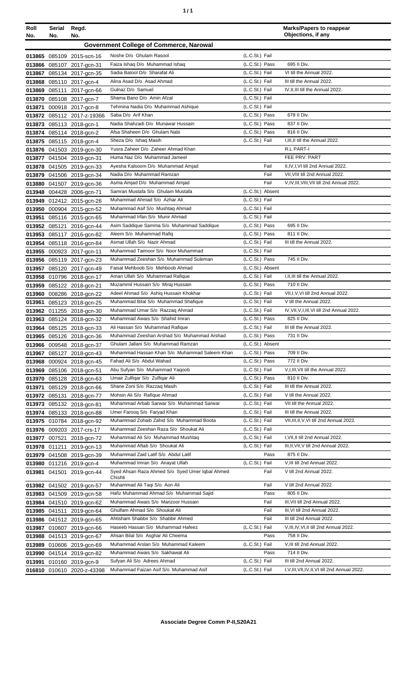|  | ٠ |
|--|---|
|  |   |

| Roll<br>No.      | Serial Regd.<br>No. | No.                                                    |                                                                   |                                    | <b>Marks/Papers to reappear</b><br>Objections, if any |
|------------------|---------------------|--------------------------------------------------------|-------------------------------------------------------------------|------------------------------------|-------------------------------------------------------|
|                  |                     |                                                        | <b>Government College of Commerce, Narowal</b>                    |                                    |                                                       |
|                  |                     | 013865 085109 2015-scn-16                              | Noshe D/o Ghulam Rasool                                           | (L.C.St.) Fail                     |                                                       |
| 013866           |                     | 085107 2017-gcn-31                                     | Faiza Ishaq D/o Muhammad Ishaq                                    | (L.C.St.) Pass                     | 695 II Div.                                           |
| 013867           |                     | 085134 2017-gcn-35                                     | Sadia Batool D/o Sharafat Ali                                     | (L.C.St.) Fail                     | VI till the Annual 2022.                              |
| 013868           |                     | 085110 2017-gcn-4                                      | Alina Asad D/o Asad Ahmad                                         | (L.C.St.) Fail                     | III till the Annual 2022.                             |
| 013869           |                     | 085111 2017-gcn-66                                     | Gulnaz D/o Samuel                                                 | (L.C.St.) Fail                     | IV, II, III till the Annual 2022.                     |
| 013870           |                     | 085108 2017-gcn-7                                      | Shama Bano D/o Amin Afzal                                         | (L.C.St.) Fail                     |                                                       |
| 013871           |                     | 000918 2017-gcn-8                                      | Tehmina Nadia D/o Muhammad Ashique                                | (L.C.St.) Fail                     |                                                       |
| 013872           |                     | 085112 2017-z-19366                                    | Saba D/o Arif Khan                                                | (L.C.St.) Pass                     | 678 II Div.                                           |
|                  |                     | 013873 085113 2018-gcn-1                               | Nadia Shahzadi D/o Munawar Hussain                                | (L.C.St.) Pass                     | 837 II Div.                                           |
| 013874           |                     | 085114 2018-gcn-2                                      | Afsa Shaheen D/o Ghulam Nabi                                      | (L.C.St.) Pass                     | 816 II Div.                                           |
|                  |                     | 013875 085115 2018-gcn-4                               | Sheza D/o Ishaq Masih                                             | (L.C.St.) Fail                     | I, III, II till the Annual 2022.                      |
|                  |                     | 013876 041503 2019-gcn-30                              | Yusra Zaheer D/o Zaheer Ahmad Khan                                |                                    | R.L PART-I                                            |
|                  |                     | 013877 041504 2019-gcn-31                              | Huma Naz D/o Muhammad Jameel                                      |                                    | FEE PRV. PART                                         |
|                  |                     | 013878 041505 2019-gcn-33                              | Ayesha Kalsoom D/o Muhammad Amjad                                 | Fail                               | II, IV, I, VI till 2nd Annual 2022.                   |
| 013879           |                     | 041506 2019-gcn-34                                     | Nadia D/o Muhammad Ramzan                                         | Fail                               | VII, VIII till 2nd Annual 2022.                       |
| 013880           |                     | 041507 2019-gcn-36                                     | Asma Amjad D/o Muhammad Amjad                                     | Fail                               | V,IV,III, VIII, VII till 2nd Annual 2022.             |
| 013948           |                     | 004428 2006-gcn-71                                     | Samran Mustafa S/o Ghulam Mustafa<br>Muhammad Ahmad S/o Azhar Ali | (L.C.St.) Absent<br>(L.C.St.) Fail |                                                       |
|                  |                     | 013949 012412 2015-gcn-26                              | Muhammad Asif S/o Mushtaq Ahmad                                   | (L.C.St.) Fail                     |                                                       |
| 013950           |                     | 000904 2015-gcn-52                                     | Muhammad Irfan S/o Munir Ahmad                                    | (L.C.St.) Fail                     |                                                       |
| 013951           |                     | 085116 2015-gcn-65<br>013952 085121 2016-gcn-44        | Asim Saddique Samma S/o Muhammad Saddique                         | (L.C.St.) Pass                     | 695 II Div.                                           |
| 013953           |                     | 085117 2016-gcn-82                                     | Aleem S/o Muhammad Rafiq                                          | (L.C.St.) Pass                     | 811 II Div.                                           |
| 013954           |                     | 085118 2016-gcn-84                                     | Asmat Ullah S/o Nazir Ahmad                                       | (L.C.St.) Fail                     | III till the Annual 2022.                             |
| 013955           |                     | 000923 2017-gcn-11                                     | Muhammad Taimoor S/o Noor Muhammad                                | (L.C.St.) Fail                     |                                                       |
|                  |                     | 013956 085119 2017-gcn-23                              | Muhammad Zeeshan S/o Muhammad Suleman                             | (L.C.St.) Pass                     | 745 II Div.                                           |
| 013957           |                     | 085120 2017-gcn-49                                     | Faisal Mehboob S/o Mehboob Ahmad                                  | (L.C.St.) Absent                   |                                                       |
|                  |                     | 013958 010796 2018-gcn-17                              | Aman Ullah S/o Muhammad Rafique                                   | (L.C.St.) Fail                     | I, II, III till the Annual 2022.                      |
| 013959           |                     | 085122 2018-gcn-21                                     | Muzammil Hussain S/o Miraj Hussain                                | (L.C.St.) Pass                     | 710 II Div.                                           |
| 013960           |                     | 008286 2018-gcn-22                                     | Adeel Ahmad S/o Ashig Hussain Khokhar                             | (L.C.St.) Fail                     | VII, I, V, VI till 2nd Annual 2022.                   |
| 013961           |                     | 085123 2018-gcn-25                                     | Muhammad Bilal S/o Muhammad Shafique                              | (L.C.St.) Fail                     | V till the Annual 2022.                               |
|                  |                     | 013962 011255 2018-gcn-30                              | Muhammad Umar S/o Razzaq Ahmad                                    | (L.C.St.) Fail                     | IV, VII, V, I, III, VI till 2nd Annual 2022.          |
|                  |                     | 013963 085124 2018-gcn-32                              | Muhammad Awais S/o Shahid Imran                                   | (L.C.St.) Pass                     | 825 II Div.                                           |
|                  |                     | 013964 085125 2018-gcn-33                              | Ali Hassan S/o Muhammad Rafique                                   | (L.C.St.) Fail                     | III till the Annual 2022.                             |
|                  |                     | 013965 085126 2018-gcn-36                              | Muhammad Zeeshan Arshad S/o Muhammad Arshad                       | (L.C.St.) Pass                     | 731 II Div.                                           |
|                  |                     | 013966 009548 2018-gcn-37                              | Ghulam Jallani S/o Muhammad Ramzan                                | (L.C.St.) Absent                   |                                                       |
|                  |                     | 013967 085127 2018-gcn-43                              | Muhammad Hassan Khan S/o Muhammad Saleem Khan                     | (L.C.St.) Pass                     | 709 II Div.                                           |
| 013968           |                     | 000924 2018-gcn-45                                     | Fahad Ali S/o Abdul Wahad<br>Abu Sufyan S/o Muhammad Yaqoob       | (L.C.St.) Pass<br>(L.C.St.) Fail   | 772 II Div.<br>V, I, III, VII till the Annual 2022.   |
| 013969<br>013970 |                     | 085106 2018-gcn-51                                     | Umair Zulfiqar S/o Zulfiqar Ali                                   | (L.C.St.) Pass                     | 810 II Div.                                           |
|                  |                     | 085128 2018-gcn-63                                     | Shane Zoni S/o Razzaq Masih                                       | (L.C.St.) Fail                     | III till the Annual 2022.                             |
| 013971           |                     | 085129 2018-gcn-66<br>013972 085131 2018-gcn-77        | Mohsin Ali S/o Rafique Ahmad                                      | (L.C.St.) Fail                     | V till the Annual 2022.                               |
|                  |                     | 013973 085132 2018-gcn-81                              | Muhammad Arbab Sarwar S/o Muhammad Sarwar                         | (L.C.St.) Fail                     | VII till the Annual 2022.                             |
|                  |                     | 013974 085133 2018-gcn-88                              | Umer Farooq S/o Faryad Khan                                       | (L.C.St.) Fail                     | III till the Annual 2022.                             |
|                  |                     | 013975 010784 2018-gcn-92                              | Muhammad Zohaib Zahid S/o Muhammad Boota                          | (L.C.St.) Fail                     | VII, III, II, V, VI till 2nd Annual 2022.             |
|                  |                     | 013976 009203 2017-crs-17                              | Muhammad Zeeshan Raza S/o Shoukat Ali                             | (L.C.St.) Fail                     |                                                       |
|                  | 013977 007521       | 2018-gcn-72                                            | Muhammad Ali S/o Muhammad Mushtaq                                 | (L.C.St.) Fail                     | I, VII, II till 2nd Annual 2022.                      |
|                  |                     | 013978 011211 2019-gcn-13                              | Muhammad Aftab S/o Shoukat Ali                                    | (L.C.St.) Fail                     | III, II, VII, V till 2nd Annual 2022.                 |
|                  |                     | 013979 041508 2019-gcn-39                              | Muhammad Zaid Latif S/o Abdul Latif                               | Pass                               | 875 II Div.                                           |
|                  |                     | 013980 011216 2019-gcn-4                               | Muhammad Imran S/o Anayat Ullah                                   | (L.C.St.) Fail                     | V, III till 2nd Annual 2022.                          |
|                  |                     | 013981 041501 2019-gcn-44                              | Syed Ahsan Raza Ahmed S/o Syed Umer Iqbal Ahmed                   | Fail                               | V till 2nd Annual 2022.                               |
|                  |                     |                                                        | Chishti<br>Muhammad Ali Taqi S/o Aon Ali                          | Fail                               | V till 2nd Annual 2022.                               |
|                  |                     | 013982 041502 2019-gcn-57<br>013983 041509 2019-gcn-58 | Hafiz Muhammad Ahmad S/o Muhammad Sajid                           | Pass                               | 805 II Div.                                           |
|                  |                     | 013984 041510 2019-gcn-62                              | Muhammad Awais S/o Manzoor Hussain                                | Fail                               | III, VII till 2nd Annual 2022.                        |
|                  |                     | 013985 041511 2019-gcn-64                              | Ghulfam Ahmad S/o Shoukat Ali                                     | Fail                               | III, VI till 2nd Annual 2022.                         |
|                  |                     | 013986 041512 2019-gcn-65                              | Ahtisham Shabbir S/o Shabbir Ahmed                                | Fail                               | III till 2nd Annual 2022.                             |
|                  |                     | 013987 010607 2019-gcn-66                              | Haseeb Hassan S/o Muhammad Hafeez                                 | (L.C.St.) Fail                     | V, III, IV, VI, II till 2nd Annual 2022.              |
|                  |                     | 013988 041513 2019-gcn-67                              | Ahsan Bilal S/o Asghar Ali Cheema                                 | Pass                               | 758 II Div.                                           |
| 013989           |                     | 010606 2019-gcn-69                                     | Muhammad Arslan S/o Muhammad Kaleem                               | (L.C.St.) Fail                     | V, III till 2nd Annual 2022.                          |
| 013990           |                     | 041514 2019-gcn-82                                     | Muhammad Awais S/o Sakhawat Ali                                   | Pass                               | 714 II Div.                                           |
| 013991           |                     | 010160 2019-gcn-9                                      | Sufyan Ali S/o Adrees Ahmad                                       | (L.C.St.) Fail                     | III till 2nd Annual 2022.                             |
|                  |                     | 016810 010610 2020-z-43398                             | Muhammad Faizan Asif S/o Muhammad Asif                            | (L.C.St.) Fail                     | I, V, III, VII, IV, II, VI till 2nd Annual 2022.      |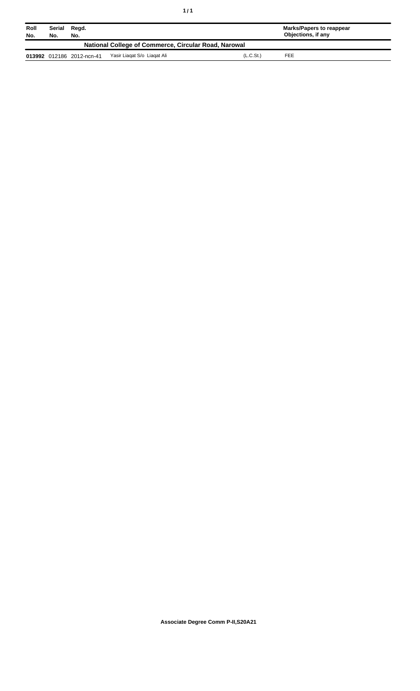| Roll<br>No.                                          | Serial<br>No. | Regd.<br>No.              |                             |                       | Marks/Papers to reappear<br>Objections, if any |  |  |
|------------------------------------------------------|---------------|---------------------------|-----------------------------|-----------------------|------------------------------------------------|--|--|
| National College of Commerce, Circular Road, Narowal |               |                           |                             |                       |                                                |  |  |
|                                                      |               | 013992 012186 2012-ncn-41 | Yasir Liagat S/o Liagat Ali | (L.C.S <sub>t</sub> ) | FEE                                            |  |  |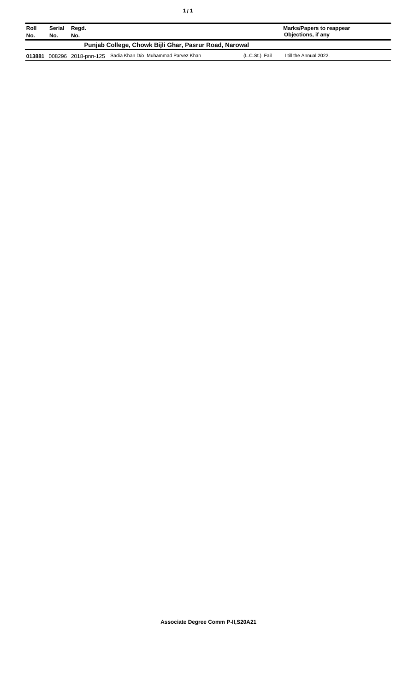| Roll   | Serial | Regd. |                                                         |                | <b>Marks/Papers to reappear</b> |  |
|--------|--------|-------|---------------------------------------------------------|----------------|---------------------------------|--|
| No.    | No.    | No.   | Punjab College, Chowk Bijli Ghar, Pasrur Road, Narowal  |                | Objections, if any              |  |
|        |        |       |                                                         |                |                                 |  |
| 013881 |        |       | 008296 2018-pnn-125 Sadia Khan D/o Muhammad Parvez Khan | (L.C.St.) Fail | I till the Annual 2022.         |  |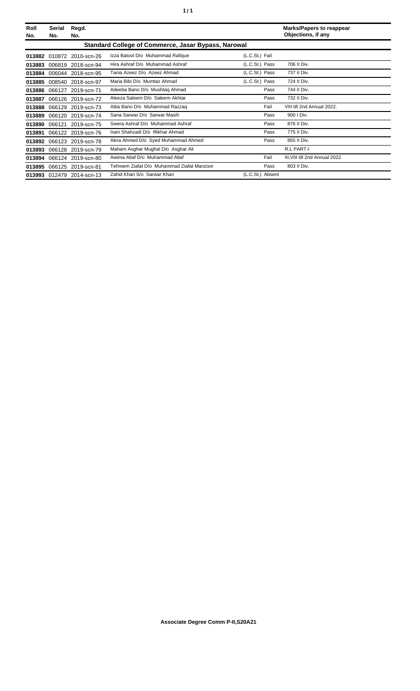| Roll<br>No. | Serial<br>No. | Regd.<br>No.              |                                                     |                  | <b>Marks/Papers to reappear</b><br>Objections, if any |
|-------------|---------------|---------------------------|-----------------------------------------------------|------------------|-------------------------------------------------------|
|             |               |                           | Standard College of Commerce, Jasar Bypass, Narowal |                  |                                                       |
|             |               | 013882 010872 2010-scn-26 | Izza Batool D/o Muhammad Rafique                    | (L.C.St.) Fail   |                                                       |
| 013883      | 006819        | 2018-scn-94               | Hira Ashraf D/o Muhammad Ashraf                     | (L.C.St.) Pass   | 706 II Div.                                           |
| 013884      | 006044        | 2018-scn-95               | Tania Azeez D/o Azeez Ahmad                         | (L.C.St.) Pass   | 737 II Div.                                           |
| 013885      | 008540        | 2018-scn-97               | Maria Bibi D/o Mumtaz Ahmad                         | (L.C.St.) Pass   | 724 II Div.                                           |
| 013886      | 066127        | 2019-scn-71               | Adeeba Bano D/o Mushtag Ahmad                       | Pass             | 744 II Div.                                           |
| 013887      |               | 066126 2019-scn-72        | Aleeza Saleem D/o Saleem Akhtar                     | Pass             | 732 II Div.                                           |
| 013888      | 066129        | 2019-scn-73               | Attia Bano D/o Muhammad Razzaq                      | Fail             | VIII till 2nd Annual 2022.                            |
| 013889      |               | 066120 2019-scn-74        | Sana Sarwar D/o Sarwar Masih                        | Pass             | 900   Div.                                            |
| 013890      | 066121        | 2019-scn-75               | Swera Ashraf D/o Muhammad Ashraf                    | Pass             | 876 II Div.                                           |
| 013891      |               | 066122 2019-scn-76        | Iram Shahzadi D/o Iftikhar Ahmad                    | Pass             | 775 II Div.                                           |
| 013892      | 066123        | 2019-scn-78               | Alina Ahmed D/o Syed Muhammad Ahmed                 | Pass             | 855 II Div.                                           |
| 013893      |               | 066128 2019-scn-79        | Maham Asghar Mughal D/o Asghar Ali                  |                  | <b>R.L PART-I</b>                                     |
| 013894      |               | 066124 2019-scn-80        | Awima Altaf D/o Muhammad Altaf                      | Fail             | III, VIII till 2nd Annual 2022.                       |
| 013895      |               | 066125 2019-scn-81        | Tehreem Ziafat D/o Muhammad Ziafat Manzoor          | Pass             | 803 II Div.                                           |
|             |               | 013993 012479 2014-scn-13 | Zahid Khan S/o Sarwar Khan                          | (L.C.St.) Absent |                                                       |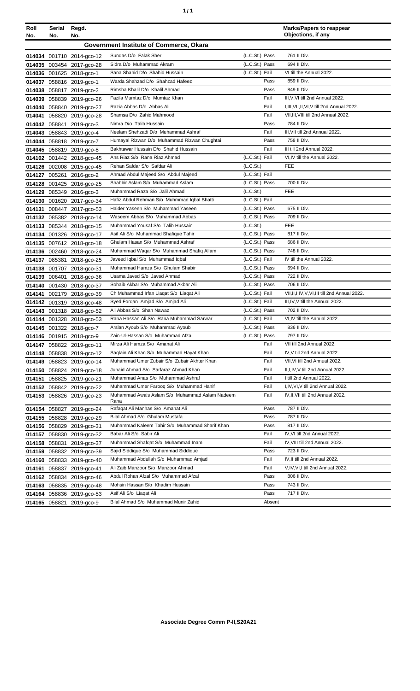| ٠ | ٠ |
|---|---|
|   |   |

| Roll<br>No. | Serial<br>No. | Regd.<br>No.              |                                                        |                       | <b>Marks/Papers to reappear</b><br>Objections, if any |
|-------------|---------------|---------------------------|--------------------------------------------------------|-----------------------|-------------------------------------------------------|
|             |               |                           | Government Institute of Commerce, Okara                |                       |                                                       |
|             |               | 014034 001710 2014-gco-12 | Sundas D/o Falak Sher                                  | (L.C.St.) Pass        | 761 II Div.                                           |
|             |               | 014035 003454 2017-gco-28 | Sidra D/o Muhammad Akram                               | (L.C.St.) Pass        | 694 II Div.                                           |
|             |               | 014036 001625 2018-gco-1  | Sana Shahid D/o Shahid Hussain                         | (L.C.St.) Fail        | VI till the Annual 2022.                              |
|             |               | 014037 058816 2019-gco-1  | Warda Shahzad D/o Shahzad Hafeez                       | Pass                  | 859 II Div.                                           |
|             |               | 014038 058817 2019-gco-2  | Rimsha Khalil D/o Khalil Ahmad                         | Pass                  | 849 II Div.                                           |
|             |               | 014039 058839 2019-gco-26 | Fazila Mumtaz D/o Mumtaz Khan                          | Fail                  | III, V, VI till 2nd Annual 2022.                      |
|             |               | 014040 058840 2019-gco-27 | Razia Abbas D/o Abbas Ali                              | Fail                  | I, III, VII, II, VI, V till 2nd Annual 2022.          |
|             |               | 014041 058820 2019-gco-28 | Shamsa D/o Zahid Mahmood                               | Fail                  | VII, III, VIII till 2nd Annual 2022.                  |
|             |               | 014042 058841 2019-gco-3  | Nimra D/o Talib Hussain                                | Pass                  | 784 II Div.                                           |
|             |               | 014043 058843 2019-gco-4  | Neelam Shehzadi D/o Muhammad Ashraf                    | Fail                  | III, VII till 2nd Annual 2022.                        |
|             |               | 014044 058818 2019-gco-7  | Humayal Rizwan D/o Muhammad Rizwan Chughtai            | Pass                  | 758 II Div.                                           |
|             |               | 014045 058819 2019-gco-8  | Bakhtawar Hussain D/o Shahid Hussain                   | Fail                  | III till 2nd Annual 2022.                             |
|             |               | 014102 001442 2018-gco-45 | Ans Riaz S/o Rana Riaz Ahmad                           | (L.C.St.) Fail        | VI, IV till the Annual 2022.                          |
|             |               | 014126 002008 2015-gco-45 | Rehan Safdar S/o Safdar Ali                            | (L.C.S <sub>t</sub> ) | FEE                                                   |
|             |               | 014127 005261 2016-gco-2  | Ahmad Abdul Majeed S/o Abdul Majeed                    | (L.C.St.) Fail        |                                                       |
|             |               | 014128 001425 2016-gco-25 | Shabbir Aslam S/o Muhammad Aslam                       | (L.C.St.) Pass        | 700 II Div.                                           |
|             |               | 014129 085349 2016-gco-3  | Muhammad Raza S/o Jalil Ahmad                          | (L.C.S <sub>t</sub> ) | <b>FEE</b>                                            |
|             |               | 014130 001620 2017-gco-34 | Hafiz Abdul Rehman S/o Muhmmad Iqbal Bhatti            | (L.C.St.) Fail        |                                                       |
|             |               | 014131 008447 2017-gco-53 | Haider Yaseen S/o Muhammad Yaseen                      | (L.C.St.) Pass        | 675 II Div.                                           |
|             |               | 014132 085382 2018-gco-14 | Waseem Abbas S/o Muhammad Abbas                        | (L.C.St.) Pass        | 709 II Div.                                           |
|             |               | 014133 085344 2018-gco-15 | Muhammad Yousaf S/o Talib Hussain                      | (L.C.St.)             | <b>FEE</b>                                            |
|             |               | 014134 001326 2018-gco-17 | Asif Ali S/o Muhammad Shafique Tahir                   | (L.C.St.) Pass        | 817 II Div.                                           |
|             |               | 014135 007612 2018-gco-18 | Ghulam Hasan S/o Muhammad Ashraf                       | (L.C.St.) Pass        | 686 II Div.                                           |
|             |               | 014136 002460 2018-gco-24 | Muhammad Waqar S/o Muhammad Shafiq Allam               | (L.C.St.) Pass        | 748 II Div.                                           |
|             |               | 014137 085381 2018-gco-25 | Javeed Iqbal S/o Muhammad Iqbal                        | (L.C.St.) Fail        | IV till the Annual 2022.                              |
|             |               | 014138 001707 2018-gco-31 | Muhammad Hamza S/o Ghulam Shabir                       | (L.C.St.) Pass        | 694 II Div.                                           |
|             |               | 014139 006401 2018-gco-36 | Usama Javed S/o Javed Ahmad                            | (L.C.St.) Pass        | 722 II Div.                                           |
|             |               | 014140 001430 2018-gco-37 | Sohaib Akbar S/o Muhammad Akbar Ali                    | (L.C.St.) Pass        | 706 II Div.                                           |
|             |               | 014141 002179 2018-gco-39 | Ch Muhammad Irfan Liagat S/o Liagat Ali                | (L.C.St.) Fail        | VII, II, I, IV, V, VI, III till 2nd Annual 2022.      |
|             |               | 014142 001319 2018-gco-48 | Syed Forgan Amjad S/o Amjad Ali                        | (L.C.St.) Fail        | III, IV, V till the Annual 2022.                      |
|             |               | 014143 001318 2018-gco-52 | Ali Abbas S/o Shah Nawaz                               | (L.C.St.) Pass        | 702 II Div.                                           |
|             |               | 014144 001328 2018-gco-53 | Rana Hassan Ali S/o Rana Muhammad Sarwar               | (L.C.St.) Fail        | VI, IV till the Annual 2022.                          |
|             |               | 014145 001322 2018-gco-7  | Arslan Ayoub S/o Muhammad Ayoub                        | (L.C.St.) Pass        | 836 II Div.                                           |
|             |               | 014146 001915 2018-gco-9  | Zain-Ul-Hassan S/o Muhammad Afzal                      | (L.C.St.) Pass        | 797 II Div.                                           |
|             |               | 014147 058822 2019-gco-11 | Mirza Ali Hamza S/o Amanat Ali                         | Fail                  | VII till 2nd Annual 2022.                             |
|             |               | 014148 058838 2019-gco-12 | Saqlain Ali Khan S/o Muhammad Hayat Khan               | Fail                  | IV, V till 2nd Annual 2022.                           |
|             |               | 014149 058823 2019-gco-14 | Muhammad Umer Zubair S/o Zubair Akhter Khan            | Fail                  | VII, VI till 2nd Annual 2022.                         |
|             |               | 014150 058824 2019-gco-18 | Junaid Ahmad S/o Sarfaraz Ahmad Khan                   | Fail                  | II, I, IV, V till 2nd Annual 2022.                    |
|             |               | 014151 058825 2019-gco-21 | Muhammad Anas S/o Muhammad Ashraf                      | Fail                  | I till 2nd Annual 2022.                               |
|             |               | 014152 058842 2019-gco-22 | Muhammad Umer Faroog S/o Muhammad Hanif                | Fail                  | I,IV, VI, V till 2nd Annual 2022.                     |
|             |               | 014153 058826 2019-gco-23 | Muhammad Awais Aslam S/o Muhammad Aslam Nadeem<br>Rana | Fail                  | IV, II, VII till 2nd Annual 2022.                     |
|             |               | 014154 058827 2019-gco-24 | Rafaqat Ali Manhas S/o Amanat Ali                      | Pass                  | 787 II Div.                                           |
|             |               | 014155 058828 2019-gco-29 | Bilal Ahmad S/o Ghulam Mustafa                         | Pass                  | 787 II Div.                                           |
|             |               | 014156 058829 2019-gco-31 | Muhammad Kaleem Tahir S/o Muhammad Sharif Khan         | Pass                  | 817 II Div.                                           |
|             |               | 014157 058830 2019-gco-32 | Babar Ali S/o Sabir Ali                                | Fail                  | IV, VI till 2nd Annual 2022.                          |
|             |               | 014158 058831 2019-gco-37 | Muhammad Shafqat S/o Muhammad Inam                     | Fail                  | IV, VIII till 2nd Annual 2022.                        |
|             |               | 014159 058832 2019-gco-39 | Sajid Siddique S/o Muhammad Siddique                   | Pass                  | 723 II Div.                                           |
|             |               | 014160 058833 2019-gco-40 | Muhammad Abdullah S/o Muhammad Amjad                   | Fail                  | IV, II till 2nd Annual 2022.                          |
|             |               | 014161 058837 2019-gco-41 | Ali Zaib Manzoor S/o Manzoor Ahmad                     | Fail                  | V,IV, VI, I till 2nd Annual 2022.                     |
|             |               | 014162 058834 2019-gco-46 | Abdul Rohan Afzal S/o Muhammad Afzal                   | Pass                  | 806 II Div.                                           |
|             |               | 014163 058835 2019-gco-48 | Mohsin Hassan S/o Khadim Hussain                       | Pass                  | 743 II Div.                                           |
|             |               | 014164 058836 2019-gco-53 | Asif Ali S/o Liaqat Ali                                | Pass                  | 717 II Div.                                           |
|             |               | 014165 058821 2019-gco-9  | Bilal Ahmad S/o Muhammad Munir Zahid                   | Absent                |                                                       |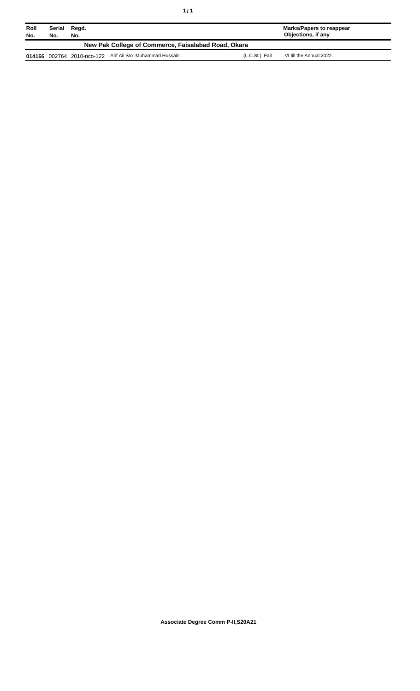| Roll<br>No.                                         | Serial<br>No. | Regd.<br>No. |                                                          |                | <b>Marks/Papers to reappear</b><br>Objections, if any |  |
|-----------------------------------------------------|---------------|--------------|----------------------------------------------------------|----------------|-------------------------------------------------------|--|
| New Pak College of Commerce, Faisalabad Road, Okara |               |              |                                                          |                |                                                       |  |
|                                                     |               |              | 014166 002764 2010-nco-122 Arif Ali S/o Muhammad Hussain | (L.C.St.) Fail | VI till the Annual 2022.                              |  |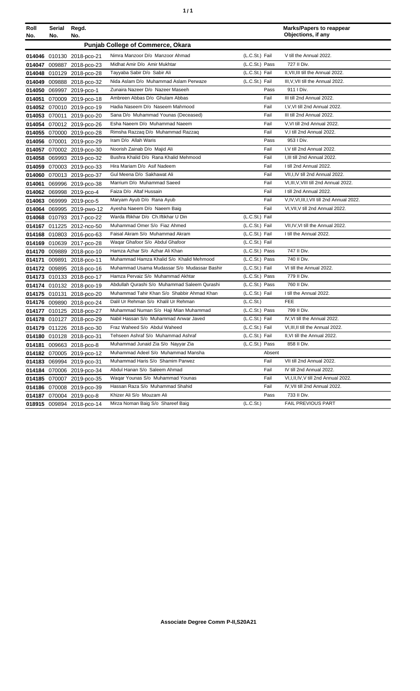| ٠ | ٠ |
|---|---|
|   |   |

| Roll<br>No. | Serial<br>No. | Regd.<br>No.              |                                              |                | <b>Marks/Papers to reappear</b><br>Objections, if any |
|-------------|---------------|---------------------------|----------------------------------------------|----------------|-------------------------------------------------------|
|             |               |                           | <b>Punjab College of Commerce, Okara</b>     |                |                                                       |
|             |               | 014046 010130 2018-pco-21 | Nimra Manzoor D/o Manzoor Ahmad              | (L.C.St.) Fail | V till the Annual 2022.                               |
|             |               | 014047 009887 2018-pco-23 | Midhat Amir D/o Amir Mukhtar                 | (L.C.St.) Pass | 727 II Div.                                           |
|             |               | 014048 010129 2018-pco-28 | Tayyaba Sabir D/o Sabir Ali                  | (L.C.St.) Fail | II.VII.III till the Annual 2022.                      |
|             |               | 014049 009888 2018-pco-32 | Nida Aslam D/o Muhammad Aslam Perwaze        | (L.C.St.) Fail | III, V, VII till the Annual 2022.                     |
|             |               | 014050 069997 2019-pco-1  | Zunaira Nazeer D/o Nazeer Maseeh             | Pass           | 911   Div.                                            |
|             |               | 014051 070009 2019-pco-18 | Ambreen Abbas D/o Ghulam Abbas               | Fail           | III till 2nd Annual 2022.                             |
|             |               | 014052 070010 2019-pco-19 | Hadia Naseem D/o Naseem Mahmood              | Fail           | I, V, VI till 2nd Annual 2022.                        |
|             |               | 014053 070011 2019-pco-20 | Sana D/o Muhammad Younas (Deceased)          | Fail           | III till 2nd Annual 2022.                             |
|             |               | 014054 070012 2019-pco-26 | Esha Naeem D/o Muhammad Naeem                | Fail           | V.VI till 2nd Annual 2022.                            |
|             |               | 014055 070000 2019-pco-28 | Rimsha Razzaq D/o Muhammad Razzaq            | Fail           | V,I till 2nd Annual 2022.                             |
|             |               | 014056 070001 2019-pco-29 | Iram D/o Allah Waris                         | Pass           | 953 I Div.                                            |
|             |               | 014057 070002 2019-pco-30 | Noorish Zainab D/o Majid Ali                 | Fail           | I, V till 2nd Annual 2022.                            |
|             |               | 014058 069993 2019-pco-32 | Bushra Khalid D/o Rana Khalid Mehmood        | Fail           | I.III till 2nd Annual 2022.                           |
|             |               | 014059 070003 2019-pco-33 | Hira Mariam D/o Asif Nadeem                  | Fail           | I till 2nd Annual 2022.                               |
|             |               | 014060 070013 2019-pco-37 | Gul Meena D/o Sakhawat Ali                   | Fail           | VII, I, IV till 2nd Annual 2022.                      |
|             |               | 014061 069996 2019-pco-38 | Marrium D/o Muhammad Saeed                   | Fail           | VI, III, V, VIII till 2nd Annual 2022.                |
|             |               | 014062 069998 2019-pco-4  | Faiza D/o Altaf Hussain                      | Fail           | I till 2nd Annual 2022.                               |
|             |               | 014063 069999 2019-pco-5  | Maryam Ayub D/o Rana Ayub                    | Fail           | V, IV, VI, III, I, VII till 2nd Annual 2022.          |
|             |               | 014064 069995 2019-pwo-12 | Ayesha Naeem D/o Naeem Baig                  | Fail           | VI, VII, V till 2nd Annual 2022.                      |
|             |               | 014068 010793 2017-pco-22 | Warda Iftikhar D/o Ch. Iftikhar U Din        | (L.C.St.) Fail |                                                       |
|             |               | 014167 011225 2012-nco-50 | Muhammad Omer S/o Fiaz Ahmed                 | (L.C.St.) Fail | VII, IV, VI till the Annual 2022.                     |
|             |               | 014168 010803 2016-pco-63 | Faisal Akram S/o Muhammad Akram              | (L.C.St.) Fail | I till the Annual 2022.                               |
|             |               | 014169 010639 2017-pco-28 | Waqar Ghafoor S/o Abdul Ghafoor              | (L.C.St.) Fail |                                                       |
|             |               | 014170 009889 2018-pco-10 | Hamza Azhar S/o Azhar Ali Khan               | (L.C.St.) Pass | 747 II Div.                                           |
| 014171      |               | 009891 2018-pco-11        | Muhammad Hamza Khalid S/o Khalid Mehmood     | (L.C.St.) Pass | 740 II Div.                                           |
|             |               | 014172 009895 2018-pco-16 | Muhammad Usama Mudassar S/o Mudassar Bashir  | (L.C.St.) Fail | VI till the Annual 2022.                              |
|             |               | 014173 010133 2018-pco-17 | Hamza Pervaiz S/o Muhammad Akhtar            | (L.C.St.) Pass | 779 II Div.                                           |
|             |               | 014174 010132 2018-pco-19 | Abdullah Qurashi S/o Muhammad Saleem Qurashi | (L.C.St.) Pass | 760 II Div.                                           |
|             |               | 014175 010131 2018-pco-20 | Muhammad Tahir Khan S/o Shabbir Ahmad Khan   | (L.C.St.) Fail | I till the Annual 2022.                               |
|             |               | 014176 009890 2018-pco-24 | Dalil Ur Rehman S/o Khalil Ur Rehman         | (L.C.St.)      | <b>FEE</b>                                            |
|             |               | 014177 010125 2018-pco-27 | Muhammad Numan S/o Haji Mian Muhammad        | (L.C.St.) Pass | 799 II Div.                                           |
|             |               | 014178 010127 2018-pco-29 | Nabil Hassan S/o Muhammad Anwar Javed        | (L.C.St.) Fail | IV, VI till the Annual 2022.                          |
|             |               | 014179 011226 2018-pco-30 | Fraz Waheed S/o Abdul Waheed                 | (L.C.St.) Fail | VI, III, II till the Annual 2022.                     |
|             |               | 014180 010128 2018-pco-31 | Tehseen Ashraf S/o Muhammad Ashraf           | (L.C.St.) Fail | II, VI till the Annual 2022.                          |
|             |               | 014181 009663 2018-pco-8  | Muhammad Junaid Zia S/o Nayyar Zia           | (L.C.St.) Pass | 858 II Div.                                           |
|             |               | 014182 070005 2019-pco-12 | Muhammad Adeel S/o Muhammad Mansha           | Absent         |                                                       |
|             |               | 014183 069994 2019-pco-31 | Muhammad Haris S/o Shamim Parwez             | Fail           | VII till 2nd Annual 2022.                             |
|             |               | 014184 070006 2019-pco-34 | Abdul Hanan S/o Saleem Ahmad                 | Fail           | IV till 2nd Annual 2022.                              |
|             |               | 014185 070007 2019-pco-35 | Wagar Younas S/o Muhammad Younas             | Fail           | VI, I, II, IV, V till 2nd Annual 2022.                |
|             |               | 014186 070008 2019-pco-39 | Hassan Raza S/o Muhammad Shahid              | Fail           | IV, VII till 2nd Annual 2022.                         |
| 014187      |               | 070004 2019-pco-8         | Khizer Ali S/o Mouzam Ali                    | Pass           | 733 II Div.                                           |
|             |               | 018915 009894 2018-pco-14 | Mirza Noman Baig S/o Shareef Baig            | (L.C.St.)      | FAIL PREVIOUS PART                                    |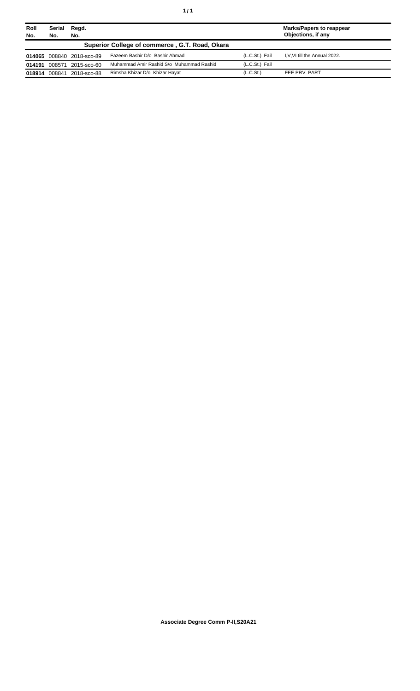| Roll<br>No.                                    | Serial<br>Regd.<br>No.<br>No. |                           |                                          | <b>Marks/Papers to reappear</b><br>Objections, if any |                              |
|------------------------------------------------|-------------------------------|---------------------------|------------------------------------------|-------------------------------------------------------|------------------------------|
| Superior College of commerce, G.T. Road, Okara |                               |                           |                                          |                                                       |                              |
|                                                |                               | 014065 008840 2018-sco-89 | Fazeem Bashir D/o Bashir Ahmad           | (L.C.St.) Fail                                        | I.V.VI till the Annual 2022. |
| 014191                                         | 008571                        | 2015-sco-60               | Muhammad Amir Rashid S/o Muhammad Rashid | (L.C.St.) Fail                                        |                              |
|                                                | 018914 008841                 | 2018-sco-88               | Rimsha Khizar D/o Khizar Hayat           | (L.C.S <sub>t</sub> )                                 | FEE PRV. PART                |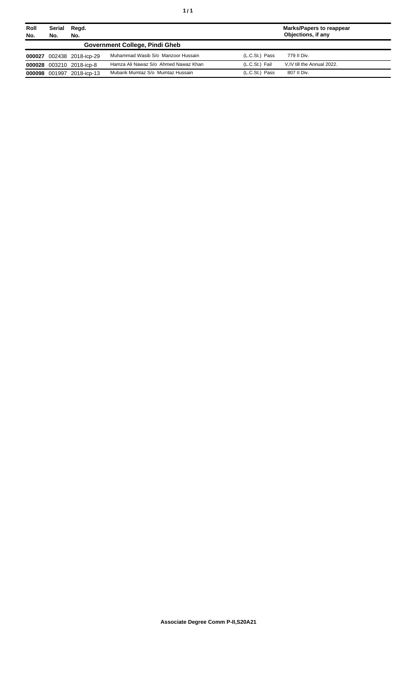| Roll<br>No.                    | Serial<br>Regd.<br>No.<br>No. |                           |                                      | <b>Marks/Papers to reappear</b><br>Objections, if any |                            |
|--------------------------------|-------------------------------|---------------------------|--------------------------------------|-------------------------------------------------------|----------------------------|
| Government College, Pindi Gheb |                               |                           |                                      |                                                       |                            |
|                                |                               | 000027 002438 2018-icp-29 | Muhammad Wasib S/o Manzoor Hussain   | (L.C.St.) Pass                                        | 779 II Div.                |
|                                |                               | 000028 003210 2018-icp-8  | Hamza Ali Nawaz S/o Ahmed Nawaz Khan | (L.C.St.) Fail                                        | V.IV till the Annual 2022. |
|                                | 000098 001997                 | 2018-icp-13               | Mubarik Mumtaz S/o Mumtaz Hussain    | (L.C.St.) Pass                                        | 807 II Div.                |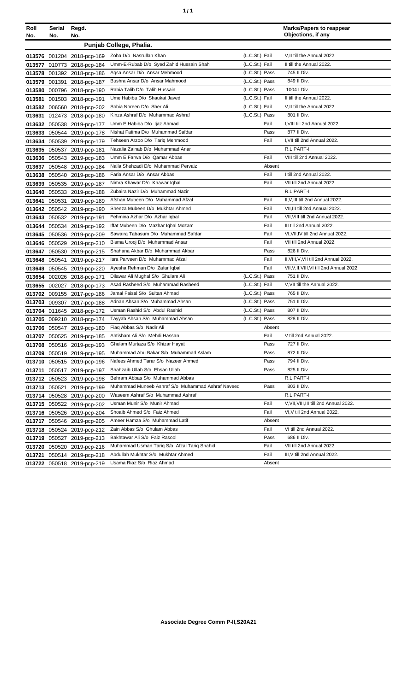| ٠ | ٠ |
|---|---|
|   |   |

| Roll   | Serial | Regd.                      |                                                                  |                |              | <b>Marks/Papers to reappear</b><br>Objections, if any |
|--------|--------|----------------------------|------------------------------------------------------------------|----------------|--------------|-------------------------------------------------------|
| No.    | No.    | No.                        |                                                                  |                |              |                                                       |
|        |        |                            | Punjab College, Phalia.                                          |                |              |                                                       |
|        |        | 013576 001204 2018-pcp-169 | Zoha D/o Nasrullah Khan                                          | (L.C.St.) Fail |              | V, Il till the Annual 2022.                           |
| 013577 |        | 010773 2018-pcp-184        | Umm-E-Rubab D/o Syed Zahid Hussain Shah                          | (L.C.St.) Fail |              | II till the Annual 2022.                              |
| 013578 |        | 001392 2018-pcp-186        | Agsa Ansar D/o Ansar Mehmood                                     | (L.C.St.) Pass |              | 745 II Div.                                           |
| 013579 |        | 001391 2018-pcp-187        | Bushra Ansar D/o Ansar Mahmood                                   | (L.C.St.) Pass |              | 849 II Div.                                           |
| 013580 |        | 000796 2018-pcp-190        | Rabia Talib D/o Talib Hussain                                    | (L.C.St.) Pass |              | 1004   Div.                                           |
| 013581 |        | 001503 2018-pcp-191        | Ume Habiba D/o Shaukat Javed                                     | (L.C.St.) Fail |              | II till the Annual 2022.                              |
| 013582 |        | 006560 2018-pcp-202        | Sobia Noreen D/o Sher Ali                                        | (L.C.St.) Fail |              | V, Il till the Annual 2022.                           |
| 013631 |        | 012473 2018-pcp-180        | Kinza Ashraf D/o Muhammad Ashraf                                 | (L.C.St.) Pass |              | 801 II Div.                                           |
| 013632 |        | 050538 2019-pcp-177        | Umm E Habiba D/o Ijaz Ahmad                                      |                | Fail         | I, VIII till 2nd Annual 2022.                         |
| 013633 |        | 050544 2019-pcp-178        | Nishat Fatima D/o Muhammad Safdar                                |                | Pass         | 877 II Div.                                           |
| 013634 |        | 050539 2019-pcp-179        | Tehseen Arzoo D/o Tariq Mehmood                                  |                | Fail         | I, VII till 2nd Annual 2022.                          |
| 013635 |        | 050537 2019-pcp-181        | Nazalia Zainab D/o Muhammad Anar                                 |                |              | R.L PART-I                                            |
| 013636 |        | 050543 2019-pcp-183        | Umm E Farwa D/o Qamar Abbas                                      |                | Fail         | VIII till 2nd Annual 2022.                            |
| 013637 |        | 050548 2019-pcp-184        | Naila Shehzadi D/o Muhammad Pervaiz                              |                | Absent       |                                                       |
| 013638 |        | 050540 2019-pcp-186        | Faria Ansar D/o Ansar Abbas                                      |                | Fail         | I till 2nd Annual 2022.                               |
| 013639 |        | 050535 2019-pcp-187        | Nimra Khawar D/o Khawar Iqbal                                    |                | Fail         | VII till 2nd Annual 2022.                             |
| 013640 |        | 050533 2019-pcp-188        | Zubaira Nazir D/o Muhammad Nazir                                 |                |              | R.L PART-I                                            |
| 013641 |        | 050531 2019-pcp-189        | Afshan Mubeen D/o Muhammad Afzal                                 |                | Fail         | II, V, III till 2nd Annual 2022.                      |
| 013642 |        | 050542 2019-pcp-190        | Sheeza Mubeen D/o Mukhtar Ahmed                                  |                | Fail         | VII, III till 2nd Annual 2022.                        |
| 013643 |        | 050532 2019-pcp-191        | Fehmina Azhar D/o Azhar Iqbal                                    |                | Fail         | VII, VIII till 2nd Annual 2022.                       |
| 013644 |        | 050534 2019-pcp-192        | Iffat Mubeen D/o Mazhar Iqbal Mozam                              |                | Fail         | III till 2nd Annual 2022.                             |
| 013645 |        | 050536 2019-pcp-209        | Sawaira Tabasum D/o Muhammad Safdar                              |                | Fail         | VI, VII, IV till 2nd Annual 2022.                     |
| 013646 |        | 050529 2019-pcp-210        | Bisma Urooj D/o Muhammad Ansar                                   |                | Fail         | VII till 2nd Annual 2022.                             |
| 013647 |        | 050530 2019-pcp-215        | Shahana Akbar D/o Muhammad Akbar                                 |                | Pass         | 826 II Div.                                           |
| 013648 |        | 050541 2019-pcp-217        | Isra Parveen D/o Muhammad Afzal                                  |                | Fail         | II, VIII, V, VII till 2nd Annual 2022.                |
| 013649 |        | 050545 2019-pcp-220        | Ayesha Rehman D/o Zafar Iqbal                                    |                | Fail         | VII, V, II, VIII, VI till 2nd Annual 2022.            |
| 013654 |        | 002026 2018-pcp-171        | Dilawar Ali Mughal S/o Ghulam Ali                                | (L.C.St.) Pass |              | 751 II Div.                                           |
| 013655 |        | 002027 2018-pcp-173        | Asad Rasheed S/o Muhammad Rasheed                                | (L.C.St.) Fail |              | V, VII till the Annual 2022.                          |
| 013702 |        | 009155 2017-pcp-186        | Jamal Faisal S/o Sultan Ahmad                                    | (L.C.St.) Pass |              | 765 II Div.                                           |
| 013703 |        | 009307 2017-pcp-188        | Adnan Ahsan S/o Muhammad Ahsan                                   | (L.C.St.) Pass |              | 751 II Div.<br>807 II Div.                            |
|        |        | 013704 011645 2018-pcp-172 | Usman Rashid S/o Abdul Rashid                                    | (L.C.St.) Pass |              |                                                       |
| 013705 |        | 009210 2018-pcp-174        | Tayyab Ahsan S/o Muhammad Ahsan                                  | (L.C.St.) Pass | Absent       | 828 II Div.                                           |
|        |        | 013706 050547 2019-pcp-180 | Fiaq Abbas S/o Nadir Ali                                         |                |              |                                                       |
|        |        | 013707 050525 2019-pcp-185 | Ahtisham Ali S/o Mehdi Hassan<br>Ghulam Murtaza S/o Khizar Hayat |                | Fail<br>Pass | V till 2nd Annual 2022.<br>727 II Div.                |
|        |        | 013708 050516 2019-pcp-193 | Muhammad Abu Bakar S/o Muhammad Aslam                            |                | Pass         | 872 II Div.                                           |
| 013709 |        | 050519 2019-pcp-195        | Nafees Ahmed Tarar S/o Nazeer Ahmed                              |                | Pass         | 794 II Div.                                           |
| 013710 |        | 050515 2019-pcp-196        | Shahzaib Ullah S/o Ehsan Ullah                                   |                | Pass         | 825 II Div.                                           |
| 013711 |        | 050517 2019-pcp-197        | Behram Abbas S/o Muhammad Abbas                                  |                |              | R.L PART-I                                            |
|        |        | 013712 050523 2019-pcp-198 | Muhammad Muneeb Ashraf S/o Muhammad Ashraf Naveed                |                | Pass         | 803 II Div.                                           |
| 013713 |        | 050521 2019-pcp-199        | Waseem Ashraf S/o Muhammad Ashraf                                |                |              | R.L PART-I                                            |
| 013714 |        | 050528 2019-pcp-200        | Usman Munir S/o Munir Ahmad                                      |                | Fail         | V, VII, VIII, III till 2nd Annual 2022.               |
|        |        | 013715 050522 2019-pcp-202 | Shoaib Ahmed S/o Faiz Ahmed                                      |                | Fail         | VI, V till 2nd Annual 2022.                           |
|        |        | 013716 050526 2019-pcp-204 | Ameer Hamza S/o Muhammad Latif                                   |                | Absent       |                                                       |
| 013717 |        | 050546 2019-pcp-205        | Zain Abbas S/o Ghulam Abbas                                      |                | Fail         | VI till 2nd Annual 2022.                              |
| 013718 |        | 050524 2019-pcp-212        | Bakhtawar Ali S/o Faiz Rasool                                    |                | Pass         | 686 II Div.                                           |
| 013719 |        | 050527 2019-pcp-213        | Muhammad Usman Tariq S/o Afzal Tariq Shahid                      |                | Fail         | VII till 2nd Annual 2022.                             |
| 013720 |        | 050520 2019-pcp-216        | Abdullah Mukhtar S/o Mukhtar Ahmed                               |                | Fail         | III, V till 2nd Annual 2022.                          |
| 013721 |        | 050514 2019-pcp-218        | Usama Riaz S/o Riaz Ahmad                                        |                | Absent       |                                                       |
|        |        | 013722 050518 2019-pcp-219 |                                                                  |                |              |                                                       |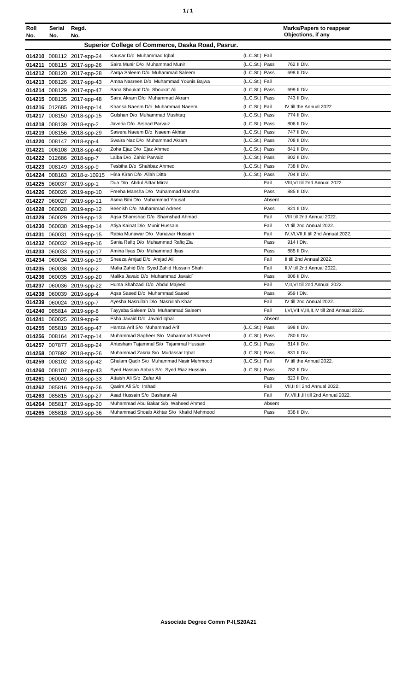| ٠ | ٠ |
|---|---|
|   |   |

| Roll<br>No. | Serial Regd.<br>No. | No.                       |                                                   |                |        | <b>Marks/Papers to reappear</b><br>Objections, if any |
|-------------|---------------------|---------------------------|---------------------------------------------------|----------------|--------|-------------------------------------------------------|
|             |                     |                           | Superior College of Commerce, Daska Road, Pasrur. |                |        |                                                       |
|             |                     | 014210 008112 2017-spp-24 | Kausar D/o Muhammad Iqbal                         | (L.C.St.) Fail |        |                                                       |
| 014211      |                     | 008115 2017-spp-26        | Saira Munir D/o Muhammad Munir                    | (L.C.St.) Pass |        | 762 II Div.                                           |
|             |                     | 014212 008120 2017-spp-28 | Zarqa Saleem D/o Muhammad Saleem                  | (L.C.St.) Pass |        | 698 II Div.                                           |
|             |                     | 014213 008126 2017-spp-43 | Amna Nasreen D/o Muhammad Younis Bajwa            | (L.C.St.) Fail |        |                                                       |
|             |                     | 014214 008129 2017-spp-47 | Sana Shoukat D/o Shoukat Ali                      | (L.C.St.) Pass |        | 699 II Div.                                           |
|             |                     | 014215 008135 2017-spp-48 | Saira Akram D/o Muhammad Akram                    | (L.C.St.) Pass |        | 743 II Div.                                           |
|             |                     | 014216 012685 2018-spp-14 | Khansa Naeem D/o Muhammad Naeem                   | (L.C.St.) Fail |        | IV till the Annual 2022.                              |
|             |                     | 014217 008150 2018-spp-15 | Gulshan D/o Muhammad Mushtaq                      | (L.C.St.) Pass |        | 774 II Div.                                           |
|             |                     | 014218 008139 2018-spp-2  | Javeria D/o Arshad Parvaiz                        | (L.C.St.) Pass |        | 806 II Div.                                           |
| 014219      |                     | 008156 2018-spp-29        | Sawera Naeem D/o Naeem Akhtar                     | (L.C.St.) Pass |        | 747 II Div.                                           |
|             |                     | 014220 008147 2018-spp-4  | Swaira Naz D/o Muhammad Akram                     | (L.C.St.) Pass |        | 708 II Div.                                           |
| 014221      |                     | 006108 2018-spp-40        | Zoha Ejaz D/o Ejaz Ahmed                          | (L.C.St.) Pass |        | 841 II Div.                                           |
|             |                     | 014222 012686 2018-spp-7  | Laiba D/o Zahid Parvaiz                           | (L.C.St.) Pass |        | 802 II Div.                                           |
| 014223      |                     | 008149 2018-spp-9         | Tesbiha D/o Shahbaz Ahmed                         | (L.C.St.) Pass |        | 738 II Div.                                           |
| 014224      |                     | 008163 2018-z-10915       | Hina Kiran D/o Allah Ditta                        | (L.C.St.) Pass |        | 704 II Div.                                           |
| 014225      |                     | 060037 2019-spp-1         | Dua D/o Abdul Sittar Mirza                        |                | Fail   | VIII, VI till 2nd Annual 2022.                        |
| 014226      |                     | 060026 2019-spp-10        | Freeha Mansha D/o Muhammad Mansha                 |                | Pass   | 885 II Div.                                           |
| 014227      |                     | 060027 2019-spp-11        | Asma Bibi D/o Muhammad Yousaf                     |                | Absent |                                                       |
| 014228      |                     | 060028 2019-spp-12        | Beenish D/o Muhammad Adrees                       |                | Pass   | 821 II Div.                                           |
| 014229      |                     | 060029 2019-spp-13        | Agsa Shamshad D/o Shamshad Ahmad                  |                | Fail   | VIII till 2nd Annual 2022.                            |
| 014230      |                     | 060030 2019-spp-14        | Atiya Kainat D/o Munir Hussain                    |                | Fail   | VI till 2nd Annual 2022.                              |
| 014231      |                     | 060031 2019-spp-15        | Rabia Munawar D/o Munawar Hussain                 |                | Fail   | IV, VI, VII, II till 2nd Annual 2022.                 |
| 014232      |                     | 060032 2019-spp-16        | Sania Rafiq D/o Muhammad Rafiq Zia                |                | Pass   | 914   Div.                                            |
| 014233      |                     | 060033 2019-spp-17        | Amina Ilyas D/o Muhammad Ilyas                    |                | Pass   | 885 II Div.                                           |
| 014234      |                     | 060034 2019-spp-19        | Sheeza Amjad D/o Amjad Ali                        |                | Fail   | II till 2nd Annual 2022.                              |
| 014235      |                     | 060038 2019-spp-2         | Mafia Zahid D/o Syed Zahid Hussain Shah           |                | Fail   | II, V till 2nd Annual 2022.                           |
| 014236      |                     | 060035 2019-spp-20        | Malika Javaid D/o Muhammad Javaid`                |                | Pass   | 806 II Div.                                           |
| 014237      |                     | 060036 2019-spp-22        | Huma Shahzadi D/o Abdul Majeed                    |                | Fail   | V.II.VI till 2nd Annual 2022.                         |
| 014238      |                     | 060039 2019-spp-4         | Agsa Saeed D/o Muhammad Saeed                     |                | Pass   | 959 I Div.                                            |
| 014239      |                     | 060024 2019-spp-7         | Ayesha Nasrullah D/o Nasrullah Khan               |                | Fail   | IV till 2nd Annual 2022.                              |
| 014240      |                     | 085814 2019-spp-8         | Tayyaba Saleem D/o Muhammad Saleem                |                | Fail   | I, VI, VII, V, III, II, IV till 2nd Annual 2022.      |
| 014241      |                     | 060025 2019-spp-9         | Esha Javaid D/o Javaid Iqbal                      |                | Absent |                                                       |
|             |                     | 014255 085819 2016-spp-47 | Hamza Arif S/o Muhammad Arif                      | (L.C.St.) Pass |        | 698 II Div.                                           |
|             |                     | 014256 008164 2017-spp-14 | Muhammad Sagheer S/o Muhammad Shareef             | (L.C.St.) Pass |        | 780 II Div.                                           |
| 014257      |                     | 007877 2018-spp-24        | Ahtesham Tajammal S/o Tajammal Hussain            | (L.C.St.) Pass |        | 814 II Div.                                           |
|             |                     | 014258 007892 2018-spp-26 | Muhammad Zakria S/o Mudassar Iqbal                | (L.C.St.) Pass |        | 831 II Div.                                           |
| 014259      |                     | 008102 2018-spp-42        | Ghulam Qadir S/o Muhammad Nasir Mehmood           | (L.C.St.) Fail |        | IV till the Annual 2022.                              |
| 014260      |                     | 008107 2018-spp-43        | Syed Hassan Abbas S/o Syed Riaz Hussain           | (L.C.St.) Pass |        | 782 II Div.                                           |
| 014261      |                     | 060040 2018-spp-33        | Attaish Ali S/o Zafar Ali                         |                | Pass   | 823 II Div.                                           |
| 014262      |                     | 085816 2019-spp-26        | Qasim Ali S/o Irshad                              |                | Fail   | VII, II till 2nd Annual 2022.                         |
| 014263      |                     | 085815 2019-spp-27        | Asad Hussain S/o Basharat Ali                     |                | Fail   | IV, VII, II, III till 2nd Annual 2022.                |
|             |                     | 014264 085817 2019-spp-30 | Muhammad Abu Bakar S/o Waheed Ahmed               |                | Absent |                                                       |
|             |                     | 014265 085818 2019-spp-36 | Muhammad Shoaib Akhtar S/o Khalid Mehmood         |                | Pass   | 838 II Div.                                           |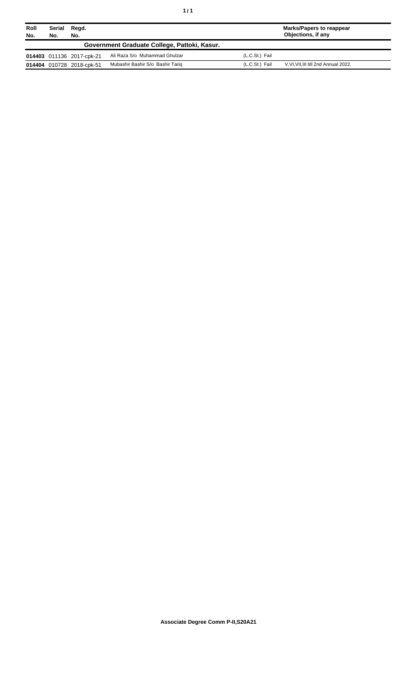| Roll<br>No. | Serial<br>No. | Regd.<br>No.              |                                              |                | <b>Marks/Papers to reappear</b><br>Objections, if any |
|-------------|---------------|---------------------------|----------------------------------------------|----------------|-------------------------------------------------------|
|             |               |                           | Government Graduate College, Pattoki, Kasur. |                |                                                       |
|             |               | 014403 011136 2017-cpk-21 | Ali Raza S/o Muhammad Ghulzar                | (L.C.St.) Fail |                                                       |
|             |               | 014404 010728 2018-cpk-51 | Mubashir Bashir S/o Bashir Tariq             | (L.C.St.) Fail | V, VI, VII, III till 2nd Annual 2022.                 |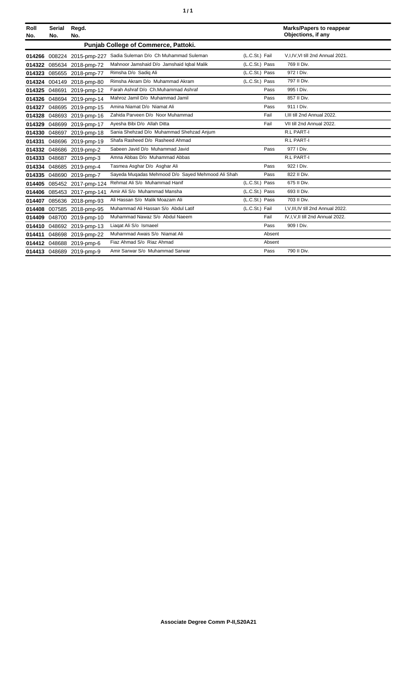| ٠ | ٠ |
|---|---|
|   |   |

| Roll<br>No. | <b>Serial</b><br>No. | Regd.<br>No.               |                                                   |                |        | <b>Marks/Papers to reappear</b><br>Objections, if any |
|-------------|----------------------|----------------------------|---------------------------------------------------|----------------|--------|-------------------------------------------------------|
|             |                      |                            | <b>Punjab College of Commerce, Pattoki.</b>       |                |        |                                                       |
|             |                      | 014266 008224 2015-pmp-227 | Sadia Suleman D/o Ch Muhammad Suleman             | (L.C.St.) Fail |        | V,I,IV,VI till 2nd Annual 2021.                       |
|             |                      | 014322 085634 2018-pmp-72  | Mahnoor Jamshaid D/o Jamshaid Iqbal Malik         | (L.C.St.) Pass |        | 769 II Div.                                           |
|             |                      | 014323 085655 2018-pmp-77  | Rimsha D/o Sadiq Ali                              | (L.C.St.) Pass |        | 972   Div.                                            |
|             |                      | 014324 004149 2018-pmp-80  | Rimsha Akram D/o Muhammad Akram                   | (L.C.St.) Pass |        | 797 II Div.                                           |
|             | 014325 048691        | 2019-pmp-12                | Farah Ashraf D/o Ch.Muhammad Ashraf               |                | Pass   | 995 I Div.                                            |
|             |                      | 014326 048694 2019-pmp-14  | Mahroz Jamil D/o Muhammad Jamil                   |                | Pass   | 857 II Div.                                           |
| 014327      |                      | 048695 2019-pmp-15         | Amina Niamat D/o Niamat Ali                       |                | Pass   | 911 I Div.                                            |
| 014328      |                      | 048693 2019-pmp-16         | Zahida Parveen D/o Noor Muhammad                  |                | Fail   | I, III till 2nd Annual 2022.                          |
| 014329      | 048699               | 2019-pmp-17                | Avesha Bibi D/o Allah Ditta                       |                | Fail   | VII till 2nd Annual 2022.                             |
|             | 014330 048697        | 2019-pmp-18                | Sania Shehzad D/o Muhammad Shehzad Anjum          |                |        | <b>R.L PART-I</b>                                     |
| 014331      |                      | 048696 2019-pmp-19         | Shafa Rasheed D/o Rasheed Ahmad                   |                |        | R.L PART-I                                            |
|             |                      | 014332 048686 2019-pmp-2   | Sabeen Javid D/o Muhammad Javid                   |                | Pass   | 977   Div.                                            |
| 014333      |                      | 048687 2019-pmp-3          | Amna Abbas D/o Muhammad Abbas                     |                |        | R.L PART-I                                            |
| 014334      |                      | 048685 2019-pmp-4          | Tasmea Asghar D/o Asghar Ali                      |                | Pass   | 922   Div.                                            |
|             |                      | 014335 048690 2019-pmp-7   | Sayeda Mugadas Mehmood D/o Sayed Mehmood Ali Shah |                | Pass   | 822 II Div.                                           |
| 014405      |                      | 085452 2017-pmp-124        | Rehmat Ali S/o Muhammad Hanif                     | (L.C.St.) Pass |        | 675 II Div.                                           |
|             |                      | 014406 085453 2017-pmp-141 | Amir Ali S/o Muhammad Mansha                      | (L.C.St.) Pass |        | 693 II Div.                                           |
| 014407      |                      | 085636 2018-pmp-93         | Ali Hassan S/o Malik Moazam Ali                   | (L.C.St.) Pass |        | 703 II Div.                                           |
| 014408      |                      | 007585 2018-pmp-95         | Muhammad Ali Hassan S/o Abdul Latif               | (L.C.St.) Fail |        | I, V, III, IV till 2nd Annual 2022.                   |
|             |                      | 014409 048700 2019-pmp-10  | Muhammad Nawaz S/o Abdul Naeem                    |                | Fail   | IV, I, V, II till 2nd Annual 2022.                    |
| 014410      |                      | 048692 2019-pmp-13         | Liagat Ali S/o Ismaeel                            |                | Pass   | 909   Div.                                            |
| 014411      |                      | 048698 2019-pmp-22         | Muhammad Awais S/o Niamat Ali                     |                | Absent |                                                       |
|             |                      | 014412 048688 2019-pmp-6   | Fiaz Ahmad S/o Riaz Ahmad                         |                | Absent |                                                       |
|             |                      | 014413 048689 2019-pmp-9   | Amir Sarwar S/o Muhammad Sarwar                   |                | Pass   | 790 II Div.                                           |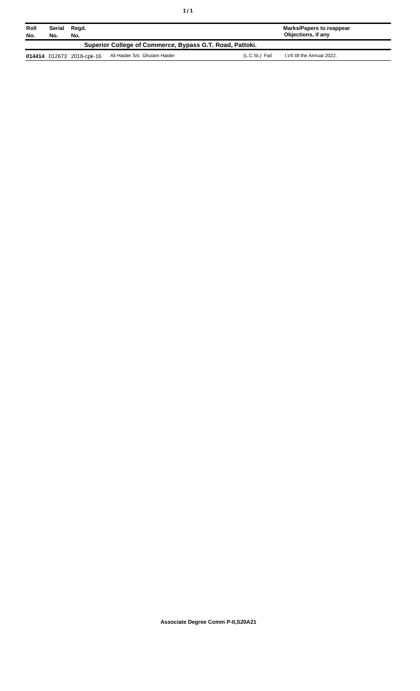| Roll<br>No.                                              | Serial<br>No. | Regd.<br>No.              |                              |                | <b>Marks/Papers to reappear</b><br>Objections, if any |
|----------------------------------------------------------|---------------|---------------------------|------------------------------|----------------|-------------------------------------------------------|
| Superior College of Commerce, Bypass G.T. Road, Pattoki. |               |                           |                              |                |                                                       |
|                                                          |               | 014414 012673 2018-cpk-16 | Ali Haider S/o Ghulam Haider | (L.C.St.) Fail | I, VII till the Annual 2022.                          |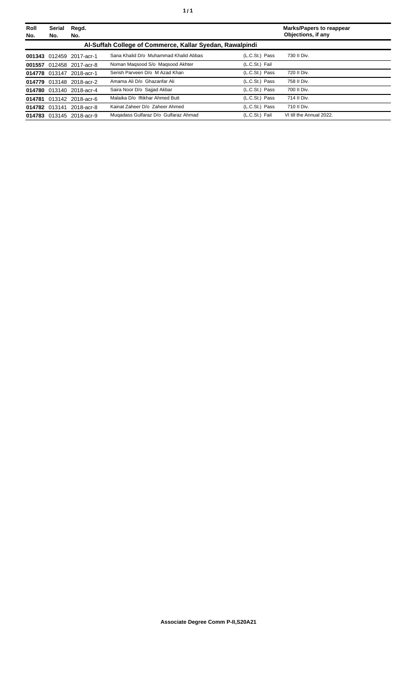| Roll<br>No. | <b>Serial</b><br>No.                                     | Regd.<br>No.             |                                       |                | <b>Marks/Papers to reappear</b><br>Objections, if any |  |  |
|-------------|----------------------------------------------------------|--------------------------|---------------------------------------|----------------|-------------------------------------------------------|--|--|
|             | Al-Suffah College of Commerce, Kallar Syedan, Rawalpindi |                          |                                       |                |                                                       |  |  |
|             |                                                          | 001343 012459 2017-acr-1 | Sana Khalid D/o Muhammad Khalid Abbas | (L.C.St.) Pass | 730 II Div.                                           |  |  |
|             |                                                          | 001557 012458 2017-acr-8 | Noman Magsood S/o Magsood Akhter      | (L.C.St.) Fail |                                                       |  |  |
|             |                                                          | 014778 013147 2018-acr-1 | Serish Parveen D/o M Azad Khan        | (L.C.St.) Pass | 720 II Div.                                           |  |  |
|             |                                                          | 014779 013148 2018-acr-2 | Amama Ali D/o Ghazanfar Ali           | (L.C.St.) Pass | 758 II Div.                                           |  |  |
|             |                                                          | 014780 013140 2018-acr-4 | Saira Noor D/o Sajjad Akbar           | (L.C.St.) Pass | 700 II Div.                                           |  |  |
|             |                                                          | 014781 013142 2018-acr-6 | Malaika D/o Iftikhar Ahmed Butt       | (L.C.St.) Pass | 714 II Div.                                           |  |  |
|             |                                                          | 014782 013141 2018-acr-8 | Kainat Zaheer D/o Zaheer Ahmed        | (L.C.St.) Pass | 710 II Div.                                           |  |  |
|             |                                                          | 014783 013145 2018-acr-9 | Mugadass Gulfaraz D/o Gulfaraz Ahmad  | (L.C.St.) Fail | VI till the Annual 2022.                              |  |  |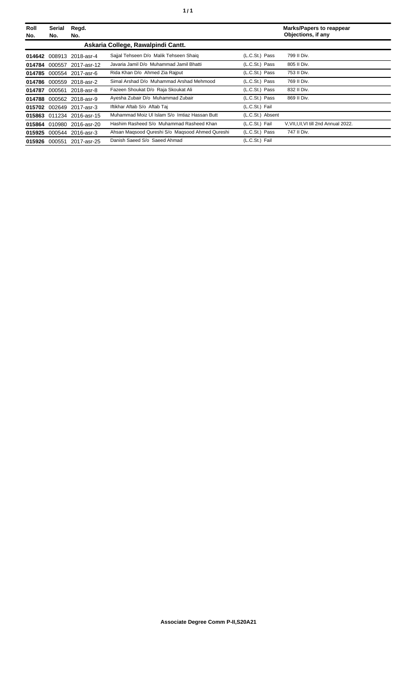| Roll<br>No. | Serial<br>No. | Regd.<br>No.              |                                                 |                  | <b>Marks/Papers to reappear</b><br>Objections, if any |
|-------------|---------------|---------------------------|-------------------------------------------------|------------------|-------------------------------------------------------|
|             |               |                           | Askaria College, Rawalpindi Cantt.              |                  |                                                       |
| 014642      |               | 008913 2018-asr-4         | Sajjal Tehseen D/o Malik Tehseen Shaig          | (L.C.St.) Pass   | 799 II Div.                                           |
| 014784      |               | 000557 2017-asr-12        | Javaria Jamil D/o Muhammad Jamil Bhatti         | (L.C.St.) Pass   | 805 II Div.                                           |
| 014785      |               | 000554 2017-asr-6         | Rida Khan D/o Ahmed Zia Raiput                  | (L.C.St.) Pass   | 753 II Div.                                           |
| 014786      | 000559        | 2018-asr-2                | Simal Arshad D/o Muhammad Arshad Mehmood        | (L.C.St.) Pass   | 769 II Div.                                           |
| 014787      | 000561        | 2018-asr-8                | Fazeen Shoukat D/o Raja Skoukat Ali             | (L.C.St.) Pass   | 832 II Div.                                           |
| 014788      |               | 000562 2018-asr-9         | Ayesha Zubair D/o Muhammad Zubair               | (L.C.St.) Pass   | 869 II Div.                                           |
| 015702      |               | 002649 2017-asr-3         | Iftikhar Aftab S/o Aftab Taj                    | (L.C.St.) Fail   |                                                       |
|             |               | 015863 011234 2016-asr-15 | Muhammad Moiz UI Islam S/o Imtiaz Hassan Butt   | (L.C.St.) Absent |                                                       |
| 015864      | 010980        | 2016-asr-20               | Hashim Rasheed S/o Muhammad Rasheed Khan        | (L.C.St.) Fail   | V, VII, I, II, VI till 2nd Annual 2022.               |
| 015925      |               | 000544 2016-asr-3         | Ahsan Magsood Qureshi S/o Magsood Ahmed Qureshi | (L.C.St.) Pass   | 747 II Div.                                           |
| 015926      | 000551        | 2017-asr-25               | Danish Saeed S/o Saeed Ahmad                    | (L.C.St.) Fail   |                                                       |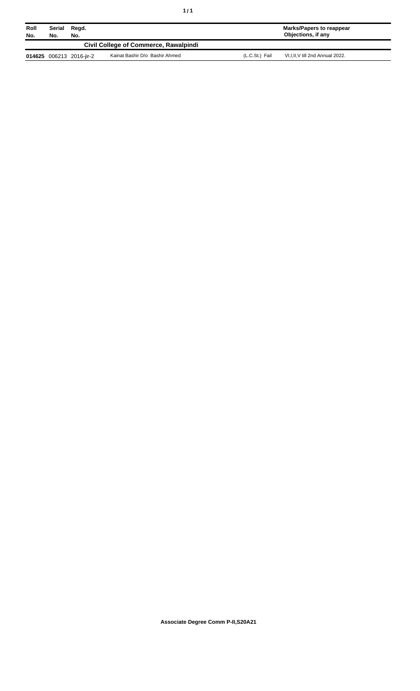| Roll<br>No.                           | Serial<br>Regd.<br>No.<br>No. |                          |                                |                | Marks/Papers to reappear<br>Objections, if any |
|---------------------------------------|-------------------------------|--------------------------|--------------------------------|----------------|------------------------------------------------|
| Civil College of Commerce, Rawalpindi |                               |                          |                                |                |                                                |
|                                       |                               | 014625 006213 2016-jir-2 | Kainat Bashir D/o Bashir Ahmed | (L.C.St.) Fail | VI, I, II, V till 2nd Annual 2022.             |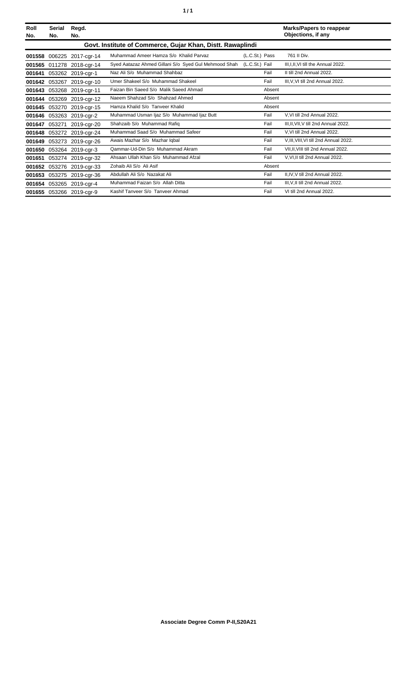| Roll<br>No. | <b>Serial</b><br>No.                                       | Regd.<br>No.             |                                                      |                | <b>Marks/Papers to reappear</b><br>Objections, if any |  |  |
|-------------|------------------------------------------------------------|--------------------------|------------------------------------------------------|----------------|-------------------------------------------------------|--|--|
|             | Govt. Institute of Commerce, Gujar Khan, Distt. Rawaplindi |                          |                                                      |                |                                                       |  |  |
| 001558      | 006225                                                     | 2017-cgr-14              | Muhammad Ameer Hamza S/o Khalid Parvaz               | (L.C.St.) Pass | 761 II Div.                                           |  |  |
| 001565      | 011278                                                     | 2018-cgr-14              | Syed Aatazaz Ahmed Gillani S/o Syed Gul Mehmood Shah | (L.C.St.) Fail | III.I.II.VI till the Annual 2022.                     |  |  |
| 001641      |                                                            | 053262 2019-cgr-1        | Naz Ali S/o Muhammad Shahbaz                         | Fail           | II till 2nd Annual 2022.                              |  |  |
| 001642      | 053267                                                     | 2019-cgr-10              | Umer Shakeel S/o Muhammad Shakeel                    | Fail           | III, V, VI till 2nd Annual 2022.                      |  |  |
| 001643      |                                                            | 053268 2019-cgr-11       | Faizan Bin Saeed S/o Malik Saeed Ahmad               | Absent         |                                                       |  |  |
| 001644      | 053269                                                     | 2019-cgr-12              | Naeem Shahzad S/o Shahzad Ahmed                      | Absent         |                                                       |  |  |
| 001645      | 053270                                                     | 2019-cgr-15              | Hamza Khalid S/o Tanveer Khalid                      | Absent         |                                                       |  |  |
| 001646      |                                                            | 053263 2019-cgr-2        | Muhammad Usman Ijaz S/o Muhammad Ijaz Butt           | Fail           | V.VI till 2nd Annual 2022.                            |  |  |
| 001647      | 053271                                                     | 2019-cgr-20              | Shahzaib S/o Muhammad Rafiq                          | Fail           | III, II, VII, V till 2nd Annual 2022.                 |  |  |
| 001648      | 053272                                                     | 2019-cgr-24              | Muhammad Saad S/o Muhammad Safeer                    | Fail           | V.VI till 2nd Annual 2022.                            |  |  |
| 001649      | 053273                                                     | 2019-cgr-26              | Awais Mazhar S/o Mazhar Iqbal                        | Fail           | V, III, VIII, VI till 2nd Annual 2022.                |  |  |
| 001650      |                                                            | 053264 2019-cgr-3        | Qammar-Ud-Din S/o Muhammad Akram                     | Fail           | VII, II, VIII till 2nd Annual 2022.                   |  |  |
| 001651      |                                                            | 053274 2019-cgr-32       | Ahsaan Ullah Khan S/o Muhammad Afzal                 | Fail           | V.VI.II till 2nd Annual 2022.                         |  |  |
| 001652      | 053276                                                     | 2019-cgr-33              | Zohaib Ali S/o Ali Asif                              | Absent         |                                                       |  |  |
| 001653      | 053275                                                     | 2019-cgr-36              | Abdullah Ali S/o Nazakat Ali                         | Fail           | II, IV, V till 2nd Annual 2022.                       |  |  |
| 001654      | 053265                                                     | 2019-cgr-4               | Muhammad Faizan S/o Allah Ditta                      | Fail           | III, V, II till 2nd Annual 2022.                      |  |  |
|             |                                                            | 001655 053266 2019-cgr-9 | Kashif Tanveer S/o Tanveer Ahmad                     | Fail           | VI till 2nd Annual 2022.                              |  |  |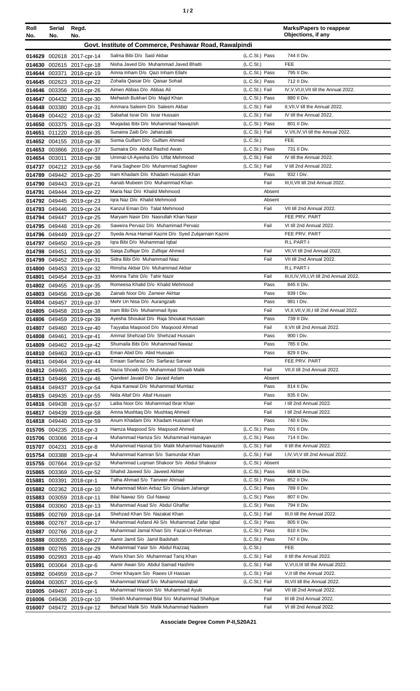|--|

| Roll<br>No. | Serial<br>No. | Regd.<br>No.                                           |                                                                                           |                                  | <b>Marks/Papers to reappear</b><br>Objections, if any            |
|-------------|---------------|--------------------------------------------------------|-------------------------------------------------------------------------------------------|----------------------------------|------------------------------------------------------------------|
|             |               |                                                        | Govt. Institute of Commerce, Peshawar Road, Rawalpindi                                    |                                  |                                                                  |
|             |               | 014629 002618 2017-cpr-14                              | Salma Bibi D/o Said Akbar                                                                 | (L.C.St.) Pass                   | 744 II Div.                                                      |
|             |               | 014630 002615 2017-cpr-18                              | Nisha Javed D/o Muhammad Javed Bhatti                                                     | (L.C.S <sub>t</sub> )            | <b>FEE</b>                                                       |
|             |               | 014644 003371 2018-cpr-19                              | Amna Inham D/o Qazi Inham Ellahi                                                          | (L.C.St.) Pass                   | 795 II Div.                                                      |
|             |               | 014645 002623 2018-cpr-22                              | Zohaila Qaisar D/o Qaisar Sohail                                                          | (L.C.St.) Pass                   | 712 II Div.                                                      |
|             |               | 014646 003356 2018-cpr-26                              | Aimen Abbas D/o Abbas Ali<br>Mehwish Bukhari D/o Majid Khan                               | (L.C.St.) Fail<br>(L.C.St.) Pass | IV, V, VI, II, VII till the Annual 2022.<br>880 II Div.          |
|             |               | 014647 004432 2018-cpr-30<br>014648 003380 2018-cpr-31 | Ammara Saleem D/o Saleem Akbar                                                            | (L.C.St.) Fail                   | II, VII, V till the Annual 2022.                                 |
|             |               | 014649 004422 2018-cpr-32                              | Sabahat Israr D/o Israr Hussain                                                           | (L.C.St.) Fail                   | IV till the Annual 2022.                                         |
|             |               | 014650 003375 2018-cpr-33                              | Muqadas Bibi D/o Muhammad Nawazish                                                        | (L.C.St.) Pass                   | 801 II Div.                                                      |
|             |               | 014651 011220 2018-cpr-35                              | Sunaina Zaib D/o Jahanzaib                                                                | (L.C.St.) Fail                   | V, VII, IV, VI till the Annual 2022.                             |
|             |               | 014652 004155 2018-cpr-36                              | Somia Gulfam D/o Gulfam Ahmed                                                             | (L.C.S <sub>t</sub> )            | <b>FEE</b>                                                       |
|             |               | 014653 003866 2018-cpr-37                              | Sumaira D/o Abdul Rashid Awan                                                             | (L.C.St.) Pass                   | 731 II Div.                                                      |
|             |               | 014654 003011 2018-cpr-38                              | Ummat-Ul-Ayesha D/o Ulfat Mehmood<br>Faria Sagheer D/o Muhammad Sagheer                   | (L.C.St.) Fail<br>(L.C.St.) Fail | IV till the Annual 2022.<br>V till 2nd Annual 2022.              |
|             |               | 014737 004212 2019-cpr-56<br>014789 049442 2019-cpr-20 | Iram Khadam D/o Khadam Hussain Khan                                                       | Pass                             | 932   Div.                                                       |
|             |               | 014790 049443 2019-cpr-21                              | Aanab Mubeen D/o Muhammad Khan                                                            | Fail                             | III, II, VII till 2nd Annual 2022.                               |
|             |               | 014791 049444 2019-cpr-22                              | Maria Naz D/o Khalid Mehmood                                                              | Absent                           |                                                                  |
|             |               | 014792 049445 2019-cpr-23                              | Igra Naz D/o Khalid Mehmood                                                               | Absent                           |                                                                  |
|             |               | 014793 049446 2019-cpr-24                              | Kanzul Eman D/o Talat Mehmood                                                             | Fail                             | VII till 2nd Annual 2022.                                        |
|             |               | 014794 049447 2019-cpr-25                              | Maryam Nasir D/o Nasrullah Khan Nasir                                                     |                                  | FEE PRV. PART                                                    |
|             |               | 014795 049448 2019-cpr-26                              | Saweira Pervaiz D/o Muhammad Pervaiz<br>Syeda Ansa Hamail Kazmi D/o Syed Zulgarnain Kazmi | Fail                             | VI till 2nd Annual 2022.<br>FEE PRV. PART                        |
|             |               | 014796 049449 2019-cpr-27<br>014797 049450 2019-cpr-29 | Igra Bibi D/o Muhammad Igbal                                                              |                                  | R.L PART-I                                                       |
|             |               | 014798 049451 2019-cpr-30                              | Saiga Zulfigar D/o Zulfigar Ahmed                                                         | Fail                             | VII, VI till 2nd Annual 2022.                                    |
|             |               | 014799 049452 2019-cpr-31                              | Sidra Bibi D/o Muhammad Niaz                                                              | Fail                             | VII till 2nd Annual 2022.                                        |
|             |               | 014800 049453 2019-cpr-32                              | Rimsha Akbar D/o Muhammad Akbar                                                           |                                  | R.L PART-I                                                       |
|             |               | 014801 049454 2019-cpr-33                              | Momna Tahir D/o Tahir Nazir                                                               | Fail                             | III, II, IV, VII, I, VI till 2nd Annual 2022.                    |
|             |               | 014802 049455 2019-cpr-35                              | Romeesa Khalid D/o Khalid Mehmood                                                         | Pass                             | 845 II Div.                                                      |
|             |               | 014803 049456 2019-cpr-36                              | Zainab Noor D/o Zameer Akhtar<br>Mehr Un Nisa D/o Aurangzaib                              | Pass<br>Pass                     | 939 I Div.<br>981   Div.                                         |
|             |               | 014804 049457 2019-cpr-37<br>014805 049458 2019-cpr-38 | Iram Bibi D/o Muhammad Ilyas                                                              | Fail                             | VI, II, VII, V, III, I till 2nd Annual 2022.                     |
|             |               | 014806 049459 2019-cpr-39                              | Ayesha Shoukat D/o Raja Shoukat Hussain                                                   | Pass                             | 739 II Div.                                                      |
|             |               | 014807 049460 2019-cpr-40                              | Tayyaba Maqsood D/o Maqsood Ahmad                                                         | Fail                             | II, VII till 2nd Annual 2022.                                    |
|             |               | 014808 049461 2019-cpr-41                              | Ammal Shehzad D/o Shehzad Hussain                                                         | Pass                             | 900 I Div.                                                       |
|             |               | 014809 049462 2019-cpr-42                              | Shumaila Bibi D/o Muhammad Nawaz                                                          | Pass                             | 785 II Div.                                                      |
|             |               | 014810 049463 2019-cpr-43                              | Eman Abid D/o Abid Hussain<br>Emaan Sarfaraz D/o Sarfaraz Sarwar                          | Pass                             | 829 II Div.<br>FEE PRV. PART                                     |
|             |               | 014811 049464 2019-cpr-44<br>014812 049465 2019-cpr-45 | Nazia Shoaib D/o Muhammad Shoaib Malik                                                    | Fail                             | VII, II till 2nd Annual 2022.                                    |
|             |               | 014813 049466 2019-cpr-46                              | Qandeel Javaid D/o Javaid Aslam                                                           | Absent                           |                                                                  |
|             |               | 014814 049437 2019-cpr-54                              | Aqsa Kanwal D/o Muhammad Mumtaz                                                           | Pass                             | 814 II Div.                                                      |
|             |               | 014815 049435 2019-cpr-55                              | Nida Altaf D/o Altaf Hussain                                                              | Pass                             | 835 II Div.                                                      |
|             |               | 014816 049438 2019-cpr-57                              | Laiba Noor D/o Muhammad Ibrar Khan                                                        | Fail                             | I till 2nd Annual 2022.                                          |
|             |               | 014817 049439 2019-cpr-58                              | Amna Mushtaq D/o Mushtaq Ahmed                                                            | Fail                             | I till 2nd Annual 2022.                                          |
|             |               | 014818 049440 2019-cpr-59                              | Anum Khadam D/o Khadam Hussain Khan<br>Hamza Maqsood S/o Maqsood Ahmed                    | Pass<br>(L.C.St.) Pass           | 740 II Div.<br>701 II Div.                                       |
|             |               | 015705 004235 2018-cpr-3<br>015706 003066 2018-cpr-4   | Muhammad Hamza S/o Muhammad Hamayan                                                       | (L.C.St.) Pass                   | 714 II Div.                                                      |
|             |               | 015707 004231 2018-cpr-8                               | Muhammad Hasnat S/o Malik Muhammad Nawazish                                               | (L.C.St.) Fail                   | II till the Annual 2022.                                         |
|             |               | 015754 003388 2019-cpr-4                               | Muhammad Kamran S/o Samundar Khan                                                         | (L.C.St.) Fail                   | I, IV, VI, V till 2nd Annual 2022.                               |
|             |               | 015755 007664 2019-cpr-52                              | Muhammad Luqman Shakoor S/o Abdul Shakoor                                                 | (L.C.St.) Absent                 |                                                                  |
|             |               | 015865 003369 2016-cpr-52                              | Shahid Javeed S/o Javeed Akhter                                                           | (L.C.St.) Pass                   | 668 III Div.                                                     |
| 015881      |               | 003391 2018-cpr-1                                      | Talha Ahmad S/o Tanveer Ahmad                                                             | (L.C.St.) Pass                   | 852 II Div.                                                      |
|             |               | 015882 002362 2018-cpr-10<br>015883 003059 2018-cpr-11 | Muhammad Moin Arbaz S/o Ghulam Jahangir<br>Bilal Nawaz S/o Gul Nawaz                      | (L.C.St.) Pass<br>(L.C.St.) Pass | 789 II Div.<br>807 II Div.                                       |
|             |               | 015884 003060 2018-cpr-13                              | Muhammad Asad S/o Abdul Ghaffar                                                           | (L.C.St.) Pass                   | 794 II Div.                                                      |
|             |               | 015885 002769 2018-cpr-14                              | Shehzad Khan S/o Nazakat Khan                                                             | (L.C.St.) Fail                   | III, II till the Annual 2022.                                    |
|             |               | 015886 002767 2018-cpr-17                              | Muhammad Asfand Ali S/o Muhammad Zafar Iqbal                                              | (L.C.St.) Pass                   | 805 II Div.                                                      |
|             |               | 015887 002766 2018-cpr-2                               | Muhammad Jamal Khan S/o Fazal-Ur-Rehman                                                   | (L.C.St.) Pass                   | 810 II Div.                                                      |
|             |               | 015888 003055 2018-cpr-27                              | Aamir Jamil S/o Jamil Badshah                                                             | (L.C.St.) Pass                   | 747 II Div.                                                      |
|             |               | 015889 002765 2018-cpr-29                              | Muhammad Yasir S/o Abdul Razzaq                                                           | (L.C.S <sub>t</sub> )            | <b>FEE</b>                                                       |
| 015890      |               | 002993 2018-cpr-40                                     | Waris Khan S/o Muhammad Tariq Khan<br>Aamir Awan S/o Abdul Samad Hashmi                   | (L.C.St.) Fail<br>(L.C.St.) Fail | II till the Annual 2022.<br>V, VI, II, III till the Annual 2022. |
| 015891      |               | 003064 2018-cpr-6<br>015892 004959 2018-cpr-7          | Omer Khayam S/o Raees Ul Hassan                                                           | (L.C.St.) Fail                   | V, Il till the Annual 2022.                                      |
|             |               | 016004 003057 2016-cpr-5                               | Muhammad Wasif S/o Muhammad Iqbal                                                         | (L.C.St.) Fail                   | III, VII till the Annual 2022.                                   |
|             |               | 016005 049467 2019-cpr-1                               | Muhammad Haroon S/o Muhammad Ayub                                                         | Fail                             | VII till 2nd Annual 2022.                                        |
|             |               | 016006 049436 2019-cpr-10                              | Sheikh Muhammad Bilal S/o Muhammad Shafique                                               | Fail                             | III till 2nd Annual 2022.                                        |
|             |               | 016007 049472 2019-cpr-12                              | Behzad Malik S/o Malik Muhammad Nadeem                                                    | Fail                             | VI till 2nd Annual 2022.                                         |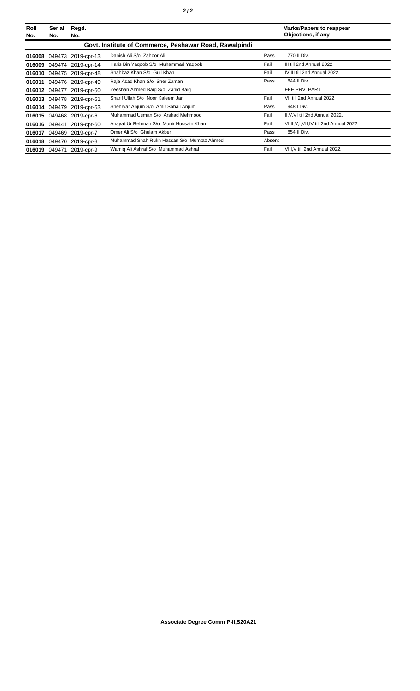| Roll<br>No. | Serial<br>No.                                          | Regd.<br>No.              |                                            |        | <b>Marks/Papers to reappear</b><br>Objections, if any |
|-------------|--------------------------------------------------------|---------------------------|--------------------------------------------|--------|-------------------------------------------------------|
|             | Govt. Institute of Commerce, Peshawar Road, Rawalpindi |                           |                                            |        |                                                       |
|             |                                                        | 016008 049473 2019-cpr-13 | Danish Ali S/o Zahoor Ali                  | Pass   | 770 II Div.                                           |
|             |                                                        | 016009 049474 2019-cpr-14 | Haris Bin Yaqoob S/o Muhammad Yaqoob       | Fail   | III till 2nd Annual 2022.                             |
|             |                                                        | 016010 049475 2019-cpr-48 | Shahbaz Khan S/o Gull Khan                 | Fail   | IV, III till 2nd Annual 2022.                         |
| 016011      |                                                        | 049476 2019-cpr-49        | Raja Asad Khan S/o Sher Zaman              | Pass   | 844 II Div.                                           |
|             | 016012 049477                                          | 2019-cpr-50               | Zeeshan Ahmed Baig S/o Zahid Baig          |        | FEE PRV. PART                                         |
|             |                                                        | 016013 049478 2019-cpr-51 | Sharif Ullah S/o Noor Kaleem Jan           | Fail   | VII till 2nd Annual 2022.                             |
|             |                                                        | 016014 049479 2019-cpr-53 | Shehryar Anjum S/o Amir Sohail Anjum       | Pass   | 948   Div.                                            |
|             |                                                        | 016015 049468 2019-cpr-6  | Muhammad Usman S/o Arshad Mehmood          | Fail   | II, V, VI till 2nd Annual 2022.                       |
|             | 016016 049441                                          | 2019-cpr-60               | Anayat Ur Rehman S/o Munir Hussain Khan    | Fail   | VI, II, V, I, VII, IV till 2nd Annual 2022.           |
|             |                                                        | 016017 049469 2019-cpr-7  | Omer Ali S/o Ghulam Akber                  | Pass   | 854 II Div.                                           |
|             |                                                        | 016018 049470 2019-cpr-8  | Muhammad Shah Rukh Hassan S/o Mumtaz Ahmed | Absent |                                                       |
|             |                                                        | 016019 049471 2019-cpr-9  | Wamig Ali Ashraf S/o Muhammad Ashraf       | Fail   | VIII, V till 2nd Annual 2022.                         |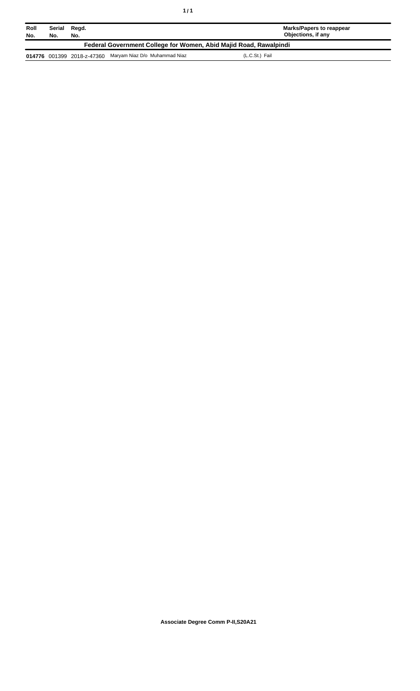| Roll<br>No.                                                       | Serial<br>No. | Regd.<br>No.               |                               | Marks/Papers to reappear<br>Objections, if any |
|-------------------------------------------------------------------|---------------|----------------------------|-------------------------------|------------------------------------------------|
| Federal Government College for Women, Abid Majid Road, Rawalpindi |               |                            |                               |                                                |
|                                                                   |               | 014776 001399 2018-z-47360 | Maryam Niaz D/o Muhammad Niaz | (L.C.St.) Fail                                 |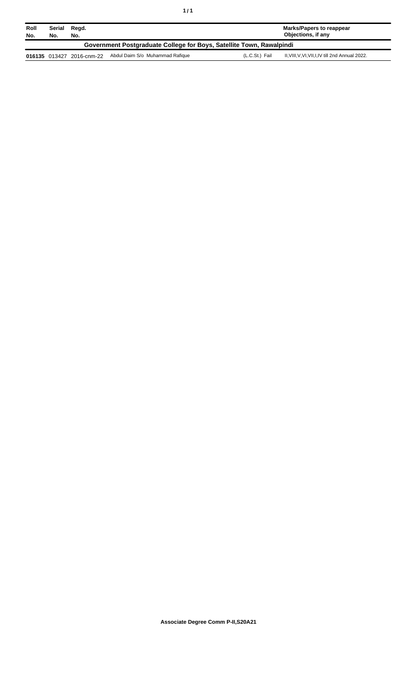| Roll<br>No.                                                          | Serial<br>No. | Regd.<br>No.              |                                 |                | <b>Marks/Papers to reappear</b><br>Objections, if any |  |
|----------------------------------------------------------------------|---------------|---------------------------|---------------------------------|----------------|-------------------------------------------------------|--|
| Government Postgraduate College for Boys, Satellite Town, Rawalpindi |               |                           |                                 |                |                                                       |  |
|                                                                      |               | 016135 013427 2016-cnm-22 | Abdul Daim S/o Muhammad Rafique | (L.C.St.) Fail | II, VIII, V, VI, VII, I, IV till 2nd Annual 2022.     |  |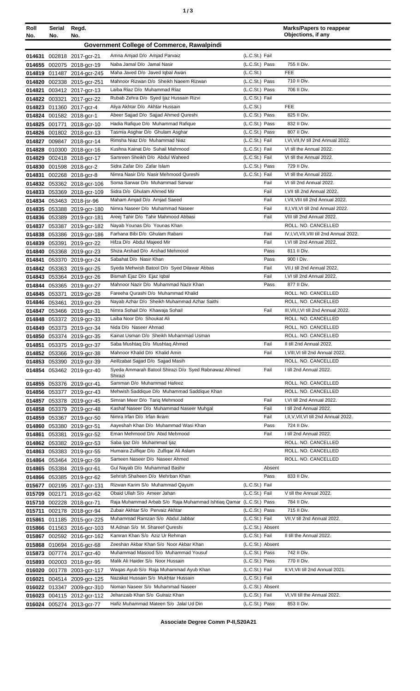| ٠ | ×<br>٠<br>I<br>۰,<br>× |
|---|------------------------|
|   |                        |

| Roll             | Serial<br>No. | Regd.<br>No.                                           |                                                                           |                                    | <b>Marks/Papers to reappear</b><br>Objections, if any             |
|------------------|---------------|--------------------------------------------------------|---------------------------------------------------------------------------|------------------------------------|-------------------------------------------------------------------|
| No.              |               |                                                        | <b>Government College of Commerce, Rawalpindi</b>                         |                                    |                                                                   |
|                  |               |                                                        |                                                                           |                                    |                                                                   |
|                  |               | 014631 002818 2017-gcr-21                              | Amna Amjad D/o Amjad Parvaiz                                              | (L.C.St.) Fail                     |                                                                   |
|                  |               | 014655 002075 2018-gcr-19                              | Naba Jamal D/o Jamal Nasir                                                | $(L.C.St.)$ Pass                   | 755 II Div.                                                       |
|                  |               | 014819 011487 2014-gcr-245                             | Maha Javed D/o Javed Iqbal Awan                                           | (L.C.St.)                          | <b>FEE</b>                                                        |
| 014820           |               | 002338 2015-gcr-251                                    | Mahnoor Rizwan D/o Sheikh Naeem Rizwan<br>Laiba Riaz D/o Muhammad Riaz    | (L.C.St.) Pass<br>(L.C.St.) Pass   | 710 II Div.<br>706 II Div.                                        |
| 014821           |               | 003412 2017-gcr-13                                     | Rubab Zehra D/o Syed Ijaz Hussain Rizvi                                   | (L.C.St.) Fail                     |                                                                   |
| 014822           |               | 003321 2017-gcr-22<br>014823 011360 2017-gcr-4         | Aliya Akhtar D/o Akhtar Hussain                                           | (L.C.St.)                          | <b>FEE</b>                                                        |
|                  |               | 014824 001582 2018-gcr-1                               | Abeer Sajjad D/o Sajjad Ahmed Qureshi                                     | (L.C.St.) Pass                     | 825 II Div.                                                       |
| 014825           |               | 001771 2018-gcr-10                                     | Hadia Rafique D/o Muhammad Rafique                                        | (L.C.St.) Pass                     | 832 II Div.                                                       |
|                  |               | 014826 001802 2018-gcr-13                              | Tasmia Asghar D/o Ghulam Asghar                                           | (L.C.St.) Pass                     | 807 II Div.                                                       |
| 014827           |               | 009847 2018-gcr-14                                     | Rimsha Niaz D/o Muhammad Niaz                                             | (L.C.St.) Fail                     | I, VI, VII, IV till 2nd Annual 2022.                              |
| 014828           |               | 010300 2018-gcr-16                                     | Kushna Kainat D/o Suhail Mahmood                                          | (L.C.St.) Fail                     | VI till the Annual 2022.                                          |
| 014829           |               | 002418 2018-gcr-17                                     | Samreen Sheikh D/o Abdul Waheed                                           | (L.C.St.) Fail                     | VI till the Annual 2022.                                          |
| 014830           |               | 001598 2018-gcr-2                                      | Sidra Zafar D/o Zafar Islam                                               | (L.C.St.) Pass                     | 729 II Div.                                                       |
| 014831           |               | 002268 2018-gcr-8                                      | Nimra Nasir D/o Nasir Mehmood Qureshi                                     | (L.C.St.) Fail                     | VI till the Annual 2022.                                          |
|                  |               | 014832 053362 2018-gcr-106                             | Soma Sarwar D/o Muhammad Sarwar                                           | Fail                               | VI till 2nd Annual 2022.                                          |
|                  |               | 014833 053369 2018-gcr-109                             | Sidra D/o Ghulam Ahmed Mir                                                | Fail                               | I, VII till 2nd Annual 2022.                                      |
|                  |               | 014834 053463 2018-jsr-96                              | Maham Amjad D/o Amjad Saeed                                               | Fail                               | I, VII, VIII till 2nd Annual 2022.                                |
|                  |               | 014835 053388 2019-gcr-180                             | Nimra Naseer D/o Muhammad Naseer                                          | Fail                               | II, I, VII, VI till 2nd Annual 2022.                              |
| 014836           |               | 053389 2019-gcr-181                                    | Areej Tahir D/o Tahir Mahmood Abbasi                                      | Fail                               | VIII till 2nd Annual 2022.                                        |
| 014837           |               | 053387 2019-gcr-182                                    | Nayab Younas D/o Younas Khan<br>Farhana Bibi D/o Ghulam Rabani            | Fail                               | ROLL. NO. CANCELLED<br>IV, I, VI, VII, VIII till 2nd Annual 2022. |
| 014838<br>014839 |               | 053386 2019-gcr-186<br>053391 2019-gcr-22              | Hifza D/o Abdul Majeed Mir                                                | Fail                               | I, VI till 2nd Annual 2022.                                       |
| 014840           |               | 053368 2019-gcr-23                                     | Shiza Arshad D/o Arshad Mehmood                                           | Pass                               | 811 II Div.                                                       |
| 014841           |               | 053370 2019-gcr-24                                     | Sabahat D/o Nasir Khan                                                    | Pass                               | 900   Div.                                                        |
|                  |               | 014842 053363 2019-gcr-25                              | Syeda Mehwish Batool D/o Syed Dilawar Abbas                               | Fail                               | VII, I till 2nd Annual 2022.                                      |
| 014843           |               | 053364 2019-gcr-26                                     | Bismah Ejaz D/o Ejaz Iqbal                                                | Fail                               | I, VI till 2nd Annual 2022.                                       |
| 014844           |               | 053365 2019-gcr-27                                     | Mahnoor Nazir D/o Muhammad Nazir Khan                                     | Pass                               | 877 II Div.                                                       |
| 014845           |               | 053371 2019-gcr-28                                     | Fareeha Qurashi D/o Muhammad Khalid                                       |                                    | ROLL. NO. CANCELLED                                               |
| 014846           |               | 053461 2019-gcr-29                                     | Nayab Azhar D/o Sheikh Muhammad Azhar Saithi                              |                                    | ROLL. NO. CANCELLED                                               |
|                  |               | 014847 053466 2019-gcr-31                              | Nimra Sohail D/o Khawaja Sohail                                           | Fail                               | III, VII, I, VI till 2nd Annual 2022.                             |
| 014848           |               | 053372 2019-gcr-33                                     | Laiba Noor D/o Shoukat Ali                                                |                                    | ROLL. NO. CANCELLED                                               |
|                  |               | 014849 053373 2019-gcr-34                              | Nida D/o Naseer Ahmad                                                     |                                    | ROLL. NO. CANCELLED                                               |
|                  |               | 014850 053374 2019-gcr-35                              | Kainat Usman D/o Sheikh Muhammad Usman                                    |                                    | ROLL. NO. CANCELLED                                               |
|                  |               | 014851 053375 2019-gcr-37                              | Saba Mushtaq D/o Mushtaq Ahmed<br>Mahnoor Khalid D/o Khalid Amin          | Fail<br>Fail                       | II till 2nd Annual 2022.<br>I, VIII, VI till 2nd Annual 2022.     |
|                  |               | 014852 053366 2019-gcr-38<br>014853 053390 2019-gcr-39 | Aeillzabat Sajjad D/o Sajjad Masih                                        |                                    | ROLL. NO. CANCELLED                                               |
|                  |               | 014854 053462 2019-gcr-40                              | Syeda Ammarah Batool Shirazi D/o Syed Rabnawaz Ahmed                      | Fail                               | I till 2nd Annual 2022.                                           |
|                  |               |                                                        | Shirazi                                                                   |                                    |                                                                   |
|                  |               | 014855 053376 2019-gcr-41                              | Samman D/o Muhammad Hafeez                                                |                                    | ROLL. NO. CANCELLED                                               |
|                  |               | 014856 053377 2019-gcr-43                              | Mehwish Saddique D/o Muhammad Saddique Khan                               |                                    | ROLL. NO. CANCELLED                                               |
|                  |               | 014857 053378 2019-gcr-45                              | Simran Meer D/o Tariq Mehmood<br>Kashaf Naseer D/o Muhammad Naseer Muhgal | Fail<br>Fail                       | I, VI till 2nd Annual 2022.<br>I till 2nd Annual 2022.            |
| 014858           |               | 053379 2019-gcr-48                                     | Nimra Irfan D/o Irfan Ikram                                               | Fail                               | I, II, V, VII, VI till 2nd Annual 2022.                           |
| 014859<br>014860 |               | 053367 2019-gcr-50<br>053380 2019-gcr-51               | Aayeshah Khan D/o Muhammad Wasi Khan                                      | Pass                               | 724 II Div.                                                       |
| 014861           |               | 053381 2019-gcr-52                                     | Eman Mehmood D/o Abid Mehmood                                             | Fail                               | I till 2nd Annual 2022.                                           |
|                  |               | 014862 053382 2019-gcr-53                              | Saba Ijaz D/o Muhammad Ijaz                                               |                                    | ROLL. NO. CANCELLED                                               |
|                  |               | 014863 053383 2019-gcr-55                              | Humaira Zulfigar D/o Zulfigar Ali Aslam                                   |                                    | ROLL. NO. CANCELLED                                               |
| 014864           |               | 053464 2019-gcr-59                                     | Sameen Naseer D/o Naseer Ahmed                                            |                                    | ROLL. NO. CANCELLED                                               |
| 014865           |               | 053384 2019-gcr-61                                     | Gul Nayab D/o Muhammad Bashir                                             | Absent                             |                                                                   |
|                  |               | 014866 053385 2019-gcr-62                              | Sehrish Shaheen D/o Mehrban Khan                                          | Pass                               | 833 II Div.                                                       |
| 015677           |               | 002195 2017-gcr-131                                    | Rizwan Karim S/o Muhammad Qayum                                           | (L.C.St.) Fail                     |                                                                   |
| 015709           |               | 002171 2018-gcr-62                                     | Obaid Ullah S/o Ameer Jahan                                               | (L.C.St.) Fail                     | V till the Annual 2022.                                           |
|                  |               | 015710 002228 2018-gcr-71                              | Raja Muhammad Arbab S/o Raja Muhammad Ishtiaq Qamar (L.C.St.) Pass        |                                    | 784 II Div.                                                       |
| 015711           |               | 002178 2018-gcr-94                                     | Zubair Akhtar S/o Pervaiz Akhtar                                          | (L.C.St.) Pass                     | 715 II Div.                                                       |
| 015861           |               | 011185 2015-gcr-225                                    | Muhammad Ramzan S/o Abdul Jabbar                                          | (L.C.St.) Fail                     | VII, V till 2nd Annual 2022.                                      |
|                  |               | 015866 011563 2016-gcr-103                             | M.Adnan S/o M. Shareef Qureshi<br>Kamran Khan S/o Aziz Ur Rehman          | (L.C.St.) Absent<br>(L.C.St.) Fail | II till the Annual 2022.                                          |
| 015867           |               | 002592 2016-gcr-162                                    | Zeeshan Akbar Khan S/o Noor Akbar Khan                                    | (L.C.St.) Absent                   |                                                                   |
| 015868<br>015873 |               | 010694 2016-gcr-68<br>007774 2017-gcr-40               | Muhammad Masood S/o Muhammad Yousuf                                       | (L.C.St.) Pass                     | 742 II Div.                                                       |
| 015893           |               | 002003 2018-gcr-95                                     | Malik Ali Haider S/o Noor Hussain                                         | (L.C.St.) Pass                     | 770 II Div.                                                       |
| 016020           |               | 001778 2003-gcr-117                                    | Waqas Ayub S/o Raja Muhammad Ayub Khan                                    | (L.C.St.) Fail                     | II, VI, VII till 2nd Annual 2021.                                 |
| 016021           |               | 004514 2009-gcr-125                                    | Nazakat Hussain S/o Mukhtar Hussain                                       | (L.C.St.) Fail                     |                                                                   |
|                  |               | 016022 013347 2009-gcr-310                             | Noman Naseer S/o Muhammad Naseer                                          | (L.C.St.) Absent                   |                                                                   |
|                  |               | 016023 004115 2012-gcr-112                             | Jehanzaib Khan S/o Gulraiz Khan                                           | (L.C.St.) Fail                     | VI, VII till the Annual 2022.                                     |
|                  |               | 016024 005274 2013-acr-77                              | Hafiz Muhammad Mateen S/o Jalal Ud Din                                    | (L.C.St.) Pass                     | 853 II Div.                                                       |

2013-gcr-77 Hafiz Muhammad Mateen S/o Jalal Ud Din

**016024**

005274

**Serial**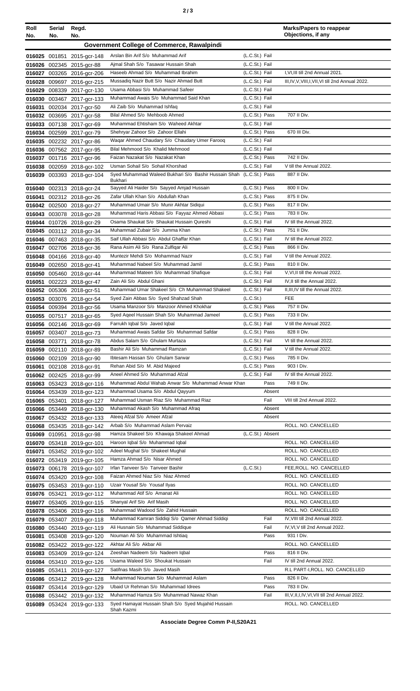| Roll<br>No. | Serial<br>No. | Regd.<br>No.                                             |                                                                             |                                  | <b>Marks/Papers to reappear</b><br>Objections, if any |
|-------------|---------------|----------------------------------------------------------|-----------------------------------------------------------------------------|----------------------------------|-------------------------------------------------------|
|             |               |                                                          | Government College of Commerce, Rawalpindi                                  |                                  |                                                       |
|             |               |                                                          | Arslan Bin Arif S/o Muhammad Arif                                           | (L.C.St.) Fail                   |                                                       |
|             |               | 016025 001851 2015-gcr-148<br>016026 002345 2015-gcr-88  | Aimal Shah S/o Tasawar Hussain Shah                                         | (L.C.St.) Fail                   |                                                       |
|             |               | 016027 003265 2016-gcr-206                               | Haseeb Ahmad S/o Muhammad Ibrahim                                           | (L.C.St.) Fail                   | I, VI, III till 2nd Annual 2021.                      |
|             |               | 016028 009697 2016-gcr-215                               | Mussadiq Nazir Butt S/o Nazir Ahmad Butt                                    | (L.C.St.) Fail                   | III, IV, V, VIII, I, VII, VI till 2nd Annual 2022.    |
|             |               | 016029 008339 2017-gcr-130                               | Usama Abbasi S/o Muhammad Safeer                                            | (L.C.St.) Fail                   |                                                       |
|             |               | 016030 003467 2017-gcr-133                               | Muhammad Awais S/o Muhammad Said Khan                                       | (L.C.St.) Fail                   |                                                       |
|             |               | 016031 002034 2017-gcr-50                                | Ali Zaib S/o Muhammad Ishfaq                                                | (L.C.St.) Fail                   |                                                       |
|             |               | 016032 003695 2017-gcr-58                                | Bilal Ahmed S/o Mehboob Ahmed                                               | (L.C.St.) Pass                   | 707 II Div.                                           |
|             |               | 016033 007138 2017-acr-69                                | Muhammad Ehtisham S/o Waheed Akhtar<br>Shehryar Zahoor S/o Zahoor Ellahi    | (L.C.St.) Fail<br>(L.C.St.) Pass | 670 III Div.                                          |
|             |               | 016034 002599 2017-gcr-79<br>016035 002232 2017-gcr-86   | Waqar Ahmed Chaudary S/o Chaudary Umer Farooq                               | (L.C.St.) Fail                   |                                                       |
|             |               | 016036 007562 2017-gcr-95                                | Bilal Mehmood S/o Khalid Mehmood                                            | (L.C.St.) Fail                   |                                                       |
|             |               | 016037 001716 2017-gcr-96                                | Faizan Nazakat S/o Nazakat Khan                                             | (L.C.St.) Pass                   | 742 II Div.                                           |
|             |               | 016038 002059 2018-gcr-102                               | Usman Sohail S/o Sohail Khorshad                                            | (L.C.St.) Fail                   | V till the Annual 2022.                               |
|             |               | 016039 003393 2018-gcr-104                               | Syed Muhammad Waleed Bukhari S/o Bashir Hussain Shah (L.C.St.) Pass         |                                  | 887 II Div.                                           |
|             |               | 016040 002313 2018-gcr-24                                | <b>Bukhari</b><br>Sayyed Ali Haider S/o Sayyed Amjad Hussain                | (L.C.St.) Pass                   | 800 II Div.                                           |
|             |               | 016041 002312 2018-gcr-26                                | Zafar Ullah Khan S/o Abdullah Khan                                          | (L.C.St.) Pass                   | 875 II Div.                                           |
|             |               | 016042 002500 2018-gcr-27                                | Muhammad Umair S/o Munir Akhtar Sidiqui                                     | (L.C.St.) Pass                   | 817 II Div.                                           |
|             |               | 016043 003078 2018-gcr-28                                | Muhammad Haris Abbasi S/o Fayyaz Ahmed Abbasi                               | (L.C.St.) Pass                   | 783 II Div.                                           |
|             |               | 016044 010726 2018-gcr-29                                | Osama Shaukat S/o Shaukat Hussain Qureshi                                   | (L.C.St.) Fail                   | IV till the Annual 2022.                              |
|             |               | 016045 003112 2018-gcr-34                                | Muhammad Zubair S/o Jumma Khan                                              | (L.C.St.) Pass                   | 751 II Div.                                           |
|             |               | 016046 007463 2018-gcr-35                                | Saif Ullah Abbasi S/o Abdul Ghaffar Khan                                    | (L.C.St.) Fail                   | IV till the Annual 2022.                              |
|             |               | 016047 002706 2018-gcr-36                                | Rana Asim Ali S/o Rana Zulfigar Ali                                         | (L.C.St.) Pass                   | 866 II Div.                                           |
|             |               | 016048 004166 2018-gcr-40                                | Muntezir Mehdi S/o Mohammad Nazir                                           | (L.C.St.) Fail                   | V till the Annual 2022.                               |
|             |               | 016049 002650 2018-gcr-41                                | Muhammad Nabeel S/o Muhammad Jamil<br>Muhammad Mateen S/o Muhammad Shafique | (L.C.St.) Pass<br>(L.C.St.) Fail | 810 II Div.<br>V, VI, II till the Annual 2022.        |
|             |               | 016050 005460 2018-gcr-44<br>016051 002223 2018-gcr-47   | Zain Ali S/o Abdul Ghani                                                    | (L.C.St.) Fail                   | IV, II till the Annual 2022.                          |
|             |               | 016052 005306 2018-gcr-51                                | Muhammad Umar Shakeel S/o Ch Muhammad Shakeel                               | (L.C.St.) Fail                   | II, III, IV till the Annual 2022.                     |
|             |               | 016053 003076 2018-gcr-54                                | Syed Zain Abbas S/o Syed Shahzad Shah                                       | (L.C.St.)                        | <b>FEE</b>                                            |
|             |               | 016054 009394 2018-gcr-56                                | Usama Manzoor S/o Manzoor Ahmed Khokhar                                     | (L.C.St.) Pass                   | 757 II Div.                                           |
|             |               | 016055 007517 2018-gcr-65                                | Syed Ageel Hussain Shah S/o Muhammad Jameel                                 | (L.C.St.) Pass                   | 733 II Div.                                           |
|             |               | 016056 002146 2018-gcr-69                                | Farrukh Iqbal S/o Javed Iqbal                                               | (L.C.St.) Fail                   | V till the Annual 2022.                               |
|             |               | 016057 003407 2018-gcr-73                                | Muhammad Awais Safdar S/o Muhammad Safdar                                   | (L.C.St.) Pass                   | 828 II Div.                                           |
|             |               | 016058 003771 2018-gcr-78                                | Abdus Salam S/o Ghulam Murtaza                                              | (L.C.St.) Fail                   | VI till the Annual 2022.                              |
|             |               | 016059 002110 2018-gcr-89                                | Bashir Ali S/o Muhammad Ramzan<br>Ibtesam Hassan S/o Ghulam Sarwar          | (L.C.St.) Fail<br>(L.C.St.) Pass | V till the Annual 2022.<br>785 II Div.                |
| 016061      |               | 016060 002109 2018-gcr-90<br>002108 2018-gcr-91          | Rehan Abid S/o M. Abid Majeed                                               | (L.C.St.) Pass                   | 903 I Div.                                            |
|             |               | 016062 002425 2018-gcr-99                                | Aneel Ahmed S/o Muhammad Afzal                                              | (L.C.St.) Fail                   | IV till the Annual 2022.                              |
|             |               | 016063 053423 2018-gcr-116                               | Muhammad Abdul Wahab Anwar S/o Muhammad Anwar Khan                          | Pass                             | 749 II Div.                                           |
|             |               | 016064 053439 2018-gcr-123                               | Muhammad Usama S/o Abdul Qayyum                                             | Absent                           |                                                       |
|             |               | 016065 053401 2018-gcr-127                               | Muhammad Usman Riaz S/o Muhammad Riaz                                       | Fail                             | VIII till 2nd Annual 2022.                            |
|             |               | 016066 053449 2018-gcr-130                               | Muhammad Akash S/o Muhammad Afraq                                           | Absent                           |                                                       |
|             |               | 016067 053432 2018-gcr-133                               | Ateeq Afzal S/o Ameer Afzal                                                 | Absent                           |                                                       |
|             |               | 016068 053435 2018-gcr-142                               | Arbab S/o Muhammad Aslam Pervaiz                                            |                                  | ROLL. NO. CANCELLED                                   |
|             |               | 016069 010951 2018-gcr-98                                | Hamza Shakeel S/o Khawaja Shakeel Ahmad<br>Haroon Iqbal S/o Muhammad Iqbal  | (L.C.St.) Absent                 | ROLL. NO. CANCELLED                                   |
|             |               | 016070 053418 2019-gcr-101<br>016071 053452 2019-gcr-102 | Adeel Mughal S/o Shakeel Mughal                                             |                                  | ROLL. NO. CANCELLED                                   |
|             |               | 016072 053419 2019-gcr-105                               | Hamza Ahmad S/o Nisar Ahmed                                                 |                                  | ROLL. NO. CANCELLED                                   |
|             |               | 016073 006178 2019-gcr-107                               | Irfan Tanveer S/o Tanveer Bashir                                            | (L.C.St.)                        | FEE, ROLL. NO. CANCELLED                              |
|             |               | 016074 053420 2019-gcr-108                               | Faizan Ahmed Niaz S/o Niaz Ahmed                                            |                                  | ROLL. NO. CANCELLED                                   |
|             |               | 016075 053453 2019-gcr-110                               | Uzair Yousaf S/o Yousaf Ilyas                                               |                                  | ROLL. NO. CANCELLED                                   |
|             |               | 016076 053421 2019-gcr-112                               | Muhammad Atif S/o Amanat Ali                                                |                                  | ROLL. NO. CANCELLED                                   |
|             |               | 016077 053405 2019-gcr-115                               | Shanyal Arif S/o Arif Masih                                                 |                                  | ROLL. NO. CANCELLED                                   |
|             |               | 016078 053406 2019-gcr-116                               | Muhammad Wadood S/o Zahid Hussain                                           |                                  | ROLL. NO. CANCELLED                                   |
|             |               | 016079 053407 2019-gcr-118                               | Muhammad Kamran Siddigi S/o Qamer Ahmad Siddigi                             | Fail                             | IV, VIII till 2nd Annual 2022.                        |
|             |               | 016080 053440 2019-gcr-119                               | Ali Husnain S/o Muhammad Siddique<br>Nouman Ali S/o Muhammad Ishtiaq        | Fail<br>Pass                     | IV, VI, V till 2nd Annual 2022.<br>931   Div.         |
|             |               | 016081 053408 2019-gcr-120                               | Akhtar Ali S/o Akbar Ali                                                    |                                  | ROLL. NO. CANCELLED                                   |
|             |               | 016082 053422 2019-gcr-122<br>016083 053409 2019-gcr-124 | Zeeshan Nadeem S/o Nadeem Iqbal                                             | Pass                             | 816 II Div.                                           |
|             |               | 016084 053410 2019-gcr-126                               | Usama Waleed S/o Shoukat Hussain                                            | Fail                             | IV till 2nd Annual 2022.                              |
|             |               | 016085 053411 2019-gcr-127                               | Satifnas Masih S/o Javed Masih                                              |                                  | R.L PART-I, ROLL. NO. CANCELLED                       |
|             |               | 016086 053412 2019-gcr-128                               | Muhammad Nouman S/o Muhammad Aslam                                          | Pass                             | 826 II Div.                                           |
|             |               | 016087 053414 2019-gcr-129                               | Ubaid Ur Rehman S/o Muhammad Idrees                                         | Pass                             | 783 II Div.                                           |
|             |               | 016088 053442 2019-gcr-132                               | Muhammad Hamza S/o Muhammad Nawaz Khan                                      | Fail                             | III, V, II, I, IV, VI, VII till 2nd Annual 2022.      |
|             |               | 016089 053424 2019-gcr-133                               | Syed Hamayat Hussain Shah S/o Syed Mujahid Hussain<br>Shah Kazmi            |                                  | ROLL. NO. CANCELLED                                   |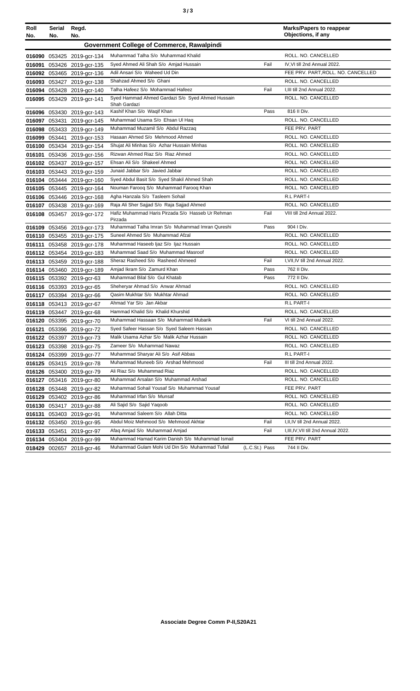| ×<br>٠<br>I<br>۰.<br>× |  | ×<br>٠<br>٦<br>۰.<br>× |
|------------------------|--|------------------------|
|------------------------|--|------------------------|

| Roll<br>No. | Serial<br>No. | Regd.<br>No.               |                                                                  |                | <b>Marks/Papers to reappear</b><br>Objections, if any |
|-------------|---------------|----------------------------|------------------------------------------------------------------|----------------|-------------------------------------------------------|
|             |               |                            | Government College of Commerce, Rawalpindi                       |                |                                                       |
|             |               | 016090 053425 2019-gcr-134 | Muhammad Talha S/o Muhammad Khalid                               |                | ROLL. NO. CANCELLED                                   |
|             |               | 016091 053426 2019-gcr-135 | Syed Ahmed Ali Shah S/o Amjad Hussain                            | Fail           | IV, VI till 2nd Annual 2022.                          |
|             |               | 016092 053465 2019-gcr-136 | Adil Ansari S/o Waheed Ud Din                                    |                | FEE PRV. PART, ROLL. NO. CANCELLED                    |
|             |               | 016093 053427 2019-gcr-138 | Shahzad Ahmed S/o Ghani                                          |                | ROLL. NO. CANCELLED                                   |
|             |               | 016094 053428 2019-gcr-140 | Talha Hafeez S/o Mohammad Hafeez                                 | Fail           | I, III till 2nd Annual 2022.                          |
|             |               | 016095 053429 2019-gcr-141 | Syed Hammad Ahmed Gardazi S/o Syed Ahmed Hussain<br>Shah Gardazi |                | ROLL. NO. CANCELLED                                   |
|             |               | 016096 053430 2019-gcr-143 | Kashif Khan S/o Waqif Khan                                       | Pass           | 816 II Div.                                           |
|             |               | 016097 053431 2019-gcr-145 | Muhammad Usama S/o Ehsan UI Haq                                  |                | ROLL. NO. CANCELLED                                   |
|             |               | 016098 053433 2019-gcr-149 | Muhammad Muzamil S/o Abdul Razzaq                                |                | FEE PRV. PART                                         |
|             |               | 016099 053441 2019-gcr-153 | Hasaan Ahmed S/o Mehmood Ahmed                                   |                | ROLL. NO. CANCELLED                                   |
|             |               | 016100 053434 2019-gcr-154 | Shujat Ali Minhas S/o Azhar Hussain Minhas                       |                | ROLL. NO. CANCELLED                                   |
|             |               | 016101 053436 2019-gcr-156 | Rizwan Ahmed Riaz S/o Riaz Ahmed                                 |                | ROLL. NO. CANCELLED                                   |
|             |               | 016102 053437 2019-gcr-157 | Ehsan Ali S/o Shakeel Ahmed                                      |                | ROLL. NO. CANCELLED                                   |
|             |               | 016103 053443 2019-gcr-159 | Junaid Jabbar S/o Javied Jabbar                                  |                | ROLL. NO. CANCELLED                                   |
|             |               | 016104 053444 2019-gcr-160 | Syed Abdul Basit S/o Syed Shakil Ahmed Shah                      |                | ROLL. NO. CANCELLED                                   |
|             |               | 016105 053445 2019-gcr-164 | Nouman Faroog S/o Muhammad Faroog Khan                           |                | ROLL. NO. CANCELLED                                   |
|             |               | 016106 053446 2019-gcr-168 | Agha Hanzala S/o Tasleem Sohail                                  |                | R.L PART-I                                            |
|             |               | 016107 053438 2019-gcr-169 | Raja Ali Sher Sajjad S/o Raja Sajjad Ahmed                       |                | ROLL. NO. CANCELLED                                   |
|             |               | 016108 053457 2019-gcr-172 | Hafiz Muhammad Haris Pirzada S/o Hasseb Ur Rehman<br>Pirzada     | Fail           | VIII till 2nd Annual 2022.                            |
|             |               | 016109 053456 2019-gcr-173 | Muhammad Talha Imran S/o Muhammad Imran Qureshi                  | Pass           | 904   Div.                                            |
|             |               | 016110 053455 2019-gcr-175 | Suneel Ahmed S/o Muhammad Afzal                                  |                | ROLL. NO. CANCELLED                                   |
|             |               | 016111 053458 2019-gcr-178 | Muhammad Haseeb Ijaz S/o Ijaz Hussain                            |                | ROLL. NO. CANCELLED                                   |
|             |               | 016112 053454 2019-gcr-183 | Muhammad Saad S/o Muhammad Masroof                               |                | ROLL. NO. CANCELLED                                   |
|             |               | 016113 053459 2019-gcr-188 | Sheraz Rasheed S/o Rasheed Ahmeed                                | Fail           | I, VII, IV till 2nd Annual 2022.                      |
|             |               | 016114 053460 2019-gcr-189 | Amjad Ikram S/o Zamurd Khan                                      | Pass           | 762 II Div.                                           |
|             |               | 016115 053392 2019-gcr-63  | Muhammad Bilal S/o Gul Khatab                                    | Pass           | 772 II Div.                                           |
|             |               | 016116 053393 2019-gcr-65  | Sheheryar Ahmad S/o Anwar Ahmad                                  |                | ROLL. NO. CANCELLED                                   |
|             |               | 016117 053394 2019-gcr-66  | Qasim Mukhtar S/o Mukhtar Ahmad                                  |                | ROLL. NO. CANCELLED                                   |
|             |               | 016118 053413 2019-gcr-67  | Ahmad Yar S/o Jan Akbar                                          |                | R.L PART-I                                            |
|             |               | 016119 053447 2019-gcr-68  | Hammad Khalid S/o Khalid Khurshid                                |                | ROLL, NO. CANCELLED                                   |
|             |               | 016120 053395 2019-gcr-70  | Muhammad Hassaan S/o Muhammad Mubarik                            | Fail           | VI till 2nd Annual 2022.                              |
|             |               | 016121 053396 2019-gcr-72  | Syed Safeer Hassan S/o Syed Saleem Hassan                        |                | ROLL. NO. CANCELLED                                   |
|             |               | 016122 053397 2019-gcr-73  | Malik Usama Azhar S/o Malik Azhar Hussain                        |                | ROLL. NO. CANCELLED                                   |
|             |               | 016123 053398 2019-gcr-75  | Zameer S/o Muhammad Nawaz                                        |                | ROLL. NO. CANCELLED                                   |
|             |               | 016124 053399 2019-gcr-77  | Muhammad Sharyar Ali S/o Asif Abbas                              |                | R.L PART-I                                            |
|             |               | 016125 053415 2019-gcr-78  | Muhammad Muneeb S/o Arshad Mehmood                               | Fail           | III till 2nd Annual 2022.                             |
|             |               | 016126 053400 2019-gcr-79  | Ali Riaz S/o Muhammad Riaz                                       |                | ROLL. NO. CANCELLED                                   |
|             |               | 016127 053416 2019-gcr-80  | Muhammad Arsalan S/o Muhammad Arshad                             |                | ROLL. NO. CANCELLED                                   |
|             |               | 016128 053448 2019-gcr-82  | Muhammad Sohail Yousaf S/o Muhammad Yousaf                       |                | FEE PRV. PART                                         |
|             |               | 016129 053402 2019-gcr-86  | Muhammad Irfan S/o Munsaf                                        |                | ROLL. NO. CANCELLED                                   |
|             |               | 016130 053417 2019-gcr-88  | Ali Sajid S/o Sajid Yaqoob                                       |                | ROLL. NO. CANCELLED                                   |
|             |               | 016131 053403 2019-gcr-91  | Muhammad Saleem S/o Allah Ditta                                  |                | ROLL. NO. CANCELLED                                   |
|             |               | 016132 053450 2019-gcr-95  | Abdul Moiz Mehmood S/o Mehmood Akhtar                            | Fail           | I, II, IV till 2nd Annual 2022.                       |
|             |               | 016133 053451 2019-gcr-97  | Afaq Amjad S/o Muhammad Amjad                                    | Fail           | I, III, IV, VII till 2nd Annual 2022.                 |
|             |               | 016134 053404 2019-gcr-99  | Muhammad Hamad Karim Danish S/o Muhammad Ismail                  |                | FEE PRV. PART                                         |
|             |               | 018429 002657 2018-gcr-46  | Muhammad Gulam Mohi Ud Din S/o Muhammad Tufail                   | (L.C.St.) Pass | 744 II Div.                                           |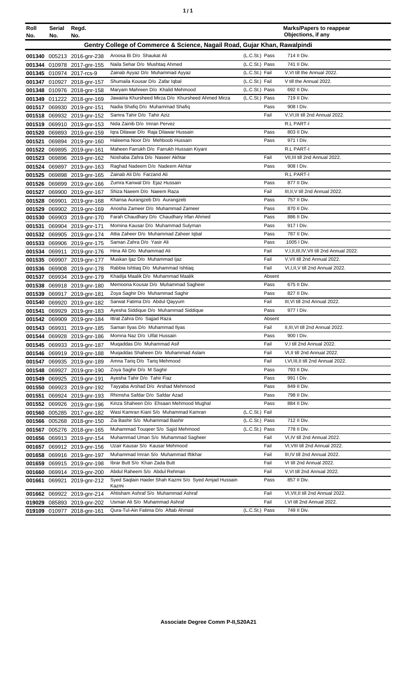| ٠ | ٠ |
|---|---|
|   |   |

| Roll   | Serial | Regd.                                                    |                                                                           |                | <b>Marks/Papers to reappear</b><br>Objections, if any                   |
|--------|--------|----------------------------------------------------------|---------------------------------------------------------------------------|----------------|-------------------------------------------------------------------------|
| No.    | No.    | No.                                                      |                                                                           |                |                                                                         |
|        |        |                                                          | Gentry College of Commerce & Science, Nagail Road, Gujar Khan, Rawalpindi |                |                                                                         |
|        |        | 001340 005213 2016-gnr-238                               | Aroosa Bi D/o Shaukat Ali                                                 | (L.C.St.) Pass | 714 II Div.                                                             |
|        |        | 001344 010978 2017-gnr-155                               | Naila Sehar D/o Mushtaq Ahmed                                             | (L.C.St.) Pass | 741 II Div.                                                             |
|        |        | 001345 010974 2017-rcs-9                                 | Zainab Ayyaz D/o Muhammad Ayyaz                                           | (L.C.St.) Fail | V, VI till the Annual 2022.                                             |
|        |        | 001347 010927 2018-gnr-157                               | Shumaila Kousar D/o Zafar Iqbal                                           | (L.C.St.) Fail | V till the Annual 2022.                                                 |
|        |        | 001348 010976 2018-gnr-158                               | Maryam Mahreen D/o Khalid Mehmood                                         | (L.C.St.) Pass | 692 II Div.                                                             |
|        |        | 001349 011222 2018-gnr-169                               | Jawairia Khursheed Mirza D/o Khursheed Ahmed Mirza                        | (L.C.St.) Pass | 719 II Div.                                                             |
|        |        | 001517 069930 2019-gnr-151                               | Nadia Shafiq D/o Muhammad Shafiq                                          | Pass           | 908   Div.                                                              |
|        |        | 001518 069932 2019-gnr-152                               | Samra Tahir D/o Tahir Aziz                                                | Fail           | V, VI, III till 2nd Annual 2022.                                        |
|        |        | 001519 069910 2019-gnr-153                               | Nida Zainib D/o Imran Pervez                                              |                | R.L PART-I                                                              |
|        |        | 001520 069893 2019-gnr-159                               | Igra Dilawar D/o Raja Dilawar Hussain                                     | Pass           | 803 II Div.                                                             |
|        |        | 001521 069894 2019-gnr-160                               | Haleema Noor D/o Mehboob Hussain                                          | Pass           | 971 I Div.                                                              |
|        |        | 001522 069895 2019-gnr-161                               | Maheen Farrukh D/o Farrukh Hussain Kiyani                                 |                | R.L PART-I                                                              |
|        |        | 001523 069896 2019-gnr-162                               | Noshaba Zahra D/o Naseer Akhtar                                           | Fail           | VII, III till 2nd Annual 2022.                                          |
|        |        | 001524 069897 2019-gnr-163                               | Raghad Nadeem D/o Nadeem Akhtar                                           | Pass           | 908 I Div.                                                              |
|        |        | 001525 069898 2019-gnr-165                               | Zainab Ali D/o Farzand Ali                                                |                | R.L PART-I                                                              |
|        |        | 001526 069899 2019-gnr-166                               | Zumra Kanwal D/o Ejaz Hussain                                             | Pass           | 877 II Div.                                                             |
|        |        | 001527 069900 2019-gnr-167                               | Shiza Naeem D/o Naeem Raza                                                | Fail           | III, II, V till 2nd Annual 2022.                                        |
|        |        | 001528 069901 2019-gnr-168                               | Khansa Aurangzeb D/o Aurangzeb                                            | Pass           | 757 II Div.                                                             |
|        |        | 001529 069902 2019-gnr-169                               | Anosha Zameer D/o Muhammad Zameer                                         | Pass           | 870 II Div.                                                             |
| 001530 |        | 069903 2019-gnr-170                                      | Farah Chaudhary D/o Chaudhary Irfan Ahmed                                 | Pass           | 886 II Div.                                                             |
| 001531 |        | 069904 2019-gnr-171                                      | Momina Kausar D/o Muhammad Sulyman                                        | Pass           | 917   Div.<br>787 II Div.                                               |
|        |        | 001532 069905 2019-gnr-174                               | Attia Zaheer D/o Muhammad Zaheer Iqbal<br>Saman Zahra D/o Yasir Ali       | Pass<br>Pass   | 1005 I Div.                                                             |
|        |        | 001533 069906 2019-gnr-175                               | Hina Ali D/o Muhammad Ali                                                 |                |                                                                         |
|        |        | 001534 069911 2019-gnr-176                               |                                                                           | Fail<br>Fail   | V,I,II,III,IV,VII till 2nd Annual 2022.<br>V, VII till 2nd Annual 2022. |
|        |        | 001535 069907 2019-gnr-177                               | Muskan Ijaz D/o Muhammad Ijaz<br>Rabbia Ishtiaq D/o Muhammad Ishtiaq      | Fail           | VI, I, II, V till 2nd Annual 2022.                                      |
|        |        | 001536 069908 2019-gnr-178<br>001537 069934 2019-gnr-179 | Khadija Maalik D/o Muhammad Maalik                                        | Absent         |                                                                         |
|        |        | 001538 069918 2019-gnr-180                               | Memoona Kousar D/o Muhammad Sagheer                                       | Pass           | 675 II Div.                                                             |
|        |        | 001539 069917 2019-gnr-181                               | Zoya Saghir D/o Muhammad Saghir                                           | Pass           | 827 II Div.                                                             |
|        |        | 001540 069920 2019-gnr-182                               | Sarwat Fatima D/o Abdul Qayyum                                            | Fail           | III, VI till 2nd Annual 2022.                                           |
|        |        | 001541 069929 2019-gnr-183                               | Ayesha Siddique D/o Muhammad Siddique                                     | Pass           | 977   Div.                                                              |
|        |        | 001542 069909 2019-gnr-184                               | Ittrat Zahra D/o Sajjad Raza                                              | Absent         |                                                                         |
|        |        | 001543 069931 2019-gnr-185                               | Saman Ilyas D/o Muhammad Ilyas                                            | Fail           | II, III, VI till 2nd Annual 2022.                                       |
|        |        | 001544 069928 2019-gnr-186                               | Momna Naz D/o Ulfat Hussain                                               | Pass           | 900 I Div.                                                              |
|        |        | 001545 069933 2019-gnr-187                               | Mugaddas D/o Muhammad Asif                                                | Fail           | V,I till 2nd Annual 2022.                                               |
|        |        | 001546 069919 2019-gnr-188                               | Mugaddas Shaheen D/o Muhammad Aslam                                       | Fail           | VI, II till 2nd Annual 2022.                                            |
|        |        | 001547 069935 2019-gnr-189                               | Amna Tariq D/o Tariq Mehmood                                              | Fail           | I, VI, III, II till 2nd Annual 2022.                                    |
|        |        | 001548 069927 2019-gnr-190                               | Zoya Saghir D/o M Saghir                                                  | Pass           | 793 II Div.                                                             |
|        |        | 001549 069925 2019-gnr-191                               | Ayesha Tahir D/o Tahir Fiaz                                               | Pass           | 991 I Div.                                                              |
|        |        | 001550 069923 2019-gnr-192                               | Tayyaba Arshad D/o Arshad Mehmood                                         | Pass           | 849 II Div.                                                             |
|        |        | 001551 069924 2019-gnr-193                               | Rhimsha Safdar D/o Safdar Azad                                            | Pass           | 798 II Div.                                                             |
|        |        | 001552 069926 2019-gnr-196                               | Kinza Shaheen D/o Ehsaan Mehmood Mughal                                   | Pass           | 884 II Div.                                                             |
|        |        | 001560 005285 2017-gnr-182                               | Wasi Kamran Kiani S/o Muhammad Kamran                                     | (L.C.St.) Fail |                                                                         |
|        |        | 001566 005268 2018-gnr-150                               | Zia Bashir S/o Muhammad Bashir                                            | (L.C.St.) Pass | 712 II Div.                                                             |
|        |        | 001567 005276 2018-gnr-165                               | Muhammad Touqeer S/o Sajid Mehmood                                        | (L.C.St.) Pass | 778 II Div.                                                             |
|        |        | 001656 069913 2019-gnr-154                               | Muhammad Uman S/o Muhammad Sagheer                                        | Fail           | VI, IV till 2nd Annual 2022.                                            |
|        |        | 001657 069912 2019-gnr-156                               | Uzair Kausar S/o Kausar Mehmood                                           | Fail           | VI, VIII till 2nd Annual 2022.                                          |
|        |        | 001658 069916 2019-gnr-197                               | Muhammad Imran S/o Muhammad Iftikhar                                      | Fail           | III, IV till 2nd Annual 2022.                                           |
|        |        | 001659 069915 2019-gnr-198                               | Ibrar Butt S/o Khan Zada Butt                                             | Fail           | VI till 2nd Annual 2022.                                                |
|        |        | 001660 069914 2019-gnr-200                               | Abdul Raheem S/o Abdul Rehman                                             | Fail           | V, VI till 2nd Annual 2022.                                             |
|        |        | 001661 069921 2019-gnr-212                               | Syed Saqlain Haider Shah Kazmi S/o Syed Amjad Hussain                     | Pass           | 857 II Div.                                                             |
|        |        |                                                          | Kazmi<br>Ahtisham Ashraf S/o Muhammad Ashraf                              | Fail           |                                                                         |
|        |        | 001662 069922 2019-gnr-214                               |                                                                           | Fail           | VI, VII, II till 2nd Annual 2022.<br>I, VI till 2nd Annual 2022.        |
|        |        | 019029 085893 2019-gnr-202                               | Usman Ali S/o Muhammad Ashraf                                             |                |                                                                         |
|        |        | 019109 010977 2018-gnr-161                               | Qura-Tul-Ain Fatima D/o Aftab Ahmad                                       | (L.C.St.) Pass | 749 II Div.                                                             |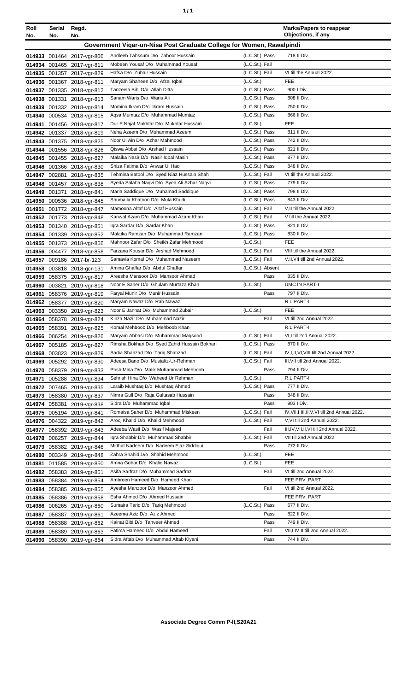| ٦ | ٠ |
|---|---|
|   |   |

| Roll<br>No. | Serial<br>No. | Regd.<br>No.               |                                                                      |                        | <b>Marks/Papers to reappear</b><br>Objections, if any                   |
|-------------|---------------|----------------------------|----------------------------------------------------------------------|------------------------|-------------------------------------------------------------------------|
|             |               |                            | Government Vigar-un-Nisa Post Graduate College for Women, Rawalpindi |                        |                                                                         |
|             |               | 014933 001464 2017-vgr-806 | Andleeb Tabssum D/o Zahoor Hussain                                   | (L.C.St.) Pass         | 718 II Div.                                                             |
|             |               | 014934 001465 2017-vgr-811 | Mobeen Yousaf D/o Muhammad Yousaf                                    | (L.C.St.) Fail         |                                                                         |
|             |               | 014935 001357 2017-vgr-829 | Hafsa D/o Zubair Hussain                                             | (L.C.St.) Fail         | VI till the Annual 2022.                                                |
|             |               | 014936 001367 2018-vgr-811 | Maryam Shaheen D/o Afzal Iqbal                                       | (L.C.S <sub>t</sub> )  | <b>FEE</b>                                                              |
|             |               | 014937 001335 2018-vgr-812 | Tanzeela Bibi D/o Allah Ditta                                        | (L.C.St.) Pass         | 900 I Div.                                                              |
|             |               | 014938 001331 2018-vgr-813 | Sanam Waris D/o Waris Ali                                            | (L.C.St.) Pass         | 808 II Div.                                                             |
|             |               | 014939 001332 2018-vgr-814 | Momina Ikram D/o Ikram Hussain                                       | (L.C.St.) Pass         | 750 II Div.                                                             |
|             |               | 014940 000534 2018-vgr-815 | Agsa Mumtaz D/o Muhammad Mumtaz                                      | (L.C.St.) Pass         | 866 II Div.                                                             |
| 014941      |               | 001456 2018-vgr-817        | Dur E Najaf Mukhtar D/o Mukhtar Hussain                              | (L.C.St.)              | <b>FEE</b>                                                              |
|             |               | 014942 001337 2018-vgr-819 | Neha Azeem D/o Muhammad Azeem                                        | (L.C.St.) Pass         | 811 II Div.                                                             |
|             |               | 014943 001375 2018-vgr-825 | Noor UI Ain D/o Azhar Mahmood                                        | (L.C.St.) Pass         | 742 II Div.                                                             |
|             |               | 014944 001556 2018-vgr-826 | Qiswa Abbsi D/o Arshad Hussain                                       | (L.C.St.) Pass         | 821 II Div.                                                             |
|             |               | 014945 001455 2018-vgr-827 | Malaika Nasir D/o Nasir Iqbal Masih                                  | (L.C.St.) Pass         | 877 II Div.                                                             |
|             |               | 014946 001366 2018-vgr-830 | Shiza Fatima D/o Anwar UI Haq                                        | (L.C.St.) Pass         | 848 II Div.                                                             |
|             |               | 014947 002881 2018-vgr-835 | Tehmina Batool D/o Syed Niaz Hussain Shah                            | (L.C.St.) Fail         | VI till the Annual 2022.                                                |
|             |               | 014948 001457 2018-vgr-838 | Syeda Salaha Naqvi D/o Syed Ali Azhar Naqvi                          | (L.C.St.) Pass         | 779 II Div.                                                             |
|             |               | 014949 001371 2018-vgr-841 | Maria Saddique D/o Muhamad Saddique                                  | (L.C.St.) Pass         | 798 II Div.                                                             |
|             |               | 014950 000536 2018-vgr-845 | Shumaila Khatoon D/o Mula Khudi                                      | (L.C.St.) Pass         | 843 II Div.                                                             |
|             |               | 014951 001772 2018-vgr-847 | Mamoona Altaf D/o Altaf Hussain                                      | (L.C.St.) Fail         | V, II till the Annual 2022.                                             |
|             |               | 014952 001773 2018-vgr-848 | Kanwal Azam D/o Muhammad Azam Khan                                   | (L.C.St.) Fail         | V till the Annual 2022.                                                 |
|             |               | 014953 001340 2018-vgr-851 | Igra Sardar D/o Sardar Khan                                          | (L.C.St.) Pass         | 821 II Div.                                                             |
|             |               | 014954 001339 2018-vgr-852 | Malaika Ramzan D/o Muhammad Ramzan                                   | (L.C.St.) Pass         | 830 II Div.                                                             |
|             |               | 014955 001373 2018-vgr-856 | Mahnoor Zafar D/o Sheikh Zafar Mehmood                               | (L.C.S <sub>t</sub> )  | <b>FEE</b>                                                              |
|             |               | 014956 004477 2018-vgr-858 | Farzana Kousar D/o Arshad Mehmood                                    | (L.C.St.) Fail         | VIII till the Annual 2022.                                              |
|             |               | 014957 009186 2017-br-123  | Samavia Komal D/o Muhammad Naseem                                    | (L.C.St.) Fail         | V, II, VII till 2nd Annual 2022.                                        |
|             |               | 014958 003818 2018-gcr-131 | Amina Ghaffar D/o Abdul Ghaffar                                      | (L.C.St.) Absent       |                                                                         |
|             |               | 014959 058375 2019-vgr-817 | Areesha Mansoor D/o Mansoor Ahmad                                    | Pass                   | 835 II Div.                                                             |
|             |               | 014960 003821 2019-vgr-818 | Noor E Saher D/o Ghulam Murtaza Khan                                 | (L.C.St.)              | <b>UMC IN PART-I</b>                                                    |
|             |               | 014961 058376 2019-vgr-819 | Faryal Munir D/o Munir Hussain                                       | Pass                   | 797 II Div.                                                             |
|             |               | 014962 058377 2019-vgr-820 | Maryam Nawaz D/o Rab Nawaz                                           |                        | R.L PART-I                                                              |
|             |               | 014963 003350 2019-vgr-823 | Noor E Jannat D/o Muhammad Zubair                                    | (L.C.St.)              | <b>FEE</b>                                                              |
|             |               | 014964 058378 2019-vgr-824 | Kinza Nazir D/o Muhammad Nazir                                       | Fail                   | VI till 2nd Annual 2022.                                                |
|             |               | 014965 058391 2019-vgr-825 | Komal Mehboob D/o Mehboob Khan                                       |                        | R.L PART-I                                                              |
|             |               | 014966 006254 2019-vgr-826 | Maryam Abbasi D/o Muhammad Maqsood                                   | (L.C.St.) Fail         | VI,I till 2nd Annual 2022.                                              |
|             |               | 014967 005185 2019-vgr-827 | Rimsha Bokhari D/o Syed Zahid Hussain Bokhari                        | (L.C.St.) Pass         | 870 II Div.                                                             |
|             |               | 014968 003823 2019-vgr-829 | Sadia Shahzad D/o Tariq Shahzad                                      | (L.C.St.) Fail         | IV, I, II, VI, VIII till 2nd Annual 2022.                               |
|             |               | 014969 005292 2019-vgr-830 | Adeesa Bano D/o Mustafiz-Ur-Rehman                                   | (L.C.St.) Fail         | III, VII till 2nd Annual 2022.                                          |
|             |               | 014970 058379 2019-vgr-833 | Posh Mala D/o Malik Muhammad Mehboob                                 | Pass                   | 794 II Div.                                                             |
|             |               | 014971 005288 2019-vgr-834 | Sehrish Hina D/o Waheed Ur Rehman                                    | (L.C.St.)              | R.L PART-I                                                              |
|             |               | 014972 007465 2019-vgr-835 | Laraib Mushtaq D/o Mushtaq Ahmed                                     | (L.C.St.) Pass         | 777 II Div.                                                             |
|             |               | 014973 058380 2019-vgr-837 | Nimra Gull D/o Raja Gultasab Hussain                                 | Pass                   | 848 II Div.                                                             |
|             |               | 014974 058381 2019-vgr-838 | Sidra D/o Muhammad Iqbal<br>Romaisa Saher D/o Muhammad Miskeen       | Pass                   | 903 I Div.                                                              |
|             |               | 014975 005194 2019-vgr-841 |                                                                      | (L.C.St.) Fail         | IV, VII, I, III, II, V, VI till 2nd Annual 2022.                        |
|             |               | 014976 004322 2019-vgr-842 | Arooj Khalid D/o Khalid Mehmood                                      | (L.C.St.) Fail         | V, VI till 2nd Annual 2022.                                             |
|             |               | 014977 058392 2019-vgr-843 | Adeeba Wasif D/o Wasif Majeed<br>Iqra Shabbir D/o Muhammad Shabbir   | Fail<br>(L.C.St.) Fail | III, IV, VII, II, VI till 2nd Annual 2022.<br>VII till 2nd Annual 2022. |
|             |               | 014978 006257 2019-vgr-844 | Midhat Nadeem D/o Nadeem Ejaz Siddiqui                               | Pass                   | 772 II Div.                                                             |
|             |               | 014979 058382 2019-vgr-846 | Zahra Shahid D/o Shahid Mehmood                                      | (L.C.S <sub>t</sub> )  | FEE                                                                     |
|             |               | 014980 003349 2019-vgr-848 |                                                                      | (L.C.St.)              | FEE                                                                     |
|             |               | 014981 011585 2019-vgr-850 | Amna Gohar D/o Khalid Nawaz<br>Asifa Sarfraz D/o Muhammad Sarfraz    | Fail                   | VI till 2nd Annual 2022.                                                |
|             |               | 014982 058383 2019-vgr-851 | Ambreen Hameed D/o Hameed Khan                                       |                        | FEE PRV. PART                                                           |
|             |               | 014983 058384 2019-vgr-854 | Ayesha Manzoor D/o Manzoor Ahmed                                     | Fail                   | VI till 2nd Annual 2022.                                                |
|             |               | 014984 058385 2019-vgr-855 |                                                                      |                        |                                                                         |
|             |               | 014985 058386 2019-vgr-858 | Esha Ahmed D/o Ahmed Hussain<br>Sumaira Tariq D/o Tariq Mehmood      | (L.C.St.) Pass         | FEE PRV. PART<br>677 II Div.                                            |
|             |               | 014986 006265 2019-vgr-860 | Azeema Aziz D/o Aziz Ahmed                                           | Pass                   | 822 II Div.                                                             |
|             |               | 014987 058387 2019-vgr-861 |                                                                      |                        |                                                                         |
|             |               | 014988 058388 2019-vgr-862 | Kainat Bibi D/o Tanveer Ahmed<br>Fatima Hameed D/o Abdul Hameed      | Pass                   | 749 II Div.<br>VII, I, IV, II till 2nd Annual 2022.                     |
|             |               | 014989 058389 2019-vgr-863 |                                                                      | Fail                   |                                                                         |
|             |               | 014990 058390 2019-vgr-864 | Sidra Aftab D/o Muhammad Aftab Kiyani                                | Pass                   | 744 II Div.                                                             |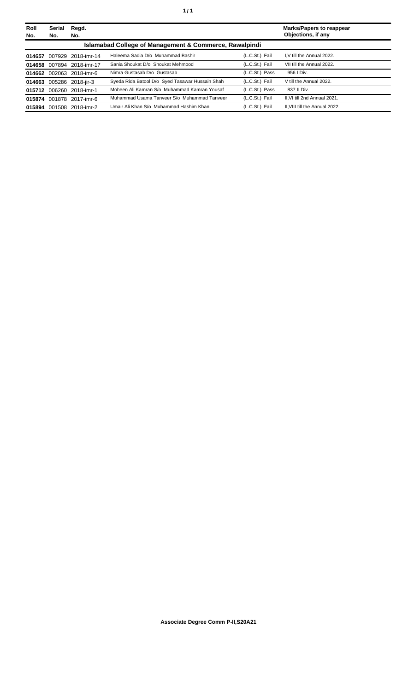| Roll<br>No. | Serial<br>No.                                          | Regd.<br>No.       |                                                 |                | <b>Marks/Papers to reappear</b><br>Objections, if any |  |
|-------------|--------------------------------------------------------|--------------------|-------------------------------------------------|----------------|-------------------------------------------------------|--|
|             | Islamabad College of Management & Commerce, Rawalpindi |                    |                                                 |                |                                                       |  |
| 014657      | 007929                                                 | 2018-imr-14        | Haleema Sadia D/o Muhammad Bashir               | (L.C.St.) Fail | I.V till the Annual 2022.                             |  |
| 014658      |                                                        | 007894 2018-imr-17 | Sania Shoukat D/o Shoukat Mehmood               | (L.C.St.) Fail | VII till the Annual 2022.                             |  |
| 014662      |                                                        | 002063 2018-imr-6  | Nimra Gustasab D/o Gustasab                     | (L.C.St.) Pass | 956   Div.                                            |  |
| 014663      |                                                        | 005286 2018-jir-3  | Syeda Rida Batool D/o Syed Tasawar Hussain Shah | (L.C.St.) Fail | V till the Annual 2022.                               |  |
| 015712      | 006260                                                 | 2018-imr-1         | Mobeen Ali Kamran S/o Muhammad Kamran Yousaf    | (L.C.St.) Pass | 837 II Div.                                           |  |
| 015874      |                                                        | 001878 2017-imr-6  | Muhammad Usama Tanveer S/o Muhammad Tanveer     | (L.C.St.) Fail | II.VI till 2nd Annual 2021.                           |  |
| 015894      |                                                        | 001508 2018-imr-2  | Umair Ali Khan S/o Muhammad Hashim Khan         | (L.C.St.) Fail | II. VIII till the Annual 2022.                        |  |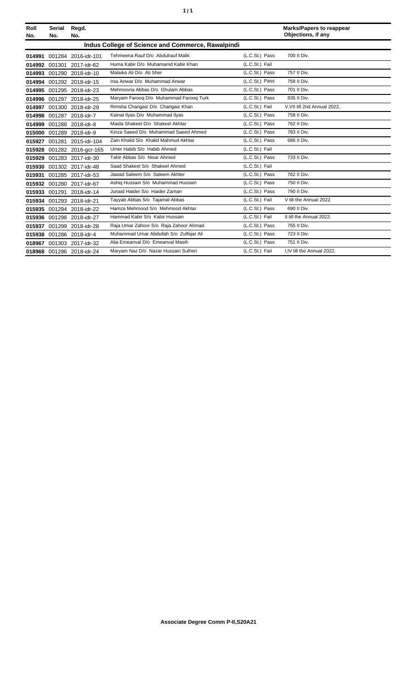| í<br>٠ |
|--------|
|--------|

| Roll<br>No. | <b>Serial</b><br>No.                              | Regd.<br>No.               |                                         |                | <b>Marks/Papers to reappear</b><br>Objections, if any |  |  |  |
|-------------|---------------------------------------------------|----------------------------|-----------------------------------------|----------------|-------------------------------------------------------|--|--|--|
|             | Indus College of Science and Commerce, Rawalpindi |                            |                                         |                |                                                       |  |  |  |
|             |                                                   | 014991 001284 2016-idr-101 | Tehmeena Rauf D/o Abdulrauf Malik       | (L.C.St.) Pass | 700 II Div.                                           |  |  |  |
|             |                                                   | 014992 001301 2017-idr-62  | Huma Kabir D/o Muhamamd Kabir Khan      | (L.C.St.) Fail |                                                       |  |  |  |
|             |                                                   | 014993 001290 2018-idr-10  | Malaika Ali D/o Ali Sher                | (L.C.St.) Pass | 757 II Div.                                           |  |  |  |
|             |                                                   | 014994 001292 2018-idr-15  | Irsa Anwar D/o Muhammad Anwar           | (L.C.St.) Pass | 758 II Div.                                           |  |  |  |
|             |                                                   | 014995 001295 2018-idr-23  | Mehmoona Abbas D/o Ghulam Abbas         | (L.C.St.) Pass | 701 II Div.                                           |  |  |  |
|             |                                                   | 014996 001297 2018-idr-25  | Maryam Farooq D/o Muhammad Farooq Turk  | (L.C.St.) Pass | 835 II Div.                                           |  |  |  |
|             |                                                   | 014997 001300 2018-idr-29  | Rimsha Changaiz D/o Changaiz Khan       | (L.C.St.) Fail | V.VII till 2nd Annual 2022.                           |  |  |  |
|             |                                                   | 014998 001287 2018-idr-7   | Kainat Ilyas D/o Muhammad Ilyas         | (L.C.St.) Pass | 758 II Div.                                           |  |  |  |
|             |                                                   | 014999 001288 2018-idr-8   | Maida Shakeel D/o Shakeel Akhtar        | (L.C.St.) Pass | 762 II Div.                                           |  |  |  |
| 015000      |                                                   | 001289 2018-idr-9          | Kinza Saeed D/o Muhammad Saeed Ahmed    | (L.C.St.) Pass | 783 II Div.                                           |  |  |  |
|             | 015927 001281                                     | 2015-idr-104               | Zain Khalid S/o Khalid Mahmud Akhtar    | (L.C.St.) Pass | 686 II Div.                                           |  |  |  |
|             |                                                   | 015928 001282 2016-gcr-165 | Umer Habib S/o Habib Ahmed              | (L.C.St.) Fail |                                                       |  |  |  |
| 015929      |                                                   | 001283 2017-idr-30         | Tahir Abbas S/o Nisar Ahmed             | (L.C.St.) Pass | 733 II Div.                                           |  |  |  |
|             |                                                   | 015930 001302 2017-idr-48  | Saad Shakeel S/o Shakeel Ahmed          | (L.C.St.) Fail |                                                       |  |  |  |
|             |                                                   | 015931 001285 2017-idr-53  | Jawad Saleem S/o Saleem Akhter          | (L.C.St.) Pass | 762 II Div.                                           |  |  |  |
|             |                                                   | 015932 001280 2017-idr-67  | Ashig Hussain S/o Muhammad Hussain      | (L.C.St.) Pass | 750 II Div.                                           |  |  |  |
|             |                                                   | 015933 001291 2018-idr-14  | Junaid Haider S/o Haider Zaman          | (L.C.St.) Pass | 790 II Div.                                           |  |  |  |
|             |                                                   | 015934 001293 2018-idr-21  | Tayyab Abbas S/o Tajamal Abbas          | (L.C.St.) Fail | V till the Annual 2022.                               |  |  |  |
|             |                                                   | 015935 001294 2018-idr-22  | Hamza Mehmood S/o Mehmood Akhtar        | (L.C.St.) Pass | 690 II Div.                                           |  |  |  |
|             |                                                   | 015936 001298 2018-idr-27  | Hammad Kabir S/o Kabir Hussain          | (L.C.St.) Fail | II till the Annual 2022.                              |  |  |  |
|             |                                                   | 015937 001299 2018-idr-28  | Raja Umar Zahoor S/o Raja Zahoor Ahmad  | (L.C.St.) Pass | 755 II Div.                                           |  |  |  |
|             |                                                   | 015938 001286 2018-idr-4   | Muhammad Umar Abdullah S/o Zulfigar Ali | (L.C.St.) Pass | 723 II Div.                                           |  |  |  |
|             |                                                   | 018967 001303 2017-idr-32  | Alia Emeanval D/o Emeanval Masih        | (L.C.St.) Pass | 751 II Div.                                           |  |  |  |
|             |                                                   | 018968 001296 2018-idr-24  | Maryam Naz D/o Nazar Hussain Sulheri    | (L.C.St.) Fail | I.IV till the Annual 2022.                            |  |  |  |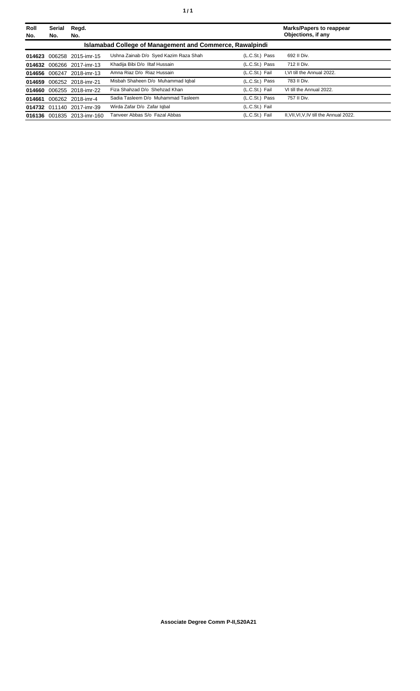| Roll<br>No. | Serial<br>No. | Regd.<br>No.               |                                                                 |                | <b>Marks/Papers to reappear</b><br>Objections, if any |
|-------------|---------------|----------------------------|-----------------------------------------------------------------|----------------|-------------------------------------------------------|
|             |               |                            | <b>Islamabad College of Management and Commerce, Rawalpindi</b> |                |                                                       |
| 014623      |               | 006258 2015-imr-15         | Ushna Zainab D/o Syed Kazim Raza Shah                           | (L.C.St.) Pass | 692 II Div.                                           |
| 014632      |               | 006266 2017-imr-13         | Khadija Bibi D/o Iltaf Hussain                                  | (L.C.St.) Pass | 712 II Div.                                           |
|             |               | 014656 006247 2018-imr-13  | Amna Riaz D/o Riaz Hussain                                      | (L.C.St.) Fail | I.VI till the Annual 2022.                            |
| 014659      |               | 006252 2018-imr-21         | Misbah Shaheen D/o Muhammad Iqbal                               | (L.C.St.) Pass | 783 II Div.                                           |
| 014660      |               | 006255 2018-imr-22         | Fiza Shahzad D/o Shehzad Khan                                   | (L.C.St.) Fail | VI till the Annual 2022.                              |
| 014661      |               | 006262 2018-imr-4          | Sadia Tasleem D/o Muhammad Tasleem                              | (L.C.St.) Pass | 757 II Div.                                           |
|             |               | 014732 011140 2017-imr-39  | Wirda Zafar D/o Zafar Igbal                                     | (L.C.St.) Fail |                                                       |
|             |               | 016136 001835 2013-imr-160 | Tanveer Abbas S/o Fazal Abbas                                   | (L.C.St.) Fail | II.VII.VI.V.IV till the Annual 2022.                  |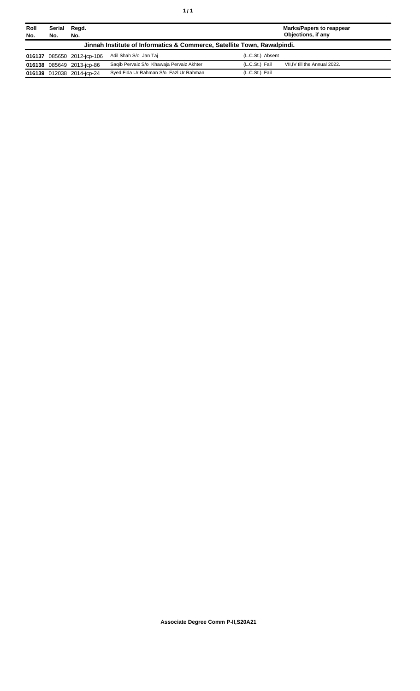| Roll<br>No. | Serial<br>No. | Regd.<br>No.               |                                                                         | <b>Marks/Papers to reappear</b><br>Objections, if any |
|-------------|---------------|----------------------------|-------------------------------------------------------------------------|-------------------------------------------------------|
|             |               |                            | Jinnah Institute of Informatics & Commerce, Satellite Town, Rawalpindi. |                                                       |
|             |               | 016137 085650 2012-jcp-106 | Adil Shah S/o Jan Taj                                                   | (L.C.St.) Absent                                      |
|             |               | 016138 085649 2013-icp-86  | Saqib Pervaiz S/o Khawaja Pervaiz Akhter                                | (L.C.St.) Fail<br>VII.IV till the Annual 2022.        |
|             |               | 016139 012038 2014-jcp-24  | Syed Fida Ur Rahman S/o Fazl Ur Rahman                                  | (L.C.St.) Fail                                        |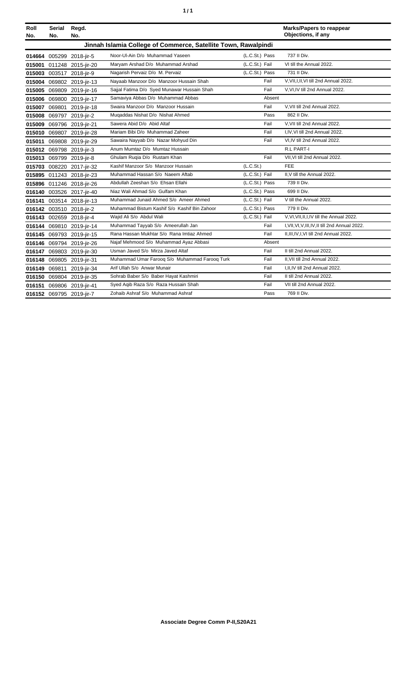| ٠ | ٠ |
|---|---|
|   |   |

| Roll<br>No. | Serial<br>No.                                                  | Regd.<br>No.              |                                               |                |        | <b>Marks/Papers to reappear</b><br>Objections, if any |  |
|-------------|----------------------------------------------------------------|---------------------------|-----------------------------------------------|----------------|--------|-------------------------------------------------------|--|
|             | Jinnah Islamia College of Commerce, Satellite Town, Rawalpindi |                           |                                               |                |        |                                                       |  |
|             |                                                                | 014664 005299 2018-jir-5  | Noor-UI-Ain D/o Muhammad Yaseen               | (L.C.St.) Pass |        | 737 II Div.                                           |  |
|             |                                                                | 015001 011248 2015-jir-20 | Marvam Arshad D/o Muhammad Arshad             | (L.C.St.) Fail |        | VI till the Annual 2022.                              |  |
|             |                                                                | 015003 003517 2018-jir-9  | Nagarish Pervaiz D/o M. Pervaiz               | (L.C.St.) Pass |        | 731 II Div.                                           |  |
|             |                                                                | 015004 069802 2019-jir-13 | Nayaab Manzoor D/o Manzoor Hussain Shah       |                | Fail   | V, VII, I, II, VI till 2nd Annual 2022.               |  |
|             |                                                                | 015005 069809 2019-jir-16 | Sajjal Fatima D/o Syed Munawar Hussain Shah   |                | Fail   | V, VI, IV till 2nd Annual 2022.                       |  |
|             |                                                                | 015006 069800 2019-jir-17 | Samaviya Abbas D/o Muhammad Abbas             |                | Absent |                                                       |  |
|             |                                                                | 015007 069801 2019-jir-18 | Swaira Manzoor D/o Manzoor Hussain            |                | Fail   | V, VII till 2nd Annual 2022.                          |  |
|             |                                                                | 015008 069797 2019-jir-2  | Mugaddas Nishat D/o Nishat Ahmed              |                | Pass   | 862 II Div.                                           |  |
| 015009      |                                                                | 069796 2019-jir-21        | Sawera Abid D/o Abid Altaf                    |                | Fail   | V, VII till 2nd Annual 2022.                          |  |
|             |                                                                | 015010 069807 2019-jir-28 | Mariam Bibi D/o Muhammad Zaheer               |                | Fail   | I,IV, VI till 2nd Annual 2022.                        |  |
|             |                                                                | 015011 069808 2019-jir-29 | Sawaira Nayyab D/o Nazar Mohyud Din           |                | Fail   | VI, IV till 2nd Annual 2022.                          |  |
|             |                                                                | 015012 069798 2019-jir-3  | Anum Mumtaz D/o Mumtaz Hussain                |                |        | R.L PART-I                                            |  |
|             |                                                                | 015013 069799 2019-jir-8  | Ghulam Rugia D/o Rustam Khan                  |                | Fail   | VII, VI till 2nd Annual 2022.                         |  |
|             |                                                                | 015703 008220 2017-jir-32 | Kashif Manzoor S/o Manzoor Hussain            | (L.C.St.)      |        | <b>FEE</b>                                            |  |
|             |                                                                | 015895 011243 2018-jir-23 | Muhammad Hassan S/o Naeem Aftab               | (L.C.St.) Fail |        | II.V till the Annual 2022.                            |  |
|             |                                                                | 015896 011246 2018-jir-26 | Abdullah Zeeshan S/o Ehsan Ellahi             | (L.C.St.) Pass |        | 739 II Div.                                           |  |
|             |                                                                | 016140 003526 2017-jir-40 | Niaz Wali Ahmad S/o Gulfam Khan               | (L.C.St.) Pass |        | 699 II Div.                                           |  |
|             |                                                                | 016141 003514 2018-jir-13 | Muhammad Junaid Ahmed S/o Ameer Ahmed         | (L.C.St.) Fail |        | V till the Annual 2022.                               |  |
|             |                                                                | 016142 003510 2018-jir-2  | Muhammad Bistum Kashif S/o Kashif Bin Zahoor  | (L.C.St.) Pass |        | 779 II Div.                                           |  |
|             |                                                                | 016143 002659 2018-jir-4  | Wajid Ali S/o Abdul Wali                      | (L.C.St.) Fail |        | V, VI, VII, II, I, IV till the Annual 2022.           |  |
|             |                                                                | 016144 069810 2019-jir-14 | Muhammad Tayyab S/o Ameerullah Jan            |                | Fail   | I, VII, VI, V, III, IV, II till 2nd Annual 2022.      |  |
|             |                                                                | 016145 069793 2019-jir-15 | Rana Hassan Mukhtar S/o Rana Imtiaz Ahmed     |                | Fail   | II, III, IV, I, VI till 2nd Annual 2022.              |  |
|             |                                                                | 016146 069794 2019-jir-26 | Najaf Mehmood S/o Muhammad Ayaz Abbasi        |                | Absent |                                                       |  |
|             |                                                                | 016147 069803 2019-jir-30 | Usman Javed S/o Mirza Javed Altaf             |                | Fail   | II till 2nd Annual 2022.                              |  |
|             |                                                                | 016148 069805 2019-jir-31 | Muhammad Umar Farooq S/o Muhammad Farooq Turk |                | Fail   | II.VII till 2nd Annual 2022.                          |  |
|             |                                                                | 016149 069811 2019-jir-34 | Arif Ullah S/o Anwar Munair                   |                | Fail   | I.II.IV till 2nd Annual 2022.                         |  |
|             |                                                                | 016150 069804 2019-jir-35 | Sohrab Baber S/o Baber Hayat Kashmiri         |                | Fail   | II till 2nd Annual 2022.                              |  |
|             |                                                                | 016151 069806 2019-jir-41 | Syed Aqib Raza S/o Raza Hussain Shah          |                | Fail   | VII till 2nd Annual 2022.                             |  |
|             |                                                                | 016152 069795 2019-jir-7  | Zohaib Ashraf S/o Muhammad Ashraf             |                | Pass   | 769 II Div.                                           |  |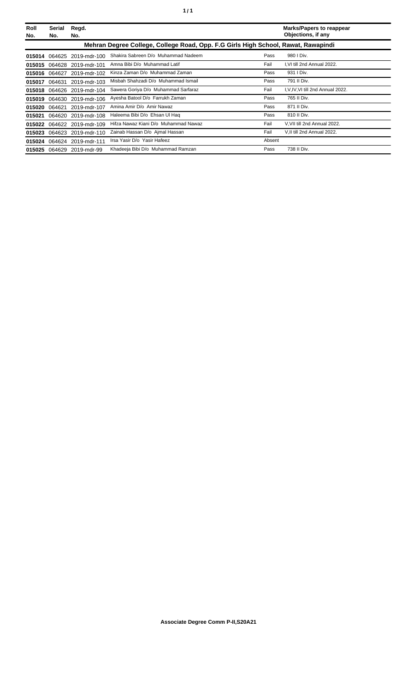| Roll<br>No. | Serial<br>No. | Regd.<br>No.               |                                                                                   |        | <b>Marks/Papers to reappear</b><br>Objections, if any |
|-------------|---------------|----------------------------|-----------------------------------------------------------------------------------|--------|-------------------------------------------------------|
|             |               |                            | Mehran Degree College, College Road, Opp. F.G Girls High School, Rawat, Rawapindi |        |                                                       |
|             |               | 015014 064625 2019-mdr-100 | Shakira Sabreen D/o Muhammad Nadeem                                               | Pass   | 980   Div.                                            |
| 015015      |               | 064628 2019-mdr-101        | Amna Bibi D/o Muhammad Latif                                                      | Fail   | I, VI till 2nd Annual 2022.                           |
|             |               | 015016 064627 2019-mdr-102 | Kinza Zaman D/o Muhammad Zaman                                                    | Pass   | 931   Div.                                            |
| 015017      | 064631        | 2019-mdr-103               | Misbah Shahzadi D/o Muhammad Ismail                                               | Pass   | 791 II Div.                                           |
|             |               | 015018 064626 2019-mdr-104 | Sawera Goriya D/o Muhammad Sarfaraz                                               | Fail   | I, V, IV, VI till 2nd Annual 2022.                    |
|             |               | 015019 064630 2019-mdr-106 | Ayesha Batool D/o Farrukh Zaman                                                   | Pass   | 765 II Div.                                           |
| 015020      | 064621        | 2019-mdr-107               | Amina Amir D/o Amir Nawaz                                                         | Pass   | 871 II Div.                                           |
| 015021      |               | 064620 2019-mdr-108        | Haleema Bibi D/o Ehsan Ul Haq                                                     | Pass   | 810 II Div.                                           |
| 015022      |               | 064622 2019-mdr-109        | Hifza Nawaz Kiani D/o Muhammad Nawaz                                              | Fail   | V, VII till 2nd Annual 2022.                          |
| 015023      |               | 064623 2019-mdr-110        | Zainab Hassan D/o Ajmal Hassan                                                    | Fail   | V, II till 2nd Annual 2022.                           |
|             |               | 015024 064624 2019-mdr-111 | Irsa Yasir D/o Yasir Hafeez                                                       | Absent |                                                       |
|             |               | 015025 064629 2019-mdr-99  | Khadeeja Bibi D/o Muhammad Ramzan                                                 | Pass   | 738 II Div.                                           |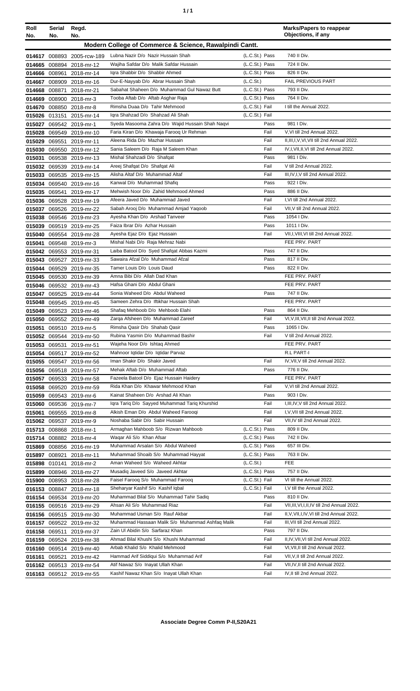| ٠<br>٠ |
|--------|
|--------|

| Roll             | Serial        | Regd.                                              |                                                                                    |                             | <b>Marks/Papers to reappear</b><br>Objections, if any                      |
|------------------|---------------|----------------------------------------------------|------------------------------------------------------------------------------------|-----------------------------|----------------------------------------------------------------------------|
| No.              | No.           | No.                                                |                                                                                    |                             |                                                                            |
|                  |               |                                                    | Modern College of Commerce & Science, Rawalpindi Cantt.                            |                             |                                                                            |
|                  |               | 014617 008893 2005-rcw-189                         | Lubna Nazir D/o Nazir Hussain Shah                                                 | (L.C.St.) Pass              | 740 II Div.                                                                |
|                  |               | 014665 008894 2018-mr-12                           | Wajiha Safdar D/o Malik Safdar Hussain                                             | (L.C.St.) Pass              | 724 II Div.                                                                |
|                  |               | 014666 008961 2018-mr-14                           | Igra Shabbir D/o Shabbir Ahmed                                                     | (L.C.St.) Pass              | 826 II Div.                                                                |
| 014667           |               | 008909 2018-mr-16                                  | Dur-E-Nayyab D/o Abrar Hussain Shah<br>Sabahat Shaheen D/o Muhammad Gul Nawaz Butt | (L.C.St.)<br>(L.C.St.) Pass | FAIL PREVIOUS PART<br>793 II Div.                                          |
| 014668<br>014669 | 008871        | 2018-mr-21<br>008900 2018-mr-3                     | Tooba Aftab D/o Aftab Asghar Raja                                                  | (L.C.St.) Pass              | 764 II Div.                                                                |
| 014670           |               | 008850 2018-mr-8                                   | Rimsha Duaa D/o Tahir Mehmood                                                      | (L.C.St.) Fail              | I till the Annual 2022.                                                    |
|                  |               | 015026 013151 2015-mr-14                           | Igra Shahzad D/o Shahzad Ali Shah                                                  | (L.C.St.) Fail              |                                                                            |
|                  |               | 015027 069542 2019-mr-1                            | Syeda Masooma Zahra D/o Wajid Hussain Shah Naqvi                                   | Pass                        | 981   Div.                                                                 |
|                  |               | 015028 069549 2019-mr-10                           | Faria Kiran D/o Khawaja Faroog Ur Rehman                                           | Fail                        | V, VI till 2nd Annual 2022.                                                |
| 015029           |               | 069551 2019-mr-11                                  | Aleena Rida D/o Mazhar Hussain                                                     | Fail                        | II, III, I, V, VI, VII till 2nd Annual 2022.                               |
| 015030           |               | 069550 2019-mr-12                                  | Sania Saleem D/o Raja M Saleem Khan                                                | Fail                        | IV, I, VII, II, VI till 2nd Annual 2022.                                   |
| 015031           |               | 069538 2019-mr-13                                  | Mishal Shahzadi D/o Shafqat                                                        | Pass                        | 981   Div.                                                                 |
|                  |               | 015032 069539 2019-mr-14                           | Areej Shafqat D/o Shafqat Ali                                                      | Fail                        | V till 2nd Annual 2022.                                                    |
|                  |               | 015033 069535 2019-mr-15                           | Alisha Altaf D/o Muhammad Altaf                                                    | Fail                        | III, IV, I, V till 2nd Annual 2022.                                        |
|                  |               | 015034 069540 2019-mr-16                           | Kanwal D/o Muhammad Shafiq                                                         | Pass                        | 922   Div.                                                                 |
|                  |               | 015035 069541 2019-mr-17                           | Mehwish Noor D/o Zahid Mehmood Ahmed                                               | Pass                        | 886 II Div.                                                                |
|                  |               | 015036 069528 2019-mr-19                           | Afeera Javed D/o Muhammad Javed                                                    | Fail                        | I,VI till 2nd Annual 2022.                                                 |
|                  |               | 015037 069526 2019-mr-22                           | Sabah Arooj D/o Muhammad Amjad Yaqoob                                              | Fail                        | VII.V till 2nd Annual 2022.                                                |
|                  |               | 015038 069546 2019-mr-23                           | Ayesha Khan D/o Arshad Tanveer                                                     | Pass                        | 1054   Div.                                                                |
| 015039           |               | 069519 2019-mr-25                                  | Faiza Ibrar D/o Azhar Hussain                                                      | Pass                        | 1011   Div.                                                                |
| 015040           |               | 069554 2019-mr-28                                  | Ayesha Ejaz D/o Ejaz Hussain                                                       | Fail                        | VII, I, VIII, VI till 2nd Annual 2022.                                     |
| 015041           |               | 069548 2019-mr-3                                   | Mishal Nabi D/o Raja Mehraz Nabi                                                   |                             | FEE PRV. PART<br>747 II Div.                                               |
|                  |               | 015042 069553 2019-mr-31                           | Laiba Batool D/o Syed Shafqat Abbas Kazmi<br>Sawaira Afzal D/o Muhammad Afzal      | Pass<br>Pass                | 817 II Div.                                                                |
| 015043<br>015044 |               | 069527 2019-mr-33<br>069529 2019-mr-35             | Tamer Louis D/o Louis Daud                                                         | Pass                        | 822 II Div.                                                                |
|                  |               | 015045 069530 2019-mr-39                           | Amna Bibi D/o Allah Dad Khan                                                       |                             | FEE PRV. PART                                                              |
|                  |               | 015046 069532 2019-mr-43                           | Hafsa Ghani D/o Abdul Ghani                                                        |                             | FEE PRV. PART                                                              |
|                  |               | 015047 069525 2019-mr-44                           | Sonia Waheed D/o Abdul Waheed                                                      | Pass                        | 747 II Div.                                                                |
| 015048           |               | 069545 2019-mr-45                                  | Sameen Zehra D/o Iftikhar Hussain Shah                                             |                             | FEE PRV. PART                                                              |
|                  |               | 015049 069523 2019-mr-46                           | Shafaq Mehboob D/o Mehboob Elahi                                                   | Pass                        | 864 II Div.                                                                |
|                  |               | 015050 069552 2019-mr-49                           | Zarqa Afsheen D/o Muhammad Zareef                                                  | Fail                        | VI, V, III, VII, II till 2nd Annual 2022.                                  |
|                  |               | 015051 069510 2019-mr-5                            | Rimsha Qasir D/o Shahab Qasir                                                      | Pass                        | 1065   Div.                                                                |
|                  |               | 015052 069544 2019-mr-50                           | Rubina Yasmin D/o Muhammad Bashir                                                  | Fail                        | V till 2nd Annual 2022.                                                    |
|                  | 015053 069531 | 2019-mr-51                                         | Wajeha Noor D/o Ishtaq Ahmed                                                       |                             | FEE PRV. PART                                                              |
|                  | 015054 069517 | 2019-mr-52                                         | Mahnoor Iqtidar D/o Iqtidar Parvaz                                                 |                             | R.L PART-I                                                                 |
|                  |               | 015055 069547 2019-mr-56                           | Iman Shakir D/o Shakir Javed                                                       | Fail                        | IV, VII, V till 2nd Annual 2022.                                           |
|                  |               | 015056 069518 2019-mr-57                           | Mehak Aftab D/o Muhammad Aftab                                                     | Pass                        | 776 II Div.                                                                |
|                  |               | 015057 069533 2019-mr-58                           | Fazeela Batool D/o Ejaz Hussain Haidery                                            |                             | FEE PRV. PART                                                              |
|                  |               | 015058 069520 2019-mr-59                           | Rida Khan D/o Khawar Mehmood Khan<br>Kainat Shaheen D/o Arshad Ali Khan            | Fail                        | V, VI till 2nd Annual 2022.<br>903 I Div.                                  |
|                  |               | 015059 069543 2019-mr-6<br>015060 069536 2019-mr-7 | Iqra Tariq D/o Sayyed Muhammad Tariq Khurshid                                      | Pass<br>Fail                | I, III, IV, V till 2nd Annual 2022.                                        |
| 015061           |               | 069555 2019-mr-8                                   | Alkish Eman D/o Abdul Waheed Farooqi                                               | Fail                        | I, V, VII till 2nd Annual 2022.                                            |
|                  |               | 015062 069537 2019-mr-9                            | Noshaba Sabir D/o Sabir Hussain                                                    | Fail                        | VII, IV till 2nd Annual 2022.                                              |
|                  |               | 015713 008868 2018-mr-1                            | Armaghan Mahboob S/o Rizwan Mahboob                                                | (L.C.St.) Pass              | 809 II Div.                                                                |
|                  |               | 015714 008882 2018-mr-4                            | Waqar Ali S/o Khan Afsar                                                           | (L.C.St.) Pass              | 742 II Div.                                                                |
|                  |               | 015869 008856 2016-mr-19                           | Muhammad Arsalan S/o Abdul Waheed                                                  | (L.C.St.) Pass              | 657 III Div.                                                               |
|                  |               | 015897 008921 2018-mr-11                           | Muhammad Shoaib S/o Muhammad Hayyat                                                | (L.C.St.) Pass              | 763 II Div.                                                                |
|                  |               | 015898 010141 2018-mr-2                            | Aman Waheed S/o Waheed Akhtar                                                      | (L.C.St.)                   | <b>FEE</b>                                                                 |
|                  |               | 015899 008946 2018-mr-27                           | Musadiq Javeed S/o Javeed Akhtar                                                   | (L.C.St.) Pass              | 757 II Div.                                                                |
|                  |               | 015900 008953 2018-mr-28                           | Faisel Farooq S/o Muhammad Farooq                                                  | (L.C.St.) Fail              | VI till the Annual 2022.                                                   |
|                  | 016153 008847 | 2018-mr-18                                         | Sheharyar Kashif S/o Kashif Iqbal                                                  | (L.C.St.) Fail              | I, V till the Annual 2022.                                                 |
|                  |               | 016154 069534 2019-mr-20                           | Muhammad Bilal S/o Muhammad Tahir Sadiq                                            | Pass                        | 810 II Div.                                                                |
|                  |               | 016155 069516 2019-mr-29                           | Ahsan Ali S/o Muhammad Riaz                                                        | Fail                        | VII, III, VI, I, II, IV till 2nd Annual 2022.                              |
|                  |               | 016156 069515 2019-mr-30                           | Muhammad Usman S/o Rauf Akbar                                                      | Fail                        | II, V, VII, I, IV, VI till 2nd Annual 2022.                                |
|                  |               | 016157 069522 2019-mr-32                           | Muhammad Hassaan Malik S/o Muhammad Ashfaq Malik                                   | Fail                        | III, VII till 2nd Annual 2022.                                             |
|                  |               | 016158 069511 2019-mr-37                           | Zain Ul Abidin S/o Sarfaraz Khan                                                   | Pass                        | 797 II Div.                                                                |
|                  |               | 016159 069524 2019-mr-38                           | Ahmad Bilal Khushi S/o Khushi Muhammad<br>Arbab Khalid S/o Khalid Mehmood          | Fail<br>Fail                | II, IV, VII, VI till 2nd Annual 2022.<br>VI, VII, II till 2nd Annual 2022. |
|                  | 069521        | 016160 069514 2019-mr-40                           | Hammad Arif Siddiqui S/o Muhammad Arif                                             | Fail                        | VII, V, II till 2nd Annual 2022.                                           |
| 016161<br>016162 |               | 2019-mr-42<br>069513 2019-mr-54                    | Atif Nawaz S/o Inayat Ullah Khan                                                   | Fail                        | VII, IV, II till 2nd Annual 2022.                                          |
|                  |               | 016163 069512 2019-mr-55                           | Kashif Nawaz Khan S/o Inayat Ullah Khan                                            | Fail                        | IV, II till 2nd Annual 2022.                                               |
|                  |               |                                                    |                                                                                    |                             |                                                                            |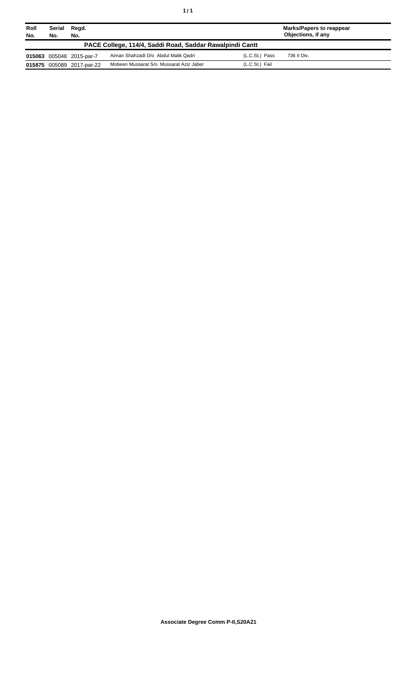| Roll<br>No.                                              | Serial<br>No. | Regd.<br>No.              |                                         |                | <b>Marks/Papers to reappear</b><br>Objections, if any |  |
|----------------------------------------------------------|---------------|---------------------------|-----------------------------------------|----------------|-------------------------------------------------------|--|
| PACE College, 114/4, Saddi Road, Saddar Rawalpindi Cantt |               |                           |                                         |                |                                                       |  |
|                                                          |               | 015063 005048 2015-par-7  | Aiman Shahzadi D/o Abdul Malik Qadri    | (L.C.St.) Pass | 736 II Div.                                           |  |
|                                                          |               | 015875 005089 2017-par-22 | Mobeen Mussarat S/o Mussarat Aziz Jaber | (L.C.St.) Fail |                                                       |  |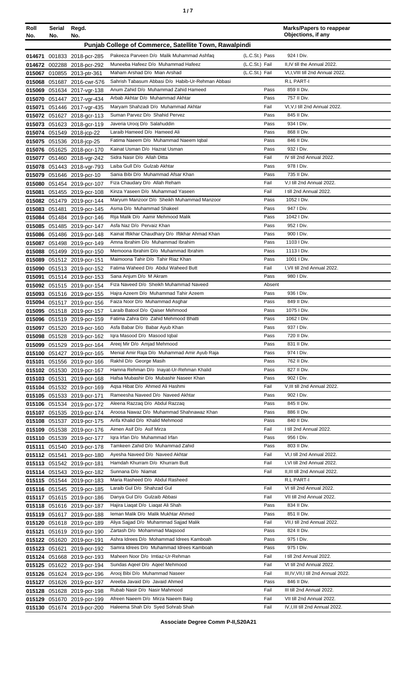| ٠ |  |
|---|--|
|   |  |

| Roll<br>No. | <b>Serial</b><br>No. | Regd.<br>No.                                             |                                                                                           |                | <b>Marks/Papers to reappear</b><br>Objections, if any |
|-------------|----------------------|----------------------------------------------------------|-------------------------------------------------------------------------------------------|----------------|-------------------------------------------------------|
|             |                      |                                                          | Punjab College of Commerce, Satellite Town, Rawalpindi                                    |                |                                                       |
|             |                      |                                                          |                                                                                           |                |                                                       |
|             |                      | 014671 001833 2018-pcr-285                               | Pakeeza Parveen D/o Malik Muhammad Ashfaq                                                 | (L.C.St.) Pass | 924   Div.                                            |
|             |                      | 014672 002288 2018-pcr-292                               | Muneeba Hafeez D/o Muhammad Hafeez                                                        | (L.C.St.) Fail | II, IV till the Annual 2022.                          |
|             |                      | 015067 010855 2013-ptr-361                               | Maham Arshad D/o Mian Arshad                                                              | (L.C.St.) Fail | VI, I, VIII till 2nd Annual 2022.                     |
|             |                      | 015068 051687 2016-cwr-576                               | Sahrish Tabasum Abbasi D/o Habib-Ur-Rehman Abbasi<br>Anum Zahid D/o Muhammad Zahid Hameed | Pass           | R.L PART-I<br>859 II Div.                             |
|             |                      | 015069 051634 2017-vgr-138<br>015070 051447 2017-vgr-434 | Arbab Akhtar D/o Muhammad Akhtar                                                          | Pass           | 757 II Div.                                           |
|             |                      | 015071 051446 2017-vgr-435                               | Maryam Shahzadi D/o Muhammad Akhtar                                                       | Fail           | VI, VI, till 2nd Annual 2022.                         |
|             |                      | 015072 051627 2018-gcr-113                               | Suman Parvez D/o Shahid Pervez                                                            | Pass           | 845 II Div.                                           |
|             |                      | 015073 051623 2018-gcr-119                               | Javeria Urooj D/o Salahuddin                                                              | Pass           | 934   Div.                                            |
|             |                      | 015074 051549 2018-jcp-22                                | Laraib Hameed D/o Hameed Ali                                                              | Pass           | 868 II Div.                                           |
|             |                      | 015075 051536 2018-jcp-25                                | Fatima Naeem D/o Muhammad Naeem Iqbal                                                     | Pass           | 846 II Div.                                           |
|             |                      | 015076 051625 2018-pcr-170                               | Kainat Usman D/o Hazrat Usman                                                             | Pass           | 932   Div.                                            |
|             |                      | 015077 051460 2018-vgr-242                               | Sidra Nasir D/o Allah Ditta                                                               | Fail           | IV till 2nd Annual 2022.                              |
|             |                      | 015078 051443 2018-vgr-793                               | Laiba Gull D/o Gulzab Akhtar                                                              | Pass           | 978   Div.                                            |
|             |                      | 015079 051646 2019-pcr-10                                | Sania Bibi D/o Muhammad Afsar Khan                                                        | Pass           | 735 II Div.                                           |
|             |                      | 015080 051454 2019-pcr-107                               | Fiza Chaudary D/o Allah Reham                                                             | Fail           | V,I till 2nd Annual 2022.                             |
| 015081      |                      | 051455 2019-pcr-108                                      | Kinza Yaseen D/o Muhammad Yaseen                                                          | Fail           | I till 2nd Annual 2022.                               |
|             |                      | 015082 051479 2019-pcr-144                               | Maryum Manzoor D/o Sheikh Muhammad Manzoor                                                | Pass           | 1052 I Div.                                           |
|             | 015083 051481        | 2019-pcr-145                                             | Asma D/o Muhammad Shakeel                                                                 | Pass           | 947   Div.                                            |
|             |                      | 015084 051484 2019-pcr-146                               | Rija Malik D/o Aamir Mehmood Malik                                                        | Pass           | 1042   Div.                                           |
|             |                      | 015085 051485 2019-pcr-147                               | Asfa Naz D/o Pervaiz Khan                                                                 | Pass           | 952 I Div.                                            |
|             |                      | 015086 051486 2019-pcr-148                               | Kainat Iftikhar Chaudhary D/o Iftikhar Ahmad Khan<br>Amna Ibrahim D/o Muhammad Ibrahim    | Pass<br>Pass   | 900 I Div.<br>1103 I Div.                             |
|             |                      | 015087 051498 2019-pcr-149                               | Memoona Ibrahim D/o Muhammad Ibrahim                                                      | Pass           | 1113   Div.                                           |
|             |                      | 015088 051499 2019-pcr-150<br>015089 051512 2019-pcr-151 | Maimoona Tahir D/o Tahir Riaz Khan                                                        | Pass           | 1001   Div.                                           |
|             |                      | 015090 051513 2019-pcr-152                               | Fatima Waheed D/o Abdul Waheed Butt                                                       | Fail           | I, VII till 2nd Annual 2022.                          |
| 015091      |                      | 051514 2019-pcr-153                                      | Sana Anjum D/o M Akram                                                                    | Pass           | 980 I Div.                                            |
|             |                      | 015092 051515 2019-pcr-154                               | Fiza Naveed D/o Sheikh Muhammad Naveed                                                    | Absent         |                                                       |
| 015093      |                      | 051516 2019-pcr-155                                      | Hajra Azeem D/o Muhammad Tahir Azeem                                                      | Pass           | 936 I Div.                                            |
|             |                      | 015094 051517 2019-pcr-156                               | Faiza Noor D/o Muhammad Asghar                                                            | Pass           | 849 II Div.                                           |
|             |                      | 015095 051518 2019-pcr-157                               | Laraib Batool D/o Qaiser Mehmood                                                          | Pass           | 1075   Div.                                           |
|             |                      | 015096 051519 2019-pcr-159                               | Fatima Zahra D/o Zahid Mehmood Bhatti                                                     | Pass           | 1062   Div.                                           |
|             |                      | 015097 051520 2019-pcr-160                               | Asfa Babar D/o Babar Ayub Khan                                                            | Pass           | 937   Div.                                            |
|             |                      | 015098 051528 2019-pcr-162                               | Iqra Masood D/o Masood Iqbal                                                              | Pass           | 720 II Div.                                           |
|             |                      | 015099 051529 2019-pcr-164                               | Areej Mir D/o Amjad Mehmood                                                               | Pass           | 831 II Div.                                           |
|             |                      | 015100 051427 2019-pcr-165                               | Menial Amir Raja D/o Muhammad Amir Ayub Raja                                              | Pass           | 974   Div.                                            |
| 015101      |                      | 051556 2019-pcr-166                                      | Rakhil D/o George Masih                                                                   | Pass           | 762 II Div.                                           |
|             |                      | 015102 051530 2019-pcr-167                               | Hamna Rehman D/o Inayat-Ur-Rehman Khalid                                                  | Pass           | 827 II Div.<br>902   Div.                             |
|             |                      | 015103 051531 2019-pcr-168                               | Hafsa Mubashir D/o Mubashir Naseer Khan<br>Aqsa Hibat D/o Ahmed Ali Hashmi                | Pass<br>Fail   | V, III till 2nd Annual 2022.                          |
|             |                      | 015104 051532 2019-pcr-169<br>015105 051533 2019-pcr-171 | Rameesha Naveed D/o Naveed Akhtar                                                         | Pass           | 902   Div.                                            |
|             |                      | 015106 051534 2019-pcr-172                               | Aleena Razzaq D/o Abdul Razzaq                                                            | Pass           | 845 II Div.                                           |
|             |                      | 015107 051535 2019-pcr-174                               | Aroosa Nawaz D/o Muhammad Shahnawaz Khan                                                  | Pass           | 886 II Div.                                           |
|             |                      | 015108 051537 2019-pcr-175                               | Arifa Khalid D/o Khalid Mehmood                                                           | Pass           | 840 II Div.                                           |
| 015109      |                      | 051538 2019-pcr-176                                      | Aimen Asif D/o Asif Mirza                                                                 | Fail           | I till 2nd Annual 2022.                               |
|             |                      | 015110 051539 2019-pcr-177                               | Igra Irfan D/o Muhammad Irfan                                                             | Pass           | 956 I Div.                                            |
|             |                      | 015111 051540 2019-pcr-178                               | Tamkeen Zahid D/o Muhammad Zahid                                                          | Pass           | 803 II Div.                                           |
|             |                      | 015112 051541 2019-pcr-180                               | Ayesha Naveed D/o Naveed Akhtar                                                           | Fail           | VI,I till 2nd Annual 2022.                            |
|             |                      | 015113 051542 2019-pcr-181                               | Hamdah Khurram D/o Khurram Butt                                                           | Fail           | I, VI till 2nd Annual 2022.                           |
|             |                      | 015114 051543 2019-pcr-182                               | Sunnana D/o Niamat                                                                        | Fail           | II, III till 2nd Annual 2022.                         |
|             |                      | 015115 051544 2019-pcr-183                               | Maria Rasheed D/o Abdul Rasheed                                                           |                | R.L PART-I                                            |
|             |                      | 015116 051545 2019-pcr-185                               | Laraib Gul D/o Shahzad Gul                                                                | Fail           | VI till 2nd Annual 2022.                              |
|             |                      | 015117 051615 2019-pcr-186                               | Danya Gul D/o Gulzaib Abbasi                                                              | Fail           | VII till 2nd Annual 2022.                             |
|             |                      | 015118 051616 2019-pcr-187                               | Hajira Liagat D/o Liagat Ali Shah<br>Ieman Malik D/o Malik Mukhtar Ahmed                  | Pass<br>Pass   | 834 II Div.<br>851 II Div.                            |
|             |                      | 015119 051617 2019-pcr-188                               | Aliya Sajjad D/o Muhammad Sajjad Malik                                                    | Fail           | VII, I till 2nd Annual 2022.                          |
|             |                      | 015120 051618 2019-pcr-189                               | Zartash D/o Mohammad Maqsood                                                              | Pass           | 824 II Div.                                           |
|             |                      | 015121 051619 2019-pcr-190<br>015122 051620 2019-pcr-191 | Ashra Idrees D/o Mohammad Idrees Kamboah                                                  | Pass           | 975   Div.                                            |
|             |                      | 015123 051621 2019-pcr-192                               | Samra Idrees D/o Muhammad Idrees Kamboah                                                  | Pass           | 975 I Div.                                            |
|             |                      | 015124 051668 2019-pcr-193                               | Maheen Noor D/o Imtiaz-Ur-Rehman                                                          | Fail           | I till 2nd Annual 2022.                               |
|             |                      | 015125 051622 2019-pcr-194                               | Sundas Ageel D/o Ageel Mehmood                                                            | Fail           | VI till 2nd Annual 2022.                              |
|             |                      | 015126 051624 2019-pcr-196                               | Arooj Bibi D/o Muhammad Naseer                                                            | Fail           | III, IV, VII, I till 2nd Annual 2022.                 |
|             |                      | 015127 051626 2019-pcr-197                               | Areeba Javaid D/o Javaid Ahmed                                                            | Pass           | 846 II Div.                                           |
|             |                      | 015128 051628 2019-pcr-198                               | Rubab Nasir D/o Nasir Mahmood                                                             | Fail           | III till 2nd Annual 2022.                             |
|             |                      | 015129 051670 2019-pcr-199                               | Afreen Naeem D/o Mirza Naeem Baig                                                         | Fail           | VII till 2nd Annual 2022.                             |
|             |                      | 015130 051674 2019-pcr-200                               | Haleema Shah D/o Syed Sohrab Shah                                                         | Fail           | IV, I, III till 2nd Annual 2022.                      |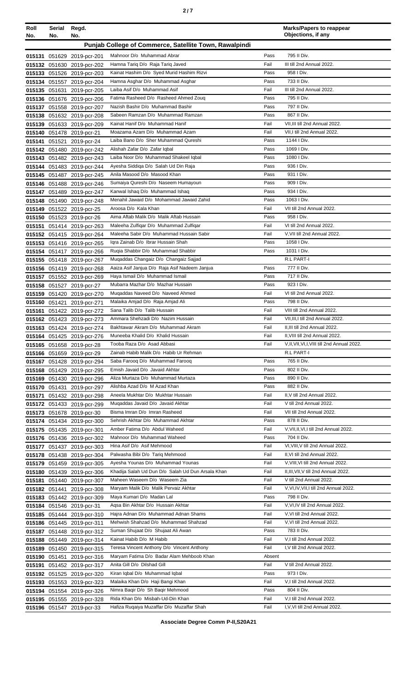|  | I |  |  |
|--|---|--|--|
|--|---|--|--|

| Roll | Serial | Regd.                                                    |                                                                        |              | <b>Marks/Papers to reappear</b><br>Objections, if any |
|------|--------|----------------------------------------------------------|------------------------------------------------------------------------|--------------|-------------------------------------------------------|
| No.  | No.    | No.                                                      |                                                                        |              |                                                       |
|      |        |                                                          | Punjab College of Commerce, Satellite Town, Rawalpindi                 |              |                                                       |
|      |        | 015131 051629 2019-pcr-201                               | Mahnoor D/o Muhammad Abrar                                             | Pass         | 795 II Div.                                           |
|      |        | 015132 051630 2019-pcr-202                               | Hamna Tariq D/o Raja Tariq Javed                                       | Fail         | III till 2nd Annual 2022.                             |
|      |        | 015133 051526 2019-pcr-203                               | Kainat Hashim D/o Syed Murid Hashim Rizvi                              | Pass         | 958 I Div.                                            |
|      |        | 015134 051557 2019-pcr-204                               | Hamna Asghar D/o Muhammad Asghar                                       | Pass         | 733 II Div.                                           |
|      |        | 015135 051631 2019-pcr-205                               | Laiba Asif D/o Muhammad Asif                                           | Fail         | III till 2nd Annual 2022.                             |
|      |        | 015136 051676 2019-pcr-206                               | Fatima Rasheed D/o Rasheed Ahmed Zoug                                  | Pass         | 795 II Div.                                           |
|      |        | 015137 051558 2019-pcr-207                               | Nazish Bashir D/o Muhammad Bashir                                      | Pass         | 797 II Div.                                           |
|      |        | 015138 051632 2019-pcr-208                               | Sabeen Ramzan D/o Muhammad Ramzan                                      | Pass         | 867 II Div.                                           |
|      |        | 015139 051633 2019-pcr-209                               | Kainat Hanif D/o Muhammad Hanif                                        | Fail         | VII, III till 2nd Annual 2022.                        |
|      |        | 015140 051478 2019-pcr-21                                | Moazama Azam D/o Muhammad Azam                                         | Fail         | VII, I till 2nd Annual 2022.                          |
|      |        | 015141 051521 2019-pcr-24                                | Laiba Bano D/o Sher Muhammad Qureshi                                   | Pass         | 1144   Div.                                           |
|      |        | 015142 051480 2019-pcr-242                               | Alishah Zafar D/o Zafar Iqbal                                          | Pass         | 1069 I Div.                                           |
|      |        | 015143 051482 2019-pcr-243                               | Laiba Noor D/o Muhammad Shakeel Iqbal                                  | Pass<br>Pass | 1080 I Div.                                           |
|      |        | 015144 051483 2019-pcr-244                               | Ayesha Siddiga D/o Salah Ud Din Raja<br>Anila Masood D/o Masood Khan   | Pass         | 936 I Div.<br>931   Div.                              |
|      |        | 015145 051487 2019-pcr-245                               |                                                                        | Pass         | 909 I Div.                                            |
|      |        | 015146 051488 2019-pcr-246                               | Sumaiya Qureshi D/o Naseem Humayoun<br>Kanwal Ishaq D/o Muhammad Ishaq | Pass         | 934   Div.                                            |
|      |        | 015147 051489 2019-pcr-247                               | Menahil Jawaid D/o Mohammad Jawaid Zahid                               | Pass         | 1063 I Div.                                           |
|      |        | 015148 051490 2019-pcr-248                               | Aroosa D/o Kala Khan                                                   | Fail         | VII till 2nd Annual 2022.                             |
|      |        | 015149 051522 2019-pcr-25                                | Aima Aftab Malik D/o Malik Aftab Hussain                               | Pass         | 958 I Div.                                            |
|      |        | 015150 051523 2019-pcr-26                                | Maleeha Zulfiqar D/o Muhammad Zulfiqar                                 | Fail         | VI till 2nd Annual 2022.                              |
|      |        | 015151 051414 2019-pcr-263                               | Maleeha Sabir D/o Muhammad Hussain Sabir                               | Fail         | V, VII till 2nd Annual 2022.                          |
|      |        | 015152 051415 2019-pcr-264<br>015153 051416 2019-pcr-265 | Igra Zainab D/o Ibrar Hussain Shah                                     | Pass         | 1058 I Div.                                           |
|      |        |                                                          | Ruqia Shabbir D/o Muhammad Shabbir                                     | Pass         | 1031 I Div.                                           |
|      |        | 015154 051417 2019-pcr-266                               | Mugaddas Changaiz D/o Changaiz Sajjad                                  |              | R.L PART-I                                            |
|      |        | 015155 051418 2019-pcr-267                               | Aaiza Asif Janjua D/o Raja Asif Nadeem Janjua                          | Pass         | 777 II Div.                                           |
|      |        | 015156 051419 2019-pcr-268<br>015157 051552 2019-pcr-269 | Haya Ismail D/o Muhammad Ismail                                        | Pass         | 717 II Div.                                           |
|      |        | 015158 051527 2019-pcr-27                                | Mubarra Mazhar D/o Mazhar Hussain                                      | Pass         | 923   Div.                                            |
|      |        | 015159 051420 2019-pcr-270                               | Muqaddas Naveed D/o Naveed Ahmed                                       | Fail         | VI till 2nd Annual 2022.                              |
|      |        | 015160 051421 2019-pcr-271                               | Malaika Amjad D/o Raja Amjad Ali                                       | Pass         | 798 II Div.                                           |
|      |        | 015161 051422 2019-pcr-272                               | Sana Talib D/o Talib Hussain                                           | Fail         | VIII till 2nd Annual 2022.                            |
|      |        | 015162 051423 2019-pcr-273                               | Ammara Shehzadi D/o Nazim Hussain                                      | Fail         | VII, III, I till 2nd Annual 2022.                     |
|      |        | 015163 051424 2019-pcr-274                               | Bakhtawar Akram D/o Muhammad Akram                                     | Fail         | II.III till 2nd Annual 2022.                          |
|      |        | 015164 051425 2019-pcr-276                               | Muneeba Khalid D/o Khalid Hussain                                      | Fail         | II,VIII till 2nd Annual 2022.                         |
|      |        | 015165 051658 2019-pcr-28                                | Tooba Raza D/o Asad Abbasi                                             | Fail         | V, II, VII, VI, I, VIII till 2nd Annual 2022.         |
|      |        | 015166 051659 2019-pcr-29                                | Zainab Habib Malik D/o Habib Ur Rehman                                 |              | R.L PART-I                                            |
|      |        | 015167 051428 2019-pcr-294                               | Saba Farooq D/o Muhammad Farooq                                        | Pass         | 765 II Div.                                           |
|      |        | 015168 051429 2019-pcr-295                               | Emish Javaid D/o Javaid Akhtar                                         | Pass         | 802 II Div.                                           |
|      |        | 015169 051430 2019-pcr-296                               | Aliza Murtaza D/o Muhammad Murtaza                                     | Pass         | 890 II Div.                                           |
|      |        | 015170 051431 2019-pcr-297                               | Alishba Azad D/o M Azad Khan                                           | Pass         | 882 II Div.                                           |
|      |        | 015171 051432 2019-pcr-298                               | Aneela Mukhtar D/o Mukhtar Hussain                                     | Fail         | II, V till 2nd Annual 2022.                           |
|      |        | 015172 051433 2019-pcr-299                               | Mugaddas Javaid D/o Javaid Akhtar                                      | Fail         | V till 2nd Annual 2022.                               |
|      |        | 015173 051678 2019-pcr-30                                | Bisma Imran D/o Imran Rasheed                                          | Fail         | VII till 2nd Annual 2022.                             |
|      |        | 015174 051434 2019-pcr-300                               | Sehrish Akhtar D/o Muhammad Akhtar                                     | Pass         | 878 II Div.                                           |
|      |        | 015175 051435 2019-pcr-301                               | Amber Fatima D/o Abdul Waheed                                          | Fail         | V, VII, II, VI, I till 2nd Annual 2022.               |
|      |        | 015176 051436 2019-pcr-302                               | Mahnoor D/o Muhammad Waheed                                            | Pass         | 704 II Div.                                           |
|      |        | 015177 051437 2019-pcr-303                               | Hina Asif D/o Asif Mehmood                                             | Fail         | VI, VIII, V till 2nd Annual 2022.                     |
|      |        | 015178 051438 2019-pcr-304                               | Palwasha Bibi D/o Tariq Mehmood                                        | Fail         | II, VI till 2nd Annual 2022.                          |
|      |        | 015179 051459 2019-pcr-305                               | Ayesha Younas D/o Muhammad Younas                                      | Fail         | V, VIII, VI till 2nd Annual 2022.                     |
|      |        | 015180 051439 2019-pcr-306                               | Khadija Salah Ud Dun D/o Salah Ud Dun Arsala Khan                      | Fail         | II, III, VII, V till 2nd Annual 2022.                 |
|      |        | 015181 051440 2019-pcr-307                               | Maheen Waseem D/o Waseem Zia                                           | Fail         | V till 2nd Annual 2022.                               |
|      |        | 015182 051441 2019-pcr-308                               | Maryam Malik D/o Malik Pervaiz Akhtar                                  | Fail         | V, VI, IV, VII, I till 2nd Annual 2022.               |
|      |        | 015183 051442 2019-pcr-309                               | Maya Kumari D/o Madan Lal                                              | Pass         | 798 II Div.                                           |
|      |        | 015184 051546 2019-pcr-31                                | Aqsa Bin Akhtar D/o Hussain Akhtar                                     | Fail         | V, VI, IV till 2nd Annual 2022.                       |
|      |        | 015185 051444 2019-pcr-310                               | Hajra Adnan D/o Muhammad Adnan Shams                                   | Fail         | V, VI till 2nd Annual 2022.                           |
|      |        | 015186 051445 2019-pcr-311                               | Mehwish Shahzad D/o Muhammad Shahzad                                   | Fail         | V, VI till 2nd Annual 2022.                           |
|      |        | 015187 051448 2019-pcr-312                               | Suman Shujaat D/o Shujaat Ali Awan                                     | Pass         | 783 II Div.                                           |
|      |        | 015188 051449 2019-pcr-314                               | Kainat Habib D/o M Habib                                               | Fail         | V,I till 2nd Annual 2022.                             |
|      |        | 015189 051450 2019-pcr-315                               | Teresa Vincent Anthony D/o Vincent Anthony                             | Fail         | I, V till 2nd Annual 2022.                            |
|      |        | 015190 051451 2019-pcr-316                               | Maryam Fatima D/o Badar Alam Mehboob Khan                              | Absent       |                                                       |
|      |        | 015191 051452 2019-pcr-317                               | Anita Gill D/o Dilshad Gill                                            | Fail         | V till 2nd Annual 2022.                               |
|      |        | 015192 051525 2019-pcr-320                               | Kiran Iqbal D/o Muhammad Iqbal                                         | Pass         | 973 I Div.                                            |
|      |        | 015193 051553 2019-pcr-323                               | Malaika Khan D/o Haji Bangi Khan                                       | Fail         | V,I till 2nd Annual 2022.                             |
|      |        | 015194 051554 2019-pcr-326                               | Nimra Baqir D/o Sh Baqir Mehmood                                       | Pass         | 804 II Div.                                           |
|      |        | 015195 051555 2019-pcr-328                               | Rida Khan D/o Misbah-Ud-Din Khan                                       | Fail         | V.I till 2nd Annual 2022.                             |
|      |        | 015196 051547 2019-pcr-33                                | Hafiza Ruqaiya Muzaffar D/o Muzaffar Shah                              | Fail         | I, V, VI till 2nd Annual 2022.                        |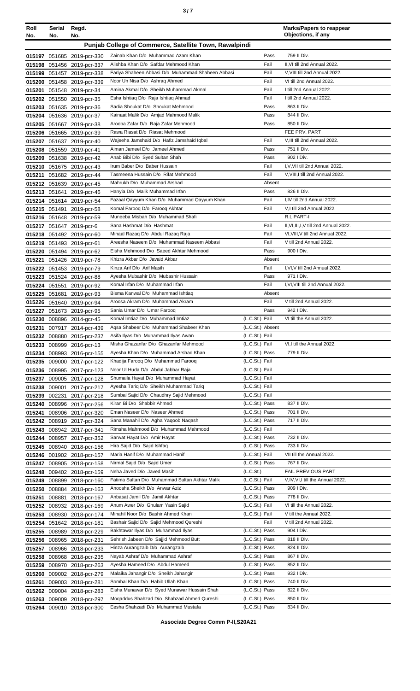| Roll<br>No.      | Serial<br>No. | Regd.<br>No.                                             |                                                                                 |                                  | <b>Marks/Papers to reappear</b><br>Objections, if any   |
|------------------|---------------|----------------------------------------------------------|---------------------------------------------------------------------------------|----------------------------------|---------------------------------------------------------|
|                  |               |                                                          | Punjab College of Commerce, Satellite Town, Rawalpindi                          |                                  |                                                         |
|                  |               |                                                          | Zainab Khan D/o Muhammad Azam Khan                                              | Pass                             | 759 II Div.                                             |
|                  |               | 015197 051685 2019-pcr-330<br>015198 051456 2019-pcr-337 | Alishba Khan D/o Safdar Mehmood Khan                                            | Fail                             | II, VI till 2nd Annual 2022.                            |
|                  |               | 015199 051457 2019-pcr-338                               | Fariya Shaheen Abbasi D/o Muhammad Shaheen Abbasi                               | Fail                             | V, VIII till 2nd Annual 2022.                           |
|                  |               | 015200 051458 2019-pcr-339                               | Noor Un Nisa D/o Ashraq Ahmed                                                   | Fail                             | VI till 2nd Annual 2022.                                |
|                  |               | 015201 051548 2019-pcr-34                                | Amina Akmal D/o Sheikh Muhammad Akmal                                           | Fail                             | I till 2nd Annual 2022.                                 |
|                  |               | 015202 051550 2019-pcr-35                                | Esha Ishtiaq D/o Raja Ishtiaq Ahmad                                             | Fail                             | I till 2nd Annual 2022.                                 |
|                  |               | 015203 051635 2019-pcr-36                                | Sadia Shoukat D/o Shoukat Mehmood                                               | Pass                             | 863 II Div.                                             |
|                  |               | 015204 051636 2019-pcr-37                                | Kainaat Malik D/o Amjad Mahmood Malik                                           | Pass                             | 844 II Div.                                             |
|                  |               | 015205 051667 2019-pcr-38                                | Arooba Zafar D/o Raja Zafar Mehmood<br>Rawa Riasat D/o Riasat Mehmood           | Pass                             | 850 II Div.<br>FEE PRV. PART                            |
|                  |               | 015206 051665 2019-pcr-39<br>015207 051637 2019-pcr-40   | Wajeeha Jamshaid D/o Hafiz Jamshaid Iqbal                                       | Fail                             | V, III till 2nd Annual 2022.                            |
|                  |               | 015208 051559 2019-pcr-41                                | Aiman Jameel D/o Jameel Ahmed                                                   | Pass                             | 751 II Div.                                             |
|                  |               | 015209 051638 2019-pcr-42                                | Anab Bibi D/o Syed Sultan Shah                                                  | Pass                             | 902   Div.                                              |
|                  |               | 015210 051675 2019-pcr-43                                | Irum Baber D/o Baber Hussain                                                    | Fail                             | I, V, VII till 2nd Annual 2022.                         |
|                  |               | 015211 051682 2019-pcr-44                                | Tasmeena Hussain D/o Rifat Mehmood                                              | Fail                             | V.VIII.I till 2nd Annual 2022.                          |
|                  |               | 015212 051639 2019-pcr-45                                | Mahrukh D/o Muhammad Arshad                                                     | Absent                           |                                                         |
|                  |               | 015213 051641 2019-pcr-46                                | Hanyia D/o Malik Muhammad Irfan                                                 | Pass                             | 826 II Div.                                             |
|                  |               | 015214 051614 2019-pcr-54                                | Fazaal Qayyum Khan D/o Muhammad Qayyum Khan                                     | Fail<br>Fail                     | I,IV till 2nd Annual 2022.<br>V,I till 2nd Annual 2022. |
|                  |               | 015215 051491 2019-pcr-58<br>015216 051648 2019-pcr-59   | Komal Farooq D/o Farooq Akhtar<br>Muneeba Misbah D/o Muhammad Shafi             |                                  | R.L PART-I                                              |
|                  |               | 015217 051647 2019-pcr-6                                 | Sana Hashmat D/o Hashmat                                                        | Fail                             | II, VI, III, I, V till 2nd Annual 2022.                 |
|                  |               | 015218 051492 2019-pcr-60                                | Minaal Razaq D/o Abdul Razaq Raja                                               | Fail                             | VI, VIII, V till 2nd Annual 2022.                       |
|                  |               | 015219 051493 2019-pcr-61                                | Areesha Naseem D/o Muhammad Naseem Abbasi                                       | Fail                             | V till 2nd Annual 2022.                                 |
|                  |               | 015220 051494 2019-pcr-62                                | Eisha Mehmood D/o Saeed Akhtar Mehmood                                          | Pass                             | 900   Div.                                              |
| 015221           |               | 051426 2019-pcr-78                                       | Khizra Akbar D/o Javaid Akbar                                                   | Absent                           |                                                         |
|                  |               | 015222 051453 2019-pcr-79                                | Kinza Arif D/o Arif Masih                                                       | Fail                             | I, VI, V till 2nd Annual 2022.                          |
|                  |               | 015223 051524 2019-pcr-88                                | Ayesha Mubashir D/o Mubashir Hussain                                            | Pass                             | 971   Div.                                              |
|                  |               | 015224 051551 2019-pcr-92                                | Komal Irfan D/o Muhammad Irfan<br>Bisma Kanwal D/o Muhammad Ishtiaq             | Fail<br>Absent                   | I, VI, VIII till 2nd Annual 2022.                       |
|                  |               | 015225 051681 2019-pcr-93<br>015226 051640 2019-pcr-94   | Aroosa Akram D/o Muhammad Akram                                                 | Fail                             | V till 2nd Annual 2022.                                 |
|                  |               | 015227 051673 2019-pcr-95                                | Sania Umar D/o Umar Faroog                                                      | Pass                             | 942 I Div.                                              |
|                  |               | 015230 008896 2014-gcr-45                                | Komal Imtiaz D/o Muhammad Imtiaz                                                | (L.C.St.) Fail                   | VI till the Annual 2022.                                |
|                  |               | 015231 007917 2014-pcr-439                               | Agsa Shabeer D/o Muhammad Shabeer Khan                                          | (L.C.St.) Absent                 |                                                         |
|                  |               | 015232 008880 2015-pcr-237                               | Asifa Ilyas D/o Muhammad Ilyas Awan                                             | (L.C.St.) Fail                   |                                                         |
|                  | 015233 008999 | 2016-pcr-13                                              | Misha Ghazanfar D/o Ghazanfar Mehmood                                           | (L.C.St.) Fail                   | VI,I till the Annual 2022.                              |
|                  |               | 015234 008993 2016-pcr-155                               | Ayesha Khan D/o Muhammad Arshad Khan                                            | (L.C.St.) Pass                   | 779 II Div.                                             |
|                  |               | 015235 009000 2017-pcr-122<br>015236 008995 2017-pcr-123 | Khadija Farooq D/o Muhammad Farooq<br>Noor UI Huda D/o Abdul Jabbar Raja        | (L.C.St.) Fail<br>(L.C.St.) Fail |                                                         |
| 015237           |               | 009005 2017-pcr-128                                      | Shumaila Hayat D/o Muhammad Hayat                                               | (L.C.St.) Fail                   |                                                         |
| 015238           | 009001        | 2017-pcr-217                                             | Ayesha Tariq D/o Sheikh Muhammad Tariq                                          | (L.C.St.) Fail                   |                                                         |
| 015239           | 002231        | 2017-pcr-218                                             | Sumbal Sajid D/o Chaudhry Sajid Mehmood                                         | (L.C.St.) Fail                   |                                                         |
| 015240           |               | 008996 2017-pcr-256                                      | Kiran Bi D/o Shabbir Ahmed                                                      | (L.C.St.) Pass                   | 837 II Div.                                             |
| 015241           |               | 008906 2017-pcr-320                                      | Eman Naseer D/o Naseer Ahmed                                                    | (L.C.St.) Pass                   | 701 II Div.                                             |
|                  |               | 015242 008919 2017-pcr-324                               | Sana Manahil D/o Agha Yaqoob Naqash                                             | (L.C.St.) Pass                   | 717 II Div.                                             |
|                  |               | 015243 008942 2017-pcr-341                               | Rimsha Mahmood D/o Muhammad Mahmood<br>Sarwat Hayat D/o Amir Hayat              | (L.C.St.) Fail<br>(L.C.St.) Pass | 732 II Div.                                             |
|                  |               | 015244 008957 2017-pcr-352<br>015245 008940 2018-pcr-156 | Hira Sajid D/o Sajid Ishfaq                                                     | (L.C.St.) Pass                   | 733 II Div.                                             |
|                  |               | 015246 001902 2018-pcr-157                               | Maria Hanif D/o Muhammad Hanif                                                  | (L.C.St.) Fail                   | VII till the Annual 2022.                               |
| 015247           |               | 008905 2018-pcr-158                                      | Nirmal Sajid D/o Sajid Umer                                                     | (L.C.St.) Pass                   | 767 II Div.                                             |
|                  |               | 015248 009402 2018-pcr-159                               | Neha Javed D/o Javed Masih                                                      | (L.C.St.)                        | FAIL PREVIOUS PART                                      |
|                  |               | 015249 008899 2018-pcr-160                               | Fatima Sultan D/o Muhammad Sultan Akhtar Malik                                  | (L.C.St.) Fail                   | V, IV, VI, I till the Annual 2022.                      |
|                  | 015250 008884 | 2018-pcr-163                                             | Anoosha Sheikh D/o Anwar Aziz                                                   | (L.C.St.) Pass                   | 909 I Div.                                              |
| 015251           | 008881        | 2018-pcr-167                                             | Anbasat Jamil D/o Jamil Akhtar                                                  | (L.C.St.) Pass                   | 778 II Div.                                             |
| 015252           |               | 008932 2018-pcr-169                                      | Anum Awer D/o Ghulam Yasin Sajid<br>Minahil Noor D/o Bashir Ahmed Khan          | (L.C.St.) Fail<br>(L.C.St.) Fail | VI till the Annual 2022.<br>V till the Annual 2022.     |
| 015253<br>015254 |               | 008930 2018-pcr-174<br>051642 2018-pcr-181               | Bashair Sajid D/o Sajid Mehmood Qureshi                                         | Fail                             | V till 2nd Annual 2022.                                 |
| 015255           |               | 008989 2018-pcr-229                                      | Bakhtawar Ilyas D/o Muhammad Ilyas                                              | (L.C.St.) Pass                   | 904   Div.                                              |
| 015256           | 008965        | 2018-pcr-231                                             | Sehrish Jabeen D/o Sajjid Mehmood Butt                                          | (L.C.St.) Pass                   | 818 II Div.                                             |
| 015257           |               | 008966 2018-pcr-233                                      | Hinza Aurangzaib D/o Aurangzaib                                                 | (L.C.St.) Pass                   | 824 II Div.                                             |
| 015258           |               | 008968 2018-pcr-235                                      | Nayab Ashraf D/o Muhammad Ashraf                                                | (L.C.St.) Pass                   | 867 II Div.                                             |
| 015259           |               | 008970 2018-pcr-263                                      | Ayesha Hameed D/o Abdul Hameed                                                  | (L.C.St.) Pass                   | 852 II Div.                                             |
| 015260           |               | 009002 2018-pcr-279                                      | Malaika Jahangir D/o Sheikh Jahangir                                            | (L.C.St.) Pass                   | 932 I Div.                                              |
| 015261           |               | 009003 2018-pcr-281                                      | Sombal Khan D/o Habib Ullah Khan<br>Eisha Munawar D/o Syed Munawar Hussain Shah | (L.C.St.) Pass<br>(L.C.St.) Pass | 740 II Div.<br>822 II Div.                              |
| 015262<br>015263 | 009004        | 2018-pcr-283<br>009009 2018-pcr-297                      | Mogaddus Shahzad D/o Shahzad Ahmed Qureshi                                      | (L.C.St.) Pass                   | 850 II Div.                                             |
|                  |               | 015264 009010 2018-pcr-300                               | Eesha Shahzadi D/o Muhammad Mustafa                                             | (L.C.St.) Pass                   | 834 II Div.                                             |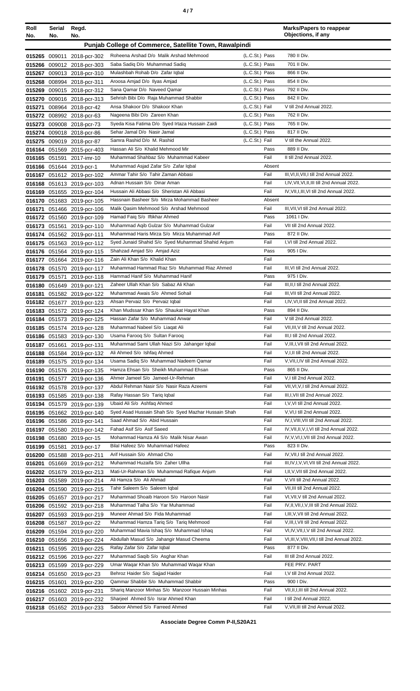|--|--|--|

| Roll<br>No. | Serial<br>No. | Regd.<br>No.                                             |                                                                                     |                                  | <b>Marks/Papers to reappear</b><br>Objections, if any                                     |
|-------------|---------------|----------------------------------------------------------|-------------------------------------------------------------------------------------|----------------------------------|-------------------------------------------------------------------------------------------|
|             |               |                                                          |                                                                                     |                                  |                                                                                           |
|             |               |                                                          | Punjab College of Commerce, Satellite Town, Rawalpindi                              |                                  |                                                                                           |
|             |               | 015265 009011 2018-pcr-302                               | Roheena Arshad D/o Malik Arshad Mehmood                                             | (L.C.St.) Pass                   | 780 II Div.                                                                               |
|             |               | 015266 009012 2018-pcr-303                               | Saba Sadig D/o Muhammad Sadig                                                       | (L.C.St.) Pass                   | 701 II Div.                                                                               |
|             |               | 015267 009013 2018-pcr-310                               | Mulashbah Rohab D/o Zafar Iqbal                                                     | (L.C.St.) Pass                   | 866 II Div.                                                                               |
|             |               | 015268 008994 2018-pcr-311                               | Aroosa Amjad D/o Ilyas Amjad                                                        | (L.C.St.) Pass                   | 854 II Div.                                                                               |
|             |               | 015269 009015 2018-pcr-312                               | Sana Qamar D/o Naveed Qamar                                                         | (L.C.St.) Pass                   | 792 II Div.                                                                               |
|             |               | 015270 009016 2018-pcr-313                               | Sehrish Bibi D/o Raja Muhammad Shabbir<br>Ansa Shakoor D/o Shakoor Khan             | (L.C.St.) Pass                   | 842 II Div.                                                                               |
| 015271      |               | 008964 2018-pcr-42                                       |                                                                                     | (L.C.St.) Fail                   | V till 2nd Annual 2022.<br>762 II Div.                                                    |
|             |               | 015272 008992 2018-pcr-63                                | Nageena Bibi D/o Zareen Khan<br>Syeda Kisa Fatima D/o Syed Irtaza Hussain Zaidi     | (L.C.St.) Pass<br>(L.C.St.) Pass | 765 II Div.                                                                               |
|             |               | 015273 009008 2018-pcr-73                                | Sehar Jamal D/o Nasir Jamal                                                         | (L.C.St.) Pass                   | 817 II Div.                                                                               |
|             |               | 015274 009018 2018-pcr-86                                | Samra Rashid D/o M. Rashid                                                          | (L.C.St.) Fail                   | V till the Annual 2022.                                                                   |
|             |               | 015275 009019 2018-pcr-87                                | Hassan Ali S/o Khalid Mehmood Mir                                                   | Pass                             | 889 II Div.                                                                               |
|             |               | 016164 051569 2015-pcr-403<br>016165 051591 2017-imr-10  | Muhammad Shahbaz S/o Muhammad Kabeer                                                | Fail                             | II till 2nd Annual 2022.                                                                  |
|             |               | 016166 051644 2019-pcr-1                                 | Muhammad Asjad Zafar S/o Zafar Iqbal                                                | Absent                           |                                                                                           |
|             |               | 016167 051612 2019-pcr-102                               | Ammar Tahir S/o Tahir Zaman Abbasi                                                  | Fail                             | III, VI, II, VII, I till 2nd Annual 2022.                                                 |
|             |               | 016168 051613 2019-pcr-103                               | Adnan Hussain S/o Dinar Aman                                                        | Fail                             | I, IV, VII, VI, II, III till 2nd Annual 2022.                                             |
|             |               | 016169 051655 2019-pcr-104                               | Hussain Ali Abbasi S/o Sheristan Ali Abbasi                                         | Fail                             | IV, VII, I, III, VI till 2nd Annual 2022.                                                 |
|             |               | 016170 051683 2019-pcr-105                               | Hassnain Basheer S/o Mirza Mohammad Basheer                                         | Absent                           |                                                                                           |
|             |               | 016171 051466 2019-pcr-106                               | Malik Qasim Mehmood S/o Arshad Mehmood                                              | Fail                             | III, VII, VI till 2nd Annual 2022.                                                        |
|             |               | 016172 051560 2019-pcr-109                               | Hamad Faig S/o Iftikhar Ahmed                                                       | Pass                             | 1061   Div.                                                                               |
|             |               | 016173 051561 2019-pcr-110                               | Muhammad Aqib Gulzar S/o Muhammad Gulzar                                            | Fail                             | VII till 2nd Annual 2022.                                                                 |
|             |               | 016174 051562 2019-pcr-111                               | Muhammad Haris Mirza S/o Mirza Muhammad Arif                                        | Pass                             | 872 II Div.                                                                               |
|             |               | 016175 051563 2019-pcr-112                               | Syed Junaid Shahid S/o Syed Muhammad Shahid Anjum                                   | Fail                             | I, VI till 2nd Annual 2022.                                                               |
|             |               | 016176 051564 2019-pcr-115                               | Shahzad Amjad S/o Amjad Aziz                                                        | Pass                             | 905   Div.                                                                                |
|             |               | 016177 051664 2019-pcr-116                               | Zain Ali Khan S/o Khalid Khan                                                       | Fail                             |                                                                                           |
|             |               | 016178 051570 2019-pcr-117                               | Muhammad Hammad Riaz S/o Muhammad Riaz Ahmed                                        | Fail                             | III, VI till 2nd Annual 2022.                                                             |
|             |               | 016179 051571 2019-pcr-118                               | Hammad Hanif S/o Muhammad Hanif                                                     | Pass                             | 975   Div.                                                                                |
|             |               | 016180 051649 2019-pcr-121                               | Zaheer Ullah Khan S/o Sabaz Ali Khan                                                | Fail                             | III, II, I till 2nd Annual 2022.                                                          |
|             |               | 016181 051582 2019-pcr-122                               | Muhammad Awais S/o Ahmed Sohail                                                     | Fail                             | III, VII till 2nd Annual 2022.                                                            |
|             |               | 016182 051677 2019-pcr-123                               | Ahsan Pervaiz S/o Pervaiz Iqbal                                                     | Fail                             | I, IV, VI, II till 2nd Annual 2022.                                                       |
|             |               | 016183 051572 2019-pcr-124                               | Khan Mudssar Khan S/o Shaukat Hayat Khan                                            | Pass                             | 894 II Div.                                                                               |
|             |               | 016184 051573 2019-pcr-125                               | Hassan Zafar S/o Muhammad Anwar                                                     | Fail                             | V till 2nd Annual 2022.                                                                   |
|             |               | 016185 051574 2019-pcr-128                               | Muhammad Nabeel S/o Liagat Ali                                                      | Fail                             | VII, III, V till 2nd Annual 2022.                                                         |
|             |               | 016186 051583 2019-pcr-130                               | Usama Faroog S/o Sultan Faroog                                                      | Fail                             | III,I till 2nd Annual 2022.                                                               |
|             |               | 016187 051661 2019-pcr-131                               | Muhammad Sami Ullah Niazi S/o Jahanger Iqbal                                        | Fail                             | V, III, I, VII till 2nd Annual 2022.                                                      |
|             |               | 016188 051584 2019-pcr-132                               | Ali Ahmed S/o Ishfaq Ahmed                                                          | Fail                             | V, I, II till 2nd Annual 2022.                                                            |
|             |               | 016189 051575 2019-pcr-134                               | Usama Sadiq S/o Muhammad Nadeem Qamar                                               | Fail                             | V, VII, I, IV till 2nd Annual 2022.                                                       |
|             |               | 016190 051576 2019-pcr-135                               | Hamza Ehsan S/o Sheikh Muhammad Ehsan                                               | Pass                             | 865 II Div.                                                                               |
|             |               | 016191 051577 2019-pcr-136                               | Ahmer Jameel S/o Jameel-Ur-Rehman                                                   | Fail                             | V,I till 2nd Annual 2022.                                                                 |
|             |               | 016192 051578 2019-pcr-137                               | Abdul Rehman Nasir S/o Nasir Raza Azeemi                                            | Fail                             | VII, VI, V, I till 2nd Annual 2022.                                                       |
|             |               | 016193 051585 2019-pcr-138                               | Rafay Hassan S/o Tariq Iqbal                                                        | Fail                             | III, I, VII till 2nd Annual 2022.                                                         |
|             |               | 016194 051579 2019-pcr-139                               | Ubaid Ali S/o Ashfaq Ahmed                                                          | Fail                             | I, V, VI till 2nd Annual 2022.                                                            |
|             |               | 016195 051662 2019-pcr-140                               | Syed Asad Hussain Shah S/o Syed Mazhar Hussain Shah                                 | Fail                             | V, VI, I till 2nd Annual 2022.                                                            |
|             |               | 016196 051586 2019-pcr-141                               | Saad Ahmad S/o Abid Hussain                                                         | Fail                             | IV, I, VIII, VII till 2nd Annual 2022.                                                    |
|             |               | 016197 051580 2019-pcr-142                               | Fahad Asif S/o Asif Saeed                                                           | Fail                             | IV, VII, II, V, I, VI till 2nd Annual 2022.                                               |
|             |               | 016198 051680 2019-pcr-15                                | Mohammad Hamza Ali S/o Malik Nisar Awan                                             | Fail                             | IV, V, VI, I, VII till 2nd Annual 2022.                                                   |
|             |               | 016199 051581 2019-pcr-17                                | Bilal Hafeez S/o Muhammad Hafeez                                                    | Pass                             | 823 II Div.                                                                               |
|             |               | 016200 051588 2019-pcr-211                               | Arif Hussain S/o Ahmad Cho                                                          | Fail                             | IV, VII, I till 2nd Annual 2022.                                                          |
|             |               | 016201 051669 2019-pcr-212                               | Muhammad Huzaifa S/o Zaher Ullha                                                    | Fail                             | III, IV, I, V, VI, VII till 2nd Annual 2022.                                              |
|             |               | 016202 051679 2019-pcr-213                               | Mati-Ur-Rahman S/o Muhammad Rafique Anjum                                           | Fail                             | I, II, V, VII till 2nd Annual 2022.                                                       |
|             |               | 016203 051589 2019-pcr-214                               | Ali Hamza S/o Ali Ahmad                                                             | Fail                             | V, VII till 2nd Annual 2022.                                                              |
|             |               | 016204 051590 2019-pcr-215                               | Tahir Saleem S/o Saleem Iqbal                                                       | Fail                             | VII, III till 2nd Annual 2022.                                                            |
|             |               | 016205 051657 2019-pcr-217                               | Muhammad Shoaib Haroon S/o Haroon Nasir<br>Muhammad Talha S/o Yar Muhammad          | Fail<br>Fail                     | VI, VII, V till 2nd Annual 2022.<br>IV, II, VII, I, V, III till 2nd Annual 2022.          |
|             |               | 016206 051592 2019-pcr-218                               | Muneer Ahmad S/o Fida Muhammad                                                      | Fail                             | I, III, V, VII till 2nd Annual 2022.                                                      |
|             |               | 016207 051593 2019-pcr-219                               |                                                                                     |                                  |                                                                                           |
|             |               | 016208 051587 2019-pcr-22                                | Muhammad Hamza Tariq S/o Tariq Mehmood                                              | Fail                             | V, III, I, VII till 2nd Annual 2022.                                                      |
|             |               | 016209 051594 2019-pcr-220                               | Muhammad Mavia Ishaq S/o Muhammad Ishaq<br>Abdullah Masud S/o Jahangir Masud Cheema | Fail<br>Fail                     | VI, IV, VII, I, V till 2nd Annual 2022.<br>VI, III, V, VIII, VII, I till 2nd Annual 2022. |
|             |               | 016210 051656 2019-pcr-224                               | Rafay Zafar S/o Zafar Iqbal                                                         | Pass                             | 877 II Div.                                                                               |
|             |               | 016211 051595 2019-pcr-225                               |                                                                                     |                                  | III till 2nd Annual 2022.                                                                 |
|             |               | 016212 051596 2019-pcr-227                               | Muhammad Saqib S/o Asghar Khan                                                      | Fail                             |                                                                                           |
|             |               | 016213 051599 2019-pcr-229                               | Umar Waqar Khan S/o Muhammad Waqar Khan                                             | Fail                             | FEE PRV. PART<br>I, V till 2nd Annual 2022.                                               |
|             |               | 016214 051650 2019-pcr-23                                | Behroz Haider S/o Sajjad Haider<br>Qammar Shabbir S/o Muhammad Shabbir              | Pass                             | 900 I Div.                                                                                |
|             |               | 016215 051601 2019-pcr-230                               | Shariq Manzoor Minhas S/o Manzoor Hussain Minhas                                    | Fail                             | VII, II, I, III till 2nd Annual 2022.                                                     |
|             |               | 016216 051602 2019-pcr-231                               | Sharjeel Ahmed S/o Israr Ahmed Khan                                                 | Fail                             | I till 2nd Annual 2022.                                                                   |
|             |               | 016217 051603 2019-pcr-232<br>016218 051652 2019-pcr-233 | Saboor Ahmed S/o Farreed Ahmed                                                      | Fail                             | V, VII, III till 2nd Annual 2022.                                                         |
|             |               |                                                          |                                                                                     |                                  |                                                                                           |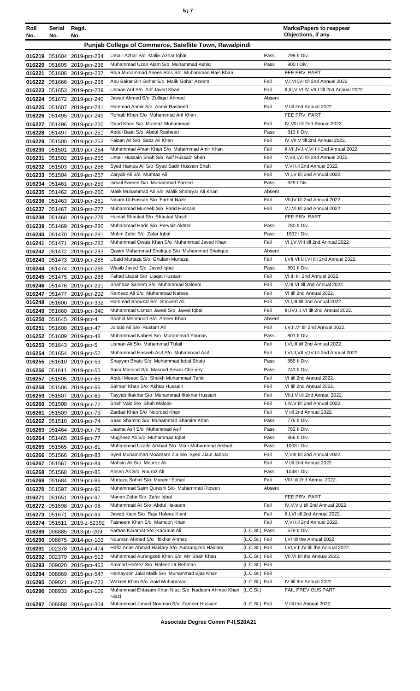| Roll<br>No. | Serial<br>No. | Regd.<br>No.                                             |                                                                                     |                                  | <b>Marks/Papers to reappear</b><br>Objections, if any                                  |
|-------------|---------------|----------------------------------------------------------|-------------------------------------------------------------------------------------|----------------------------------|----------------------------------------------------------------------------------------|
|             |               |                                                          | Punjab College of Commerce, Satellite Town, Rawalpindi                              |                                  |                                                                                        |
|             |               | 016219 051604 2019-pcr-234                               | Umair Azhar S/o Maliik Azhar Iqbal                                                  | Pass                             | 798 II Div.                                                                            |
|             |               | 016220 051605 2019-pcr-236                               | Muhammad Uzair Alam S/o Muhammad Ashiq                                              | Pass                             | 900 I Div.                                                                             |
|             |               | 016221 051606 2019-pcr-237                               | Raja Muhammad Anees Rais S/o Muhammad Rais Khan                                     |                                  | FEE PRV. PART                                                                          |
|             |               | 016222 051666 2019-pcr-238                               | Abu Bakar Bin Gohar S/o Malik Gohar Azeem<br>Usman Arif S/o Arif Javed Khan         | Fail<br>Fail                     | V,I, VII, VI till 2nd Annual 2022.<br>II, III, V, VI, IV, VII, I till 2nd Annual 2022. |
|             |               | 016223 051653 2019-pcr-239<br>016224 051672 2019-pcr-240 | Jawad Ahmed S/o Zulfigar Ahmed                                                      | Absent                           |                                                                                        |
|             |               | 016225 051607 2019-pcr-241                               | Hammad Aamir S/o Aamir Rasheed                                                      | Fail                             | V till 2nd Annual 2022.                                                                |
|             |               | 016226 051495 2019-pcr-249                               | Rohaib Khan S/o Muhammad Arif Khan                                                  |                                  | FEE PRV. PART                                                                          |
|             |               | 016227 051496 2019-pcr-250                               | Daud Khan S/o Mumtaz Muhammad                                                       | Fail                             | IV, VIII till 2nd Annual 2022.                                                         |
|             |               | 016228 051497 2019-pcr-251<br>016229 051500 2019-pcr-253 | Abdul Basit S/o Abdul Rasheed<br>Faizan Ali S/o Sabz Ali Khan                       | Pass<br>Fail                     | 813 II Div.<br>IV, VII, V till 2nd Annual 2022.                                        |
|             | 016230 051501 | 2019-pcr-254                                             | Muhammad Afnan Khan S/o Muhammad Amir Khan                                          | Fail                             | II, VII, IV, I, V, VI till 2nd Annual 2022.                                            |
|             |               | 016231 051502 2019-pcr-255                               | Umair Hussain Shah S/o Asif Hussain Shah                                            | Fail                             | V, VII, I, VI till 2nd Annual 2022.                                                    |
|             |               | 016232 051503 2019-pcr-256                               | Syed Hamza Ali S/o Syed Sadir Hussain Shah                                          | Fail                             | V, VI till 2nd Annual 2022.                                                            |
|             |               | 016233 051504 2019-pcr-257                               | Zaryab Ali S/o Mumtaz Ali                                                           | Fail                             | VI,I, V till 2nd Annual 2022.                                                          |
|             |               | 016234 051461 2019-pcr-259                               | Ismail Fareed S/o Muhammad Fareed<br>Malik Muhammad Ali S/o Malik Shahryar Ali Khan | Pass                             | 929 I Div.                                                                             |
|             |               | 016235 051462 2019-pcr-260<br>016236 051463 2019-pcr-261 | Najam-Ul-Hassan S/o Farhat Nazir                                                    | Absent<br>Fail                   | VII.IV till 2nd Annual 2022.                                                           |
|             |               | 016237 051467 2019-pcr-277                               | Muhammad Muneeb S/o Farid Hussain                                                   | Fail                             | V,I,VI till 2nd Annual 2022.                                                           |
|             |               | 016238 051468 2019-pcr-279                               | Humail Shaukat S/o Shaukat Masih                                                    |                                  | FEE PRV. PART                                                                          |
|             |               | 016239 051469 2019-pcr-280                               | Muhammad Haris S/o Pervaiz Akhter                                                   | Pass                             | 780 II Div.                                                                            |
|             |               | 016240 051470 2019-pcr-281                               | Mobin Zafar S/o Zafar Iqbal                                                         | Pass                             | 1002 I Div.                                                                            |
|             |               | 016241 051471 2019-pcr-282                               | Muhammad Owais Khan S/o Muhammad Javed Khan                                         | Fail<br>Absent                   | VI,I, V, VIII till 2nd Annual 2022.                                                    |
|             |               | 016242 051472 2019-pcr-283<br>016243 051473 2019-pcr-285 | Qasim Muhammad Shafique S/o Muhammad Shafique<br>Ubaid Murtaza S/o Ghulam Murtaza   | Fail                             | I, VII, VIII, II, VI till 2nd Annual 2022.                                             |
|             |               | 016244 051474 2019-pcr-286                               | Wasib Javed S/o Javed Iqbal                                                         | Pass                             | 801 II Div.                                                                            |
|             |               | 016245 051475 2019-pcr-288                               | Fahad Liaqat S/o Liaqat Hussain                                                     | Fail                             | VI, III till 2nd Annual 2022.                                                          |
|             |               | 016246 051476 2019-pcr-291                               | Shahbaz Saleem S/o Muhammad Saleem                                                  | Fail                             | V, III, VI till 2nd Annual 2022.                                                       |
|             |               | 016247 051477 2019-pcr-292                               | Rameez Ali S/o Muhammad Nafees                                                      | Fail                             | VI till 2nd Annual 2022.                                                               |
|             |               | 016248 051600 2019-pcr-332                               | Hammad Shoukat S/o Shoukat Ali<br>Muhammad Usman Javed S/o Javed Iqbal              | Fail<br>Fail                     | VI, I, III till 2nd Annual 2022.<br>III, IV, II, I, VI till 2nd Annual 2022.           |
|             |               | 016249 051660 2019-pcr-340<br>016250 051645 2019-pcr-4   | Shahid Mehmood S/o Ameer Khan                                                       | Absent                           |                                                                                        |
|             |               | 016251 051608 2019-pcr-47                                | Junaid Ali S/o Rustam Ali                                                           | Fail                             | I, V, II, VI till 2nd Annual 2022.                                                     |
|             |               | 016252 051609 2019-pcr-48                                | Muhammad Nabeel S/o Muhammad Younas                                                 | Pass                             | 801 II Div.                                                                            |
|             |               | 016253 051643 2019-pcr-5                                 | Usman Ali S/o Muhammad Tufail                                                       | Fail                             | I, VI, III till 2nd Annual 2022.                                                       |
|             |               | 016254 051654 2019-pcr-52                                | Muhammad Haseeb Asif S/o Muhammad Asif                                              | Fail                             | I, VI, II, VII, V, IV till 2nd Annual 2022.                                            |
|             |               | 016255 051610 2019-pcr-53<br>016256 051611 2019-pcr-55   | Shayyan Bhatti S/o Muhammad Iqbal Bhatti<br>Saim Masood S/o Masood Anwar Choudry    | Pass<br>Pass                     | 855 II Div.<br>743 II Div.                                                             |
|             |               | 016257 051505 2019-pcr-65                                | Abdul Moeed S/o Sheikh Muhammad Tahir                                               | Fail                             | VI till 2nd Annual 2022.                                                               |
|             |               | 016258 051506 2019-pcr-66                                | Salman Khan S/o Akhtar Hussain                                                      | Fail                             | VI till 2nd Annual 2022.                                                               |
|             |               | 016259 051507 2019-pcr-69                                | Tayyab Iftakhar S/o Muhammad Iftakhar Hussain                                       | Fail                             | VII, I, V till 2nd Annual 2022.                                                        |
|             |               | 016260 051508 2019-pcr-72                                | Shah Vaiz S/o Shah Malook                                                           | Fail                             | I,IV, V till 2nd Annual 2022.                                                          |
|             |               | 016261 051509 2019-pcr-73                                | Zardad Khan S/o Noordad Khan<br>Saad Shamim S/o Muhammad Shamim Khan                | Fail                             | V till 2nd Annual 2022.<br>776 II Div.                                                 |
|             |               | 016262 051510 2019-pcr-74<br>016263 051464 2019-pcr-76   | Usama Asif S/o Muhammad Asif                                                        | Pass<br>Pass                     | 782 II Div.                                                                            |
|             |               | 016264 051465 2019-pcr-77                                | Mugheez Ali S/o Muhammad Iqbal                                                      | Pass                             | 866 II Div.                                                                            |
|             |               | 016265 051565 2019-pcr-81                                | Muhammad Uzaifa Arshad S/o Mian Muhammad Arshad                                     | Pass                             | 1008 I Div.                                                                            |
|             |               | 016266 051566 2019-pcr-83                                | Syed Muhammad Moazzam Zia S/o Syed Ziaul Jabbar                                     | Fail                             | V, VIII till 2nd Annual 2022.                                                          |
|             |               | 016267 051567 2019-pcr-84                                | Mohsin Ali S/o Mouroz Ali                                                           | Fail                             | V till 2nd Annual 2022.                                                                |
|             |               | 016268 051568 2019-pcr-85                                | Ahsen Ali S/o Nouroz Ali<br>Murtaza Sohail S/o Murahir Sohail                       | Pass<br>Fail                     | 1048 I Div.<br>VIII till 2nd Annual 2022.                                              |
|             |               | 016269 051684 2019-pcr-86<br>016270 051597 2019-pcr-96   | Muhammad Saim Qureshi S/o Muhammad Rizwan                                           | Absent                           |                                                                                        |
|             | 016271 051651 | 2019-pcr-97                                              | Manan Zafar S/o Zafar Iqbal                                                         |                                  | FEE PRV. PART                                                                          |
|             |               | 016272 051598 2019-pcr-98                                | Muhammad Ali S/o Abdul Hakeem                                                       | Fail                             | IV, V, VI, I till 2nd Annual 2022.                                                     |
|             | 016273 051671 | 2019-pcr-99                                              | Jawad Kiani S/o Raja Hafeez Kiani                                                   | Fail                             | II, I, VI till 2nd Annual 2022.                                                        |
|             |               | 016274 051511 2019-z-52392                               | Tasneem Khan S/o Mamoon Khan                                                        | Fail                             | V, VI till 2nd Annual 2022.                                                            |
|             |               | 016289 008885 2013-ptr-209                               | Farhan Karamat S/o Karamat Ali<br>Nouman Ahmed S/o Iftikhar Ahmed                   | (L.C.St.) Pass<br>(L.C.St.) Fail | 679 II Div.<br>I, VI till the Annual 2022.                                             |
|             |               | 016290 008875 2014-pcr-103<br>016291 002378 2014-pcr-474 | Hafiz Anas Ahmad Haidary S/o Auraungzeb Haidary                                     | (L.C.St.) Fail                   | I, VI, V, II, IV till the Annual 2022.                                                 |
|             |               | 016292 002379 2014-pcr-513                               | Muhammad Aurangzeb Khan S/o Mir Shah Khan                                           | (L.C.St.) Fail                   | VII, VI till the Annual 2022.                                                          |
|             |               | 016293 009020 2015-pcr-463                               | Ammad Hafeez S/o Hafeez Ur Rehman                                                   | (L.C.St.) Fail                   |                                                                                        |
|             |               | 016294 008869 2015-pcr-547                               | Hamayoon Jalal Malik S/o Muhammad Ejaz Khan                                         | (L.C.St.) Fail                   |                                                                                        |
|             | 016295 009021 | 2015-pcr-723                                             | Wakeel Khan S/o Said Muhammad                                                       | (L.C.St.) Fail                   | IV till the Annual 2022.                                                               |
|             |               | 016296 008933 2016-pcr-109                               | Muhammad Ehtasam Khan Niazi S/o Nadeem Ahmed Khan (L.C.St.)<br>Niazi                |                                  | <b>FAIL PREVIOUS PART</b>                                                              |
|             |               | 016297 008888 2016-pcr-304                               | Muhammad Junaid Nouman S/o Zameer Hussain                                           | (L.C.St.) Fail                   | V till the Annual 2022.                                                                |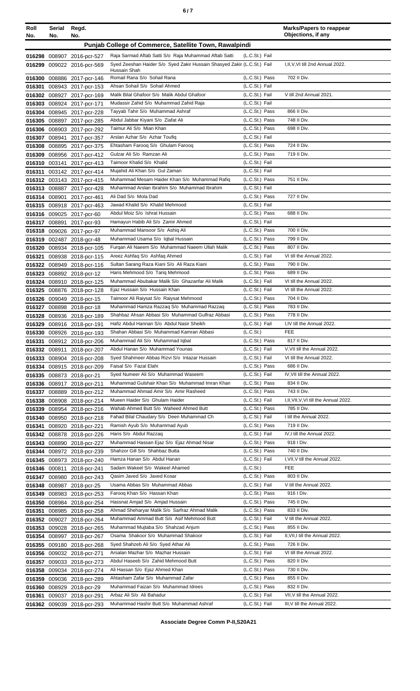| Roll                                                                        | <b>Serial</b> | Regd.                                                    |                                                                                               |                                  | <b>Marks/Papers to reappear</b><br>Objections, if any        |
|-----------------------------------------------------------------------------|---------------|----------------------------------------------------------|-----------------------------------------------------------------------------------------------|----------------------------------|--------------------------------------------------------------|
| No.<br>No.<br>No.<br>Punjab College of Commerce, Satellite Town, Rawalpindi |               |                                                          |                                                                                               |                                  |                                                              |
|                                                                             |               |                                                          | Raja Sarmad Aftab Satti S/o Raja Muhammad Aftab Satti                                         | (L.C.St.) Fail                   |                                                              |
|                                                                             |               | 016298 008907 2016-pcr-527<br>016299 009022 2016-pcr-569 | Syed Zeeshan Haider S/o Syed Zakir Hussain Shasyed Zakir (L.C.St.) Fail                       |                                  | I, II, V, VI till 2nd Annual 2022.                           |
|                                                                             |               |                                                          | Hussain Shah                                                                                  |                                  |                                                              |
|                                                                             |               | 016300 008886 2017-pcr-146                               | Romail Rana S/o Sohail Rana                                                                   | (L.C.St.) Pass                   | 702 II Div.                                                  |
| 016301                                                                      |               | 008943 2017-pcr-153                                      | Ahsan Sohail S/o Sohail Ahmed                                                                 | (L.C.St.) Fail                   |                                                              |
|                                                                             |               | 016302 008927 2017-pcr-169                               | Malik Bilal Ghafoor S/o Malik Abdul Ghafoor<br>Mudassir Zahid S/o Muhammad Zahid Raja         | (L.C.St.) Fail<br>(L.C.St.) Fail | V till 2nd Annual 2021.                                      |
|                                                                             |               | 016303 008924 2017-pcr-171<br>016304 008945 2017-pcr-228 | Tayyab Tahir S/o Muhammad Ashraf                                                              | (L.C.St.) Pass                   | 866 II Div.                                                  |
|                                                                             |               | 016305 008897 2017-pcr-285                               | Abdul Jabbar Kiyani S/o Ziafat Ali                                                            | (L.C.St.) Pass                   | 748 II Div.                                                  |
|                                                                             |               | 016306 008903 2017-pcr-292                               | Taimur Ali S/o Mian Khan                                                                      | (L.C.St.) Pass                   | 698 II Div.                                                  |
|                                                                             |               | 016307 008941 2017-pcr-357                               | Arslan Azhar S/o Azhar Toufiq                                                                 | (L.C.St.) Fail                   |                                                              |
|                                                                             |               | 016308 008895 2017-pcr-375                               | Ehtasham Faroog S/o Ghulam Faroog                                                             | (L.C.St.) Pass                   | 724 II Div.                                                  |
|                                                                             |               | 016309 008956 2017-pcr-412                               | Gulzar Ali S/o Ramzan Ali                                                                     | (L.C.St.) Pass                   | 719 II Div.                                                  |
|                                                                             |               | 016310 003141 2017-pcr-413                               | Taimoor Khalid S/o Khalid                                                                     | (L.C.St.) Fail                   |                                                              |
|                                                                             |               | 016311 003142 2017-pcr-414                               | Mujahid Ali Khan S/o Gul Zaman                                                                | (L.C.St.) Fail                   | 751 II Div.                                                  |
|                                                                             |               | 016312 003143 2017-pcr-415                               | Muhammad Mesam Haider Khan S/o Muhammad Rafiq<br>Muhammad Arslan Ibrahim S/o Muhammad Ibrahim | (L.C.St.) Pass<br>(L.C.St.) Fail |                                                              |
|                                                                             |               | 016313 008887 2017-pcr-428<br>016314 008901 2017-pcr-461 | Ali Dad S/o Mola Dad                                                                          | (L.C.St.) Pass                   | 727 II Div.                                                  |
|                                                                             |               | 016315 008918 2017-pcr-463                               | Jawad Khalid S/o Khalid Mehmood                                                               | (L.C.St.) Fail                   |                                                              |
|                                                                             |               | 016316 009025 2017-pcr-60                                | Abdul Moiz S/o Ishrat Hussain                                                                 | (L.C.St.) Pass                   | 688 II Div.                                                  |
|                                                                             |               | 016317 008891 2017-pcr-93                                | Hamayun Habib Ali S/o Zamir Ahmed                                                             | (L.C.St.) Fail                   |                                                              |
|                                                                             |               | 016318 009026 2017-pcr-97                                | Muhammad Mansoor S/o Ashiq Ali                                                                | (L.C.St.) Pass                   | 700 II Div.                                                  |
|                                                                             |               | 016319 002487 2018-gcr-48                                | Muhammad Usama S/o Iqbal Hussain                                                              | (L.C.St.) Pass                   | 799 II Div.                                                  |
|                                                                             |               | 016320 008934 2018-pcr-105                               | Furgan Ali Naeem S/o Muhammad Naeem Ullah Malik                                               | (L.C.St.) Pass                   | 807 II Div.                                                  |
|                                                                             |               | 016321 008938 2018-pcr-115                               | Areez Ashfaq S/o Ashfaq Ahmed                                                                 | (L.C.St.) Fail                   | VI till the Annual 2022.                                     |
|                                                                             |               | 016322 008949 2018-pcr-116                               | Sultan Sarang Raza Kiani S/o Ali Raza Kiani<br>Haris Mehmood S/o Tariq Mehmood                | (L.C.St.) Pass<br>(L.C.St.) Pass | 790 II Div.<br>689 II Div.                                   |
|                                                                             |               | 016323 008892 2018-pcr-12<br>016324 008910 2018-pcr-125  | Muhammad Abubakar Malik S/o Ghazanfar Ali Malik                                               | (L.C.St.) Fail                   | VI till the Annual 2022.                                     |
| 016325                                                                      |               | 008876 2018-pcr-128                                      | Ejaz Hussain S/o Hussain Khan                                                                 | (L.C.St.) Fail                   | VI till the Annual 2022.                                     |
|                                                                             |               | 016326 009049 2018-pcr-15                                | Taimoor Ali Raiysat S/o Raiysat Mehmood                                                       | (L.C.St.) Pass                   | 704 II Div.                                                  |
|                                                                             |               | 016327 008898 2018-pcr-18                                | Muhammad Hamza Razzaq S/o Muhammad Razzaq                                                     | (L.C.St.) Pass                   | 783 II Div.                                                  |
|                                                                             |               | 016328 008936 2018-pcr-189                               | Shahbaz Ahsan Abbasi S/o Muhammad Gulfraz Abbasi                                              | (L.C.St.) Pass                   | 778 II Div.                                                  |
|                                                                             |               | 016329 008916 2018-pcr-191                               | Hafiz Abdul Hannan S/o Abdul Nasir Sheikh                                                     | (L.C.St.) Fail                   | I.IV till the Annual 2022.                                   |
|                                                                             |               | 016330 008926 2018-pcr-193                               | Shahan Abbasi S/o Muhammad Kamran Abbasi                                                      | (L.C.St.)                        | FEE                                                          |
|                                                                             |               | 016331 008912 2018-pcr-206                               | Muhammad Ali S/o Muhammad Iqbal                                                               | (L.C.St.) Pass                   | 817 II Div.                                                  |
|                                                                             |               | 016332 008911 2018-pcr-207                               | Abdul Hanan S/o Muhammad Younas<br>Syed Shahmeer Abbas Rizvi S/o Intazar Hussain              | (L.C.St.) Fail<br>(L.C.St.) Fail | V, VII till the Annual 2022.<br>VI till the Annual 2022.     |
|                                                                             |               | 016333 008904 2018-pcr-208<br>016334 008915 2018-pcr-209 | Faisal S/o Fazal Elahi                                                                        | (L.C.St.) Pass                   | 686 II Div.                                                  |
|                                                                             |               | 016335 008873 2018-pcr-21                                | Syed Numeer Ali S/o Muhammad Waseem                                                           | (L.C.St.) Fail                   | IV, VII till the Annual 2022.                                |
|                                                                             |               | 016336 008917 2018-pcr-211                               | Muhammad Gulshair Khan S/o Muhammad Imran Khan                                                | (L.C.St.) Pass                   | 834 II Div.                                                  |
| 016337                                                                      |               | 008889 2018-pcr-212                                      | Muhammad Ahmad Amir S/o Amir Rasheed                                                          | (L.C.St.) Pass                   | 743 II Div.                                                  |
| 016338                                                                      |               | 008908 2018-pcr-214                                      | Mueen Haider S/o Ghulam Haider                                                                | (L.C.St.) Fail                   | I, II, VII, V, VI till the Annual 2022.                      |
|                                                                             |               | 016339 008954 2018-pcr-216                               | Wahab Ahmed Butt S/o Waheed Ahmed Butt                                                        | (L.C.St.) Pass                   | 785 II Div.                                                  |
| 016340                                                                      |               | 008950 2018-pcr-218                                      | Fahad Bilal Chaudary S/o Deen Muhammad Ch                                                     | (L.C.St.) Fail                   | I till the Annual 2022.                                      |
| 016341                                                                      |               | 008920 2018-pcr-221                                      | Ramish Ayub S/o Muhammad Ayub                                                                 | (L.C.St.) Pass<br>(L.C.St.) Fail | 719 II Div.<br>IV,I till the Annual 2022.                    |
|                                                                             |               | 016342 008878 2018-pcr-226                               | Haris S/o Abdul Razzaq<br>Muhammad Hassan Ejaz S/o Ejaz Ahmad Nisar                           | (L.C.St.) Pass                   | 918   Div.                                                   |
|                                                                             |               | 016343 008890 2018-pcr-227<br>016344 008972 2018-pcr-239 | Shahzor Gill S/o Shahbaz Butta                                                                | (L.C.St.) Pass                   | 740 II Div.                                                  |
|                                                                             |               | 016345 008973 2018-pcr-240                               | Hamza Hanan S/o Abdul Hanan                                                                   | (L.C.St.) Fail                   | I, VII, V till the Annual 2022.                              |
|                                                                             |               | 016346 000811 2018-pcr-241                               | Sadam Wakeel S/o Wakeel Ahamed                                                                | (L.C.St.)                        | <b>FEE</b>                                                   |
|                                                                             |               | 016347 008980 2018-pcr-243                               | Qasim Javed S/o Javed Kosar                                                                   | (L.C.St.) Pass                   | 803 II Div.                                                  |
|                                                                             |               | 016348 008987 2018-pcr-25                                | Usama Abbas S/o Muhammad Abbas                                                                | (L.C.St.) Fail                   | V till the Annual 2022.                                      |
| 016349                                                                      |               | 008983 2018-pcr-253                                      | Faroog Khan S/o Hassan Khan                                                                   | (L.C.St.) Pass                   | 916   Div.                                                   |
| 016350                                                                      |               | 008984 2018-pcr-254                                      | Hassnat Amjad S/o Amjad Hussain                                                               | (L.C.St.) Pass                   | 745 II Div.                                                  |
| 016351                                                                      |               | 008985 2018-pcr-258                                      | Ahmad Sheharyar Malik S/o Sarfraz Ahmad Malik<br>Muhammad Ammad Butt S/o Asif Mehmood Butt    | (L.C.St.) Pass<br>(L.C.St.) Fail | 833 II Div.<br>V till the Annual 2022.                       |
| 016353                                                                      |               | 016352 009027 2018-pcr-264<br>009028 2018-pcr-265        | Muhammad Mujtaba S/o Shahzad Anjum                                                            | (L.C.St.) Pass                   | 855 II Div.                                                  |
|                                                                             |               | 016354 008997 2018-pcr-267                               | Osama Shakoor S/o Muhammad Shakoor                                                            | (L.C.St.) Fail                   | II, VII, I till the Annual 2022.                             |
|                                                                             |               | 016355 009180 2018-pcr-268                               | Syed Shahzeb Ali S/o Syed Athar Ali                                                           | (L.C.St.) Pass                   | 726 II Div.                                                  |
|                                                                             |               | 016356 009032 2018-pcr-271                               | Arsalan Mazhar S/o Mazhar Hussain                                                             | (L.C.St.) Fail                   | VI till the Annual 2022.                                     |
| 016357                                                                      |               | 009033 2018-pcr-273                                      | Abdul Haseeb S/o Zahid Mehmood Butt                                                           | (L.C.St.) Pass                   | 820 II Div.                                                  |
| 016358                                                                      |               | 009034 2018-pcr-274                                      | Ali Hassan S/o Ejaz Ahmed Khan                                                                | (L.C.St.) Pass                   | 730 II Div.                                                  |
| 016359                                                                      |               | 009036 2018-pcr-289                                      | Ahtasham Zafar S/o Muhammad Zafar                                                             | (L.C.St.) Pass                   | 855 II Div.                                                  |
| 016360                                                                      |               | 008929 2018-pcr-29                                       | Muhammad Faizan S/o Muhammad Idrees                                                           | (L.C.St.) Pass                   | 832 II Div.                                                  |
| 016361                                                                      |               | 009037 2018-pcr-291                                      | Arbaz Ali S/o Ali Bahadur<br>Muhammad Hashir Butt S/o Muhammad Ashraf                         | (L.C.St.) Fail<br>(L.C.St.) Fail | VII, V till the Annual 2022.<br>III, V till the Annual 2022. |
|                                                                             |               | 016362 009039 2018-pcr-293                               |                                                                                               |                                  |                                                              |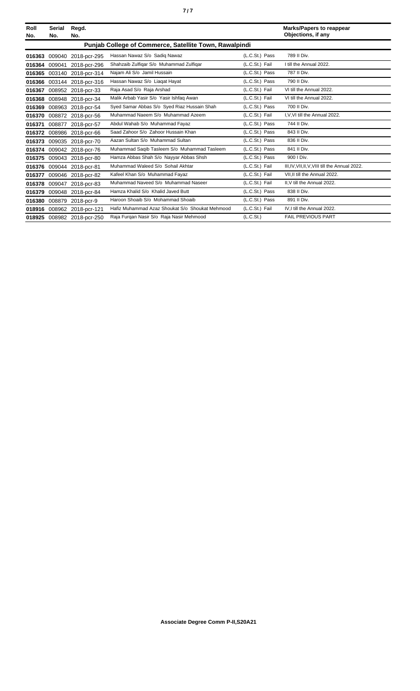| Roll<br>No.                                            | <b>Serial</b><br>No. | Regd.<br>No.               |                                                 |                | <b>Marks/Papers to reappear</b><br>Objections, if any |  |  |
|--------------------------------------------------------|----------------------|----------------------------|-------------------------------------------------|----------------|-------------------------------------------------------|--|--|
| Punjab College of Commerce, Satellite Town, Rawalpindi |                      |                            |                                                 |                |                                                       |  |  |
| 016363                                                 | 009040               | 2018-pcr-295               | Hassan Nawaz S/o Sadiq Nawaz                    | (L.C.St.) Pass | 789 II Div.                                           |  |  |
| 016364                                                 | 009041               | 2018-pcr-296               | Shahzaib Zulfigar S/o Muhammad Zulfigar         | (L.C.St.) Fail | I till the Annual 2022.                               |  |  |
|                                                        |                      | 016365 003140 2018-pcr-314 | Najam Ali S/o Jamil Hussain                     | (L.C.St.) Pass | 787 II Div.                                           |  |  |
|                                                        |                      | 016366 003144 2018-pcr-316 | Hassan Nawaz S/o Liagat Hayat                   | (L.C.St.) Pass | 790 II Div.                                           |  |  |
| 016367                                                 |                      | 008952 2018-pcr-33         | Raja Asad S/o Raja Arshad                       | (L.C.St.) Fail | VI till the Annual 2022.                              |  |  |
| 016368                                                 | 008948               | 2018-pcr-34                | Malik Arbab Yasir S/o Yasir Ishfaq Awan         | (L.C.St.) Fail | VI till the Annual 2022.                              |  |  |
| 016369                                                 |                      | 008963 2018-pcr-54         | Syed Samar Abbas S/o Syed Riaz Hussain Shah     | (L.C.St.) Pass | 700 II Div.                                           |  |  |
| 016370                                                 |                      | 008872 2018-pcr-56         | Muhammad Naeem S/o Muhammad Azeem               | (L.C.St.) Fail | I.V.VI till the Annual 2022.                          |  |  |
| 016371                                                 | 008877               | 2018-pcr-57                | Abdul Wahab S/o Muhammad Fayaz                  | (L.C.St.) Pass | 744 II Div.                                           |  |  |
|                                                        | 016372 008986        | 2018-pcr-66                | Saad Zahoor S/o Zahoor Hussain Khan             | (L.C.St.) Pass | 843 II Div.                                           |  |  |
|                                                        |                      | 016373 009035 2018-pcr-70  | Aazan Sultan S/o Muhammad Sultan                | (L.C.St.) Pass | 836 II Div.                                           |  |  |
|                                                        |                      | 016374 009042 2018-pcr-76  | Muhammad Saqib Tasleem S/o Muhammad Tasleem     | (L.C.St.) Pass | 841 II Div.                                           |  |  |
|                                                        |                      | 016375 009043 2018-pcr-80  | Hamza Abbas Shah S/o Nayyar Abbas Shsh          | (L.C.St.) Pass | 900 I Div.                                            |  |  |
|                                                        |                      | 016376 009044 2018-pcr-81  | Muhammad Waleed S/o Sohail Akhtar               | (L.C.St.) Fail | III, IV, VII, II, V, VIII till the Annual 2022.       |  |  |
| 016377                                                 | 009046               | 2018-pcr-82                | Kafeel Khan S/o Muhammad Fayaz                  | (L.C.St.) Fail | VII.II till the Annual 2022.                          |  |  |
| 016378                                                 | 009047               | 2018-pcr-83                | Muhammad Naveed S/o Muhammad Naseer             | (L.C.St.) Fail | II.V till the Annual 2022.                            |  |  |
| 016379                                                 |                      | 009048 2018-pcr-84         | Hamza Khalid S/o Khalid Javed Butt              | (L.C.St.) Pass | 838 II Div.                                           |  |  |
|                                                        |                      | 016380 008879 2018-pcr-9   | Haroon Shoaib S/o Mohammad Shoaib               | (L.C.St.) Pass | 891 II Div.                                           |  |  |
| 018916                                                 | 008962               | 2018-pcr-121               | Hafiz Muhammad Azaz Shoukat S/o Shoukat Mehmood | (L.C.St.) Fail | IV.I till the Annual 2022.                            |  |  |
|                                                        |                      | 018925 008982 2018-pcr-250 | Raja Furgan Nasir S/o Raja Nasir Mehmood        | (L.C.St.)      | <b>FAIL PREVIOUS PART</b>                             |  |  |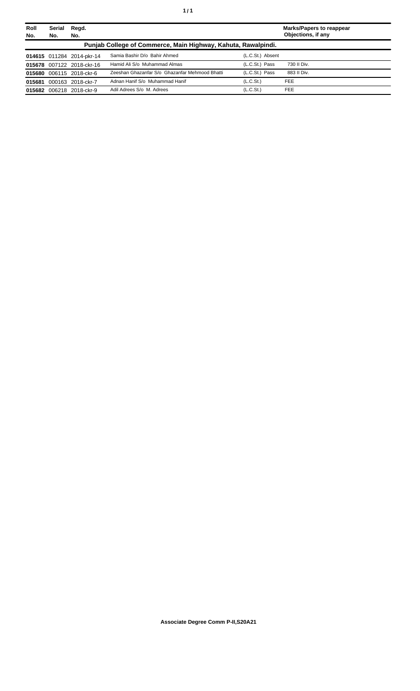| Roll<br>No. | <b>Serial</b><br>No. | Regd.<br>No.              |                                                               |                       | <b>Marks/Papers to reappear</b><br>Objections, if any |
|-------------|----------------------|---------------------------|---------------------------------------------------------------|-----------------------|-------------------------------------------------------|
|             |                      |                           | Punjab College of Commerce, Main Highway, Kahuta, Rawalpindi. |                       |                                                       |
|             |                      | 014615 011284 2014-pkr-14 | Samia Bashir D/o Bahir Ahmed                                  | (L.C.St.) Absent      |                                                       |
|             |                      | 015678 007122 2018-ckr-16 | Hamid Ali S/o Muhammad Almas                                  | (L.C.St.) Pass        | 730 II Div.                                           |
|             |                      | 015680 006115 2018-ckr-6  | Zeeshan Ghazanfar S/o Ghazanfar Mehmood Bhatti                | (L.C.St.) Pass        | 883 II Div.                                           |
| 015681      |                      | 000163 2018-ckr-7         | Adnan Hanif S/o Muhammad Hanif                                | (L.C.S <sub>t</sub> ) | <b>FEE</b>                                            |
|             |                      | 015682 006218 2018-ckr-9  | Adil Adrees S/o M. Adrees                                     | (L.C.S <sub>t</sub> ) | <b>FEE</b>                                            |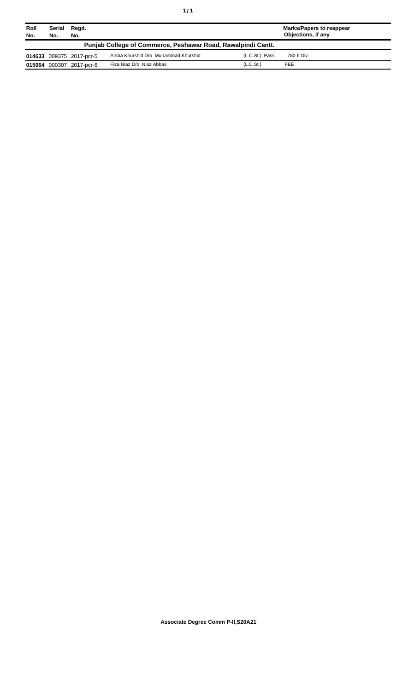| Roll<br>No. | Serial<br>No.                                                | Regd.<br>No.             |                                      |                       | <b>Marks/Papers to reappear</b><br>Objections, if any |  |  |  |
|-------------|--------------------------------------------------------------|--------------------------|--------------------------------------|-----------------------|-------------------------------------------------------|--|--|--|
|             | Punjab College of Commerce, Peshawar Road, Rawalpindi Cantt. |                          |                                      |                       |                                                       |  |  |  |
|             |                                                              | 014633 009375 2017-pcr-5 | Arsha Khurshid D/o Muhammad Khurshid | (L.C.St.) Pass        | 780 II Div.                                           |  |  |  |
|             |                                                              | 015064 000307 2017-pcr-6 | Fiza Niaz D/o Niaz Abbas             | (L.C.S <sub>t</sub> ) | <b>FEE</b>                                            |  |  |  |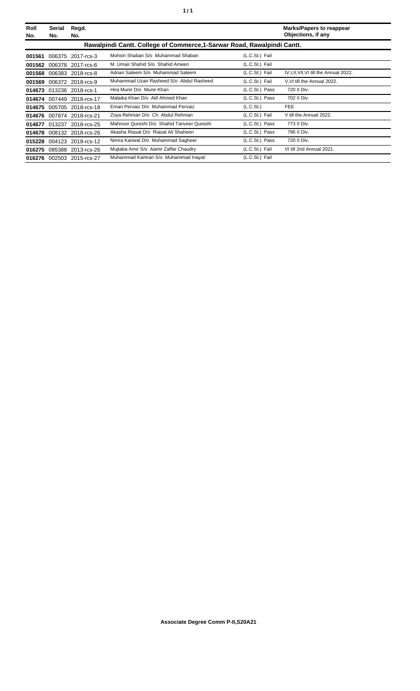| Roll<br>No. | <b>Serial</b><br>No. | Regd.<br>No.              |                                                                         |                | <b>Marks/Papers to reappear</b><br>Objections, if any |
|-------------|----------------------|---------------------------|-------------------------------------------------------------------------|----------------|-------------------------------------------------------|
|             |                      |                           | Rawalpindi Cantt. College of Commerce, 1-Sarwar Road, Rawalpindi Cantt. |                |                                                       |
| 001561      | 006375               | 2017-rcs-3                | Mohsin Shaban S/o Muhammad Shaban                                       | (L.C.St.) Fail |                                                       |
| 001562      |                      | 006378 2017-rcs-6         | M. Umair Shahid S/o Shahid Ameen                                        | (L.C.St.) Fail |                                                       |
|             |                      | 001568 006383 2018-rcs-8  | Adnan Saleem S/o Muhammad Saleem                                        | (L.C.St.) Fail | IV, I, II, VII, VI till the Annual 2022.              |
| 001569      |                      | 006372 2018-rcs-9         | Muhammad Uzair Rasheed S/o Abdul Rasheed                                | (L.C.St.) Fail | V.VI till the Annual 2022.                            |
| 014673      |                      | 013236 2018-rcs-1         | Hira Munir D/o Munir Khan                                               | (L.C.St.) Pass | 720 II Div.                                           |
|             |                      | 014674 007449 2018-rcs-17 | Malaika Khan D/o Atif Ahmed Khan                                        | (L.C.St.) Pass | 702 II Div.                                           |
|             |                      | 014675 005705 2018-rcs-18 | Eman Pervaiz D/o Muhammad Pervaiz                                       | (L.C.St.)      | <b>FEE</b>                                            |
| 014676      |                      | 007874 2018-rcs-21        | Zoya Rehman D/o Ch. Abdul Rehman                                        | (L.C.St.) Fail | V till the Annual 2022.                               |
| 014677      |                      | 013237 2018-rcs-25        | Mahnoor Qureshi D/o Shahid Tanveer Qureshi                              | (L.C.St.) Pass | 773 II Div.                                           |
|             |                      | 014678 008132 2018-rcs-26 | Akasha Riasat D/o Riasat Ali Shaheen                                    | (L.C.St.) Pass | 796 II Div.                                           |
| 015228      |                      | 004123 2018-rcs-12        | Nimra Kanwal D/o Muhammad Sagheer                                       | (L.C.St.) Pass | 720 II Div.                                           |
| 016275      |                      | 085388 2013-rcs-26        | Mujtaba Amir S/o Aamir Zaffar Chaudry                                   | (L.C.St.) Fail | VI till 2nd Annual 2021.                              |
|             |                      | 016276 002503 2015-rcs-27 | Muhammad Kamran S/o Muhammad Inayat                                     | (L.C.St.) Fail |                                                       |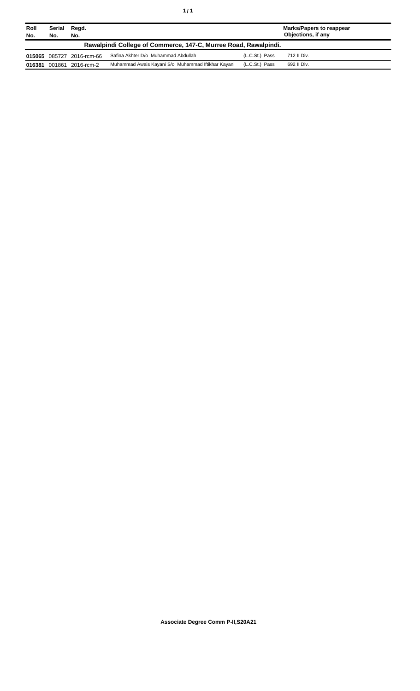| Roll<br>No. | Serial<br>No.                                                   | Regd.<br>No.              |                                                    |                | Marks/Papers to reappear<br>Objections, if any |  |  |  |
|-------------|-----------------------------------------------------------------|---------------------------|----------------------------------------------------|----------------|------------------------------------------------|--|--|--|
|             | Rawalpindi College of Commerce, 147-C, Murree Road, Rawalpindi. |                           |                                                    |                |                                                |  |  |  |
|             |                                                                 | 015065 085727 2016-rcm-66 | Safina Akhter D/o Muhammad Abdullah                | (L.C.St.) Pass | 712 II Div.                                    |  |  |  |
|             |                                                                 | 016381 001861 2016-rcm-2  | Muhammad Awais Kayani S/o Muhammad Iftikhar Kayani | (L.C.St.) Pass | 692 II Div.                                    |  |  |  |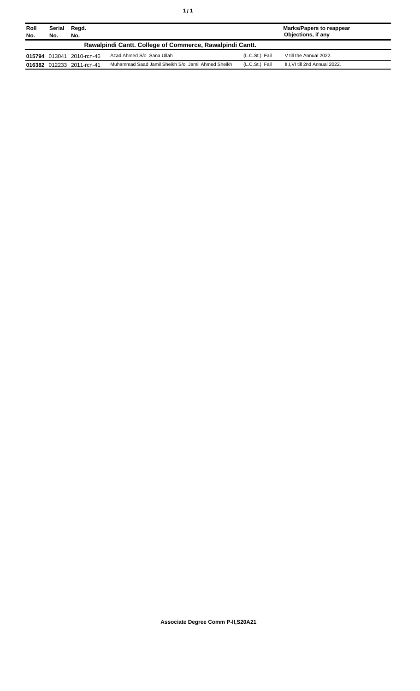| Roll<br>No. | Serial<br>No.                                            | Regd.<br>No.              |                                                   |                | Marks/Papers to reappear<br>Objections, if any |  |  |
|-------------|----------------------------------------------------------|---------------------------|---------------------------------------------------|----------------|------------------------------------------------|--|--|
|             | Rawalpindi Cantt. College of Commerce, Rawalpindi Cantt. |                           |                                                   |                |                                                |  |  |
|             |                                                          | 015794 013041 2010-rcn-46 | Azad Ahmed S/o Sana Ullah                         | (L.C.St.) Fail | V till the Annual 2022.                        |  |  |
|             |                                                          | 016382 012233 2011-rcn-41 | Muhammad Saad Jamil Sheikh S/o Jamil Ahmed Sheikh | (L.C.St.) Fail | II, I, VI till 2nd Annual 2022.                |  |  |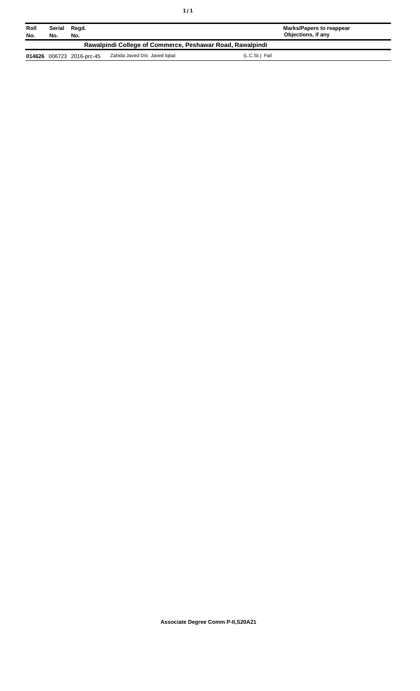| Roll<br>No.                                               | Serial<br>No. | Regd.<br>No.              |                              | <b>Marks/Papers to reappear</b><br>Objections, if any |  |  |
|-----------------------------------------------------------|---------------|---------------------------|------------------------------|-------------------------------------------------------|--|--|
| Rawalpindi College of Commerce, Peshawar Road, Rawalpindi |               |                           |                              |                                                       |  |  |
|                                                           |               | 014626 006723 2016-prc-45 | Zahida Javed D/o Javed lobal | (L.C.St.) Fail                                        |  |  |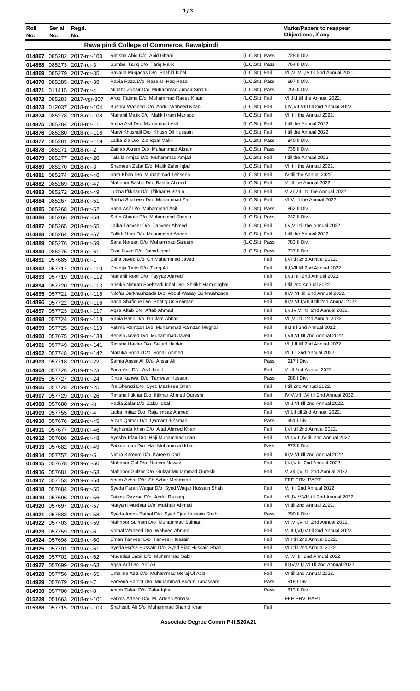| ٠ | ×<br>٠<br>٦<br>×<br>۰. |
|---|------------------------|
|   |                        |

| Roll<br>No.      | Serial<br>No. | Regd.<br>No.                                           |                                                                                    |                                  | <b>Marks/Papers to reappear</b><br>Objections, if any      |
|------------------|---------------|--------------------------------------------------------|------------------------------------------------------------------------------------|----------------------------------|------------------------------------------------------------|
|                  |               |                                                        | Rawalpindi College of Commerce, Rawalpindi                                         |                                  |                                                            |
|                  |               |                                                        |                                                                                    |                                  |                                                            |
|                  |               | 014867 085282 2017-rcr-100                             | Rimsha Abid D/o Abid Ghani<br>Sumbal Tariq D/o Tariq Malik                         | (L.C.St.) Pass<br>(L.C.St.) Pass | 728 II Div.<br>764 II Div.                                 |
|                  |               | 014868 085273 2017-rcr-3<br>014869 085279 2017-rcr-35  | Savaira Muqadas D/o Shahid Iqbal                                                   | (L.C.St.) Fail                   | VII, VI, V, I, IV till 2nd Annual 2021.                    |
|                  |               | 014870 085285 2017-rcr-39                              | Rabia Raza D/o Raza-Ul-Haq Raza                                                    | (L.C.St.) Pass                   | 697 II Div.                                                |
| 014871           |               | 011415 2017-rcr-4                                      | Minahil Zubair D/o Muhammad Zubair Sindhu                                          | (L.C.St.) Pass                   | 755 II Div.                                                |
|                  |               | 014872 085283 2017-vgr-807                             | Arooj Fatima D/o Muhammad Raees Khan                                               | (L.C.St.) Fail                   | VII, II, I till the Annual 2022.                           |
|                  |               | 014873 012037 2018-rcr-104                             | Bushra Waheed D/o Abdul Waheed Khan                                                | (L.C.St.) Fail                   | I,IV, VII, VIII till 2nd Annual 2022.                      |
|                  |               | 014874 085278 2018-rcr-108                             | Manahil Malik D/o Malik Ikram Mansoor                                              | (L.C.St.) Fail                   | VII till the Annual 2022.                                  |
|                  |               | 014875 085284 2018-rcr-111                             | Amna Asif D/o Muhammad Asif                                                        | (L.C.St.) Fail                   | I till the Annual 2022.                                    |
|                  |               | 014876 085280 2018-rcr-116                             | Marvi Khushdil D/o Khush Dil Hussain                                               | (L.C.St.) Fail                   | I till the Annual 2022.                                    |
|                  |               | 014877 085281 2018-rcr-119                             | Laiba Zia D/o Zia Iqbal Malik                                                      | (L.C.St.) Pass                   | 840 II Div.                                                |
|                  | 014878 085271 | 2018-rcr-2                                             | Zainab Akram D/o Muhammad Akram                                                    | (L.C.St.) Pass                   | 735 II Div.                                                |
| 014879           |               | 085277 2018-rcr-20                                     | Talaila Amjad D/o Muhammad Amjad                                                   | (L.C.St.) Fail                   | I till the Annual 2022.                                    |
|                  |               | 014880 085270 2018-rcr-3                               | Shameen Zafar D/o Malik Zafar Iqbal                                                | (L.C.St.) Fail                   | VII till the Annual 2022.                                  |
| 014881           |               | 085274 2018-rcr-46                                     | Sara Khan D/o Muhammad Tehseen                                                     | (L.C.St.) Fail                   | IV till the Annual 2022.                                   |
|                  |               | 014882 085269 2018-rcr-47                              | Mahnoor Bashir D/o Bashir Ahmed                                                    | (L.C.St.) Fail                   | V till the Annual 2022.                                    |
|                  |               | 014883 085272 2018-rcr-49                              | Lubna Iftikhar D/o Iftikhar Hussain                                                | (L.C.St.) Fail                   | V, VI, VII, I till the Annual 2022.                        |
|                  |               | 014884 085267 2018-rcr-51                              | Saliha Shaheen D/o Muhammad Zar                                                    | (L.C.St.) Fail                   | VI, V till the Annual 2022.                                |
|                  |               | 014885 085268 2018-rcr-52                              | Saba Asif D/o Muhammad Asif                                                        | (L.C.St.) Pass                   | 862 II Div.                                                |
|                  |               | 014886 085266 2018-rcr-54                              | Sidra Shoaib D/o Muhammad Shoaib                                                   | (L.C.St.) Pass                   | 742 II Div.                                                |
| 014887           |               | 085265 2018-rcr-55                                     | Laiba Tanveer D/o Tanveer Ahmed<br>Fallah Noor D/o Muhammad Anees                  | (L.C.St.) Fail<br>(L.C.St.) Fail | I, V, VII till the Annual 2022.<br>I till the Annual 2022. |
| 014888<br>014889 |               | 085264 2018-rcr-57<br>085276 2018-rcr-59               | Sana Noreen D/o Muhammad Saleem                                                    | (L.C.St.) Pass                   | 783 II Div.                                                |
|                  |               | 014890 085275 2018-rcr-61                              | Fiza Javed D/o Javed Iqbal                                                         | (L.C.St.) Pass                   | 737 II Div.                                                |
| 014891           |               | 057685 2019-rcr-1                                      | Esha Javed D/o Ch.Muhammad Javed                                                   | Fail                             | I, VI till 2nd Annual 2022.                                |
|                  |               | 014892 057717 2019-rcr-110                             | Khadija Tariq D/o Tariq Ali                                                        | Fail                             | II, I, VII till 2nd Annual 2022.                           |
|                  |               | 014893 057719 2019-rcr-112                             | Manahil Noor D/o Fayyaz Ahmed                                                      | Fail                             | I, V, II till 2nd Annual 2022.                             |
|                  |               | 014894 057720 2019-rcr-113                             | Sheikh Nimrah Shehzadi Iqbal D/o Sheikh Hamid Iqbal                                | Fail                             | I till 2nd Annual 2022.                                    |
|                  |               | 014895 057721 2019-rcr-115                             | Nilofar Surkhushzada D/o Abdul Wasay Surkhushzada                                  | Fail                             | III, V, VII till 2nd Annual 2022.                          |
|                  |               | 014896 057722 2019-rcr-116                             | Sana Shafique D/o Shafiq-Ur-Rehman                                                 | Fail                             | III, V, VIII, VII, II till 2nd Annual 2022.                |
|                  |               | 014897 057723 2019-rcr-117                             | Agsa Aftab D/o Aftab Ahmad                                                         | Fail                             | I, V, IV, VII till 2nd Annual 2022.                        |
|                  |               | 014898 057724 2019-rcr-118                             | Rabia Basri D/o Ghulam Abbas                                                       | Fail                             | VII, V, I till 2nd Annual 2022.                            |
|                  |               | 014899 057725 2019-rcr-119                             | Fatima Ramzan D/o Muhammad Ramzan Mughal                                           | Fail                             | III, I till 2nd Annual 2022.                               |
|                  |               | 014900 057675 2019-rcr-138                             | Benish Javed D/o Muhammad Javed                                                    | Fail                             | I, VII, VI till 2nd Annual 2022.                           |
|                  |               | 014901 057749 2019-rcr-141                             | Rimsha Haider D/o Sajjad Haider                                                    | Fail                             | VII, I, II till 2nd Annual 2022.                           |
|                  |               | 014902 057748 2019-rcr-142                             | Malaika Sohail D/o Sohail Ahmed                                                    | Fail                             | VII till 2nd Annual 2022.                                  |
|                  |               | 014903 057718 2019-rcr-22                              | Samia Ansar Ali D/o Ansar Ali                                                      | Pass                             | 917   Div.                                                 |
|                  |               | 014904 057726 2019-rcr-23                              | Faria Asif D/o Asif Jamil                                                          | Fail                             | V till 2nd Annual 2022.                                    |
|                  |               | 014905 057727 2019-rcr-24                              | Kinza Kanwal D/o Tanweer Hussain                                                   | Pass                             | 988 I Div.<br>I till 2nd Annual 2022.                      |
|                  |               | 014906 057728 2019-rcr-25                              | Ifra Sherazi D/o Syed Maskeen Shah<br>Rimsha Iftikhar D/o Iftikhar Ahmed Qureshi   | Fail<br>Fail                     | IV, V, VII, I, VI till 2nd Annual 2022.                    |
|                  |               | 014907 057729 2019-rcr-26                              | Hadia Zafar D/o Zafar Igbal                                                        | Fail                             | VII, I, VI till 2nd Annual 2022.                           |
|                  |               | 014908 057680 2019-rcr-3<br>014909 057755 2019-rcr-4   | Laiba Imtiaz D/o Raja Imtiaz Ahmed                                                 | Fail                             | VI, I, II till 2nd Annual 2022.                            |
|                  |               | 014910 057676 2019-rcr-45                              | Aizah Qamar D/o Qamar-Ul-Zaman                                                     | Pass                             | 951 I Div.                                                 |
|                  |               | 014911 057677 2019-rcr-46                              | Paghunda Khan D/o Altaf Ahmed Khan                                                 | Fail                             | I, VI till 2nd Annual 2022.                                |
|                  |               | 014912 057686 2019-rcr-48                              | Ayesha Irfan D/o Haji Muhammad Irfan                                               | Fail                             | VI,I, V, II, IV till 2nd Annual 2022.                      |
|                  |               | 014913 057682 2019-rcr-49                              | Fatima Irfan D/o Haji Muhammad Irfan                                               | Pass                             | 873 II Div.                                                |
|                  |               | 014914 057757 2019-rcr-5                               | Nimra Kareem D/o Kareem Dad                                                        | Fail                             | III, V, VI till 2nd Annual 2022.                           |
|                  |               | 014915 057678 2019-rcr-50                              | Mahnoor Gul D/o Naeem Nawaz                                                        | Fail                             | I, VI, V till 2nd Annual 2022.                             |
|                  |               | 014916 057681 2019-rcr-53                              | Mahnoor Gulzar D/o Gulzar Muhammad Qureshi                                         | Fail                             | V, VII, I, VI till 2nd Annual 2022.                        |
|                  |               | 014917 057753 2019-rcr-54                              | Anum Azhar D/o Sh Azhar Mehmood                                                    |                                  | FEE PRV. PART                                              |
|                  |               | 014918 057684 2019-rcr-55                              | Syeda Farah Waqar D/o Syed Waqar Hussain Shah                                      | Fail                             | V,I till 2nd Annual 2022.                                  |
|                  |               | 014919 057696 2019-rcr-56                              | Fatima Razzaq D/o Abdul Razzaq                                                     | Fail                             | VII, IV, V, VI, I till 2nd Annual 2022.                    |
|                  |               | 014920 057697 2019-rcr-57                              | Maryam Mukhtar D/o Mukhtar Ahmed                                                   | Fail                             | VI till 2nd Annual 2022.                                   |
|                  |               | 014921 057683 2019-rcr-58                              | Syeda Amna Batool D/o Syed Ejaz Hussain Shah                                       | Pass                             | 790 II Div.                                                |
|                  |               | 014922 057703 2019-rcr-59                              | Mahnoor Sulman D/o Muhammad Sulman                                                 | Fail                             | VII, V, I, VI till 2nd Annual 2022.                        |
|                  |               | 014923 057759 2019-rcr-6                               | Komal Waheed D/o Waheed Ahmed                                                      | Fail                             | V, III, I, VI, IV till 2nd Annual 2022.                    |
|                  |               | 014924 057698 2019-rcr-60                              | Eman Tanveer D/o Tanveer Hussain<br>Syeda Hafsa Hussain D/o Syed Riaz Hussain Shah | Fail<br>Fail                     | VI, I till 2nd Annual 2022.<br>VI,I till 2nd Annual 2022.  |
|                  |               | 014925 057701 2019-rcr-61                              | Mugadas Sabir D/o Muhammad Sabir                                                   | Fail                             | V, I, VI till 2nd Annual 2022.                             |
|                  |               | 014926 057702 2019-rcr-62                              | Agsa Arif D/o Arif Ali                                                             | Fail                             | III, IV, VII, I, VI till 2nd Annual 2022.                  |
|                  |               | 014927 057699 2019-rcr-63<br>014928 057756 2019-rcr-65 | Umaima Aziz D/o Muhammad Meraj Ul Aziz                                             | Fail                             | VI till 2nd Annual 2022.                                   |
|                  |               | 014929 057679 2019-rcr-7                               | Fareeda Batool D/o Muhammad Akram Tabassam                                         | Pass                             | 918 I Div.                                                 |
|                  |               | 014930 057700 2019-rcr-8                               | Anum Zafar D/o Zafar Iqbal                                                         | Pass                             | 813 II Div.                                                |
|                  |               | 015229 051663 2018-rcr-101                             | Fatima Arfeen D/o M. Arfeen Abbasi                                                 |                                  | FEE PRV. PART                                              |
|                  |               | 015388 057715 2019-rcr-103                             | Shahzaib Ali S/o Muhammad Shahid Khan                                              | Fail                             |                                                            |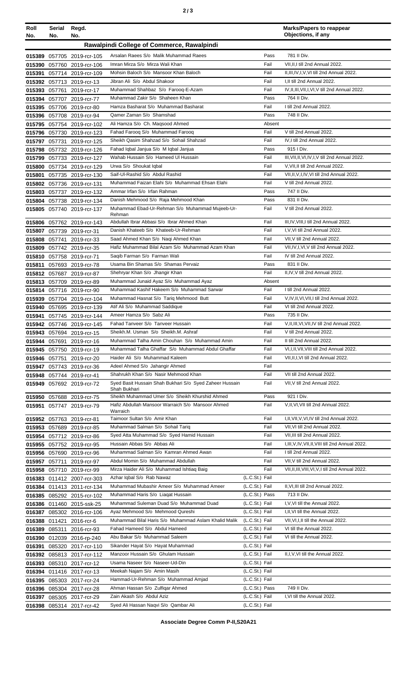| Roll<br>No. | Serial<br>No. | Regd.<br>No.                                             |                                                                                   |                                  | <b>Marks/Papers to reappear</b><br>Objections, if any                    |
|-------------|---------------|----------------------------------------------------------|-----------------------------------------------------------------------------------|----------------------------------|--------------------------------------------------------------------------|
|             |               |                                                          | Rawalpindi College of Commerce, Rawalpindi                                        |                                  |                                                                          |
|             |               | 015389 057705 2019-rcr-105                               | Arsalan Raees S/o Malik Muhammad Raees                                            | Pass                             | 781 II Div.                                                              |
|             |               | 015390 057760 2019-rcr-106                               | Imran Mirza S/o Mirza Wali Khan                                                   | Fail                             | VII, II, I till 2nd Annual 2022.                                         |
|             |               | 015391 057714 2019-rcr-109                               | Mohsin Baloch S/o Mansoor Khan Baloch                                             | Fail                             | II, III, IV, I, V, VI till 2nd Annual 2022.                              |
|             |               | 015392 057713 2019-rcr-13                                | Jibran Ali S/o Abdul Shakoor                                                      | Fail                             | I, II till 2nd Annual 2022.                                              |
|             |               | 015393 057761 2019-rcr-17                                | Muhammad Shahbaz S/o Farooq-E-Azam<br>Muhammad Zakir S/o Shaheen Khan             | Fail<br>Pass                     | IV, II, III, VII, I, VI, V till 2nd Annual 2022.<br>764 II Div.          |
|             |               | 015394 057707 2019-rcr-77<br>015395 057706 2019-rcr-80   | Hamza Basharat S/o Muhammad Basharat                                              | Fail                             | I till 2nd Annual 2022.                                                  |
|             |               | 015396 057708 2019-rcr-94                                | Qamer Zaman S/o Shamshad                                                          | Pass                             | 748 II Div.                                                              |
|             |               | 015795 057754 2019-rcr-102                               | Ali Hamza S/o Ch. Magsood Ahmed                                                   | Absent                           |                                                                          |
|             |               | 015796 057730 2019-rcr-123                               | Fahad Farooq S/o Muhammad Farooq                                                  | Fail                             | V till 2nd Annual 2022.                                                  |
| 015797      | 057731        | 2019-rcr-125                                             | Sheikh Qasim Shahzad S/o Sohail Shahzad                                           | Fail                             | IV, I till 2nd Annual 2022.                                              |
|             |               | 015798 057732 2019-rcr-126                               | Fahad Iqbal Janjua S/o M Iqbal Janjua                                             | Pass                             | 915   Div.                                                               |
|             |               | 015799 057733 2019-rcr-127                               | Wahab Hussain S/o Hameed Ul Hussain                                               | Fail                             | III, VII, II, VI, IV, I, V till 2nd Annual 2022.                         |
|             |               | 015800 057734 2019-rcr-129                               | Urwa S/o Shoukat Iqbal                                                            | Fail<br>Fail                     | V, VII, II till 2nd Annual 2022.                                         |
|             |               | 015801 057735 2019-rcr-130                               | Saif-Ul-Rashid S/o Abdul Rashid<br>Muhammad Faizan Elahi S/o Muhammad Ehsan Elahi | Fail                             | VII, II, V, I, IV, VI till 2nd Annual 2022.<br>V till 2nd Annual 2022.   |
|             |               | 015802 057736 2019-rcr-131<br>015803 057737 2019-rcr-132 | Ammar Irfan S/o Irfan Rahman                                                      | Pass                             | 747 II Div.                                                              |
|             |               | 015804 057738 2019-rcr-134                               | Danish Mehmood S/o Raja Mehmood Khan                                              | Pass                             | 831 II Div.                                                              |
|             |               | 015805 057740 2019-rcr-137                               | Muhammad Ebad-Ur-Rehman S/o Muhammad Mujeeb-Ur-                                   | Fail                             | V till 2nd Annual 2022.                                                  |
|             |               |                                                          | Rehman<br>Abdullah Ibrar Abbasi S/o Ibrar Ahmed Khan                              | Fail                             |                                                                          |
|             |               | 015806 057762 2019-rcr-143                               | Danish Khateeb S/o Khateeb-Ur-Rehman                                              | Fail                             | III, IV, VIII, I till 2nd Annual 2022.<br>I, V, VI till 2nd Annual 2022. |
|             |               | 015807 057739 2019-rcr-31<br>015808 057741 2019-rcr-33   | Saad Ahmed Khan S/o Naqi Ahmed Khan                                               | Fail                             | VII, V till 2nd Annual 2022.                                             |
| 015809      |               | 057742 2019-rcr-35                                       | Hafiz Muhammad Bilal Azam S/o Muhammad Azam Khan                                  | Fail                             | VII, IV, I, VI, V till 2nd Annual 2022.                                  |
|             |               | 015810 057758 2019-rcr-71                                | Saqib Farman S/o Farman Wali                                                      | Fail                             | IV till 2nd Annual 2022.                                                 |
|             |               | 015811 057693 2019-rcr-78                                | Usama Bin Shamas S/o Shamas Pervaiz                                               | Pass                             | 831 II Div.                                                              |
|             |               | 015812 057687 2019-rcr-87                                | Shehryar Khan S/o Jhangir Khan                                                    | Fail                             | II, IV, V till 2nd Annual 2022.                                          |
|             |               | 015813 057709 2019-rcr-89                                | Muhammad Junaid Ayaz S/o Muhammad Ayaz                                            | Absent                           |                                                                          |
|             |               | 015814 057716 2019-rcr-90                                | Muhammad Kashif Hakeem S/o Muhammad Sarwar                                        | Fail                             | I till 2nd Annual 2022.                                                  |
|             |               | 015939 057704 2019-rcr-104                               | Muhammad Hasnat S/o Tariq Mehmood Butt                                            | Fail<br>Fail                     | V, IV, II, VI, VII, I till 2nd Annual 2022.                              |
|             |               | 015940 057695 2019-rcr-139<br>015941 057745 2019-rcr-144 | Atif Ali S/o Muhammad Saddique<br>Ameer Hamza S/o Sabz Ali                        | Pass                             | VI till 2nd Annual 2022.<br>735 II Div.                                  |
|             |               | 015942 057746 2019-rcr-145                               | Fahad Tanveer S/o Tanveer Hussain                                                 | Fail                             | V.II.III.VI.VII.IV till 2nd Annual 2022.                                 |
|             |               | 015943 057694 2019-rcr-15                                | Sheikh.M. Usman S/o Sheikh.M. Ashraf                                              | Fail                             | V till 2nd Annual 2022.                                                  |
|             |               | 015944 057691 2019-rcr-16                                | Muhammad Talha Amin Chouhan S/o Muhammad Amin                                     | Fail                             | II till 2nd Annual 2022.                                                 |
|             |               | 015945 057750 2019-rcr-19                                | Muhammad Talha Ghaffar S/o Muhammad Abdul Ghaffar                                 | Fail                             | VI, I, II, VII, VIII till 2nd Annual 2022.                               |
|             |               | 015946 057751 2019-rcr-20                                | Haider Ali S/o Muhammad Kaleem                                                    | Fail                             | VII, II, I, VI till 2nd Annual 2022.                                     |
|             |               | 015947 057743 2019-rcr-36                                | Adeel Ahmed S/o Jahangir Ahmed                                                    | Fail                             |                                                                          |
|             |               | 015948 057744 2019-rcr-41                                | Shahrukh Khan S/o Nasir Mehmood Khan                                              | Fail                             | VII till 2nd Annual 2022.                                                |
|             |               | 015949 057692 2019-rcr-72                                | Syed Basit Hussain Shah Bukhari S/o Syed Zaheer Hussain<br>Shah Bukhari           | Fail                             | VII, V till 2nd Annual 2022.                                             |
|             |               | 015950 057688 2019-rcr-75                                | Sheikh Muhammad Umer S/o Sheikh Khurshid Ahmed                                    | Pass                             | 921 I Div.                                                               |
|             |               | 015951 057747 2019-rcr-79                                | Hafiz Abdullah Mansoor Warraich S/o Mansoor Ahmed                                 | Fail                             | V, II, VI, VII till 2nd Annual 2022.                                     |
|             |               | 015952 057763 2019-rcr-81                                | Warraich<br>Taimoor Sultan S/o Amir Khan                                          | Fail                             | I, II, VII, V, VI, IV till 2nd Annual 2022.                              |
|             |               | 015953 057689 2019-rcr-85                                | Muhammad Salman S/o Sohail Tariq                                                  | Fail                             | VII, VI till 2nd Annual 2022.                                            |
|             |               | 015954 057712 2019-rcr-86                                | Syed Atta Muhammad S/o Syed Hamid Hussain                                         | Fail                             | VII, III till 2nd Annual 2022.                                           |
|             |               | 015955 057752 2019-rcr-95                                | Hussain Abbas S/o Abbas Ali                                                       | Fail                             | I, III, V, IV, VII, II, VIII till 2nd Annual 2022.                       |
|             |               | 015956 057690 2019-rcr-96                                | Muhammad Salman S/o Kamran Ahmed Awan                                             | Fail                             | I till 2nd Annual 2022.                                                  |
|             |               | 015957 057711 2019-rcr-97                                | Abdul Momin S/o Muhammad Abdullah                                                 | Fail                             | VII, V till 2nd Annual 2022.                                             |
|             |               | 015958 057710 2019-rcr-99                                | Mirza Haider Ali S/o Muhammad Ishtiaq Baig                                        | Fail                             | VII, II, III, VIII, VI, V, I till 2nd Annual 2022.                       |
|             |               | 016383 011412 2007-rcr-303<br>016384 011413 2011-rcr-134 | Azhar Iqbal S/o Rab Nawaz<br>Muhammad Mubashir Ameer S/o Muhammad Ameer           | (L.C.St.) Fail<br>(L.C.St.) Fail | II, VI, III till 2nd Annual 2022.                                        |
|             |               | 016385 085292 2015-rcr-102                               | Muhammad Haris S/o Liagat Hussain                                                 | (L.C.St.) Pass                   | 713 II Div.                                                              |
|             |               | 016386 011460 2015-ssk-25                                | Muhammad Suleman Duad S/o Muhammad Duad                                           | (L.C.St.) Fail                   | I, V, VI till the Annual 2022.                                           |
|             |               | 016387 085302 2016-rcr-106                               | Ayaz Mehmood S/o Mehmood Qureshi                                                  | (L.C.St.) Fail                   | I, II, VI till the Annual 2022.                                          |
|             |               | 016388 011421 2016-rcr-6                                 | Muhammad Bilal Haris S/o Muhammad Aslam Khalid Malik                              | (L.C.St.) Fail                   | VII, VI, I, II till the Annual 2022.                                     |
|             |               | 016389 085311 2016-rcr-93                                | Fahad Hameed S/o Abdul Hameed                                                     | (L.C.St.) Fail                   | VI till the Annual 2022.                                                 |
|             |               | 016390 012039 2016-rp-240                                | Abu Bakar S/o Muhammad Saleem                                                     | (L.C.St.) Fail                   | VI till the Annual 2022.                                                 |
|             |               | 016391 085320 2017-rcr-110                               | Sikander Hayat S/o Hayat Muhammad                                                 | (L.C.St.) Fail                   |                                                                          |
|             |               | 016392 085813 2017-rcr-112                               | Manzoor Hussain S/o Ghulam Hussain                                                | (L.C.St.) Fail                   | II, I, V, VI till the Annual 2022.                                       |
|             |               | 016393 085310 2017-rcr-12                                | Usama Naseer S/o Naseer-Ud-Din<br>Meekah Najam S/o Amin Masih                     | (L.C.St.) Fail<br>(L.C.St.) Fail |                                                                          |
|             |               | 016394 011416 2017-rcr-13<br>016395 085303 2017-rcr-24   | Hammad-Ur-Rehman S/o Muhammad Amjad                                               | (L.C.St.) Fail                   |                                                                          |
|             |               | 016396 085304 2017-rcr-28                                | Ahman Hassan S/o Zulfigar Ahmed                                                   | (L.C.St.) Pass                   | 749 II Div.                                                              |
|             |               | 016397 085305 2017-rcr-29                                | Zain Akash S/o Abdul Aziz                                                         | (L.C.St.) Fail                   | I, VI till the Annual 2022.                                              |
|             |               | 016398 085314 2017-rcr-42                                | Syed Ali Hassan Naqvi S/o Qambar Ali                                              | (L.C.St.) Fail                   |                                                                          |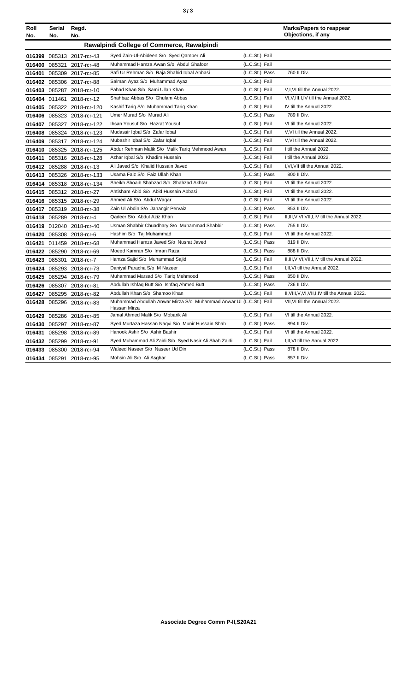| Roll<br>No. | Serial<br>No. | Regd.<br>No.               |                                                                                    |                | <b>Marks/Papers to reappear</b><br>Objections, if any |
|-------------|---------------|----------------------------|------------------------------------------------------------------------------------|----------------|-------------------------------------------------------|
|             |               |                            | Rawalpindi College of Commerce, Rawalpindi                                         |                |                                                       |
|             |               | 016399 085313 2017-rcr-43  | Syed Zain-Ul-Abideen S/o Syed Qamber Ali                                           | (L.C.St.) Fail |                                                       |
| 016400      |               | 085321 2017-rcr-48         | Muhammad Hamza Awan S/o Abdul Ghafoor                                              | (L.C.St.) Fail |                                                       |
| 016401      |               | 085309 2017-rcr-85         | Safi Ur Rehman S/o Raja Shahid Iqbal Abbasi                                        | (L.C.St.) Pass | 760 II Div.                                           |
|             |               | 016402 085306 2017-rcr-88  | Salman Ayaz S/o Muhammad Ayaz                                                      | (L.C.St.) Fail |                                                       |
|             |               | 016403 085287 2018-rcr-10  | Fahad Khan S/o Sami Ullah Khan                                                     | (L.C.St.) Fail | V,I,VI till the Annual 2022.                          |
|             |               | 016404 011461 2018-rcr-12  | Shahbaz Abbas S/o Ghulam Abbas                                                     | (L.C.St.) Fail | VI, V, III, I, IV till the Annual 2022.               |
|             |               | 016405 085322 2018-rcr-120 | Kashif Tariq S/o Muhammad Tariq Khan                                               | (L.C.St.) Fail | IV till the Annual 2022.                              |
|             |               | 016406 085323 2018-rcr-121 | Umer Murad S/o Murad Ali                                                           | (L.C.St.) Pass | 789 II Div.                                           |
| 016407      |               | 085327 2018-rcr-122        | Ihsan Yousuf S/o Hazrat Yousuf                                                     | (L.C.St.) Fail | VI till the Annual 2022.                              |
|             |               | 016408 085324 2018-rcr-123 | Mudassir Iqbal S/o Zafar Iqbal                                                     | (L.C.St.) Fail | V.VI till the Annual 2022.                            |
| 016409      |               | 085317 2018-rcr-124        | Mubashir Iqbal S/o Zafar Iqbal                                                     | (L.C.St.) Fail | V.VI till the Annual 2022.                            |
|             |               | 016410 085325 2018-rcr-125 | Abdur Rehman Malik S/o Malik Tariq Mehmood Awan                                    | (L.C.St.) Fail | I till the Annual 2022.                               |
|             |               | 016411 085316 2018-rcr-128 | Azhar Iqbal S/o Khadim Hussain                                                     | (L.C.St.) Fail | I till the Annual 2022.                               |
|             |               | 016412 085288 2018-rcr-13  | Ali Javed S/o Khalid Hussain Javed                                                 | (L.C.St.) Fail | I, VI, VII till the Annual 2022.                      |
|             |               | 016413 085326 2018-rcr-133 | Usama Faiz S/o Faiz Ullah Khan                                                     | (L.C.St.) Pass | 800 II Div.                                           |
|             |               | 016414 085318 2018-rcr-134 | Sheikh Shoaib Shahzad S/o Shahzad Akhtar                                           | (L.C.St.) Fail | VI till the Annual 2022.                              |
|             |               | 016415 085312 2018-rcr-27  | Ahtisham Abid S/o Abid Hussain Abbasi                                              | (L.C.St.) Fail | VI till the Annual 2022.                              |
|             |               | 016416 085315 2018-rcr-29  | Ahmed Ali S/o Abdul Waqar                                                          | (L.C.St.) Fail | VI till the Annual 2022.                              |
|             |               | 016417 085319 2018-rcr-38  | Zain Ul Abdin S/o Jahangir Pervaiz                                                 | (L.C.St.) Pass | 853 II Div.                                           |
|             |               | 016418 085289 2018-rcr-4   | Qadeer S/o Abdul Aziz Khan                                                         | (L.C.St.) Fail | II, III, V, VI, VII, I, IV till the Annual 2022.      |
|             |               | 016419 012040 2018-rcr-40  | Usman Shabbir Chuadhary S/o Muhammad Shabbir                                       | (L.C.St.) Pass | 755 II Div.                                           |
|             |               | 016420 085308 2018-rcr-6   | Hashim S/o Taj Muhammad                                                            | (L.C.St.) Fail | VI till the Annual 2022.                              |
|             |               | 016421 011459 2018-rcr-68  | Muhammad Hamza Javed S/o Nusrat Javed                                              | (L.C.St.) Pass | 819 II Div.                                           |
|             |               | 016422 085290 2018-rcr-69  | Moeed Kamran S/o Imran Raza                                                        | (L.C.St.) Pass | 888 II Div.                                           |
|             |               | 016423 085301 2018-rcr-7   | Hamza Sajid S/o Muhammad Sajid                                                     | (L.C.St.) Fail | II, III, V, VI, VII, I, IV till the Annual 2022.      |
|             |               | 016424 085293 2018-rcr-73  | Daniyal Paracha S/o M Nazeer                                                       | (L.C.St.) Fail | I, II, VI till the Annual 2022.                       |
|             |               | 016425 085294 2018-rcr-79  | Muhammad Marsad S/o Tariq Mehmood                                                  | (L.C.St.) Pass | 850 II Div.                                           |
|             |               | 016426 085307 2018-rcr-81  | Abdullah Ishfaq Butt S/o Ishfaq Ahmed Butt                                         | (L.C.St.) Pass | 736 II Div.                                           |
|             |               | 016427 085295 2018-rcr-82  | Abdullah Khan S/o Shamoo Khan                                                      | (L.C.St.) Fail | II, VIII, V, VI, VII, I, IV till the Annual 2022.     |
|             |               | 016428 085296 2018-rcr-83  | Muhammad Abdullah Anwar Mirza S/o Muhammad Anwar UI (L.C.St.) Fail<br>Hassan Mirza |                | VII, VI till the Annual 2022.                         |
|             |               | 016429 085286 2018-rcr-85  | Jamal Ahmed Malik S/o Mobarik Ali                                                  | (L.C.St.) Fail | VI till the Annual 2022.                              |
|             |               | 016430 085297 2018-rcr-87  | Syed Murtaza Hassan Naqvi S/o Munir Hussain Shah                                   | (L.C.St.) Pass | 894 II Div.                                           |
| 016431      |               | 085298 2018-rcr-89         | Hanook Ashir S/o Ashir Bashir                                                      | (L.C.St.) Fail | VI till the Annual 2022.                              |
|             |               | 016432 085299 2018-rcr-91  | Syed Muhammad Ali Zaidi S/o Syed Nasir Ali Shah Zaidi                              | (L.C.St.) Fail | I, II, VI till the Annual 2022.                       |
|             |               | 016433 085300 2018-rcr-94  | Waleed Naseer S/o Naseer Ud Din                                                    | (L.C.St.) Pass | 878 II Div.                                           |
|             |               | 016434 085291 2018-rcr-95  | Mohsin Ali S/o Ali Asghar                                                          | (L.C.St.) Pass | 857 II Div.                                           |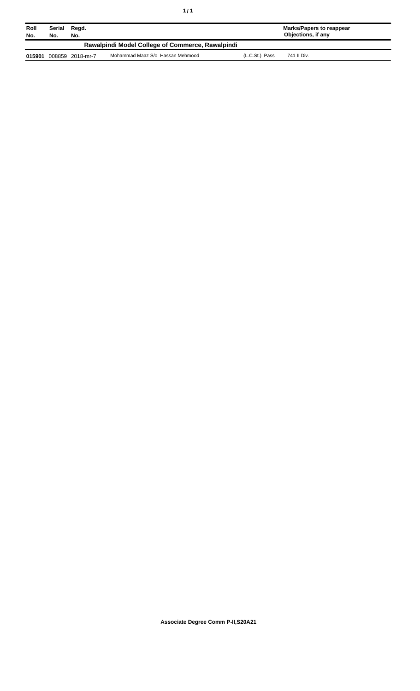| Roll<br>No. | Serial<br>No. | Read.<br>No.     |                                                  |                | Marks/Papers to reappear<br>Objections, if any |
|-------------|---------------|------------------|--------------------------------------------------|----------------|------------------------------------------------|
|             |               |                  | Rawalpindi Model College of Commerce, Rawalpindi |                |                                                |
| 015901      |               | 008859 2018-mr-7 | Mohammad Maaz S/o Hassan Mehmood                 | (L.C.St.) Pass | 741 II Div.                                    |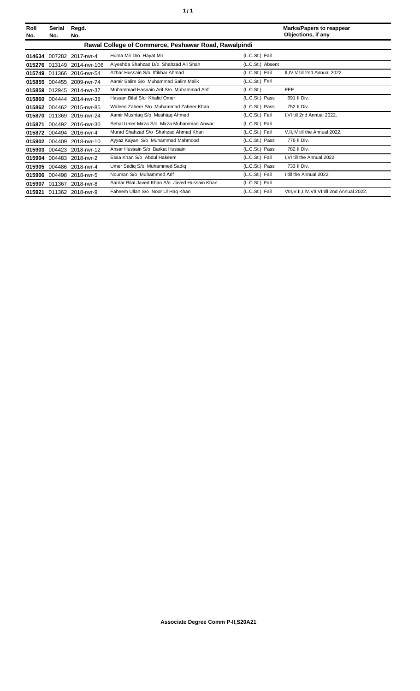| Roll<br>No. | Serial<br>No. | Regd.<br>No.               |                                                      |                  | <b>Marks/Papers to reappear</b><br>Objections, if any |
|-------------|---------------|----------------------------|------------------------------------------------------|------------------|-------------------------------------------------------|
|             |               |                            | Rawal College of Commerce, Peshawar Road, Rawalpindi |                  |                                                       |
|             |               | 014634 007282 2017-rwr-4   | Huma Mir D/o Hayat Mir                               | (L.C.St.) Fail   |                                                       |
|             |               | 015276 013149 2014-rwr-106 | Alveshba Shahzad D/o Shahzad Ali Shah                | (L.C.St.) Absent |                                                       |
|             |               | 015749 011366 2016-rwr-54  | Azhar Hussain S/o Iftikhar Ahmad                     | (L.C.St.) Fail   | II.IV.V till 2nd Annual 2022.                         |
|             |               | 015855 004455 2009-rwr-74  | Aamir Salim S/o Muhammad Salim Malik                 | (L.C.St.) Fail   |                                                       |
|             |               | 015859 012945 2014-rwr-37  | Muhammad Hasnain Arif S/o Muhammad Arif              | (L.C.St.)        | <b>FEE</b>                                            |
|             |               | 015860 004444 2014-rwr-38  | Hassan Bilal S/o Khalid Omer                         | (L.C.St.) Pass   | 691 II Div.                                           |
| 015862      |               | 004462 2015-rwr-85         | Waleed Zaheer S/o Muhammad Zaheer Khan               | (L.C.St.) Pass   | 752 II Div.                                           |
|             |               | 015870 011369 2016-rwr-24  | Aamir Mushtaq S/o Mushtaq Ahmed                      | (L.C.St.) Fail   | I.VI till 2nd Annual 2022.                            |
| 015871      |               | 004492 2016-rwr-30         | Sehal Umer Mirza S/o Mirza Muhammad Anwar            | (L.C.St.) Fail   |                                                       |
|             |               | 015872 004494 2016-rwr-4   | Murad Shahzad S/o Shahzad Ahmad Khan                 | (L.C.St.) Fail   | V, II, IV till the Annual 2022.                       |
|             |               | 015902 004409 2018-rwr-10  | Ayyaz Kayani S/o Muhammad Mahmood                    | (L.C.St.) Pass   | 776 II Div.                                           |
|             |               | 015903 004423 2018-rwr-12  | Ansar Hussain S/o Barkat Hussain                     | (L.C.St.) Pass   | 782 II Div.                                           |
| 015904      |               | 004483 2018-rwr-2          | Essa Khan S/o Abdul Hakeem                           | (L.C.St.) Fail   | I.VI till the Annual 2022.                            |
| 015905      |               | 004486 2018-rwr-4          | Umer Sadiq S/o Muhammed Sadiq                        | (L.C.St.) Pass   | 733 II Div.                                           |
|             |               | 015906 004498 2018-rwr-5   | Nouman S/o Muhammed Arif                             | (L.C.St.) Fail   | I till the Annual 2022.                               |
| 015907      |               | 011367 2018-rwr-8          | Sardar Bilal Javed Khan S/o Javed Hussain Khan       | (L.C.St.) Fail   |                                                       |
|             |               | 015921 011362 2018-rwr-9   | Faheem Ullah S/o Noor Ul Hag Khan                    | (L.C.St.) Fail   | VIII, V, II, I, IV, VII, VI till 2nd Annual 2022.     |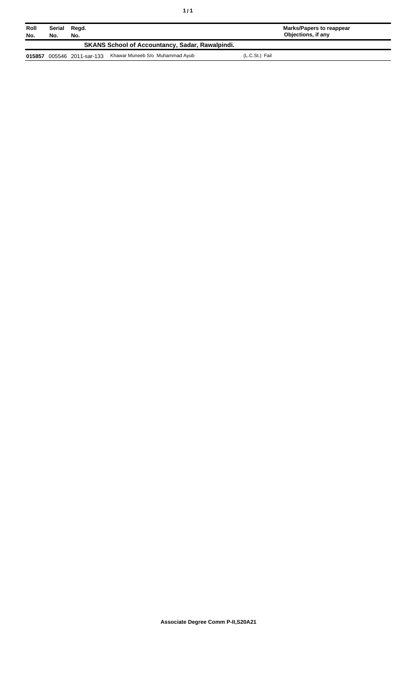| Roll<br>No.                                            | Serial<br>No. | Regd.<br>No.        |                                 |                | Marks/Papers to reappear<br>Objections, if any |  |
|--------------------------------------------------------|---------------|---------------------|---------------------------------|----------------|------------------------------------------------|--|
| <b>SKANS School of Accountancy, Sadar, Rawalpindi.</b> |               |                     |                                 |                |                                                |  |
| 015857                                                 |               | 005546 2011-sar-133 | Khawar Muneeb S/o Muhammad Ayub | (L.C.St.) Fail |                                                |  |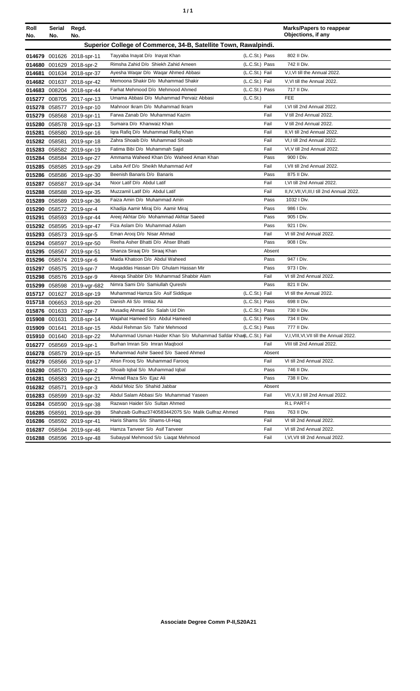| ٠ | ٠ |
|---|---|
|   |   |

| Roll          | Serial                                                          | Regd.                      |                                                                  |                |        | <b>Marks/Papers to reappear</b>              |  |
|---------------|-----------------------------------------------------------------|----------------------------|------------------------------------------------------------------|----------------|--------|----------------------------------------------|--|
| No.           | No.                                                             | No.                        |                                                                  |                |        | Objections, if any                           |  |
|               | Superior College of Commerce, 34-B, Satellite Town, Rawalpindi. |                            |                                                                  |                |        |                                              |  |
|               |                                                                 | 014679 001626 2018-spr-11  | Tayyaba Inayat D/o Inayat Khan                                   | (L.C.St.) Pass |        | 802 II Div.                                  |  |
|               |                                                                 | 014680 001629 2018-spr-2   | Rimsha Zahid D/o Shiekh Zahid Ameen                              | (L.C.St.) Pass |        | 742 II Div.                                  |  |
|               |                                                                 | 014681 001634 2018-spr-37  | Ayesha Waqar D/o Waqar Ahmed Abbasi                              | (L.C.St.) Fail |        | V,I, VI till the Annual 2022.                |  |
|               |                                                                 | 014682 001637 2018-spr-42  | Memoona Shakir D/o Muhammad Shakir                               | (L.C.St.) Fail |        | V, VI till the Annual 2022.                  |  |
|               |                                                                 | 014683 008204 2018-spr-44  | Farhat Mehmood D/o Mehmood Ahmed                                 | (L.C.St.) Pass |        | 717 II Div.                                  |  |
|               |                                                                 | 015277 008705 2017-spr-13  | Umama Abbasi D/o Muhammad Pervaiz Abbasi                         | (L.C.St.)      |        | <b>FEE</b>                                   |  |
|               |                                                                 | 015278 058577 2019-spr-10  | Mahnoor Ikram D/o Muhammad Ikram                                 |                | Fail   | I, VI till 2nd Annual 2022.                  |  |
|               |                                                                 | 015279 058568 2019-spr-11  | Farwa Zanab D/o Muhammad Kazim                                   |                | Fail   | V till 2nd Annual 2022.                      |  |
|               |                                                                 | 015280 058578 2019-spr-13  | Sumaira D/o Khanwaiz Khan                                        |                | Fail   | V till 2nd Annual 2022.                      |  |
|               |                                                                 | 015281 058580 2019-spr-16  | Igra Rafig D/o Muhammad Rafig Khan                               |                | Fail   | II, VI till 2nd Annual 2022.                 |  |
|               |                                                                 | 015282 058581 2019-spr-18  | Zahra Shoaib D/o Muhammad Shoaib                                 |                | Fail   | VI,I till 2nd Annual 2022.                   |  |
|               |                                                                 | 015283 058582 2019-spr-19  | Fatima Bibi D/o Muhammah Sajid                                   |                | Fail   | VI, V till 2nd Annual 2022.                  |  |
|               |                                                                 | 015284 058584 2019-spr-27  | Ammama Waheed Khan D/o Waheed Aman Khan                          |                | Pass   | 900 I Div.                                   |  |
|               |                                                                 | 015285 058585 2019-spr-29  | Laiba Arif D/o Sheikh Muhammad Arif                              |                | Fail   | I, VII till 2nd Annual 2022.                 |  |
|               |                                                                 | 015286 058586 2019-spr-30  | Beenish Banaris D/o Banaris                                      |                | Pass   | 875 II Div.                                  |  |
|               |                                                                 | 015287 058587 2019-spr-34  | Noor Latif D/o Abdul Latif                                       |                | Fail   | I, VI till 2nd Annual 2022.                  |  |
|               |                                                                 | 015288 058588 2019-spr-35  | Muzzamil Latif D/o Abdul Latif                                   |                | Fail   | II,IV, VII, VI, III, I till 2nd Annual 2022. |  |
|               |                                                                 | 015289 058589 2019-spr-36  | Faiza Amin D/o Muhammad Amin                                     |                | Pass   | 1032 I Div.                                  |  |
|               |                                                                 | 015290 058572 2019-spr-4   | Khadija Aamir Miraj D/o Aamir Miraj                              |                | Pass   | 986 I Div.                                   |  |
|               |                                                                 | 015291 058593 2019-spr-44  | Areej Akhtar D/o Mohammad Akhtar Saeed                           |                | Pass   | 905 I Div.                                   |  |
|               |                                                                 | 015292 058595 2019-spr-47  | Fiza Aslam D/o Muhammad Aslam                                    |                | Pass   | 921   Div.                                   |  |
|               |                                                                 | 015293 058573 2019-spr-5   | Eman Arooj D/o Nisar Ahmad                                       |                | Fail   | VI till 2nd Annual 2022.                     |  |
|               |                                                                 | 015294 058597 2019-spr-50  | Reeha Asher Bhatti D/o Ahser Bhatti                              |                | Pass   | 908   Div.                                   |  |
|               |                                                                 | 015295 058567 2019-spr-51  | Shanza Siraaj D/o Siraaj Khan                                    |                | Absent |                                              |  |
|               |                                                                 | 015296 058574 2019-spr-6   | Maida Khatoon D/o Abdul Waheed                                   |                | Pass   | 947 I Div.                                   |  |
|               |                                                                 | 015297 058575 2019-spr-7   | Muqaddas Hassan D/o Ghulam Hassan Mir                            |                | Pass   | 973   Div.                                   |  |
|               |                                                                 | 015298 058576 2019-spr-9   | Ateega Shabbir D/o Muhammad Shabbir Alam                         |                | Fail   | VI till 2nd Annual 2022.                     |  |
|               |                                                                 | 015299 058598 2019-vgr-682 | Nimra Sami D/o Samiullah Qureshi                                 |                | Pass   | 821 II Div.                                  |  |
|               |                                                                 | 015717 001627 2018-spr-19  | Muhammad Hamza S/o Asif Siddique                                 | (L.C.St.) Fail |        | VI till the Annual 2022.                     |  |
|               |                                                                 | 015718 006653 2018-spr-20  | Danish Ali S/o Imtiaz Ali                                        | (L.C.St.) Pass |        | 698 II Div.                                  |  |
|               |                                                                 | 015876 001633 2017-spr-7   | Musadiq Ahmad S/o Salah Ud Din                                   | (L.C.St.) Pass |        | 730 II Div.                                  |  |
|               |                                                                 | 015908 001631 2018-spr-14  | Wajahat Hameed S/o Abdul Hameed                                  | (L.C.St.) Pass |        | 734 II Div.                                  |  |
|               |                                                                 | 015909 001641 2018-spr-15  | Abdul Rehman S/o Tahir Mehmood                                   | (L.C.St.) Pass |        | 777 II Div.                                  |  |
|               |                                                                 | 015910 001640 2018-spr-22  | Muhammad Usman Haider Khan S/o Muhammad Safdar KhanL.C.St.) Fail |                |        | V,I, VIII, VI, VII till the Annual 2022.     |  |
|               |                                                                 | 016277 058569 2019-spr-1   | Burhan Imran S/o Imran Maqbool                                   |                | Fail   | VIII till 2nd Annual 2022.                   |  |
|               |                                                                 | 016278 058579 2019-spr-15  | Muhammad Ashir Saeed S/o Saeed Ahmed                             |                | Absent |                                              |  |
|               |                                                                 | 016279 058566 2019-spr-17  | Ahsn Froog S/o Muhammad Faroog                                   |                | Fail   | VI till 2nd Annual 2022.                     |  |
|               |                                                                 | 016280 058570 2019-spr-2   | Shoaib Iqbal S/o Muhammad Iqbal                                  |                | Pass   | 746 II Div.                                  |  |
|               |                                                                 | 016281 058583 2019-spr-21  | Ahmad Raza S/o Ejaz Ali                                          |                | Pass   | 738 II Div.                                  |  |
| 016282 058571 |                                                                 | 2019-spr-3                 | Abdul Moiz S/o Shahid Jabbar                                     |                | Absent |                                              |  |
|               |                                                                 | 016283 058599 2019-spr-32  | Abdul Salam Abbasi S/o Muhammad Yaseen                           |                | Fail   | VII, V, II, I till 2nd Annual 2022.          |  |
|               |                                                                 | 016284 058590 2019-spr-38  | Razwan Haider S/o Sultan Ahmed                                   |                |        | R.L PART-I                                   |  |
|               | 016285 058591                                                   | 2019-spr-39                | Shahzaib Gulfraz3740583442075 S/o Malik Gulfraz Ahmed            |                | Pass   | 763 II Div.                                  |  |
|               |                                                                 | 016286 058592 2019-spr-41  | Haris Shams S/o Shams-Ul-Haq                                     |                | Fail   | VI till 2nd Annual 2022.                     |  |
|               |                                                                 | 016287 058594 2019-spr-46  | Hamza Tanveer S/o Asif Tanveer                                   |                | Fail   | VI till 2nd Annual 2022.                     |  |
|               |                                                                 | 016288 058596 2019-spr-48  | Subayyal Mehmood S/o Liagat Mehmood                              |                | Fail   | I, VI, VII till 2nd Annual 2022.             |  |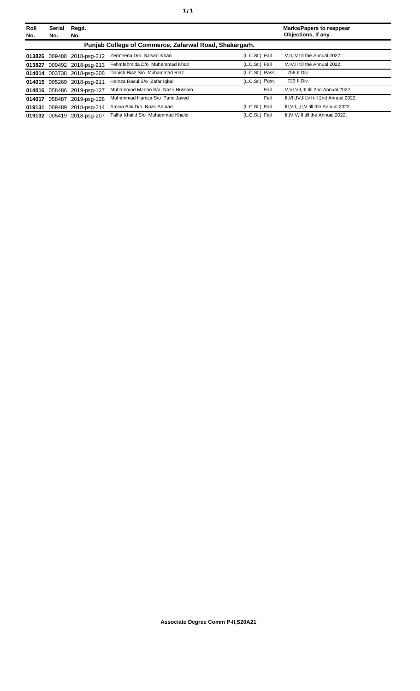| Roll<br>No. | <b>Serial</b><br>No. | Regd.<br>No.               |                                                        |                | <b>Marks/Papers to reappear</b><br>Objections, if any |
|-------------|----------------------|----------------------------|--------------------------------------------------------|----------------|-------------------------------------------------------|
|             |                      |                            | Punjab College of Commerce, Zafarwal Road, Shakargarh. |                |                                                       |
|             |                      | 013826 009488 2018-psq-212 | Zermeena D/o Sarwar Khan                               | (L.C.St.) Fail | V.II.IV till the Annual 2022.                         |
| 013827      |                      | 009492 2018-psg-213        | Fehmfehmida D/o Muhammad Khan                          | (L.C.St.) Fail | V.IV.II till the Annual 2022.                         |
|             |                      | 014014 003738 2018-psg-208 | Danish Riaz S/o Muhammad Riaz                          | (L.C.St.) Pass | 758 II Div.                                           |
|             |                      | 014015 005269 2018-psg-211 | Hamza Rasul S/o Zafar Igbal                            | (L.C.St.) Pass | 723 II Div.                                           |
|             |                      | 014016 058486 2019-psg-127 | Muhammad Manan S/o Nazir Hussain                       | Fail           | V.VI.VII.III till 2nd Annual 2022.                    |
| 014017      |                      | 058487 2019-psg-128        | Muhammad Hamza S/o Tariq Javed                         | Fail           | II, VII, IV, III, VI till 2nd Annual 2022.            |
|             |                      | 019131 009489 2018-psg-214 | Amina Bibi D/o Nazir Ahmad                             | (L.C.St.) Fail | III. VII. I. II. V till the Annual 2022.              |
|             |                      | 019132 005419 2018-psg-207 | Talha Khalid S/o Muhammad Khalid                       | (L.C.St.) Fail | II.IV.V.III till the Annual 2022.                     |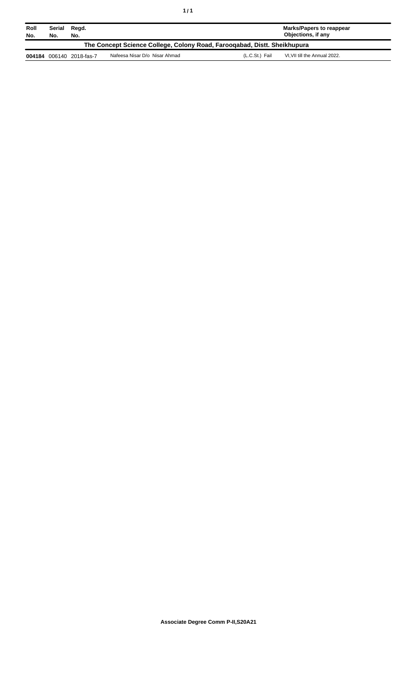| Roll<br>No.                                                              | Serial<br>No. | Regd.<br>No.             |                               |                | Marks/Papers to reappear<br>Objections, if any |  |
|--------------------------------------------------------------------------|---------------|--------------------------|-------------------------------|----------------|------------------------------------------------|--|
| The Concept Science College, Colony Road, Farooqabad, Distt. Sheikhupura |               |                          |                               |                |                                                |  |
|                                                                          |               | 004184 006140 2018-fas-7 | Nafeesa Nisar D/o Nisar Ahmad | (L.C.St.) Fail | VI.VII till the Annual 2022.                   |  |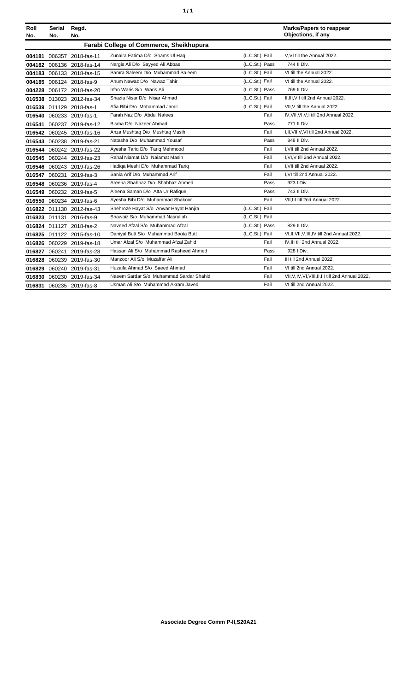| ٠ | ٠ |
|---|---|
|   |   |

| Roll<br>No. | Serial<br>No. | Regd.<br>No.              |                                                |                | <b>Marks/Papers to reappear</b><br>Objections, if any |
|-------------|---------------|---------------------------|------------------------------------------------|----------------|-------------------------------------------------------|
|             |               |                           | <b>Farabi College of Commerce, Sheikhupura</b> |                |                                                       |
|             |               | 004181 006357 2018-fas-11 | Zunaira Fatima D/o Shams Ul Haq                | (L.C.St.) Fail | V.VI till the Annual 2022.                            |
|             |               | 004182 006136 2018-fas-14 | Nargis Ali D/o Sayyed Ali Abbas                | (L.C.St.) Pass | 744 II Div.                                           |
|             |               | 004183 006133 2018-fas-15 | Samra Saleem D/o Muhammad Saleem               | (L.C.St.) Fail | VI till the Annual 2022.                              |
|             |               | 004185 006124 2018-fas-9  | Anum Nawaz D/o Nawaz Tahir                     | (L.C.St.) Fail | VI till the Annual 2022.                              |
|             |               | 004228 006172 2018-fas-20 | Irfan Waris S/o Waris Ali                      | (L.C.St.) Pass | 769 II Div.                                           |
|             |               | 016538 013023 2012-fas-34 | Shazia Nisar D/o Nisar Ahmad                   | (L.C.St.) Fail | II, III, VII till 2nd Annual 2022.                    |
|             |               | 016539 011129 2018-fas-1  | Afia Bibi D/o Mohammad Jamil                   | (L.C.St.) Fail | VII.V till the Annual 2022.                           |
|             |               | 016540 060233 2019-fas-1  | Farah Naz D/o Abdul Nafees                     | Fail           | IV, VII, VI, V, I till 2nd Annual 2022.               |
|             |               | 016541 060237 2019-fas-12 | Bisma D/o Nazeer Ahmad                         | Pass           | 771 II Div.                                           |
|             |               | 016542 060245 2019-fas-16 | Anza Mushtaq D/o Mushtaq Masih                 | Fail           | I, II, VII, V, VI till 2nd Annual 2022.               |
|             |               | 016543 060238 2019-fas-21 | Natasha D/o Muhammad Yousaf                    | Pass           | 848 II Div.                                           |
|             |               | 016544 060242 2019-fas-22 | Ayesha Tariq D/o Tariq Mehmood                 | Fail           | I.VII till 2nd Annual 2022.                           |
|             |               | 016545 060244 2019-fas-23 | Rahal Niamat D/o Najamat Masih                 | Fail           | I.VI.V till 2nd Annual 2022.                          |
|             |               | 016546 060243 2019-fas-26 | Hadiga Meshi D/o Muhammad Tariq                | Fail           | I.VII till 2nd Annual 2022.                           |
|             |               | 016547 060231 2019-fas-3  | Sania Arif D/o Muhammad Arif                   | Fail           | I.VI till 2nd Annual 2022.                            |
|             |               | 016548 060236 2019-fas-4  | Areeba Shahbaz D/o Shahbaz Ahmed               | Pass           | 923   Div.                                            |
|             |               | 016549 060232 2019-fas-5  | Aleena Saman D/o Atta Ur Rafique               | Pass           | 743 II Div.                                           |
|             |               | 016550 060234 2019-fas-6  | Ayesha Bibi D/o Muhammad Shakoor               | Fail           | VII, III till 2nd Annual 2022.                        |
|             |               | 016822 011130 2012-fas-43 | Shehroze Hayat S/o Anwar Hayat Hanjra          | (L.C.St.) Fail |                                                       |
|             |               | 016823 011131 2016-fas-9  | Shawaiz S/o Muhammad Nasrullah                 | (L.C.St.) Fail |                                                       |
|             |               | 016824 011127 2018-fas-2  | Naveed Afzal S/o Muhammad Afzal                | (L.C.St.) Pass | 829 II Div.                                           |
|             |               | 016825 011122 2015-fas-10 | Daniyal Butt S/o Muhammad Boota Butt           | (L.C.St.) Fail | VI,II, VII, V, III, IV till 2nd Annual 2022.          |
|             |               | 016826 060229 2019-fas-18 | Umar Afzal S/o Muhammad Afzal Zahid            | Fail           | IV, III till 2nd Annual 2022.                         |
|             |               | 016827 060241 2019-fas-28 | Hassan Ali S/o Muhammad Rasheed Ahmed          | Pass           | 928 I Div.                                            |
|             |               | 016828 060239 2019-fas-30 | Manzoor Ali S/o Muzaffar Ali                   | Fail           | III till 2nd Annual 2022.                             |
|             |               | 016829 060240 2019-fas-31 | Huzaifa Ahmad S/o Saeed Ahmad                  | Fail           | VI till 2nd Annual 2022.                              |
|             |               | 016830 060230 2019-fas-34 | Naeem Sardar S/o Muhammad Sardar Shahid        | Fail           | VII, V, IV, VI, VIII, II, III till 2nd Annual 2022.   |
|             |               | 016831 060235 2019-fas-8  | Usman Ali S/o Muhammad Akram Javed             | Fail           | VI till 2nd Annual 2022.                              |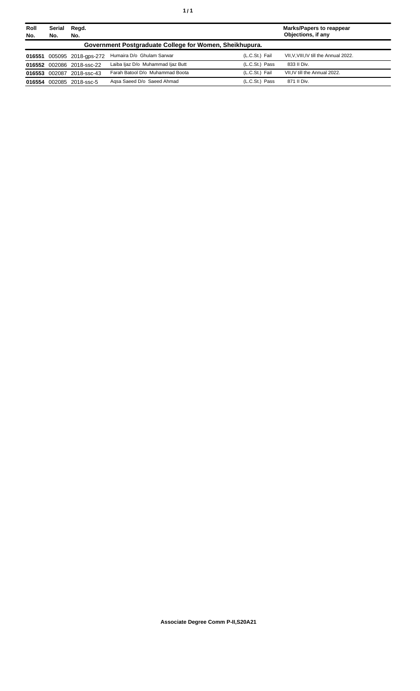| Roll | Serial        | Regd.                      |                                                         |                | <b>Marks/Papers to reappear</b>        |
|------|---------------|----------------------------|---------------------------------------------------------|----------------|----------------------------------------|
| No.  | No.           | No.                        |                                                         |                | Objections, if any                     |
|      |               |                            | Government Postgraduate College for Women, Sheikhupura. |                |                                        |
|      |               | 016551 005095 2018-gps-272 | Humaira D/o Ghulam Sarwar                               | (L.C.St.) Fail | VII, V, VIII, IV till the Annual 2022. |
|      |               | 016552 002086 2018-ssc-22  | Laiba Ijaz D/o Muhammad Ijaz Butt                       | (L.C.St.) Pass | 833 II Div.                            |
|      | 016553 002087 | 2018-ssc-43                | Farah Batool D/o Muhammad Boota                         | (L.C.St.) Fail | VII, IV till the Annual 2022.          |
|      |               | 016554 002085 2018-ssc-5   | Agsa Saeed D/o Saeed Ahmad                              | (L.C.St.) Pass | 871 II Div.                            |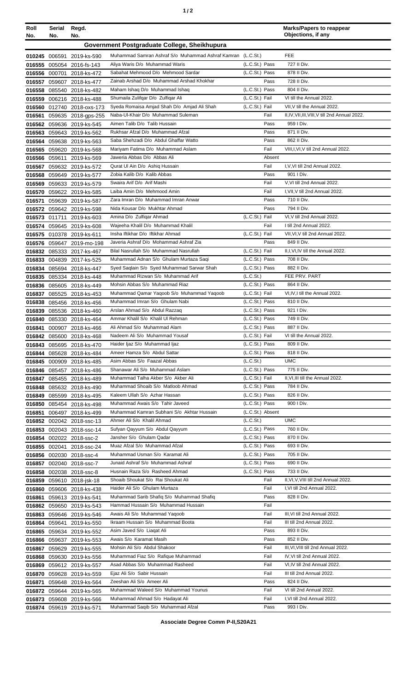| Roll<br>No.   | Serial<br>No. | Regd.<br>No.                                           |                                                                             |                                  | <b>Marks/Papers to reappear</b><br>Objections, if any         |
|---------------|---------------|--------------------------------------------------------|-----------------------------------------------------------------------------|----------------------------------|---------------------------------------------------------------|
|               |               |                                                        | Government Postgraduate College, Sheikhupura                                |                                  |                                                               |
|               |               | 010245 006591 2019-ks-590                              | Muhammad Samran Ashraf S/o Muhammad Ashraf Kamran (L.C.St.)                 |                                  | <b>FEE</b>                                                    |
|               |               | 016555 005054 2016-fs-143                              | Aliya Waris D/o Muhammad Waris                                              | (L.C.St.) Pass                   | 727 II Div.                                                   |
|               |               | 016556 000701 2018-ks-472                              | Sabahat Mehmood D/o Mehmood Sardar                                          | (L.C.St.) Pass                   | 878 II Div.                                                   |
|               |               | 016557 059607 2018-ks-477                              | Zainab Arshad D/o Muhammad Arshad Khokhar                                   | Pass                             | 728 II Div.                                                   |
|               |               | 016558 085540 2018-ks-482                              | Maham Ishaq D/o Muhammad Ishaq                                              | (L.C.St.) Pass                   | 804 II Div.                                                   |
|               |               | 016559 006216 2018-ks-488                              | Shumaila Zulifqar D/o Zulfiqar Ali                                          | (L.C.St.) Fail                   | VI till the Annual 2022.                                      |
|               |               | 016560 012740 2018-oxs-173                             | Syeda Romaisa Amjad Shah D/o Amjad Ali Shah                                 | (L.C.St.) Fail                   | VII.V till the Annual 2022.                                   |
|               |               | 016561 059635 2018-gps-255                             | Naba-UI-Khair D/o Muhammad Suleman<br>Aimen Talib D/o Talib Hussain         | Fail<br>Pass                     | II, IV, VII, III, VIII, V till 2nd Annual 2022.<br>959 I Div. |
| 016563        |               | 016562 059636 2019-ks-545<br>059643 2019-ks-562        | Rukhsar Afzal D/o Muhammad Afzal                                            | Pass                             | 871 II Div.                                                   |
| 016564        |               | 059638 2019-ks-563                                     | Saba Shehzadi D/o Abdul Ghaffar Watto                                       | Pass                             | 862 II Div.                                                   |
|               |               | 016565 059620 2019-ks-568                              | Mariyam Fatima D/o Muhammad Aslam                                           | Fail                             | VIII, I, VI, V till 2nd Annual 2022.                          |
|               | 016566 059611 | 2019-ks-569                                            | Jaweria Abbas D/o Abbas Ali                                                 | Absent                           |                                                               |
|               |               | 016567 059632 2019-ks-572                              | Qurat UI Ain D/o Ashiq Hussain                                              | Fail                             | I, V, VI till 2nd Annual 2022.                                |
|               |               | 016568 059649 2019-ks-577                              | Zobia Kalib D/o Kalib Abbas                                                 | Pass                             | 901   Div.                                                    |
|               |               | 016569 059633 2019-ks-579                              | Swaira Arif D/o Arif Mashi                                                  | Fail                             | V.VI till 2nd Annual 2022.                                    |
|               |               | 016570 059622 2019-ks-585                              | Laiba Amin D/o Mehmood Amin                                                 | Fail                             | I, VII, V till 2nd Annual 2022.                               |
| 016571        |               | 059639 2019-ks-587                                     | Zara Imran D/o Muhammad Imran Anwar                                         | Pass                             | 710 II Div.                                                   |
|               |               | 016572 059642 2019-ks-598                              | Nida Kousar D/o Mukhtar Ahmad                                               | Pass                             | 794 II Div.                                                   |
|               |               | 016573 011711 2019-ks-603                              | Amina D/o Zulfigar Ahmad                                                    | (L.C.St.) Fail                   | VI, V till 2nd Annual 2022.                                   |
|               |               | 016574 059645 2019-ks-608                              | Wajeeha Khalil D/o Muhammad Khalil                                          | Fail                             | I till 2nd Annual 2022.                                       |
|               |               | 016575 010378 2019-ks-611<br>016576 059647 2019-mo-198 | Insha Iftikhar D/o Iftikhar Ahmad<br>Javeria Ashraf D/o Mohammad Ashraf Zia | (L.C.St.) Fail<br>Pass           | VII, VI, V till 2nd Annual 2022.<br>849 II Div.               |
|               |               | 016832 085333 2017-ks-467                              | Bilal Nasrullah S/o Muhammad Nasrullah                                      | (L.C.St.) Fail                   | II, I, VI, IV till the Annual 2022.                           |
|               |               | 016833 004839 2017-ks-525                              | Muhammad Adnan S/o Ghulam Murtaza Saqi                                      | (L.C.St.) Pass                   | 708 II Div.                                                   |
|               |               | 016834 085694 2018-ks-447                              | Syed Saqlain S/o Syed Muhammad Sarwar Shah                                  | (L.C.St.) Pass                   | 882 II Div.                                                   |
|               |               | 016835 085334 2018-ks-448                              | Muhammad Rizwan S/o Muhammad Arif                                           | (L.C.S <sub>t</sub> )            | FEE PRV. PART                                                 |
|               |               | 016836 085605 2018-ks-449                              | Mohsin Abbas S/o Muhammad Riaz                                              | (L.C.St.) Pass                   | 864 II Div.                                                   |
|               |               | 016837 085525 2018-ks-453                              | Muhammad Qamar Yaqoob S/o Muhammad Yaqoob                                   | (L.C.St.) Fail                   | VI, IV, I till the Annual 2022.                               |
|               |               | 016838 085456 2018-ks-456                              | Muhammad Imran S/o Ghulam Nabi                                              | (L.C.St.) Pass                   | 810 II Div.                                                   |
|               |               | 016839 085536 2018-ks-460                              | Arslan Ahmad S/o Abdul Razzaq                                               | (L.C.St.) Pass                   | 921 I Div.                                                    |
|               |               | 016840 085330 2018-ks-464                              | Ammar Khalil S/o Khalil Ul Rehman                                           | (L.C.St.) Pass                   | 749 II Div.                                                   |
|               |               | 016841 000907 2018-ks-466                              | Ali Ahmad S/o Muhammad Alam                                                 | (L.C.St.) Pass                   | 887 II Div.                                                   |
|               |               | 016842 085600 2018-ks-468                              | Nadeem Ali S/o Muhammad Yousaf<br>Haider Ijaz S/o Muhammad Ijaz             | (L.C.St.) Fail<br>(L.C.St.) Pass | VI till the Annual 2022.<br>809 II Div.                       |
|               |               | 016843 085695 2018-ks-470<br>016844 085628 2018-ks-484 | Ameer Hamza S/o Abdul Sattar                                                | (L.C.St.) Pass                   | 818 II Div.                                                   |
|               |               | 016845 000909 2018-ks-485                              | Asim Abbas S/o Faazal Abbas                                                 | (L.C.St.)                        | <b>UMC</b>                                                    |
|               |               | 016846 085457 2018-ks-486                              | Shanawar Ali S/o Muhammad Aslam                                             | (L.C.St.) Pass                   | 775 II Div.                                                   |
|               |               | 016847 085455 2018-ks-489                              | Muhammad Talha Akber S/o Akber Ali                                          | (L.C.St.) Fail                   | II, VI, III till the Annual 2022.                             |
|               |               | 016848 085632 2018-ks-490                              | Muhammad Shoaib S/o Matloob Ahmad                                           | (L.C.St.) Pass                   | 784 II Div.                                                   |
|               |               | 016849 085599 2018-ks-495                              | Kaleem Ullah S/o Azhar Hassan                                               | (L.C.St.) Pass                   | 826 II Div.                                                   |
|               |               | 016850 085454 2018-ks-498                              | Muhammad Awais S/o Tahir Javeed                                             | (L.C.St.) Pass                   | 900 I Div.                                                    |
|               |               | 016851 006497 2018-ks-499                              | Muhammad Kamran Subhani S/o Akhtar Hussain                                  | (L.C.St.) Absent                 |                                                               |
|               |               | 016852 002042 2018-ssc-13                              | Ahmer Ali S/o Khalil Ahmad                                                  | (L.C.St.)                        | <b>UMC</b>                                                    |
|               |               | 016853 002043 2018-ssc-14                              | Sufyan Qayyum S/o Abdul Qayyum<br>Jansher S/o Ghulam Qadar                  | (L.C.St.) Pass                   | 760 II Div.                                                   |
|               |               | 016854 002022 2018-ssc-2                               | Muaz Afzal S/o Muhammad Afzal                                               | (L.C.St.) Pass<br>(L.C.St.) Pass | 870 II Div.<br>693 II Div.                                    |
|               |               | 016855 002041 2018-ssc-24<br>016856 002030 2018-ssc-4  | Muhammad Usman S/o Karamat Ali                                              | (L.C.St.) Pass                   | 705 II Div.                                                   |
|               |               | 016857 002040 2018-ssc-7                               | Junaid Ashraf S/o Muhammad Ashraf                                           | (L.C.St.) Pass                   | 690 II Div.                                                   |
|               |               | 016858 002038 2018-ssc-8                               | Husnain Raza S/o Rasheed Ahmad                                              | (L.C.St.) Pass                   | 733 II Div.                                                   |
|               |               | 016859 059610 2018-jsk-18                              | Shoaib Shoukat S/o Rai Shoukat Ali                                          | Fail                             | II, VI, V, VIII till 2nd Annual 2022.                         |
|               |               | 016860 059606 2018-ks-438                              | Haider Ali S/o Ghulam Murtaza                                               | Fail                             | I, VI till 2nd Annual 2022.                                   |
|               |               | 016861 059613 2019-ks-541                              | Muhammad Sarib Shafiq S/o Muhammad Shafiq                                   | Pass                             | 828 II Div.                                                   |
|               |               | 016862 059650 2019-ks-543                              | Hammad Hussain S/o Muhammad Hussain                                         | Fail                             |                                                               |
|               |               | 016863 059646 2019-ks-546                              | Awais Ali S/o Muhammad Yaqoob                                               | Fail                             | III, VI till 2nd Annual 2022.                                 |
| 016864 059641 |               | 2019-ks-550                                            | Ikraam Hussain S/o Muhammad Boota                                           | Fail                             | III till 2nd Annual 2022.                                     |
|               |               | 016865 059634 2019-ks-552                              | Asim Javed S/o Liagat Ali                                                   | Pass                             | 893 II Div.                                                   |
|               |               | 016866 059637 2019-ks-553                              | Awais S/o Karamat Masih                                                     | Pass                             | 852 II Div.                                                   |
|               |               | 016867 059629 2019-ks-555                              | Mohsin Ali S/o Abdul Shakoor                                                | Fail                             | III, VI, VIII till 2nd Annual 2022.                           |
|               |               | 016868 059630 2019-ks-556                              | Muhammad Fiaz S/o Rafique Muhammad<br>Asad Abbas S/o Muhammad Rasheed       | Fail<br>Fail                     | IV, VI till 2nd Annual 2022.<br>VI, IV till 2nd Annual 2022.  |
|               |               | 016869 059612 2019-ks-557<br>016870 059628 2019-ks-559 | Ejaz Ali S/o Sabir Hussain                                                  | Fail                             | III till 2nd Annual 2022.                                     |
|               |               | 016871 059648 2019-ks-564                              | Zeeshan Ali S/o Ameer Ali                                                   | Pass                             | 824 II Div.                                                   |
|               |               | 016872 059644 2019-ks-565                              | Muhammad Waleed S/o Muhammad Younus                                         | Fail                             | VI till 2nd Annual 2022.                                      |
|               |               | 016873 059608 2019-ks-566                              | Muhammad Ahmad S/o Hadayat Ali                                              | Fail                             | I, VI till 2nd Annual 2022.                                   |
|               |               | 016874 059619 2019-ks-571                              | Muhammad Saqib S/o Muhammad Afzal                                           | Pass                             | 993 I Div.                                                    |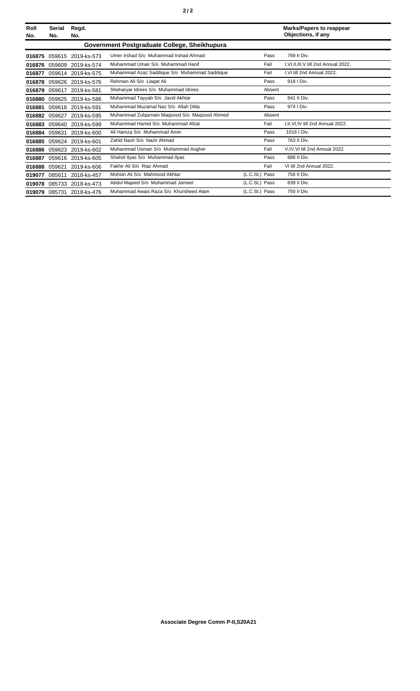| Roll<br>No. | Serial<br>No. | Regd.<br>No.       |                                               |                | <b>Marks/Papers to reappear</b><br>Objections, if any |
|-------------|---------------|--------------------|-----------------------------------------------|----------------|-------------------------------------------------------|
|             |               |                    | Government Postgraduate College, Sheikhupura  |                |                                                       |
| 016875      | 059615        | 2019-ks-573        | Umer Irshad S/o Muhammad Irshad Ahmad         | Pass           | 769 II Div.                                           |
| 016876      | 059609        | 2019-ks-574        | Muhammad Umair S/o Muhammad Hanif             | Fail           | I, VI, II, III, V till 2nd Annual 2022.               |
| 016877      |               | 059614 2019-ks-575 | Muhammad Azaz Saddique S/o Muhammad Saddique  | Fail           | I, VI till 2nd Annual 2022.                           |
| 016878      |               | 059626 2019-ks-576 | Rehman Ali S/o Liagat Ali                     | Pass           | 918   Div.                                            |
| 016879      |               | 059617 2019-ks-581 | Sheharyar Idrees S/o Muhammad Idrees          | Absent         |                                                       |
| 016880      | 059625        | 2019-ks-586        | Muhammad Tayyab S/o Javid Akhtar              | Pass           | 841 II Div.                                           |
| 016881      |               | 059618 2019-ks-591 | Muhammad Muzamal Naz S/o Allah Ditta          | Pass           | 974   Div.                                            |
| 016882      | 059627        | 2019-ks-595        | Muhammad Zulgarnain Magsood S/o Magsood Ahmed | Absent         |                                                       |
| 016883      | 059640        | 2019-ks-599        | Muhammad Hamid S/o Muhammad Afzal             | Fail           | I.II.VI.IV till 2nd Annual 2022.                      |
| 016884      | 059631        | 2019-ks-600        | Ali Hamza S/o Muhammad Amin                   | Pass           | 1016   Div.                                           |
| 016885      |               | 059624 2019-ks-601 | Zahid Nazir S/o Nazir Ahmad                   | Pass           | 763 II Div.                                           |
| 016886      |               | 059623 2019-ks-602 | Muhammad Usman S/o Muhammad Asgher            | Fail           | V, IV, VI till 2nd Annual 2022.                       |
| 016887      | 059616        | 2019-ks-605        | Shahid Ilyas S/o Muhammad Ilyas               | Pass           | 888 II Div.                                           |
| 016888      | 059621        | 2019-ks-606        | Fakhir Ali S/o Riaz Ahmad                     | Fail           | VI till 2nd Annual 2022.                              |
| 019077      | 085611        | 2018-ks-457        | Mohsin Ali S/o Mahmood Akhtar                 | (L.C.St.) Pass | 756 II Div.                                           |
| 019078      | 085733        | 2018-ks-473        | Abdul Majeed S/o Muhammad Jameel              | (L.C.St.) Pass | 839 II Div.                                           |
| 019079      |               | 085731 2018-ks-476 | Muhammad Awais Raza S/o Khursheed Alam        | (L.C.St.) Pass | 750 II Div.                                           |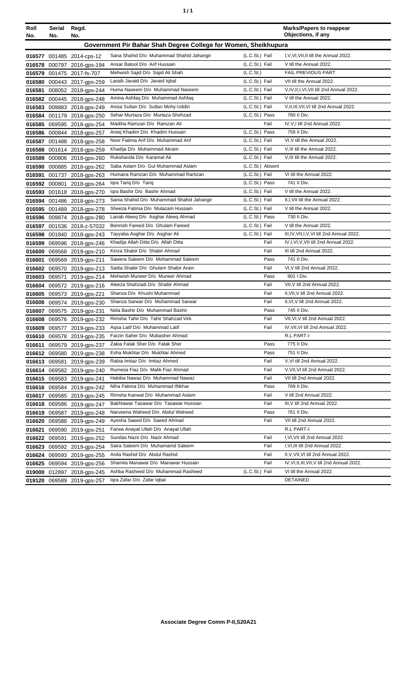| ٦ | ٠ |
|---|---|
|   |   |

| Roll<br>No. | Serial<br>No. | Regd.<br>No.               |                                                                 |                       | <b>Marks/Papers to reappear</b><br>Objections, if any |
|-------------|---------------|----------------------------|-----------------------------------------------------------------|-----------------------|-------------------------------------------------------|
|             |               |                            | Government Pir Bahar Shah Degree College for Women, Sheikhupura |                       |                                                       |
|             |               | 016577 001485 2014-cps-12  | Sana Shahid D/o Muhammad Shahid Jahangir                        | (L.C.St.) Fail        | I, V, VI, VII, II till the Annual 2022.               |
|             |               | 016578 000797 2016-gps-194 | Ansar Batool D/o Arif Hussain                                   | (L.C.St.) Fail        | V till the Annual 2022.                               |
|             |               | 016579 001475 2017-fs-707  | Mehwish Sajid D/o Sajid Ali Shah                                | (L.C.S <sub>t</sub> ) | <b>FAIL PREVIOUS PART</b>                             |
| 016580      |               | 000443 2017-gps-259        | Laraib Javaid D/o Javaid Iqbal                                  | (L.C.St.) Fail        | VII till the Annual 2022.                             |
| 016581      |               | 008052 2018-gps-244        | Huma Naseem D/o Muhammad Naseem                                 | (L.C.St.) Fail        | V, IV, II, I, VI, VII till 2nd Annual 2022.           |
| 016582      |               | 000445 2018-gps-248        | Amina Ashfaq D/o Muhammad Ashfaq                                | (L.C.St.) Fail        | V till the Annual 2022.                               |
| 016583      |               | 009883 2018-gps-249        | Anisa Sultan D/o Sultan Mohy-Uddin                              | (L.C.St.) Fail        | V, II, III, VII, VI till 2nd Annual 2022.             |
|             |               | 016584 001179 2018-gps-250 | Sehar Murtaza D/o Murtaza Shehzad                               | (L.C.St.) Pass        | 760 II Div.                                           |
| 016585      |               | 069595 2018-gps-254        | Madiha Ramzan D/o Ramzan Ali                                    | Fail                  | IV, V, I till 2nd Annual 2022.                        |
|             |               | 016586 000844 2018-gps-257 | Areej Khadim D/o Khadim Hussain                                 | (L.C.St.) Pass        | 759 II Div.                                           |
| 016587      |               | 001488 2018-gps-258        | Noor Fatima Arif D/o Muhammad Arif                              | (L.C.St.) Fail        | VI, V till the Annual 2022.                           |
| 016588      |               | 001614 2018-gps-259        | Khadija D/o Muhammad Akram                                      | (L.C.St.) Fail        | V, III till the Annual 2022.                          |
| 016589      |               | 000806 2018-gps-260        | Rukshanda D/o Karamat Ali                                       | (L.C.St.) Fail        | V, III till the Annual 2022.                          |
| 016590      |               | 000885 2018-gps-262        | Saba Aslam D/o Gul Muhammad Aslam                               | (L.C.St.) Absent      |                                                       |
| 016591      |               | 001737 2018-gps-263        | Humaira Ramzan D/o Muhammad Ramzan                              | (L.C.St.) Fail        | VI till the Annual 2022.                              |
| 016592      | 000801        | 2018-gps-264               | Igra Tarig D/o Tarig                                            | (L.C.St.) Pass        | 741 II Div.                                           |
|             |               | 016593 001618 2018-gps-270 | Iqra Bashir D/o Bashir Ahmad                                    | (L.C.St.) Fail        | V till the Annual 2022.                               |
|             |               | 016594 001486 2018-gps-273 | Sania Shahid D/o Muhammad Shahid Jahangir                       | (L.C.St.) Fail        | II, I, VII till the Annual 2022.                      |
|             |               | 016595 001489 2018-gps-278 | Sheeza Fatima D/o Mulazam Hussain                               | (L.C.St.) Fail        | V till the Annual 2022.                               |
| 016596      |               | 009874 2018-gps-280        | Lairab Ateeg D/o Asghar Ateeg Ahmad                             | (L.C.St.) Pass        | 730 II Div.                                           |
| 016597      |               | 001536 2018-z-57032        | Bennish Fareed D/o Ghulam Fareed                                | (L.C.St.) Fail        | V till the Annual 2022.                               |
| 016598      |               | 001840 2018-gps-243        | Tayyaba Asghar D/o Asghar Ali                                   | (L.C.St.) Fail        | III, IV, VII, I, V, VI till 2nd Annual 2022.          |
| 016599      |               | 069596 2018-gps-246        | Khadija Allah Ditta D/o Allah Ditta                             | Fail                  | IV,I,VI,V,VII till 2nd Annual 2022.                   |
| 016600      |               | 069568 2019-gps-210        | Kinza Shabir D/o Shabir Ahmad                                   | Fail                  | III till 2nd Annual 2022.                             |
| 016601      |               | 069569 2019-gps-211        | Sawera Saleem D/o Mohammad Saleem                               | Pass                  | 741 II Div.                                           |
|             |               | 016602 069570 2019-gps-213 | Sadia Shabir D/o Ghulam Shabir Arain                            | Fail                  | VI, V till 2nd Annual 2022.                           |
|             | 016603 069571 | 2019-gps-214               | Mehwish Muneer D/o Muneer Ahmad                                 | Pass                  | 901   Div.                                            |
| 016604      |               | 069572 2019-gps-216        | Aleeza Shahzadi D/o Shabir Ahmad                                | Fail                  | VII, V till 2nd Annual 2022.                          |
| 016605      |               | 069573 2019-gps-221        | Shanza D/o Khushi Muhammad                                      | Fail                  | II.VII.V till 2nd Annual 2022.                        |
| 016606      |               | 069574 2019-gps-230        | Shanza Sarwar D/o Muhammad Sarwar                               | Fail                  | II, VI, V till 2nd Annual 2022.                       |
| 016607      |               | 069575 2019-gps-231        | Nida Bashir D/o Muhammad Bashir                                 | Pass                  | 745 II Div.                                           |
| 016608      |               | 069576 2019-gps-232        | Rimsha Tahir D/o Tahir Shahzad Virk                             | Fail                  | VII, VI, V till 2nd Annual 2022.                      |
|             |               | 016609 069577 2019-gps-233 | Aqsa Latif D/o Muhammad Latif                                   | Fail                  | IV, VII, VI till 2nd Annual 2022.                     |
|             |               | 016610 069578 2019-gps-235 | Farzin Saher D/o Mubasher Ahmad                                 |                       | R.L PART-I                                            |
|             |               | 016611 069579 2019-gps-237 | Zakia Falak Sher D/o Falak Sher                                 | Pass                  | 775 II Div.                                           |
|             |               | 016612 069580 2019-gps-238 | Esha Mukhtar D/o Mukhtar Ahmed                                  | Pass                  | 751 II Div.                                           |
|             | 016613 069581 | 2019-gps-239               | Rabia Imtiaz D/o Imtiaz Ahmed                                   | Fail                  | V, VI till 2nd Annual 2022.                           |
|             |               | 016614 069582 2019-gps-240 | Rumesa Fiaz D/o Malik Fiaz Ahmad                                | Fail                  | V, VII, VI till 2nd Annual 2022.                      |
|             |               | 016615 069583 2019-gps-241 | Habiba Nawaz D/o Muhammad Nawaz                                 | Fail                  | VII till 2nd Annual 2022.                             |
|             |               | 016616 069584 2019-gps-242 | Niha Fatima D/o Muhammad Iftikhar                               | Pass                  | 769 II Div.                                           |
| 016617      |               | 069585 2019-gps-245        | Rimsha Kanwal D/o Muhammad Aslam                                | Fail                  | V till 2nd Annual 2022.                               |
|             |               | 016618 069586 2019-gps-247 | Bakhtawar Tasawar D/o Tasawar Hussian                           | Fail                  | III, V till 2nd Annual 2022.                          |
|             |               | 016619 069587 2019-gps-248 | Narveena Waheed D/o Abdul Waheed                                | Pass                  | 761 II Div.                                           |
| 016620      |               | 069588 2019-gps-249        | Ayesha Saeed D/o Saeed Ahmad                                    | Fail                  | VII till 2nd Annual 2022.                             |
| 016621      |               | 069590 2019-gps-251        | Farwa Anayat Ullah D/o Anayat Ullah                             |                       | R.L PART-I                                            |
| 016622      | 069591        | 2019-gps-252               | Sundas Nazir D/o Nazir Ahmad                                    | Fail                  | I, VI, VII till 2nd Annual 2022.                      |
| 016623      |               | 069592 2019-gps-254        | Saira Saleem D/o Muhamamd Saleem                                | Fail                  | I, VI, III till 2nd Annual 2022.                      |
|             |               | 016624 069593 2019-gps-255 | Anila Rashid D/o Abdul Rashid                                   | Fail                  | II, V, VII, VI till 2nd Annual 2022.                  |
|             |               | 016625 069594 2019-gps-256 | Shamila Manawar D/o Manawar Hussain                             | Fail                  | IV, VI, II, III, VII, V till 2nd Annual 2022.         |
|             |               | 019000 012897 2018-gps-245 | Ashba Rasheed D/o Muhammad Rasheed                              | (L.C.St.) Fail        | VI till the Annual 2022.                              |
|             |               | 019120 069589 2019-gps-257 | Iqra Zafar D/o Zafar Iqbal                                      |                       | <b>DETAINED</b>                                       |
|             |               |                            |                                                                 |                       |                                                       |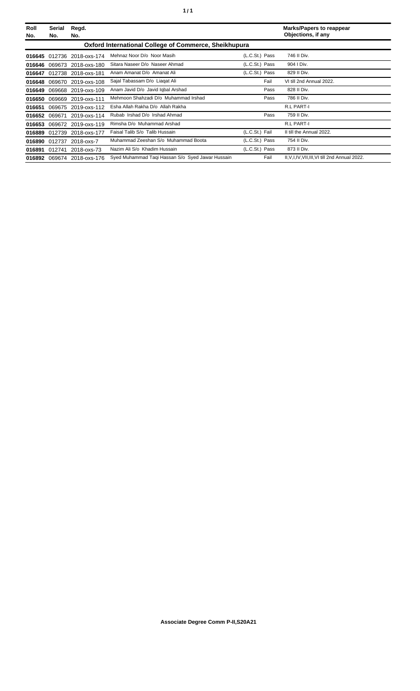| Roll<br>No. | Serial<br>No. | Regd.<br>No.               |                                                              |                | <b>Marks/Papers to reappear</b><br>Objections, if any |
|-------------|---------------|----------------------------|--------------------------------------------------------------|----------------|-------------------------------------------------------|
|             |               |                            | <b>Oxford International College of Commerce, Sheikhupura</b> |                |                                                       |
|             |               | 016645 012736 2018-oxs-174 | Mehnaz Noor D/o Noor Masih                                   | (L.C.St.) Pass | 746 II Div.                                           |
| 016646      |               | 069673 2018-oxs-180        | Sitara Naseer D/o Naseer Ahmad                               | (L.C.St.) Pass | 904   Div.                                            |
|             |               | 016647 012738 2018-oxs-181 | Anam Amanat D/o Amanat Ali                                   | (L.C.St.) Pass | 829 II Div.                                           |
|             |               | 016648 069670 2019-oxs-108 | Sajal Tabassam D/o Liagat Ali                                | Fail           | VI till 2nd Annual 2022.                              |
| 016649      |               | 069668 2019-oxs-109        | Anam Javid D/o Javid Iqbal Arshad                            | Pass           | 828 II Div.                                           |
| 016650      |               | 069669 2019-oxs-111        | Mehmoon Shahzadi D/o Muhammad Irshad                         | Pass           | 786 II Div.                                           |
| 016651      |               | 069675 2019-oxs-112        | Esha Allah Rakha D/o Allah Rakha                             |                | R.L PART-I                                            |
|             | 016652 069671 | 2019-oxs-114               | Rubab Irshad D/o Irshad Ahmad                                | Pass           | 759 II Div.                                           |
| 016653      |               | 069672 2019-oxs-119        | Rimsha D/o Muhammad Arshad                                   |                | R.L PART-I                                            |
|             |               | 016889 012739 2018-oxs-177 | Faisal Talib S/o Talib Hussain                               | (L.C.St.) Fail | II till the Annual 2022.                              |
|             | 016890 012737 | 2018-oxs-7                 | Muhammad Zeeshan S/o Muhammad Boota                          | (L.C.St.) Pass | 754 II Div.                                           |
| 016891      | 012741        | 2018-oxs-73                | Nazim Ali S/o Khadim Hussain                                 | (L.C.St.) Pass | 873 II Div.                                           |
|             |               | 016892 069674 2018-oxs-176 | Syed Muhammad Taqi Hassan S/o Syed Jawar Hussain             | Fail           | II, V, I, IV, VII, III, VI till 2nd Annual 2022.      |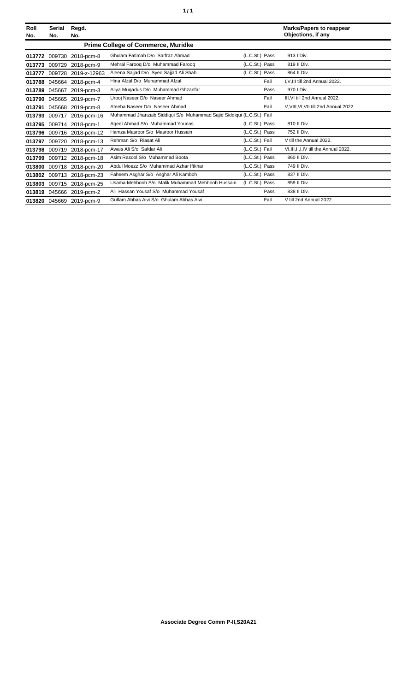| Roll<br>No. | Serial<br>No. | Regd.<br>No.             |                                                                       |                | <b>Marks/Papers to reappear</b><br>Objections, if any |
|-------------|---------------|--------------------------|-----------------------------------------------------------------------|----------------|-------------------------------------------------------|
|             |               |                          |                                                                       |                |                                                       |
| 013772      |               | 009730 2018-pcm-8        | Ghulam Fatimah D/o Sarfraz Ahmad                                      | (L.C.St.) Pass | 913   Div.                                            |
| 013773      | 009729        | 2018-pcm-9               | Mehral Faroog D/o Muhammad Faroog                                     | (L.C.St.) Pass | 819 II Div.                                           |
| 013777      | 009728        | 2019-z-12963             | Aleena Sajjad D/o Syed Sajjad Ali Shah                                | (L.C.St.) Pass | 864 II Div.                                           |
| 013788      |               | 045664 2018-pcm-4        | Hina Afzal D/o Muhammad Afzal                                         | Fail           | I.V.III till 2nd Annual 2022.                         |
| 013789      |               | 045667 2019-pcm-3        | Aliya Muqadus D/o Muhammad Ghzanfar                                   | Pass           | 970   Div.                                            |
| 013790      |               | 045665 2019-pcm-7        | Urooj Naseer D/o Naseer Ahmad                                         | Fail           | III.VI till 2nd Annual 2022.                          |
| 013791      | 045668        | 2019-pcm-8               | Ateeba Naseer D/o Naseer Ahmad                                        | Fail           | V, VIII, VI, VII till 2nd Annual 2022.                |
| 013793      | 009717        | 2016-pcm-16              | Muhammad Jhanzaib Siddiqui S/o Muhammad Sajid Siddiqui (L.C.St.) Fail |                |                                                       |
| 013795      |               | 009714 2018-pcm-1        | Ageel Ahmad S/o Muhammad Younas                                       | (L.C.St.) Pass | 810 II Div.                                           |
| 013796      | 009716        | 2018-pcm-12              | Hamza Masroor S/o Masroor Hussain                                     | (L.C.St.) Pass | 752 II Div.                                           |
| 013797      | 009720        | 2018-pcm-13              | Rehman S/o Riasat Ali                                                 | (L.C.St.) Fail | V till the Annual 2022.                               |
| 013798      | 009719        | 2018-pcm-17              | Awais Ali S/o Safdar Ali                                              | (L.C.St.) Fail | VI, III, II, I, IV till the Annual 2022.              |
| 013799      |               | 009712 2018-pcm-18       | Asim Rasool S/o Muhammad Boota                                        | (L.C.St.) Pass | 860 II Div.                                           |
| 013800      | 009718        | 2018-pcm-20              | Abdul Moezz S/o Muhammad Azhar Iftkhar                                | (L.C.St.) Pass | 749 II Div.                                           |
| 013802      | 009713        | 2018-pcm-23              | Faheem Asghar S/o Asghar Ali Kamboh                                   | (L.C.St.) Pass | 837 II Div.                                           |
| 013803      |               | 009715 2018-pcm-25       | Usama Mehboob S/o Malik Muhammad Mehboob Hussain                      | (L.C.St.) Pass | 859 II Div.                                           |
| 013819      | 045666        | 2019-pcm-2               | Ali Hassan Yousaf S/o Muhammad Yousaf                                 | Pass           | 838 II Div.                                           |
|             |               | 013820 045669 2019-pcm-9 | Gulfam Abbas Alvi S/o Ghulam Abbas Alvi                               | Fail           | V till 2nd Annual 2022.                               |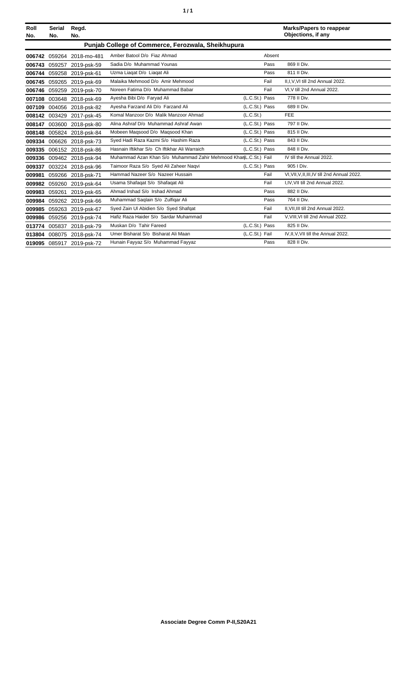| Roll<br>No. | <b>Serial</b><br>No. | Regd.<br>No.              |                                                                  |                       | <b>Marks/Papers to reappear</b><br>Objections, if any |
|-------------|----------------------|---------------------------|------------------------------------------------------------------|-----------------------|-------------------------------------------------------|
|             |                      |                           | Punjab College of Commerce, Ferozwala, Sheikhupura               |                       |                                                       |
|             |                      | 006742 059264 2018-mo-481 | Amber Batool D/o Fiaz Ahmad                                      | Absent                |                                                       |
|             |                      | 006743 059257 2019-psk-59 | Sadia D/o Muhammad Younas                                        | Pass                  | 869 II Div.                                           |
|             |                      | 006744 059258 2019-psk-61 | Uzma Liagat D/o Liagat Ali                                       | Pass                  | 811 II Div.                                           |
|             |                      | 006745 059265 2019-psk-69 | Malaika Mehmood D/o Amir Mehmood                                 | Fail                  | II, I, V, VI till 2nd Annual 2022.                    |
|             |                      | 006746 059259 2019-psk-70 | Noreen Fatima D/o Muhammad Babar                                 | Fail                  | VI, V till 2nd Annual 2022.                           |
|             |                      | 007108 003648 2018-psk-69 | Ayesha Bibi D/o Faryad Ali                                       | (L.C.St.) Pass        | 778 II Div.                                           |
|             |                      | 007109 004056 2018-psk-82 | Ayesha Farzand Ali D/o Farzand Ali                               | (L.C.St.) Pass        | 689 II Div.                                           |
|             |                      | 008142 003429 2017-psk-45 | Komal Manzoor D/o Malik Manzoor Ahmad                            | (L.C.S <sub>t</sub> ) | <b>FEE</b>                                            |
|             |                      | 008147 003600 2018-psk-80 | Alina Ashraf D/o Muhammad Ashraf Awan                            | (L.C.St.) Pass        | 797 II Div.                                           |
|             |                      | 008148 005824 2018-psk-84 | Mobeen Magsood D/o Magsood Khan                                  | (L.C.St.) Pass        | 815 II Div.                                           |
|             |                      | 009334 006626 2018-psk-73 | Syed Hadi Raza Kazmi S/o Hashim Raza                             | (L.C.St.) Pass        | 843 II Div.                                           |
|             |                      | 009335 006152 2018-psk-86 | Hasnain Iftikhar S/o Ch Iftikhar Ali Warraich                    | (L.C.St.) Pass        | 848 II Div.                                           |
|             |                      | 009336 009462 2018-psk-94 | Muhammad Azan Khan S/o Muhammad Zahir Mehmood Khan(L.C.St.) Fail |                       | IV till the Annual 2022.                              |
| 009337      |                      | 003224 2018-psk-96        | Taimoor Raza S/o Syed Ali Zaheer Nagvi                           | (L.C.St.) Pass        | 905   Div.                                            |
|             |                      | 009981 059266 2018-psk-71 | Hammad Nazeer S/o Nazeer Hussain                                 | Fail                  | VI, VII, V, II, III, IV till 2nd Annual 2022.         |
|             |                      | 009982 059260 2019-psk-64 | Usama Shafaqat S/o Shafaqat Ali                                  | Fail                  | I,IV, VII till 2nd Annual 2022.                       |
|             |                      | 009983 059261 2019-psk-65 | Ahmad Irshad S/o Irshad Ahmad                                    | Pass                  | 882 II Div.                                           |
|             |                      | 009984 059262 2019-psk-66 | Muhammad Saqlain S/o Zulfiqar Ali                                | Pass                  | 764 II Div.                                           |
| 009985      |                      | 059263 2019-psk-67        | Syed Zain Ul Abidien S/o Syed Shafqat                            | Fail                  | II.VII.III till 2nd Annual 2022.                      |
|             |                      | 009986 059256 2019-psk-74 | Hafiz Raza Haider S/o Sardar Muhammad                            | Fail                  | V, VIII, VI till 2nd Annual 2022.                     |
|             |                      | 013774 005837 2018-psk-79 | Muskan D/o Tahir Fareed                                          | (L.C.St.) Pass        | 825 II Div.                                           |
|             |                      | 013804 008075 2018-psk-74 | Umer Bisharat S/o Bisharat Ali Maan                              | (L.C.St.) Fail        | IV, II, V, VII till the Annual 2022.                  |
|             |                      | 019095 085917 2019-psk-72 | Hunain Fayyaz S/o Muhammad Fayyaz                                | Pass                  | 828 II Div.                                           |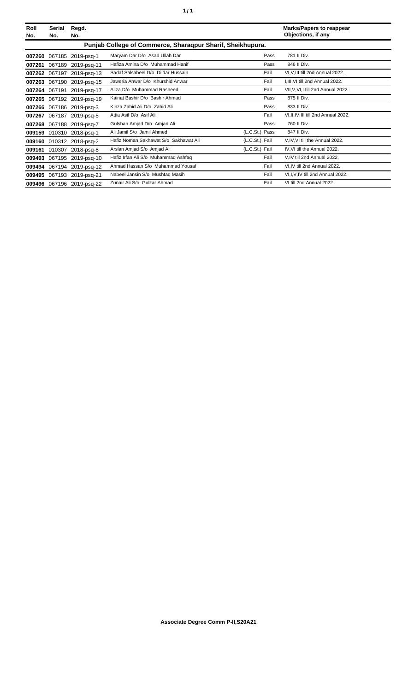| Roll<br>No. | Serial<br>No. | Regd.<br>No.              |                                                            |                | <b>Marks/Papers to reappear</b><br>Objections, if any |
|-------------|---------------|---------------------------|------------------------------------------------------------|----------------|-------------------------------------------------------|
|             |               |                           | Punjab College of Commerce, Sharaqpur Sharif, Sheikhupura. |                |                                                       |
| 007260      |               | 067185 2019-psq-1         | Maryam Dar D/o Asad Ullah Dar                              | Pass           | 781 II Div.                                           |
| 007261      |               | 067189 2019-psq-11        | Hafiza Amina D/o Muhammad Hanif                            | Pass           | 846 II Div.                                           |
| 007262      |               | 067197 2019-psg-13        | Sadaf Salsabeel D/o Dildar Hussain                         | Fail           | VI, V, III till 2nd Annual 2022.                      |
| 007263      |               | 067190 2019-psq-15        | Jaweria Anwar D/o Khurshid Anwar                           | Fail           | I, III, VI till 2nd Annual 2022.                      |
| 007264      | 067191        | 2019-psg-17               | Aliza D/o Muhammad Rasheed                                 | Fail           | VII, V, VI, I till 2nd Annual 2022.                   |
| 007265      |               | 067192 2019-psq-19        | Kainat Bashir D/o Bashir Ahmad                             | Pass           | 875 II Div.                                           |
| 007266      |               | 067186 2019-psg-3         | Kinza Zahid Ali D/o Zahid Ali                              | Pass           | 833 II Div.                                           |
| 007267      |               | 067187 2019-psq-5         | Attia Asif D/o Asif Ali                                    | Fail           | VI, II, IV, III till 2nd Annual 2022.                 |
| 007268      |               | 067188 2019-psg-7         | Gulshan Amjad D/o Amjad Ali                                | Pass           | 760 II Div.                                           |
| 009159      |               | 010310 2018-psq-1         | Ali Jamil S/o Jamil Ahmed                                  | (L.C.St.) Pass | 847 II Div.                                           |
|             |               | 009160 010312 2018-psq-2  | Hafiz Noman Sakhawat S/o Sakhawat Ali                      | (L.C.St.) Fail | V, IV, VI till the Annual 2022.                       |
| 009161      | 010307        | 2018-psg-8                | Arslan Amjad S/o Amjad Ali                                 | (L.C.St.) Fail | IV, VI till the Annual 2022.                          |
| 009493      | 067195        | 2019-psg-10               | Hafiz Irfan Ali S/o Muhammad Ashfaq                        | Fail           | V.IV till 2nd Annual 2022.                            |
| 009494      | 067194        | 2019-psg-12               | Ahmad Hassan S/o Muhammad Yousaf                           | Fail           | VI, IV till 2nd Annual 2022.                          |
| 009495      |               | 067193 2019-psq-21        | Nabeel Jansin S/o Mushtaq Masih                            | Fail           | VI,I, V, IV till 2nd Annual 2022.                     |
|             |               | 009496 067196 2019-psq-22 | Zunair Ali S/o Gulzar Ahmad                                | Fail           | VI till 2nd Annual 2022.                              |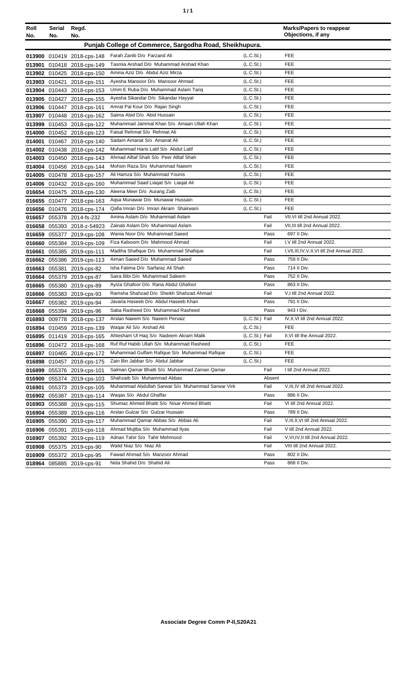| ٠ | ٠ |
|---|---|
|   |   |

| Roll<br>No. | Serial<br>No. | Regd.<br>No.                                             |                                                                       |                                    | <b>Marks/Papers to reappear</b><br>Objections, if any |
|-------------|---------------|----------------------------------------------------------|-----------------------------------------------------------------------|------------------------------------|-------------------------------------------------------|
|             |               |                                                          | Punjab College of Commerce, Sargodha Road, Sheikhupura.               |                                    |                                                       |
|             |               |                                                          |                                                                       |                                    |                                                       |
|             |               | 013900 010419 2018-cps-148                               | Farah Zanib D/o Farzand Ali<br>Tasmia Arshad D/o Muhammad Arshad Khan | (L.C.S <sub>t</sub> )<br>(L.C.St.) | <b>FEE</b><br><b>FEE</b>                              |
| 013901      |               | 010418 2018-cps-149                                      | Amina Aziz D/o Abdul Aziz Mirza                                       | (L.C.S <sub>t</sub> )              | FEE                                                   |
|             |               | 013902 010425 2018-cps-150                               | Ayesha Mansoor D/o Mansoor Ahmad                                      | (L.C.St.)                          | <b>FEE</b>                                            |
|             | 013903 010421 | 2018-cps-151                                             | Umm E Ruba D/o Muhammad Aslam Tariq                                   | (L.C.S <sub>t</sub> )              | FEE                                                   |
|             |               | 013904 010443 2018-cps-153<br>013905 010427 2018-cps-155 | Ayesha Sikandar D/o Sikandar Hayyat                                   | (L.C.S <sub>t</sub> )              | FEE                                                   |
|             |               | 013906 010447 2018-cps-161                               | Amrat Pal Kour D/o Rajan Singh                                        | (L.C.S <sub>t</sub> )              | FEE                                                   |
|             |               | 013907 010448 2018-cps-162                               | Saima Abid D/o Abid Hussain                                           | (L.C.S <sub>t</sub> )              | <b>FEE</b>                                            |
|             |               | 013999 010453 2018-cps-122                               | Muhammad Jammal Khan S/o Amaan Ullah Khan                             | (L.C.S <sub>t</sub> )              | FEE                                                   |
|             |               | 014000 010452 2018-cps-123                               | Faisal Rehmat S/o Rehmat Ali                                          | (L.C.St.)                          | <b>FEE</b>                                            |
|             |               | 014001 010467 2018-cps-140                               | Sadam Amanat S/o Amanat Ali                                           | (L.C.S <sub>t</sub> )              | FEE                                                   |
|             |               | 014002 010438 2018-cps-142                               | Muhammad Haris Latif S/o Abdul Latif                                  | (L.C.St.)                          | <b>FEE</b>                                            |
|             |               | 014003 010450 2018-cps-143                               | Ahmad Alltaf Shah S/o Peer Alltaf Shah                                | (L.C.S <sub>t</sub> )              | FEE                                                   |
|             |               | 014004 010456 2018-cps-144                               | Mohsin Raza S/o Muhammad Naeem                                        | (L.C.S <sub>t</sub> )              | FEE                                                   |
|             |               | 014005 010478 2018-cps-157                               | Ali Hamza S/o Muhammad Younis                                         | (L.C.St.)                          | FEE                                                   |
|             |               | 014006 010432 2018-cps-160                               | Muhammad Saad Liagat S/o Liagat Ali                                   | (L.C.St.)                          | <b>FEE</b>                                            |
|             |               | 016654 010475 2018-cps-130                               | Aleena Meer D/o Aurang Zaib                                           | (L.C.St.)                          | <b>FEE</b>                                            |
|             |               | 016655 010477 2018-cps-163                               | Agsa Munawar D/o Munawar Hussain                                      | (L.C.S <sub>t</sub> )              | <b>FEE</b>                                            |
|             |               | 016656 010476 2018-cps-174                               | Qafia Imran D/o Imran Akram Shairwani                                 | (L.C.S <sub>t</sub> )              | FEE                                                   |
| 016657      |               | 055378 2014-fs-232                                       | Amina Aslam D/o Muhammad Aslam                                        | Fail                               | VII, VI till 2nd Annual 2022.                         |
| 016658      |               | 055393 2018-z-54923                                      | Zainab Aslam D/o Muhammad Aslam                                       | Fail                               | VII, III till 2nd Annual 2022.                        |
| 016659      |               | 055377 2019-cps-108                                      | Wania Noor D/o Muhammad Saeed                                         | Pass                               | 697 II Div.                                           |
|             |               | 016660 055384 2019-cps-109                               | Fiza Kalsoom D/o Mahmood Ahmad                                        | Fail                               | I, V till 2nd Annual 2022.                            |
|             |               | 016661 055385 2019-cps-111                               | Madiha Shafique D/o Muhammad Shafique                                 | Fail                               | I, VII, III, IV, V, II, VI till 2nd Annual 2022.      |
|             |               | 016662 055386 2019-cps-113                               | Aiman Saeed D/o Muhammad Saeed                                        | Pass                               | 759 II Div.                                           |
|             |               | 016663 055381 2019-cps-82                                | Isha Fatima D/o Sarfaraz Ali Shah                                     | Pass                               | 714 II Div.                                           |
|             |               | 016664 055379 2019-cps-87                                | Saira Bibi D/o Muhammad Saleem                                        | Pass                               | 752 II Div.                                           |
|             |               | 016665 055380 2019-cps-89                                | Ayiza Ghafoor D/o Rana Abdul Ghafoor                                  | Pass                               | 863 II Div.                                           |
|             |               | 016666 055383 2019-cps-93                                | Ramsha Shahzad D/o Sheikh Shahzad Ahmad                               | Fail                               | V,I till 2nd Annual 2022.                             |
|             |               | 016667 055382 2019-cps-94                                | Javaria Haseeb D/o Abdul Haseeb Khan                                  | Pass                               | 791 II Div.                                           |
|             |               | 016668 055394 2019-cps-96                                | Saba Rasheed D/o Muhammad Rasheed                                     | Pass                               | 943   Div.                                            |
|             |               | 016893 009778 2018-cps-137                               | Arslan Naeem S/o Naeem Pervaiz                                        | (L.C.St.) Fail                     | IV, II, VI till 2nd Annual 2022.                      |
|             |               | 016894 010459 2018-cps-139                               | Waqar Ali S/o Arshad Ali                                              | (L.C.St.)                          | <b>FEE</b>                                            |
|             |               | 016895 011419 2018-cps-165                               | Ahtesham UI Haq S/o Nadeem Akram Malik                                | (L.C.St.) Fail                     | II, VI till the Annual 2022.                          |
|             |               | 016896 010472 2018-cps-168                               | Ruf Ruf Habib Ullah S/o Muhammad Rasheed                              | (L.C.S <sub>t</sub> )              | FEE                                                   |
|             |               | 016897 010465 2018-cps-172                               | Muhammad Gulfam Rafique S/o Muhammad Rafique                          | (L.C.St.)                          | <b>FEE</b>                                            |
|             |               | 016898 010457 2018-cps-175                               | Zain Bin Jabbar S/o Abdul Jabbar                                      | (L.C.S <sub>t</sub> )              | <b>FEE</b>                                            |
|             |               | 016899 055376 2019-cps-101                               | Salman Qamar Bhatti S/o Muhammad Zaman Qamar                          | Fail                               | I till 2nd Annual 2022.                               |
|             |               | 016900 055374 2019-cps-103                               | Shahzaib S/o Muhammad Abbas                                           | Absent                             |                                                       |
|             |               | 016901 055373 2019-cps-105                               | Muhammad Abdullah Sarwar S/o Muhammad Sarwar Virk                     | Fail                               | V, III, IV till 2nd Annual 2022.<br>886 II Div.       |
|             |               | 016902 055387 2019-cps-114                               | Waqas S/o Abdul Ghaffar<br>Shumaz Ahmed Bhatti S/o Nisar Ahmed Bhatti | Pass<br>Fail                       | VI till 2nd Annual 2022.                              |
|             |               | 016903 055388 2019-cps-115                               | Arslan Gulzar S/o Gulzar Hussain                                      | Pass                               | 789 II Div.                                           |
|             |               | 016904 055389 2019-cps-116                               | Muhammad Qamar Abbas S/o Abbas Ali                                    | Fail                               | V, III, II, VI till 2nd Annual 2022.                  |
|             |               | 016905 055390 2019-cps-117                               | Ahmad Mujtba S/o Muhammad Ilyas                                       | Fail                               | V till 2nd Annual 2022.                               |
|             |               | 016906 055391 2019-cps-118                               | Adnan Tahir S/o Tahir Mehmood                                         | Fail                               | V, VI, IV, II till 2nd Annual 2022.                   |
|             |               | 016907 055392 2019-cps-119                               | Walid Niaz S/o Niaz Ali                                               | Fail                               | VIII till 2nd Annual 2022.                            |
|             |               | 016908 055375 2019-cps-90                                | Fawad Ahmad S/o Manzoor Ahmad                                         | Pass                               | 802 II Div.                                           |
|             |               | 016909 055372 2019-cps-95                                | Nida Shahid D/o Shahid Ali                                            | Pass                               | 868 II Div.                                           |
|             |               | 018964 085885 2019-cps-91                                |                                                                       |                                    |                                                       |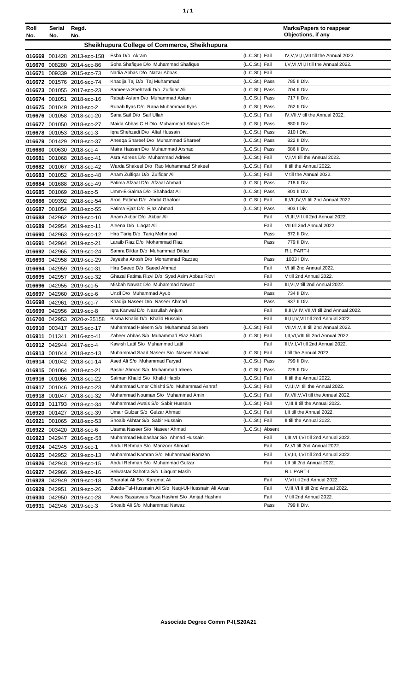| ٠ | ٠ |
|---|---|
|   |   |

| Roll   | Serial        | Regd.                                                |                                                                 |                  | <b>Marks/Papers to reappear</b>               |
|--------|---------------|------------------------------------------------------|-----------------------------------------------------------------|------------------|-----------------------------------------------|
| No.    | No.           | No.                                                  |                                                                 |                  | Objections, if any                            |
|        |               |                                                      | Sheikhupura College of Commerce, Sheikhupura                    |                  |                                               |
|        |               | 016669 001428 2013-scc-158                           | Esba D/o Akram                                                  | (L.C.St.) Fail   | IV, V, VI, II, VII till the Annual 2022.      |
|        |               | 016670 008280 2014-scc-86                            | Soha Shafique D/o Muhammad Shafique                             | (L.C.St.) Fail   | I, V, VI, VII, II till the Annual 2022.       |
| 016671 |               | 009339 2015-scc-73                                   | Nadia Abbas D/o Nazar Abbas                                     | (L.C.St.) Fail   |                                               |
|        |               | 016672 001576 2016-scc-74                            | Khadija Taj D/o Taj Muhammad                                    | (L.C.St.) Pass   | 785 II Div.                                   |
|        |               | 016673 001055 2017-scc-23                            | Sameera Shehzadi D/o Zulfiqar Ali                               | (L.C.St.) Pass   | 704 II Div.                                   |
|        |               | 016674 001051 2018-scc-16                            | Rabab Aslam D/o Muhammad Aslam                                  | (L.C.St.) Pass   | 717 II Div.                                   |
|        |               | 016675 001049 2018-scc-2                             | Rubab Ilyas D/o Rana Muhammad Ilyas                             | (L.C.St.) Pass   | 762 II Div.                                   |
|        |               | 016676 001058 2018-scc-20                            | Sana Saif D/o Saif Ullah                                        | (L.C.St.) Fail   | IV, VII, V till the Annual 2022.              |
|        |               | 016677 001050 2018-scc-27                            | Maida Abbas C.H D/o Muhammad Abbas C.H                          | (L.C.St.) Pass   | 880 II Div.                                   |
|        |               | 016678 001053 2018-scc-3                             | Igra Shehzadi D/o Altaf Hussain                                 | (L.C.St.) Pass   | 910 I Div.                                    |
|        |               | 016679 001429 2018-scc-37                            | Aneega Shareef D/o Muhammad Shareef                             | (L.C.St.) Pass   | 822 II Div.                                   |
|        |               | 016680 000630 2018-scc-4                             | Maira Hassan D/o Muhammad Arshad                                | (L.C.St.) Pass   | 686 II Div.                                   |
| 016681 |               | 001068 2018-scc-41                                   | Asra Adrees D/o Muhammad Adrees                                 | (L.C.St.) Fail   | V,I, VI till the Annual 2022.                 |
|        |               | 016682 001067 2018-scc-42                            | Warda Shakeel D/o Rao Muhammad Shakeel                          | (L.C.St.) Fail   | II till the Annual 2022.                      |
|        |               | 016683 001052 2018-scc-48                            | Anam Zulfigar D/o Zulfigar Ali                                  | (L.C.St.) Fail   | V till the Annual 2022.                       |
|        |               | 016684 001688 2018-scc-49                            | Fatima Afzaal D/o Afzaal Ahmad                                  | (L.C.St.) Pass   | 718 II Div.                                   |
|        |               | 016685 001069 2018-scc-5                             | Umm-E-Salma D/o Shahadat Ali                                    | (L.C.St.) Pass   | 801 II Div.                                   |
|        |               | 016686 009392 2018-scc-54                            | Arooj Fatima D/o Abdul Ghafoor                                  | (L.C.St.) Fail   | II, VII, IV, VI till 2nd Annual 2022.         |
|        |               | 016687 001054 2018-scc-55                            | Fatima Ejaz D/o Ejaz Ahmad                                      | (L.C.St.) Pass   | 903 I Div.                                    |
|        |               | 016688 042962 2019-scc-10                            | Anam Akbar D/o Akbar Ali                                        | Fail             | VI.III.VII till 2nd Annual 2022.              |
|        |               | 016689 042954 2019-scc-11                            | Aleena D/o Liagat Ali                                           | Fail             | VII till 2nd Annual 2022.                     |
|        |               | 016690 042963 2019-scc-12                            | Hira Tariq D/o Tariq Mehmood<br>Laraib Riaz D/o Mohammad Riaz   | Pass             | 872 II Div.<br>779 II Div.                    |
|        |               | 016691 042964 2019-scc-21                            |                                                                 | Pass             | R.L PART-I                                    |
|        |               | 016692 042965 2019-scc-24                            | Samra Dildar D/o Muhammad Dildar                                |                  | 1003   Div.                                   |
|        |               | 016693 042958 2019-scc-29                            | Jayesha Anosh D/o Mohammad Razzaq<br>Hira Saeed D/o Saeed Ahmad | Pass<br>Fail     | VI till 2nd Annual 2022.                      |
|        |               | 016694 042959 2019-scc-31                            | Ghazal Fatima Rizvi D/o Syed Asim Abbas Rizvi                   | Fail             | V till 2nd Annual 2022.                       |
|        |               | 016695 042957 2019-scc-32                            | Misbah Nawaz D/o Muhammad Nawaz                                 | Fail             | III, VI, V till 2nd Annual 2022.              |
|        |               | 016696 042955 2019-scc-5                             | Unzil D/o Muhammad Ayub                                         | Pass             | 734 II Div.                                   |
|        |               | 016697 042960 2019-scc-6<br>016698 042961 2019-scc-7 | Khadija Naseer D/o Naseer Ahmad                                 | Pass             | 837 II Div.                                   |
|        |               | 016699 042956 2019-scc-8                             | Igra Kanwal D/o Nasrullah Anjum                                 | Fail             | II, III, V, IV, VII, VI till 2nd Annual 2022. |
|        |               | 016700 042953 2020-z-35158                           | Bisma Khalid D/o Khalid Hussain                                 | Fail             | III, II, IV, VII till 2nd Annual 2022.        |
|        |               | 016910 003417 2015-scc-17                            | Muhammad Haleem S/o Muhammad Saleem                             | (L.C.St.) Fail   | VII, VI, V, III till 2nd Annual 2022.         |
|        |               | 016911 011341 2016-scc-41                            | Zaheer Abbas S/o Muhammad Riaz Bhatti                           | (L.C.St.) Fail   | I,II,VI,VIII till 2nd Annual 2022.            |
|        |               | 016912 042944 2017-scc-4                             | Kawish Latif S/o Muhammad Latif                                 | Fail             | III, V, I, VI till 2nd Annual 2022.           |
|        |               | 016913 001044 2018-scc-13                            | Muhammad Saad Naseer S/o Naseer Ahmad                           | (L.C.St.) Fail   | I till the Annual 2022.                       |
|        |               | 016914 001042 2018-scc-14                            | Ased Ali S/o Muhammad Faryad                                    | (L.C.St.) Pass   | 799 II Div.                                   |
|        |               | 016915 001064 2018-scc-21                            | Bashir Ahmad S/o Muhammad Idrees                                | (L.C.St.) Pass   | 728 II Div.                                   |
|        |               | 016916 001066 2018-scc-22                            | Salman Khalid S/o Khalid Habib                                  | (L.C.St.) Fail   | II till the Annual 2022.                      |
|        |               | 016917 001046 2018-scc-23                            | Muhammad Umer Chishti S/o Muhammad Ashraf                       | (L.C.St.) Fail   | V, I, II, VI till the Annual 2022.            |
|        |               | 016918 001047 2018-scc-32                            | Muhammad Nouman S/o Muhammad Amin                               | (L.C.St.) Fail   | IV, VII, V, VI till the Annual 2022.          |
|        |               | 016919 011793 2018-scc-34                            | Muhammad Awais S/o Sabir Hussain                                | (L.C.St.) Fail   | V, III, II till the Annual 2022.              |
|        |               | 016920 001427 2018-scc-39                            | Umair Gulzar S/o Gulzar Ahmad                                   | (L.C.St.) Fail   | I, II till the Annual 2022.                   |
|        |               | 016921 001065 2018-scc-53                            | Shoaib Akhtar S/o Sabir Hussain                                 | (L.C.St.) Fail   | II till the Annual 2022.                      |
|        |               | 016922 003420 2018-scc-6                             | Usama Naseer S/o Naseer Ahmad                                   | (L.C.St.) Absent |                                               |
|        |               | 016923 042947 2016-sgc-58                            | Muhammad Mubashar S/o Ahmad Hussain                             | Fail             | I, III, VIII, VI till 2nd Annual 2022.        |
|        |               | 016924 042945 2019-scc-1                             | Abdul Rehman S/o Manzoor Ahmad                                  | Fail             | IV, VI till 2nd Annual 2022.                  |
|        |               | 016925 042952 2019-scc-13                            | Muhammad Kamran S/o Muhammad Ramzan                             | Fail             | I, V, III, II, VI till 2nd Annual 2022.       |
|        |               | 016926 042948 2019-scc-15                            | Abdul Rehman S/o Muhammad Gulzar                                | Fail             | I, II till 2nd Annual 2022.                   |
|        |               | 016927 042966 2019-scc-16                            | Selwastar Sahotra S/o Liaquat Masih                             |                  | R.L PART-I                                    |
|        |               | 016928 042949 2019-scc-18                            | Sharafat Ali S/o Karamat Ali                                    | Fail             | V, VI till 2nd Annual 2022.                   |
|        | 016929 042951 | 2019-scc-26                                          | Zubda-Tul-Hussnain Ali S/o Naqi-Ul-Hussnain Ali Awan            | Fail             | V, III, VI, II till 2nd Annual 2022.          |
|        |               | 016930 042950 2019-scc-28                            | Awais Razaawais Raza Hashmi S/o Amjad Hashmi                    | Fail             | V till 2nd Annual 2022.                       |
| 016931 |               | 042946 2019-scc-3                                    | Shoaib Ali S/o Muhammad Nawaz                                   | Pass             | 799 II Div.                                   |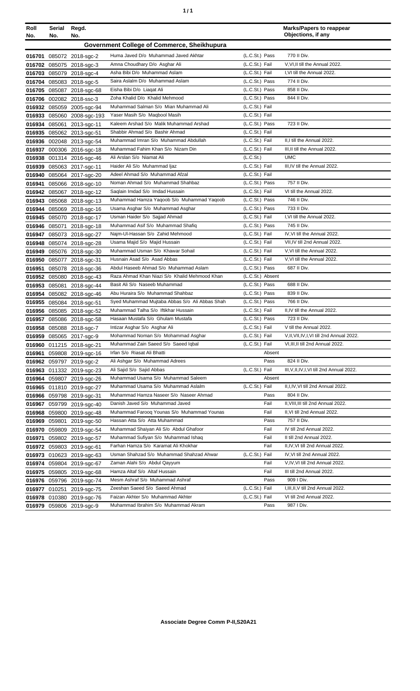| ٠ | ٠ |
|---|---|
|   |   |

| Roll<br>No. | Serial<br>No. | Regd.<br>No.                      |                                                                   |                                  | <b>Marks/Papers to reappear</b><br>Objections, if any         |
|-------------|---------------|-----------------------------------|-------------------------------------------------------------------|----------------------------------|---------------------------------------------------------------|
|             |               |                                   | Government College of Commerce, Sheikhupura                       |                                  |                                                               |
|             |               | 016701 085072 2018-sgc-2          | Huma Javed D/o Muhammad Javed Akhtar                              | (L.C.St.) Pass                   | 770 II Div.                                                   |
|             |               | 016702 085075 2018-sgc-3          | Amna Choudhary D/o Asghar Ali                                     | (L.C.St.) Fail                   | V, VI, II till the Annual 2022.                               |
|             |               | 016703 085079 2018-sgc-4          | Asha Bibi D/o Muhammad Aslam                                      | (L.C.St.) Fail                   | I, VI till the Annual 2022.                                   |
|             |               | 016704 085083 2018-sgc-5          | Saira Aslalm D/o Muhammad Aslam                                   | (L.C.St.) Pass                   | 774 II Div.                                                   |
|             |               | 016705 085087 2018-sgc-68         | Eisha Bibi D/o Liagat Ali                                         | (L.C.St.) Pass                   | 858 II Div.                                                   |
|             |               | 016706 002082 2018-ssc-3          | Zoha Khalid D/o Khalid Mehmood                                    | (L.C.St.) Pass                   | 844 II Div.                                                   |
|             |               | 016932 085059 2005-sgc-94         | Muhammad Salman S/o Mian Muhammad Ali                             | (L.C.St.) Fail                   |                                                               |
|             |               | 016933 085060 2008-sgc-193        | Yaser Masih S/o Maqbool Masih                                     | (L.C.St.) Fail                   |                                                               |
|             |               | 016934 085061 2013-sqc-11         | Kaleem Arshad S/o Malik Muhammad Arshad                           | (L.C.St.) Pass                   | 723 II Div.                                                   |
|             |               | 016935 085062 2013-sgc-51         | Shabbir Ahmad S/o Bashir Ahmad                                    | (L.C.St.) Fail                   |                                                               |
|             |               | 016936 002048 2013-sgc-54         | Muhammad Imran S/o Muhammad Abdullah                              | (L.C.St.) Fail                   | II,I till the Annual 2022.                                    |
|             |               | 016937 000306 2016-sgc-18         | Muhammad Fahim Khan S/o Nizam Din                                 | (L.C.St.) Fail                   | III, II till the Annual 2022.                                 |
|             |               | 016938 001314 2016-sgc-46         | Ali Arslan S/o Niamat Ali                                         | (L.C.St.)                        | <b>UMC</b>                                                    |
|             |               | 016939 085063 2017-sgc-11         | Haider Ali S/o Muhammad Ijaz                                      | (L.C.St.) Fail                   | III, IV till the Annual 2022.                                 |
|             |               | 016940 085064 2017-sgc-20         | Adeel Ahmad S/o Muhammad Afzal                                    | (L.C.St.) Fail                   |                                                               |
| 016941      |               | 085066 2018-sgc-10                | Noman Ahmad S/o Muhammad Shahbaz                                  | (L.C.St.) Pass                   | 757 II Div.                                                   |
|             |               | 016942 085067 2018-sgc-12         | Saqlain Imdad S/o Imdad Hussain                                   | (L.C.St.) Fail                   | VI till the Annual 2022.                                      |
|             |               | 016943 085068 2018-sgc-13         | Muhammad Hamza Yaqoob S/o Muhammad Yaqoob                         | (L.C.St.) Pass                   | 746 II Div.                                                   |
|             |               | 016944 085069 2018-sgc-16         | Usama Asghar S/o Muhammad Asghar                                  | (L.C.St.) Pass                   | 733 II Div.                                                   |
|             |               | 016945 085070 2018-sgc-17         | Usman Haider S/o Sajjad Ahmad                                     | (L.C.St.) Fail                   | I, VI till the Annual 2022.                                   |
| 016946      | 085071        | 2018-sgc-18                       | Muhammad Asif S/o Muhammad Shafiq                                 | (L.C.St.) Pass                   | 745 II Div.                                                   |
|             |               | 016947 085073 2018-sgc-27         | Najm-Ul-Hassan S/o Zahid Mehmood<br>Usama Majid S/o Majid Hussain | (L.C.St.) Fail<br>(L.C.St.) Fail | IV, VI till the Annual 2022.<br>VII, IV till 2nd Annual 2022. |
|             |               | 016948 085074 2018-sgc-28         |                                                                   |                                  |                                                               |
|             |               | 016949 085076 2018-sgc-30         | Muhammad Usman S/o Khawar Sohail<br>Husnain Asad S/o Asad Abbas   | (L.C.St.) Fail<br>(L.C.St.) Fail | V, VI till the Annual 2022.<br>V.VI till the Annual 2022.     |
| 016950      |               | 085077 2018-sgc-31                | Abdul Haseeb Ahmad S/o Muhammad Aslam                             | (L.C.St.) Pass                   | 687 II Div.                                                   |
| 016951      | 016952 085080 | 085078 2018-sgc-36<br>2018-sgc-43 | Raza Ahmad Khan Niazi S/o Khalid Mehmood Khan                     | (L.C.St.) Absent                 |                                                               |
| 016953      | 085081        | 2018-sgc-44                       | Basit Ali S/o Naseeb Muhammad                                     | (L.C.St.) Pass                   | 688 II Div.                                                   |
| 016954      |               | 085082 2018-sgc-46                | Abu Huraira S/o Muhammad Shahbaz                                  | (L.C.St.) Pass                   | 839 II Div.                                                   |
|             |               | 016955 085084 2018-sgc-51         | Syed Muhammad Mujtaba Abbas S/o Ali Abbas Shah                    | (L.C.St.) Pass                   | 766 II Div.                                                   |
|             |               | 016956 085085 2018-sgc-52         | Muhammad Talha S/o Iftikhar Hussain                               | (L.C.St.) Fail                   | II,IV till the Annual 2022.                                   |
|             |               | 016957 085086 2018-sgc-58         | Hasaan Mustafa S/o Ghulam Mustafa                                 | (L.C.St.) Pass                   | 723 II Div.                                                   |
|             |               | 016958 085088 2018-sgc-7          | Intizar Asghar S/o Asghar Ali                                     | (L.C.St.) Fail                   | V till the Annual 2022.                                       |
|             |               | 016959 085065 2017-sgc-9          | Mohammad Noman S/o Mohammad Asghar                                | (L.C.St.) Fail                   | V, II, VII, IV, I, VI till 2nd Annual 2022.                   |
|             |               | 016960 011215 2018-sgc-21         | Muhammad Zain Saeed S/o Saeed Iqbal                               | (L.C.St.) Fail                   | VI, III, II till 2nd Annual 2022.                             |
| 016961      |               | 059808 2019-sgc-16                | Irfan S/o Riasat Ali Bhatti                                       | Absent                           |                                                               |
|             |               | 016962 059797 2019-sgc-2          | Ali Ashgar S/o Muhammad Adrees                                    | Pass                             | 824 II Div.                                                   |
|             |               | 016963 011332 2019-sgc-23         | Ali Sajid S/o Sajid Abbas                                         | (L.C.St.) Fail                   | III, V, II, IV, I, VI till 2nd Annual 2022.                   |
|             |               | 016964 059807 2019-sgc-26         | Muhammad Usama S/o Muhammad Saleem                                | Absent                           |                                                               |
|             |               | 016965 011810 2019-sgc-27         | Muhammad Usama S/o Muhammad Aslalm                                | (L.C.St.) Fail                   | II, I, IV, VI till 2nd Annual 2022.                           |
|             |               | 016966 059798 2019-sgc-31         | Muhammad Hamza Naseer S/o Naseer Ahmad                            | Pass                             | 804 II Div.                                                   |
|             |               | 016967 059799 2019-sgc-40         | Danish Javed S/o Muhammad Javed                                   | Fail                             | II, VIII, III till 2nd Annual 2022.                           |
|             |               | 016968 059800 2019-sgc-48         | Muhammad Farooq Younas S/o Muhammad Younas                        | Fail                             | II, VI till 2nd Annual 2022.                                  |
|             |               | 016969 059801 2019-sgc-50         | Hassan Atta S/o Atta Muhammad                                     | Pass                             | 757 II Div.                                                   |
|             |               | 016970 059809 2019-sgc-54         | Muhammad Shaiyan Ali S/o Abdul Ghafoor                            | Fail                             | IV till 2nd Annual 2022.                                      |
|             |               | 016971 059802 2019-sgc-57         | Muhammad Sufiyan S/o Muhammad Ishaq                               | Fail                             | II till 2nd Annual 2022.                                      |
|             |               | 016972 059803 2019-sgc-61         | Farhan Hamza S/o Karamat Ali Khokhar                              | Fail                             | II, IV, VI till 2nd Annual 2022.                              |
|             |               | 016973 010623 2019-sgc-63         | Usman Shahzad S/o Muhammad Shahzad Ahwar                          | (L.C.St.) Fail                   | IV, VI till 2nd Annual 2022.                                  |
|             |               | 016974 059804 2019-sgc-67         | Zaman Alahi S/o Abdul Qayyum                                      | Fail                             | V, IV, VI till 2nd Annual 2022.                               |
|             |               | 016975 059805 2019-sgc-68         | Hamza Altaf S/o Altaf Hussain                                     | Fail                             | III till 2nd Annual 2022.                                     |
|             |               | 016976 059796 2019-sgc-74         | Mesm Ashraf S/o Muhammad Ashraf                                   | Pass                             | 909 I Div.                                                    |
|             |               | 016977 010251 2019-sgc-75         | Zeeshan Saeed S/o Saeed Ahmad                                     | (L.C.St.) Fail                   | I, III, II, V till 2nd Annual 2022.                           |
|             |               | 016978 010380 2019-sgc-76         | Faizan Akhter S/o Muhammad Akhter                                 | (L.C.St.) Fail                   | VI till 2nd Annual 2022.                                      |
|             |               | 016979 059806 2019-sgc-9          | Muhammad Ibrahim S/o Muhammad Akram                               | Pass                             | 987 I Div.                                                    |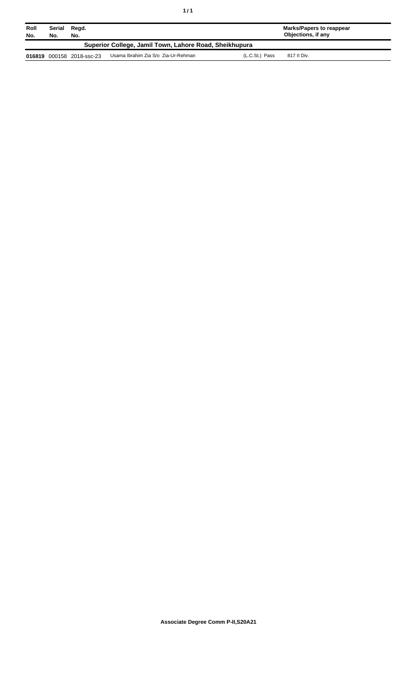| Roll<br>No.                                            | Serial<br>Regd.<br>No.<br>No. |                           |                                     | Marks/Papers to reappear<br>Objections, if any |  |  |
|--------------------------------------------------------|-------------------------------|---------------------------|-------------------------------------|------------------------------------------------|--|--|
| Superior College, Jamil Town, Lahore Road, Sheikhupura |                               |                           |                                     |                                                |  |  |
|                                                        |                               | 016819 000158 2018-ssc-23 | Usama Ibrahim Zia S/o Zia-Ur-Rehman | (L.C.St.) Pass<br>817 II Div.                  |  |  |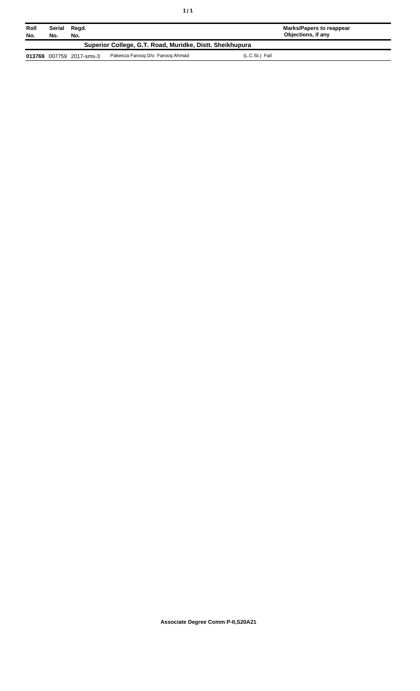| Roll<br>No.                                              | Serial Regd.<br>No. | No.                      |                                 | Marks/Papers to reappear<br>Objections, if any |  |
|----------------------------------------------------------|---------------------|--------------------------|---------------------------------|------------------------------------------------|--|
| Superior College, G.T. Road, Muridke, Distt. Sheikhupura |                     |                          |                                 |                                                |  |
|                                                          |                     | 013769 007759 2017-sms-3 | Pakeeza Faroog D/o Faroog Ahmad | (L.C.St.) Fail                                 |  |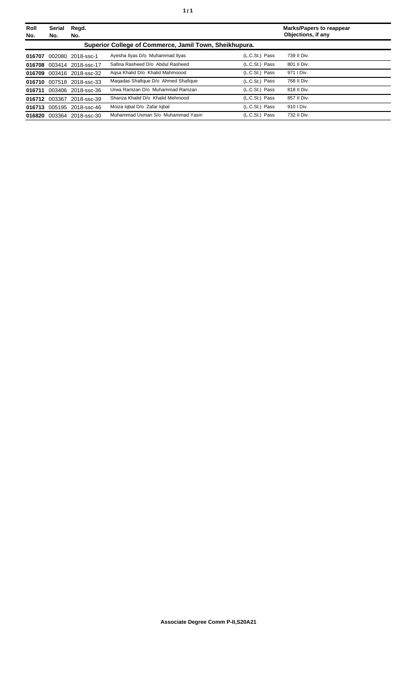| Roll<br>No. | Serial<br>No. | Regd.<br>No.              |                                                        |                | <b>Marks/Papers to reappear</b><br>Objections, if any |
|-------------|---------------|---------------------------|--------------------------------------------------------|----------------|-------------------------------------------------------|
|             |               |                           | Superior College of Commerce, Jamil Town, Sheikhupura. |                |                                                       |
| 016707      |               | 002080 2018-ssc-1         | Ayesha Ilyas D/o Muhammad Ilyas                        | (L.C.St.) Pass | 739 II Div.                                           |
| 016708      |               | 003414 2018-ssc-17        | Safina Rasheed D/o Abdul Rasheed                       | (L.C.St.) Pass | 801 II Div.                                           |
|             |               | 016709 003416 2018-ssc-32 | Agsa Khalid D/o Khalid Mahmoood                        | (L.C.St.) Pass | 971   Div.                                            |
|             |               | 016710 007518 2018-ssc-33 | Magadas Shafique D/o Ahmed Shafique                    | (L.C.St.) Pass | 768 II Div.                                           |
| 016711      |               | 003406 2018-ssc-36        | Urwa Ramzan D/o Muhammad Ramzan                        | (L.C.St.) Pass | 818 II Div.                                           |
|             | 016712 003367 | 2018-ssc-39               | Shanza Khalid D/o Khalid Mehmood                       | (L.C.St.) Pass | 857 II Div.                                           |
|             |               | 016713 005195 2018-ssc-46 | Moiza Igbal D/o Zafar Igbal                            | (L.C.St.) Pass | 910   Div.                                            |
|             |               | 016820 003364 2018-ssc-30 | Muhammad Usman S/o Muhammad Yasin                      | (L.C.St.) Pass | 732 II Div.                                           |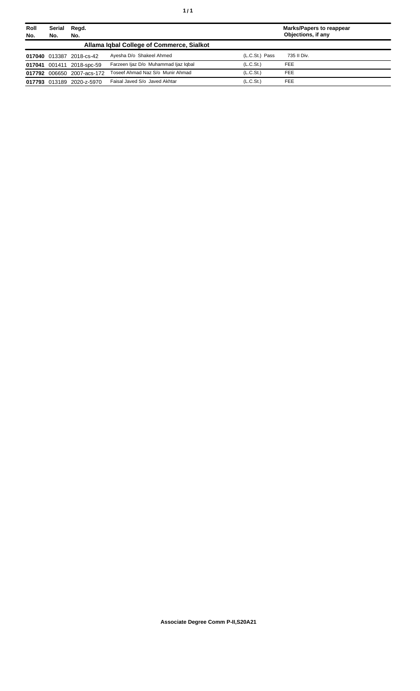| Roll<br>No. | <b>Serial</b><br>No. | Regd.<br>No.               |                                           |                       | <b>Marks/Papers to reappear</b><br>Objections, if any |
|-------------|----------------------|----------------------------|-------------------------------------------|-----------------------|-------------------------------------------------------|
|             |                      |                            | Allama Igbal College of Commerce, Sialkot |                       |                                                       |
|             |                      | 017040 013387 2018-cs-42   | Avesha D/o Shakeel Ahmed                  | (L.C.St.) Pass        | 735 II Div.                                           |
|             |                      | 017041 001411 2018-spc-59  | Farzeen liaz D/o Muhammad liaz Iqbal      | (L.C.S <sub>t</sub> ) | <b>FEE</b>                                            |
|             |                      | 017792 006650 2007-acs-172 | Toseef Ahmad Naz S/o Munir Ahmad          | (L.C.St.)             | <b>FEE</b>                                            |
|             | 017793 013189        | 2020-z-5970                | Faisal Javed S/o Javed Akhtar             | (L.C.S <sub>t</sub> ) | <b>FEE</b>                                            |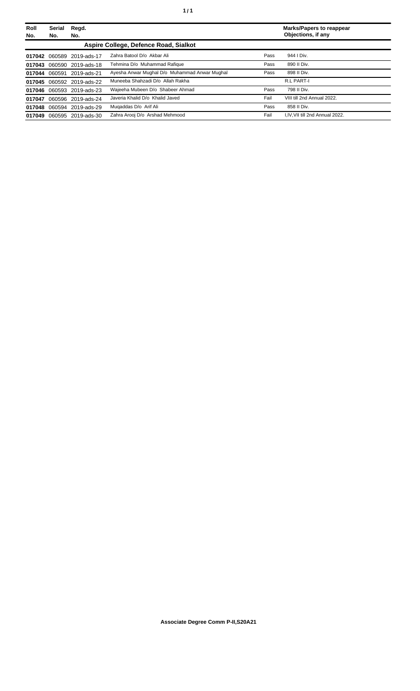| Roll   | <b>Serial</b> | Regd.                     |                                               |      | <b>Marks/Papers to reappear</b> |
|--------|---------------|---------------------------|-----------------------------------------------|------|---------------------------------|
| No.    | No.           | No.                       |                                               |      | Objections, if any              |
|        |               |                           | Aspire College, Defence Road, Sialkot         |      |                                 |
|        |               | 017042 060589 2019-ads-17 | Zahra Batool D/o Akbar Ali                    | Pass | 944   Div.                      |
|        |               | 017043 060590 2019-ads-18 | Tehmina D/o Muhammad Rafique                  | Pass | 890 II Div.                     |
|        | 017044 060591 | 2019-ads-21               | Ayesha Anwar Mughal D/o Muhammad Anwar Mughal | Pass | 898 II Div.                     |
|        |               | 017045 060592 2019-ads-22 | Muneeba Shahzadi D/o Allah Rakha              |      | <b>R.L PART-I</b>               |
| 017046 |               | 060593 2019-ads-23        | Waieeha Mubeen D/o Shabeer Ahmad              | Pass | 798 II Div.                     |
| 017047 |               | 060596 2019-ads-24        | Javeria Khalid D/o Khalid Javed               | Fail | VIII till 2nd Annual 2022.      |
|        |               | 017048 060594 2019-ads-29 | Mugaddas D/o Arif Ali                         | Pass | 858 II Div.                     |
| 017049 |               | 060595 2019-ads-30        | Zahra Arooi D/o Arshad Mehmood                | Fail | I.IV. VII till 2nd Annual 2022. |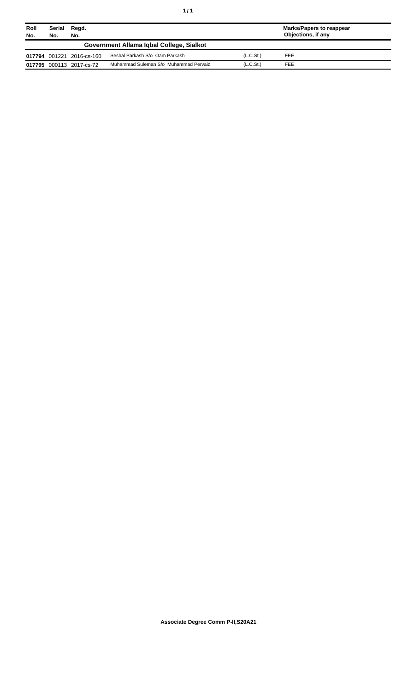| Roll<br>No. | Serial<br>No.                            | Regd.<br>No.              |                                       |                       | Marks/Papers to reappear<br>Objections, if any |  |
|-------------|------------------------------------------|---------------------------|---------------------------------------|-----------------------|------------------------------------------------|--|
|             | Government Allama Igbal College, Sialkot |                           |                                       |                       |                                                |  |
|             |                                          | 017794 001221 2016-cs-160 | Seshal Parkash S/o Oam Parkash        | (L.C.S <sub>t</sub> ) | <b>FEE</b>                                     |  |
|             |                                          | 017795 000113 2017-cs-72  | Muhammad Suleman S/o Muhammad Pervaiz | (L.C.S <sub>t</sub> ) | <b>FEE</b>                                     |  |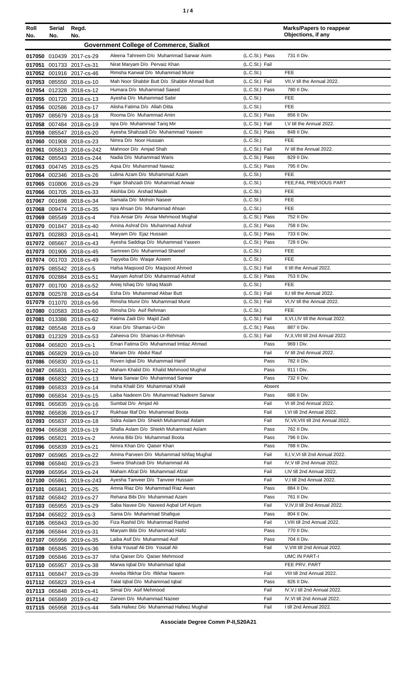| ٠ |  |
|---|--|
|   |  |

| Roll                                                                | Serial | Regd.                                               |                                                                          |                                  | <b>Marks/Papers to reappear</b><br>Objections, if any   |  |
|---------------------------------------------------------------------|--------|-----------------------------------------------------|--------------------------------------------------------------------------|----------------------------------|---------------------------------------------------------|--|
| No.<br>No.<br>No.<br><b>Government College of Commerce, Sialkot</b> |        |                                                     |                                                                          |                                  |                                                         |  |
|                                                                     |        |                                                     |                                                                          |                                  |                                                         |  |
|                                                                     |        | 017050 010439 2017-cs-29                            | Aleena Tahreem D/o Muhammad Sarwar Asim<br>Nirat Maryam D/o Pervaiz Khan | (L.C.St.) Pass<br>(L.C.St.) Fail | 731 II Div.                                             |  |
| 017051                                                              |        | 001733 2017-cs-31<br>017052 001916 2017-cs-46       | Rimsha Kanwal D/o Muhammad Munir                                         | (L.C.St.)                        | <b>FEE</b>                                              |  |
| 017053                                                              |        | 085550 2018-cs-10                                   | Mah Noor Shabbir Butt D/o Shabbir Ahmad Butt                             | (L.C.St.) Fail                   | VII, V till the Annual 2022.                            |  |
| 017054                                                              |        | 012328 2018-cs-12                                   | Humara D/o Muhammad Saeed                                                | (L.C.St.) Pass                   | 780 II Div.                                             |  |
| 017055                                                              |        | 001720 2018-cs-13                                   | Ayesha D/o Muhammad Sabir                                                | (L.C.St.)                        | <b>FEE</b>                                              |  |
|                                                                     |        | 017056 002586 2018-cs-17                            | Alisha Fatima D/o Allah Ditta                                            | (L.C.St.)                        | <b>FEE</b>                                              |  |
| 017057                                                              |        | 085679 2018-cs-18                                   | Rooma D/o Muhammad Amin                                                  | (L.C.St.) Pass                   | 856 II Div.                                             |  |
| 017058                                                              |        | 007484 2018-cs-19                                   | Igra D/o Muhammad Tarig Mir                                              | (L.C.St.) Fail                   | I, V till the Annual 2022.                              |  |
| 017059                                                              |        | 085547 2018-cs-20                                   | Ayesha Shahzadi D/o Muhammad Yaseen                                      | (L.C.St.) Pass                   | 848 II Div.                                             |  |
| 017060                                                              |        | 001908 2018-cs-23                                   | Nimra D/o Noor Hussain                                                   | (L.C.St.)<br>(L.C.St.) Fail      | <b>FEE</b><br>IV till the Annual 2022.                  |  |
| 017061<br>017062                                                    |        | 005813 2018-cs-242<br>085543 2018-cs-244            | Mahnoor D/o Amjad Shah<br>Nadia D/o Muhammad Waris                       | (L.C.St.) Pass                   | 829 II Div.                                             |  |
| 017063                                                              |        | 004745 2018-cs-25                                   | Aqsa D/o Muhammad Nawaz                                                  | (L.C.St.) Pass                   | 795 II Div.                                             |  |
| 017064                                                              |        | 002346 2018-cs-26                                   | Lubna Azam D/o Muhammad Azam                                             | (L.C.St.)                        | <b>FEE</b>                                              |  |
| 017065                                                              |        | 010806 2018-cs-29                                   | Fajar Shahzadi D/o Muhammad Anwar                                        | (L.C.S <sub>t</sub> )            | FEE.FAIL PREVIOUS PART                                  |  |
| 017066                                                              |        | 001705 2018-cs-33                                   | Alishba D/o Arshad Masih                                                 | (L.C.St.)                        | <b>FEE</b>                                              |  |
| 017067                                                              |        | 001698 2018-cs-34                                   | Samaila D/o Mohsin Naseer                                                | (L.C.St.)                        | <b>FEE</b>                                              |  |
| 017068                                                              |        | 009474 2018-cs-35                                   | Igra Ahsan D/o Muhammad Ahsan                                            | (L.C.St.)                        | <b>FEE</b>                                              |  |
| 017069                                                              |        | 085549 2018-cs-4                                    | Fiza Ansar D/o Ansar Mehmood Mughal                                      | (L.C.St.) Pass                   | 752 II Div.                                             |  |
| 017070                                                              |        | 001847 2018-cs-40                                   | Amina Ashraf D/o Muhammad Ashraf                                         | (L.C.St.) Pass                   | 758 II Div.                                             |  |
| 017071                                                              |        | 002883 2018-cs-41                                   | Maryam D/o Ejaz Hussain<br>Ayesha Saddiga D/o Muhammad Yaseen            | (L.C.St.) Pass<br>(L.C.St.) Pass | 733 II Div.<br>728 II Div.                              |  |
| 017072<br>017073                                                    |        | 085667 2018-cs-43<br>001906 2018-cs-45              | Samreen D/o Muhammad Shareef                                             | (L.C.St.)                        | <b>FEE</b>                                              |  |
| 017074                                                              |        | 001703 2018-cs-49                                   | Tayyeba D/o Waqar Azeem                                                  | (L.C.St.)                        | FEE                                                     |  |
| 017075                                                              |        | 085542 2018-cs-5                                    | Hafsa Maqsood D/o Maqsood Ahmed                                          | (L.C.St.) Fail                   | II till the Annual 2022.                                |  |
| 017076                                                              |        | 002884 2018-cs-51                                   | Maryam Ashraf D/o Muhammad Ashraf                                        | (L.C.St.) Pass                   | 753 II Div.                                             |  |
| 017077                                                              |        | 001700 2018-cs-52                                   | Areej Ishaq D/o Ishaq Masih                                              | (L.C.St.)                        | <b>FEE</b>                                              |  |
| 017078                                                              |        | 002578 2018-cs-54                                   | Esha D/o Muhammad Akbar Butt                                             | (L.C.St.) Fail                   | II,I till the Annual 2022.                              |  |
| 017079                                                              |        | 011070 2018-cs-56                                   | Rimsha Munir D/o Muhammad Munir                                          | (L.C.St.) Fail                   | VI, IV till the Annual 2022.                            |  |
|                                                                     |        | 017080 010583 2018-cs-60                            | Rimsha D/o Asif Rehman                                                   | (L.C.St.)                        | <b>FEE</b>                                              |  |
| 017081                                                              |        | 013386 2018-cs-62                                   | Fatima Zadi D/o Majid Zadi<br>Kiran D/o Shamas-U-Din                     | (L.C.St.) Fail                   | II, VI, I, IV till the Annual 2022.<br>887 II Div.      |  |
|                                                                     |        | 017082 085548 2018-cs-9                             | Zaheeva D/o Shamas-Ur-Rehman                                             | (L.C.St.) Pass<br>(L.C.St.) Fail | IV, II, VIII till 2nd Annual 2022.                      |  |
| 017084                                                              |        | 017083 012329 2018-cs-53<br>065820 2019-cs-1        | Eman Fatima D/o Muhammad Imtiaz Ahmad                                    | Pass                             | 969 I Div.                                              |  |
| 017085                                                              |        | 065829 2019-cs-10                                   | Mariam D/o Abdul Rauf                                                    | Fail                             | IV till 2nd Annual 2022.                                |  |
| 017086                                                              |        | 065830 2019-cs-11                                   | Roven Igbal D/o Muhammad Hanif                                           | Pass                             | 782 II Div.                                             |  |
| 017087                                                              |        | 065831 2019-cs-12                                   | Maham Khalid D/o Khalid Mehmood Mughal                                   | Pass                             | 911   Div.                                              |  |
| 017088                                                              |        | 065832 2019-cs-13                                   | Maria Sarwar D/o Muhammad Sarwar                                         | Pass                             | 732 II Div.                                             |  |
| 017089                                                              |        | 065833 2019-cs-14                                   | Insha Khalil D/o Muhammad Khalil                                         | Absent                           |                                                         |  |
| 017090                                                              |        | 065834 2019-cs-15                                   | Laiba Nadeem D/o Muhammad Nadeem Sarwar                                  | Pass                             | 686 II Div.                                             |  |
| 017091                                                              |        | 065835 2019-cs-16                                   | Sumbal D/o Amjad Ali<br>Rukhsar IItaf D/o Muhammad Boota                 | Fail<br>Fail                     | VI till 2nd Annual 2022.<br>I, VI till 2nd Annual 2022. |  |
| 017092<br>017093                                                    |        | 065836 2019-cs-17                                   | Sidra Aslam D/o Shiekh Muhammad Aslam                                    | Fail                             | IV, VII, VIII till 2nd Annual 2022.                     |  |
| 017094                                                              |        | 065837 2019-cs-18<br>065838 2019-cs-19              | Shafia Aslam D/o Shiekh Muhammad Aslam                                   | Pass                             | 762 II Div.                                             |  |
|                                                                     |        | 017095 065821 2019-cs-2                             | Amina Bibi D/o Muhammad Boota                                            | Pass                             | 796 II Div.                                             |  |
|                                                                     |        | 017096 065839 2019-cs-21                            | Nimra Khan D/o Qaiser Khan                                               | Pass                             | 788 II Div.                                             |  |
| 017097                                                              |        | 065965 2019-cs-22                                   | Amina Parveen D/o Muhammad Ishfaq Mughal                                 | Fail                             | II, I, V, VI till 2nd Annual 2022.                      |  |
| 017098                                                              |        | 065840 2019-cs-23                                   | Swera Shahzadi D/o Muhammad Ali                                          | Fail                             | IV, V till 2nd Annual 2022.                             |  |
| 017099                                                              |        | 065954 2019-cs-24                                   | Maham Afzal D/o Muhammad Afzal                                           | Fail                             | I,IV till 2nd Annual 2022.                              |  |
| 017100                                                              |        | 065861 2019-cs-243                                  | Ayesha Tanveer D/o Tanveer Hussain                                       | Fail                             | V,I till 2nd Annual 2022.                               |  |
| 017101                                                              |        | 065841 2019-cs-25                                   | Amna Riaz D/o Muhammad Riaz Awan                                         | Pass                             | 884 II Div.                                             |  |
|                                                                     |        | 017102 065842 2019-cs-27                            | Rehana Bibi D/o Muhammad Azam<br>Saba Navee D/o Naveed Aqbal Urf Anjum   | Pass<br>Fail                     | 761 II Div.<br>V, IV, II till 2nd Annual 2022.          |  |
|                                                                     |        | 017103 065955 2019-cs-29<br>017104 065822 2019-cs-3 | Sania D/o Muhammad Shafique                                              | Pass                             | 804 II Div.                                             |  |
|                                                                     |        | 017105 065843 2019-cs-30                            | Fiza Rashid D/o Muhammad Rashid                                          | Fail                             | I, VIII till 2nd Annual 2022.                           |  |
|                                                                     |        | 017106 065844 2019-cs-31                            | Maryam Bibi D/o Muhammad Hafiz                                           | Pass                             | 770 II Div.                                             |  |
| 017107                                                              |        | 065956 2019-cs-35                                   | Laiba Asif D/o Muhammad Asif                                             | Pass                             | 704 II Div.                                             |  |
|                                                                     |        | 017108 065845 2019-cs-36                            | Esha Yousaf Ali D/o Yousaf Ali                                           | Fail                             | V, VIII till 2nd Annual 2022.                           |  |
| 017109                                                              |        | 065846 2019-cs-37                                   | Isha Qaiser D/o Qaiser Mehmood                                           |                                  | UMC IN PART-I                                           |  |
| 017110                                                              |        | 065957 2019-cs-38                                   | Marwa Iqbal D/o Muhammad Iqbal                                           |                                  | FEE PRV. PART                                           |  |
| 017111                                                              |        | 065847 2019-cs-39                                   | Areeba Iftikhar D/o Iftikhar Naeem                                       | Fail                             | VIII till 2nd Annual 2022.                              |  |
|                                                                     |        | 017112 065823 2019-cs-4                             | Talat Iqbal D/o Muhammad Iqbal                                           | Pass                             | 826 II Div.                                             |  |
| 017113                                                              |        | 065848 2019-cs-41                                   | Simal D/o Asif Mehmood                                                   | Fail                             | IV, V, I till 2nd Annual 2022.                          |  |
| 017114                                                              |        | 065849 2019-cs-42                                   | Zareen D/o Muhammad Nazeer<br>Safa Hafeez D/o Muhammad Hafeez Mughal     | Fail<br>Fail                     | IV, VI till 2nd Annual 2022.<br>I till 2nd Annual 2022. |  |
|                                                                     |        | 017115 065958 2019-cs-44                            |                                                                          |                                  |                                                         |  |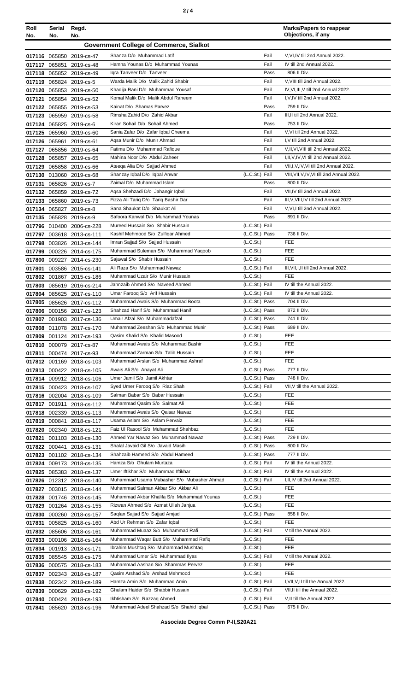|--|--|--|

| Roll<br>No.      | Serial<br>No. | Regd.<br>No.                                           |                                                                            |                                  | <b>Marks/Papers to reappear</b><br>Objections, if any                   |
|------------------|---------------|--------------------------------------------------------|----------------------------------------------------------------------------|----------------------------------|-------------------------------------------------------------------------|
|                  |               |                                                        | <b>Government College of Commerce, Sialkot</b>                             |                                  |                                                                         |
|                  |               | 017116 065850 2019-cs-47                               | Shanza D/o Muhammad Latif                                                  | Fail                             | V, VI, IV till 2nd Annual 2022.                                         |
| 017117           |               | 065851 2019-cs-48                                      | Hamna Younas D/o Muhammad Younas                                           | Fail                             | IV till 2nd Annual 2022.                                                |
|                  |               | 017118 065852 2019-cs-49                               | Igra Tanveer D/o Tanveer                                                   | Pass                             | 806 II Div.                                                             |
| 017119           |               | 065824 2019-cs-5                                       | Warda Malik D/o Malik Zahid Shabir                                         | Fail                             | V, VIII till 2nd Annual 2022.                                           |
| 017120           |               | 065853 2019-cs-50                                      | Khadija Rani D/o Muhammad Yousaf                                           | Fail                             | IV, VI, III, V till 2nd Annual 2022.                                    |
| 017121           |               | 065854 2019-cs-52                                      | Komal Malik D/o Malik Abdul Raheem                                         | Fail                             | I, V, IV till 2nd Annual 2022.                                          |
| 017122           |               | 065855 2019-cs-53                                      | Kainat D/o Shamas Parvez<br>Rimsha Zahid D/o Zahid Akbar                   | Pass<br>Fail                     | 759 II Div.<br>III, II till 2nd Annual 2022.                            |
| 017123           |               | 065959 2019-cs-58<br>017124 065825 2019-cs-6           | Kiran Sohail D/o Sohail Ahmed                                              | Pass                             | 753 II Div.                                                             |
| 017125           |               | 065960 2019-cs-60                                      | Sania Zafar D/o Zafar Iqbal Cheema                                         | Fail                             | V.VI till 2nd Annual 2022.                                              |
| 017126           |               | 065961 2019-cs-61                                      | Aqsa Munir D/o Munir Ahmad                                                 | Fail                             | I, V till 2nd Annual 2022.                                              |
| 017127           |               | 065856 2019-cs-64                                      | Fatima D/o Muhammad Rafique                                                | Fail                             | V.II.VI.VIII till 2nd Annual 2022.                                      |
| 017128           |               | 065857 2019-cs-65                                      | Mahina Noor D/o Abdul Zaheer                                               | Fail                             | I, II, V, IV, VI till 2nd Annual 2022.                                  |
| 017129           |               | 065858 2019-cs-66                                      | Ateeqa Alia D/o Sajjad Ahmed                                               | Fail                             | VII, I, V, IV, VI till 2nd Annual 2022.                                 |
| 017130           |               | 013060 2019-cs-68                                      | Shanzay Iqbal D/o Iqbal Anwar                                              | (L.C.St.) Fail                   | VIII, VII, V, IV, VI till 2nd Annual 2022.                              |
| 017131           |               | 065826 2019-cs-7                                       | Zaimal D/o Muhammad Islam                                                  | Pass                             | 800 II Div.                                                             |
|                  |               | 017132 065859 2019-cs-72                               | Aqsa Shehzadi D/o Jahangir Iqbal                                           | Fail<br>Fail                     | VII, IV till 2nd Annual 2022.<br>III, V, VIII, IV till 2nd Annual 2022. |
| 017133<br>017134 |               | 065860 2019-cs-73<br>065827 2019-cs-8                  | Fizza Ali Tariq D/o Tariq Bashir Dar<br>Sana Shaukat D/o Shaukat Ali       | Fail                             | V, VI, I till 2nd Annual 2022.                                          |
| 017135           |               | 065828 2019-cs-9                                       | Safoora Kanwal D/o Muhammad Younas                                         | Pass                             | 891 II Div.                                                             |
| 017796           |               | 010400 2006-cs-228                                     | Mureed Hussain S/o Shabir Hussain                                          | (L.C.St.) Fail                   |                                                                         |
| 017797           |               | 003618 2013-cs-111                                     | Kashif Mehmood S/o Zulfigar Ahmed                                          | (L.C.St.) Pass                   | 736 II Div.                                                             |
| 017798           |               | 003826 2013-cs-144                                     | Imran Sajjad S/o Sajjad Hussain                                            | (L.C.St.)                        | <b>FEE</b>                                                              |
| 017799           |               | 000226 2014-cs-175                                     | Muhammad Suleman S/o Muhammad Yaqoob                                       | (L.C.St.)                        | <b>FEE</b>                                                              |
| 017800           |               | 009227 2014-cs-230                                     | Sajawal S/o Shabir Hussain                                                 | (L.C.St.)                        | <b>FEE</b>                                                              |
| 017801           |               | 003586 2015-cs-141                                     | Ali Raza S/o Muhammad Nawaz                                                | (L.C.St.) Fail                   | III, VII, I, II till 2nd Annual 2022.                                   |
| 017802           |               | 001867 2015-cs-186                                     | Muhammad Uzair S/o Munir Hussain                                           | (L.C.S <sub>t</sub> )            | <b>FEE</b>                                                              |
| 017803           |               | 085619 2016-cs-214                                     | Jahnzaib Ahmed S/o Naveed Ahmed<br>Umar Farooq S/o Arif Hussain            | (L.C.St.) Fail<br>(L.C.St.) Fail | IV till the Annual 2022.<br>IV till the Annual 2022.                    |
| 017804<br>017805 |               | 085625 2017-cs-110<br>085626 2017-cs-112               | Muhammad Awais S/o Muhammad Boota                                          | (L.C.St.) Pass                   | 704 II Div.                                                             |
|                  |               | 017806 000156 2017-cs-123                              | Shahzad Hanif S/o Muhammad Hanif                                           | (L.C.St.) Pass                   | 872 II Div.                                                             |
| 017807           |               | 001903 2017-cs-136                                     | Umair Afzal S/o Muhammadafzal                                              | (L.C.St.) Pass                   | 741 II Div.                                                             |
|                  |               | 017808 011078 2017-cs-170                              | Muhammad Zeeshan S/o Muhammad Munir                                        | (L.C.St.) Pass                   | 689 II Div.                                                             |
|                  |               | 017809 001124 2017-cs-193                              | Qasim Khalid S/o Khalid Masood                                             | (L.C.S <sub>t</sub> )            | FEE                                                                     |
| 017810           |               | 000079 2017-cs-87                                      | Muhammad Awais S/o Muhammad Bashir                                         | (L.C.St.)                        | FEE                                                                     |
| 017811           |               | 000474 2017-cs-93                                      | Muhammad Zarman S/o Talib Hussain                                          | (L.C.St.)                        | <b>FEE</b>                                                              |
| 017812           |               | 001169 2018-cs-103                                     | Muhammad Arslan S/o Muhammad Ashraf<br>Awais Ali S/o Anayat Ali            | (L.C.St.)<br>(L.C.St.) Pass      | FEE<br>777 II Div.                                                      |
|                  |               | 017813 000422 2018-cs-105<br>017814 009912 2018-cs-106 | Umer Jamil S/o Jamil Akhtar                                                | (L.C.St.) Pass                   | 748 II Div.                                                             |
|                  |               | 017815 000423 2018-cs-107                              | Syed Umer Faroog S/o Riaz Shah                                             | (L.C.St.) Fail                   | VII, V till the Annual 2022.                                            |
|                  |               | 017816 002004 2018-cs-109                              | Salman Babar S/o Babar Hussain                                             | (L.C.St.)                        | <b>FEE</b>                                                              |
| 017817           |               | 001911 2018-cs-112                                     | Muhammad Qasim S/o Salmat Ali                                              | (L.C.St.)                        | <b>FEE</b>                                                              |
|                  |               | 017818 002339 2018-cs-113                              | Muhammad Awais S/o Qaisar Nawaz                                            | (L.C.St.)                        | FEE                                                                     |
| 017819           |               | 000841 2018-cs-117                                     | Usama Aslam S/o Aslam Pervaiz                                              | (L.C.St.)                        | <b>FEE</b>                                                              |
| 017820           |               | 002340 2018-cs-121                                     | Faiz UI Rasool S/o Muhammad Shahbaz                                        | (L.C.St.)                        | <b>FEE</b>                                                              |
| 017821           |               | 001103 2018-cs-130                                     | Ahmed Yar Nawaz S/o Muhammad Nawaz<br>Shalal Javaid Gil S/o Javaid Masih   | (L.C.St.) Pass<br>(L.C.St.) Pass | 729 II Div.<br>800 II Div.                                              |
|                  |               | 017822 000441 2018-cs-131                              | Shahzaib Hameed S/o Abdul Hameed                                           | (L.C.St.) Pass                   | 777 II Div.                                                             |
|                  |               | 017823 001102 2018-cs-134<br>017824 009173 2018-cs-135 | Hamza S/o Ghulam Murtaza                                                   | (L.C.St.) Fail                   | IV till the Annual 2022.                                                |
|                  |               | 017825 085383 2018-cs-137                              | Umer Iftikhar S/o Muhammad Iftikhar                                        | (L.C.St.) Fail                   | IV till the Annual 2022.                                                |
|                  |               | 017826 012312 2018-cs-140                              | Muhammad Usama Mubasher S/o Mubasher Ahmad                                 | (L.C.St.) Fail                   | I, II, IV till 2nd Annual 2022.                                         |
| 017827           |               | 003015 2018-cs-144                                     | Muhammad Salman Akbar S/o Akbar Ali                                        | (L.C.St.)                        | <b>FEE</b>                                                              |
| 017828           |               | 001746 2018-cs-145                                     | Muhammad Akbar Khalifa S/o Muhammad Younas                                 | (L.C.St.)                        | FEE                                                                     |
| 017829           |               | 001264 2018-cs-155                                     | Rizwan Ahmed S/o Azmat Ullah Janjua                                        | (L.C.St.)                        | FEE                                                                     |
|                  |               | 017830 000260 2018-cs-157                              | Saqlan Sajjad S/o Sajjad Amjad                                             | (L.C.St.) Pass                   | 858 II Div.                                                             |
| 017831           |               | 005825 2018-cs-160                                     | Abd Ur Rehman S/o Zafar Iqbal                                              | (L.C.St.)                        | FEE                                                                     |
|                  |               | 017832 085606 2018-cs-161                              | Muhammad Muaaz S/o Muhammad Rafi<br>Muhammad Waqar Butt S/o Muhammad Rafiq | (L.C.St.) Fail<br>(L.C.St.)      | V till the Annual 2022.<br>FEE                                          |
| 017833<br>017834 |               | 000106 2018-cs-164<br>001913 2018-cs-171               | Ibrahim Mushtaq S/o Muhammad Mushtaq                                       | (L.C.St.)                        | FEE                                                                     |
| 017835           |               | 085545 2018-cs-175                                     | Muhammad Umer S/o Muhammad Ilyas                                           | (L.C.St.) Fail                   | V till the Annual 2022.                                                 |
| 017836           |               | 000575 2018-cs-183                                     | Muhammad Aashan S/o Shammas Pervez                                         | (L.C.St.)                        | <b>FEE</b>                                                              |
| 017837           |               | 002343 2018-cs-187                                     | Qasim Arshad S/o Arshad Mehmood                                            | (L.C.St.)                        | FEE                                                                     |
| 017838           |               | 002342 2018-cs-189                                     | Hamza Amin S/o Muhammad Amin                                               | (L.C.St.) Fail                   | I, VII, V, II till the Annual 2022.                                     |
| 017839           |               | 000629 2018-cs-192                                     | Ghulam Haider S/o Shabbir Hussain                                          | (L.C.St.) Fail                   | VII, II till the Annual 2022.                                           |
| 017840           |               | 000424 2018-cs-193                                     | Ikhtisham S/o Razzaq Ahmed                                                 | (L.C.St.) Fail                   | V, II till the Annual 2022.                                             |
|                  |               | 017841 085620 2018-cs-196                              | Muhammad Adeel Shahzad S/o Shahid Iqbal                                    | (L.C.St.) Pass                   | 675 II Div.                                                             |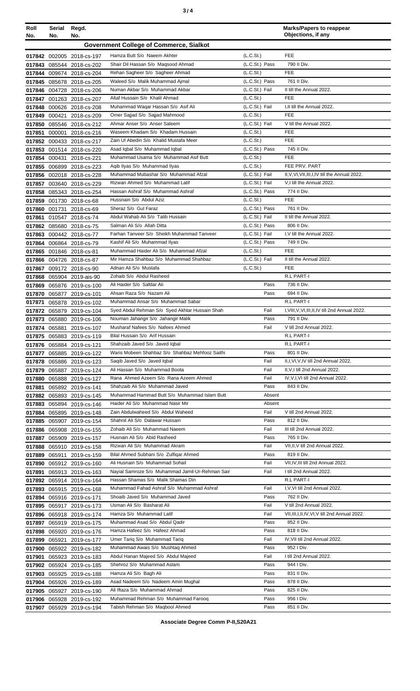| ×<br>٠<br>٦<br>۰.<br>× |  |  |
|------------------------|--|--|
|------------------------|--|--|

| Roll<br>No. | Serial<br>No.                                  | Regd.<br>No.                                           |                                                                                   |                             | <b>Marks/Papers to reappear</b><br>Objections, if any |  |
|-------------|------------------------------------------------|--------------------------------------------------------|-----------------------------------------------------------------------------------|-----------------------------|-------------------------------------------------------|--|
|             | <b>Government College of Commerce, Sialkot</b> |                                                        |                                                                                   |                             |                                                       |  |
|             |                                                | 017842 002005 2018-cs-197                              | Hamza Butt S/o Naeem Akhter                                                       | (L.C.S <sub>t</sub> )       | FEE                                                   |  |
|             |                                                | 017843 085544 2018-cs-202                              | Shair Dil Hassan S/o Magsood Ahmad                                                | (L.C.St.) Pass              | 790 II Div.                                           |  |
|             |                                                | 017844 009674 2018-cs-204                              | Rehan Sagheer S/o Sagheer Ahmad                                                   | (L.C.St.)                   | <b>FEE</b>                                            |  |
|             |                                                | 017845 085678 2018-cs-205                              | Waleed S/o Malik Muhammad Ajmal                                                   | (L.C.St.) Pass              | 761 II Div.                                           |  |
|             |                                                | 017846 004728 2018-cs-206                              | Numan Akbar S/o Muhammad Akbar                                                    | (L.C.St.) Fail              | II till the Annual 2022.                              |  |
|             |                                                | 017847 001263 2018-cs-207                              | Altaf Hussain S/o Khalil Ahmad                                                    | (L.C.St.)                   | <b>FEE</b>                                            |  |
|             |                                                | 017848 000626 2018-cs-208                              | Muhammad Waqar Hassan S/o Asif Ali<br>Omer Sajjad S/o Sajjad Mahmood              | (L.C.St.) Fail<br>(L.C.St.) | I, II till the Annual 2022.<br><b>FEE</b>             |  |
| 017849      | 000421                                         | 2018-cs-209<br>017850 085546 2018-cs-212               | Ahmar Anser S/o Anser Saleem                                                      | (L.C.St.) Fail              | V till the Annual 2022.                               |  |
| 017851      |                                                | 000001 2018-cs-216                                     | Waseem Khadam S/o Khadam Hussain                                                  | (L.C.St.)                   | <b>FEE</b>                                            |  |
|             |                                                | 017852 000433 2018-cs-217                              | Zain UI Abedin S/o Khalid Mustafa Meer                                            | (L.C.S <sub>t</sub> )       | <b>FEE</b>                                            |  |
|             |                                                | 017853 001514 2018-cs-220                              | Asad Iqbal S/o Muhammad Iqbal                                                     | (L.C.St.) Pass              | 745 II Div.                                           |  |
|             |                                                | 017854 000431 2018-cs-221                              | Muhammad Usama S/o Muhammad Asif Butt                                             | (L.C.S <sub>t</sub> )       | FEE                                                   |  |
|             |                                                | 017855 006899 2018-cs-223                              | Agib Ilyas S/o Muhammad Ilyas                                                     | (L.C.S <sub>t</sub> )       | FEE PRV. PART                                         |  |
|             |                                                | 017856 002018 2018-cs-228                              | Muhammad Mubashar S/o Muhammad Afzal                                              | (L.C.St.) Fail              | II, V, VI, VII, III, I, IV till the Annual 2022.      |  |
|             |                                                | 017857 003640 2018-cs-229                              | Rizwan Ahmed S/o Muhammad Latif<br>Hassan Ashraf S/o Muhammad Ashraf              | (L.C.St.) Fail              | V.I till the Annual 2022.<br>774 II Div.              |  |
|             |                                                | 017858 085343 2018-cs-254<br>017859 001730 2018-cs-68  | Hussnain S/o Abdul Aziz                                                           | (L.C.St.) Pass<br>(L.C.St.) | FEE                                                   |  |
|             |                                                | 017860 001731 2018-cs-69                               | Sheraz S/o Gul Faraz                                                              | (L.C.St.) Pass              | 761 II Div.                                           |  |
| 017861      |                                                | 010547 2018-cs-74                                      | Abdul Wahab Ali S/o Talib Hussain                                                 | (L.C.St.) Fail              | II till the Annual 2022.                              |  |
|             |                                                | 017862 085680 2018-cs-75                               | Salman Ali S/o Allah Ditta                                                        | (L.C.St.) Pass              | 806 II Div.                                           |  |
|             |                                                | 017863 000442 2018-cs-77                               | Farhan Tanveer S/o Sheikh Muhammad Tanveer                                        | (L.C.St.) Fail              | I, V till the Annual 2022.                            |  |
|             |                                                | 017864 006864 2018-cs-79                               | Kashif Ali S/o Muhammad Ilyas                                                     | (L.C.St.) Pass              | 749 II Div.                                           |  |
|             |                                                | 017865 001846 2018-cs-81                               | Muhammad Haider Ali S/o Muhammad Afzal                                            | (L.C.St.)                   | <b>FEE</b>                                            |  |
|             |                                                | 017866 004726 2018-cs-87                               | Mir Hamza Shahbaz S/o Muhammad Shahbaz                                            | (L.C.St.) Fail              | II till the Annual 2022.                              |  |
|             |                                                | 017867 009172 2018-cs-90                               | Adnan Ali S/o Mustafa<br>Zohaib S/o Abdul Rasheed                                 | (L.C.St.)                   | FEE<br>R.L PART-I                                     |  |
|             |                                                | 017868 065904 2019-ais-90<br>017869 065876 2019-cs-100 | Ali Haider S/o Safdar Ali                                                         | Pass                        | 736 II Div.                                           |  |
|             |                                                | 017870 065877 2019-cs-101                              | Ahsan Raza S/o Nazam Ali                                                          | Pass                        | 694 II Div.                                           |  |
| 017871      |                                                | 065878 2019-cs-102                                     | Muhammad Ansar S/o Muhammad Sabar                                                 |                             | R.L PART-I                                            |  |
|             |                                                | 017872 065879 2019-cs-104                              | Syed Abdul Rehman S/o Syed Akhtar Hussain Shah                                    | Fail                        | I, VIII, V, VI, III, II, IV till 2nd Annual 2022.     |  |
|             |                                                | 017873 065880 2019-cs-106                              | Nouman Jahangir S/o Jahangir Malik                                                | Pass                        | 791 II Div.                                           |  |
|             |                                                | 017874 065881 2019-cs-107                              | Musharaf Nafees S/o Nafees Ahmed                                                  | Fail                        | V till 2nd Annual 2022.                               |  |
|             |                                                | 017875 065883 2019-cs-119                              | Bilal Hussain S/o Arif Hussain                                                    |                             | R.L PART-I                                            |  |
|             |                                                | 017876 065884 2019-cs-121                              | Shahzaib Javed S/o Javed lobal<br>Waris Mobeen Shahbaz S/o Shahbaz Mehfooz Saithi | Pass                        | R.L PART-I<br>801 II Div.                             |  |
|             |                                                | 017877 065885 2019-cs-122<br>017878 065886 2019-cs-123 | Saqib Javed S/o Javed Iqbal                                                       | Fail                        | II, I, VI, V, IV till 2nd Annual 2022.                |  |
|             |                                                | 017879 065887 2019-cs-124                              | Ali Hassan S/o Muhammad Boota                                                     | Fail                        | II, V, I till 2nd Annual 2022.                        |  |
|             |                                                | 017880 065888 2019-cs-127                              | Rana Ahmed Azeem S/o Rana Azeem Ahmed                                             | Fail                        | IV, V, I, VI till 2nd Annual 2022.                    |  |
| 017881      |                                                | 065892 2019-cs-141                                     | Shahzaib Ali S/o Muhammad Javed                                                   | Pass                        | 843 II Div.                                           |  |
|             |                                                | 017882 065893 2019-cs-145                              | Muhammad Hammad Butt S/o Muhammad Islam Butt                                      | Absent                      |                                                       |  |
|             |                                                | 017883 065894 2019-cs-146                              | Haider Ali S/o Muhammad Nasir Mir                                                 | Absent                      |                                                       |  |
|             |                                                | 017884 065895 2019-cs-148                              | Zain Abdulwaheed S/o Abdul Waheed                                                 | Fail                        | V till 2nd Annual 2022.                               |  |
|             |                                                | 017885 065907 2019-cs-154                              | Shahnil Ali S/o Dalawar Hussain<br>Zohaib Ali S/o Muhammad Naeem                  | Pass<br>Fail                | 812 II Div.<br>III till 2nd Annual 2022.              |  |
|             |                                                | 017886 065908 2019-cs-155<br>017887 065909 2019-cs-157 | Husnain Ali S/o Abid Rasheed                                                      | Pass                        | 765 II Div.                                           |  |
|             |                                                | 017888 065910 2019-cs-158                              | Rizwan Ali S/o Muhammad Akram                                                     | Fail                        | VII, II, V till 2nd Annual 2022.                      |  |
|             |                                                | 017889 065911 2019-cs-159                              | Bilal Ahmed Subhani S/o Zulfiqar Ahmed                                            | Pass                        | 819 II Div.                                           |  |
|             |                                                | 017890 065912 2019-cs-160                              | Ali Husnain S/o Muhammad Sohail                                                   | Fail                        | VII, IV, III till 2nd Annual 2022.                    |  |
|             |                                                | 017891 065913 2019-cs-163                              | Nayial Samroze S/o Muhammad Jamil-Ur-Rehman Sair                                  | Fail                        | I till 2nd Annual 2022.                               |  |
|             |                                                | 017892 065914 2019-cs-164                              | Hassan Shamas S/o Malik Shamas Din                                                |                             | R.L PART-I                                            |  |
|             |                                                | 017893 065915 2019-cs-168                              | Muhammad Fahad Ashraf S/o Muhammad Ashraf                                         | Fail                        | I, V, VI till 2nd Annual 2022.                        |  |
|             |                                                | 017894 065916 2019-cs-171                              | Shoaib Javed S/o Muhammad Javed<br>Usman Ali S/o Basharat Ali                     | Pass<br>Fail                | 762 II Div.<br>V till 2nd Annual 2022.                |  |
|             |                                                | 017895 065917 2019-cs-173<br>017896 065918 2019-cs-174 | Hamza S/o Muhammad Latif                                                          | Fail                        | VII, III, I, II, IV, VI, V till 2nd Annual 2022.      |  |
| 017897      |                                                | 065919 2019-cs-175                                     | Muhammad Asad S/o Abdul Qadir                                                     | Pass                        | 852 II Div.                                           |  |
|             |                                                | 017898 065920 2019-cs-176                              | Hamza Hafeez S/o Hafeez Ahmad                                                     | Pass                        | 818 II Div.                                           |  |
| 017899      | 065921                                         | 2019-cs-177                                            | Umer Tariq S/o Muhammad Tariq                                                     | Fail                        | IV, VII till 2nd Annual 2022.                         |  |
|             |                                                | 017900 065922 2019-cs-182                              | Muhammad Awais S/o Mushtaq Ahmed                                                  | Pass                        | 952 I Div.                                            |  |
|             |                                                | 017901 065923 2019-cs-183                              | Abdul Hanan Majeed S/o Abdul Majeed                                               | Fail                        | I till 2nd Annual 2022.                               |  |
|             |                                                | 017902 065924 2019-cs-185                              | Shehroz S/o Muhammad Aslam                                                        | Pass                        | 944 I Div.                                            |  |
|             |                                                | 017903 065925 2019-cs-188                              | Hamza Ali S/o Bagh Ali<br>Asad Nadeem S/o Nadeem Amin Mughal                      | Pass<br>Pass                | 831 II Div.<br>878 II Div.                            |  |
|             |                                                | 017904 065926 2019-cs-189<br>017905 065927 2019-cs-190 | Ali Iftaza S/o Muhammad Ahmad                                                     | Pass                        | 825 II Div.                                           |  |
|             |                                                | 017906 065928 2019-cs-192                              | Muhammad Rehman S/o Muhammad Farooq                                               | Pass                        | 956 I Div.                                            |  |
|             |                                                | 017907 065929 2019-cs-194                              | Tabish Rehman S/o Maqbool Ahmed                                                   | Pass                        | 851 II Div.                                           |  |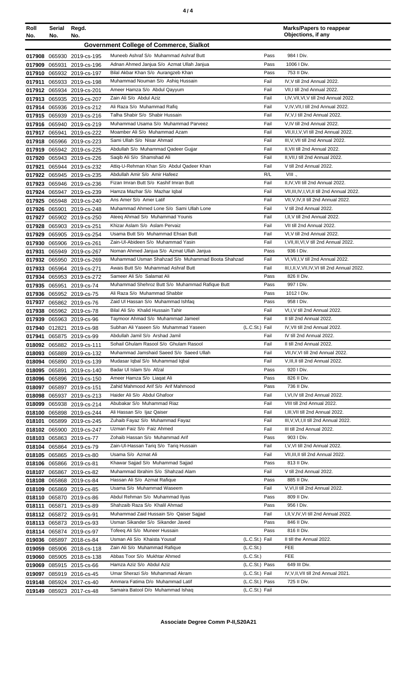| Roll<br>No. | Serial<br>No. | Regd.<br>No.                                           |                                                              |                       |              | <b>Marks/Papers to reappear</b><br>Objections, if any                 |
|-------------|---------------|--------------------------------------------------------|--------------------------------------------------------------|-----------------------|--------------|-----------------------------------------------------------------------|
|             |               |                                                        | <b>Government College of Commerce, Sialkot</b>               |                       |              |                                                                       |
|             |               | 017908 065930 2019-cs-195                              | Muneeb Ashraf S/o Muhammad Ashraf Butt                       |                       | Pass         | 984   Div.                                                            |
|             |               | 017909 065931 2019-cs-196                              | Adnan Ahmed Janjua S/o Azmat Ullah Janjua                    |                       | Pass         | 1006   Div.                                                           |
|             |               | 017910 065932 2019-cs-197                              | Bilal Akbar Khan S/o Aurangzeb Khan                          |                       | Pass         | 753 II Div.                                                           |
| 017911      |               | 065933 2019-cs-198                                     | Muhammad Nouman S/o Ashiq Hussain                            |                       | Fail         | IV, V till 2nd Annual 2022.                                           |
|             |               | 017912 065934 2019-cs-201                              | Ameer Hamza S/o Abdul Qayyum                                 |                       | Fail         | VII, I till 2nd Annual 2022.                                          |
|             |               | 017913 065935 2019-cs-207                              | Zain Ali S/o Abdul Aziz                                      |                       | Fail         | I,IV, VII, VI, V till 2nd Annual 2022.                                |
|             |               | 017914 065936 2019-cs-212                              | Ali Raza S/o Muhammad Rafiq                                  |                       | Fail         | V,IV, VII, I till 2nd Annual 2022.                                    |
|             |               | 017915 065939 2019-cs-216                              | Talha Shabir S/o Shabir Hussain                              |                       | Fail         | IV, V, I till 2nd Annual 2022.                                        |
|             |               | 017916 065940 2019-cs-219                              | Muhammad Usama S/o Muhammad Parveez                          |                       | Fail         | V, IV till 2nd Annual 2022.                                           |
|             |               | 017917 065941 2019-cs-222                              | Moamber Ali S/o Muhammad Azam                                |                       | Fail         | VII, II, I, V, VI till 2nd Annual 2022.                               |
|             |               | 017918 065966 2019-cs-223                              | Sami Ullah S/o Nisar Ahmad                                   |                       | Fail         | III, V, VII till 2nd Annual 2022.                                     |
|             |               | 017919 065942 2019-cs-225                              | Abdullah S/o Muhammad Qadeer Gujjar                          |                       | Fail         | II, VII till 2nd Annual 2022.                                         |
|             |               | 017920 065943 2019-cs-226                              | Saqib Ali S/o Shamshad Ali                                   |                       | Fail         | II, VII, I till 2nd Annual 2022.                                      |
| 017921      |               | 065944 2019-cs-232                                     | Attiq-U-Rehman Khan S/o Abdul Qadeer Khan                    |                       | Fail         | V till 2nd Annual 2022.                                               |
|             |               | 017922 065945 2019-cs-235                              | Abdullah Amir S/o Amir Hafeez                                |                       | R/L          | VIII.,                                                                |
|             |               | 017923 065946 2019-cs-236                              | Fizan Imran Butt S/o Kashif Imran Butt                       |                       | Fail         | II, IV, VII till 2nd Annual 2022.                                     |
|             |               | 017924 065947 2019-cs-239                              | Hamza Mazhar S/o Mazhar Iqbal                                |                       | Fail         | VII, III, IV, I, VI, II till 2nd Annual 2022.                         |
|             |               | 017925 065948 2019-cs-240                              | Ans Amer S/o Amer Latif                                      |                       | Fail         | VII, V, IV, II till 2nd Annual 2022.                                  |
|             |               | 017926 065901 2019-cs-248                              | Muhammad Ahmed Lone S/o Sami Ullah Lone                      |                       | Fail         | V till 2nd Annual 2022.                                               |
|             |               | 017927 065902 2019-cs-250                              | Ateeq Ahmad S/o Muhammad Younis                              |                       | Fail         | I, II, V till 2nd Annual 2022.                                        |
|             |               | 017928 065903 2019-cs-251                              | Khizar Aslam S/o Aslam Pervaiz                               |                       | Fail         | VII till 2nd Annual 2022.                                             |
| 017929      |               | 065905 2019-cs-254                                     | Usama Butt S/o Muhammad Ehsan Butt                           |                       | Fail         | VI, V till 2nd Annual 2022.                                           |
|             |               | 017930 065906 2019-cs-261                              | Zain-Ul-Abideen S/o Muhammad Yasin                           |                       | Fail         | I, VII, III, VI, V till 2nd Annual 2022.                              |
|             |               | 017931 065949 2019-cs-267                              | Noman Ahmed Janjua S/o Azmat Ullah Janjua                    |                       | Pass         | 936 I Div.                                                            |
|             |               | 017932 065950 2019-cs-269                              | Muhammad Usman Shahzad S/o Muhammad Boota Shahzad            |                       | Fail         | VI, VII, I, V till 2nd Annual 2022.                                   |
|             |               | 017933 065964 2019-cs-271                              | Awais Butt S/o Muhammad Ashraf Butt                          |                       | Fail         | III, I, II, V, VII, IV, VI till 2nd Annual 2022.                      |
|             |               | 017934 065953 2019-cs-272                              | Sameer Ali S/o Salamat Ali                                   |                       | Pass         | 826 II Div.                                                           |
|             | 017935 065951 | 2019-cs-74                                             | Muhammad Shehroz Butt S/o Muhammad Rafique Butt              |                       | Pass         | 997   Div.                                                            |
|             |               | 017936 065952 2019-cs-75                               | Ali Raza S/o Muhammad Shabbir                                |                       | Pass         | 1012   Div.                                                           |
| 017937      |               | 065862 2019-cs-76                                      | Zaid Ul Hassan S/o Muhammad Ishfaq                           |                       | Pass         | 958   Div.                                                            |
|             |               | 017938 065962 2019-cs-78                               | Bilal Ali S/o Khalid Hussain Tahir                           |                       | Fail         | VI,I, V till 2nd Annual 2022.                                         |
|             |               | 017939 065963 2019-cs-96                               | Taymoor Ahmad S/o Muhammad Jameel                            |                       | Fail         | II till 2nd Annual 2022.                                              |
|             |               | 017940 012821 2019-cs-98                               | Subhan Ali Yaseen S/o Muhammad Yaseen                        | (L.C.St.) Fail        |              | IV, VII till 2nd Annual 2022.                                         |
|             |               | 017941 065875 2019-cs-99                               | Abdullah Jamil S/o Arshad Jamil                              |                       | Fail         | IV till 2nd Annual 2022.                                              |
|             |               | 018092 065882 2019-cs-111                              | Sohail Ghulam Rasool S/o Ghulam Rasool                       |                       | Fail         | II till 2nd Annual 2022.                                              |
|             |               | 018093 065889 2019-cs-132                              | Muhammad Jamshaid Saeed S/o Saeed Ullah                      |                       | Fail<br>Fail | VII, IV, VI till 2nd Annual 2022.<br>V, III, II till 2nd Annual 2022. |
|             |               | 018094 065890 2019-cs-139                              | Mudasar Iqbal S/o Muhammad Iqbal<br>Badar UI Islam S/o Afzal |                       | Pass         | 920 I Div.                                                            |
|             |               | 018095 065891 2019-cs-140<br>018096 065896 2019-cs-150 | Ameer Hamza S/o Liagat Ali                                   |                       | Pass         | 826 II Div.                                                           |
|             |               |                                                        | Zahid Mahmood Arif S/o Arif Mahmood                          |                       | Pass         | 736 II Div.                                                           |
|             |               | 018097 065897 2019-cs-151<br>018098 065937 2019-cs-213 | Haider Ali S/o Abdul Ghafoor                                 |                       | Fail         | I, VI, IV till 2nd Annual 2022.                                       |
|             |               | 018099 065938 2019-cs-214                              | Abubakar S/o Muhammad Riaz                                   |                       | Fail         | VIII till 2nd Annual 2022.                                            |
|             |               | 018100 065898 2019-cs-244                              | Ali Hassan S/o Ijaz Qaiser                                   |                       | Fail         | I, III, VII till 2nd Annual 2022.                                     |
|             |               | 018101 065899 2019-cs-245                              | Zuhaib Fayaz S/o Muhammad Fayaz                              |                       | Fail         | III, V, VI, I, II till 2nd Annual 2022.                               |
|             |               | 018102 065900 2019-cs-247                              | Uzman Faiz S/o Faiz Ahmed                                    |                       | Fail         | III till 2nd Annual 2022.                                             |
|             |               | 018103 065863 2019-cs-77                               | Zohaib Hassan S/o Muhammad Arif                              |                       | Pass         | 903 I Div.                                                            |
|             |               | 018104 065864 2019-cs-79                               | Zain-Ul-Hassan Tariq S/o Tariq Hussain                       |                       | Fail         | I, V, VI till 2nd Annual 2022.                                        |
|             |               | 018105 065865 2019-cs-80                               | Usama S/o Azmat Ali                                          |                       | Fail         | VII, III, II till 2nd Annual 2022.                                    |
|             |               | 018106 065866 2019-cs-81                               | Khawar Sajjad S/o Muhammad Sajjad                            |                       | Pass         | 813 II Div.                                                           |
|             |               | 018107 065867 2019-cs-82                               | Muhammad Ibrahim S/o Shahzad Alam                            |                       | Fail         | V till 2nd Annual 2022.                                               |
|             |               | 018108 065868 2019-cs-84                               | Hassan Ali S/o Azmat Rafique                                 |                       | Pass         | 885 II Div.                                                           |
|             |               | 018109 065869 2019-cs-85                               | Usama S/o Muhammad Waseem                                    |                       | Fail         | V, VI, II till 2nd Annual 2022.                                       |
|             |               | 018110 065870 2019-cs-86                               | Abdul Rehman S/o Muhammad Ilyas                              |                       | Pass         | 809 II Div.                                                           |
| 018111      |               | 065871 2019-cs-89                                      | Shahzaib Raza S/o Khalil Ahmad                               |                       | Pass         | 956 I Div.                                                            |
|             |               | 018112 065872 2019-cs-91                               | Muhammad Zaid Hussain S/o Qaiser Sajjad                      |                       | Fail         | I, II, V, IV, VI till 2nd Annual 2022.                                |
|             |               | 018113 065873 2019-cs-93                               | Usman Sikander S/o Sikander Javed                            |                       | Pass         | 846 II Div.                                                           |
|             |               | 018114 065874 2019-cs-97                               | Tofeeg Ali S/o Muneer Hussain                                |                       | Pass         | 816 II Div.                                                           |
|             |               | 019036 085897 2018-cs-84                               | Usman Ali S/o Khaista Yousaf                                 | (L.C.St.) Fail        |              | II till the Annual 2022.                                              |
|             |               | 019059 085906 2018-cs-118                              | Zain Ali S/o Muhammad Rafique                                | (L.C.S <sub>t</sub> ) |              | FEE                                                                   |
|             |               | 019060 085905 2018-cs-138                              | Abbas Toor S/o Mukhtar Ahmed                                 | (L.C.S <sub>t</sub> ) |              | FEE                                                                   |
|             |               | 019069 085915 2015-cs-66                               | Hamza Aziz S/o Abdul Aziz                                    | (L.C.St.) Pass        |              | 649 III Div.                                                          |
|             |               | 019097 085919 2016-cs-45                               | Umar Sherazi S/o Muhammad Akram                              | (L.C.St.) Fail        |              | IV, V, II, VII till 2nd Annual 2021.                                  |
|             |               | 019148 085924 2017-cs-40                               | Ammara Fatima D/o Muhammad Latif                             | (L.C.St.) Pass        |              | 725 II Div.                                                           |

**Associate Degree Comm P-II,S20A21**

(L.C.St.) Fail

Samaira Batool D/o Muhammad Ishaq

**019149** 085923 2017-cs-48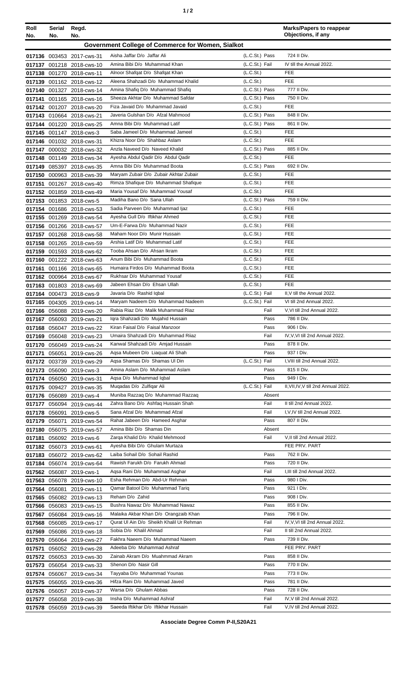| ٠ |  |  |
|---|--|--|
|---|--|--|

| Roll<br>No. | Serial Regd.<br>No. | No.                                                    |                                                                         |                                                | <b>Marks/Papers to reappear</b><br>Objections, if any |
|-------------|---------------------|--------------------------------------------------------|-------------------------------------------------------------------------|------------------------------------------------|-------------------------------------------------------|
|             |                     |                                                        | Government College of Commerce for Women, Sialkot                       |                                                |                                                       |
|             |                     | 017136 003453 2017-cws-31                              | Aisha Jaffar D/o Jaffar Ali                                             | (L.C.St.) Pass                                 | 724 II Div.                                           |
| 017137      |                     | 001218 2018-cws-10                                     | Amina Bibi D/o Muhammad Khan                                            | (L.C.St.) Fail                                 | IV till the Annual 2022.                              |
|             |                     | 017138 001270 2018-cws-11                              | Alnoor Shafqat D/o Shafqat Khan                                         | (L.C.S <sub>t</sub> )                          | FEE                                                   |
|             |                     | 017139 001162 2018-cws-12                              | Aleena Shahzadi D/o Muhammad Khalid                                     | (L.C.S <sub>t</sub> )                          | <b>FEE</b>                                            |
|             |                     | 017140 001327 2018-cws-14                              | Amina Shafiq D/o Muhammad Shafiq                                        | (L.C.St.) Pass                                 | 777 II Div.                                           |
|             |                     | 017141 001165 2018-cws-16                              | Sheeza Akhtar D/o Muhammad Safdar                                       | (L.C.St.) Pass                                 | 750 II Div.                                           |
|             |                     | 017142 001207 2018-cws-20                              | Fiza Javaid D/o Muhammad Javaid                                         | (L.C.S <sub>t</sub> )                          | <b>FEE</b>                                            |
|             |                     | 017143 010664 2018-cws-21                              | Javeria Gulshan D/o Afzal Mahmood                                       | (L.C.St.) Pass                                 | 848 II Div.                                           |
|             |                     | 017144 001220 2018-cws-25                              | Amna Bibi D/o Muhammad Latif                                            | (L.C.St.) Pass                                 | 861 II Div.                                           |
|             |                     | 017145 001147 2018-cws-3                               | Saba Jameel D/o Muhammad Jameel<br>Khizra Noor D/o Shahbaz Aslam        | (L.C.S <sub>t</sub> )<br>(L.C.S <sub>t</sub> ) | FEE<br><b>FEE</b>                                     |
|             |                     | 017146 001032 2018-cws-31<br>017147 000032 2018-cws-32 | Anzla Naveed D/o Naveed Khalid                                          | (L.C.St.) Pass                                 | 885 II Div.                                           |
|             |                     | 017148 001149 2018-cws-34                              | Ayesha Abdul Qadir D/o Abdul Qadir                                      | (L.C.S <sub>t</sub> )                          | FEE                                                   |
|             |                     | 017149 085397 2018-cws-35                              | Amna Bibi D/o Muhammad Boota                                            | (L.C.St.) Pass                                 | 692 II Div.                                           |
|             |                     | 017150 000963 2018-cws-39                              | Maryam Zubair D/o Zubair Akhtar Zubair                                  | (L.C.S <sub>t</sub> )                          | <b>FEE</b>                                            |
| 017151      |                     | 001267 2018-cws-40                                     | Rimza Shafique D/o Muhammad Shafique                                    | (L.C.S <sub>t</sub> )                          | <b>FEE</b>                                            |
|             |                     | 017152 001859 2018-cws-49                              | Maria Yousaf D/o Muhammad Yousaf                                        | (L.C.S <sub>t</sub> )                          | FEE                                                   |
|             |                     | 017153 001853 2018-cws-5                               | Madiha Bano D/o Sana Ullah                                              | (L.C.St.) Pass                                 | 759 II Div.                                           |
|             |                     | 017154 001686 2018-cws-53                              | Sadia Parveen D/o Muhammad Ijaz                                         | (L.C.S <sub>t</sub> )                          | FEE                                                   |
|             |                     | 017155 001269 2018-cws-54                              | Ayesha Gull D/o Iftikhar Ahmed<br>Um-E-Farwa D/o Muhammad Nazir         | (L.C.S <sub>t</sub> )<br>(L.C.S <sub>t</sub> ) | <b>FEE</b><br><b>FEE</b>                              |
|             |                     | 017156 001266 2018-cws-57<br>017157 001268 2018-cws-58 | Maham Noor D/o Munir Hussain                                            | (L.C.S <sub>t</sub> )                          | <b>FEE</b>                                            |
|             |                     | 017158 001265 2018-cws-59                              | Arshia Latif D/o Muhammad Latif                                         | (L.C.S <sub>t</sub> )                          | <b>FEE</b>                                            |
|             |                     | 017159 001593 2018-cws-62                              | Tooba Ahsan D/o Ahsan Ikram                                             | (L.C.St.)                                      | FEE                                                   |
|             |                     | 017160 001222 2018-cws-63                              | Anum Bibi D/o Muhammad Boota                                            | (L.C.S <sub>t</sub> )                          | <b>FEE</b>                                            |
|             |                     | 017161 001166 2018-cws-65                              | Humaira Firdos D/o Muhammad Boota                                       | (L.C.S <sub>t</sub> )                          | <b>FEE</b>                                            |
|             |                     | 017162 000964 2018-cws-67                              | Rukhsar D/o Muhammad Yousaf                                             | (L.C.St.)                                      | FEE                                                   |
|             |                     | 017163 001803 2018-cws-69                              | Jabeen Ehsan D/o Ehsan Ullah                                            | (L.C.St.)                                      | <b>FEE</b>                                            |
|             |                     | 017164 000473 2018-cws-9                               | Javaria D/o Rashid Iqbal                                                | (L.C.St.) Fail                                 | II, V till the Annual 2022.                           |
|             |                     | 017165 004305 2019-cws-14                              | Maryam Nadeem D/o Muhammad Nadeem<br>Rabia Riaz D/o Malik Muhammad Riaz | (L.C.St.) Fail                                 | VI till 2nd Annual 2022.                              |
|             |                     | 017166 056088 2019-cws-20                              | Igra Shahzadi D/o Mujahid Hussain                                       | Fail<br>Pass                                   | V, VI till 2nd Annual 2022.<br>786 II Div.            |
| 017167      |                     | 056093 2019-cws-21<br>017168 056047 2019-cws-22        | Kiran Faisal D/o Faisal Manzoor                                         | Pass                                           | 906   Div.                                            |
|             |                     | 017169 056048 2019-cws-23                              | Umaira Shahzadi D/o Muhammad Riiaz                                      | Fail                                           | IV, V, VI till 2nd Annual 2022.                       |
|             |                     | 017170 056049 2019-cws-24                              | Kanwal Shahzadi D/o Amjad Hussain                                       | Pass                                           | 878 II Div.                                           |
|             |                     | 017171 056051 2019-cws-26                              | Agsa Mubeen D/o Liaguat Ali Shah                                        | Pass                                           | 937 I Div.                                            |
|             |                     | 017172 003739 2019-cws-29                              | Agsa Shamas D/o Shamas Ul Din                                           | (L.C.St.) Fail                                 | I, VIII till 2nd Annual 2022.                         |
|             |                     | 017173 056090 2019-cws-3                               | Amina Aslam D/o Muhammad Aslam                                          | Pass                                           | 815 II Div.                                           |
|             |                     | 017174 056050 2019-cws-31                              | Agsa D/o Muhammad Iqbal                                                 | Pass                                           | 949 I Div.                                            |
|             |                     | 017175 009427 2019-cws-35                              | Mugadas D/o Zulfigar Ali<br>Muniba Razzaq D/o Muhammad Razzaq           | (L.C.St.) Fail<br>Absent                       | II, VII, IV, V till 2nd Annual 2022.                  |
|             |                     | 017176 056089 2019-cws-4<br>017177 056094 2019-cws-44  | Zahra Bano D/o Ashfaq Hussain Shah                                      | Fail                                           | II till 2nd Annual 2022.                              |
|             |                     | 017178 056091 2019-cws-5                               | Sana Afzal D/o Muhammad Afzal                                           | Fail                                           | I, V, IV till 2nd Annual 2022.                        |
|             |                     | 017179 056071 2019-cws-54                              | Rahat Jabeen D/o Hameed Asghar                                          | Pass                                           | 807 II Div.                                           |
|             |                     | 017180 056075 2019-cws-57                              | Amina Bibi D/o Shamas Din                                               | Absent                                         |                                                       |
|             |                     | 017181 056092 2019-cws-6                               | Zarga Khalid D/o Khalid Mehmood                                         | Fail                                           | V, II till 2nd Annual 2022.                           |
|             |                     | 017182 056073 2019-cws-61                              | Ayesha Bibi D/o Ghulam Murtaza                                          |                                                | FEE PRV. PART                                         |
|             |                     | 017183 056072 2019-cws-62                              | Laiba Sohail D/o Sohail Rashid                                          | Pass                                           | 762 II Div.                                           |
|             |                     | 017184 056074 2019-cws-64                              | Rawish Farukh D/o Farukh Ahmad                                          | Pass                                           | 720 II Div.                                           |
|             |                     | 017562 056087 2019-cws-1                               | Agsa Rani D/o Muhammad Asghar<br>Esha Rehman D/o Abd-Ur Rehman          | Fail<br>Pass                                   | I, III till 2nd Annual 2022.<br>980 I Div.            |
|             |                     | 017563 056078 2019-cws-10<br>017564 056081 2019-cws-11 | Qamar Batool D/o Muhammad Tariq                                         | Pass                                           | 921 I Div.                                            |
|             |                     | 017565 056082 2019-cws-13                              | Reham D/o Zahid                                                         | Pass                                           | 908 I Div.                                            |
|             |                     | 017566 056083 2019-cws-15                              | Bushra Nawaz D/o Muhammad Nawaz                                         | Pass                                           | 855 II Div.                                           |
|             |                     | 017567 056084 2019-cws-16                              | Malaika Akbar Khan D/o Orangzaib Khan                                   | Pass                                           | 796 II Div.                                           |
|             |                     | 017568 056085 2019-cws-17                              | Qurat UI Ain D/o Sheikh Khalil Ur Rehman                                | Fail                                           | IV, V, VI till 2nd Annual 2022.                       |
|             |                     | 017569 056086 2019-cws-18                              | Sobia D/o Khalil Ahmad                                                  | Fail                                           | II till 2nd Annual 2022.                              |
|             |                     | 017570 056064 2019-cws-27                              | Fakhra Naeem D/o Muhammad Naeem                                         | Pass                                           | 739 II Div.                                           |
|             |                     | 017571 056052 2019-cws-28                              | Adeeba D/o Muhammad Ashraf                                              |                                                | FEE PRV. PART                                         |
|             |                     | 017572 056053 2019-cws-30                              | Zainab Akram D/o Muahmmad Akram                                         | Pass                                           | 858 II Div.                                           |
|             |                     | 017573 056054 2019-cws-33                              | Shenon D/o Nasir Gill                                                   | Pass                                           | 770 II Div.<br>773 II Div.                            |
|             |                     | 017574 056067 2019-cws-34<br>017575 056055 2019-cws-36 | Tayyaba D/o Muhammad Younas<br>Hifza Rani D/o Muhammad Javed            | Pass<br>Pass                                   | 781 II Div.                                           |
|             |                     | 017576 056057 2019-cws-37                              | Warsa D/o Ghulam Abbas                                                  | Pass                                           | 728 II Div.                                           |
|             |                     | 017577 056058 2019-cws-38                              | Insha D/o Muhammad Ashraf                                               | Fail                                           | IV, V till 2nd Annual 2022.                           |
|             |                     | 017578 056059 2019-cws-39                              | Saeeda Iftikhar D/o Iftikhar Hussain                                    | Fail                                           | V, IV till 2nd Annual 2022.                           |
|             |                     |                                                        |                                                                         |                                                |                                                       |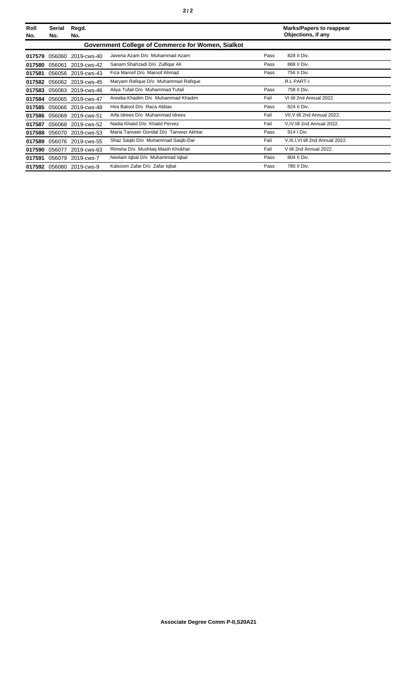| Roll<br>No. | Serial<br>No.                                     | Regd.<br>No.       |                                         |      | <b>Marks/Papers to reappear</b><br>Objections, if any |  |
|-------------|---------------------------------------------------|--------------------|-----------------------------------------|------|-------------------------------------------------------|--|
|             | Government College of Commerce for Women, Sialkot |                    |                                         |      |                                                       |  |
| 017579      | 056060                                            | 2019-cws-40        | Javeria Azam D/o Muhammad Azam          | Pass | 828 II Div.                                           |  |
| 017580      | 056061                                            | 2019-cws-42        | Sanam Shahzadi D/o Zulfigar Ali         | Pass | 868 II Div.                                           |  |
| 017581      | 056056                                            | 2019-cws-43        | Fiza Maroof D/o Maroof Ahmad            | Pass | 756 II Div.                                           |  |
| 017582      |                                                   | 056062 2019-cws-45 | Maryam Rafique D/o Muhammad Rafique     |      | R.L PART-I                                            |  |
| 017583      | 056063                                            | 2019-cws-46        | Aliya Tufail D/o Muhammad Tufail        | Pass | 758 II Div.                                           |  |
| 017584      | 056065                                            | 2019-cws-47        | Areeba Khadim D/o Muhammad Khadim       | Fail | VI till 2nd Annual 2022.                              |  |
| 017585      | 056066                                            | 2019-cws-48        | Hira Batool D/o Raza Abbas              | Pass | 824 II Div.                                           |  |
| 017586      | 056069                                            | 2019-cws-51        | Arfa Idrees D/o Muhammad Idrees         | Fail | VII, V till 2nd Annual 2022.                          |  |
| 017587      | 056068                                            | 2019-cws-52        | Nadia Khalid D/o Khalid Pervez          | Fail | V, IV till 2nd Annual 2022.                           |  |
| 017588      | 056070                                            | 2019-cws-53        | Maria Tanveer Gondal D/o Tanveer Akhtar | Pass | 914   Div.                                            |  |
| 017589      | 056076                                            | 2019-cws-55        | Shaz Saqib D/o Muhammad Saqib-Dar       | Fail | V, III, I, VI till 2nd Annual 2022.                   |  |
| 017590      | 056077                                            | 2019-cws-63        | Rimsha D/o Mushtaq Masih Khokhar        | Fail | V till 2nd Annual 2022.                               |  |
| 017591      | 056079                                            | 2019-cws-7         | Neelam Iqbal D/o Muhammad Iqbal         | Pass | 804 II Div.                                           |  |
| 017592      |                                                   | 056080 2019-cws-9  | Kalsoom Zafar D/o Zafar Igbal           | Pass | 780 II Div.                                           |  |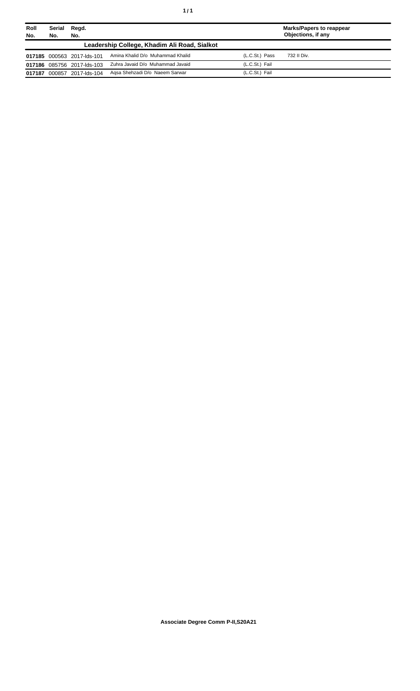| Roll<br>No. | Serial<br>No. | Regd.<br>No.               |                                              | <b>Marks/Papers to reappear</b><br>Objections, if any |             |
|-------------|---------------|----------------------------|----------------------------------------------|-------------------------------------------------------|-------------|
|             |               |                            | Leadership College, Khadim Ali Road, Sialkot |                                                       |             |
|             |               | 017185 000563 2017-lds-101 | Amina Khalid D/o Muhammad Khalid             | (L.C.St.) Pass                                        | 732 II Div. |
|             |               | 017186 085756 2017-lds-103 | Zuhra Javaid D/o Muhammad Javaid             | (L.C.St.) Fail                                        |             |
| 017187      | 000857        | 2017-lds-104               | Agsa Shehzadi D/o Naeem Sarwar               | (L.C.St.) Fail                                        |             |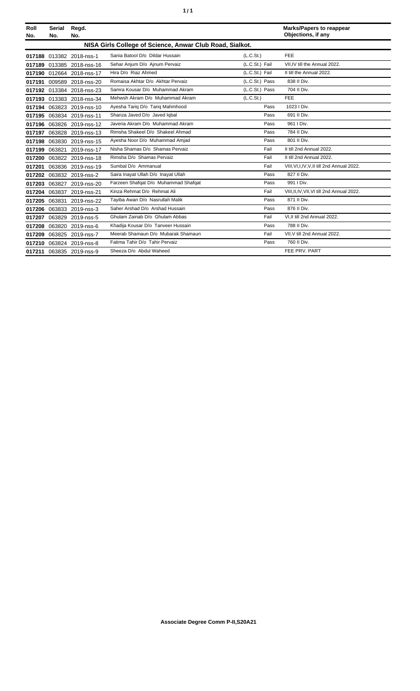| í<br>٠ |
|--------|
|--------|

| Roll<br>No. | <b>Serial</b><br>No. | Regd.<br>No.              |                                                          |                | <b>Marks/Papers to reappear</b><br>Objections, if any |
|-------------|----------------------|---------------------------|----------------------------------------------------------|----------------|-------------------------------------------------------|
|             |                      |                           | NISA Girls College of Science, Anwar Club Road, Sialkot. |                |                                                       |
|             |                      | 017188 013382 2018-nss-1  | Sania Batool D/o Dildar Hussain                          | (L.C.St.)      | <b>FEE</b>                                            |
| 017189      |                      | 013385 2018-nss-16        | Sehar Anjum D/o Ajnum Pervaiz                            | (L.C.St.) Fail | VII.IV till the Annual 2022.                          |
|             |                      | 017190 012664 2018-nss-17 | Hira D/o Riaz Ahmed                                      | (L.C.St.) Fail | II till the Annual 2022.                              |
| 017191      |                      | 009589 2018-nss-20        | Romaisa Akhtar D/o Akhtar Pervaiz                        | (L.C.St.) Pass | 838 II Div.                                           |
| 017192      |                      | 013384 2018-nss-23        | Samra Kousar D/o Muhammad Akram                          | (L.C.St.) Pass | 704 II Div.                                           |
|             |                      | 017193 013383 2018-nss-34 | Mehwsh Akram D/o Muhammad Akram                          | (L.C.St.)      | <b>FEE</b>                                            |
|             |                      | 017194 063823 2019-nss-10 | Ayesha Tariq D/o Tariq Mahmhood                          | Pass           | 1023   Div.                                           |
| 017195      |                      | 063834 2019-nss-11        | Shanza Javed D/o Javed Iqbal                             | Pass           | 691 II Div.                                           |
|             |                      | 017196 063826 2019-nss-12 | Javeria Akram D/o Muhammad Akram                         | Pass           | 961   Div.                                            |
| 017197      | 063828               | 2019-nss-13               | Rimsha Shakeel D/o Shakeel Ahmad                         | Pass           | 784 II Div.                                           |
| 017198      |                      | 063830 2019-nss-15        | Ayesha Noor D/o Muhammad Amjad                           | Pass           | 801 II Div.                                           |
| 017199      |                      | 063821 2019-nss-17        | Nisha Shamas D/o Shamas Pervaiz                          | Fail           | II till 2nd Annual 2022.                              |
| 017200      |                      | 063822 2019-nss-18        | Rimsha D/o Shamas Pervaiz                                | Fail           | II till 2nd Annual 2022.                              |
| 017201      |                      | 063836 2019-nss-19        | Sumbal D/o Ammanual                                      | Fail           | VIII, VI, I, IV, V, II till 2nd Annual 2022.          |
|             |                      | 017202 063832 2019-nss-2  | Saira Inayat Ullah D/o Inayat Ullah                      | Pass           | 827 II Div.                                           |
| 017203      | 063827               | 2019-nss-20               | Farzeen Shafqat D/o Muhammad Shafqat                     | Pass           | 991   Div.                                            |
|             |                      | 017204 063837 2019-nss-21 | Kinza Rehmat D/o Rehmat Ali                              | Fail           | VIII, II, IV, VII, VI till 2nd Annual 2022.           |
| 017205      | 063831               | 2019-nss-22               | Tayiba Awan D/o Nasrullah Malik                          | Pass           | 871 II Div.                                           |
| 017206      |                      | 063833 2019-nss-3         | Saher Arshad D/o Arshad Hussain                          | Pass           | 876 II Div.                                           |
| 017207      |                      | 063829 2019-nss-5         | Ghulam Zainab D/o Ghulam Abbas                           | Fail           | VI.II till 2nd Annual 2022.                           |
| 017208      |                      | 063820 2019-nss-6         | Khadija Kousar D/o Tanveer Hussain                       | Pass           | 788 II Div.                                           |
| 017209      |                      | 063825 2019-nss-7         | Meerab Shamaun D/o Mubarak Shamaun                       | Fail           | VII.V till 2nd Annual 2022.                           |
| 017210      |                      | 063824 2019-nss-8         | Fatima Tahir D/o Tahir Pervaiz                           | Pass           | 760 II Div.                                           |
| 017211      |                      | 063835 2019-nss-9         | Sheeza D/o Abdul Waheed                                  |                | FEE PRV. PART                                         |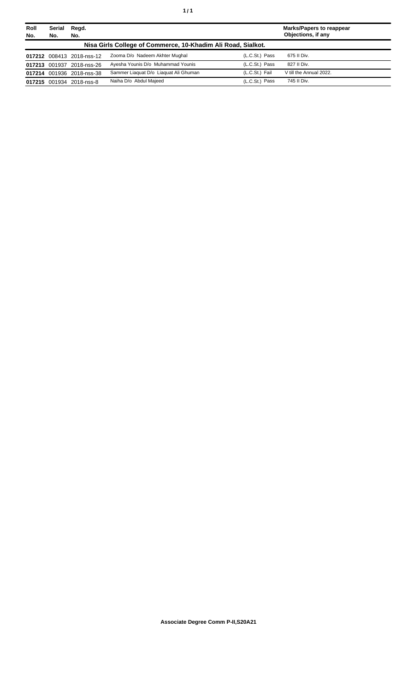| Roll<br>No. | Serial<br>No. | Regd.<br>No.              |                                                              |                | <b>Marks/Papers to reappear</b><br>Objections, if any |
|-------------|---------------|---------------------------|--------------------------------------------------------------|----------------|-------------------------------------------------------|
|             |               |                           | Nisa Girls College of Commerce, 10-Khadim Ali Road, Sialkot. |                |                                                       |
|             |               | 017212 008413 2018-nss-12 | Zooma D/o Nadeem Akhter Mughal                               | (L.C.St.) Pass | 675 II Div.                                           |
|             |               | 017213 001937 2018-nss-26 | Ayesha Younis D/o Muhammad Younis                            | (L.C.St.) Pass | 827 II Div.                                           |
|             |               | 017214 001936 2018-nss-38 | Sammer Liaguat D/o Liaguat Ali Ghuman                        | (L.C.St.) Fail | V till the Annual 2022.                               |
|             |               | 017215 001934 2018-nss-8  | Naiha D/o Abdul Majeed                                       | (L.C.St.) Pass | 745 II Div.                                           |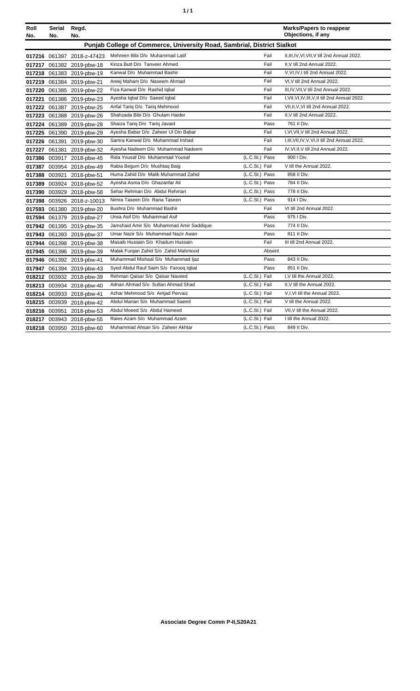| ٠ | ٠ |
|---|---|
|   |   |

| Roll   | Serial | Regd.                      |                                                                         |                | <b>Marks/Papers to reappear</b>                  |
|--------|--------|----------------------------|-------------------------------------------------------------------------|----------------|--------------------------------------------------|
| No.    | No.    | No.                        |                                                                         |                | Objections, if any                               |
|        |        |                            | Punjab College of Commerce, University Road, Sambrial, District Sialkot |                |                                                  |
|        |        | 017216 061397 2018-z-47423 | Mehreen Bibi D/o Muhammad Latif                                         | Fail           | II, III, IV, VI, VII, V till 2nd Annual 2022.    |
| 017217 |        | 061382 2019-pbw-18         | Kinza Butt D/o Tanveer Ahmed                                            | Fail           | II.V till 2nd Annual 2022.                       |
|        |        | 017218 061383 2019-pbw-19  | Kanwal D/o Muhammad Bashir                                              | Fail           | V.VI.IV.I till 2nd Annual 2022.                  |
|        |        | 017219 061384 2019-pbw-21  | Areej Maham D/o Naseem Ahmad                                            | Fail           | VI, V till 2nd Annual 2022.                      |
|        |        | 017220 061385 2019-pbw-22  | Fiza Kanwal D/o Rashid Iqbal                                            | Fail           | III, IV, VII, V till 2nd Annual 2022.            |
|        |        | 017221 061386 2019-pbw-23  | Ayesha Iqbal D/o Saeed Iqbal                                            | Fail           | I, VII, VI, IV, III, V, II till 2nd Annual 2022. |
|        |        | 017222 061387 2019-pbw-25  | Anfal Tariq D/o Tariq Mehmood                                           | Fail           | VII, II, V, VI till 2nd Annual 2022.             |
| 017223 |        | 061388 2019-pbw-26         | Shahzada Bibi D/o Ghulam Haider                                         | Fail           | II.V till 2nd Annual 2022.                       |
|        |        | 017224 061389 2019-pbw-28  | Shaiza Tariq D/o Tariq Javaid                                           | Pass           | 761 II Div.                                      |
| 017225 |        | 061390 2019-pbw-29         | Ayesha Babar D/o Zaheer Ul Din Babar                                    | Fail           | I, VI, VII, V till 2nd Annual 2022.              |
| 017226 |        | 061391 2019-pbw-30         | Samra Kanwal D/o Muhammad Irshad                                        | Fail           | I, III, VII, IV, V, VI, II till 2nd Annual 2022. |
|        |        | 017227 061381 2019-pbw-32  | Ayesha Nadeem D/o Muhammad Nadeem                                       | Fail           | IV, VI, II, V till 2nd Annual 2022.              |
| 017386 |        | 003917 2018-pbw-45         | Rida Yousaf D/o Muhammad Yousaf                                         | (L.C.St.) Pass | 900 I Div.                                       |
| 017387 |        | 003954 2018-pbw-49         | Rabia Begum D/o Mushtaq Baig                                            | (L.C.St.) Fail | V till the Annual 2022.                          |
| 017388 | 003921 | 2018-pbw-51                | Huma Zahid D/o Malik Muhammad Zahid                                     | (L.C.St.) Pass | 858 II Div.                                      |
| 017389 |        | 003924 2018-pbw-52         | Avesha Asma D/o Ghazanfar Ali                                           | (L.C.St.) Pass | 784 II Div.                                      |
| 017390 |        | 003929 2018-pbw-58         | Sehar Rehman D/o Abdul Rehman                                           | (L.C.St.) Pass | 778 II Div.                                      |
| 017398 |        | 003926 2018-z-10013        | Nimra Taseen D/o Rana Taseen                                            | (L.C.St.) Pass | 914   Div.                                       |
|        |        | 017593 061380 2019-pbw-20  | Bushra D/o Muhammad Bashir                                              | Fail           | VI till 2nd Annual 2022.                         |
|        |        | 017594 061379 2019-pbw-27  | Unsa Asif D/o Muhammad Asif                                             | Pass           | 975   Div.                                       |
|        |        | 017942 061395 2019-pbw-35  | Jamshaid Amir S/o Muhammad Amir Saddique                                | Pass           | 774 II Div.                                      |
|        |        | 017943 061393 2019-pbw-37  | Umar Nazir S/o Muhammad Nazir Awan                                      | Pass           | 811 II Div.                                      |
|        |        | 017944 061398 2019-pbw-38  | Masaib Hussain S/o Khadum Hussain                                       | Fail           | III till 2nd Annual 2022.                        |
|        |        | 017945 061396 2019-pbw-39  | Malak Furgan Zahid S/o Zahid Mahmood                                    | Absent         |                                                  |
| 017946 |        | 061392 2019-pbw-41         | Muhammad Mishaal S/o Muhammad Ijaz                                      | Pass           | 843 II Div.                                      |
|        |        | 017947 061394 2019-pbw-43  | Syed Abdul Rauf Saim S/o Farooq Iqbal                                   | Pass           | 851 II Div.                                      |
|        |        | 018212 003932 2018-pbw-39  | Rehman Qaisar S/o Qaisar Naveed                                         | (L.C.St.) Fail | I, V till the Annual 2022.                       |
|        |        | 018213 003934 2018-pbw-40  | Adnan Ahmad S/o Sultan Ahmad Shad                                       | (L.C.St.) Fail | II.V till the Annual 2022.                       |
|        |        | 018214 003933 2018-pbw-41  | Azhar Mehmood S/o Amjad Pervaiz                                         | (L.C.St.) Fail | V,I, VI till the Annual 2022.                    |
|        |        | 018215 003939 2018-pbw-42  | Abdul Manan S/o Muhammad Saeed                                          | (L.C.St.) Fail | V till the Annual 2022.                          |
|        |        | 018216 003951 2018-pbw-53  | Abdul Moeed S/o Abdul Hameed                                            | (L.C.St.) Fail | VII, V till the Annual 2022.                     |
|        |        | 018217 003943 2018-pbw-55  | Raies Azam S/o Muhammad Azam                                            | (L.C.St.) Fail | I till the Annual 2022.                          |
|        |        | 018218 003950 2018-pbw-60  | Muhammad Ahsan S/o Zaheer Akhtar                                        | (L.C.St.) Pass | 849 II Div.                                      |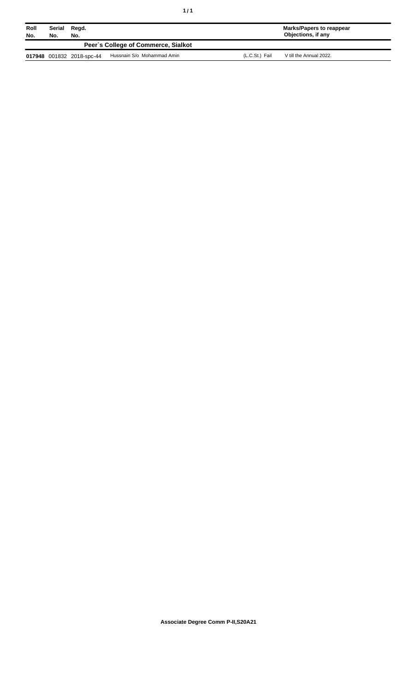| $\frac{1}{\sqrt{2}}$<br>۰.<br>٠ |  |
|---------------------------------|--|
|---------------------------------|--|

| Roll<br>No. | Serial<br>No. | Regd.<br>No.              |                                     |                | Marks/Papers to reappear<br>Objections, if any |
|-------------|---------------|---------------------------|-------------------------------------|----------------|------------------------------------------------|
|             |               |                           | Peer's College of Commerce, Sialkot |                |                                                |
|             |               | 017948 001832 2018-spc-44 | Hussnain S/o Mohammad Amin          | (L.C.St.) Fail | V till the Annual 2022.                        |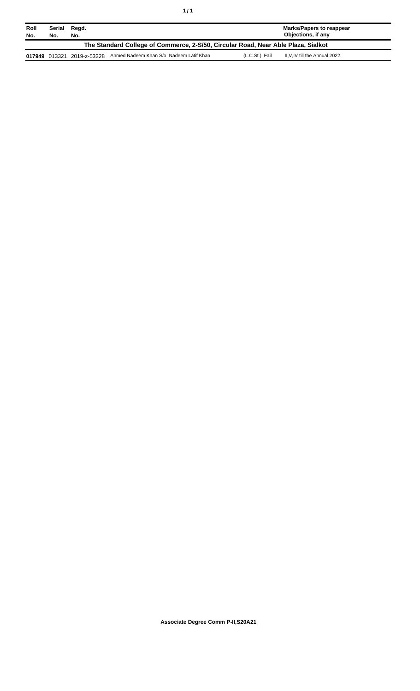| Roll<br>No.                                                                       | Serial<br>No. | Regd.<br>No.               |                                         |                | Marks/Papers to reappear<br>Objections, if any |
|-----------------------------------------------------------------------------------|---------------|----------------------------|-----------------------------------------|----------------|------------------------------------------------|
| The Standard College of Commerce, 2-S/50, Circular Road, Near Able Plaza, Sialkot |               |                            |                                         |                |                                                |
|                                                                                   |               | 017949 013321 2019-z-53228 | Ahmed Nadeem Khan S/o Nadeem Latif Khan | (L.C.St.) Fail | II, V, IV till the Annual 2022.                |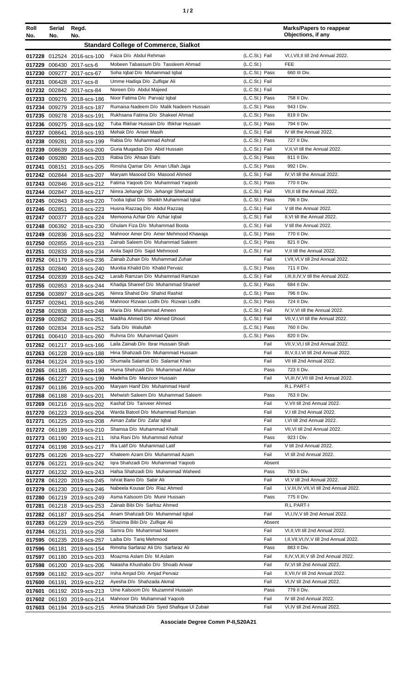| ٠ | I |
|---|---|
|   |   |

| Roll<br>No. | Serial<br>No. | Regd.<br>No.                                             |                                                                       |                                  | <b>Marks/Papers to reappear</b><br>Objections, if any    |
|-------------|---------------|----------------------------------------------------------|-----------------------------------------------------------------------|----------------------------------|----------------------------------------------------------|
|             |               |                                                          | <b>Standard College of Commerce, Sialkot</b>                          |                                  |                                                          |
|             |               | 017228 012524 2016-scs-100                               | Faiza D/o Abdul Rehman                                                | (L.C.St.) Fail                   | VI, I, VII, II till 2nd Annual 2022.                     |
| 017229      |               | 006430 2017-scs-6                                        | Mobeen Tabassum D/o Tassleem Ahmad                                    | (L.C.St.)                        | FEE                                                      |
|             |               | 017230 009277 2017-scs-67                                | Soha Iqbal D/o Muhammad Iqbal                                         | (L.C.St.) Pass                   | 660 III Div.                                             |
| 017231      |               | 006428 2017-scs-8                                        | Umme Hadiga D/o Zulfigar Ali                                          | (L.C.St.) Fail                   |                                                          |
|             |               | 017232 002842 2017-scs-84                                | Noreen D/o Abdul Majeed                                               | (L.C.St.) Fail                   |                                                          |
| 017233      |               | 009276 2018-scs-186                                      | Noor Fatima D/o Parvaiz Iqbal                                         | (L.C.St.) Pass                   | 758 II Div.                                              |
|             |               | 017234 009279 2018-scs-187                               | Rumaisa Nadeem D/o Malik Nadeem Hussain                               | (L.C.St.) Pass                   | 943 I Div.                                               |
|             |               | 017235 009278 2018-scs-191                               | Rukhsana Fatima D/o Shakeel Ahmad                                     | (L.C.St.) Pass                   | 819 II Div.                                              |
|             |               | 017236 009275 2018-scs-192                               | Tuba Iftikhar Hussain D/o Iftikhar Hussain                            | (L.C.St.) Pass                   | 794 II Div.                                              |
|             | 017237 008641 | 2018-scs-193                                             | Mehak D/o Anser Masih<br>Rabia D/o Muhammad Ashraf                    | (L.C.St.) Fail                   | IV till the Annual 2022.<br>727 II Div.                  |
|             | 017238 009281 | 2018-scs-199                                             | Guria Muqadas D/o Abid Hussain                                        | (L.C.St.) Pass<br>(L.C.St.) Fail | V, II, VI till the Annual 2022.                          |
| 017239      |               | 008639 2018-scs-200<br>017240 009280 2018-scs-203        | Rabia D/o Ahsan Elahi                                                 | (L.C.St.) Pass                   | 811 II Div.                                              |
| 017241      |               | 008151 2018-scs-205                                      | Rimsha Qamar D/o Aman Ullah Jajja                                     | (L.C.St.) Pass                   | 992   Div.                                               |
|             |               | 017242 002844 2018-scs-207                               | Maryam Masood D/o Masood Ahmed                                        | (L.C.St.) Fail                   | IV, VI till the Annual 2022.                             |
|             |               | 017243 002846 2018-scs-212                               | Fatima Yaqoob D/o Muhammad Yaqoob                                     | (L.C.St.) Pass                   | 770 II Div.                                              |
|             |               | 017244 002847 2018-scs-217                               | Nimra Jehangir D/o Jehangir Shehzad                                   | (L.C.St.) Fail                   | VII, II till the Annual 2022.                            |
|             |               | 017245 002843 2018-scs-220                               | Tooba Iqbal D/o Sheikh Muhammad Iqbal                                 | (L.C.St.) Pass                   | 796 II Div.                                              |
|             | 017246 002851 | 2018-scs-223                                             | Husna Razzaq D/o Abdul Razzaq                                         | (L.C.St.) Fail                   | V till the Annual 2022.                                  |
|             |               | 017247 000377 2018-scs-224                               | Memoona Azhar D/o Azhar Iqbal                                         | (L.C.St.) Fail                   | II, VI till the Annual 2022.                             |
| 017248      |               | 006392 2018-scs-230                                      | Ghulam Fiza D/o Muhammad Boota                                        | (L.C.St.) Fail                   | V till the Annual 2022.                                  |
|             |               | 017249 002836 2018-scs-232                               | Mahnoor Amer D/o Amer Mehmood Khawaja                                 | (L.C.St.) Pass                   | 770 II Div.                                              |
|             |               | 017250 002855 2018-scs-233                               | Zainab Saleem D/o Muhammad Saleem                                     | (L.C.St.) Pass                   | 821 II Div.                                              |
|             |               | 017251 002833 2018-scs-234                               | Anila Sajid D/o Sajid Mehmood                                         | (L.C.St.) Fail                   | V, Il till the Annual 2022.                              |
|             |               | 017252 061179 2018-scs-236                               | Zainab Zuhair D/o Muhammad Zuhair                                     | Fail                             | I, VII, VI, V till 2nd Annual 2022.                      |
|             |               | 017253 002840 2018-scs-240                               | Muniba Khalid D/o Khalid Pervaiz<br>Laraib Ramzan D/o Muhammad Ramzan | (L.C.St.) Pass                   | 711 II Div.                                              |
|             |               | 017254 002839 2018-scs-242                               | Khadija Shareef D/o Muhammad Shareef                                  | (L.C.St.) Fail<br>(L.C.St.) Pass | $I, III, II, IV, V$ till the Annual 2022.<br>684 II Div. |
|             |               | 017255 002853 2018-scs-244<br>017256 003897 2018-scs-245 | Nimra Shahid D/o Shahid Rashid                                        | (L.C.St.) Pass                   | 796 II Div.                                              |
|             | 017257 002841 | 2018-scs-246                                             | Mahnoor Rizwan Lodhi D/o Rizwan Lodhi                                 | (L.C.St.) Pass                   | 724 II Div.                                              |
|             |               | 017258 002838 2018-scs-248                               | Maria D/o Muhammad Ameen                                              | (L.C.St.) Fail                   | IV, V, VI till the Annual 2022.                          |
|             |               | 017259 002852 2018-scs-251                               | Madiha Ahmed D/o Ahmed Ghouri                                         | (L.C.St.) Fail                   | VII, V, I, VI till the Annual 2022.                      |
|             |               | 017260 002834 2018-scs-252                               | Safa D/o Waliullah                                                    | (L.C.St.) Pass                   | 760 II Div.                                              |
|             |               | 017261 006410 2018-scs-260                               | Ruhma D/o Muhammad Qasim                                              | (L.C.St.) Pass                   | 820 II Div.                                              |
|             |               | 017262 061217 2019-scs-166                               | Laila Zainab D/o Ibrar Hussain Shah                                   | Fail                             | VII, V, VI, I till 2nd Annual 2022.                      |
|             |               | 017263 061228 2019-scs-188                               | Hina Shahzadi D/o Muhammad Hussain                                    | Fail                             | III, V, II, I, VI till 2nd Annual 2022.                  |
|             |               | 017264 061224 2019-scs-190                               | Shumaila Salamat D/o Salamat Khan                                     | Fail                             | VII till 2nd Annual 2022.                                |
|             |               | 017265 061185 2019-scs-198                               | Huma Shehzadi D/o Muhammad Akbar                                      | Pass                             | 723 II Div.                                              |
|             |               | 017266 061227 2019-scs-199                               | Madeha D/o Manzoor Hussain                                            | Fail                             | VI, III, IV, VII till 2nd Annual 2022.                   |
|             |               | 017267 061186 2019-scs-200                               | Maryam Hanif D/o Muhammad Hanif<br>Mehwish Saleem D/o Muhammad Saleem |                                  | R.L PART-I                                               |
|             |               | 017268 061188 2019-scs-201<br>017269 061216 2019-scs-202 | Kashaf D/o Tanveer Ahmed                                              | Pass<br>Fail                     | 763 II Div.<br>V, VII till 2nd Annual 2022.              |
|             |               | 017270 061223 2019-scs-204                               | Warda Batool D/o Muhammad Ramzan                                      | Fail                             | V,I till 2nd Annual 2022.                                |
| 017271      |               | 061225 2019-scs-208                                      | Aiman Zafar D/o Zafar Iqbal                                           | Fail                             | I, VI till 2nd Annual 2022.                              |
| 017272      |               | 061189 2019-scs-210                                      | Shamsa D/o Muhammad Khalil                                            | Fail                             | VII, VI till 2nd Annual 2022.                            |
|             |               | 017273 061190 2019-scs-211                               | Isha Rani D/o Muhammad Ashraf                                         | Pass                             | 923 I Div.                                               |
|             |               | 017274 061198 2019-scs-217                               | Ifra Latif D/o Muhammad Latif                                         | Fail                             | V till 2nd Annual 2022.                                  |
|             |               | 017275 061226 2019-scs-227                               | Khateem Azam D/o Muhammad Azam                                        | Fail                             | VI till 2nd Annual 2022.                                 |
|             |               | 017276 061221 2019-scs-242                               | Igra Shahzadi D/o Muhammad Yaqoob                                     | Absent                           |                                                          |
| 017277      |               | 061232 2019-scs-243                                      | Hafsa Shahzadi D/o Muhammad Waheed                                    | Pass                             | 793 II Div.                                              |
|             |               | 017278 061220 2019-scs-245                               | Ishrat Bano D/o Sabir Ali                                             | Fail                             | VI, V till 2nd Annual 2022.                              |
|             |               | 017279 061230 2019-scs-246                               | Nabeela Kousar D/o Riaz Ahmed                                         | Fail                             | I, V, III, IV, VII, VI till 2nd Annual 2022.             |
| 017280      |               | 061219 2019-scs-249                                      | Asma Kalsoom D/o Munir Hussain                                        | Pass                             | 775 II Div.                                              |
| 017281      |               | 061218 2019-scs-253                                      | Zainab Bibi D/o Sarfraz Ahmed                                         |                                  | R.L PART-I                                               |
|             |               | 017282 061187 2019-scs-254                               | Anam Shahzadi D/o Muhammad Iqbal<br>Shazima Bibi D/o Zulfiqar Ali     | Fail<br>Absent                   | VI, I, IV, V till 2nd Annual 2022.                       |
|             |               | 017283 061229 2019-scs-255                               | Samra D/o Muhammad Naeem                                              | Fail                             | VI, II, VII till 2nd Annual 2022.                        |
|             |               | 017284 061231 2019-scs-258<br>017595 061235 2018-scs-257 | Laiba D/o Tariq Mehmood                                               | Fail                             | I, II, VII, VI, IV, V till 2nd Annual 2022.              |
|             |               | 017596 061181 2019-scs-154                               | Rimsha Sarfaraz Ali D/o Sarfaraz Ali                                  | Pass                             | 883 II Div.                                              |
| 017597      |               | 061180 2019-scs-203                                      | Moazma Aslam D/o M.Aslam                                              | Fail                             | II, IV, VI, III, V till 2nd Annual 2022.                 |
| 017598      |               | 061200 2019-scs-206                                      | Natasha Khushabo D/o Shoaib Anwar                                     | Fail                             | IV, VI till 2nd Annual 2022.                             |
|             |               | 017599 061182 2019-scs-207                               | Irsha Amjad D/o Amjad Pervaiz                                         | Fail                             | II, VII, IV till 2nd Annual 2022.                        |
|             |               | 017600 061191 2019-scs-212                               | Ayesha D/o Shahzada Akmal                                             | Fail                             | VI, IV till 2nd Annual 2022.                             |
|             |               | 017601 061192 2019-scs-213                               | Ume Kalsoom D/o Muzammil Hussain                                      | Pass                             | 779 II Div.                                              |
|             |               | 017602 061193 2019-scs-214                               | Mahnoor D/o Muhammad Yaqoob                                           | Fail                             | IV till 2nd Annual 2022.                                 |
|             |               | 017603 061194 2019-scs-215                               | Amina Shahzadi D/o Syed Shafique Ul Zubair                            | Fail                             | VI, IV till 2nd Annual 2022.                             |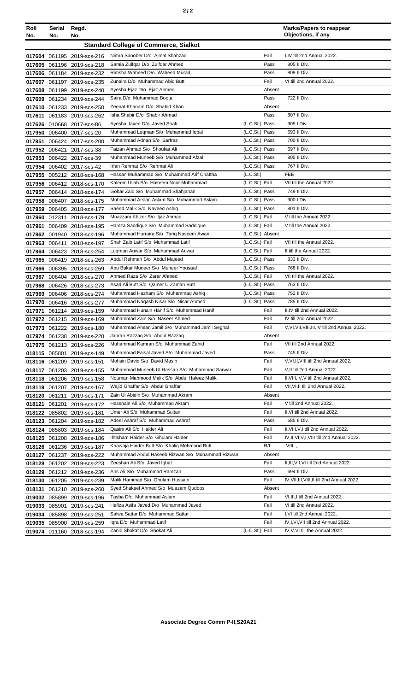| Roll<br>No. | Serial<br>No. | Regd.<br>No.                                             | <b>Marks/Papers to reappear</b><br>Objections, if any                         |                                  |                                                                      |
|-------------|---------------|----------------------------------------------------------|-------------------------------------------------------------------------------|----------------------------------|----------------------------------------------------------------------|
|             |               |                                                          | <b>Standard College of Commerce, Sialkot</b>                                  |                                  |                                                                      |
|             |               | 017604 061195 2019-scs-216                               | Nimra Sanober D/o Ajmal Shahzad                                               | Fail                             | I,IV till 2nd Annual 2022.                                           |
| 017605      |               | 061196 2019-scs-218                                      | Samia Zulfgar D/o Zulfgar Ahmed                                               | Pass                             | 805 II Div.                                                          |
|             |               | 017606 061184 2019-scs-232                               | Rimsha Waheed D/o Waheed Murad                                                | Pass                             | 809 II Div.                                                          |
| 017607      |               | 061197 2019-scs-235                                      | Zunaira D/o Muhammad Abid Butt                                                | Fail                             | VI till 2nd Annual 2022.                                             |
| 017608      |               | 061199 2019-scs-240                                      | Ayesha Ejaz D/o Ejaz Ahmed                                                    | Absent                           |                                                                      |
| 017609      |               | 061234 2019-scs-244                                      | Saira D/o Muhammad Boota                                                      | Pass                             | 722 II Div.                                                          |
| 017610      |               | 061233 2019-scs-250                                      | Zeenat Khanam D/o Shahid Khan                                                 | Absent                           |                                                                      |
| 017611      |               | 061183 2019-scs-262                                      | Isha Shabir D/o Shabir Ahmad                                                  | Pass                             | 807 II Div.                                                          |
|             |               | 017626 010668 2017-scs-86                                | Ayesha Javed D/o Javed Shafi                                                  | (L.C.St.) Pass                   | 905   Div.                                                           |
|             |               | 017950 006400 2017-scs-20                                | Muhammad Luqman S/o Muhammad Iqbal                                            | (L.C.St.) Pass                   | 693 II Div.                                                          |
|             |               | 017951 006424 2017-scs-200                               | Muhammad Adnan S/o Sarfraz                                                    | (L.C.St.) Pass                   | 700 II Div.                                                          |
|             | 017952 006421 | 2017-scs-38                                              | Faizan Ahmad S/o Shoukat Ali                                                  | (L.C.St.) Pass                   | 697 II Div.                                                          |
|             |               | 017953 006422 2017-scs-39                                | Muhammad Muneeb S/o Muhammad Afzal<br>Irfan Rehmat S/o Rehmat Ali             | (L.C.St.) Pass<br>(L.C.St.) Pass | 805 II Div.<br>767 II Div.                                           |
|             |               | 017954 006402 2017-scs-42                                | Hassan Muhammad S/o Muhammad Arif Chattha                                     | (L.C.St.)                        | <b>FEE</b>                                                           |
|             |               | 017955 005212 2018-scs-168<br>017956 006412 2018-scs-170 | Kaleem Ullah S/o Hakeem Noor Muhammad                                         | (L.C.St.) Fail                   | VII till the Annual 2022.                                            |
| 017957      |               | 006414 2018-scs-174                                      | Gohar Zaid S/o Muhammad Shahiahan                                             | (L.C.St.) Pass                   | 749 II Div.                                                          |
|             |               | 017958 006407 2018-scs-175                               | Muhammad Arslan Aslam S/o Muhammad Aslam                                      | (L.C.St.) Pass                   | 900 I Div.                                                           |
|             |               | 017959 006405 2018-scs-177                               | Saeed Malik S/o Naveed Ashiq                                                  | (L.C.St.) Pass                   | 801 II Div.                                                          |
| 017960      | 012311        | 2018-scs-179                                             | Moazzam Khizer S/o Ijaz Ahmad                                                 | (L.C.St.) Fail                   | V till the Annual 2022.                                              |
| 017961      |               | 006409 2018-scs-195                                      | Hamza Saddique S/o Muhammad Saddique                                          | (L.C.St.) Fail                   | V till the Annual 2022.                                              |
|             |               | 017962 001940 2018-scs-196                               | Muhammad Hurraira S/o Tariq Naseem Awan                                       | (L.C.St.) Absent                 |                                                                      |
|             | 017963 006411 | 2018-scs-197                                             | Shah Zaib Latif S/o Muhammad Latif                                            | (L.C.St.) Fail                   | VII till the Annual 2022.                                            |
|             |               | 017964 006423 2018-scs-254                               | Lugman Anwar S/o Muhammad Anwar                                               | (L.C.St.) Fail                   | II till the Annual 2022.                                             |
|             |               | 017965 006419 2018-scs-263                               | Abdul Rehman S/o Abdul Majeed                                                 | (L.C.St.) Pass                   | 833 II Div.                                                          |
|             |               | 017966 006395 2018-scs-269                               | Abu Bakar Muneer S/o Muneer Yousaaf                                           | (L.C.St.) Pass                   | 768 II Div.                                                          |
|             |               | 017967 006404 2018-scs-270                               | Ahmed Raza S/o Zarar Ahmed                                                    | (L.C.St.) Fail                   | VII till the Annual 2022.                                            |
| 017968      |               | 006426 2018-scs-273                                      | Asad Ali Butt S/o Qamer U Zaman Butt                                          | (L.C.St.) Pass                   | 763 II Div.                                                          |
| 017969      |               | 006406 2018-scs-274                                      | Muhammad Hasham S/o Muhammad Ashiq                                            | (L.C.St.) Pass                   | 752 II Div.                                                          |
|             |               | 017970 006416 2018-scs-277                               | Muhammad Naqash Nisar S/o Nisar Ahmed                                         | (L.C.St.) Pass                   | 785 II Div.                                                          |
|             |               | 017971 061214 2019-scs-159                               | Muhammad Hunain Hanif S/o Muhammad Hanif                                      | Fail                             | II.IV till 2nd Annual 2022.                                          |
|             |               | 017972 061215 2019-scs-169                               | Muhammad Zain S/o Naseer Ahmed                                                | Fail                             | IV till 2nd Annual 2022.                                             |
|             |               | 017973 061222 2019-scs-180                               | Muhammad Ahsan Jamil S/o Muhammad Jamil Seghal                                | Fail                             | V, VI, VII, VIII, III, IV till 2nd Annual 2022.                      |
|             |               | 017974 061238 2019-scs-220                               | Jabran Razzag S/o Abdul Razzag                                                | Absent                           |                                                                      |
|             |               | 017975 061213 2019-scs-226                               | Muhammad Kamran S/o Muhammad Zahid                                            | Fail                             | VII till 2nd Annual 2022.                                            |
|             | 018115 085801 | 2019-scs-149                                             | Muhammad Faisal Javed S/o Muhammad Javed                                      | Pass                             | 745 II Div.                                                          |
|             |               | 018116 061209 2019-scs-151                               | Mohsin David S/o David Masih<br>Muhammad Muneeb UI Hassan S/o Muhammad Sarwar | Fail<br>Fail                     | V, VI, II, VIII till 2nd Annual 2022.<br>V, II till 2nd Annual 2022. |
|             |               | 018117 061203 2019-scs-155                               | Nouman Mahmood Malik S/o Abdul Hafeez Malik                                   | Fail                             | II, VIII, IV, V till 2nd Annual 2022.                                |
|             |               | 018118 061206 2019-scs-158<br>018119 061207 2019-scs-167 | Wajid Ghaffar S/o Abdul Ghaffar                                               | Fail                             | VII, VI, II till 2nd Annual 2022.                                    |
|             | 018120 061211 | 2019-scs-171                                             | Zain Ul Abidin S/o Muhammad Akram                                             | Absent                           |                                                                      |
|             | 018121 061201 | 2019-scs-172                                             | Hassnain Ali S/o Muhammad Akram                                               | Fail                             | V till 2nd Annual 2022.                                              |
|             |               | 018122 085802 2019-scs-181                               | Umer Ali S/o Muhammad Sultan                                                  | Fail                             | II, VI till 2nd Annual 2022.                                         |
|             |               | 018123 061204 2019-scs-182                               | Adeel Ashraf S/o Muhammad Ashraf                                              | Pass                             | 685 II Div.                                                          |
|             |               | 018124 085803 2019-scs-184                               | Qasim Ali S/o Haider Ali                                                      | Fail                             | II, VIII, V, I till 2nd Annual 2022.                                 |
|             |               | 018125 061208 2019-scs-186                               | Ihtisham Haider S/o Ghulam Haider                                             | Fail                             | IV, II, VI, V, I, VIII till 2nd Annual 2022.                         |
|             |               | 018126 061236 2019-scs-187                               | Khawaja Haider Butt S/o Khaliq Mehmood Butt                                   | R/L                              | VIII.                                                                |
|             |               | 018127 061237 2019-scs-222                               | Muhammad Abdul Haseeb Rizwan S/o Muhammad Rizwan                              | Absent                           |                                                                      |
|             |               | 018128 061202 2019-scs-223                               | Zeeshan Ali S/o Javed Iqbal                                                   | Fail                             | II, III, VII, VI till 2nd Annual 2022.                               |
| 018129      |               | 061212 2019-scs-236                                      | Ans Ali S/o Muhammad Ramzan                                                   | Pass                             | 694 II Div.                                                          |
|             |               | 018130 061205 2019-scs-239                               | Malik Hammad S/o Ghulam Hussain                                               | Fail                             | IV, VII, III, VIII, II till 2nd Annual 2022.                         |
| 018131      |               | 061210 2019-scs-260                                      | Syed Shakeel Ahmed S/o Muazam Qudoos                                          | Absent                           |                                                                      |
|             | 019032 085899 | 2019-scs-196                                             | Tayba D/o Muhammad Aslam                                                      | Fail                             | VI, III, I till 2nd Annual 2022.                                     |
|             | 019033 085901 | 2019-scs-241                                             | Hafiza Asifa Javed D/o Muhammad Javed                                         | Fail                             | VI till 2nd Annual 2022.                                             |
|             |               | 019034 085898 2019-scs-251                               | Salwa Sattar D/o Muhammad Sattar                                              | Fail                             | I, VI till 2nd Annual 2022.                                          |
|             |               | 019035 085900 2019-scs-259                               | Igra D/o Muhammad Latif                                                       | Fail                             | IV, I, VI, VII till 2nd Annual 2022.                                 |
|             |               | 019074 011160 2018-scs-194                               | Zanib Shokat D/o Shokat Ali                                                   | (L.C.St.) Fail                   | IV, V, VI till the Annual 2022.                                      |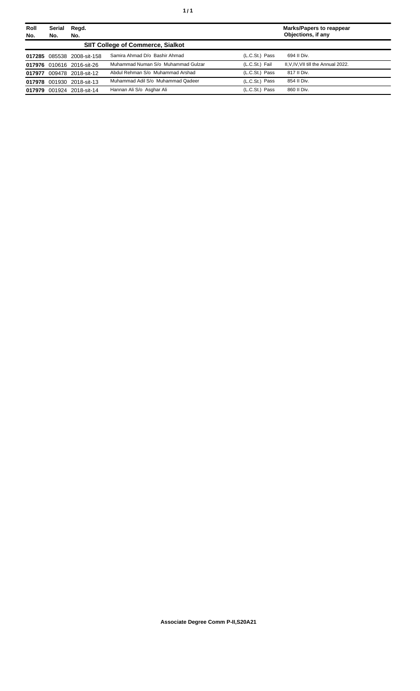| Roll<br>No. | Regd.<br><b>Serial</b><br>No.<br>No. |                            |                                          | <b>Marks/Papers to reappear</b><br>Objections, if any |                                      |
|-------------|--------------------------------------|----------------------------|------------------------------------------|-------------------------------------------------------|--------------------------------------|
|             |                                      |                            | <b>SIIT College of Commerce, Sialkot</b> |                                                       |                                      |
|             |                                      | 017285 085538 2008-sit-158 | Samira Ahmad D/o Bashir Ahmad            | (L.C.St.) Pass                                        | 694 II Div.                          |
|             |                                      | 017976 010616 2016-sit-26  | Muhammad Numan S/o Muhammad Gulzar       | (L.C.St.) Fail                                        | II, V, IV, VII till the Annual 2022. |
| 017977      |                                      | 009478 2018-sit-12         | Abdul Rehman S/o Muhammad Arshad         | (L.C.St.) Pass                                        | 817 II Div.                          |
| 017978      |                                      | 001930 2018-sit-13         | Muhammad Adil S/o Muhammad Qadeer        | (L.C.St.) Pass                                        | 854 II Div.                          |
| 017979      |                                      | 001924 2018-sit-14         | Hannan Ali S/o Asghar Ali                | (L.C.St.) Pass                                        | 860 II Div.                          |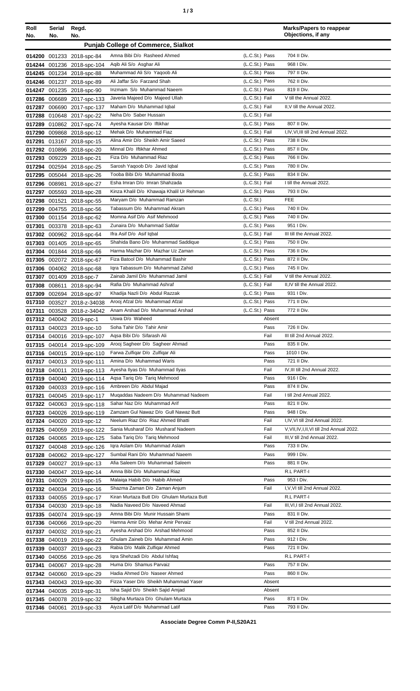| ٠ | ×<br>٦<br>۰.<br>× |
|---|-------------------|
|   |                   |

| Roll<br>No.      | Serial<br>No. | Regd.<br>No.                                             |                                                                         |                                  | <b>Marks/Papers to reappear</b><br>Objections, if any   |
|------------------|---------------|----------------------------------------------------------|-------------------------------------------------------------------------|----------------------------------|---------------------------------------------------------|
|                  |               |                                                          | <b>Punjab College of Commerce, Sialkot</b>                              |                                  |                                                         |
|                  |               | 014200 001233 2018-spc-84                                | Amna Bibi D/o Rasheed Ahmed                                             | (L.C.St.) Pass                   | 704 II Div.                                             |
|                  |               | 014244 001236 2018-spc-104                               | Agib Ali S/o Asghar Ali                                                 | (L.C.St.) Pass                   | 968 I Div.                                              |
|                  |               | 014245 001234 2018-spc-88                                | Muhammad Ali S/o Yaqoob Ali                                             | (L.C.St.) Pass                   | 797 II Div.                                             |
|                  |               | 014246 001237 2018-spc-89                                | Ali Jaffar S/o Farzand Shah                                             | (L.C.St.) Pass                   | 762 II Div.                                             |
|                  |               | 014247 001235 2018-spc-90                                | Inzmam S/o Muhammad Naeem                                               | (L.C.St.) Pass                   | 819 II Div.                                             |
|                  |               | 017286 006689 2017-spc-133                               | Javeria Majeed D/o Majeed Ullah                                         | (L.C.St.) Fail                   | V till the Annual 2022.                                 |
|                  |               | 017287 006690 2017-spc-137                               | Maham D/o Muhammad Iqbal                                                | (L.C.St.) Fail                   | II, V till the Annual 2022.                             |
|                  |               | 017288 010648 2017-spc-22<br>017289 010862 2017-spc-74   | Neha D/o Saber Hussain<br>Ayesha Kausar D/o Iftikhar                    | (L.C.St.) Fail<br>(L.C.St.) Pass | 807 II Div.                                             |
|                  |               | 017290 009868 2018-spc-12                                | Mehak D/o Muhammad Fiaz                                                 | (L.C.St.) Fail                   | I,IV, VI, III till 2nd Annual 2022.                     |
| 017291           |               | 013167 2018-spc-15                                       | Alina Amir D/o Sheikh Amir Saeed                                        | (L.C.St.) Pass                   | 738 II Div.                                             |
|                  |               | 017292 010896 2018-spc-20                                | Minnal D/o Iftikhar Ahmed                                               | (L.C.St.) Pass                   | 857 II Div.                                             |
|                  |               | 017293 009229 2018-spc-21                                | Fiza D/o Muhammad Riaz                                                  | (L.C.St.) Pass                   | 766 II Div.                                             |
|                  |               | 017294 002594 2018-spc-25                                | Sarosh Yaqoob D/o Javid Iqbal                                           | (L.C.St.) Pass                   | 780 II Div.                                             |
|                  |               | 017295 005044 2018-spc-26                                | Tooba Bibi D/o Muhammad Boota                                           | (L.C.St.) Pass                   | 834 II Div.                                             |
|                  |               | 017296 008981 2018-spc-27                                | Esha Imran D/o Imran Shahzada                                           | (L.C.St.) Fail                   | I till the Annual 2022.                                 |
|                  |               | 017297 005593 2018-spc-28                                | Kinza Khalil D/o Khawaja Khalil Ur Rehman<br>Maryam D/o Muhammad Ramzan | (L.C.St.) Pass<br>(L.C.St.)      | 793 II Div.<br><b>FEE</b>                               |
|                  | 017298 001521 | 2018-spc-55<br>017299 004755 2018-spc-56                 | Tabassum D/o Muhammad Akram                                             | (L.C.St.) Pass                   | 740 II Div.                                             |
|                  |               | 017300 001154 2018-spc-62                                | Momna Asif D/o Asif Mehmood                                             | (L.C.St.) Pass                   | 740 II Div.                                             |
| 017301           |               | 003378 2018-spc-63                                       | Zunaira D/o Muhammad Safdar                                             | (L.C.St.) Pass                   | 951 I Div.                                              |
|                  |               | 017302 000962 2018-spc-64                                | Ifra Asif D/o Asif Iqbal                                                | (L.C.St.) Fail                   | III till the Annual 2022.                               |
|                  |               | 017303 001405 2018-spc-65                                | Shahida Bano D/o Muhammad Saddique                                      | (L.C.St.) Pass                   | 750 II Div.                                             |
|                  |               | 017304 001844 2018-spc-66                                | Harma Mazhar D/o Mazhar Uz Zaman                                        | (L.C.St.) Pass                   | 736 II Div.                                             |
|                  |               | 017305 002072 2018-spc-67                                | Fiza Batool D/o Muhammad Bashir                                         | (L.C.St.) Pass                   | 872 II Div.                                             |
|                  |               | 017306 004062 2018-spc-68                                | Igra Tabassum D/o Muhammad Zahid                                        | (L.C.St.) Pass                   | 745 II Div.                                             |
|                  |               | 017307 001409 2018-spc-7                                 | Zainab Jamil D/o Muhammad Jamil<br>Rafia D/o Muhammad Ashraf            | (L.C.St.) Fail<br>(L.C.St.) Fail | V till the Annual 2022.<br>II, IV till the Annual 2022. |
| 017308<br>017309 | 008611        | 2018-spc-94<br>002694 2018-spc-97                        | Khadija Nazli D/o Abdul Razzak                                          | (L.C.St.) Pass                   | 931   Div.                                              |
| 017310           |               | 003527 2018-z-34038                                      | Arooj Afzal D/o Muhammad Afzal                                          | (L.C.St.) Pass                   | 771 II Div.                                             |
|                  |               | 017311 003528 2018-z-34042                               | Anam Arshad D/o Muhammad Arshad                                         | (L.C.St.) Pass                   | 772 II Div.                                             |
|                  |               | 017312 040042 2019-spc-1                                 | Uswa D/o Waheed                                                         | Absent                           |                                                         |
|                  |               | 017313 040023 2019-spc-10                                | Soha Tahir D/o Tahir Amir                                               | Pass                             | 726 II Div.                                             |
|                  |               | 017314 040016 2019-spc-107                               | Agsa Bibi D/o Sifarash Ali                                              | Fail                             | III till 2nd Annual 2022.                               |
|                  |               | 017315 040014 2019-spc-109                               | Arooj Sagheer D/o Sagheer Ahmad                                         | Pass                             | 835 II Div.                                             |
|                  |               | 017316 040015 2019-spc-110                               | Farwa Zulfigar D/o Zulfigar Ali<br>Amina D/o Muhammad Waris             | Pass                             | 1010   Div.<br>721 II Div.                              |
|                  | 017318 040011 | 017317 040013 2019-spc-111<br>2019-spc-113               | Ayesha Ilyas D/o Muhammad Ilyas                                         | Pass<br>Fail                     | IV, III till 2nd Annual 2022.                           |
|                  |               | 017319 040040 2019-spc-114                               | Aqsa Tariq D/o Tariq Mehmood                                            | Pass                             | 916   Div.                                              |
|                  |               | 017320 040033 2019-spc-116                               | Ambreen D/o Abdul Majad                                                 | Pass                             | 874 II Div.                                             |
| 017321           |               | 040045 2019-spc-117                                      | Mugaddas Nadeem D/o Muhammad Nadeem                                     | Fail                             | I till 2nd Annual 2022.                                 |
|                  |               | 017322 040063 2019-spc-118                               | Sahar Naz D/o Muhammad Arif                                             | Pass                             | 821 II Div.                                             |
|                  |               | 017323 040026 2019-spc-119                               | Zamzam Gul Nawaz D/o Gull Nawaz Butt                                    | Pass                             | 948 I Div.                                              |
|                  |               | 017324 040020 2019-spc-12                                | Neelum Riaz D/o Riaz Ahmed Bhatti                                       | Fail                             | I, IV, VI till 2nd Annual 2022.                         |
|                  |               | 017325 040059 2019-spc-122                               | Sania Musharaf D/o Musharaf Nadeem                                      | Fail                             | V, VII, IV, I, II, VI till 2nd Annual 2022.             |
|                  |               | 017326 040065 2019-spc-125                               | Saba Tariq D/o Tariq Mehmood<br>Igra Aslam D/o Muhammad Aslam           | Fail<br>Pass                     | III, V till 2nd Annual 2022.<br>733 II Div.             |
|                  |               | 017327 040048 2019-spc-126<br>017328 040062 2019-spc-127 | Sumbal Rani D/o Muhammad Naeem                                          | Pass                             | 999 I Div.                                              |
|                  |               | 017329 040027 2019-spc-13                                | Afia Saleem D/o Muhammad Saleem                                         | Pass                             | 881 II Div.                                             |
|                  |               | 017330 040047 2019-spc-14                                | Amna Bibi D/o Muhammad Riaz                                             |                                  | R.L PART-I                                              |
|                  |               | 017331 040029 2019-spc-15                                | Malaiga Habib D/o Habib Ahmed                                           | Pass                             | 953 I Div.                                              |
|                  |               | 017332 040034 2019-spc-16                                | Shazma Zaman D/o Zaman Anjum                                            | Fail                             | I, V, VI till 2nd Annual 2022.                          |
|                  |               | 017333 040055 2019-spc-17                                | Kiran Murtaza Butt D/o Ghulam Murtaza Butt                              |                                  | R.L PART-I                                              |
|                  |               | 017334 040030 2019-spc-18                                | Nadia Naveed D/o Naveed Ahmad                                           | Fail                             | III, VI, I till 2nd Annual 2022.                        |
|                  |               | 017335 040074 2019-spc-19                                | Amna Bibi D/o Munir Hussain Shami<br>Hamna Amir D/o Mehar Amir Pervaiz  | Pass<br>Fail                     | 831 II Div.<br>V till 2nd Annual 2022.                  |
|                  |               | 017336 040066 2019-spc-20<br>017337 040032 2019-spc-21   | Ayesha Arshad D/o Arshad Mehmood                                        | Pass                             | 852 II Div.                                             |
|                  |               | 017338 040019 2019-spc-22                                | Ghulam Zaineb D/o Muhammad Amin                                         | Pass                             | 912   Div.                                              |
|                  |               | 017339 040037 2019-spc-23                                | Rabia D/o Malik Zulfigar Ahmed                                          | Pass                             | 721 II Div.                                             |
| 017340           |               | 040056 2019-spc-26                                       | Igra Shehzadi D/o Abdul Ishfaq                                          |                                  | R.L PART-I                                              |
| 017341           |               | 040067 2019-spc-28                                       | Huma D/o Shamus Parvaiz                                                 | Pass                             | 757 II Div.                                             |
|                  |               | 017342 040060 2019-spc-29                                | Hadia Ahmed D/o Naseer Ahmed                                            | Pass                             | 860 II Div.                                             |
|                  |               | 017343 040043 2019-spc-30                                | Fizza Yaser D/o Sheikh Muhammad Yaser                                   | Absent                           |                                                         |
|                  |               | 017344 040035 2019-spc-31                                | Isha Sajid D/o Sheikh Sajid Amjad                                       | Absent                           |                                                         |
|                  |               | 017345 040078 2019-spc-32<br>017346 040061 2019-spc-33   | Sibgha Murtaza D/o Ghulam Murtaza<br>Aiyza Latif D/o Muhammad Latif     | Pass<br>Pass                     | 871 II Div.<br>793 II Div.                              |
|                  |               |                                                          |                                                                         |                                  |                                                         |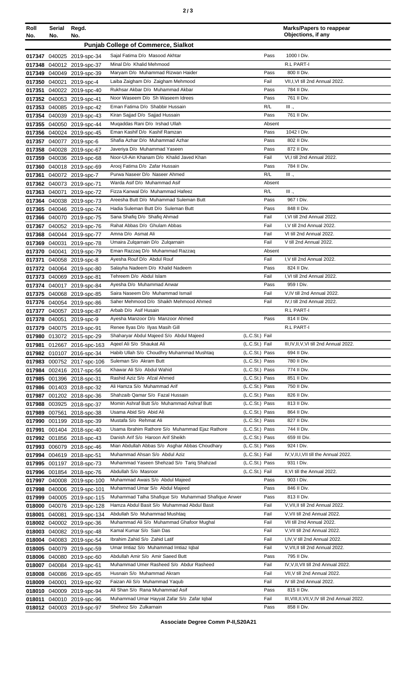| ٦<br>۰.<br>× |  |  | × |
|--------------|--|--|---|
|--------------|--|--|---|

| Roll<br>No. | Serial<br>No. | Regd.<br>No.                                            |                                                                                                   |                                  | <b>Marks/Papers to reappear</b><br>Objections, if any  |
|-------------|---------------|---------------------------------------------------------|---------------------------------------------------------------------------------------------------|----------------------------------|--------------------------------------------------------|
|             |               |                                                         | <b>Punjab College of Commerce, Sialkot</b>                                                        |                                  |                                                        |
|             |               |                                                         | Sajal Fatima D/o Masood Akhtar                                                                    | Pass                             | 1000   Div.                                            |
|             |               | 017347 040025 2019-spc-34<br>017348 040012 2019-spc-37  | Minal D/o Khalid Mehmood                                                                          |                                  | R.L PART-I                                             |
|             |               | 017349 040049 2019-spc-39                               | Maryam D/o Muhammad Rizwan Haider                                                                 | Pass                             | 800 II Div.                                            |
|             |               | 017350 040021 2019-spc-4                                | Laiba Zaigham D/o Zaigham Mehmood                                                                 | Fail                             | VII,I,VI till 2nd Annual 2022.                         |
| 017351      |               | 040022 2019-spc-40                                      | Rukhsar Akbar D/o Muhammad Akbar                                                                  | Pass                             | 784 II Div.                                            |
|             |               | 017352 040053 2019-spc-41                               | Noor Waseem D/o Sh Waseem Idrees                                                                  | Pass                             | 761 II Div.                                            |
|             |               | 017353 040085 2019-spc-42                               | Eman Fatima D/o Shabbir Hussain                                                                   | R/L                              | III .,                                                 |
|             |               | 017354 040039 2019-spc-43                               | Kiran Sajjad D/o Sajjad Hussain                                                                   | Pass                             | 761 II Div.                                            |
|             |               | 017355 040050 2019-spc-44                               | Mugaddas Rani D/o Irshad Ullah                                                                    | Absent                           |                                                        |
|             |               | 017356 040024 2019-spc-45                               | Eman Kashif D/o Kashif Ramzan<br>Shafia Azhar D/o Muhammad Azhar                                  | Pass                             | 1042   Div.<br>802 II Div.                             |
|             |               | 017357 040077 2019-spc-6                                | Javeriya D/o Muhammad Yaseen                                                                      | Pass<br>Pass                     | 872 II Div.                                            |
|             |               | 017358 040028 2019-spc-67<br>017359 040036 2019-spc-68  | Noor-Ul-Ain Khanam D/o Khalid Javed Khan                                                          | Fail                             | VI,I till 2nd Annual 2022.                             |
|             |               | 017360 040018 2019-spc-69                               | Arooj Fatima D/o Zafar Hussain                                                                    | Pass                             | 784 II Div.                                            |
|             |               | 017361 040072 2019-spc-7                                | Purwa Naseer D/o Naseer Ahmed                                                                     | R/L                              | III .,                                                 |
|             |               | 017362 040073 2019-spc-71                               | Warda Asif D/o Muhammad Asif                                                                      | Absent                           |                                                        |
|             |               | 017363 040071 2019-spc-72                               | Fizza Kanwal D/o Muhammad Hafeez                                                                  | R/L                              | III.,                                                  |
|             |               | 017364 040038 2019-spc-73                               | Areesha Butt D/o Muhammad Suleman Butt                                                            | Pass                             | 967   Div.                                             |
|             |               | 017365 040046 2019-spc-74                               | Hadia Suleman Butt D/o Suleman Butt                                                               | Pass                             | 848 II Div.                                            |
|             |               | 017366 040070 2019-spc-75                               | Sana Shafiq D/o Shafiq Ahmad                                                                      | Fail                             | I.VI till 2nd Annual 2022.                             |
|             |               | 017367 040052 2019-spc-76                               | Rahat Abbas D/o Ghulam Abbas<br>Amna D/o Asmat Ali                                                | Fail<br>Fail                     | I, V till 2nd Annual 2022.<br>VI till 2nd Annual 2022. |
|             |               | 017368 040044 2019-spc-77                               | Umaira Zulgarnain D/o Zulgarnain                                                                  | Fail                             | V till 2nd Annual 2022.                                |
|             |               | 017369 040031 2019-spc-78<br>017370 040041 2019-spc-79  | Eman Razzaq D/o Muhammad Razzaq                                                                   | Absent                           |                                                        |
| 017371      |               | 040058 2019-spc-8                                       | Ayesha Rouf D/o Abdul Rouf                                                                        | Fail                             | I, V till 2nd Annual 2022.                             |
|             |               | 017372 040064 2019-spc-80                               | Salayha Nadeem D/o Khalid Nadeem                                                                  | Pass                             | 824 II Div.                                            |
|             |               | 017373 040069 2019-spc-81                               | Tehreem D/o Abdul Islam                                                                           | Fail                             | I, VI till 2nd Annual 2022.                            |
|             |               | 017374 040017 2019-spc-84                               | Ayesha D/o Muhammad Anwar                                                                         | Pass                             | 959   Div.                                             |
|             |               | 017375 040068 2019-spc-85                               | Saira Naseem D/o Muhammad Ismail                                                                  | Fail                             | V.IV till 2nd Annual 2022.                             |
|             |               | 017376 040054 2019-spc-86                               | Saher Mehmood D/o Shaikh Mehmood Ahmed                                                            | Fail                             | IV, I till 2nd Annual 2022.                            |
|             |               | 017377 040057 2019-spc-87                               | Arbab D/o Asif Husain                                                                             |                                  | R.L PART-I                                             |
|             |               | 017378 040051 2019-spc-9                                | Ayesha Manzoor D/o Manzoor Ahmed                                                                  | Pass                             | 814 II Div.                                            |
|             |               | 017379 040075 2019-spc-91                               | Renee Ilyas D/o Ilyas Masih Gill<br>Shaharyar Abdul Majeed S/o Abdul Majeed                       | (L.C.St.) Fail                   | R.L PART-I                                             |
|             |               | 017980 013072 2015-spc-29<br>017981 012667 2016-spc-163 | Ageel Ali S/o Shaukat Ali                                                                         | (L.C.St.) Fail                   | III, IV, II, V, VI till 2nd Annual 2022.               |
|             |               | 017982 010107 2016-spc-34                               | Habib Ullah S/o Choudhry Muhammad Mushtaq                                                         | (L.C.St.) Pass                   | 694 II Div.                                            |
|             |               | 017983 000752 2017-spc-106                              | Suleman S/o Akram Butt                                                                            | (L.C.St.) Pass                   | 780 II Div.                                            |
|             |               | 017984 002416 2017-spc-56                               | Khawar Ali S/o Abdul Wahid                                                                        | (L.C.St.) Pass                   | 774 II Div.                                            |
|             |               | 017985 001396 2018-spc-31                               | Rashid Aziz S/o Afzal Ahmed                                                                       | (L.C.St.) Pass                   | 851 II Div.                                            |
|             |               | 017986 001403 2018-spc-32                               | Ali Hamza S/o Muhammad Arif                                                                       | (L.C.St.) Pass                   | 750 II Div.                                            |
|             |               | 017987 001202 2018-spc-36                               | Shahzaib Qamar S/o Fazal Hussain                                                                  | (L.C.St.) Pass                   | 826 II Div.                                            |
|             |               | 017988 003925 2018-spc-37                               | Momin Ashraf Butt S/o Muhammad Ashraf Butt<br>Usama Abid S/o Abid Ali                             | (L.C.St.) Pass<br>(L.C.St.) Pass | 813 II Div.                                            |
|             |               | 017989 007561 2018-spc-38                               | Mustafa S/o Rehmat Ali                                                                            | (L.C.St.) Pass                   | 864 II Div.<br>827 II Div.                             |
| 017991      |               | 017990 001199 2018-spc-39<br>001404 2018-spc-40         | Usama Ibrahim Rathore S/o Muhammad Ejaz Rathore                                                   | (L.C.St.) Pass                   | 744 II Div.                                            |
|             |               | 017992 001856 2018-spc-43                               | Danish Arif S/o Haroon Arif Sheikh                                                                | (L.C.St.) Pass                   | 659 III Div.                                           |
|             |               | 017993 006079 2018-spc-46                               | Mian Abdullah Abbas S/o Asghar Abbas Choudhary                                                    | (L.C.St.) Pass                   | 924 I Div.                                             |
|             |               | 017994 004619 2018-spc-51                               | Muhammad Ahsan S/o Abdul Aziz                                                                     | (L.C.St.) Fail                   | IV, V, II, I, VII till the Annual 2022.                |
|             |               | 017995 001197 2018-spc-73                               | Muhammad Yaseen Shehzad S/o Tariq Shahzad                                                         | (L.C.St.) Pass                   | 931 I Div.                                             |
|             |               | 017996 001854 2018-spc-76                               | Abdullah S/o Masroor                                                                              | (L.C.St.) Fail                   | II, VI till the Annual 2022.                           |
|             |               | 017997 040008 2019-spc-100                              | Muhammad Awais S/o Abdul Majeed                                                                   | Pass                             | 903 I Div.                                             |
|             |               | 017998 040006 2019-spc-101                              | Muhammad Umar S/o Abdul Majeed                                                                    | Pass                             | 846 II Div.                                            |
|             |               | 017999 040005 2019-spc-115                              | Muhammad Talha Shafique S/o Muhammad Shafique Anwer<br>Hamza Abdul Basit S/o Muhammad Abdul Basit | Pass<br>Fail                     | 813 II Div.<br>V, VII, II till 2nd Annual 2022.        |
| 018001      |               | 018000 040076 2019-spc-128<br>040081 2019-spc-134       | Abdullah S/o Muhammad Mushtaq                                                                     | Fail                             | V, VII till 2nd Annual 2022.                           |
|             |               | 018002 040002 2019-spc-36                               | Muhammad Ali S/o Muhammad Ghafoor Mughal                                                          | Fail                             | VII till 2nd Annual 2022.                              |
|             |               | 018003 040082 2019-spc-48                               | Kamal Kumar S/o Sain Das                                                                          | Fail                             | V, VII till 2nd Annual 2022.                           |
|             |               | 018004 040083 2019-spc-54                               | Ibrahim Zahid S/o Zahid Latif                                                                     | Fail                             | I,IV, V till 2nd Annual 2022.                          |
|             |               | 018005 040079 2019-spc-59                               | Umar Imtiaz S/o Muhammad Imtiaz Iqbal                                                             | Fail                             | V, VII, II till 2nd Annual 2022.                       |
|             |               | 018006 040080 2019-spc-60                               | Abdullah Amir S/o Amir Saeed Butt                                                                 | Pass                             | 795 II Div.                                            |
|             |               | 018007 040084 2019-spc-61                               | Muhammad Umer Rasheed S/o Abdur Rasheed                                                           | Fail                             | IV, V, II, VII till 2nd Annual 2022.                   |
|             |               | 018008 040086 2019-spc-65                               | Husnain S/o Muhammad Akram                                                                        | Fail                             | VII, V till 2nd Annual 2022.                           |
|             |               | 018009 040001 2019-spc-92                               | Faizan Ali S/o Muhammad Yaqub                                                                     | Fail                             | IV till 2nd Annual 2022.                               |
|             |               | 018010 040009 2019-spc-94                               | Ali Shan S/o Rana Muhammad Asif                                                                   | Pass                             | 815 II Div.                                            |
|             |               | 018011 040010 2019-spc-96                               | Muhammad Umar Hayyat Zafar S/o Zafar Iqbal                                                        | Fail                             | III, VIII, II, VII, V, IV till 2nd Annual 2022.        |
|             |               | 018012 040003 2019-spc-97                               | Shehroz S/o Zulkarnain                                                                            | Pass                             | 858 II Div.                                            |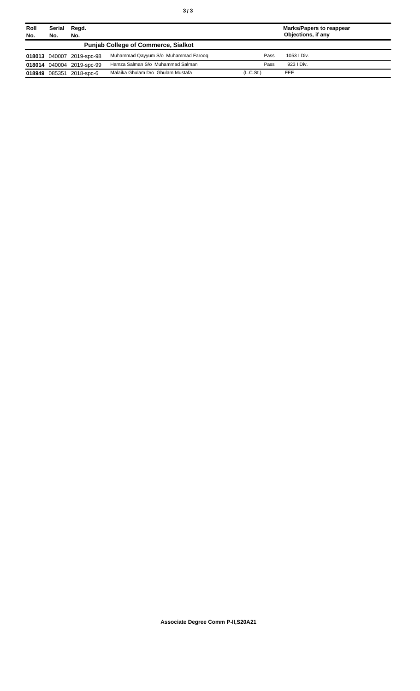| Roll<br>No.                                | Serial<br>Regd.<br>No.<br>No. |                           | <b>Marks/Papers to reappear</b><br>Objections, if any |                       |             |
|--------------------------------------------|-------------------------------|---------------------------|-------------------------------------------------------|-----------------------|-------------|
| <b>Punjab College of Commerce, Sialkot</b> |                               |                           |                                                       |                       |             |
|                                            |                               | 018013 040007 2019-spc-98 | Muhammad Qayyum S/o Muhammad Faroog                   | Pass                  | 1053 I Div. |
|                                            |                               | 018014 040004 2019-spc-99 | Hamza Salman S/o Muhammad Salman                      | Pass                  | 923   Div.  |
|                                            | 018949 085351                 | 2018-spc-6                | Malaika Ghulam D/o Ghulam Mustafa                     | (L.C.S <sub>t</sub> ) | <b>FEE</b>  |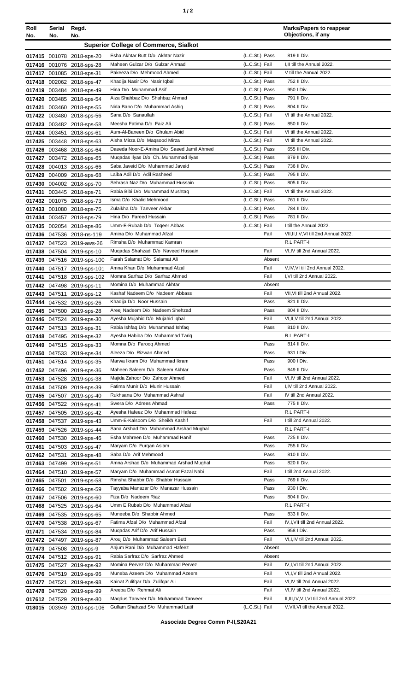| Roll<br>No. | Serial<br>No. | Regd.<br>No.                                             |                                                                      |                                  | <b>Marks/Papers to reappear</b><br>Objections, if any            |
|-------------|---------------|----------------------------------------------------------|----------------------------------------------------------------------|----------------------------------|------------------------------------------------------------------|
|             |               |                                                          | <b>Superior College of Commerce, Sialkot</b>                         |                                  |                                                                  |
|             |               | 017415 001078 2018-sps-20                                | Esha Akhtar Butt D/o Akhtar Nazir                                    | (L.C.St.) Pass                   | 819 II Div.                                                      |
|             |               | 017416 001076 2018-sps-28                                | Maheen Gulzar D/o Gulzar Ahmad                                       | (L.C.St.) Fail                   | I.II till the Annual 2022.                                       |
|             |               | 017417 001085 2018-sps-31                                | Pakeeza D/o Mehmood Ahmed                                            | (L.C.St.) Fail                   | V till the Annual 2022.                                          |
|             |               | 017418 002062 2018-sps-47                                | Khadija Nasir D/o Nasir Iqbal                                        | (L.C.St.) Pass                   | 752 II Div.                                                      |
|             |               | 017419 003484 2018-sps-49                                | Hina D/o Muhammad Asif                                               | (L.C.St.) Pass                   | 950   Div.                                                       |
|             |               | 017420 003485 2018-sps-54                                | Aiza Shahbaz D/o Shahbaz Ahmad                                       | (L.C.St.) Pass                   | 791 II Div.                                                      |
|             |               | 017421 003460 2018-sps-55                                | Nida Bano D/o Muhammad Ashiq                                         | (L.C.St.) Pass                   | 804 II Div.                                                      |
|             |               | 017422 003480 2018-sps-56                                | Sana D/o Sanaullah<br>Meesha Fatima D/o Faiz Ali                     | (L.C.St.) Fail<br>(L.C.St.) Pass | VI till the Annual 2022.<br>850 II Div.                          |
|             |               | 017423 003482 2018-sps-58<br>017424 003451 2018-sps-61   | Aum-Al-Baneen D/o Ghulam Abid                                        | (L.C.St.) Fail                   | VI till the Annual 2022.                                         |
|             |               | 017425 003448 2018-sps-63                                | Aisha Mirza D/o Maqsood Mirza                                        | (L.C.St.) Fail                   | VI till the Annual 2022.                                         |
|             |               | 017426 003468 2018-sps-64                                | Daeeda Noor-E-Amina D/o Saeed Jamil Ahmed                            | (L.C.St.) Pass                   | 655 III Div.                                                     |
|             |               | 017427 003472 2018-sps-65                                | Muqadas Ilyas D/o ChMuhammad Ilyas                                   | (L.C.St.) Pass                   | 879 II Div.                                                      |
|             |               | 017428 004013 2018-sps-66                                | Saba Javeid D/o Muhammad Javeid                                      | (L.C.St.) Pass                   | 736 II Div.                                                      |
|             |               | 017429 004009 2018-sps-68                                | Laiba Adil D/o Adil Rasheed                                          | (L.C.St.) Pass                   | 795 II Div.                                                      |
|             |               | 017430 004002 2018-sps-70                                | Sehrash Naz D/o Muhammad Hussain                                     | (L.C.St.) Pass                   | 805 II Div.                                                      |
|             |               | 017431 003445 2018-sps-71                                | Rabia Bibi D/o Muhammad Mushtaq<br>Isma D/o Khalid Mehmood           | (L.C.St.) Fail<br>(L.C.St.) Pass | VI till the Annual 2022.<br>761 II Div.                          |
|             |               | 017432 001075 2018-sps-73<br>017433 001080 2018-sps-75   | Zulaikha D/o Tanveer Akbar                                           | (L.C.St.) Pass                   | 784 II Div.                                                      |
|             |               | 017434 003457 2018-sps-79                                | Hina D/o Fareed Hussain                                              | (L.C.St.) Pass                   | 781 II Div.                                                      |
|             |               | 017435 002054 2018-sps-86                                | Umm-E-Rubab D/o Togeer Abbas                                         | (L.C.St.) Fail                   | I till the Annual 2022.                                          |
|             |               | 017436 047536 2018-ns-119                                | Amina D/o Muhammad Afzal                                             | Fail                             | VII, II, I, V, VI till 2nd Annual 2022.                          |
|             |               | 017437 047523 2019-aws-26                                | Rimsha D/o Muhammad Kamran                                           |                                  | R.L PART-I                                                       |
|             |               | 017438 047504 2019-sps-10                                | Mugadas Shahzadi D/o Naveed Hussain                                  | Fail                             | VI, IV till 2nd Annual 2022.                                     |
|             |               | 017439 047516 2019-sps-100                               | Farah Salamat D/o Salamat Ali<br>Amna Khan D/o Muhammad Afzal        | Absent<br>Fail                   | V,IV,VI till 2nd Annual 2022.                                    |
|             |               | 017440 047517 2019-sps-101<br>017441 047518 2019-sps-102 | Momna Sarfraz D/o Sarfraz Ahmed                                      | Fail                             | I, VI till 2nd Annual 2022.                                      |
|             |               | 017442 047498 2019-sps-11                                | Momina D/o Muhammad Akhtar                                           | Absent                           |                                                                  |
|             |               | 017443 047511 2019-sps-12                                | Kashaf Nadeem D/o Nadeem Abbass                                      | Fail                             | VII, VI till 2nd Annual 2022.                                    |
|             |               | 017444 047532 2019-sps-26                                | Khadija D/o Noor Hussain                                             | Pass                             | 821 II Div.                                                      |
|             |               | 017445 047500 2019-sps-28                                | Areej Nadeem D/o Nadeem Shehzad                                      | Pass                             | 804 II Div.                                                      |
|             |               | 017446 047524 2019-sps-30                                | Ayesha Mujahid D/o Mujahid Iqbal                                     | Fail                             | VI, II, V till 2nd Annual 2022.                                  |
|             |               | 017447 047513 2019-sps-31                                | Rabia Ishfaq D/o Muhammad Ishfaq                                     | Pass                             | 810 II Div.                                                      |
|             |               | 017448 047495 2019-sps-32                                | Ayesha Habiba D/o Muhammad Tariq<br>Momna D/o Faroog Ahmed           | Pass                             | R.L PART-I<br>814 II Div.                                        |
|             |               | 017449 047515 2019-sps-33<br>017450 047533 2019-sps-34   | Aleeza D/o Rizwan Ahmed                                              | Pass                             | 931 I Div.                                                       |
|             |               | 017451 047514 2019-sps-35                                | Marwa Ikram D/o Muhammad Ikram                                       | Pass                             | 900 I Div.                                                       |
|             |               | 017452 047496 2019-sps-36                                | Maheen Saleem D/o Saleem Akhtar                                      | Pass                             | 849 II Div.                                                      |
|             |               | 017453 047528 2019-sps-38                                | Majida Zahoor D/o Zahoor Ahmed                                       | Fail                             | VI, IV till 2nd Annual 2022.                                     |
|             |               | 017454 047509 2019-sps-39                                | Fatima Munir D/o Munir Hussain                                       | Fail                             | I,IV till 2nd Annual 2022.                                       |
|             |               | 017455 047507 2019-sps-40                                | Rukhsana D/o Muhammad Ashraf                                         | Fail                             | IV till 2nd Annual 2022.                                         |
|             |               | 017456 047522 2019-sps-41                                | Swera D/o Adrees Ahmad<br>Ayesha Hafeez D/o Muhammad Hafeez          | Pass                             | 775 II Div.<br>R.L PART-I                                        |
|             |               | 017457 047505 2019-sps-42<br>017458 047537 2019-sps-43   | Umm-E-Kalsoom D/o Sheikh Kashif                                      | Fail                             | I till 2nd Annual 2022.                                          |
|             |               | 017459 047526 2019-sps-44                                | Sana Arshad D/o Muhammad Arshad Mughal                               |                                  | R.L PART-I                                                       |
|             |               | 017460 047530 2019-sps-46                                | Esha Mahreen D/o Muhammad Hanif                                      | Pass                             | 725 II Div.                                                      |
|             |               | 017461 047503 2019-sps-47                                | Maryam D/o Furgan Aslam                                              | Pass                             | 755 II Div.                                                      |
|             |               | 017462 047531 2019-sps-48                                | Saba D/o Arif Mehmood                                                | Pass                             | 810 II Div.                                                      |
|             |               | 017463 047499 2019-sps-51                                | Amna Arshad D/o Muhammad Arshad Mughal                               | Pass                             | 820 II Div.                                                      |
|             |               | 017464 047510 2019-sps-57                                | Maryam D/o Muhammad Asmat Fazal Nabi                                 | Fail                             | I till 2nd Annual 2022.                                          |
|             |               | 017465 047501 2019-sps-58                                | Rimsha Shabbir D/o Shabbir Hussain                                   | Pass                             | 769 II Div.                                                      |
|             |               | 017466 047502 2019-sps-59<br>017467 047506 2019-sps-60   | Tayyaba Manazar D/o Manazar Hussain<br>Fiza D/o Nadeem Riaz          | Pass<br>Pass                     | 930 I Div.<br>804 II Div.                                        |
|             |               | 017468 047525 2019-sps-64                                | Umm E Rubab D/o Muhammad Afzal                                       |                                  | R.L PART-I                                                       |
|             |               | 017469 047535 2019-sps-65                                | Muneeba D/o Shabbir Ahmed                                            | Pass                             | 833 II Div.                                                      |
|             |               | 017470 047538 2019-sps-67                                | Fatima Afzal D/o Muhammad Afzal                                      | Fail                             | IV, I, VII till 2nd Annual 2022.                                 |
|             |               | 017471 047534 2019-sps-84                                | Mugadas Arif D/o Arif Hussain                                        | Pass                             | 958 I Div.                                                       |
|             |               | 017472 047497 2019-sps-87                                | Arouj D/o Muhammad Saleem Butt                                       | Fail                             | VI, I, IV till 2nd Annual 2022.                                  |
|             |               | 017473 047508 2019-sps-9                                 | Anjum Rani D/o Muhammad Hafeez                                       | Absent                           |                                                                  |
|             |               | 017474 047512 2019-sps-91                                | Rabia Sarfraz D/o Sarfraz Ahmed                                      | Absent                           |                                                                  |
|             |               | 017475 047527 2019-sps-92                                | Momina Pervez D/o Muhammad Pervez<br>Muneba Azeem D/o Muhammad Azeem | Fail<br>Fail                     | IV, I, VI till 2nd Annual 2022.<br>VI,I, V till 2nd Annual 2022. |
|             |               | 017476 047519 2019-sps-96<br>017477 047521 2019-sps-98   | Kainat Zulifqar D/o Zulifqar Ali                                     | Fail                             | VI,IV till 2nd Annual 2022.                                      |
|             |               | 017478 047520 2019-sps-99                                | Areeba D/o Rehmat Ali                                                | Fail                             | VI, IV till 2nd Annual 2022.                                     |
|             |               | 017612 047529 2019-sps-80                                | Magdus Tanveer D/o Muhammad Tanveer                                  | Fail                             | II, III, IV, V, I, VI till 2nd Annual 2022.                      |
|             |               | 018015 003949 2010-sps-106                               | Gulfam Shahzad S/o Muhammad Latif                                    | (L.C.St.) Fail                   | V, VII, VI till the Annual 2022.                                 |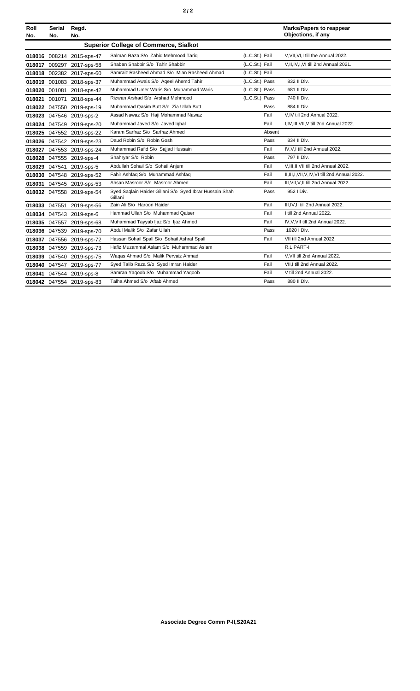|--|--|--|--|

| Roll<br>No. | Serial<br>No. | Regd.<br>No.              |                                                                    |                | <b>Marks/Papers to reappear</b><br>Objections, if any |
|-------------|---------------|---------------------------|--------------------------------------------------------------------|----------------|-------------------------------------------------------|
|             |               |                           | <b>Superior College of Commerce, Sialkot</b>                       |                |                                                       |
|             |               | 018016 008214 2015-sps-47 | Salman Raza S/o Zahid Mehmood Tarig                                | (L.C.St.) Fail | V.VII.VI.I till the Annual 2022.                      |
|             |               | 018017 009297 2017-sps-58 | Shaban Shabbir S/o Tahir Shabbir                                   | (L.C.St.) Fail | V, II, IV, I, VI till 2nd Annual 2021.                |
|             |               | 018018 002382 2017-sps-60 | Samraiz Rasheed Ahmad S/o Mian Rasheed Ahmad                       | (L.C.St.) Fail |                                                       |
|             |               | 018019 001083 2018-sps-37 | Muhammad Awais S/o Ageel Ahemd Tahir                               | (L.C.St.) Pass | 832 II Div.                                           |
|             |               | 018020 001081 2018-sps-42 | Muhammad Umer Waris S/o Muhammad Waris                             | (L.C.St.) Pass | 681 II Div.                                           |
|             |               | 018021 001071 2018-sps-44 | Rizwan Arshad S/o Arshad Mehmood                                   | (L.C.St.) Pass | 740 II Div.                                           |
|             |               | 018022 047550 2019-sps-19 | Muhammad Qasim Butt S/o Zia Ullah Butt                             | Pass           | 884 II Div.                                           |
|             |               | 018023 047546 2019-sps-2  | Assad Nawaz S/o Haji Mohammad Nawaz                                | Fail           | V.IV till 2nd Annual 2022.                            |
|             |               | 018024 047549 2019-sps-20 | Muhammad Javed S/o Javed Iqbal                                     | Fail           | I, IV, III, VII, V till 2nd Annual 2022.              |
|             |               | 018025 047552 2019-sps-22 | Karam Sarfraz S/o Sarfraz Ahmed                                    | Absent         |                                                       |
|             |               | 018026 047542 2019-sps-23 | Daud Robin S/o Robin Gosh                                          | Pass           | 834 II Div.                                           |
|             |               | 018027 047553 2019-sps-24 | Muhammad Rafid S/o Sajjad Hussain                                  | Fail           | IV.V.I till 2nd Annual 2022.                          |
|             |               | 018028 047555 2019-sps-4  | Shahryar S/o Robin                                                 | Pass           | 797 II Div.                                           |
|             |               | 018029 047541 2019-sps-5  | Abdullah Sohail S/o Sohail Anjum                                   | Fail           | V.III.II.VII till 2nd Annual 2022.                    |
|             |               | 018030 047548 2019-sps-52 | Fahir Ashfaq S/o Muhammad Ashfaq                                   | Fail           | II, III, I, VII, V, IV, VI till 2nd Annual 2022.      |
|             |               | 018031 047545 2019-sps-53 | Ahsan Masroor S/o Masroor Ahmed                                    | Fail           | III, VII, V, II till 2nd Annual 2022.                 |
|             |               | 018032 047558 2019-sps-54 | Syed Saqlain Haider Gillani S/o Syed Ibrar Hussain Shah<br>Gillani | Pass           | 952   Div.                                            |
|             |               | 018033 047551 2019-sps-56 | Zain Ali S/o Haroon Haider                                         | Fail           | III, IV, II till 2nd Annual 2022.                     |
|             |               | 018034 047543 2019-sps-6  | Hammad Ullah S/o Muhammad Qaiser                                   | Fail           | I till 2nd Annual 2022.                               |
|             |               | 018035 047557 2019-sps-68 | Muhammad Tayyab Ijaz S/o Ijaz Ahmed                                | Fail           | IV, V, VII till 2nd Annual 2022.                      |
|             |               | 018036 047539 2019-sps-70 | Abdul Malik S/o Zafar Ullah                                        | Pass           | 1020 I Div.                                           |
|             |               | 018037 047556 2019-sps-72 | Hassan Sohail Spall S/o Sohail Ashraf Spall                        | Fail           | VII till 2nd Annual 2022.                             |
|             |               | 018038 047559 2019-sps-73 | Hafiz Muzammal Aslam S/o Muhammad Aslam                            |                | R.L PART-I                                            |
|             |               | 018039 047540 2019-sps-75 | Wagas Ahmad S/o Malik Pervaiz Ahmad                                | Fail           | V.VII till 2nd Annual 2022.                           |
|             |               | 018040 047547 2019-sps-77 | Syed Talib Raza S/o Syed Imran Haider                              | Fail           | VII, I till 2nd Annual 2022.                          |
|             |               | 018041 047544 2019-sps-8  | Samran Yaqoob S/o Muhammad Yaqoob                                  | Fail           | V till 2nd Annual 2022.                               |
|             |               | 018042 047554 2019-sps-83 | Talha Ahmed S/o Aftab Ahmed                                        | Pass           | 880 II Div.                                           |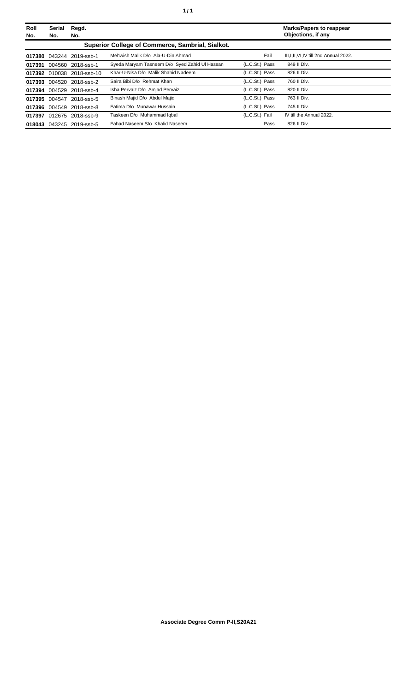| Roll<br>No. | Serial<br>No. | Regd.<br>No.              |                                                  |                | <b>Marks/Papers to reappear</b><br>Objections, if any |
|-------------|---------------|---------------------------|--------------------------------------------------|----------------|-------------------------------------------------------|
|             |               |                           | Superior College of Commerce, Sambrial, Sialkot. |                |                                                       |
|             |               | 017380 043244 2019-ssb-1  | Mehwish Malik D/o Ala-U-Din Ahmad                | Fail           | III.I.II.VI.IV till 2nd Annual 2022.                  |
|             |               | 017391 004560 2018-ssb-1  | Syeda Maryam Tasneem D/o Syed Zahid UI Hassan    | (L.C.St.) Pass | 849 II Div.                                           |
|             |               | 017392 010038 2018-ssb-10 | Khar-U-Nisa D/o Malik Shahid Nadeem              | (L.C.St.) Pass | 826 II Div.                                           |
|             |               | 017393 004520 2018-ssb-2  | Saira Bibi D/o Rehmat Khan                       | (L.C.St.) Pass | 760 II Div.                                           |
|             | 017394 004529 | 2018-ssb-4                | Isha Pervaiz D/o Amjad Pervaiz                   | (L.C.St.) Pass | 820 II Div.                                           |
|             | 017395 004547 | 2018-ssb-5                | Binash Majid D/o Abdul Majid                     | (L.C.St.) Pass | 763 II Div.                                           |
|             |               | 017396 004549 2018-ssb-8  | Fatima D/o Munawar Hussain                       | (L.C.St.) Pass | 745 II Div.                                           |
|             |               | 017397 012675 2018-ssb-9  | Taskeen D/o Muhammad Iqbal                       | (L.C.St.) Fail | IV till the Annual 2022.                              |
|             |               | 018043 043245 2019-ssb-5  | Fahad Naseem S/o Khalid Naseem                   | Pass           | 826 II Div.                                           |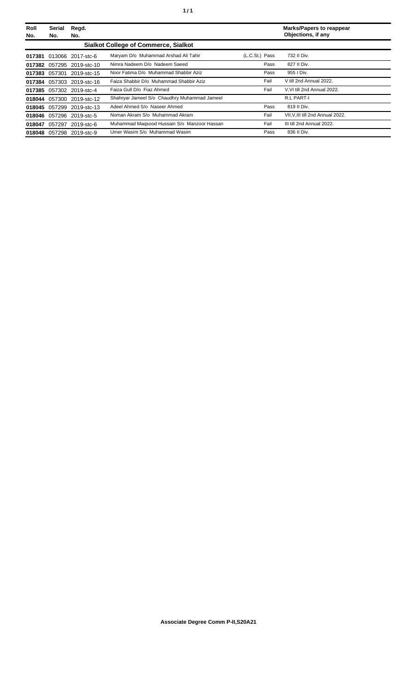| Roll<br>No. | Serial<br>No. | Regd.<br>No.              |                                              |                | <b>Marks/Papers to reappear</b><br>Objections, if any |
|-------------|---------------|---------------------------|----------------------------------------------|----------------|-------------------------------------------------------|
|             |               |                           | <b>Sialkot College of Commerce, Sialkot</b>  |                |                                                       |
|             |               | 017381 013066 2017-stc-6  | Maryam D/o Muhammad Arshad Ali Tahir         | (L.C.St.) Pass | 732 II Div.                                           |
|             |               | 017382 057295 2019-stc-10 | Nimra Nadeem D/o Nadeem Saeed                | Pass           | 827 II Div.                                           |
|             | 017383 057301 | 2019-stc-15               | Noor Fatima D/o Muhammad Shabbir Aziz        | Pass           | 955   Div.                                            |
|             |               | 017384 057303 2019-stc-16 | Faiza Shabbir D/o Muhammad Shabbir Aziz      | Fail           | V till 2nd Annual 2022.                               |
| 017385      |               | 057302 2019-stc-4         | Faiza Gull D/o Fiaz Ahmed                    | Fail           | V.VI till 2nd Annual 2022.                            |
|             |               | 018044 057300 2019-stc-12 | Shahryar Jameel S/o Chaudhry Muhammad Jameel |                | R.L PART-I                                            |
| 018045      |               | 057299 2019-stc-13        | Adeel Ahmed S/o Naseer Ahmed                 | Pass           | 819 II Div.                                           |
| 018046      |               | 057296 2019-stc-5         | Noman Akram S/o Muhammad Akram               | Fail           | VII, V, III till 2nd Annual 2022.                     |
| 018047      | 057297        | 2019-stc-6                | Muhammad Magsood Hussain S/o Manzoor Hassan  | Fail           | III till 2nd Annual 2022.                             |
|             |               | 018048 057298 2019-stc-9  | Umer Wasim S/o Muhammad Wasim                | Pass           | 836 II Div.                                           |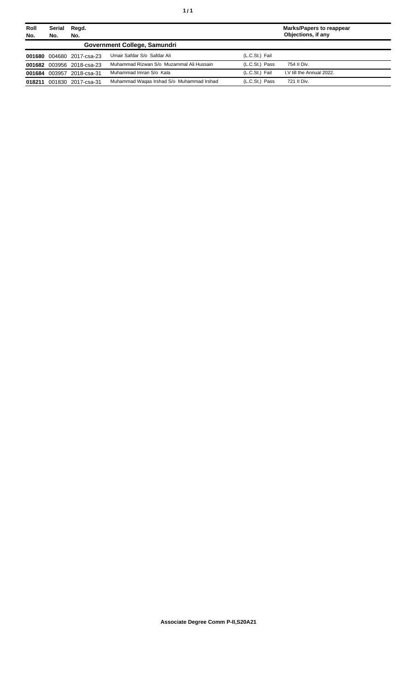| Roll<br>No. | Serial<br>No. | Regd.<br>No.              |                                           |                | <b>Marks/Papers to reappear</b><br>Objections, if any |
|-------------|---------------|---------------------------|-------------------------------------------|----------------|-------------------------------------------------------|
|             |               |                           | Government College, Samundri              |                |                                                       |
|             |               | 001680 004680 2017-csa-23 | Umair Safdar S/o Safdar Ali               | (L.C.St.) Fail |                                                       |
|             |               | 001682 003956 2018-csa-23 | Muhammad Rizwan S/o Muzammal Ali Hussain  | (L.C.St.) Pass | 754 II Div.                                           |
|             |               | 001684 003957 2018-csa-31 | Muhammad Imran S/o Kala                   | (L.C.St.) Fail | I.V till the Annual 2022.                             |
| 018211      |               | 001830 2017-csa-31        | Muhammad Wagas Irshad S/o Muhammad Irshad | (L.C.St.) Pass | 721 II Div.                                           |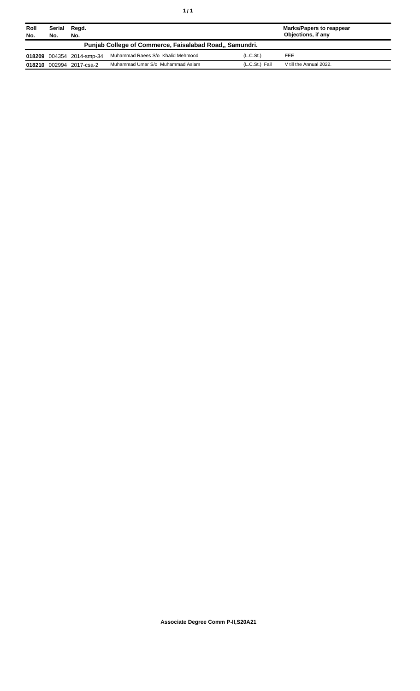| Roll<br>No. | Serial<br>No.                                           | Regd.<br>No.              |                                   |                       | <b>Marks/Papers to reappear</b><br>Objections, if any |  |  |
|-------------|---------------------------------------------------------|---------------------------|-----------------------------------|-----------------------|-------------------------------------------------------|--|--|
|             | Punjab College of Commerce, Faisalabad Road., Samundri. |                           |                                   |                       |                                                       |  |  |
|             |                                                         | 018209 004354 2014-smp-34 | Muhammad Raees S/o Khalid Mehmood | (L.C.S <sub>t</sub> ) | <b>FEE</b>                                            |  |  |
| 018210      |                                                         | 002994 2017-csa-2         | Muhammad Umar S/o Muhammad Aslam  | (L.C.St.) Fail        | V till the Annual 2022.                               |  |  |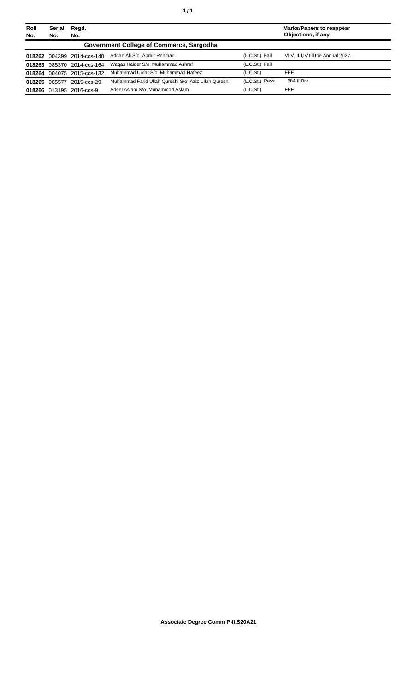| Roll<br>No. | Serial<br>No. | Regd.<br>No.               |                                                     |                       | <b>Marks/Papers to reappear</b><br>Objections, if any |
|-------------|---------------|----------------------------|-----------------------------------------------------|-----------------------|-------------------------------------------------------|
|             |               |                            | Government College of Commerce, Sargodha            |                       |                                                       |
|             |               | 018262 004399 2014-ccs-140 | Adnan Ali S/o Abdur Rehman                          | (L.C.St.) Fail        | VI, V, III, I, IV till the Annual 2022.               |
|             |               | 018263 085370 2014-ccs-164 | Wagas Haider S/o Muhammad Ashraf                    | (L.C.St.) Fail        |                                                       |
|             |               | 018264 004075 2015-ccs-132 | Muhammad Umar S/o Muhammad Hafeez                   | (L.C.S <sub>t</sub> ) | <b>FEE</b>                                            |
|             | 018265 085577 | 2015-ccs-29                | Muhammad Farid Ullah Qureshi S/o Aziz Ullah Qureshi | (L.C.St.) Pass        | 684 II Div.                                           |
|             |               | 018266 013195 2016-ccs-9   | Adeel Aslam S/o Muhammad Aslam                      | (L.C.S <sub>t</sub> ) | <b>FEE</b>                                            |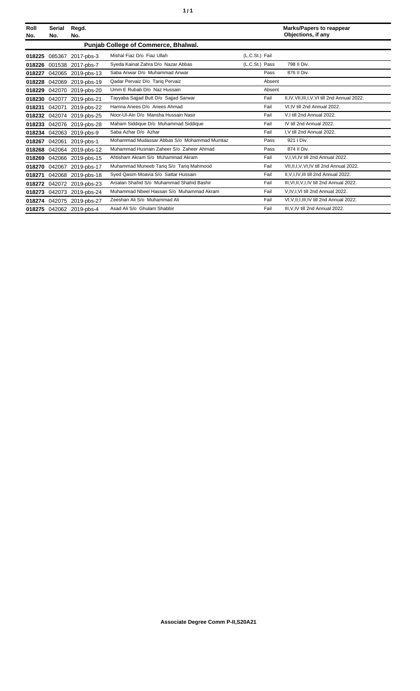| Roll<br>No. | Serial<br>No. | Regd.<br>No.              |                                             |                | <b>Marks/Papers to reappear</b><br>Objections, if any |
|-------------|---------------|---------------------------|---------------------------------------------|----------------|-------------------------------------------------------|
|             |               |                           | Punjab College of Commerce, Bhalwal.        |                |                                                       |
| 018225      | 085367        | 2017-pbs-3                | Mishal Fiaz D/o Fiaz Ullah                  | (L.C.St.) Fail |                                                       |
| 018226      | 001538        | 2017-pbs-7                | Syeda Kainat Zahra D/o Nazar Abbas          | (L.C.St.) Pass | 798 II Div.                                           |
| 018227      | 042065        | 2019-pbs-13               | Saba Anwar D/o Muhammad Anwar               | Pass           | 876 II Div.                                           |
| 018228      | 042069        | 2019-pbs-19               | Qadar Pervaiz D/o Tariq Pervaiz             | Absent         |                                                       |
| 018229      | 042070        | 2019-pbs-20               | Umm E Rubab D/o Naz Hussain                 | Absent         |                                                       |
| 018230      | 042077        | 2019-pbs-21               | Tayyaba Sajjad Butt D/o Sajjad Sarwar       | Fail           | II, IV, VII, III, I, V, VI till 2nd Annual 2022.      |
| 018231      | 042071        | 2019-pbs-22               | Hamna Anees D/o Anees Ahmad                 | Fail           | VI.IV till 2nd Annual 2022.                           |
| 018232      | 042074        | 2019-pbs-25               | Noor-Ul-Ain D/o Mansha Hussain Nasir        | Fail           | V.I till 2nd Annual 2022.                             |
| 018233      | 042076        | 2019-pbs-28               | Maham Siddique D/o Muhammad Siddique        | Fail           | IV till 2nd Annual 2022.                              |
|             |               | 018234 042063 2019-pbs-9  | Saba Azhar D/o Azhar                        | Fail           | I, V till 2nd Annual 2022.                            |
| 018267      | 042061        | 2019-pbs-1                | Mohammad Mudassar Abbas S/o Mohammad Mumtaz | Pass           | 921 I Div.                                            |
| 018268      |               | 042064 2019-pbs-12        | Muhammad Husnain Zaheer S/o Zaheer Ahmad    | Pass           | 874 II Div.                                           |
| 018269      |               | 042066 2019-pbs-15        | Ahtisham Akram S/o Muhammad Akram           | Fail           | V,I, VI, IV till 2nd Annual 2022.                     |
| 018270      | 042067        | 2019-pbs-17               | Muhammad Muneeb Tariq S/o Tariq Mahmood     | Fail           | VII, II, I, V, VI, IV till 2nd Annual 2022.           |
| 018271      | 042068        | 2019-pbs-18               | Syed Qasim Moavia S/o Sattar Hussain        | Fail           | II, V, I, IV, III till 2nd Annual 2022.               |
|             |               | 018272 042072 2019-pbs-23 | Arsalan Shahid S/o Muhammad Shahid Bashir   | Fail           | III, VI, II, V, I, IV till 2nd Annual 2022.           |
| 018273      | 042073        | 2019-pbs-24               | Muhammad Nbeel Hassan S/o Muhammad Akram    | Fail           | V,IV,I,VI till 2nd Annual 2022.                       |
| 018274      | 042075        | 2019-pbs-27               | Zeeshan Ali S/o Muhammad Ali                | Fail           | VI.V.II.I.III.IV till 2nd Annual 2022.                |
|             |               | 018275 042062 2019-pbs-4  | Asad Ali S/o Ghulam Shabbir                 | Fail           | III, V, IV till 2nd Annual 2022.                      |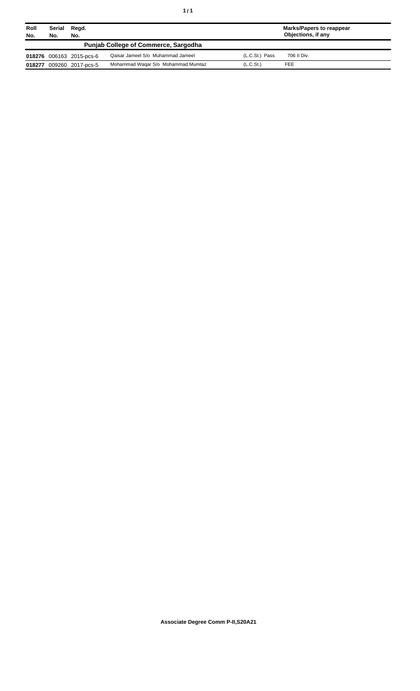| Roll<br>No. | Serial<br>Regd.<br>No.<br>No. |                          |                                             |                       | <b>Marks/Papers to reappear</b><br>Objections, if any |
|-------------|-------------------------------|--------------------------|---------------------------------------------|-----------------------|-------------------------------------------------------|
|             |                               |                          | <b>Punjab College of Commerce, Sargodha</b> |                       |                                                       |
|             |                               | 018276 006163 2015-pcs-6 | Qaisar Jameel S/o Muhammad Jameel           | (L.C.St.) Pass        | 706 II Div.                                           |
| 018277      |                               | 009260 2017-pcs-5        | Mohammad Wagar S/o Mohammad Mumtaz          | (L.C.S <sub>t</sub> ) | FEE                                                   |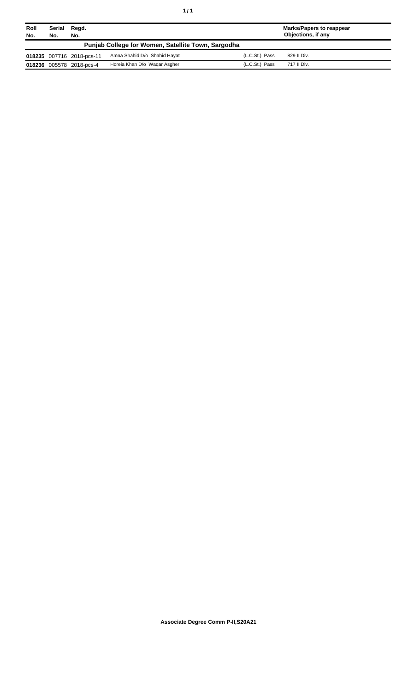| Roll<br>No. | Serial<br>No. | Regd.<br>No.              |                                                    |                  | <b>Marks/Papers to reappear</b><br>Objections, if any |
|-------------|---------------|---------------------------|----------------------------------------------------|------------------|-------------------------------------------------------|
|             |               |                           | Punjab College for Women, Satellite Town, Sargodha |                  |                                                       |
|             |               | 018235 007716 2018-pcs-11 | Amna Shahid D/o Shahid Hayat                       | (L.C.St.) Pass   | 829 II Div.                                           |
|             |               | 018236 005578 2018-pcs-4  | Horeia Khan D/o Wagar Asgher                       | $(L.C.St.)$ Pass | 717 II Div.                                           |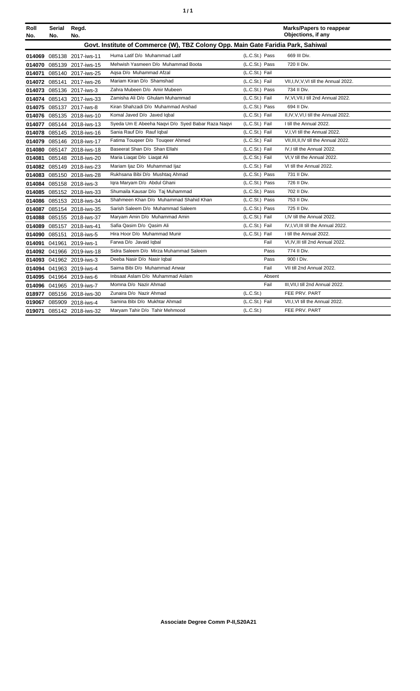| ٠ | ٠ |
|---|---|
|   |   |

| Roll | Serial                                                                           | Regd.                     |                                                   |                | <b>Marks/Papers to reappear</b>         |  |  |
|------|----------------------------------------------------------------------------------|---------------------------|---------------------------------------------------|----------------|-----------------------------------------|--|--|
| No.  | No.                                                                              | No.                       |                                                   |                | Objections, if any                      |  |  |
|      | Govt. Institute of Commerce (W), TBZ Colony Opp. Main Gate Faridia Park, Sahiwal |                           |                                                   |                |                                         |  |  |
|      |                                                                                  | 014069 085138 2017-iws-11 | Huma Latif D/o Muhammad Latif                     | (L.C.St.) Pass | 669 III Div.                            |  |  |
|      |                                                                                  | 014070 085139 2017-iws-15 | Mehwish Yasmeen D/o Muhammad Boota                | (L.C.St.) Pass | 720 II Div.                             |  |  |
|      |                                                                                  | 014071 085140 2017-iws-25 | Agsa D/o Muhammad Afzal                           | (L.C.St.) Fail |                                         |  |  |
|      |                                                                                  | 014072 085141 2017-iws-26 | Mariam Kiran D/o Shamshad                         | (L.C.St.) Fail | VII, I, IV, V, VI till the Annual 2022. |  |  |
|      |                                                                                  | 014073 085136 2017-iws-3  | Zahra Mubeen D/o Amir Mubeen                      | (L.C.St.) Pass | 734 II Div.                             |  |  |
|      |                                                                                  | 014074 085143 2017-iws-33 | Zamisha Ali D/o Ghulam Muhammad                   | (L.C.St.) Fail | IV, VI, VII, I till 2nd Annual 2022.    |  |  |
|      |                                                                                  | 014075 085137 2017-iws-8  | Kiran Shahzadi D/o Muhammad Arshad                | (L.C.St.) Pass | 694 II Div.                             |  |  |
|      |                                                                                  | 014076 085135 2018-iws-10 | Komal Javed D/o Javed Iqbal                       | (L.C.St.) Fail | II, IV, V, VI, I till the Annual 2022.  |  |  |
|      |                                                                                  | 014077 085144 2018-iws-13 | Syeda Um E Abeeha Nagvi D/o Syed Babar Raza Nagvi | (L.C.St.) Fail | I till the Annual 2022.                 |  |  |
|      |                                                                                  | 014078 085145 2018-iws-16 | Sania Rauf D/o Rauf Igbal                         | (L.C.St.) Fail | V,I,VI till the Annual 2022.            |  |  |
|      |                                                                                  | 014079 085146 2018-iws-17 | Fatima Tougeer D/o Tougeer Ahmed                  | (L.C.St.) Fail | VII.III.II.IV till the Annual 2022.     |  |  |
|      |                                                                                  | 014080 085147 2018-iws-18 | Baseerat Shan D/o Shan Ellahi                     | (L.C.St.) Fail | IV.I till the Annual 2022.              |  |  |
|      |                                                                                  | 014081 085148 2018-iws-20 | Maria Liagat D/o Liagat Ali                       | (L.C.St.) Fail | VI, V till the Annual 2022.             |  |  |
|      |                                                                                  | 014082 085149 2018-iws-23 | Mariam Ijaz D/o Muhammad Ijaz                     | (L.C.St.) Fail | VI till the Annual 2022.                |  |  |
|      |                                                                                  | 014083 085150 2018-iws-28 | Rukhsana Bibi D/o Mushtaq Ahmad                   | (L.C.St.) Pass | 731 II Div.                             |  |  |
|      |                                                                                  | 014084 085158 2018-iws-3  | Igra Maryam D/o Abdul Ghani                       | (L.C.St.) Pass | 726 II Div.                             |  |  |
|      |                                                                                  | 014085 085152 2018-iws-33 | Shumaila Kausar D/o Taj Muhammad                  | (L.C.St.) Pass | 702 II Div.                             |  |  |
|      |                                                                                  | 014086 085153 2018-iws-34 | Shahmeen Khan D/o Muhammad Shahid Khan            | (L.C.St.) Pass | 753 II Div.                             |  |  |
|      |                                                                                  | 014087 085154 2018-iws-35 | Sarish Saleem D/o Muhammad Saleem                 | (L.C.St.) Pass | 725 II Div.                             |  |  |
|      |                                                                                  | 014088 085155 2018-iws-37 | Maryam Amin D/o Muhammad Amin                     | (L.C.St.) Fail | I,IV till the Annual 2022.              |  |  |
|      |                                                                                  | 014089 085157 2018-iws-41 | Safia Qasim D/o Qasim Ali                         | (L.C.St.) Fail | IV, I, VI, III till the Annual 2022.    |  |  |
|      |                                                                                  | 014090 085151 2018-iws-5  | Hira Hoor D/o Muhammad Munir                      | (L.C.St.) Fail | I till the Annual 2022.                 |  |  |
|      |                                                                                  | 014091 041961 2019-iws-1  | Farwa D/o Javaid Igbal                            | Fail           | VI, IV, III till 2nd Annual 2022.       |  |  |
|      |                                                                                  | 014092 041966 2019-iws-18 | Sidra Saleem D/o Mirza Muhammad Saleem            | Pass           | 774 II Div.                             |  |  |
|      |                                                                                  | 014093 041962 2019-iws-3  | Deeba Nasir D/o Nasir Iqbal                       | Pass           | 900   Div.                              |  |  |
|      |                                                                                  | 014094 041963 2019-iws-4  | Saima Bibi D/o Muhammad Anwar                     | Fail           | VII till 2nd Annual 2022.               |  |  |
|      |                                                                                  | 014095 041964 2019-iws-6  | Inbsaat Aslam D/o Muhammad Aslam                  | Absent         |                                         |  |  |
|      |                                                                                  | 014096 041965 2019-iws-7  | Momna D/o Nazir Ahmad                             | Fail           | III, VII, I till 2nd Annual 2022.       |  |  |
|      |                                                                                  | 018977 085156 2018-iws-30 | Zunaira D/o Nazir Ahmad                           | (L.C.St.)      | FEE PRV. PART                           |  |  |
|      |                                                                                  | 019067 085909 2018-iws-4  | Samina Bibi D/o Mukhtar Ahmad                     | (L.C.St.) Fail | VII, I, VI till the Annual 2022.        |  |  |
|      |                                                                                  | 019071 085142 2018-iws-32 | Maryam Tahir D/o Tahir Mehmood                    | (L.C.St.)      | FEE PRV. PART                           |  |  |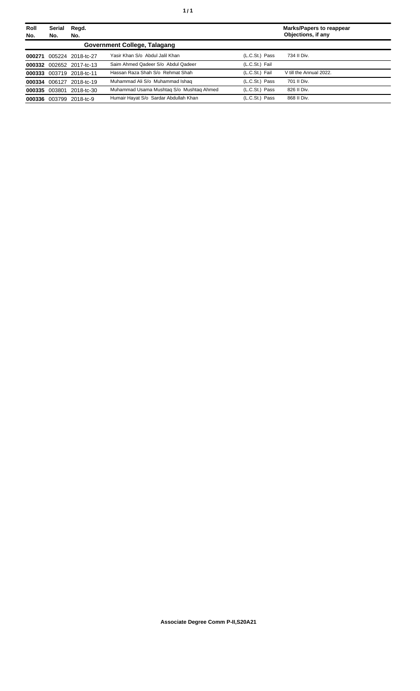| Roll<br>No. | <b>Serial</b><br>No. | Regd.<br>No.             |                                          |                | <b>Marks/Papers to reappear</b><br>Objections, if any |
|-------------|----------------------|--------------------------|------------------------------------------|----------------|-------------------------------------------------------|
|             |                      |                          | Government College, Talagang             |                |                                                       |
| 000271      |                      | 005224 2018-tc-27        | Yasir Khan S/o Abdul Jalil Khan          | (L.C.St.) Pass | 734 II Div.                                           |
| 000332      |                      | 002652 2017-tc-13        | Saim Ahmed Qadeer S/o Abdul Qadeer       | (L.C.St.) Fail |                                                       |
|             |                      | 000333 003719 2018-tc-11 | Hassan Raza Shah S/o Rehmat Shah         | (L.C.St.) Fail | V till the Annual 2022.                               |
|             |                      | 000334 006127 2018-tc-19 | Muhammad Ali S/o Muhammad Ishaq          | (L.C.St.) Pass | 701 II Div.                                           |
|             | 000335 003801        | 2018-tc-30               | Muhammad Usama Mushtag S/o Mushtag Ahmed | (L.C.St.) Pass | 826 II Div.                                           |
| 000336      |                      | 003799 2018-tc-9         | Humair Hayat S/o Sardar Abdullah Khan    | (L.C.St.) Pass | 868 II Div.                                           |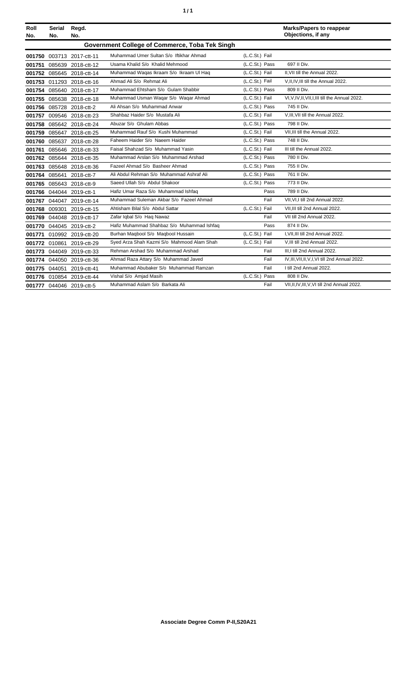| ٠ | ٠ |
|---|---|
|   |   |

| Roll<br>No. | <b>Serial</b><br>No. | Regd.<br>No.              |                                                |                |      | <b>Marks/Papers to reappear</b><br>Objections, if any |
|-------------|----------------------|---------------------------|------------------------------------------------|----------------|------|-------------------------------------------------------|
|             |                      |                           | Government College of Commerce, Toba Tek Singh |                |      |                                                       |
|             |                      | 001750 003713 2017-ctt-11 | Muhammad Umer Sultan S/o Iftikhar Ahmad        | (L.C.St.) Fail |      |                                                       |
|             |                      | 001751 085639 2018-ctt-12 | Usama Khalid S/o Khalid Mehmood                | (L.C.St.) Pass |      | 697 II Div.                                           |
|             |                      | 001752 085645 2018-ctt-14 | Muhammad Waqas Ikraam S/o Ikraam UI Haq        | (L.C.St.) Fail |      | II.VII till the Annual 2022.                          |
|             |                      | 001753 011293 2018-ctt-16 | Ahmad Ali S/o Rehmat Ali                       | (L.C.St.) Fail |      | V.II.IV.III till the Annual 2022.                     |
|             |                      | 001754 085640 2018-ctt-17 | Muhammad Ehtsham S/o Gulam Shabbir             | (L.C.St.) Pass |      | 809 II Div.                                           |
|             |                      | 001755 085638 2018-ctt-18 | Muhammad Usman Wagar S/o Wagar Ahmad           | (L.C.St.) Fail |      | VI, V, IV, II, VII, I, III till the Annual 2022.      |
|             |                      | 001756 085728 2018-ctt-2  | Ali Ahsan S/o Muhammad Anwar                   | (L.C.St.) Pass |      | 745 II Div.                                           |
|             |                      | 001757 009546 2018-ctt-23 | Shahbaz Haider S/o Mustafa Ali                 | (L.C.St.) Fail |      | V.III.VII till the Annual 2022.                       |
|             |                      | 001758 085642 2018-ctt-24 | Abuzar S/o Ghulam Abbas                        | (L.C.St.) Pass |      | 798 II Div.                                           |
|             |                      | 001759 085647 2018-ctt-25 | Muhammad Rauf S/o Kushi Muhammad               | (L.C.St.) Fail |      | VII.III till the Annual 2022.                         |
|             |                      | 001760 085637 2018-ctt-28 | Faheem Haider S/o Naeem Haider                 | (L.C.St.) Pass |      | 748 II Div.                                           |
|             |                      | 001761 085646 2018-ctt-33 | Faisal Shahzad S/o Muhammad Yasin              | (L.C.St.) Fail |      | III till the Annual 2022.                             |
|             |                      | 001762 085644 2018-ctt-35 | Muhammad Arslan S/o Muhammad Arshad            | (L.C.St.) Pass |      | 780 II Div.                                           |
|             |                      | 001763 085648 2018-ctt-36 | Fazeel Ahmad S/o Basheer Ahmad                 | (L.C.St.) Pass |      | 755 II Div.                                           |
|             |                      | 001764 085641 2018-ctt-7  | Ali Abdul Rehman S/o Muhammad Ashraf Ali       | (L.C.St.) Pass |      | 761 II Div.                                           |
|             |                      | 001765 085643 2018-ctt-9  | Saeed Ullah S/o Abdul Shakoor                  | (L.C.St.) Pass |      | 773 II Div.                                           |
|             |                      | 001766 044044 2019-ctt-1  | Hafiz Umar Raza S/o Muhammad Ishfaq            |                | Pass | 789 II Div.                                           |
|             |                      | 001767 044047 2019-ctt-14 | Muhammad Suleman Akbar S/o Fazeel Ahmad        |                | Fail | VII, VI, I till 2nd Annual 2022.                      |
|             |                      | 001768 009301 2019-ctt-15 | Ahtisham Bilal S/o Abdul Sattar                | (L.C.St.) Fail |      | VII.III till 2nd Annual 2022.                         |
|             |                      | 001769 044048 2019-ctt-17 | Zafar Iqbal S/o Haq Nawaz                      |                | Fail | VII till 2nd Annual 2022.                             |
|             |                      | 001770 044045 2019-ctt-2  | Hafiz Muhammad Shahbaz S/o Muhammad Ishfaq     |                | Pass | 874 II Div.                                           |
|             |                      | 001771 010992 2019-ctt-20 | Burhan Maqbool S/o Maqbool Hussain             | (L.C.St.) Fail |      | I, VII, III till 2nd Annual 2022.                     |
|             |                      | 001772 010861 2019-ctt-29 | Syed Arza Shah Kazmi S/o Mahmood Alam Shah     | (L.C.St.) Fail |      | V, III till 2nd Annual 2022.                          |
|             |                      | 001773 044049 2019-ctt-33 | Rehman Arshad S/o Muhammad Arshad              |                | Fail | III.I till 2nd Annual 2022.                           |
|             |                      | 001774 044050 2019-ctt-36 | Ahmad Raza Attary S/o Muhammad Javed           |                | Fail | IV, III, VII, II, V, I, VI till 2nd Annual 2022.      |
|             |                      | 001775 044051 2019-ctt-41 | Muhammad Abubaker S/o Muhammad Ramzan          |                | Fail | I till 2nd Annual 2022.                               |
|             |                      | 001776 010854 2019-ctt-44 | Vishal S/o Amjad Masih                         | (L.C.St.) Pass |      | 808 II Div.                                           |
|             |                      | 001777 044046 2019-ctt-5  | Muhammad Aslam S/o Barkata Ali                 |                | Fail | VII, II, IV, III, V, VI till 2nd Annual 2022.         |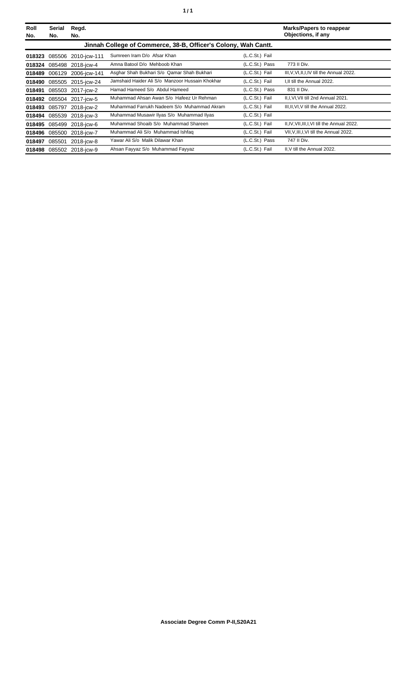| Roll<br>No. | Serial<br>No. | Regd.<br>No.             |                                                                |                | <b>Marks/Papers to reappear</b><br>Objections, if any |
|-------------|---------------|--------------------------|----------------------------------------------------------------|----------------|-------------------------------------------------------|
|             |               |                          | Jinnah College of Commerce, 38-B, Officer's Colony, Wah Cantt. |                |                                                       |
| 018323      |               | 085506 2010-jcw-111      | Sumreen Iram D/o Afsar Khan                                    | (L.C.St.) Fail |                                                       |
| 018324      |               | 085498 2018-jcw-4        | Amna Batool D/o Mehboob Khan                                   | (L.C.St.) Pass | 773 II Div.                                           |
| 018489      |               | 006129 2006-jcw-141      | Asghar Shah Bukhari S/o Qamar Shah Bukhari                     | (L.C.St.) Fail | III, V, VI, II, I, IV till the Annual 2022.           |
| 018490      |               | 085505 2015-jcw-24       | Jamshaid Haider Ali S/o Manzoor Hussain Khokhar                | (L.C.St.) Fail | I.II till the Annual 2022.                            |
| 018491      |               | 085503 2017-jcw-2        | Hamad Hameed S/o Abdul Hameed                                  | (L.C.St.) Pass | 831 II Div.                                           |
|             |               | 018492 085504 2017-jcw-5 | Muhammad Ahsan Awan S/o Hafeez Ur Rehman                       | (L.C.St.) Fail | II, I, VI, VII till 2nd Annual 2021.                  |
| 018493      | 085797        | 2018-jcw-2               | Muhammad Farrukh Nadeem S/o Muhammad Akram                     | (L.C.St.) Fail | III, II, VI, V till the Annual 2022.                  |
|             |               | 018494 085539 2018-jcw-3 | Muhammad Musawir Ilyas S/o Muhammad Ilyas                      | (L.C.St.) Fail |                                                       |
| 018495      | 085499        | 2018-icw-6               | Muhammad Shoaib S/o Muhammad Shareen                           | (L.C.St.) Fail | II, IV, VII, III, I, VI till the Annual 2022.         |
| 018496      |               | 085500 2018-jcw-7        | Muhammad Ali S/o Muhammad Ishfaq                               | (L.C.St.) Fail | VII, V, III, I, VI till the Annual 2022.              |
| 018497      | 085501        | 2018-jcw-8               | Yawar Ali S/o Malik Dilawar Khan                               | (L.C.St.) Pass | 747 II Div.                                           |
|             |               | 018498 085502 2018-jcw-9 | Ahsan Fayyaz S/o Muhammad Fayyaz                               | (L.C.St.) Fail | II.V till the Annual 2022.                            |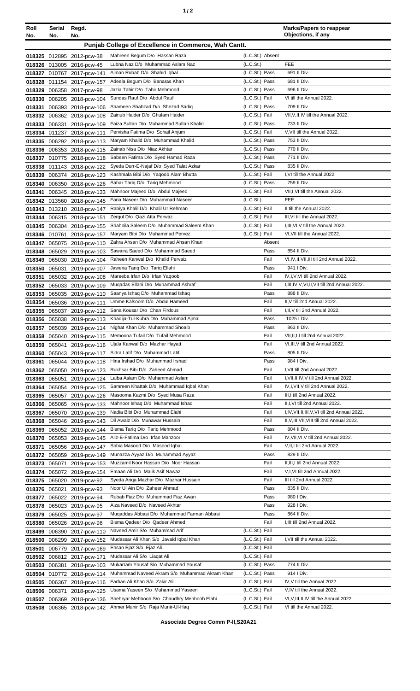|--|

| Roll<br>No.      | Serial<br>No.    | Regd.<br>No.                               |                                                                             |                                  | <b>Marks/Papers to reappear</b><br>Objections, if any                   |
|------------------|------------------|--------------------------------------------|-----------------------------------------------------------------------------|----------------------------------|-------------------------------------------------------------------------|
|                  |                  |                                            | Punjab College of Excellence in Commerce, Wah Cantt.                        |                                  |                                                                         |
| 018325           |                  | 012895 2012-pcw-38                         | Mahreen Begum D/o Hassan Raza                                               | (L.C.St.) Absent                 |                                                                         |
| 018326           |                  | 013005 2016-pcw-45                         | Lubna Naz D/o Muhammad Aslam Naz                                            | (L.C.S <sub>t</sub> )            | <b>FEE</b>                                                              |
| 018327           |                  | 010767 2017-pcw-141                        | Aiman Rubab D/o Shahid Iqbal                                                | (L.C.St.) Pass                   | 691 II Div.                                                             |
| 018328           |                  | 011154 2017-pcw-157                        | Adeela Begum D/o Banaras Khan                                               | (L.C.St.) Pass                   | 681 II Div.                                                             |
| 018329           |                  | 006358 2017-pcw-98                         | Jazia Tahir D/o Tahir Mehmood                                               | (L.C.St.) Pass                   | 696 II Div.                                                             |
| 018330           |                  | 006205 2018-pcw-104                        | Sundas Rauf D/o Abdul Rauf                                                  | (L.C.St.) Fail                   | VI till the Annual 2022.                                                |
| 018331           |                  | 006393 2018-pcw-106                        | Shameen Shahzad D/o Shezad Sadiq                                            | (L.C.St.) Pass                   | 709 II Div.                                                             |
| 018332           |                  | 006362 2018-pcw-108                        | Zainub Haider D/o Ghulam Haider                                             | (L.C.St.) Fail                   | VII, V, II, IV till the Annual 2022.                                    |
| 018333           | 006331           | 2018-pcw-109                               | Faiza Sultan D/o Muhammad Sultan Khalid<br>Pervisha Fatima D/o Sohail Anjum | (L.C.St.) Pass<br>(L.C.St.) Fail | 733 II Div.<br>V, VII till the Annual 2022.                             |
| 018334<br>018335 |                  | 011237 2018-pcw-111                        | Maryam Khalid D/o Muhammad Khalid                                           | (L.C.St.) Pass                   | 753 II Div.                                                             |
| 018336           |                  | 006292 2018-pcw-113<br>006353 2018-pcw-115 | Zainab Nisa D/o Niaz Akhtar                                                 | (L.C.St.) Pass                   | 770 II Div.                                                             |
| 018337           |                  | 010775 2018-pcw-118                        | Sabeen Fatima D/o Syed Hamad Raza                                           | (L.C.St.) Pass                   | 771 II Div.                                                             |
| 018338           |                  | 011143 2018-pcw-122                        | Syeda Durr-E-Najaf D/o Syed Talat Azkar                                     | (L.C.St.) Pass                   | 835 II Div.                                                             |
| 018339           |                  | 006374 2018-pcw-123                        | Kashmala Bibi D/o Yaqoob Alam Bhutta                                        | (L.C.St.) Fail                   | I, VI till the Annual 2022.                                             |
| 018340           |                  | 006350 2018-pcw-126                        | Sahar Tariq D/o Tariq Mehmood                                               | (L.C.St.) Pass                   | 759 II Div.                                                             |
| 018341           |                  | 006345 2018-pcw-133                        | Mahnoor Majeed D/o Abdul Majeed                                             | (L.C.St.) Fail                   | VII, I, VI till the Annual 2022.                                        |
| 018342           |                  | 013560 2018-pcw-145                        | Faria Naseer D/o Muhammad Naseer                                            | (L.C.St.)                        | <b>FEE</b>                                                              |
| 018343           |                  | 013210 2018-pcw-147                        | Rabiya Khalil D/o Khalil Ur Rehman                                          | (L.C.St.) Fail                   | II till the Annual 2022.                                                |
| 018344           |                  | 006315 2018-pcw-151                        | Zergul D/o Qazi Atta Perwaz                                                 | (L.C.St.) Fail                   | III, VI till the Annual 2022.                                           |
| 018345           |                  | 006304 2018-pcw-155                        | Shahnila Saleem D/o Muhammad Saleem Khan                                    | (L.C.St.) Fail                   | I, III, VI, V till the Annual 2022.                                     |
| 018346           | 010761           | 2018-pcw-157                               | Maryam Bibi D/o Muhammad Pervez                                             | (L.C.St.) Fail                   | VI, VII till the Annual 2022.                                           |
| 018347           |                  | 065075 2018-pcw-110                        | Zahra Ahsan D/o Muhammad Ahsan Khan                                         | Absent                           |                                                                         |
| 018348           | 065029           | 2019-pcw-103                               | Sawaira Saeed D/o Muhammad Saeed                                            | Pass                             | 854 II Div.                                                             |
| 018349           | 065030           | 2019-pcw-104                               | Raheen Kanwal D/o Khalid Pervaiz<br>Jaweria Tariq D/o Tariq Ellahi          | Fail<br>Pass                     | VI, IV, II, VII, III till 2nd Annual 2022.<br>941   Div.                |
| 018350<br>018351 | 065031           | 2019-pcw-107<br>065032 2019-pcw-108        | Mareeba Irfan D/o Irfan Yaqoob                                              | Fail                             | IV, I, V, VI till 2nd Annual 2022.                                      |
| 018352           |                  | 065033 2019-pcw-109                        | Muqadas Ellahi D/o Muhammad Ashraf                                          | Fail                             | I, III, IV, V, VI, II, VII till 2nd Annual 2022.                        |
| 018353           |                  | 065035 2019-pcw-110                        | Saanya Ishaq D/o Muhammad Ishaq                                             | Pass                             | 888 II Div.                                                             |
| 018354           |                  | 065036 2019-pcw-111                        | Umme Kalsoom D/o Abdul Hameed                                               | Fail                             | II, V till 2nd Annual 2022.                                             |
| 018355           |                  | 065037 2019-pcw-112                        | Sana Kousar D/o Chan Firdous                                                | Fail                             | I, II, V till 2nd Annual 2022.                                          |
| 018356           |                  | 065038 2019-pcw-113                        | Khadija-Tul-Kubra D/o Muhammad Ajmal                                        | Pass                             | 1025   Div.                                                             |
| 018357           |                  | 065039 2019-pcw-114                        | Nighat Khan D/o Muhammad Shoaib                                             | Pass                             | 863 II Div.                                                             |
| 018358           |                  | 065040 2019-pcw-115                        | Memoona Tufail D/o Tufail Mehmood                                           | Fail                             | VII, II, III till 2nd Annual 2022.                                      |
| 018359           | 065041           | 2019-pcw-116                               | Ujala Kanwal D/o Mazhar Hayatt                                              | Fail                             | VI, III, V till 2nd Annual 2022.                                        |
| 018360           |                  | 065043 2019-pcw-117                        | Sidra Latif D/o Muhammad Latif                                              | Pass                             | 805 II Div.                                                             |
| 018361           | 065044           | 2019-pcw-118                               | Hina Irshad D/o Muhammad Irshad                                             | Pass                             | 984 I Div.                                                              |
| 018362           |                  | 065050 2019-pcw-123                        | Rukhsar Bibi D/o Zaheed Ahmad                                               | Fail                             | I, VII till 2nd Annual 2022.<br>I, VII, II, IV, V till 2nd Annual 2022. |
| 018363           | 065051           | 2019-pcw-124                               | Laiba Aslam D/o Muhammad Aslam<br>Samreen Khattak D/o Muhammad Iqbal Khan   | Fail<br>Fail                     | IV, I, VII, V till 2nd Annual 2022.                                     |
| 018364<br>018365 | 065054<br>065057 | 2019-pcw-125<br>2019-pcw-126               | Masooma Kazmi D/o Syed Musa Raza                                            | Fail                             | III, I till 2nd Annual 2022.                                            |
| 018366           |                  | 065065 2019-pcw-133                        | Mahnoor Ishaq D/o Muhammad Ishaq                                            | Fail                             | II, I, VI till 2nd Annual 2022.                                         |
| 018367           | 065070           | 2019-pcw-139                               | Nadia Bibi D/o Muhammad Elahi                                               | Fail                             | I, IV, VII, II, III, V, VI till 2nd Annual 2022.                        |
| 018368           |                  | 065046 2019-pcw-143                        | Dil Awaiz D/o Munawar Hussain                                               | Fail                             | II, V, III, VII, VIII till 2nd Annual 2022.                             |
| 018369           |                  | 065052 2019-pcw-144                        | Bisma Tariq D/o Tariq Mehmood                                               | Pass                             | 804 II Div.                                                             |
| 018370           |                  | 065053 2019-pcw-145                        | Aliz-E-Fatima D/o Irfan Manzoor                                             | Fail                             | IV, VII, VI, V till 2nd Annual 2022.                                    |
| 018371           |                  | 065056 2019-pcw-147                        | Sobia Masood D/o Masood Iqbal                                               | Fail                             | V, II, I till 2nd Annual 2022.                                          |
| 018372           |                  | 065059 2019-pcw-149                        | Munazza Ayyaz D/o Muhammad Ayyaz                                            | Pass                             | 829 II Div.                                                             |
| 018373           | 065071           | 2019-pcw-153                               | Muzzamil Noor Hassan D/o Noor Hassan                                        | Fail                             | II, III, I till 2nd Annual 2022.                                        |
| 018374           |                  | 065072 2019-pcw-154                        | Emaan Ali D/o Malik Asif Nawaz                                              | Fail                             | V,I, VI till 2nd Annual 2022.                                           |
| 018375           |                  | 065020 2019-pcw-92                         | Syeda Ariga Mazhar D/o Mazhar Hussain                                       | Fail                             | III till 2nd Annual 2022.                                               |
| 018376           | 065021           | 2019-pcw-93                                | Noor UI Ain D/o Zaheer Ahmad<br>Rubab Fiaz D/o Muhammad Fiaz Awan           | Pass                             | 835 II Div.<br>980 I Div.                                               |
| 018377<br>018378 |                  | 065022 2019-pcw-94                         | Aiza Naveed D/o Naveed Akhtar                                               | Pass<br>Pass                     | 928 I Div.                                                              |
| 018379           |                  | 065023 2019-pcw-95<br>065025 2019-pcw-97   | Muqaddas Abbasi D/o Muhammad Farman Abbasi                                  | Pass                             | 864 II Div.                                                             |
| 018380           | 065026           | 2019-pcw-98                                | Bisma Qadeer D/o Qadeer Ahmed                                               | Fail                             | I, III till 2nd Annual 2022.                                            |
| 018499           | 006390           | 2017-pcw-110                               | Naveed Amir S/o Muhammad Arif                                               | (L.C.St.) Fail                   |                                                                         |
| 018500           | 006299           | 2017-pcw-152                               | Mudassar Ali Khan S/o Javaid Iqbal Khan                                     | (L.C.St.) Fail                   | I, VII till the Annual 2022.                                            |
| 018501           | 006779           | 2017-pcw-169                               | Ehsan Ejaz S/o Ejaz Ali                                                     | (L.C.St.) Fail                   |                                                                         |
| 018502           |                  | 006812 2017-pcw-171                        | Mudassar Ali S/o Liagat Ali                                                 | (L.C.St.) Fail                   |                                                                         |
| 018503           | 006381           | 2018-pcw-103                               | Mukarram Yousaf S/o Muhammad Yousaf                                         | (L.C.St.) Pass                   | 774 II Div.                                                             |
| 018504           |                  | 010772 2018-pcw-114                        | Muhammad Naveed Akram S/o Muhammad Akram Khan                               | (L.C.St.) Pass                   | 914   Div.                                                              |
| 018505           |                  | 006367 2018-pcw-116                        | Farhan Ali Khan S/o Zakir Ali                                               | (L.C.St.) Fail                   | IV, V till the Annual 2022.                                             |
| 018506           | 006371           | 2018-pcw-125                               | Usama Yaseen S/o Muhammad Yaseen                                            | (L.C.St.) Fail                   | V, IV till the Annual 2022.                                             |
| 018507           | 006369           | 2018-pcw-136                               | Shehryar Mehboob S/o Chaudhry Mehboob Elahi                                 | (L.C.St.) Fail                   | VI, V, III, II, IV till the Annual 2022.                                |
| 018508           |                  | 006365 2018-pcw-142                        | Ahmer Munir S/o Raja Munir-Ul-Haq                                           | (L.C.St.) Fail                   | VI till the Annual 2022.                                                |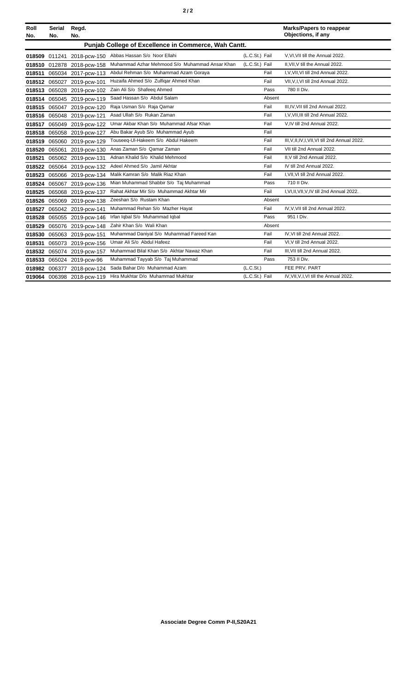|--|--|--|

| Roll<br>No. | <b>Serial</b><br>No. | Regd.<br>No.               |                                                      |                | <b>Marks/Papers to reappear</b><br>Objections, if any |
|-------------|----------------------|----------------------------|------------------------------------------------------|----------------|-------------------------------------------------------|
|             |                      |                            | Punjab College of Excellence in Commerce, Wah Cantt. |                |                                                       |
|             | 018509 011241        | 2018-pcw-150               | Abbas Hassan S/o Noor Ellahi                         | (L.C.St.) Fail | V.VI.VII till the Annual 2022.                        |
|             |                      | 018510 012878 2018-pcw-158 | Muhammad Azhar Mehmood S/o Muhammad Ansar Khan       | (L.C.St.) Fail | II.VII.V till the Annual 2022.                        |
| 018511      |                      | 065034 2017-pcw-113        | Abdul Rehman S/o Muhammad Azam Goraya                | Fail           | I, V, VII, VI till 2nd Annual 2022.                   |
|             |                      | 018512 065027 2019-pcw-101 | Huzaifa Ahmed S/o Zulfigar Ahmed Khan                | Fail           | VII, V, I, VI till 2nd Annual 2022.                   |
| 018513      |                      | 065028 2019-pcw-102        | Zain Ali S/o Shafeeq Ahmed                           | Pass           | 780 II Div.                                           |
|             |                      | 018514 065045 2019-pcw-119 | Saad Hassan S/o Abdul Salam                          | Absent         |                                                       |
|             |                      | 018515 065047 2019-pcw-120 | Raja Usman S/o Raja Qamar                            | Fail           | III, IV, VII till 2nd Annual 2022.                    |
|             |                      | 018516 065048 2019-pcw-121 | Asad Ullah S/o Rukan Zaman                           | Fail           | I, V, VII, III till 2nd Annual 2022.                  |
| 018517      |                      | 065049 2019-pcw-122        | Umar Akbar Khan S/o Muhammad Afsar Khan              | Fail           | V,IV till 2nd Annual 2022.                            |
| 018518      |                      | 065058 2019-pcw-127        | Abu Bakar Ayub S/o Muhammad Ayub                     | Fail           |                                                       |
| 018519      | 065060               | 2019-pcw-129               | Touseeq-UI-Hakeem S/o Abdul Hakeem                   | Fail           | III, V, II, IV, I, VII, VI till 2nd Annual 2022.      |
| 018520      | 065061               | 2019-pcw-130               | Anas Zaman S/o Qamar Zaman                           | Fail           | VII till 2nd Annual 2022.                             |
| 018521      |                      | 065062 2019-pcw-131        | Adnan Khalid S/o Khalid Mehmood                      | Fail           | II.V till 2nd Annual 2022.                            |
| 018522      |                      | 065064 2019-pcw-132        | Adeel Ahmed S/o Jamil Akhtar                         | Fail           | IV till 2nd Annual 2022.                              |
| 018523      |                      | 065066 2019-pcw-134        | Malik Kamran S/o Malik Riaz Khan                     | Fail           | I, VII, VI till 2nd Annual 2022.                      |
| 018524      |                      | 065067 2019-pcw-136        | Mian Muhammad Shabbir S/o Taj Muhammad               | Pass           | 710 II Div.                                           |
| 018525      |                      | 065068 2019-pcw-137        | Rahat Akhtar Mir S/o Muhammad Akhtar Mir             | Fail           | I, VI, II, VII, V, IV till 2nd Annual 2022.           |
| 018526      | 065069               | 2019-pcw-138               | Zeeshan S/o Rustam Khan                              | Absent         |                                                       |
| 018527      |                      | 065042 2019-pcw-141        | Muhammad Rehan S/o Mazher Hayat                      | Fail           | IV, V, VII till 2nd Annual 2022.                      |
| 018528      |                      | 065055 2019-pcw-146        | Irfan Iqbal S/o Muhammad Iqbal                       | Pass           | 951   Div.                                            |
| 018529      |                      | 065076 2019-pcw-148        | Zahir Khan S/o Wali Khan                             | Absent         |                                                       |
| 018530      |                      | 065063 2019-pcw-151        | Muhammad Daniyal S/o Muhammad Fareed Kan             | Fail           | IV, VI till 2nd Annual 2022.                          |
| 018531      |                      | 065073 2019-pcw-156        | Umair Ali S/o Abdul Hafeez                           | Fail           | VI, V till 2nd Annual 2022.                           |
| 018532      |                      | 065074 2019-pcw-157        | Muhammad Bilal Khan S/o Akhtar Nawaz Khan            | Fail           | III, VII till 2nd Annual 2022.                        |
| 018533      |                      | 065024 2019-pcw-96         | Muhammad Tayyab S/o Taj Muhammad                     | Pass           | 753 II Div.                                           |
| 018982      |                      | 006377 2018-pcw-124        | Sada Bahar D/o Muhammad Azam                         | (L.C.St.)      | FEE PRV. PART                                         |
|             |                      | 019064 006398 2018-pcw-119 | Hira Mukhtar D/o Muhammad Mukhtar                    | (L.C.St.) Fail | IV, VII, V, I, VI till the Annual 2022.               |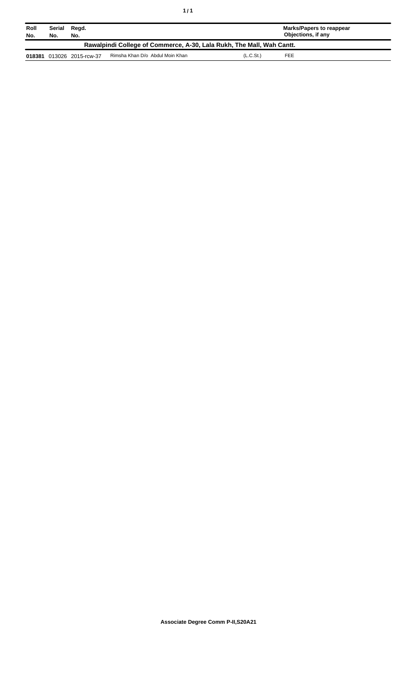| Roll<br>No.                                                           | Regd.<br>Serial<br>No.<br>No. |                           |                                 | Marks/Papers to reappear<br>Objections, if any |  |  |  |
|-----------------------------------------------------------------------|-------------------------------|---------------------------|---------------------------------|------------------------------------------------|--|--|--|
| Rawalpindi College of Commerce, A-30, Lala Rukh, The Mall, Wah Cantt. |                               |                           |                                 |                                                |  |  |  |
|                                                                       |                               | 018381 013026 2015-rcw-37 | Rimsha Khan D/o Abdul Moin Khan | (L.C.S <sub>t</sub> )<br>FEE                   |  |  |  |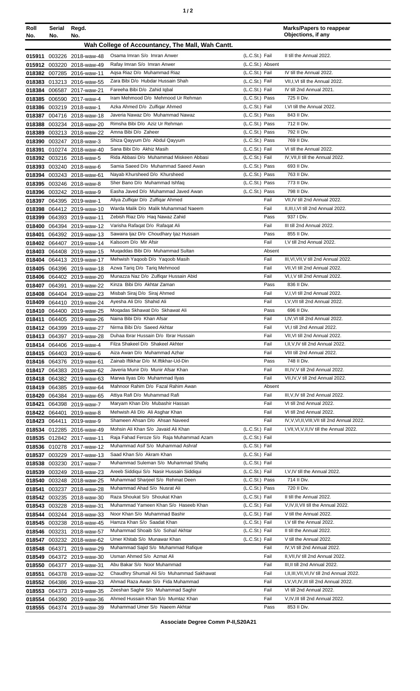| ٠ |  |
|---|--|
|---|--|

| Roll<br>No. | Serial<br>No. | Regd.<br>No.                                           |                                                                               |                                  | <b>Marks/Papers to reappear</b><br>Objections, if any |
|-------------|---------------|--------------------------------------------------------|-------------------------------------------------------------------------------|----------------------------------|-------------------------------------------------------|
|             |               |                                                        | Wah College of Accountancy, The Mall, Wah Cantt.                              |                                  |                                                       |
|             |               | 015911 003226 2018-waw-48                              | Osama Imran S/o Imran Anwer                                                   | (L.C.St.) Fail                   | II till the Annual 2022.                              |
|             |               | 015912 003220 2018-waw-49                              | Rafay Imran S/o Imran Anwer                                                   | (L.C.St.) Absent                 |                                                       |
|             |               | 018382 007285 2016-waw-11                              | Agsa Riaz D/o Muhammad Riaz                                                   | (L.C.St.) Fail                   | IV till the Annual 2022.                              |
|             |               | 018383 013213 2016-waw-55                              | Zara Bibi D/o Hubdar Hussain Shah                                             | (L.C.St.) Fail                   | VII, I, VI till the Annual 2022.                      |
|             |               | 018384 006587 2017-waw-21                              | Fareeha Bibi D/o Zahid Iqbal                                                  | (L.C.St.) Fail                   | IV till 2nd Annual 2021.                              |
|             |               | 018385 006590 2017-waw-4                               | Iram Mehmood D/o Mehmood Ur Rehman                                            | (L.C.St.) Pass                   | 725 II Div.                                           |
|             |               | 018386 003219 2018-waw-1                               | Azka Ahmed D/o Zulfigar Ahmed                                                 | (L.C.St.) Fail                   | I.VI till the Annual 2022.                            |
|             |               | 018387 004716 2018-waw-18                              | Javeria Nawaz D/o Muhammad Nawaz                                              | (L.C.St.) Pass                   | 843 II Div.                                           |
|             |               | 018388 003234 2018-waw-20                              | Rimsha Bibi D/o Aziz Ur Rehman<br>Amna Bibi D/o Zaheer                        | (L.C.St.) Pass<br>(L.C.St.) Pass | 712 II Div.<br>792 II Div.                            |
| 018389      |               | 003213 2018-waw-22<br>018390 003247 2018-waw-3         | Shiza Qayyum D/o Abdul Qayyum                                                 | (L.C.St.) Pass                   | 769 II Div.                                           |
| 018391      |               | 010274 2018-waw-40                                     | Sana Bibi D/o Akhiz Masih                                                     | (L.C.St.) Fail                   | VI till the Annual 2022.                              |
|             |               | 018392 003216 2018-waw-5                               | Rida Abbasi D/o Muhammad Miskeen Abbasi                                       | (L.C.St.) Fail                   | IV, VII, II till the Annual 2022.                     |
| 018393      |               | 003240 2018-waw-6                                      | Samia Saeed D/o Muhammad Saeed Awan                                           | (L.C.St.) Pass                   | 693 II Div.                                           |
| 018394      |               | 003243 2018-waw-61                                     | Nayab Khursheed D/o Khursheed                                                 | (L.C.St.) Pass                   | 763 II Div.                                           |
|             |               | 018395 003246 2018-waw-8                               | Sher Bano D/o Muhammad Ishfaq                                                 | (L.C.St.) Pass                   | 773 II Div.                                           |
|             |               | 018396 003242 2018-waw-9                               | Easha Javed D/o Muhammad Javed Awan                                           | (L.C.St.) Pass                   | 798 II Div.                                           |
|             |               | 018397 064395 2019-waw-1                               | Aliya Zulfiqar D/o Zulfiqar Ahmed                                             | Fail<br>Fail                     | VII, IV till 2nd Annual 2022.                         |
|             |               | 018398 064412 2019-waw-10                              | Warda Malik D/o Malik Muhammad Naeem<br>Zebish Riaz D/o Hag Nawaz Zahid       | Pass                             | II, III, I, VI till 2nd Annual 2022.<br>937   Div.    |
|             |               | 018399 064393 2019-waw-11<br>018400 064394 2019-waw-12 | Varisha Rafaqat D/o Rafaqat Ali                                               | Fail                             | III till 2nd Annual 2022.                             |
| 018401      |               | 064392 2019-waw-13                                     | Sawaira Ijaz D/o Choudhary Ijaz Hussain                                       | Pass                             | 855 II Div.                                           |
|             |               | 018402 064407 2019-waw-14                              | Kalsoom D/o Mir Afsir                                                         | Fail                             | I, V till 2nd Annual 2022.                            |
|             |               | 018403 064408 2019-waw-15                              | Muqaddas Bibi D/o Muhammad Sultan                                             | Absent                           |                                                       |
|             |               | 018404 064413 2019-waw-17                              | Mehwish Yaqoob D/o Yaqoob Masih                                               | Fail                             | III, VI, VII, V till 2nd Annual 2022.                 |
|             |               | 018405 064396 2019-waw-18                              | Azwa Tariq D/o Tariq Mehmood                                                  | Fail                             | VII, VI till 2nd Annual 2022.                         |
|             |               | 018406 064402 2019-waw-20                              | Munazza Naz D/o Zulfiqar Hussain Abid                                         | Fail                             | VI,I, V till 2nd Annual 2022.                         |
|             |               | 018407 064391 2019-waw-22                              | Kinza Bibi D/o Akhtar Zaman<br>Misbah Siraj D/o Siraj Ahmed                   | Pass<br>Fail                     | 836 II Div.<br>V,I, VI till 2nd Annual 2022.          |
| 018409      |               | 018408 064404 2019-waw-23<br>064410 2019-waw-24        | Ayesha Ali D/o Shahid Ali                                                     | Fail                             | I.V.VII till 2nd Annual 2022.                         |
| 018410      |               | 064400 2019-waw-25                                     | Mogadas Skhawat D/o Skhawat Ali                                               | Pass                             | 696 II Div.                                           |
|             |               | 018411 064405 2019-waw-26                              | Naina Bibi D/o Khan Afsar                                                     | Fail                             | I,IV, VI till 2nd Annual 2022.                        |
|             |               | 018412 064399 2019-waw-27                              | Nirma Bibi D/o Saeed Akhtar                                                   | Fail                             | VI, I till 2nd Annual 2022.                           |
|             |               | 018413 064397 2019-waw-28                              | Duhaa Ibrar Hussain D/o Ibrar Hussain                                         | Fail                             | VII, VI till 2nd Annual 2022.                         |
|             |               | 018414 064406 2019-waw-4                               | Filza Shakeel D/o Shakeel Akhter                                              | Fail                             | I, II, V, IV till 2nd Annual 2022.                    |
|             |               | 018415 064403 2019-waw-6                               | Aiza Awan D/o Muhammad Azhar                                                  | Fail                             | VIII till 2nd Annual 2022.                            |
|             |               | 018416 064376 2019-waw-61                              | Zainab Iftikhar D/o M.Iftikhar-Ud-Din<br>Javeria Munir D/o Munir Afsar Khan   | Pass<br>Fail                     | 748 II Div.<br>III, IV, V till 2nd Annual 2022.       |
|             |               | 018417 064383 2019-waw-62<br>018418 064382 2019-waw-63 | Marwa Ilyas D/o Muhammad Ilyas                                                | Fail                             | VII, IV, V till 2nd Annual 2022.                      |
|             |               | 018419 064385 2019-waw-64                              | Mahnoor Rahim D/o Fazal Rahim Awan                                            | Absent                           |                                                       |
|             |               | 018420 064384 2019-waw-65                              | Attiya Rafi D/o Muhammad Rafi                                                 | Fail                             | III, V, IV till 2nd Annual 2022.                      |
| 018421      |               | 064398 2019-waw-7                                      | Maryam Khan D/o Mubashir Hassan                                               | Fail                             | VI till 2nd Annual 2022.                              |
|             |               | 018422 064401 2019-waw-8                               | Mehwish Ali D/o Ali Asghar Khan                                               | Fail                             | VI till 2nd Annual 2022.                              |
|             | 018423 064411 | 2019-waw-9                                             | Shameen Ahsan D/o Ahsan Naveed                                                | Fail                             | IV, V, VI, II, VIII, VII till 2nd Annual 2022.        |
|             |               | 018534 012285 2016-waw-49                              | Mohsin Ali Khan S/o Javaid Ali Khan                                           | (L.C.St.) Fail                   | I, VII, VI, V, II, IV till the Annual 2022.           |
|             |               | 018535 012842 2017-waw-11                              | Raja Fahad Feroze S/o Raja Muhammad Azam<br>Muhammad Asif S/o Muhammad Ashraf | (L.C.St.) Fail<br>(L.C.St.) Fail |                                                       |
|             |               | 018536 010278 2017-waw-12<br>018537 003229 2017-waw-13 | Saad Khan S/o Akram Khan                                                      | (L.C.St.) Fail                   |                                                       |
|             |               | 018538 003230 2017-waw-7                               | Muhammad Suleman S/o Muhammad Shafiq                                          | (L.C.St.) Fail                   |                                                       |
|             |               | 018539 003249 2018-waw-23                              | Areeb Siddiqui S/o Nasir Hussain Siddiqui                                     | (L.C.St.) Fail                   | I, V, IV till the Annual 2022.                        |
|             |               | 018540 003248 2018-waw-25                              | Muhammad Sharjeel S/o Rehmat Deen                                             | (L.C.St.) Pass                   | 714 II Div.                                           |
| 018541      |               | 003237 2018-waw-28                                     | Muhammad Ahad S/o Nusrat Ali                                                  | (L.C.St.) Pass                   | 720 II Div.                                           |
|             |               | 018542 003235 2018-waw-30                              | Raza Shoukat S/o Shoukat Khan                                                 | (L.C.St.) Fail                   | II till the Annual 2022.                              |
|             |               | 018543 003228 2018-waw-31                              | Muhammad Yameen Khan S/o Haseeb Khan                                          | (L.C.St.) Fail                   | V, IV, II, VII till the Annual 2022.                  |
|             |               | 018544 003244 2018-waw-33                              | Noor Khan S/o Muhammad Bashir                                                 | (L.C.St.) Fail                   | V till the Annual 2022.                               |
|             |               | 018545 003238 2018-waw-45                              | Hamza Khan S/o Saadat Khan                                                    | (L.C.St.) Fail                   | I.V till the Annual 2022.<br>II till the Annual 2022. |
| 018547      | 018546 003231 | 2018-waw-57<br>003232 2018-waw-62                      | Muhammad Shoaib S/o Sohail Akhtar<br>Umer Khitab S/o Munawar Khan             | (L.C.St.) Fail<br>(L.C.St.) Fail | V till the Annual 2022.                               |
|             | 018548 064371 | 2019-waw-29                                            | Muhammad Sajid S/o Muhammad Rafique                                           | Fail                             | IV, VI till 2nd Annual 2022.                          |
|             |               | 018549 064372 2019-waw-30                              | Usman Ahmed S/o Azmat Ali                                                     | Fail                             | II, VII, IV till 2nd Annual 2022.                     |
|             |               | 018550 064377 2019-waw-31                              | Abu Bakar S/o Noor Muhammad                                                   | Fail                             | III, II till 2nd Annual 2022.                         |
| 018551      |               | 064378 2019-waw-32                                     | Chaudhry Shumail Ali S/o Muhammad Sakhawat                                    | Fail                             | I, II, III, VII, VI, IV till 2nd Annual 2022.         |
|             |               | 018552 064386 2019-waw-33                              | Ahmad Raza Awan S/o Fida Muhammad                                             | Fail                             | I, V, VI, IV, III till 2nd Annual 2022.               |
|             |               | 018553 064373 2019-waw-35                              | Zeeshan Saghir S/o Muhammad Saghir                                            | Fail                             | VI till 2nd Annual 2022.                              |
|             |               | 018554 064390 2019-waw-36                              | Ahmed Hussain Khan S/o Mumtaz Khan<br>Muhammad Umer S/o Naeem Akhtar          | Fail                             | V,IV,III till 2nd Annual 2022.<br>853 II Div.         |
|             |               | 018555 064374 2019-waw-39                              |                                                                               | Pass                             |                                                       |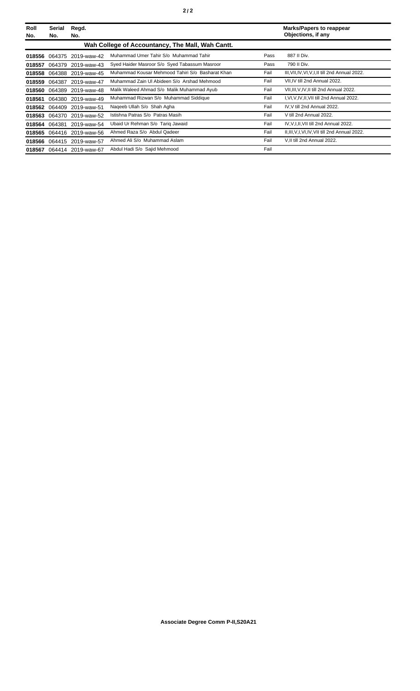| Roll<br>No. | Serial<br>No. | Regd.<br>No.              |                                                  |      | <b>Marks/Papers to reappear</b><br>Objections, if any |
|-------------|---------------|---------------------------|--------------------------------------------------|------|-------------------------------------------------------|
|             |               |                           | Wah College of Accountancy, The Mall, Wah Cantt. |      |                                                       |
| 018556      | 064375        | 2019-waw-42               | Muhammad Umer Tahir S/o Muhammad Tahir           | Pass | 887 II Div.                                           |
| 018557      |               | 064379 2019-waw-43        | Syed Haider Masroor S/o Syed Tabassum Masroor    | Pass | 790 II Div.                                           |
| 018558      |               | 064388 2019-waw-45        | Muhammad Kousar Mehmood Tahiri S/o Basharat Khan | Fail | III, VII, IV, VI, V, I, II till 2nd Annual 2022.      |
|             |               | 018559 064387 2019-waw-47 | Muhammad Zain UI Abideen S/o Arshad Mehmood      | Fail | VII, IV till 2nd Annual 2022.                         |
| 018560      | 064389        | 2019-waw-48               | Malik Waleed Ahmad S/o Malik Muhammad Ayub       | Fail | VII, III, V, IV, II till 2nd Annual 2022.             |
| 018561      |               | 064380 2019-waw-49        | Muhammad Rizwan S/o Muhammad Siddique            | Fail | I, VI, V, IV, II, VII till 2nd Annual 2022.           |
| 018562      | 064409        | 2019-waw-51               | Nageeb Ullah S/o Shah Agha                       | Fail | IV.V till 2nd Annual 2022.                            |
| 018563      |               | 064370 2019-waw-52        | Istishna Patras S/o Patras Masih                 | Fail | V till 2nd Annual 2022.                               |
| 018564      | 064381        | 2019-waw-54               | Ubaid Ur Rehman S/o Tarig Jawaid                 | Fail | IV, V, I, II, VII till 2nd Annual 2022.               |
|             |               | 018565 064416 2019-waw-56 | Ahmed Raza S/o Abdul Qadeer                      | Fail | II, III, V, I, VI, IV, VII till 2nd Annual 2022.      |
|             |               | 018566 064415 2019-waw-57 | Ahmed Ali S/o Muhammad Aslam                     | Fail | V, II till 2nd Annual 2022.                           |
| 018567      |               | 064414 2019-waw-67        | Abdul Hadi S/o Sajid Mehmood                     | Fail |                                                       |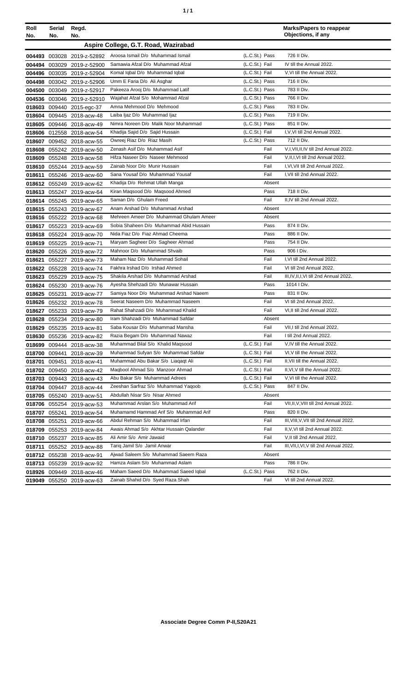| Roll<br>No. | Serial<br>No. | Regd.<br>No.                                           |                                                                     |                | <b>Marks/Papers to reappear</b><br>Objections, if any          |
|-------------|---------------|--------------------------------------------------------|---------------------------------------------------------------------|----------------|----------------------------------------------------------------|
|             |               |                                                        | Aspire College, G.T. Road, Wazirabad                                |                |                                                                |
|             |               | 004493 003028 2019-z-52892                             | Aroosa Ismail D/o Muhammad Ismail                                   | (L.C.St.) Pass | 726 II Div.                                                    |
|             |               | 004494 003029 2019-z-52900                             | Samawia Afzal D/o Muhammad Afzal                                    | (L.C.St.) Fail | IV till the Annual 2022.                                       |
|             |               | 004496 003035 2019-z-52904                             | Komal Iqbal D/o Muhammad Iqbal                                      | (L.C.St.) Fail | V, VI till the Annual 2022.                                    |
|             |               | 004498 003042 2019-z-52906                             | Umm E Faria D/o Ali Asghar                                          | (L.C.St.) Pass | 716 II Div.                                                    |
|             |               | 004500 003049 2019-z-52917                             | Pakeeza Arooj D/o Muhammad Latif                                    | (L.C.St.) Pass | 783 II Div.                                                    |
|             |               | 004536 003046 2019-z-52910                             | Wajahat Afzal S/o Mohammad Afzal                                    | (L.C.St.) Pass | 766 II Div.                                                    |
|             |               | 018603 009440 2015-egc-37                              | Amna Mehmood D/o Mehmood                                            | (L.C.St.) Pass | 783 II Div.                                                    |
|             |               | 018604 009445 2018-acw-48                              | Laiba Ijaz D/o Muhammad Ijaz                                        | (L.C.St.) Pass | 719 II Div.                                                    |
|             |               | 018605 009446 2018-acw-49                              | Nimra Noreen D/o Malik Noor Muhammad                                | (L.C.St.) Pass | 851 II Div.                                                    |
|             |               | 018606 012558 2018-acw-54                              | Khadija Sajid D/o Sajid Hussain                                     | (L.C.St.) Fail | I, V, VI till 2nd Annual 2022.                                 |
|             |               | 018607 009452 2018-acw-55                              | Owreej Riaz D/o Riaz Masih                                          | (L.C.St.) Pass | 712 II Div.                                                    |
|             |               | 018608 055242 2019-acw-50                              | Zenash Asif D/o Muhammad Asif                                       | Fail           | V,I,VII,II,IV till 2nd Annual 2022.                            |
|             |               | 018609 055248 2019-acw-58                              | Hifza Naseer D/o Naseer Mehmood                                     | Fail           | V, II, I, VI till 2nd Annual 2022.                             |
|             |               | 018610 055244 2019-acw-59                              | Zainab Noor D/o Munir Hussain                                       | Fail           | I, VI, VII till 2nd Annual 2022.                               |
|             |               | 018611 055246 2019-acw-60                              | Sana Yousaf D/o Muhammad Yousaf                                     | Fail           | I, VII till 2nd Annual 2022.                                   |
|             |               | 018612 055249 2019-acw-62                              | Khadija D/o Rehmat Ullah Manga                                      | Absent         |                                                                |
|             |               | 018613 055247 2019-acw-64                              | Kiran Magsood D/o Magsood Ahmed                                     | Pass           | 718 II Div.                                                    |
|             |               | 018614 055245 2019-acw-65                              | Saman D/o Ghulam Freed                                              | Fail           | II.IV till 2nd Annual 2022.                                    |
|             |               | 018615 055243 2019-acw-67                              | Anam Arshad D/o Muhammad Arshad                                     | Absent         |                                                                |
|             |               | 018616 055222 2019-acw-68                              | Mehreen Ameer D/o Muhammad Ghulam Ameer                             | Absent         |                                                                |
|             |               | 018617 055223 2019-acw-69                              | Sobia Shaheen D/o Muhammad Abid Hussain                             | Pass           | 874 II Div.                                                    |
|             |               | 018618 055224 2019-acw-70                              | Nida Fiaz D/o Fiaz Ahmad Cheema                                     | Pass           | 886 II Div.                                                    |
|             |               | 018619 055225 2019-acw-71                              | Maryam Sagheer D/o Sagheer Ahmad                                    | Pass           | 754 II Div.                                                    |
|             |               | 018620 055226 2019-acw-72                              | Mahnoor D/o Muhammad Shvaib                                         | Pass           | 906 I Div.                                                     |
| 018621      |               | 055227 2019-acw-73                                     | Maham Naz D/o Muhammad Sohail                                       | Fail           | I, VI till 2nd Annual 2022.                                    |
|             |               | 018622 055228 2019-acw-74                              | Fakhra Irshad D/o Irshad Ahmed                                      | Fail           | VI till 2nd Annual 2022.                                       |
|             |               | 018623 055229 2019-acw-75                              | Shakila Arshad D/o Muhammad Arshad                                  | Fail           | III, IV, II, I, VI till 2nd Annual 2022.                       |
|             |               | 018624 055230 2019-acw-76                              | Ayesha Shehzadi D/o Munawar Hussain                                 | Pass           | 1014   Div.                                                    |
|             |               | 018625 055231 2019-acw-77                              | Samiya Noor D/o Muhammad Arshad Naeem                               | Pass           | 831 II Div.                                                    |
|             |               | 018626 055232 2019-acw-78                              | Seerat Naseem D/o Muhammad Naseem                                   | Fail           | VI till 2nd Annual 2022.                                       |
|             |               | 018627 055233 2019-acw-79                              | Rahat Shahzadi D/o Muhammad Khalid                                  | Fail           | VI, II till 2nd Annual 2022.                                   |
|             |               | 018628 055234 2019-acw-80                              | Iram Shahzadi D/o Muhammad Safdar                                   | Absent         |                                                                |
|             |               | 018629 055235 2019-acw-81                              | Saba Kousar D/o Muhammad Mansha                                     | Fail           | VII, I till 2nd Annual 2022.                                   |
|             |               | 018630 055236 2019-acw-82                              | Razia Begam D/o Muhammad Nawaz                                      | Fail           | I till 2nd Annual 2022.                                        |
|             |               | 018699 009444 2018-acw-38                              | Muhammad Bilal S/o Khalid Magsood                                   | (L.C.St.) Fail | V,IV till the Annual 2022.                                     |
|             |               | 018700 009441 2018-acw-39                              | Muhammad Sufyan S/o Muhammad Safdar                                 | (L.C.St.) Fail | VI, V till the Annual 2022.                                    |
|             |               | 018701 009451 2018-acw-41                              | Muhammad Abu Bakar S/o Liagagt Ali                                  | (L.C.St.) Fail | II, VII till the Annual 2022.                                  |
|             |               | 018702 009450 2018-acw-42                              | Maqbool Ahmad S/o Manzoor Ahmad                                     | (L.C.St.) Fail | II, VI, V till the Annual 2022.                                |
|             |               | 018703 009443 2018-acw-43                              | Abu Bakar S/o Muhammad Adrees                                       | (L.C.St.) Fail | V, VI till the Annual 2022.                                    |
|             |               | 018704 009447 2018-acw-44                              | Zeeshan Sarfraz S/o Muhammad Yaqoob                                 | (L.C.St.) Pass | 847 II Div.                                                    |
|             |               | 018705 055240 2019-acw-51                              | Abdullah Nisar S/o Nisar Ahmed<br>Muhammad Arslan S/o Muhammad Arif | Absent<br>Fail |                                                                |
|             |               | 018706 055254 2019-acw-53                              |                                                                     |                | VII, II, V, VIII till 2nd Annual 2022.                         |
| 018707      | 055241        | 2019-acw-54                                            | Muhamamd Hammad Arif S/o Muhammad Arif                              | Pass           | 820 II Div.                                                    |
| 018708      |               | 055251 2019-acw-66                                     | Abdul Rehman S/o Muhammad Irfan                                     | Fail           | III, VIII, V, VII till 2nd Annual 2022.                        |
| 018709      |               | 055253 2019-acw-84                                     | Awais Ahmad S/o Akhtar Hussain Qalander<br>Ali Amir S/o Amir Jawaid | Fail<br>Fail   | II, V, VI till 2nd Annual 2022.<br>V, II till 2nd Annual 2022. |
|             |               | 018710 055237 2019-acw-85                              | Tariq Jamil S/o Jamil Anwar                                         | Fail           | III, VII, I, VI, V till 2nd Annual 2022.                       |
|             |               | 018711 055252 2019-acw-88                              | Ajwad Saleem S/o Muhammad Saeem Raza                                |                |                                                                |
|             |               | 018712 055238 2019-acw-91                              | Hamza Aslam S/o Muhammad Aslam                                      | Absent<br>Pass | 786 II Div.                                                    |
|             |               | 018713 055239 2019-acw-92                              | Maham Saeed D/o Muhammad Saeed Iqbal                                | (L.C.St.) Pass | 762 II Div.                                                    |
|             |               | 018926 009449 2018-acw-46<br>019049 055250 2019-acw-63 | Zainab Shahid D/o Syed Raza Shah                                    | Fail           | VI till 2nd Annual 2022.                                       |
|             |               |                                                        |                                                                     |                |                                                                |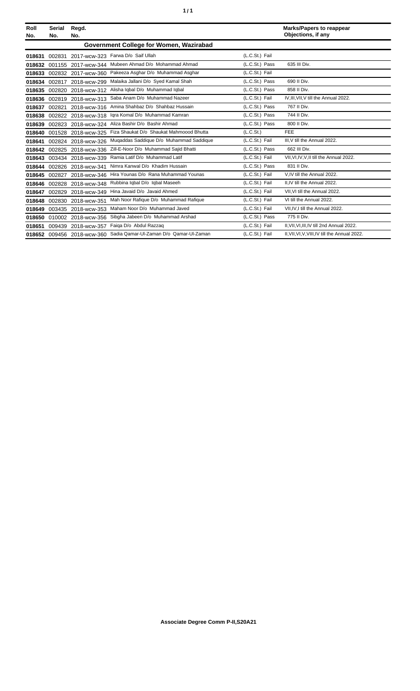| ٦ | ٠ |
|---|---|
|   |   |

| Roll<br>No. | <b>Serial</b><br>No.                    | Regd.<br>No.               |                                          |                | <b>Marks/Papers to reappear</b><br>Objections, if any |  |
|-------------|-----------------------------------------|----------------------------|------------------------------------------|----------------|-------------------------------------------------------|--|
|             | Government College for Women, Wazirabad |                            |                                          |                |                                                       |  |
| 018631      | 002831                                  |                            | 2017-wcw-323 Farwa D/o Saif Ullah        | (L.C.St.) Fail |                                                       |  |
| 018632      |                                         | 001155 2017-wcw-344        | Mubeen Ahmad D/o Mohammad Ahmad          | (L.C.St.) Pass | 635 III Div.                                          |  |
| 018633      |                                         | 002832 2017-wcw-360        | Pakeeza Asghar D/o Muhammad Asghar       | (L.C.St.) Fail |                                                       |  |
| 018634      | 002817                                  | 2018-wcw-299               | Malaika Jallani D/o Syed Kamal Shah      | (L.C.St.) Pass | 690 II Div.                                           |  |
| 018635      | 002820                                  | 2018-wcw-312               | Alisha Iqbal D/o Muhammad Iqbal          | (L.C.St.) Pass | 858 II Div.                                           |  |
| 018636      | 002819                                  | 2018-wcw-313               | Saba Anam D/o Muhammad Nazeer            | (L.C.St.) Fail | IV, III, VII, V till the Annual 2022.                 |  |
| 018637      | 002821                                  | 2018-wcw-316               | Amina Shahbaz D/o Shahbaz Hussain        | (L.C.St.) Pass | 767 II Div.                                           |  |
| 018638      |                                         | 002822 2018-wcw-318        | Igra Komal D/o Muhammad Kamran           | (L.C.St.) Pass | 744 II Div.                                           |  |
| 018639      |                                         | 002823 2018-wcw-324        | Aliza Bashir D/o Bashir Ahmad            | (L.C.St.) Pass | 800 II Div.                                           |  |
| 018640      | 001528                                  | 2018-wcw-325               | Fiza Shaukat D/o Shaukat Mahmoood Bhutta | (L.C.St.)      | FEE                                                   |  |
| 018641      | 002824                                  | 2018-wcw-326               | Mugaddas Saddique D/o Muhammad Saddique  | (L.C.St.) Fail | III, V till the Annual 2022.                          |  |
| 018642      | 002825                                  | 2018-wcw-336               | Zill-E-Noor D/o Muhammad Saiid Bhatti    | (L.C.St.) Pass | 662 III Div.                                          |  |
| 018643      |                                         | 003434 2018-wcw-339        | Ramia Latif D/o Muhammad Latif           | (L.C.St.) Fail | VII, VI, IV, V, II till the Annual 2022.              |  |
| 018644      | 002826                                  | 2018-wcw-341               | Nimra Kanwal D/o Khadim Hussain          | (L.C.St.) Pass | 831 II Div.                                           |  |
| 018645      |                                         | 002827 2018-wcw-346        | Hira Younas D/o Rana Muhammad Younas     | (L.C.St.) Fail | V.IV till the Annual 2022.                            |  |
| 018646      | 002828                                  | 2018-wcw-348               | Rubbina Iqbal D/o Iqbal Maseeh           | (L.C.St.) Fail | II.IV till the Annual 2022.                           |  |
| 018647      |                                         | 002829 2018-wcw-349        | Hina Javaid D/o Javaid Ahmed             | (L.C.St.) Fail | VII, VI till the Annual 2022.                         |  |
| 018648      | 002830                                  | 2018-wcw-351               | Mah Noor Rafique D/o Muhammad Rafique    | (L.C.St.) Fail | VI till the Annual 2022.                              |  |
| 018649      |                                         | 003435 2018-wcw-353        | Maham Noor D/o Muhammad Javed            | (L.C.St.) Fail | VII, IV, I till the Annual 2022.                      |  |
| 018650      |                                         | 010002 2018-wcw-356        | Sibgha Jabeen D/o Muhammad Arshad        | (L.C.St.) Pass | 775 II Div.                                           |  |
| 018651      |                                         | 009439 2018-wcw-357        | Faiga D/o Abdul Razzaq                   | (L.C.St.) Fail | II, VII, VI, III, IV till 2nd Annual 2022.            |  |
|             |                                         | 018652 009456 2018-wcw-360 | Sadia Qamar-Ul-Zaman D/o Qamar-Ul-Zaman  | (L.C.St.) Fail | II, VII, VI, V, VIII, IV till the Annual 2022.        |  |